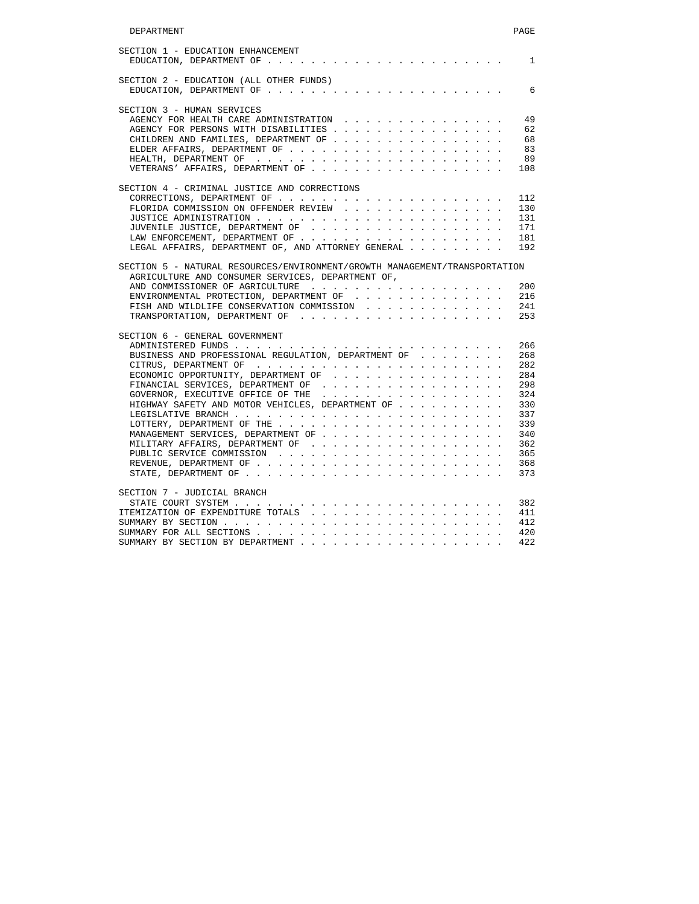| SECTION 2 - EDUCATION (ALL OTHER FUNDS)             |  |  |  |  |  |                                         |  |  |
|-----------------------------------------------------|--|--|--|--|--|-----------------------------------------|--|--|
|                                                     |  |  |  |  |  |                                         |  |  |
| SECTION 3 - HUMAN SERVICES                          |  |  |  |  |  |                                         |  |  |
| AGENCY FOR HEALTH CARE ADMINISTRATION               |  |  |  |  |  |                                         |  |  |
| AGENCY FOR PERSONS WITH DISABILITIES                |  |  |  |  |  |                                         |  |  |
| CHILDREN AND FAMILIES, DEPARTMENT OF                |  |  |  |  |  |                                         |  |  |
|                                                     |  |  |  |  |  |                                         |  |  |
|                                                     |  |  |  |  |  |                                         |  |  |
|                                                     |  |  |  |  |  |                                         |  |  |
| SECTION 4 - CRIMINAL JUSTICE AND CORRECTIONS        |  |  |  |  |  |                                         |  |  |
|                                                     |  |  |  |  |  |                                         |  |  |
| FLORIDA COMMISSION ON OFFENDER REVIEW               |  |  |  |  |  |                                         |  |  |
|                                                     |  |  |  |  |  |                                         |  |  |
|                                                     |  |  |  |  |  |                                         |  |  |
|                                                     |  |  |  |  |  |                                         |  |  |
| LEGAL AFFAIRS, DEPARTMENT OF, AND ATTORNEY GENERAL  |  |  |  |  |  |                                         |  |  |
| ENVIRONMENTAL PROTECTION, DEPARTMENT OF $\ldots$ ,  |  |  |  |  |  |                                         |  |  |
| FISH AND WILDLIFE CONSERVATION COMMISSION           |  |  |  |  |  |                                         |  |  |
|                                                     |  |  |  |  |  |                                         |  |  |
|                                                     |  |  |  |  |  |                                         |  |  |
| SECTION 6 - GENERAL GOVERNMENT                      |  |  |  |  |  |                                         |  |  |
|                                                     |  |  |  |  |  |                                         |  |  |
| BUSINESS AND PROFESSIONAL REGULATION, DEPARTMENT OF |  |  |  |  |  |                                         |  |  |
|                                                     |  |  |  |  |  |                                         |  |  |
| ECONOMIC OPPORTUNITY, DEPARTMENT OF                 |  |  |  |  |  |                                         |  |  |
| FINANCIAL SERVICES, DEPARTMENT OF                   |  |  |  |  |  |                                         |  |  |
| GOVERNOR, EXECUTIVE OFFICE OF THE                   |  |  |  |  |  | <b><i>Contract Contract Artists</i></b> |  |  |
| HIGHWAY SAFETY AND MOTOR VEHICLES, DEPARTMENT OF    |  |  |  |  |  |                                         |  |  |
|                                                     |  |  |  |  |  |                                         |  |  |
|                                                     |  |  |  |  |  |                                         |  |  |
| MANAGEMENT SERVICES, DEPARTMENT OF                  |  |  |  |  |  |                                         |  |  |
|                                                     |  |  |  |  |  |                                         |  |  |
|                                                     |  |  |  |  |  |                                         |  |  |
|                                                     |  |  |  |  |  |                                         |  |  |
|                                                     |  |  |  |  |  |                                         |  |  |
| SECTION 7 - JUDICIAL BRANCH                         |  |  |  |  |  |                                         |  |  |
|                                                     |  |  |  |  |  |                                         |  |  |
|                                                     |  |  |  |  |  |                                         |  |  |
|                                                     |  |  |  |  |  |                                         |  |  |
| SUMMARY BY SECTION BY DEPARTMENT                    |  |  |  |  |  |                                         |  |  |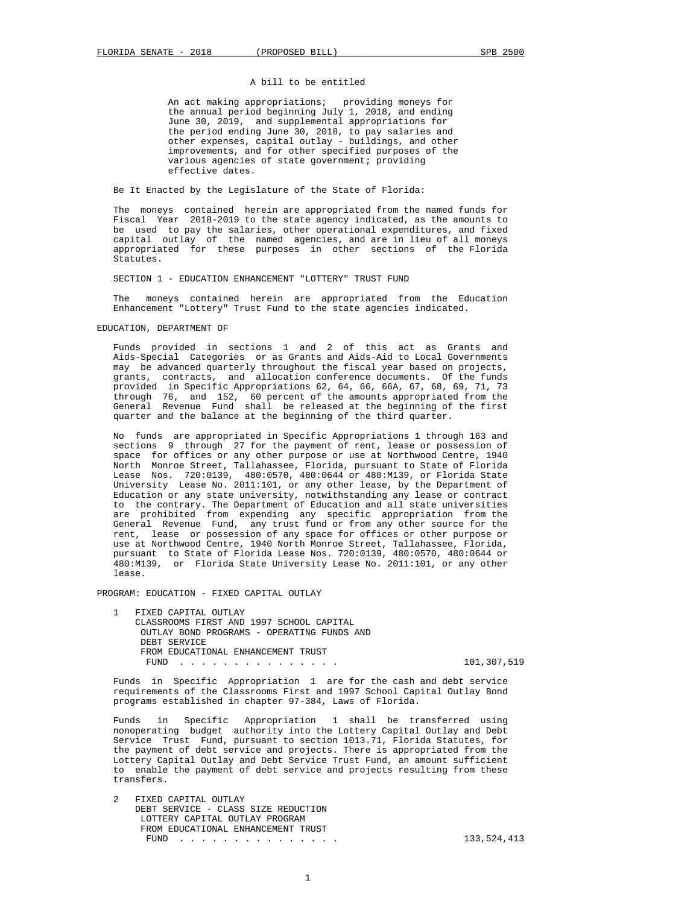# A bill to be entitled

 An act making appropriations; providing moneys for the annual period beginning July 1, 2018, and ending June 30, 2019, and supplemental appropriations for the period ending June 30, 2018, to pay salaries and other expenses, capital outlay - buildings, and other improvements, and for other specified purposes of the various agencies of state government; providing effective dates.

Be It Enacted by the Legislature of the State of Florida:

 The moneys contained herein are appropriated from the named funds for Fiscal Year 2018-2019 to the state agency indicated, as the amounts to be used to pay the salaries, other operational expenditures, and fixed capital outlay of the named agencies, and are in lieu of all moneys appropriated for these purposes in other sections of the Florida Statutes.

SECTION 1 - EDUCATION ENHANCEMENT "LOTTERY" TRUST FUND

 The moneys contained herein are appropriated from the Education Enhancement "Lottery" Trust Fund to the state agencies indicated.

EDUCATION, DEPARTMENT OF

 Funds provided in sections 1 and 2 of this act as Grants and Aids-Special Categories or as Grants and Aids-Aid to Local Governments may be advanced quarterly throughout the fiscal year based on projects, grants, contracts, and allocation conference documents. Of the funds provided in Specific Appropriations 62, 64, 66, 66A, 67, 68, 69, 71, 73 through 76, and 152, 60 percent of the amounts appropriated from the General Revenue Fund shall be released at the beginning of the first quarter and the balance at the beginning of the third quarter.

 No funds are appropriated in Specific Appropriations 1 through 163 and sections 9 through 27 for the payment of rent, lease or possession of space for offices or any other purpose or use at Northwood Centre, 1940 North Monroe Street, Tallahassee, Florida, pursuant to State of Florida Lease Nos. 720:0139, 480:0570, 480:0644 or 480:M139, or Florida State University Lease No. 2011:101, or any other lease, by the Department of Education or any state university, notwithstanding any lease or contract to the contrary. The Department of Education and all state universities are prohibited from expending any specific appropriation from the General Revenue Fund, any trust fund or from any other source for the rent, lease or possession of any space for offices or other purpose or use at Northwood Centre, 1940 North Monroe Street, Tallahassee, Florida, pursuant to State of Florida Lease Nos. 720:0139, 480:0570, 480:0644 or 480:M139, or Florida State University Lease No. 2011:101, or any other lease.

PROGRAM: EDUCATION - FIXED CAPITAL OUTLAY

FIXED CAPITAL OUTLAY CLASSROOMS FIRST AND 1997 SCHOOL CAPITAL OUTLAY BOND PROGRAMS - OPERATING FUNDS AND DEBT SERVICE FROM EDUCATIONAL ENHANCEMENT TRUST

101,307,519

 Funds in Specific Appropriation 1 are for the cash and debt service requirements of the Classrooms First and 1997 School Capital Outlay Bond programs established in chapter 97-384, Laws of Florida.

 Funds in Specific Appropriation 1 shall be transferred using nonoperating budget authority into the Lottery Capital Outlay and Debt Service Trust Fund, pursuant to section 1013.71, Florida Statutes, for the payment of debt service and projects. There is appropriated from the Lottery Capital Outlay and Debt Service Trust Fund, an amount sufficient to enable the payment of debt service and projects resulting from these transfers.

 2 FIXED CAPITAL OUTLAY DEBT SERVICE - CLASS SIZE REDUCTION LOTTERY CAPITAL OUTLAY PROGRAM FROM EDUCATIONAL ENHANCEMENT TRUST FUND . . . . . . . . . . . . . . . 133,524,413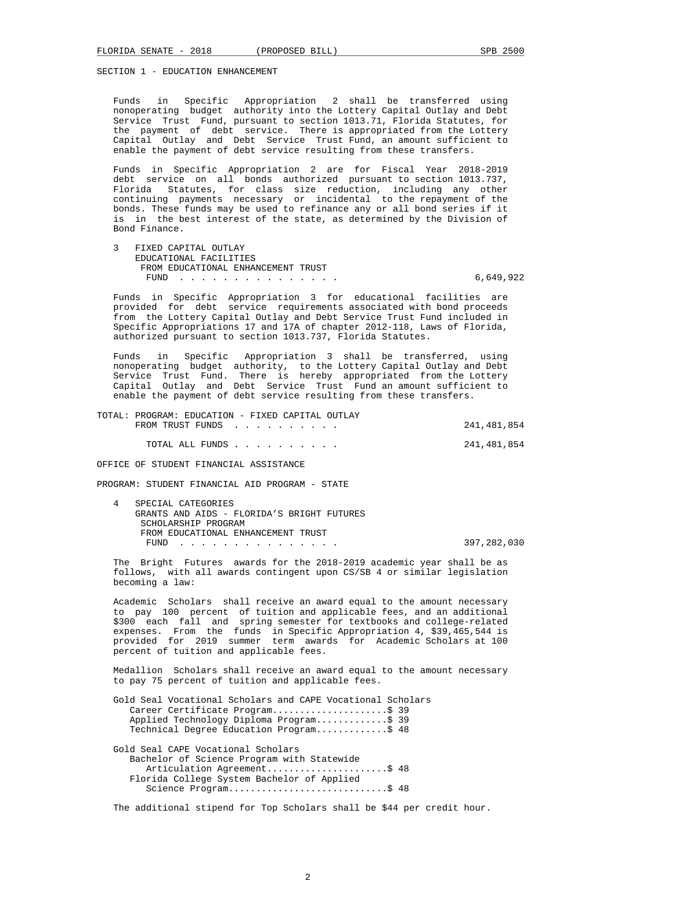SECTION 1 - EDUCATION ENHANCEMENT

 Funds in Specific Appropriation 2 shall be transferred using nonoperating budget authority into the Lottery Capital Outlay and Debt Service Trust Fund, pursuant to section 1013.71, Florida Statutes, for the payment of debt service. There is appropriated from the Lottery Capital Outlay and Debt Service Trust Fund, an amount sufficient to enable the payment of debt service resulting from these transfers.

 Funds in Specific Appropriation 2 are for Fiscal Year 2018-2019 debt service on all bonds authorized pursuant to section 1013.737, Florida Statutes, for class size reduction, including any other continuing payments necessary or incidental to the repayment of the bonds. These funds may be used to refinance any or all bond series if it is in the best interest of the state, as determined by the Division of Bond Finance.

 3 FIXED CAPITAL OUTLAY EDUCATIONAL FACILITIES FROM EDUCATIONAL ENHANCEMENT TRUST FUND . . . . . . . . . . . . . . . 6,649,922

 Funds in Specific Appropriation 3 for educational facilities are provided for debt service requirements associated with bond proceeds from the Lottery Capital Outlay and Debt Service Trust Fund included in Specific Appropriations 17 and 17A of chapter 2012-118, Laws of Florida, authorized pursuant to section 1013.737, Florida Statutes.

 Funds in Specific Appropriation 3 shall be transferred, using nonoperating budget authority, to the Lottery Capital Outlay and Debt Service Trust Fund. There is hereby appropriated from the Lottery Capital Outlay and Debt Service Trust Fund an amount sufficient to enable the payment of debt service resulting from these transfers.

 TOTAL: PROGRAM: EDUCATION - FIXED CAPITAL OUTLAY FROM TRUST FUNDS . . . . . . . . . . . . . . . . . . 241,481,854 TOTAL ALL FUNDS . . . . . . . . . . 241,481,854

OFFICE OF STUDENT FINANCIAL ASSISTANCE

PROGRAM: STUDENT FINANCIAL AID PROGRAM - STATE

SPECIAL CATEGORIES GRANTS AND AIDS - FLORIDA'S BRIGHT FUTURES SCHOLARSHIP PROGRAM FROM EDUCATIONAL ENHANCEMENT TRUST FUND . . . . . . . . . . . . . . . 397,282,030

 The Bright Futures awards for the 2018-2019 academic year shall be as follows, with all awards contingent upon CS/SB 4 or similar legislation becoming a law:

 Academic Scholars shall receive an award equal to the amount necessary to pay 100 percent of tuition and applicable fees, and an additional \$300 each fall and spring semester for textbooks and college-related expenses. From the funds in Specific Appropriation 4, \$39,465,544 is provided for 2019 summer term awards for Academic Scholars at 100 percent of tuition and applicable fees.

 Medallion Scholars shall receive an award equal to the amount necessary to pay 75 percent of tuition and applicable fees.

 Gold Seal Vocational Scholars and CAPE Vocational Scholars Career Certificate Program.......................\$ 39 Applied Technology Diploma Program.............\$ 39 Technical Degree Education Program.............\$ 48

 Gold Seal CAPE Vocational Scholars Bachelor of Science Program with Statewide Articulation Agreement........................\$ 48 Florida College System Bachelor of Applied Science Program..................................\$ 48

The additional stipend for Top Scholars shall be \$44 per credit hour.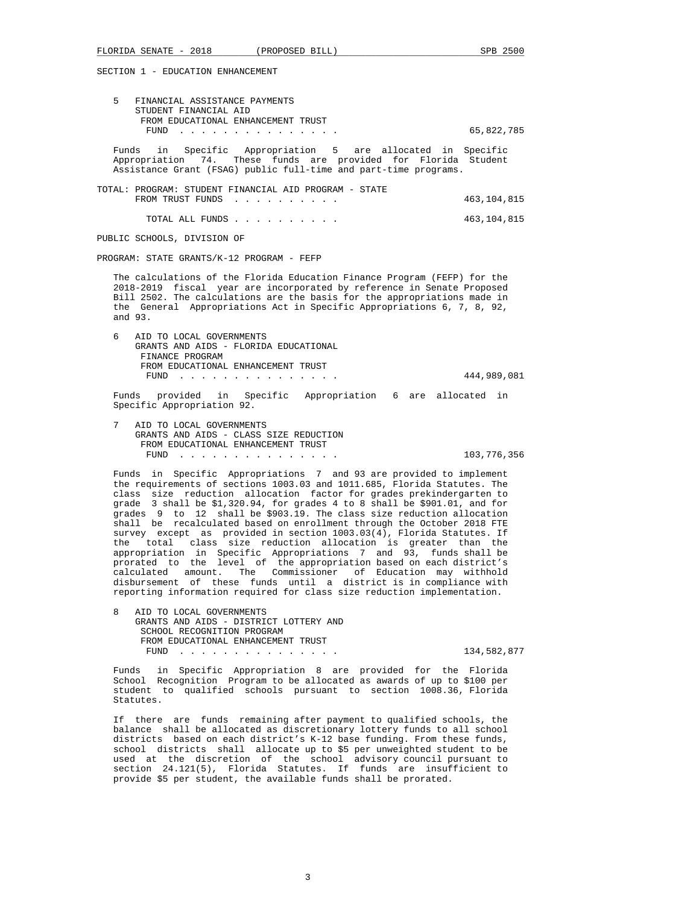SECTION 1 - EDUCATION ENHANCEMENT

| 5<br>FINANCIAL ASSISTANCE PAYMENTS<br>STUDENT FINANCIAL AID                                                                                                                                                                                                                                                                                                                                                                                                                                                                                                                                                                                                                                                                                                                                                                                                                                                                                                        |               |
|--------------------------------------------------------------------------------------------------------------------------------------------------------------------------------------------------------------------------------------------------------------------------------------------------------------------------------------------------------------------------------------------------------------------------------------------------------------------------------------------------------------------------------------------------------------------------------------------------------------------------------------------------------------------------------------------------------------------------------------------------------------------------------------------------------------------------------------------------------------------------------------------------------------------------------------------------------------------|---------------|
| FROM EDUCATIONAL ENHANCEMENT TRUST<br>FUND<br><u>in the second contract of the second contract of the second contract of the second contract of the second contract of the second contract of the second contract of the second contract of the second contract of the second </u>                                                                                                                                                                                                                                                                                                                                                                                                                                                                                                                                                                                                                                                                                 | 65,822,785    |
| in Specific Appropriation 5 are allocated in Specific<br>Funds<br>Appropriation 74. These funds are provided for Florida Student<br>Assistance Grant (FSAG) public full-time and part-time programs.                                                                                                                                                                                                                                                                                                                                                                                                                                                                                                                                                                                                                                                                                                                                                               |               |
| TOTAL: PROGRAM: STUDENT FINANCIAL AID PROGRAM - STATE<br>FROM TRUST FUNDS                                                                                                                                                                                                                                                                                                                                                                                                                                                                                                                                                                                                                                                                                                                                                                                                                                                                                          | 463, 104, 815 |
| TOTAL ALL FUNDS                                                                                                                                                                                                                                                                                                                                                                                                                                                                                                                                                                                                                                                                                                                                                                                                                                                                                                                                                    | 463,104,815   |
| PUBLIC SCHOOLS, DIVISION OF                                                                                                                                                                                                                                                                                                                                                                                                                                                                                                                                                                                                                                                                                                                                                                                                                                                                                                                                        |               |
| PROGRAM: STATE GRANTS/K-12 PROGRAM - FEFP                                                                                                                                                                                                                                                                                                                                                                                                                                                                                                                                                                                                                                                                                                                                                                                                                                                                                                                          |               |
| The calculations of the Florida Education Finance Program (FEFP) for the<br>2018-2019 fiscal year are incorporated by reference in Senate Proposed<br>Bill 2502. The calculations are the basis for the appropriations made in<br>the General Appropriations Act in Specific Appropriations 6, 7, 8, 92,<br>and 93.                                                                                                                                                                                                                                                                                                                                                                                                                                                                                                                                                                                                                                                |               |
| 6<br>AID TO LOCAL GOVERNMENTS<br>GRANTS AND AIDS - FLORIDA EDUCATIONAL<br>FINANCE PROGRAM<br>FROM EDUCATIONAL ENHANCEMENT TRUST                                                                                                                                                                                                                                                                                                                                                                                                                                                                                                                                                                                                                                                                                                                                                                                                                                    | 444,989,081   |
| Funds provided in Specific Appropriation 6 are allocated in<br>Specific Appropriation 92.                                                                                                                                                                                                                                                                                                                                                                                                                                                                                                                                                                                                                                                                                                                                                                                                                                                                          |               |
| 7<br>AID TO LOCAL GOVERNMENTS<br>GRANTS AND AIDS - CLASS SIZE REDUCTION<br>FROM EDUCATIONAL ENHANCEMENT TRUST<br>FUND<br>the contract of the contract of the contract of the contract of the contract of the contract of the contract of                                                                                                                                                                                                                                                                                                                                                                                                                                                                                                                                                                                                                                                                                                                           | 103,776,356   |
| Funds in Specific Appropriations 7 and 93 are provided to implement<br>the requirements of sections 1003.03 and 1011.685, Florida Statutes. The<br>class size reduction allocation factor for grades prekindergarten to<br>grade 3 shall be \$1,320.94, for grades 4 to 8 shall be \$901.01, and for<br>grades 9 to 12 shall be \$903.19. The class size reduction allocation<br>shall be recalculated based on enrollment through the October 2018 FTE<br>survey except as provided in section 1003.03(4), Florida Statutes. If<br>total class size reduction allocation is greater than the<br>the<br>appropriation in Specific Appropriations 7 and 93, funds shall be<br>prorated to the level of the appropriation based on each district's<br>calculated amount. The Commissioner of Education may withhold<br>disbursement of these funds until a district is in compliance with<br>reporting information required for class size reduction implementation. |               |
| 8<br>AID TO LOCAL GOVERNMENTS                                                                                                                                                                                                                                                                                                                                                                                                                                                                                                                                                                                                                                                                                                                                                                                                                                                                                                                                      |               |

 GRANTS AND AIDS - DISTRICT LOTTERY AND SCHOOL RECOGNITION PROGRAM FROM EDUCATIONAL ENHANCEMENT TRUST FUND . . . . . . . . . . . . . . . 134,582,877

 Funds in Specific Appropriation 8 are provided for the Florida School Recognition Program to be allocated as awards of up to \$100 per student to qualified schools pursuant to section 1008.36, Florida Statutes.

 If there are funds remaining after payment to qualified schools, the balance shall be allocated as discretionary lottery funds to all school districts based on each district's K-12 base funding. From these funds, school districts shall allocate up to \$5 per unweighted student to be used at the discretion of the school advisory council pursuant to section 24.121(5), Florida Statutes. If funds are insufficient to provide \$5 per student, the available funds shall be prorated.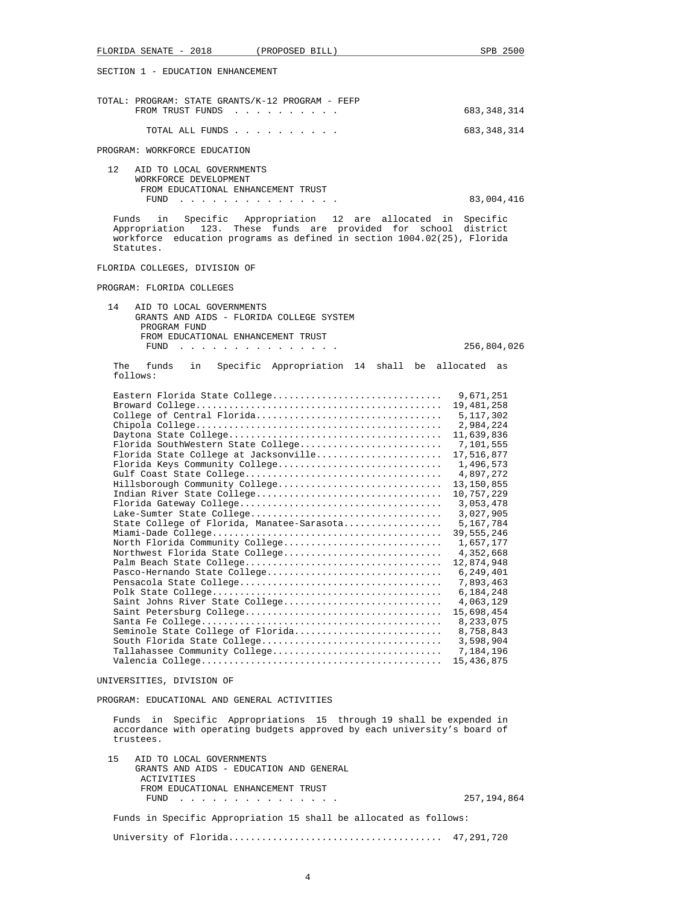FLORIDA SENATE - 2018 (PROPOSED BILL) SPB 2500 SECTION 1 - EDUCATION ENHANCEMENT TOTAL: PROGRAM: STATE GRANTS/K-12 PROGRAM - FEFP FROM TRUST FUNDS . . . . . . . . . . 683,348,314 TOTAL ALL FUNDS . . . . . . . . . . 683,348,314 PROGRAM: WORKFORCE EDUCATION 12 AID TO LOCAL GOVERNMENTS WORKFORCE DEVELOPMENT FROM EDUCATIONAL ENHANCEMENT TRUST FUND . . . . . . . . . . . . . . . 83,004,416 Funds in Specific Appropriation 12 are allocated in Specific Appropriation 123. These funds are provided for school district workforce education programs as defined in section 1004.02(25), Florida Statutes. FLORIDA COLLEGES, DIVISION OF PROGRAM: FLORIDA COLLEGES 14 AID TO LOCAL GOVERNMENTS GRANTS AND AIDS - FLORIDA COLLEGE SYSTEM PROGRAM FUND FROM EDUCATIONAL ENHANCEMENT TRUST FUND . . . . . . . . . . . . . . . 256,804,026 The funds in Specific Appropriation 14 shall be allocated as follows: Eastern Florida State College............................... 9,671,251 Broward College............................................. 19,481,258 College of Central Florida.................................. 5,117,302 Chipola College............................................. 2,984,224 Daytona State College....................................... 11,639,836 Florida SouthWestern State College.......................... Florida State College at Jacksonville........................... 17,516,877 Florida Keys Community College.............................. 1,496,573 Gulf Coast State College.................................... 4,897,272 Hillsborough Community College.............................. 13,150,855 Indian River State College.................................. 10,757,229 Florida Gateway College..................................... 3,053,478 Lake-Sumter State College................................... 3,027,905 State College of Florida, Manatee-Sarasota................. Miami-Dade College.......................................... 39,555,246 North Florida Community College............................. 1,657,177 Northwest Florida State College............................. 4,352,668 Palm Beach State College.................................... 12,874,948 Pasco-Hernando State College................................ 6,249,401 Pensacola State College..................................... 7,893,463 Polk State College.......................................... 6,184,248 Saint Johns River State College.............................. Saint Petersburg College.................................... 15,698,454 Santa Fe College............................................ 8,233,075 Seminole State College of Florida............................ South Florida State College................................. 3,598,904 Tallahassee Community College............................... 7,184,196 Valencia College............................................ 15,436,875 UNIVERSITIES, DIVISION OF PROGRAM: EDUCATIONAL AND GENERAL ACTIVITIES Funds in Specific Appropriations 15 through 19 shall be expended in accordance with operating budgets approved by each university's board of trustees. 15 AID TO LOCAL GOVERNMENTS GRANTS AND AIDS - EDUCATION AND GENERAL ACTIVITIES FROM EDUCATIONAL ENHANCEMENT TRUST FUND . . . . . . . . . . . . . . . 257,194,864 Funds in Specific Appropriation 15 shall be allocated as follows: University of Florida....................................... 47,291,720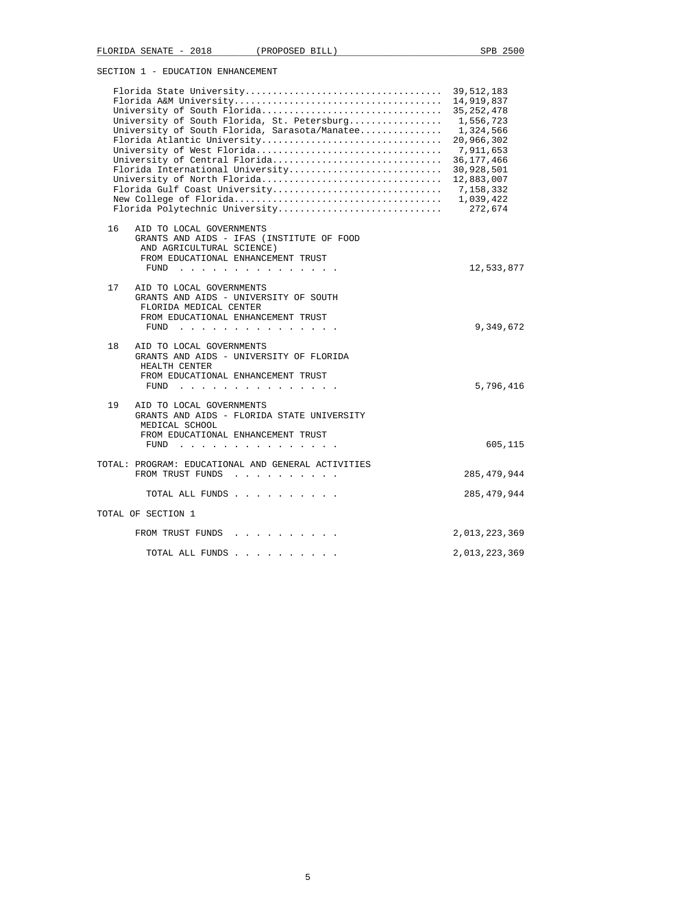SECTION 1 - EDUCATION ENHANCEMENT

|    | University of South Florida<br>University of South Florida, St. Petersburg<br>University of South Florida, Sarasota/Manatee<br>Florida Atlantic University<br>University of West Florida<br>University of Central Florida<br>Florida International University<br>University of North Florida<br>Florida Gulf Coast University<br>Florida Polytechnic University | 39,512,183<br>14,919,837<br>35, 252, 478<br>1,556,723<br>1,324,566<br>20,966,302<br>7,911,653<br>36, 177, 466<br>30,928,501<br>12,883,007<br>7,158,332<br>1,039,422<br>272,674 |
|----|-----------------------------------------------------------------------------------------------------------------------------------------------------------------------------------------------------------------------------------------------------------------------------------------------------------------------------------------------------------------|--------------------------------------------------------------------------------------------------------------------------------------------------------------------------------|
| 16 | AID TO LOCAL GOVERNMENTS<br>GRANTS AND AIDS - IFAS (INSTITUTE OF FOOD<br>AND AGRICULTURAL SCIENCE)<br>FROM EDUCATIONAL ENHANCEMENT TRUST<br>FUND                                                                                                                                                                                                                | 12,533,877                                                                                                                                                                     |
| 17 | AID TO LOCAL GOVERNMENTS<br>GRANTS AND AIDS - UNIVERSITY OF SOUTH<br>FLORIDA MEDICAL CENTER<br>FROM EDUCATIONAL ENHANCEMENT TRUST<br>FUND<br><u>.</u>                                                                                                                                                                                                           | 9,349,672                                                                                                                                                                      |
| 18 | AID TO LOCAL GOVERNMENTS<br>GRANTS AND AIDS - UNIVERSITY OF FLORIDA<br>HEALTH CENTER<br>FROM EDUCATIONAL ENHANCEMENT TRUST<br>FUND<br>the contract of the contract of the contract of the                                                                                                                                                                       | 5,796,416                                                                                                                                                                      |
| 19 | AID TO LOCAL GOVERNMENTS<br>GRANTS AND AIDS - FLORIDA STATE UNIVERSITY<br>MEDICAL SCHOOL<br>FROM EDUCATIONAL ENHANCEMENT TRUST<br>FUND $\cdots$                                                                                                                                                                                                                 | 605,115                                                                                                                                                                        |
|    | TOTAL: PROGRAM: EDUCATIONAL AND GENERAL ACTIVITIES<br>FROM TRUST FUNDS                                                                                                                                                                                                                                                                                          | 285, 479, 944                                                                                                                                                                  |
|    | TOTAL ALL FUNDS                                                                                                                                                                                                                                                                                                                                                 | 285, 479, 944                                                                                                                                                                  |
|    | TOTAL OF SECTION 1                                                                                                                                                                                                                                                                                                                                              |                                                                                                                                                                                |
|    | FROM TRUST FUNDS                                                                                                                                                                                                                                                                                                                                                | 2,013,223,369                                                                                                                                                                  |
|    | TOTAL ALL FUNDS                                                                                                                                                                                                                                                                                                                                                 | 2,013,223,369                                                                                                                                                                  |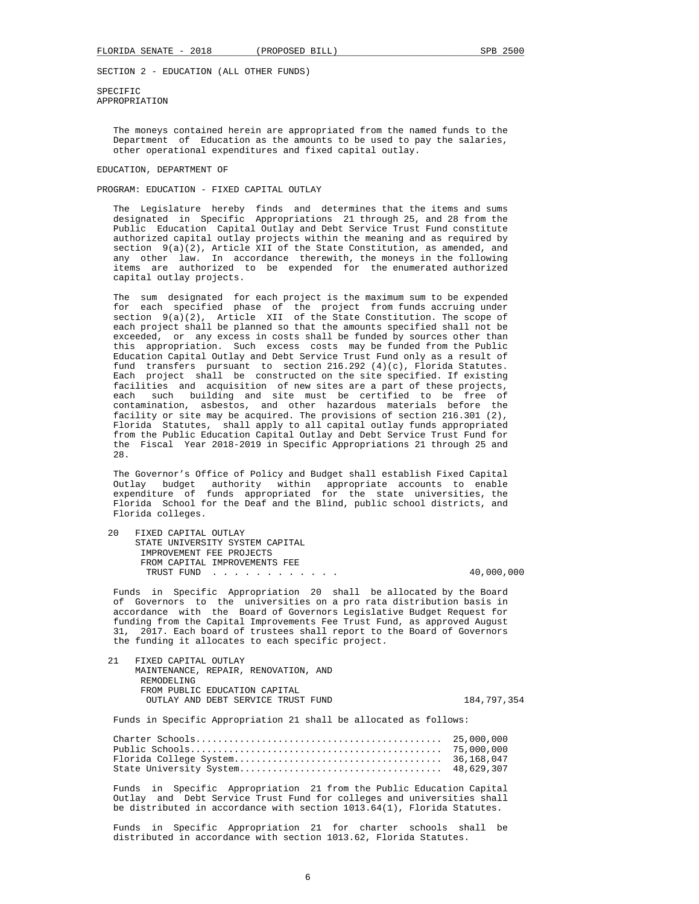SPECIFIC APPROPRIATION

> The moneys contained herein are appropriated from the named funds to the Department of Education as the amounts to be used to pay the salaries, other operational expenditures and fixed capital outlay.

### EDUCATION, DEPARTMENT OF

PROGRAM: EDUCATION - FIXED CAPITAL OUTLAY

 The Legislature hereby finds and determines that the items and sums designated in Specific Appropriations 21 through 25, and 28 from the Public Education Capital Outlay and Debt Service Trust Fund constitute authorized capital outlay projects within the meaning and as required by section 9(a)(2), Article XII of the State Constitution, as amended, and any other law. In accordance therewith, the moneys in the following items are authorized to be expended for the enumerated authorized capital outlay projects.

 The sum designated for each project is the maximum sum to be expended for each specified phase of the project from funds accruing under section 9(a)(2), Article XII of the State Constitution. The scope of each project shall be planned so that the amounts specified shall not be exceeded, or any excess in costs shall be funded by sources other than this appropriation. Such excess costs may be funded from the Public Education Capital Outlay and Debt Service Trust Fund only as a result of fund transfers pursuant to section 216.292 (4)(c), Florida Statutes. Each project shall be constructed on the site specified. If existing facilities and acquisition of new sites are a part of these projects, each such building and site must be certified to be free of contamination, asbestos, and other hazardous materials before the facility or site may be acquired. The provisions of section 216.301 (2), Florida Statutes, shall apply to all capital outlay funds appropriated from the Public Education Capital Outlay and Debt Service Trust Fund for the Fiscal Year 2018-2019 in Specific Appropriations 21 through 25 and 28.

 The Governor's Office of Policy and Budget shall establish Fixed Capital Outlay budget authority within appropriate accounts to enable expenditure of funds appropriated for the state universities, the Florida School for the Deaf and the Blind, public school districts, and Florida colleges.

 20 FIXED CAPITAL OUTLAY STATE UNIVERSITY SYSTEM CAPITAL IMPROVEMENT FEE PROJECTS FROM CAPITAL IMPROVEMENTS FEE TRUST FUND . . . . . . . . . . . . 40,000,000

 Funds in Specific Appropriation 20 shall be allocated by the Board of Governors to the universities on a pro rata distribution basis in accordance with the Board of Governors Legislative Budget Request for funding from the Capital Improvements Fee Trust Fund, as approved August 31, 2017. Each board of trustees shall report to the Board of Governors the funding it allocates to each specific project.

 21 FIXED CAPITAL OUTLAY MAINTENANCE, REPAIR, RENOVATION, AND REMODELING FROM PUBLIC EDUCATION CAPITAL OUTLAY AND DEBT SERVICE TRUST FUND 184,797,354

Funds in Specific Appropriation 21 shall be allocated as follows:

 Funds in Specific Appropriation 21 from the Public Education Capital Outlay and Debt Service Trust Fund for colleges and universities shall be distributed in accordance with section 1013.64(1), Florida Statutes.

 Funds in Specific Appropriation 21 for charter schools shall be distributed in accordance with section 1013.62, Florida Statutes.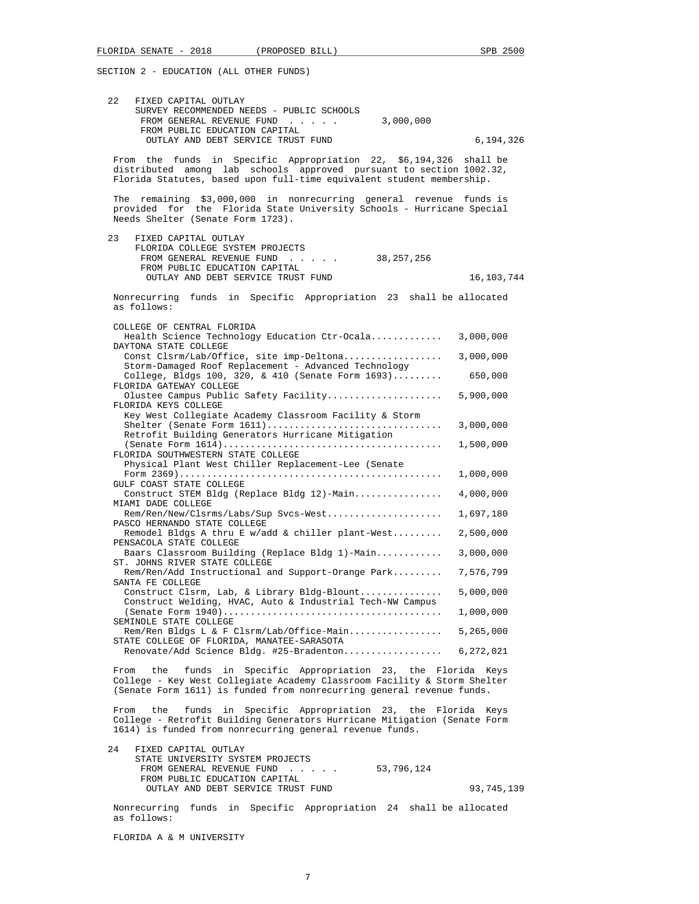| 22<br>FIXED CAPITAL OUTLAY                                                                                                                                                                                               |              |
|--------------------------------------------------------------------------------------------------------------------------------------------------------------------------------------------------------------------------|--------------|
| SURVEY RECOMMENDED NEEDS - PUBLIC SCHOOLS<br>FROM GENERAL REVENUE FUND<br>3,000,000                                                                                                                                      |              |
| FROM PUBLIC EDUCATION CAPITAL                                                                                                                                                                                            |              |
| OUTLAY AND DEBT SERVICE TRUST FUND                                                                                                                                                                                       | 6,194,326    |
| From the funds in Specific Appropriation 22, \$6,194,326 shall be<br>distributed among lab schools approved pursuant to section 1002.32,<br>Florida Statutes, based upon full-time equivalent student membership.        |              |
| The remaining \$3,000,000 in nonrecurring general revenue funds is<br>provided for the Florida State University Schools - Hurricane Special<br>Needs Shelter (Senate Form 1723).                                         |              |
| 23<br>FIXED CAPITAL OUTLAY<br>FLORIDA COLLEGE SYSTEM PROJECTS<br>FROM GENERAL REVENUE FUND 38,257,256<br>FROM PUBLIC EDUCATION CAPITAL                                                                                   |              |
| OUTLAY AND DEBT SERVICE TRUST FUND                                                                                                                                                                                       | 16, 103, 744 |
| Nonrecurring funds in Specific Appropriation 23 shall be allocated<br>as follows:                                                                                                                                        |              |
| COLLEGE OF CENTRAL FLORIDA<br>Health Science Technology Education Ctr-Ocala                                                                                                                                              | 3,000,000    |
| DAYTONA STATE COLLEGE<br>Const Clsrm/Lab/Office, site imp-Deltona                                                                                                                                                        | 3,000,000    |
| Storm-Damaged Roof Replacement - Advanced Technology<br>College, Bldgs 100, 320, & 410 (Senate Form $1693)$                                                                                                              | 650,000      |
| FLORIDA GATEWAY COLLEGE<br>Olustee Campus Public Safety Facility                                                                                                                                                         | 5,900,000    |
| FLORIDA KEYS COLLEGE                                                                                                                                                                                                     |              |
| Key West Collegiate Academy Classroom Facility & Storm<br>Retrofit Building Generators Hurricane Mitigation                                                                                                              | 3,000,000    |
| FLORIDA SOUTHWESTERN STATE COLLEGE<br>Physical Plant West Chiller Replacement-Lee (Senate                                                                                                                                | 1,500,000    |
|                                                                                                                                                                                                                          | 1,000,000    |
| GULF COAST STATE COLLEGE<br>Construct STEM Bldg (Replace Bldg 12)-Main<br>MIAMI DADE COLLEGE                                                                                                                             | 4,000,000    |
| Rem/Ren/New/Clsrms/Labs/Sup Svcs-West<br>PASCO HERNANDO STATE COLLEGE                                                                                                                                                    | 1,697,180    |
| Remodel Bldgs A thru E w/add & chiller plant-West<br>PENSACOLA STATE COLLEGE                                                                                                                                             | 2,500,000    |
| Baars Classroom Building (Replace Bldg 1)-Main<br>ST. JOHNS RIVER STATE COLLEGE                                                                                                                                          | 3,000,000    |
| Rem/Ren/Add Instructional and Support-Orange Park 7,576,799<br>SANTA FE COLLEGE                                                                                                                                          |              |
| Construct Clsrm, Lab, & Library Bldg-Blount<br>Construct Welding, HVAC, Auto & Industrial Tech-NW Campus                                                                                                                 | 5,000,000    |
|                                                                                                                                                                                                                          | 1,000,000    |
| SEMINOLE STATE COLLEGE<br>Rem/Ren Bldgs L & F Clsrm/Lab/Office-Main                                                                                                                                                      | 5,265,000    |
| STATE COLLEGE OF FLORIDA, MANATEE-SARASOTA<br>Renovate/Add Science Bldg. #25-Bradenton                                                                                                                                   | 6,272,021    |
| funds in Specific Appropriation 23, the Florida Keys<br>From<br>the<br>College - Key West Collegiate Academy Classroom Facility & Storm Shelter<br>(Senate Form 1611) is funded from nonrecurring general revenue funds. |              |
| funds in Specific Appropriation 23, the Florida Keys<br>From<br>the<br>College - Retrofit Building Generators Hurricane Mitigation (Senate Form<br>1614) is funded from nonrecurring general revenue funds.              |              |
| 24<br>FIXED CAPITAL OUTLAY<br>STATE UNIVERSITY SYSTEM PROJECTS<br>FROM GENERAL REVENUE FUND<br>53,796,124<br>FROM PUBLIC EDUCATION CAPITAL                                                                               |              |

 Nonrecurring funds in Specific Appropriation 24 shall be allocated as follows:

OUTLAY AND DEBT SERVICE TRUST FUND 93,745,139

FLORIDA A & M UNIVERSITY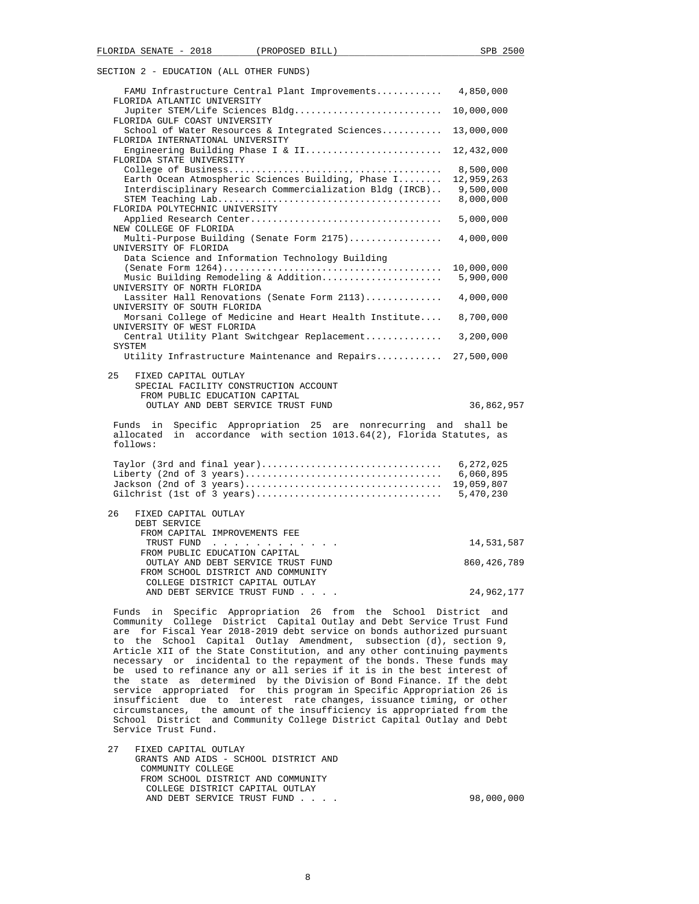| FAMU Infrastructure Central Plant Improvements 4,850,000                                                                                                                                                            |               |
|---------------------------------------------------------------------------------------------------------------------------------------------------------------------------------------------------------------------|---------------|
| FLORIDA ATLANTIC UNIVERSITY<br>Jupiter STEM/Life Sciences Bldg 10,000,000                                                                                                                                           |               |
| FLORIDA GULF COAST UNIVERSITY<br>School of Water Resources & Integrated Sciences 13,000,000                                                                                                                         |               |
| FLORIDA INTERNATIONAL UNIVERSITY<br>Engineering Building Phase I & II 12,432,000                                                                                                                                    |               |
| FLORIDA STATE UNIVERSITY                                                                                                                                                                                            |               |
|                                                                                                                                                                                                                     | 8,500,000     |
| Earth Ocean Atmospheric Sciences Building, Phase I                                                                                                                                                                  | 12,959,263    |
| Interdisciplinary Research Commercialization Bldg (IRCB)                                                                                                                                                            | 9,500,000     |
| FLORIDA POLYTECHNIC UNIVERSITY                                                                                                                                                                                      | 8,000,000     |
| NEW COLLEGE OF FLORIDA                                                                                                                                                                                              | 5,000,000     |
| Multi-Purpose Building (Senate Form 2175)                                                                                                                                                                           | 4,000,000     |
| UNIVERSITY OF FLORIDA<br>Data Science and Information Technology Building                                                                                                                                           |               |
|                                                                                                                                                                                                                     | 10,000,000    |
| Music Building Remodeling & Addition<br>UNIVERSITY OF NORTH FLORIDA                                                                                                                                                 | 5,900,000     |
| Lassiter Hall Renovations (Senate Form 2113)                                                                                                                                                                        | 4,000,000     |
| UNIVERSITY OF SOUTH FLORIDA<br>Morsani College of Medicine and Heart Health Institute 8,700,000                                                                                                                     |               |
| UNIVERSITY OF WEST FLORIDA                                                                                                                                                                                          |               |
| Central Utility Plant Switchgear Replacement 3,200,000<br>SYSTEM                                                                                                                                                    |               |
| Utility Infrastructure Maintenance and Repairs 27,500,000                                                                                                                                                           |               |
| 25<br>FIXED CAPITAL OUTLAY                                                                                                                                                                                          |               |
| SPECIAL FACILITY CONSTRUCTION ACCOUNT                                                                                                                                                                               |               |
| FROM PUBLIC EDUCATION CAPITAL                                                                                                                                                                                       |               |
| OUTLAY AND DEBT SERVICE TRUST FUND                                                                                                                                                                                  | 36,862,957    |
| Specific Appropriation 25 are nonrecurring and shall be<br>Funds in<br>in accordance with section 1013.64(2), Florida Statutes, as<br>allocated<br>follows:                                                         |               |
| Taylor (3rd and final year)                                                                                                                                                                                         | 6,272,025     |
|                                                                                                                                                                                                                     | 6,060,895     |
|                                                                                                                                                                                                                     | 19,059,807    |
|                                                                                                                                                                                                                     |               |
| 26<br>FIXED CAPITAL OUTLAY                                                                                                                                                                                          |               |
| DEBT SERVICE                                                                                                                                                                                                        |               |
| FROM CAPITAL IMPROVEMENTS FEE                                                                                                                                                                                       |               |
| TRUST FUND<br>FROM PUBLIC EDUCATION CAPITAL                                                                                                                                                                         | 14,531,587    |
| OUTLAY AND DEBT SERVICE TRUST FUND                                                                                                                                                                                  | 860, 426, 789 |
| FROM SCHOOL DISTRICT AND COMMUNITY                                                                                                                                                                                  |               |
| COLLEGE DISTRICT CAPITAL OUTLAY                                                                                                                                                                                     |               |
| AND DEBT SERVICE TRUST FUND                                                                                                                                                                                         | 24,962,177    |
| Funds in Specific Appropriation 26 from the School District and<br>Community College District Capital Outlay and Debt Service Trust Fund<br>are for Fiscal Year 2018-2019 debt service on bonds authorized pursuant |               |
| to the School Capital Outlay Amendment subsection (d) section 9                                                                                                                                                     |               |

 to the School Capital Outlay Amendment, subsection (d), section 9, Article XII of the State Constitution, and any other continuing payments necessary or incidental to the repayment of the bonds. These funds may be used to refinance any or all series if it is in the best interest of the state as determined by the Division of Bond Finance. If the debt service appropriated for this program in Specific Appropriation 26 is insufficient due to interest rate changes, issuance timing, or other circumstances, the amount of the insufficiency is appropriated from the School District and Community College District Capital Outlay and Debt Service Trust Fund.

 27 FIXED CAPITAL OUTLAY GRANTS AND AIDS - SCHOOL DISTRICT AND COMMUNITY COLLEGE FROM SCHOOL DISTRICT AND COMMUNITY COLLEGE DISTRICT CAPITAL OUTLAY AND DEBT SERVICE TRUST FUND . . . . . . . . . . 98,000,000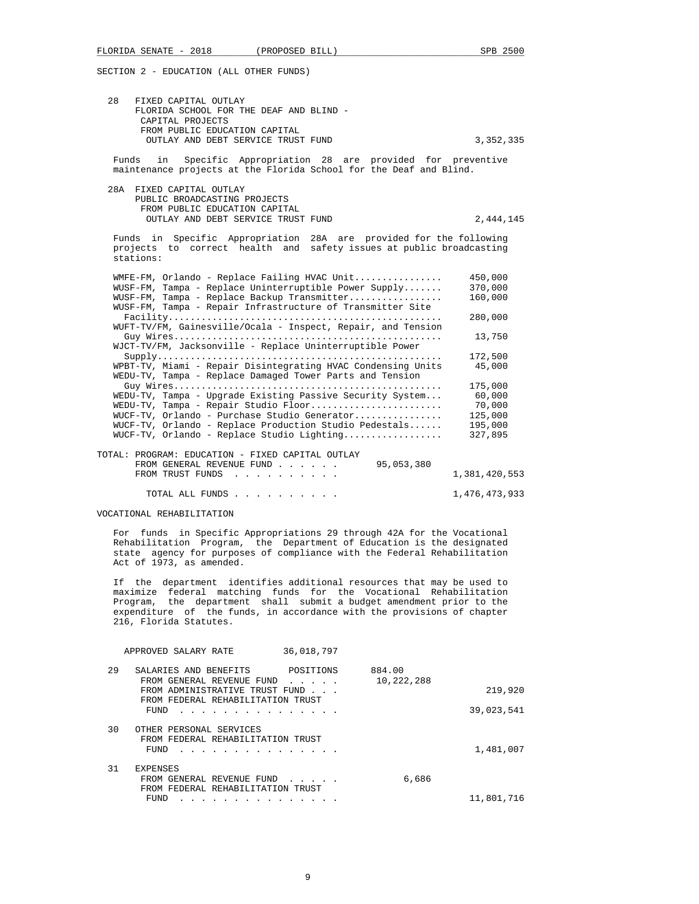28 FIXED CAPITAL OUTLAY FLORIDA SCHOOL FOR THE DEAF AND BLIND - CAPITAL PROJECTS FROM PUBLIC EDUCATION CAPITAL OUTLAY AND DEBT SERVICE TRUST FUND 3,352,335

 Funds in Specific Appropriation 28 are provided for preventive maintenance projects at the Florida School for the Deaf and Blind.

 28A FIXED CAPITAL OUTLAY PUBLIC BROADCASTING PROJECTS FROM PUBLIC EDUCATION CAPITAL OUTLAY AND DEBT SERVICE TRUST FUND 2,444,145

 Funds in Specific Appropriation 28A are provided for the following projects to correct health and safety issues at public broadcasting stations:

| $W\text{MFE-FM}$ , Orlando - Replace Failing HVAC Unit       | 450,000       |
|--------------------------------------------------------------|---------------|
| $WUSE-FM$ , Tampa - Replace Uninterruptible Power Supply     | 370,000       |
| WUSF-FM, Tampa - Replace Backup Transmitter                  | 160,000       |
| WUSF-FM, Tampa - Repair Infrastructure of Transmitter Site   |               |
|                                                              | 280,000       |
| WUFT-TV/FM, Gainesville/Ocala - Inspect, Repair, and Tension |               |
|                                                              | 13,750        |
| WJCT-TV/FM, Jacksonville - Replace Uninterruptible Power     |               |
|                                                              | 172,500       |
| WPBT-TV, Miami - Repair Disintegrating HVAC Condensing Units | 45,000        |
| WEDU-TV, Tampa - Replace Damaged Tower Parts and Tension     |               |
|                                                              | 175,000       |
| WEDU-TV, Tampa - Upgrade Existing Passive Security System    | 60,000        |
| WEDU-TV, Tampa - Repair Studio Floor                         | 70,000        |
| WUCF-TV, Orlando - Purchase Studio Generator                 | 125,000       |
| $WUCF-TV$ , Orlando - Replace Production Studio Pedestals    | 195,000       |
| WUCF-TV, Orlando - Replace Studio Lighting                   | 327,895       |
|                                                              |               |
| TOTAL: PROGRAM: EDUCATION - FIXED CAPITAL OUTLAY             |               |
| 95,053,380<br>FROM GENERAL REVENUE FUND                      |               |
| FROM TRUST FUNDS                                             | 1,381,420,553 |
|                                                              |               |

TOTAL ALL FUNDS . . . . . . . . . . 1,476,473,933

VOCATIONAL REHABILITATION

 For funds in Specific Appropriations 29 through 42A for the Vocational Rehabilitation Program, the Department of Education is the designated state agency for purposes of compliance with the Federal Rehabilitation Act of 1973, as amended.

 If the department identifies additional resources that may be used to maximize federal matching funds for the Vocational Rehabilitation Program, the department shall submit a budget amendment prior to the expenditure of the funds, in accordance with the provisions of chapter 216, Florida Statutes.

|            |                      | 36,018,797                                                                                                                                                                                                                    | APPROVED SALARY RATE                                                 |    |
|------------|----------------------|-------------------------------------------------------------------------------------------------------------------------------------------------------------------------------------------------------------------------------|----------------------------------------------------------------------|----|
|            | 884.00<br>10,222,288 | POSITIONS<br>$\begin{array}{cccccccccccccc} \bullet & \bullet & \bullet & \bullet & \bullet & \bullet & \bullet & \bullet \end{array}$                                                                                        | SALARIES AND BENEFITS<br>FROM GENERAL REVENUE FUND                   | 29 |
| 219,920    |                      |                                                                                                                                                                                                                               | FROM ADMINISTRATIVE TRUST FUND                                       |    |
| 39,023,541 |                      |                                                                                                                                                                                                                               | FROM FEDERAL REHABILITATION TRUST<br>FUND                            |    |
| 1,481,007  |                      |                                                                                                                                                                                                                               | OTHER PERSONAL SERVICES<br>FROM FEDERAL REHABILITATION TRUST<br>FUND | 30 |
|            |                      |                                                                                                                                                                                                                               | <b>EXPENSES</b>                                                      | 31 |
|            | 6,686                | $\sim$ $\sim$ $\sim$ $\sim$ $\sim$                                                                                                                                                                                            | FROM GENERAL REVENUE FUND                                            |    |
| 11,801,716 |                      |                                                                                                                                                                                                                               | FROM FEDERAL REHABILITATION TRUST<br>FUND                            |    |
|            |                      | the company of the company of the company of the company of the company of the company of the company of the company of the company of the company of the company of the company of the company of the company of the company |                                                                      |    |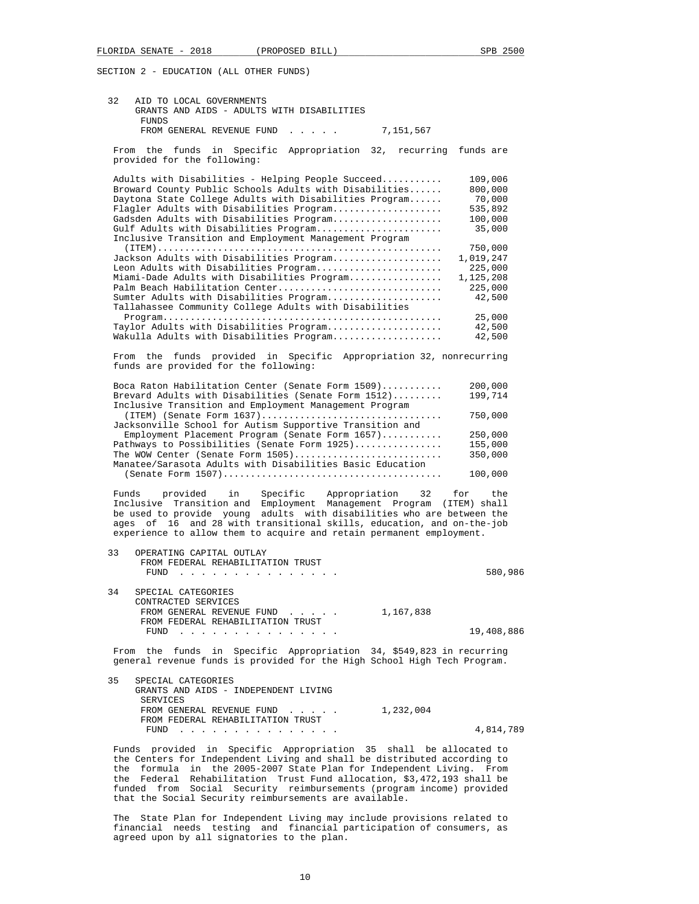| 32    | AID TO LOCAL GOVERNMENTS<br>GRANTS AND AIDS - ADULTS WITH DISABILITIES                                                                                                                                                                 |                    |  |
|-------|----------------------------------------------------------------------------------------------------------------------------------------------------------------------------------------------------------------------------------------|--------------------|--|
|       | <b>FUNDS</b><br>FROM GENERAL REVENUE FUND<br>7,151,567<br>.                                                                                                                                                                            |                    |  |
|       | From the funds in<br>Appropriation 32, recurring<br>Specific<br>provided for the following:                                                                                                                                            | funds are          |  |
|       | Adults with Disabilities - Helping People Succeed                                                                                                                                                                                      | 109,006            |  |
|       | Broward County Public Schools Adults with Disabilities                                                                                                                                                                                 | 800,000            |  |
|       | Daytona State College Adults with Disabilities Program                                                                                                                                                                                 | 70,000             |  |
|       | Flagler Adults with Disabilities Program                                                                                                                                                                                               | 535,892            |  |
|       | Gadsden Adults with Disabilities Program<br>Gulf Adults with Disabilities Program                                                                                                                                                      | 100,000<br>35,000  |  |
|       | Inclusive Transition and Employment Management Program                                                                                                                                                                                 | 750,000            |  |
|       | Jackson Adults with Disabilities Program                                                                                                                                                                                               | 1,019,247          |  |
|       | Leon Adults with Disabilities Program                                                                                                                                                                                                  | 225,000            |  |
|       | Miami-Dade Adults with Disabilities Program                                                                                                                                                                                            | 1,125,208          |  |
|       | Palm Beach Habilitation Center                                                                                                                                                                                                         | 225,000            |  |
|       | Sumter Adults with Disabilities Program                                                                                                                                                                                                | 42,500             |  |
|       | Tallahassee Community College Adults with Disabilities                                                                                                                                                                                 |                    |  |
|       |                                                                                                                                                                                                                                        | 25,000             |  |
|       | Taylor Adults with Disabilities Program<br>Wakulla Adults with Disabilities Program                                                                                                                                                    | 42,500<br>42,500   |  |
|       |                                                                                                                                                                                                                                        |                    |  |
|       | From the funds provided in Specific Appropriation 32, nonrecurring<br>funds are provided for the following:                                                                                                                            |                    |  |
|       |                                                                                                                                                                                                                                        |                    |  |
|       | Boca Raton Habilitation Center (Senate Form 1509)<br>Brevard Adults with Disabilities (Senate Form 1512)                                                                                                                               | 200,000<br>199,714 |  |
|       | Inclusive Transition and Employment Management Program                                                                                                                                                                                 |                    |  |
|       |                                                                                                                                                                                                                                        | 750,000            |  |
|       | Jacksonville School for Autism Supportive Transition and                                                                                                                                                                               |                    |  |
|       | Employment Placement Program (Senate Form 1657)                                                                                                                                                                                        | 250,000            |  |
|       | Pathways to Possibilities (Senate Form 1925)                                                                                                                                                                                           | 155,000            |  |
|       | The WOW Center (Senate Form 1505)<br>Manatee/Sarasota Adults with Disabilities Basic Education                                                                                                                                         | 350,000<br>100,000 |  |
|       |                                                                                                                                                                                                                                        |                    |  |
| Funds | Specific<br>Appropriation<br>provided<br>in<br>32                                                                                                                                                                                      | for<br>the         |  |
|       | Inclusive Transition and Employment Management Program (ITEM) shall                                                                                                                                                                    |                    |  |
|       | be used to provide young adults with disabilities who are between the                                                                                                                                                                  |                    |  |
|       | ages of 16 and 28 with transitional skills, education, and on-the-job<br>experience to allow them to acquire and retain permanent employment.                                                                                          |                    |  |
|       |                                                                                                                                                                                                                                        |                    |  |
| 33    | OPERATING CAPITAL OUTLAY<br>FROM FEDERAL REHABILITATION TRUST                                                                                                                                                                          |                    |  |
|       | <b>FUND</b><br>.                                                                                                                                                                                                                       | 580,986            |  |
|       |                                                                                                                                                                                                                                        |                    |  |
| 34    | SPECIAL CATEGORIES                                                                                                                                                                                                                     |                    |  |
|       | CONTRACTED SERVICES                                                                                                                                                                                                                    |                    |  |
|       | FROM GENERAL REVENUE FUND<br>1,167,838                                                                                                                                                                                                 |                    |  |
|       | FROM FEDERAL REHABILITATION TRUST                                                                                                                                                                                                      |                    |  |
|       | FUND<br>the contract of the contract of the contract of the contract of the contract of the contract of the contract of the contract of the contract of the contract of the contract of the contract of the contract of the contract o | 19,408,886         |  |
|       | From the funds in Specific Appropriation 34, \$549,823 in recurring<br>general revenue funds is provided for the High School High Tech Program.                                                                                        |                    |  |
| 35    | SPECIAL CATEGORIES                                                                                                                                                                                                                     |                    |  |
|       | GRANTS AND AIDS - INDEPENDENT LIVING<br>SERVICES                                                                                                                                                                                       |                    |  |
|       | FROM GENERAL REVENUE FUND<br>1,232,004                                                                                                                                                                                                 |                    |  |
|       | FROM FEDERAL REHABILITATION TRUST                                                                                                                                                                                                      |                    |  |
|       |                                                                                                                                                                                                                                        | 4,814,789          |  |
|       | FUND<br><u>.</u>                                                                                                                                                                                                                       |                    |  |
|       | Funds provided in Specific Appropriation 35 shall be allocated to                                                                                                                                                                      |                    |  |

 The State Plan for Independent Living may include provisions related to financial needs testing and financial participation of consumers, as agreed upon by all signatories to the plan.

that the Social Security reimbursements are available.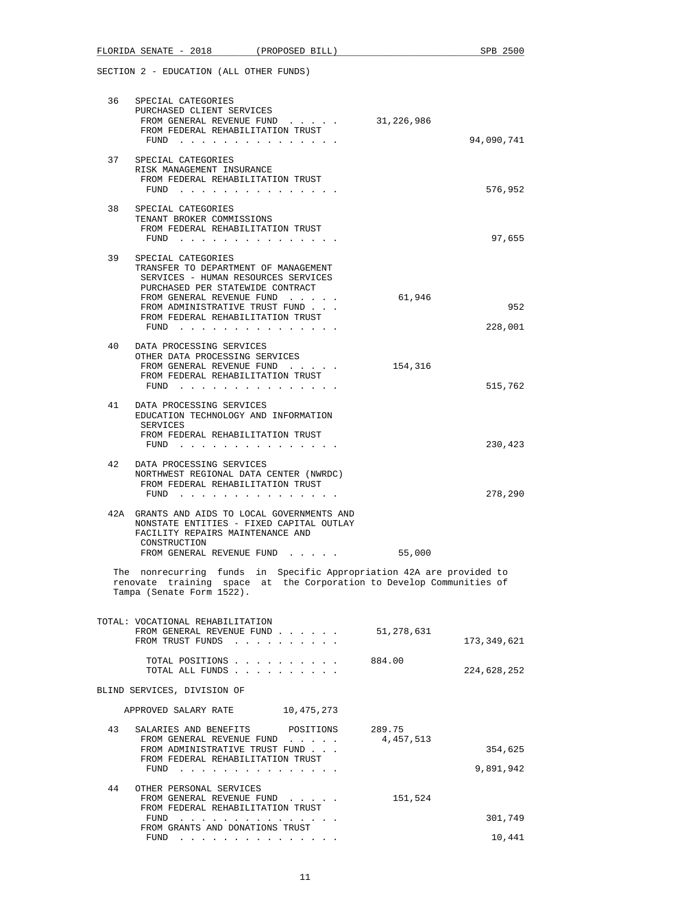|    | FLORIDA SENATE - 2018<br>(PROPOSED BILL)                                                                                                                                                                                                          |                     | SPB 2500             |
|----|---------------------------------------------------------------------------------------------------------------------------------------------------------------------------------------------------------------------------------------------------|---------------------|----------------------|
|    | SECTION 2 - EDUCATION (ALL OTHER FUNDS)                                                                                                                                                                                                           |                     |                      |
| 36 | SPECIAL CATEGORIES<br>PURCHASED CLIENT SERVICES<br>FROM GENERAL REVENUE FUND<br>FROM FEDERAL REHABILITATION TRUST<br>FUND                                                                                                                         | 31,226,986          | 94,090,741           |
| 37 | SPECIAL CATEGORIES<br>RISK MANAGEMENT INSURANCE<br>FROM FEDERAL REHABILITATION TRUST<br>FUND $\cdots$                                                                                                                                             |                     | 576,952              |
| 38 | SPECIAL CATEGORIES<br>TENANT BROKER COMMISSIONS<br>FROM FEDERAL REHABILITATION TRUST<br>FUND $\cdots$                                                                                                                                             |                     | 97,655               |
| 39 | SPECIAL CATEGORIES<br>TRANSFER TO DEPARTMENT OF MANAGEMENT<br>SERVICES - HUMAN RESOURCES SERVICES<br>PURCHASED PER STATEWIDE CONTRACT<br>FROM GENERAL REVENUE FUND<br>FROM ADMINISTRATIVE TRUST FUND<br>FROM FEDERAL REHABILITATION TRUST<br>FUND | 61,946              | 952<br>228,001       |
| 40 | DATA PROCESSING SERVICES<br>OTHER DATA PROCESSING SERVICES<br>FROM GENERAL REVENUE FUND<br>FROM FEDERAL REHABILITATION TRUST<br>FUND                                                                                                              | 154,316             | 515,762              |
| 41 | DATA PROCESSING SERVICES<br>EDUCATION TECHNOLOGY AND INFORMATION<br>SERVICES<br>FROM FEDERAL REHABILITATION TRUST<br>FUND $\cdots$                                                                                                                |                     | 230,423              |
| 42 | DATA PROCESSING SERVICES<br>NORTHWEST REGIONAL DATA CENTER (NWRDC)<br>FROM FEDERAL REHABILITATION TRUST<br>FUND $\cdots$                                                                                                                          |                     | 278,290              |
|    | 42A GRANTS AND AIDS TO LOCAL GOVERNMENTS AND<br>NONSTATE ENTITIES - FIXED CAPITAL OUTLAY<br>FACILITY REPAIRS MAINTENANCE AND<br>CONSTRUCTION<br>FROM GENERAL REVENUE FUND                                                                         | 55,000              |                      |
|    | The nonrecurring funds in Specific Appropriation 42A are provided to<br>renovate training space at the Corporation to Develop Communities of<br>Tampa (Senate Form 1522).                                                                         |                     |                      |
|    | TOTAL: VOCATIONAL REHABILITATION<br>FROM GENERAL REVENUE FUND<br>FROM TRUST FUNDS                                                                                                                                                                 | 51,278,631          | 173,349,621          |
|    | TOTAL POSITIONS<br>TOTAL ALL FUNDS                                                                                                                                                                                                                | 884.00              | 224,628,252          |
|    | BLIND SERVICES, DIVISION OF                                                                                                                                                                                                                       |                     |                      |
|    | APPROVED SALARY RATE<br>10,475,273                                                                                                                                                                                                                |                     |                      |
| 43 | SALARIES AND BENEFITS<br>POSITIONS<br>FROM GENERAL REVENUE FUND<br>FROM ADMINISTRATIVE TRUST FUND<br>FROM FEDERAL REHABILITATION TRUST<br>FUND $\cdots$ $\cdots$ $\cdots$ $\cdots$ $\cdots$ $\cdots$                                              | 289.75<br>4,457,513 | 354,625<br>9,891,942 |
| 44 | OTHER PERSONAL SERVICES<br>FROM GENERAL REVENUE FUND<br>FROM FEDERAL REHABILITATION TRUST<br>FUND $\cdots$                                                                                                                                        | 151,524             | 301,749              |
|    | FROM GRANTS AND DONATIONS TRUST<br>FUND $\cdots$                                                                                                                                                                                                  |                     | 10,441               |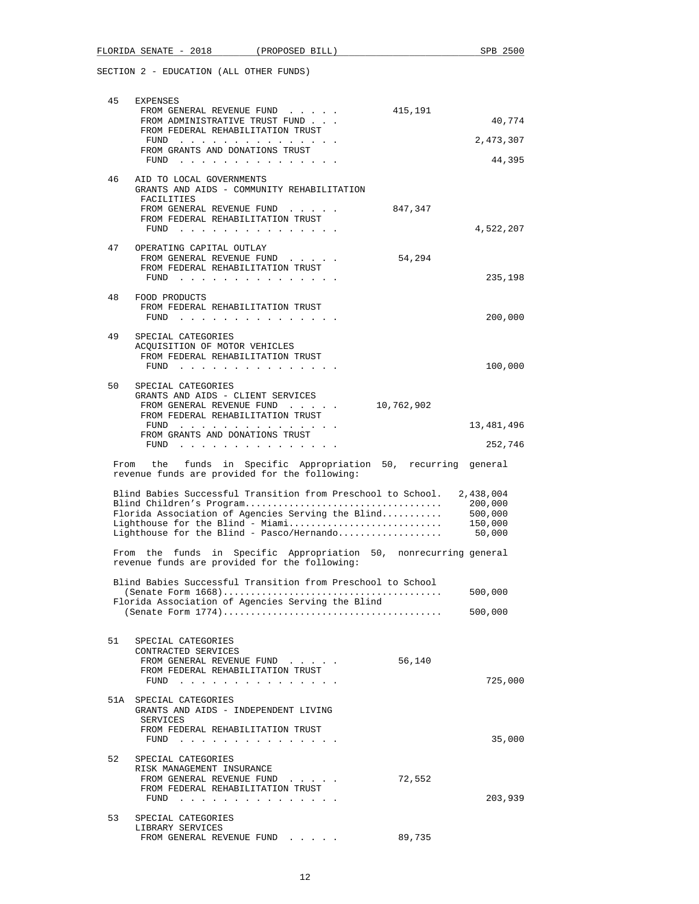|      | FLORIDA SENATE - 2018                                   |                                 | (PROPOSED BILL)                                            |                                                                   | SPB 2500   |
|------|---------------------------------------------------------|---------------------------------|------------------------------------------------------------|-------------------------------------------------------------------|------------|
|      | SECTION 2 - EDUCATION (ALL OTHER FUNDS)                 |                                 |                                                            |                                                                   |            |
|      |                                                         |                                 |                                                            |                                                                   |            |
| 45   | <b>EXPENSES</b>                                         |                                 | FROM GENERAL REVENUE FUND                                  | 415,191                                                           |            |
|      |                                                         |                                 | FROM ADMINISTRATIVE TRUST FUND                             |                                                                   | 40,774     |
|      |                                                         |                                 | FROM FEDERAL REHABILITATION TRUST                          |                                                                   |            |
|      |                                                         |                                 | FUND                                                       |                                                                   | 2,473,307  |
|      |                                                         | FROM GRANTS AND DONATIONS TRUST | FUND $\cdots$                                              |                                                                   | 44,395     |
|      |                                                         |                                 |                                                            |                                                                   |            |
| 46   | AID TO LOCAL GOVERNMENTS                                |                                 | GRANTS AND AIDS - COMMUNITY REHABILITATION                 |                                                                   |            |
|      | FACILITIES                                              |                                 | FROM GENERAL REVENUE FUND                                  | 847,347                                                           |            |
|      |                                                         |                                 | FROM FEDERAL REHABILITATION TRUST                          |                                                                   |            |
|      |                                                         |                                 | FUND                                                       |                                                                   | 4,522,207  |
| 47   | OPERATING CAPITAL OUTLAY                                |                                 |                                                            |                                                                   |            |
|      |                                                         |                                 | FROM GENERAL REVENUE FUND                                  | 54,294                                                            |            |
|      |                                                         |                                 | FROM FEDERAL REHABILITATION TRUST                          |                                                                   |            |
|      |                                                         |                                 | FUND                                                       |                                                                   | 235,198    |
| 48   | FOOD PRODUCTS                                           |                                 |                                                            |                                                                   |            |
|      |                                                         |                                 | FROM FEDERAL REHABILITATION TRUST                          |                                                                   |            |
|      |                                                         |                                 | FUND $\cdots$                                              |                                                                   | 200,000    |
|      |                                                         |                                 |                                                            |                                                                   |            |
| 49   | SPECIAL CATEGORIES<br>ACQUISITION OF MOTOR VEHICLES     |                                 |                                                            |                                                                   |            |
|      |                                                         |                                 | FROM FEDERAL REHABILITATION TRUST                          |                                                                   |            |
|      |                                                         |                                 | FUND $\cdots$ $\cdots$ $\cdots$ $\cdots$ $\cdots$ $\cdots$ |                                                                   | 100,000    |
|      |                                                         |                                 |                                                            |                                                                   |            |
| 50   | SPECIAL CATEGORIES<br>GRANTS AND AIDS - CLIENT SERVICES |                                 |                                                            |                                                                   |            |
|      |                                                         |                                 | FROM GENERAL REVENUE FUND                                  | 10,762,902                                                        |            |
|      |                                                         |                                 | FROM FEDERAL REHABILITATION TRUST                          |                                                                   |            |
|      |                                                         | FROM GRANTS AND DONATIONS TRUST | FUND $\cdots$                                              |                                                                   | 13,481,496 |
|      |                                                         |                                 | FUND                                                       |                                                                   | 252,746    |
|      |                                                         |                                 |                                                            |                                                                   |            |
| From |                                                         |                                 | revenue funds are provided for the following:              | the funds in Specific Appropriation 50, recurring general         |            |
|      |                                                         |                                 |                                                            | Blind Babies Successful Transition from Preschool to School.      | 2,438,004  |
|      |                                                         |                                 |                                                            |                                                                   | 200,000    |
|      |                                                         |                                 |                                                            | Florida Association of Agencies Serving the Blind                 | 500,000    |
|      |                                                         |                                 |                                                            | Lighthouse for the Blind - Miami                                  | 150,000    |
|      |                                                         |                                 |                                                            | Lighthouse for the Blind - Pasco/Hernando                         | 50,000     |
|      |                                                         |                                 | revenue funds are provided for the following:              | From the funds in Specific Appropriation 50, nonrecurring general |            |
|      |                                                         |                                 |                                                            | Blind Babies Successful Transition from Preschool to School       |            |
|      |                                                         |                                 |                                                            |                                                                   | 500,000    |
|      |                                                         |                                 | Florida Association of Agencies Serving the Blind          |                                                                   |            |
|      |                                                         |                                 |                                                            |                                                                   | 500,000    |
|      |                                                         |                                 |                                                            |                                                                   |            |
| 51   | SPECIAL CATEGORIES                                      |                                 |                                                            |                                                                   |            |
|      | CONTRACTED SERVICES                                     |                                 |                                                            |                                                                   |            |
|      |                                                         |                                 | FROM GENERAL REVENUE FUND                                  | 56,140                                                            |            |
|      |                                                         |                                 | FROM FEDERAL REHABILITATION TRUST<br>FUND $\cdots$         |                                                                   | 725,000    |
|      |                                                         |                                 |                                                            |                                                                   |            |
|      | 51A SPECIAL CATEGORIES                                  |                                 | GRANTS AND AIDS - INDEPENDENT LIVING                       |                                                                   |            |
|      | SERVICES                                                |                                 | FROM FEDERAL REHABILITATION TRUST                          |                                                                   |            |
|      |                                                         |                                 | FUND $\cdots$                                              |                                                                   | 35,000     |
|      |                                                         |                                 |                                                            |                                                                   |            |
| 52   | SPECIAL CATEGORIES                                      |                                 |                                                            |                                                                   |            |
|      | RISK MANAGEMENT INSURANCE                               |                                 | FROM GENERAL REVENUE FUND                                  | 72,552                                                            |            |
|      |                                                         |                                 | FROM FEDERAL REHABILITATION TRUST                          |                                                                   |            |
|      |                                                         |                                 | FUND                                                       |                                                                   | 203,939    |
|      |                                                         |                                 |                                                            |                                                                   |            |
| 53   | SPECIAL CATEGORIES<br>LIBRARY SERVICES                  |                                 |                                                            |                                                                   |            |
|      |                                                         |                                 |                                                            |                                                                   |            |

FROM GENERAL REVENUE FUND . . . . . 89,735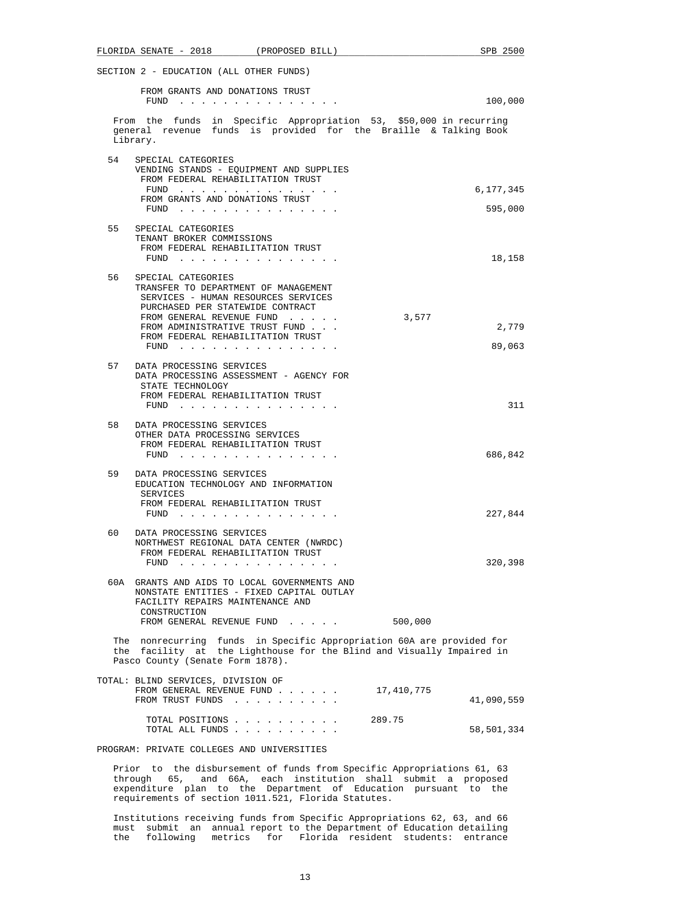| FLORIDA SENATE - 2018 (PROPOSED BILL)                                                                                                                                                                                                                                     | SPB 2500        |
|---------------------------------------------------------------------------------------------------------------------------------------------------------------------------------------------------------------------------------------------------------------------------|-----------------|
| SECTION 2 - EDUCATION (ALL OTHER FUNDS)                                                                                                                                                                                                                                   |                 |
| FROM GRANTS AND DONATIONS TRUST                                                                                                                                                                                                                                           |                 |
| FUND<br>. The contract of the contract of the contract of the contract of the contract of the $\mathcal{A}_\mathcal{A}$                                                                                                                                                   | 100,000         |
| From the funds in Specific Appropriation 53, \$50,000 in recurring<br>general revenue funds is provided for the Braille & Talking Book<br>Library.                                                                                                                        |                 |
| 54<br>SPECIAL CATEGORIES<br>VENDING STANDS - EQUIPMENT AND SUPPLIES<br>FROM FEDERAL REHABILITATION TRUST                                                                                                                                                                  |                 |
| FUND $\cdots$<br>FROM GRANTS AND DONATIONS TRUST                                                                                                                                                                                                                          | 6,177,345       |
| FUND $\cdots$                                                                                                                                                                                                                                                             | 595,000         |
| 55<br>SPECIAL CATEGORIES<br>TENANT BROKER COMMISSIONS<br>FROM FEDERAL REHABILITATION TRUST                                                                                                                                                                                |                 |
| FUND $\cdots$                                                                                                                                                                                                                                                             | 18,158          |
| 56<br>SPECIAL CATEGORIES<br>TRANSFER TO DEPARTMENT OF MANAGEMENT<br>SERVICES - HUMAN RESOURCES SERVICES<br>PURCHASED PER STATEWIDE CONTRACT<br>FROM GENERAL REVENUE FUND<br>3,577<br>FROM ADMINISTRATIVE TRUST FUND<br>FROM FEDERAL REHABILITATION TRUST<br>FUND $\cdots$ | 2,779<br>89,063 |
| 57<br>DATA PROCESSING SERVICES<br>DATA PROCESSING ASSESSMENT - AGENCY FOR<br>STATE TECHNOLOGY<br>FROM FEDERAL REHABILITATION TRUST<br>FUND $\cdots$                                                                                                                       | 311             |
| 58<br>DATA PROCESSING SERVICES<br>OTHER DATA PROCESSING SERVICES<br>FROM FEDERAL REHABILITATION TRUST<br>FUND                                                                                                                                                             | 686,842         |
| 59<br>DATA PROCESSING SERVICES<br>EDUCATION TECHNOLOGY AND INFORMATION<br>SERVICES<br>FROM FEDERAL REHABILITATION TRUST                                                                                                                                                   |                 |
| FUND $\cdots$                                                                                                                                                                                                                                                             | 227,844         |
| 60<br>DATA PROCESSING SERVICES<br>NORTHWEST REGIONAL DATA CENTER (NWRDC)<br>FROM FEDERAL REHABILITATION TRUST<br>$FUND$                                                                                                                                                   | 320,398         |
| 60A GRANTS AND AIDS TO LOCAL GOVERNMENTS AND<br>NONSTATE ENTITIES - FIXED CAPITAL OUTLAY<br>FACILITY REPAIRS MAINTENANCE AND<br>CONSTRUCTION                                                                                                                              |                 |
| FROM GENERAL REVENUE FUND<br>500,000                                                                                                                                                                                                                                      |                 |
| The nonrecurring funds in Specific Appropriation 60A are provided for<br>the facility at the Lighthouse for the Blind and Visually Impaired in<br>Pasco County (Senate Form 1878).                                                                                        |                 |
| TOTAL: BLIND SERVICES, DIVISION OF<br>FROM GENERAL REVENUE FUND<br>17,410,775<br>FROM TRUST FUNDS                                                                                                                                                                         | 41,090,559      |
| TOTAL POSITIONS<br>289.75<br>TOTAL ALL FUNDS                                                                                                                                                                                                                              | 58,501,334      |
| PROGRAM: PRIVATE COLLEGES AND UNIVERSITIES                                                                                                                                                                                                                                |                 |
| Prior to the disbursement of funds from Specific Appropriations 61, 63<br>through 65, and 66A, each institution shall submit a proposed<br>expenditure plan to the Department of Education pursuant to the<br>requirements of section 1011.521, Florida Statutes.         |                 |

 Institutions receiving funds from Specific Appropriations 62, 63, and 66 must submit an annual report to the Department of Education detailing the following metrics for Florida resident students: entrance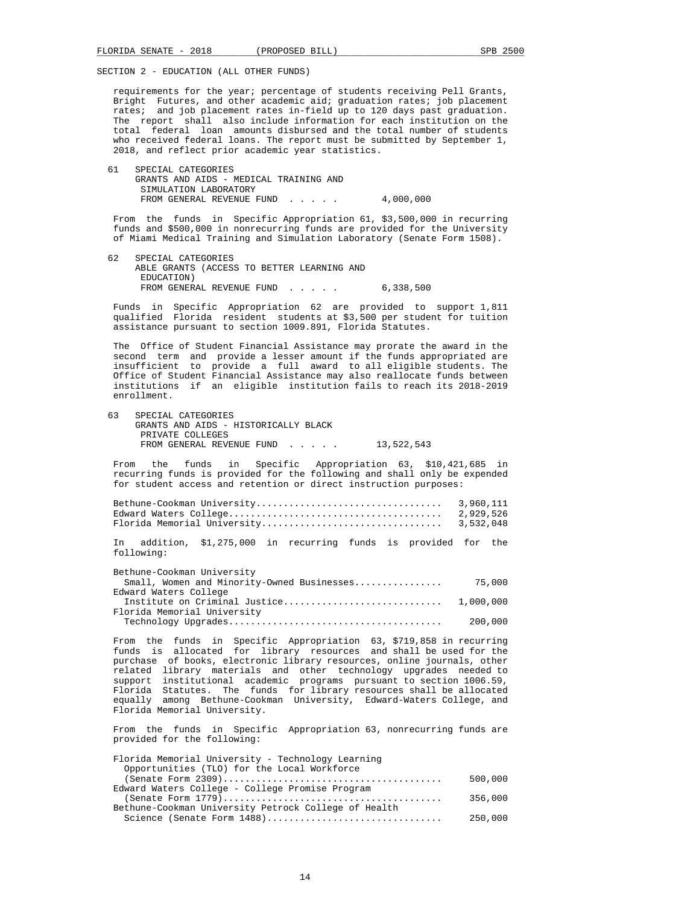requirements for the year; percentage of students receiving Pell Grants, Bright Futures, and other academic aid; graduation rates; job placement rates; and iob placement rates in-field up to 120 days past graduation. and job placement rates in-field up to 120 days past graduation. The report shall also include information for each institution on the total federal loan amounts disbursed and the total number of students who received federal loans. The report must be submitted by September 1, 2018, and reflect prior academic year statistics.

 61 SPECIAL CATEGORIES GRANTS AND AIDS - MEDICAL TRAINING AND SIMULATION LABORATORY FROM GENERAL REVENUE FUND . . . . . 4,000,000

 From the funds in Specific Appropriation 61, \$3,500,000 in recurring funds and \$500,000 in nonrecurring funds are provided for the University of Miami Medical Training and Simulation Laboratory (Senate Form 1508).

 62 SPECIAL CATEGORIES ABLE GRANTS (ACCESS TO BETTER LEARNING AND EDUCATION) FROM GENERAL REVENUE FUND . . . . . 6,338,500

 Funds in Specific Appropriation 62 are provided to support 1,811 qualified Florida resident students at \$3,500 per student for tuition assistance pursuant to section 1009.891, Florida Statutes.

 The Office of Student Financial Assistance may prorate the award in the second term and provide a lesser amount if the funds appropriated are insufficient to provide a full award to all eligible students. The Office of Student Financial Assistance may also reallocate funds between institutions if an eligible institution fails to reach its 2018-2019 enrollment.

 63 SPECIAL CATEGORIES GRANTS AND AIDS - HISTORICALLY BLACK PRIVATE COLLEGES FROM GENERAL REVENUE FUND . . . . . 13,522,543

 From the funds in Specific Appropriation 63, \$10,421,685 in recurring funds is provided for the following and shall only be expended for student access and retention or direct instruction purposes:

| Bethune-Cookman University  | 3,960,111 |
|-----------------------------|-----------|
|                             | 2,929,526 |
| Florida Memorial University | 3,532,048 |

 In addition, \$1,275,000 in recurring funds is provided for the following:

| Bethune-Cookman University                 |         |
|--------------------------------------------|---------|
| Small, Women and Minority-Owned Businesses | 75,000  |
| Edward Waters College                      |         |
|                                            |         |
| Florida Memorial University                |         |
|                                            | 200,000 |

 From the funds in Specific Appropriation 63, \$719,858 in recurring funds is allocated for library resources and shall be used for the purchase of books, electronic library resources, online journals, other related library materials and other technology upgrades needed to support institutional academic programs pursuant to section 1006.59, Florida Statutes. The funds for library resources shall be allocated equally among Bethune-Cookman University, Edward-Waters College, and Florida Memorial University.

 From the funds in Specific Appropriation 63, nonrecurring funds are provided for the following:

Florida Memorial University - Technology Learning

| riorida memorial oniversity - lechnology hearning    |         |
|------------------------------------------------------|---------|
| Opportunities (TLO) for the Local Workforce          |         |
|                                                      | 500,000 |
| Edward Waters College - College Promise Program      |         |
|                                                      | 356,000 |
| Bethune-Cookman University Petrock College of Health |         |
| Science (Senate Form 1488)                           | 250,000 |
|                                                      |         |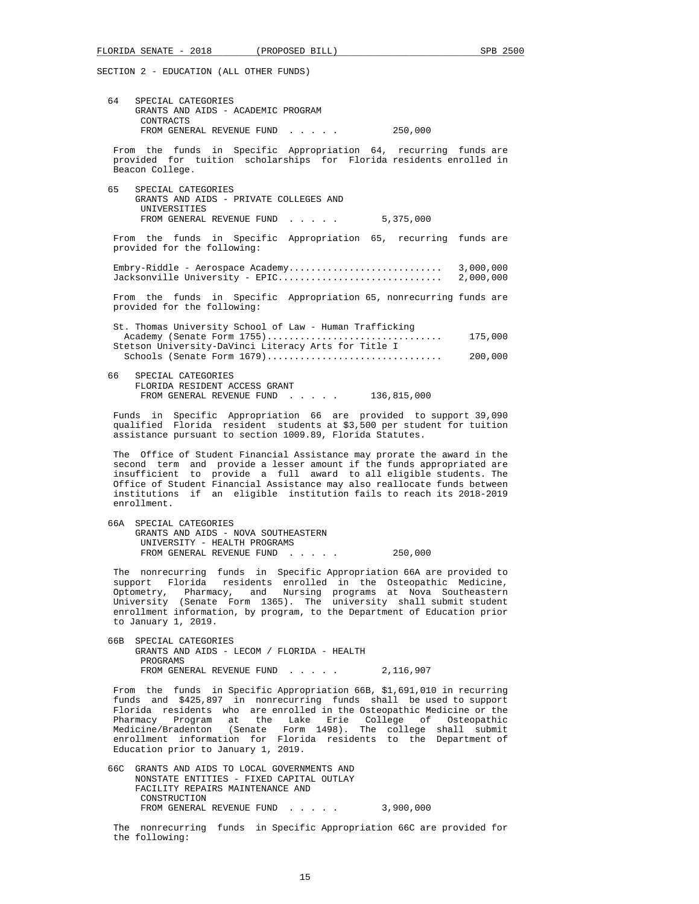| 64   | SPECIAL CATEGORIES<br>GRANTS AND AIDS - ACADEMIC PROGRAM<br>CONTRACTS                                                                                                                                                                                                                                                                                                                     |         |                    |
|------|-------------------------------------------------------------------------------------------------------------------------------------------------------------------------------------------------------------------------------------------------------------------------------------------------------------------------------------------------------------------------------------------|---------|--------------------|
|      | FROM GENERAL REVENUE FUND                                                                                                                                                                                                                                                                                                                                                                 | 250,000 |                    |
|      | From the funds in Specific Appropriation 64, recurring funds are<br>provided for tuition scholarships for Florida residents enrolled in<br>Beacon College.                                                                                                                                                                                                                                |         |                    |
| 65   | SPECIAL CATEGORIES<br>GRANTS AND AIDS - PRIVATE COLLEGES AND<br>UNIVERSITIES<br>FROM GENERAL REVENUE FUND 5,375,000                                                                                                                                                                                                                                                                       |         |                    |
|      | From the funds in Specific Appropriation 65, recurring funds are<br>provided for the following:                                                                                                                                                                                                                                                                                           |         |                    |
|      | Jacksonville University - EPIC                                                                                                                                                                                                                                                                                                                                                            |         | 2,000,000          |
|      | From the funds in Specific Appropriation 65, nonrecurring funds are<br>provided for the following:                                                                                                                                                                                                                                                                                        |         |                    |
|      | St. Thomas University School of Law - Human Trafficking<br>Academy (Senate Form 1755)<br>Stetson University-DaVinci Literacy Arts for Title I<br>Schools (Senate Form 1679)                                                                                                                                                                                                               |         | 175,000<br>200,000 |
| 66 — | SPECIAL CATEGORIES<br>FLORIDA RESIDENT ACCESS GRANT<br>FROM GENERAL REVENUE FUND 136,815,000                                                                                                                                                                                                                                                                                              |         |                    |
|      | Funds in Specific Appropriation 66 are provided to support 39,090<br>qualified Florida resident students at \$3,500 per student for tuition<br>assistance pursuant to section 1009.89, Florida Statutes.                                                                                                                                                                                  |         |                    |
|      | The Office of Student Financial Assistance may prorate the award in the<br>second term and provide a lesser amount if the funds appropriated are<br>insufficient to provide a full award to all eligible students. The<br>Office of Student Financial Assistance may also reallocate funds between<br>institutions if an eligible institution fails to reach its 2018-2019<br>enrollment. |         |                    |
| 66A  | SPECIAL CATEGORIES<br>GRANTS AND AIDS - NOVA SOUTHEASTERN<br>UNIVERSITY - HEALTH PROGRAMS<br>FROM GENERAL REVENUE FUND                                                                                                                                                                                                                                                                    | 250,000 |                    |

 The nonrecurring funds in Specific Appropriation 66A are provided to support Florida residents enrolled in the Osteopathic Medicine, Optometry, Pharmacy, and Nursing programs at Nova Southeastern University (Senate Form 1365). The university shall submit student enrollment information, by program, to the Department of Education prior to January 1, 2019.

 66B SPECIAL CATEGORIES GRANTS AND AIDS - LECOM / FLORIDA - HEALTH PROGRAMS FROM GENERAL REVENUE FUND . . . . . 2,116,907

 From the funds in Specific Appropriation 66B, \$1,691,010 in recurring funds and \$425,897 in nonrecurring funds shall be used to support Florida residents who are enrolled in the Osteopathic Medicine or the Pharmacy Program at the Lake Erie College of Osteopathic Medicine/Bradenton (Senate Form 1498). The college shall submit enrollment information for Florida residents to the Department of Education prior to January 1, 2019.

- 66C GRANTS AND AIDS TO LOCAL GOVERNMENTS AND NONSTATE ENTITIES - FIXED CAPITAL OUTLAY FACILITY REPAIRS MAINTENANCE AND CONSTRUCTION FROM GENERAL REVENUE FUND . . . . . 3,900,000
- The nonrecurring funds in Specific Appropriation 66C are provided for the following: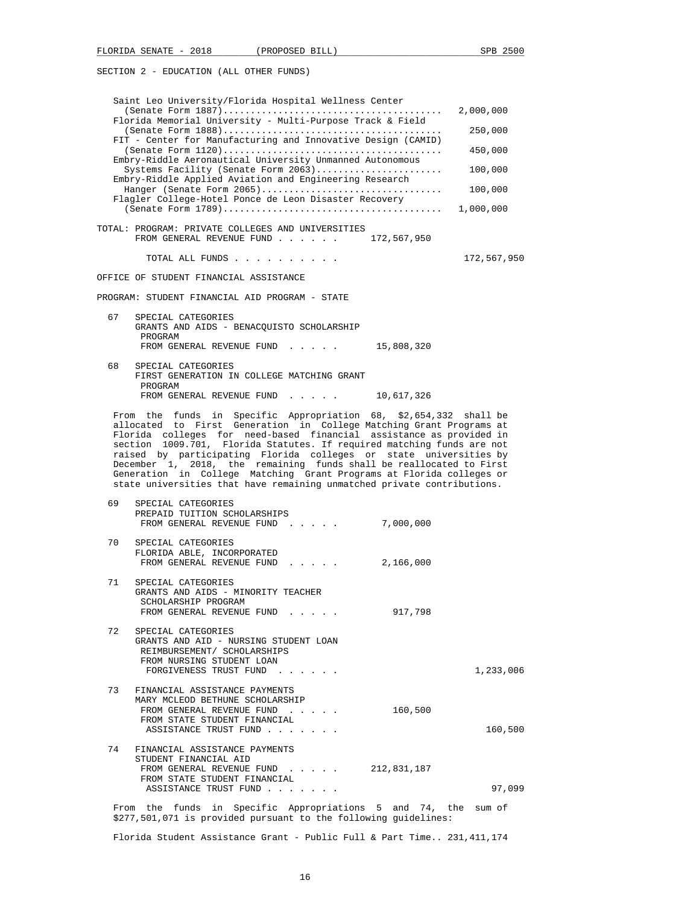| Saint Leo University/Florida Hospital Wellness Center<br>Florida Memorial University - Multi-Purpose Track & Field<br>FIT - Center for Manufacturing and Innovative Design (CAMID)<br>Embry-Riddle Aeronautical University Unmanned Autonomous<br>Systems Facility (Senate Form 2063)<br>Embry-Riddle Applied Aviation and Engineering Research | 2,000,000<br>250,000<br>450,000<br>100,000 |
|-------------------------------------------------------------------------------------------------------------------------------------------------------------------------------------------------------------------------------------------------------------------------------------------------------------------------------------------------|--------------------------------------------|
| Hanger (Senate Form 2065)                                                                                                                                                                                                                                                                                                                       | 100,000                                    |
| Flagler College-Hotel Ponce de Leon Disaster Recovery                                                                                                                                                                                                                                                                                           | 1,000,000                                  |
| TOTAL: PROGRAM: PRIVATE COLLEGES AND UNIVERSITIES<br>FROM GENERAL REVENUE FUND<br>172,567,950                                                                                                                                                                                                                                                   |                                            |
| TOTAL ALL FUNDS                                                                                                                                                                                                                                                                                                                                 | 172,567,950                                |
| OFFICE OF STUDENT FINANCIAL ASSISTANCE                                                                                                                                                                                                                                                                                                          |                                            |
| PROGRAM: STUDENT FINANCIAL AID PROGRAM - STATE                                                                                                                                                                                                                                                                                                  |                                            |
| 67<br>SPECIAL CATEGORIES<br>GRANTS AND AIDS - BENACOUISTO SCHOLARSHIP<br>PROGRAM<br>FROM GENERAL REVENUE FUND 15,808,320                                                                                                                                                                                                                        |                                            |
| 68<br>SPECIAL CATEGORIES<br>FIRST GENERATION IN COLLEGE MATCHING GRANT<br>PROGRAM<br>FROM GENERAL REVENUE FUND<br>10,617,326                                                                                                                                                                                                                    |                                            |
| From the funds in Specific Appropriation 68, \$2,654,332 shall be                                                                                                                                                                                                                                                                               |                                            |

 From the funds in Specific Appropriation 68, \$2,654,332 shall be allocated to First Generation in College Matching Grant Programs at Florida colleges for need-based financial assistance as provided in section 1009.701, Florida Statutes. If required matching funds are not raised by participating Florida colleges or state universities by December 1, 2018, the remaining funds shall be reallocated to First Generation in College Matching Grant Programs at Florida colleges or state universities that have remaining unmatched private contributions.

| 69 | SPECIAL CATEGORIES<br>PREPAID TUITION SCHOLARSHIPS<br>FROM GENERAL REVENUE FUND 7,000,000                                                                   |           |           |
|----|-------------------------------------------------------------------------------------------------------------------------------------------------------------|-----------|-----------|
| 70 | SPECIAL CATEGORIES<br>FLORIDA ABLE, INCORPORATED<br>FROM GENERAL REVENUE FUND                                                                               | 2,166,000 |           |
| 71 | SPECIAL CATEGORIES<br>GRANTS AND AIDS - MINORITY TEACHER<br>SCHOLARSHIP PROGRAM<br>FROM GENERAL REVENUE FUND                                                | 917,798   |           |
| 72 | SPECIAL CATEGORIES<br>GRANTS AND AID - NURSING STUDENT LOAN<br>REIMBURSEMENT/ SCHOLARSHIPS<br>FROM NURSING STUDENT LOAN<br>FORGIVENESS TRUST FUND           |           | 1,233,006 |
|    | 73 FINANCIAL ASSISTANCE PAYMENTS<br>MARY MCLEOD BETHUNE SCHOLARSHIP<br>FROM GENERAL REVENUE FUND<br>FROM STATE STUDENT FINANCIAL<br>ASSISTANCE TRUST FUND   | 160,500   | 160,500   |
|    | 74 FINANCIAL ASSISTANCE PAYMENTS<br>STUDENT FINANCIAL AID<br>FROM GENERAL REVENUE FUND 212,831,187<br>FROM STATE STUDENT FINANCIAL<br>ASSISTANCE TRUST FUND |           | 97,099    |
|    | From the funds in Specific Appropriations 5 and 74, the sum of<br>\$277,501,071 is provided pursuant to the following quidelines:                           |           |           |

Florida Student Assistance Grant - Public Full & Part Time.. 231,411,174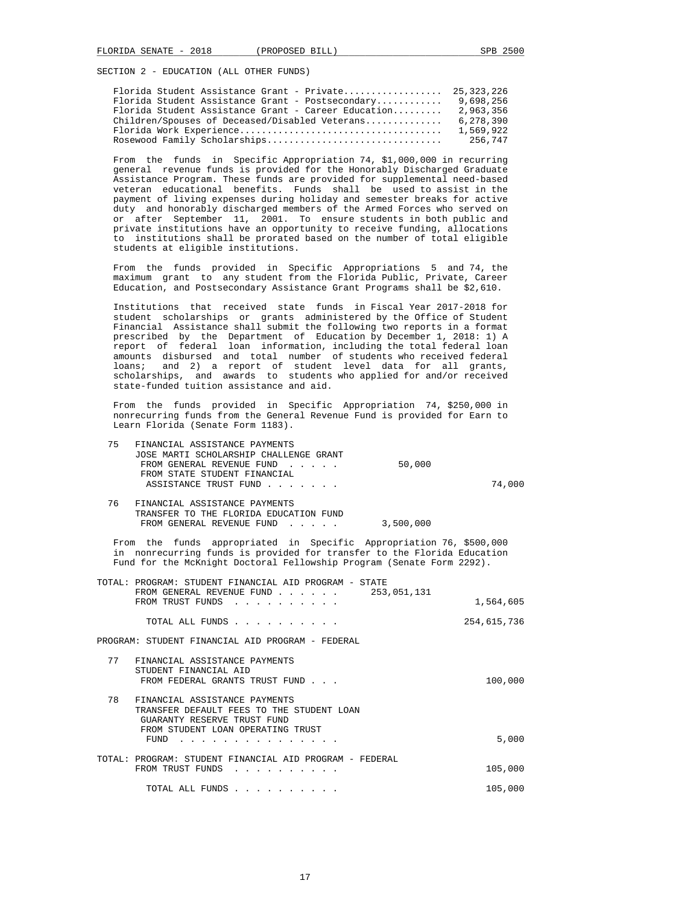| Florida Student Assistance Grant - Postsecondary    | 9,698,256                                                                             |
|-----------------------------------------------------|---------------------------------------------------------------------------------------|
| Florida Student Assistance Grant - Career Education | 2,963,356                                                                             |
| Children/Spouses of Deceased/Disabled Veterans      | 6,278,390                                                                             |
|                                                     | 1,569,922                                                                             |
|                                                     | 256,747                                                                               |
|                                                     | Florida Student Assistance Grant - Private 25,323,226<br>Rosewood Family Scholarships |

 From the funds in Specific Appropriation 74, \$1,000,000 in recurring general revenue funds is provided for the Honorably Discharged Graduate Assistance Program. These funds are provided for supplemental need-based veteran educational benefits. Funds shall be used to assist in the payment of living expenses during holiday and semester breaks for active duty and honorably discharged members of the Armed Forces who served on or after September 11, 2001. To ensure students in both public and private institutions have an opportunity to receive funding, allocations to institutions shall be prorated based on the number of total eligible students at eligible institutions.

 From the funds provided in Specific Appropriations 5 and 74, the maximum grant to any student from the Florida Public, Private, Career Education, and Postsecondary Assistance Grant Programs shall be \$2,610.

 Institutions that received state funds in Fiscal Year 2017-2018 for student scholarships or grants administered by the Office of Student Financial Assistance shall submit the following two reports in a format prescribed by the Department of Education by December 1, 2018: 1) A report of federal loan information, including the total federal loan amounts disbursed and total number of students who received federal loans; and 2) a report of student level data for all grants, scholarships, and awards to students who applied for and/or received state-funded tuition assistance and aid.

 From the funds provided in Specific Appropriation 74, \$250,000 in nonrecurring funds from the General Revenue Fund is provided for Earn to Learn Florida (Senate Form 1183).

| 75. | FINANCIAL ASSISTANCE PAYMENTS          |        |        |
|-----|----------------------------------------|--------|--------|
|     | JOSE MARTI SCHOLARSHIP CHALLENGE GRANT |        |        |
|     | FROM GENERAL REVENUE FUND              | 50,000 |        |
|     | FROM STATE STUDENT FINANCIAL           |        |        |
|     | ASSISTANCE TRUST FUND                  |        | 74.000 |
|     |                                        |        |        |

| FINANCIAL ASSISTANCE PAYMENTS          |           |
|----------------------------------------|-----------|
| TRANSFER TO THE FLORIDA EDUCATION FUND |           |
| FROM GENERAL REVENUE FUND              | 3,500,000 |

 From the funds appropriated in Specific Appropriation 76, \$500,000 in nonrecurring funds is provided for transfer to the Florida Education Fund for the McKnight Doctoral Fellowship Program (Senate Form 2292).

| TOTAL: PROGRAM: STUDENT FINANCIAL AID PROGRAM - STATE<br>253,051,131<br>FROM GENERAL REVENUE FUND<br>FROM TRUST FUNDS | 1,564,605   |
|-----------------------------------------------------------------------------------------------------------------------|-------------|
|                                                                                                                       |             |
| TOTAL ALL FUNDS                                                                                                       | 254,615,736 |
| PROGRAM: STUDENT FINANCIAL AID PROGRAM - FEDERAL                                                                      |             |
| 77<br>FINANCIAL ASSISTANCE PAYMENTS<br>STUDENT FINANCIAL AID<br>FROM FEDERAL GRANTS TRUST FUND                        | 100,000     |
| 78<br>FINANCIAL ASSISTANCE PAYMENTS<br>TRANSFER DEFAULT FEES TO THE STUDENT LOAN<br>GUARANTY RESERVE TRUST FUND       |             |

| FUND                                                                        | 5,000   |
|-----------------------------------------------------------------------------|---------|
| TOTAL: PROGRAM: STUDENT FINANCIAL AID PROGRAM - FEDERAL<br>FROM TRUST FUNDS | 105,000 |
| TOTAL ALL FUNDS                                                             | 105,000 |

FROM STUDENT LOAN OPERATING TRUST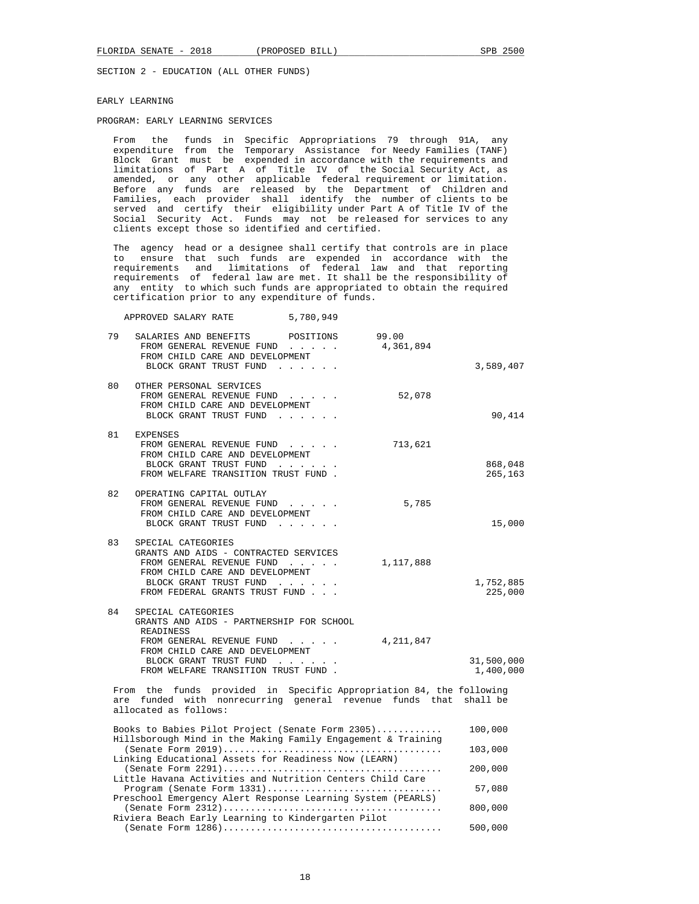#### EARLY LEARNING

## PROGRAM: EARLY LEARNING SERVICES

 From the funds in Specific Appropriations 79 through 91A, any expenditure from the Temporary Assistance for Needy Families (TANF) Block Grant must be expended in accordance with the requirements and limitations of Part A of Title IV of the Social Security Act, as amended, or any other applicable federal requirement or limitation. Before any funds are released by the Department of Children and Families, each provider shall identify the number of clients to be served and certify their eligibility under Part A of Title IV of the Social Security Act. Funds may not be released for services to any clients except those so identified and certified.

 The agency head or a designee shall certify that controls are in place to ensure that such funds are expended in accordance with the requirements and limitations of federal law and that reporting requirements of federal law are met. It shall be the responsibility of any entity to which such funds are appropriated to obtain the required certification prior to any expenditure of funds.

APPROVED SALARY RATE 5,780,949

| 79 | POSITIONS<br>SALARIES AND BENEFITS<br>FROM GENERAL REVENUE FUND<br>FROM CHILD CARE AND DEVELOPMENT<br>BLOCK GRANT TRUST FUND                                                                                 | 99.00<br>4,361,894 | 3,589,407               |
|----|--------------------------------------------------------------------------------------------------------------------------------------------------------------------------------------------------------------|--------------------|-------------------------|
| 80 | OTHER PERSONAL SERVICES<br>FROM GENERAL REVENUE FUND<br>FROM CHILD CARE AND DEVELOPMENT<br>BLOCK GRANT TRUST FUND<br>and the contract of the con-                                                            | 52,078             | 90,414                  |
| 81 | <b>EXPENSES</b><br>FROM GENERAL REVENUE FUND<br>FROM CHILD CARE AND DEVELOPMENT<br>BLOCK GRANT TRUST FUND<br>FROM WELFARE TRANSITION TRUST FUND.                                                             | 713,621            | 868,048<br>265,163      |
| 82 | OPERATING CAPITAL OUTLAY<br>FROM GENERAL REVENUE FUND<br>FROM CHILD CARE AND DEVELOPMENT<br>BLOCK GRANT TRUST FUND                                                                                           | 5,785              | 15,000                  |
| 83 | SPECIAL CATEGORIES<br>GRANTS AND AIDS - CONTRACTED SERVICES<br>FROM GENERAL REVENUE FUND<br>FROM CHILD CARE AND DEVELOPMENT<br>BLOCK GRANT TRUST FUND<br>FROM FEDERAL GRANTS TRUST FUND                      | 1,117,888          | 1,752,885<br>225,000    |
| 84 | SPECIAL CATEGORIES<br>GRANTS AND AIDS - PARTNERSHIP FOR SCHOOL<br>READINESS<br>FROM GENERAL REVENUE FUND<br>FROM CHILD CARE AND DEVELOPMENT<br>BLOCK GRANT TRUST FUND<br>FROM WELFARE TRANSITION TRUST FUND. | 4, 211, 847        | 31,500,000<br>1,400,000 |
|    | From the funds provided in Specific Appropriation 84, the following<br>are funded with nonrecurring general revenue funds that<br>allocated as follows:                                                      |                    | shall be                |
|    | Books to Babies Pilot Project (Senate Form 2305)                                                                                                                                                             |                    | 100,000                 |
|    | Hillsborough Mind in the Making Family Engagement & Training                                                                                                                                                 |                    | 103,000                 |
|    | Linking Educational Assets for Readiness Now (LEARN)                                                                                                                                                         |                    | 200,000                 |
|    | Little Havana Activities and Nutrition Centers Child Care<br>$Program$ (Senate Form $1331)$<br>Preschool Emergency Alert Response Learning System (PEARLS)                                                   |                    | 57,080                  |
|    | Riviera Beach Early Learning to Kindergarten Pilot                                                                                                                                                           |                    | 800,000                 |
|    |                                                                                                                                                                                                              |                    | 500,000                 |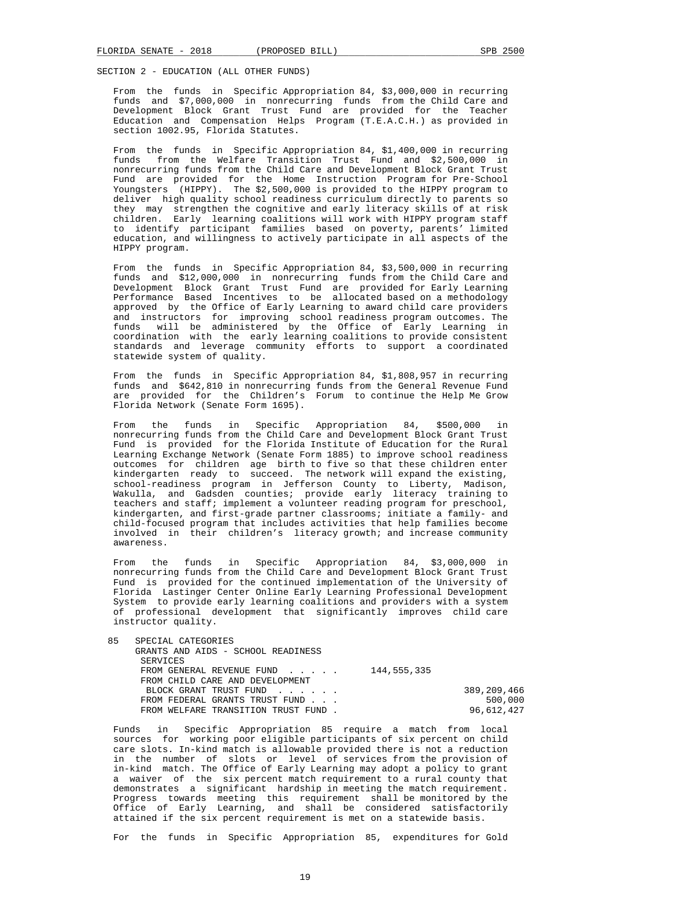From the funds in Specific Appropriation 84, \$3,000,000 in recurring funds and \$7,000,000 in nonrecurring funds from the Child Care and Development Block Grant Trust Fund are provided for the Teacher Education and Compensation Helps Program (T.E.A.C.H.) as provided in section 1002.95, Florida Statutes.

 From the funds in Specific Appropriation 84, \$1,400,000 in recurring funds from the Welfare Transition Trust Fund and \$2,500,000 in nonrecurring funds from the Child Care and Development Block Grant Trust Fund are provided for the Home Instruction Program for Pre-School Youngsters (HIPPY). The \$2,500,000 is provided to the HIPPY program to deliver high quality school readiness curriculum directly to parents so they may strengthen the cognitive and early literacy skills of at risk children. Early learning coalitions will work with HIPPY program staff to identify participant families based on poverty, parents' limited education, and willingness to actively participate in all aspects of the HIPPY program.

 From the funds in Specific Appropriation 84, \$3,500,000 in recurring funds and \$12,000,000 in nonrecurring funds from the Child Care and Development Block Grant Trust Fund are provided for Early Learning Performance Based Incentives to be allocated based on a methodology approved by the Office of Early Learning to award child care providers and instructors for improving school readiness program outcomes. The funds will be administered by the Office of Early Learning in coordination with the early learning coalitions to provide consistent standards and leverage community efforts to support a coordinated statewide system of quality.

 From the funds in Specific Appropriation 84, \$1,808,957 in recurring funds and \$642,810 in nonrecurring funds from the General Revenue Fund are provided for the Children's Forum to continue the Help Me Grow Florida Network (Senate Form 1695).

 From the funds in Specific Appropriation 84, \$500,000 in nonrecurring funds from the Child Care and Development Block Grant Trust Fund is provided for the Florida Institute of Education for the Rural Learning Exchange Network (Senate Form 1885) to improve school readiness outcomes for children age birth to five so that these children enter kindergarten ready to succeed. The network will expand the existing, school-readiness program in Jefferson County to Liberty, Madison, Wakulla, and Gadsden counties; provide early literacy training to teachers and staff; implement a volunteer reading program for preschool, kindergarten, and first-grade partner classrooms; initiate a family- and child-focused program that includes activities that help families become involved in their children's literacy growth; and increase community awareness.

 From the funds in Specific Appropriation 84, \$3,000,000 in nonrecurring funds from the Child Care and Development Block Grant Trust Fund is provided for the continued implementation of the University of Florida Lastinger Center Online Early Learning Professional Development System to provide early learning coalitions and providers with a system of professional development that significantly improves child care instructor quality.

| 85 | SPECIAL CATEGORIES                                      |             |
|----|---------------------------------------------------------|-------------|
|    | GRANTS AND AIDS - SCHOOL READINESS                      |             |
|    | SERVICES                                                |             |
|    | FROM GENERAL REVENUE FUND $\ldots$ $\ldots$ 144.555.335 |             |
|    | FROM CHILD CARE AND DEVELOPMENT                         |             |
|    | BLOCK GRANT TRUST FUND                                  | 389,209,466 |
|    | FROM FEDERAL GRANTS TRUST FUND                          | 500,000     |
|    | FROM WELFARE TRANSITION TRUST FUND.                     | 96,612,427  |

 Funds in Specific Appropriation 85 require a match from local sources for working poor eligible participants of six percent on child care slots. In-kind match is allowable provided there is not a reduction in the number of slots or level of services from the provision of in-kind match. The Office of Early Learning may adopt a policy to grant a waiver of the six percent match requirement to a rural county that demonstrates a significant hardship in meeting the match requirement. Progress towards meeting this requirement shall be monitored by the Office of Early Learning, and shall be considered satisfactorily attained if the six percent requirement is met on a statewide basis.

For the funds in Specific Appropriation 85, expenditures for Gold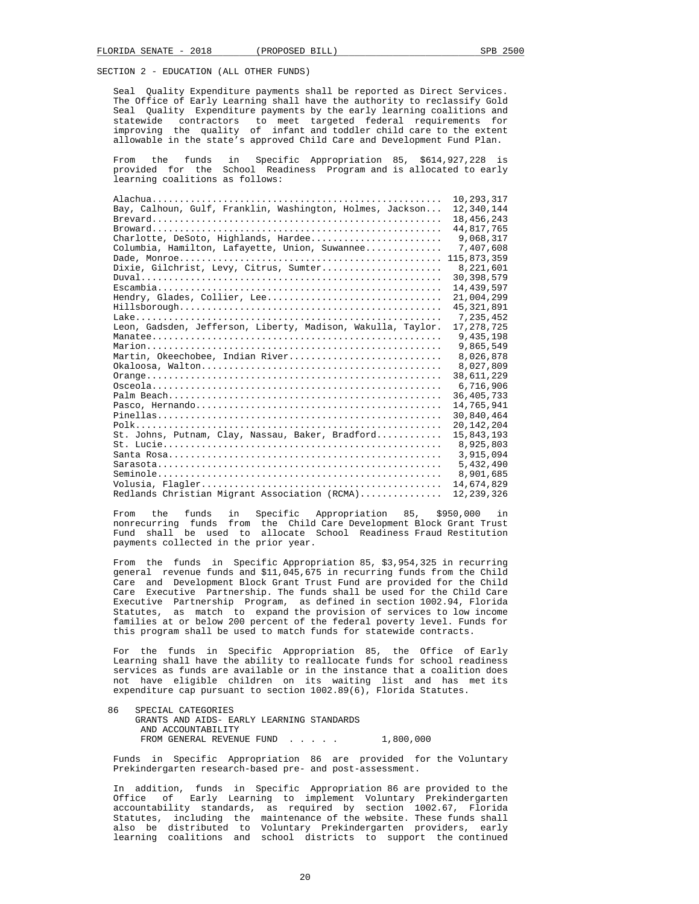Seal Quality Expenditure payments shall be reported as Direct Services. The Office of Early Learning shall have the authority to reclassify Gold Seal Quality Expenditure payments by the early learning coalitions and statewide contractors to meet targeted federal requirements for improving the quality of infant and toddler child care to the extent allowable in the state's approved Child Care and Development Fund Plan.

the funds in Specific Appropriation 85,  $$614,927,228$  is provided for the School Readiness Program and is allocated to early learning coalitions as follows:

|                                                                                                           | 10,293,317   |
|-----------------------------------------------------------------------------------------------------------|--------------|
| Bay, Calhoun, Gulf, Franklin, Washington, Holmes, Jackson                                                 | 12,340,144   |
|                                                                                                           | 18, 456, 243 |
|                                                                                                           | 44,817,765   |
| Charlotte, DeSoto, Highlands, Hardee                                                                      | 9,068,317    |
| Columbia, Hamilton, Lafayette, Union, Suwannee                                                            | 7,407,608    |
|                                                                                                           | 115,873,359  |
| Dixie, Gilchrist, Levy, Citrus, Sumter                                                                    | 8,221,601    |
|                                                                                                           | 30, 398, 579 |
|                                                                                                           | 14,439,597   |
| Hendry, Glades, Collier, Lee                                                                              | 21,004,299   |
|                                                                                                           | 45, 321, 891 |
|                                                                                                           | 7,235,452    |
| Leon, Gadsden, Jefferson, Liberty, Madison, Wakulla, Taylor.                                              | 17, 278, 725 |
|                                                                                                           | 9,435,198    |
|                                                                                                           | 9,865,549    |
| Martin, Okeechobee, Indian River                                                                          | 8,026,878    |
|                                                                                                           | 8,027,809    |
|                                                                                                           | 38,611,229   |
|                                                                                                           | 6,716,906    |
|                                                                                                           | 36, 405, 733 |
|                                                                                                           | 14,765,941   |
|                                                                                                           | 30,840,464   |
|                                                                                                           | 20, 142, 204 |
| St. Johns, Putnam, Clay, Nassau, Baker, Bradford                                                          | 15,843,193   |
| $St. \; Lucie \ldots \ldots \ldots \ldots \ldots \ldots \ldots \ldots \ldots \ldots \ldots \ldots \ldots$ | 8,925,803    |
|                                                                                                           | 3,915,094    |
|                                                                                                           | 5,432,490    |
|                                                                                                           | 8,901,685    |
|                                                                                                           | 14,674,829   |
| Redlands Christian Migrant Association (RCMA)                                                             | 12,239,326   |
|                                                                                                           |              |

 From the funds in Specific Appropriation 85, \$950,000 in nonrecurring funds from the Child Care Development Block Grant Trust Fund shall be used to allocate School Readiness Fraud Restitution payments collected in the prior year.

 From the funds in Specific Appropriation 85, \$3,954,325 in recurring general revenue funds and \$11,045,675 in recurring funds from the Child Care and Development Block Grant Trust Fund are provided for the Child Care Executive Partnership. The funds shall be used for the Child Care Executive Partnership Program, as defined in section 1002.94, Florida Statutes, as match to expand the provision of services to low income families at or below 200 percent of the federal poverty level. Funds for this program shall be used to match funds for statewide contracts.

 For the funds in Specific Appropriation 85, the Office of Early Learning shall have the ability to reallocate funds for school readiness services as funds are available or in the instance that a coalition does not have eligible children on its waiting list and has met its expenditure cap pursuant to section 1002.89(6), Florida Statutes.

 86 SPECIAL CATEGORIES GRANTS AND AIDS- EARLY LEARNING STANDARDS AND ACCOUNTABILITY FROM GENERAL REVENUE FUND . . . . . 1,800,000

 Funds in Specific Appropriation 86 are provided for the Voluntary Prekindergarten research-based pre- and post-assessment.

 In addition, funds in Specific Appropriation 86 are provided to the Office of Early Learning to implement Voluntary Prekindergarten accountability standards, as required by section 1002.67, Florida Statutes, including the maintenance of the website. These funds shall also be distributed to Voluntary Prekindergarten providers, early learning coalitions and school districts to support the continued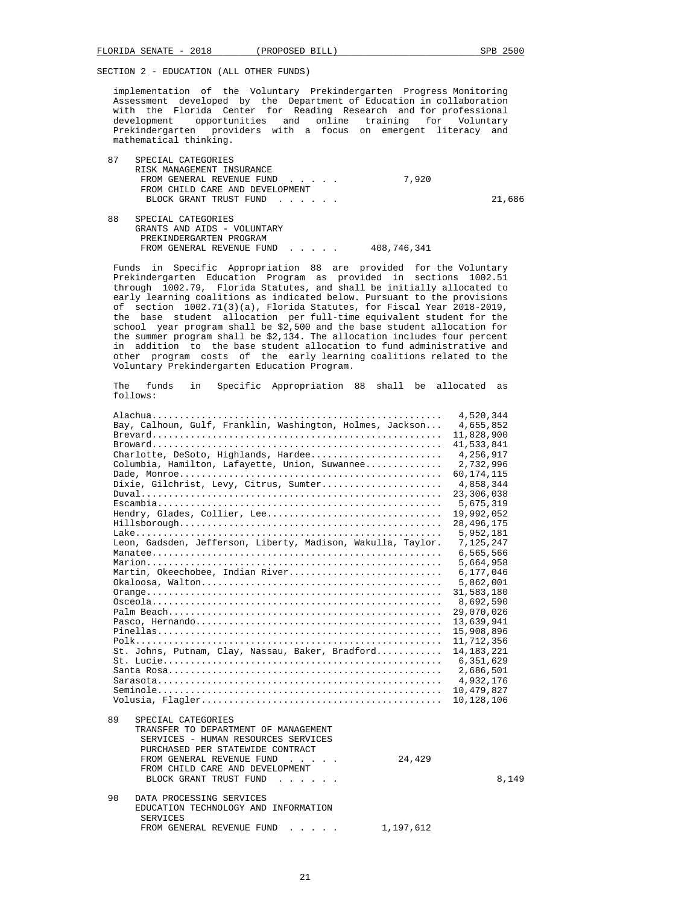implementation of the Voluntary Prekindergarten Progress Monitoring Assessment developed by the Department of Education in collaboration with the Florida Center for Reading Research and for professional development opportunities and online training for Voluntary Prekindergarten providers with a focus on emergent literacy and mathematical thinking.

| 87 | SPECIAL CATEGORIES              |       |        |
|----|---------------------------------|-------|--------|
|    | RISK MANAGEMENT INSURANCE       |       |        |
|    | FROM GENERAL REVENUE FUND       | 7,920 |        |
|    | FROM CHILD CARE AND DEVELOPMENT |       |        |
|    | BLOCK GRANT TRUST FUND          |       | 21,686 |
|    |                                 |       |        |
| 88 | SPECIAL CATEGORIES              |       |        |
|    | GRANTS AND AIDS - VOLUNTARY     |       |        |
|    | PREKINDERGARTEN PROGRAM         |       |        |
|    |                                 |       |        |

FROM GENERAL REVENUE FUND . . . . . 408,746,341

 Funds in Specific Appropriation 88 are provided for the Voluntary Prekindergarten Education Program as provided in sections 1002.51 through 1002.79, Florida Statutes, and shall be initially allocated to early learning coalitions as indicated below. Pursuant to the provisions of section 1002.71(3)(a), Florida Statutes, for Fiscal Year 2018-2019, the base student allocation per full-time equivalent student for the school year program shall be \$2,500 and the base student allocation for the summer program shall be \$2,134. The allocation includes four percent in addition to the base student allocation to fund administrative and other program costs of the early learning coalitions related to the Voluntary Prekindergarten Education Program.

 The funds in Specific Appropriation 88 shall be allocated as follows:

|                                                                                                                                                                                                                                                                                                                                                                                                                                                                                                                                                                  | 4,520,344    |
|------------------------------------------------------------------------------------------------------------------------------------------------------------------------------------------------------------------------------------------------------------------------------------------------------------------------------------------------------------------------------------------------------------------------------------------------------------------------------------------------------------------------------------------------------------------|--------------|
| Bay, Calhoun, Gulf, Franklin, Washington, Holmes, Jackson                                                                                                                                                                                                                                                                                                                                                                                                                                                                                                        | 4,655,852    |
|                                                                                                                                                                                                                                                                                                                                                                                                                                                                                                                                                                  | 11,828,900   |
|                                                                                                                                                                                                                                                                                                                                                                                                                                                                                                                                                                  | 41,533,841   |
| Charlotte, DeSoto, Highlands, Hardee                                                                                                                                                                                                                                                                                                                                                                                                                                                                                                                             | 4,256,917    |
| Columbia, Hamilton, Lafayette, Union, Suwannee                                                                                                                                                                                                                                                                                                                                                                                                                                                                                                                   | 2,732,996    |
|                                                                                                                                                                                                                                                                                                                                                                                                                                                                                                                                                                  | 60, 174, 115 |
| Dixie, Gilchrist, Levy, Citrus, Sumter                                                                                                                                                                                                                                                                                                                                                                                                                                                                                                                           | 4,858,344    |
|                                                                                                                                                                                                                                                                                                                                                                                                                                                                                                                                                                  | 23,306,038   |
|                                                                                                                                                                                                                                                                                                                                                                                                                                                                                                                                                                  | 5,675,319    |
| Hendry, Glades, Collier, Lee                                                                                                                                                                                                                                                                                                                                                                                                                                                                                                                                     | 19,992,052   |
|                                                                                                                                                                                                                                                                                                                                                                                                                                                                                                                                                                  | 28, 496, 175 |
|                                                                                                                                                                                                                                                                                                                                                                                                                                                                                                                                                                  | 5,952,181    |
| Leon, Gadsden, Jefferson, Liberty, Madison, Wakulla, Taylor.                                                                                                                                                                                                                                                                                                                                                                                                                                                                                                     | 7,125,247    |
|                                                                                                                                                                                                                                                                                                                                                                                                                                                                                                                                                                  | 6,565,566    |
|                                                                                                                                                                                                                                                                                                                                                                                                                                                                                                                                                                  | 5,664,958    |
| Martin, Okeechobee, Indian River                                                                                                                                                                                                                                                                                                                                                                                                                                                                                                                                 | 6,177,046    |
|                                                                                                                                                                                                                                                                                                                                                                                                                                                                                                                                                                  | 5,862,001    |
|                                                                                                                                                                                                                                                                                                                                                                                                                                                                                                                                                                  | 31,583,180   |
|                                                                                                                                                                                                                                                                                                                                                                                                                                                                                                                                                                  | 8,692,590    |
|                                                                                                                                                                                                                                                                                                                                                                                                                                                                                                                                                                  | 29,070,026   |
|                                                                                                                                                                                                                                                                                                                                                                                                                                                                                                                                                                  | 13,639,941   |
|                                                                                                                                                                                                                                                                                                                                                                                                                                                                                                                                                                  |              |
|                                                                                                                                                                                                                                                                                                                                                                                                                                                                                                                                                                  | 15,908,896   |
|                                                                                                                                                                                                                                                                                                                                                                                                                                                                                                                                                                  | 11,712,356   |
| St. Johns, Putnam, Clay, Nassau, Baker, Bradford                                                                                                                                                                                                                                                                                                                                                                                                                                                                                                                 | 14, 183, 221 |
| $St. Iucie$                                                                                                                                                                                                                                                                                                                                                                                                                                                                                                                                                      | 6,351,629    |
|                                                                                                                                                                                                                                                                                                                                                                                                                                                                                                                                                                  | 2,686,501    |
|                                                                                                                                                                                                                                                                                                                                                                                                                                                                                                                                                                  | 4,932,176    |
|                                                                                                                                                                                                                                                                                                                                                                                                                                                                                                                                                                  | 10,479,827   |
|                                                                                                                                                                                                                                                                                                                                                                                                                                                                                                                                                                  | 10,128,106   |
| 89<br>SPECIAL CATEGORIES<br>TRANSFER TO DEPARTMENT OF MANAGEMENT<br>SERVICES - HUMAN RESOURCES SERVICES<br>PURCHASED PER STATEWIDE CONTRACT<br>FROM GENERAL REVENUE FUND<br>24,429<br>$\mathbb{R}^2$ . The set of the set of the set of the set of the set of the set of the set of the set of the set of the set of the set of the set of the set of the set of the set of the set of the set of the set of the set of<br>FROM CHILD CARE AND DEVELOPMENT<br>BLOCK GRANT TRUST FUND<br>$\mathbf{r}$ , $\mathbf{r}$ , $\mathbf{r}$ , $\mathbf{r}$ , $\mathbf{r}$ | 8,149        |
| 90<br>DATA PROCESSING SERVICES<br>EDUCATION TECHNOLOGY AND INFORMATION<br><b>SERVICES</b><br>1,197,612<br>FROM GENERAL REVENUE FUND                                                                                                                                                                                                                                                                                                                                                                                                                              |              |
|                                                                                                                                                                                                                                                                                                                                                                                                                                                                                                                                                                  |              |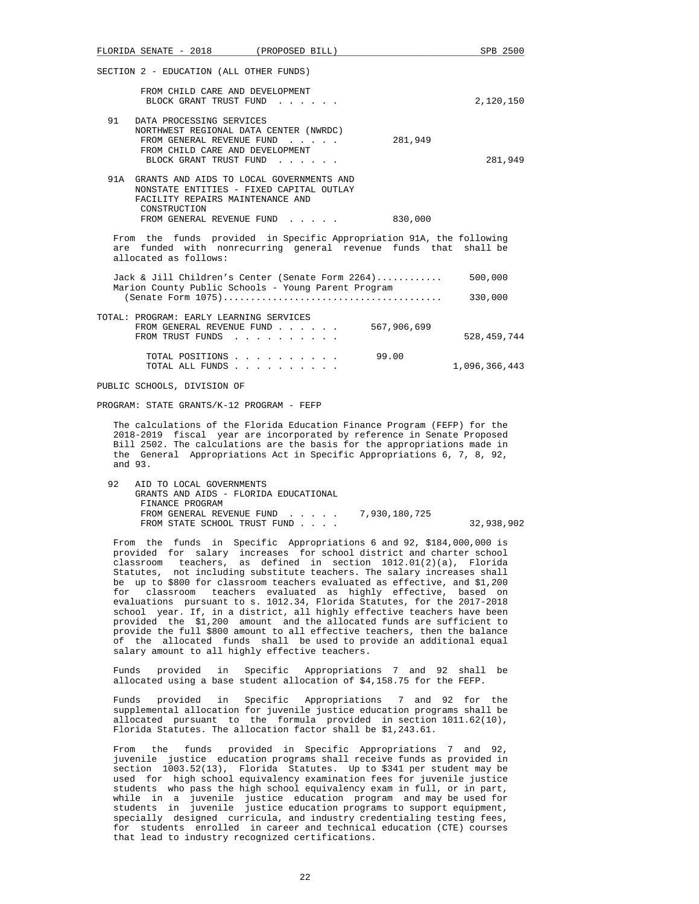|         | FLORIDA SENATE - 2018                                                                                                                                        | (PROPOSED BILL)                                                                                                                                                                                                                                                                                                                                                                                                                                                                                                                                                                                                                                                                                                                                                                                                                                                        |             | SPB 2500      |
|---------|--------------------------------------------------------------------------------------------------------------------------------------------------------------|------------------------------------------------------------------------------------------------------------------------------------------------------------------------------------------------------------------------------------------------------------------------------------------------------------------------------------------------------------------------------------------------------------------------------------------------------------------------------------------------------------------------------------------------------------------------------------------------------------------------------------------------------------------------------------------------------------------------------------------------------------------------------------------------------------------------------------------------------------------------|-------------|---------------|
|         | SECTION 2 - EDUCATION (ALL OTHER FUNDS)                                                                                                                      |                                                                                                                                                                                                                                                                                                                                                                                                                                                                                                                                                                                                                                                                                                                                                                                                                                                                        |             |               |
|         | FROM CHILD CARE AND DEVELOPMENT<br>BLOCK GRANT TRUST FUND                                                                                                    |                                                                                                                                                                                                                                                                                                                                                                                                                                                                                                                                                                                                                                                                                                                                                                                                                                                                        |             | 2,120,150     |
| 91      | DATA PROCESSING SERVICES<br>NORTHWEST REGIONAL DATA CENTER (NWRDC)<br>FROM GENERAL REVENUE FUND<br>FROM CHILD CARE AND DEVELOPMENT<br>BLOCK GRANT TRUST FUND |                                                                                                                                                                                                                                                                                                                                                                                                                                                                                                                                                                                                                                                                                                                                                                                                                                                                        | 281,949     | 281,949       |
|         | FACILITY REPAIRS MAINTENANCE AND<br>CONSTRUCTION                                                                                                             | 91A GRANTS AND AIDS TO LOCAL GOVERNMENTS AND<br>NONSTATE ENTITIES - FIXED CAPITAL OUTLAY                                                                                                                                                                                                                                                                                                                                                                                                                                                                                                                                                                                                                                                                                                                                                                               |             |               |
|         |                                                                                                                                                              | FROM GENERAL REVENUE FUND 830,000                                                                                                                                                                                                                                                                                                                                                                                                                                                                                                                                                                                                                                                                                                                                                                                                                                      |             |               |
|         | allocated as follows:                                                                                                                                        | From the funds provided in Specific Appropriation 91A, the following<br>are funded with nonrecurring general revenue funds that                                                                                                                                                                                                                                                                                                                                                                                                                                                                                                                                                                                                                                                                                                                                        |             | shall be      |
|         |                                                                                                                                                              | Jack & Jill Children's Center (Senate Form $2264)$ 500,000<br>Marion County Public Schools - Young Parent Program                                                                                                                                                                                                                                                                                                                                                                                                                                                                                                                                                                                                                                                                                                                                                      |             |               |
|         |                                                                                                                                                              |                                                                                                                                                                                                                                                                                                                                                                                                                                                                                                                                                                                                                                                                                                                                                                                                                                                                        |             | 330,000       |
|         | TOTAL: PROGRAM: EARLY LEARNING SERVICES<br>FROM GENERAL REVENUE FUND<br>FROM TRUST FUNDS                                                                     |                                                                                                                                                                                                                                                                                                                                                                                                                                                                                                                                                                                                                                                                                                                                                                                                                                                                        | 567,906,699 | 528,459,744   |
|         | TOTAL POSITIONS<br>TOTAL ALL FUNDS                                                                                                                           |                                                                                                                                                                                                                                                                                                                                                                                                                                                                                                                                                                                                                                                                                                                                                                                                                                                                        | 99.00       | 1,096,366,443 |
|         | PUBLIC SCHOOLS, DIVISION OF                                                                                                                                  |                                                                                                                                                                                                                                                                                                                                                                                                                                                                                                                                                                                                                                                                                                                                                                                                                                                                        |             |               |
|         | PROGRAM: STATE GRANTS/K-12 PROGRAM - FEFP                                                                                                                    |                                                                                                                                                                                                                                                                                                                                                                                                                                                                                                                                                                                                                                                                                                                                                                                                                                                                        |             |               |
| and 93. |                                                                                                                                                              | The calculations of the Florida Education Finance Program (FEFP) for the<br>2018-2019 fiscal year are incorporated by reference in Senate Proposed<br>Bill 2502. The calculations are the basis for the appropriations made in<br>the General Appropriations Act in Specific Appropriations 6, 7, 8, 92,                                                                                                                                                                                                                                                                                                                                                                                                                                                                                                                                                               |             |               |
| 92      | AID TO LOCAL GOVERNMENTS<br>GRANTS AND AIDS - FLORIDA EDUCATIONAL<br>FINANCE PROGRAM                                                                         |                                                                                                                                                                                                                                                                                                                                                                                                                                                                                                                                                                                                                                                                                                                                                                                                                                                                        |             |               |
|         | FROM STATE SCHOOL TRUST FUND                                                                                                                                 | FROM GENERAL REVENUE FUND 7,930,180,725                                                                                                                                                                                                                                                                                                                                                                                                                                                                                                                                                                                                                                                                                                                                                                                                                                |             | 32,938,902    |
|         | classroom                                                                                                                                                    | From the funds in Specific Appropriations 6 and 92, \$184,000,000 is<br>provided for salary increases for school district and charter school<br>teachers, as defined in section 1012.01(2)(a), Florida<br>Statutes, not including substitute teachers. The salary increases shall<br>be up to \$800 for classroom teachers evaluated as effective, and \$1,200<br>for classroom teachers evaluated as highly effective, based on<br>evaluations pursuant to s. 1012.34, Florida Statutes, for the 2017-2018<br>school year. If, in a district, all highly effective teachers have been<br>provided the \$1,200 amount and the allocated funds are sufficient to<br>provide the full \$800 amount to all effective teachers, then the balance<br>of the allocated funds shall be used to provide an additional equal<br>salary amount to all highly effective teachers. |             |               |

 Funds provided in Specific Appropriations 7 and 92 shall be allocated using a base student allocation of \$4,158.75 for the FEFP.

 Funds provided in Specific Appropriations 7 and 92 for the supplemental allocation for juvenile justice education programs shall be allocated pursuant to the formula provided in section 1011.62(10), Florida Statutes. The allocation factor shall be \$1,243.61.

 From the funds provided in Specific Appropriations 7 and 92, juvenile justice education programs shall receive funds as provided in section 1003.52(13), Florida Statutes. Up to \$341 per student may be used for high school equivalency examination fees for juvenile justice students who pass the high school equivalency exam in full, or in part, while in a juvenile justice education program and may be used for students in juvenile justice education programs to support equipment, specially designed curricula, and industry credentialing testing fees, for students enrolled in career and technical education (CTE) courses that lead to industry recognized certifications.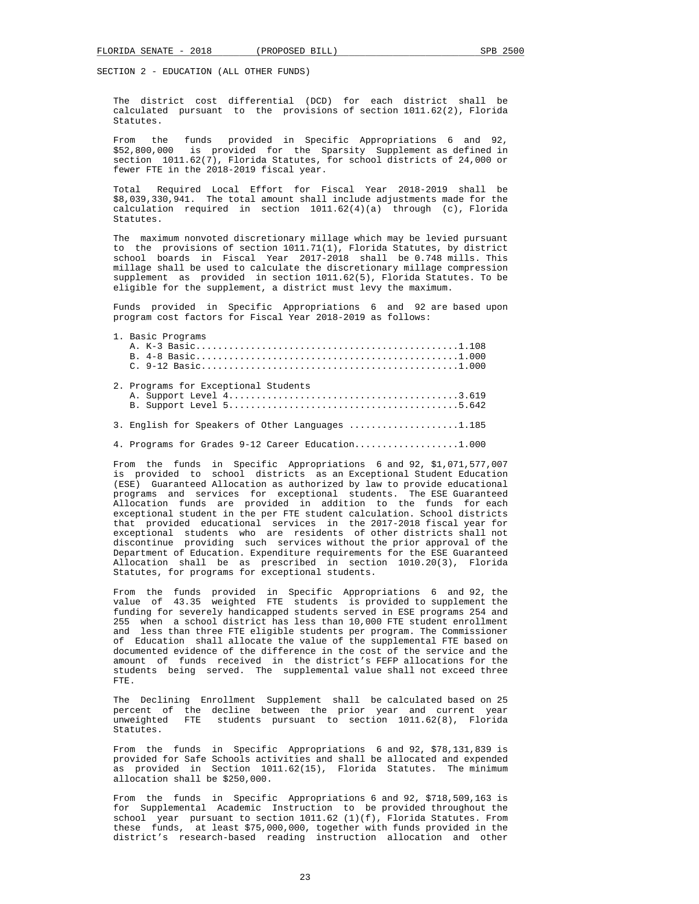The district cost differential (DCD) for each district shall be calculated pursuant to the provisions of section 1011.62(2), Florida Statutes.

 From the funds provided in Specific Appropriations 6 and 92, \$52,800,000 is provided for the Sparsity Supplement as defined in section  $1011.62(7)$ , Florida Statutes, for school districts of 24,000 or fewer FTE in the 2018-2019 fiscal year.

Required Local Effort for Fiscal Year 2018-2019 shall be  $$8,039,330.941$ . The total amount shall include adjustments made for the calculation required in section 1011.62(4)(a) through (c), Florida Statutes.

 The maximum nonvoted discretionary millage which may be levied pursuant to the provisions of section 1011.71(1), Florida Statutes, by district school boards in Fiscal Year 2017-2018 shall be 0.748 mills. This millage shall be used to calculate the discretionary millage compression supplement as provided in section 1011.62(5), Florida Statutes. To be eligible for the supplement, a district must levy the maximum.

 Funds provided in Specific Appropriations 6 and 92 are based upon program cost factors for Fiscal Year 2018-2019 as follows:

#### 1. Basic Programs

|  | 2. Programs for Exceptional Students              |
|--|---------------------------------------------------|
|  | 3. English for Speakers of Other Languages 1.185  |
|  | 4. Programs for Grades 9-12 Career Education1.000 |

 From the funds in Specific Appropriations 6 and 92, \$1,071,577,007 is provided to school districts as an Exceptional Student Education (ESE) Guaranteed Allocation as authorized by law to provide educational programs and services for exceptional students. The ESE Guaranteed Allocation funds are provided in addition to the funds for each exceptional student in the per FTE student calculation. School districts that provided educational services in the 2017-2018 fiscal year for exceptional students who are residents of other districts shall not discontinue providing such services without the prior approval of the Department of Education. Expenditure requirements for the ESE Guaranteed Allocation shall be as prescribed in section 1010.20(3), Florida Statutes, for programs for exceptional students.

 From the funds provided in Specific Appropriations 6 and 92, the value of 43.35 weighted FTE students is provided to supplement the funding for severely handicapped students served in ESE programs 254 and 255 when a school district has less than 10,000 FTE student enrollment and less than three FTE eligible students per program. The Commissioner of Education shall allocate the value of the supplemental FTE based on documented evidence of the difference in the cost of the service and the amount of funds received in the district's FEFP allocations for the students being served. The supplemental value shall not exceed three FTE.

 The Declining Enrollment Supplement shall be calculated based on 25 percent of the decline between the prior year and current year unweighted FTE students pursuant to section 1011.62(8), Florida Statutes.

 From the funds in Specific Appropriations 6 and 92, \$78,131,839 is provided for Safe Schools activities and shall be allocated and expended as provided in Section 1011.62(15), Florida Statutes. The minimum allocation shall be \$250,000.

 From the funds in Specific Appropriations 6 and 92, \$718,509,163 is for Supplemental Academic Instruction to be provided throughout the school year pursuant to section 1011.62 (1)(f), Florida Statutes. From these funds, at least \$75,000,000, together with funds provided in the district's research-based reading instruction allocation and other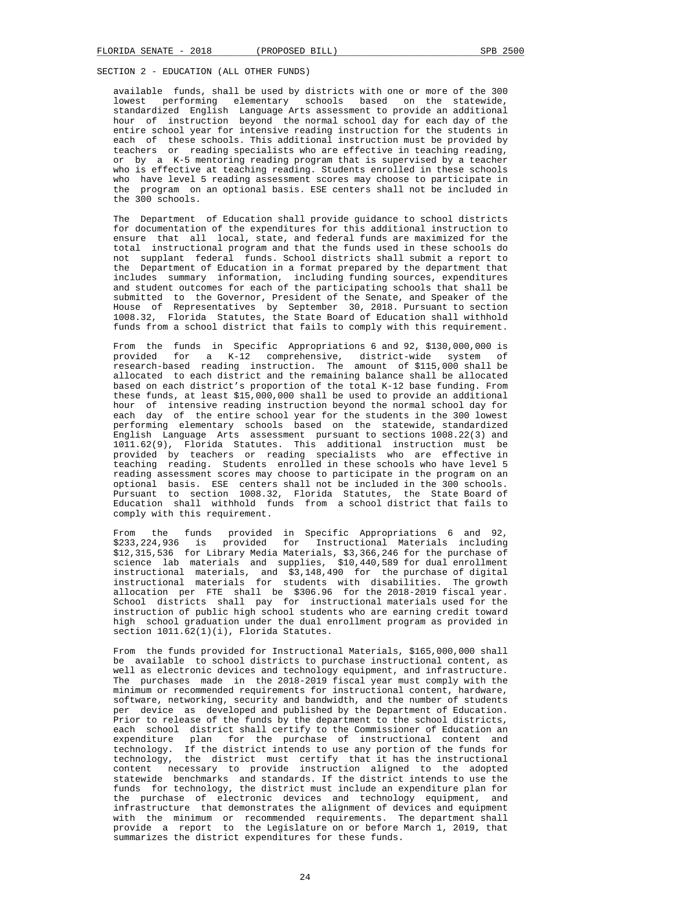available funds, shall be used by districts with one or more of the 300 lowest performing elementary schools based on the statewide, standardized English Language Arts assessment to provide an additional hour of instruction beyond the normal school day for each day of the entire school year for intensive reading instruction for the students in each of these schools. This additional instruction must be provided by teachers or reading specialists who are effective in teaching reading, or by a K-5 mentoring reading program that is supervised by a teacher who is effective at teaching reading. Students enrolled in these schools who have level 5 reading assessment scores may choose to participate in the program on an optional basis. ESE centers shall not be included in the 300 schools.

 The Department of Education shall provide guidance to school districts for documentation of the expenditures for this additional instruction to ensure that all local, state, and federal funds are maximized for the total instructional program and that the funds used in these schools do not supplant federal funds. School districts shall submit a report to the Department of Education in a format prepared by the department that includes summary information, including funding sources, expenditures and student outcomes for each of the participating schools that shall be submitted to the Governor, President of the Senate, and Speaker of the House of Representatives by September 30, 2018. Pursuant to section 1008.32, Florida Statutes, the State Board of Education shall withhold funds from a school district that fails to comply with this requirement.

From the funds in Specific Appropriations 6 and 92, \$130,000,000 is provided for a K-12 comprehensive, district-wide system of research-based reading instruction. The amount of \$115,000 shall be allocated to each district and the remaining balance shall be allocated based on each district's proportion of the total K-12 base funding. From these funds, at least \$15,000,000 shall be used to provide an additional hour of intensive reading instruction beyond the normal school day for each day of the entire school year for the students in the 300 lowest performing elementary schools based on the statewide, standardized English Language Arts assessment pursuant to sections 1008.22(3) and 1011.62(9), Florida Statutes. This additional instruction must be provided by teachers or reading specialists who are effective in teaching reading. Students enrolled in these schools who have level 5 reading assessment scores may choose to participate in the program on an optional basis. ESE centers shall not be included in the 300 schools. Pursuant to section 1008.32, Florida Statutes, the State Board of Education shall withhold funds from a school district that fails to comply with this requirement.

 From the funds provided in Specific Appropriations 6 and 92, \$233,224,936 is provided for Instructional Materials including \$12,315,536 for Library Media Materials, \$3,366,246 for the purchase of science lab materials and supplies, \$10,440,589 for dual enrollment instructional materials, and \$3,148,490 for the purchase of digital instructional materials for students with disabilities. The growth allocation per FTE shall be \$306.96 for the 2018-2019 fiscal year. School districts shall pay for instructional materials used for the instruction of public high school students who are earning credit toward high school graduation under the dual enrollment program as provided in section 1011.62(1)(i), Florida Statutes.

 From the funds provided for Instructional Materials, \$165,000,000 shall be available to school districts to purchase instructional content, as well as electronic devices and technology equipment, and infrastructure. The purchases made in the 2018-2019 fiscal year must comply with the minimum or recommended requirements for instructional content, hardware, software, networking, security and bandwidth, and the number of students per device as developed and published by the Department of Education. Prior to release of the funds by the department to the school districts, each school district shall certify to the Commissioner of Education an expenditure plan for the purchase of instructional content and technology. If the district intends to use any portion of the funds for technology, the district must certify that it has the instructional content necessary to provide instruction aligned to the adopted statewide benchmarks and standards. If the district intends to use the funds for technology, the district must include an expenditure plan for the purchase of electronic devices and technology equipment, and infrastructure that demonstrates the alignment of devices and equipment with the minimum or recommended requirements. The department shall provide a report to the Legislature on or before March 1, 2019, that summarizes the district expenditures for these funds.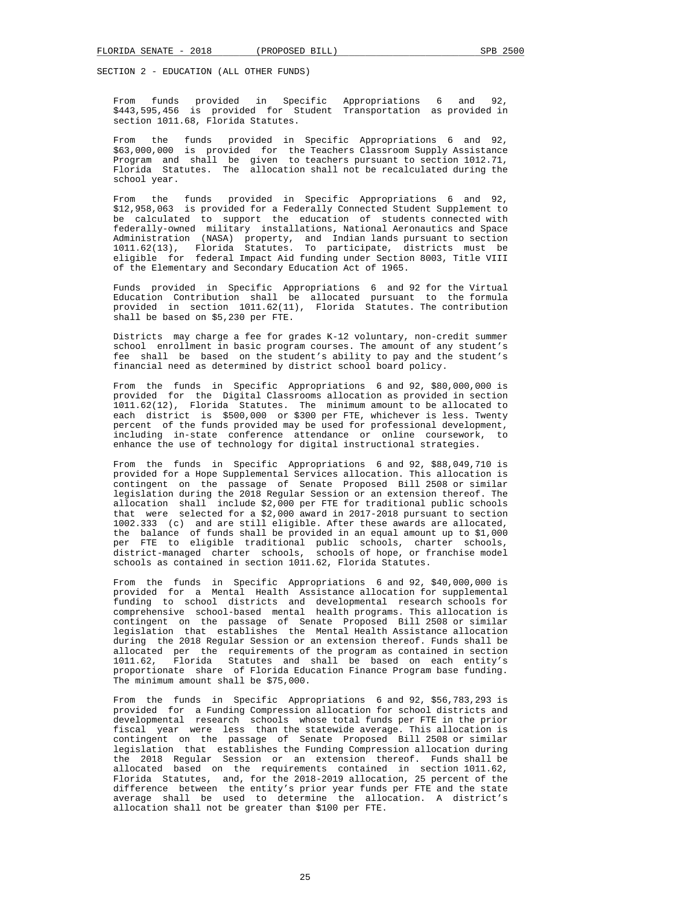From funds provided in Specific Appropriations 6 and 92, \$443,595,456 is provided for Student Transportation as provided in section 1011.68, Florida Statutes.

 From the funds provided in Specific Appropriations 6 and 92, \$63,000,000 is provided for the Teachers Classroom Supply Assistance Program and shall be given to teachers pursuant to section 1012.71, Florida Statutes. The allocation shall not be recalculated during the school year.

 From the funds provided in Specific Appropriations 6 and 92, \$12,958,063 is provided for a Federally Connected Student Supplement to be calculated to support the education of students connected with federally-owned military installations, National Aeronautics and Space Administration (NASA) property, and Indian lands pursuant to section 1011.62(13), Florida Statutes. To participate, districts must be eligible for federal Impact Aid funding under Section 8003, Title VIII of the Elementary and Secondary Education Act of 1965.

 Funds provided in Specific Appropriations 6 and 92 for the Virtual Education Contribution shall be allocated pursuant to the formula provided in section 1011.62(11), Florida Statutes. The contribution shall be based on \$5,230 per FTE.

 Districts may charge a fee for grades K-12 voluntary, non-credit summer school enrollment in basic program courses. The amount of any student's fee shall be based on the student's ability to pay and the student's financial need as determined by district school board policy.

 From the funds in Specific Appropriations 6 and 92, \$80,000,000 is provided for the Digital Classrooms allocation as provided in section 1011.62(12), Florida Statutes. The minimum amount to be allocated to each district is \$500,000 or \$300 per FTE, whichever is less. Twenty percent of the funds provided may be used for professional development, including in-state conference attendance or online coursework, to enhance the use of technology for digital instructional strategies.

 From the funds in Specific Appropriations 6 and 92, \$88,049,710 is provided for a Hope Supplemental Services allocation. This allocation is contingent on the passage of Senate Proposed Bill 2508 or similar legislation during the 2018 Regular Session or an extension thereof. The allocation shall include \$2,000 per FTE for traditional public schools that were selected for a \$2,000 award in 2017-2018 pursuant to section 1002.333 (c) and are still eligible. After these awards are allocated, the balance of funds shall be provided in an equal amount up to \$1,000 per FTE to eligible traditional public schools, charter schools, district-managed charter schools, schools of hope, or franchise model schools as contained in section 1011.62, Florida Statutes.

 From the funds in Specific Appropriations 6 and 92, \$40,000,000 is provided for a Mental Health Assistance allocation for supplemental funding to school districts and developmental research schools for comprehensive school-based mental health programs. This allocation is contingent on the passage of Senate Proposed Bill 2508 or similar legislation that establishes the Mental Health Assistance allocation during the 2018 Regular Session or an extension thereof. Funds shall be allocated per the requirements of the program as contained in section 1011.62, Florida Statutes and shall be based on each entity's proportionate share of Florida Education Finance Program base funding. The minimum amount shall be \$75,000.

 From the funds in Specific Appropriations 6 and 92, \$56,783,293 is provided for a Funding Compression allocation for school districts and developmental research schools whose total funds per FTE in the prior fiscal year were less than the statewide average. This allocation is contingent on the passage of Senate Proposed Bill 2508 or similar legislation that establishes the Funding Compression allocation during the 2018 Regular Session or an extension thereof. Funds shall be allocated based on the requirements contained in section 1011.62, Florida Statutes, and, for the 2018-2019 allocation, 25 percent of the difference between the entity's prior year funds per FTE and the state average shall be used to determine the allocation. A district's allocation shall not be greater than \$100 per FTE.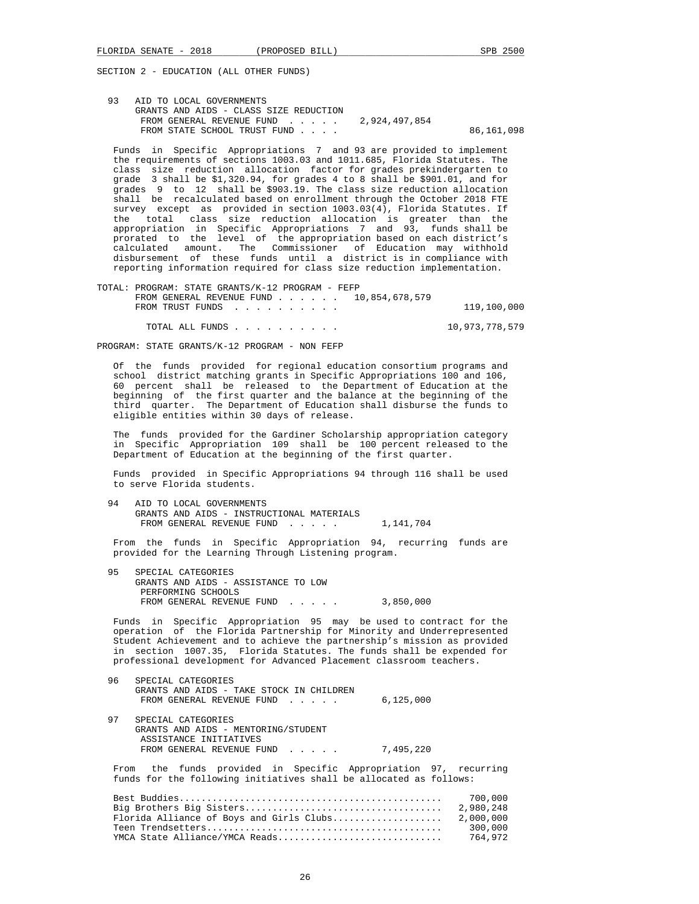93 AID TO LOCAL GOVERNMENTS GRANTS AND AIDS - CLASS SIZE REDUCTION FROM GENERAL REVENUE FUND . . . . . 2,924,497,854 FROM STATE SCHOOL TRUST FUND . . . . . . . . . . . . . . . . . 86,161,098

 Funds in Specific Appropriations 7 and 93 are provided to implement the requirements of sections 1003.03 and 1011.685, Florida Statutes. The class size reduction allocation factor for grades prekindergarten to grade 3 shall be \$1,320.94, for grades 4 to 8 shall be \$901.01, and for grades 9 to 12 shall be \$903.19. The class size reduction allocation shall be recalculated based on enrollment through the October 2018 FTE survey except as provided in section 1003.03(4), Florida Statutes. If the total class size reduction allocation is greater than the appropriation in Specific Appropriations 7 and 93, funds shall be prorated to the level of the appropriation based on each district's calculated amount. The Commissioner of Education may withhold disbursement of these funds until a district is in compliance with reporting information required for class size reduction implementation.

 TOTAL: PROGRAM: STATE GRANTS/K-12 PROGRAM - FEFP FROM GENERAL REVENUE FUND . . . . . . 10,854,678,579 FROM TRUST FUNDS . . . . . . . . . . . . . . 119,100,000

TOTAL ALL FUNDS . . . . . . . . . . 10,973,778,579

PROGRAM: STATE GRANTS/K-12 PROGRAM - NON FEFP

 Of the funds provided for regional education consortium programs and school district matching grants in Specific Appropriations 100 and 106, 60 percent shall be released to the Department of Education at the beginning of the first quarter and the balance at the beginning of the third quarter. The Department of Education shall disburse the funds to eligible entities within 30 days of release.

 The funds provided for the Gardiner Scholarship appropriation category in Specific Appropriation 109 shall be 100 percent released to the Department of Education at the beginning of the first quarter.

 Funds provided in Specific Appropriations 94 through 116 shall be used to serve Florida students.

 94 AID TO LOCAL GOVERNMENTS GRANTS AND AIDS - INSTRUCTIONAL MATERIALS FROM GENERAL REVENUE FUND . . . . . 1,141,704

 From the funds in Specific Appropriation 94, recurring funds are provided for the Learning Through Listening program.

| 95 | SPECIAL CATEGORIES                  |           |
|----|-------------------------------------|-----------|
|    | GRANTS AND AIDS - ASSISTANCE TO LOW |           |
|    | PERFORMING SCHOOLS                  |           |
|    | FROM GENERAL REVENUE FUND           | 3,850,000 |

 Funds in Specific Appropriation 95 may be used to contract for the operation of the Florida Partnership for Minority and Underrepresented Student Achievement and to achieve the partnership's mission as provided in section 1007.35, Florida Statutes. The funds shall be expended for professional development for Advanced Placement classroom teachers.

| 96 | SPECIAL CATEGORIES                                                    |           |
|----|-----------------------------------------------------------------------|-----------|
|    | GRANTS AND AIDS - TAKE STOCK IN CHILDREN<br>FROM GENERAL REVENUE FUND | 6,125,000 |
|    |                                                                       |           |
| 97 | SPECIAL CATEGORIES                                                    |           |
|    | GRANTS AND AIDS - MENTORING/STUDENT<br>ASSISTANCE INITIATIVES         |           |
|    | FROM GENERAL REVENUE FUND                                             | 7,495,220 |

 From the funds provided in Specific Appropriation 97, recurring funds for the following initiatives shall be allocated as follows:

|                                | 700.000 |
|--------------------------------|---------|
|                                |         |
|                                |         |
|                                | 300.000 |
| YMCA State Alliance/YMCA Reads | 764.972 |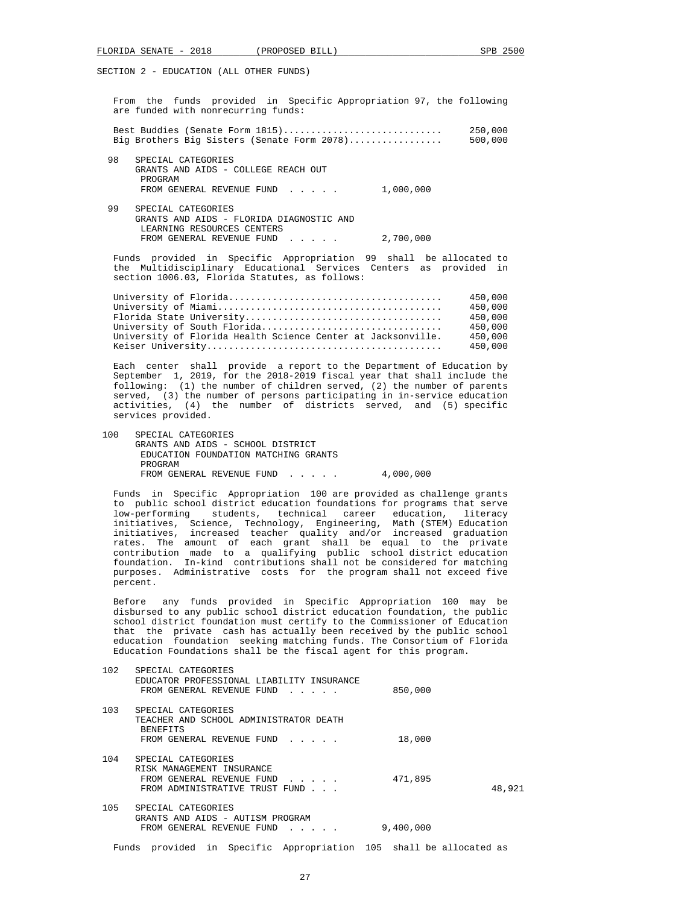From the funds provided in Specific Appropriation 97, the following are funded with nonrecurring funds:

|    | Best Buddies (Senate Form 1815)<br>Big Brothers Big Sisters (Senate Form 2078)                              | 250,000<br>500,000 |
|----|-------------------------------------------------------------------------------------------------------------|--------------------|
| 98 | SPECIAL CATEGORIES<br>GRANTS AND AIDS - COLLEGE REACH OUT<br>PROGRAM<br>FROM GENERAL REVENUE FUND 1,000,000 |                    |
| 99 | SPECIAL CATEGORIES<br>GRANTS AND AIDS - FLORIDA DIAGNOSTIC AND                                              |                    |

 LEARNING RESOURCES CENTERS FROM GENERAL REVENUE FUND . . . . . 2,700,000 Funds provided in Specific Appropriation 99 shall be allocated to

 the Multidisciplinary Educational Services Centers as provided in section 1006.03, Florida Statutes, as follows:

|  |                                                              | 450,000 |
|--|--------------------------------------------------------------|---------|
|  |                                                              | 450,000 |
|  |                                                              | 450,000 |
|  | University of South Florida                                  | 450,000 |
|  | University of Florida Health Science Center at Jacksonville. | 450,000 |
|  |                                                              | 450,000 |
|  |                                                              |         |

 Each center shall provide a report to the Department of Education by September 1, 2019, for the 2018-2019 fiscal year that shall include the following: (1) the number of children served, (2) the number of parents served, (3) the number of persons participating in in-service education activities, (4) the number of districts served, and (5) specific services provided.

100 SPECIAL CATEGORIES GRANTS AND AIDS - SCHOOL DISTRICT EDUCATION FOUNDATION MATCHING GRANTS PROGRAM FROM GENERAL REVENUE FUND . . . . . 4,000,000

 Funds in Specific Appropriation 100 are provided as challenge grants to public school district education foundations for programs that serve low-performing students, technical career education, literacy initiatives, Science, Technology, Engineering, Math (STEM) Education initiatives, increased teacher quality and/or increased graduation rates. The amount of each grant shall be equal to the private contribution made to a qualifying public school district education foundation. In-kind contributions shall not be considered for matching purposes. Administrative costs for the program shall not exceed five percent.

 Before any funds provided in Specific Appropriation 100 may be disbursed to any public school district education foundation, the public school district foundation must certify to the Commissioner of Education that the private cash has actually been received by the public school education foundation seeking matching funds. The Consortium of Florida Education Foundations shall be the fiscal agent for this program.

| 102 | SPECIAL CATEGORIES<br>EDUCATOR PROFESSIONAL LIABILITY INSURANCE<br>FROM GENERAL REVENUE FUND                   | 850,000   |        |
|-----|----------------------------------------------------------------------------------------------------------------|-----------|--------|
| 103 | SPECIAL CATEGORIES<br>TEACHER AND SCHOOL ADMINISTRATOR DEATH<br><b>BENEFITS</b><br>FROM GENERAL REVENUE FUND   | 18,000    |        |
| 104 | SPECIAL CATEGORIES<br>RISK MANAGEMENT INSURANCE<br>FROM GENERAL REVENUE FUND<br>FROM ADMINISTRATIVE TRUST FUND | 471,895   | 48,921 |
| 105 | SPECIAL CATEGORIES<br>GRANTS AND AIDS - AUTISM PROGRAM<br>FROM GENERAL REVENUE FUND                            | 9,400,000 |        |

Funds provided in Specific Appropriation 105 shall be allocated as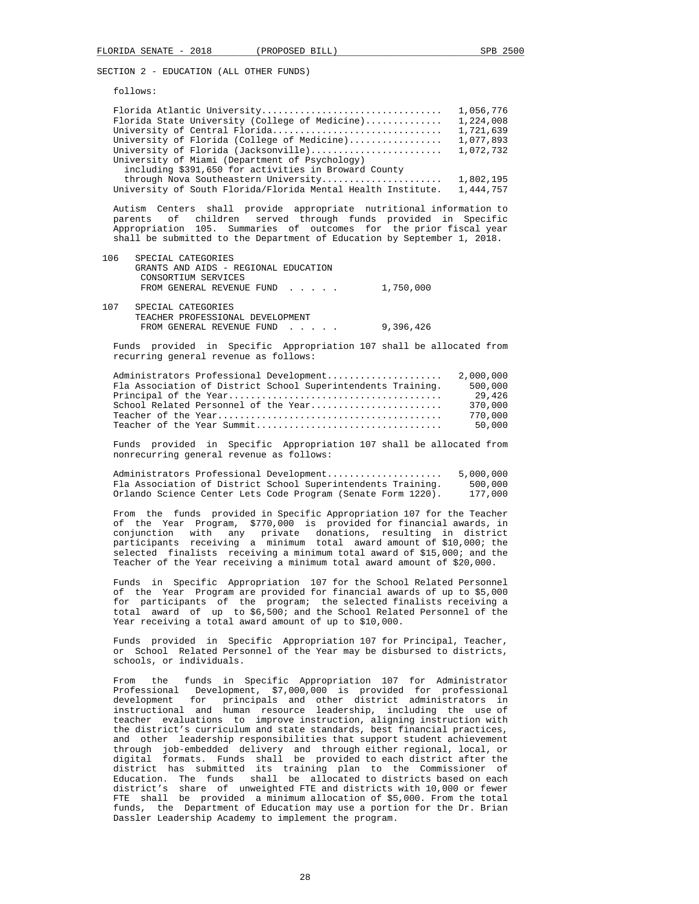follows:

| Florida Atlantic University<br>Florida State University (College of Medicine)<br>University of Central Florida<br>University of Florida (College of Medicine)<br>University of Florida (Jacksonville)<br>University of Miami (Department of Psychology)<br>including \$391,650 for activities in Broward County                                                        | 1,056,776<br>1,224,008<br>1,721,639<br>1,077,893<br>1,072,732  |
|------------------------------------------------------------------------------------------------------------------------------------------------------------------------------------------------------------------------------------------------------------------------------------------------------------------------------------------------------------------------|----------------------------------------------------------------|
| through Nova Southeastern University<br>University of South Florida/Florida Mental Health Institute.                                                                                                                                                                                                                                                                   | 1,802,195<br>1,444,757                                         |
| Autism Centers shall provide appropriate nutritional information to<br>parents of children served through funds provided in Specific<br>Appropriation 105. Summaries of outcomes for the prior fiscal year<br>shall be submitted to the Department of Education by September 1, 2018.                                                                                  |                                                                |
| 106<br>SPECIAL CATEGORIES<br>GRANTS AND AIDS - REGIONAL EDUCATION<br>CONSORTIUM SERVICES<br>FROM GENERAL REVENUE FUND<br>1,750,000                                                                                                                                                                                                                                     |                                                                |
| 107<br>SPECIAL CATEGORIES<br>TEACHER PROFESSIONAL DEVELOPMENT<br>FROM GENERAL REVENUE FUND<br>9,396,426                                                                                                                                                                                                                                                                |                                                                |
| Funds provided in Specific Appropriation 107 shall be allocated from<br>recurring general revenue as follows:                                                                                                                                                                                                                                                          |                                                                |
| Administrators Professional Development<br>Fla Association of District School Superintendents Training.<br>School Related Personnel of the Year<br>Teacher of the Year Summit                                                                                                                                                                                          | 2,000,000<br>500,000<br>29,426<br>370,000<br>770,000<br>50,000 |
| Funds provided in Specific Appropriation 107 shall be allocated from<br>nonrecurring general revenue as follows:                                                                                                                                                                                                                                                       |                                                                |
| Administrators Professional Development<br>Fla Association of District School Superintendents Training.<br>Orlando Science Center Lets Code Program (Senate Form 1220).                                                                                                                                                                                                | 5,000,000<br>500,000<br>177,000                                |
| From the funds provided in Specific Appropriation 107 for the Teacher<br>\$770,000 is provided for financial awards, in<br>of the Year Program,<br>any private donations, resulting in district<br>conjunction with<br>participants receiving a minimum total award amount of \$10,000; the<br>selected finalists receiving a minimum total award of \$15,000; and the |                                                                |

 Funds in Specific Appropriation 107 for the School Related Personnel of the Year Program are provided for financial awards of up to \$5,000 for participants of the program; the selected finalists receiving a total award of up to \$6,500; and the School Related Personnel of the Year receiving a total award amount of up to \$10,000.

Teacher of the Year receiving a minimum total award amount of \$20,000.

 Funds provided in Specific Appropriation 107 for Principal, Teacher, or School Related Personnel of the Year may be disbursed to districts, schools, or individuals.

 From the funds in Specific Appropriation 107 for Administrator Professional Development, \$7,000,000 is provided for professional development for principals and other district administrators in instructional and human resource leadership, including the use of teacher evaluations to improve instruction, aligning instruction with the district's curriculum and state standards, best financial practices, and other leadership responsibilities that support student achievement through job-embedded delivery and through either regional, local, or digital formats. Funds shall be provided to each district after the district has submitted its training plan to the Commissioner of Education. The funds shall be allocated to districts based on each district's share of unweighted FTE and districts with 10,000 or fewer FTE shall be provided a minimum allocation of \$5,000. From the total funds, the Department of Education may use a portion for the Dr. Brian Dassler Leadership Academy to implement the program.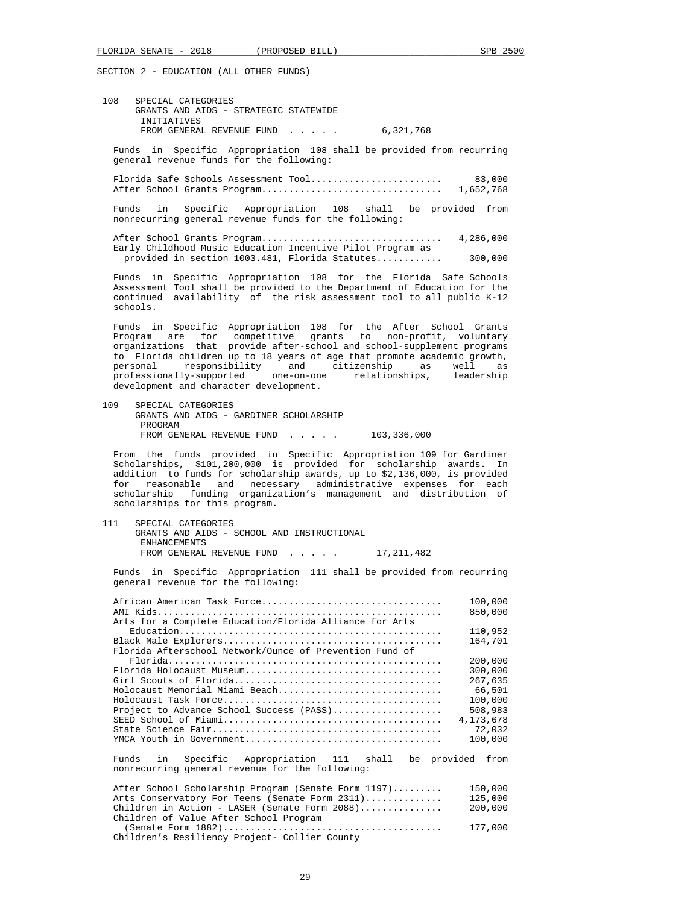108 SPECIAL CATEGORIES GRANTS AND AIDS - STRATEGIC STATEWIDE INITIATIVES FROM GENERAL REVENUE FUND . . . . . 6.321.768

 Funds in Specific Appropriation 108 shall be provided from recurring general revenue funds for the following:

 Florida Safe Schools Assessment Tool........................ 83,000 After School Grants Program................................. 1,652,768

 Funds in Specific Appropriation 108 shall be provided from nonrecurring general revenue funds for the following:

 After School Grants Program................................. 4,286,000 Early Childhood Music Education Incentive Pilot Program as provided in section 1003.481, Florida Statutes............ 300,000

 Funds in Specific Appropriation 108 for the Florida Safe Schools Assessment Tool shall be provided to the Department of Education for the continued availability of the risk assessment tool to all public K-12 schools.

 Funds in Specific Appropriation 108 for the After School Grants Program are for competitive grants to non-profit, voluntary organizations that provide after-school and school-supplement programs to Florida children up to 18 years of age that promote academic growth, personal responsibility and citizenship as well as professionally-supported one-on-one relationships, leadership development and character development.

 109 SPECIAL CATEGORIES GRANTS AND AIDS - GARDINER SCHOLARSHIP PROGRAM FROM GENERAL REVENUE FUND . . . . . 103,336,000

 From the funds provided in Specific Appropriation 109 for Gardiner Scholarships, \$101,200,000 is provided for scholarship awards. In addition to funds for scholarship awards, up to \$2,136,000, is provided for reasonable and necessary administrative expenses for each scholarship funding organization's management and distribution of scholarships for this program.

 111 SPECIAL CATEGORIES GRANTS AND AIDS - SCHOOL AND INSTRUCTIONAL ENHANCEMENTS FROM GENERAL REVENUE FUND...... 17,211,482

 Funds in Specific Appropriation 111 shall be provided from recurring general revenue for the following:

| African American Task Force                                   | 100,000   |
|---------------------------------------------------------------|-----------|
|                                                               | 850,000   |
| Arts for a Complete Education/Florida Alliance for Arts       |           |
|                                                               | 110,952   |
|                                                               | 164,701   |
| Florida Afterschool Network/Ounce of Prevention Fund of       |           |
|                                                               | 200,000   |
|                                                               | 300,000   |
|                                                               | 267,635   |
| Holocaust Memorial Miami Beach                                | 66,501    |
|                                                               | 100,000   |
| Project to Advance School Success (PASS)                      | 508,983   |
|                                                               | 4,173,678 |
|                                                               | 72,032    |
|                                                               | 100,000   |
|                                                               |           |
| Specific Appropriation 111 shall be provided from<br>Funds in |           |
| nonrecurring general revenue for the following:               |           |
| After School Scholarship Program (Senate Form 1197)           | 150,000   |
| Arts Conservatory For Teens (Senate Form 2311)                | 125,000   |
| Children in Action - LASER (Senate Form $2088)$               | 200,000   |
| Children of Value After School Program                        |           |
|                                                               |           |

 <sup>(</sup>Senate Form 1882)........................................ 177,000 Children's Resiliency Project- Collier County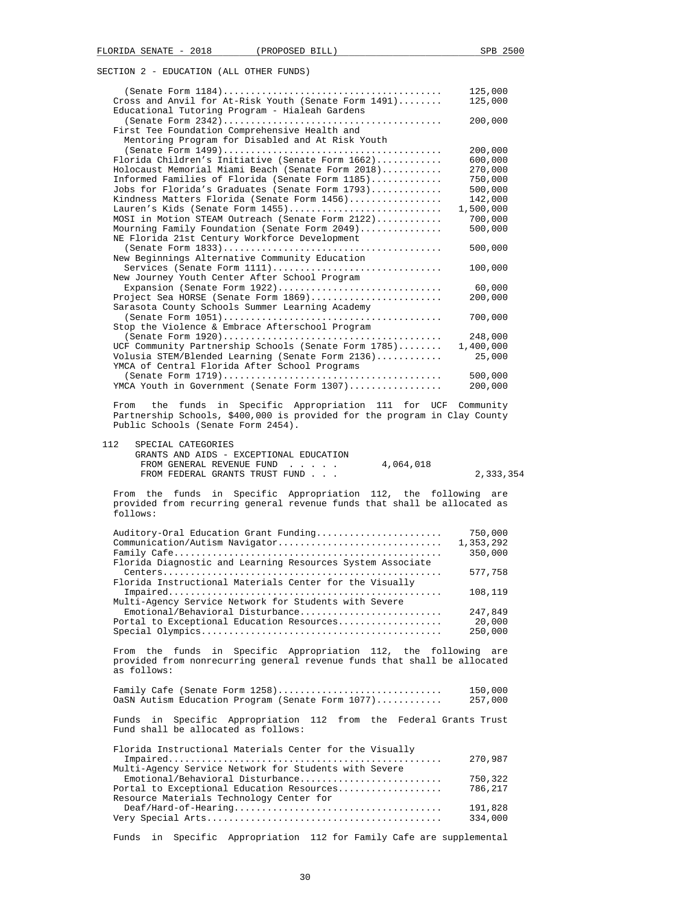|                                                                | 125,000   |
|----------------------------------------------------------------|-----------|
| Cross and Anvil for At-Risk Youth (Senate Form 1491)           | 125,000   |
| Educational Tutoring Program - Hialeah Gardens                 |           |
|                                                                | 200,000   |
| First Tee Foundation Comprehensive Health and                  |           |
| Mentoring Program for Disabled and At Risk Youth               |           |
|                                                                | 200,000   |
| Florida Children's Initiative (Senate Form 1662)               | 600,000   |
| Holocaust Memorial Miami Beach (Senate Form 2018)              | 270,000   |
| Informed Families of Florida (Senate Form 1185)                | 750,000   |
| Jobs for Florida's Graduates (Senate Form 1793)                | 500,000   |
| Kindness Matters Florida (Senate Form 1456)                    | 142,000   |
| Lauren's Kids (Senate Form 1455)                               | 1,500,000 |
| MOSI in Motion STEAM Outreach (Senate Form 2122)               | 700,000   |
| Mourning Family Foundation (Senate Form 2049)                  | 500,000   |
| NE Florida 21st Century Workforce Development                  |           |
|                                                                | 500,000   |
| New Beginnings Alternative Community Education                 |           |
| Services (Senate Form 1111)                                    | 100,000   |
| New Journey Youth Center After School Program                  |           |
| Expansion (Senate Form 1922)                                   | 60,000    |
| Project Sea HORSE (Senate Form 1869)                           | 200,000   |
| Sarasota County Schools Summer Learning Academy                |           |
|                                                                | 700,000   |
| Stop the Violence & Embrace Afterschool Program                |           |
|                                                                | 248,000   |
| UCF Community Partnership Schools (Senate Form 1785)           | 1,400,000 |
| Volusia STEM/Blended Learning (Senate Form 2136)               | 25,000    |
| YMCA of Central Florida After School Programs                  |           |
|                                                                | 500,000   |
| YMCA Youth in Government (Senate Form 1307)                    | 200,000   |
|                                                                |           |
| From the funds in Crosific Appropriation 111 for UCF Community |           |

 From the funds in Specific Appropriation 111 for UCF Community Partnership Schools, \$400,000 is provided for the program in Clay County Public Schools (Senate Form 2454).

| 112 | SPECIAL CATEGORIES                      |           |           |
|-----|-----------------------------------------|-----------|-----------|
|     | GRANTS AND AIDS - EXCEPTIONAL EDUCATION |           |           |
|     | FROM GENERAL REVENUE FUND               | 4,064,018 |           |
|     | FROM FEDERAL GRANTS TRUST FUND          |           | 2,333,354 |

 From the funds in Specific Appropriation 112, the following are provided from recurring general revenue funds that shall be allocated as follows:

| Auditory-Oral Education Grant Funding                      | 750,000   |
|------------------------------------------------------------|-----------|
| Communication/Autism Navigator                             | 1,353,292 |
|                                                            | 350,000   |
| Florida Diagnostic and Learning Resources System Associate |           |
|                                                            | 577,758   |
| Florida Instructional Materials Center for the Visually    |           |
|                                                            | 108,119   |
| Multi-Agency Service Network for Students with Severe      |           |
| Emotional/Behavioral Disturbance                           | 247,849   |
| Portal to Exceptional Education Resources                  | 20,000    |
|                                                            | 250,000   |
|                                                            |           |

 From the funds in Specific Appropriation 112, the following are provided from nonrecurring general revenue funds that shall be allocated as follows:

 Family Cafe (Senate Form 1258).............................. 150,000 OaSN Autism Education Program (Senate Form 1077)............ 257,000

 Funds in Specific Appropriation 112 from the Federal Grants Trust Fund shall be allocated as follows:

| Florida Instructional Materials Center for the Visually |         |
|---------------------------------------------------------|---------|
|                                                         | 270,987 |
| Multi-Agency Service Network for Students with Severe   |         |
| Emotional/Behavioral Disturbance                        | 750,322 |
| Portal to Exceptional Education Resources               | 786,217 |
| Resource Materials Technology Center for                |         |
|                                                         | 191,828 |
|                                                         | 334,000 |

Funds in Specific Appropriation 112 for Family Cafe are supplemental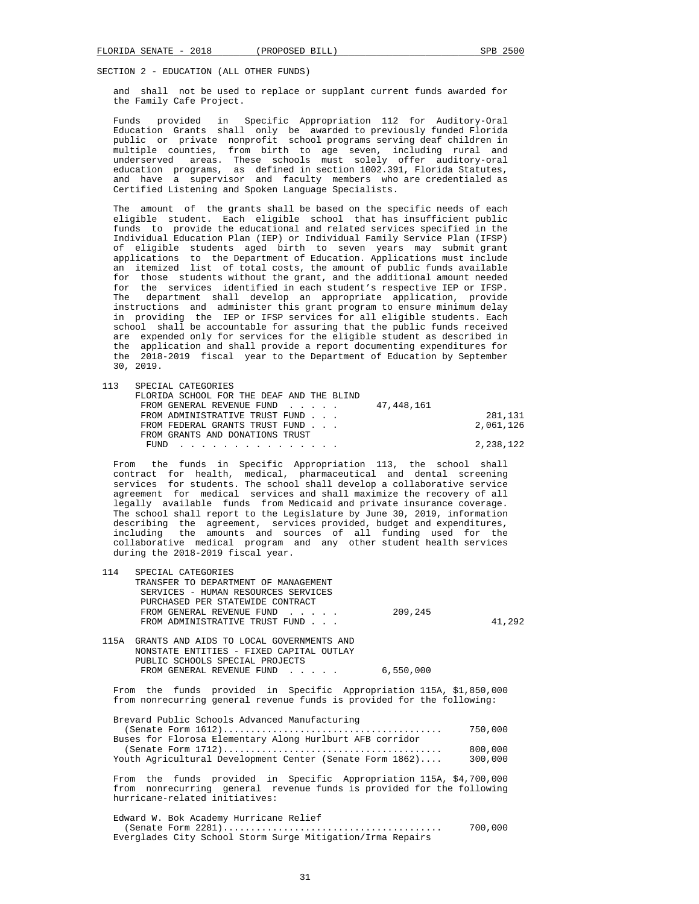and shall not be used to replace or supplant current funds awarded for the Family Cafe Project.

 Funds provided in Specific Appropriation 112 for Auditory-Oral Education Grants shall only be awarded to previously funded Florida public or private nonprofit school programs serving deaf children in multiple counties, from birth to age seven, including rural and underserved areas. These schools must solely offer auditory-oral education programs, as defined in section 1002.391, Florida Statutes, and have a supervisor and faculty members who are credentialed as Certified Listening and Spoken Language Specialists.

 The amount of the grants shall be based on the specific needs of each eligible student. Each eligible school that has insufficient public funds to provide the educational and related services specified in the Individual Education Plan (IEP) or Individual Family Service Plan (IFSP) of eligible students aged birth to seven years may submit grant applications to the Department of Education. Applications must include an itemized list of total costs, the amount of public funds available for those students without the grant, and the additional amount needed for the services identified in each student's respective IEP or IFSP. The department shall develop an appropriate application, provide instructions and administer this grant program to ensure minimum delay in providing the IEP or IFSP services for all eligible students. Each school shall be accountable for assuring that the public funds received are expended only for services for the eligible student as described in the application and shall provide a report documenting expenditures for the 2018-2019 fiscal year to the Department of Education by September 30, 2019.

113 SPECIAL CATEGORIES

| FLORIDA SCHOOL FOR THE DEAF AND THE BLIND |           |
|-------------------------------------------|-----------|
| FROM GENERAL REVENUE FUND 47,448,161      |           |
| FROM ADMINISTRATIVE TRUST FUND            | 281,131   |
| FROM FEDERAL GRANTS TRUST FUND            | 2,061,126 |
| FROM GRANTS AND DONATIONS TRUST           |           |
| FUND                                      | 2,238,122 |
|                                           |           |

 From the funds in Specific Appropriation 113, the school shall contract for health, medical, pharmaceutical and dental screening services for students. The school shall develop a collaborative service agreement for medical services and shall maximize the recovery of all legally available funds from Medicaid and private insurance coverage. The school shall report to the Legislature by June 30, 2019, information describing the agreement, services provided, budget and expenditures, including the amounts and sources of all funding used for the the amounts and sources of all funding used for the collaborative medical program and any other student health services during the 2018-2019 fiscal year.

| 114    | SPECIAL CATEGORIES                          |         |        |
|--------|---------------------------------------------|---------|--------|
|        | TRANSFER TO DEPARTMENT OF MANAGEMENT        |         |        |
|        | SERVICES - HUMAN RESOURCES SERVICES         |         |        |
|        | PURCHASED PER STATEWIDE CONTRACT            |         |        |
|        | FROM GENERAL REVENUE FUND                   | 209,245 |        |
|        | FROM ADMINISTRATIVE TRUST FUND              |         | 41.292 |
|        |                                             |         |        |
| 11 F.X | CRANTED AND ATDO TO LOGAL CONTROLLERING AND |         |        |

| IISA GRANIS AND AIDS TO LOCAL GOVERNMENIS AND |           |
|-----------------------------------------------|-----------|
| NONSTATE ENTITIES - FIXED CAPITAL OUTLAY      |           |
| PUBLIC SCHOOLS SPECIAL PROJECTS               |           |
| FROM GENERAL REVENUE FUND                     | 6,550,000 |
|                                               |           |

 From the funds provided in Specific Appropriation 115A, \$1,850,000 from nonrecurring general revenue funds is provided for the following:

| Brevard Public Schools Advanced Manufacturing            |         |
|----------------------------------------------------------|---------|
|                                                          | 750,000 |
| Buses for Florosa Elementary Along Hurlburt AFB corridor |         |
|                                                          | 800,000 |
| Youth Agricultural Development Center (Senate Form 1862) | 300,000 |
|                                                          |         |

 From the funds provided in Specific Appropriation 115A, \$4,700,000 from nonrecurring general revenue funds is provided for the following hurricane-related initiatives:

 Edward W. Bok Academy Hurricane Relief (Senate Form 2281)........................................ 700,000 Everglades City School Storm Surge Mitigation/Irma Repairs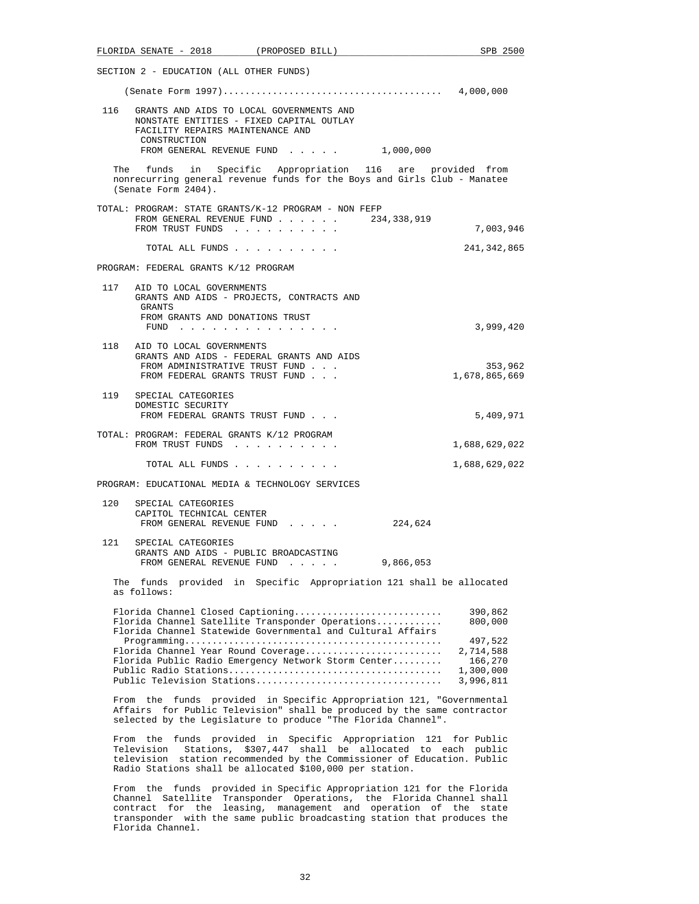|     | FLORIDA SENATE - 2018 (PROPOSED BILL)                                                                                                                                                                                 |                                                       |             | SPB 2500                                       |
|-----|-----------------------------------------------------------------------------------------------------------------------------------------------------------------------------------------------------------------------|-------------------------------------------------------|-------------|------------------------------------------------|
|     | SECTION 2 - EDUCATION (ALL OTHER FUNDS)                                                                                                                                                                               |                                                       |             |                                                |
|     |                                                                                                                                                                                                                       |                                                       |             |                                                |
|     | 116 GRANTS AND AIDS TO LOCAL GOVERNMENTS AND<br>NONSTATE ENTITIES - FIXED CAPITAL OUTLAY<br>FACILITY REPAIRS MAINTENANCE AND<br>CONSTRUCTION<br>FROM GENERAL REVENUE FUND 1,000,000                                   |                                                       |             |                                                |
|     | The funds in Specific Appropriation 116 are provided from<br>nonrecurring general revenue funds for the Boys and Girls Club - Manatee<br>(Senate Form 2404).                                                          |                                                       |             |                                                |
|     | TOTAL: PROGRAM: STATE GRANTS/K-12 PROGRAM - NON FEFP<br>FROM GENERAL REVENUE FUND<br>FROM TRUST FUNDS                                                                                                                 |                                                       | 234,338,919 | 7,003,946                                      |
|     | TOTAL ALL FUNDS                                                                                                                                                                                                       |                                                       |             | 241,342,865                                    |
|     | PROGRAM: FEDERAL GRANTS K/12 PROGRAM                                                                                                                                                                                  |                                                       |             |                                                |
|     | 117 AID TO LOCAL GOVERNMENTS<br>GRANTS AND AIDS - PROJECTS, CONTRACTS AND<br>GRANTS<br>FROM GRANTS AND DONATIONS TRUST                                                                                                |                                                       |             | 3,999,420                                      |
| 118 | FUND<br>AID TO LOCAL GOVERNMENTS<br>GRANTS AND AIDS - FEDERAL GRANTS AND AIDS<br>FROM ADMINISTRATIVE TRUST FUND                                                                                                       |                                                       |             | 353,962                                        |
|     | FROM FEDERAL GRANTS TRUST FUND<br>119 SPECIAL CATEGORIES<br>DOMESTIC SECURITY<br>FROM FEDERAL GRANTS TRUST FUND                                                                                                       |                                                       |             | 1,678,865,669<br>5,409,971                     |
|     | TOTAL: PROGRAM: FEDERAL GRANTS K/12 PROGRAM                                                                                                                                                                           |                                                       |             |                                                |
|     | FROM TRUST FUNDS                                                                                                                                                                                                      |                                                       |             | 1,688,629,022                                  |
|     | TOTAL ALL FUNDS<br>PROGRAM: EDUCATIONAL MEDIA & TECHNOLOGY SERVICES                                                                                                                                                   |                                                       |             | 1,688,629,022                                  |
| 120 | SPECIAL CATEGORIES<br>CAPITOL TECHNICAL CENTER<br>FROM GENERAL REVENUE FUND                                                                                                                                           |                                                       | 224,624     |                                                |
|     | 121 SPECIAL CATEGORIES<br>GRANTS AND AIDS - PUBLIC BROADCASTING<br>FROM GENERAL REVENUE FUND                                                                                                                          |                                                       | 9,866,053   |                                                |
|     | The funds provided<br>as follows:                                                                                                                                                                                     | in Specific Appropriation 121 shall be allocated      |             |                                                |
|     | Florida Channel Closed Captioning<br>Florida Channel Satellite Transponder Operations<br>Florida Channel Statewide Governmental and Cultural Affairs<br>Florida Channel Year Round Coverage                           |                                                       |             | 390,862<br>800,000<br>497,522                  |
|     | Florida Public Radio Emergency Network Storm Center<br>Public Television Stations                                                                                                                                     |                                                       |             | 2,714,588<br>166,270<br>1,300,000<br>3,996,811 |
|     | From the funds provided in Specific Appropriation 121, "Governmental<br>Affairs for Public Television" shall be produced by the same contractor<br>selected by the Legislature to produce "The Florida Channel".      |                                                       |             |                                                |
|     | From the funds provided in Specific Appropriation 121 for Public<br>Television<br>television station recommended by the Commissioner of Education. Public<br>Radio Stations shall be allocated \$100,000 per station. | Stations, \$307,447 shall be allocated to each public |             |                                                |
|     | funds provided in Specific Appropriation 121 for the Florida<br>From the<br>Channel Satellite Transponder Operations, the Florida Channel shall                                                                       |                                                       |             |                                                |

 contract for the leasing, management and operation of the state transponder with the same public broadcasting station that produces the

Florida Channel.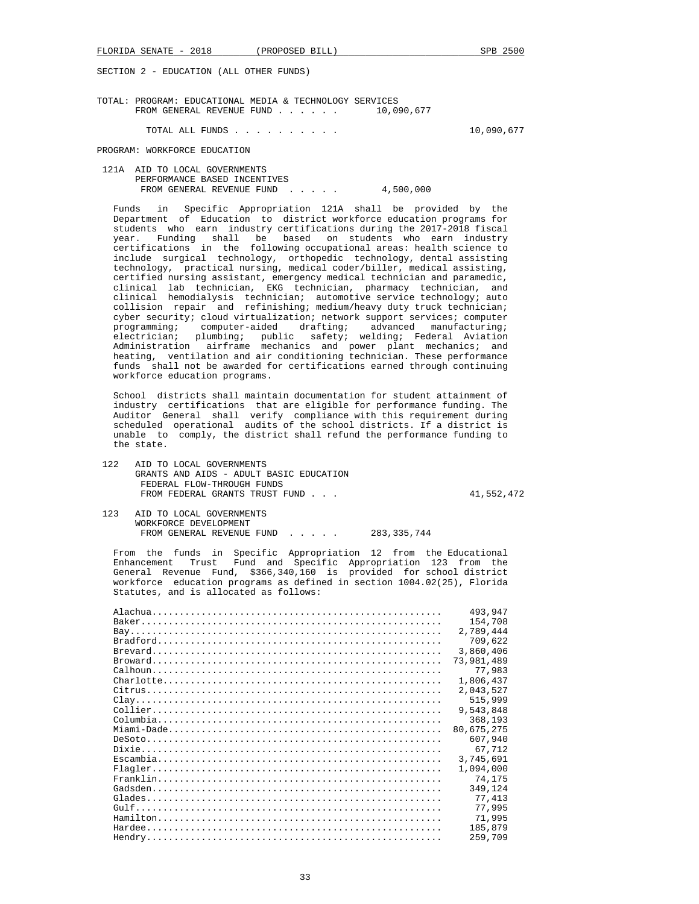TOTAL: PROGRAM: EDUCATIONAL MEDIA & TECHNOLOGY SERVICES<br>FROM GENERAL REVENUE FUND . . . . . . 10.090.677 FROM GENERAL REVENUE FUND . . . . . .

TOTAL ALL FUNDS . . . . . . . . . . 10,090,677

PROGRAM: WORKFORCE EDUCATION

 121A AID TO LOCAL GOVERNMENTS PERFORMANCE BASED INCENTIVES FROM GENERAL REVENUE FUND . . . . . 4,500,000

 Funds in Specific Appropriation 121A shall be provided by the Department of Education to district workforce education programs for students who earn industry certifications during the 2017-2018 fiscal year. Funding shall be based on students who earn industry certifications in the following occupational areas: health science to include surgical technology, orthopedic technology, dental assisting technology, practical nursing, medical coder/biller, medical assisting, certified nursing assistant, emergency medical technician and paramedic, clinical lab technician, EKG technician, pharmacy technician, and clinical hemodialysis technician; automotive service technology; auto collision repair and refinishing; medium/heavy duty truck technician; cyber security; cloud virtualization; network support services; computer programming; computer-aided drafting; advanced manufacturing; electrician; plumbing; public safety; welding; Federal Aviation Administration airframe mechanics and power plant mechanics; and heating, ventilation and air conditioning technician. These performance funds shall not be awarded for certifications earned through continuing workforce education programs.

 School districts shall maintain documentation for student attainment of industry certifications that are eligible for performance funding. The Auditor General shall verify compliance with this requirement during scheduled operational audits of the school districts. If a district is unable to comply, the district shall refund the performance funding to the state.

 122 AID TO LOCAL GOVERNMENTS GRANTS AND AIDS - ADULT BASIC EDUCATION FEDERAL FLOW-THROUGH FUNDS FROM FEDERAL GRANTS TRUST FUND . . . 41,552,472

 123 AID TO LOCAL GOVERNMENTS WORKFORCE DEVELOPMENT FROM GENERAL REVENUE FUND..... 283,335,744

 From the funds in Specific Appropriation 12 from the Educational Enhancement Trust Fund and Specific Appropriation 123 from the General Revenue Fund, \$366,340,160 is provided for school district workforce education programs as defined in section 1004.02(25), Florida Statutes, and is allocated as follows:

|                                                                                                        | 493,947    |
|--------------------------------------------------------------------------------------------------------|------------|
|                                                                                                        | 154,708    |
|                                                                                                        | 2,789,444  |
|                                                                                                        | 709,622    |
|                                                                                                        | 3,860,406  |
|                                                                                                        | 73,981,489 |
|                                                                                                        | 77,983     |
| $Charlotte \ldots \ldots \ldots \ldots \ldots \ldots \ldots \ldots \ldots \ldots \ldots \ldots \ldots$ | 1,806,437  |
|                                                                                                        | 2,043,527  |
|                                                                                                        | 515,999    |
|                                                                                                        | 9,543,848  |
|                                                                                                        | 368,193    |
|                                                                                                        | 80,675,275 |
|                                                                                                        | 607,940    |
|                                                                                                        | 67.712     |
|                                                                                                        | 3,745,691  |
|                                                                                                        | 1,094,000  |
|                                                                                                        | 74,175     |
|                                                                                                        | 349,124    |
|                                                                                                        | 77,413     |
|                                                                                                        | 77,995     |
|                                                                                                        | 71,995     |
|                                                                                                        | 185,879    |
|                                                                                                        | 259,709    |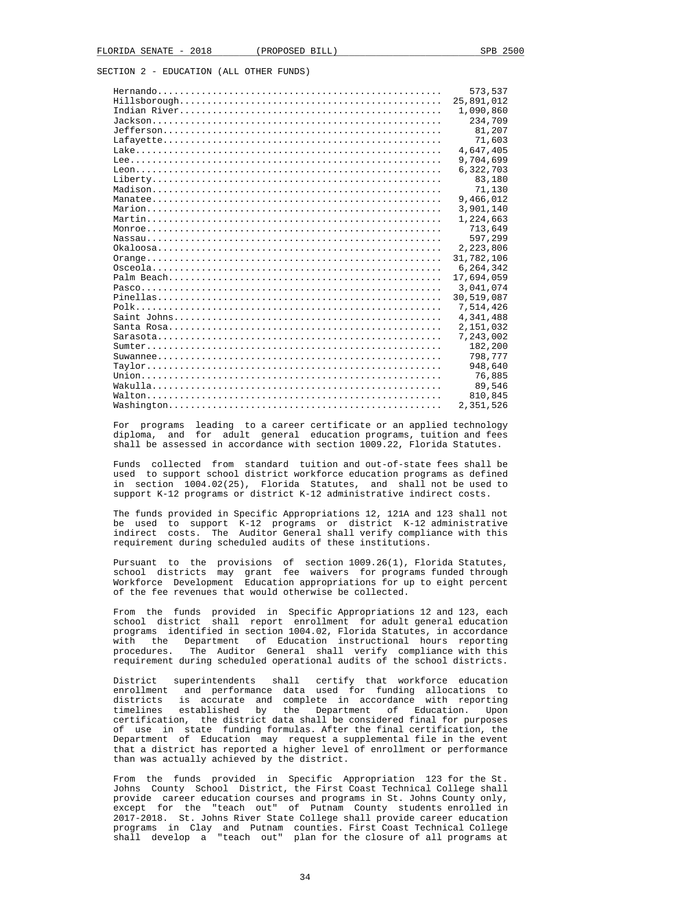|            | 573,537    |
|------------|------------|
|            | 25,891,012 |
|            | 1,090,860  |
|            | 234,709    |
|            | 81,207     |
|            | 71,603     |
|            | 4,647,405  |
|            | 9,704,699  |
|            | 6,322,703  |
|            | 83,180     |
|            | 71,130     |
|            | 9,466,012  |
|            | 3,901,140  |
|            | 1,224,663  |
|            | 713,649    |
|            | 597,299    |
|            | 2,223,806  |
|            | 31,782,106 |
|            | 6,264,342  |
|            | 17,694,059 |
|            | 3,041,074  |
| $Pinellas$ | 30,519,087 |
|            | 7,514,426  |
|            | 4,341,488  |
|            | 2,151,032  |
|            | 7,243,002  |
|            | 182,200    |
|            | 798,777    |
|            | 948,640    |
|            | 76,885     |
|            | 89,546     |
|            | 810,845    |
|            | 2,351,526  |
|            |            |

 For programs leading to a career certificate or an applied technology diploma, and for adult general education programs, tuition and fees shall be assessed in accordance with section 1009.22, Florida Statutes.

 Funds collected from standard tuition and out-of-state fees shall be used to support school district workforce education programs as defined in section 1004.02(25), Florida Statutes, and shall not be used to support K-12 programs or district K-12 administrative indirect costs.

 The funds provided in Specific Appropriations 12, 121A and 123 shall not be used to support K-12 programs or district K-12 administrative indirect costs. The Auditor General shall verify compliance with this requirement during scheduled audits of these institutions.

 Pursuant to the provisions of section 1009.26(1), Florida Statutes, school districts may grant fee waivers for programs funded through Workforce Development Education appropriations for up to eight percent of the fee revenues that would otherwise be collected.

 From the funds provided in Specific Appropriations 12 and 123, each school district shall report enrollment for adult general education programs identified in section 1004.02, Florida Statutes, in accordance with the Department of Education instructional hours reporting procedures. The Auditor General shall verify compliance with this requirement during scheduled operational audits of the school districts.

 District superintendents shall certify that workforce education enrollment and performance data used for funding allocations to districts is accurate and complete in accordance with reporting timelines established by the Department of Education. Upon certification, the district data shall be considered final for purposes of use in state funding formulas. After the final certification, the Department of Education may request a supplemental file in the event that a district has reported a higher level of enrollment or performance than was actually achieved by the district.

 From the funds provided in Specific Appropriation 123 for the St. Johns County School District, the First Coast Technical College shall provide career education courses and programs in St. Johns County only, except for the "teach out" of Putnam County students enrolled in 2017-2018. St. Johns River State College shall provide career education programs in Clay and Putnam counties. First Coast Technical College shall develop a "teach out" plan for the closure of all programs at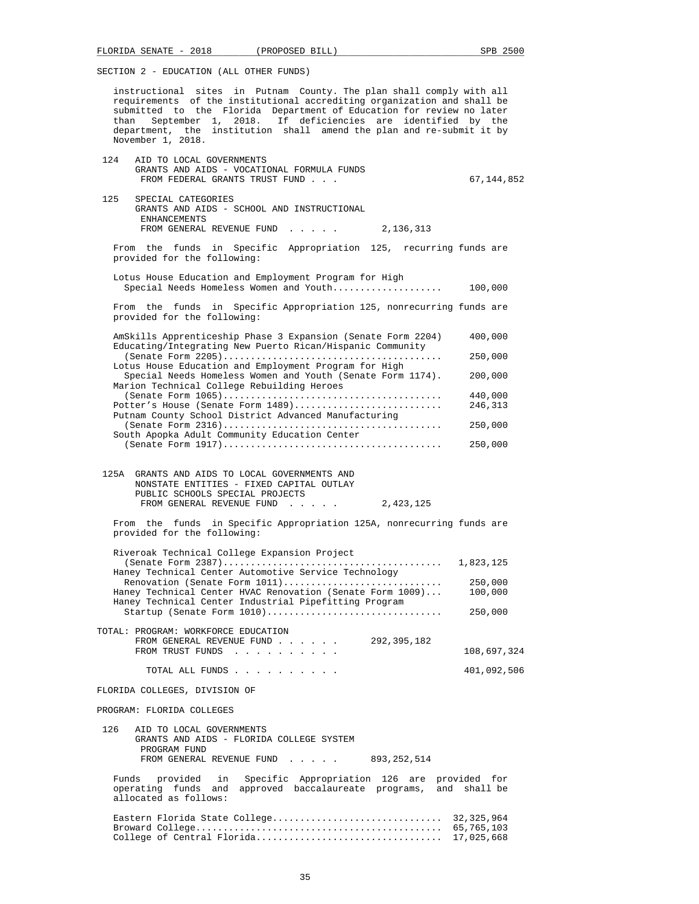instructional sites in Putnam County. The plan shall comply with all requirements of the institutional accrediting organization and shall be submitted to the Florida Department of Education for review no later than September 1, 2018. If deficiencies are identified by the department, the institution shall amend the plan and re-submit it by November 1, 2018.

- 124 AID TO LOCAL GOVERNMENTS GRANTS AND AIDS - VOCATIONAL FORMULA FUNDS FROM FEDERAL GRANTS TRUST FUND . . .  $\hspace{1.6cm}$  . . 67,144,852 125 SPECIAL CATEGORIES GRANTS AND AIDS - SCHOOL AND INSTRUCTIONAL **ENHANCEMENTS** FROM GENERAL REVENUE FUND . . . . . 2,136,313 From the funds in Specific Appropriation 125, recurring funds are provided for the following: Lotus House Education and Employment Program for High Special Needs Homeless Women and Youth.................... 100,000 From the funds in Specific Appropriation 125, nonrecurring funds are provided for the following: AmSkills Apprenticeship Phase 3 Expansion (Senate Form 2204) 400,000 Educating/Integrating New Puerto Rican/Hispanic Community (Senate Form 2205)........................................ 250,000 Lotus House Education and Employment Program for High Special Needs Homeless Women and Youth (Senate Form 1174). 200,000 Marion Technical College Rebuilding Heroes (Senate Form 1065)........................................ 440,000 Potter's House (Senate Form 1489)............................ Putnam County School District Advanced Manufacturing (Senate Form 2316)........................................ 250,000 South Apopka Adult Community Education Center (Senate Form 1917)........................................ 250,000 125A GRANTS AND AIDS TO LOCAL GOVERNMENTS AND NONSTATE ENTITIES - FIXED CAPITAL OUTLAY PUBLIC SCHOOLS SPECIAL PROJECTS
	- FROM GENERAL REVENUE FUND . . . . . 2,423,125 From the funds in Specific Appropriation 125A, nonrecurring funds are
	- provided for the following:

| Riveroak Technical College Expansion Project              |             |
|-----------------------------------------------------------|-------------|
|                                                           | 1,823,125   |
| Haney Technical Center Automotive Service Technology      |             |
| Renovation (Senate Form 1011)                             | 250,000     |
| Haney Technical Center HVAC Renovation (Senate Form 1009) | 100,000     |
| Haney Technical Center Industrial Pipefitting Program     |             |
| Startup (Senate Form 1010)                                | 250,000     |
|                                                           |             |
| TOTAL: PROGRAM: WORKFORCE EDUCATION                       |             |
| 292,395,182<br>FROM GENERAL REVENUE FUND                  |             |
| FROM TRUST FUNDS                                          | 108,697,324 |
|                                                           |             |

TOTAL ALL FUNDS . . . . . . . . . . 401,092,506

FLORIDA COLLEGES, DIVISION OF

PROGRAM: FLORIDA COLLEGES

 126 AID TO LOCAL GOVERNMENTS GRANTS AND AIDS - FLORIDA COLLEGE SYSTEM PROGRAM FUND FROM GENERAL REVENUE FUND . . . . . 893,252,514

 Funds provided in Specific Appropriation 126 are provided for operating funds and approved baccalaureate programs, and shall be allocated as follows:

 Eastern Florida State College............................... 32,325,964 Broward College............................................. 65,765,103 College of Central Florida.................................. 17,025,668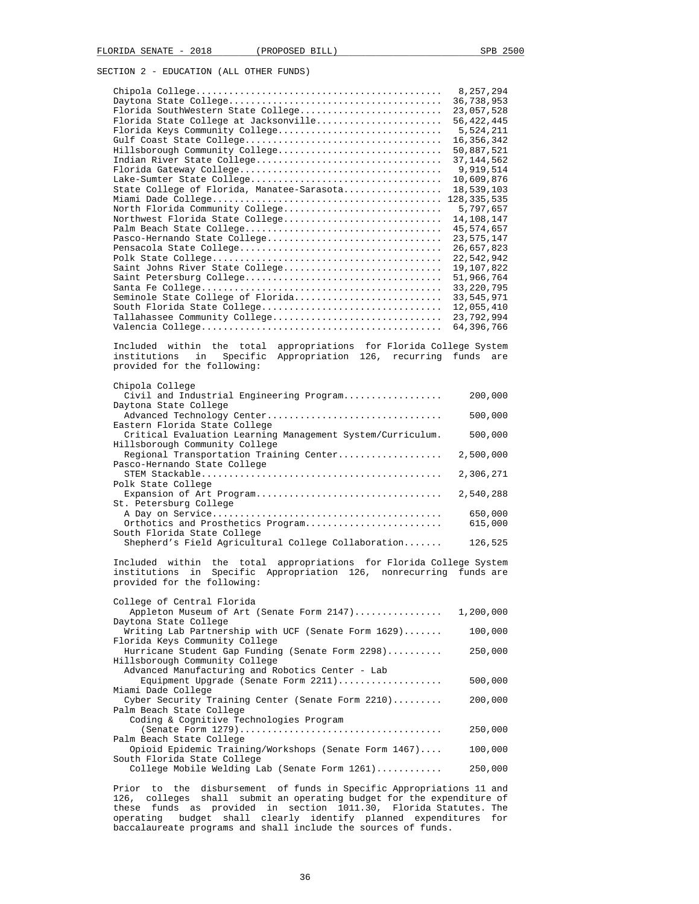|                                                                                                                                              | 8,257,294                 |
|----------------------------------------------------------------------------------------------------------------------------------------------|---------------------------|
|                                                                                                                                              | 36,738,953                |
| Florida SouthWestern State College                                                                                                           | 23,057,528                |
| Florida State College at Jacksonville                                                                                                        | 56, 422, 445              |
| Florida Keys Community College                                                                                                               | 5,524,211                 |
|                                                                                                                                              | 16,356,342                |
| Hillsborough Community College                                                                                                               | 50,887,521                |
|                                                                                                                                              | 37, 144, 562<br>9,919,514 |
|                                                                                                                                              | 10,609,876                |
| State College of Florida, Manatee-Sarasota                                                                                                   | 18,539,103                |
|                                                                                                                                              | 128, 335, 535             |
| North Florida Community College                                                                                                              | 5,797,657                 |
| Northwest Florida State College                                                                                                              | 14,108,147                |
|                                                                                                                                              | 45,574,657                |
| Pasco-Hernando State College                                                                                                                 | 23,575,147                |
|                                                                                                                                              | 26,657,823                |
|                                                                                                                                              | 22,542,942                |
| Saint Johns River State College                                                                                                              | 19,107,822                |
|                                                                                                                                              | 51,966,764                |
|                                                                                                                                              | 33, 220, 795              |
| Seminole State College of Florida                                                                                                            | 33,545,971                |
| South Florida State College                                                                                                                  | 12,055,410                |
| Tallahassee Community College                                                                                                                | 23,792,994<br>64,396,766  |
|                                                                                                                                              |                           |
| Included within the total appropriations for Florida College System<br>institutions<br>in<br>Specific Appropriation 126, recurring funds are |                           |
| provided for the following:                                                                                                                  |                           |
|                                                                                                                                              |                           |
| Chipola College<br>Civil and Industrial Engineering Program                                                                                  | 200,000                   |
| Daytona State College                                                                                                                        |                           |
| Advanced Technology Center<br>Eastern Florida State College                                                                                  | 500,000                   |
| Critical Evaluation Learning Management System/Curriculum.                                                                                   | 500,000                   |
| Hillsborough Community College<br>Regional Transportation Training Center                                                                    | 2,500,000                 |
| Pasco-Hernando State College                                                                                                                 | 2,306,271                 |
| Polk State College                                                                                                                           |                           |
| Expansion of Art Program<br>St. Petersburg College                                                                                           | 2,540,288                 |
|                                                                                                                                              | 650,000                   |
| Orthotics and Prosthetics Program                                                                                                            | 615,000                   |
| South Florida State College                                                                                                                  |                           |
| Shepherd's Field Agricultural College Collaboration                                                                                          | 126,525                   |
| Included within the total<br>appropriations for Florida College System                                                                       |                           |
| institutions in Specific Appropriation 126, nonrecurring<br>provided for the following:                                                      | funds are                 |
|                                                                                                                                              |                           |
| College of Central Florida                                                                                                                   |                           |
| Appleton Museum of Art (Senate Form 2147)                                                                                                    | 1,200,000                 |
| Daytona State College                                                                                                                        |                           |
| Writing Lab Partnership with UCF (Senate Form 1629)                                                                                          | 100,000                   |
| Florida Keys Community College<br>Hurricane Student Gap Funding (Senate Form 2298)                                                           | 250,000                   |
| Hillsborough Community College                                                                                                               |                           |
| Advanced Manufacturing and Robotics Center - Lab                                                                                             |                           |
| Equipment Upgrade (Senate Form 2211)                                                                                                         | 500,000                   |
| Miami Dade College                                                                                                                           |                           |
| Cyber Security Training Center (Senate Form 2210)                                                                                            | 200,000                   |
| Palm Beach State College                                                                                                                     |                           |
| Coding & Cognitive Technologies Program                                                                                                      |                           |
|                                                                                                                                              | 250,000                   |
| Palm Beach State College                                                                                                                     |                           |
| Opioid Epidemic Training/Workshops (Senate Form 1467)                                                                                        | 100,000                   |
| South Florida State College                                                                                                                  | 250,000                   |
| College Mobile Welding Lab (Senate Form 1261)                                                                                                |                           |
| Prior to the disbursement of funds in Specific Appropriations 11 and                                                                         |                           |

 Prior to the disbursement of funds in Specific Appropriations 11 and 126, colleges shall submit an operating budget for the expenditure of these funds as provided in section 1011.30, Florida Statutes. The operating budget shall clearly identify planned expenditures for baccalaureate programs and shall include the sources of funds.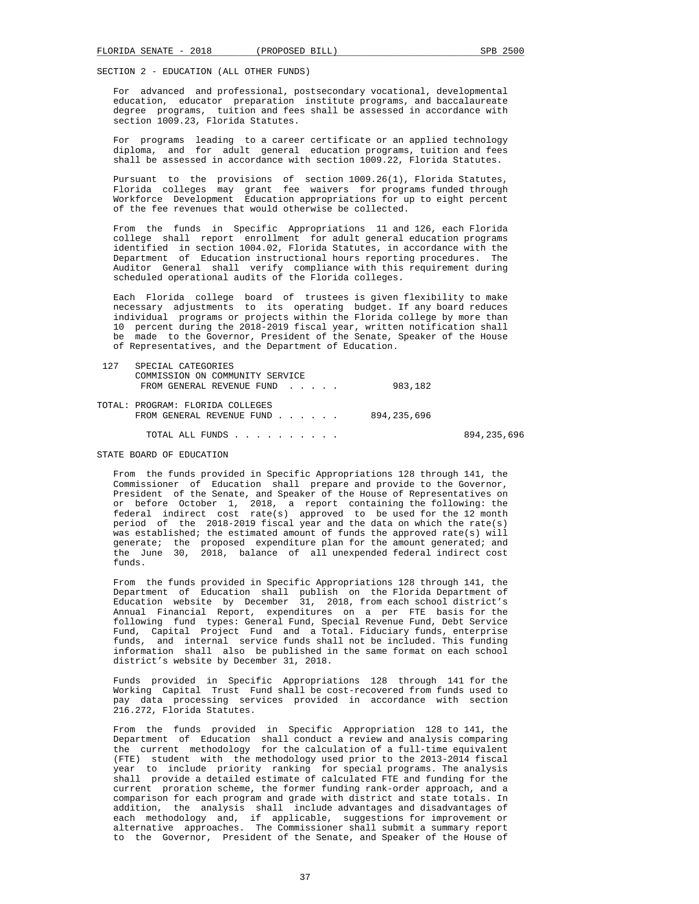For advanced and professional, postsecondary vocational, developmental education, educator preparation institute programs, and baccalaureate degree programs, tuition and fees shall be assessed in accordance with section 1009.23, Florida Statutes.

 For programs leading to a career certificate or an applied technology diploma, and for adult general education programs, tuition and fees shall be assessed in accordance with section 1009.22, Florida Statutes.

 Pursuant to the provisions of section 1009.26(1), Florida Statutes, Florida colleges may grant fee waivers for programs funded through Workforce Development Education appropriations for up to eight percent of the fee revenues that would otherwise be collected.

 From the funds in Specific Appropriations 11 and 126, each Florida college shall report enrollment for adult general education programs identified in section 1004.02, Florida Statutes, in accordance with the Department of Education instructional hours reporting procedures. The Auditor General shall verify compliance with this requirement during scheduled operational audits of the Florida colleges.

 Each Florida college board of trustees is given flexibility to make necessary adjustments to its operating budget. If any board reduces individual programs or projects within the Florida college by more than 10 percent during the 2018-2019 fiscal year, written notification shall be made to the Governor, President of the Senate, Speaker of the House of Representatives, and the Department of Education.

| 127 | SPECIAL CATEGORIES               |             |             |
|-----|----------------------------------|-------------|-------------|
|     | COMMISSION ON COMMUNITY SERVICE  |             |             |
|     | FROM GENERAL REVENUE FUND        | 983,182     |             |
|     | TOTAL: PROGRAM: FLORIDA COLLEGES |             |             |
|     | FROM GENERAL REVENUE FUND        | 894,235,696 |             |
|     | TOTAL ALL FUNDS                  |             | 894,235,696 |

## STATE BOARD OF EDUCATION

 From the funds provided in Specific Appropriations 128 through 141, the Commissioner of Education shall prepare and provide to the Governor, President of the Senate, and Speaker of the House of Representatives on or before October 1, 2018, a report containing the following: the federal indirect cost rate(s) approved to be used for the 12 month period of the 2018-2019 fiscal year and the data on which the rate(s) was established; the estimated amount of funds the approved rate(s) will generate; the proposed expenditure plan for the amount generated; and the June 30, 2018, balance of all unexpended federal indirect cost funds.

 From the funds provided in Specific Appropriations 128 through 141, the Department of Education shall publish on the Florida Department of Education website by December 31, 2018, from each school district's Annual Financial Report, expenditures on a per FTE basis for the following fund types: General Fund, Special Revenue Fund, Debt Service Fund, Capital Project Fund and a Total. Fiduciary funds, enterprise funds, and internal service funds shall not be included. This funding information shall also be published in the same format on each school district's website by December 31, 2018.

 Funds provided in Specific Appropriations 128 through 141 for the Working Capital Trust Fund shall be cost-recovered from funds used to pay data processing services provided in accordance with section 216.272, Florida Statutes.

 From the funds provided in Specific Appropriation 128 to 141, the Department of Education shall conduct a review and analysis comparing the current methodology for the calculation of a full-time equivalent (FTE) student with the methodology used prior to the 2013-2014 fiscal year to include priority ranking for special programs. The analysis shall provide a detailed estimate of calculated FTE and funding for the current proration scheme, the former funding rank-order approach, and a comparison for each program and grade with district and state totals. In addition, the analysis shall include advantages and disadvantages of each methodology and, if applicable, suggestions for improvement or alternative approaches. The Commissioner shall submit a summary report to the Governor, President of the Senate, and Speaker of the House of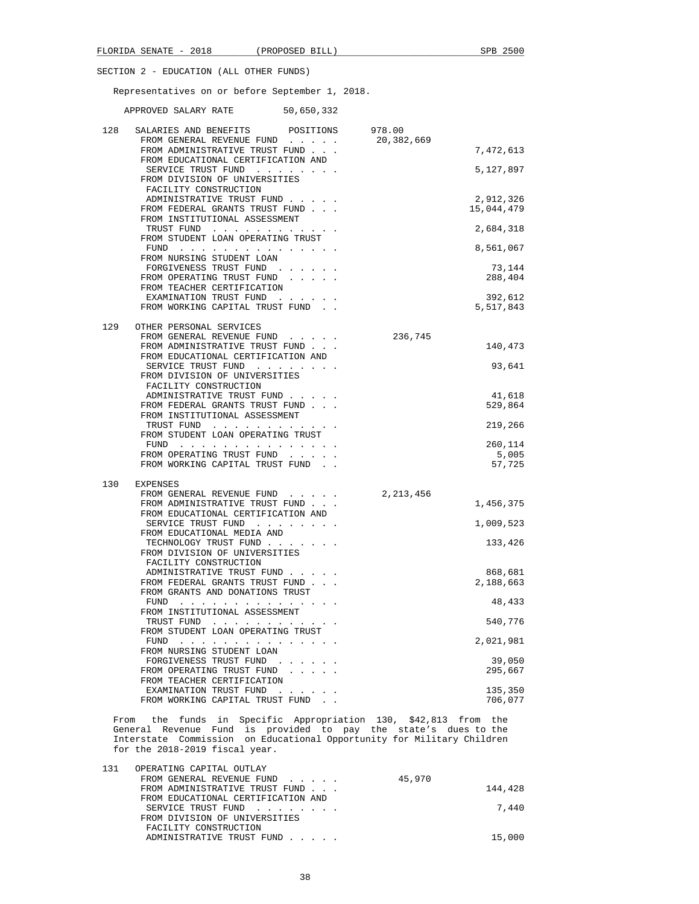Representatives on or before September 1, 2018.

APPROVED SALARY RATE 50,650,332

| 128 | SALARIES AND BENEFITS<br>POSITIONS<br>FROM GENERAL REVENUE FUND             | 978.00<br>20,382,669 |                   |
|-----|-----------------------------------------------------------------------------|----------------------|-------------------|
|     | FROM ADMINISTRATIVE TRUST FUND                                              |                      | 7,472,613         |
|     | FROM EDUCATIONAL CERTIFICATION AND<br>SERVICE TRUST FUND                    |                      | 5,127,897         |
|     | FROM DIVISION OF UNIVERSITIES<br>FACILITY CONSTRUCTION                      |                      |                   |
|     | ADMINISTRATIVE TRUST FUND                                                   |                      | 2,912,326         |
|     | FROM FEDERAL GRANTS TRUST FUND<br>FROM INSTITUTIONAL ASSESSMENT             |                      | 15,044,479        |
|     | TRUST FUND                                                                  |                      | 2,684,318         |
|     | FROM STUDENT LOAN OPERATING TRUST<br>FUND                                   |                      | 8,561,067         |
|     | FROM NURSING STUDENT LOAN<br>FORGIVENESS TRUST FUND                         |                      | 73,144            |
|     | FROM OPERATING TRUST FUND                                                   |                      | 288,404           |
|     | FROM TEACHER CERTIFICATION<br>EXAMINATION TRUST FUND                        |                      | 392,612           |
|     | FROM WORKING CAPITAL TRUST FUND.                                            |                      | 5,517,843         |
| 129 | OTHER PERSONAL SERVICES                                                     |                      |                   |
|     | FROM GENERAL REVENUE FUND                                                   | 236,745              |                   |
|     | FROM ADMINISTRATIVE TRUST FUND<br>FROM EDUCATIONAL CERTIFICATION AND        |                      | 140,473           |
|     | SERVICE TRUST FUND                                                          |                      | 93,641            |
|     | FROM DIVISION OF UNIVERSITIES                                               |                      |                   |
|     | FACILITY CONSTRUCTION<br>ADMINISTRATIVE TRUST FUND                          |                      | 41,618            |
|     | FROM FEDERAL GRANTS TRUST FUND                                              |                      | 529,864           |
|     | FROM INSTITUTIONAL ASSESSMENT<br>TRUST FUND                                 |                      | 219,266           |
|     | FROM STUDENT LOAN OPERATING TRUST                                           |                      |                   |
|     | FUND<br>FROM OPERATING TRUST FUND                                           |                      | 260,114<br>5,005  |
|     | FROM WORKING CAPITAL TRUST FUND.                                            |                      | 57,725            |
| 130 | EXPENSES                                                                    |                      |                   |
|     | FROM GENERAL REVENUE FUND                                                   | 2, 213, 456          |                   |
|     | FROM ADMINISTRATIVE TRUST FUND<br>FROM EDUCATIONAL CERTIFICATION AND        |                      | 1,456,375         |
|     | SERVICE TRUST FUND                                                          |                      | 1,009,523         |
|     | FROM EDUCATIONAL MEDIA AND<br>TECHNOLOGY TRUST FUND                         |                      | 133,426           |
|     | FROM DIVISION OF UNIVERSITIES                                               |                      |                   |
|     | FACILITY CONSTRUCTION<br>ADMINISTRATIVE TRUST FUND                          |                      | 868,681           |
|     | FROM FEDERAL GRANTS TRUST FUND                                              |                      | 2,188,663         |
|     | FROM GRANTS AND DONATIONS TRUST                                             |                      |                   |
|     | FUND<br>FROM INSTITUTIONAL ASSESSMENT                                       |                      | 48,433            |
|     | TRUST FUND                                                                  |                      | 540,776           |
|     | FROM STUDENT LOAN OPERATING TRUST<br>$FUND$                                 |                      | 2,021,981         |
|     | FROM NURSING STUDENT LOAN                                                   |                      |                   |
|     | FORGIVENESS TRUST FUND<br>$\sim$ $\sim$ $\sim$<br>FROM OPERATING TRUST FUND |                      | 39,050<br>295,667 |
|     | FROM TEACHER CERTIFICATION                                                  |                      |                   |
|     | EXAMINATION TRUST FUND<br>FROM WORKING CAPITAL TRUST FUND                   |                      | 135,350           |
|     |                                                                             |                      | 706,077           |

 From the funds in Specific Appropriation 130, \$42,813 from the General Revenue Fund is provided to pay the state's dues to the Interstate Commission on Educational Opportunity for Military Children for the 2018-2019 fiscal year.

| 131 | OPERATING CAPITAL OUTLAY           |  |        |         |
|-----|------------------------------------|--|--------|---------|
|     | FROM GENERAL REVENUE FUND          |  | 45,970 |         |
|     | FROM ADMINISTRATIVE TRUST FUND     |  |        | 144,428 |
|     | FROM EDUCATIONAL CERTIFICATION AND |  |        |         |
|     | SERVICE TRUST FUND                 |  |        | 7,440   |
|     | FROM DIVISION OF UNIVERSITIES      |  |        |         |
|     | FACILITY CONSTRUCTION              |  |        |         |
|     | ADMINISTRATIVE TRUST FUND          |  |        | 15,000  |
|     |                                    |  |        |         |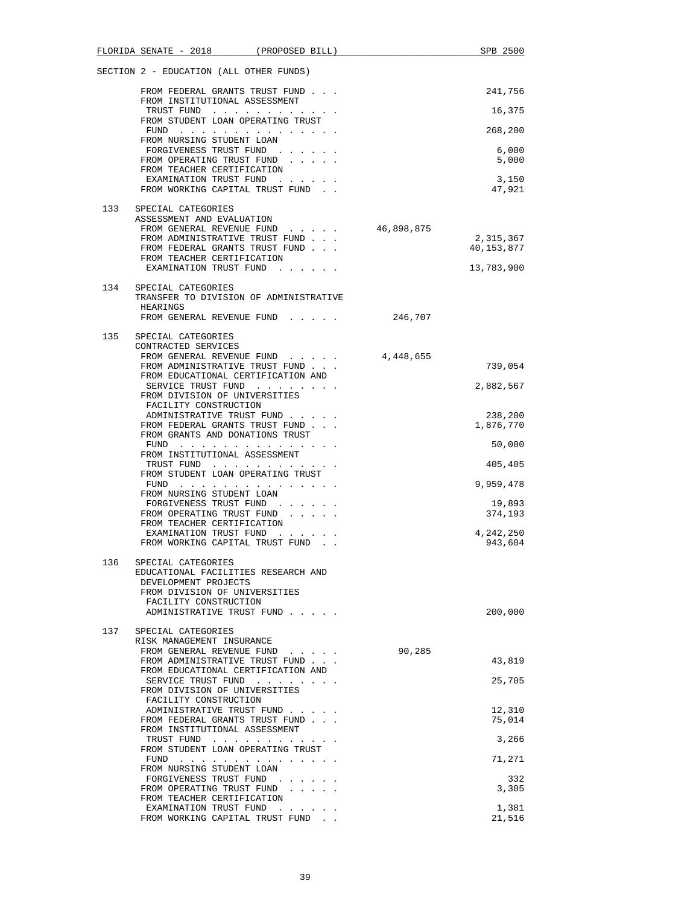|     |                                                      | FLORIDA SENATE - 2018 (PROPOSED BILL)                                                                                                                                                                                                                               |            | SPB 2500        |
|-----|------------------------------------------------------|---------------------------------------------------------------------------------------------------------------------------------------------------------------------------------------------------------------------------------------------------------------------|------------|-----------------|
|     |                                                      | SECTION 2 - EDUCATION (ALL OTHER FUNDS)                                                                                                                                                                                                                             |            |                 |
|     |                                                      | FROM FEDERAL GRANTS TRUST FUND                                                                                                                                                                                                                                      |            | 241,756         |
|     |                                                      | FROM INSTITUTIONAL ASSESSMENT<br>TRUST FUND                                                                                                                                                                                                                         |            | 16,375          |
|     |                                                      | FROM STUDENT LOAN OPERATING TRUST<br>$FUND$                                                                                                                                                                                                                         |            | 268,200         |
|     | FROM NURSING STUDENT LOAN                            | FORGIVENESS TRUST FUND                                                                                                                                                                                                                                              |            | 6,000           |
|     | FROM TEACHER CERTIFICATION                           | FROM OPERATING TRUST FUND                                                                                                                                                                                                                                           |            | 5,000           |
|     |                                                      | EXAMINATION TRUST FUND<br>FROM WORKING CAPITAL TRUST FUND.                                                                                                                                                                                                          |            | 3,150<br>47,921 |
| 133 | SPECIAL CATEGORIES                                   |                                                                                                                                                                                                                                                                     |            |                 |
|     | ASSESSMENT AND EVALUATION                            | FROM GENERAL REVENUE FUND                                                                                                                                                                                                                                           | 46,898,875 |                 |
|     |                                                      | FROM ADMINISTRATIVE TRUST FUND                                                                                                                                                                                                                                      |            | 2,315,367       |
|     |                                                      | FROM FEDERAL GRANTS TRUST FUND                                                                                                                                                                                                                                      |            | 40,153,877      |
|     | FROM TEACHER CERTIFICATION                           |                                                                                                                                                                                                                                                                     |            |                 |
|     |                                                      | EXAMINATION TRUST FUND                                                                                                                                                                                                                                              |            | 13,783,900      |
| 134 | SPECIAL CATEGORIES<br>HEARINGS                       | TRANSFER TO DIVISION OF ADMINISTRATIVE                                                                                                                                                                                                                              |            |                 |
|     |                                                      | FROM GENERAL REVENUE FUND                                                                                                                                                                                                                                           | 246,707    |                 |
| 135 | SPECIAL CATEGORIES<br>CONTRACTED SERVICES            |                                                                                                                                                                                                                                                                     |            |                 |
|     |                                                      | FROM GENERAL REVENUE FUND<br>FROM ADMINISTRATIVE TRUST FUND                                                                                                                                                                                                         | 4,448,655  | 739,054         |
|     |                                                      | FROM EDUCATIONAL CERTIFICATION AND<br>SERVICE TRUST FUND                                                                                                                                                                                                            |            | 2,882,567       |
|     | FACILITY CONSTRUCTION                                | FROM DIVISION OF UNIVERSITIES                                                                                                                                                                                                                                       |            |                 |
|     |                                                      | ADMINISTRATIVE TRUST FUND                                                                                                                                                                                                                                           |            | 238,200         |
|     |                                                      | FROM FEDERAL GRANTS TRUST FUND                                                                                                                                                                                                                                      |            | 1,876,770       |
|     |                                                      | FROM GRANTS AND DONATIONS TRUST<br>$FUND$                                                                                                                                                                                                                           |            | 50,000          |
|     |                                                      | FROM INSTITUTIONAL ASSESSMENT<br>TRUST FUND                                                                                                                                                                                                                         |            | 405,405         |
|     |                                                      | FROM STUDENT LOAN OPERATING TRUST<br>FUND                                                                                                                                                                                                                           |            | 9,959,478       |
|     | FROM NURSING STUDENT LOAN                            | FORGIVENESS TRUST FUND                                                                                                                                                                                                                                              |            | 19,893          |
|     | FROM TEACHER CERTIFICATION                           | FROM OPERATING TRUST FUND                                                                                                                                                                                                                                           |            | 374,193         |
|     |                                                      | EXAMINATION TRUST FUND                                                                                                                                                                                                                                              |            | 4,242,250       |
|     |                                                      | FROM WORKING CAPITAL TRUST FUND.                                                                                                                                                                                                                                    |            | 943,604         |
| 136 | SPECIAL CATEGORIES                                   |                                                                                                                                                                                                                                                                     |            |                 |
|     | DEVELOPMENT PROJECTS                                 | EDUCATIONAL FACILITIES RESEARCH AND                                                                                                                                                                                                                                 |            |                 |
|     | FACILITY CONSTRUCTION                                | FROM DIVISION OF UNIVERSITIES                                                                                                                                                                                                                                       |            |                 |
|     |                                                      | ADMINISTRATIVE TRUST FUND                                                                                                                                                                                                                                           |            | 200,000         |
| 137 | SPECIAL CATEGORIES                                   |                                                                                                                                                                                                                                                                     |            |                 |
|     | RISK MANAGEMENT INSURANCE                            | FROM GENERAL REVENUE FUND                                                                                                                                                                                                                                           | 90,285     |                 |
|     |                                                      | FROM ADMINISTRATIVE TRUST FUND                                                                                                                                                                                                                                      |            | 43,819          |
|     |                                                      | FROM EDUCATIONAL CERTIFICATION AND<br>SERVICE TRUST FUND                                                                                                                                                                                                            |            | 25,705          |
|     | FACILITY CONSTRUCTION                                | FROM DIVISION OF UNIVERSITIES                                                                                                                                                                                                                                       |            |                 |
|     |                                                      | ADMINISTRATIVE TRUST FUND                                                                                                                                                                                                                                           |            | 12,310          |
|     |                                                      | FROM FEDERAL GRANTS TRUST FUND                                                                                                                                                                                                                                      |            | 75,014          |
|     |                                                      | FROM INSTITUTIONAL ASSESSMENT<br>TRUST FUND                                                                                                                                                                                                                         |            | 3,266           |
|     | FUND                                                 | FROM STUDENT LOAN OPERATING TRUST<br>the contract of the contract of the contract of the contract of the contract of the contract of the contract of the contract of the contract of the contract of the contract of the contract of the contract of the contract o |            | 71,271          |
|     | FROM NURSING STUDENT LOAN<br>FORGIVENESS TRUST FUND  |                                                                                                                                                                                                                                                                     |            | 332             |
|     |                                                      | FROM OPERATING TRUST FUND                                                                                                                                                                                                                                           |            | 3,305           |
|     | FROM TEACHER CERTIFICATION<br>EXAMINATION TRUST FUND |                                                                                                                                                                                                                                                                     |            | 1,381           |
|     |                                                      | $\begin{array}{cccccccccccccc} \bullet & \bullet & \bullet & \bullet & \bullet & \bullet & \bullet & \bullet & \bullet \end{array}$<br>FROM WORKING CAPITAL TRUST FUND.                                                                                             |            | 21,516          |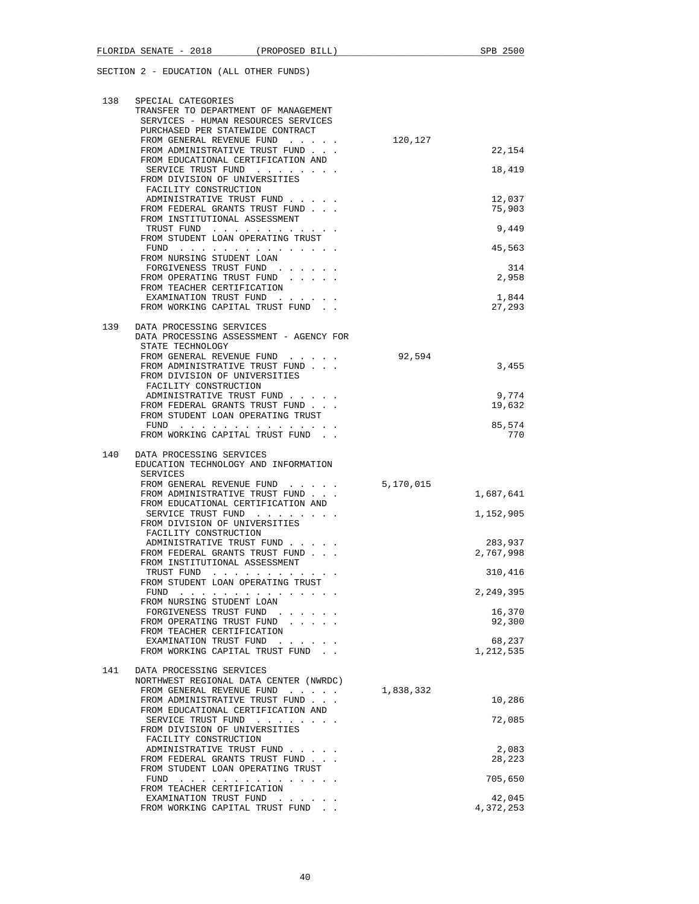| 138 | SPECIAL CATEGORIES<br>TRANSFER TO DEPARTMENT OF MANAGEMENT<br>SERVICES - HUMAN RESOURCES SERVICES<br>PURCHASED PER STATEWIDE CONTRACT<br>FROM GENERAL REVENUE FUND<br>FROM ADMINISTRATIVE TRUST FUND<br>FROM EDUCATIONAL CERTIFICATION AND                             | 120,127   | 22,154               |
|-----|------------------------------------------------------------------------------------------------------------------------------------------------------------------------------------------------------------------------------------------------------------------------|-----------|----------------------|
|     | SERVICE TRUST FUND<br>FROM DIVISION OF UNIVERSITIES<br>FACILITY CONSTRUCTION                                                                                                                                                                                           |           | 18,419               |
|     | ADMINISTRATIVE TRUST FUND<br>FROM FEDERAL GRANTS TRUST FUND<br>FROM INSTITUTIONAL ASSESSMENT                                                                                                                                                                           |           | 12,037<br>75,903     |
|     | TRUST FUND<br>FROM STUDENT LOAN OPERATING TRUST                                                                                                                                                                                                                        |           | 9,449                |
|     | FUND<br>FROM NURSING STUDENT LOAN                                                                                                                                                                                                                                      |           | 45,563               |
|     | FORGIVENESS TRUST FUND<br>FROM OPERATING TRUST FUND                                                                                                                                                                                                                    |           | 314<br>2,958         |
|     | FROM TEACHER CERTIFICATION<br>EXAMINATION TRUST FUND<br>FROM WORKING CAPITAL TRUST FUND                                                                                                                                                                                |           | 1,844<br>27,293      |
| 139 | DATA PROCESSING SERVICES<br>DATA PROCESSING ASSESSMENT - AGENCY FOR                                                                                                                                                                                                    |           |                      |
|     | STATE TECHNOLOGY<br>FROM GENERAL REVENUE FUND                                                                                                                                                                                                                          | 92,594    |                      |
|     | FROM ADMINISTRATIVE TRUST FUND<br>FROM DIVISION OF UNIVERSITIES<br>FACILITY CONSTRUCTION                                                                                                                                                                               |           | 3,455                |
|     | ADMINISTRATIVE TRUST FUND<br>FROM FEDERAL GRANTS TRUST FUND                                                                                                                                                                                                            |           | 9,774<br>19,632      |
|     | FROM STUDENT LOAN OPERATING TRUST<br>${\tt FUND} \quad . \quad . \quad . \quad . \quad . \quad . \quad . \quad . \quad . \quad . \quad . \quad . \quad .$                                                                                                              |           | 85,574               |
| 140 | FROM WORKING CAPITAL TRUST FUND.                                                                                                                                                                                                                                       |           | 770                  |
|     | DATA PROCESSING SERVICES<br>EDUCATION TECHNOLOGY AND INFORMATION<br>SERVICES                                                                                                                                                                                           |           |                      |
|     | FROM GENERAL REVENUE FUND<br>FROM ADMINISTRATIVE TRUST FUND                                                                                                                                                                                                            | 5,170,015 | 1,687,641            |
|     | FROM EDUCATIONAL CERTIFICATION AND<br>SERVICE TRUST FUND                                                                                                                                                                                                               |           | 1,152,905            |
|     | FROM DIVISION OF UNIVERSITIES<br>FACILITY CONSTRUCTION                                                                                                                                                                                                                 |           |                      |
|     | ADMINISTRATIVE TRUST FUND<br>FROM FEDERAL GRANTS TRUST FUND<br>FROM INSTITUTIONAL ASSESSMENT                                                                                                                                                                           |           | 283,937<br>2,767,998 |
|     | TRUST FUND<br>FROM STUDENT LOAN OPERATING TRUST                                                                                                                                                                                                                        |           | 310,416              |
|     | FUND<br>$\mathbf{r}$ . The set of the set of the set of the set of the set of the set of the set of the set of the set of the set of the set of the set of the set of the set of the set of the set of the set of the set of the set of t<br>FROM NURSING STUDENT LOAN |           | 2,249,395            |
|     | FORGIVENESS TRUST FUND<br>$\mathbf{r}$ and $\mathbf{r}$ and $\mathbf{r}$<br>FROM OPERATING TRUST FUND                                                                                                                                                                  |           | 16,370<br>92,300     |
|     | FROM TEACHER CERTIFICATION<br>EXAMINATION TRUST FUND<br>and the second second<br>FROM WORKING CAPITAL TRUST FUND                                                                                                                                                       |           | 68,237<br>1,212,535  |
| 141 | DATA PROCESSING SERVICES<br>NORTHWEST REGIONAL DATA CENTER (NWRDC)                                                                                                                                                                                                     |           |                      |
|     | FROM GENERAL REVENUE FUND<br>FROM ADMINISTRATIVE TRUST FUND                                                                                                                                                                                                            | 1,838,332 | 10,286               |
|     | FROM EDUCATIONAL CERTIFICATION AND<br>SERVICE TRUST FUND                                                                                                                                                                                                               |           | 72,085               |
|     | FROM DIVISION OF UNIVERSITIES<br>FACILITY CONSTRUCTION                                                                                                                                                                                                                 |           |                      |
|     | ADMINISTRATIVE TRUST FUND<br>FROM FEDERAL GRANTS TRUST FUND                                                                                                                                                                                                            |           | 2,083<br>28,223      |
|     | FROM STUDENT LOAN OPERATING TRUST<br>FUND $\cdots$                                                                                                                                                                                                                     |           | 705,650              |
|     | FROM TEACHER CERTIFICATION<br>EXAMINATION TRUST FUND                                                                                                                                                                                                                   |           | 42,045               |
|     | FROM WORKING CAPITAL TRUST FUND                                                                                                                                                                                                                                        |           | 4,372,253            |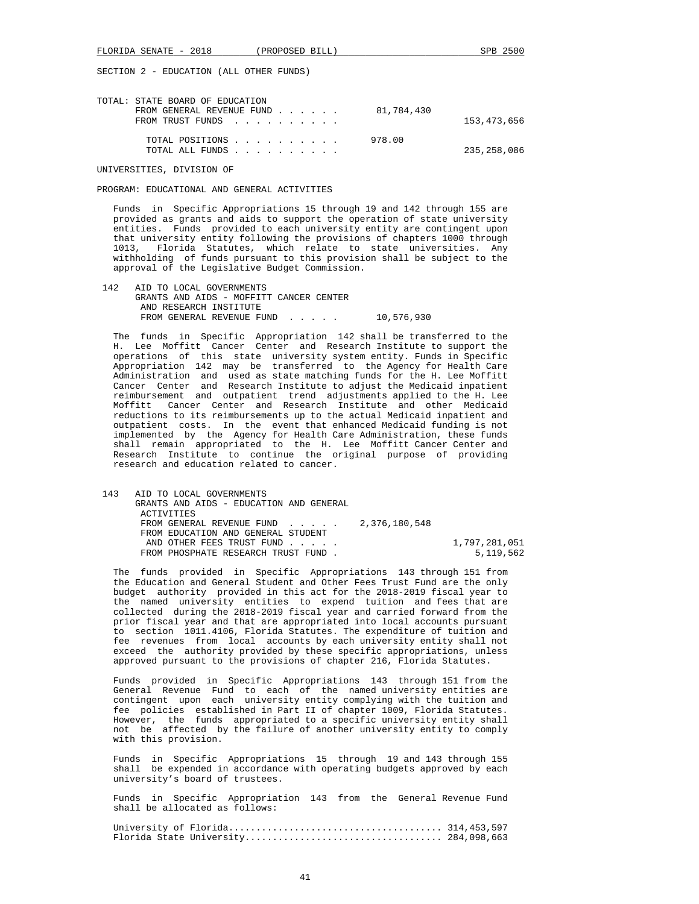| TOTAL: STATE BOARD OF EDUCATION |  |  |            |             |
|---------------------------------|--|--|------------|-------------|
| FROM GENERAL REVENUE FUND       |  |  | 81,784,430 |             |
| FROM TRUST FUNDS                |  |  |            | 153,473,656 |
|                                 |  |  |            |             |
| TOTAL POSITIONS                 |  |  | 978.00     |             |
| TOTAL ALL FUNDS                 |  |  |            | 235,258,086 |
|                                 |  |  |            |             |

UNIVERSITIES, DIVISION OF

### PROGRAM: EDUCATIONAL AND GENERAL ACTIVITIES

 Funds in Specific Appropriations 15 through 19 and 142 through 155 are provided as grants and aids to support the operation of state university entities. Funds provided to each university entity are contingent upon that university entity following the provisions of chapters 1000 through 1013, Florida Statutes, which relate to state universities. Any withholding of funds pursuant to this provision shall be subject to the approval of the Legislative Budget Commission.

 142 AID TO LOCAL GOVERNMENTS GRANTS AND AIDS - MOFFITT CANCER CENTER AND RESEARCH INSTITUTE FROM GENERAL REVENUE FUND . . . . . 10,576,930

 The funds in Specific Appropriation 142 shall be transferred to the H. Lee Moffitt Cancer Center and Research Institute to support the operations of this state university system entity. Funds in Specific Appropriation 142 may be transferred to the Agency for Health Care Administration and used as state matching funds for the H. Lee Moffitt Cancer Center and Research Institute to adjust the Medicaid inpatient reimbursement and outpatient trend adjustments applied to the H. Lee Moffitt Cancer Center and Research Institute and other Medicaid reductions to its reimbursements up to the actual Medicaid inpatient and outpatient costs. In the event that enhanced Medicaid funding is not implemented by the Agency for Health Care Administration, these funds shall remain appropriated to the H. Lee Moffitt Cancer Center and Research Institute to continue the original purpose of providing research and education related to cancer.

| 143 | AID TO LOCAL GOVERNMENTS                  |               |
|-----|-------------------------------------------|---------------|
|     | GRANTS AND AIDS - EDUCATION AND GENERAL   |               |
|     | <b>ACTIVITIES</b>                         |               |
|     | FROM GENERAL REVENUE FUND $2.376.180.548$ |               |
|     | FROM EDUCATION AND GENERAL STUDENT        |               |
|     | AND OTHER FEES TRUST FUND                 | 1,797,281,051 |
|     | FROM PHOSPHATE RESEARCH TRUST FUND.       | 5,119,562     |

 The funds provided in Specific Appropriations 143 through 151 from the Education and General Student and Other Fees Trust Fund are the only budget authority provided in this act for the 2018-2019 fiscal year to the named university entities to expend tuition and fees that are collected during the 2018-2019 fiscal year and carried forward from the prior fiscal year and that are appropriated into local accounts pursuant to section 1011.4106, Florida Statutes. The expenditure of tuition and fee revenues from local accounts by each university entity shall not exceed the authority provided by these specific appropriations, unless approved pursuant to the provisions of chapter 216, Florida Statutes.

 Funds provided in Specific Appropriations 143 through 151 from the General Revenue Fund to each of the named university entities are contingent upon each university entity complying with the tuition and fee policies established in Part II of chapter 1009, Florida Statutes. However, the funds appropriated to a specific university entity shall not be affected by the failure of another university entity to comply with this provision.

 Funds in Specific Appropriations 15 through 19 and 143 through 155 shall be expended in accordance with operating budgets approved by each university's board of trustees.

 Funds in Specific Appropriation 143 from the General Revenue Fund shall be allocated as follows:

 University of Florida....................................... 314,453,597 Florida State University.................................... 284,098,663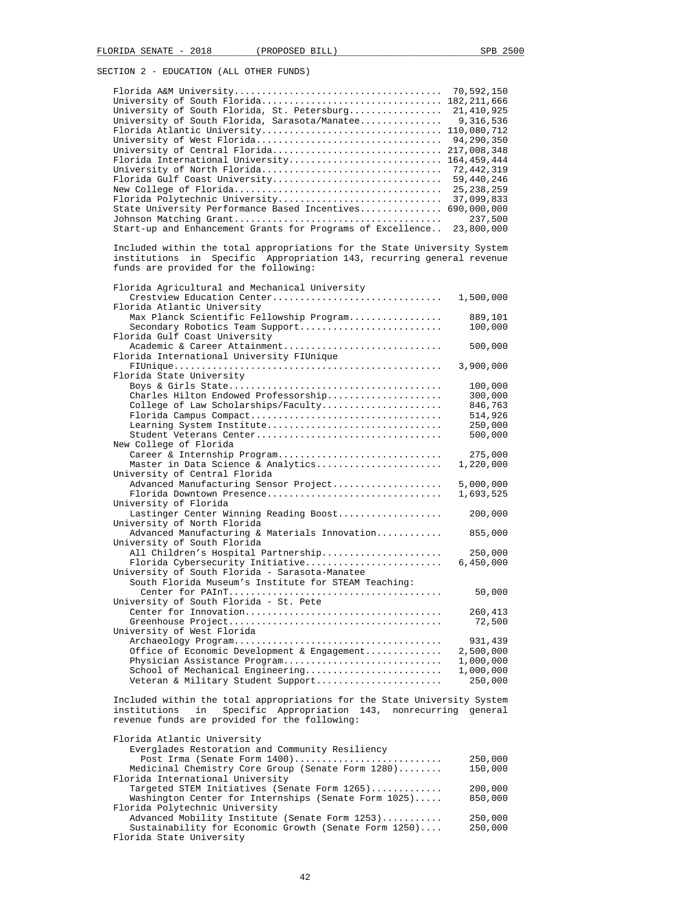|                                                                                                                   | 70,592,150                  |
|-------------------------------------------------------------------------------------------------------------------|-----------------------------|
| University of South Florida<br>University of South Florida, St. Petersburg                                        | 182, 211, 666<br>21,410,925 |
| University of South Florida, Sarasota/Manatee                                                                     | 9,316,536                   |
| Florida Atlantic University                                                                                       | 110,080,712                 |
| University of West Florida                                                                                        | 94,290,350                  |
| University of Central Florida                                                                                     | 217,008,348                 |
| Florida International University                                                                                  | 164, 459, 444               |
| University of North Florida                                                                                       | 72,442,319                  |
| Florida Gulf Coast University                                                                                     | 59,440,246                  |
| Florida Polytechnic University                                                                                    | 25, 238, 259<br>37,099,833  |
| State University Performance Based Incentives                                                                     | 690,000,000                 |
|                                                                                                                   | 237,500                     |
| Start-up and Enhancement Grants for Programs of Excellence                                                        | 23,800,000                  |
| Included within the total appropriations for the State University System                                          |                             |
| Specific Appropriation 143, recurring general revenue<br>institutions in<br>funds are provided for the following: |                             |
|                                                                                                                   |                             |
| Florida Agricultural and Mechanical University<br>Crestview Education Center                                      | 1,500,000                   |
| Florida Atlantic University                                                                                       |                             |
| Max Planck Scientific Fellowship Program                                                                          | 889,101                     |
| Secondary Robotics Team Support                                                                                   | 100,000                     |
| Florida Gulf Coast University                                                                                     |                             |
| Academic & Career Attainment<br>Florida International University FIUnique                                         | 500,000                     |
|                                                                                                                   | 3,900,000                   |
| Florida State University                                                                                          |                             |
|                                                                                                                   | 100,000                     |
| Charles Hilton Endowed Professorship                                                                              | 300,000                     |
| College of Law Scholarships/Faculty                                                                               | 846,763                     |
| Florida Campus Compact<br>Learning System Institute                                                               | 514,926<br>250,000          |
| Student Veterans Center                                                                                           | 500,000                     |
| New College of Florida                                                                                            |                             |
| Career & Internship Program                                                                                       | 275,000                     |
| Master in Data Science & Analytics                                                                                | 1,220,000                   |
| University of Central Florida                                                                                     |                             |
| Advanced Manufacturing Sensor Project<br>Florida Downtown Presence                                                | 5,000,000<br>1,693,525      |
| University of Florida                                                                                             |                             |
| Lastinger Center Winning Reading Boost                                                                            | 200,000                     |
| University of North Florida                                                                                       |                             |
| Advanced Manufacturing & Materials Innovation                                                                     | 855,000                     |
| University of South Florida                                                                                       |                             |
| All Children's Hospital Partnership                                                                               | 250,000                     |
| Florida Cybersecurity Initiative<br>University of South Florida - Sarasota-Manatee                                | 6,450,000                   |
| South Florida Museum's Institute for STEAM Teaching:                                                              |                             |
|                                                                                                                   | 50,000                      |
| University of South Florida - St. Pete                                                                            |                             |
| Center for Innovation                                                                                             | 260,413                     |
|                                                                                                                   | 72,500                      |
| University of West Florida                                                                                        |                             |
| Office of Economic Development & Engagement                                                                       | 931,439<br>2,500,000        |
| Physician Assistance Program                                                                                      | 1,000,000                   |
| School of Mechanical Engineering                                                                                  | 1,000,000                   |
| Veteran & Military Student Support                                                                                | 250,000                     |
| Included within the total appropriations for the State University System                                          |                             |
| Specific Appropriation 143, nonrecurring general<br>in<br>institutions                                            |                             |
| revenue funds are provided for the following:                                                                     |                             |
| Florida Atlantic University                                                                                       |                             |
| Everglades Restoration and Community Resiliency<br>Post Irma (Senate Form 1400)                                   | 250,000                     |
| Medicinal Chemistry Core Group (Senate Form 1280)                                                                 | 150,000                     |
| Florida International University                                                                                  |                             |
| Targeted STEM Initiatives (Senate Form 1265)                                                                      | 200,000                     |
| Washington Center for Internships (Senate Form 1025)                                                              | 850,000                     |

 Florida Polytechnic University Advanced Mobility Institute (Senate Form 1253)........... 250,000 Sustainability for Economic Growth (Senate Form 1250).... 250,000 Florida State University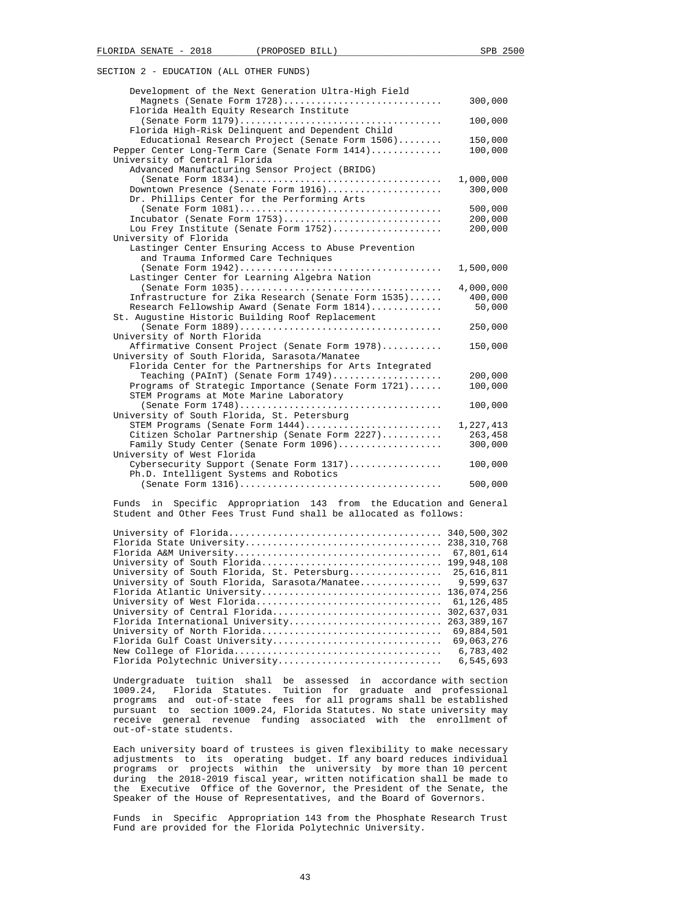| Development of the Next Generation Ultra-High Field                                |                      |
|------------------------------------------------------------------------------------|----------------------|
| Magnets (Senate Form 1728)<br>Florida Health Equity Research Institute             | 300,000              |
| Florida High-Risk Delinquent and Dependent Child                                   | 100,000              |
| Educational Research Project (Senate Form 1506)                                    | 150,000              |
| Pepper Center Long-Term Care (Senate Form 1414)                                    | 100,000              |
| University of Central Florida                                                      |                      |
| Advanced Manufacturing Sensor Project (BRIDG)                                      |                      |
|                                                                                    | 1,000,000            |
| Downtown Presence (Senate Form 1916)                                               | 300,000              |
| Dr. Phillips Center for the Performing Arts                                        |                      |
|                                                                                    | 500,000              |
| Incubator (Senate Form 1753)                                                       | 200,000              |
| Lou Frey Institute (Senate Form 1752)                                              | 200,000              |
| University of Florida                                                              |                      |
| Lastinger Center Ensuring Access to Abuse Prevention                               |                      |
| and Trauma Informed Care Techniques                                                |                      |
|                                                                                    | 1,500,000            |
| Lastinger Center for Learning Algebra Nation                                       |                      |
|                                                                                    | 4,000,000            |
| Infrastructure for Zika Research (Senate Form 1535)                                | 400,000              |
| Research Fellowship Award (Senate Form 1814)                                       | 50,000               |
| St. Augustine Historic Building Roof Replacement                                   |                      |
|                                                                                    | 250,000              |
| University of North Florida                                                        |                      |
| Affirmative Consent Project (Senate Form 1978)                                     | 150,000              |
| University of South Florida, Sarasota/Manatee                                      |                      |
| Florida Center for the Partnerships for Arts Integrated                            |                      |
| Teaching (PAInT) (Senate Form $1749) \ldots \ldots \ldots \ldots \ldots \ldots$    | 200,000              |
| Programs of Strategic Importance (Senate Form 1721)                                | 100,000              |
| STEM Programs at Mote Marine Laboratory                                            |                      |
| University of South Florida, St. Petersburg                                        | 100,000              |
|                                                                                    |                      |
| STEM Programs (Senate Form 1444)<br>Citizen Scholar Partnership (Senate Form 2227) | 1,227,413<br>263,458 |
| Family Study Center (Senate Form 1096)                                             | 300,000              |
| University of West Florida                                                         |                      |
| Cybersecurity Support (Senate Form 1317)                                           | 100,000              |
| Ph.D. Intelligent Systems and Robotics                                             |                      |
|                                                                                    | 500,000              |
|                                                                                    |                      |

 Funds in Specific Appropriation 143 from the Education and General Student and Other Fees Trust Fund shall be allocated as follows:

|                                               | 67,801,614    |
|-----------------------------------------------|---------------|
|                                               |               |
| University of South Florida, St. Petersburg   | 25,616,811    |
| University of South Florida, Sarasota/Manatee | 9,599,637     |
|                                               |               |
|                                               | 61,126,485    |
| University of Central Florida                 | 302,637,031   |
| Florida International University              | 263, 389, 167 |
| University of North Florida                   | 69,884,501    |
| Florida Gulf Coast University                 | 69,063,276    |
|                                               | 6,783,402     |
| Florida Polytechnic University                | 6,545,693     |

 Undergraduate tuition shall be assessed in accordance with section 1009.24, Florida Statutes. Tuition for graduate and professional programs and out-of-state fees for all programs shall be established pursuant to section 1009.24, Florida Statutes. No state university may receive general revenue funding associated with the enrollment of out-of-state students.

 Each university board of trustees is given flexibility to make necessary adjustments to its operating budget. If any board reduces individual programs or projects within the university by more than 10 percent during the 2018-2019 fiscal year, written notification shall be made to the Executive Office of the Governor, the President of the Senate, the Speaker of the House of Representatives, and the Board of Governors.

 Funds in Specific Appropriation 143 from the Phosphate Research Trust Fund are provided for the Florida Polytechnic University.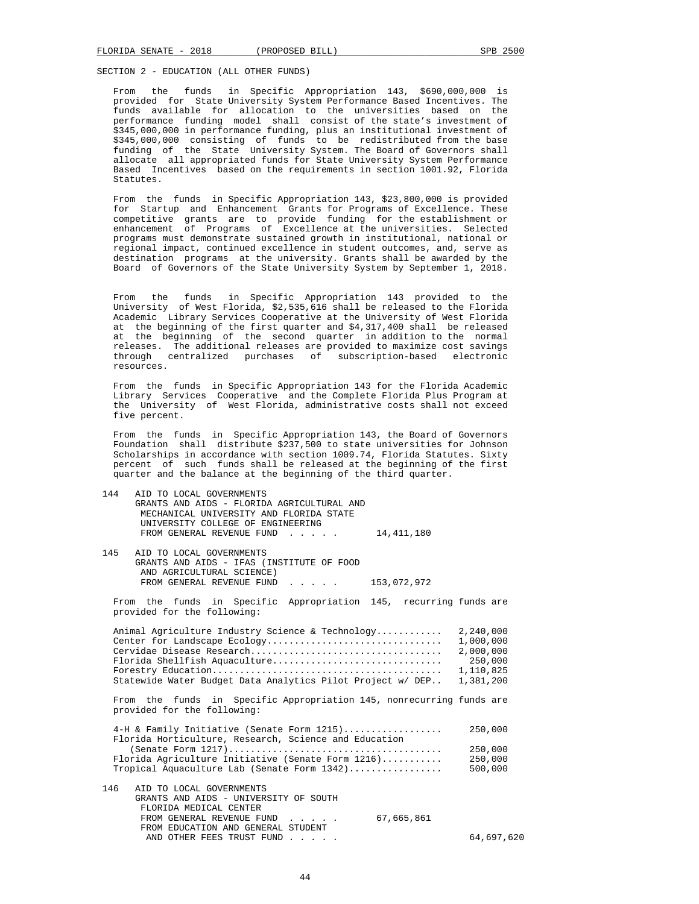From the funds in Specific Appropriation 143, \$690,000,000 is provided for State University System Performance Based Incentives. The funds available for allocation to the universities based on the performance funding model shall consist of the state's investment of \$345,000,000 in performance funding, plus an institutional investment of \$345,000,000 consisting of funds to be redistributed from the base funding of the State University System. The Board of Governors shall allocate all appropriated funds for State University System Performance Based Incentives based on the requirements in section 1001.92, Florida Statutes.

 From the funds in Specific Appropriation 143, \$23,800,000 is provided for Startup and Enhancement Grants for Programs of Excellence. These competitive grants are to provide funding for the establishment or enhancement of Programs of Excellence at the universities. Selected programs must demonstrate sustained growth in institutional, national or regional impact, continued excellence in student outcomes, and, serve as destination programs at the university. Grants shall be awarded by the Board of Governors of the State University System by September 1, 2018.

From the funds in Specific Appropriation 143 provided to the University of West Florida, \$2,535,616 shall be released to the Florida of West Florida, \$2,535,616 shall be released to the Florida Academic Library Services Cooperative at the University of West Florida at the beginning of the first quarter and \$4,317,400 shall be released at the beginning of the second quarter in addition to the normal releases. The additional releases are provided to maximize cost savings<br>through centralized purchases of subscription-based electronic through centralized purchases of resources.

 From the funds in Specific Appropriation 143 for the Florida Academic Library Services Cooperative and the Complete Florida Plus Program at the University of West Florida, administrative costs shall not exceed five percent.

 From the funds in Specific Appropriation 143, the Board of Governors Foundation shall distribute \$237,500 to state universities for Johnson Scholarships in accordance with section 1009.74, Florida Statutes. Sixty percent of such funds shall be released at the beginning of the first quarter and the balance at the beginning of the third quarter.

| 144 | AID TO LOCAL GOVERNMENTS<br>GRANTS AND AIDS - FLORIDA AGRICULTURAL AND                                                              |            |
|-----|-------------------------------------------------------------------------------------------------------------------------------------|------------|
|     | MECHANICAL UNIVERSITY AND FLORIDA STATE                                                                                             |            |
|     | UNIVERSITY COLLEGE OF ENGINEERING                                                                                                   |            |
|     | FROM GENERAL REVENUE FUND<br>14, 411, 180<br>$\sim$ $\sim$ $\sim$ $\sim$ $\sim$                                                     |            |
| 145 | AID TO LOCAL GOVERNMENTS<br>GRANTS AND AIDS - IFAS (INSTITUTE OF FOOD<br>AND AGRICULTURAL SCIENCE)                                  |            |
|     | FROM GENERAL REVENUE FUND<br>153,072,972<br>$\mathbf{r}$ , $\mathbf{r}$ , $\mathbf{r}$ , $\mathbf{r}$ , $\mathbf{r}$ , $\mathbf{r}$ |            |
|     | From the funds in Specific Appropriation 145, recurring funds are<br>provided for the following:                                    |            |
|     | Animal Agriculture Industry Science & Technology                                                                                    | 2,240,000  |
|     | Center for Landscape Ecology                                                                                                        | 1,000,000  |
|     |                                                                                                                                     | 2,000,000  |
|     | Florida Shellfish Aquaculture                                                                                                       | 250,000    |
|     |                                                                                                                                     | 1,110,825  |
|     | Statewide Water Budget Data Analytics Pilot Project w/ DEP                                                                          | 1,381,200  |
|     | From the funds in Specific Appropriation 145, nonrecurring funds are<br>provided for the following:                                 |            |
|     | 4-H & Family Initiative (Senate Form 1215)                                                                                          | 250,000    |
|     | Florida Horticulture, Research, Science and Education                                                                               |            |
|     |                                                                                                                                     | 250,000    |
|     | Florida Agriculture Initiative (Senate Form $1216)$                                                                                 | 250,000    |
|     | Tropical Aquaculture Lab (Senate Form 1342)                                                                                         | 500,000    |
| 146 | AID TO LOCAL GOVERNMENTS                                                                                                            |            |
|     | GRANTS AND AIDS - UNIVERSITY OF SOUTH                                                                                               |            |
|     | FLORIDA MEDICAL CENTER                                                                                                              |            |
|     | 67,665,861<br>FROM GENERAL REVENUE FUND<br>$\mathbf{1}$ and $\mathbf{1}$ and $\mathbf{1}$ and $\mathbf{1}$                          |            |
|     | FROM EDUCATION AND GENERAL STUDENT                                                                                                  |            |
|     | AND OTHER FEES TRUST FUND                                                                                                           | 64,697,620 |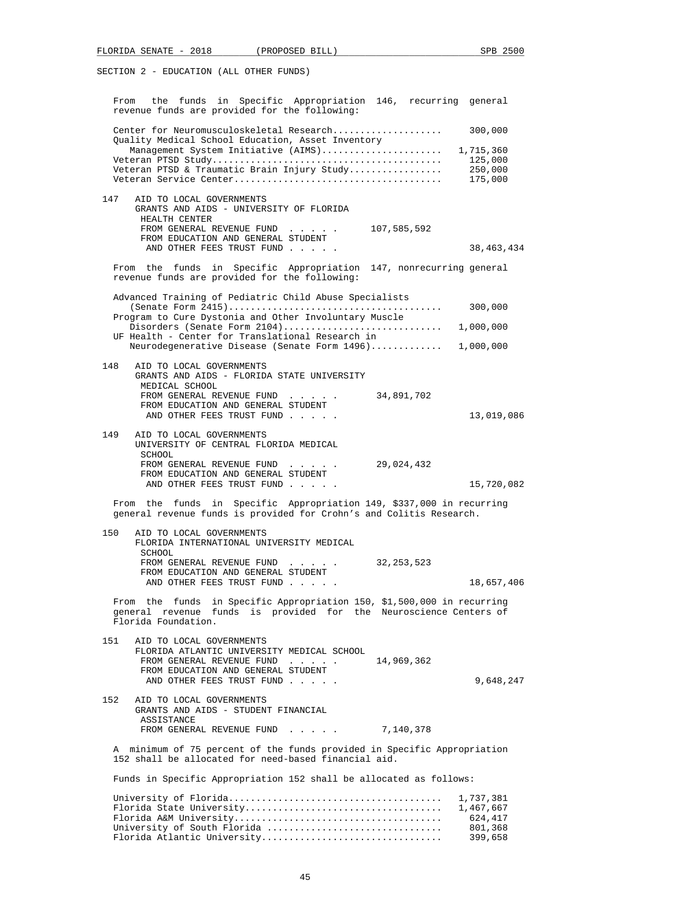| From the funds in Specific Appropriation 146, recurring general<br>revenue funds are provided for the following:                                                                                                              |                                          |
|-------------------------------------------------------------------------------------------------------------------------------------------------------------------------------------------------------------------------------|------------------------------------------|
| Center for Neuromusculoskeletal Research<br>Quality Medical School Education, Asset Inventory<br>Management System Initiative (AIMS) 1,715,360<br>Veteran PTSD & Traumatic Brain Injury Study                                 | 300,000<br>125,000<br>250,000<br>175,000 |
| 147<br>AID TO LOCAL GOVERNMENTS<br>GRANTS AND AIDS - UNIVERSITY OF FLORIDA<br>HEALTH CENTER<br>FROM GENERAL REVENUE FUND<br>107,585,592<br>FROM EDUCATION AND GENERAL STUDENT<br>AND OTHER FEES TRUST FUND                    | 38, 463, 434                             |
| From the funds in Specific Appropriation 147, nonrecurring general<br>revenue funds are provided for the following:                                                                                                           |                                          |
| Advanced Training of Pediatric Child Abuse Specialists<br>Program to Cure Dystonia and Other Involuntary Muscle<br>UF Health - Center for Translational Research in<br>Neurodegenerative Disease (Senate Form 1496) 1,000,000 | 300,000                                  |
| 148<br>AID TO LOCAL GOVERNMENTS<br>GRANTS AND AIDS - FLORIDA STATE UNIVERSITY<br>MEDICAL SCHOOL<br>FROM GENERAL REVENUE FUND<br>34,891,702<br>FROM EDUCATION AND GENERAL STUDENT<br>AND OTHER FEES TRUST FUND                 | 13,019,086                               |
| 149<br>AID TO LOCAL GOVERNMENTS<br>UNIVERSITY OF CENTRAL FLORIDA MEDICAL<br>SCHOOL<br>FROM GENERAL REVENUE FUND<br>29,024,432<br>FROM EDUCATION AND GENERAL STUDENT<br>AND OTHER FEES TRUST FUND                              | 15,720,082                               |
| From the funds in Specific Appropriation 149, \$337,000 in recurring<br>general revenue funds is provided for Crohn's and Colitis Research.                                                                                   |                                          |
| 150<br>AID TO LOCAL GOVERNMENTS<br>FLORIDA INTERNATIONAL UNIVERSITY MEDICAL<br>SCHOOL<br>FROM GENERAL REVENUE FUND<br>32,253,523<br>FROM EDUCATION AND GENERAL STUDENT<br>AND OTHER FEES TRUST FUND                           | 18,657,406                               |
| From the funds in Specific Appropriation 150, \$1,500,000 in recurring<br>general revenue funds is provided for the Neuroscience Centers of<br>Florida Foundation.                                                            |                                          |
| 151<br>AID TO LOCAL GOVERNMENTS<br>FLORIDA ATLANTIC UNIVERSITY MEDICAL SCHOOL<br>FROM GENERAL REVENUE FUND<br>14,969,362<br>FROM EDUCATION AND GENERAL STUDENT<br>AND OTHER FEES TRUST FUND                                   | 9,648,247                                |
| AID TO LOCAL GOVERNMENTS<br>152<br>GRANTS AND AIDS - STUDENT FINANCIAL<br>ASSISTANCE<br>FROM GENERAL REVENUE FUND<br>7,140,378                                                                                                |                                          |
| A minimum of 75 percent of the funds provided in Specific Appropriation<br>152 shall be allocated for need-based financial aid.                                                                                               |                                          |
| Funds in Specific Appropriation 152 shall be allocated as follows:                                                                                                                                                            |                                          |
|                                                                                                                                                                                                                               | 1,737,381<br>1,467,667<br>624,417        |

 University of South Florida ................................ 801,368 Florida Atlantic University................................. 399,658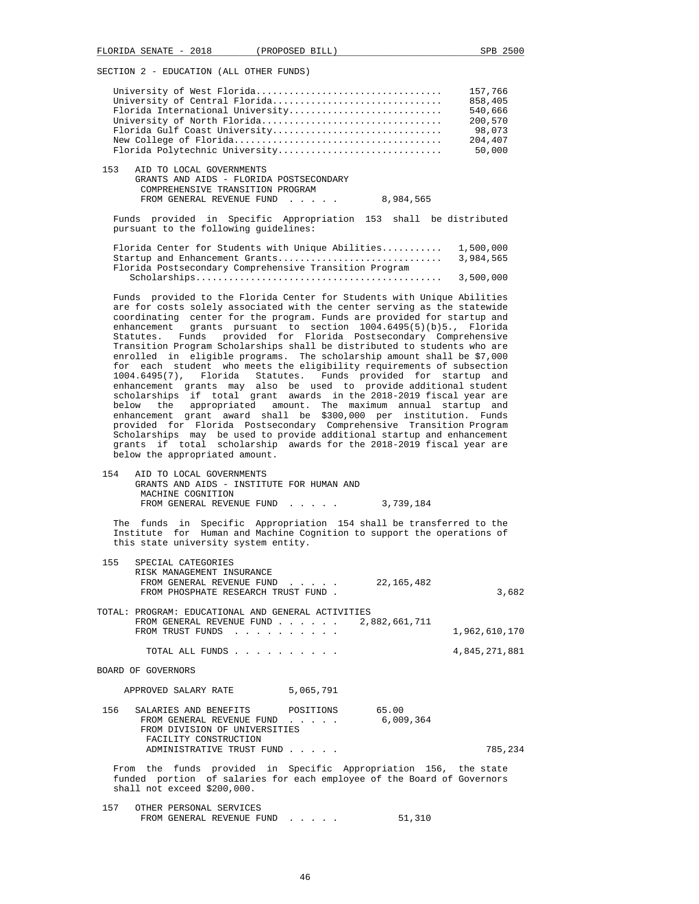|     | University of West Florida              | 157,766 |
|-----|-----------------------------------------|---------|
|     | University of Central Florida           | 858,405 |
|     | Florida International University        | 540,666 |
|     | University of North Florida             | 200,570 |
|     | Florida Gulf Coast University           | 98,073  |
|     |                                         | 204,407 |
|     | Florida Polytechnic University          | 50,000  |
| 153 | AID TO LOCAL GOVERNMENTS                |         |
|     | GRANTS AND AIDS - FLORIDA POSTSECONDARY |         |
|     | COMPREHENSIVE TRANSITION PROGRAM        |         |
|     | 8,984,565<br>FROM GENERAL REVENUE FUND  |         |

|  |  |                                       | Funds provided in Specific Appropriation 153 shall be distributed |  |  |
|--|--|---------------------------------------|-------------------------------------------------------------------|--|--|
|  |  | pursuant to the following quidelines: |                                                                   |  |  |

| Florida Center for Students with Unique Abilities 1,500,000 |           |
|-------------------------------------------------------------|-----------|
| Startup and Enhancement Grants                              | 3,984,565 |
| Florida Postsecondary Comprehensive Transition Program      |           |
|                                                             | 3,500,000 |

 Funds provided to the Florida Center for Students with Unique Abilities are for costs solely associated with the center serving as the statewide coordinating center for the program. Funds are provided for startup and enhancement grants pursuant to section 1004.6495(5)(b)5., Florida Statutes. Funds provided for Florida Postsecondary Comprehensive Transition Program Scholarships shall be distributed to students who are enrolled in eligible programs. The scholarship amount shall be \$7,000 for each student who meets the eligibility requirements of subsection 1004.6495(7), Florida Statutes. Funds provided for startup and enhancement grants may also be used to provide additional student scholarships if total grant awards in the 2018-2019 fiscal year are below the appropriated amount. The maximum annual startup and enhancement grant award shall be \$300,000 per institution. Funds provided for Florida Postsecondary Comprehensive Transition Program Scholarships may be used to provide additional startup and enhancement grants if total scholarship awards for the 2018-2019 fiscal year are below the appropriated amount.

 154 AID TO LOCAL GOVERNMENTS GRANTS AND AIDS - INSTITUTE FOR HUMAN AND MACHINE COGNITION FROM GENERAL REVENUE FUND . . . . . 3,739,184

 The funds in Specific Appropriation 154 shall be transferred to the Institute for Human and Machine Cognition to support the operations of this state university system entity.

| 155 | SPECIAL CATEGORIES<br>RISK MANAGEMENT INSURANCE<br>FROM GENERAL REVENUE FUND 22,165,482<br>FROM PHOSPHATE RESEARCH TRUST FUND.                                            |                                                                                         |           | 3,682         |
|-----|---------------------------------------------------------------------------------------------------------------------------------------------------------------------------|-----------------------------------------------------------------------------------------|-----------|---------------|
|     | TOTAL: PROGRAM: EDUCATIONAL AND GENERAL ACTIVITIES<br>FROM GENERAL REVENUE FUND $\ldots$ 2,882,661,711<br>FROM TRUST FUNDS                                                |                                                                                         |           | 1,962,610,170 |
|     | TOTAL ALL FUNDS                                                                                                                                                           |                                                                                         |           | 4,845,271,881 |
|     | BOARD OF GOVERNORS                                                                                                                                                        |                                                                                         |           |               |
|     | APPROVED SALARY RATE                                                                                                                                                      | 5,065,791                                                                               |           |               |
|     | 156 SALARIES AND BENEFITS POSITIONS 65.00<br>FROM GENERAL REVENUE FUND<br>FROM DIVISION OF UNIVERSITIES<br>FACILITY CONSTRUCTION                                          | $\mathbf{r}$ , $\mathbf{r}$ , $\mathbf{r}$ , $\mathbf{r}$ , $\mathbf{r}$ , $\mathbf{r}$ | 6,009,364 |               |
|     | ADMINISTRATIVE TRUST FUND                                                                                                                                                 |                                                                                         |           | 785,234       |
|     | From the funds provided in Specific Appropriation 156, the state<br>funded portion of salaries for each employee of the Board of Governors<br>shall not exceed \$200,000. |                                                                                         |           |               |

 157 OTHER PERSONAL SERVICES FROM GENERAL REVENUE FUND . . . . . . 51,310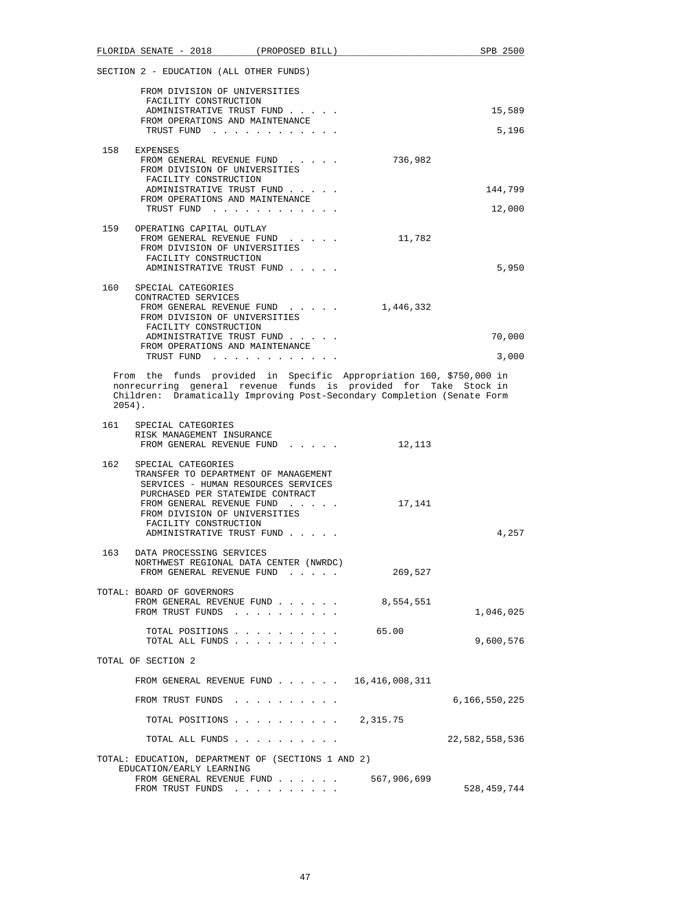|           | FLORIDA SENATE - 2018 (PROPOSED BILL)                                                                                                                                                                                                                               | SPB 2500       |
|-----------|---------------------------------------------------------------------------------------------------------------------------------------------------------------------------------------------------------------------------------------------------------------------|----------------|
|           | SECTION 2 - EDUCATION (ALL OTHER FUNDS)                                                                                                                                                                                                                             |                |
|           | FROM DIVISION OF UNIVERSITIES<br>FACILITY CONSTRUCTION                                                                                                                                                                                                              |                |
|           | ADMINISTRATIVE TRUST FUND                                                                                                                                                                                                                                           | 15,589         |
|           | FROM OPERATIONS AND MAINTENANCE<br>TRUST FUND                                                                                                                                                                                                                       | 5,196          |
|           | 158 EXPENSES<br>736,982<br>FROM GENERAL REVENUE FUND<br>FROM DIVISION OF UNIVERSITIES<br>FACILITY CONSTRUCTION<br>ADMINISTRATIVE TRUST FUND<br>FROM OPERATIONS AND MAINTENANCE                                                                                      | 144,799        |
|           | TRUST FUND                                                                                                                                                                                                                                                          | 12,000         |
|           | 159 OPERATING CAPITAL OUTLAY<br>FROM GENERAL REVENUE FUND<br>11,782<br>FROM DIVISION OF UNIVERSITIES<br>FACILITY CONSTRUCTION<br>ADMINISTRATIVE TRUST FUND                                                                                                          | 5,950          |
|           | 160 SPECIAL CATEGORIES                                                                                                                                                                                                                                              |                |
|           | CONTRACTED SERVICES<br>FROM GENERAL REVENUE FUND<br>1,446,332<br>FROM DIVISION OF UNIVERSITIES<br>FACILITY CONSTRUCTION                                                                                                                                             |                |
|           | ADMINISTRATIVE TRUST FUND                                                                                                                                                                                                                                           | 70,000         |
|           | FROM OPERATIONS AND MAINTENANCE<br>TRUST FUND                                                                                                                                                                                                                       | 3,000          |
| $2054$ ). | From the funds provided in Specific Appropriation 160, \$750,000 in<br>nonrecurring general revenue funds is provided for Take Stock in<br>Children: Dramatically Improving Post-Secondary Completion (Senate Form                                                  |                |
|           | 161 SPECIAL CATEGORIES<br>RISK MANAGEMENT INSURANCE<br>FROM GENERAL REVENUE FUND<br>12,113                                                                                                                                                                          |                |
| 162       | SPECIAL CATEGORIES<br>TRANSFER TO DEPARTMENT OF MANAGEMENT<br>SERVICES - HUMAN RESOURCES SERVICES<br>PURCHASED PER STATEWIDE CONTRACT<br>FROM GENERAL REVENUE FUND<br>17,141<br>FROM DIVISION OF UNIVERSITIES<br>FACILITY CONSTRUCTION<br>ADMINISTRATIVE TRUST FUND | 4,257          |
| 163       | DATA PROCESSING SERVICES<br>NORTHWEST REGIONAL DATA CENTER (NWRDC)<br>FROM GENERAL REVENUE FUND<br>269,527<br>$\sim$ $\sim$ $\sim$ $\sim$ $\sim$                                                                                                                    |                |
|           |                                                                                                                                                                                                                                                                     |                |
|           | TOTAL: BOARD OF GOVERNORS<br>8,554,551<br>FROM GENERAL REVENUE FUND<br>FROM TRUST FUNDS                                                                                                                                                                             | 1,046,025      |
|           | TOTAL POSITIONS<br>65.00<br>TOTAL ALL FUNDS                                                                                                                                                                                                                         | 9,600,576      |
|           | TOTAL OF SECTION 2                                                                                                                                                                                                                                                  |                |
|           | FROM GENERAL REVENUE FUND 16,416,008,311                                                                                                                                                                                                                            |                |
|           | FROM TRUST FUNDS                                                                                                                                                                                                                                                    | 6,166,550,225  |
|           | TOTAL POSITIONS 2,315.75                                                                                                                                                                                                                                            |                |
|           | TOTAL ALL FUNDS                                                                                                                                                                                                                                                     | 22,582,558,536 |
|           | TOTAL: EDUCATION, DEPARTMENT OF (SECTIONS 1 AND 2)<br>EDUCATION/EARLY LEARNING                                                                                                                                                                                      |                |
|           | 567,906,699<br>FROM GENERAL REVENUE FUND<br>FROM TRUST FUNDS                                                                                                                                                                                                        | 528,459,744    |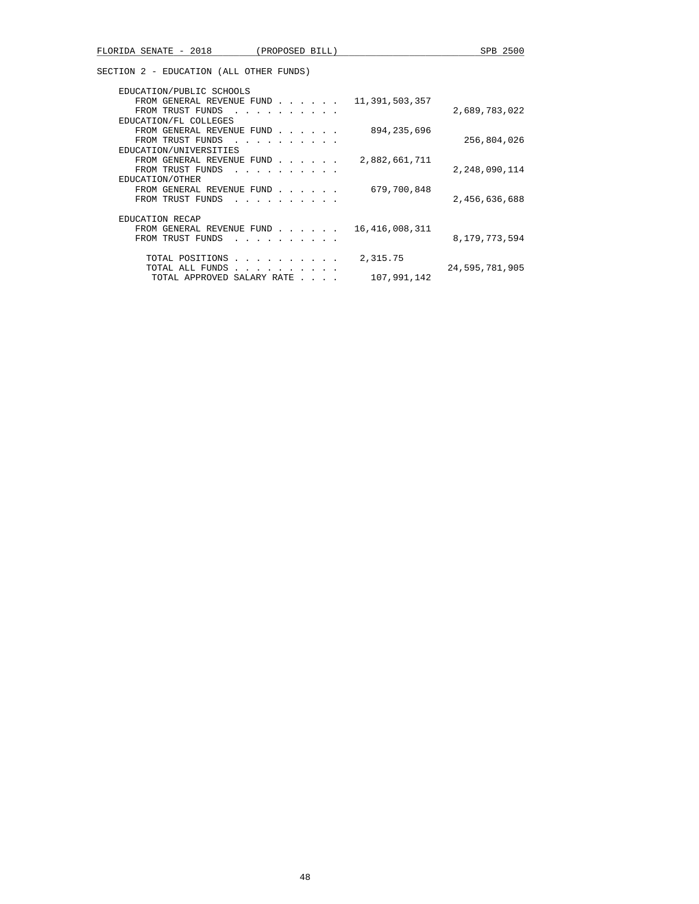| EDUCATION/PUBLIC SCHOOLS<br>11,391,503,357<br>FROM GENERAL REVENUE FUND                                                                                                                                                                            |                  |
|----------------------------------------------------------------------------------------------------------------------------------------------------------------------------------------------------------------------------------------------------|------------------|
| FROM TRUST FUNDS                                                                                                                                                                                                                                   | 2,689,783,022    |
| EDUCATION/FL COLLEGES                                                                                                                                                                                                                              |                  |
| 894, 235, 696<br>FROM GENERAL REVENUE FUND                                                                                                                                                                                                         |                  |
| FROM TRUST FUNDS<br>in the contract of the contract of the contract of the contract of the contract of the contract of the contract of the contract of the contract of the contract of the contract of the contract of the contract of the contrac | 256,804,026      |
| EDUCATION/UNIVERSITIES                                                                                                                                                                                                                             |                  |
| 2,882,661,711<br>FROM GENERAL REVENUE FUND                                                                                                                                                                                                         |                  |
| FROM TRUST FUNDS                                                                                                                                                                                                                                   | 2,248,090,114    |
| EDUCATION/OTHER                                                                                                                                                                                                                                    |                  |
| 679,700,848<br>FROM GENERAL REVENUE FUND                                                                                                                                                                                                           |                  |
| FROM TRUST FUNDS                                                                                                                                                                                                                                   | 2,456,636,688    |
|                                                                                                                                                                                                                                                    |                  |
| <b>EDUCATION RECAP</b>                                                                                                                                                                                                                             |                  |
| 16, 416, 008, 311<br>FROM GENERAL REVENUE FUND                                                                                                                                                                                                     |                  |
| FROM TRUST FUNDS<br>.                                                                                                                                                                                                                              | 8, 179, 773, 594 |
| 2,315.75<br>TOTAL POSITIONS<br>and a series and a series of                                                                                                                                                                                        |                  |
| TOTAL ALL FUNDS                                                                                                                                                                                                                                    | 24,595,781,905   |
| 107,991,142<br>TOTAL APPROVED SALARY RATE                                                                                                                                                                                                          |                  |
|                                                                                                                                                                                                                                                    |                  |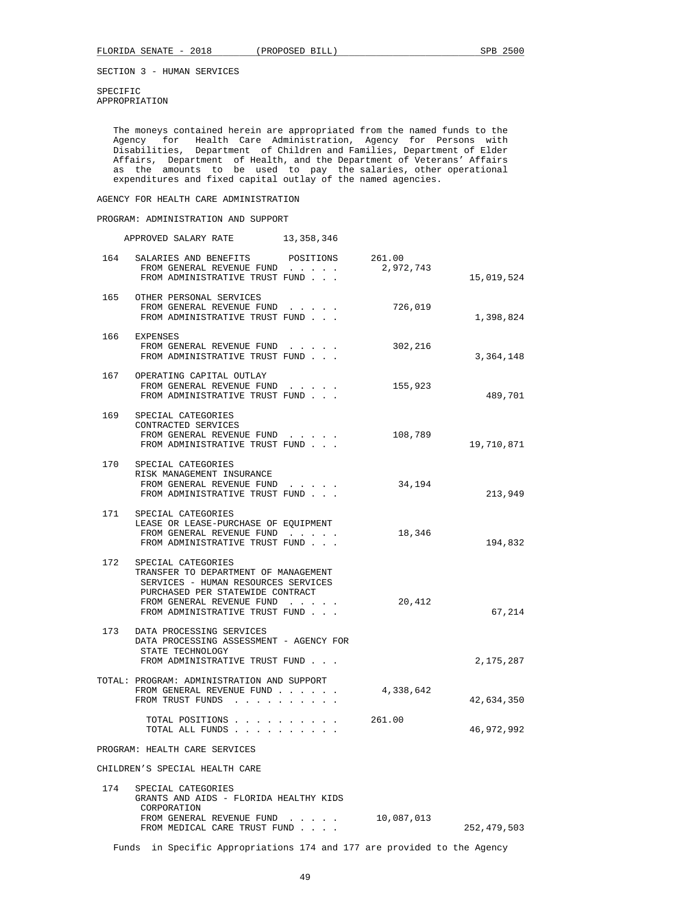SPECIFIC APPROPRIATION

 The moneys contained herein are appropriated from the named funds to the Agency for Health Care Administration, Agency for Persons with Disabilities, Department of Children and Families, Department of Elder Affairs, Department of Health, and the Department of Veterans' Affairs as the amounts to be used to pay the salaries, other operational expenditures and fixed capital outlay of the named agencies.

AGENCY FOR HEALTH CARE ADMINISTRATION

 PROGRAM: ADMINISTRATION AND SUPPORT APPROVED SALARY RATE 13,358,346 164 SALARIES AND BENEFITS POSITIONS 261.00<br>FROM GENERAL REVENUE FUND . . . . . 2,972,743 FROM GENERAL REVENUE FUND . . . . . FROM ADMINISTRATIVE TRUST FUND . . . 15,019,524 165 OTHER PERSONAL SERVICES<br>FROM GENERAL REVENUE FUND FROM GENERAL REVENUE FUND . . . . . 726,019 FROM ADMINISTRATIVE TRUST FUND . . .  $1,398,824$  166 EXPENSES FROM GENERAL REVENUE FUND . . . . . 302,216 FROM ADMINISTRATIVE TRUST FUND . . . 3,364,148 167 OPERATING CAPITAL OUTLAY FROM GENERAL REVENUE FUND . . . . . . 155,923 FROM ADMINISTRATIVE TRUST FUND . . . 489,701 169 SPECIAL CATEGORIES CONTRACTED SERVICES FROM GENERAL REVENUE FUND . . . . . 108,789 FROM ADMINISTRATIVE TRUST FUND . . .  $19,710,871$  170 SPECIAL CATEGORIES RISK MANAGEMENT INSURANCE FROM GENERAL REVENUE FUND . . . . . 34,194 FROM ADMINISTRATIVE TRUST FUND . . . 213,949 171 SPECIAL CATEGORIES LEASE OR LEASE-PURCHASE OF EQUIPMENT FROM GENERAL REVENUE FUND . . . . . 18,346 FROM ADMINISTRATIVE TRUST FUND . . . 194,832 172 SPECIAL CATEGORIES TRANSFER TO DEPARTMENT OF MANAGEMENT SERVICES - HUMAN RESOURCES SERVICES PURCHASED PER STATEWIDE CONTRACT FROM GENERAL REVENUE FUND . . . . . 20,412 FROM ADMINISTRATIVE TRUST FUND . . . 67,214 173 DATA PROCESSING SERVICES DATA PROCESSING ASSESSMENT - AGENCY FOR STATE TECHNOLOGY FROM ADMINISTRATIVE TRUST FUND . . .  $\qquad \qquad 2.175.287$ 

 TOTAL: PROGRAM: ADMINISTRATION AND SUPPORT FROM GENERAL REVENUE FUND . . . . . . 4,338,642 FROM TRUST FUNDS . . . . . . . . . . . . . . . 42,634,350 TOTAL POSITIONS . . . . . . . . . . 261.00 TOTAL ALL FUNDS . . . . . . . . . . 46,972,992

PROGRAM: HEALTH CARE SERVICES

CHILDREN'S SPECIAL HEALTH CARE

| 174 | SPECIAL CATEGORIES<br>GRANTS AND AIDS - FLORIDA HEALTHY KIDS<br>CORPORATION |            |             |
|-----|-----------------------------------------------------------------------------|------------|-------------|
|     | FROM GENERAL REVENUE FUND<br>FROM MEDICAL CARE TRUST FUND                   | 10,087,013 | 252,479,503 |

Funds in Specific Appropriations 174 and 177 are provided to the Agency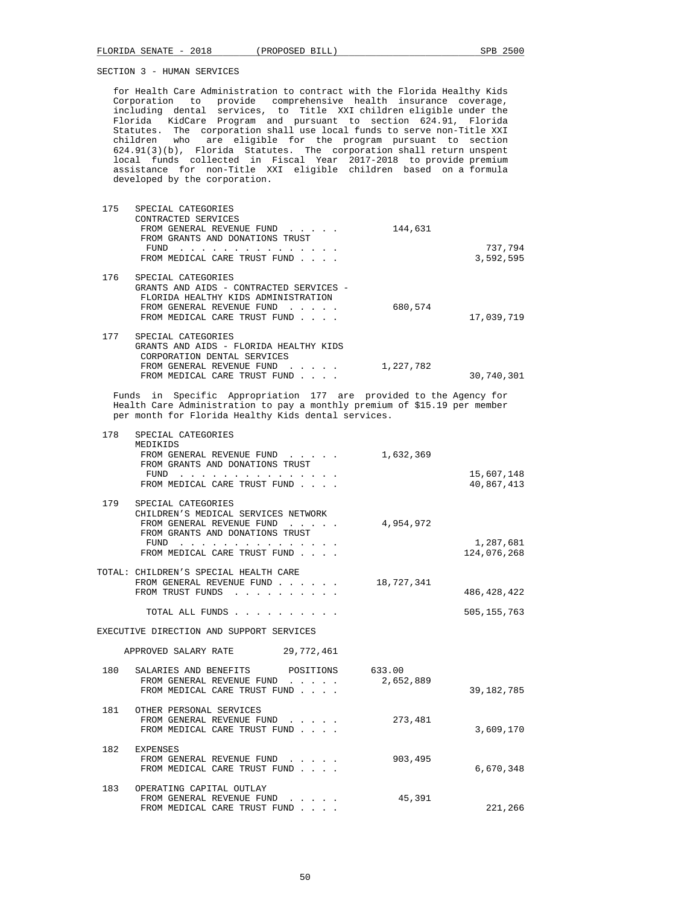for Health Care Administration to contract with the Florida Healthy Kids Corporation to provide comprehensive health insurance coverage, including dental services, to Title XXI children eligible under the Florida KidCare Program and pursuant to section 624.91, Florida Statutes. The corporation shall use local funds to serve non-Title XXI children who are eligible for the program pursuant to section 624.91(3)(b), Florida Statutes. The corporation shall return unspent local funds collected in Fiscal Year 2017-2018 to provide premium assistance for non-Title XXI eligible children based on a formula developed by the corporation.

| 175 | SPECIAL CATEGORIES<br>CONTRACTED SERVICES<br>FROM GENERAL REVENUE FUND<br>FROM GRANTS AND DONATIONS TRUST<br>FUND<br>the contract of the contract of the contract of the contract of the contract of the contract of the contract of<br>FROM MEDICAL CARE TRUST FUND | 144,631   | 737,794<br>3,592,595 |
|-----|----------------------------------------------------------------------------------------------------------------------------------------------------------------------------------------------------------------------------------------------------------------------|-----------|----------------------|
| 176 | SPECIAL CATEGORIES<br>GRANTS AND AIDS - CONTRACTED SERVICES -<br>FLORIDA HEALTHY KIDS ADMINISTRATION<br>FROM GENERAL REVENUE FUND<br>FROM MEDICAL CARE TRUST FUND                                                                                                    | 680,574   | 17,039,719           |
| 177 | SPECIAL CATEGORIES<br>GRANTS AND AIDS - FLORIDA HEALTHY KIDS<br>CORPORATION DENTAL SERVICES<br>FROM GENERAL REVENUE FUND                                                                                                                                             | 1,227,782 |                      |
|     | FROM MEDICAL CARE TRUST FUND                                                                                                                                                                                                                                         |           | 30,740,301           |

 Funds in Specific Appropriation 177 are provided to the Agency for Health Care Administration to pay a monthly premium of \$15.19 per member per month for Florida Healthy Kids dental services.

| 178   | SPECIAL CATEGORIES<br>MEDIKIDS<br>FROM GENERAL REVENUE FUND<br>$\mathbf{1}$ and $\mathbf{1}$ and $\mathbf{1}$ and $\mathbf{1}$<br>FROM GRANTS AND DONATIONS TRUST<br>FUND<br>FROM MEDICAL CARE TRUST FUND                                                                                 | 1,632,369           | 15,607,148<br>40,867,413 |
|-------|-------------------------------------------------------------------------------------------------------------------------------------------------------------------------------------------------------------------------------------------------------------------------------------------|---------------------|--------------------------|
| 179   | SPECIAL CATEGORIES<br>CHILDREN'S MEDICAL SERVICES NETWORK<br>FROM GENERAL REVENUE FUND<br>.<br>FROM GRANTS AND DONATIONS TRUST<br>FUND<br>the contract of the contract of the contract of the contract of the contract of the contract of the contract of<br>FROM MEDICAL CARE TRUST FUND | 4,954,972           | 1,287,681<br>124,076,268 |
|       | TOTAL: CHILDREN'S SPECIAL HEALTH CARE<br>FROM GENERAL REVENUE FUND<br>FROM TRUST FUNDS<br>$\sim$ $\sim$ $\sim$ $\sim$                                                                                                                                                                     | 18,727,341          | 486, 428, 422            |
|       | TOTAL ALL FUNDS                                                                                                                                                                                                                                                                           |                     | 505, 155, 763            |
|       | EXECUTIVE DIRECTION AND SUPPORT SERVICES                                                                                                                                                                                                                                                  |                     |                          |
|       | 29,772,461<br>APPROVED SALARY RATE                                                                                                                                                                                                                                                        |                     |                          |
| 180 - | SALARIES AND BENEFITS<br>POSITIONS<br>FROM GENERAL REVENUE FUND<br>$\mathbf{r}$ and $\mathbf{r}$ and $\mathbf{r}$<br>FROM MEDICAL CARE TRUST FUND                                                                                                                                         | 633.00<br>2,652,889 | 39, 182, 785             |
| 181   | OTHER PERSONAL SERVICES<br>FROM GENERAL REVENUE FUND<br>.<br>FROM MEDICAL CARE TRUST FUND                                                                                                                                                                                                 | 273,481             | 3,609,170                |
| 182   | <b>EXPENSES</b><br>FROM GENERAL REVENUE FUND<br>FROM MEDICAL CARE TRUST FUND                                                                                                                                                                                                              | 903,495             | 6,670,348                |
| 183   | OPERATING CAPITAL OUTLAY<br>FROM GENERAL REVENUE FUND<br>FROM MEDICAL CARE TRUST FUND<br>$\sim$ $\sim$ $\sim$ $\sim$                                                                                                                                                                      | 45,391              | 221,266                  |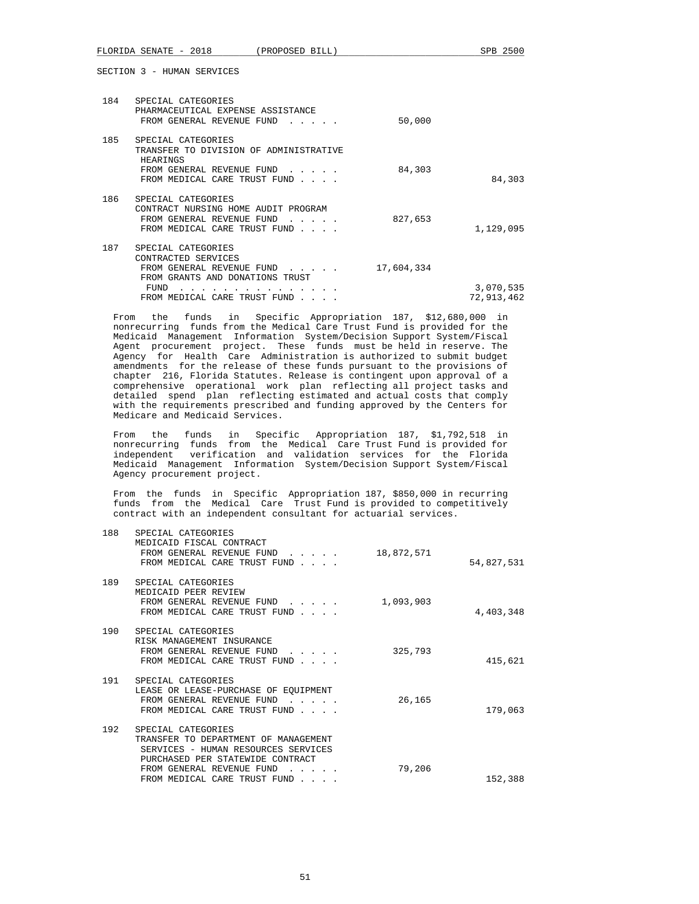FLORIDA SENATE - 2018 (PROPOSED BILL) SPB 2500 SECTION 3 - HUMAN SERVICES 184 SPECIAL CATEGORIES PHARMACEUTICAL EXPENSE ASSISTANCE FROM GENERAL REVENUE FUND . . . . . 50,000 185 SPECIAL CATEGORIES TRANSFER TO DIVISION OF ADMINISTRATIVE **HEARINGS** FROM GENERAL REVENUE FUND . . . . . 84,303 FROM MEDICAL CARE TRUST FUND . . . . . . . . . . . . . . 84,303 186 SPECIAL CATEGORIES CONTRACT NURSING HOME AUDIT PROGRAM FROM GENERAL REVENUE FUND . . . . . 827,653 FROM MEDICAL CARE TRUST FUND . . . . . . . . . . . 1,129,095 187 SPECIAL CATEGORIES

| CONTRACTED SERVICES                     |            |
|-----------------------------------------|------------|
| 17,604,334<br>FROM GENERAL REVENUE FUND |            |
| FROM GRANTS AND DONATIONS TRUST         |            |
| FUND                                    | 3,070,535  |
| FROM MEDICAL CARE TRUST FUND            | 72,913,462 |
|                                         |            |

 From the funds in Specific Appropriation 187, \$12,680,000 in nonrecurring funds from the Medical Care Trust Fund is provided for the Medicaid Management Information System/Decision Support System/Fiscal Agent procurement project. These funds must be held in reserve. The Agency for Health Care Administration is authorized to submit budget amendments for the release of these funds pursuant to the provisions of chapter 216, Florida Statutes. Release is contingent upon approval of a comprehensive operational work plan reflecting all project tasks and detailed spend plan reflecting estimated and actual costs that comply with the requirements prescribed and funding approved by the Centers for Medicare and Medicaid Services.

 From the funds in Specific Appropriation 187, \$1,792,518 in nonrecurring funds from the Medical Care Trust Fund is provided for independent verification and validation services for the Florida Medicaid Management Information System/Decision Support System/Fiscal Agency procurement project.

 From the funds in Specific Appropriation 187, \$850,000 in recurring funds from the Medical Care Trust Fund is provided to competitively contract with an independent consultant for actuarial services.

| 54,827,531 | 18,872,571 | SPECIAL CATEGORIES<br>MEDICAID FISCAL CONTRACT<br>FROM GENERAL REVENUE FUND<br>FROM MEDICAL CARE TRUST FUND                                                                                        | 188 |
|------------|------------|----------------------------------------------------------------------------------------------------------------------------------------------------------------------------------------------------|-----|
| 4,403,348  | 1,093,903  | SPECIAL CATEGORIES<br>MEDICAID PEER REVIEW<br>FROM GENERAL REVENUE FUND<br>FROM MEDICAL CARE TRUST FUND                                                                                            | 189 |
| 415,621    | 325,793    | SPECIAL CATEGORIES<br>RISK MANAGEMENT INSURANCE<br>FROM GENERAL REVENUE FUND<br>FROM MEDICAL CARE TRUST FUND                                                                                       | 190 |
| 179,063    | 26,165     | SPECIAL CATEGORIES<br>LEASE OR LEASE-PURCHASE OF EQUIPMENT<br>FROM GENERAL REVENUE FUND<br>FROM MEDICAL CARE TRUST FUND                                                                            | 191 |
| 152,388    | 79,206     | SPECIAL CATEGORIES<br>TRANSFER TO DEPARTMENT OF MANAGEMENT<br>SERVICES - HUMAN RESOURCES SERVICES<br>PURCHASED PER STATEWIDE CONTRACT<br>FROM GENERAL REVENUE FUND<br>FROM MEDICAL CARE TRUST FUND | 192 |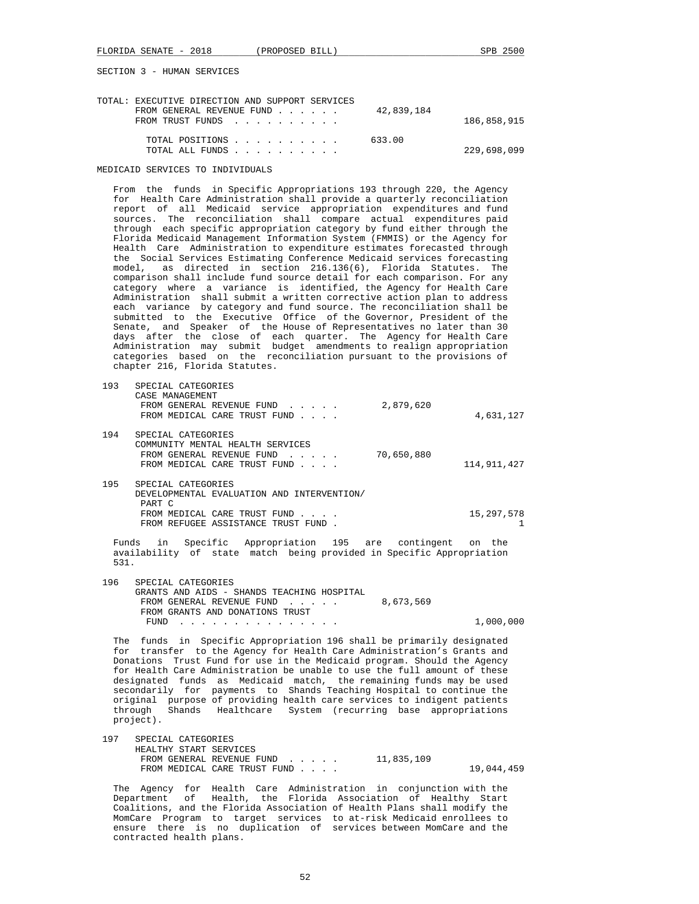| TOTAL: EXECUTIVE DIRECTION AND SUPPORT SERVICES |             |
|-------------------------------------------------|-------------|
| FROM GENERAL REVENUE FUND                       | 42,839,184  |
| FROM TRUST FUNDS                                | 186,858,915 |
|                                                 |             |
| TOTAL POSITIONS                                 | 633.00      |
| TOTAL ALL FUNDS                                 | 229,698,099 |

MEDICAID SERVICES TO INDIVIDUALS

 From the funds in Specific Appropriations 193 through 220, the Agency for Health Care Administration shall provide a quarterly reconciliation report of all Medicaid service appropriation expenditures and fund sources. The reconciliation shall compare actual expenditures paid through each specific appropriation category by fund either through the Florida Medicaid Management Information System (FMMIS) or the Agency for Health Care Administration to expenditure estimates forecasted through the Social Services Estimating Conference Medicaid services forecasting model, as directed in section 216.136(6), Florida Statutes. The comparison shall include fund source detail for each comparison. For any category where a variance is identified, the Agency for Health Care Administration shall submit a written corrective action plan to address each variance by category and fund source. The reconciliation shall be submitted to the Executive Office of the Governor, President of the Senate, and Speaker of the House of Representatives no later than 30 days after the close of each quarter. The Agency for Health Care Administration may submit budget amendments to realign appropriation categories based on the reconciliation pursuant to the provisions of chapter 216, Florida Statutes.

| 193 | SPECIAL CATEGORIES<br>CASE MANAGEMENT                                                             |            |             |
|-----|---------------------------------------------------------------------------------------------------|------------|-------------|
|     | FROM GENERAL REVENUE FUND<br>FROM MEDICAL CARE TRUST FUND                                         | 2,879,620  | 4,631,127   |
| 194 | SPECIAL CATEGORIES<br>COMMUNITY MENTAL HEALTH SERVICES                                            |            |             |
|     | FROM GENERAL REVENUE FUND<br><u>in the second second</u><br>FROM MEDICAL CARE TRUST FUND          | 70,650,880 | 114,911,427 |
| 195 | SPECIAL CATEGORIES<br>DEVELOPMENTAL EVALUATION AND INTERVENTION/<br>PART C                        |            |             |
|     | FROM MEDICAL CARE TRUST FUND<br>$\sim$ $\sim$ $\sim$ $\sim$<br>FROM REFUGEE ASSISTANCE TRUST FUND |            | 15,297,578  |

 Funds in Specific Appropriation 195 are contingent on the availability of state match being provided in Specific Appropriation 531.

| 196 SPECIAL CATEGORIES                     |           |
|--------------------------------------------|-----------|
| GRANTS AND AIDS - SHANDS TEACHING HOSPITAL |           |
| FROM GENERAL REVENUE FUND $8.673.569$      |           |
| FROM GRANTS AND DONATIONS TRUST            |           |
| FUND                                       | 1,000,000 |

 The funds in Specific Appropriation 196 shall be primarily designated for transfer to the Agency for Health Care Administration's Grants and Donations Trust Fund for use in the Medicaid program. Should the Agency for Health Care Administration be unable to use the full amount of these designated funds as Medicaid match, the remaining funds may be used secondarily for payments to Shands Teaching Hospital to continue the original purpose of providing health care services to indigent patients through Shands Healthcare System (recurring base appropriations project).

 197 SPECIAL CATEGORIES HEALTHY START SERVICES FROM GENERAL REVENUE FUND . . . . . 11,835,109 FROM MEDICAL CARE TRUST FUND . . . . 19,044,459

 The Agency for Health Care Administration in conjunction with the Department of Health, the Florida Association of Healthy Start Coalitions, and the Florida Association of Health Plans shall modify the MomCare Program to target services to at-risk Medicaid enrollees to ensure there is no duplication of services between MomCare and the contracted health plans.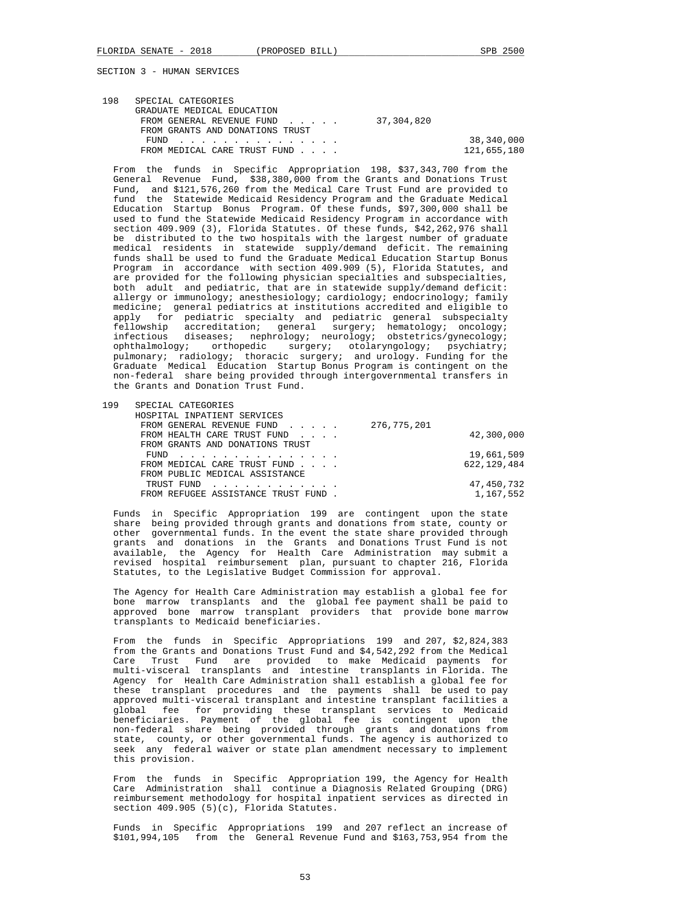| 198 | SPECIAL CATEGORIES              |             |  |
|-----|---------------------------------|-------------|--|
|     | GRADUATE MEDICAL EDUCATION      |             |  |
|     | FROM GENERAL REVENUE FUND       | 37,304,820  |  |
|     | FROM GRANTS AND DONATIONS TRUST |             |  |
|     | FUND                            | 38,340,000  |  |
|     | FROM MEDICAL CARE TRUST FUND    | 121,655,180 |  |
|     |                                 |             |  |

 From the funds in Specific Appropriation 198, \$37,343,700 from the General Revenue Fund, \$38,380,000 from the Grants and Donations Trust Fund, and \$121,576,260 from the Medical Care Trust Fund are provided to fund the Statewide Medicaid Residency Program and the Graduate Medical Education Startup Bonus Program. Of these funds, \$97,300,000 shall be used to fund the Statewide Medicaid Residency Program in accordance with section 409.909 (3), Florida Statutes. Of these funds, \$42,262,976 shall be distributed to the two hospitals with the largest number of graduate medical residents in statewide supply/demand deficit. The remaining funds shall be used to fund the Graduate Medical Education Startup Bonus Program in accordance with section 409.909 (5), Florida Statutes, and are provided for the following physician specialties and subspecialties, both adult and pediatric, that are in statewide supply/demand deficit: allergy or immunology; anesthesiology; cardiology; endocrinology; family medicine; general pediatrics at institutions accredited and eligible to apply for pediatric specialty and pediatric general subspecialty fellowship accreditation; general surgery; hematology; oncology; infectious diseases; nephrology; neurology; obstetrics/gynecology; ophthalmology; orthopedic surgery; otolaryngology; psychiatry; pulmonary; radiology; thoracic surgery; and urology. Funding for the Graduate Medical Education Startup Bonus Program is contingent on the non-federal share being provided through intergovernmental transfers in the Grants and Donation Trust Fund.

| 199 | SPECIAL CATEGORIES                                       |               |
|-----|----------------------------------------------------------|---------------|
|     | HOSPITAL INPATIENT SERVICES                              |               |
|     | FROM GENERAL REVENUE FUND                                | 276,775,201   |
|     | FROM HEALTH CARE TRUST FUND                              | 42,300,000    |
|     | FROM GRANTS AND DONATIONS TRUST                          |               |
|     | FUND<br>.                                                | 19,661,509    |
|     | FROM MEDICAL CARE TRUST FUND                             | 622, 129, 484 |
|     | FROM PUBLIC MEDICAL ASSISTANCE                           |               |
|     | TRUST FUND<br>and a strain and a strain and a strain and | 47,450,732    |
|     | FROM REFUGEE ASSISTANCE TRUST FUND.                      | 1,167,552     |
|     |                                                          |               |

 Funds in Specific Appropriation 199 are contingent upon the state share being provided through grants and donations from state, county or other governmental funds. In the event the state share provided through grants and donations in the Grants and Donations Trust Fund is not available, the Agency for Health Care Administration may submit a revised hospital reimbursement plan, pursuant to chapter 216, Florida Statutes, to the Legislative Budget Commission for approval.

 The Agency for Health Care Administration may establish a global fee for bone marrow transplants and the global fee payment shall be paid to approved bone marrow transplant providers that provide bone marrow transplants to Medicaid beneficiaries.

 From the funds in Specific Appropriations 199 and 207, \$2,824,383 from the Grants and Donations Trust Fund and \$4,542,292 from the Medical Care Trust Fund are provided to make Medicaid payments for multi-visceral transplants and intestine transplants in Florida. The Agency for Health Care Administration shall establish a global fee for these transplant procedures and the payments shall be used to pay approved multi-visceral transplant and intestine transplant facilities a global fee for providing these transplant services to Medicaid beneficiaries. Payment of the global fee is contingent upon the non-federal share being provided through grants and donations from state, county, or other governmental funds. The agency is authorized to seek any federal waiver or state plan amendment necessary to implement this provision.

 From the funds in Specific Appropriation 199, the Agency for Health Care Administration shall continue a Diagnosis Related Grouping (DRG) reimbursement methodology for hospital inpatient services as directed in section 409.905 (5)(c), Florida Statutes.

 Funds in Specific Appropriations 199 and 207 reflect an increase of \$101,994,105 from the General Revenue Fund and \$163,753,954 from the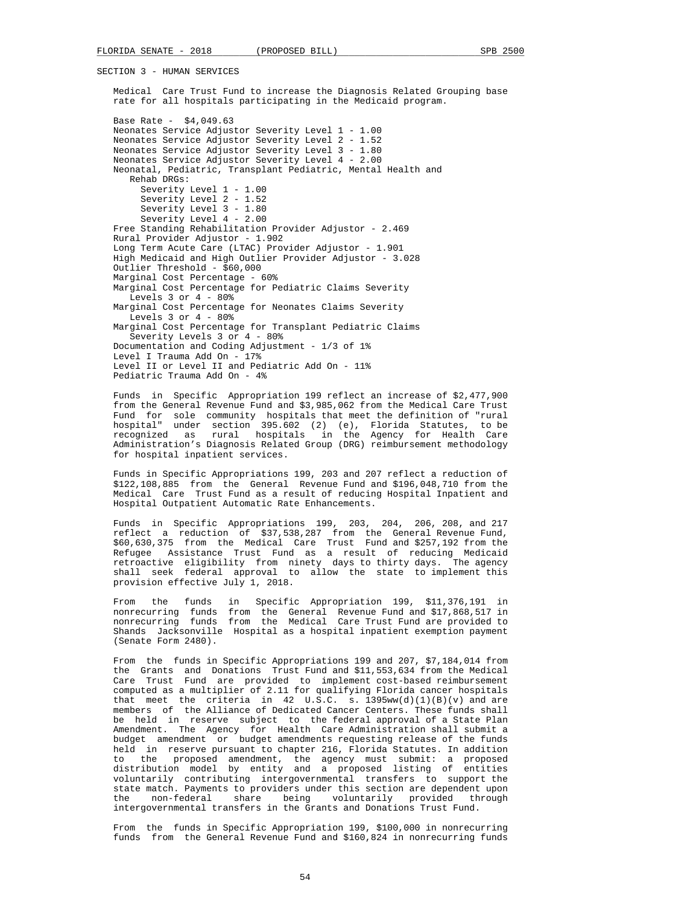Medical Care Trust Fund to increase the Diagnosis Related Grouping base rate for all hospitals participating in the Medicaid program.

 Base Rate - \$4,049.63 Neonates Service Adjustor Severity Level 1 - 1.00 Neonates Service Adjustor Severity Level 2 - 1.52 Neonates Service Adjustor Severity Level 3 - 1.80 Neonates Service Adjustor Severity Level 4 - 2.00 Neonatal, Pediatric, Transplant Pediatric, Mental Health and Rehab DRGs: Severity Level 1 - 1.00 Severity Level 2 - 1.52 Severity Level 3 - 1.80 Severity Level 4 - 2.00 Free Standing Rehabilitation Provider Adjustor - 2.469 Rural Provider Adjustor - 1.902 Long Term Acute Care (LTAC) Provider Adjustor - 1.901 High Medicaid and High Outlier Provider Adjustor - 3.028 Outlier Threshold - \$60,000 Marginal Cost Percentage - 60% Marginal Cost Percentage for Pediatric Claims Severity Levels 3 or 4 - 80% Marginal Cost Percentage for Neonates Claims Severity Levels  $3$  or  $4 - 80$ <sup>2</sup> Marginal Cost Percentage for Transplant Pediatric Claims Severity Levels 3 or 4 - 80% Documentation and Coding Adjustment - 1/3 of 1% Level I Trauma Add On - 17% Level II or Level II and Pediatric Add On - 11% Pediatric Trauma Add On - 4%

 Funds in Specific Appropriation 199 reflect an increase of \$2,477,900 from the General Revenue Fund and \$3,985,062 from the Medical Care Trust Fund for sole community hospitals that meet the definition of "rural hospital" under section 395.602 (2) (e), Florida Statutes, to be recognized as rural hospitals in the Agency for Health Care Administration's Diagnosis Related Group (DRG) reimbursement methodology for hospital inpatient services.

 Funds in Specific Appropriations 199, 203 and 207 reflect a reduction of \$122,108,885 from the General Revenue Fund and \$196,048,710 from the Medical Care Trust Fund as a result of reducing Hospital Inpatient and Hospital Outpatient Automatic Rate Enhancements.

 Funds in Specific Appropriations 199, 203, 204, 206, 208, and 217 reflect a reduction of \$37,538,287 from the General Revenue Fund, \$60,630,375 from the Medical Care Trust Fund and \$257,192 from the Refugee Assistance Trust Fund as a result of reducing Medicaid retroactive eligibility from ninety days to thirty days. The agency shall seek federal approval to allow the state to implement this provision effective July 1, 2018.

 From the funds in Specific Appropriation 199, \$11,376,191 in nonrecurring funds from the General Revenue Fund and \$17,868,517 in nonrecurring funds from the Medical Care Trust Fund are provided to Shands Jacksonville Hospital as a hospital inpatient exemption payment (Senate Form 2480).

 From the funds in Specific Appropriations 199 and 207, \$7,184,014 from the Grants and Donations Trust Fund and \$11,553,634 from the Medical Care Trust Fund are provided to implement cost-based reimbursement computed as a multiplier of 2.11 for qualifying Florida cancer hospitals that meet the criteria in 42 U.S.C. s.  $1395ww(d)(1)(B)(v)$  and are members of the Alliance of Dedicated Cancer Centers. These funds shall be held in reserve subject to the federal approval of a State Plan Amendment. The Agency for Health Care Administration shall submit a budget amendment or budget amendments requesting release of the funds held in reserve pursuant to chapter 216, Florida Statutes. In addition to the proposed amendment, the agency must submit: a proposed distribution model by entity and a proposed listing of entities voluntarily contributing intergovernmental transfers to support the state match. Payments to providers under this section are dependent upon the non-federal share being voluntarily provided through intergovernmental transfers in the Grants and Donations Trust Fund.

 From the funds in Specific Appropriation 199, \$100,000 in nonrecurring funds from the General Revenue Fund and \$160,824 in nonrecurring funds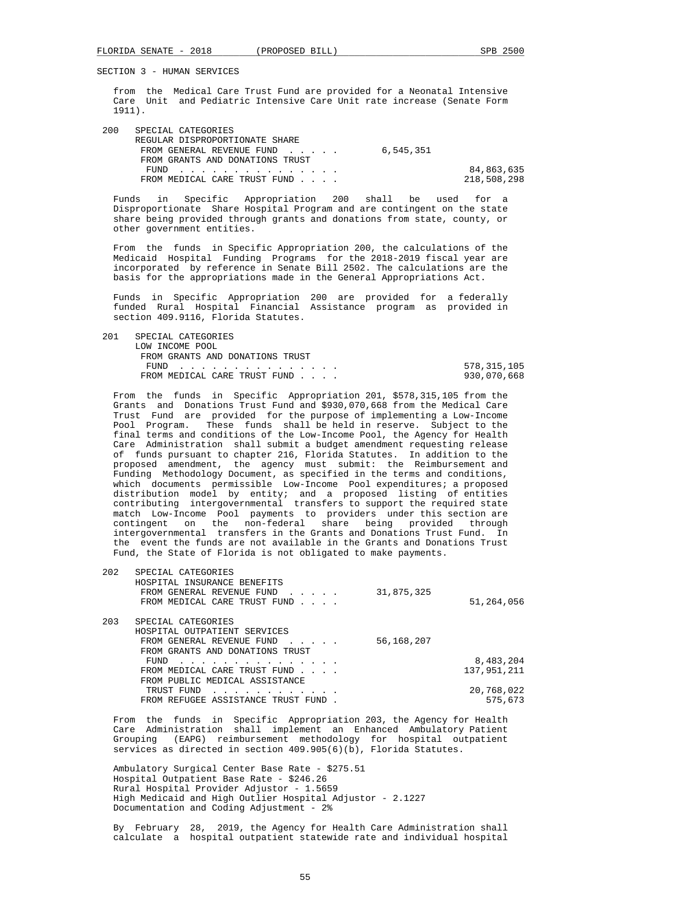from the Medical Care Trust Fund are provided for a Neonatal Intensive Care Unit and Pediatric Intensive Care Unit rate increase (Senate Form 1911).

| 200 | SPECIAL CATEGORIES              |           |             |
|-----|---------------------------------|-----------|-------------|
|     | REGULAR DISPROPORTIONATE SHARE  |           |             |
|     | FROM GENERAL REVENUE FUND       | 6,545,351 |             |
|     | FROM GRANTS AND DONATIONS TRUST |           |             |
|     | FUND                            |           | 84,863,635  |
|     | FROM MEDICAL CARE TRUST FUND    |           | 218,508,298 |

 Funds in Specific Appropriation 200 shall be used for a Disproportionate Share Hospital Program and are contingent on the state share being provided through grants and donations from state, county, or other government entities.

 From the funds in Specific Appropriation 200, the calculations of the Medicaid Hospital Funding Programs for the 2018-2019 fiscal year are incorporated by reference in Senate Bill 2502. The calculations are the basis for the appropriations made in the General Appropriations Act.

 Funds in Specific Appropriation 200 are provided for a federally funded Rural Hospital Financial Assistance program as provided in section 409.9116, Florida Statutes.

 201 SPECIAL CATEGORIES LOW INCOME POOL FROM GRANTS AND DONATIONS TRUST FUND . . . . . . . . . . . . . . . 578,315,105 FROM MEDICAL CARE TRUST FUND . . . .

 From the funds in Specific Appropriation 201, \$578,315,105 from the Grants and Donations Trust Fund and \$930,070,668 from the Medical Care Trust Fund are provided for the purpose of implementing a Low-Income Pool Program. These funds shall be held in reserve. Subject to the final terms and conditions of the Low-Income Pool, the Agency for Health Care Administration shall submit a budget amendment requesting release of funds pursuant to chapter 216, Florida Statutes. In addition to the proposed amendment, the agency must submit: the Reimbursement and Funding Methodology Document, as specified in the terms and conditions, which documents permissible Low-Income Pool expenditures; a proposed distribution model by entity; and a proposed listing of entities contributing intergovernmental transfers to support the required state match Low-Income Pool payments to providers under this section are contingent on the non-federal share being provided through intergovernmental transfers in the Grants and Donations Trust Fund. In the event the funds are not available in the Grants and Donations Trust Fund, the State of Florida is not obligated to make payments.

| 202 | SPECIAL CATEGORIES<br>HOSPITAL INSURANCE BENEFITS<br>FROM GENERAL REVENUE FUND<br>$\sim$ $\sim$ $\sim$ $\sim$ $\sim$<br>FROM MEDICAL CARE TRUST FUND            | 31,875,325 | 51,264,056               |
|-----|-----------------------------------------------------------------------------------------------------------------------------------------------------------------|------------|--------------------------|
| 203 | SPECIAL CATEGORIES<br>HOSPITAL OUTPATIENT SERVICES<br>FROM GENERAL REVENUE FUND<br>$\sim$ $\sim$ $\sim$ $\sim$ $\sim$ $\sim$<br>FROM GRANTS AND DONATIONS TRUST | 56,168,207 |                          |
|     | FUND<br>.<br>FROM MEDICAL CARE TRUST FUND<br>FROM PUBLIC MEDICAL ASSISTANCE                                                                                     |            | 8,483,204<br>137,951,211 |
|     | TRUST FUND<br>FROM REFUGEE ASSISTANCE TRUST FUND                                                                                                                |            | 20,768,022<br>575,673    |

 From the funds in Specific Appropriation 203, the Agency for Health Care Administration shall implement an Enhanced Ambulatory Patient Grouping (EAPG) reimbursement methodology for hospital outpatient services as directed in section 409.905(6)(b), Florida Statutes.

 Ambulatory Surgical Center Base Rate - \$275.51 Hospital Outpatient Base Rate - \$246.26 Rural Hospital Provider Adjustor - 1.5659 High Medicaid and High Outlier Hospital Adjustor - 2.1227 Documentation and Coding Adjustment - 2%

 By February 28, 2019, the Agency for Health Care Administration shall calculate a hospital outpatient statewide rate and individual hospital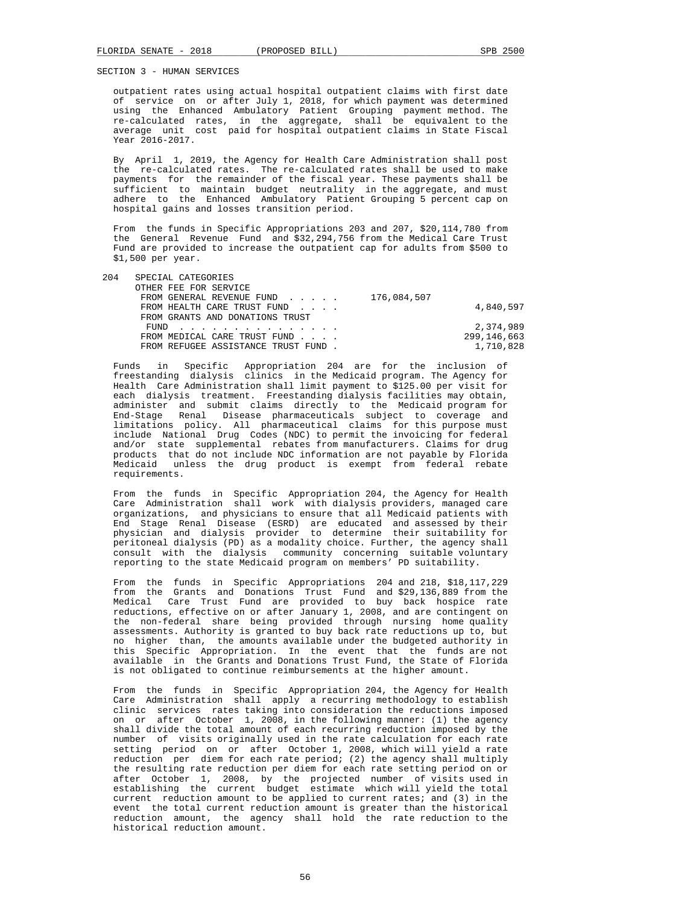outpatient rates using actual hospital outpatient claims with first date of service on or after July 1, 2018, for which payment was determined using the Enhanced Ambulatory Patient Grouping payment method. The re-calculated rates, in the aggregate, shall be equivalent to the average unit cost paid for hospital outpatient claims in State Fiscal Year 2016-2017.

 By April 1, 2019, the Agency for Health Care Administration shall post the re-calculated rates. The re-calculated rates shall be used to make payments for the remainder of the fiscal year. These payments shall be sufficient to maintain budget neutrality in the aggregate, and must adhere to the Enhanced Ambulatory Patient Grouping 5 percent cap on hospital gains and losses transition period.

 From the funds in Specific Appropriations 203 and 207, \$20,114,780 from the General Revenue Fund and \$32,294,756 from the Medical Care Trust Fund are provided to increase the outpatient cap for adults from \$500 to \$1,500 per year.

| 204 | SPECIAL CATEGORIES                  |               |
|-----|-------------------------------------|---------------|
|     | OTHER FEE FOR SERVICE               |               |
|     | FROM GENERAL REVENUE FUND           | 176,084,507   |
|     | FROM HEALTH CARE TRUST FUND         | 4,840,597     |
|     | FROM GRANTS AND DONATIONS TRUST     |               |
|     | FUND                                | 2,374,989     |
|     | FROM MEDICAL CARE TRUST FUND        | 299, 146, 663 |
|     | FROM REFUGEE ASSISTANCE TRUST FUND. | 1,710,828     |
|     |                                     |               |

 Funds in Specific Appropriation 204 are for the inclusion of freestanding dialysis clinics in the Medicaid program. The Agency for Health Care Administration shall limit payment to \$125.00 per visit for each dialysis treatment. Freestanding dialysis facilities may obtain, administer and submit claims directly to the Medicaid program for End-Stage Renal Disease pharmaceuticals subject to coverage and limitations policy. All pharmaceutical claims for this purpose must include National Drug Codes (NDC) to permit the invoicing for federal and/or state supplemental rebates from manufacturers. Claims for drug products that do not include NDC information are not payable by Florida Medicaid unless the drug product is exempt from federal rebate requirements.

 From the funds in Specific Appropriation 204, the Agency for Health Care Administration shall work with dialysis providers, managed care organizations, and physicians to ensure that all Medicaid patients with End Stage Renal Disease (ESRD) are educated and assessed by their physician and dialysis provider to determine their suitability for peritoneal dialysis (PD) as a modality choice. Further, the agency shall consult with the dialysis community concerning suitable voluntary reporting to the state Medicaid program on members' PD suitability.

 From the funds in Specific Appropriations 204 and 218, \$18,117,229 from the Grants and Donations Trust Fund and \$29,136,889 from the Medical Care Trust Fund are provided to buy back hospice rate reductions, effective on or after January 1, 2008, and are contingent on the non-federal share being provided through nursing home quality assessments. Authority is granted to buy back rate reductions up to, but no higher than, the amounts available under the budgeted authority in this Specific Appropriation. In the event that the funds are not available in the Grants and Donations Trust Fund, the State of Florida is not obligated to continue reimbursements at the higher amount.

 From the funds in Specific Appropriation 204, the Agency for Health Care Administration shall apply a recurring methodology to establish clinic services rates taking into consideration the reductions imposed on or after October 1, 2008, in the following manner: (1) the agency shall divide the total amount of each recurring reduction imposed by the number of visits originally used in the rate calculation for each rate setting period on or after October 1, 2008, which will yield a rate reduction per diem for each rate period; (2) the agency shall multiply the resulting rate reduction per diem for each rate setting period on or after October 1, 2008, by the projected number of visits used in establishing the current budget estimate which will yield the total current reduction amount to be applied to current rates; and (3) in the event the total current reduction amount is greater than the historical reduction amount, the agency shall hold the rate reduction to the historical reduction amount.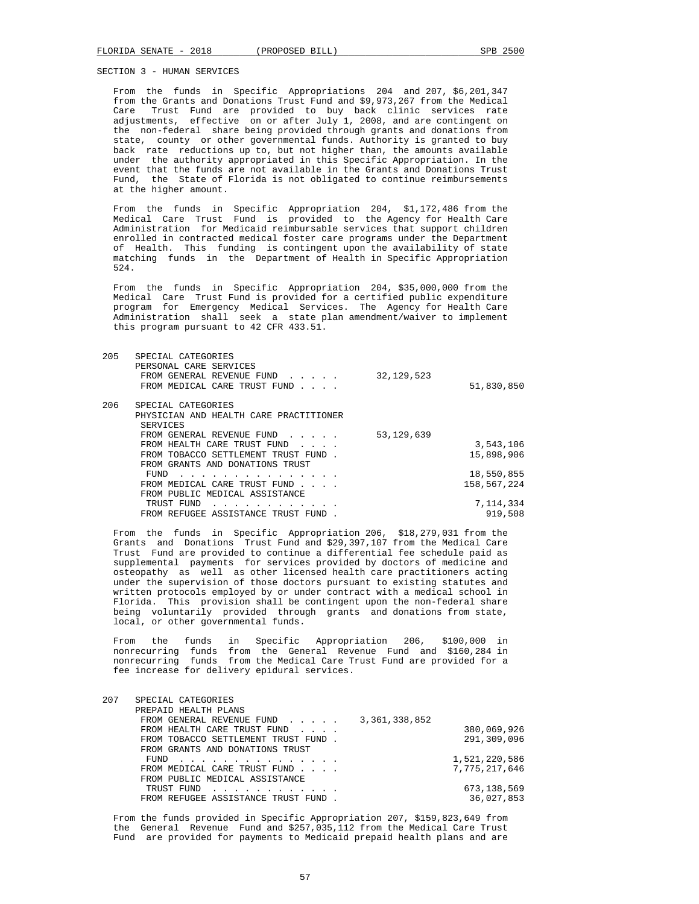From the funds in Specific Appropriations 204 and 207, \$6,201,347 from the Grants and Donations Trust Fund and \$9,973,267 from the Medical Care Trust Fund are provided to buy back clinic services rate adjustments, effective on or after July 1, 2008, and are contingent on the non-federal share being provided through grants and donations from state, county or other governmental funds. Authority is granted to buy back rate reductions up to, but not higher than, the amounts available under the authority appropriated in this Specific Appropriation. In the event that the funds are not available in the Grants and Donations Trust Fund, the State of Florida is not obligated to continue reimbursements at the higher amount.

 From the funds in Specific Appropriation 204, \$1,172,486 from the Medical Care Trust Fund is provided to the Agency for Health Care Administration for Medicaid reimbursable services that support children enrolled in contracted medical foster care programs under the Department of Health. This funding is contingent upon the availability of state matching funds in the Department of Health in Specific Appropriation 524.

 From the funds in Specific Appropriation 204, \$35,000,000 from the Medical Care Trust Fund is provided for a certified public expenditure program for Emergency Medical Services. The Agency for Health Care Administration shall seek a state plan amendment/waiver to implement this program pursuant to 42 CFR 433.51.

| 205 | SPECIAL CATEGORIES<br>PERSONAL CARE SERVICES |              |             |
|-----|----------------------------------------------|--------------|-------------|
|     | FROM GENERAL REVENUE FUND                    | 32, 129, 523 |             |
|     | FROM MEDICAL CARE TRUST FUND                 |              | 51,830,850  |
| 206 | SPECIAL CATEGORIES                           |              |             |
|     | PHYSICIAN AND HEALTH CARE PRACTITIONER       |              |             |
|     | SERVICES                                     |              |             |
|     | FROM GENERAL REVENUE FUND                    | 53, 129, 639 |             |
|     | FROM HEALTH CARE TRUST FUND                  |              | 3,543,106   |
|     | FROM TOBACCO SETTLEMENT TRUST FUND.          |              | 15,898,906  |
|     | FROM GRANTS AND DONATIONS TRUST              |              |             |
|     | FUND<br>.                                    |              | 18,550,855  |
|     | FROM MEDICAL CARE TRUST FUND                 |              | 158,567,224 |
|     | FROM PUBLIC MEDICAL ASSISTANCE               |              |             |
|     | TRUST FUND                                   |              | 7,114,334   |
|     | FROM REFUGEE ASSISTANCE TRUST FUND           |              | 919,508     |
|     |                                              |              |             |

 From the funds in Specific Appropriation 206, \$18,279,031 from the Grants and Donations Trust Fund and \$29,397,107 from the Medical Care Trust Fund are provided to continue a differential fee schedule paid as supplemental payments for services provided by doctors of medicine and osteopathy as well as other licensed health care practitioners acting under the supervision of those doctors pursuant to existing statutes and written protocols employed by or under contract with a medical school in Florida. This provision shall be contingent upon the non-federal share being voluntarily provided through grants and donations from state, local, or other governmental funds.

 From the funds in Specific Appropriation 206, \$100,000 in nonrecurring funds from the General Revenue Fund and \$160,284 in nonrecurring funds from the Medical Care Trust Fund are provided for a fee increase for delivery epidural services.

| 207 | SPECIAL CATEGORIES                                                                                                      |                  |                  |
|-----|-------------------------------------------------------------------------------------------------------------------------|------------------|------------------|
|     | PREPAID HEALTH PLANS                                                                                                    |                  |                  |
|     | FROM GENERAL REVENUE FUND                                                                                               | 3, 361, 338, 852 |                  |
|     | FROM HEALTH CARE TRUST FUND                                                                                             |                  | 380,069,926      |
|     | FROM TOBACCO SETTLEMENT TRUST FUND.                                                                                     |                  | 291,309,096      |
|     | FROM GRANTS AND DONATIONS TRUST                                                                                         |                  |                  |
|     | FUND<br>the contract of the contract of the contract of the contract of the contract of the contract of the contract of |                  | 1,521,220,586    |
|     | FROM MEDICAL CARE TRUST FUND                                                                                            |                  | 7, 775, 217, 646 |
|     | FROM PUBLIC MEDICAL ASSISTANCE                                                                                          |                  |                  |
|     | TRUST FUND                                                                                                              |                  | 673,138,569      |
|     | FROM REFUGEE ASSISTANCE TRUST FUND.                                                                                     |                  | 36,027,853       |
|     |                                                                                                                         |                  |                  |

 From the funds provided in Specific Appropriation 207, \$159,823,649 from the General Revenue Fund and \$257,035,112 from the Medical Care Trust Fund are provided for payments to Medicaid prepaid health plans and are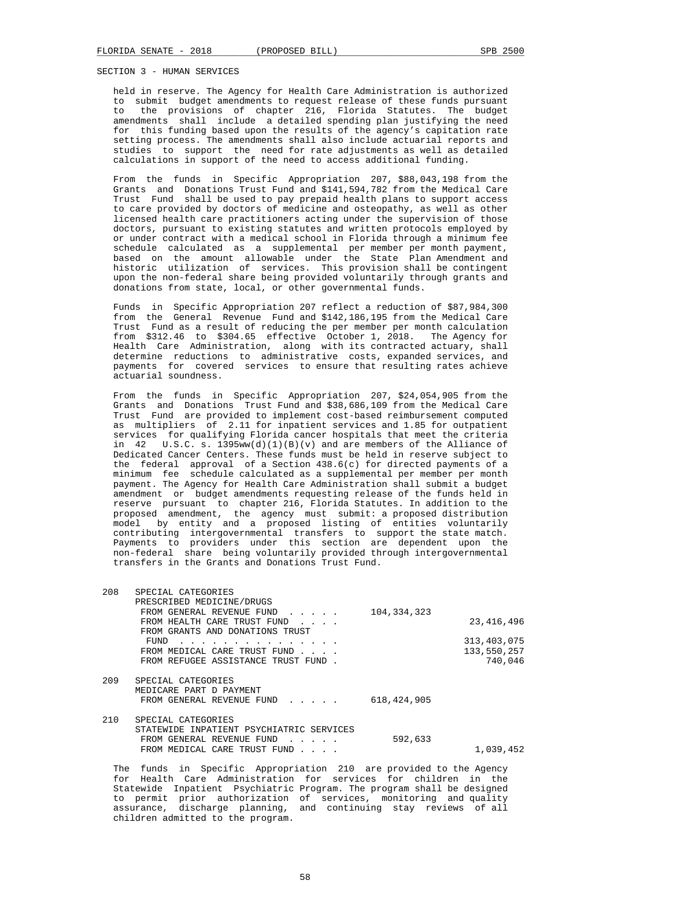held in reserve. The Agency for Health Care Administration is authorized to submit budget amendments to request release of these funds pursuant to the provisions of chapter 216, Florida Statutes. The budget amendments shall include a detailed spending plan justifying the need for this funding based upon the results of the agency's capitation rate setting process. The amendments shall also include actuarial reports and<br>studies to support the need for rate adjustments as well as detailed to support the need for rate adjustments as well as detailed calculations in support of the need to access additional funding.

 From the funds in Specific Appropriation 207, \$88,043,198 from the Grants and Donations Trust Fund and \$141,594,782 from the Medical Care Trust Fund shall be used to pay prepaid health plans to support access to care provided by doctors of medicine and osteopathy, as well as other licensed health care practitioners acting under the supervision of those doctors, pursuant to existing statutes and written protocols employed by or under contract with a medical school in Florida through a minimum fee schedule calculated as a supplemental per member per month payment, based on the amount allowable under the State Plan Amendment and historic utilization of services. This provision shall be contingent upon the non-federal share being provided voluntarily through grants and donations from state, local, or other governmental funds.

 Funds in Specific Appropriation 207 reflect a reduction of \$87,984,300 from the General Revenue Fund and \$142,186,195 from the Medical Care Trust Fund as a result of reducing the per member per month calculation from \$312.46 to \$304.65 effective October 1, 2018. The Agency for Health Care Administration, along with its contracted actuary, shall determine reductions to administrative costs, expanded services, and payments for covered services to ensure that resulting rates achieve actuarial soundness.

 From the funds in Specific Appropriation 207, \$24,054,905 from the Grants and Donations Trust Fund and \$38,686,109 from the Medical Care Trust Fund are provided to implement cost-based reimbursement computed as multipliers of 2.11 for inpatient services and 1.85 for outpatient services for qualifying Florida cancer hospitals that meet the criteria in 42 U.S.C. s.  $1395ww(d)(1)(B)(v)$  and are members of the Alliance of Dedicated Cancer Centers. These funds must be held in reserve subject to the federal approval of a Section 438.6(c) for directed payments of a minimum fee schedule calculated as a supplemental per member per month payment. The Agency for Health Care Administration shall submit a budget amendment or budget amendments requesting release of the funds held in reserve pursuant to chapter 216, Florida Statutes. In addition to the proposed amendment, the agency must submit: a proposed distribution model by entity and a proposed listing of entities voluntarily contributing intergovernmental transfers to support the state match. Payments to providers under this section are dependent upon the non-federal share being voluntarily provided through intergovernmental transfers in the Grants and Donations Trust Fund.

| 208 | SPECIAL CATEGORIES                                                                                                           |               |               |
|-----|------------------------------------------------------------------------------------------------------------------------------|---------------|---------------|
|     | PRESCRIBED MEDICINE/DRUGS                                                                                                    |               |               |
|     | FROM GENERAL REVENUE FUND                                                                                                    | 104, 334, 323 |               |
|     | FROM HEALTH CARE TRUST FUND                                                                                                  |               | 23, 416, 496  |
|     | FROM GRANTS AND DONATIONS TRUST                                                                                              |               |               |
|     | FUND<br>.                                                                                                                    |               | 313, 403, 075 |
|     | FROM MEDICAL CARE TRUST FUND                                                                                                 |               | 133,550,257   |
|     | FROM REFUGEE ASSISTANCE TRUST FUND.                                                                                          |               | 740,046       |
|     |                                                                                                                              |               |               |
| 209 | SPECIAL CATEGORIES                                                                                                           |               |               |
|     | MEDICARE PART D PAYMENT                                                                                                      |               |               |
|     | FROM GENERAL REVENUE FUND<br>$\mathcal{L}^{\mathcal{A}}$ , and $\mathcal{L}^{\mathcal{A}}$ , and $\mathcal{L}^{\mathcal{A}}$ | 618, 424, 905 |               |
| 210 | SPECIAL CATEGORIES                                                                                                           |               |               |
|     | STATEWIDE INPATIENT PSYCHIATRIC SERVICES                                                                                     |               |               |
|     | FROM GENERAL REVENUE FUND<br>$\mathbf{1}$ and $\mathbf{1}$ and $\mathbf{1}$ and $\mathbf{1}$                                 | 592,633       |               |
|     | FROM MEDICAL CARE TRUST FUND                                                                                                 |               | 1,039,452     |
|     |                                                                                                                              |               |               |
|     |                                                                                                                              |               |               |

 The funds in Specific Appropriation 210 are provided to the Agency for Health Care Administration for services for children in the Statewide Inpatient Psychiatric Program. The program shall be designed to permit prior authorization of services, monitoring and quality assurance, discharge planning, and continuing stay reviews of all children admitted to the program.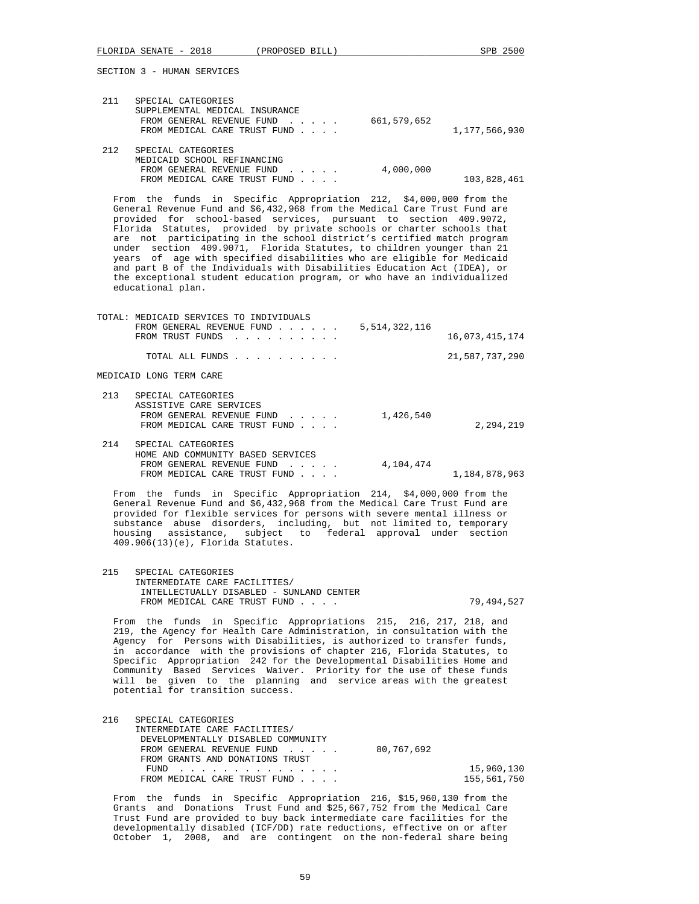TOTAL: MEDICAID SERVICES TO INDIVIDUALS

SECTION 3 - HUMAN SERVICES

| 211 | SPECIAL CATEGORIES<br>SUPPLEMENTAL MEDICAL INSURANCE<br>FROM GENERAL REVENUE FUND<br>FROM MEDICAL CARE TRUST FUND | 661,579,652 | 1,177,566,930 |
|-----|-------------------------------------------------------------------------------------------------------------------|-------------|---------------|
| 212 | SPECIAL CATEGORIES<br>MEDICAID SCHOOL REFINANCING<br>FROM GENERAL REVENUE FUND<br>FROM MEDICAL CARE TRUST FUND    | 4,000,000   | 103,828,461   |

 From the funds in Specific Appropriation 212, \$4,000,000 from the General Revenue Fund and \$6,432,968 from the Medical Care Trust Fund are provided for school-based services, pursuant to section 409.9072, Florida Statutes, provided by private schools or charter schools that are not participating in the school district's certified match program under section 409.9071, Florida Statutes, to children younger than 21 years of age with specified disabilities who are eligible for Medicaid and part B of the Individuals with Disabilities Education Act (IDEA), or the exceptional student education program, or who have an individualized educational plan.

|                         | TOTAL: MEDICAID SERVICES TO INDIVIDUALS       |               |                |
|-------------------------|-----------------------------------------------|---------------|----------------|
|                         | FROM GENERAL REVENUE FUND<br>FROM TRUST FUNDS | 5,514,322,116 | 16,073,415,174 |
|                         | TOTAL ALL FUNDS                               |               | 21,587,737,290 |
| MEDICAID LONG TERM CARE |                                               |               |                |

| 213 | SPECIAL CATEGORIES<br>ASSISTIVE CARE SERVICES<br>FROM GENERAL REVENUE FUND<br>FROM MEDICAL CARE TRUST FUND | 1,426,540 | 2,294,219     |
|-----|------------------------------------------------------------------------------------------------------------|-----------|---------------|
| 214 | SPECIAL CATEGORIES<br>HOME AND COMMUNITY BASED SERVICES<br>FROM GENERAL REVENUE FUND                       | 4,104,474 |               |
|     | FROM MEDICAL CARE TRUST FUND                                                                               |           | 1,184,878,963 |

 From the funds in Specific Appropriation 214, \$4,000,000 from the General Revenue Fund and \$6,432,968 from the Medical Care Trust Fund are provided for flexible services for persons with severe mental illness or substance abuse disorders, including, but not limited to, temporary housing assistance, subject to federal approval under section 409.906(13)(e), Florida Statutes.

 215 SPECIAL CATEGORIES INTERMEDIATE CARE FACILITIES/ INTELLECTUALLY DISABLED - SUNLAND CENTER FROM MEDICAL CARE TRUST FUND . . . . . . . 79,494,527

 From the funds in Specific Appropriations 215, 216, 217, 218, and 219, the Agency for Health Care Administration, in consultation with the Agency for Persons with Disabilities, is authorized to transfer funds, in accordance with the provisions of chapter 216, Florida Statutes, to Specific Appropriation 242 for the Developmental Disabilities Home and Community Based Services Waiver. Priority for the use of these funds will be given to the planning and service areas with the greatest potential for transition success.

| 216 | SPECIAL CATEGORIES                 |            |             |
|-----|------------------------------------|------------|-------------|
|     | INTERMEDIATE CARE FACILITIES/      |            |             |
|     | DEVELOPMENTALLY DISABLED COMMUNITY |            |             |
|     | FROM GENERAL REVENUE FUND          | 80,767,692 |             |
|     | FROM GRANTS AND DONATIONS TRUST    |            |             |
|     | FUND                               |            | 15,960,130  |
|     | FROM MEDICAL CARE TRUST FUND       |            | 155,561,750 |

 From the funds in Specific Appropriation 216, \$15,960,130 from the Grants and Donations Trust Fund and \$25,667,752 from the Medical Care Trust Fund are provided to buy back intermediate care facilities for the developmentally disabled (ICF/DD) rate reductions, effective on or after October 1, 2008, and are contingent on the non-federal share being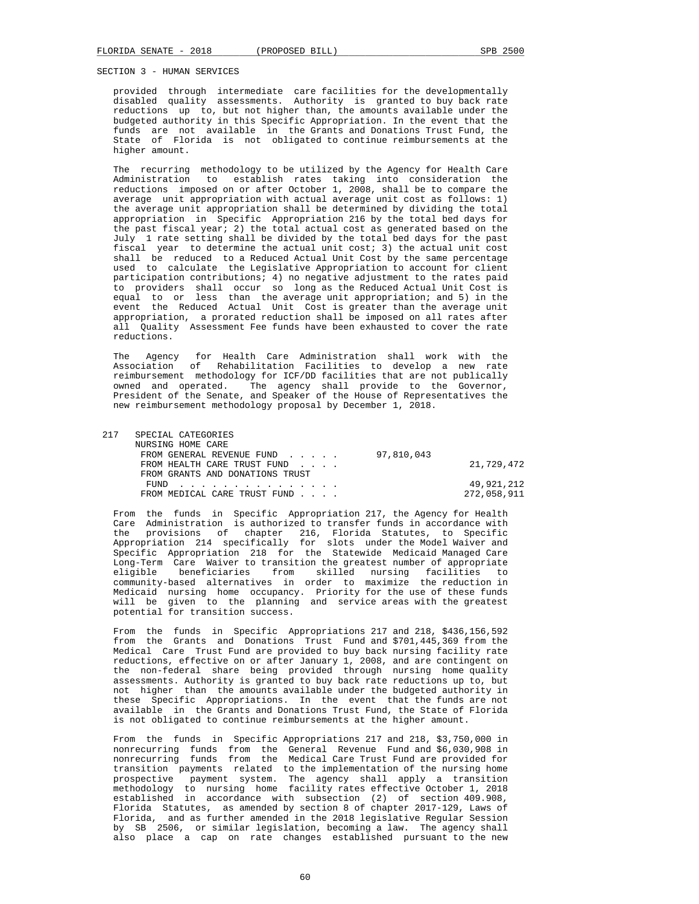provided through intermediate care facilities for the developmentally disabled quality assessments. Authority is granted to buy back rate reductions up to, but not higher than, the amounts available under the budgeted authority in this Specific Appropriation. In the event that the funds are not available in the Grants and Donations Trust Fund, the State of Florida is not obligated to continue reimbursements at the higher amount.

 The recurring methodology to be utilized by the Agency for Health Care Administration to establish rates taking into consideration the reductions imposed on or after October 1, 2008, shall be to compare the average unit appropriation with actual average unit cost as follows: 1) the average unit appropriation shall be determined by dividing the total appropriation in Specific Appropriation 216 by the total bed days for the past fiscal year; 2) the total actual cost as generated based on the July 1 rate setting shall be divided by the total bed days for the past fiscal year to determine the actual unit cost; 3) the actual unit cost shall be reduced to a Reduced Actual Unit Cost by the same percentage used to calculate the Legislative Appropriation to account for client participation contributions; 4) no negative adjustment to the rates paid to providers shall occur so long as the Reduced Actual Unit Cost is equal to or less than the average unit appropriation; and 5) in the event the Reduced Actual Unit Cost is greater than the average unit appropriation, a prorated reduction shall be imposed on all rates after all Quality Assessment Fee funds have been exhausted to cover the rate reductions.

 The Agency for Health Care Administration shall work with the Association of Rehabilitation Facilities to develop a new rate reimbursement methodology for ICF/DD facilities that are not publically owned and operated. The agency shall provide to the Governor, President of the Senate, and Speaker of the House of Representatives the new reimbursement methodology proposal by December 1, 2018.

| 217 | SPECIAL CATEGORIES              |            |             |
|-----|---------------------------------|------------|-------------|
|     | NURSING HOME CARE               |            |             |
|     | FROM GENERAL REVENUE FUND       | 97,810,043 |             |
|     | FROM HEALTH CARE TRUST FUND     |            | 21,729,472  |
|     | FROM GRANTS AND DONATIONS TRUST |            |             |
|     | FUND                            |            | 49,921,212  |
|     | FROM MEDICAL CARE TRUST FUND    |            | 272,058,911 |
|     |                                 |            |             |

 From the funds in Specific Appropriation 217, the Agency for Health Care Administration is authorized to transfer funds in accordance with the provisions of chapter 216, Florida Statutes, to Specific Appropriation 214 specifically for slots under the Model Waiver and Specific Appropriation 218 for the Statewide Medicaid Managed Care Long-Term Care Waiver to transition the greatest number of appropriate eligible beneficiaries from skilled nursing facilities to community-based alternatives in order to maximize the reduction in Medicaid nursing home occupancy. Priority for the use of these funds will be given to the planning and service areas with the greatest potential for transition success.

 From the funds in Specific Appropriations 217 and 218, \$436,156,592 from the Grants and Donations Trust Fund and \$701,445,369 from the Medical Care Trust Fund are provided to buy back nursing facility rate reductions, effective on or after January 1, 2008, and are contingent on the non-federal share being provided through nursing home quality assessments. Authority is granted to buy back rate reductions up to, but not higher than the amounts available under the budgeted authority in these Specific Appropriations. In the event that the funds are not available in the Grants and Donations Trust Fund, the State of Florida is not obligated to continue reimbursements at the higher amount.

 From the funds in Specific Appropriations 217 and 218, \$3,750,000 in nonrecurring funds from the General Revenue Fund and \$6,030,908 in nonrecurring funds from the Medical Care Trust Fund are provided for transition payments related to the implementation of the nursing home prospective payment system. The agency shall apply a transition methodology to nursing home facility rates effective October 1, 2018 established in accordance with subsection (2) of section 409.908, Florida Statutes, as amended by section 8 of chapter 2017-129, Laws of Florida, and as further amended in the 2018 legislative Regular Session by SB 2506, or similar legislation, becoming a law. The agency shall also place a cap on rate changes established pursuant to the new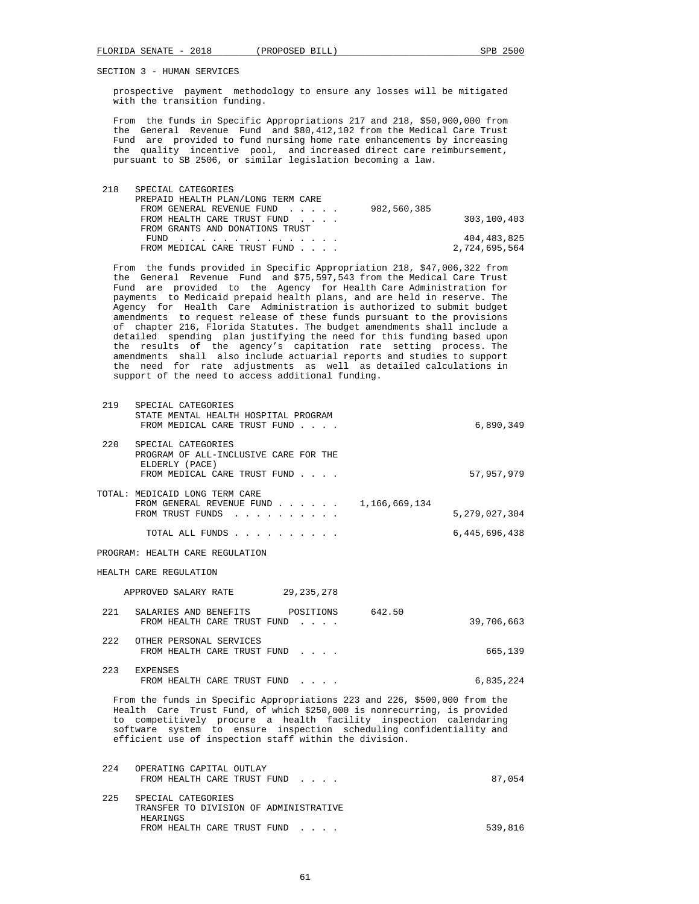prospective payment methodology to ensure any losses will be mitigated with the transition funding.

 From the funds in Specific Appropriations 217 and 218, \$50,000,000 from the General Revenue Fund and \$80,412,102 from the Medical Care Trust Fund are provided to fund nursing home rate enhancements by increasing the quality incentive pool, and increased direct care reimbursement, pursuant to SB 2506, or similar legislation becoming a law.

| 218 | SPECIAL CATEGORIES                 |             |               |
|-----|------------------------------------|-------------|---------------|
|     | PREPAID HEALTH PLAN/LONG TERM CARE |             |               |
|     | FROM GENERAL REVENUE FUND          | 982,560,385 |               |
|     | FROM HEALTH CARE TRUST FUND        |             | 303,100,403   |
|     | FROM GRANTS AND DONATIONS TRUST    |             |               |
|     | FUND                               |             | 404,483,825   |
|     | FROM MEDICAL CARE TRUST FUND       |             | 2,724,695,564 |

 From the funds provided in Specific Appropriation 218, \$47,006,322 from the General Revenue Fund and \$75,597,543 from the Medical Care Trust Fund are provided to the Agency for Health Care Administration for payments to Medicaid prepaid health plans, and are held in reserve. The Agency for Health Care Administration is authorized to submit budget amendments to request release of these funds pursuant to the provisions of chapter 216, Florida Statutes. The budget amendments shall include a detailed spending plan justifying the need for this funding based upon the results of the agency's capitation rate setting process. The amendments shall also include actuarial reports and studies to support the need for rate adjustments as well as detailed calculations in support of the need to access additional funding.

| 219   | SPECIAL CATEGORIES<br>STATE MENTAL HEALTH HOSPITAL PROGRAM<br>FROM MEDICAL CARE TRUST FUND                                                                                                                                                                                                                                                                 | 6,890,349        |
|-------|------------------------------------------------------------------------------------------------------------------------------------------------------------------------------------------------------------------------------------------------------------------------------------------------------------------------------------------------------------|------------------|
| 2.20  | SPECIAL CATEGORIES<br>PROGRAM OF ALL-INCLUSIVE CARE FOR THE<br>ELDERLY (PACE)<br>FROM MEDICAL CARE TRUST FUND                                                                                                                                                                                                                                              | 57,957,979       |
|       | TOTAL: MEDICAID LONG TERM CARE<br>FROM GENERAL REVENUE FUND $\ldots$ 1,166,669,134<br>FROM TRUST FUNDS                                                                                                                                                                                                                                                     | 5, 279, 027, 304 |
|       | TOTAL ALL FUNDS                                                                                                                                                                                                                                                                                                                                            | 6, 445, 696, 438 |
|       | PROGRAM: HEALTH CARE REGULATION                                                                                                                                                                                                                                                                                                                            |                  |
|       | HEALTH CARE REGULATION                                                                                                                                                                                                                                                                                                                                     |                  |
|       | APPROVED SALARY RATE 29, 235, 278                                                                                                                                                                                                                                                                                                                          |                  |
| 2.2.1 | SALARIES AND BENEFITS POSITIONS 642.50<br>FROM HEALTH CARE TRUST FUND                                                                                                                                                                                                                                                                                      | 39,706,663       |
|       | 222 OTHER PERSONAL SERVICES<br>FROM HEALTH CARE TRUST FUND                                                                                                                                                                                                                                                                                                 | 665,139          |
|       | 223 EXPENSES<br>FROM HEALTH CARE TRUST FUND                                                                                                                                                                                                                                                                                                                | 6,835,224        |
|       | From the funds in Specific Appropriations 223 and 226, \$500,000 from the<br>Health Care Trust Fund, of which \$250,000 is nonrecurring, is provided<br>to competitively procure a health facility inspection calendaring<br>software system to ensure inspection scheduling confidentiality and<br>efficient use of inspection staff within the division. |                  |
| 2.24  | OPERATING CAPITAL OUTLAY<br>FROM HEALTH CARE TRUST FUND                                                                                                                                                                                                                                                                                                    | 87,054           |
| 225   | SPECIAL CATEGORIES                                                                                                                                                                                                                                                                                                                                         |                  |

 TRANSFER TO DIVISION OF ADMINISTRATIVE HEARINGS FROM HEALTH CARE TRUST FUND . . . . 539,816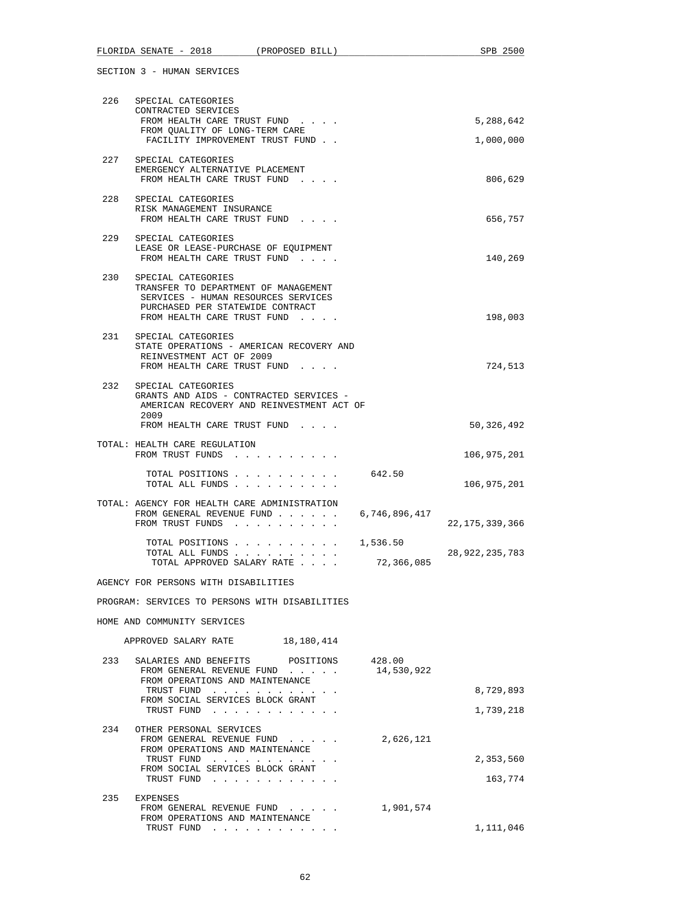| 226 | SPECIAL CATEGORIES<br>CONTRACTED SERVICES                                            |            |                   |
|-----|--------------------------------------------------------------------------------------|------------|-------------------|
|     | FROM HEALTH CARE TRUST FUND                                                          |            | 5,288,642         |
|     | FROM QUALITY OF LONG-TERM CARE<br>FACILITY IMPROVEMENT TRUST FUND                    |            | 1,000,000         |
| 227 | SPECIAL CATEGORIES                                                                   |            |                   |
|     | EMERGENCY ALTERNATIVE PLACEMENT<br>FROM HEALTH CARE TRUST FUND                       |            | 806,629           |
|     | 228 SPECIAL CATEGORIES                                                               |            |                   |
|     | RISK MANAGEMENT INSURANCE                                                            |            |                   |
|     | FROM HEALTH CARE TRUST FUND                                                          |            | 656,757           |
| 229 | SPECIAL CATEGORIES<br>LEASE OR LEASE-PURCHASE OF EQUIPMENT                           |            |                   |
|     | FROM HEALTH CARE TRUST FUND                                                          |            | 140,269           |
| 230 | SPECIAL CATEGORIES                                                                   |            |                   |
|     | TRANSFER TO DEPARTMENT OF MANAGEMENT                                                 |            |                   |
|     | SERVICES - HUMAN RESOURCES SERVICES<br>PURCHASED PER STATEWIDE CONTRACT              |            |                   |
|     | FROM HEALTH CARE TRUST FUND                                                          |            | 198,003           |
|     | 231 SPECIAL CATEGORIES                                                               |            |                   |
|     | STATE OPERATIONS - AMERICAN RECOVERY AND<br>REINVESTMENT ACT OF 2009                 |            |                   |
|     | FROM HEALTH CARE TRUST FUND                                                          |            | 724,513           |
| 232 | SPECIAL CATEGORIES                                                                   |            |                   |
|     | GRANTS AND AIDS - CONTRACTED SERVICES -<br>AMERICAN RECOVERY AND REINVESTMENT ACT OF |            |                   |
|     | 2009                                                                                 |            |                   |
|     | FROM HEALTH CARE TRUST FUND                                                          |            | 50,326,492        |
|     | TOTAL: HEALTH CARE REGULATION                                                        |            |                   |
|     | FROM TRUST FUNDS                                                                     |            | 106,975,201       |
|     | TOTAL POSITIONS 642.50<br>TOTAL ALL FUNDS                                            |            | 106,975,201       |
|     | TOTAL: AGENCY FOR HEALTH CARE ADMINISTRATION                                         |            |                   |
|     | FROM GENERAL REVENUE FUND $\ldots$ 6,746,896,417<br>FROM TRUST FUNDS                 |            | 22, 175, 339, 366 |
|     | TOTAL POSITIONS $\ldots$ , 1,536.50                                                  |            |                   |
|     | TOTAL ALL FUNDS                                                                      |            | 28,922,235,783    |
|     | TOTAL APPROVED SALARY RATE                                                           | 72,366,085 |                   |
|     | AGENCY FOR PERSONS WITH DISABILITIES                                                 |            |                   |
|     | PROGRAM: SERVICES TO PERSONS WITH DISABILITIES                                       |            |                   |
|     | HOME AND COMMUNITY SERVICES                                                          |            |                   |
|     | APPROVED SALARY RATE<br>18,180,414                                                   |            |                   |
| 233 | SALARIES AND BENEFITS<br>POSITIONS                                                   | 428.00     |                   |
|     | FROM GENERAL REVENUE FUND                                                            | 14,530,922 |                   |
|     | FROM OPERATIONS AND MAINTENANCE<br>TRUST FUND                                        |            | 8,729,893         |
|     | FROM SOCIAL SERVICES BLOCK GRANT<br>TRUST FUND                                       |            | 1,739,218         |
|     |                                                                                      |            |                   |
| 234 | OTHER PERSONAL SERVICES<br>FROM GENERAL REVENUE FUND                                 | 2,626,121  |                   |
|     | FROM OPERATIONS AND MAINTENANCE                                                      |            |                   |
|     | TRUST FUND<br>FROM SOCIAL SERVICES BLOCK GRANT                                       |            | 2,353,560         |
|     | TRUST FUND                                                                           |            | 163,774           |
| 235 | EXPENSES                                                                             |            |                   |
|     | FROM GENERAL REVENUE FUND<br>FROM OPERATIONS AND MAINTENANCE                         | 1,901,574  |                   |
|     | TRUST FUND                                                                           |            | 1,111,046         |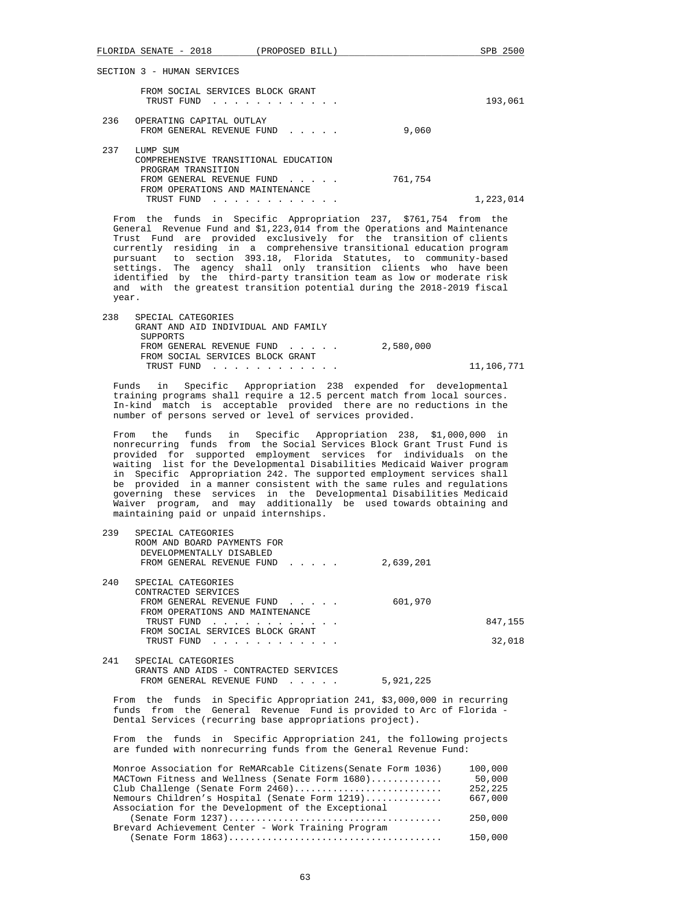| FLORIDA SENATE - 2018 (PROPOSED BILL)                                                                                                                                                                   | SPB 2500                                                                                                                                                                                                                                                                                                                                                                                                                                                                                                                                                                             |
|---------------------------------------------------------------------------------------------------------------------------------------------------------------------------------------------------------|--------------------------------------------------------------------------------------------------------------------------------------------------------------------------------------------------------------------------------------------------------------------------------------------------------------------------------------------------------------------------------------------------------------------------------------------------------------------------------------------------------------------------------------------------------------------------------------|
| SECTION 3 - HUMAN SERVICES                                                                                                                                                                              |                                                                                                                                                                                                                                                                                                                                                                                                                                                                                                                                                                                      |
| FROM SOCIAL SERVICES BLOCK GRANT                                                                                                                                                                        |                                                                                                                                                                                                                                                                                                                                                                                                                                                                                                                                                                                      |
| TRUST FUND                                                                                                                                                                                              | 193,061                                                                                                                                                                                                                                                                                                                                                                                                                                                                                                                                                                              |
| 236<br>OPERATING CAPITAL OUTLAY<br>FROM GENERAL REVENUE FUND                                                                                                                                            | 9,060                                                                                                                                                                                                                                                                                                                                                                                                                                                                                                                                                                                |
| 237<br>LUMP SUM<br>COMPREHENSIVE TRANSITIONAL EDUCATION                                                                                                                                                 |                                                                                                                                                                                                                                                                                                                                                                                                                                                                                                                                                                                      |
| PROGRAM TRANSITION<br>FROM GENERAL REVENUE FUND                                                                                                                                                         | 761,754                                                                                                                                                                                                                                                                                                                                                                                                                                                                                                                                                                              |
| FROM OPERATIONS AND MAINTENANCE<br>TRUST FUND                                                                                                                                                           | 1,223,014                                                                                                                                                                                                                                                                                                                                                                                                                                                                                                                                                                            |
| year.                                                                                                                                                                                                   | From the funds in Specific Appropriation 237, \$761,754 from the<br>General Revenue Fund and \$1,223,014 from the Operations and Maintenance<br>Trust Fund are provided exclusively for the transition of clients<br>currently residing in a comprehensive transitional education program<br>pursuant to section 393.18, Florida Statutes, to community-based<br>settings. The agency shall only transition clients who have been<br>identified by the third-party transition team as low or moderate risk<br>and with the greatest transition potential during the 2018-2019 fiscal |
| 238<br>SPECIAL CATEGORIES                                                                                                                                                                               |                                                                                                                                                                                                                                                                                                                                                                                                                                                                                                                                                                                      |
| GRANT AND AID INDIVIDUAL AND FAMILY<br>SUPPORTS                                                                                                                                                         |                                                                                                                                                                                                                                                                                                                                                                                                                                                                                                                                                                                      |
| FROM GENERAL REVENUE FUND<br>FROM SOCIAL SERVICES BLOCK GRANT                                                                                                                                           | 2,580,000                                                                                                                                                                                                                                                                                                                                                                                                                                                                                                                                                                            |
| TRUST FUND                                                                                                                                                                                              | 11,106,771                                                                                                                                                                                                                                                                                                                                                                                                                                                                                                                                                                           |
| Funds<br>in<br>number of persons served or level of services provided.                                                                                                                                  | Specific Appropriation 238 expended for developmental<br>training programs shall require a 12.5 percent match from local sources.<br>In-kind match is acceptable provided there are no reductions in the                                                                                                                                                                                                                                                                                                                                                                             |
| funds in<br>From<br>the<br>maintaining paid or unpaid internships.                                                                                                                                      | Specific Appropriation 238, \$1,000,000 in<br>nonrecurring funds from the Social Services Block Grant Trust Fund is<br>provided for supported employment services for individuals on the<br>waiting list for the Developmental Disabilities Medicaid Waiver program<br>in Specific Appropriation 242. The supported employment services shall<br>be provided in a manner consistent with the same rules and regulations<br>governing these services in the Developmental Disabilities Medicaid<br>Waiver program, and may additionally be used towards obtaining and                 |
| 239<br>SPECIAL CATEGORIES<br>ROOM AND BOARD PAYMENTS FOR                                                                                                                                                |                                                                                                                                                                                                                                                                                                                                                                                                                                                                                                                                                                                      |
| DEVELOPMENTALLY DISABLED<br>FROM GENERAL REVENUE FUND                                                                                                                                                   | 2,639,201                                                                                                                                                                                                                                                                                                                                                                                                                                                                                                                                                                            |
| 240<br>SPECIAL CATEGORIES                                                                                                                                                                               |                                                                                                                                                                                                                                                                                                                                                                                                                                                                                                                                                                                      |
| CONTRACTED SERVICES<br>FROM GENERAL REVENUE FUND                                                                                                                                                        | 601,970                                                                                                                                                                                                                                                                                                                                                                                                                                                                                                                                                                              |
| FROM OPERATIONS AND MAINTENANCE<br>TRUST FUND                                                                                                                                                           | 847,155                                                                                                                                                                                                                                                                                                                                                                                                                                                                                                                                                                              |
| FROM SOCIAL SERVICES BLOCK GRANT<br>TRUST FUND                                                                                                                                                          | 32,018                                                                                                                                                                                                                                                                                                                                                                                                                                                                                                                                                                               |
| 241<br>SPECIAL CATEGORIES<br>GRANTS AND AIDS - CONTRACTED SERVICES<br>FROM GENERAL REVENUE FUND                                                                                                         | 5,921,225                                                                                                                                                                                                                                                                                                                                                                                                                                                                                                                                                                            |
| Dental Services (recurring base appropriations project).                                                                                                                                                | From the funds in Specific Appropriation 241, \$3,000,000 in recurring<br>funds from the General Revenue Fund is provided to Arc of Florida -                                                                                                                                                                                                                                                                                                                                                                                                                                        |
| From the                                                                                                                                                                                                | funds in Specific Appropriation 241, the following projects<br>are funded with nonrecurring funds from the General Revenue Fund:                                                                                                                                                                                                                                                                                                                                                                                                                                                     |
| Monroe Association for ReMARcable Citizens (Senate Form 1036)<br>MACTown Fitness and Wellness (Senate Form 1680)<br>Club Challenge (Senate Form 2460)<br>Nemours Children's Hospital (Senate Form 1219) | 100,000<br>50,000<br>252,225<br>667,000                                                                                                                                                                                                                                                                                                                                                                                                                                                                                                                                              |

| Association for the Development of the Exceptional |         |
|----------------------------------------------------|---------|
|                                                    | 250,000 |
| Brevard Achievement Center - Work Training Program |         |
|                                                    | 150,000 |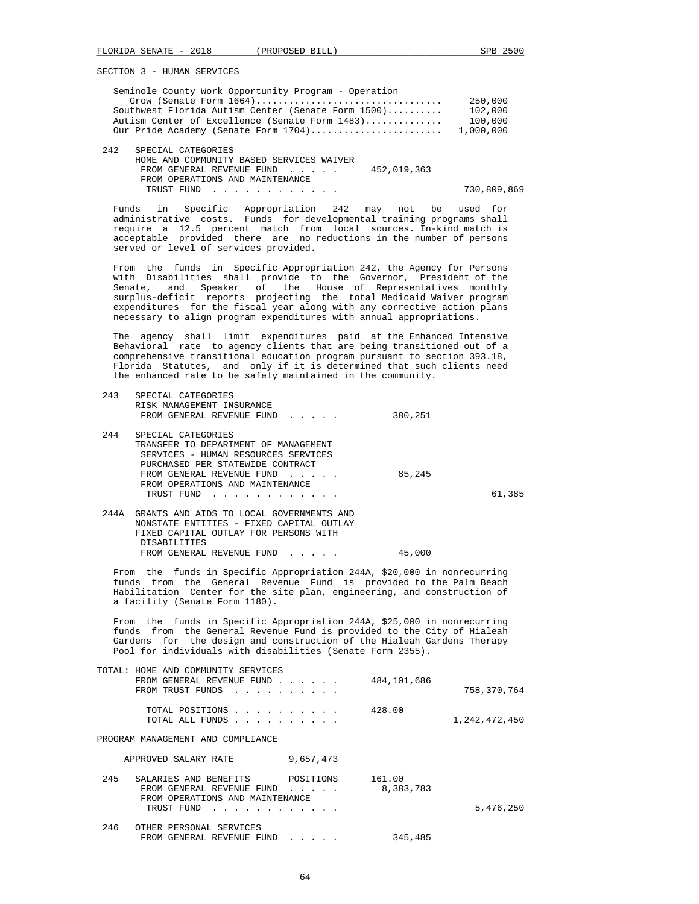|         | FLORIDA SENATE - 2018 (PROPOSED BILL)                                                                                                                                                                                                                                                                                                                                                    |                                                                                                                 |                                      | SPB 2500                                   |
|---------|------------------------------------------------------------------------------------------------------------------------------------------------------------------------------------------------------------------------------------------------------------------------------------------------------------------------------------------------------------------------------------------|-----------------------------------------------------------------------------------------------------------------|--------------------------------------|--------------------------------------------|
|         | SECTION 3 - HUMAN SERVICES                                                                                                                                                                                                                                                                                                                                                               |                                                                                                                 |                                      |                                            |
|         | Seminole County Work Opportunity Program - Operation<br>Southwest Florida Autism Center (Senate Form 1500)<br>Autism Center of Excellence (Senate Form 1483)<br>Our Pride Academy (Senate Form 1704)                                                                                                                                                                                     |                                                                                                                 |                                      | 250,000<br>102,000<br>100,000<br>1,000,000 |
| 242     | SPECIAL CATEGORIES<br>HOME AND COMMUNITY BASED SERVICES WAIVER<br>FROM GENERAL REVENUE FUND<br>FROM OPERATIONS AND MAINTENANCE<br>TRUST FUND                                                                                                                                                                                                                                             |                                                                                                                 | 452,019,363                          | 730,809,869                                |
|         | Funds in<br>administrative costs. Funds for developmental training programs shall<br>require a 12.5 percent match from local sources. In-kind match is<br>acceptable provided there are no reductions in the number of persons<br>served or level of services provided.                                                                                                                  | Specific Appropriation 242 may not be used for                                                                  |                                      |                                            |
| Senate, | From the funds in Specific Appropriation 242, the Agency for Persons<br>with Disabilities shall provide to the Governor, President of the<br>Speaker of<br>and<br>surplus-deficit reports projecting the total Medicaid Waiver program<br>expenditures for the fiscal year along with any corrective action plans<br>necessary to align program expenditures with annual appropriations. |                                                                                                                 | the House of Representatives monthly |                                            |
|         | The agency shall limit expenditures paid at the Enhanced Intensive<br>Behavioral rate to agency clients that are being transitioned out of a<br>comprehensive transitional education program pursuant to section 393.18,<br>Florida Statutes, and only if it is determined that such clients need<br>the enhanced rate to be safely maintained in the community.                         |                                                                                                                 |                                      |                                            |
| 243     | SPECIAL CATEGORIES<br>RISK MANAGEMENT INSURANCE<br>FROM GENERAL REVENUE FUND                                                                                                                                                                                                                                                                                                             |                                                                                                                 | 380,251                              |                                            |
| 244     | SPECIAL CATEGORIES<br>TRANSFER TO DEPARTMENT OF MANAGEMENT<br>SERVICES - HUMAN RESOURCES SERVICES<br>PURCHASED PER STATEWIDE CONTRACT<br>FROM GENERAL REVENUE FUND<br>FROM OPERATIONS AND MAINTENANCE<br>TRUST FUND                                                                                                                                                                      |                                                                                                                 | 85,245                               | 61,385                                     |
|         | 244A GRANTS AND AIDS TO LOCAL GOVERNMENTS AND<br>NONSTATE ENTITIES - FIXED CAPITAL OUTLAY<br>FIXED CAPITAL OUTLAY FOR PERSONS WITH<br>DISABILITIES<br>FROM GENERAL REVENUE FUND                                                                                                                                                                                                          | $\mathbf{r} = \mathbf{r} \times \mathbf{r}$ , where $\mathbf{r}$                                                | 45,000                               |                                            |
|         | From the funds in Specific Appropriation 244A, \$20,000 in nonrecurring<br>funds from the General Revenue Fund is provided to the Palm Beach<br>Habilitation Center for the site plan, engineering, and construction of<br>a facility (Senate Form 1180).                                                                                                                                |                                                                                                                 |                                      |                                            |
|         | From the funds in Specific Appropriation 244A, \$25,000 in nonrecurring<br>funds from the General Revenue Fund is provided to the City of Hialeah<br>Gardens for the design and construction of the Hialeah Gardens Therapy<br>Pool for individuals with disabilities (Senate Form 2355).                                                                                                |                                                                                                                 |                                      |                                            |
|         | TOTAL: HOME AND COMMUNITY SERVICES<br>FROM GENERAL REVENUE FUND<br>FROM TRUST FUNDS                                                                                                                                                                                                                                                                                                      | the contract of the contract of the contract of the contract of the contract of the contract of the contract of | 484,101,686                          | 758,370,764                                |
|         | TOTAL POSITIONS<br>TOTAL ALL FUNDS                                                                                                                                                                                                                                                                                                                                                       |                                                                                                                 | 428.00                               | 1,242,472,450                              |

PROGRAM MANAGEMENT AND COMPLIANCE

| APPROVED SALARY RATE |  | 9,657,473 |
|----------------------|--|-----------|
|                      |  |           |

| 245 | SALARIES AND BENEFITS<br>FROM GENERAL REVENUE FUND<br>FROM OPERATIONS AND MAINTENANCE<br>TRUST FUND | POSITIONS | 161.00<br>8,383,783 | 5,476,250 |
|-----|-----------------------------------------------------------------------------------------------------|-----------|---------------------|-----------|
| 246 | OTHER PERSONAL SERVICES<br>FROM GENERAL REVENUE FUND                                                |           | 345,485             |           |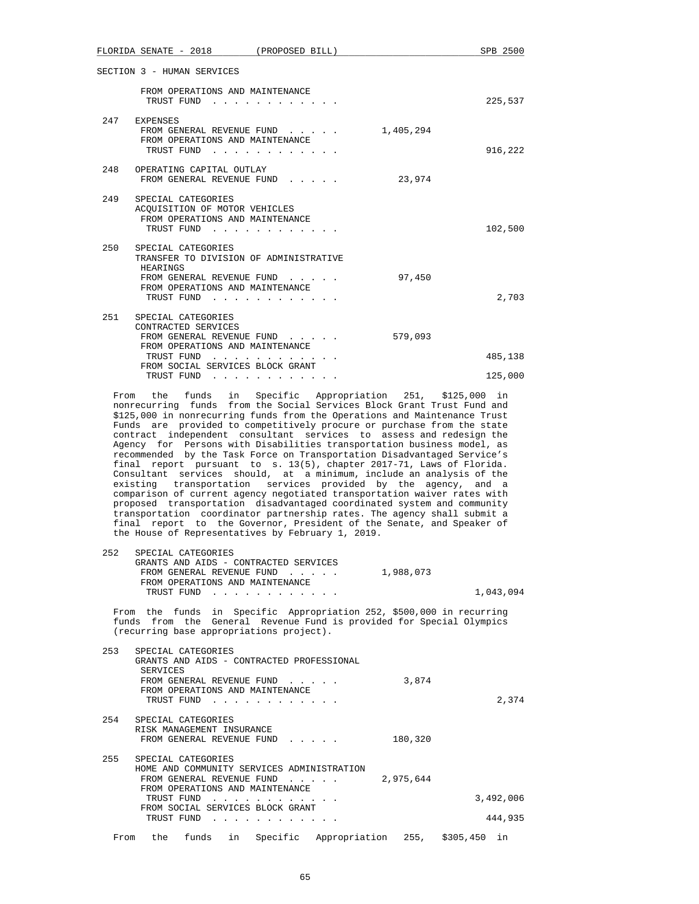|     | FLORIDA SENATE - 2018<br>(PROPOSED BILL)                                                                                                                                              |           | SPB 2500 |
|-----|---------------------------------------------------------------------------------------------------------------------------------------------------------------------------------------|-----------|----------|
|     | SECTION 3 - HUMAN SERVICES                                                                                                                                                            |           |          |
|     | FROM OPERATIONS AND MAINTENANCE<br>TRUST FUND<br>$\sim$ $\sim$ $\sim$ $\sim$ $\sim$                                                                                                   |           | 225,537  |
| 247 | EXPENSES<br>FROM GENERAL REVENUE FUND<br>$\cdots$ . The set of $\cdots$<br>FROM OPERATIONS AND MAINTENANCE<br>TRUST FUND<br>$\mathbf{r}$ , $\mathbf{r}$ , $\mathbf{r}$ , $\mathbf{r}$ | 1,405,294 | 916,222  |
| 248 | OPERATING CAPITAL OUTLAY<br>FROM GENERAL REVENUE FUND                                                                                                                                 | 23,974    |          |
| 249 | SPECIAL CATEGORIES<br>ACOUISITION OF MOTOR VEHICLES<br>FROM OPERATIONS AND MAINTENANCE<br>TRUST FUND                                                                                  |           | 102,500  |
| 250 | SPECIAL CATEGORIES<br>TRANSFER TO DIVISION OF ADMINISTRATIVE<br>HEARINGS<br>FROM GENERAL REVENUE FUND<br>FROM OPERATIONS AND MAINTENANCE<br>TRUST FUND<br>.                           | 97,450    | 2,703    |
| 251 | SPECIAL CATEGORIES<br>CONTRACTED SERVICES<br>FROM GENERAL REVENUE FUND<br>FROM OPERATIONS AND MAINTENANCE<br>TRUST FUND<br>FROM SOCIAL SERVICES BLOCK GRANT                           | 579,093   | 485,138  |
|     | TRUST FUND<br>$\mathbf{r}$ , $\mathbf{r}$ , $\mathbf{r}$ , $\mathbf{r}$ , $\mathbf{r}$                                                                                                |           | 125,000  |

 From the funds in Specific Appropriation 251, \$125,000 in nonrecurring funds from the Social Services Block Grant Trust Fund and \$125,000 in nonrecurring funds from the Operations and Maintenance Trust Funds are provided to competitively procure or purchase from the state contract independent consultant services to assess and redesign the Agency for Persons with Disabilities transportation business model, as recommended by the Task Force on Transportation Disadvantaged Service's final report pursuant to s. 13(5), chapter 2017-71, Laws of Florida. Consultant services should, at a minimum, include an analysis of the existing transportation services provided by the agency, and a comparison of current agency negotiated transportation waiver rates with proposed transportation disadvantaged coordinated system and community transportation coordinator partnership rates. The agency shall submit a final report to the Governor, President of the Senate, and Speaker of the House of Representatives by February 1, 2019.

| 252 | SPECIAL CATEGORIES |                                 |                                                                      |           |           |
|-----|--------------------|---------------------------------|----------------------------------------------------------------------|-----------|-----------|
|     |                    |                                 | GRANTS AND AIDS - CONTRACTED SERVICES                                |           |           |
|     |                    |                                 | FROM GENERAL REVENUE FUND                                            | 1,988,073 |           |
|     |                    | FROM OPERATIONS AND MAINTENANCE |                                                                      |           |           |
|     |                    |                                 | TRUST FUND                                                           |           | 1,043,094 |
|     |                    |                                 | From the funds in Specific Appropriation 252, \$500,000 in recurring |           |           |

 funds from the General Revenue Fund is provided for Special Olympics (recurring base appropriations project).

|           |           | GRANTS AND AIDS - CONTRACTED PROFESSIONAL                                                                                                                                                                                                                                                                                                                                                                                                                  | SPECIAL CATEGORIES                                           | SERVICES   | 253  |
|-----------|-----------|------------------------------------------------------------------------------------------------------------------------------------------------------------------------------------------------------------------------------------------------------------------------------------------------------------------------------------------------------------------------------------------------------------------------------------------------------------|--------------------------------------------------------------|------------|------|
|           | 3,874     | FROM GENERAL REVENUE FUND                                                                                                                                                                                                                                                                                                                                                                                                                                  |                                                              |            |      |
| 2,374     |           | and a series and a series and a                                                                                                                                                                                                                                                                                                                                                                                                                            | FROM OPERATIONS AND MAINTENANCE                              | TRUST FUND |      |
|           | 180,320   | FROM GENERAL REVENUE FUND                                                                                                                                                                                                                                                                                                                                                                                                                                  | SPECIAL CATEGORIES<br>RISK MANAGEMENT INSURANCE              |            | 254  |
|           |           | HOME AND COMMUNITY SERVICES ADMINISTRATION                                                                                                                                                                                                                                                                                                                                                                                                                 | SPECIAL CATEGORIES                                           |            | 255  |
|           | 2,975,644 | $\mathbf{r}$ and $\mathbf{r}$ and $\mathbf{r}$                                                                                                                                                                                                                                                                                                                                                                                                             | FROM GENERAL REVENUE FUND<br>FROM OPERATIONS AND MAINTENANCE |            |      |
| 3,492,006 |           | a construction of the construction of the construction of the construction of the construction of the construction of the construction of the construction of the construction of the construction of the construction of the                                                                                                                                                                                                                              | FROM SOCIAL SERVICES BLOCK GRANT                             | TRUST FUND |      |
| 444,935   |           | $\mathbf{1} \qquad \mathbf{1} \qquad \mathbf{1} \qquad \mathbf{1} \qquad \mathbf{1} \qquad \mathbf{1} \qquad \mathbf{1} \qquad \mathbf{1} \qquad \mathbf{1} \qquad \mathbf{1} \qquad \mathbf{1} \qquad \mathbf{1} \qquad \mathbf{1} \qquad \mathbf{1} \qquad \mathbf{1} \qquad \mathbf{1} \qquad \mathbf{1} \qquad \mathbf{1} \qquad \mathbf{1} \qquad \mathbf{1} \qquad \mathbf{1} \qquad \mathbf{1} \qquad \mathbf{1} \qquad \mathbf{1} \qquad \mathbf{$ |                                                              | TRUST FUND |      |
| in        |           | Appropriation 255, \$305,450<br>Specific                                                                                                                                                                                                                                                                                                                                                                                                                   | funds<br>in                                                  | the        | From |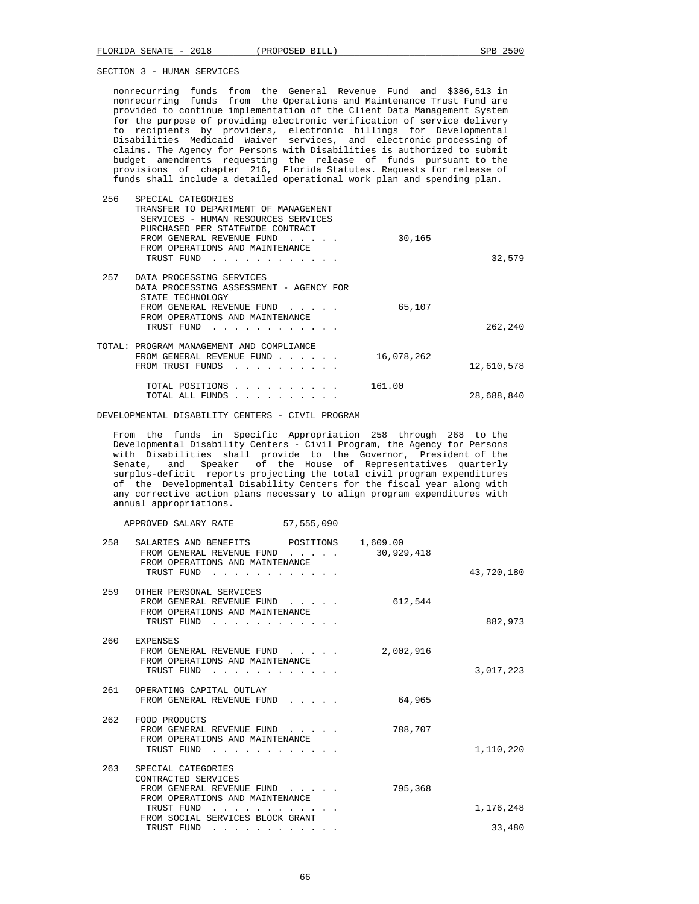nonrecurring funds from the General Revenue Fund and \$386,513 in nonrecurring funds from the Operations and Maintenance Trust Fund are provided to continue implementation of the Client Data Management System for the purpose of providing electronic verification of service delivery to recipients by providers, electronic billings for Developmental Disabilities Medicaid Waiver services, and electronic processing of claims. The Agency for Persons with Disabilities is authorized to submit budget amendments requesting the release of funds pursuant to the provisions of chapter 216, Florida Statutes. Requests for release of funds shall include a detailed operational work plan and spending plan.

| 32,579     | 30,165     | SPECIAL CATEGORIES<br>TRANSFER TO DEPARTMENT OF MANAGEMENT<br>SERVICES - HUMAN RESOURCES SERVICES<br>PURCHASED PER STATEWIDE CONTRACT<br>FROM GENERAL REVENUE FUND<br>FROM OPERATIONS AND MAINTENANCE<br>TRUST FUND |  |
|------------|------------|---------------------------------------------------------------------------------------------------------------------------------------------------------------------------------------------------------------------|--|
| 262,240    | 65,107     | DATA PROCESSING SERVICES<br>DATA PROCESSING ASSESSMENT - AGENCY FOR<br>STATE TECHNOLOGY<br>FROM GENERAL REVENUE FUND<br>FROM OPERATIONS AND MAINTENANCE<br>TRUST FUND                                               |  |
| 12,610,578 | 16,078,262 | TOTAL: PROGRAM MANAGEMENT AND COMPLIANCE<br>FROM GENERAL REVENUE FUND<br>the contract of the contract of the<br>FROM TRUST FUNDS                                                                                    |  |
| 28,688,840 | 161.00     | TOTAL POSITIONS<br>TOTAL ALL FUNDS                                                                                                                                                                                  |  |

DEVELOPMENTAL DISABILITY CENTERS - CIVIL PROGRAM

 From the funds in Specific Appropriation 258 through 268 to the Developmental Disability Centers - Civil Program, the Agency for Persons with Disabilities shall provide to the Governor, President of the Senate, and Speaker of the House of Representatives quarterly surplus-deficit reports projecting the total civil program expenditures of the Developmental Disability Centers for the fiscal year along with any corrective action plans necessary to align program expenditures with annual appropriations.

| APPROVED SALARY RATE | 57,555,090 |
|----------------------|------------|
|----------------------|------------|

| 43,720,180 | 1,609.00<br>30,929,418 | $\mathbf{r}$ , $\mathbf{r}$ , $\mathbf{r}$ , $\mathbf{r}$ , $\mathbf{r}$                                                                                                                                                       | SALARIES AND BENEFITS POSITIONS<br>FROM GENERAL REVENUE FUND<br>FROM OPERATIONS AND MAINTENANCE<br>TRUST FUND<br>. | 258 |
|------------|------------------------|--------------------------------------------------------------------------------------------------------------------------------------------------------------------------------------------------------------------------------|--------------------------------------------------------------------------------------------------------------------|-----|
| 882,973    | 612,544                | the contract of the contract of the contract of the contract of the contract of the contract of the contract of the contract of the contract of the contract of the contract of the contract of the contract of the contract o | OTHER PERSONAL SERVICES<br>FROM GENERAL REVENUE FUND<br>FROM OPERATIONS AND MAINTENANCE<br>TRUST FUND              | 259 |
| 3,017,223  | 2,002,916              |                                                                                                                                                                                                                                | <b>EXPENSES</b><br>FROM GENERAL REVENUE FUND<br>FROM OPERATIONS AND MAINTENANCE<br>TRUST FUND                      | 260 |
|            | 64,965                 | $1 - 1 - 1 - 1 = 1$                                                                                                                                                                                                            | OPERATING CAPITAL OUTLAY<br>FROM GENERAL REVENUE FUND                                                              | 261 |
| 1,110,220  | 788,707                |                                                                                                                                                                                                                                | FOOD PRODUCTS<br>FROM GENERAL REVENUE FUND<br>FROM OPERATIONS AND MAINTENANCE<br>TRUST FUND                        | 262 |
|            | 795,368                |                                                                                                                                                                                                                                | SPECIAL CATEGORIES<br>CONTRACTED SERVICES<br>FROM GENERAL REVENUE FUND<br>FROM OPERATIONS AND MAINTENANCE          | 263 |
| 1,176,248  |                        |                                                                                                                                                                                                                                | TRUST FUND<br>FROM SOCIAL SERVICES BLOCK GRANT                                                                     |     |
| 33,480     |                        | .                                                                                                                                                                                                                              | TRUST FUND                                                                                                         |     |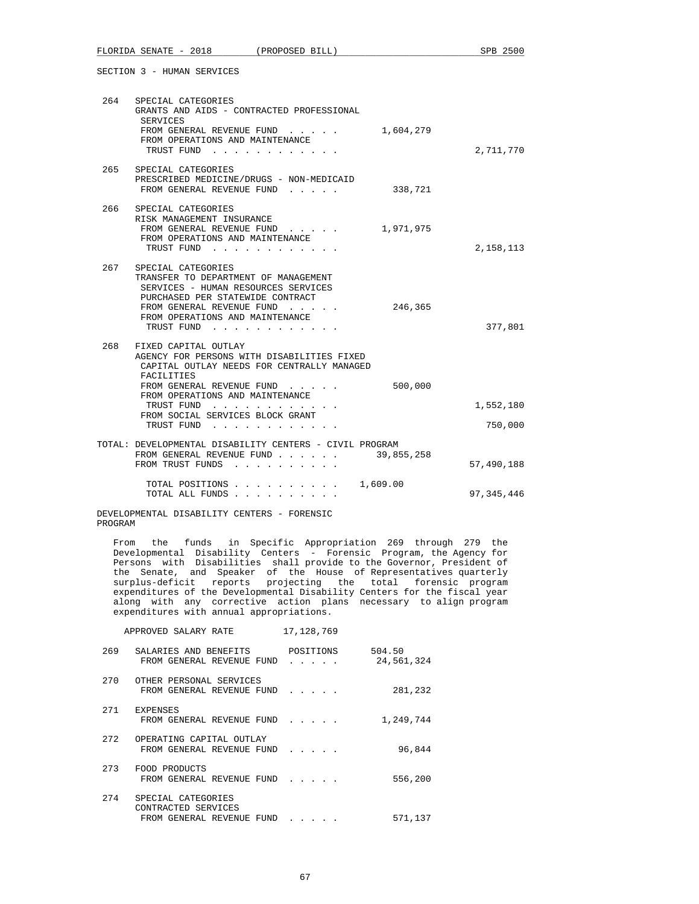| 264 | SPECIAL CATEGORIES<br>GRANTS AND AIDS - CONTRACTED PROFESSIONAL<br>SERVICES<br>FROM GENERAL REVENUE FUND<br>1,604,279<br>FROM OPERATIONS AND MAINTENANCE<br>TRUST FUND                                                                                                                                                       | 2,711,770            |
|-----|------------------------------------------------------------------------------------------------------------------------------------------------------------------------------------------------------------------------------------------------------------------------------------------------------------------------------|----------------------|
|     | 265 SPECIAL CATEGORIES<br>PRESCRIBED MEDICINE/DRUGS - NON-MEDICAID<br>338,721<br>FROM GENERAL REVENUE FUND<br>$\mathbf{r}$ and $\mathbf{r}$ and $\mathbf{r}$                                                                                                                                                                 |                      |
| 266 | SPECIAL CATEGORIES<br>RISK MANAGEMENT INSURANCE<br>FROM GENERAL REVENUE FUND<br>1,971,975<br>FROM OPERATIONS AND MAINTENANCE<br>TRUST FUND                                                                                                                                                                                   | 2,158,113            |
| 267 | SPECIAL CATEGORIES<br>TRANSFER TO DEPARTMENT OF MANAGEMENT<br>SERVICES - HUMAN RESOURCES SERVICES<br>PURCHASED PER STATEWIDE CONTRACT<br>246,365<br>FROM GENERAL REVENUE FUND<br>FROM OPERATIONS AND MAINTENANCE<br>TRUST FUND                                                                                               | 377,801              |
| 268 | FIXED CAPITAL OUTLAY<br>AGENCY FOR PERSONS WITH DISABILITIES FIXED<br>CAPITAL OUTLAY NEEDS FOR CENTRALLY MANAGED<br>FACILITIES<br>500,000<br>FROM GENERAL REVENUE FUND<br>FROM OPERATIONS AND MAINTENANCE<br>TRUST FUND<br>FROM SOCIAL SERVICES BLOCK GRANT<br>TRUST FUND<br>the contract of the contract of the contract of | 1,552,180<br>750,000 |
|     | TOTAL: DEVELOPMENTAL DISABILITY CENTERS - CIVIL PROGRAM<br>39,855,258<br>FROM GENERAL REVENUE FUND<br>FROM TRUST FUNDS                                                                                                                                                                                                       | 57,490,188           |
|     | 1,609.00<br>TOTAL POSITIONS<br>TOTAL ALL FUNDS                                                                                                                                                                                                                                                                               | 97, 345, 446         |

DEVELOPMENTAL DISABILITY CENTERS - FORENSIC PROGRAM

 From the funds in Specific Appropriation 269 through 279 the Developmental Disability Centers - Forensic Program, the Agency for Persons with Disabilities shall provide to the Governor, President of the Senate, and Speaker of the House of Representatives quarterly surplus-deficit reports projecting the total forensic program expenditures of the Developmental Disability Centers for the fiscal year along with any corrective action plans necessary to align program expenditures with annual appropriations.

|     | APPROVED SALARY RATE                                                   | 17, 128, 769   |                      |
|-----|------------------------------------------------------------------------|----------------|----------------------|
| 269 | SALARIES AND BENEFITS<br>FROM GENERAL REVENUE FUND                     | POSITIONS<br>. | 504.50<br>24,561,324 |
| 270 | OTHER PERSONAL SERVICES<br>FROM GENERAL REVENUE FUND                   | .              | 281,232              |
| 271 | <b>EXPENSES</b><br>FROM GENERAL REVENUE FUND                           | .              | 1,249,744            |
| 272 | OPERATING CAPITAL OUTLAY<br>FROM GENERAL REVENUE FUND                  | .              | 96,844               |
| 273 | FOOD PRODUCTS<br>FROM GENERAL REVENUE FUND                             | .              | 556,200              |
| 274 | SPECIAL CATEGORIES<br>CONTRACTED SERVICES<br>FROM GENERAL REVENUE FUND |                | 571,137              |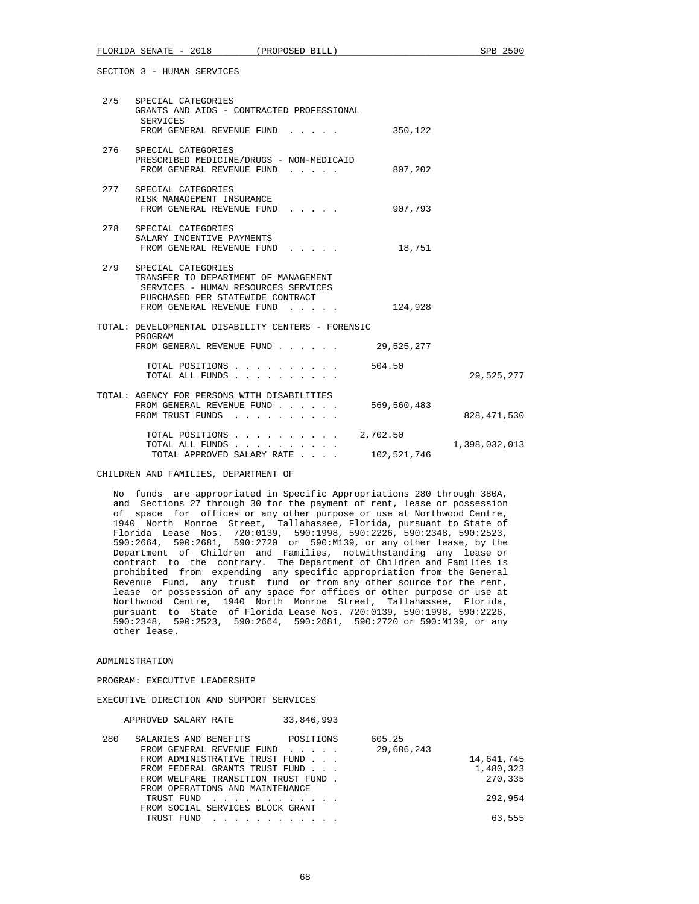| 275 | SPECIAL CATEGORIES<br>GRANTS AND AIDS - CONTRACTED PROFESSIONAL<br>SERVICES<br>FROM GENERAL REVENUE FUND                                                           | 350,122                 |               |
|-----|--------------------------------------------------------------------------------------------------------------------------------------------------------------------|-------------------------|---------------|
|     | 276 SPECIAL CATEGORIES<br>PRESCRIBED MEDICINE/DRUGS - NON-MEDICAID<br>FROM GENERAL REVENUE FUND                                                                    | 807,202                 |               |
|     | 277 SPECIAL CATEGORIES<br>RISK MANAGEMENT INSURANCE<br>FROM GENERAL REVENUE FUND                                                                                   | 907,793                 |               |
| 278 | SPECIAL CATEGORIES<br>SALARY INCENTIVE PAYMENTS<br>FROM GENERAL REVENUE FUND                                                                                       | 18,751                  |               |
| 279 | SPECIAL CATEGORIES<br>TRANSFER TO DEPARTMENT OF MANAGEMENT<br>SERVICES - HUMAN RESOURCES SERVICES<br>PURCHASED PER STATEWIDE CONTRACT<br>FROM GENERAL REVENUE FUND | 124,928                 |               |
|     | TOTAL: DEVELOPMENTAL DISABILITY CENTERS - FORENSIC<br>PROGRAM<br>FROM GENERAL REVENUE FUND                                                                         | 29,525,277              |               |
|     | TOTAL POSITIONS<br>TOTAL ALL FUNDS                                                                                                                                 | 504.50                  | 29,525,277    |
|     | TOTAL: AGENCY FOR PERSONS WITH DISABILITIES<br>FROM GENERAL REVENUE FUND<br>FROM TRUST FUNDS                                                                       | 569,560,483             | 828, 471, 530 |
|     | TOTAL POSITIONS<br>TOTAL ALL FUNDS<br>TOTAL APPROVED SALARY RATE                                                                                                   | 2,702.50<br>102,521,746 | 1,398,032,013 |

CHILDREN AND FAMILIES, DEPARTMENT OF

 No funds are appropriated in Specific Appropriations 280 through 380A, and Sections 27 through 30 for the payment of rent, lease or possession of space for offices or any other purpose or use at Northwood Centre, 1940 North Monroe Street, Tallahassee, Florida, pursuant to State of Florida Lease Nos. 720:0139, 590:1998, 590:2226, 590:2348, 590:2523, 590:2664, 590:2681, 590:2720 or 590:M139, or any other lease, by the Department of Children and Families, notwithstanding any lease or contract to the contrary. The Department of Children and Families is prohibited from expending any specific appropriation from the General Revenue Fund, any trust fund or from any other source for the rent, lease or possession of any space for offices or other purpose or use at Northwood Centre, 1940 North Monroe Street, Tallahassee, Florida, pursuant to State of Florida Lease Nos. 720:0139, 590:1998, 590:2226, 590:2348, 590:2523, 590:2664, 590:2681, 590:2720 or 590:M139, or any other lease.

## ADMINISTRATION

PROGRAM: EXECUTIVE LEADERSHIP

EXECUTIVE DIRECTION AND SUPPORT SERVICES

APPROVED SALARY RATE 33,846,993

| 280 | SALARIES AND BENEFITS POSITIONS                                                                                                                                                                                                                  | 605.25     |            |
|-----|--------------------------------------------------------------------------------------------------------------------------------------------------------------------------------------------------------------------------------------------------|------------|------------|
|     | FROM GENERAL REVENUE FUND<br>FROM ADMINISTRATIVE TRUST FUND                                                                                                                                                                                      | 29,686,243 | 14,641,745 |
|     | FROM FEDERAL GRANTS TRUST FUND                                                                                                                                                                                                                   |            | 1,480,323  |
|     | FROM WELFARE TRANSITION TRUST FUND.<br>FROM OPERATIONS AND MAINTENANCE                                                                                                                                                                           |            | 270,335    |
|     | TRUST FUND<br>$\mathcal{L}$ . The state of the state of the state of the state of the state of the state of the state of the state of the state of the state of the state of the state of the state of the state of the state of the state of th |            | 292,954    |
|     | FROM SOCIAL SERVICES BLOCK GRANT<br>TRUST FUND<br>and a series and a series and a                                                                                                                                                                |            | 63,555     |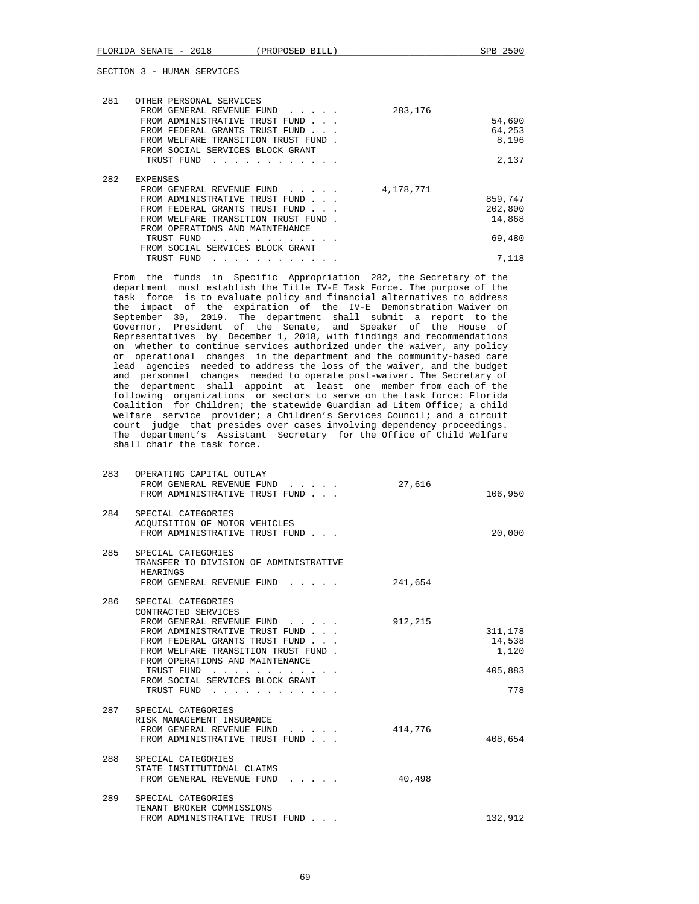| 281 | OTHER PERSONAL SERVICES                                                        |           |         |
|-----|--------------------------------------------------------------------------------|-----------|---------|
|     | FROM GENERAL REVENUE FUND                                                      | 283,176   |         |
|     | FROM ADMINISTRATIVE TRUST FUND                                                 |           | 54,690  |
|     | FROM FEDERAL GRANTS TRUST FUND                                                 |           | 64,253  |
|     | FROM WELFARE TRANSITION TRUST FUND                                             |           | 8,196   |
|     | FROM SOCIAL SERVICES BLOCK GRANT                                               |           |         |
|     | TRUST FUND                                                                     |           | 2,137   |
|     |                                                                                |           |         |
| 282 | <b>EXPENSES</b>                                                                |           |         |
|     | FROM GENERAL REVENUE FUND<br>$\mathbf{r}$ . The set of the set of $\mathbf{r}$ | 4,178,771 |         |
|     | FROM ADMINISTRATIVE TRUST FUND                                                 |           | 859,747 |
|     | FROM FEDERAL GRANTS TRUST FUND                                                 |           | 202,800 |
|     | FROM WELFARE TRANSITION TRUST FUND.                                            |           | 14,868  |
|     | FROM OPERATIONS AND MAINTENANCE                                                |           |         |
|     | TRUST FUND                                                                     |           | 69,480  |
|     | FROM SOCIAL SERVICES BLOCK GRANT                                               |           |         |
|     | TRUST FUND                                                                     |           | 7,118   |

 From the funds in Specific Appropriation 282, the Secretary of the department must establish the Title IV-E Task Force. The purpose of the task force is to evaluate policy and financial alternatives to address the impact of the expiration of the IV-E Demonstration Waiver on September 30, 2019. The department shall submit a report to the Governor, President of the Senate, and Speaker of the House of Representatives by December 1, 2018, with findings and recommendations on whether to continue services authorized under the waiver, any policy or operational changes in the department and the community-based care lead agencies needed to address the loss of the waiver, and the budget and personnel changes needed to operate post-waiver. The Secretary of the department shall appoint at least one member from each of the following organizations or sectors to serve on the task force: Florida Coalition for Children; the statewide Guardian ad Litem Office; a child welfare service provider; a Children's Services Council; and a circuit court judge that presides over cases involving dependency proceedings. The department's Assistant Secretary for the Office of Child Welfare shall chair the task force.

| 283 | OPERATING CAPITAL OUTLAY<br>FROM GENERAL REVENUE FUND<br>FROM ADMINISTRATIVE TRUST FUND                                                                                                                                                                                                                                                                                                                                                                                                                                   | 27,616  | 106,950                                      |
|-----|---------------------------------------------------------------------------------------------------------------------------------------------------------------------------------------------------------------------------------------------------------------------------------------------------------------------------------------------------------------------------------------------------------------------------------------------------------------------------------------------------------------------------|---------|----------------------------------------------|
| 284 | SPECIAL CATEGORIES<br>ACQUISITION OF MOTOR VEHICLES<br>FROM ADMINISTRATIVE TRUST FUND                                                                                                                                                                                                                                                                                                                                                                                                                                     |         | 20,000                                       |
| 285 | SPECIAL CATEGORIES<br>TRANSFER TO DIVISION OF ADMINISTRATIVE<br>HEARINGS<br>FROM GENERAL REVENUE FUND                                                                                                                                                                                                                                                                                                                                                                                                                     | 241,654 |                                              |
| 286 | SPECIAL CATEGORIES<br>CONTRACTED SERVICES<br>FROM GENERAL REVENUE FUND<br>FROM ADMINISTRATIVE TRUST FUND<br>FROM FEDERAL GRANTS TRUST FUND<br>FROM WELFARE TRANSITION TRUST FUND.<br>FROM OPERATIONS AND MAINTENANCE<br>TRUST FUND<br>$\mathbf{r}$ . The set of the set of the set of the set of the set of the set of the set of the set of the set of the set of the set of the set of the set of the set of the set of the set of the set of the set of the set of t<br>FROM SOCIAL SERVICES BLOCK GRANT<br>TRUST FUND | 912,215 | 311,178<br>14,538<br>1,120<br>405,883<br>778 |
| 287 | SPECIAL CATEGORIES<br>RISK MANAGEMENT INSURANCE<br>FROM GENERAL REVENUE FUND<br>FROM ADMINISTRATIVE TRUST FUND                                                                                                                                                                                                                                                                                                                                                                                                            | 414,776 | 408,654                                      |
| 288 | SPECIAL CATEGORIES<br>STATE INSTITUTIONAL CLAIMS<br>FROM GENERAL REVENUE FUND                                                                                                                                                                                                                                                                                                                                                                                                                                             | 40,498  |                                              |
| 289 | SPECIAL CATEGORIES<br>TENANT BROKER COMMISSIONS<br>FROM ADMINISTRATIVE TRUST FUND                                                                                                                                                                                                                                                                                                                                                                                                                                         |         | 132,912                                      |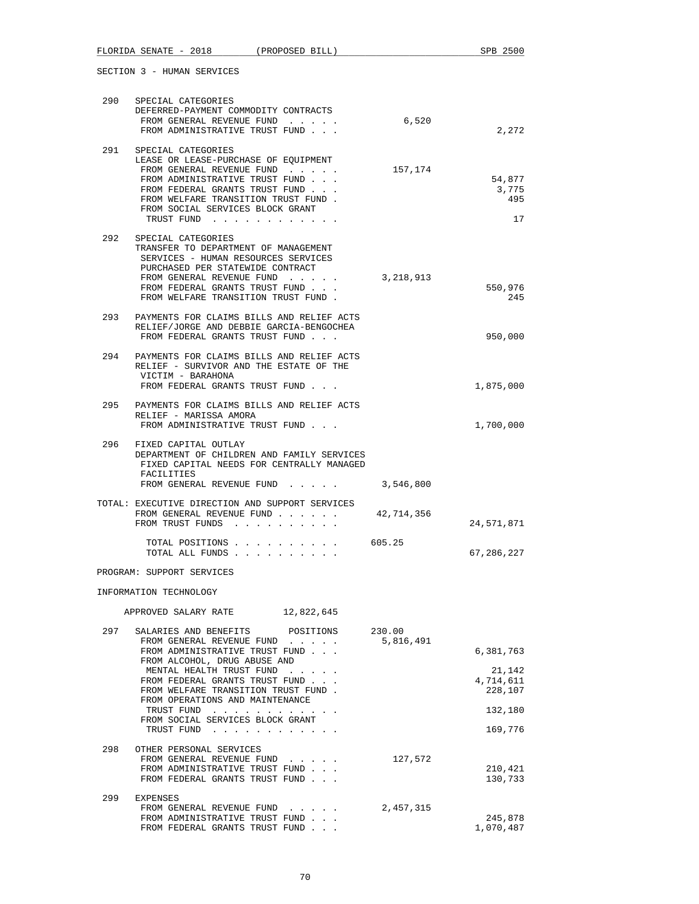| 290                    | SPECIAL CATEGORIES<br>DEFERRED-PAYMENT COMMODITY CONTRACTS<br>FROM GENERAL REVENUE FUND<br>FROM ADMINISTRATIVE TRUST FUND                                                                                                                            | 6,520                   | 2,272                          |  |  |
|------------------------|------------------------------------------------------------------------------------------------------------------------------------------------------------------------------------------------------------------------------------------------------|-------------------------|--------------------------------|--|--|
| 291                    | SPECIAL CATEGORIES<br>LEASE OR LEASE-PURCHASE OF EQUIPMENT<br>FROM GENERAL REVENUE FUND<br>FROM ADMINISTRATIVE TRUST FUND<br>FROM FEDERAL GRANTS TRUST FUND<br>FROM WELFARE TRANSITION TRUST FUND.<br>FROM SOCIAL SERVICES BLOCK GRANT<br>TRUST FUND | 157,174                 | 54,877<br>3,775<br>495<br>17   |  |  |
| 292                    | SPECIAL CATEGORIES<br>TRANSFER TO DEPARTMENT OF MANAGEMENT<br>SERVICES - HUMAN RESOURCES SERVICES<br>PURCHASED PER STATEWIDE CONTRACT<br>FROM GENERAL REVENUE FUND<br>FROM FEDERAL GRANTS TRUST FUND<br>FROM WELFARE TRANSITION TRUST FUND.          | 3,218,913               | 550,976<br>245                 |  |  |
| 293                    | PAYMENTS FOR CLAIMS BILLS AND RELIEF ACTS<br>RELIEF/JORGE AND DEBBIE GARCIA-BENGOCHEA<br>FROM FEDERAL GRANTS TRUST FUND                                                                                                                              |                         | 950,000                        |  |  |
| 294                    | PAYMENTS FOR CLAIMS BILLS AND RELIEF ACTS<br>RELIEF - SURVIVOR AND THE ESTATE OF THE<br>VICTIM - BARAHONA<br>FROM FEDERAL GRANTS TRUST FUND                                                                                                          |                         | 1,875,000                      |  |  |
| 295                    | PAYMENTS FOR CLAIMS BILLS AND RELIEF ACTS<br>RELIEF - MARISSA AMORA<br>FROM ADMINISTRATIVE TRUST FUND                                                                                                                                                |                         | 1,700,000                      |  |  |
| 296                    | FIXED CAPITAL OUTLAY<br>DEPARTMENT OF CHILDREN AND FAMILY SERVICES<br>FIXED CAPITAL NEEDS FOR CENTRALLY MANAGED<br>FACILITIES                                                                                                                        |                         |                                |  |  |
|                        | FROM GENERAL REVENUE FUND<br>TOTAL: EXECUTIVE DIRECTION AND SUPPORT SERVICES<br>FROM GENERAL REVENUE FUND<br>FROM TRUST FUNDS                                                                                                                        | 3,546,800<br>42,714,356 | 24,571,871                     |  |  |
|                        | TOTAL POSITIONS<br>TOTAL ALL FUNDS                                                                                                                                                                                                                   | 605.25                  | 67,286,227                     |  |  |
|                        | PROGRAM: SUPPORT SERVICES                                                                                                                                                                                                                            |                         |                                |  |  |
| INFORMATION TECHNOLOGY |                                                                                                                                                                                                                                                      |                         |                                |  |  |
|                        | 12,822,645<br>APPROVED SALARY RATE                                                                                                                                                                                                                   |                         |                                |  |  |
| 297                    | SALARIES AND BENEFITS<br>POSITIONS<br>FROM GENERAL REVENUE FUND<br>FROM ADMINISTRATIVE TRUST FUND                                                                                                                                                    | 230.00<br>5,816,491     | 6,381,763                      |  |  |
|                        | FROM ALCOHOL, DRUG ABUSE AND<br>MENTAL HEALTH TRUST FUND<br>$\cdots$<br>FROM FEDERAL GRANTS TRUST FUND<br>FROM WELFARE TRANSITION TRUST FUND.<br>FROM OPERATIONS AND MAINTENANCE                                                                     |                         | 21,142<br>4,714,611<br>228,107 |  |  |
|                        | TRUST FUND<br>FROM SOCIAL SERVICES BLOCK GRANT                                                                                                                                                                                                       |                         | 132,180                        |  |  |
|                        | TRUST FUND                                                                                                                                                                                                                                           |                         | 169,776                        |  |  |
| 298                    | OTHER PERSONAL SERVICES<br>FROM GENERAL REVENUE FUND<br>FROM ADMINISTRATIVE TRUST FUND<br>FROM FEDERAL GRANTS TRUST FUND                                                                                                                             | 127,572                 | 210,421<br>130,733             |  |  |
| 299                    | <b>EXPENSES</b><br>FROM GENERAL REVENUE FUND<br>$\mathbf{z} = \mathbf{z} + \mathbf{z} + \mathbf{z} + \mathbf{z} + \mathbf{z}$<br>FROM ADMINISTRATIVE TRUST FUND<br>FROM FEDERAL GRANTS TRUST FUND                                                    | 2,457,315               | 245,878<br>1,070,487           |  |  |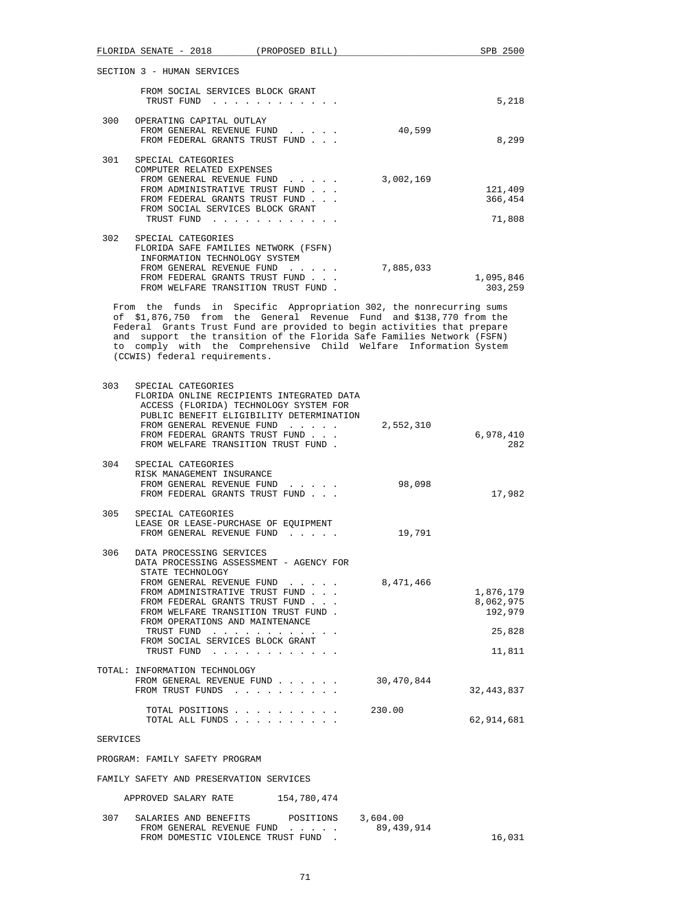|          | FLORIDA SENATE - 2018 (PROPOSED BILL)                                                                                                       | SPB 2500               |
|----------|---------------------------------------------------------------------------------------------------------------------------------------------|------------------------|
|          | SECTION 3 - HUMAN SERVICES                                                                                                                  |                        |
|          | FROM SOCIAL SERVICES BLOCK GRANT                                                                                                            |                        |
|          | TRUST FUND                                                                                                                                  | 5,218                  |
| 300      | OPERATING CAPITAL OUTLAY                                                                                                                    |                        |
|          | FROM GENERAL REVENUE FUND<br>40,599                                                                                                         |                        |
|          | FROM FEDERAL GRANTS TRUST FUND                                                                                                              | 8,299                  |
| 301      | SPECIAL CATEGORIES                                                                                                                          |                        |
|          | COMPUTER RELATED EXPENSES<br>FROM GENERAL REVENUE FUND<br>3,002,169                                                                         |                        |
|          | FROM ADMINISTRATIVE TRUST FUND                                                                                                              | 121,409                |
|          | FROM FEDERAL GRANTS TRUST FUND                                                                                                              | 366,454                |
|          | FROM SOCIAL SERVICES BLOCK GRANT<br>TRUST FUND                                                                                              | 71,808                 |
|          |                                                                                                                                             |                        |
| 302      | SPECIAL CATEGORIES<br>FLORIDA SAFE FAMILIES NETWORK (FSFN)                                                                                  |                        |
|          | INFORMATION TECHNOLOGY SYSTEM                                                                                                               |                        |
|          | FROM GENERAL REVENUE FUND 7,885,033<br>FROM FEDERAL GRANTS TRUST FUND                                                                       | 1,095,846              |
|          | FROM WELFARE TRANSITION TRUST FUND.                                                                                                         | 303,259                |
|          | From the funds in Specific Appropriation 302, the nonrecurring sums                                                                         |                        |
|          | of \$1,876,750 from the General Revenue Fund and \$138,770 from the                                                                         |                        |
|          | Federal Grants Trust Fund are provided to begin activities that prepare                                                                     |                        |
|          | and support the transition of the Florida Safe Families Network (FSFN)<br>to comply with the Comprehensive Child Welfare Information System |                        |
|          | (CCWIS) federal requirements.                                                                                                               |                        |
|          |                                                                                                                                             |                        |
| 303      | SPECIAL CATEGORIES                                                                                                                          |                        |
|          | FLORIDA ONLINE RECIPIENTS INTEGRATED DATA<br>ACCESS (FLORIDA) TECHNOLOGY SYSTEM FOR                                                         |                        |
|          | PUBLIC BENEFIT ELIGIBILITY DETERMINATION                                                                                                    |                        |
|          | FROM GENERAL REVENUE FUND<br>2,552,310                                                                                                      |                        |
|          | FROM FEDERAL GRANTS TRUST FUND<br>FROM WELFARE TRANSITION TRUST FUND.                                                                       | 6,978,410<br>282       |
| 304      | SPECIAL CATEGORIES                                                                                                                          |                        |
|          | RISK MANAGEMENT INSURANCE                                                                                                                   |                        |
|          | FROM GENERAL REVENUE FUND<br>98,098                                                                                                         |                        |
|          | FROM FEDERAL GRANTS TRUST FUND                                                                                                              | 17,982                 |
| 305      | SPECIAL CATEGORIES                                                                                                                          |                        |
|          | LEASE OR LEASE-PURCHASE OF EQUIPMENT<br>FROM GENERAL REVENUE FUND<br>19,791                                                                 |                        |
|          |                                                                                                                                             |                        |
| 306      | DATA PROCESSING SERVICES<br>DATA PROCESSING ASSESSMENT - AGENCY FOR                                                                         |                        |
|          | STATE TECHNOLOGY                                                                                                                            |                        |
|          | FROM GENERAL REVENUE FUND 8,471,466                                                                                                         |                        |
|          | FROM ADMINISTRATIVE TRUST FUND<br>FROM FEDERAL GRANTS TRUST FUND                                                                            | 1,876,179<br>8,062,975 |
|          | FROM WELFARE TRANSITION TRUST FUND.                                                                                                         | 192,979                |
|          | FROM OPERATIONS AND MAINTENANCE<br>TRUST FUND                                                                                               | 25,828                 |
|          | FROM SOCIAL SERVICES BLOCK GRANT                                                                                                            |                        |
|          | TRUST FUND                                                                                                                                  | 11,811                 |
|          | TOTAL: INFORMATION TECHNOLOGY                                                                                                               |                        |
|          | FROM GENERAL REVENUE FUND<br>30,470,844<br>FROM TRUST FUNDS                                                                                 | 32, 443, 837           |
|          |                                                                                                                                             |                        |
|          | TOTAL POSITIONS<br>230.00                                                                                                                   |                        |
|          | TOTAL ALL FUNDS                                                                                                                             | 62,914,681             |
| SERVICES |                                                                                                                                             |                        |
|          | PROGRAM: FAMILY SAFETY PROGRAM                                                                                                              |                        |
|          | FAMILY SAFETY AND PRESERVATION SERVICES                                                                                                     |                        |
|          | APPROVED SALARY RATE<br>154,780,474                                                                                                         |                        |
| 307      | SALARIES AND BENEFITS<br>3,604.00<br>POSITIONS                                                                                              |                        |
|          | 89, 439, 914<br>FROM GENERAL REVENUE FUND                                                                                                   |                        |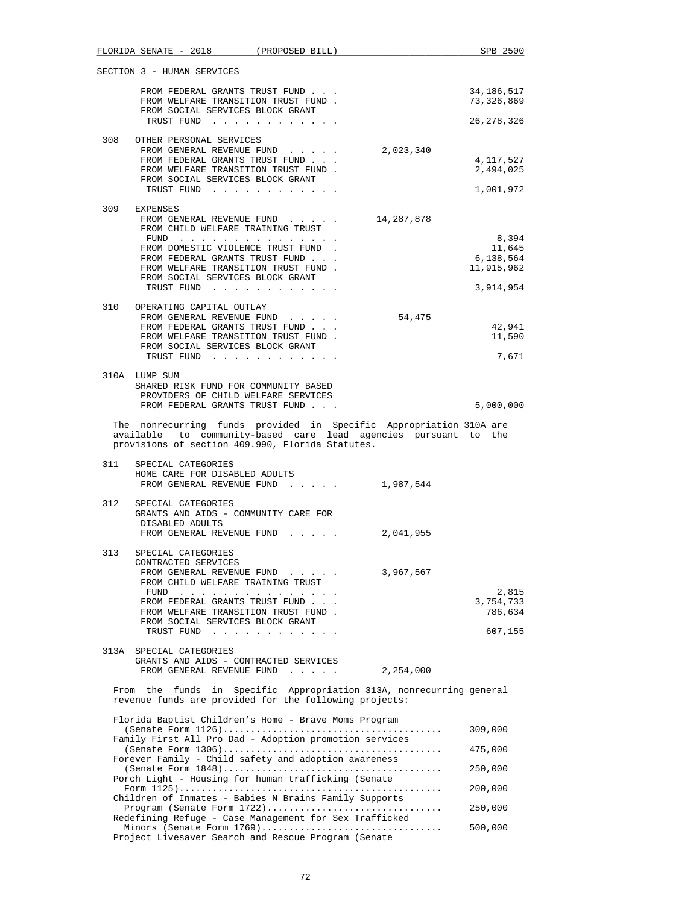|      |                                           | FLORIDA SENATE - 2018 (PROPOSED BILL)                                                                                                                         |                                                                                                                                       | SPB 2500                                       |
|------|-------------------------------------------|---------------------------------------------------------------------------------------------------------------------------------------------------------------|---------------------------------------------------------------------------------------------------------------------------------------|------------------------------------------------|
|      | SECTION 3 - HUMAN SERVICES                |                                                                                                                                                               |                                                                                                                                       |                                                |
|      |                                           | FROM FEDERAL GRANTS TRUST FUND<br>FROM WELFARE TRANSITION TRUST FUND.<br>FROM SOCIAL SERVICES BLOCK GRANT                                                     |                                                                                                                                       | 34,186,517<br>73,326,869                       |
|      |                                           | TRUST FUND                                                                                                                                                    |                                                                                                                                       | 26,278,326                                     |
| 308  | OTHER PERSONAL SERVICES                   | FROM GENERAL REVENUE FUND<br>FROM FEDERAL GRANTS TRUST FUND<br>FROM WELFARE TRANSITION TRUST FUND.<br>FROM SOCIAL SERVICES BLOCK GRANT<br>TRUST FUND          | 2,023,340                                                                                                                             | 4,117,527<br>2,494,025<br>1,001,972            |
| 309  | EXPENSES                                  |                                                                                                                                                               |                                                                                                                                       |                                                |
|      |                                           | FROM GENERAL REVENUE FUND<br>FROM CHILD WELFARE TRAINING TRUST<br>FUND                                                                                        | 14,287,878                                                                                                                            | 8,394                                          |
|      |                                           | FROM DOMESTIC VIOLENCE TRUST FUND.<br>FROM FEDERAL GRANTS TRUST FUND<br>FROM WELFARE TRANSITION TRUST FUND.<br>FROM SOCIAL SERVICES BLOCK GRANT<br>TRUST FUND |                                                                                                                                       | 11,645<br>6,138,564<br>11,915,962<br>3,914,954 |
|      | 310 OPERATING CAPITAL OUTLAY              |                                                                                                                                                               |                                                                                                                                       |                                                |
|      |                                           | FROM GENERAL REVENUE FUND<br>FROM FEDERAL GRANTS TRUST FUND                                                                                                   | 54,475                                                                                                                                | 42,941                                         |
|      |                                           | FROM WELFARE TRANSITION TRUST FUND.<br>FROM SOCIAL SERVICES BLOCK GRANT<br>TRUST FUND                                                                         |                                                                                                                                       | 11,590<br>7,671                                |
|      | 310A LUMP SUM                             |                                                                                                                                                               |                                                                                                                                       |                                                |
|      |                                           | SHARED RISK FUND FOR COMMUNITY BASED<br>PROVIDERS OF CHILD WELFARE SERVICES<br>FROM FEDERAL GRANTS TRUST FUND                                                 |                                                                                                                                       | 5,000,000                                      |
|      |                                           | provisions of section 409.990, Florida Statutes.                                                                                                              | The nonrecurring funds provided in Specific Appropriation 310A are<br>available to community-based care lead agencies pursuant to the |                                                |
| 311  | SPECIAL CATEGORIES                        |                                                                                                                                                               |                                                                                                                                       |                                                |
|      | HOME CARE FOR DISABLED ADULTS             | FROM GENERAL REVENUE FUND                                                                                                                                     | 1,987,544                                                                                                                             |                                                |
| 312  | SPECIAL CATEGORIES<br>DISABLED ADULTS     | GRANTS AND AIDS - COMMUNITY CARE FOR                                                                                                                          |                                                                                                                                       |                                                |
|      | FROM GENERAL REVENUE FUND                 |                                                                                                                                                               | 2,041,955                                                                                                                             |                                                |
| 313  | SPECIAL CATEGORIES<br>CONTRACTED SERVICES | FROM GENERAL REVENUE FUND<br>FROM CHILD WELFARE TRAINING TRUST                                                                                                | 3,967,567                                                                                                                             |                                                |
|      |                                           | FUND<br>FROM FEDERAL GRANTS TRUST FUND<br>FROM WELFARE TRANSITION TRUST FUND.                                                                                 |                                                                                                                                       | 2,815<br>3,754,733<br>786,634                  |
|      |                                           | FROM SOCIAL SERVICES BLOCK GRANT<br>TRUST FUND                                                                                                                |                                                                                                                                       | 607,155                                        |
| 313A | SPECIAL CATEGORIES                        | GRANTS AND AIDS - CONTRACTED SERVICES<br>FROM GENERAL REVENUE FUND                                                                                            | 2,254,000                                                                                                                             |                                                |
|      |                                           | revenue funds are provided for the following projects:                                                                                                        | From the funds in Specific Appropriation 313A, nonrecurring general                                                                   |                                                |
|      |                                           | Florida Baptist Children's Home - Brave Moms Program                                                                                                          |                                                                                                                                       |                                                |
|      |                                           | Family First All Pro Dad - Adoption promotion services                                                                                                        |                                                                                                                                       | 309,000                                        |
|      |                                           | Forever Family - Child safety and adoption awareness                                                                                                          |                                                                                                                                       | 475,000                                        |
|      |                                           | Porch Light - Housing for human trafficking (Senate                                                                                                           |                                                                                                                                       | 250,000                                        |
|      |                                           | Children of Inmates - Babies N Brains Family Supports                                                                                                         |                                                                                                                                       | 200,000                                        |
|      |                                           | Program (Senate Form 1722)<br>Redefining Refuge - Case Management for Sex Trafficked                                                                          |                                                                                                                                       | 250,000                                        |
|      |                                           | Minors (Senate Form 1769)<br>Project Livesaver Search and Rescue Program (Senate                                                                              |                                                                                                                                       | 500,000                                        |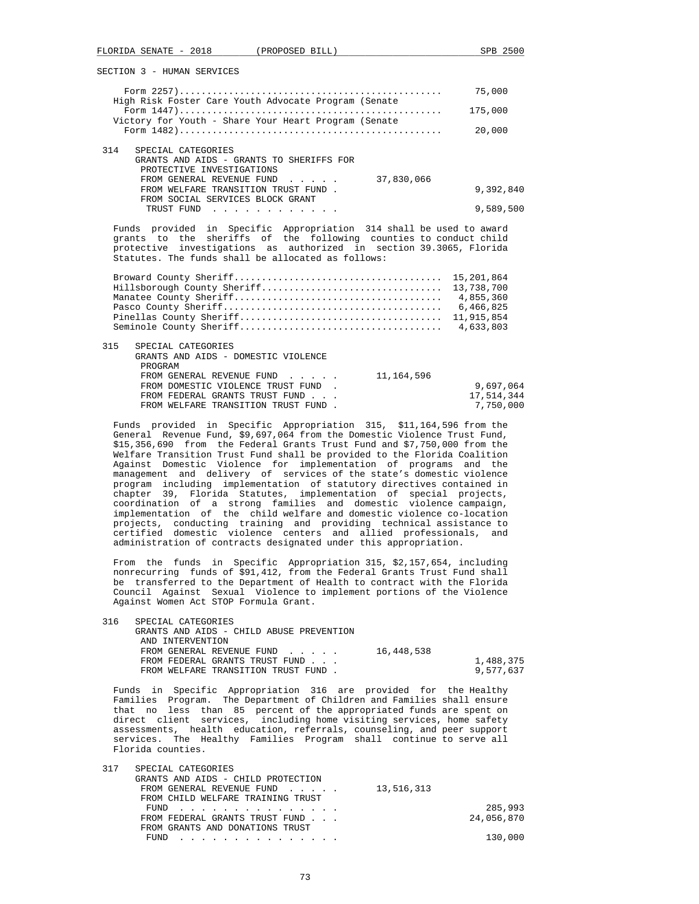|                                                                                                              | 75,000    |
|--------------------------------------------------------------------------------------------------------------|-----------|
| High Risk Foster Care Youth Advocate Program (Senate<br>Victory for Youth - Share Your Heart Program (Senate | 175,000   |
|                                                                                                              | 20,000    |
| 314<br>SPECIAL CATEGORIES                                                                                    |           |
| GRANTS AND AIDS - GRANTS TO SHERIFFS FOR                                                                     |           |
| PROTECTIVE INVESTIGATIONS                                                                                    |           |
| 37,830,066<br>FROM GENERAL REVENUE FUND                                                                      |           |
| FROM WELFARE TRANSITION TRUST FUND.                                                                          | 9,392,840 |
| FROM SOCIAL SERVICES BLOCK GRANT                                                                             |           |
| TRUST FUND                                                                                                   | 9,589,500 |
|                                                                                                              |           |

 Funds provided in Specific Appropriation 314 shall be used to award grants to the sheriffs of the following counties to conduct child protective investigations as authorized in section 39.3065, Florida Statutes. The funds shall be allocated as follows:

| 315 | SPECIAL CATEGORIES                  |            |
|-----|-------------------------------------|------------|
|     | GRANTS AND AIDS - DOMESTIC VIOLENCE |            |
|     | PROGRAM                             |            |
|     | FROM GENERAL REVENUE FUND           | 11,164,596 |
|     | FROM DOMESTIC VIOLENCE TRUST FUND.  | 9,697,064  |
|     | FROM FEDERAL GRANTS TRUST FUND      | 17,514,344 |
|     | FROM WELFARE TRANSITION TRUST FUND. | 7,750,000  |
|     |                                     |            |

 Funds provided in Specific Appropriation 315, \$11,164,596 from the General Revenue Fund, \$9,697,064 from the Domestic Violence Trust Fund, \$15,356,690 from the Federal Grants Trust Fund and \$7,750,000 from the Welfare Transition Trust Fund shall be provided to the Florida Coalition Against Domestic Violence for implementation of programs and the management and delivery of services of the state's domestic violence program including implementation of statutory directives contained in chapter 39, Florida Statutes, implementation of special projects, coordination of a strong families and domestic violence campaign, implementation of the child welfare and domestic violence co-location projects, conducting training and providing technical assistance to certified domestic violence centers and allied professionals, and administration of contracts designated under this appropriation.

 From the funds in Specific Appropriation 315, \$2,157,654, including nonrecurring funds of \$91,412, from the Federal Grants Trust Fund shall be transferred to the Department of Health to contract with the Florida Council Against Sexual Violence to implement portions of the Violence Against Women Act STOP Formula Grant.

| 316 | SPECIAL CATEGORIES<br>GRANTS AND AIDS - CHILD ABUSE PREVENTION |            |           |
|-----|----------------------------------------------------------------|------------|-----------|
|     | AND INTERVENTION                                               |            |           |
|     | FROM GENERAL REVENUE FUND                                      | 16,448,538 |           |
|     | FROM FEDERAL GRANTS TRUST FUND                                 |            | 1,488,375 |
|     | FROM WELFARE TRANSITION TRUST FUND.                            |            | 9,577,637 |

 Funds in Specific Appropriation 316 are provided for the Healthy Families Program. The Department of Children and Families shall ensure that no less than 85 percent of the appropriated funds are spent on direct client services, including home visiting services, home safety assessments, health education, referrals, counseling, and peer support services. The Healthy Families Program shall continue to serve all Florida counties.

| 317 | SPECIAL CATEGORIES                   |            |
|-----|--------------------------------------|------------|
|     | GRANTS AND AIDS - CHILD PROTECTION   |            |
|     | FROM GENERAL REVENUE FUND 13,516,313 |            |
|     | FROM CHILD WELFARE TRAINING TRUST    |            |
|     | FUND<br><u>.</u>                     | 285,993    |
|     | FROM FEDERAL GRANTS TRUST FUND       | 24,056,870 |
|     | FROM GRANTS AND DONATIONS TRUST      |            |
|     | FIJND.<br>.                          | 130,000    |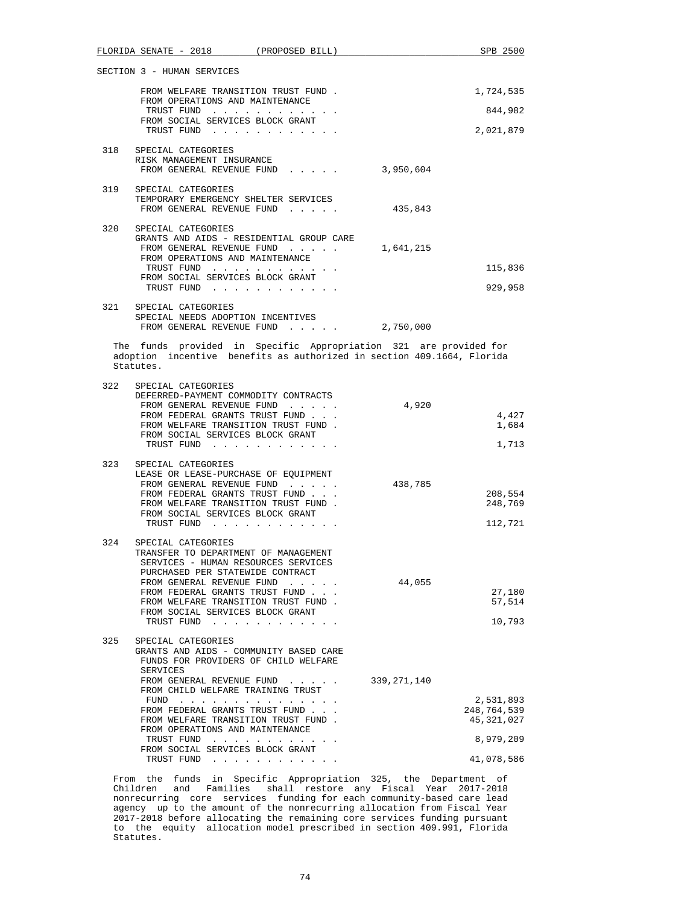|     | FLORIDA SENATE - 2018 (PROPOSED BILL)                                                                                                                                                                                                                                                                                                                                  |                                                                                                                 |               | SPB 2500                                                          |
|-----|------------------------------------------------------------------------------------------------------------------------------------------------------------------------------------------------------------------------------------------------------------------------------------------------------------------------------------------------------------------------|-----------------------------------------------------------------------------------------------------------------|---------------|-------------------------------------------------------------------|
|     | SECTION 3 - HUMAN SERVICES                                                                                                                                                                                                                                                                                                                                             |                                                                                                                 |               |                                                                   |
|     | FROM WELFARE TRANSITION TRUST FUND.<br>FROM OPERATIONS AND MAINTENANCE                                                                                                                                                                                                                                                                                                 |                                                                                                                 |               | 1,724,535                                                         |
|     | TRUST FUND                                                                                                                                                                                                                                                                                                                                                             |                                                                                                                 |               | 844,982                                                           |
|     | FROM SOCIAL SERVICES BLOCK GRANT<br>TRUST FUND                                                                                                                                                                                                                                                                                                                         |                                                                                                                 |               | 2,021,879                                                         |
|     | 318 SPECIAL CATEGORIES<br>RISK MANAGEMENT INSURANCE<br>FROM GENERAL REVENUE FUND 3,950,604                                                                                                                                                                                                                                                                             |                                                                                                                 |               |                                                                   |
|     | 319 SPECIAL CATEGORIES<br>TEMPORARY EMERGENCY SHELTER SERVICES<br>FROM GENERAL REVENUE FUND                                                                                                                                                                                                                                                                            |                                                                                                                 | 435,843       |                                                                   |
|     |                                                                                                                                                                                                                                                                                                                                                                        |                                                                                                                 |               |                                                                   |
| 320 | SPECIAL CATEGORIES<br>GRANTS AND AIDS - RESIDENTIAL GROUP CARE<br>FROM GENERAL REVENUE FUND<br>FROM OPERATIONS AND MAINTENANCE<br>TRUST FUND                                                                                                                                                                                                                           |                                                                                                                 | 1,641,215     | 115,836                                                           |
|     | FROM SOCIAL SERVICES BLOCK GRANT<br>TRUST FUND                                                                                                                                                                                                                                                                                                                         |                                                                                                                 |               | 929,958                                                           |
|     | 321 SPECIAL CATEGORIES<br>SPECIAL NEEDS ADOPTION INCENTIVES<br>FROM GENERAL REVENUE FUND 2,750,000                                                                                                                                                                                                                                                                     |                                                                                                                 |               |                                                                   |
|     | The funds provided in Specific Appropriation 321 are provided for<br>adoption incentive benefits as authorized in section 409.1664, Florida<br>Statutes.                                                                                                                                                                                                               |                                                                                                                 |               |                                                                   |
| 322 | SPECIAL CATEGORIES<br>DEFERRED-PAYMENT COMMODITY CONTRACTS<br>FROM GENERAL REVENUE FUND<br>FROM FEDERAL GRANTS TRUST FUND<br>FROM WELFARE TRANSITION TRUST FUND.<br>FROM SOCIAL SERVICES BLOCK GRANT<br>TRUST FUND                                                                                                                                                     |                                                                                                                 | 4,920         | 4,427<br>1,684<br>1,713                                           |
| 323 | SPECIAL CATEGORIES<br>LEASE OR LEASE-PURCHASE OF EQUIPMENT<br>FROM GENERAL REVENUE FUND<br>FROM FEDERAL GRANTS TRUST FUND<br>FROM WELFARE TRANSITION TRUST FUND.<br>FROM SOCIAL SERVICES BLOCK GRANT<br>TRUST FUND                                                                                                                                                     |                                                                                                                 | 438,785       | 208,554<br>248,769<br>112,721                                     |
| 324 | SPECIAL CATEGORIES<br>TRANSFER TO DEPARTMENT OF MANAGEMENT<br>SERVICES - HUMAN RESOURCES SERVICES<br>PURCHASED PER STATEWIDE CONTRACT<br>FROM GENERAL REVENUE FUND<br>FROM FEDERAL GRANTS TRUST FUND<br>FROM WELFARE TRANSITION TRUST FUND.<br>FROM SOCIAL SERVICES BLOCK GRANT<br>TRUST FUND                                                                          | and a state of the                                                                                              | 44,055        | 27,180<br>57,514<br>10,793                                        |
| 325 | SPECIAL CATEGORIES<br>GRANTS AND AIDS - COMMUNITY BASED CARE<br>FUNDS FOR PROVIDERS OF CHILD WELFARE<br>SERVICES<br>FROM GENERAL REVENUE FUND<br>FROM CHILD WELFARE TRAINING TRUST<br>FUND<br>FROM FEDERAL GRANTS TRUST FUND<br>FROM WELFARE TRANSITION TRUST FUND.<br>FROM OPERATIONS AND MAINTENANCE<br>TRUST FUND<br>FROM SOCIAL SERVICES BLOCK GRANT<br>TRUST FUND | the contract of the contract of the contract of the contract of the contract of the contract of the contract of | 339, 271, 140 | 2,531,893<br>248,764,539<br>45,321,027<br>8,979,209<br>41,078,586 |

 From the funds in Specific Appropriation 325, the Department of Children and Families shall restore any Fiscal Year 2017-2018 nonrecurring core services funding for each community-based care lead agency up to the amount of the nonrecurring allocation from Fiscal Year 2017-2018 before allocating the remaining core services funding pursuant to the equity allocation model prescribed in section 409.991, Florida Statutes.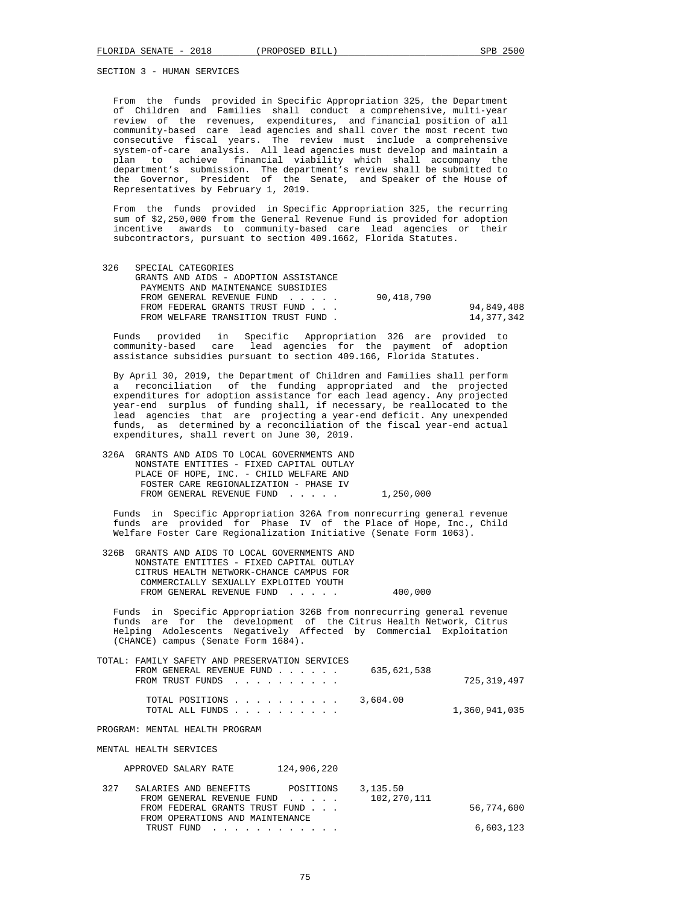From the funds provided in Specific Appropriation 325, the Department of Children and Families shall conduct a comprehensive, multi-year review of the revenues, expenditures, and financial position of all community-based care lead agencies and shall cover the most recent two consecutive fiscal years. The review must include a comprehensive system-of-care analysis. All lead agencies must develop and maintain a plan to achieve financial viability which shall accompany the department's submission. The department's review shall be submitted to the Governor, President of the Senate, and Speaker of the House of Representatives by February 1, 2019.

 From the funds provided in Specific Appropriation 325, the recurring sum of \$2,250,000 from the General Revenue Fund is provided for adoption incentive awards to community-based care lead agencies or their subcontractors, pursuant to section 409.1662, Florida Statutes.

| 326 | SPECIAL CATEGORIES                    |            |            |
|-----|---------------------------------------|------------|------------|
|     | GRANTS AND AIDS - ADOPTION ASSISTANCE |            |            |
|     | PAYMENTS AND MAINTENANCE SUBSIDIES    |            |            |
|     | FROM GENERAL REVENUE FUND             | 90,418,790 |            |
|     | FROM FEDERAL GRANTS TRUST FUND        |            | 94,849,408 |
|     | FROM WELFARE TRANSITION TRUST FUND.   |            | 14,377,342 |
|     |                                       |            |            |

 Funds provided in Specific Appropriation 326 are provided to community-based care lead agencies for the payment of adoption assistance subsidies pursuant to section 409.166, Florida Statutes.

 By April 30, 2019, the Department of Children and Families shall perform a reconciliation of the funding appropriated and the projected expenditures for adoption assistance for each lead agency. Any projected year-end surplus of funding shall, if necessary, be reallocated to the lead agencies that are projecting a year-end deficit. Any unexpended funds, as determined by a reconciliation of the fiscal year-end actual expenditures, shall revert on June 30, 2019.

| NONSTATE ENTITIES - FIXED CAPITAL OUTLAY |                                               |
|------------------------------------------|-----------------------------------------------|
| PLACE OF HOPE, INC. - CHILD WELFARE AND  |                                               |
| FOSTER CARE REGIONALIZATION - PHASE IV   |                                               |
| FROM GENERAL REVENUE FUND                | 1,250,000                                     |
|                                          | 326A GRANTS AND AIDS TO LOCAL GOVERNMENTS AND |

 Funds in Specific Appropriation 326A from nonrecurring general revenue funds are provided for Phase IV of the Place of Hope, Inc., Child Welfare Foster Care Regionalization Initiative (Senate Form 1063).

|  | 326B GRANTS AND AIDS TO LOCAL GOVERNMENTS AND |         |  |
|--|-----------------------------------------------|---------|--|
|  | NONSTATE ENTITIES - FIXED CAPITAL OUTLAY      |         |  |
|  | CITRUS HEALTH NETWORK-CHANCE CAMPUS FOR       |         |  |
|  | COMMERCIALLY SEXUALLY EXPLOITED YOUTH         |         |  |
|  | FROM GENERAL REVENUE FUND                     | 400,000 |  |
|  |                                               |         |  |

 Funds in Specific Appropriation 326B from nonrecurring general revenue funds are for the development of the Citrus Health Network, Citrus Helping Adolescents Negatively Affected by Commercial Exploitation (CHANCE) campus (Senate Form 1684).

| TOTAL: FAMILY SAFETY AND PRESERVATION SERVICES<br>FROM GENERAL REVENUE FUND $\ldots$ $\ldots$ 635,621,538<br>FROM TRUST FUNDS | 725,319,497   |
|-------------------------------------------------------------------------------------------------------------------------------|---------------|
| TOTAL POSITIONS $\ldots$ , , , , , , , , 3,604.00<br>TOTAL ALL FUNDS                                                          | 1,360,941,035 |

PROGRAM: MENTAL HEALTH PROGRAM

MENTAL HEALTH SERVICES

APPROVED SALARY RATE 124,906,220

| 327 | SALARIES AND BENEFITS           | POSITIONS | 3,135.50    |            |
|-----|---------------------------------|-----------|-------------|------------|
|     | FROM GENERAL REVENUE FUND       |           | 102,270,111 |            |
|     | FROM FEDERAL GRANTS TRUST FUND  |           |             | 56,774,600 |
|     | FROM OPERATIONS AND MAINTENANCE |           |             |            |
|     | TRUST FUND                      |           |             | 6,603,123  |
|     |                                 |           |             |            |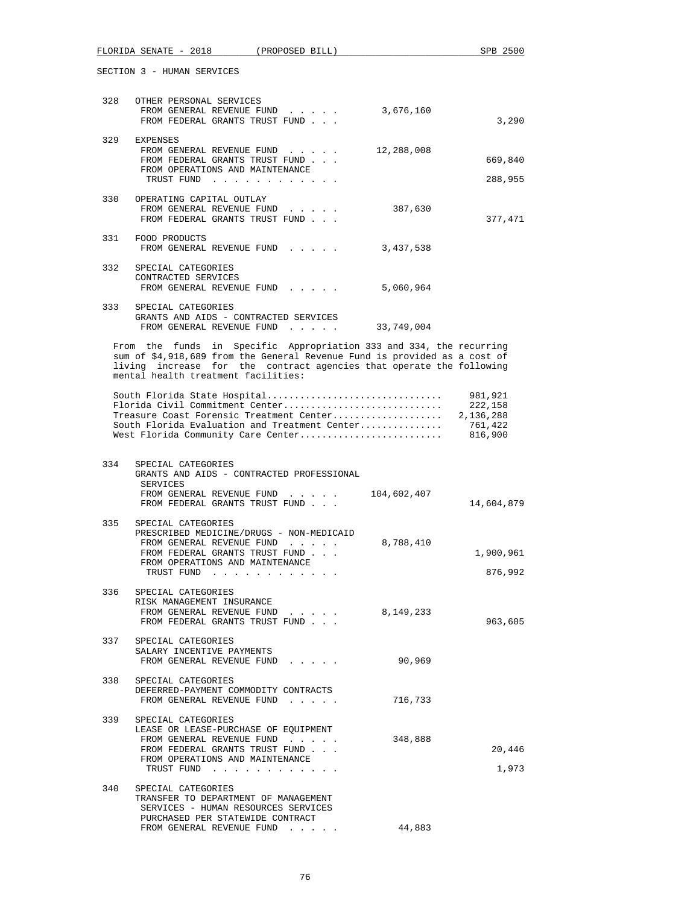|     | FLORIDA SENATE - 2018                                                                                                                                                                                                                                           | (PROPOSED BILL)                 |                    | SPB 2500                                              |
|-----|-----------------------------------------------------------------------------------------------------------------------------------------------------------------------------------------------------------------------------------------------------------------|---------------------------------|--------------------|-------------------------------------------------------|
|     | SECTION 3 - HUMAN SERVICES                                                                                                                                                                                                                                      |                                 |                    |                                                       |
| 328 | OTHER PERSONAL SERVICES<br>FROM GENERAL REVENUE FUND<br>FROM FEDERAL GRANTS TRUST FUND                                                                                                                                                                          |                                 | 3,676,160          | 3,290                                                 |
|     | 329 EXPENSES<br>FROM GENERAL REVENUE FUND<br>FROM FEDERAL GRANTS TRUST FUND<br>FROM OPERATIONS AND MAINTENANCE<br>TRUST FUND                                                                                                                                    |                                 | 12,288,008         | 669,840<br>288,955                                    |
| 330 | OPERATING CAPITAL OUTLAY<br>FROM GENERAL REVENUE FUND<br>FROM FEDERAL GRANTS TRUST FUND                                                                                                                                                                         |                                 | 387,630            | 377,471                                               |
|     | 331 FOOD PRODUCTS<br>FROM GENERAL REVENUE FUND                                                                                                                                                                                                                  |                                 | 3,437,538          |                                                       |
| 332 | SPECIAL CATEGORIES<br>CONTRACTED SERVICES<br>FROM GENERAL REVENUE FUND                                                                                                                                                                                          |                                 | 5,060,964          |                                                       |
| 333 | SPECIAL CATEGORIES<br>GRANTS AND AIDS - CONTRACTED SERVICES<br>FROM GENERAL REVENUE FUND 33,749,004                                                                                                                                                             |                                 |                    |                                                       |
|     | From the funds in Specific Appropriation 333 and 334, the recurring<br>sum of \$4,918,689 from the General Revenue Fund is provided as a cost of<br>living increase for the contract agencies that operate the following<br>mental health treatment facilities: |                                 |                    |                                                       |
|     | South Florida State Hospital<br>Florida Civil Commitment Center<br>Treasure Coast Forensic Treatment Center<br>South Florida Evaluation and Treatment Center<br>West Florida Community Care Center                                                              |                                 |                    | 981,921<br>222,158<br>2,136,288<br>761,422<br>816,900 |
| 334 | SPECIAL CATEGORIES<br>GRANTS AND AIDS - CONTRACTED PROFESSIONAL<br>SERVICES<br>FROM GENERAL REVENUE FUND<br>FROM FEDERAL GRANTS TRUST FUND                                                                                                                      | and a state of the state of the | 104,602,407        | 14,604,879                                            |
| 335 | SPECIAL CATEGORIES<br>PRESCRIBED MEDICINE/DRUGS - NON-MEDICAID<br>FROM GENERAL REVENUE FUND<br>FROM FEDERAL GRANTS TRUST FUND<br>FROM OPERATIONS AND MAINTENANCE<br>TRUST FUND                                                                                  |                                 | 8,788,410          | 1,900,961<br>876,992                                  |
|     | 336 SPECIAL CATEGORIES<br>RISK MANAGEMENT INSURANCE<br>FROM GENERAL REVENUE FUND<br>FROM FEDERAL GRANTS TRUST FUND                                                                                                                                              |                                 | 8,149,233          | 963,605                                               |
| 337 | SPECIAL CATEGORIES<br>SALARY INCENTIVE PAYMENTS<br>FROM GENERAL REVENUE FUND                                                                                                                                                                                    |                                 | 90,969             |                                                       |
|     | 338 SPECIAL CATEGORIES<br>DEFERRED-PAYMENT COMMODITY CONTRACTS                                                                                                                                                                                                  |                                 |                    |                                                       |
|     | FROM GENERAL REVENUE FUND<br>339 SPECIAL CATEGORIES<br>LEASE OR LEASE-PURCHASE OF EQUIPMENT<br>FROM GENERAL REVENUE FUND<br>FROM FEDERAL GRANTS TRUST FUND<br>FROM OPERATIONS AND MAINTENANCE<br>TRUST FUND                                                     |                                 | 716,733<br>348,888 | 20,446<br>1,973                                       |
| 340 | SPECIAL CATEGORIES<br>TRANSFER TO DEPARTMENT OF MANAGEMENT<br>SERVICES - HUMAN RESOURCES SERVICES<br>PURCHASED PER STATEWIDE CONTRACT                                                                                                                           |                                 |                    |                                                       |

FROM GENERAL REVENUE FUND . . . . . . 44,883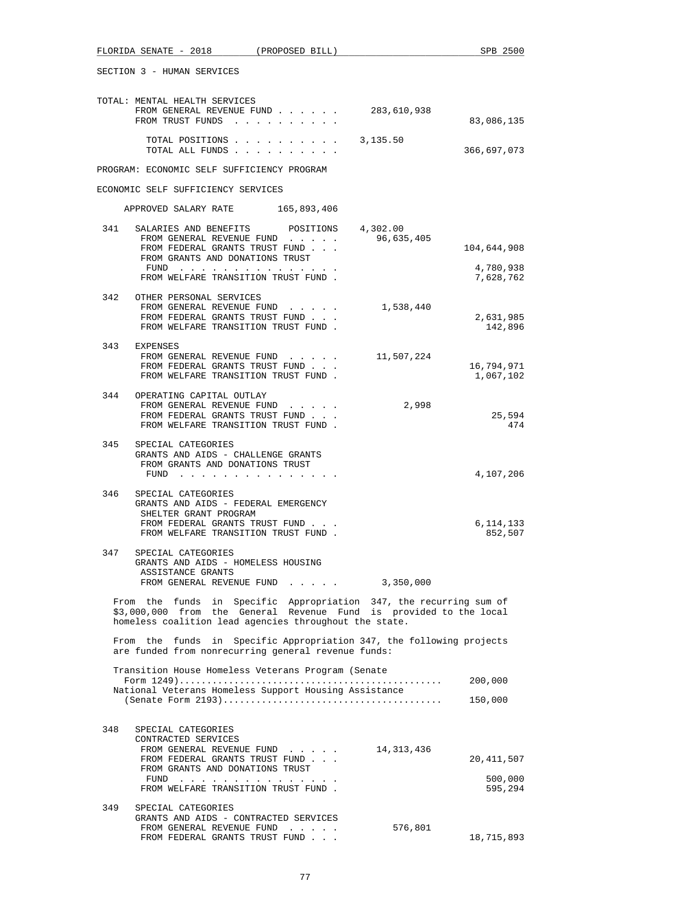| FLORIDA SENATE - 2018 (PROPOSED BILL)                                                                                                                                                              | SPB 2500                |
|----------------------------------------------------------------------------------------------------------------------------------------------------------------------------------------------------|-------------------------|
| SECTION 3 - HUMAN SERVICES                                                                                                                                                                         |                         |
| TOTAL: MENTAL HEALTH SERVICES<br>FROM GENERAL REVENUE FUND<br>283,610,938<br>FROM TRUST FUNDS                                                                                                      | 83,086,135              |
| TOTAL POSITIONS<br>3,135.50<br>TOTAL ALL FUNDS                                                                                                                                                     | 366,697,073             |
| PROGRAM: ECONOMIC SELF SUFFICIENCY PROGRAM                                                                                                                                                         |                         |
| ECONOMIC SELF SUFFICIENCY SERVICES                                                                                                                                                                 |                         |
| APPROVED SALARY RATE 165,893,406                                                                                                                                                                   |                         |
| 341<br>SALARIES AND BENEFITS<br>4,302.00<br>POSITIONS<br>96,635,405<br>FROM GENERAL REVENUE FUND<br>FROM FEDERAL GRANTS TRUST FUND<br>FROM GRANTS AND DONATIONS TRUST                              | 104,644,908             |
| FUND<br>FROM WELFARE TRANSITION TRUST FUND.                                                                                                                                                        | 4,780,938<br>7,628,762  |
| 342<br>OTHER PERSONAL SERVICES<br>FROM GENERAL REVENUE FUND 1,538,440<br>FROM FEDERAL GRANTS TRUST FUND<br>FROM WELFARE TRANSITION TRUST FUND.                                                     | 2,631,985<br>142,896    |
| 343<br>EXPENSES<br>11,507,224<br>FROM GENERAL REVENUE FUND<br>FROM FEDERAL GRANTS TRUST FUND<br>FROM WELFARE TRANSITION TRUST FUND.                                                                | 16,794,971<br>1,067,102 |
| 344<br>OPERATING CAPITAL OUTLAY<br>2,998<br>FROM GENERAL REVENUE FUND<br>FROM FEDERAL GRANTS TRUST FUND<br>FROM WELFARE TRANSITION TRUST FUND.                                                     | 25,594<br>474           |
| 345<br>SPECIAL CATEGORIES<br>GRANTS AND AIDS - CHALLENGE GRANTS<br>FROM GRANTS AND DONATIONS TRUST<br>FUND $\cdots$                                                                                | 4,107,206               |
| 346<br>SPECIAL CATEGORIES<br>GRANTS AND AIDS - FEDERAL EMERGENCY<br>SHELTER GRANT PROGRAM<br>FROM FEDERAL GRANTS TRUST FUND<br>FROM WELFARE TRANSITION TRUST FUND.                                 | 6,114,133<br>852,507    |
| 347<br>SPECIAL CATEGORIES<br>GRANTS AND AIDS - HOMELESS HOUSING<br>ASSISTANCE GRANTS<br>FROM GENERAL REVENUE FUND<br>3,350,000                                                                     |                         |
| From the funds in Specific Appropriation 347, the recurring sum of<br>\$3,000,000 from the General Revenue Fund is provided to the local<br>homeless coalition lead agencies throughout the state. |                         |
| From the funds in Specific Appropriation 347, the following projects<br>are funded from nonrecurring general revenue funds:                                                                        |                         |
| Transition House Homeless Veterans Program (Senate                                                                                                                                                 |                         |
| National Veterans Homeless Support Housing Assistance                                                                                                                                              | 200,000<br>150,000      |
| 348<br>SPECIAL CATEGORIES                                                                                                                                                                          |                         |
| CONTRACTED SERVICES<br>FROM GENERAL REVENUE FUND<br>14,313,436<br>FROM FEDERAL GRANTS TRUST FUND                                                                                                   | 20,411,507              |
| FROM GRANTS AND DONATIONS TRUST<br>FROM WELFARE TRANSITION TRUST FUND.                                                                                                                             | 500,000<br>595,294      |
| 349<br>SPECIAL CATEGORIES                                                                                                                                                                          |                         |
| GRANTS AND AIDS - CONTRACTED SERVICES<br>576,801<br>FROM GENERAL REVENUE FUND<br>and the company of the company<br>FROM FEDERAL GRANTS TRUST FUND                                                  | 18,715,893              |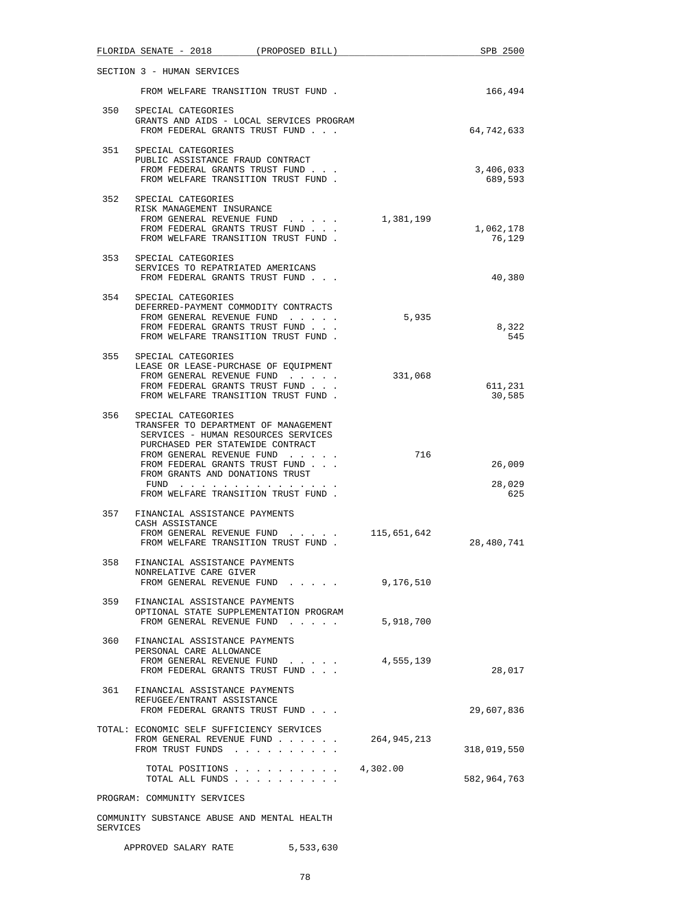|     | FLORIDA SENATE - 2018                                                                                                                                                                                                                                    | (PROPOSED BILL) |             | SPB 2500             |
|-----|----------------------------------------------------------------------------------------------------------------------------------------------------------------------------------------------------------------------------------------------------------|-----------------|-------------|----------------------|
|     | SECTION 3 - HUMAN SERVICES                                                                                                                                                                                                                               |                 |             |                      |
|     | FROM WELFARE TRANSITION TRUST FUND.                                                                                                                                                                                                                      |                 |             | 166,494              |
|     | 350 SPECIAL CATEGORIES<br>GRANTS AND AIDS - LOCAL SERVICES PROGRAM<br>FROM FEDERAL GRANTS TRUST FUND                                                                                                                                                     |                 |             | 64,742,633           |
| 351 | SPECIAL CATEGORIES<br>PUBLIC ASSISTANCE FRAUD CONTRACT<br>FROM FEDERAL GRANTS TRUST FUND<br>FROM WELFARE TRANSITION TRUST FUND.                                                                                                                          |                 |             | 3,406,033<br>689,593 |
|     | 352 SPECIAL CATEGORIES<br>RISK MANAGEMENT INSURANCE<br>FROM GENERAL REVENUE FUND $\ldots$ 1, 381, 199<br>FROM FEDERAL GRANTS TRUST FUND<br>FROM WELFARE TRANSITION TRUST FUND.                                                                           |                 |             | 1,062,178<br>76,129  |
| 353 | SPECIAL CATEGORIES<br>SERVICES TO REPATRIATED AMERICANS<br>FROM FEDERAL GRANTS TRUST FUND                                                                                                                                                                |                 |             | 40,380               |
|     | 354 SPECIAL CATEGORIES<br>DEFERRED-PAYMENT COMMODITY CONTRACTS<br>FROM GENERAL REVENUE FUND<br>FROM FEDERAL GRANTS TRUST FUND<br>FROM WELFARE TRANSITION TRUST FUND.                                                                                     |                 | 5,935       | 8,322<br>545         |
| 355 | SPECIAL CATEGORIES<br>LEASE OR LEASE-PURCHASE OF EQUIPMENT<br>FROM GENERAL REVENUE FUND<br>FROM FEDERAL GRANTS TRUST FUND<br>FROM WELFARE TRANSITION TRUST FUND.                                                                                         |                 | 331,068     | 611,231<br>30,585    |
| 356 | SPECIAL CATEGORIES<br>TRANSFER TO DEPARTMENT OF MANAGEMENT<br>SERVICES - HUMAN RESOURCES SERVICES<br>PURCHASED PER STATEWIDE CONTRACT<br>FROM GENERAL REVENUE FUND<br>FROM FEDERAL GRANTS TRUST FUND<br>FROM GRANTS AND DONATIONS TRUST<br>FUND $\cdots$ |                 | 716         | 26,009<br>28,029     |
| 357 | FROM WELFARE TRANSITION TRUST FUND.<br>FINANCIAL ASSISTANCE PAYMENTS<br>CASH ASSISTANCE<br>FROM GENERAL REVENUE FUND<br>FROM WELFARE TRANSITION TRUST FUND.                                                                                              |                 | 115,651,642 | 625<br>28,480,741    |
| 358 | FINANCIAL ASSISTANCE PAYMENTS<br>NONRELATIVE CARE GIVER<br>FROM GENERAL REVENUE FUND 9,176,510                                                                                                                                                           |                 |             |                      |
| 359 | FINANCIAL ASSISTANCE PAYMENTS<br>OPTIONAL STATE SUPPLEMENTATION PROGRAM<br>FROM GENERAL REVENUE FUND                                                                                                                                                     |                 | 5,918,700   |                      |
| 360 | FINANCIAL ASSISTANCE PAYMENTS<br>PERSONAL CARE ALLOWANCE<br>FROM GENERAL REVENUE FUND<br>FROM FEDERAL GRANTS TRUST FUND                                                                                                                                  |                 | 4,555,139   | 28,017               |
| 361 | FINANCIAL ASSISTANCE PAYMENTS<br>REFUGEE/ENTRANT ASSISTANCE<br>FROM FEDERAL GRANTS TRUST FUND                                                                                                                                                            |                 |             | 29,607,836           |
|     | TOTAL: ECONOMIC SELF SUFFICIENCY SERVICES<br>FROM GENERAL REVENUE FUND<br>FROM TRUST FUNDS                                                                                                                                                               |                 | 264,945,213 | 318,019,550          |
|     | TOTAL POSITIONS<br>TOTAL ALL FUNDS                                                                                                                                                                                                                       |                 | 4,302.00    | 582,964,763          |
|     | PROGRAM: COMMUNITY SERVICES                                                                                                                                                                                                                              |                 |             |                      |
|     | COMMUNITY SUBSTANCE ABUSE AND MENTAL HEALTH                                                                                                                                                                                                              |                 |             |                      |

APPROVED SALARY RATE 5,533,630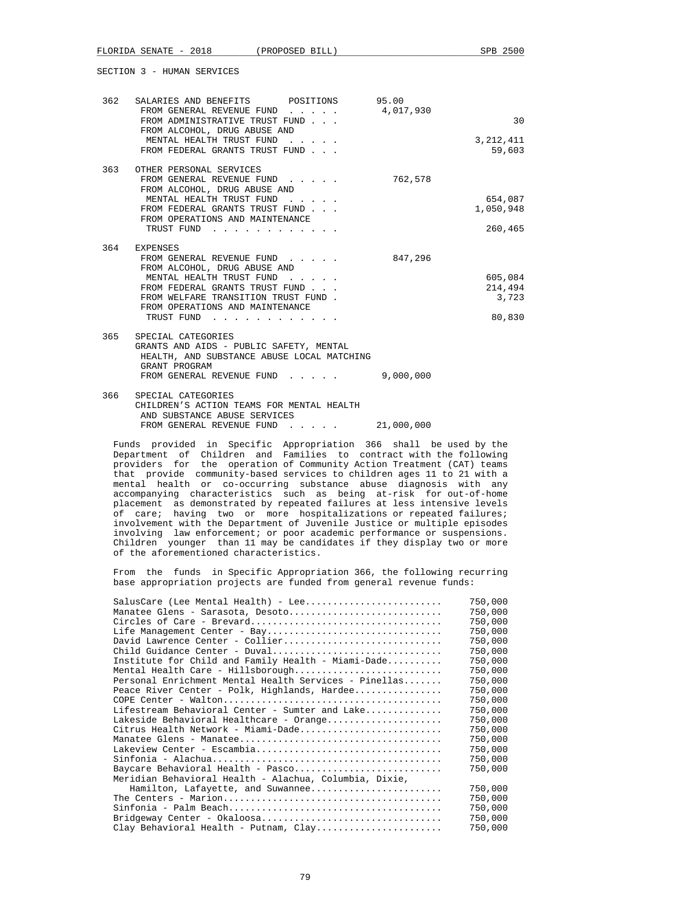| 362 | SALARIES AND BENEFITS POSITIONS 95.00<br>FROM GENERAL REVENUE FUND 4,017,930<br>FROM ADMINISTRATIVE TRUST FUND<br>FROM ALCOHOL, DRUG ABUSE AND                                                                                                                                                                                                     |            | 30                                    |
|-----|----------------------------------------------------------------------------------------------------------------------------------------------------------------------------------------------------------------------------------------------------------------------------------------------------------------------------------------------------|------------|---------------------------------------|
|     | MENTAL HEALTH TRUST FUND<br>FROM FEDERAL GRANTS TRUST FUND                                                                                                                                                                                                                                                                                         |            | 3, 212, 411<br>59,603                 |
|     | 363 OTHER PERSONAL SERVICES<br>FROM GENERAL REVENUE FUND<br>FROM ALCOHOL, DRUG ABUSE AND<br>MENTAL HEALTH TRUST FUND<br>FROM FEDERAL GRANTS TRUST FUND<br>FROM OPERATIONS AND MAINTENANCE<br>TRUST FUND                                                                                                                                            | 762,578    | 654,087<br>1,050,948<br>260,465       |
|     | 364 EXPENSES<br>FROM GENERAL REVENUE FUND<br>FROM ALCOHOL, DRUG ABUSE AND<br>MENTAL HEALTH TRUST FUND<br>FROM FEDERAL GRANTS TRUST FUND<br>FROM WELFARE TRANSITION TRUST FUND.<br>FROM OPERATIONS AND MAINTENANCE<br>TRUST FUND<br>the contract of the contract of the contract of the contract of the contract of the contract of the contract of | 847,296    | 605,084<br>214,494<br>3,723<br>80,830 |
| 365 | SPECIAL CATEGORIES<br>GRANTS AND AIDS - PUBLIC SAFETY, MENTAL<br>HEALTH, AND SUBSTANCE ABUSE LOCAL MATCHING<br>GRANT PROGRAM<br>FROM GENERAL REVENUE FUND                                                                                                                                                                                          | 9,000,000  |                                       |
| 366 | SPECIAL CATEGORIES<br>CHILDREN'S ACTION TEAMS FOR MENTAL HEALTH<br>AND SUBSTANCE ABUSE SERVICES<br>FROM GENERAL REVENUE FUND                                                                                                                                                                                                                       | 21,000,000 |                                       |

 Funds provided in Specific Appropriation 366 shall be used by the Department of Children and Families to contract with the following providers for the operation of Community Action Treatment (CAT) teams that provide community-based services to children ages 11 to 21 with a mental health or co-occurring substance abuse diagnosis with any accompanying characteristics such as being at-risk for out-of-home placement as demonstrated by repeated failures at less intensive levels of care; having two or more hospitalizations or repeated failures; involvement with the Department of Juvenile Justice or multiple episodes involving law enforcement; or poor academic performance or suspensions. Children younger than 11 may be candidates if they display two or more of the aforementioned characteristics.

 From the funds in Specific Appropriation 366, the following recurring base appropriation projects are funded from general revenue funds:

| SalusCare (Lee Mental Health) - Lee                    | 750,000 |
|--------------------------------------------------------|---------|
| Manatee Glens - Sarasota, Desoto                       | 750,000 |
|                                                        | 750,000 |
| Life Management Center - Bay                           | 750,000 |
| David Lawrence Center - Collier                        | 750,000 |
| Child Guidance Center - Duval                          | 750,000 |
| Institute for Child and Family Health - Miami-Dade     | 750,000 |
| Mental Health Care - Hillsborough                      | 750,000 |
| Personal Enrichment Mental Health Services - Pinellas  | 750,000 |
| Peace River Center - Polk, Highlands, Hardee           | 750,000 |
|                                                        | 750,000 |
| Lifestream Behavioral Center - Sumter and Lake         | 750,000 |
| Lakeside Behavioral Healthcare - Orange                | 750,000 |
| Citrus Health Network - Miami-Dade                     | 750,000 |
|                                                        | 750,000 |
| Lakeview Center - Escambia                             | 750,000 |
|                                                        | 750,000 |
| Baycare Behavioral Health - Pasco                      | 750,000 |
| Meridian Behavioral Health - Alachua, Columbia, Dixie, |         |
| Hamilton, Lafayette, and Suwannee                      | 750,000 |
|                                                        | 750,000 |
|                                                        | 750,000 |
|                                                        | 750,000 |
| Clay Behavioral Health - Putnam, Clay                  | 750,000 |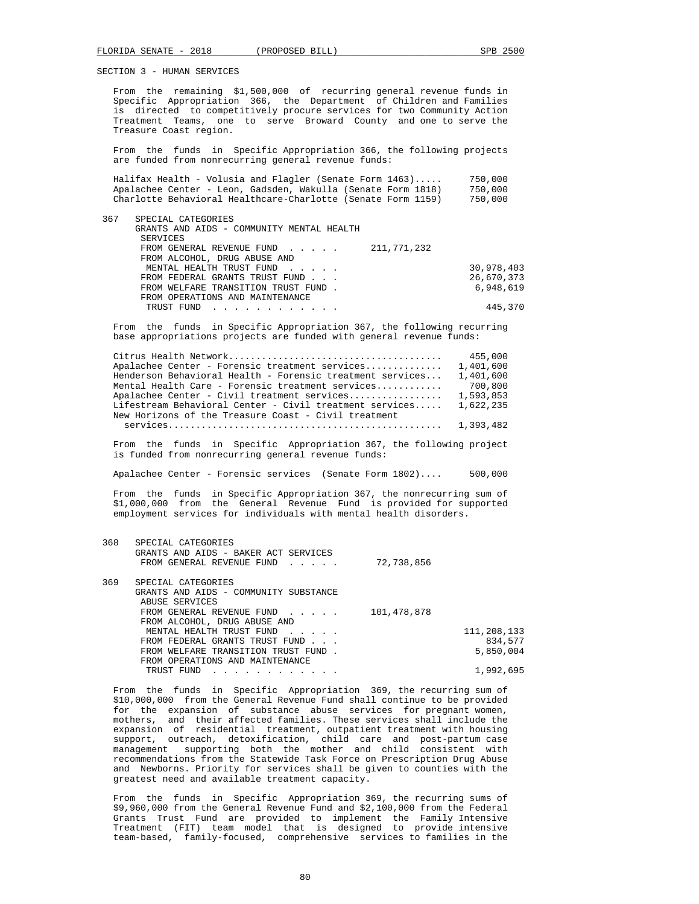From the remaining \$1,500,000 of recurring general revenue funds in Specific Appropriation 366, the Department of Children and Families is directed to competitively procure services for two Community Action Treatment Teams, one to serve Broward County and one to serve the Treasure Coast region.

 From the funds in Specific Appropriation 366, the following projects are funded from nonrecurring general revenue funds:

|  | Halifax Health - Volusia and Flagler (Senate Form $1463) \ldots$ . |  |  | 750,000 |
|--|--------------------------------------------------------------------|--|--|---------|
|  | Apalachee Center - Leon, Gadsden, Wakulla (Senate Form 1818)       |  |  | 750,000 |
|  | Charlotte Behavioral Healthcare-Charlotte (Senate Form 1159)       |  |  | 750,000 |

| 367 | SPECIAL CATEGORIES<br>GRANTS AND AIDS - COMMUNITY MENTAL HEALTH<br>SERVICES |            |
|-----|-----------------------------------------------------------------------------|------------|
|     | FROM GENERAL REVENUE FUND $\qquad 211,771,232$                              |            |
|     | FROM ALCOHOL, DRUG ABUSE AND                                                |            |
|     | MENTAL HEALTH TRUST FUND                                                    | 30,978,403 |
|     | FROM FEDERAL GRANTS TRUST FUND                                              | 26,670,373 |
|     | FROM WELFARE TRANSITION TRUST FUND.                                         | 6,948,619  |
|     | FROM OPERATIONS AND MAINTENANCE                                             |            |

 From the funds in Specific Appropriation 367, the following recurring base appropriations projects are funded with general revenue funds:

TRUST FUND . . . . . . . . . . . . 445,370

|                                                           | 455,000   |
|-----------------------------------------------------------|-----------|
| Apalachee Center - Forensic treatment services            | 1,401,600 |
| Henderson Behavioral Health - Forensic treatment services | 1,401,600 |
| Mental Health Care - Forensic treatment services          | 700,800   |
| Apalachee Center - Civil treatment services               | 1,593,853 |
| Lifestream Behavioral Center - Civil treatment services   | 1,622,235 |
| New Horizons of the Treasure Coast - Civil treatment      |           |
|                                                           | 1,393,482 |

 From the funds in Specific Appropriation 367, the following project is funded from nonrecurring general revenue funds:

Apalachee Center - Forensic services (Senate Form 1802).... 500,000

 From the funds in Specific Appropriation 367, the nonrecurring sum of \$1,000,000 from the General Revenue Fund is provided for supported employment services for individuals with mental health disorders.

| 368 | SPECIAL CATEGORIES<br>GRANTS AND AIDS - BAKER ACT SERVICES<br>FROM GENERAL REVENUE FUND | 72,738,856  |             |
|-----|-----------------------------------------------------------------------------------------|-------------|-------------|
| 369 | SPECIAL CATEGORIES                                                                      |             |             |
|     | GRANTS AND AIDS - COMMUNITY SUBSTANCE                                                   |             |             |
|     | ABUSE SERVICES                                                                          |             |             |
|     | FROM GENERAL REVENUE FUND                                                               | 101,478,878 |             |
|     | FROM ALCOHOL, DRUG ABUSE AND                                                            |             |             |
|     | MENTAL HEALTH TRUST FUND                                                                |             | 111,208,133 |
|     | FROM FEDERAL GRANTS TRUST FUND                                                          |             | 834,577     |
|     | FROM WELFARE TRANSITION TRUST FUND.                                                     |             | 5,850,004   |
|     | FROM OPERATIONS AND MAINTENANCE                                                         |             |             |
|     | TRUST FUND                                                                              |             | 1,992,695   |

 From the funds in Specific Appropriation 369, the recurring sum of \$10,000,000 from the General Revenue Fund shall continue to be provided for the expansion of substance abuse services for pregnant women, mothers, and their affected families. These services shall include the expansion of residential treatment, outpatient treatment with housing support, outreach, detoxification, child care and post-partum case management supporting both the mother and child consistent with recommendations from the Statewide Task Force on Prescription Drug Abuse and Newborns. Priority for services shall be given to counties with the greatest need and available treatment capacity.

 From the funds in Specific Appropriation 369, the recurring sums of \$9,960,000 from the General Revenue Fund and \$2,100,000 from the Federal Grants Trust Fund are provided to implement the Family Intensive Treatment (FIT) team model that is designed to provide intensive team-based, family-focused, comprehensive services to families in the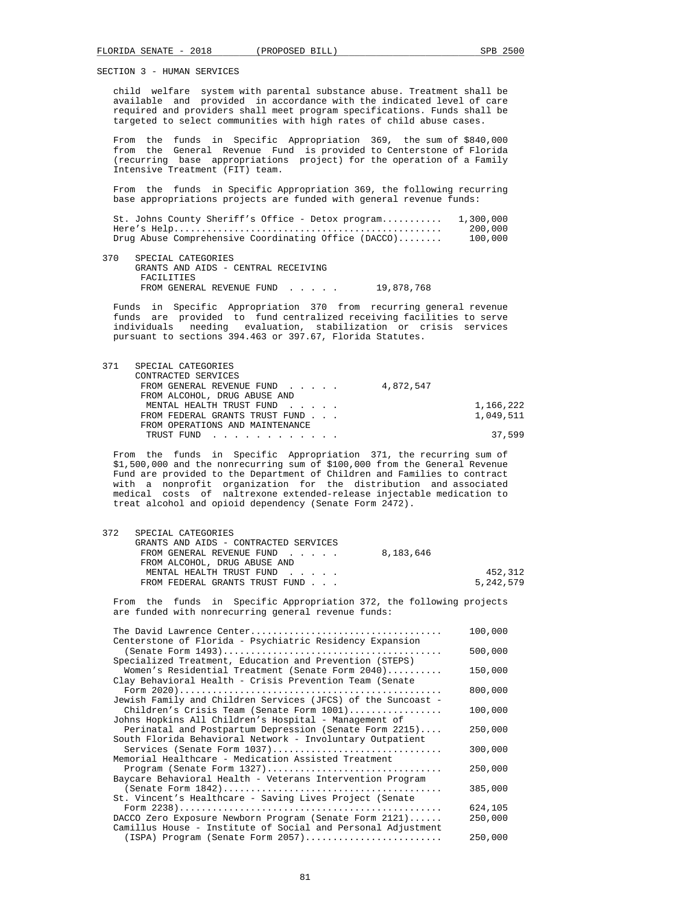child welfare system with parental substance abuse. Treatment shall be available and provided in accordance with the indicated level of care required and providers shall meet program specifications. Funds shall be targeted to select communities with high rates of child abuse cases.

 From the funds in Specific Appropriation 369, the sum of \$840,000 from the General Revenue Fund is provided to Centerstone of Florida (recurring base appropriations project) for the operation of a Family Intensive Treatment (FIT) team.

 From the funds in Specific Appropriation 369, the following recurring base appropriations projects are funded with general revenue funds:

 St. Johns County Sheriff's Office - Detox program........... 1,300,000 Here's Help................................................. 200,000 Drug Abuse Comprehensive Coordinating Office (DACCO)........

 370 SPECIAL CATEGORIES GRANTS AND AIDS - CENTRAL RECEIVING FACILITIES FROM GENERAL REVENUE FUND . . . . . 19,878,768

 Funds in Specific Appropriation 370 from recurring general revenue funds are provided to fund centralized receiving facilities to serve individuals needing evaluation, stabilization or crisis services pursuant to sections 394.463 or 397.67, Florida Statutes.

| SPECIAL CATEGORIES                                                                                                                                                                                                                           |           |           |
|----------------------------------------------------------------------------------------------------------------------------------------------------------------------------------------------------------------------------------------------|-----------|-----------|
| CONTRACTED SERVICES                                                                                                                                                                                                                          |           |           |
| FROM GENERAL REVENUE FUND                                                                                                                                                                                                                    | 4,872,547 |           |
| FROM ALCOHOL, DRUG ABUSE AND                                                                                                                                                                                                                 |           |           |
| MENTAL HEALTH TRUST FUND                                                                                                                                                                                                                     |           | 1,166,222 |
| FROM FEDERAL GRANTS TRUST FUND                                                                                                                                                                                                               |           | 1,049,511 |
| FROM OPERATIONS AND MAINTENANCE                                                                                                                                                                                                              |           |           |
| TRUST FUND<br>the second contract of the second contract of the second contract of the second contract of the second contract of the second contract of the second contract of the second contract of the second contract of the second cont |           | 37.599    |
|                                                                                                                                                                                                                                              |           |           |

 From the funds in Specific Appropriation 371, the recurring sum of \$1,500,000 and the nonrecurring sum of \$100,000 from the General Revenue Fund are provided to the Department of Children and Families to contract with a nonprofit organization for the distribution and associated medical costs of naltrexone extended-release injectable medication to treat alcohol and opioid dependency (Senate Form 2472).

| 372 | SPECIAL CATEGORIES                                                                                                          |           |           |
|-----|-----------------------------------------------------------------------------------------------------------------------------|-----------|-----------|
|     | GRANTS AND AIDS - CONTRACTED SERVICES                                                                                       |           |           |
|     | FROM GENERAL REVENUE FUND                                                                                                   | 8,183,646 |           |
|     | FROM ALCOHOL, DRUG ABUSE AND                                                                                                |           |           |
|     | MENTAL HEALTH TRUST FUND                                                                                                    |           | 452,312   |
|     | FROM FEDERAL GRANTS TRUST FUND                                                                                              |           | 5,242,579 |
|     | From the funds in Specific Appropriation 372, the following projects<br>are funded with nonrecurring general revenue funds: |           |           |
|     |                                                                                                                             |           | 100,000   |
|     | Centerstone of Florida - Psychiatric Residency Expansion<br>$(Constr \to Form 1102)$                                        |           | ENN NNN   |

|                                                              | 500,000 |
|--------------------------------------------------------------|---------|
| Specialized Treatment, Education and Prevention (STEPS)      |         |
| Women's Residential Treatment (Senate Form 2040)             | 150,000 |
| Clay Behavioral Health - Crisis Prevention Team (Senate      |         |
|                                                              | 800,000 |
| Jewish Family and Children Services (JFCS) of the Suncoast - |         |
| Children's Crisis Team (Senate Form 1001)                    | 100,000 |
| Johns Hopkins All Children's Hospital - Management of        |         |
| Perinatal and Postpartum Depression (Senate Form 2215)       | 250,000 |
| South Florida Behavioral Network - Involuntary Outpatient    |         |
| Services (Senate Form 1037)                                  | 300,000 |
| Memorial Healthcare - Medication Assisted Treatment          |         |
| Program (Senate Form 1327)                                   | 250,000 |
| Baycare Behavioral Health - Veterans Intervention Program    |         |
|                                                              | 385,000 |
| St. Vincent's Healthcare - Saving Lives Project (Senate      |         |
|                                                              | 624,105 |
| DACCO Zero Exposure Newborn Program (Senate Form 2121)       | 250,000 |
| Camillus House - Institute of Social and Personal Adjustment |         |
| $(ISBN)$ Program (Senate Form $2057)$                        | 250,000 |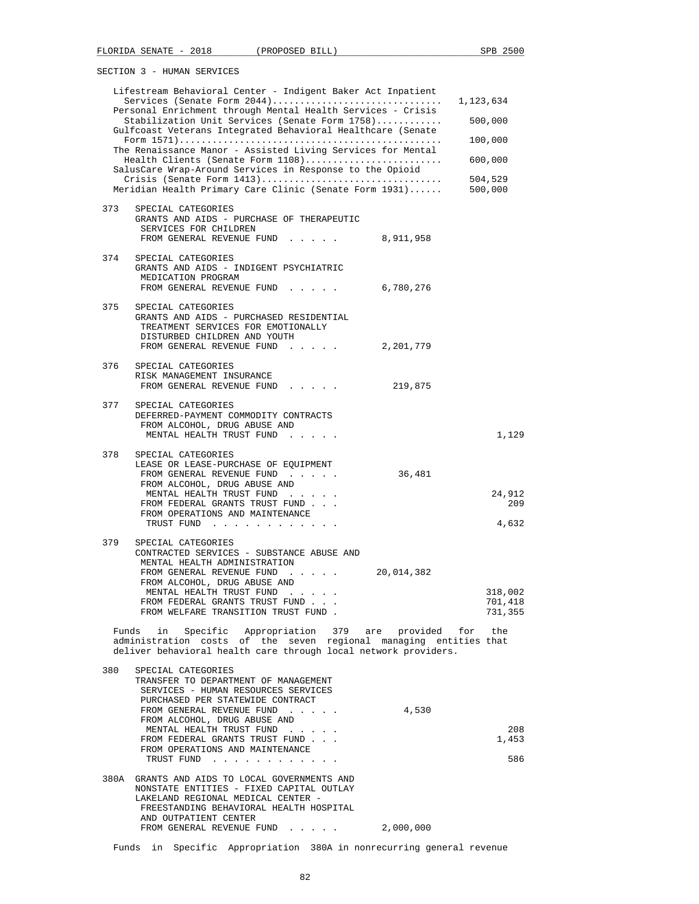|     | Lifestream Behavioral Center - Indigent Baker Act Inpatient<br>Services (Senate Form 2044)<br>Personal Enrichment through Mental Health Services - Crisis<br>Stabilization Unit Services (Senate Form 1758)<br>Gulfcoast Veterans Integrated Behavioral Healthcare (Senate<br>The Renaissance Manor - Assisted Living Services for Mental<br>Health Clients (Senate Form 1108)<br>SalusCare Wrap-Around Services in Response to the Opioid<br>Meridian Health Primary Care Clinic (Senate Form 1931) |           | 1,123,634<br>500,000<br>100,000<br>600,000<br>504,529<br>500,000 |
|-----|------------------------------------------------------------------------------------------------------------------------------------------------------------------------------------------------------------------------------------------------------------------------------------------------------------------------------------------------------------------------------------------------------------------------------------------------------------------------------------------------------|-----------|------------------------------------------------------------------|
| 373 | SPECIAL CATEGORIES<br>GRANTS AND AIDS - PURCHASE OF THERAPEUTIC<br>SERVICES FOR CHILDREN<br>FROM GENERAL REVENUE FUND 8,911,958                                                                                                                                                                                                                                                                                                                                                                      |           |                                                                  |
| 374 | SPECIAL CATEGORIES<br>GRANTS AND AIDS - INDIGENT PSYCHIATRIC<br>MEDICATION PROGRAM<br>FROM GENERAL REVENUE FUND                                                                                                                                                                                                                                                                                                                                                                                      | 6,780,276 |                                                                  |
| 375 | SPECIAL CATEGORIES<br>GRANTS AND AIDS - PURCHASED RESIDENTIAL<br>TREATMENT SERVICES FOR EMOTIONALLY<br>DISTURBED CHILDREN AND YOUTH<br>FROM GENERAL REVENUE FUND                                                                                                                                                                                                                                                                                                                                     | 2,201,779 |                                                                  |
| 376 | SPECIAL CATEGORIES<br>RISK MANAGEMENT INSURANCE<br>FROM GENERAL REVENUE FUND                                                                                                                                                                                                                                                                                                                                                                                                                         | 219,875   |                                                                  |
| 377 | SPECIAL CATEGORIES<br>DEFERRED-PAYMENT COMMODITY CONTRACTS<br>FROM ALCOHOL, DRUG ABUSE AND<br>MENTAL HEALTH TRUST FUND                                                                                                                                                                                                                                                                                                                                                                               |           | 1,129                                                            |
| 378 | SPECIAL CATEGORIES<br>LEASE OR LEASE-PURCHASE OF EQUIPMENT<br>FROM GENERAL REVENUE FUND<br>FROM ALCOHOL, DRUG ABUSE AND<br>MENTAL HEALTH TRUST FUND<br>FROM FEDERAL GRANTS TRUST FUND<br>FROM OPERATIONS AND MAINTENANCE<br>TRUST FUND                                                                                                                                                                                                                                                               | 36,481    | 24,912<br>209<br>4,632                                           |
| 379 | SPECIAL CATEGORIES<br>CONTRACTED SERVICES - SUBSTANCE ABUSE AND<br>MENTAL HEALTH ADMINISTRATION<br>FROM GENERAL REVENUE FUND<br>FROM ALCOHOL, DRUG ABUSE AND<br>MENTAL HEALTH TRUST FUND<br>FROM FEDERAL GRANTS TRUST FUND<br>FROM WELFARE TRANSITION TRUST FUND.                                                                                                                                                                                                                                    |           | 318,002<br>701,418<br>731,355                                    |
|     | Specific Appropriation 379 are provided for the<br>Funds in<br>administration costs of the seven regional managing entities that<br>deliver behavioral health care through local network providers.                                                                                                                                                                                                                                                                                                  |           |                                                                  |
| 380 | SPECIAL CATEGORIES<br>TRANSFER TO DEPARTMENT OF MANAGEMENT<br>SERVICES - HUMAN RESOURCES SERVICES<br>PURCHASED PER STATEWIDE CONTRACT<br>FROM GENERAL REVENUE FUND<br>FROM ALCOHOL, DRUG ABUSE AND<br>MENTAL HEALTH TRUST FUND<br>FROM FEDERAL GRANTS TRUST FUND<br>FROM OPERATIONS AND MAINTENANCE<br>TRUST FUND                                                                                                                                                                                    | 4,530     | 208<br>1,453<br>586                                              |
|     | 380A GRANTS AND AIDS TO LOCAL GOVERNMENTS AND<br>NONSTATE ENTITIES - FIXED CAPITAL OUTLAY<br>LAKELAND REGIONAL MEDICAL CENTER -<br>FREESTANDING BEHAVIORAL HEALTH HOSPITAL<br>AND OUTPATIENT CENTER<br>FROM GENERAL REVENUE FUND                                                                                                                                                                                                                                                                     | 2,000,000 |                                                                  |

Funds in Specific Appropriation 380A in nonrecurring general revenue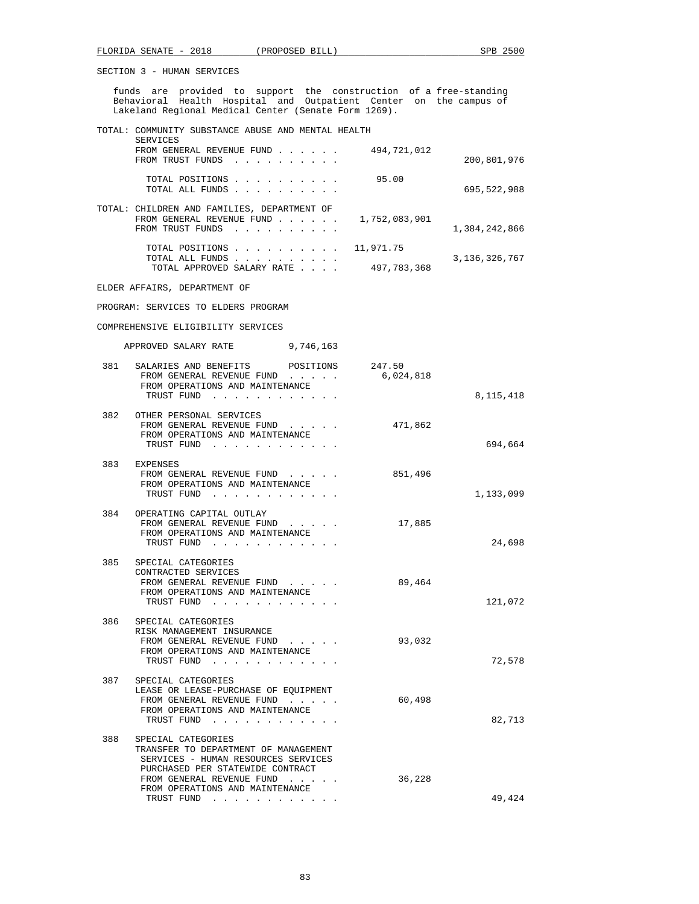funds are provided to support the construction of a free-standing Behavioral Health Hospital and Outpatient Center on the campus of Lakeland Regional Medical Center (Senate Form 1269).

 TOTAL: COMMUNITY SUBSTANCE ABUSE AND MENTAL HEALTH SERVICES FROM GENERAL REVENUE FUND . . . . . . 494,721,012 FROM TRUST FUNDS . . . . . . . . . . 200,801,976 TOTAL POSITIONS . . . . . . . . . . 95.00 TOTAL ALL FUNDS . . . . . . . . . . 695,522,988 TOTAL: CHILDREN AND FAMILIES, DEPARTMENT OF FROM GENERAL REVENUE FUND . . . . . . 1,752,083,901 FROM TRUST FUNDS . . . . . . . . . . . . . . . . . 1,384,242,866 TOTAL POSITIONS . . . . . . . . . . 11,971.75 TOTAL ALL FUNDS . . . . . . . . . . 3,136,326,767 TOTAL APPROVED SALARY RATE . . . . 497,783,368

ELDER AFFAIRS, DEPARTMENT OF

PROGRAM: SERVICES TO ELDERS PROGRAM

## COMPREHENSIVE ELIGIBILITY SERVICES

APPROVED SALARY RATE 9,746,163

| 8,115,418 |         | 381 SALARIES AND BENEFITS POSITIONS 247.50<br>FROM GENERAL REVENUE FUND 6,024,818<br>FROM OPERATIONS AND MAINTENANCE<br>TRUST FUND                                                                                                                             |     |
|-----------|---------|----------------------------------------------------------------------------------------------------------------------------------------------------------------------------------------------------------------------------------------------------------------|-----|
| 694,664   |         | 382 OTHER PERSONAL SERVICES<br>FROM GENERAL REVENUE FUND 471,862<br>FROM OPERATIONS AND MAINTENANCE<br>TRUST FUND                                                                                                                                              |     |
| 1,133,099 | 851,496 | 383 EXPENSES<br>FROM GENERAL REVENUE FUND<br>FROM OPERATIONS AND MAINTENANCE<br>TRUST FUND                                                                                                                                                                     |     |
| 24,698    | 17,885  | 384 OPERATING CAPITAL OUTLAY<br>FROM GENERAL REVENUE FUND<br>FROM OPERATIONS AND MAINTENANCE<br>TRUST FUND                                                                                                                                                     |     |
| 121,072   | 89,464  | SPECIAL CATEGORIES<br>CONTRACTED SERVICES<br>FROM GENERAL REVENUE FUND<br>FROM OPERATIONS AND MAINTENANCE<br>TRUST FUND                                                                                                                                        | 385 |
| 72,578    | 93,032  | 386 SPECIAL CATEGORIES<br>RISK MANAGEMENT INSURANCE<br>FROM GENERAL REVENUE FUND<br>FROM OPERATIONS AND MAINTENANCE<br>TRUST FUND                                                                                                                              |     |
| 82,713    | 60,498  | 387 SPECIAL CATEGORIES<br>LEASE OR LEASE-PURCHASE OF EQUIPMENT<br>FROM GENERAL REVENUE FUND<br>FROM OPERATIONS AND MAINTENANCE<br>TRUST FUND                                                                                                                   |     |
| 49,424    | 36,228  | SPECIAL CATEGORIES<br>TRANSFER TO DEPARTMENT OF MANAGEMENT<br>SERVICES - HUMAN RESOURCES SERVICES<br>PURCHASED PER STATEWIDE CONTRACT<br>FROM GENERAL REVENUE FUND<br>FROM OPERATIONS AND MAINTENANCE<br>TRUST FUND<br>and the contract of the contract of the | 388 |
|           |         |                                                                                                                                                                                                                                                                |     |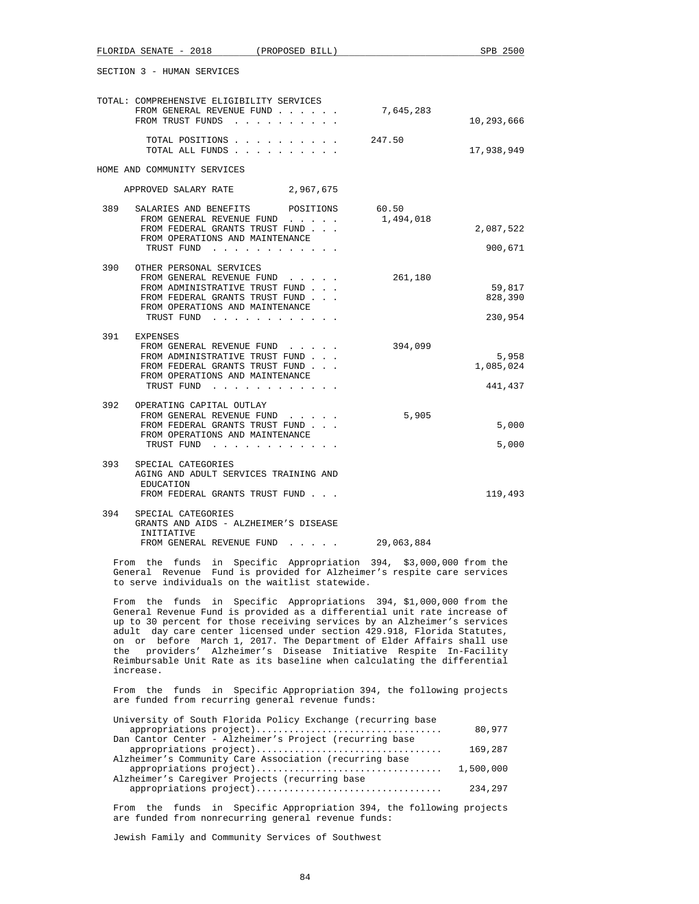|     | SECTION 3 - HUMAN SERVICES                                                                                                                                                                                                                                                                                                                                                                                                                                                                                                                |           |                    |
|-----|-------------------------------------------------------------------------------------------------------------------------------------------------------------------------------------------------------------------------------------------------------------------------------------------------------------------------------------------------------------------------------------------------------------------------------------------------------------------------------------------------------------------------------------------|-----------|--------------------|
|     | TOTAL: COMPREHENSIVE ELIGIBILITY SERVICES<br>FROM GENERAL REVENUE FUND<br>FROM TRUST FUNDS                                                                                                                                                                                                                                                                                                                                                                                                                                                | 7,645,283 | 10,293,666         |
|     | TOTAL POSITIONS<br>TOTAL ALL FUNDS                                                                                                                                                                                                                                                                                                                                                                                                                                                                                                        | 247.50    | 17,938,949         |
|     | HOME AND COMMUNITY SERVICES                                                                                                                                                                                                                                                                                                                                                                                                                                                                                                               |           |                    |
|     | APPROVED SALARY RATE 2,967,675                                                                                                                                                                                                                                                                                                                                                                                                                                                                                                            |           |                    |
| 389 | SALARIES AND BENEFITS<br>POSITIONS                                                                                                                                                                                                                                                                                                                                                                                                                                                                                                        | 60.50     |                    |
|     | FROM GENERAL REVENUE FUND<br>FROM FEDERAL GRANTS TRUST FUND                                                                                                                                                                                                                                                                                                                                                                                                                                                                               | 1,494,018 | 2,087,522          |
|     | FROM OPERATIONS AND MAINTENANCE<br>TRUST FUND                                                                                                                                                                                                                                                                                                                                                                                                                                                                                             |           | 900,671            |
|     | 390 OTHER PERSONAL SERVICES<br>FROM GENERAL REVENUE FUND<br>FROM ADMINISTRATIVE TRUST FUND<br>FROM FEDERAL GRANTS TRUST FUND                                                                                                                                                                                                                                                                                                                                                                                                              | 261,180   | 59,817<br>828,390  |
|     | FROM OPERATIONS AND MAINTENANCE<br>TRUST FUND                                                                                                                                                                                                                                                                                                                                                                                                                                                                                             |           | 230,954            |
|     | 391 EXPENSES<br>FROM GENERAL REVENUE FUND                                                                                                                                                                                                                                                                                                                                                                                                                                                                                                 | 394,099   |                    |
|     | FROM ADMINISTRATIVE TRUST FUND<br>FROM FEDERAL GRANTS TRUST FUND<br>FROM OPERATIONS AND MAINTENANCE                                                                                                                                                                                                                                                                                                                                                                                                                                       |           | 5,958<br>1,085,024 |
|     | TRUST FUND                                                                                                                                                                                                                                                                                                                                                                                                                                                                                                                                |           | 441,437            |
|     | 392 OPERATING CAPITAL OUTLAY<br>FROM GENERAL REVENUE FUND<br>FROM FEDERAL GRANTS TRUST FUND<br>FROM OPERATIONS AND MAINTENANCE                                                                                                                                                                                                                                                                                                                                                                                                            | 5,905     | 5,000<br>5,000     |
| 393 | TRUST FUND<br>SPECIAL CATEGORIES<br>AGING AND ADULT SERVICES TRAINING AND<br>EDUCATION<br>FROM FEDERAL GRANTS TRUST FUND                                                                                                                                                                                                                                                                                                                                                                                                                  |           | 119,493            |
| 394 | SPECIAL CATEGORIES<br>GRANTS AND AIDS - ALZHEIMER'S DISEASE<br>INITIATIVE<br>FROM GENERAL REVENUE FUND 29,063,884                                                                                                                                                                                                                                                                                                                                                                                                                         |           |                    |
|     | From the funds in Specific Appropriation 394, \$3,000,000 from the                                                                                                                                                                                                                                                                                                                                                                                                                                                                        |           |                    |
|     | General Revenue Fund is provided for Alzheimer's respite care services<br>to serve individuals on the waitlist statewide.                                                                                                                                                                                                                                                                                                                                                                                                                 |           |                    |
| the | From the funds in Specific Appropriations 394, \$1,000,000 from the<br>General Revenue Fund is provided as a differential unit rate increase of<br>up to 30 percent for those receiving services by an Alzheimer's services<br>adult day care center licensed under section 429.918, Florida Statutes,<br>on or before March 1, 2017. The Department of Elder Affairs shall use<br>providers' Alzheimer's Disease Initiative Respite In-Facility<br>Reimbursable Unit Rate as its baseline when calculating the differential<br>increase. |           |                    |
|     | From the<br>funds<br>in Specific Appropriation 394, the following projects<br>are funded from recurring general revenue funds:                                                                                                                                                                                                                                                                                                                                                                                                            |           |                    |
|     | University of South Florida Policy Exchange (recurring base<br>appropriations project)                                                                                                                                                                                                                                                                                                                                                                                                                                                    |           | 80,977             |
|     | Dan Cantor Center - Alzheimer's Project (recurring base<br>appropriations project)                                                                                                                                                                                                                                                                                                                                                                                                                                                        |           | 169,287            |
|     | Alzheimer's Community Care Association (recurring base<br>appropriations project)                                                                                                                                                                                                                                                                                                                                                                                                                                                         |           | 1,500,000          |
|     | Alzheimer's Caregiver Projects (recurring base<br>appropriations project)                                                                                                                                                                                                                                                                                                                                                                                                                                                                 |           | 234,297            |
|     | From the funds in Specific Appropriation 394, the following projects<br>are funded from nonrecurring general revenue funds:                                                                                                                                                                                                                                                                                                                                                                                                               |           |                    |

FLORIDA SENATE - 2018 (PROPOSED BILL) SPB 2500

Jewish Family and Community Services of Southwest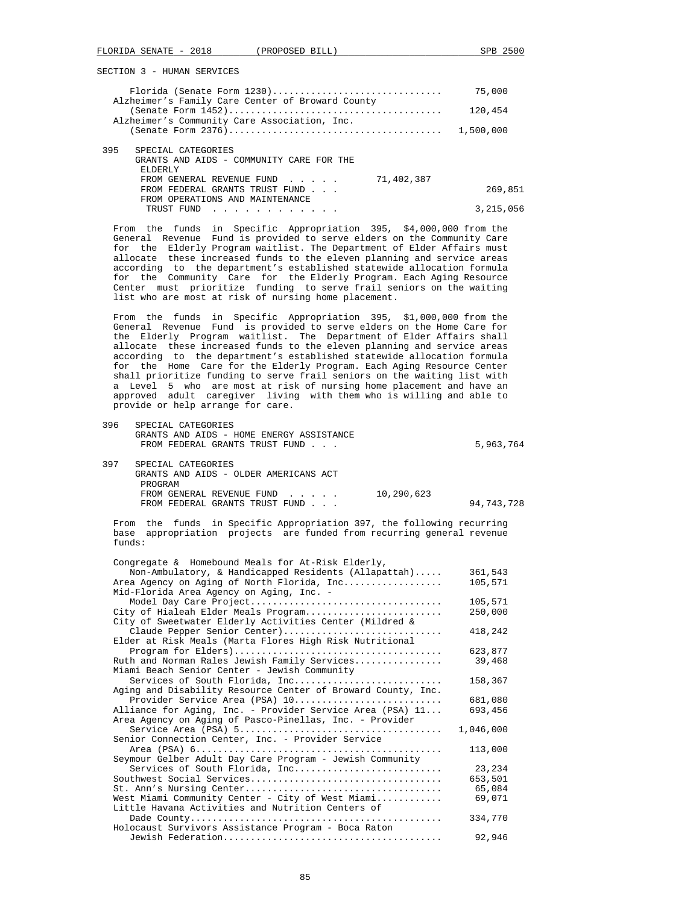|                                                  | 75,000  |
|--------------------------------------------------|---------|
| Alzheimer's Family Care Center of Broward County |         |
|                                                  | 120,454 |
| Alzheimer's Community Care Association, Inc.     |         |
|                                                  |         |
|                                                  |         |
| 395<br>SPECIAL CATEGORIES                        |         |
| GRANTS AND AIDS - COMMUNITY CARE FOR THE         |         |
| <b>ELDERLY</b>                                   |         |
| 71,402,387<br>FROM GENERAL REVENUE FUND          |         |
| FROM FEDERAL GRANTS TRUST FUND                   | 269,851 |
| FROM OPERATIONS AND MAINTENANCE                  |         |

 From the funds in Specific Appropriation 395, \$4,000,000 from the General Revenue Fund is provided to serve elders on the Community Care for the Elderly Program waitlist. The Department of Elder Affairs must allocate these increased funds to the eleven planning and service areas according to the department's established statewide allocation formula for the Community Care for the Elderly Program. Each Aging Resource Center must prioritize funding to serve frail seniors on the waiting list who are most at risk of nursing home placement.

TRUST FUND . . . . . . . . . . . . 3,215,056

 From the funds in Specific Appropriation 395, \$1,000,000 from the General Revenue Fund is provided to serve elders on the Home Care for the Elderly Program waitlist. The Department of Elder Affairs shall allocate these increased funds to the eleven planning and service areas according to the department's established statewide allocation formula for the Home Care for the Elderly Program. Each Aging Resource Center shall prioritize funding to serve frail seniors on the waiting list with a Level 5 who are most at risk of nursing home placement and have an a boved adult caregiver living with them who is willing and able to provide or help arrange for care.

 396 SPECIAL CATEGORIES GRANTS AND AIDS - HOME ENERGY ASSISTANCE FROM FEDERAL GRANTS TRUST FUND . . .  $5,963,764$ 

| 397 | SPECIAL CATEGORIES                    |            |            |
|-----|---------------------------------------|------------|------------|
|     | GRANTS AND AIDS - OLDER AMERICANS ACT |            |            |
|     | PROGRAM                               |            |            |
|     | FROM GENERAL REVENUE FUND             | 10,290,623 |            |
|     | FROM FEDERAL GRANTS TRUST FUND        |            | 94,743,728 |

 From the funds in Specific Appropriation 397, the following recurring base appropriation projects are funded from recurring general revenue funds:

| Congregate & Homebound Meals for At-Risk Elderly,                                                                    |           |
|----------------------------------------------------------------------------------------------------------------------|-----------|
| Non-Ambulatory, & Handicapped Residents (Allapattah)                                                                 | 361,543   |
| Area Agency on Aging of North Florida, Inc<br>Mid-Florida Area Agency on Aging, Inc. -                               | 105,571   |
| Model Day Care Project                                                                                               | 105,571   |
| City of Hialeah Elder Meals Program<br>City of Sweetwater Elderly Activities Center (Mildred &                       | 250,000   |
| Claude Pepper Senior Center)<br>Elder at Risk Meals (Marta Flores High Risk Nutritional                              | 418,242   |
|                                                                                                                      | 623,877   |
| Ruth and Norman Rales Jewish Family Services<br>Miami Beach Senior Center - Jewish Community                         | 39,468    |
| Services of South Florida, Inc<br>Aging and Disability Resource Center of Broward County, Inc.                       | 158,367   |
| Provider Service Area (PSA) 10                                                                                       | 681,080   |
| Alliance for Aging, Inc. - Provider Service Area (PSA) 11<br>Area Agency on Aging of Pasco-Pinellas, Inc. - Provider | 693,456   |
|                                                                                                                      | 1,046,000 |
| Senior Connection Center, Inc. - Provider Service                                                                    |           |
| Seymour Gelber Adult Day Care Program - Jewish Community                                                             | 113,000   |
| Services of South Florida, Inc                                                                                       | 23, 234   |
|                                                                                                                      | 653,501   |
|                                                                                                                      | 65,084    |
| West Miami Community Center - City of West Miami<br>Little Havana Activities and Nutrition Centers of                | 69,071    |
| Holocaust Survivors Assistance Program - Boca Raton                                                                  | 334,770   |
|                                                                                                                      | 92,946    |
|                                                                                                                      |           |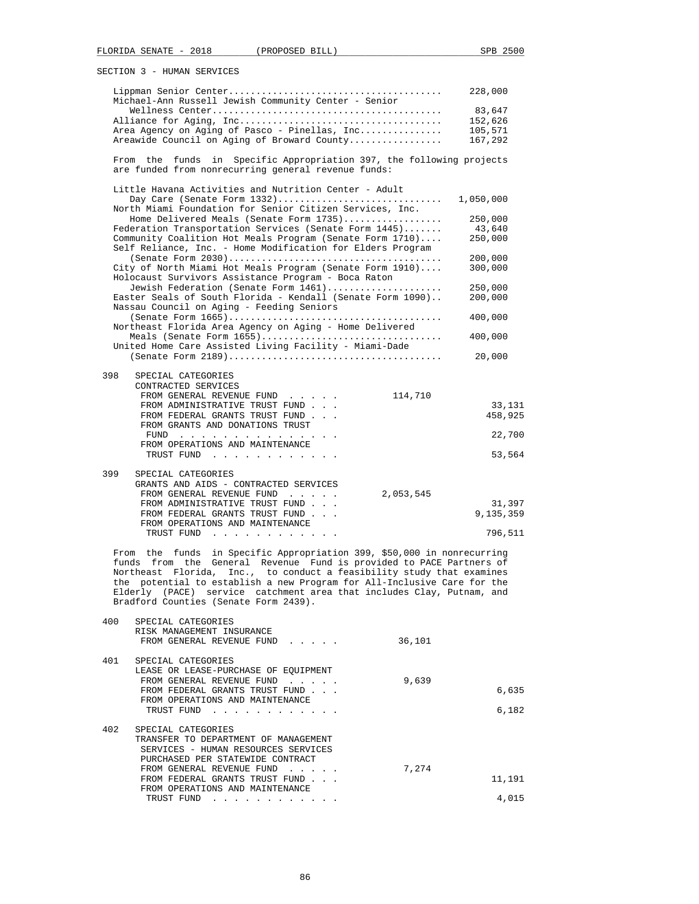|     | Michael-Ann Russell Jewish Community Center - Senior                                                                                                                                                                                                                                                                                                                                                                   | 228,000           |
|-----|------------------------------------------------------------------------------------------------------------------------------------------------------------------------------------------------------------------------------------------------------------------------------------------------------------------------------------------------------------------------------------------------------------------------|-------------------|
|     |                                                                                                                                                                                                                                                                                                                                                                                                                        | 83,647            |
|     |                                                                                                                                                                                                                                                                                                                                                                                                                        | 152,626           |
|     | Area Agency on Aging of Pasco - Pinellas, Inc                                                                                                                                                                                                                                                                                                                                                                          | 105,571           |
|     | Areawide Council on Aging of Broward County                                                                                                                                                                                                                                                                                                                                                                            | 167,292           |
|     | From the funds<br>Specific Appropriation 397, the following projects<br>in<br>are funded from nonrecurring general revenue funds:                                                                                                                                                                                                                                                                                      |                   |
|     | Little Havana Activities and Nutrition Center - Adult                                                                                                                                                                                                                                                                                                                                                                  |                   |
|     |                                                                                                                                                                                                                                                                                                                                                                                                                        | 1,050,000         |
|     | North Miami Foundation for Senior Citizen Services, Inc.                                                                                                                                                                                                                                                                                                                                                               |                   |
|     | Home Delivered Meals (Senate Form 1735)<br>Federation Transportation Services (Senate Form 1445)                                                                                                                                                                                                                                                                                                                       | 250,000<br>43,640 |
|     | Community Coalition Hot Meals Program (Senate Form 1710)<br>Self Reliance, Inc. - Home Modification for Elders Program                                                                                                                                                                                                                                                                                                 | 250,000           |
|     |                                                                                                                                                                                                                                                                                                                                                                                                                        | 200,000           |
|     | City of North Miami Hot Meals Program (Senate Form 1910)<br>Holocaust Survivors Assistance Program - Boca Raton                                                                                                                                                                                                                                                                                                        | 300,000           |
|     | Jewish Federation (Senate Form 1461)                                                                                                                                                                                                                                                                                                                                                                                   | 250,000           |
|     | Easter Seals of South Florida - Kendall (Senate Form 1090)<br>Nassau Council on Aging - Feeding Seniors                                                                                                                                                                                                                                                                                                                | 200,000           |
|     |                                                                                                                                                                                                                                                                                                                                                                                                                        | 400,000           |
|     | Northeast Florida Area Agency on Aging - Home Delivered                                                                                                                                                                                                                                                                                                                                                                |                   |
|     | United Home Care Assisted Living Facility - Miami-Dade                                                                                                                                                                                                                                                                                                                                                                 | 400,000           |
|     |                                                                                                                                                                                                                                                                                                                                                                                                                        | 20,000            |
| 398 | SPECIAL CATEGORIES                                                                                                                                                                                                                                                                                                                                                                                                     |                   |
|     | CONTRACTED SERVICES                                                                                                                                                                                                                                                                                                                                                                                                    |                   |
|     | FROM GENERAL REVENUE FUND<br>114,710                                                                                                                                                                                                                                                                                                                                                                                   |                   |
|     | FROM ADMINISTRATIVE TRUST FUND                                                                                                                                                                                                                                                                                                                                                                                         | 33,131            |
|     | FROM FEDERAL GRANTS TRUST FUND<br>FROM GRANTS AND DONATIONS TRUST                                                                                                                                                                                                                                                                                                                                                      | 458,925           |
|     | FUND                                                                                                                                                                                                                                                                                                                                                                                                                   | 22,700            |
|     | FROM OPERATIONS AND MAINTENANCE<br>TRUST FUND                                                                                                                                                                                                                                                                                                                                                                          | 53,564            |
| 399 | SPECIAL CATEGORIES                                                                                                                                                                                                                                                                                                                                                                                                     |                   |
|     | GRANTS AND AIDS - CONTRACTED SERVICES                                                                                                                                                                                                                                                                                                                                                                                  |                   |
|     | FROM GENERAL REVENUE FUND<br>2,053,545                                                                                                                                                                                                                                                                                                                                                                                 |                   |
|     | FROM ADMINISTRATIVE TRUST FUND                                                                                                                                                                                                                                                                                                                                                                                         | 31,397            |
|     | FROM FEDERAL GRANTS TRUST FUND                                                                                                                                                                                                                                                                                                                                                                                         | 9,135,359         |
|     | FROM OPERATIONS AND MAINTENANCE                                                                                                                                                                                                                                                                                                                                                                                        |                   |
|     | TRUST FUND                                                                                                                                                                                                                                                                                                                                                                                                             | 796,511           |
|     | From the funds in Specific Appropriation 399, \$50,000 in nonrecurring<br>funds from the General Revenue Fund is provided to PACE Partners of<br>Northeast Florida,<br>Inc., to conduct a feasibility study that examines<br>the potential to establish a new Program for All-Inclusive Care for the<br>Elderly (PACE) service catchment area that includes Clay, Putnam, and<br>Bradford Counties (Senate Form 2439). |                   |
| 400 | SPECIAL CATEGORIES                                                                                                                                                                                                                                                                                                                                                                                                     |                   |
|     | RISK MANAGEMENT INSURANCE                                                                                                                                                                                                                                                                                                                                                                                              |                   |
|     | 36,101<br>FROM GENERAL REVENUE FUND                                                                                                                                                                                                                                                                                                                                                                                    |                   |
| 401 | SPECIAL CATEGORIES                                                                                                                                                                                                                                                                                                                                                                                                     |                   |
|     | LEASE OR LEASE-PURCHASE OF EQUIPMENT                                                                                                                                                                                                                                                                                                                                                                                   |                   |
|     | 9,639<br>FROM GENERAL REVENUE FUND<br>FROM FEDERAL GRANTS TRUST FUND                                                                                                                                                                                                                                                                                                                                                   | 6,635             |
|     | FROM OPERATIONS AND MAINTENANCE                                                                                                                                                                                                                                                                                                                                                                                        |                   |
|     | TRUST FUND                                                                                                                                                                                                                                                                                                                                                                                                             | 6,182             |
| 402 | SPECIAL CATEGORIES                                                                                                                                                                                                                                                                                                                                                                                                     |                   |
|     | TRANSFER TO DEPARTMENT OF MANAGEMENT                                                                                                                                                                                                                                                                                                                                                                                   |                   |
|     | SERVICES - HUMAN RESOURCES SERVICES<br>PURCHASED PER STATEWIDE CONTRACT                                                                                                                                                                                                                                                                                                                                                |                   |
|     | FROM GENERAL REVENUE FUND<br>7,274                                                                                                                                                                                                                                                                                                                                                                                     |                   |
|     | FROM FEDERAL GRANTS TRUST FUND                                                                                                                                                                                                                                                                                                                                                                                         | 11,191            |
|     |                                                                                                                                                                                                                                                                                                                                                                                                                        |                   |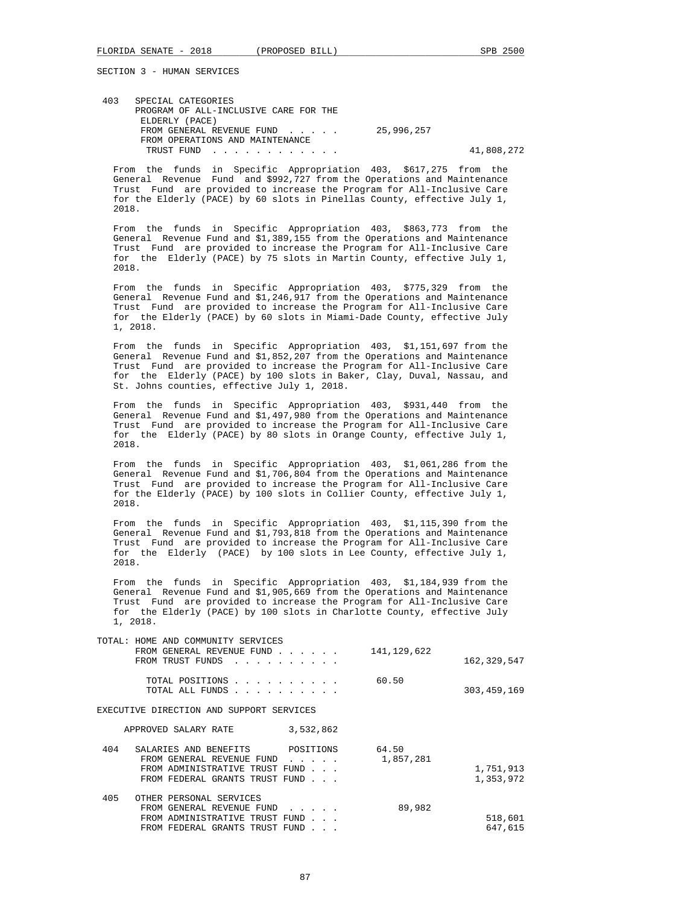| 403 | SPECIAL CATEGORIES                    |            |            |
|-----|---------------------------------------|------------|------------|
|     | PROGRAM OF ALL-INCLUSIVE CARE FOR THE |            |            |
|     | ELDERLY (PACE)                        |            |            |
|     | FROM GENERAL REVENUE FUND             | 25,996,257 |            |
|     | FROM OPERATIONS AND MAINTENANCE       |            |            |
|     | TRUST FUND                            |            | 41,808,272 |

 From the funds in Specific Appropriation 403, \$617,275 from the General Revenue Fund and \$992,727 from the Operations and Maintenance Trust Fund are provided to increase the Program for All-Inclusive Care for the Elderly (PACE) by 60 slots in Pinellas County, effective July 1, 2018.

 From the funds in Specific Appropriation 403, \$863,773 from the General Revenue Fund and \$1,389,155 from the Operations and Maintenance Trust Fund are provided to increase the Program for All-Inclusive Care for the Elderly (PACE) by 75 slots in Martin County, effective July 1, 2018.

 From the funds in Specific Appropriation 403, \$775,329 from the General Revenue Fund and \$1,246,917 from the Operations and Maintenance Trust Fund are provided to increase the Program for All-Inclusive Care for the Elderly (PACE) by 60 slots in Miami-Dade County, effective July 1, 2018.

 From the funds in Specific Appropriation 403, \$1,151,697 from the General Revenue Fund and  $$1,852,207$  from the Operations and Maintenance Trust Fund are provided to increase the Program for All-Inclusive Care for the Elderly (PACE) by 100 slots in Baker, Clay, Duval, Nassau, and St. Johns counties, effective July 1, 2018.

 From the funds in Specific Appropriation 403, \$931,440 from the General Revenue Fund and \$1,497,980 from the Operations and Maintenance Trust Fund are provided to increase the Program for All-Inclusive Care for the Elderly (PACE) by 80 slots in Orange County, effective July 1, 2018.

 From the funds in Specific Appropriation 403, \$1,061,286 from the General Revenue Fund and \$1,706,804 from the Operations and Maintenance Trust Fund are provided to increase the Program for All-Inclusive Care for the Elderly (PACE) by 100 slots in Collier County, effective July 1, 2018.

 From the funds in Specific Appropriation 403, \$1,115,390 from the General Revenue Fund and \$1,793,818 from the Operations and Maintenance Trust Fund are provided to increase the Program for All-Inclusive Care for the Elderly (PACE) by 100 slots in Lee County, effective July 1, 2018.

 From the funds in Specific Appropriation 403, \$1,184,939 from the General Revenue Fund and \$1,905,669 from the Operations and Maintenance Trust Fund are provided to increase the Program for All-Inclusive Care for the Elderly (PACE) by 100 slots in Charlotte County, effective July 1, 2018.

| TOTAL: HOME AND COMMUNITY SERVICES<br>FROM GENERAL REVENUE FUND<br>$\mathbf{r}$ , $\mathbf{r}$ , $\mathbf{r}$ , $\mathbf{r}$ , $\mathbf{r}$ , $\mathbf{r}$ , $\mathbf{r}$ , $\mathbf{r}$ | 141,129,622 | 162, 329, 547 |
|------------------------------------------------------------------------------------------------------------------------------------------------------------------------------------------|-------------|---------------|
| and a series and a series of<br>$\mathbf{r}$ , $\mathbf{r}$ , $\mathbf{r}$ , $\mathbf{r}$ , $\mathbf{r}$ , $\mathbf{r}$ , $\mathbf{r}$                                                   | 60.50       | 303, 459, 169 |
| EXECUTIVE DIRECTION AND SUPPORT SERVICES                                                                                                                                                 |             |               |
| 3,532,862                                                                                                                                                                                |             |               |
| POSITIONS                                                                                                                                                                                | 64.50       |               |
| FROM GENERAL REVENUE FUND                                                                                                                                                                | 1,857,281   |               |
| FROM ADMINISTRATIVE TRUST FUND                                                                                                                                                           |             | 1,751,913     |
| FROM FEDERAL GRANTS TRUST FUND                                                                                                                                                           |             | 1,353,972     |
|                                                                                                                                                                                          |             |               |
| FROM GENERAL REVENUE FUND<br>$\mathbf{r}$ and $\mathbf{r}$ and $\mathbf{r}$                                                                                                              | 89,982      |               |
| FROM ADMINISTRATIVE TRUST FUND                                                                                                                                                           |             | 518,601       |
| FROM FEDERAL GRANTS TRUST FUND                                                                                                                                                           |             | 647,615       |
|                                                                                                                                                                                          |             |               |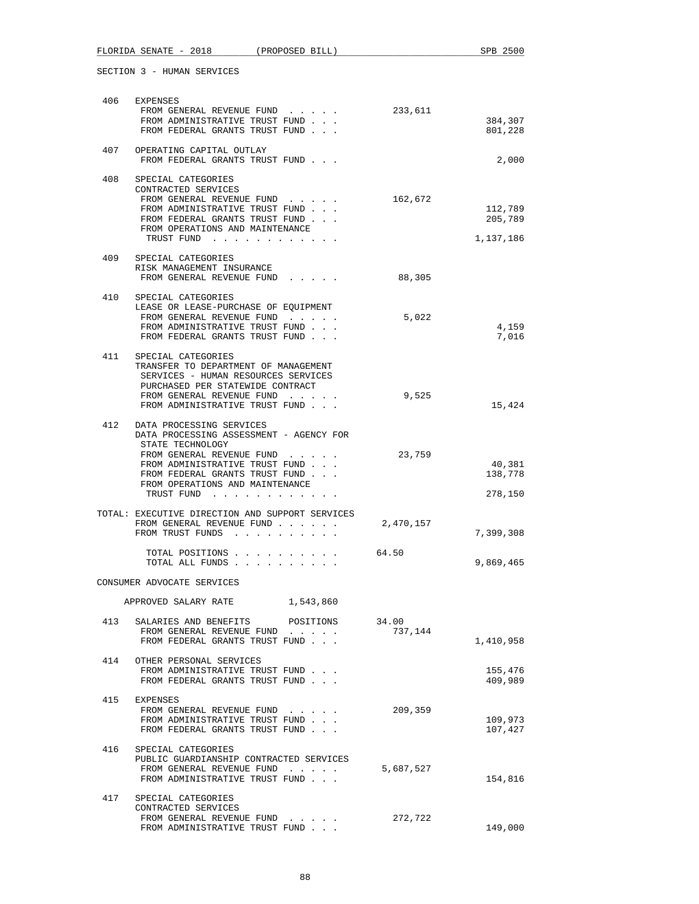| 406 | EXPENSES                                                                                                                                                                                                                                      |                  |                                 |
|-----|-----------------------------------------------------------------------------------------------------------------------------------------------------------------------------------------------------------------------------------------------|------------------|---------------------------------|
|     | FROM GENERAL REVENUE FUND<br>FROM ADMINISTRATIVE TRUST FUND<br>FROM FEDERAL GRANTS TRUST FUND                                                                                                                                                 | 233,611          | 384,307<br>801,228              |
| 407 | OPERATING CAPITAL OUTLAY<br>FROM FEDERAL GRANTS TRUST FUND                                                                                                                                                                                    |                  | 2,000                           |
| 408 | SPECIAL CATEGORIES<br>CONTRACTED SERVICES<br>FROM GENERAL REVENUE FUND<br>FROM ADMINISTRATIVE TRUST FUND<br>FROM FEDERAL GRANTS TRUST FUND<br>FROM OPERATIONS AND MAINTENANCE<br>TRUST FUND                                                   | 162,672          | 112,789<br>205,789<br>1,137,186 |
| 409 | SPECIAL CATEGORIES<br>RISK MANAGEMENT INSURANCE<br>FROM GENERAL REVENUE FUND                                                                                                                                                                  | 88,305           |                                 |
| 410 | SPECIAL CATEGORIES<br>LEASE OR LEASE-PURCHASE OF EQUIPMENT<br>FROM GENERAL REVENUE FUND<br>FROM ADMINISTRATIVE TRUST FUND<br>FROM FEDERAL GRANTS TRUST FUND                                                                                   | 5,022            | 4,159<br>7,016                  |
|     | 411 SPECIAL CATEGORIES<br>TRANSFER TO DEPARTMENT OF MANAGEMENT<br>SERVICES - HUMAN RESOURCES SERVICES<br>PURCHASED PER STATEWIDE CONTRACT<br>FROM GENERAL REVENUE FUND<br>FROM ADMINISTRATIVE TRUST FUND                                      | 9,525            | 15,424                          |
|     | 412 DATA PROCESSING SERVICES<br>DATA PROCESSING ASSESSMENT - AGENCY FOR<br>STATE TECHNOLOGY<br>FROM GENERAL REVENUE FUND<br>FROM ADMINISTRATIVE TRUST FUND<br>FROM FEDERAL GRANTS TRUST FUND<br>FROM OPERATIONS AND MAINTENANCE<br>TRUST FUND | 23,759           | 40,381<br>138,778<br>278,150    |
|     | TOTAL: EXECUTIVE DIRECTION AND SUPPORT SERVICES<br>FROM GENERAL REVENUE FUND<br>FROM TRUST FUNDS                                                                                                                                              | 2,470,157        | 7,399,308                       |
|     | TOTAL POSITIONS<br>TOTAL ALL FUNDS                                                                                                                                                                                                            | 64.50            | 9,869,465                       |
|     | CONSUMER ADVOCATE SERVICES                                                                                                                                                                                                                    |                  |                                 |
|     | 1,543,860<br>APPROVED SALARY RATE                                                                                                                                                                                                             |                  |                                 |
|     | 413 SALARIES AND BENEFITS POSITIONS<br>FROM GENERAL REVENUE FUND<br>FROM FEDERAL GRANTS TRUST FUND                                                                                                                                            | 34.00<br>737,144 | 1,410,958                       |
| 414 | OTHER PERSONAL SERVICES<br>FROM ADMINISTRATIVE TRUST FUND<br>FROM FEDERAL GRANTS TRUST FUND                                                                                                                                                   |                  | 155,476<br>409,989              |
| 415 | EXPENSES<br>FROM GENERAL REVENUE FUND<br>FROM ADMINISTRATIVE TRUST FUND<br>FROM FEDERAL GRANTS TRUST FUND                                                                                                                                     | 209,359          | 109,973<br>107,427              |
| 416 | SPECIAL CATEGORIES<br>PUBLIC GUARDIANSHIP CONTRACTED SERVICES<br>FROM GENERAL REVENUE FUND<br>and the second control of the second<br>FROM ADMINISTRATIVE TRUST FUND                                                                          | 5,687,527        | 154,816                         |
| 417 | SPECIAL CATEGORIES<br>CONTRACTED SERVICES<br>FROM GENERAL REVENUE FUND<br>FROM ADMINISTRATIVE TRUST FUND                                                                                                                                      | 272,722          | 149,000                         |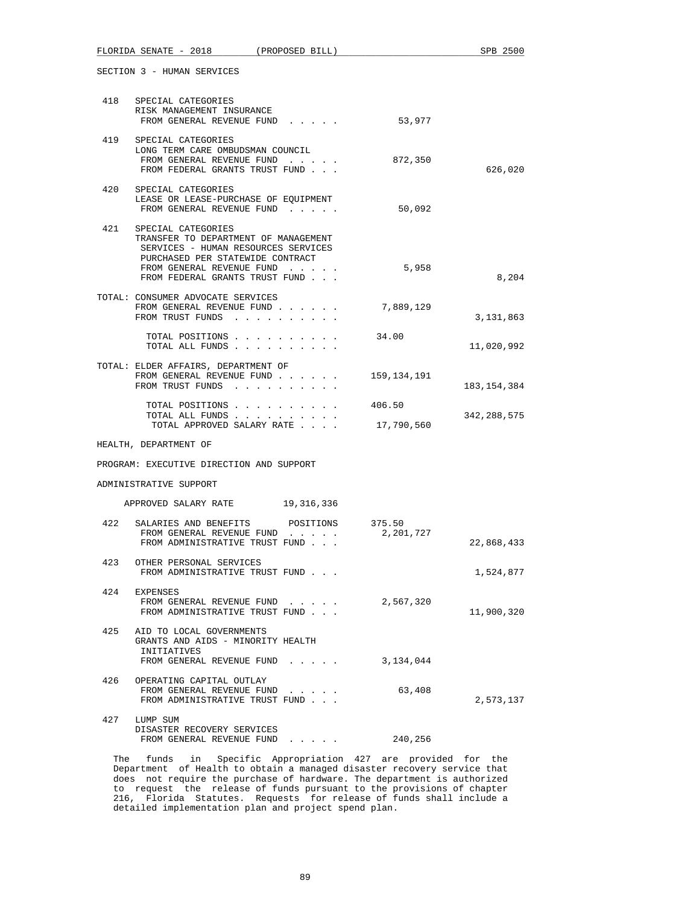| 418 | SPECIAL CATEGORIES<br>RISK MANAGEMENT INSURANCE<br>FROM GENERAL REVENUE FUND                                                                                                                         | 53,977               |               |
|-----|------------------------------------------------------------------------------------------------------------------------------------------------------------------------------------------------------|----------------------|---------------|
| 419 | SPECIAL CATEGORIES<br>LONG TERM CARE OMBUDSMAN COUNCIL<br>FROM GENERAL REVENUE FUND<br>FROM FEDERAL GRANTS TRUST FUND                                                                                | 872,350              | 626,020       |
|     | 420 SPECIAL CATEGORIES<br>LEASE OR LEASE-PURCHASE OF EQUIPMENT<br>FROM GENERAL REVENUE FUND                                                                                                          | 50,092               |               |
| 421 | SPECIAL CATEGORIES<br>TRANSFER TO DEPARTMENT OF MANAGEMENT<br>SERVICES - HUMAN RESOURCES SERVICES<br>PURCHASED PER STATEWIDE CONTRACT<br>FROM GENERAL REVENUE FUND<br>FROM FEDERAL GRANTS TRUST FUND | 5,958                | 8,204         |
|     | TOTAL: CONSUMER ADVOCATE SERVICES<br>FROM GENERAL REVENUE FUND<br>FROM TRUST FUNDS                                                                                                                   | 7,889,129            | 3, 131, 863   |
|     | TOTAL POSITIONS<br>TOTAL ALL FUNDS                                                                                                                                                                   | 34.00                | 11,020,992    |
|     | TOTAL: ELDER AFFAIRS, DEPARTMENT OF<br>FROM GENERAL REVENUE FUND<br>FROM TRUST FUNDS                                                                                                                 | 159,134,191          | 183, 154, 384 |
|     | TOTAL POSITIONS<br>TOTAL ALL FUNDS<br>TOTAL APPROVED SALARY RATE                                                                                                                                     | 406.50<br>17,790,560 | 342,288,575   |
|     | HEALTH, DEPARTMENT OF                                                                                                                                                                                |                      |               |
|     | PROGRAM: EXECUTIVE DIRECTION AND SUPPORT                                                                                                                                                             |                      |               |
|     | ADMINISTRATIVE SUPPORT                                                                                                                                                                               |                      |               |
|     | APPROVED SALARY RATE 19,316,336                                                                                                                                                                      |                      |               |
| 422 | SALARIES AND BENEFITS<br>POSITIONS<br>FROM GENERAL REVENUE FUND<br>FROM ADMINISTRATIVE TRUST FUND                                                                                                    | 375.50<br>2,201,727  | 22,868,433    |
| 423 | OTHER PERSONAL SERVICES<br>FROM ADMINISTRATIVE TRUST FUND                                                                                                                                            |                      | 1,524,877     |
| 424 | EXPENSES<br>FROM GENERAL REVENUE FUND<br>FROM ADMINISTRATIVE TRUST FUND                                                                                                                              | 2,567,320            | 11,900,320    |
| 425 | AID TO LOCAL GOVERNMENTS<br>GRANTS AND AIDS - MINORITY HEALTH<br>INITIATIVES<br>FROM GENERAL REVENUE FUND                                                                                            | 3,134,044            |               |
| 426 | OPERATING CAPITAL OUTLAY<br>FROM GENERAL REVENUE FUND<br>FROM ADMINISTRATIVE TRUST FUND                                                                                                              | 63,408               | 2,573,137     |
| 427 | LUMP SUM<br>DISASTER RECOVERY SERVICES<br>FROM GENERAL REVENUE FUND<br>$\mathbf{1}$ , $\mathbf{1}$ , $\mathbf{1}$ , $\mathbf{1}$ , $\mathbf{1}$                                                      | 240,256              |               |

 The funds in Specific Appropriation 427 are provided for the Department of Health to obtain a managed disaster recovery service that does not require the purchase of hardware. The department is authorized to request the release of funds pursuant to the provisions of chapter 216, Florida Statutes. Requests for release of funds shall include a detailed implementation plan and project spend plan.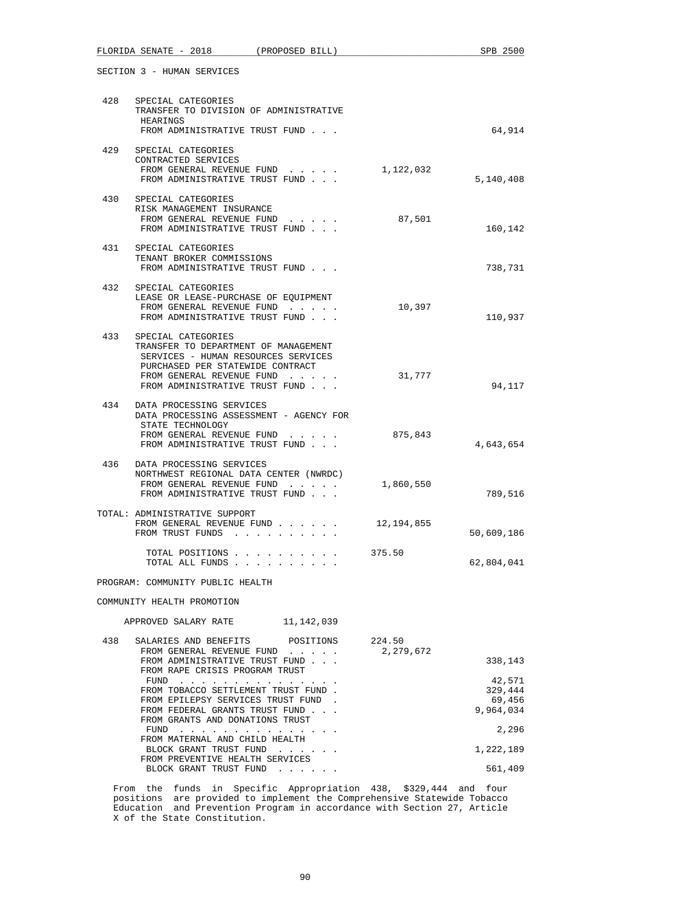|     |                                                     | FLORIDA SENATE - 2018 (PROPOSED BILL)                                                                                                                                          |            |                       | SPB 2500                                 |
|-----|-----------------------------------------------------|--------------------------------------------------------------------------------------------------------------------------------------------------------------------------------|------------|-----------------------|------------------------------------------|
|     | SECTION 3 - HUMAN SERVICES                          |                                                                                                                                                                                |            |                       |                                          |
|     | 428 SPECIAL CATEGORIES<br>HEARINGS                  | TRANSFER TO DIVISION OF ADMINISTRATIVE                                                                                                                                         |            |                       |                                          |
|     |                                                     | FROM ADMINISTRATIVE TRUST FUND                                                                                                                                                 |            |                       | 64,914                                   |
| 429 | SPECIAL CATEGORIES<br>CONTRACTED SERVICES           | FROM GENERAL REVENUE FUND<br>FROM ADMINISTRATIVE TRUST FUND                                                                                                                    |            | 1,122,032             | 5,140,408                                |
|     | 430 SPECIAL CATEGORIES<br>RISK MANAGEMENT INSURANCE | FROM GENERAL REVENUE FUND                                                                                                                                                      |            | 87,501                |                                          |
|     |                                                     | FROM ADMINISTRATIVE TRUST FUND                                                                                                                                                 |            |                       | 160,142                                  |
|     | 431 SPECIAL CATEGORIES<br>TENANT BROKER COMMISSIONS | FROM ADMINISTRATIVE TRUST FUND                                                                                                                                                 |            |                       | 738,731                                  |
| 432 | SPECIAL CATEGORIES                                  | LEASE OR LEASE-PURCHASE OF EQUIPMENT<br>FROM GENERAL REVENUE FUND<br>FROM ADMINISTRATIVE TRUST FUND                                                                            |            | 10,397                | 110,937                                  |
| 433 | SPECIAL CATEGORIES                                  | TRANSFER TO DEPARTMENT OF MANAGEMENT<br>SERVICES - HUMAN RESOURCES SERVICES<br>PURCHASED PER STATEWIDE CONTRACT<br>FROM GENERAL REVENUE FUND<br>FROM ADMINISTRATIVE TRUST FUND |            | 31,777                | 94,117                                   |
| 434 | DATA PROCESSING SERVICES<br>STATE TECHNOLOGY        | DATA PROCESSING ASSESSMENT - AGENCY FOR<br>FROM GENERAL REVENUE FUND<br>FROM ADMINISTRATIVE TRUST FUND                                                                         |            | 875,843               | 4,643,654                                |
|     | 436 DATA PROCESSING SERVICES                        | NORTHWEST REGIONAL DATA CENTER (NWRDC)<br>FROM GENERAL REVENUE FUND<br>FROM ADMINISTRATIVE TRUST FUND                                                                          |            | 1,860,550             | 789,516                                  |
|     | TOTAL: ADMINISTRATIVE SUPPORT                       | FROM GENERAL REVENUE FUND<br>FROM TRUST FUNDS                                                                                                                                  |            | 12,194,855            | 50,609,186                               |
|     |                                                     | TOTAL POSITIONS<br>TOTAL ALL FUNDS                                                                                                                                             |            | 375.50                | 62,804,041                               |
|     | PROGRAM: COMMUNITY PUBLIC HEALTH                    |                                                                                                                                                                                |            |                       |                                          |
|     | COMMUNITY HEALTH PROMOTION                          |                                                                                                                                                                                |            |                       |                                          |
|     | APPROVED SALARY RATE                                |                                                                                                                                                                                | 11,142,039 |                       |                                          |
| 438 |                                                     | SALARIES AND BENEFITS POSITIONS<br>FROM GENERAL REVENUE FUND<br>FROM ADMINISTRATIVE TRUST FUND<br>FROM RAPE CRISIS PROGRAM TRUST                                               |            | 224.50<br>2, 279, 672 | 338,143                                  |
|     |                                                     | $FUND$<br>FROM TOBACCO SETTLEMENT TRUST FUND.<br>FROM EPILEPSY SERVICES TRUST FUND<br>FROM FEDERAL GRANTS TRUST FUND                                                           |            |                       | 42,571<br>329,444<br>69,456<br>9,964,034 |
|     |                                                     | FROM GRANTS AND DONATIONS TRUST<br>$FUND$                                                                                                                                      |            |                       | 2,296                                    |
|     |                                                     | FROM MATERNAL AND CHILD HEALTH<br>BLOCK GRANT TRUST FUND                                                                                                                       |            |                       | 1,222,189                                |
|     |                                                     | FROM PREVENTIVE HEALTH SERVICES<br>BLOCK GRANT TRUST FUND                                                                                                                      |            |                       | 561,409                                  |

 From the funds in Specific Appropriation 438, \$329,444 and four positions are provided to implement the Comprehensive Statewide Tobacco Education and Prevention Program in accordance with Section 27, Article X of the State Constitution.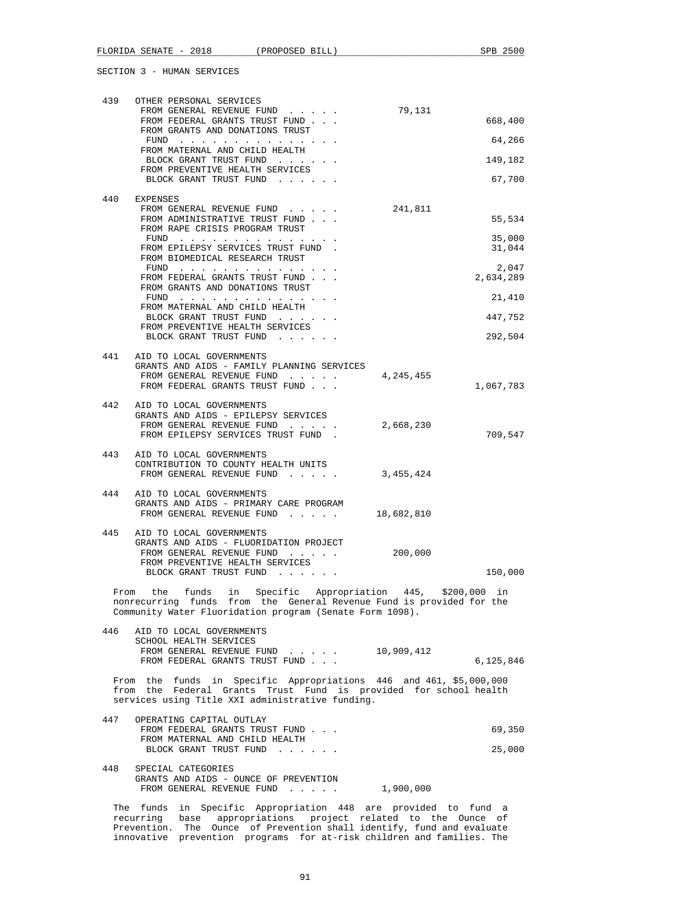| 439 | OTHER PERSONAL SERVICES                                                                                                          |            |                    |
|-----|----------------------------------------------------------------------------------------------------------------------------------|------------|--------------------|
|     | FROM GENERAL REVENUE FUND<br>FROM FEDERAL GRANTS TRUST FUND                                                                      | 79,131     | 668,400            |
|     | FROM GRANTS AND DONATIONS TRUST                                                                                                  |            | 64,266             |
|     | FROM MATERNAL AND CHILD HEALTH<br>BLOCK GRANT TRUST FUND                                                                         |            | 149,182            |
|     | FROM PREVENTIVE HEALTH SERVICES                                                                                                  |            |                    |
|     | BLOCK GRANT TRUST FUND                                                                                                           |            | 67,700             |
| 440 | EXPENSES<br>FROM GENERAL REVENUE FUND                                                                                            | 241,811    |                    |
|     | FROM ADMINISTRATIVE TRUST FUND<br>FROM RAPE CRISIS PROGRAM TRUST                                                                 |            | 55,534             |
|     | FUND                                                                                                                             |            | 35,000             |
|     | FROM EPILEPSY SERVICES TRUST FUND.<br>FROM BIOMEDICAL RESEARCH TRUST                                                             |            | 31,044             |
|     | FUND $\cdots$<br>FROM FEDERAL GRANTS TRUST FUND                                                                                  |            | 2,047<br>2,634,289 |
|     | FROM GRANTS AND DONATIONS TRUST                                                                                                  |            |                    |
|     | FUND $\cdots$<br>FROM MATERNAL AND CHILD HEALTH                                                                                  |            | 21,410             |
|     | BLOCK GRANT TRUST FUND<br>FROM PREVENTIVE HEALTH SERVICES                                                                        |            | 447,752            |
|     | BLOCK GRANT TRUST FUND                                                                                                           |            | 292,504            |
| 441 | AID TO LOCAL GOVERNMENTS                                                                                                         |            |                    |
|     | GRANTS AND AIDS - FAMILY PLANNING SERVICES<br>FROM GENERAL REVENUE FUND                                                          | 4,245,455  |                    |
|     | FROM FEDERAL GRANTS TRUST FUND                                                                                                   |            | 1,067,783          |
|     | 442 AID TO LOCAL GOVERNMENTS                                                                                                     |            |                    |
|     | GRANTS AND AIDS - EPILEPSY SERVICES<br>FROM GENERAL REVENUE FUND                                                                 | 2,668,230  |                    |
|     | FROM EPILEPSY SERVICES TRUST FUND.                                                                                               |            | 709,547            |
| 443 | AID TO LOCAL GOVERNMENTS                                                                                                         |            |                    |
|     | CONTRIBUTION TO COUNTY HEALTH UNITS<br>FROM GENERAL REVENUE FUND                                                                 | 3,455,424  |                    |
| 444 | AID TO LOCAL GOVERNMENTS                                                                                                         |            |                    |
|     | GRANTS AND AIDS - PRIMARY CARE PROGRAM<br>FROM GENERAL REVENUE FUND                                                              | 18,682,810 |                    |
|     |                                                                                                                                  |            |                    |
| 445 | AID TO LOCAL GOVERNMENTS<br>GRANTS AND AIDS - FLUORIDATION PROJECT                                                               |            |                    |
|     | FROM GENERAL REVENUE FUND<br>FROM PREVENTIVE HEALTH SERVICES                                                                     | 200,000    |                    |
|     | BLOCK GRANT TRUST FUND                                                                                                           |            | 150,000            |
|     | From the funds in Specific Appropriation 445, \$200,000 in                                                                       |            |                    |
|     | nonrecurring funds from the General Revenue Fund is provided for the<br>Community Water Fluoridation program (Senate Form 1098). |            |                    |
| 446 | AID TO LOCAL GOVERNMENTS                                                                                                         |            |                    |
|     | SCHOOL HEALTH SERVICES                                                                                                           |            |                    |
|     | FROM GENERAL REVENUE FUND 10,909,412<br>FROM FEDERAL GRANTS TRUST FUND                                                           |            | 6,125,846          |
|     | From the funds in Specific Appropriations 446 and 461, \$5,000,000                                                               |            |                    |
|     | from the Federal Grants Trust Fund is provided for school health                                                                 |            |                    |
|     | services using Title XXI administrative funding.                                                                                 |            |                    |
| 447 | OPERATING CAPITAL OUTLAY<br>FROM FEDERAL GRANTS TRUST FUND                                                                       |            | 69,350             |
|     | FROM MATERNAL AND CHILD HEALTH<br>BLOCK GRANT TRUST FUND                                                                         |            | 25,000             |
|     |                                                                                                                                  |            |                    |
| 448 | SPECIAL CATEGORIES<br>GRANTS AND AIDS - OUNCE OF PREVENTION                                                                      |            |                    |
|     | FROM GENERAL REVENUE FUND                                                                                                        | 1,900,000  |                    |
|     | The funds in Specific Appropriation 448 are provided to fund a                                                                   |            |                    |
|     | recurring base appropriations project related to the Ounce of                                                                    |            |                    |

 Prevention. The Ounce of Prevention shall identify, fund and evaluate innovative prevention programs for at-risk children and families. The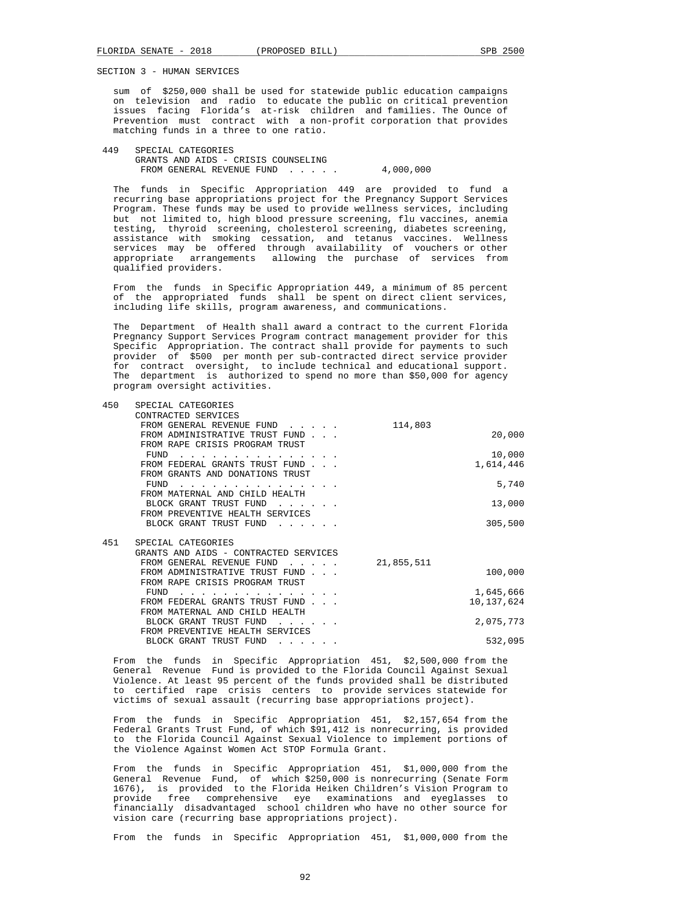sum of \$250,000 shall be used for statewide public education campaigns on television and radio to educate the public on critical prevention issues facing Florida's at-risk children and families. The Ounce of Prevention must contract with a non-profit corporation that provides matching funds in a three to one ratio.

 449 SPECIAL CATEGORIES GRANTS AND AIDS - CRISIS COUNSELING FROM GENERAL REVENUE FUND . . . . . 4,000,000

 The funds in Specific Appropriation 449 are provided to fund a recurring base appropriations project for the Pregnancy Support Services Program. These funds may be used to provide wellness services, including but not limited to, high blood pressure screening, flu vaccines, anemia testing, thyroid screening, cholesterol screening, diabetes screening, assistance with smoking cessation, and tetanus vaccines. Wellness services may be offered through availability of vouchers or other appropriate arrangements allowing the purchase of services from qualified providers.

 From the funds in Specific Appropriation 449, a minimum of 85 percent of the appropriated funds shall be spent on direct client services, including life skills, program awareness, and communications.

 The Department of Health shall award a contract to the current Florida Pregnancy Support Services Program contract management provider for this Specific Appropriation. The contract shall provide for payments to such provider of \$500 per month per sub-contracted direct service provider for contract oversight, to include technical and educational support. The department is authorized to spend no more than \$50,000 for agency program oversight activities.

| 450 | SPECIAL CATEGORIES                    |            |            |
|-----|---------------------------------------|------------|------------|
|     | CONTRACTED SERVICES                   |            |            |
|     | FROM GENERAL REVENUE FUND             | 114,803    |            |
|     | FROM ADMINISTRATIVE TRUST FUND        |            | 20,000     |
|     | FROM RAPE CRISIS PROGRAM TRUST        |            |            |
|     | FUND                                  |            | 10,000     |
|     | FROM FEDERAL GRANTS TRUST FUND        |            | 1,614,446  |
|     | FROM GRANTS AND DONATIONS TRUST       |            |            |
|     | FUND                                  |            | 5,740      |
|     | FROM MATERNAL AND CHILD HEALTH        |            |            |
|     | BLOCK GRANT TRUST FUND                |            | 13,000     |
|     | FROM PREVENTIVE HEALTH SERVICES       |            |            |
|     | BLOCK GRANT TRUST FUND                |            | 305,500    |
|     |                                       |            |            |
| 451 | SPECIAL CATEGORIES                    |            |            |
|     | GRANTS AND AIDS - CONTRACTED SERVICES |            |            |
|     | FROM GENERAL REVENUE FUND             | 21,855,511 |            |
|     | FROM ADMINISTRATIVE TRUST FUND        |            | 100,000    |
|     | FROM RAPE CRISIS PROGRAM TRUST        |            |            |
|     | FUND                                  |            | 1,645,666  |
|     | FROM FEDERAL GRANTS TRUST FUND        |            | 10,137,624 |
|     | FROM MATERNAL AND CHILD HEALTH        |            |            |
|     | BLOCK GRANT TRUST FUND                |            | 2,075,773  |
|     | FROM PREVENTIVE HEALTH SERVICES       |            |            |
|     | BLOCK GRANT TRUST FUND                |            | 532.095    |
|     |                                       |            |            |

 From the funds in Specific Appropriation 451, \$2,500,000 from the General Revenue Fund is provided to the Florida Council Against Sexual Violence. At least 95 percent of the funds provided shall be distributed to certified rape crisis centers to provide services statewide for victims of sexual assault (recurring base appropriations project).

 From the funds in Specific Appropriation 451, \$2,157,654 from the Federal Grants Trust Fund, of which \$91,412 is nonrecurring, is provided to the Florida Council Against Sexual Violence to implement portions of the Violence Against Women Act STOP Formula Grant.

 From the funds in Specific Appropriation 451, \$1,000,000 from the General Revenue Fund, of which \$250,000 is nonrecurring (Senate Form 1676), is provided to the Florida Heiken Children's Vision Program to provide free comprehensive eye examinations and eyeglasses to financially disadvantaged school children who have no other source for vision care (recurring base appropriations project).

From the funds in Specific Appropriation 451, \$1,000,000 from the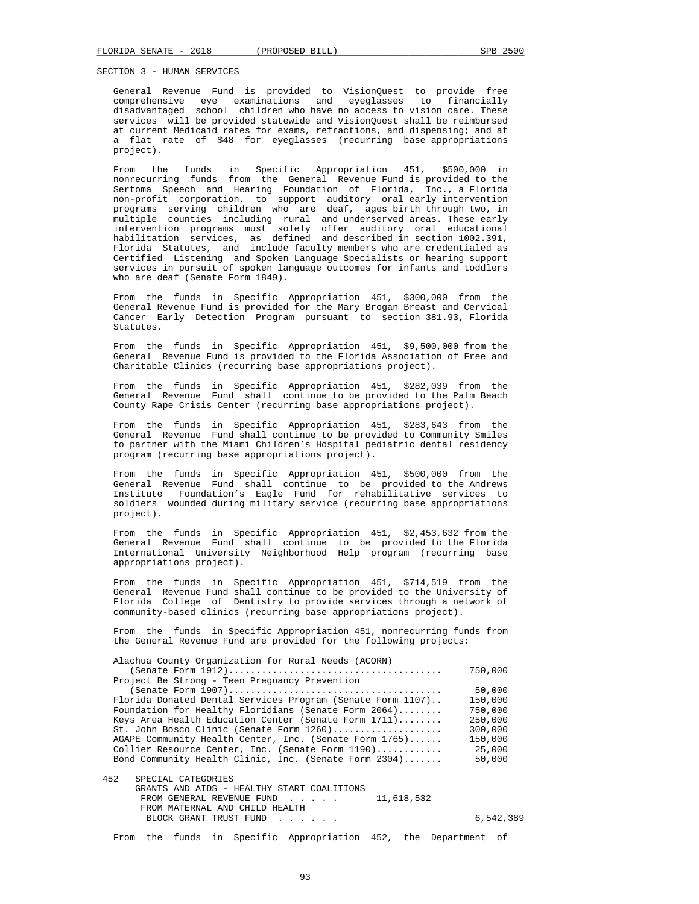General Revenue Fund is provided to VisionQuest to provide free comprehensive eye examinations and eyeglasses to financially disadvantaged school children who have no access to vision care. These services will be provided statewide and VisionQuest shall be reimbursed at current Medicaid rates for exams, refractions, and dispensing; and at a flat rate of \$48 for eyeglasses (recurring base appropriations project).

 From the funds in Specific Appropriation 451, \$500,000 in nonrecurring funds from the General Revenue Fund is provided to the Sertoma Speech and Hearing Foundation of Florida, Inc., a Florida non-profit corporation, to support auditory oral early intervention programs serving children who are deaf, ages birth through two, in multiple counties including rural and underserved areas. These early intervention programs must solely offer auditory oral educational habilitation services, as defined and described in section 1002.391, Florida Statutes, and include faculty members who are credentialed as Certified Listening and Spoken Language Specialists or hearing support services in pursuit of spoken language outcomes for infants and toddlers who are deaf (Senate Form 1849).

 From the funds in Specific Appropriation 451, \$300,000 from the General Revenue Fund is provided for the Mary Brogan Breast and Cervical Cancer Early Detection Program pursuant to section 381.93, Florida Statutes.

 From the funds in Specific Appropriation 451, \$9,500,000 from the General Revenue Fund is provided to the Florida Association of Free and Charitable Clinics (recurring base appropriations project).

 From the funds in Specific Appropriation 451, \$282,039 from the General Revenue Fund shall continue to be provided to the Palm Beach County Rape Crisis Center (recurring base appropriations project).

 From the funds in Specific Appropriation 451, \$283,643 from the General Revenue Fund shall continue to be provided to Community Smiles to partner with the Miami Children's Hospital pediatric dental residency program (recurring base appropriations project).

 From the funds in Specific Appropriation 451, \$500,000 from the General Revenue Fund shall continue to be provided to the Andrews Institute Foundation's Eagle Fund for rehabilitative services to soldiers wounded during military service (recurring base appropriations project).

 From the funds in Specific Appropriation 451, \$2,453,632 from the General Revenue Fund shall continue to be provided to the Florida International University Neighborhood Help program (recurring base appropriations project).

 From the funds in Specific Appropriation 451, \$714,519 from the General Revenue Fund shall continue to be provided to the University of Florida College of Dentistry to provide services through a network of community-based clinics (recurring base appropriations project).

 From the funds in Specific Appropriation 451, nonrecurring funds from the General Revenue Fund are provided for the following projects:

| Alachua County Organization for Rural Needs (ACORN)                          |           |
|------------------------------------------------------------------------------|-----------|
|                                                                              | 750,000   |
| Project Be Strong - Teen Pregnancy Prevention                                |           |
|                                                                              | 50,000    |
| Florida Donated Dental Services Program (Senate Form 1107)                   | 150,000   |
| Foundation for Healthy Floridians (Senate Form 2064)                         | 750,000   |
| Keys Area Health Education Center (Senate Form 1711)                         | 250,000   |
| St. John Bosco Clinic (Senate Form 1260)                                     | 300,000   |
| AGAPE Community Health Center, Inc. (Senate Form 1765)                       | 150,000   |
| Collier Resource Center, Inc. (Senate Form 1190)                             | 25,000    |
| Bond Community Health Clinic, Inc. (Senate Form 2304)                        | 50,000    |
|                                                                              |           |
| 452<br>SPECIAL CATEGORIES                                                    |           |
| GRANTS AND AIDS - HEALTHY START COALITIONS                                   |           |
| 11,618,532<br>FROM GENERAL REVENUE FUND<br>and the state of the state of the |           |
| FROM MATERNAL AND CHILD HEALTH                                               |           |
| BLOCK GRANT TRUST FUND                                                       | 6,542,389 |

From the funds in Specific Appropriation 452, the Department of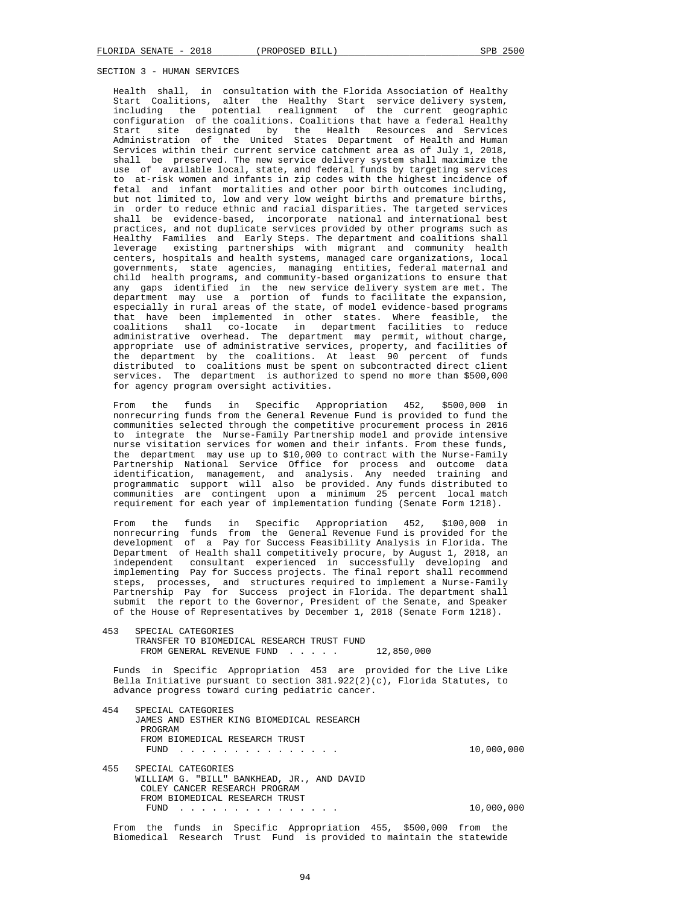Health shall, in consultation with the Florida Association of Healthy Start Coalitions, alter the Healthy Start service delivery system, including the potential realignment of the current geographic configuration of the coalitions. Coalitions that have a federal Healthy Start site designated by the Health Resources and Services Administration of the United States Department of Health and Human Services within their current service catchment area as of July 1, 2018, shall be preserved. The new service delivery system shall maximize the use of available local, state, and federal funds by targeting services to at-risk women and infants in zip codes with the highest incidence of fetal and infant mortalities and other poor birth outcomes including, but not limited to, low and very low weight births and premature births, in order to reduce ethnic and racial disparities. The targeted services shall be evidence-based, incorporate national and international best practices, and not duplicate services provided by other programs such as Healthy Families and Early Steps. The department and coalitions shall leverage existing partnerships with migrant and community health centers, hospitals and health systems, managed care organizations, local governments, state agencies, managing entities, federal maternal and child health programs, and community-based organizations to ensure that any gaps identified in the new service delivery system are met. The department may use a portion of funds to facilitate the expansion, especially in rural areas of the state, of model evidence-based programs that have been implemented in other states. Where feasible, the coalitions shall co-locate in department facilities to reduce administrative overhead. The department may permit, without charge, appropriate use of administrative services, property, and facilities of the department by the coalitions. At least 90 percent of funds distributed to coalitions must be spent on subcontracted direct client services. The department is authorized to spend no more than \$500,000 for agency program oversight activities.

 From the funds in Specific Appropriation 452, \$500,000 in nonrecurring funds from the General Revenue Fund is provided to fund the communities selected through the competitive procurement process in 2016 to integrate the Nurse-Family Partnership model and provide intensive nurse visitation services for women and their infants. From these funds, the department may use up to \$10,000 to contract with the Nurse-Family Partnership National Service Office for process and outcome data identification, management, and analysis. Any needed training and programmatic support will also be provided. Any funds distributed to communities are contingent upon a minimum 25 percent local match requirement for each year of implementation funding (Senate Form 1218).

 From the funds in Specific Appropriation 452, \$100,000 in nonrecurring funds from the General Revenue Fund is provided for the development of a Pay for Success Feasibility Analysis in Florida. The Department of Health shall competitively procure, by August 1, 2018, an independent consultant experienced in successfully developing and implementing Pay for Success projects. The final report shall recommend steps, processes, and structures required to implement a Nurse-Family Partnership Pay for Success project in Florida. The department shall submit the report to the Governor, President of the Senate, and Speaker of the House of Representatives by December 1, 2018 (Senate Form 1218).

 453 SPECIAL CATEGORIES TRANSFER TO BIOMEDICAL RESEARCH TRUST FUND FROM GENERAL REVENUE FUND . . . . . 12,850,000

 Funds in Specific Appropriation 453 are provided for the Live Like Bella Initiative pursuant to section  $381.922(2)(c)$ , Florida Statutes, to advance progress toward curing pediatric cancer.

 454 SPECIAL CATEGORIES JAMES AND ESTHER KING BIOMEDICAL RESEARCH PROGRAM FROM BIOMEDICAL RESEARCH TRUST FUND . . . . . . . . . . . . . . . 10,000,000 455 SPECIAL CATEGORIES WILLIAM G. "BILL" BANKHEAD, JR., AND DAVID COLEY CANCER RESEARCH PROGRAM FROM BIOMEDICAL RESEARCH TRUST FUND . . . . . . . . . . . . . . . 10,000,000 From the funds in Specific Appropriation 455, \$500,000 from the

Biomedical Research Trust Fund is provided to maintain the statewide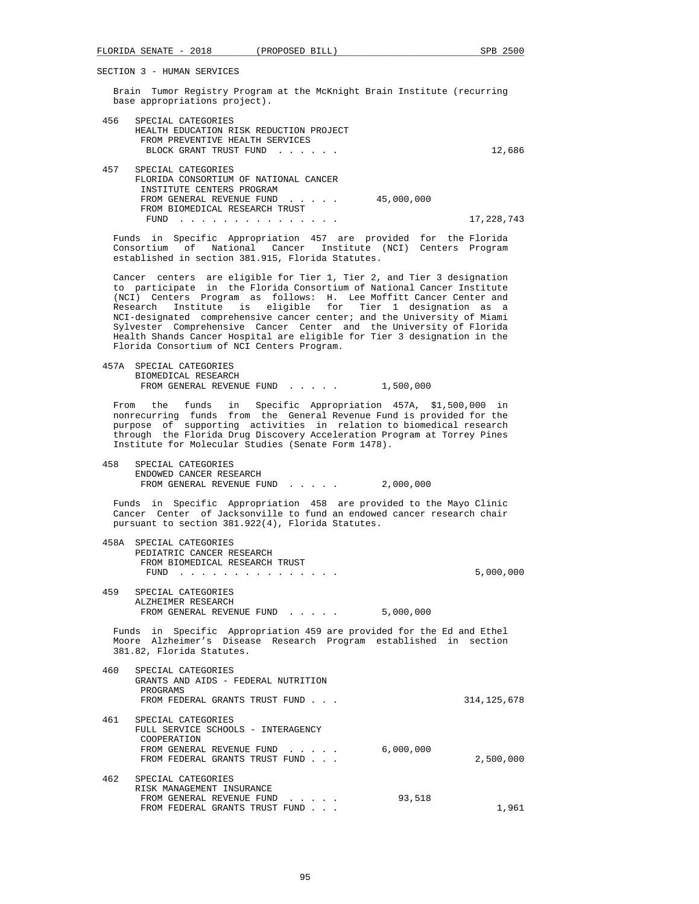FROM BIOMEDICAL RESEARCH TRUST

SECTION 3 - HUMAN SERVICES

 Brain Tumor Registry Program at the McKnight Brain Institute (recurring base appropriations project).

| 456 | SPECIAL CATEGORIES                      |        |
|-----|-----------------------------------------|--------|
|     | HEALTH EDUCATION RISK REDUCTION PROJECT |        |
|     | FROM PREVENTIVE HEALTH SERVICES         |        |
|     | BLOCK GRANT TRUST FUND                  | 12,686 |
|     |                                         |        |
| 457 | SPECIAL CATEGORIES                      |        |
|     | FLORIDA CONSORTIUM OF NATIONAL CANCER   |        |
|     | INSTITUTE CENTERS PROGRAM               |        |
|     | 45,000,000<br>FROM GENERAL REVENUE FUND |        |

FUND . . . . . . . . . . . . . . . 17,228,743

 Funds in Specific Appropriation 457 are provided for the Florida Consortium of National Cancer Institute (NCI) Centers Program established in section 381.915, Florida Statutes.

 Cancer centers are eligible for Tier 1, Tier 2, and Tier 3 designation to participate in the Florida Consortium of National Cancer Institute (NCI) Centers Program as follows: H. Lee Moffitt Cancer Center and Research Institute is eligible for Tier 1 designation as a NCI-designated comprehensive cancer center; and the University of Miami Sylvester Comprehensive Cancer Center and the University of Florida Health Shands Cancer Hospital are eligible for Tier 3 designation in the Florida Consortium of NCI Centers Program.

 457A SPECIAL CATEGORIES BIOMEDICAL RESEARCH FROM GENERAL REVENUE FUND . . . . . 1,500,000

 From the funds in Specific Appropriation 457A, \$1,500,000 in nonrecurring funds from the General Revenue Fund is provided for the purpose of supporting activities in relation to biomedical research through the Florida Drug Discovery Acceleration Program at Torrey Pines Institute for Molecular Studies (Senate Form 1478).

 458 SPECIAL CATEGORIES ENDOWED CANCER RESEARCH FROM GENERAL REVENUE FUND . . . . . 2,000,000

 Funds in Specific Appropriation 458 are provided to the Mayo Clinic Cancer Center of Jacksonville to fund an endowed cancer research chair pursuant to section 381.922(4), Florida Statutes.

|     | 458A SPECIAL CATEGORIES        |           |
|-----|--------------------------------|-----------|
|     | PEDIATRIC CANCER RESEARCH      |           |
|     | FROM BIOMEDICAL RESEARCH TRUST |           |
|     | FUND                           | 5,000,000 |
|     |                                |           |
| 459 | SPECIAL CATEGORIES             |           |
|     | ALZHEIMER RESEARCH             |           |

FROM GENERAL REVENUE FUND . . . . . 5,000,000 Funds in Specific Appropriation 459 are provided for the Ed and Ethel Moore Alzheimer's Disease Research Program established in section

|  | 381.82, Florida Statutes. |  |
|--|---------------------------|--|
|  |                           |  |

| 460 | SPECIAL CATEGORIES<br>GRANTS AND AIDS - FEDERAL NUTRITION<br>PROGRAMS<br>FROM FEDERAL GRANTS TRUST FUND                                                                                               | 314, 125, 678 |
|-----|-------------------------------------------------------------------------------------------------------------------------------------------------------------------------------------------------------|---------------|
| 461 | SPECIAL CATEGORIES<br>FULL SERVICE SCHOOLS - INTERAGENCY<br>COOPERATION<br>6,000,000<br>FROM GENERAL REVENUE FUND<br>$\mathbf{r}$ and $\mathbf{r}$ and $\mathbf{r}$<br>FROM FEDERAL GRANTS TRUST FUND | 2,500,000     |
| 462 | SPECIAL CATEGORIES<br>RISK MANAGEMENT INSURANCE<br>93,518<br>FROM GENERAL REVENUE FUND<br>$\cdot$ $\cdot$ $\cdot$ $\cdot$ $\cdot$<br>FROM FEDERAL GRANTS TRUST FUND                                   | 1,961         |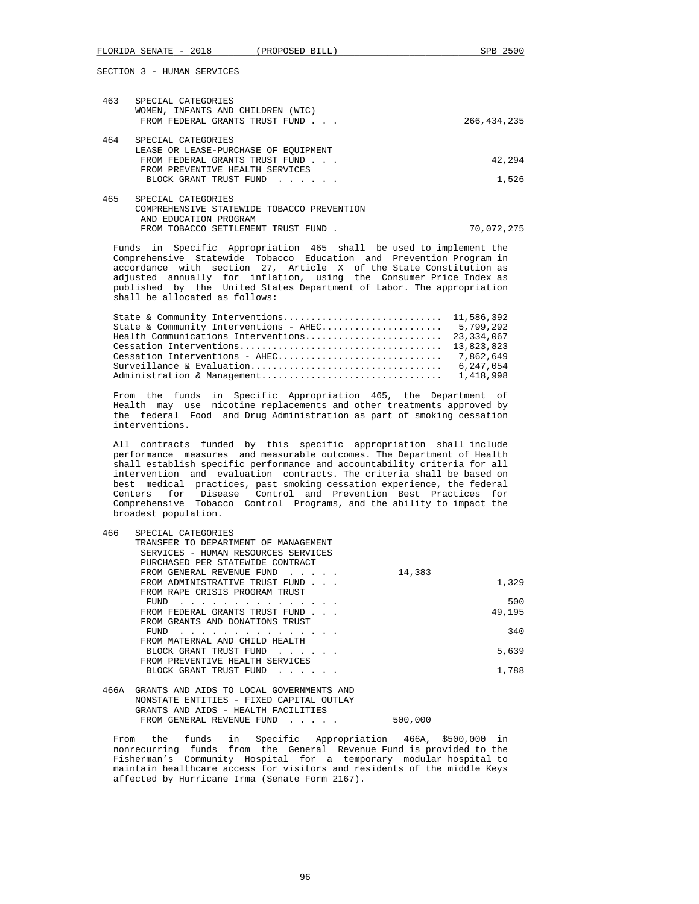| 463 | SPECIAL CATEGORIES<br>WOMEN, INFANTS AND CHILDREN (WIC)<br>FROM FEDERAL GRANTS TRUST FUND | 266, 434, 235 |
|-----|-------------------------------------------------------------------------------------------|---------------|
| 464 | SPECIAL CATEGORIES                                                                        |               |
|     | LEASE OR LEASE-PURCHASE OF EOUIPMENT                                                      |               |
|     | FROM FEDERAL GRANTS TRUST FUND                                                            | 42,294        |
|     | FROM PREVENTIVE HEALTH SERVICES                                                           |               |
|     | BLOCK GRANT TRUST FUND                                                                    | 1,526         |
| 465 | SPECIAL CATEGORIES                                                                        |               |
|     | COMPREHENSIVE STATEWIDE TOBACCO PREVENTION                                                |               |
|     | AND EDUCATION PROGRAM                                                                     |               |
|     | FROM TOBACCO SETTLEMENT TRUST FUND                                                        | 70,072,275    |
|     |                                                                                           |               |

 Funds in Specific Appropriation 465 shall be used to implement the Comprehensive Statewide Tobacco Education and Prevention Program in accordance with section 27, Article X of the State Constitution as adjusted annually for inflation, using the Consumer Price Index as published by the United States Department of Labor. The appropriation shall be allocated as follows:

| 6,247,054 |
|-----------|
|           |

 From the funds in Specific Appropriation 465, the Department of Health may use nicotine replacements and other treatments approved by the federal Food and Drug Administration as part of smoking cessation interventions.

 All contracts funded by this specific appropriation shall include performance measures and measurable outcomes. The Department of Health shall establish specific performance and accountability criteria for all intervention and evaluation contracts. The criteria shall be based on best medical practices, past smoking cessation experience, the federal Centers for Disease Control and Prevention Best Practices for Comprehensive Tobacco Control Programs, and the ability to impact the broadest population.

| 466  | SPECIAL CATEGORIES<br>TRANSFER TO DEPARTMENT OF MANAGEMENT<br>SERVICES - HUMAN RESOURCES SERVICES<br>PURCHASED PER STATEWIDE CONTRACT |        |        |
|------|---------------------------------------------------------------------------------------------------------------------------------------|--------|--------|
|      | FROM GENERAL REVENUE FUND                                                                                                             | 14,383 |        |
|      | FROM ADMINISTRATIVE TRUST FUND<br>FROM RAPE CRISIS PROGRAM TRUST                                                                      |        | 1,329  |
|      | FUND                                                                                                                                  |        | 500    |
|      | FROM FEDERAL GRANTS TRUST FUND                                                                                                        |        | 49,195 |
|      | FROM GRANTS AND DONATIONS TRUST                                                                                                       |        |        |
|      | FUND                                                                                                                                  |        | 340    |
|      | FROM MATERNAL AND CHILD HEALTH                                                                                                        |        |        |
|      | BLOCK GRANT TRUST FUND<br>and a strategic control of the state of                                                                     |        | 5,639  |
|      | FROM PREVENTIVE HEALTH SERVICES                                                                                                       |        |        |
|      | BLOCK GRANT TRUST FUND                                                                                                                |        | 1,788  |
| 466A | GRANTS AND AIDS TO LOCAL GOVERNMENTS AND                                                                                              |        |        |

## NONSTATE ENTITIES - FIXED CAPITAL OUTLAY GRANTS AND AIDS - HEALTH FACILITIES FROM GENERAL REVENUE FUND . . . . . 500,000

 From the funds in Specific Appropriation 466A, \$500,000 in nonrecurring funds from the General Revenue Fund is provided to the Fisherman's Community Hospital for a temporary modular hospital to maintain healthcare access for visitors and residents of the middle Keys affected by Hurricane Irma (Senate Form 2167).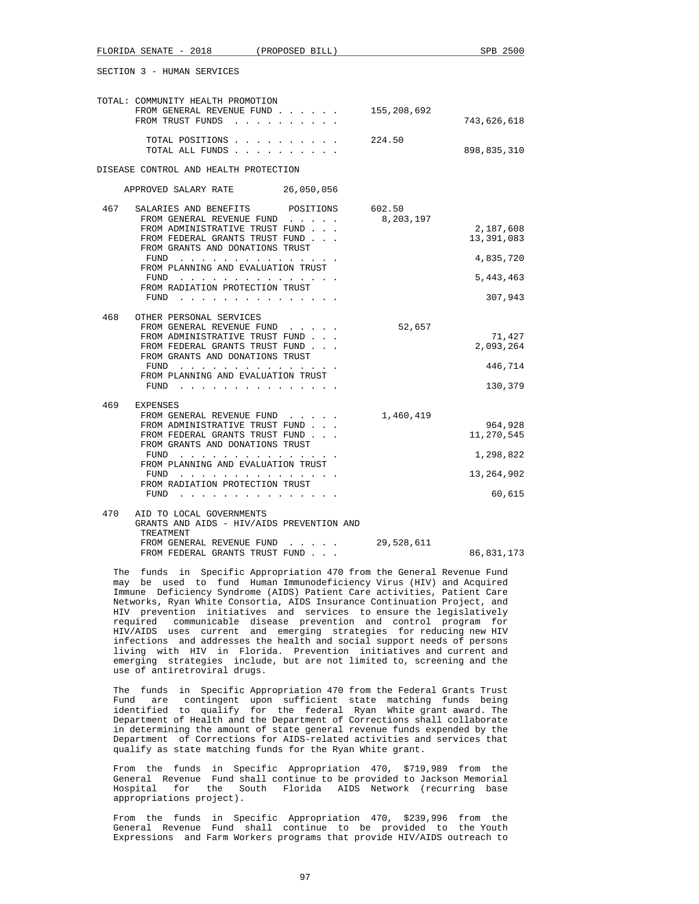|     | TOTAL: COMMUNITY HEALTH PROMOTION<br>FROM GENERAL REVENUE FUND<br>FROM TRUST FUNDS                                                                                                                                                                                                                                                                                         | 155,208,692         | 743,626,618                                                  |
|-----|----------------------------------------------------------------------------------------------------------------------------------------------------------------------------------------------------------------------------------------------------------------------------------------------------------------------------------------------------------------------------|---------------------|--------------------------------------------------------------|
|     | TOTAL POSITIONS<br>TOTAL ALL FUNDS                                                                                                                                                                                                                                                                                                                                         | 224.50              | 898,835,310                                                  |
|     | DISEASE CONTROL AND HEALTH PROTECTION                                                                                                                                                                                                                                                                                                                                      |                     |                                                              |
|     | APPROVED SALARY RATE<br>26,050,056                                                                                                                                                                                                                                                                                                                                         |                     |                                                              |
| 467 | SALARIES AND BENEFITS<br>POSITIONS<br>FROM GENERAL REVENUE FUND<br>FROM ADMINISTRATIVE TRUST FUND<br>FROM FEDERAL GRANTS TRUST FUND<br>FROM GRANTS AND DONATIONS TRUST<br>FUND<br>.<br>FROM PLANNING AND EVALUATION TRUST<br>FUND<br>FROM RADIATION PROTECTION TRUST<br>FUND<br>$\cdots$<br>$\sim$ $\sim$ $\sim$                                                           | 602.50<br>8,203,197 | 2,187,608<br>13,391,083<br>4,835,720<br>5,443,463<br>307,943 |
| 468 | OTHER PERSONAL SERVICES<br>FROM GENERAL REVENUE FUND<br>FROM ADMINISTRATIVE TRUST FUND<br>FROM FEDERAL GRANTS TRUST FUND<br>FROM GRANTS AND DONATIONS TRUST<br>FUND<br><u>.</u><br>FROM PLANNING AND EVALUATION TRUST<br>FUND                                                                                                                                              | 52,657              | 71,427<br>2,093,264<br>446,714<br>130,379                    |
| 469 | EXPENSES<br>FROM GENERAL REVENUE FUND<br>FROM ADMINISTRATIVE TRUST FUND<br>FROM FEDERAL GRANTS TRUST FUND<br>FROM GRANTS AND DONATIONS TRUST<br>FUND<br>.<br>FROM PLANNING AND EVALUATION TRUST<br>FUND<br>.<br>FROM RADIATION PROTECTION TRUST<br>FUND<br>the contract of the contract of the contract of the contract of the contract of the contract of the contract of | 1,460,419           | 964,928<br>11,270,545<br>1,298,822<br>13,264,902<br>60,615   |
| 470 | AID TO LOCAL GOVERNMENTS                                                                                                                                                                                                                                                                                                                                                   |                     |                                                              |

| GRANTS AND AIDS - HIV/AIDS PREVENTION AND |            |            |
|-------------------------------------------|------------|------------|
| TREATMENT                                 |            |            |
| FROM GENERAL REVENUE FUND                 | 29,528,611 |            |
| FROM FEDERAL GRANTS TRUST FUND            |            | 86,831,173 |

 The funds in Specific Appropriation 470 from the General Revenue Fund may be used to fund Human Immunodeficiency Virus (HIV) and Acquired Immune Deficiency Syndrome (AIDS) Patient Care activities, Patient Care Networks, Ryan White Consortia, AIDS Insurance Continuation Project, and HIV prevention initiatives and services to ensure the legislatively required communicable disease prevention and control program for HIV/AIDS uses current and emerging strategies for reducing new HIV infections and addresses the health and social support needs of persons living with HIV in Florida. Prevention initiatives and current and emerging strategies include, but are not limited to, screening and the use of antiretroviral drugs.

 The funds in Specific Appropriation 470 from the Federal Grants Trust Fund are contingent upon sufficient state matching funds being identified to qualify for the federal Ryan White grant award. The Department of Health and the Department of Corrections shall collaborate in determining the amount of state general revenue funds expended by the Department of Corrections for AIDS-related activities and services that qualify as state matching funds for the Ryan White grant.

 From the funds in Specific Appropriation 470, \$719,989 from the General Revenue Fund shall continue to be provided to Jackson Memorial Hospital for the South Florida AIDS Network (recurring base appropriations project).

 From the funds in Specific Appropriation 470, \$239,996 from the General Revenue Fund shall continue to be provided to the Youth Expressions and Farm Workers programs that provide HIV/AIDS outreach to

97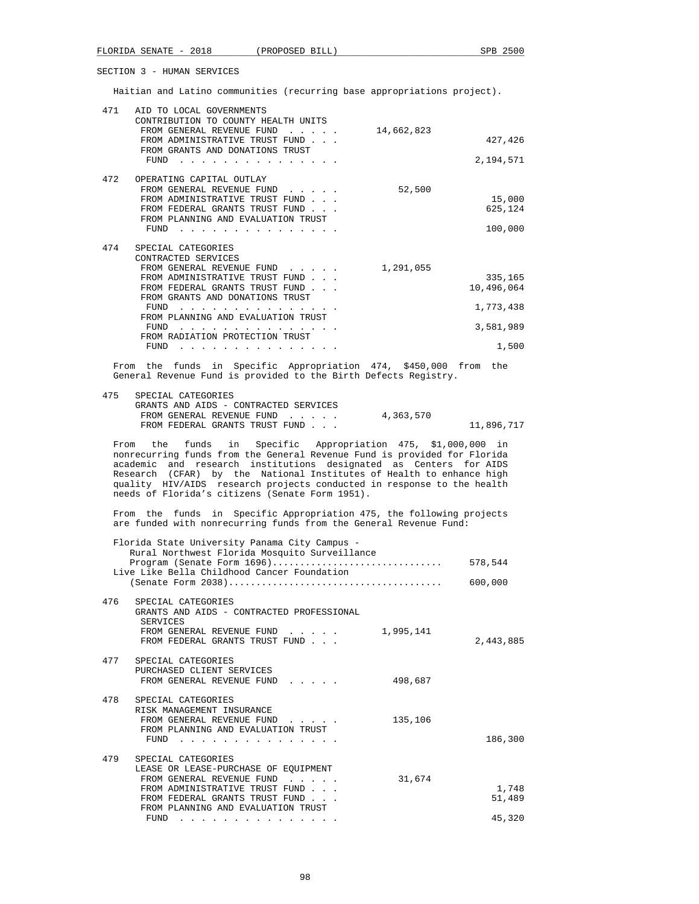Haitian and Latino communities (recurring base appropriations project).

| 471 | AID TO LOCAL GOVERNMENTS<br>CONTRIBUTION TO COUNTY HEALTH UNITS                                 |            |            |
|-----|-------------------------------------------------------------------------------------------------|------------|------------|
|     | FROM GENERAL REVENUE FUND<br>FROM ADMINISTRATIVE TRUST FUND.<br>FROM GRANTS AND DONATIONS TRUST | 14,662,823 | 427,426    |
|     | FUND                                                                                            |            | 2,194,571  |
| 472 | OPERATING CAPITAL OUTLAY                                                                        |            |            |
|     | FROM GENERAL REVENUE FUND<br>FROM ADMINISTRATIVE TRUST FUND                                     | 52,500     | 15,000     |
|     | FROM FEDERAL GRANTS TRUST FUND                                                                  |            | 625,124    |
|     | FROM PLANNING AND EVALUATION TRUST                                                              |            |            |
|     | FUND                                                                                            |            | 100,000    |
| 474 | SPECIAL CATEGORIES                                                                              |            |            |
|     | CONTRACTED SERVICES                                                                             |            |            |
|     | FROM GENERAL REVENUE FUND                                                                       | 1,291,055  |            |
|     | FROM ADMINISTRATIVE TRUST FUND                                                                  |            | 335,165    |
|     | FROM FEDERAL GRANTS TRUST FUND<br>FROM GRANTS AND DONATIONS TRUST                               |            | 10,496,064 |
|     | FUND                                                                                            |            | 1,773,438  |
|     | FROM PLANNING AND EVALUATION TRUST                                                              |            |            |
|     | FIND<br>FROM RADIATION PROTECTION TRUST                                                         |            | 3,581,989  |
|     | FUND                                                                                            |            | 1,500      |
|     |                                                                                                 |            |            |

 From the funds in Specific Appropriation 474, \$450,000 from the General Revenue Fund is provided to the Birth Defects Registry.

| 475 | SPECIAL CATEGORIES                    |           |            |
|-----|---------------------------------------|-----------|------------|
|     | GRANTS AND AIDS - CONTRACTED SERVICES |           |            |
|     | FROM GENERAL REVENUE FUND             | 4,363,570 |            |
|     | FROM FEDERAL GRANTS TRUST FUND        |           | 11,896,717 |
|     |                                       |           |            |

 From the funds in Specific Appropriation 475, \$1,000,000 in nonrecurring funds from the General Revenue Fund is provided for Florida academic and research institutions designated as Centers for AIDS Research (CFAR) by the National Institutes of Health to enhance high quality HIV/AIDS research projects conducted in response to the health needs of Florida's citizens (Senate Form 1951).

 From the funds in Specific Appropriation 475, the following projects are funded with nonrecurring funds from the General Revenue Fund:

| Florida State University Panama City Campus -<br>Rural Northwest Florida Mosquito Surveillance<br>Program (Senate Form 1696)                                                                                       | 578,544         |
|--------------------------------------------------------------------------------------------------------------------------------------------------------------------------------------------------------------------|-----------------|
| Live Like Bella Childhood Cancer Foundation                                                                                                                                                                        | 600,000         |
| 476<br>SPECIAL CATEGORIES<br>GRANTS AND AIDS - CONTRACTED PROFESSIONAL<br><b>SERVICES</b><br>FROM GENERAL REVENUE FUND<br>1,995,141<br>FROM FEDERAL GRANTS TRUST FUND                                              | 2,443,885       |
| 477<br>SPECIAL CATEGORIES<br>PURCHASED CLIENT SERVICES<br>498,687<br>FROM GENERAL REVENUE FUND                                                                                                                     |                 |
| 478<br>SPECIAL CATEGORIES<br>RISK MANAGEMENT INSURANCE<br>FROM GENERAL REVENUE FUND<br>135,106<br>FROM PLANNING AND EVALUATION TRUST<br>FUND                                                                       | 186,300         |
| 479<br>SPECIAL CATEGORIES<br>LEASE OR LEASE-PURCHASE OF EQUIPMENT<br>FROM GENERAL REVENUE FUND<br>31,674<br>FROM ADMINISTRATIVE TRUST FUND<br>FROM FEDERAL GRANTS TRUST FUND<br>FROM PLANNING AND EVALUATION TRUST | 1,748<br>51,489 |
| FUND<br>a comparative comparative comparative comparative                                                                                                                                                          | 45,320          |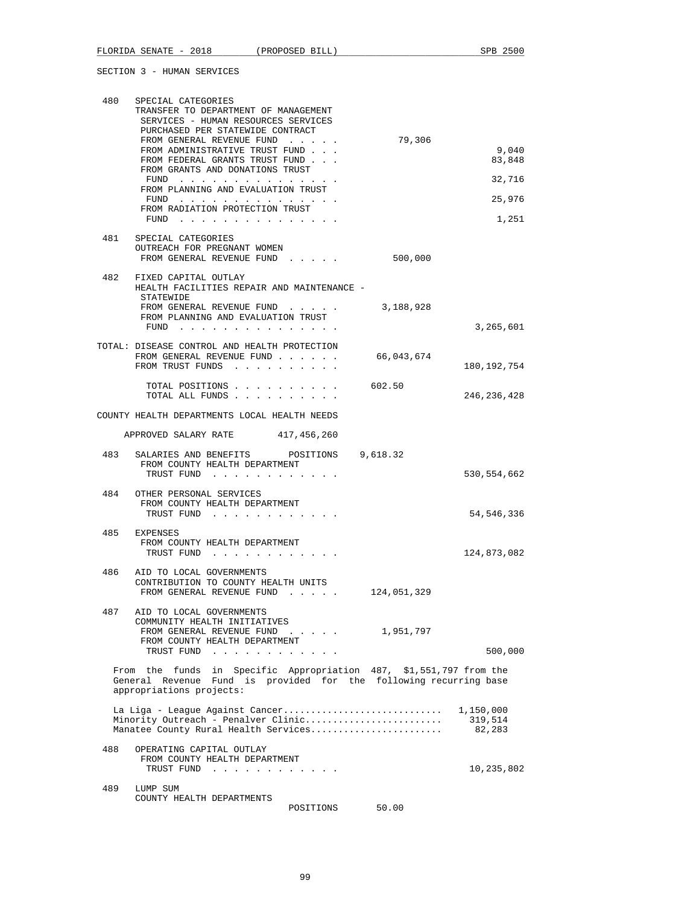| 480 | SPECIAL CATEGORIES                                                                                                   |                    |               |
|-----|----------------------------------------------------------------------------------------------------------------------|--------------------|---------------|
|     | TRANSFER TO DEPARTMENT OF MANAGEMENT<br>SERVICES - HUMAN RESOURCES SERVICES                                          |                    |               |
|     | PURCHASED PER STATEWIDE CONTRACT                                                                                     |                    |               |
|     | FROM GENERAL REVENUE FUND                                                                                            | 79,306             |               |
|     | FROM ADMINISTRATIVE TRUST FUND                                                                                       |                    | 9,040         |
|     | FROM FEDERAL GRANTS TRUST FUND<br>FROM GRANTS AND DONATIONS TRUST                                                    |                    | 83,848        |
|     | ${\tt FUND} \quad . \quad . \quad . \quad . \quad . \quad . \quad . \quad . \quad . \quad . \quad . \quad . \quad .$ |                    | 32,716        |
|     | FROM PLANNING AND EVALUATION TRUST<br>$FUND$                                                                         |                    | 25,976        |
|     | FROM RADIATION PROTECTION TRUST                                                                                      |                    |               |
|     | FUND $\cdots$                                                                                                        |                    | 1,251         |
| 481 | SPECIAL CATEGORIES                                                                                                   |                    |               |
|     | OUTREACH FOR PREGNANT WOMEN                                                                                          |                    |               |
|     | FROM GENERAL REVENUE FUND                                                                                            | 500,000            |               |
|     | 482 FIXED CAPITAL OUTLAY                                                                                             |                    |               |
|     | HEALTH FACILITIES REPAIR AND MAINTENANCE -                                                                           |                    |               |
|     | STATEWIDE<br>FROM GENERAL REVENUE FUND                                                                               | 3,188,928          |               |
|     | FROM PLANNING AND EVALUATION TRUST                                                                                   |                    |               |
|     | FUND $\cdots$                                                                                                        |                    | 3,265,601     |
|     | TOTAL: DISEASE CONTROL AND HEALTH PROTECTION                                                                         |                    |               |
|     | FROM GENERAL REVENUE FUND                                                                                            | 66,043,674         |               |
|     | FROM TRUST FUNDS                                                                                                     |                    | 180, 192, 754 |
|     | TOTAL POSITIONS                                                                                                      | 602.50             |               |
|     | TOTAL ALL FUNDS                                                                                                      |                    | 246, 236, 428 |
|     |                                                                                                                      |                    |               |
|     | COUNTY HEALTH DEPARTMENTS LOCAL HEALTH NEEDS                                                                         |                    |               |
|     | APPROVED SALARY RATE 417,456,260                                                                                     |                    |               |
|     | 483 SALARIES AND BENEFITS POSITIONS 9,618.32                                                                         |                    |               |
|     | FROM COUNTY HEALTH DEPARTMENT                                                                                        |                    |               |
|     | TRUST FUND                                                                                                           |                    | 530,554,662   |
| 484 | OTHER PERSONAL SERVICES                                                                                              |                    |               |
|     | FROM COUNTY HEALTH DEPARTMENT                                                                                        |                    |               |
|     | TRUST FUND                                                                                                           |                    | 54, 546, 336  |
| 485 | EXPENSES                                                                                                             |                    |               |
|     | FROM COUNTY HEALTH DEPARTMENT                                                                                        |                    | 124,873,082   |
|     | TRUST FUND                                                                                                           |                    |               |
| 486 | AID TO LOCAL GOVERNMENTS                                                                                             |                    |               |
|     | CONTRIBUTION TO COUNTY HEALTH UNITS<br>FROM GENERAL REVENUE FUND                                                     | 124,051,329        |               |
|     |                                                                                                                      |                    |               |
| 487 | AID TO LOCAL GOVERNMENTS                                                                                             |                    |               |
|     | COMMUNITY HEALTH INITIATIVES<br>FROM GENERAL REVENUE FUND                                                            | $\cdots$ 1,951,797 |               |
|     | FROM COUNTY HEALTH DEPARTMENT                                                                                        |                    |               |
|     | TRUST FUND                                                                                                           |                    | 500,000       |
|     | From the funds in Specific Appropriation 487, \$1,551,797 from the                                                   |                    |               |
|     | General Revenue Fund is provided for the following recurring base                                                    |                    |               |
|     | appropriations projects:                                                                                             |                    |               |
|     | La Liga - League Against Cancer                                                                                      |                    | 1,150,000     |
|     | Minority Outreach - Penalver Clinic                                                                                  |                    | 319,514       |
|     | Manatee County Rural Health Services                                                                                 |                    | 82,283        |
| 488 | OPERATING CAPITAL OUTLAY                                                                                             |                    |               |
|     | FROM COUNTY HEALTH DEPARTMENT                                                                                        |                    |               |
|     | TRUST FUND                                                                                                           |                    | 10,235,802    |
| 489 | LUMP SUM                                                                                                             |                    |               |
|     | COUNTY HEALTH DEPARTMENTS                                                                                            |                    |               |
|     | POSITIONS                                                                                                            | 50.00              |               |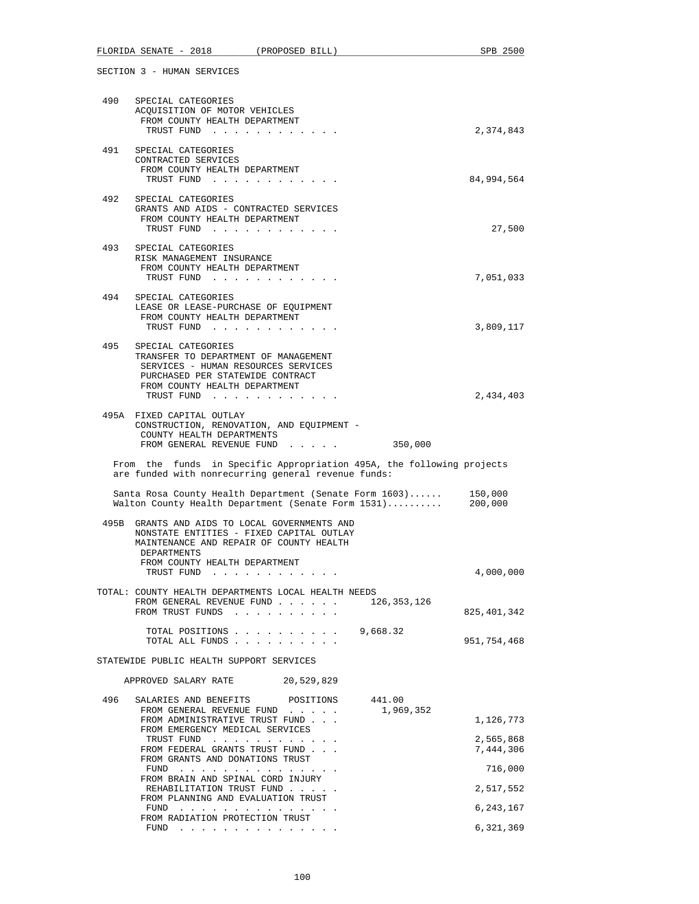|     |                    |                                                        | FLORIDA SENATE - 2018 (PROPOSED BILL)                                                                                                                                 |          |                     | SPB 2500               |
|-----|--------------------|--------------------------------------------------------|-----------------------------------------------------------------------------------------------------------------------------------------------------------------------|----------|---------------------|------------------------|
|     |                    | SECTION 3 - HUMAN SERVICES                             |                                                                                                                                                                       |          |                     |                        |
|     |                    | 490 SPECIAL CATEGORIES                                 | ACQUISITION OF MOTOR VEHICLES<br>FROM COUNTY HEALTH DEPARTMENT<br>TRUST FUND                                                                                          |          |                     | 2,374,843              |
| 491 |                    | SPECIAL CATEGORIES<br>CONTRACTED SERVICES              | FROM COUNTY HEALTH DEPARTMENT<br>TRUST FUND                                                                                                                           |          |                     | 84,994,564             |
| 492 |                    | SPECIAL CATEGORIES                                     | GRANTS AND AIDS - CONTRACTED SERVICES<br>FROM COUNTY HEALTH DEPARTMENT<br>TRUST FUND                                                                                  |          |                     | 27,500                 |
| 493 |                    | SPECIAL CATEGORIES<br>RISK MANAGEMENT INSURANCE        | FROM COUNTY HEALTH DEPARTMENT<br>TRUST FUND                                                                                                                           |          |                     | 7,051,033              |
| 494 |                    | SPECIAL CATEGORIES                                     | LEASE OR LEASE-PURCHASE OF EOUIPMENT<br>FROM COUNTY HEALTH DEPARTMENT<br>TRUST FUND                                                                                   |          |                     | 3,809,117              |
| 495 |                    | SPECIAL CATEGORIES                                     | TRANSFER TO DEPARTMENT OF MANAGEMENT<br>SERVICES - HUMAN RESOURCES SERVICES<br>PURCHASED PER STATEWIDE CONTRACT<br>FROM COUNTY HEALTH DEPARTMENT                      |          |                     |                        |
|     |                    | 495A FIXED CAPITAL OUTLAY<br>COUNTY HEALTH DEPARTMENTS | TRUST FUND<br>CONSTRUCTION, RENOVATION, AND EQUIPMENT -<br>FROM GENERAL REVENUE FUND                                                                                  |          | 350,000             | 2,434,403              |
|     |                    |                                                        | From the funds in Specific Appropriation 495A, the following projects<br>are funded with nonrecurring general revenue funds:                                          |          |                     |                        |
|     |                    |                                                        | Santa Rosa County Health Department (Senate Form 1603) 150,000<br>Walton County Health Department (Senate Form 1531)                                                  |          |                     | 200,000                |
|     | <b>DEPARTMENTS</b> |                                                        | 495B GRANTS AND AIDS TO LOCAL GOVERNMENTS AND<br>NONSTATE ENTITIES - FIXED CAPITAL OUTLAY<br>MAINTENANCE AND REPAIR OF COUNTY HEALTH<br>FROM COUNTY HEALTH DEPARTMENT |          |                     |                        |
|     |                    | TRUST FUND                                             | and the state of the state of the state                                                                                                                               |          |                     | 4,000,000              |
|     |                    |                                                        | TOTAL: COUNTY HEALTH DEPARTMENTS LOCAL HEALTH NEEDS<br>FROM GENERAL REVENUE FUND<br>FROM TRUST FUNDS                                                                  |          | 126,353,126         | 825, 401, 342          |
|     |                    |                                                        | TOTAL POSITIONS<br>TOTAL ALL FUNDS                                                                                                                                    | 9,668.32 |                     | 951,754,468            |
|     |                    |                                                        | STATEWIDE PUBLIC HEALTH SUPPORT SERVICES                                                                                                                              |          |                     |                        |
|     |                    | APPROVED SALARY RATE                                   | 20,529,829                                                                                                                                                            |          |                     |                        |
| 496 |                    | SALARIES AND BENEFITS                                  | POSITIONS<br>FROM GENERAL REVENUE FUND<br>FROM ADMINISTRATIVE TRUST FUND<br>FROM EMERGENCY MEDICAL SERVICES                                                           |          | 441.00<br>1,969,352 | 1,126,773              |
|     |                    |                                                        | TRUST FUND<br>FROM FEDERAL GRANTS TRUST FUND<br>FROM GRANTS AND DONATIONS TRUST                                                                                       |          |                     | 2,565,868<br>7,444,306 |
|     | FUND               |                                                        | the contract of the contract of the contract of<br>FROM BRAIN AND SPINAL CORD INJURY                                                                                  |          |                     | 716,000                |
|     |                    |                                                        | REHABILITATION TRUST FUND<br>FROM PLANNING AND EVALUATION TRUST<br>FUND $\cdots$                                                                                      |          |                     | 2,517,552<br>6,243,167 |
|     |                    |                                                        | FROM RADIATION PROTECTION TRUST<br>${\tt FUND} \quad . \quad . \quad . \quad . \quad . \quad . \quad . \quad . \quad . \quad . \quad . \quad .$                       |          |                     | 6,321,369              |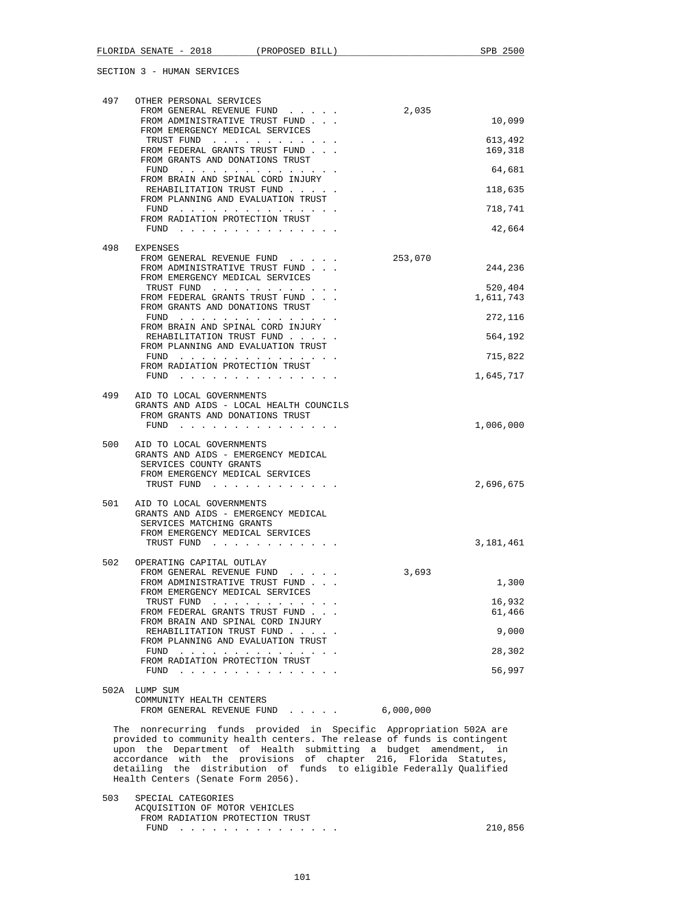| 497 | OTHER PERSONAL SERVICES<br>FROM GENERAL REVENUE FUND                                                                                                                                                                                                                      | 2,035     |                    |
|-----|---------------------------------------------------------------------------------------------------------------------------------------------------------------------------------------------------------------------------------------------------------------------------|-----------|--------------------|
|     | FROM ADMINISTRATIVE TRUST FUND<br>FROM EMERGENCY MEDICAL SERVICES                                                                                                                                                                                                         |           | 10,099             |
|     | TRUST FUND<br>FROM FEDERAL GRANTS TRUST FUND                                                                                                                                                                                                                              |           | 613,492<br>169,318 |
|     | FROM GRANTS AND DONATIONS TRUST<br>$FUND$                                                                                                                                                                                                                                 |           | 64,681             |
|     | FROM BRAIN AND SPINAL CORD INJURY<br>REHABILITATION TRUST FUND                                                                                                                                                                                                            |           | 118,635            |
|     | FROM PLANNING AND EVALUATION TRUST<br>FUND                                                                                                                                                                                                                                |           | 718,741            |
|     | FROM RADIATION PROTECTION TRUST<br>$FUND$                                                                                                                                                                                                                                 |           | 42,664             |
| 498 | EXPENSES                                                                                                                                                                                                                                                                  |           |                    |
|     | FROM GENERAL REVENUE FUND<br>FROM ADMINISTRATIVE TRUST FUND                                                                                                                                                                                                               | 253,070   | 244,236            |
|     | FROM EMERGENCY MEDICAL SERVICES<br>TRUST FUND                                                                                                                                                                                                                             |           | 520,404            |
|     | FROM FEDERAL GRANTS TRUST FUND<br>FROM GRANTS AND DONATIONS TRUST                                                                                                                                                                                                         |           | 1,611,743          |
|     | FUND<br>FROM BRAIN AND SPINAL CORD INJURY                                                                                                                                                                                                                                 |           | 272,116            |
|     | REHABILITATION TRUST FUND<br>FROM PLANNING AND EVALUATION TRUST                                                                                                                                                                                                           |           | 564,192            |
|     | FUND<br>FROM RADIATION PROTECTION TRUST                                                                                                                                                                                                                                   |           | 715,822            |
|     | FUND $\cdots$                                                                                                                                                                                                                                                             |           | 1,645,717          |
| 499 | AID TO LOCAL GOVERNMENTS<br>GRANTS AND AIDS - LOCAL HEALTH COUNCILS                                                                                                                                                                                                       |           |                    |
|     | FROM GRANTS AND DONATIONS TRUST<br>FUND $\cdots$                                                                                                                                                                                                                          |           | 1,006,000          |
| 500 | AID TO LOCAL GOVERNMENTS                                                                                                                                                                                                                                                  |           |                    |
|     | GRANTS AND AIDS - EMERGENCY MEDICAL<br>SERVICES COUNTY GRANTS                                                                                                                                                                                                             |           |                    |
|     | FROM EMERGENCY MEDICAL SERVICES<br>TRUST FUND                                                                                                                                                                                                                             |           | 2,696,675          |
| 501 | AID TO LOCAL GOVERNMENTS                                                                                                                                                                                                                                                  |           |                    |
|     | GRANTS AND AIDS - EMERGENCY MEDICAL<br>SERVICES MATCHING GRANTS                                                                                                                                                                                                           |           |                    |
|     | FROM EMERGENCY MEDICAL SERVICES<br>TRUST FUND                                                                                                                                                                                                                             |           | 3,181,461          |
| 502 | OPERATING CAPITAL OUTLAY                                                                                                                                                                                                                                                  |           |                    |
|     | FROM GENERAL REVENUE FUND<br>FROM ADMINISTRATIVE TRUST FUND                                                                                                                                                                                                               | 3,693     | 1,300              |
|     | FROM EMERGENCY MEDICAL SERVICES                                                                                                                                                                                                                                           |           |                    |
|     | TRUST FUND<br>FROM FEDERAL GRANTS TRUST FUND                                                                                                                                                                                                                              |           | 16,932<br>61,466   |
|     | FROM BRAIN AND SPINAL CORD INJURY<br>REHABILITATION TRUST FUND                                                                                                                                                                                                            |           | 9,000              |
|     | FROM PLANNING AND EVALUATION TRUST<br>FUND                                                                                                                                                                                                                                |           | 28,302             |
|     | FROM RADIATION PROTECTION TRUST<br>FUND<br>the contract of the contract of the contract of the contract of the contract of the contract of the contract of the contract of the contract of the contract of the contract of the contract of the contract of the contract o |           | 56,997             |
|     | 502A LUMP SUM<br>COMMUNITY HEALTH CENTERS                                                                                                                                                                                                                                 |           |                    |
|     | FROM GENERAL REVENUE FUND                                                                                                                                                                                                                                                 | 6,000,000 |                    |
|     | The nonrecurring funds provided in Specific Appropriation 502A are<br>provided to community health centers. The release of funds is contingent                                                                                                                            |           |                    |
|     | upon the Department of Health submitting a budget amendment,                                                                                                                                                                                                              |           | in                 |
|     | accordance with the provisions of chapter 216, Florida Statutes,<br>detailing the distribution of funds to eligible Federally Qualified                                                                                                                                   |           |                    |
|     | Health Centers (Senate Form 2056).                                                                                                                                                                                                                                        |           |                    |

 503 SPECIAL CATEGORIES ACQUISITION OF MOTOR VEHICLES FROM RADIATION PROTECTION TRUST FUND . . . . . . . . . . . . . . . 210,856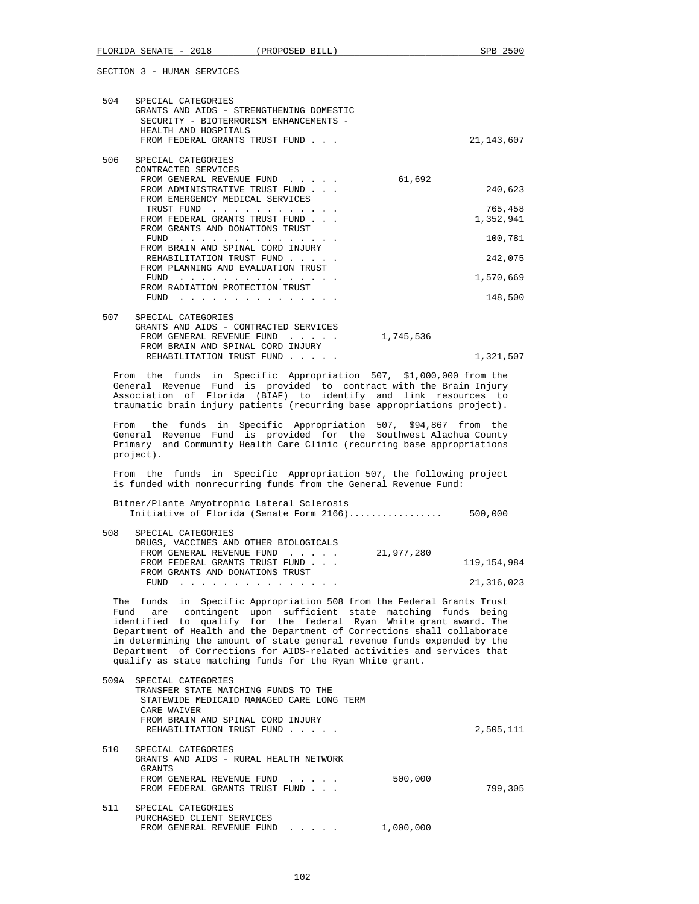| OBUIIUN J - NUMAN OBRVIUBO                                                                                                                                                                                                                                                                                                                                                                                                                                                                                                                                                                                                                                                                                                                                                 |                                            |
|----------------------------------------------------------------------------------------------------------------------------------------------------------------------------------------------------------------------------------------------------------------------------------------------------------------------------------------------------------------------------------------------------------------------------------------------------------------------------------------------------------------------------------------------------------------------------------------------------------------------------------------------------------------------------------------------------------------------------------------------------------------------------|--------------------------------------------|
| 504<br>SPECIAL CATEGORIES<br>GRANTS AND AIDS - STRENGTHENING DOMESTIC<br>SECURITY - BIOTERRORISM ENHANCEMENTS -<br>HEALTH AND HOSPITALS<br>FROM FEDERAL GRANTS TRUST FUND                                                                                                                                                                                                                                                                                                                                                                                                                                                                                                                                                                                                  | 21,143,607                                 |
| 506<br>SPECIAL CATEGORIES<br>CONTRACTED SERVICES<br>61,692<br>FROM GENERAL REVENUE FUND<br>FROM ADMINISTRATIVE TRUST FUND<br>FROM EMERGENCY MEDICAL SERVICES<br>TRUST FUND<br>FROM FEDERAL GRANTS TRUST FUND<br>FROM GRANTS AND DONATIONS TRUST                                                                                                                                                                                                                                                                                                                                                                                                                                                                                                                            | 240,623<br>765,458<br>1,352,941            |
| FUND<br>FROM BRAIN AND SPINAL CORD INJURY<br>REHABILITATION TRUST FUND<br>FROM PLANNING AND EVALUATION TRUST<br>FUND $\cdots$<br>FROM RADIATION PROTECTION TRUST<br>FUND $\cdots$ $\cdots$ $\cdots$ $\cdots$ $\cdots$ $\cdots$ $\cdots$                                                                                                                                                                                                                                                                                                                                                                                                                                                                                                                                    | 100,781<br>242,075<br>1,570,669<br>148,500 |
| 507<br>SPECIAL CATEGORIES<br>GRANTS AND AIDS - CONTRACTED SERVICES<br>FROM GENERAL REVENUE FUND<br>1,745,536<br>FROM BRAIN AND SPINAL CORD INJURY<br>REHABILITATION TRUST FUND                                                                                                                                                                                                                                                                                                                                                                                                                                                                                                                                                                                             | 1,321,507                                  |
| From the funds in Specific Appropriation 507, \$1,000,000 from the<br>General Revenue Fund is provided to contract with the Brain Injury<br>Association of Florida (BIAF) to identify and link resources to<br>traumatic brain injury patients (recurring base appropriations project).<br>the funds in Specific Appropriation 507, \$94,867 from the<br>From<br>General Revenue Fund is provided for the Southwest Alachua County<br>Primary and Community Health Care Clinic (recurring base appropriations<br>project).<br>From the funds in Specific Appropriation 507, the following project<br>is funded with nonrecurring funds from the General Revenue Fund:<br>Bitner/Plante Amyotrophic Lateral Sclerosis<br>Initiative of Florida (Senate Form $2166)$ 500,000 |                                            |
| 508<br>SPECIAL CATEGORIES<br>DRUGS, VACCINES AND OTHER BIOLOGICALS<br>FROM GENERAL REVENUE FUND<br>21,977,280<br>FROM FEDERAL GRANTS TRUST FUND<br>FROM GRANTS AND DONATIONS TRUST<br>$FUND$<br>The funds in Specific Appropriation 508 from the Federal Grants Trust<br>Fund are contingent upon sufficient state matching funds being<br>identified to qualify for the federal Ryan White grant award. The<br>Department of Health and the Department of Corrections shall collaborate<br>in determining the amount of state general revenue funds expended by the<br>Department of Corrections for AIDS-related activities and services that<br>qualify as state matching funds for the Ryan White grant.                                                               | 119,154,984<br>21, 316, 023                |
| SPECIAL CATEGORIES<br>509A<br>TRANSFER STATE MATCHING FUNDS TO THE<br>STATEWIDE MEDICAID MANAGED CARE LONG TERM<br>CARE WAIVER<br>FROM BRAIN AND SPINAL CORD INJURY<br>REHABILITATION TRUST FUND                                                                                                                                                                                                                                                                                                                                                                                                                                                                                                                                                                           | 2,505,111                                  |
| 510<br>SPECIAL CATEGORIES<br>GRANTS AND AIDS - RURAL HEALTH NETWORK<br>GRANTS<br>500,000<br>FROM GENERAL REVENUE FUND<br>FROM FEDERAL GRANTS TRUST FUND                                                                                                                                                                                                                                                                                                                                                                                                                                                                                                                                                                                                                    | 799,305                                    |

 511 SPECIAL CATEGORIES PURCHASED CLIENT SERVICES FROM GENERAL REVENUE FUND . . . . . 1,000,000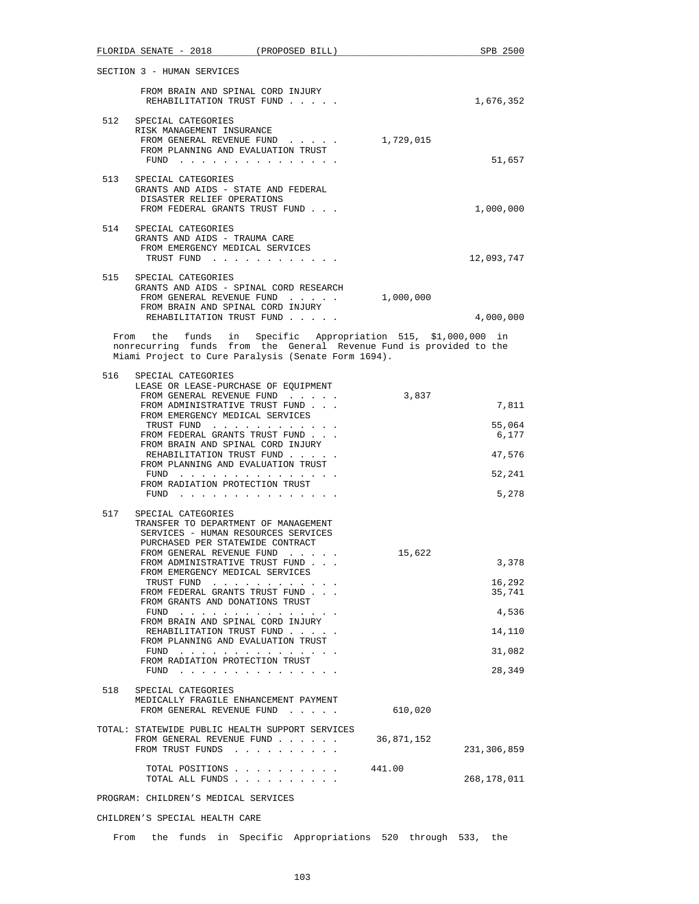|     | FLORIDA SENATE - 2018 (PROPOSED BILL)                                                                                                                                                                                                                                     |            | SPB 2500    |
|-----|---------------------------------------------------------------------------------------------------------------------------------------------------------------------------------------------------------------------------------------------------------------------------|------------|-------------|
|     | SECTION 3 - HUMAN SERVICES                                                                                                                                                                                                                                                |            |             |
|     | FROM BRAIN AND SPINAL CORD INJURY<br>REHABILITATION TRUST FUND                                                                                                                                                                                                            |            | 1,676,352   |
| 512 | SPECIAL CATEGORIES<br>RISK MANAGEMENT INSURANCE<br>FROM GENERAL REVENUE FUND<br>FROM PLANNING AND EVALUATION TRUST<br>$FUND$                                                                                                                                              | 1,729,015  | 51,657      |
|     |                                                                                                                                                                                                                                                                           |            |             |
|     | 513 SPECIAL CATEGORIES<br>GRANTS AND AIDS - STATE AND FEDERAL<br>DISASTER RELIEF OPERATIONS<br>FROM FEDERAL GRANTS TRUST FUND                                                                                                                                             |            | 1,000,000   |
|     | 514 SPECIAL CATEGORIES<br>GRANTS AND AIDS - TRAUMA CARE<br>FROM EMERGENCY MEDICAL SERVICES                                                                                                                                                                                |            |             |
|     | TRUST FUND                                                                                                                                                                                                                                                                |            | 12,093,747  |
| 515 | SPECIAL CATEGORIES<br>GRANTS AND AIDS - SPINAL CORD RESEARCH<br>FROM GENERAL REVENUE FUND<br>FROM BRAIN AND SPINAL CORD INJURY                                                                                                                                            | 1,000,000  |             |
|     | REHABILITATION TRUST FUND                                                                                                                                                                                                                                                 |            | 4,000,000   |
|     | From the funds in Specific Appropriation 515, \$1,000,000 in<br>nonrecurring funds from the General Revenue Fund is provided to the<br>Miami Project to Cure Paralysis (Senate Form 1694).                                                                                |            |             |
| 516 | SPECIAL CATEGORIES                                                                                                                                                                                                                                                        |            |             |
|     | LEASE OR LEASE-PURCHASE OF EQUIPMENT                                                                                                                                                                                                                                      |            |             |
|     | FROM GENERAL REVENUE FUND                                                                                                                                                                                                                                                 | 3,837      |             |
|     | FROM ADMINISTRATIVE TRUST FUND                                                                                                                                                                                                                                            |            | 7,811       |
|     | FROM EMERGENCY MEDICAL SERVICES<br>TRUST FUND                                                                                                                                                                                                                             |            | 55,064      |
|     | FROM FEDERAL GRANTS TRUST FUND                                                                                                                                                                                                                                            |            | 6,177       |
|     | FROM BRAIN AND SPINAL CORD INJURY                                                                                                                                                                                                                                         |            |             |
|     | REHABILITATION TRUST FUND                                                                                                                                                                                                                                                 |            | 47,576      |
|     | FROM PLANNING AND EVALUATION TRUST<br>FUND $\cdots$                                                                                                                                                                                                                       |            | 52,241      |
|     | FROM RADIATION PROTECTION TRUST<br>FUND $\cdots$                                                                                                                                                                                                                          |            | 5,278       |
| 517 | SPECIAL CATEGORIES                                                                                                                                                                                                                                                        |            |             |
|     | TRANSFER TO DEPARTMENT OF MANAGEMENT                                                                                                                                                                                                                                      |            |             |
|     | SERVICES - HUMAN RESOURCES SERVICES                                                                                                                                                                                                                                       |            |             |
|     | PURCHASED PER STATEWIDE CONTRACT                                                                                                                                                                                                                                          |            |             |
|     | FROM GENERAL REVENUE FUND                                                                                                                                                                                                                                                 | 15,622     |             |
|     | FROM ADMINISTRATIVE TRUST FUND<br>FROM EMERGENCY MEDICAL SERVICES                                                                                                                                                                                                         |            | 3,378       |
|     | TRUST FUND                                                                                                                                                                                                                                                                |            | 16,292      |
|     | FROM FEDERAL GRANTS TRUST FUND                                                                                                                                                                                                                                            |            | 35,741      |
|     | FROM GRANTS AND DONATIONS TRUST<br>the contract of the contract of the contract of the contract of the contract of the contract of the contract of the contract of the contract of the contract of the contract of the contract of the contract of the contract o<br>FUND |            | 4,536       |
|     | FROM BRAIN AND SPINAL CORD INJURY                                                                                                                                                                                                                                         |            |             |
|     | REHABILITATION TRUST FUND<br>FROM PLANNING AND EVALUATION TRUST                                                                                                                                                                                                           |            | 14,110      |
|     | FUND<br>the contract of the contract of the contract of                                                                                                                                                                                                                   |            | 31,082      |
|     | FROM RADIATION PROTECTION TRUST<br>FUND $\cdots$                                                                                                                                                                                                                          |            | 28,349      |
|     |                                                                                                                                                                                                                                                                           |            |             |
| 518 | SPECIAL CATEGORIES<br>MEDICALLY FRAGILE ENHANCEMENT PAYMENT<br>FROM GENERAL REVENUE FUND                                                                                                                                                                                  | 610,020    |             |
|     | TOTAL: STATEWIDE PUBLIC HEALTH SUPPORT SERVICES                                                                                                                                                                                                                           |            |             |
|     | FROM GENERAL REVENUE FUND<br>FROM TRUST FUNDS                                                                                                                                                                                                                             | 36,871,152 | 231,306,859 |
|     | TOTAL POSITIONS<br>TOTAL ALL FUNDS                                                                                                                                                                                                                                        | 441.00     | 268,178,011 |
|     |                                                                                                                                                                                                                                                                           |            |             |
|     | PROGRAM: CHILDREN'S MEDICAL SERVICES                                                                                                                                                                                                                                      |            |             |

CHILDREN'S SPECIAL HEALTH CARE

From the funds in Specific Appropriations 520 through 533, the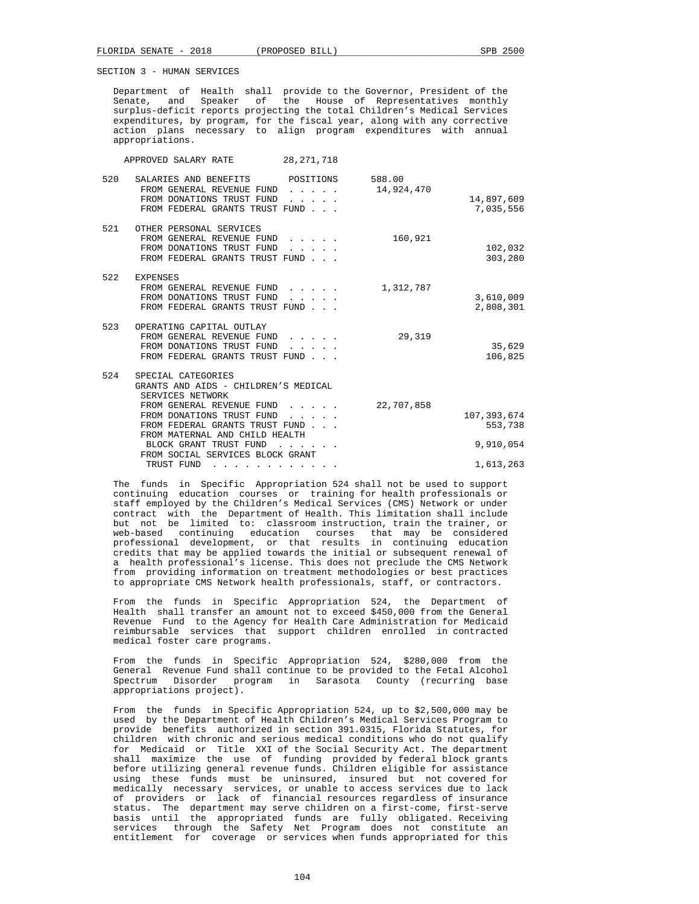Department of Health shall provide to the Governor, President of the Senate, and Speaker of the House of Representatives monthly surplus-deficit reports projecting the total Children's Medical Services expenditures, by program, for the fiscal year, along with any corrective action plans necessary to align program expenditures with annual appropriations.

APPROVED SALARY RATE 28,271,718

| 520 | SALARIES AND BENEFITS                | POSITIONS                                                 | 588.00     |             |
|-----|--------------------------------------|-----------------------------------------------------------|------------|-------------|
|     | FROM GENERAL REVENUE FUND            | .                                                         | 14,924,470 |             |
|     | FROM DONATIONS TRUST FUND            | $\sim$ $\sim$ $\sim$ $\sim$                               |            | 14,897,609  |
|     | FROM FEDERAL GRANTS TRUST FUND       |                                                           |            | 7,035,556   |
|     |                                      |                                                           |            |             |
| 521 | OTHER PERSONAL SERVICES              |                                                           |            |             |
|     | FROM GENERAL REVENUE FUND            | .                                                         | 160,921    |             |
|     | FROM DONATIONS TRUST FUND            |                                                           |            | 102,032     |
|     | FROM FEDERAL GRANTS TRUST FUND       |                                                           |            | 303,280     |
| 522 | <b>EXPENSES</b>                      |                                                           |            |             |
|     | FROM GENERAL REVENUE FUND            |                                                           | 1,312,787  |             |
|     | FROM DONATIONS TRUST FUND            | .                                                         |            | 3,610,009   |
|     | FROM FEDERAL GRANTS TRUST FUND       |                                                           |            | 2,808,301   |
|     |                                      |                                                           |            |             |
| 523 | OPERATING CAPITAL OUTLAY             |                                                           |            |             |
|     | FROM GENERAL REVENUE FUND            | $\mathbf{1}$ , $\mathbf{1}$ , $\mathbf{1}$ , $\mathbf{1}$ | 29,319     |             |
|     | FROM DONATIONS TRUST FUND            | $\sim$ $\sim$ $\sim$                                      |            | 35,629      |
|     | FROM FEDERAL GRANTS TRUST FUND       |                                                           |            | 106,825     |
|     |                                      |                                                           |            |             |
| 524 | SPECIAL CATEGORIES                   |                                                           |            |             |
|     | GRANTS AND AIDS - CHILDREN'S MEDICAL |                                                           |            |             |
|     | SERVICES NETWORK                     |                                                           |            |             |
|     | FROM GENERAL REVENUE FUND            |                                                           | 22,707,858 |             |
|     | FROM DONATIONS TRUST FUND            |                                                           |            | 107,393,674 |
|     | FROM FEDERAL GRANTS TRUST FUND       |                                                           |            | 553,738     |
|     | FROM MATERNAL AND CHILD HEALTH       |                                                           |            |             |
|     | BLOCK GRANT TRUST FUND               |                                                           |            | 9,910,054   |
|     | FROM SOCIAL SERVICES BLOCK GRANT     |                                                           |            |             |
|     | TRUST FUND<br>.                      |                                                           |            | 1,613,263   |

 The funds in Specific Appropriation 524 shall not be used to support continuing education courses or training for health professionals or staff employed by the Children's Medical Services (CMS) Network or under contract with the Department of Health. This limitation shall include but not be limited to: classroom instruction, train the trainer, or web-based continuing education courses that may be considered professional development, or that results in continuing education credits that may be applied towards the initial or subsequent renewal of a health professional's license. This does not preclude the CMS Network from providing information on treatment methodologies or best practices to appropriate CMS Network health professionals, staff, or contractors.

 From the funds in Specific Appropriation 524, the Department of Health shall transfer an amount not to exceed \$450,000 from the General Revenue Fund to the Agency for Health Care Administration for Medicaid reimbursable services that support children enrolled in contracted medical foster care programs.

 From the funds in Specific Appropriation 524, \$280,000 from the General Revenue Fund shall continue to be provided to the Fetal Alcohol Spectrum Disorder program in Sarasota County (recurring base appropriations project).

 From the funds in Specific Appropriation 524, up to \$2,500,000 may be used by the Department of Health Children's Medical Services Program to provide benefits authorized in section 391.0315, Florida Statutes, for children with chronic and serious medical conditions who do not qualify for Medicaid or Title XXI of the Social Security Act. The department shall maximize the use of funding provided by federal block grants before utilizing general revenue funds. Children eligible for assistance using these funds must be uninsured, insured but not covered for medically necessary services, or unable to access services due to lack of providers or lack of financial resources regardless of insurance status. The department may serve children on a first-come, first-serve basis until the appropriated funds are fully obligated. Receiving services through the Safety Net Program does not constitute an entitlement for coverage or services when funds appropriated for this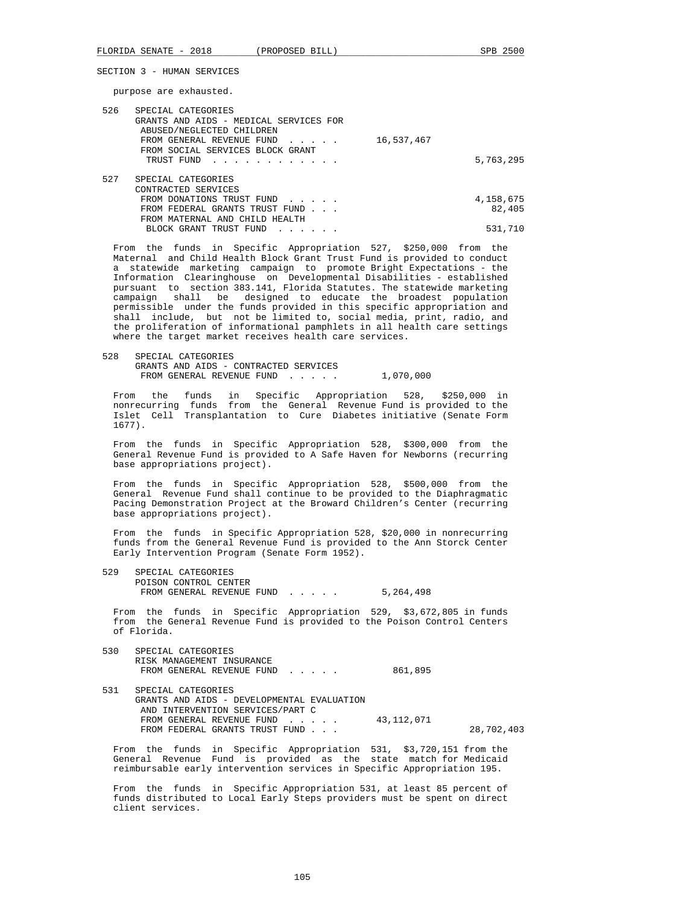purpose are exhausted.

| SPECIAL CATEGORIES                      |           |
|-----------------------------------------|-----------|
| GRANTS AND AIDS - MEDICAL SERVICES FOR  |           |
| ABUSED/NEGLECTED CHILDREN               |           |
| 16,537,467<br>FROM GENERAL REVENUE FUND |           |
| FROM SOCIAL SERVICES BLOCK GRANT        |           |
| TRUST FUND<br><u>.</u>                  | 5,763,295 |
|                                         |           |
| SPECIAL CATEGORIES                      |           |
| CONTRACTED SERVICES                     |           |
| FROM DONATIONS TRUST FUND               | 4,158,675 |
| FROM FEDERAL GRANTS TRUST FUND          | 82,405    |
| FROM MATERNAL AND CHILD HEALTH          |           |
| BLOCK GRANT TRUST FUND                  | 531,710   |
|                                         |           |

 From the funds in Specific Appropriation 527, \$250,000 from the Maternal and Child Health Block Grant Trust Fund is provided to conduct a statewide marketing campaign to promote Bright Expectations - the Information Clearinghouse on Developmental Disabilities - established pursuant to section 383.141, Florida Statutes. The statewide marketing campaign shall be designed to educate the broadest population permissible under the funds provided in this specific appropriation and shall include, but not be limited to, social media, print, radio, and the proliferation of informational pamphlets in all health care settings where the target market receives health care services.

 528 SPECIAL CATEGORIES GRANTS AND AIDS - CONTRACTED SERVICES FROM GENERAL REVENUE FUND...... 1,070,000

 From the funds in Specific Appropriation 528, \$250,000 in nonrecurring funds from the General Revenue Fund is provided to the Islet Cell Transplantation to Cure Diabetes initiative (Senate Form 1677).

 From the funds in Specific Appropriation 528, \$300,000 from the General Revenue Fund is provided to A Safe Haven for Newborns (recurring base appropriations project).

 From the funds in Specific Appropriation 528, \$500,000 from the General Revenue Fund shall continue to be provided to the Diaphragmatic Pacing Demonstration Project at the Broward Children's Center (recurring base appropriations project).

 From the funds in Specific Appropriation 528, \$20,000 in nonrecurring funds from the General Revenue Fund is provided to the Ann Storck Center Early Intervention Program (Senate Form 1952).

 529 SPECIAL CATEGORIES POISON CONTROL CENTER FROM GENERAL REVENUE FUND . . . . . 5,264,498

 From the funds in Specific Appropriation 529, \$3,672,805 in funds from the General Revenue Fund is provided to the Poison Control Centers of Florida.

| 530 | SPECIAL CATEGORIES<br>RISK MANAGEMENT INSURANCE<br>FROM GENERAL REVENUE FUND                         | 861,895      |            |
|-----|------------------------------------------------------------------------------------------------------|--------------|------------|
| 531 | SPECIAL CATEGORIES<br>GRANTS AND AIDS - DEVELOPMENTAL EVALUATION<br>AND INTERVENTION SERVICES/PART C |              |            |
|     | FROM GENERAL REVENUE FUND<br>FROM FEDERAL GRANTS TRUST FUND                                          | 43, 112, 071 | 28,702,403 |

 From the funds in Specific Appropriation 531, \$3,720,151 from the General Revenue Fund is provided as the state match for Medicaid reimbursable early intervention services in Specific Appropriation 195.

 From the funds in Specific Appropriation 531, at least 85 percent of funds distributed to Local Early Steps providers must be spent on direct client services.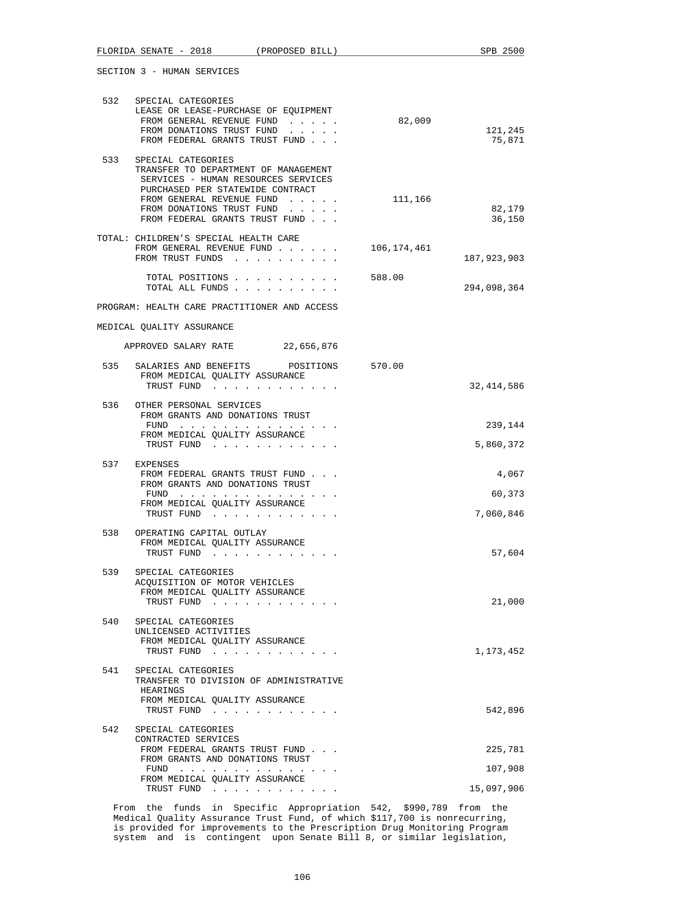| FLORIDA SENATE - 2018 (PROPOSED BILL)                                                                                                                                                                  | SPB 2500                    |
|--------------------------------------------------------------------------------------------------------------------------------------------------------------------------------------------------------|-----------------------------|
| SECTION 3 - HUMAN SERVICES                                                                                                                                                                             |                             |
| 532 SPECIAL CATEGORIES<br>LEASE OR LEASE-PURCHASE OF EQUIPMENT<br>FROM GENERAL REVENUE FUND<br>FROM DONATIONS TRUST FUND<br>FROM FEDERAL GRANTS TRUST FUND                                             | 82,009<br>121,245<br>75,871 |
| 533<br>SPECIAL CATEGORIES<br>TRANSFER TO DEPARTMENT OF MANAGEMENT<br>SERVICES - HUMAN RESOURCES SERVICES<br>PURCHASED PER STATEWIDE CONTRACT<br>FROM GENERAL REVENUE FUND<br>FROM DONATIONS TRUST FUND | 111,166<br>82,179           |
| FROM FEDERAL GRANTS TRUST FUND<br>TOTAL: CHILDREN'S SPECIAL HEALTH CARE<br>FROM GENERAL REVENUE FUND                                                                                                   | 36,150<br>106,174,461       |
| FROM TRUST FUNDS<br>TOTAL POSITIONS                                                                                                                                                                    | 187,923,903<br>588.00       |
| TOTAL ALL FUNDS<br>PROGRAM: HEALTH CARE PRACTITIONER AND ACCESS                                                                                                                                        | 294,098,364                 |
| MEDICAL QUALITY ASSURANCE<br>APPROVED SALARY RATE 22,656,876                                                                                                                                           |                             |
| 535<br>SALARIES AND BENEFITS<br>POSITIONS 570.00<br>FROM MEDICAL QUALITY ASSURANCE<br>TRUST FUND                                                                                                       | 32, 414, 586                |
| 536 OTHER PERSONAL SERVICES<br>FROM GRANTS AND DONATIONS TRUST<br>FUND                                                                                                                                 | 239,144                     |
| FROM MEDICAL QUALITY ASSURANCE<br>TRUST FUND                                                                                                                                                           | 5,860,372                   |
| 537<br>EXPENSES<br>FROM FEDERAL GRANTS TRUST FUND<br>FROM GRANTS AND DONATIONS TRUST<br>FUND<br>FROM MEDICAL OUALITY ASSURANCE                                                                         | 4,067<br>60,373             |
| TRUST FUND<br>538<br>OPERATING CAPITAL OUTLAY<br>FROM MEDICAL QUALITY ASSURANCE                                                                                                                        | 7,060,846                   |
| TRUST FUND<br>. The contract of the contract of the contract $\mathcal{L}_\text{c}$<br>539<br>SPECIAL CATEGORIES                                                                                       | 57,604                      |
| ACOUISITION OF MOTOR VEHICLES<br>FROM MEDICAL QUALITY ASSURANCE<br>TRUST FUND                                                                                                                          | 21,000                      |
| 540<br>SPECIAL CATEGORIES<br>UNLICENSED ACTIVITIES<br>FROM MEDICAL QUALITY ASSURANCE<br>TRUST FUND                                                                                                     | 1,173,452                   |
| 541<br>SPECIAL CATEGORIES<br>TRANSFER TO DIVISION OF ADMINISTRATIVE<br>HEARINGS<br>FROM MEDICAL QUALITY ASSURANCE<br>TRUST FUND                                                                        | 542,896                     |
| 542<br>SPECIAL CATEGORIES<br>CONTRACTED SERVICES                                                                                                                                                       |                             |
| FROM FEDERAL GRANTS TRUST FUND<br>FROM GRANTS AND DONATIONS TRUST<br>FUND                                                                                                                              | 225,781<br>107,908          |
| FROM MEDICAL QUALITY ASSURANCE<br>TRUST FUND                                                                                                                                                           | 15,097,906                  |

 From the funds in Specific Appropriation 542, \$990,789 from the Medical Quality Assurance Trust Fund, of which \$117,700 is nonrecurring, is provided for improvements to the Prescription Drug Monitoring Program system and is contingent upon Senate Bill 8, or similar legislation,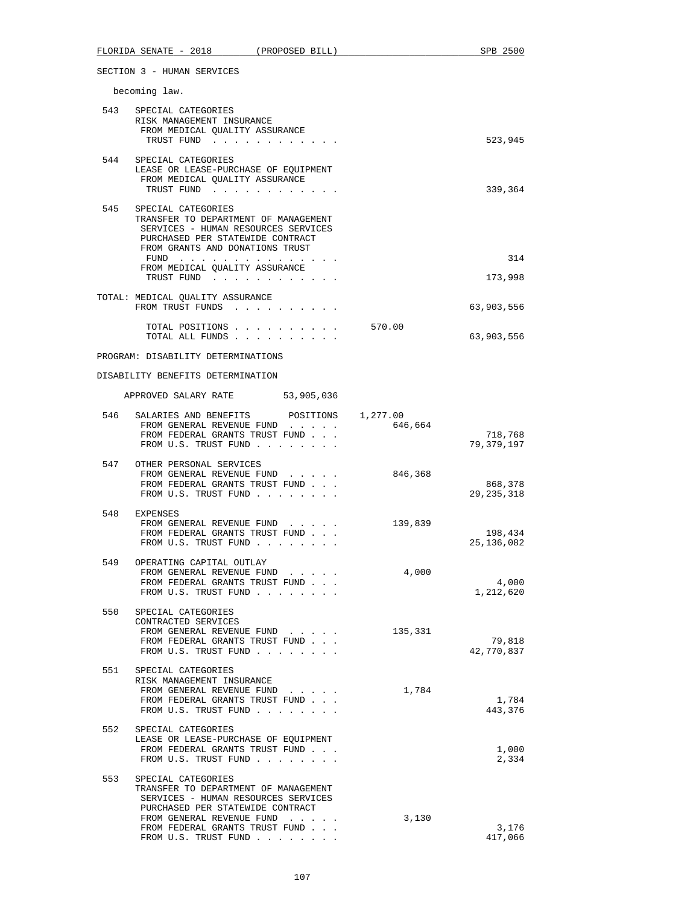|     | FLORIDA SENATE - 2018<br>(PROPOSED BILL)                                                                                                                                                                                    |         | SPB 2500                |
|-----|-----------------------------------------------------------------------------------------------------------------------------------------------------------------------------------------------------------------------------|---------|-------------------------|
|     | SECTION 3 - HUMAN SERVICES                                                                                                                                                                                                  |         |                         |
|     | becoming law.                                                                                                                                                                                                               |         |                         |
|     | 543 SPECIAL CATEGORIES<br>RISK MANAGEMENT INSURANCE<br>FROM MEDICAL QUALITY ASSURANCE<br>TRUST FUND                                                                                                                         |         | 523,945                 |
|     | 544 SPECIAL CATEGORIES<br>LEASE OR LEASE-PURCHASE OF EQUIPMENT<br>FROM MEDICAL QUALITY ASSURANCE<br>TRUST FUND                                                                                                              |         | 339,364                 |
| 545 | SPECIAL CATEGORIES<br>TRANSFER TO DEPARTMENT OF MANAGEMENT<br>SERVICES - HUMAN RESOURCES SERVICES<br>PURCHASED PER STATEWIDE CONTRACT<br>FROM GRANTS AND DONATIONS TRUST<br>FUND $\cdots$<br>FROM MEDICAL QUALITY ASSURANCE |         | 314                     |
|     | TRUST FUND                                                                                                                                                                                                                  |         | 173,998                 |
|     | TOTAL: MEDICAL QUALITY ASSURANCE<br>FROM TRUST FUNDS                                                                                                                                                                        |         | 63,903,556              |
|     | TOTAL POSITIONS<br>TOTAL ALL FUNDS                                                                                                                                                                                          | 570.00  | 63,903,556              |
|     | PROGRAM: DISABILITY DETERMINATIONS                                                                                                                                                                                          |         |                         |
|     | DISABILITY BENEFITS DETERMINATION                                                                                                                                                                                           |         |                         |
|     | APPROVED SALARY RATE 53,905,036                                                                                                                                                                                             |         |                         |
|     | 546 SALARIES AND BENEFITS POSITIONS 1,277.00<br>FROM GENERAL REVENUE FUND<br>FROM FEDERAL GRANTS TRUST FUND<br>FROM U.S. TRUST FUND                                                                                         | 646,664 | 718,768<br>79,379,197   |
|     | 547 OTHER PERSONAL SERVICES<br>FROM GENERAL REVENUE FUND<br>FROM FEDERAL GRANTS TRUST FUND<br>FROM U.S. TRUST FUND                                                                                                          | 846,368 | 868,378<br>29, 235, 318 |
|     | 548 EXPENSES<br>FROM GENERAL REVENUE FUND<br>FROM FEDERAL GRANTS TRUST FUND<br>FROM U.S. TRUST FUND                                                                                                                         | 139,839 | 198,434<br>25, 136, 082 |
| 549 | OPERATING CAPITAL OUTLAY<br>FROM GENERAL REVENUE FUND<br>FROM FEDERAL GRANTS TRUST FUND<br>FROM U.S. TRUST FUND                                                                                                             | 4,000   | 4,000<br>1,212,620      |
| 550 | SPECIAL CATEGORIES<br>CONTRACTED SERVICES<br>FROM GENERAL REVENUE FUND<br>FROM FEDERAL GRANTS TRUST FUND<br>FROM U.S. TRUST FUND                                                                                            | 135,331 | 79,818<br>42,770,837    |
| 551 | SPECIAL CATEGORIES<br>RISK MANAGEMENT INSURANCE<br>FROM GENERAL REVENUE FUND<br>FROM FEDERAL GRANTS TRUST FUND<br>FROM U.S. TRUST FUND                                                                                      | 1,784   | 1,784<br>443,376        |
| 552 | SPECIAL CATEGORIES<br>LEASE OR LEASE-PURCHASE OF EQUIPMENT<br>FROM FEDERAL GRANTS TRUST FUND<br>FROM U.S. TRUST FUND                                                                                                        |         | 1,000<br>2,334          |
| 553 | SPECIAL CATEGORIES<br>TRANSFER TO DEPARTMENT OF MANAGEMENT<br>SERVICES - HUMAN RESOURCES SERVICES<br>PURCHASED PER STATEWIDE CONTRACT<br>FROM GENERAL REVENUE FUND                                                          | 3,130   |                         |
|     | FROM FEDERAL GRANTS TRUST FUND<br>FROM U.S. TRUST FUND                                                                                                                                                                      |         | 3,176<br>417,066        |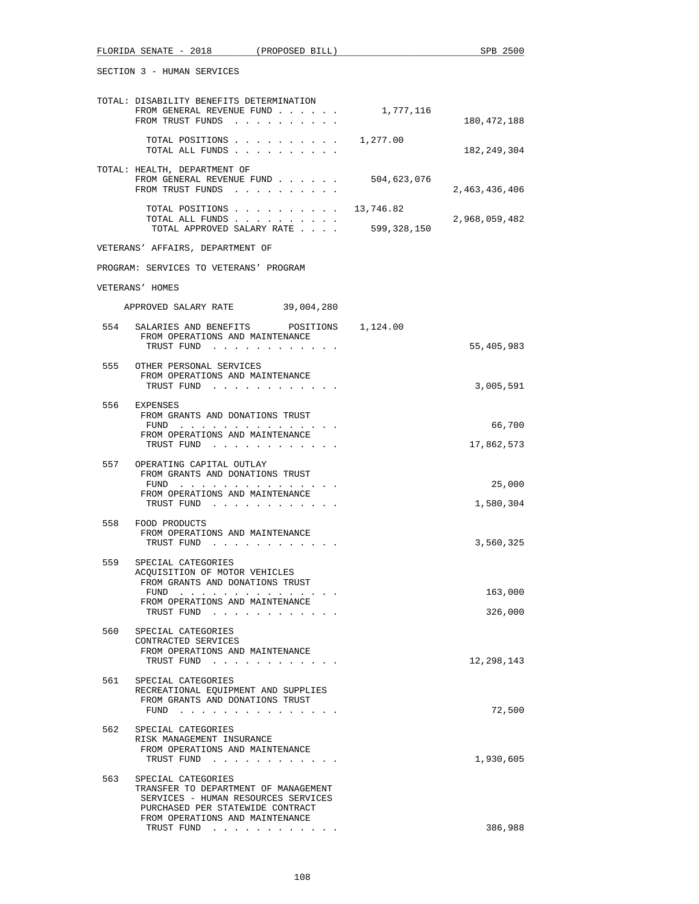|     | FLORIDA SENATE - 2018 (PROPOSED BILL)                                                                                                                                    |             | SPB 2500             |
|-----|--------------------------------------------------------------------------------------------------------------------------------------------------------------------------|-------------|----------------------|
|     | SECTION 3 - HUMAN SERVICES                                                                                                                                               |             |                      |
|     | TOTAL: DISABILITY BENEFITS DETERMINATION<br>FROM GENERAL REVENUE FUND<br>FROM TRUST FUNDS                                                                                | 1,777,116   | 180,472,188          |
|     | TOTAL POSITIONS<br>TOTAL ALL FUNDS                                                                                                                                       | 1,277.00    | 182,249,304          |
|     | TOTAL: HEALTH, DEPARTMENT OF<br>FROM GENERAL REVENUE FUND                                                                                                                | 504,623,076 |                      |
|     | FROM TRUST FUNDS<br>TOTAL POSITIONS 13,746.82                                                                                                                            |             | 2,463,436,406        |
|     | TOTAL ALL FUNDS<br>TOTAL APPROVED SALARY RATE                                                                                                                            | 599,328,150 | 2,968,059,482        |
|     | VETERANS' AFFAIRS, DEPARTMENT OF                                                                                                                                         |             |                      |
|     | PROGRAM: SERVICES TO VETERANS' PROGRAM                                                                                                                                   |             |                      |
|     | VETERANS' HOMES                                                                                                                                                          |             |                      |
|     | APPROVED SALARY RATE 39,004,280                                                                                                                                          |             |                      |
| 554 | SALARIES AND BENEFITS POSITIONS 1,124.00<br>FROM OPERATIONS AND MAINTENANCE<br>TRUST FUND                                                                                |             | 55,405,983           |
| 555 | OTHER PERSONAL SERVICES<br>FROM OPERATIONS AND MAINTENANCE<br>TRUST FUND                                                                                                 |             | 3,005,591            |
| 556 | EXPENSES<br>FROM GRANTS AND DONATIONS TRUST                                                                                                                              |             |                      |
|     | FUND<br>FROM OPERATIONS AND MAINTENANCE<br>TRUST FUND                                                                                                                    |             | 66,700<br>17,862,573 |
| 557 | OPERATING CAPITAL OUTLAY<br>FROM GRANTS AND DONATIONS TRUST                                                                                                              |             |                      |
|     | FUND<br>FROM OPERATIONS AND MAINTENANCE                                                                                                                                  |             | 25,000               |
| 558 | TRUST FUND<br>FOOD PRODUCTS                                                                                                                                              |             | 1,580,304            |
|     | FROM OPERATIONS AND MAINTENANCE<br>TRUST FUND<br>contract and support the pro-                                                                                           |             | 3,560,325            |
| 559 | SPECIAL CATEGORIES<br>ACQUISITION OF MOTOR VEHICLES<br>FROM GRANTS AND DONATIONS TRUST                                                                                   |             |                      |
|     | FUND                                                                                                                                                                     |             | 163,000              |
|     | FROM OPERATIONS AND MAINTENANCE<br>TRUST FUND                                                                                                                            |             | 326,000              |
| 560 | SPECIAL CATEGORIES<br>CONTRACTED SERVICES<br>FROM OPERATIONS AND MAINTENANCE                                                                                             |             |                      |
| 561 | TRUST FUND<br>SPECIAL CATEGORIES                                                                                                                                         |             | 12,298,143           |
|     | RECREATIONAL EQUIPMENT AND SUPPLIES<br>FROM GRANTS AND DONATIONS TRUST<br>FUND $\cdots$                                                                                  |             | 72,500               |
| 562 | SPECIAL CATEGORIES<br>RISK MANAGEMENT INSURANCE<br>FROM OPERATIONS AND MAINTENANCE<br>TRUST FUND                                                                         |             | 1,930,605            |
| 563 | SPECIAL CATEGORIES<br>TRANSFER TO DEPARTMENT OF MANAGEMENT<br>SERVICES - HUMAN RESOURCES SERVICES<br>PURCHASED PER STATEWIDE CONTRACT<br>FROM OPERATIONS AND MAINTENANCE |             |                      |
|     | TRUST FUND                                                                                                                                                               |             | 386,988              |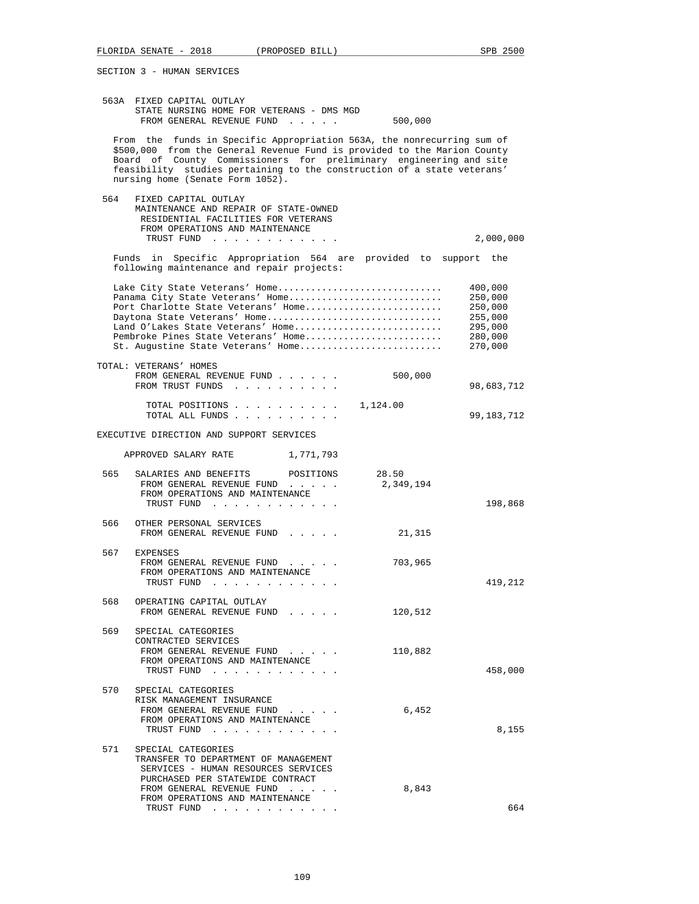SECTION 3 - HUMAN SERVICES

|     | 563A FIXED CAPITAL OUTLAY<br>STATE NURSING HOME FOR VETERANS - DMS MGD<br>FROM GENERAL REVENUE FUND<br>500,000                                                                                                                                                                                                                          |                                                                           |
|-----|-----------------------------------------------------------------------------------------------------------------------------------------------------------------------------------------------------------------------------------------------------------------------------------------------------------------------------------------|---------------------------------------------------------------------------|
|     | From the funds in Specific Appropriation 563A, the nonrecurring sum of<br>\$500,000 from the General Revenue Fund is provided to the Marion County<br>Board of County Commissioners for preliminary engineering and site<br>feasibility studies pertaining to the construction of a state veterans'<br>nursing home (Senate Form 1052). |                                                                           |
| 564 | FIXED CAPITAL OUTLAY<br>MAINTENANCE AND REPAIR OF STATE-OWNED<br>RESIDENTIAL FACILITIES FOR VETERANS<br>FROM OPERATIONS AND MAINTENANCE<br>TRUST FUND                                                                                                                                                                                   | 2,000,000                                                                 |
|     | Funds in Specific Appropriation 564 are provided to support the<br>following maintenance and repair projects:                                                                                                                                                                                                                           |                                                                           |
|     | Lake City State Veterans' Home<br>Panama City State Veterans' Home<br>Port Charlotte State Veterans' Home<br>Daytona State Veterans' Home<br>Land O'Lakes State Veterans' Home<br>Pembroke Pines State Veterans' Home<br>St. Augustine State Veterans' Home                                                                             | 400,000<br>250,000<br>250,000<br>255,000<br>295,000<br>280,000<br>270,000 |
|     | TOTAL: VETERANS' HOMES<br>FROM GENERAL REVENUE FUND<br>500,000<br>FROM TRUST FUNDS                                                                                                                                                                                                                                                      | 98,683,712                                                                |
|     | TOTAL POSITIONS<br>1,124.00<br>TOTAL ALL FUNDS                                                                                                                                                                                                                                                                                          | 99,183,712                                                                |
|     | EXECUTIVE DIRECTION AND SUPPORT SERVICES                                                                                                                                                                                                                                                                                                |                                                                           |
|     | APPROVED SALARY RATE 1,771,793                                                                                                                                                                                                                                                                                                          |                                                                           |
| 565 | SALARIES AND BENEFITS<br>POSITIONS<br>28.50<br>FROM GENERAL REVENUE FUND<br>2,349,194<br>FROM OPERATIONS AND MAINTENANCE<br>TRUST FUND                                                                                                                                                                                                  | 198,868                                                                   |
| 566 | OTHER PERSONAL SERVICES<br>FROM GENERAL REVENUE FUND<br>21,315                                                                                                                                                                                                                                                                          |                                                                           |
| 567 | <b>EXPENSES</b><br>703,965<br>FROM GENERAL REVENUE FUND<br>FROM OPERATIONS AND MAINTENANCE<br>TRUST FUND                                                                                                                                                                                                                                | 419,212                                                                   |
| 568 | OPERATING CAPITAL OUTLAY<br>120,512<br>FROM GENERAL REVENUE FUND                                                                                                                                                                                                                                                                        |                                                                           |
| 569 | SPECIAL CATEGORIES<br>CONTRACTED SERVICES<br>FROM GENERAL REVENUE FUND<br>110,882<br>FROM OPERATIONS AND MAINTENANCE<br>TRUST FUND                                                                                                                                                                                                      | 458,000                                                                   |
| 570 | SPECIAL CATEGORIES<br>RISK MANAGEMENT INSURANCE<br>6,452<br>FROM GENERAL REVENUE FUND<br>FROM OPERATIONS AND MAINTENANCE<br>TRUST FUND                                                                                                                                                                                                  | 8,155                                                                     |
| 571 | SPECIAL CATEGORIES<br>TRANSFER TO DEPARTMENT OF MANAGEMENT<br>SERVICES - HUMAN RESOURCES SERVICES<br>PURCHASED PER STATEWIDE CONTRACT<br>FROM GENERAL REVENUE FUND<br>8,843<br>FROM OPERATIONS AND MAINTENANCE<br>TRUST FUND                                                                                                            | 664                                                                       |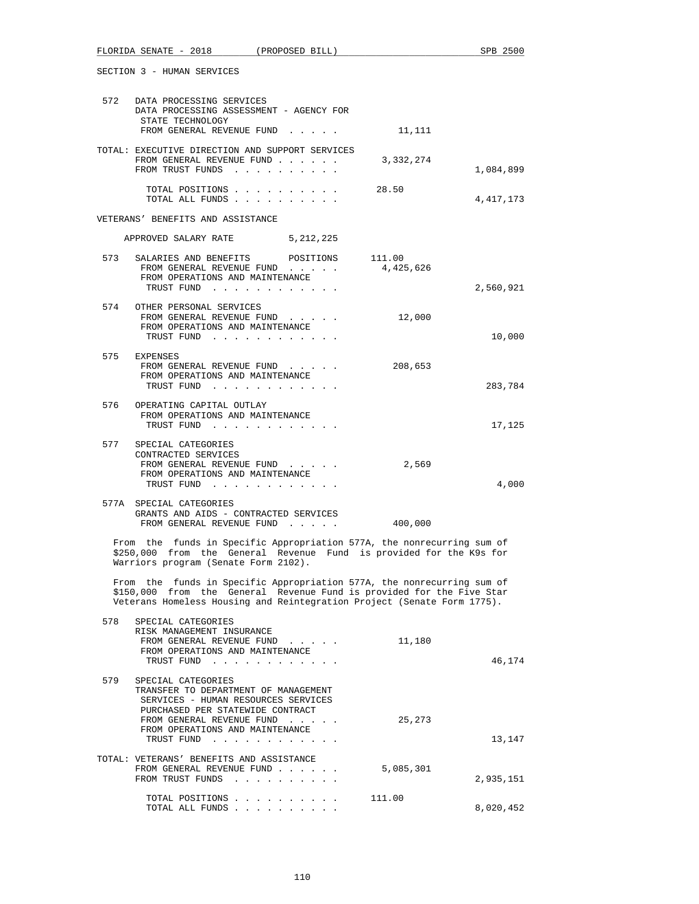|     | SECTION 3 - HUMAN SERVICES                                                                                                                                                                                                 |           |           |
|-----|----------------------------------------------------------------------------------------------------------------------------------------------------------------------------------------------------------------------------|-----------|-----------|
|     | 572 DATA PROCESSING SERVICES<br>DATA PROCESSING ASSESSMENT - AGENCY FOR<br>STATE TECHNOLOGY<br>FROM GENERAL REVENUE FUND 11,111                                                                                            |           |           |
|     | TOTAL: EXECUTIVE DIRECTION AND SUPPORT SERVICES<br>FROM GENERAL REVENUE FUND<br>FROM TRUST FUNDS                                                                                                                           | 3,332,274 | 1,084,899 |
|     | TOTAL POSITIONS<br>TOTAL ALL FUNDS                                                                                                                                                                                         | 28.50     | 4,417,173 |
|     | VETERANS' BENEFITS AND ASSISTANCE                                                                                                                                                                                          |           |           |
|     | APPROVED SALARY RATE 5, 212, 225                                                                                                                                                                                           |           |           |
|     | 573 SALARIES AND BENEFITS POSITIONS 111.00<br>FROM GENERAL REVENUE FUND 4,425,626<br>FROM OPERATIONS AND MAINTENANCE<br>TRUST FUND                                                                                         |           | 2,560,921 |
|     | 574 OTHER PERSONAL SERVICES<br>FROM GENERAL REVENUE FUND<br>FROM OPERATIONS AND MAINTENANCE<br>TRUST FUND                                                                                                                  | 12,000    | 10,000    |
|     | 575 EXPENSES<br>FROM GENERAL REVENUE FUND<br>FROM OPERATIONS AND MAINTENANCE<br>TRUST FUND                                                                                                                                 | 208,653   | 283,784   |
|     | 576 OPERATING CAPITAL OUTLAY<br>FROM OPERATIONS AND MAINTENANCE<br>TRUST FUND                                                                                                                                              |           | 17,125    |
| 577 | SPECIAL CATEGORIES<br>CONTRACTED SERVICES<br>FROM GENERAL REVENUE FUND<br>FROM OPERATIONS AND MAINTENANCE<br>TRUST FUND                                                                                                    | 2,569     | 4,000     |
|     | 577A SPECIAL CATEGORIES<br>GRANTS AND AIDS - CONTRACTED SERVICES<br>FROM GENERAL REVENUE FUND                                                                                                                              | 400,000   |           |
|     | From the funds in Specific Appropriation 577A, the nonrecurring sum of<br>\$250,000 from the General Revenue Fund is provided for the K9s for<br>Warriors program (Senate Form 2102).                                      |           |           |
|     | From the funds in Specific Appropriation 577A, the nonrecurring sum of<br>\$150,000 from the General Revenue Fund is provided for the Five Star<br>Veterans Homeless Housing and Reintegration Project (Senate Form 1775). |           |           |
| 578 | SPECIAL CATEGORIES<br>RISK MANAGEMENT INSURANCE<br>FROM GENERAL REVENUE FUND<br>FROM OPERATIONS AND MAINTENANCE<br>TRUST FUND                                                                                              | 11,180    | 46,174    |
| 579 | SPECIAL CATEGORIES<br>TRANSFER TO DEPARTMENT OF MANAGEMENT<br>SERVICES - HUMAN RESOURCES SERVICES<br>PURCHASED PER STATEWIDE CONTRACT<br>FROM GENERAL REVENUE FUND<br>FROM OPERATIONS AND MAINTENANCE<br>TRUST FUND        | 25,273    | 13,147    |
|     | TOTAL: VETERANS' BENEFITS AND ASSISTANCE<br>FROM GENERAL REVENUE FUND<br>FROM TRUST FUNDS                                                                                                                                  | 5,085,301 | 2,935,151 |
|     | TOTAL POSITIONS<br>TOTAL ALL FUNDS                                                                                                                                                                                         | 111.00    | 8,020,452 |

FLORIDA SENATE - 2018 (PROPOSED BILL) SPB 2500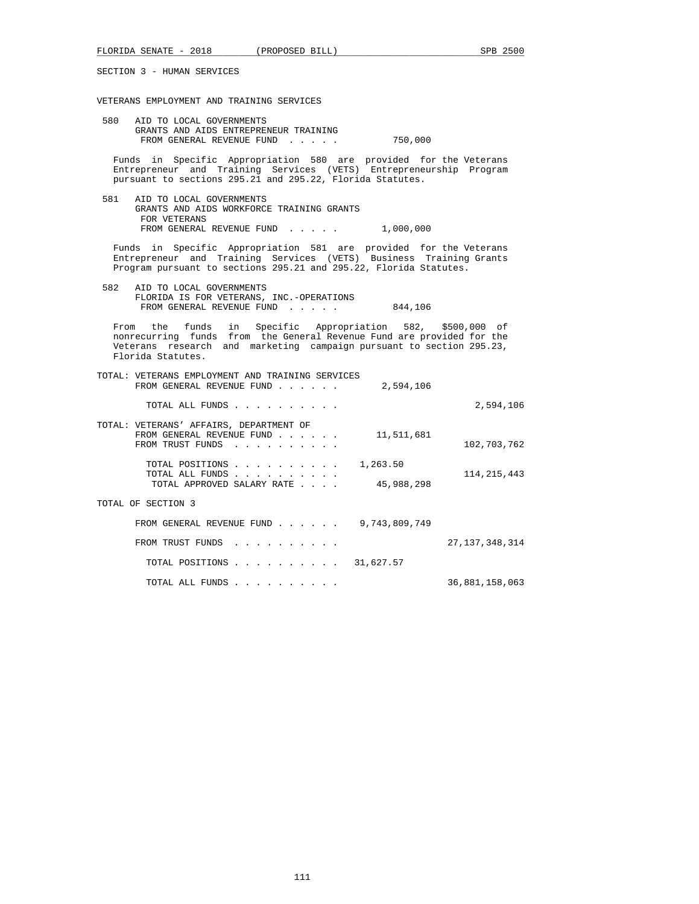SECTION 3 - HUMAN SERVICES

### VETERANS EMPLOYMENT AND TRAINING SERVICES

 580 AID TO LOCAL GOVERNMENTS GRANTS AND AIDS ENTREPRENEUR TRAINING FROM GENERAL REVENUE FUND . . . . . 750,000

 Funds in Specific Appropriation 580 are provided for the Veterans Entrepreneur and Training Services (VETS) Entrepreneurship Program pursuant to sections 295.21 and 295.22, Florida Statutes.

 581 AID TO LOCAL GOVERNMENTS GRANTS AND AIDS WORKFORCE TRAINING GRANTS FOR VETERANS FROM GENERAL REVENUE FUND . . . . . 1,000,000

 Funds in Specific Appropriation 581 are provided for the Veterans Entrepreneur and Training Services (VETS) Business Training Grants Program pursuant to sections 295.21 and 295.22, Florida Statutes.

 582 AID TO LOCAL GOVERNMENTS FLORIDA IS FOR VETERANS, INC.-OPERATIONS FROM GENERAL REVENUE FUND . . . . . 844,106

 From the funds in Specific Appropriation 582, \$500,000 of nonrecurring funds from the General Revenue Fund are provided for the Veterans research and marketing campaign pursuant to section 295.23, Florida Statutes.

| TOTAL:<br>VETERANS EMPLOYMENT AND TRAINING SERVICES<br>2,594,106<br>FROM GENERAL REVENUE FUND<br>and a state of the state of the state of |                   |
|-------------------------------------------------------------------------------------------------------------------------------------------|-------------------|
| TOTAL ALL FUNDS                                                                                                                           | 2,594,106         |
| TOTAL: VETERANS' AFFAIRS, DEPARTMENT OF<br>11,511,681<br>FROM GENERAL REVENUE FUND<br>FROM TRUST FUNDS                                    | 102,703,762       |
| 1,263.50<br>TOTAL POSITIONS<br>TOTAL ALL FUNDS<br>45,988,298<br>TOTAL APPROVED SALARY RATE                                                | 114, 215, 443     |
| TOTAL OF SECTION 3                                                                                                                        |                   |
| 9,743,809,749<br>FROM GENERAL REVENUE FUND                                                                                                |                   |
| FROM TRUST FUNDS<br>.                                                                                                                     | 27, 137, 348, 314 |
| TOTAL POSITIONS 31,627.57                                                                                                                 |                   |
| TOTAL ALL FUNDS                                                                                                                           | 36,881,158,063    |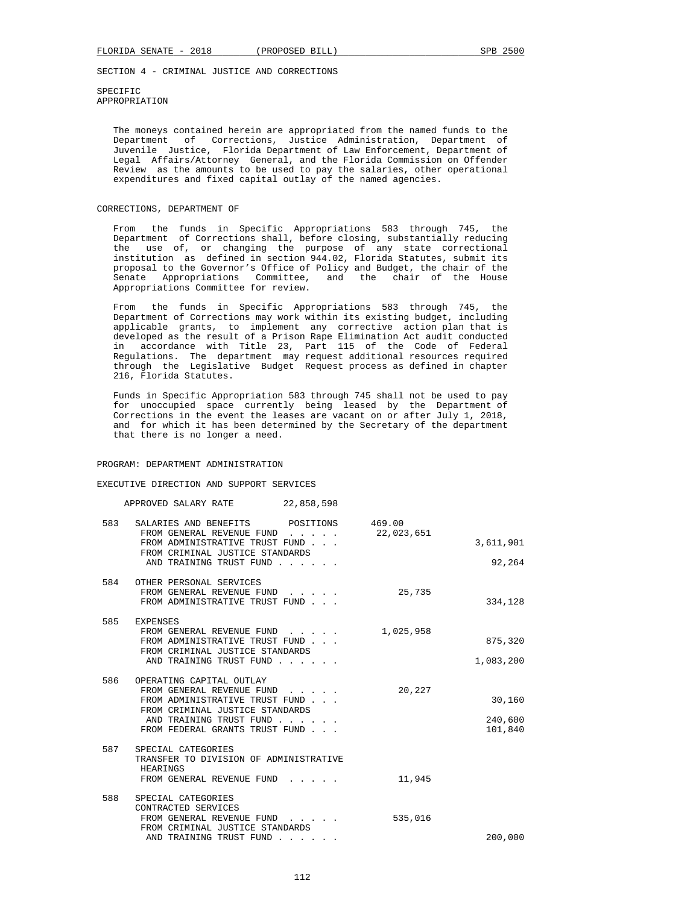SPECIFIC APPROPRIATION

 The moneys contained herein are appropriated from the named funds to the Department of Corrections, Justice Administration, Department of Juvenile Justice, Florida Department of Law Enforcement, Department of Legal Affairs/Attorney General, and the Florida Commission on Offender Review as the amounts to be used to pay the salaries, other operational expenditures and fixed capital outlay of the named agencies.

# CORRECTIONS, DEPARTMENT OF

 From the funds in Specific Appropriations 583 through 745, the Department of Corrections shall, before closing, substantially reducing the use of, or changing the purpose of any state correctional institution as defined in section 944.02, Florida Statutes, submit its proposal to the Governor's Office of Policy and Budget, the chair of the Senate Appropriations Committee, Appropriations Committee for review.

 From the funds in Specific Appropriations 583 through 745, the Department of Corrections may work within its existing budget, including applicable grants, to implement any corrective action plan that is developed as the result of a Prison Rape Elimination Act audit conducted in accordance with Title 23, Part 115 of the Code of Federal Regulations. The department may request additional resources required through the Legislative Budget Request process as defined in chapter 216, Florida Statutes.

 Funds in Specific Appropriation 583 through 745 shall not be used to pay for unoccupied space currently being leased by the Department of Corrections in the event the leases are vacant on or after July 1, 2018, and for which it has been determined by the Secretary of the department that there is no longer a need.

### PROGRAM: DEPARTMENT ADMINISTRATION

#### EXECUTIVE DIRECTION AND SUPPORT SERVICES

### APPROVED SALARY RATE 22,858,598

| 583 | SALARIES AND BENEFITS POSITIONS<br>FROM GENERAL REVENUE FUND<br>$\mathbf{r}$ . The set of the set of the set of the set of the set of the set of the set of the set of the set of the set of the set of the set of the set of the set of the set of the set of the set of the set of the set of t | 469.00<br>22,023,651 |                              |
|-----|---------------------------------------------------------------------------------------------------------------------------------------------------------------------------------------------------------------------------------------------------------------------------------------------------|----------------------|------------------------------|
|     | FROM ADMINISTRATIVE TRUST FUND                                                                                                                                                                                                                                                                    |                      | 3,611,901                    |
|     | FROM CRIMINAL JUSTICE STANDARDS<br>AND TRAINING TRUST FUND                                                                                                                                                                                                                                        |                      | 92,264                       |
| 584 | OTHER PERSONAL SERVICES<br>FROM GENERAL REVENUE FUND<br>FROM ADMINISTRATIVE TRUST FUND                                                                                                                                                                                                            | 25,735               | 334,128                      |
| 585 | <b>EXPENSES</b><br>FROM GENERAL REVENUE FUND<br>$\mathbf{r}$ and $\mathbf{r}$ and $\mathbf{r}$<br>FROM ADMINISTRATIVE TRUST FUND<br>FROM CRIMINAL JUSTICE STANDARDS<br>AND TRAINING TRUST FUND                                                                                                    | 1,025,958            | 875,320<br>1,083,200         |
| 586 | OPERATING CAPITAL OUTLAY<br>FROM GENERAL REVENUE FUND<br>FROM ADMINISTRATIVE TRUST FUND<br>FROM CRIMINAL JUSTICE STANDARDS<br>AND TRAINING TRUST FUND<br>FROM FEDERAL GRANTS TRUST FUND                                                                                                           | 20,227               | 30,160<br>240,600<br>101,840 |
| 587 | SPECIAL CATEGORIES<br>TRANSFER TO DIVISION OF ADMINISTRATIVE<br>HEARINGS<br>FROM GENERAL REVENUE FUND                                                                                                                                                                                             | 11,945               |                              |
| 588 | SPECIAL CATEGORIES<br>CONTRACTED SERVICES<br>FROM GENERAL REVENUE FUND<br>FROM CRIMINAL JUSTICE STANDARDS<br>AND TRAINING TRUST FUND                                                                                                                                                              | 535,016              | 200,000                      |
|     |                                                                                                                                                                                                                                                                                                   |                      |                              |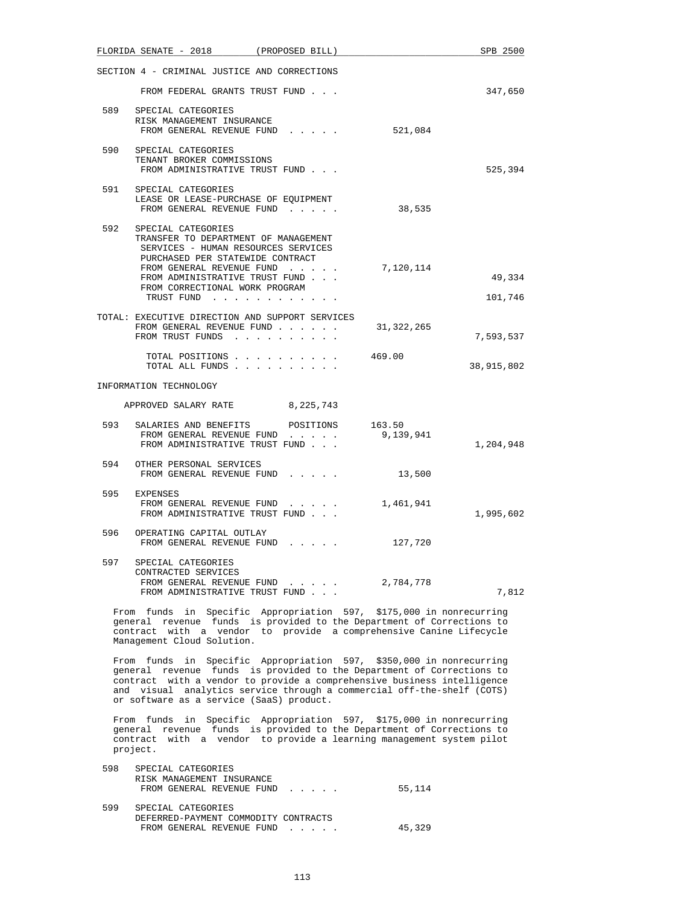| FLORIDA SENATE - 2018 (PROPOSED BILL)                                                                                                                                                                                                                    |                                                                                                                                                                                                                    |            | SPB 2500          |
|----------------------------------------------------------------------------------------------------------------------------------------------------------------------------------------------------------------------------------------------------------|--------------------------------------------------------------------------------------------------------------------------------------------------------------------------------------------------------------------|------------|-------------------|
| SECTION 4 - CRIMINAL JUSTICE AND CORRECTIONS                                                                                                                                                                                                             |                                                                                                                                                                                                                    |            |                   |
| FROM FEDERAL GRANTS TRUST FUND                                                                                                                                                                                                                           |                                                                                                                                                                                                                    |            | 347,650           |
| 589 SPECIAL CATEGORIES<br>RISK MANAGEMENT INSURANCE<br>FROM GENERAL REVENUE FUND                                                                                                                                                                         |                                                                                                                                                                                                                    | 521,084    |                   |
| 590 SPECIAL CATEGORIES<br>TENANT BROKER COMMISSIONS<br>FROM ADMINISTRATIVE TRUST FUND                                                                                                                                                                    |                                                                                                                                                                                                                    |            | 525,394           |
| 591 SPECIAL CATEGORIES<br>LEASE OR LEASE-PURCHASE OF EQUIPMENT<br>FROM GENERAL REVENUE FUND                                                                                                                                                              |                                                                                                                                                                                                                    | 38,535     |                   |
| 592 SPECIAL CATEGORIES<br>TRANSFER TO DEPARTMENT OF MANAGEMENT<br>SERVICES - HUMAN RESOURCES SERVICES<br>PURCHASED PER STATEWIDE CONTRACT<br>FROM GENERAL REVENUE FUND<br>FROM ADMINISTRATIVE TRUST FUND<br>FROM CORRECTIONAL WORK PROGRAM<br>TRUST FUND |                                                                                                                                                                                                                    | 7,120,114  | 49,334<br>101,746 |
| FROM GENERAL REVENUE FUND<br>FROM TRUST FUNDS                                                                                                                                                                                                            | TOTAL: EXECUTIVE DIRECTION AND SUPPORT SERVICES                                                                                                                                                                    | 31,322,265 | 7,593,537         |
| TOTAL POSITIONS<br>TOTAL ALL FUNDS                                                                                                                                                                                                                       |                                                                                                                                                                                                                    | 469.00     | 38,915,802        |
| INFORMATION TECHNOLOGY                                                                                                                                                                                                                                   |                                                                                                                                                                                                                    |            |                   |
| APPROVED SALARY RATE                                                                                                                                                                                                                                     | 8,225,743                                                                                                                                                                                                          |            |                   |
| FROM GENERAL REVENUE FUND<br>FROM ADMINISTRATIVE TRUST FUND                                                                                                                                                                                              | 593 SALARIES AND BENEFITS POSITIONS 163.50                                                                                                                                                                         | 9,139,941  | 1,204,948         |
| 594 OTHER PERSONAL SERVICES<br>FROM GENERAL REVENUE FUND                                                                                                                                                                                                 |                                                                                                                                                                                                                    | 13,500     |                   |
| 595 EXPENSES<br>FROM GENERAL REVENUE FUND<br>FROM ADMINISTRATIVE TRUST FUND                                                                                                                                                                              |                                                                                                                                                                                                                    | 1,461,941  | 1,995,602         |
| 596 OPERATING CAPITAL OUTLAY<br>FROM GENERAL REVENUE FUND                                                                                                                                                                                                |                                                                                                                                                                                                                    | 127,720    |                   |
| 597 SPECIAL CATEGORIES<br>CONTRACTED SERVICES<br>FROM GENERAL REVENUE FUND<br>FROM ADMINISTRATIVE TRUST FUND                                                                                                                                             |                                                                                                                                                                                                                    | 2,784,778  | 7,812             |
|                                                                                                                                                                                                                                                          | From funds in Specific Appropriation 597, \$175,000 in nonrecurring<br>general revenue funds is provided to the Department of Corrections to<br>contract with a vendor to provide a comprehensive Canine Lifecycle |            |                   |

 From funds in Specific Appropriation 597, \$350,000 in nonrecurring general revenue funds is provided to the Department of Corrections to contract with a vendor to provide a comprehensive business intelligence and visual analytics service through a commercial off-the-shelf (COTS) or software as a service (SaaS) product.

 From funds in Specific Appropriation 597, \$175,000 in nonrecurring general revenue funds is provided to the Department of Corrections to contract with a vendor to provide a learning management system pilot project.

| 598 | SPECIAL CATEGORIES<br>RISK MANAGEMENT INSURANCE<br>FROM GENERAL REVENUE FUND            | 55,114 |
|-----|-----------------------------------------------------------------------------------------|--------|
| 599 | SPECIAL CATEGORIES<br>DEFERRED-PAYMENT COMMODITY CONTRACTS<br>FROM GENERAL REVENUE FUND | 45,329 |

Management Cloud Solution.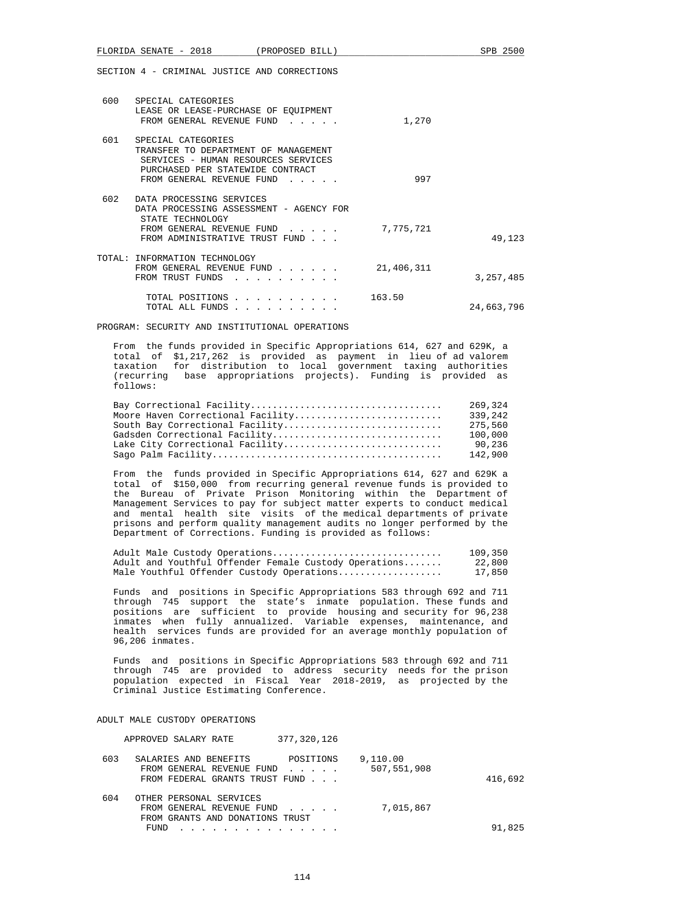|     | FLORIDA SENATE - 2018                                                                                                                                              | (PROPOSED BILL) |            | SPB 2500    |
|-----|--------------------------------------------------------------------------------------------------------------------------------------------------------------------|-----------------|------------|-------------|
|     | SECTION 4 - CRIMINAL JUSTICE AND CORRECTIONS                                                                                                                       |                 |            |             |
|     | 600 SPECIAL CATEGORIES<br>LEASE OR LEASE-PURCHASE OF EQUIPMENT<br>FROM GENERAL REVENUE FUND                                                                        |                 | 1,270      |             |
| 601 | SPECIAL CATEGORIES<br>TRANSFER TO DEPARTMENT OF MANAGEMENT<br>SERVICES - HUMAN RESOURCES SERVICES<br>PURCHASED PER STATEWIDE CONTRACT<br>FROM GENERAL REVENUE FUND |                 | 997        |             |
| 602 | DATA PROCESSING SERVICES<br>DATA PROCESSING ASSESSMENT - AGENCY FOR<br>STATE TECHNOLOGY<br>FROM GENERAL REVENUE FUND<br>FROM ADMINISTRATIVE TRUST FUND             |                 | 7,775,721  | 49,123      |
|     | TOTAL: INFORMATION TECHNOLOGY<br>FROM GENERAL REVENUE FUND<br>FROM TRUST FUNDS                                                                                     |                 | 21,406,311 | 3, 257, 485 |
|     | TOTAL POSITIONS<br>TOTAL ALL FUNDS                                                                                                                                 |                 | 163.50     | 24,663,796  |

PROGRAM: SECURITY AND INSTITUTIONAL OPERATIONS

 From the funds provided in Specific Appropriations 614, 627 and 629K, a total of \$1,217,262 is provided as payment in lieu of ad valorem taxation for distribution to local government taxing authorities (recurring base appropriations projects). Funding is provided as follows:

|                                   | 269,324 |
|-----------------------------------|---------|
| Moore Haven Correctional Facility | 339,242 |
| South Bay Correctional Facility   | 275,560 |
| Gadsden Correctional Facility     | 100,000 |
| Lake City Correctional Facility   | 90,236  |
|                                   | 142,900 |

 From the funds provided in Specific Appropriations 614, 627 and 629K a total of \$150,000 from recurring general revenue funds is provided to the Bureau of Private Prison Monitoring within the Department of Management Services to pay for subject matter experts to conduct medical and mental health site visits of the medical departments of private prisons and perform quality management audits no longer performed by the Department of Corrections. Funding is provided as follows:

| Adult Male Custody Operations                         | 109,350 |
|-------------------------------------------------------|---------|
| Adult and Youthful Offender Female Custody Operations | 22,800  |
| Male Youthful Offender Custody Operations             | 17,850  |

 Funds and positions in Specific Appropriations 583 through 692 and 711 through 745 support the state's inmate population. These funds and positions are sufficient to provide housing and security for 96,238 inmates when fully annualized. Variable expenses, maintenance, and health services funds are provided for an average monthly population of 96,206 inmates.

 Funds and positions in Specific Appropriations 583 through 692 and 711 through 745 are provided to address security needs for the prison population expected in Fiscal Year 2018-2019, as projected by the Criminal Justice Estimating Conference.

ADULT MALE CUSTODY OPERATIONS

| APPROVED SALARY RATE                                                                                   | 377,320,126 |                         |         |
|--------------------------------------------------------------------------------------------------------|-------------|-------------------------|---------|
| 603<br>SALARIES AND BENEFITS<br>FROM GENERAL REVENUE FUND<br>FROM FEDERAL GRANTS TRUST FUND            | POSITIONS   | 9,110.00<br>507,551,908 | 416,692 |
| 604<br>OTHER PERSONAL SERVICES<br>FROM GENERAL REVENUE FUND<br>FROM GRANTS AND DONATIONS TRUST<br>FUND |             | 7,015,867               | 91,825  |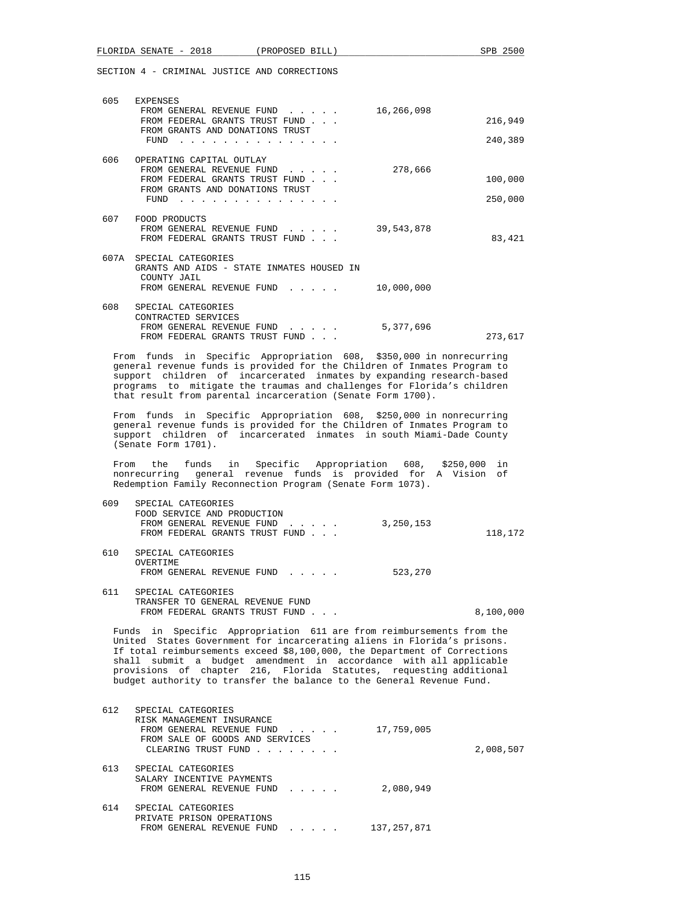| 605  | EXPENSES<br>FROM GENERAL REVENUE FUND                                                                       | 16,266,098 |         |
|------|-------------------------------------------------------------------------------------------------------------|------------|---------|
|      | FROM FEDERAL GRANTS TRUST FUND<br>FROM GRANTS AND DONATIONS TRUST                                           |            | 216,949 |
|      | FUND                                                                                                        |            | 240,389 |
| 606  | OPERATING CAPITAL OUTLAY                                                                                    |            |         |
|      | FROM GENERAL REVENUE FUND<br>FROM FEDERAL GRANTS TRUST FUND                                                 | 278,666    | 100,000 |
|      | FROM GRANTS AND DONATIONS TRUST<br>FUND                                                                     |            | 250,000 |
| 607  | FOOD PRODUCTS<br>FROM GENERAL REVENUE FUND<br>FROM FEDERAL GRANTS TRUST FUND                                | 39,543,878 | 83,421  |
| 607A | SPECIAL CATEGORIES<br>GRANTS AND AIDS - STATE INMATES HOUSED IN<br>COUNTY JAIL<br>FROM GENERAL REVENUE FUND | 10,000,000 |         |
| 608  | SPECIAL CATEGORIES<br>CONTRACTED SERVICES<br>FROM GENERAL REVENUE FUND<br>FROM FEDERAL GRANTS TRUST FUND    | 5,377,696  | 273,617 |
| From | in Specific Appropriation 608, \$350,000 in nonrecurring<br>funds                                           |            |         |

 general revenue funds is provided for the Children of Inmates Program to support children of incarcerated inmates by expanding research-based programs to mitigate the traumas and challenges for Florida's children that result from parental incarceration (Senate Form 1700).

 From funds in Specific Appropriation 608, \$250,000 in nonrecurring general revenue funds is provided for the Children of Inmates Program to support children of incarcerated inmates in south Miami-Dade County (Senate Form 1701).

 From the funds in Specific Appropriation 608, \$250,000 in nonrecurring general revenue funds is provided for A Vision of Redemption Family Reconnection Program (Senate Form 1073).

| 609 | SPECIAL CATEGORIES             |           |         |
|-----|--------------------------------|-----------|---------|
|     | FOOD SERVICE AND PRODUCTION    |           |         |
|     | FROM GENERAL REVENUE FUND      | 3,250,153 |         |
|     | FROM FEDERAL GRANTS TRUST FUND |           | 118,172 |
| 610 | SPECIAL CATEGORIES             |           |         |

 OVERTIME FROM GENERAL REVENUE FUND . . . . . 523,270 611 SPECIAL CATEGORIES TRANSFER TO GENERAL REVENUE FUND

FROM FEDERAL GRANTS TRUST FUND . . . 8,100,000

 Funds in Specific Appropriation 611 are from reimbursements from the United States Government for incarcerating aliens in Florida's prisons. If total reimbursements exceed \$8,100,000, the Department of Corrections shall submit a budget amendment in accordance with all applicable provisions of chapter 216, Florida Statutes, requesting additional budget authority to transfer the balance to the General Revenue Fund.

| 612 | SPECIAL CATEGORIES<br>RISK MANAGEMENT INSURANCE<br>FROM GENERAL REVENUE FUND<br>FROM SALE OF GOODS AND SERVICES<br>CLEARING TRUST FUND                   | 17,759,005  | 2,008,507 |
|-----|----------------------------------------------------------------------------------------------------------------------------------------------------------|-------------|-----------|
| 613 | SPECIAL CATEGORIES<br>SALARY INCENTIVE PAYMENTS<br>FROM GENERAL REVENUE FUND                                                                             | 2,080,949   |           |
| 614 | SPECIAL CATEGORIES<br>PRIVATE PRISON OPERATIONS<br>FROM GENERAL REVENUE FUND<br>$\mathbf{r}$ , $\mathbf{r}$ , $\mathbf{r}$ , $\mathbf{r}$ , $\mathbf{r}$ | 137,257,871 |           |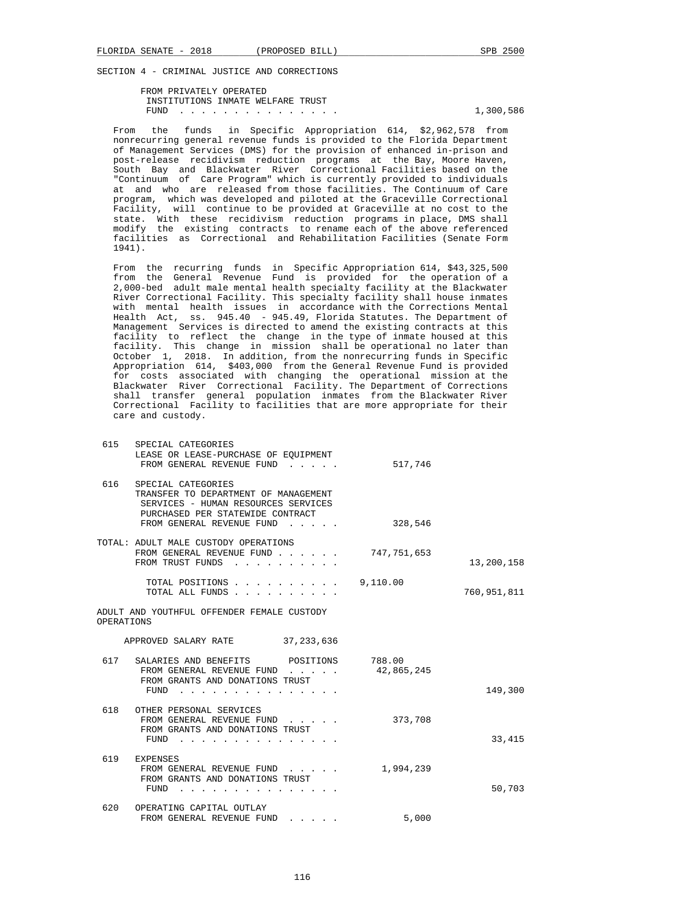FROM PRIVATELY OPERATED INSTITUTIONS INMATE WELFARE TRUST FUND . . . . . . . . . . . . . . . 1,300,586

 From the funds in Specific Appropriation 614, \$2,962,578 from nonrecurring general revenue funds is provided to the Florida Department of Management Services (DMS) for the provision of enhanced in-prison and post-release recidivism reduction programs at the Bay, Moore Haven, South Bay and Blackwater River Correctional Facilities based on the "Continuum of Care Program" which is currently provided to individuals at and who are released from those facilities. The Continuum of Care program, which was developed and piloted at the Graceville Correctional Facility, will continue to be provided at Graceville at no cost to the state. With these recidivism reduction programs in place, DMS shall<br>modify the existing contracts to rename each of the above referenced the existing contracts to rename each of the above referenced facilities as Correctional and Rehabilitation Facilities (Senate Form 1941).

 From the recurring funds in Specific Appropriation 614, \$43,325,500 from the General Revenue Fund is provided for the operation of a 2,000-bed adult male mental health specialty facility at the Blackwater River Correctional Facility. This specialty facility shall house inmates with mental health issues in accordance with the Corrections Mental Health Act, ss. 945.40 - 945.49, Florida Statutes. The Department of Management Services is directed to amend the existing contracts at this facility to reflect the change in the type of inmate housed at this facility. This change in mission shall be operational no later than October 1, 2018. In addition, from the nonrecurring funds in Specific Appropriation 614, \$403,000 from the General Revenue Fund is provided for costs associated with changing the operational mission at the Blackwater River Correctional Facility. The Department of Corrections shall transfer general population inmates from the Blackwater River Correctional Facility to facilities that are more appropriate for their care and custody.

| 615        | SPECIAL CATEGORIES<br>LEASE OR LEASE-PURCHASE OF EQUIPMENT<br>FROM GENERAL REVENUE FUND                                                                            | 517,746              |             |
|------------|--------------------------------------------------------------------------------------------------------------------------------------------------------------------|----------------------|-------------|
| 616        | SPECIAL CATEGORIES<br>TRANSFER TO DEPARTMENT OF MANAGEMENT<br>SERVICES - HUMAN RESOURCES SERVICES<br>PURCHASED PER STATEWIDE CONTRACT<br>FROM GENERAL REVENUE FUND | 328,546              |             |
|            | TOTAL: ADULT MALE CUSTODY OPERATIONS<br>FROM GENERAL REVENUE FUND<br>FROM TRUST FUNDS<br>and the second control of the second                                      | 747,751,653          | 13,200,158  |
|            | TOTAL POSITIONS<br>TOTAL ALL FUNDS                                                                                                                                 | 9,110.00             | 760,951,811 |
| OPERATIONS | ADULT AND YOUTHFUL OFFENDER FEMALE CUSTODY                                                                                                                         |                      |             |
|            | APPROVED SALARY RATE 37, 233, 636                                                                                                                                  |                      |             |
| 617        | SALARIES AND BENEFITS POSITIONS<br>FROM GENERAL REVENUE FUND<br>FROM GRANTS AND DONATIONS TRUST<br>FUND                                                            | 788.00<br>42,865,245 | 149,300     |
|            | 618 OTHER PERSONAL SERVICES<br>FROM GENERAL REVENUE FUND<br>FROM GRANTS AND DONATIONS TRUST<br>$FUND$                                                              | 373,708              | 33, 415     |
| 619        | <b>EXPENSES</b><br>FROM GENERAL REVENUE FUND<br>FROM GRANTS AND DONATIONS TRUST<br>FUND                                                                            | 1,994,239            | 50,703      |
| 620        | OPERATING CAPITAL OUTLAY<br>FROM GENERAL REVENUE FUND                                                                                                              | 5,000                |             |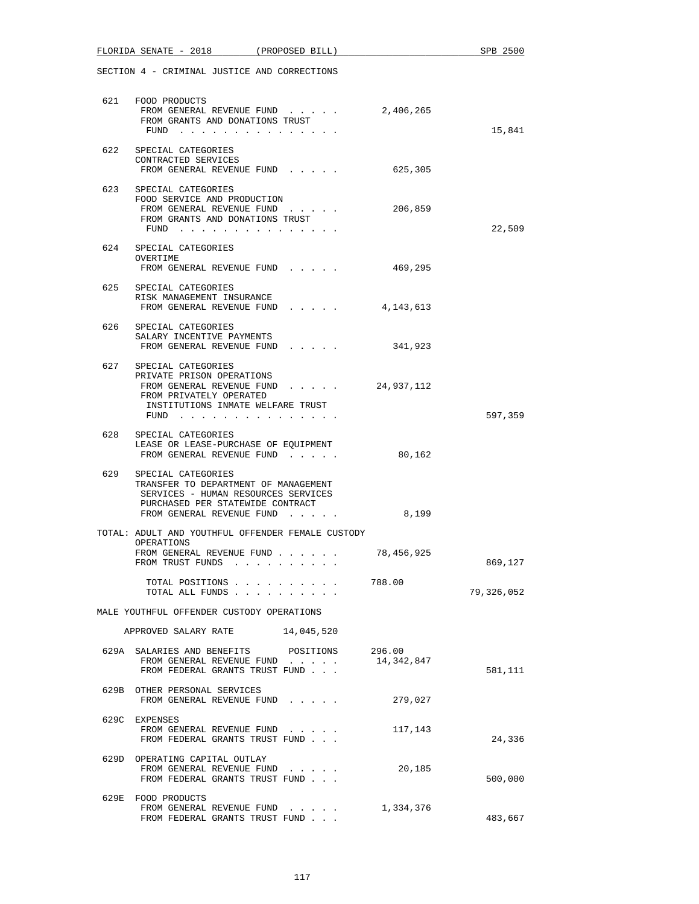|     | FLORIDA SENATE - 2018 (PROPOSED BILL)                                                                                                                                               |                      | SPB 2500   |
|-----|-------------------------------------------------------------------------------------------------------------------------------------------------------------------------------------|----------------------|------------|
|     | SECTION 4 - CRIMINAL JUSTICE AND CORRECTIONS                                                                                                                                        |                      |            |
|     | 621 FOOD PRODUCTS<br>FROM GENERAL REVENUE FUND<br>FROM GRANTS AND DONATIONS TRUST<br>FUND                                                                                           | 2,406,265            | 15,841     |
|     | 622 SPECIAL CATEGORIES<br>CONTRACTED SERVICES<br>FROM GENERAL REVENUE FUND                                                                                                          | 625,305              |            |
|     | 623 SPECIAL CATEGORIES<br>FOOD SERVICE AND PRODUCTION<br>FROM GENERAL REVENUE FUND<br>FROM GRANTS AND DONATIONS TRUST<br>FUND $\cdots$ $\cdots$ $\cdots$ $\cdots$ $\cdots$ $\cdots$ | 206,859              | 22,509     |
|     | 624 SPECIAL CATEGORIES<br>OVERTIME<br>FROM GENERAL REVENUE FUND                                                                                                                     | 469,295              |            |
|     | 625 SPECIAL CATEGORIES<br>RISK MANAGEMENT INSURANCE<br>FROM GENERAL REVENUE FUND 4,143,613                                                                                          |                      |            |
|     | 626 SPECIAL CATEGORIES<br>SALARY INCENTIVE PAYMENTS<br>FROM GENERAL REVENUE FUND                                                                                                    | 341,923              |            |
|     | 627 SPECIAL CATEGORIES<br>PRIVATE PRISON OPERATIONS<br>FROM GENERAL REVENUE FUND<br>FROM PRIVATELY OPERATED<br>INSTITUTIONS INMATE WELFARE TRUST<br>FUND $\cdots$                   | 24,937,112           | 597,359    |
|     | 628 SPECIAL CATEGORIES<br>LEASE OR LEASE-PURCHASE OF EQUIPMENT<br>FROM GENERAL REVENUE FUND                                                                                         | 80,162               |            |
| 629 | SPECIAL CATEGORIES<br>TRANSFER TO DEPARTMENT OF MANAGEMENT<br>SERVICES - HUMAN RESOURCES SERVICES<br>PURCHASED PER STATEWIDE CONTRACT<br>FROM GENERAL REVENUE FUND                  | 8,199                |            |
|     | TOTAL: ADULT AND YOUTHFUL OFFENDER FEMALE CUSTODY<br>OPERATIONS<br>FROM GENERAL REVENUE FUND<br>FROM TRUST FUNDS                                                                    | 78,456,925           | 869,127    |
|     | TOTAL POSITIONS<br>TOTAL ALL FUNDS                                                                                                                                                  | 788.00               | 79,326,052 |
|     | MALE YOUTHFUL OFFENDER CUSTODY OPERATIONS                                                                                                                                           |                      |            |
|     | APPROVED SALARY RATE 14,045,520                                                                                                                                                     |                      |            |
|     | 629A SALARIES AND BENEFITS POSITIONS<br>FROM GENERAL REVENUE FUND<br>FROM FEDERAL GRANTS TRUST FUND                                                                                 | 296.00<br>14,342,847 | 581,111    |
|     | 629B OTHER PERSONAL SERVICES<br>FROM GENERAL REVENUE FUND                                                                                                                           | 279,027              |            |
|     | 629C EXPENSES<br>FROM GENERAL REVENUE FUND<br>FROM FEDERAL GRANTS TRUST FUND                                                                                                        | 117,143              | 24,336     |
|     | 629D OPERATING CAPITAL OUTLAY<br>FROM GENERAL REVENUE FUND<br>FROM FEDERAL GRANTS TRUST FUND                                                                                        | 20,185               | 500,000    |
|     | 629E FOOD PRODUCTS<br>FROM GENERAL REVENUE FUND<br>FROM FEDERAL GRANTS TRUST FUND                                                                                                   | 1,334,376            | 483,667    |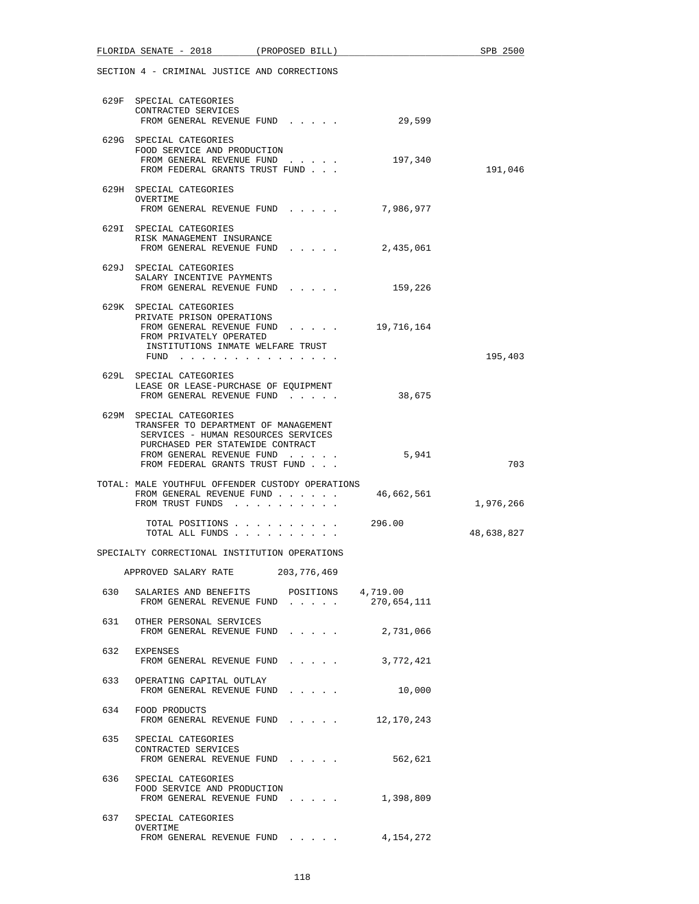|     | FLORIDA SENATE - 2018                                                                                                                                                                                     | (PROPOSED BILL)                                             | SPB 2500   |
|-----|-----------------------------------------------------------------------------------------------------------------------------------------------------------------------------------------------------------|-------------------------------------------------------------|------------|
|     | SECTION 4 - CRIMINAL JUSTICE AND CORRECTIONS                                                                                                                                                              |                                                             |            |
|     | 629F SPECIAL CATEGORIES<br>CONTRACTED SERVICES<br>FROM GENERAL REVENUE FUND                                                                                                                               | 29,599                                                      |            |
|     | 629G SPECIAL CATEGORIES<br>FOOD SERVICE AND PRODUCTION<br>FROM GENERAL REVENUE FUND<br>FROM FEDERAL GRANTS TRUST FUND                                                                                     | 197,340                                                     | 191,046    |
|     | 629H SPECIAL CATEGORIES<br>OVERTIME<br>FROM GENERAL REVENUE FUND                                                                                                                                          | 7,986,977                                                   |            |
|     | 629I SPECIAL CATEGORIES<br>RISK MANAGEMENT INSURANCE                                                                                                                                                      | FROM GENERAL REVENUE FUND 2,435,061                         |            |
|     | 629J SPECIAL CATEGORIES<br>SALARY INCENTIVE PAYMENTS                                                                                                                                                      | FROM GENERAL REVENUE FUND 159,226                           |            |
|     | 629K SPECIAL CATEGORIES<br>PRIVATE PRISON OPERATIONS<br>FROM PRIVATELY OPERATED<br>INSTITUTIONS INMATE WELFARE TRUST<br>FUND                                                                              | FROM GENERAL REVENUE FUND 19,716,164                        | 195,403    |
|     | 629L SPECIAL CATEGORIES<br>LEASE OR LEASE-PURCHASE OF EQUIPMENT<br>FROM GENERAL REVENUE FUND                                                                                                              | 38,675                                                      |            |
|     | 629M SPECIAL CATEGORIES<br>TRANSFER TO DEPARTMENT OF MANAGEMENT<br>SERVICES - HUMAN RESOURCES SERVICES<br>PURCHASED PER STATEWIDE CONTRACT<br>FROM GENERAL REVENUE FUND<br>FROM FEDERAL GRANTS TRUST FUND | 5,941                                                       | 703        |
|     | TOTAL: MALE YOUTHFUL OFFENDER CUSTODY OPERATIONS<br>FROM TRUST FUNDS                                                                                                                                      | FROM GENERAL REVENUE FUND 46,662,561                        | 1,976,266  |
|     | TOTAL ALL FUNDS                                                                                                                                                                                           | TOTAL POSITIONS 296.00                                      | 48,638,827 |
|     | SPECIALTY CORRECTIONAL INSTITUTION OPERATIONS                                                                                                                                                             |                                                             |            |
|     | APPROVED SALARY RATE 203, 776, 469                                                                                                                                                                        |                                                             |            |
|     | FROM GENERAL REVENUE FUND                                                                                                                                                                                 | 630 SALARIES AND BENEFITS POSITIONS 4,719.00<br>270,654,111 |            |
| 631 | OTHER PERSONAL SERVICES<br>FROM GENERAL REVENUE FUND                                                                                                                                                      | 2,731,066                                                   |            |
| 632 | EXPENSES<br>FROM GENERAL REVENUE FUND                                                                                                                                                                     | 3,772,421                                                   |            |
|     | 633 OPERATING CAPITAL OUTLAY<br>FROM GENERAL REVENUE FUND                                                                                                                                                 | 10,000                                                      |            |
|     | 634 FOOD PRODUCTS                                                                                                                                                                                         | FROM GENERAL REVENUE FUND 12,170,243                        |            |
| 635 | SPECIAL CATEGORIES<br>CONTRACTED SERVICES<br>FROM GENERAL REVENUE FUND                                                                                                                                    | 562,621                                                     |            |
| 636 | SPECIAL CATEGORIES<br>FOOD SERVICE AND PRODUCTION<br>FROM GENERAL REVENUE FUND                                                                                                                            | 1,398,809                                                   |            |
|     | 637 SPECIAL CATEGORIES<br>OVERTIME                                                                                                                                                                        | FROM GENERAL REVENUE FUND $\frac{4}{154}$ , 154, 272        |            |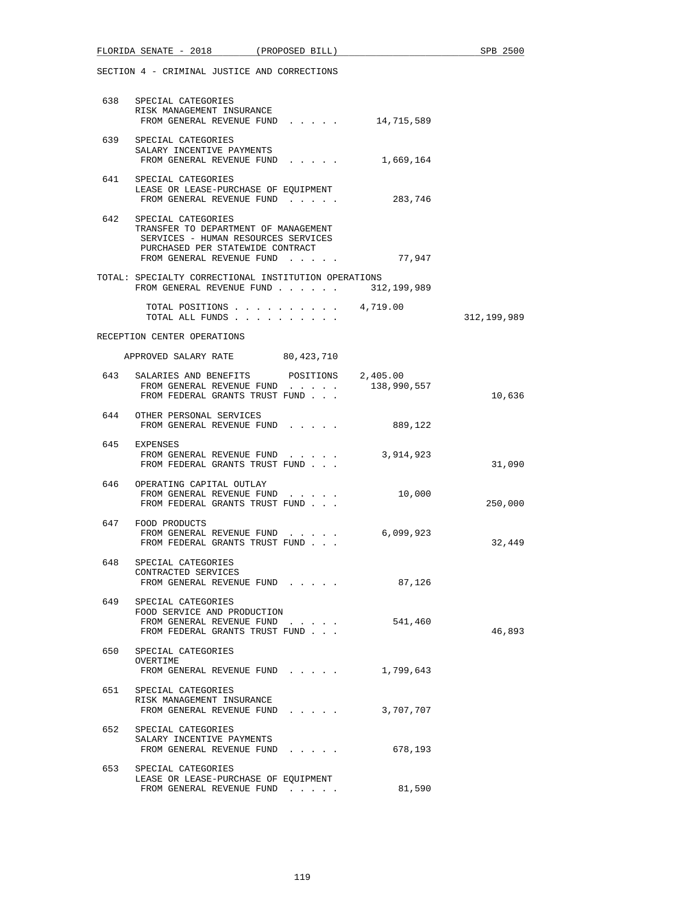|     | SECTION 4 - CRIMINAL JUSTICE AND CORRECTIONS                                                                                                                           |             |               |
|-----|------------------------------------------------------------------------------------------------------------------------------------------------------------------------|-------------|---------------|
|     | 638 SPECIAL CATEGORIES<br>RISK MANAGEMENT INSURANCE<br>FROM GENERAL REVENUE FUND 14,715,589                                                                            |             |               |
|     | 639 SPECIAL CATEGORIES<br>SALARY INCENTIVE PAYMENTS<br>FROM GENERAL REVENUE FUND 1,669,164                                                                             |             |               |
| 641 | SPECIAL CATEGORIES<br>LEASE OR LEASE-PURCHASE OF EQUIPMENT<br>FROM GENERAL REVENUE FUND                                                                                | 283,746     |               |
|     | 642 SPECIAL CATEGORIES<br>TRANSFER TO DEPARTMENT OF MANAGEMENT<br>SERVICES - HUMAN RESOURCES SERVICES<br>PURCHASED PER STATEWIDE CONTRACT<br>FROM GENERAL REVENUE FUND | 77,947      |               |
|     | TOTAL: SPECIALTY CORRECTIONAL INSTITUTION OPERATIONS<br>FROM GENERAL REVENUE FUND $\ldots$ 312, 199, 989                                                               |             |               |
|     | TOTAL POSITIONS $\ldots$ , $\ldots$ , $\ldots$ , 4,719.00<br>TOTAL ALL FUNDS                                                                                           |             | 312, 199, 989 |
|     | RECEPTION CENTER OPERATIONS                                                                                                                                            |             |               |
|     | APPROVED SALARY RATE 80,423,710                                                                                                                                        |             |               |
|     | 643 SALARIES AND BENEFITS POSITIONS 2,405.00<br>FROM GENERAL REVENUE FUND<br>FROM FEDERAL GRANTS TRUST FUND                                                            | 138,990,557 | 10,636        |
|     | 644 OTHER PERSONAL SERVICES<br>FROM GENERAL REVENUE FUND                                                                                                               | 889,122     |               |
|     | 645 EXPENSES<br>FROM GENERAL REVENUE FUND<br>FROM FEDERAL GRANTS TRUST FUND                                                                                            | 3,914,923   | 31,090        |
|     | 646 OPERATING CAPITAL OUTLAY<br>FROM GENERAL REVENUE FUND<br>FROM FEDERAL GRANTS TRUST FUND                                                                            | 10,000      | 250,000       |
|     | 647 FOOD PRODUCTS<br>FROM GENERAL REVENUE FUND<br>FROM FEDERAL GRANTS TRUST FUND                                                                                       | 6,099,923   | 32,449        |
|     | 648 SPECIAL CATEGORIES<br>CONTRACTED SERVICES<br>FROM GENERAL REVENUE FUND                                                                                             | 87,126      |               |
|     | 649 SPECIAL CATEGORIES<br>FOOD SERVICE AND PRODUCTION<br>FROM GENERAL REVENUE FUND<br>FROM FEDERAL GRANTS TRUST FUND                                                   | 541,460     | 46,893        |
| 650 | SPECIAL CATEGORIES<br>OVERTIME<br>FROM GENERAL REVENUE FUND                                                                                                            | 1,799,643   |               |
|     | 651 SPECIAL CATEGORIES<br>RISK MANAGEMENT INSURANCE<br>FROM GENERAL REVENUE FUND                                                                                       | 3,707,707   |               |
| 652 | SPECIAL CATEGORIES<br>SALARY INCENTIVE PAYMENTS<br>FROM GENERAL REVENUE FUND                                                                                           | 678,193     |               |
| 653 | SPECIAL CATEGORIES<br>LEASE OR LEASE-PURCHASE OF EQUIPMENT<br>FROM GENERAL REVENUE FUND                                                                                | 81,590      |               |

FLORIDA SENATE - 2018 (PROPOSED BILL) SPB 2500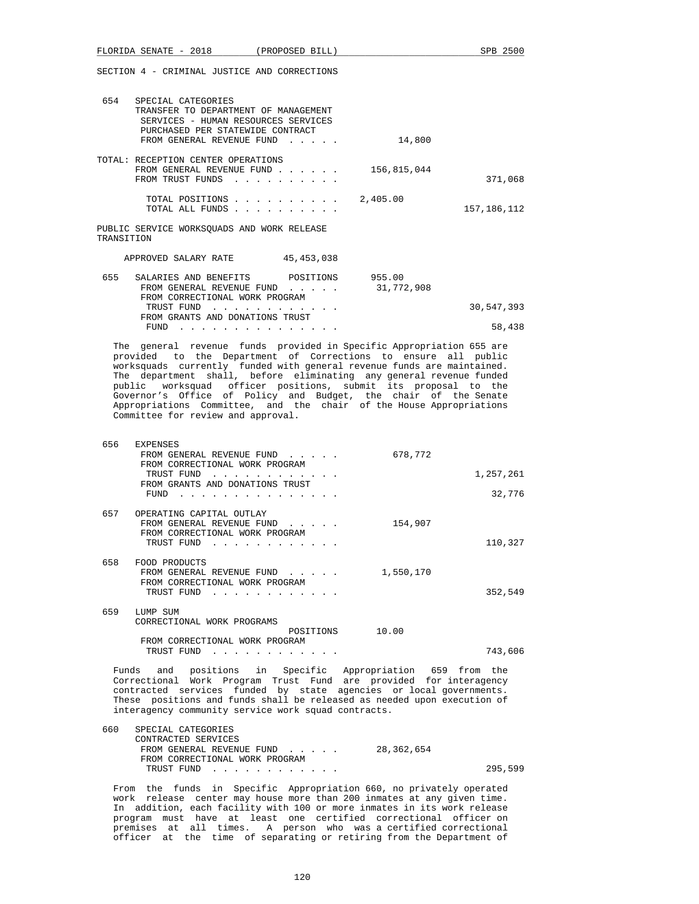| FLORIDA SENATE - 2018 (PROPOSED BILL)<br>SPB 2500                                                                                                                                                                                                                                                                                                                                                                                                                                                                                         |  |
|-------------------------------------------------------------------------------------------------------------------------------------------------------------------------------------------------------------------------------------------------------------------------------------------------------------------------------------------------------------------------------------------------------------------------------------------------------------------------------------------------------------------------------------------|--|
| SECTION 4 - CRIMINAL JUSTICE AND CORRECTIONS                                                                                                                                                                                                                                                                                                                                                                                                                                                                                              |  |
| 654<br>SPECIAL CATEGORIES<br>TRANSFER TO DEPARTMENT OF MANAGEMENT<br>SERVICES - HUMAN RESOURCES SERVICES<br>PURCHASED PER STATEWIDE CONTRACT<br>FROM GENERAL REVENUE FUND<br>14,800                                                                                                                                                                                                                                                                                                                                                       |  |
| TOTAL: RECEPTION CENTER OPERATIONS<br>FROM GENERAL REVENUE FUND<br>156,815,044<br>FROM TRUST FUNDS<br>371,068                                                                                                                                                                                                                                                                                                                                                                                                                             |  |
| TOTAL POSITIONS<br>2,405.00<br>TOTAL ALL FUNDS<br>157,186,112                                                                                                                                                                                                                                                                                                                                                                                                                                                                             |  |
| PUBLIC SERVICE WORKSQUADS AND WORK RELEASE<br>TRANSITION                                                                                                                                                                                                                                                                                                                                                                                                                                                                                  |  |
| APPROVED SALARY RATE<br>45,453,038                                                                                                                                                                                                                                                                                                                                                                                                                                                                                                        |  |
| 655<br>SALARIES AND BENEFITS<br>POSITIONS<br>955.00<br>31,772,908<br>FROM GENERAL REVENUE FUND<br>FROM CORRECTIONAL WORK PROGRAM                                                                                                                                                                                                                                                                                                                                                                                                          |  |
| TRUST FUND<br>30,547,393<br>FROM GRANTS AND DONATIONS TRUST                                                                                                                                                                                                                                                                                                                                                                                                                                                                               |  |
| FUND $\cdots$<br>58,438                                                                                                                                                                                                                                                                                                                                                                                                                                                                                                                   |  |
| The general revenue funds provided in Specific Appropriation 655 are<br>provided to the Department of Corrections to ensure all public<br>worksquads currently funded with general revenue funds are maintained.<br>The department shall, before eliminating any general revenue funded<br>public worksquad officer positions, submit its proposal to the<br>Governor's Office of Policy and Budget, the chair of the Senate<br>Appropriations Committee, and the chair of the House Appropriations<br>Committee for review and approval. |  |
| 656<br><b>EXPENSES</b><br>678,772<br>FROM GENERAL REVENUE FUND<br>FROM CORRECTIONAL WORK PROGRAM<br>TRUST FUND<br>1,257,261<br>FROM GRANTS AND DONATIONS TRUST<br>32,776<br>$FUND$                                                                                                                                                                                                                                                                                                                                                        |  |
| 657<br>OPERATING CAPITAL OUTLAY<br>FROM GENERAL REVENUE FUND<br>154,907<br><b>Contract Contract Contract</b><br>FROM CORRECTIONAL WORK PROGRAM                                                                                                                                                                                                                                                                                                                                                                                            |  |

|     | TRUST FUND<br><u>.</u>                                                                                                                                                                                                                                                                                                       |           | 110,327 |
|-----|------------------------------------------------------------------------------------------------------------------------------------------------------------------------------------------------------------------------------------------------------------------------------------------------------------------------------|-----------|---------|
| 658 | FOOD PRODUCTS<br>FROM GENERAL REVENUE FUND<br>FROM CORRECTIONAL WORK PROGRAM<br>TRUST FUND<br>the second contract of the second contract of the second contract of the second contract of the second contract of the second contract of the second contract of the second contract of the second contract of the second cont | 1,550,170 | 352,549 |
| 659 | LUMP SUM<br>CORRECTIONAL WORK PROGRAMS                                                                                                                                                                                                                                                                                       |           |         |
|     | POSITIONS<br>FROM CORRECTIONAL WORK PROGRAM                                                                                                                                                                                                                                                                                  | 10.00     |         |

TRUST FUND . . . . . . . . . . . . 743,606

 Funds and positions in Specific Appropriation 659 from the Correctional Work Program Trust Fund are provided for interagency contracted services funded by state agencies or local governments. These positions and funds shall be released as needed upon execution of interagency community service work squad contracts.

| SPECIAL CATEGORIES             |            |         |
|--------------------------------|------------|---------|
| CONTRACTED SERVICES            |            |         |
| FROM GENERAL REVENUE FUND      | 28,362,654 |         |
| FROM CORRECTIONAL WORK PROGRAM |            |         |
| TRUST FUND                     |            | 295,599 |
|                                |            |         |

 From the funds in Specific Appropriation 660, no privately operated work release center may house more than 200 inmates at any given time. In addition, each facility with 100 or more inmates in its work release program must have at least one certified correctional officer on premises at all times. A person who was a certified correctional officer at the time of separating or retiring from the Department of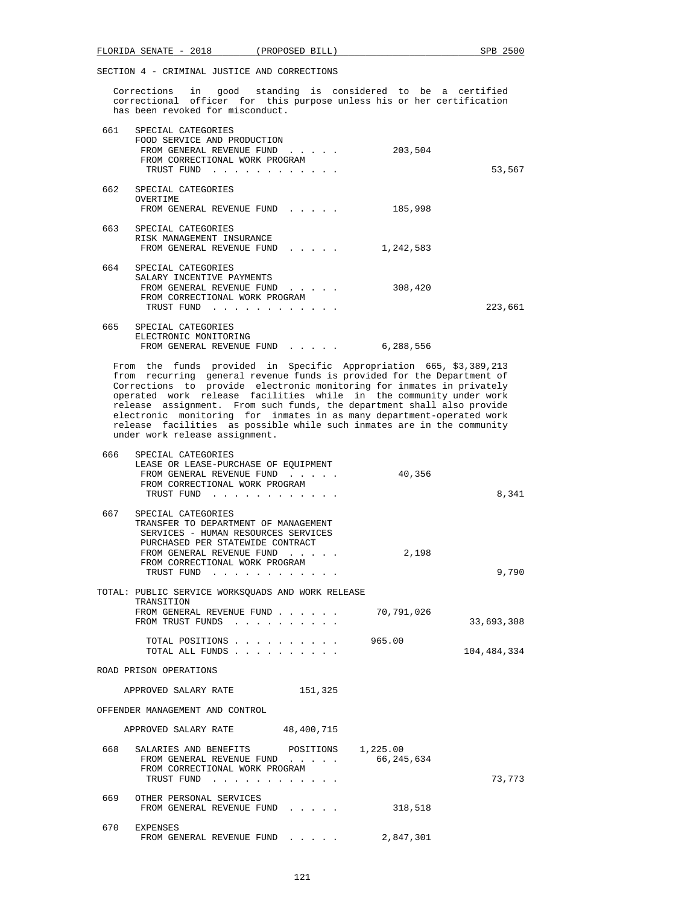Corrections in good standing is considered to be a certified correctional officer for this purpose unless his or her certification has been revoked for misconduct.

| 661 | SPECIAL CATEGORIES<br>FOOD SERVICE AND PRODUCTION<br>FROM GENERAL REVENUE FUND<br>FROM CORRECTIONAL WORK PROGRAM<br>TRUST FUND            |  | 203,504   | 53,567  |
|-----|-------------------------------------------------------------------------------------------------------------------------------------------|--|-----------|---------|
| 662 | SPECIAL CATEGORIES<br>OVERTIME<br>FROM GENERAL REVENUE FUND<br>$\mathbf{r}$ and $\mathbf{r}$ and $\mathbf{r}$ and $\mathbf{r}$            |  | 185,998   |         |
| 663 | SPECIAL CATEGORIES<br>RISK MANAGEMENT INSURANCE<br>FROM GENERAL REVENUE FUND<br>$\mathbf{r}$ , $\mathbf{r}$ , $\mathbf{r}$ , $\mathbf{r}$ |  | 1,242,583 |         |
| 664 | SPECIAL CATEGORIES<br>SALARY INCENTIVE PAYMENTS<br>FROM GENERAL REVENUE FUND<br>FROM CORRECTIONAL WORK PROGRAM<br>TRUST FUND              |  | 308,420   | 223,661 |
| 665 | SPECIAL CATEGORIES<br>ELECTRONIC MONITORING<br>FROM GENERAL REVENUE FUND<br>$\cdots$                                                      |  | 6,288,556 |         |

 From the funds provided in Specific Appropriation 665, \$3,389,213 from recurring general revenue funds is provided for the Department of Corrections to provide electronic monitoring for inmates in privately operated work release facilities while in the community under work release assignment. From such funds, the department shall also provide electronic monitoring for inmates in as many department-operated work release facilities as possible while such inmates are in the community under work release assignment.

| 8,341       | 40,356                   | the contract of the contract of the | 666<br>SPECIAL CATEGORIES<br>LEASE OR LEASE-PURCHASE OF EQUIPMENT<br>FROM GENERAL REVENUE FUND<br>FROM CORRECTIONAL WORK PROGRAM<br>TRUST FUND                                                              |  |
|-------------|--------------------------|-------------------------------------|-------------------------------------------------------------------------------------------------------------------------------------------------------------------------------------------------------------|--|
| 9,790       | 2,198                    | TRUST FUND                          | 667<br>SPECIAL CATEGORIES<br>TRANSFER TO DEPARTMENT OF MANAGEMENT<br>SERVICES - HUMAN RESOURCES SERVICES<br>PURCHASED PER STATEWIDE CONTRACT<br>FROM GENERAL REVENUE FUND<br>FROM CORRECTIONAL WORK PROGRAM |  |
|             |                          |                                     | TOTAL: PUBLIC SERVICE WORKSOUADS AND WORK RELEASE                                                                                                                                                           |  |
| 33,693,308  | 70,791,026               |                                     | TRANSITION<br>FROM GENERAL REVENUE FUND<br>FROM TRUST FUNDS                                                                                                                                                 |  |
| 104,484,334 | 965.00                   | TOTAL POSITIONS<br>TOTAL ALL FUNDS  |                                                                                                                                                                                                             |  |
|             |                          |                                     | ROAD PRISON OPERATIONS                                                                                                                                                                                      |  |
|             |                          | 151,325                             | APPROVED SALARY RATE                                                                                                                                                                                        |  |
|             |                          |                                     | OFFENDER MANAGEMENT AND CONTROL                                                                                                                                                                             |  |
|             |                          | 48,400,715                          | APPROVED SALARY RATE                                                                                                                                                                                        |  |
| 73,773      | 1,225.00<br>66, 245, 634 | POSITIONS                           | 668<br>SALARIES AND BENEFITS<br>FROM GENERAL REVENUE FUND<br>FROM CORRECTIONAL WORK PROGRAM<br>TRUST FUND<br>$\mathbf{r}$ and $\mathbf{r}$ and $\mathbf{r}$                                                 |  |
|             | 318,518                  |                                     | 669<br>OTHER PERSONAL SERVICES<br>FROM GENERAL REVENUE FUND                                                                                                                                                 |  |
|             | 2,847,301                | .                                   | 670<br><b>EXPENSES</b><br>FROM GENERAL REVENUE FUND                                                                                                                                                         |  |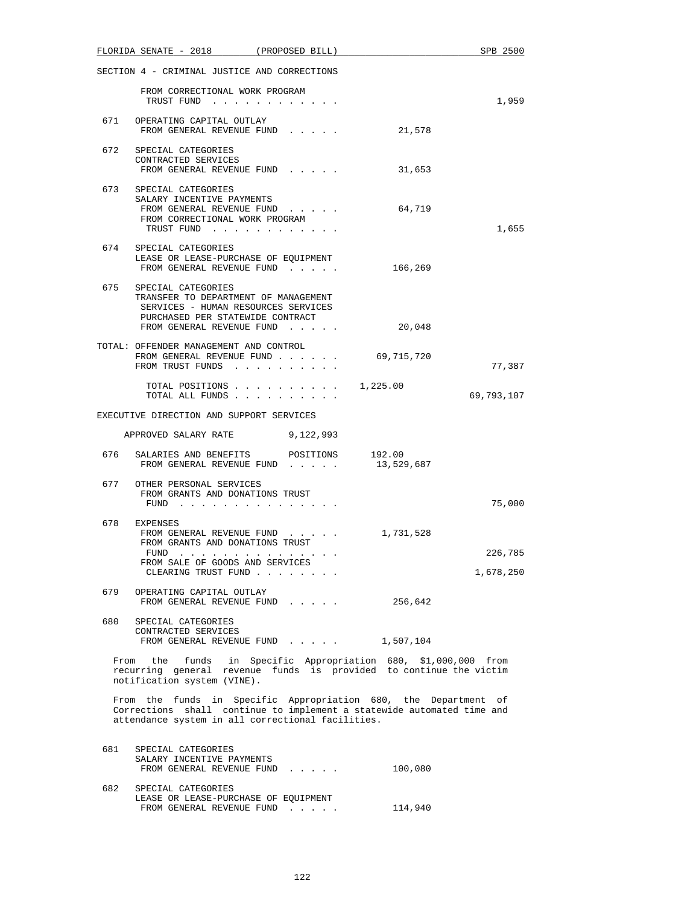|     | FLORIDA SENATE - 2018 (PROPOSED BILL)                                                                                                                                                          |  |            | SPB 2500             |
|-----|------------------------------------------------------------------------------------------------------------------------------------------------------------------------------------------------|--|------------|----------------------|
|     | SECTION 4 - CRIMINAL JUSTICE AND CORRECTIONS                                                                                                                                                   |  |            |                      |
|     | FROM CORRECTIONAL WORK PROGRAM<br>TRUST FUND                                                                                                                                                   |  |            | 1,959                |
| 671 | OPERATING CAPITAL OUTLAY<br>FROM GENERAL REVENUE FUND                                                                                                                                          |  | 21,578     |                      |
|     | 672 SPECIAL CATEGORIES<br>CONTRACTED SERVICES<br>FROM GENERAL REVENUE FUND                                                                                                                     |  | 31,653     |                      |
|     | 673 SPECIAL CATEGORIES<br>SALARY INCENTIVE PAYMENTS<br>FROM GENERAL REVENUE FUND<br>FROM CORRECTIONAL WORK PROGRAM<br>TRUST FUND                                                               |  | 64,719     | 1,655                |
| 674 | SPECIAL CATEGORIES<br>LEASE OR LEASE-PURCHASE OF EQUIPMENT<br>FROM GENERAL REVENUE FUND                                                                                                        |  | 166,269    |                      |
|     | 675 SPECIAL CATEGORIES<br>TRANSFER TO DEPARTMENT OF MANAGEMENT<br>SERVICES - HUMAN RESOURCES SERVICES<br>PURCHASED PER STATEWIDE CONTRACT<br>FROM GENERAL REVENUE FUND                         |  | 20,048     |                      |
|     | TOTAL: OFFENDER MANAGEMENT AND CONTROL<br>FROM GENERAL REVENUE FUND<br>FROM TRUST FUNDS                                                                                                        |  | 69,715,720 | 77,387               |
|     | TOTAL POSITIONS                                                                                                                                                                                |  | 1,225.00   | 69,793,107           |
|     | EXECUTIVE DIRECTION AND SUPPORT SERVICES                                                                                                                                                       |  |            |                      |
|     | APPROVED SALARY RATE 9,122,993                                                                                                                                                                 |  |            |                      |
| 676 | SALARIES AND BENEFITS POSITIONS 192.00<br>FROM GENERAL REVENUE FUND                                                                                                                            |  | 13,529,687 |                      |
|     | 677 OTHER PERSONAL SERVICES<br>FROM GRANTS AND DONATIONS TRUST<br>FUND                                                                                                                         |  |            | 75,000               |
|     | 678 EXPENSES<br>FROM GENERAL REVENUE FUND<br>FROM GRANTS AND DONATIONS TRUST<br>FUND<br>.<br>FROM SALE OF GOODS AND SERVICES<br>CLEARING TRUST FUND                                            |  | 1,731,528  | 226,785<br>1,678,250 |
| 679 | OPERATING CAPITAL OUTLAY<br>FROM GENERAL REVENUE FUND                                                                                                                                          |  | 256,642    |                      |
| 680 | SPECIAL CATEGORIES<br>CONTRACTED SERVICES<br>FROM GENERAL REVENUE FUND                                                                                                                         |  | 1,507,104  |                      |
|     | From the funds in Specific Appropriation 680, \$1,000,000 from<br>recurring general revenue funds is provided to continue the victim<br>notification system (VINE).                            |  |            |                      |
|     | From the funds in Specific Appropriation 680, the Department of<br>Corrections shall continue to implement a statewide automated time and<br>attendance system in all correctional facilities. |  |            |                      |
| 681 | SPECIAL CATEGORIES<br>SALARY INCENTIVE PAYMENTS<br>FROM GENERAL REVENUE FUND                                                                                                                   |  | 100,080    |                      |
| 682 | SPECIAL CATEGORIES<br>LEASE OR LEASE-PURCHASE OF EQUIPMENT                                                                                                                                     |  |            |                      |

FROM GENERAL REVENUE FUND . . . . . . 114,940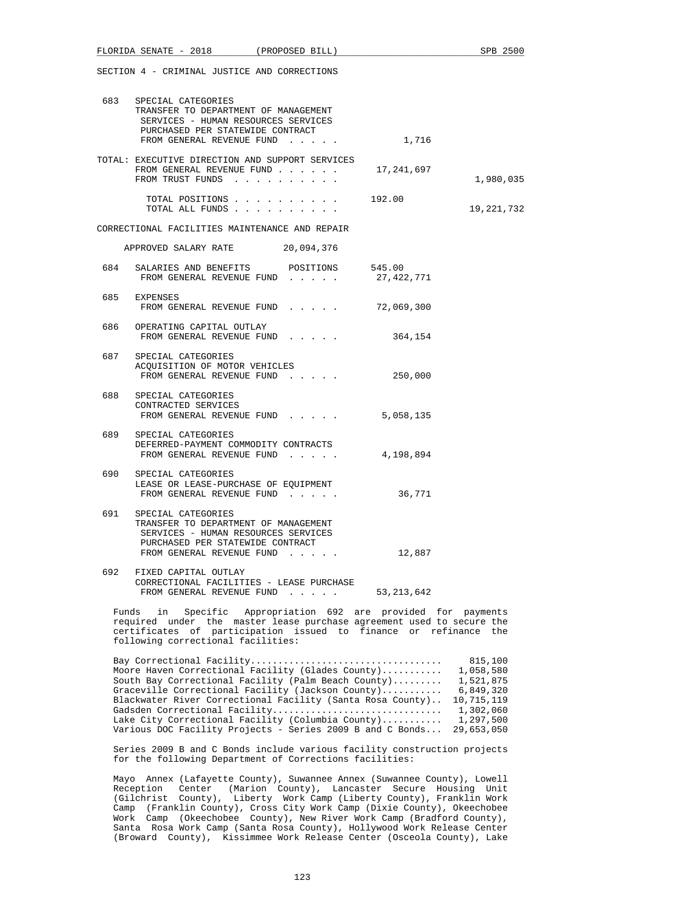|       | FLORIDA SENATE - 2018                                                                                                                                                                                      | (PROPOSED BILL) |                                             | SPB 2500                          |
|-------|------------------------------------------------------------------------------------------------------------------------------------------------------------------------------------------------------------|-----------------|---------------------------------------------|-----------------------------------|
|       | SECTION 4 - CRIMINAL JUSTICE AND CORRECTIONS                                                                                                                                                               |                 |                                             |                                   |
| 683   | SPECIAL CATEGORIES<br>TRANSFER TO DEPARTMENT OF MANAGEMENT<br>SERVICES - HUMAN RESOURCES SERVICES<br>PURCHASED PER STATEWIDE CONTRACT<br>FROM GENERAL REVENUE FUND                                         |                 | 1,716                                       |                                   |
|       | TOTAL: EXECUTIVE DIRECTION AND SUPPORT SERVICES<br>FROM GENERAL REVENUE FUND<br>FROM TRUST FUNDS                                                                                                           |                 | 17,241,697                                  | 1,980,035                         |
|       | TOTAL POSITIONS 192.00<br>TOTAL ALL FUNDS                                                                                                                                                                  |                 |                                             | 19,221,732                        |
|       | CORRECTIONAL FACILITIES MAINTENANCE AND REPAIR                                                                                                                                                             |                 |                                             |                                   |
|       | APPROVED SALARY RATE 20,094,376                                                                                                                                                                            |                 |                                             |                                   |
| 684   | SALARIES AND BENEFITS POSITIONS 545.00<br>FROM GENERAL REVENUE FUND                                                                                                                                        |                 | 27,422,771                                  |                                   |
|       | 685 EXPENSES<br>FROM GENERAL REVENUE FUND                                                                                                                                                                  |                 | 72,069,300                                  |                                   |
|       | 686 OPERATING CAPITAL OUTLAY<br>FROM GENERAL REVENUE FUND                                                                                                                                                  |                 | 364,154                                     |                                   |
| 687   | SPECIAL CATEGORIES<br>ACQUISITION OF MOTOR VEHICLES<br>FROM GENERAL REVENUE FUND                                                                                                                           |                 | 250,000                                     |                                   |
| 688   | SPECIAL CATEGORIES<br>CONTRACTED SERVICES<br>FROM GENERAL REVENUE FUND                                                                                                                                     |                 | 5,058,135                                   |                                   |
|       | 689 SPECIAL CATEGORIES<br>DEFERRED-PAYMENT COMMODITY CONTRACTS<br>FROM GENERAL REVENUE FUND                                                                                                                |                 | 4,198,894                                   |                                   |
| 690 — | SPECIAL CATEGORIES<br>LEASE OR LEASE-PURCHASE OF EQUIPMENT<br>FROM GENERAL REVENUE FUND                                                                                                                    |                 | 36,771                                      |                                   |
| 691   | SPECIAL CATEGORIES<br>TRANSFER TO DEPARTMENT OF MANAGEMENT<br>SERVICES - HUMAN RESOURCES SERVICES<br>PURCHASED PER STATEWIDE CONTRACT<br>FROM GENERAL REVENUE FUND                                         |                 | 12,887                                      |                                   |
| 692   | FIXED CAPITAL OUTLAY<br>CORRECTIONAL FACILITIES - LEASE PURCHASE<br>FROM GENERAL REVENUE FUND                                                                                                              |                 | 53, 213, 642                                |                                   |
|       | in<br>Funds<br>Specific<br>required under the master lease purchase agreement used to secure the<br>certificates of participation issued to finance or refinance the<br>following correctional facilities: |                 | Appropriation 692 are provided for payments |                                   |
|       | Moore Haven Correctional Facility (Glades County)<br>South Bay Correctional Facility (Palm Beach County)                                                                                                   |                 |                                             | 815,100<br>1,058,580<br>1,521,875 |

| $1.00110$ $1.001011$ $1.0111011$ $1.0011011$ $1.0011110$ $1.011010$ $1.001110$ $1.00111111$ | <u>- , o o o , o o o</u> |
|---------------------------------------------------------------------------------------------|--------------------------|
| South Bay Correctional Facility (Palm Beach County)                                         | 1,521,875                |
| Graceville Correctional Facility (Jackson County)                                           | 6,849,320                |
| Blackwater River Correctional Facility (Santa Rosa County)                                  | 10,715,119               |
| Gadsden Correctional Facility                                                               | 1,302,060                |
| Lake City Correctional Facility (Columbia County)                                           | 1,297,500                |
| Various DOC Facility Projects - Series 2009 B and C Bonds                                   | 29,653,050               |
|                                                                                             |                          |

 Series 2009 B and C Bonds include various facility construction projects for the following Department of Corrections facilities:

 Mayo Annex (Lafayette County), Suwannee Annex (Suwannee County), Lowell Reception Center (Marion County), Lancaster Secure Housing Unit (Gilchrist County), Liberty Work Camp (Liberty County), Franklin Work Camp (Franklin County), Cross City Work Camp (Dixie County), Okeechobee Work Camp (Okeechobee County), New River Work Camp (Bradford County), Santa Rosa Work Camp (Santa Rosa County), Hollywood Work Release Center (Broward County), Kissimmee Work Release Center (Osceola County), Lake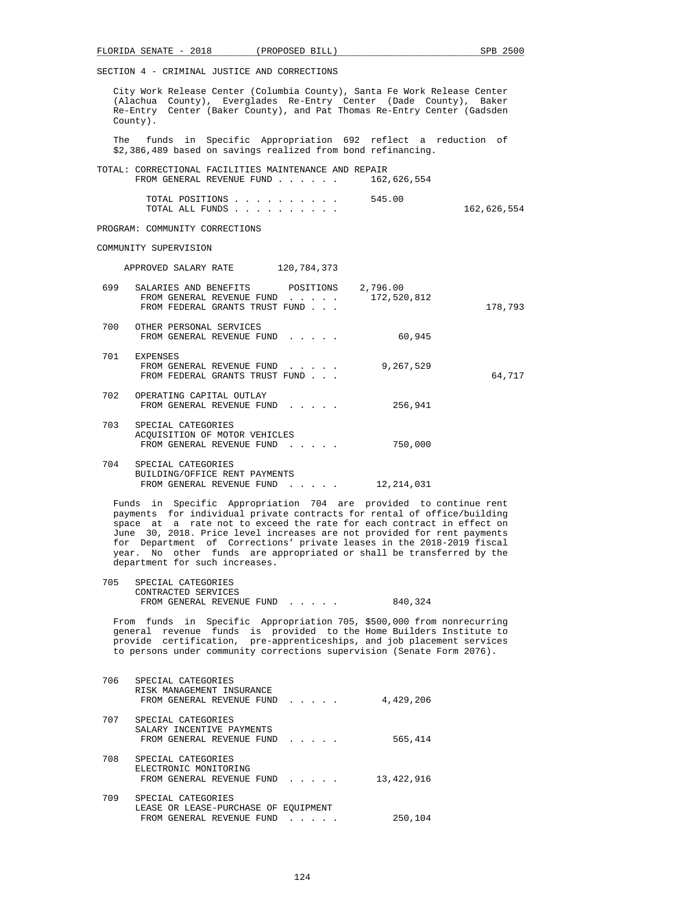City Work Release Center (Columbia County), Santa Fe Work Release Center (Alachua County), Everglades Re-Entry Center (Dade County), Baker Re-Entry Center (Baker County), and Pat Thomas Re-Entry Center (Gadsden County). The funds in Specific Appropriation 692 reflect a reduction of \$2,386,489 based on savings realized from bond refinancing. TOTAL: CORRECTIONAL FACILITIES MAINTENANCE AND REPAIR<br>FROM GENERAL REVENUE FUND 162.626.554 FROM GENERAL REVENUE FUND  $\ldots$ ... TOTAL POSITIONS . . . . . . . . . . 545.00 TOTAL ALL FUNDS . . . . . . . . . . 162,626,554 PROGRAM: COMMUNITY CORRECTIONS COMMUNITY SUPERVISION APPROVED SALARY RATE 120,784,373 699 SALARIES AND BENEFITS POSITIONS 2,796.00 FROM GENERAL REVENUE FUND . . . . . 172,520,812 FROM FEDERAL GRANTS TRUST FUND . . . 178,793 700 OTHER PERSONAL SERVICES FROM GENERAL REVENUE FUND . . . . . 60,945 701 EXPENSES FROM GENERAL REVENUE FUND . . . . . 9,267,529 FROM FEDERAL GRANTS TRUST FUND . . .  $64,717$  702 OPERATING CAPITAL OUTLAY FROM GENERAL REVENUE FUND...... 256,941 703 SPECIAL CATEGORIES ACQUISITION OF MOTOR VEHICLES FROM GENERAL REVENUE FUND . . . . . 750,000 704 SPECIAL CATEGORIES BUILDING/OFFICE RENT PAYMENTS FROM GENERAL REVENUE FUND . . . . . 12,214,031

 Funds in Specific Appropriation 704 are provided to continue rent payments for individual private contracts for rental of office/building space at a rate not to exceed the rate for each contract in effect on June 30, 2018. Price level increases are not provided for rent payments for Department of Corrections' private leases in the 2018-2019 fiscal year. No other funds are appropriated or shall be transferred by the department for such increases.

| 705 | SPECIAL CATEGORIES        |         |
|-----|---------------------------|---------|
|     | CONTRACTED SERVICES       |         |
|     | FROM GENERAL REVENUE FUND | 840,324 |

 From funds in Specific Appropriation 705, \$500,000 from nonrecurring general revenue funds is provided to the Home Builders Institute to provide certification, pre-apprenticeships, and job placement services to persons under community corrections supervision (Senate Form 2076).

| 706 | SPECIAL CATEGORIES<br>RISK MANAGEMENT INSURANCE<br>FROM GENERAL REVENUE FUND                                                                                                                                                                                                                                      | 4,429,206  |
|-----|-------------------------------------------------------------------------------------------------------------------------------------------------------------------------------------------------------------------------------------------------------------------------------------------------------------------|------------|
| 707 | SPECIAL CATEGORIES<br>SALARY INCENTIVE PAYMENTS<br>FROM GENERAL REVENUE FUND<br>$\mathbf{r}$ . The set of the set of the set of the set of the set of the set of the set of the set of the set of the set of the set of the set of the set of the set of the set of the set of the set of the set of the set of t | 565,414    |
| 708 | SPECIAL CATEGORIES<br>ELECTRONIC MONITORING<br>FROM GENERAL REVENUE FUND<br>$\mathbf{1}$ and $\mathbf{1}$ and $\mathbf{1}$ and $\mathbf{1}$                                                                                                                                                                       | 13,422,916 |
| 709 | SPECIAL CATEGORIES<br>LEASE OR LEASE-PURCHASE OF EOUIPMENT<br>FROM GENERAL REVENUE FUND                                                                                                                                                                                                                           | 250,104    |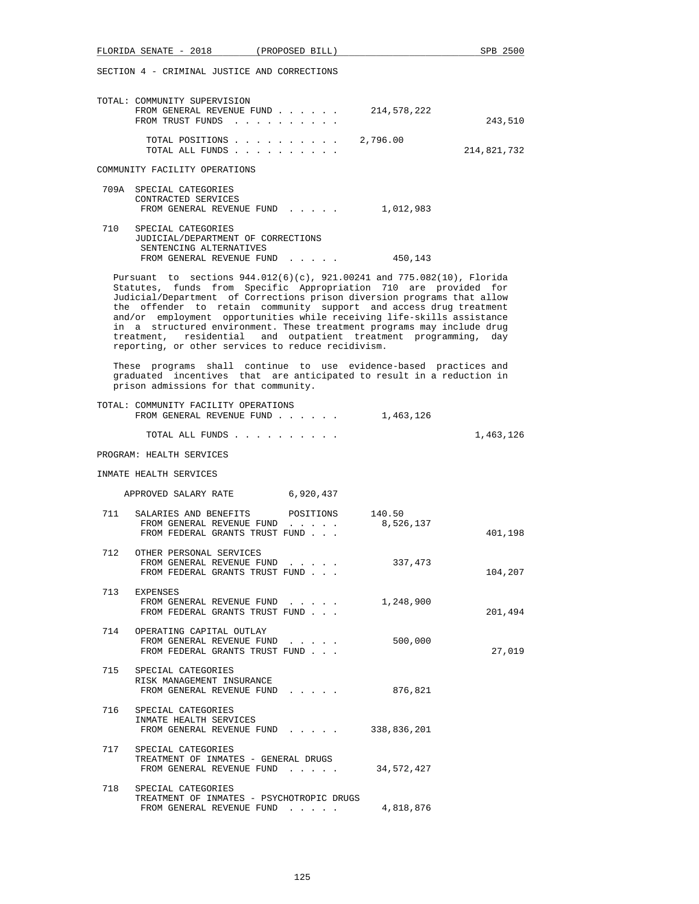|     | FLORIDA SENATE - 2018 (PROPOSED BILL)                                                                                                                                                                                                                                                                                                                                                                                                                                                                                                                                     | SPB 2500    |
|-----|---------------------------------------------------------------------------------------------------------------------------------------------------------------------------------------------------------------------------------------------------------------------------------------------------------------------------------------------------------------------------------------------------------------------------------------------------------------------------------------------------------------------------------------------------------------------------|-------------|
|     | SECTION 4 - CRIMINAL JUSTICE AND CORRECTIONS                                                                                                                                                                                                                                                                                                                                                                                                                                                                                                                              |             |
|     | TOTAL: COMMUNITY SUPERVISION<br>FROM GENERAL REVENUE FUND<br>214,578,222<br>FROM TRUST FUNDS<br>2,796.00<br>TOTAL POSITIONS                                                                                                                                                                                                                                                                                                                                                                                                                                               | 243,510     |
|     | TOTAL ALL FUNDS<br>COMMUNITY FACILITY OPERATIONS                                                                                                                                                                                                                                                                                                                                                                                                                                                                                                                          | 214,821,732 |
|     | 709A SPECIAL CATEGORIES                                                                                                                                                                                                                                                                                                                                                                                                                                                                                                                                                   |             |
|     | CONTRACTED SERVICES<br>FROM GENERAL REVENUE FUND<br>1,012,983                                                                                                                                                                                                                                                                                                                                                                                                                                                                                                             |             |
| 710 | SPECIAL CATEGORIES<br>JUDICIAL/DEPARTMENT OF CORRECTIONS<br>SENTENCING ALTERNATIVES<br>FROM GENERAL REVENUE FUND<br>450,143                                                                                                                                                                                                                                                                                                                                                                                                                                               |             |
|     | Pursuant to sections 944.012(6)(c), 921.00241 and 775.082(10), Florida<br>Statutes, funds from Specific Appropriation 710 are provided for<br>Judicial/Department of Corrections prison diversion programs that allow<br>the offender to retain community support and access drug treatment<br>and/or employment opportunities while receiving life-skills assistance<br>in a structured environment. These treatment programs may include drug<br>treatment, residential and outpatient treatment programming, day<br>reporting, or other services to reduce recidivism. |             |
|     | These programs shall continue to use evidence-based practices and<br>graduated incentives that are anticipated to result in a reduction in<br>prison admissions for that community.                                                                                                                                                                                                                                                                                                                                                                                       |             |
|     | TOTAL: COMMUNITY FACILITY OPERATIONS<br>FROM GENERAL REVENUE FUND<br>1,463,126                                                                                                                                                                                                                                                                                                                                                                                                                                                                                            |             |
|     | TOTAL ALL FUNDS                                                                                                                                                                                                                                                                                                                                                                                                                                                                                                                                                           | 1,463,126   |
|     | PROGRAM: HEALTH SERVICES                                                                                                                                                                                                                                                                                                                                                                                                                                                                                                                                                  |             |
|     | INMATE HEALTH SERVICES                                                                                                                                                                                                                                                                                                                                                                                                                                                                                                                                                    |             |
|     | APPROVED SALARY RATE 6,920,437                                                                                                                                                                                                                                                                                                                                                                                                                                                                                                                                            |             |
| 711 | SALARIES AND BENEFITS<br>POSITIONS<br>140.50<br>FROM GENERAL REVENUE FUND<br>8,526,137<br>FROM FEDERAL GRANTS TRUST FUND                                                                                                                                                                                                                                                                                                                                                                                                                                                  | 401,198     |
| 712 | OTHER PERSONAL SERVICES<br>FROM GENERAL REVENUE FUND<br>337,473<br>FROM FEDERAL GRANTS TRUST FUND                                                                                                                                                                                                                                                                                                                                                                                                                                                                         | 104,207     |
|     | 713 EXPENSES<br>FROM GENERAL REVENUE FUND<br>1,248,900<br>FROM FEDERAL GRANTS TRUST FUND                                                                                                                                                                                                                                                                                                                                                                                                                                                                                  | 201,494     |
|     | 714 OPERATING CAPITAL OUTLAY<br>500,000<br>FROM GENERAL REVENUE FUND<br>FROM FEDERAL GRANTS TRUST FUND                                                                                                                                                                                                                                                                                                                                                                                                                                                                    | 27,019      |
| 715 | SPECIAL CATEGORIES<br>RISK MANAGEMENT INSURANCE<br>FROM GENERAL REVENUE FUND<br>876,821                                                                                                                                                                                                                                                                                                                                                                                                                                                                                   |             |
|     | 716 SPECIAL CATEGORIES<br>INMATE HEALTH SERVICES<br>FROM GENERAL REVENUE FUND<br>338,836,201                                                                                                                                                                                                                                                                                                                                                                                                                                                                              |             |
|     | 717 SPECIAL CATEGORIES<br>TREATMENT OF INMATES - GENERAL DRUGS<br>FROM GENERAL REVENUE FUND<br>34,572,427                                                                                                                                                                                                                                                                                                                                                                                                                                                                 |             |
| 718 | SPECIAL CATEGORIES<br>TREATMENT OF INMATES - PSYCHOTROPIC DRUGS<br>4,818,876<br>FROM GENERAL REVENUE FUND                                                                                                                                                                                                                                                                                                                                                                                                                                                                 |             |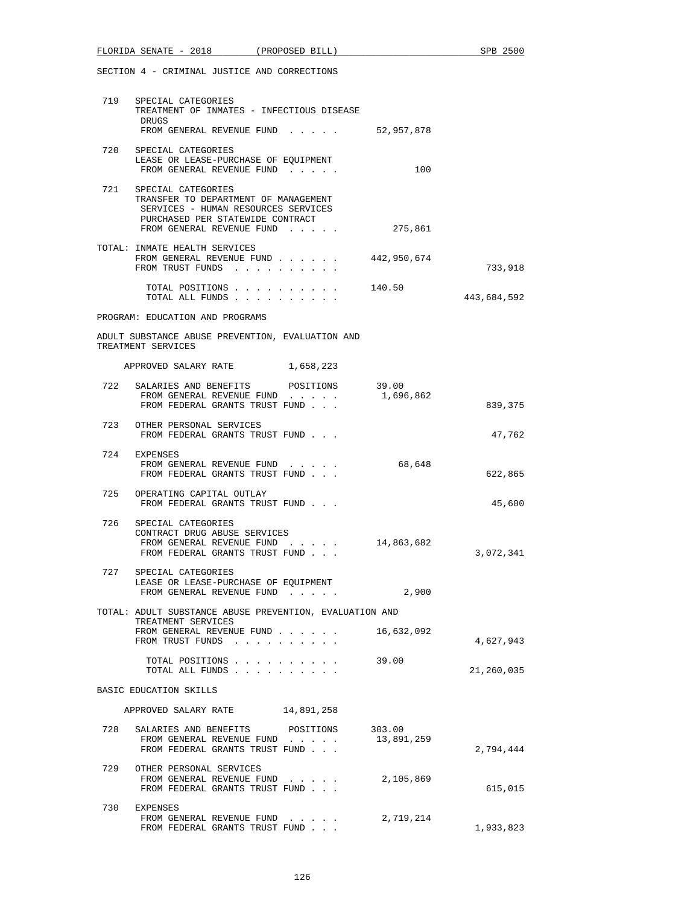|     | FLORIDA SENATE - 2018 (PROPOSED BILL)                                                                                                                                  |            | SPB 2500    |
|-----|------------------------------------------------------------------------------------------------------------------------------------------------------------------------|------------|-------------|
|     | SECTION 4 - CRIMINAL JUSTICE AND CORRECTIONS                                                                                                                           |            |             |
|     | 719 SPECIAL CATEGORIES<br>TREATMENT OF INMATES - INFECTIOUS DISEASE<br>DRUGS<br>FROM GENERAL REVENUE FUND $\ldots$ $\ldots$ 52,957,878                                 |            |             |
| 720 | SPECIAL CATEGORIES<br>LEASE OR LEASE-PURCHASE OF EQUIPMENT<br>FROM GENERAL REVENUE FUND                                                                                | 100        |             |
|     | 721 SPECIAL CATEGORIES<br>TRANSFER TO DEPARTMENT OF MANAGEMENT<br>SERVICES - HUMAN RESOURCES SERVICES<br>PURCHASED PER STATEWIDE CONTRACT<br>FROM GENERAL REVENUE FUND | 275,861    |             |
|     | TOTAL: INMATE HEALTH SERVICES<br>FROM GENERAL REVENUE FUND 442,950,674<br>FROM TRUST FUNDS                                                                             |            | 733,918     |
|     | TOTAL POSITIONS<br>TOTAL ALL FUNDS                                                                                                                                     | 140.50     | 443,684,592 |
|     | PROGRAM: EDUCATION AND PROGRAMS                                                                                                                                        |            |             |
|     | ADULT SUBSTANCE ABUSE PREVENTION, EVALUATION AND<br>TREATMENT SERVICES                                                                                                 |            |             |
|     | APPROVED SALARY RATE 1,658,223                                                                                                                                         |            |             |
| 722 | SALARIES AND BENEFITS POSITIONS 39.00<br>FROM GENERAL REVENUE FUND<br>FROM FEDERAL GRANTS TRUST FUND                                                                   | 1,696,862  | 839,375     |
| 723 | OTHER PERSONAL SERVICES<br>FROM FEDERAL GRANTS TRUST FUND                                                                                                              |            | 47,762      |
|     | 724 EXPENSES<br>FROM GENERAL REVENUE FUND<br>FROM FEDERAL GRANTS TRUST FUND                                                                                            | 68,648     | 622,865     |
| 725 | OPERATING CAPITAL OUTLAY<br>FROM FEDERAL GRANTS TRUST FUND                                                                                                             |            | 45,600      |
| 726 | SPECIAL CATEGORIES<br>CONTRACT DRUG ABUSE SERVICES<br>FROM GENERAL REVENUE FUND 14,863,682<br>FROM FEDERAL GRANTS TRUST FUND                                           |            | 3,072,341   |
|     | 727 SPECIAL CATEGORIES<br>LEASE OR LEASE-PURCHASE OF EQUIPMENT<br>FROM GENERAL REVENUE FUND                                                                            | 2,900      |             |
|     | TOTAL: ADULT SUBSTANCE ABUSE PREVENTION, EVALUATION AND                                                                                                                |            |             |
|     | TREATMENT SERVICES<br>FROM GENERAL REVENUE FUND<br>FROM TRUST FUNDS                                                                                                    | 16,632,092 | 4,627,943   |
|     | TOTAL POSITIONS<br>TOTAL ALL FUNDS                                                                                                                                     | 39.00      | 21,260,035  |
|     | BASIC EDUCATION SKILLS                                                                                                                                                 |            |             |
|     | APPROVED SALARY RATE 14,891,258                                                                                                                                        |            |             |
|     | 728 SALARIES AND BENEFITS POSITIONS 303.00<br>FROM GENERAL REVENUE FUND<br>FROM FEDERAL GRANTS TRUST FUND                                                              | 13,891,259 | 2,794,444   |
|     | 729 OTHER PERSONAL SERVICES<br>FROM GENERAL REVENUE FUND<br>FROM FEDERAL GRANTS TRUST FUND                                                                             | 2,105,869  | 615,015     |
| 730 | EXPENSES<br>FROM GENERAL REVENUE FUND 2,719,214                                                                                                                        |            |             |

FROM FEDERAL GRANTS TRUST FUND . . .  $1,933,823$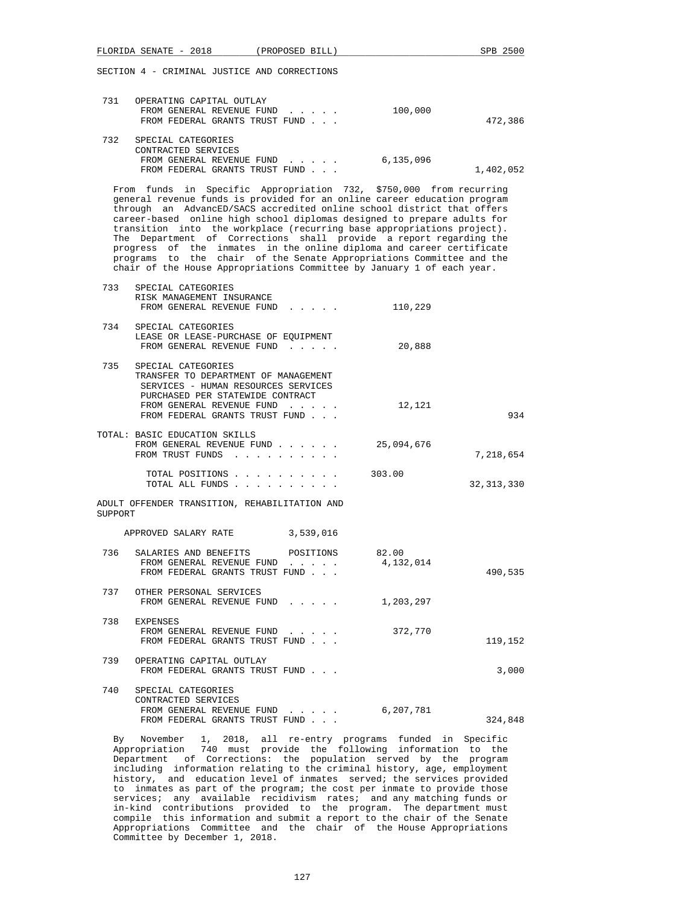| 731 | OPERATING CAPITAL OUTLAY               |           |
|-----|----------------------------------------|-----------|
|     | 100,000<br>FROM GENERAL REVENUE FUND   |           |
|     | FROM FEDERAL GRANTS TRUST FUND         | 472,386   |
| 732 | SPECIAL CATEGORIES                     |           |
|     | CONTRACTED SERVICES                    |           |
|     | 6,135,096<br>FROM GENERAL REVENUE FUND |           |
|     | FROM FEDERAL GRANTS TRUST FUND         | 1,402,052 |

 From funds in Specific Appropriation 732, \$750,000 from recurring general revenue funds is provided for an online career education program through an AdvancED/SACS accredited online school district that offers career-based online high school diplomas designed to prepare adults for transition into the workplace (recurring base appropriations project). The Department of Corrections shall provide a report regarding the progress of the inmates in the online diploma and career certificate programs to the chair of the Senate Appropriations Committee and the chair of the House Appropriations Committee by January 1 of each year.

| 733     | SPECIAL CATEGORIES<br>RISK MANAGEMENT INSURANCE<br>FROM GENERAL REVENUE FUND                                                          | 110,229            |              |
|---------|---------------------------------------------------------------------------------------------------------------------------------------|--------------------|--------------|
| 734     | SPECIAL CATEGORIES<br>LEASE OR LEASE-PURCHASE OF EQUIPMENT<br>FROM GENERAL REVENUE FUND                                               | 20,888             |              |
| 735     | SPECIAL CATEGORIES<br>TRANSFER TO DEPARTMENT OF MANAGEMENT<br>SERVICES - HUMAN RESOURCES SERVICES<br>PURCHASED PER STATEWIDE CONTRACT |                    |              |
|         | FROM GENERAL REVENUE FUND<br>FROM FEDERAL GRANTS TRUST FUND                                                                           | 12,121             | 934          |
|         | TOTAL: BASIC EDUCATION SKILLS<br>FROM GENERAL REVENUE FUND<br>FROM TRUST FUNDS                                                        | 25,094,676         | 7,218,654    |
|         | TOTAL POSITIONS<br>TOTAL ALL FUNDS                                                                                                    | 303.00             | 32, 313, 330 |
| SUPPORT | ADULT OFFENDER TRANSITION, REHABILITATION AND                                                                                         |                    |              |
|         | APPROVED SALARY RATE 3,539,016                                                                                                        |                    |              |
| 736     | SALARIES AND BENEFITS POSITIONS<br>FROM GENERAL REVENUE FUND<br>FROM FEDERAL GRANTS TRUST FUND                                        | 82.00<br>4,132,014 | 490,535      |
| 737     | OTHER PERSONAL SERVICES<br>FROM GENERAL REVENUE FUND                                                                                  | 1,203,297          |              |
|         | 738 EXPENSES<br>FROM GENERAL REVENUE FUND<br>FROM FEDERAL GRANTS TRUST FUND                                                           | 372,770            | 119,152      |
| 739     | OPERATING CAPITAL OUTLAY<br>FROM FEDERAL GRANTS TRUST FUND                                                                            |                    | 3,000        |
| 740     | SPECIAL CATEGORIES                                                                                                                    |                    |              |

| CONTRACTED SERVICES            |  |  |  |           |         |
|--------------------------------|--|--|--|-----------|---------|
| FROM GENERAL REVENUE FUND      |  |  |  | 6,207,781 |         |
| FROM FEDERAL GRANTS TRUST FUND |  |  |  |           | 324,848 |

 By November 1, 2018, all re-entry programs funded in Specific Appropriation 740 must provide the following information to the Department of Corrections: the population served by the program including information relating to the criminal history, age, employment history, and education level of inmates served; the services provided to inmates as part of the program; the cost per inmate to provide those services; any available recidivism rates; and any matching funds or in-kind contributions provided to the program. The department must compile this information and submit a report to the chair of the Senate Appropriations Committee and the chair of the House Appropriations Committee by December 1, 2018.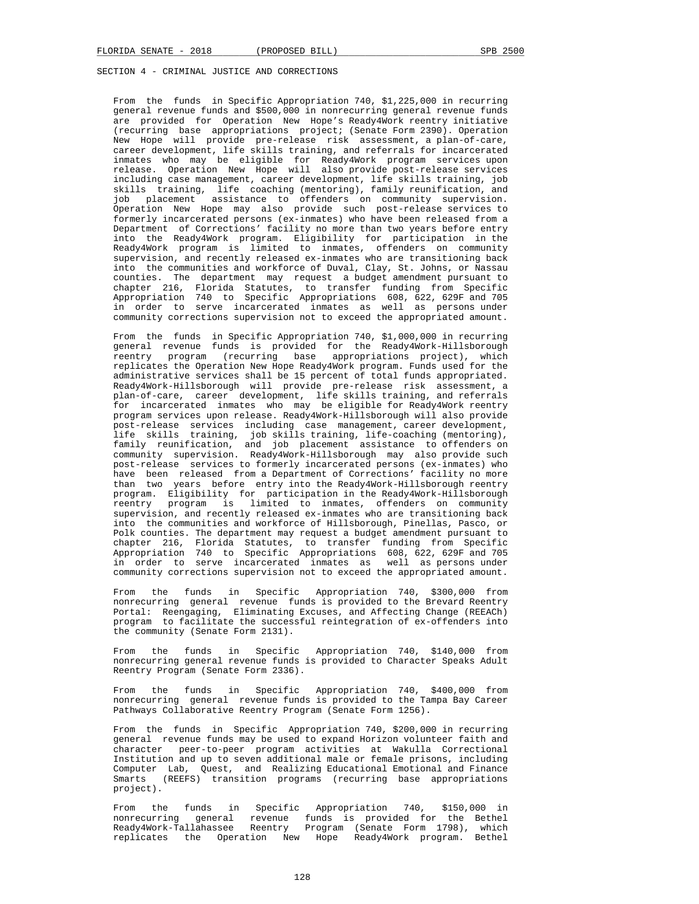From the funds in Specific Appropriation 740, \$1,225,000 in recurring general revenue funds and \$500,000 in nonrecurring general revenue funds are provided for Operation New Hope's Ready4Work reentry initiative (recurring base appropriations project; (Senate Form 2390). Operation New Hope will provide pre-release risk assessment, a plan-of-care, career development, life skills training, and referrals for incarcerated inmates who may be eligible for Ready4Work program services upon release. Operation New Hope will also provide post-release services including case management, career development, life skills training, job skills training, life coaching (mentoring), family reunification, and job placement assistance to offenders on community supervision. Operation New Hope may also provide such post-release services to formerly incarcerated persons (ex-inmates) who have been released from a Department of Corrections' facility no more than two years before entry into the Ready4Work program. Eligibility for participation in the Ready4Work program is limited to inmates, offenders on community supervision, and recently released ex-inmates who are transitioning back into the communities and workforce of Duval, Clay, St. Johns, or Nassau counties. The department may request a budget amendment pursuant to chapter 216, Florida Statutes, to transfer funding from Specific Appropriation 740 to Specific Appropriations 608, 622, 629F and 705 in order to serve incarcerated inmates as well as persons under community corrections supervision not to exceed the appropriated amount.

 From the funds in Specific Appropriation 740, \$1,000,000 in recurring general revenue funds is provided for the Ready4Work-Hillsborough reentry program (recurring base appropriations project), which replicates the Operation New Hope Ready4Work program. Funds used for the administrative services shall be 15 percent of total funds appropriated. Ready4Work-Hillsborough will provide pre-release risk assessment, a plan-of-care, career development, life skills training, and referrals for incarcerated inmates who may be eligible for Ready4Work reentry program services upon release. Ready4Work-Hillsborough will also provide post-release services including case management, career development, life skills training, job skills training, life-coaching (mentoring), family reunification, and job placement assistance to offenders on community supervision. Ready4Work-Hillsborough may also provide such post-release services to formerly incarcerated persons (ex-inmates) who have been released from a Department of Corrections' facility no more than two years before entry into the Ready4Work-Hillsborough reentry program. Eligibility for participation in the Ready4Work-Hillsborough reentry program is limited to inmates, offenders on community supervision, and recently released ex-inmates who are transitioning back into the communities and workforce of Hillsborough, Pinellas, Pasco, or Polk counties. The department may request a budget amendment pursuant to chapter 216, Florida Statutes, to transfer funding from Specific Appropriation 740 to Specific Appropriations 608, 622, 629F and 705 in order to serve incarcerated inmates as well as persons under community corrections supervision not to exceed the appropriated amount.

 From the funds in Specific Appropriation 740, \$300,000 from nonrecurring general revenue funds is provided to the Brevard Reentry Portal: Reengaging, Eliminating Excuses, and Affecting Change (REEACh) program to facilitate the successful reintegration of ex-offenders into the community (Senate Form 2131).

 From the funds in Specific Appropriation 740, \$140,000 from nonrecurring general revenue funds is provided to Character Speaks Adult Reentry Program (Senate Form 2336).

 From the funds in Specific Appropriation 740, \$400,000 from nonrecurring general revenue funds is provided to the Tampa Bay Career Pathways Collaborative Reentry Program (Senate Form 1256).

 From the funds in Specific Appropriation 740, \$200,000 in recurring general revenue funds may be used to expand Horizon volunteer faith and character peer-to-peer program activities at Wakulla Correctional Institution and up to seven additional male or female prisons, including Computer Lab, Quest, and Realizing Educational Emotional and Finance Smarts (REEFS) transition programs (recurring base appropriations project).

 From the funds in Specific Appropriation 740, \$150,000 in nonrecurring general revenue funds is provided for the Bethel Ready4Work-Tallahassee Reentry Program (Senate Form 1798), which replicates the Operation New Hope Ready4Work program. Bethel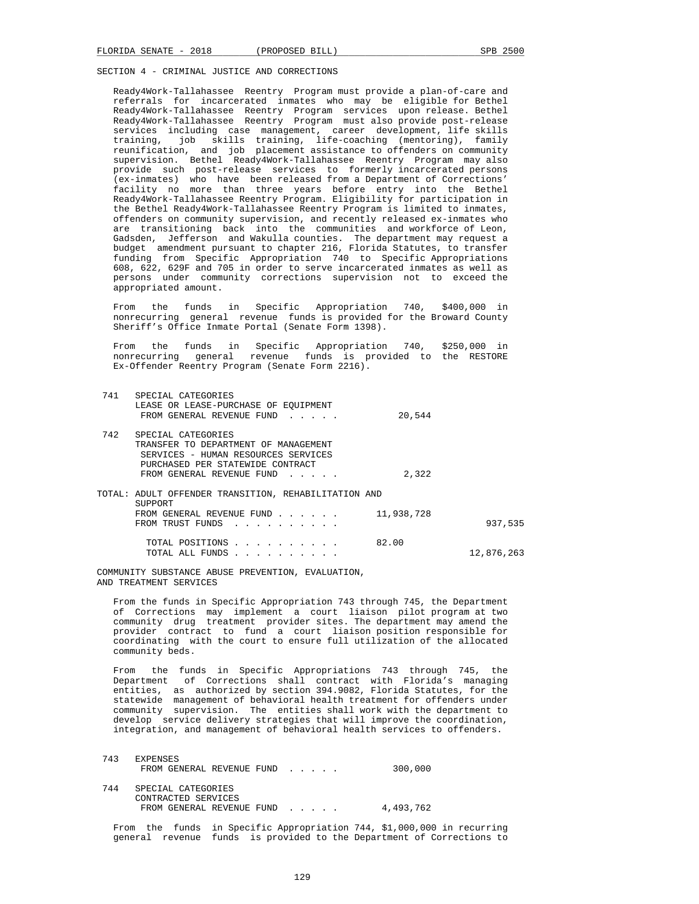Ready4Work-Tallahassee Reentry Program must provide a plan-of-care and referrals for incarcerated inmates who may be eligible for Bethel Ready4Work-Tallahassee Reentry Program services upon release. Bethel Ready4Work-Tallahassee Reentry Program must also provide post-release services including case management, career development, life skills<br>training, job skills training, life-coaching (mentoring), family job skills training, life-coaching (mentoring), family reunification, and job placement assistance to offenders on community supervision. Bethel Ready4Work-Tallahassee Reentry Program may also provide such post-release services to formerly incarcerated persons (ex-inmates) who have been released from a Department of Corrections' facility no more than three years before entry into the Bethel Ready4Work-Tallahassee Reentry Program. Eligibility for participation in the Bethel Ready4Work-Tallahassee Reentry Program is limited to inmates, offenders on community supervision, and recently released ex-inmates who are transitioning back into the communities and workforce of Leon, Gadsden, Jefferson and Wakulla counties. The department may request a budget amendment pursuant to chapter 216, Florida Statutes, to transfer funding from Specific Appropriation 740 to Specific Appropriations 608, 622, 629F and 705 in order to serve incarcerated inmates as well as persons under community corrections supervision not to exceed the appropriated amount.

 From the funds in Specific Appropriation 740, \$400,000 in nonrecurring general revenue funds is provided for the Broward County Sheriff's Office Inmate Portal (Senate Form 1398).

 From the funds in Specific Appropriation 740, \$250,000 in nonrecurring general revenue funds is provided to the RESTORE Ex-Offender Reentry Program (Senate Form 2216).

| 741  | SPECIAL CATEGORIES<br>LEASE OR LEASE-PURCHASE OF EOUIPMENT<br>FROM GENERAL REVENUE FUND                                                                            | 20,544     |            |
|------|--------------------------------------------------------------------------------------------------------------------------------------------------------------------|------------|------------|
| 742. | SPECIAL CATEGORIES<br>TRANSFER TO DEPARTMENT OF MANAGEMENT<br>SERVICES - HUMAN RESOURCES SERVICES<br>PURCHASED PER STATEWIDE CONTRACT<br>FROM GENERAL REVENUE FUND | 2,322      |            |
|      | TOTAL: ADULT OFFENDER TRANSITION, REHABILITATION AND<br>SUPPORT<br>FROM GENERAL REVENUE FUND<br>FROM TRUST FUNDS                                                   | 11,938,728 | 937,535    |
|      | TOTAL POSITIONS<br>TOTAL ALL FUNDS                                                                                                                                 | 82.00      | 12,876,263 |

 COMMUNITY SUBSTANCE ABUSE PREVENTION, EVALUATION, AND TREATMENT SERVICES

 From the funds in Specific Appropriation 743 through 745, the Department of Corrections may implement a court liaison pilot program at two community drug treatment provider sites. The department may amend the provider contract to fund a court liaison position responsible for coordinating with the court to ensure full utilization of the allocated community beds.

 From the funds in Specific Appropriations 743 through 745, the Department of Corrections shall contract with Florida's managing entities, as authorized by section 394.9082, Florida Statutes, for the statewide management of behavioral health treatment for offenders under community supervision. The entities shall work with the department to develop service delivery strategies that will improve the coordination, integration, and management of behavioral health services to offenders.

| 743 | <b>EXPENSES</b><br>FROM GENERAL REVENUE FUND | 300,000   |
|-----|----------------------------------------------|-----------|
| 744 | SPECIAL CATEGORIES<br>CONTRACTED SERVICES    |           |
|     | FROM GENERAL REVENUE FUND                    | 4,493,762 |

 From the funds in Specific Appropriation 744, \$1,000,000 in recurring general revenue funds is provided to the Department of Corrections to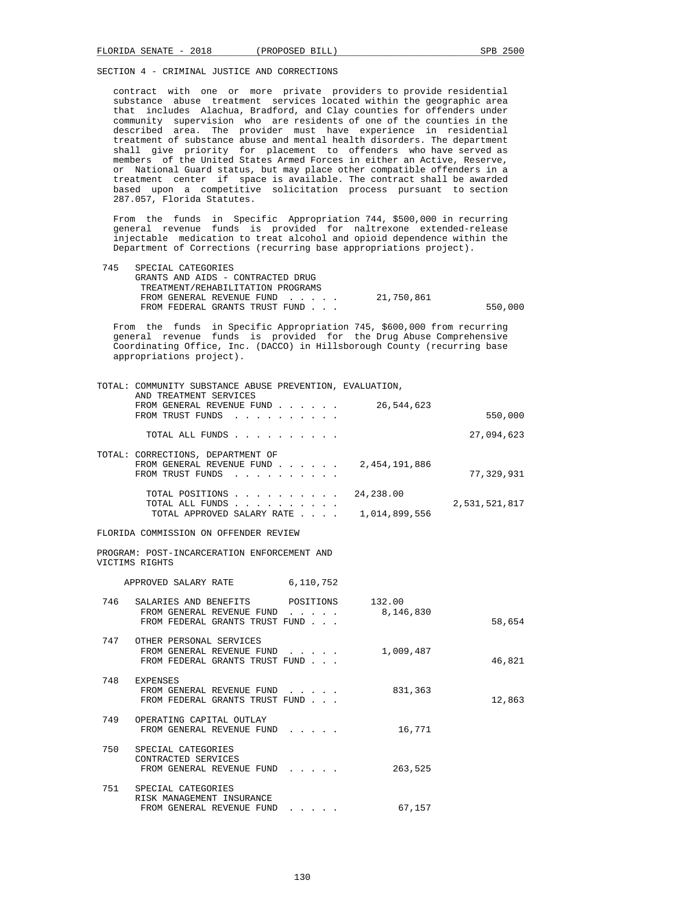contract with one or more private providers to provide residential substance abuse treatment services located within the geographic area that includes Alachua, Bradford, and Clay counties for offenders under community supervision who are residents of one of the counties in the described area. The provider must have experience in residential treatment of substance abuse and mental health disorders. The department shall give priority for placement to offenders who have served as members of the United States Armed Forces in either an Active, Reserve, or National Guard status, but may place other compatible offenders in a treatment center if space is available. The contract shall be awarded based upon a competitive solicitation process pursuant to section 287.057, Florida Statutes.

 From the funds in Specific Appropriation 744, \$500,000 in recurring general revenue funds is provided for naltrexone extended-release injectable medication to treat alcohol and opioid dependence within the Department of Corrections (recurring base appropriations project).

| 745 | SPECIAL CATEGORIES                |            |         |
|-----|-----------------------------------|------------|---------|
|     | GRANTS AND AIDS - CONTRACTED DRUG |            |         |
|     | TREATMENT/REHABILITATION PROGRAMS |            |         |
|     | FROM GENERAL REVENUE FUND         | 21,750,861 |         |
|     | FROM FEDERAL GRANTS TRUST FUND    |            | 550,000 |
|     |                                   |            |         |

 From the funds in Specific Appropriation 745, \$600,000 from recurring general revenue funds is provided for the Drug Abuse Comprehensive Coordinating Office, Inc. (DACCO) in Hillsborough County (recurring base appropriations project).

|     | TOTAL: COMMUNITY SUBSTANCE ABUSE PREVENTION, EVALUATION,                                                        |                                                                         |               |               |
|-----|-----------------------------------------------------------------------------------------------------------------|-------------------------------------------------------------------------|---------------|---------------|
|     | AND TREATMENT SERVICES<br>FROM GENERAL REVENUE FUND<br>FROM TRUST FUNDS                                         |                                                                         | 26,544,623    | 550,000       |
|     | TOTAL ALL FUNDS                                                                                                 |                                                                         |               | 27,094,623    |
|     | TOTAL: CORRECTIONS, DEPARTMENT OF<br>FROM GENERAL REVENUE FUND<br>FROM TRUST FUNDS                              |                                                                         | 2,454,191,886 | 77,329,931    |
|     | TOTAL POSITIONS 24,238.00<br>TOTAL ALL FUNDS                                                                    |                                                                         |               | 2,531,521,817 |
|     | TOTAL APPROVED SALARY RATE $\ldots$ . $\ldots$ 1,014,899,556                                                    |                                                                         |               |               |
|     | FLORIDA COMMISSION ON OFFENDER REVIEW                                                                           |                                                                         |               |               |
|     | PROGRAM: POST-INCARCERATION ENFORCEMENT AND<br>VICTIMS RIGHTS                                                   |                                                                         |               |               |
|     | APPROVED SALARY RATE 6,110,752                                                                                  |                                                                         |               |               |
| 746 | SALARIES AND BENEFITS POSITIONS 132.00<br>FROM GENERAL REVENUE FUND 8,146,830<br>FROM FEDERAL GRANTS TRUST FUND |                                                                         |               | 58,654        |
|     | 747 OTHER PERSONAL SERVICES<br>FROM GENERAL REVENUE FUND<br>FROM FEDERAL GRANTS TRUST FUND                      |                                                                         | 1,009,487     | 46,821        |
| 748 | EXPENSES<br>FROM GENERAL REVENUE FUND<br>FROM FEDERAL GRANTS TRUST FUND                                         | $\cdot$ $\cdot$ $\cdot$ $\cdot$ $\cdot$                                 | 831,363       | 12,863        |
| 749 | OPERATING CAPITAL OUTLAY<br>FROM GENERAL REVENUE FUND                                                           |                                                                         | 16,771        |               |
| 750 | SPECIAL CATEGORIES<br>CONTRACTED SERVICES<br>FROM GENERAL REVENUE FUND                                          |                                                                         | 263,525       |               |
| 751 | SPECIAL CATEGORIES<br>RISK MANAGEMENT INSURANCE<br>FROM GENERAL REVENUE FUND                                    | $\bullet$ .<br><br><br><br><br><br><br><br><br><br><br><br><br><br><br> | 67,157        |               |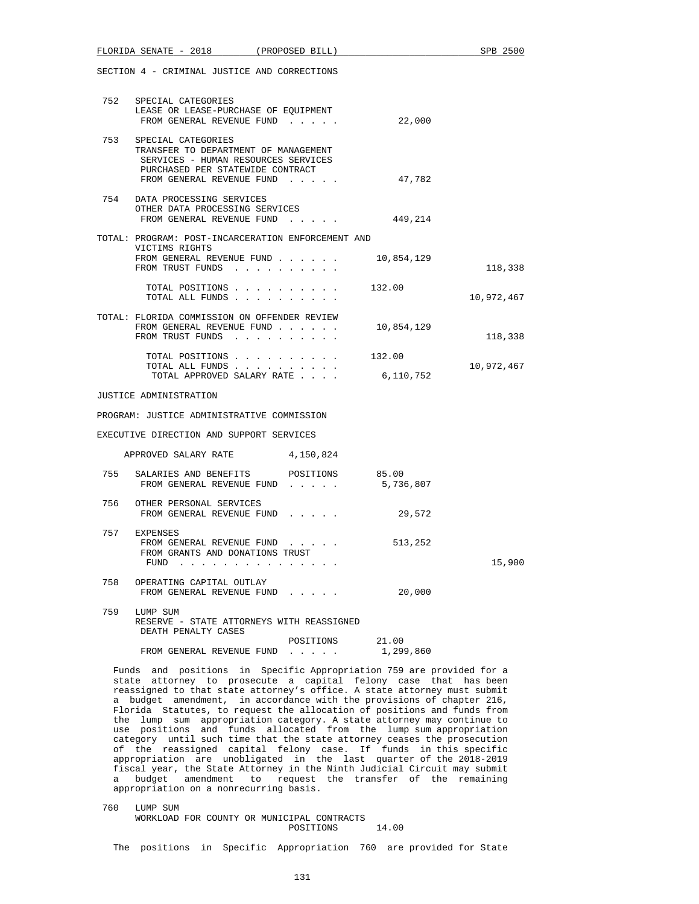|     | FLORIDA SENATE - 2018 (PROPOSED BILL)                                                                                                                                  |                                                                                                                 |                    | SPB 2500   |
|-----|------------------------------------------------------------------------------------------------------------------------------------------------------------------------|-----------------------------------------------------------------------------------------------------------------|--------------------|------------|
|     | SECTION 4 - CRIMINAL JUSTICE AND CORRECTIONS                                                                                                                           |                                                                                                                 |                    |            |
|     | 752 SPECIAL CATEGORIES<br>LEASE OR LEASE-PURCHASE OF EQUIPMENT<br>FROM GENERAL REVENUE FUND                                                                            |                                                                                                                 | 22,000             |            |
|     | 753 SPECIAL CATEGORIES<br>TRANSFER TO DEPARTMENT OF MANAGEMENT<br>SERVICES - HUMAN RESOURCES SERVICES<br>PURCHASED PER STATEWIDE CONTRACT<br>FROM GENERAL REVENUE FUND |                                                                                                                 | 47,782             |            |
|     | 754 DATA PROCESSING SERVICES<br>OTHER DATA PROCESSING SERVICES<br>FROM GENERAL REVENUE FUND 449,214                                                                    |                                                                                                                 |                    |            |
|     | TOTAL: PROGRAM: POST-INCARCERATION ENFORCEMENT AND                                                                                                                     |                                                                                                                 |                    |            |
|     | VICTIMS RIGHTS<br>FROM GENERAL REVENUE FUND $\ldots$ 10,854,129<br>FROM TRUST FUNDS                                                                                    |                                                                                                                 |                    | 118,338    |
|     | TOTAL ALL FUNDS                                                                                                                                                        | TOTAL POSITIONS 132.00                                                                                          |                    | 10,972,467 |
|     | TOTAL: FLORIDA COMMISSION ON OFFENDER REVIEW<br>FROM GENERAL REVENUE FUND<br>FROM TRUST FUNDS                                                                          |                                                                                                                 | 10,854,129         | 118,338    |
|     | TOTAL ALL FUNDS<br>TOTAL APPROVED SALARY RATE                                                                                                                          | TOTAL POSITIONS 132.00                                                                                          | 6,110,752          | 10,972,467 |
|     | JUSTICE ADMINISTRATION                                                                                                                                                 |                                                                                                                 |                    |            |
|     | PROGRAM: JUSTICE ADMINISTRATIVE COMMISSION                                                                                                                             |                                                                                                                 |                    |            |
|     | EXECUTIVE DIRECTION AND SUPPORT SERVICES                                                                                                                               |                                                                                                                 |                    |            |
|     |                                                                                                                                                                        |                                                                                                                 |                    |            |
|     | APPROVED SALARY RATE 4,150,824                                                                                                                                         |                                                                                                                 |                    |            |
|     | 755 SALARIES AND BENEFITS POSITIONS 85.00<br>FROM GENERAL REVENUE FUND                                                                                                 |                                                                                                                 | 5,736,807          |            |
|     | 756 OTHER PERSONAL SERVICES<br>FROM GENERAL REVENUE FUND                                                                                                               |                                                                                                                 | 29,572             |            |
|     | 757 EXPENSES<br>FROM GENERAL REVENUE FUND<br>FROM GRANTS AND DONATIONS TRUST<br>FUND                                                                                   | the contract of the contract of the contract of the contract of the contract of the contract of the contract of | 513,252            | 15,900     |
| 758 | OPERATING CAPITAL OUTLAY<br>FROM GENERAL REVENUE FUND                                                                                                                  |                                                                                                                 | 20,000             |            |
| 759 | LUMP SUM<br>RESERVE - STATE ATTORNEYS WITH REASSIGNED<br>DEATH PENALTY CASES                                                                                           |                                                                                                                 |                    |            |
|     | FROM GENERAL REVENUE FUND                                                                                                                                              | POSITIONS                                                                                                       | 21.00<br>1,299,860 |            |
|     | Funds and positions in Specific Appropriation 759 are provided for a                                                                                                   |                                                                                                                 |                    |            |

 state attorney to prosecute a capital felony case that has been reassigned to that state attorney's office. A state attorney must submit a budget amendment, in accordance with the provisions of chapter 216, Florida Statutes, to request the allocation of positions and funds from the lump sum appropriation category. A state attorney may continue to use positions and funds allocated from the lump sum appropriation category until such time that the state attorney ceases the prosecution of the reassigned capital felony case. If funds in this specific appropriation are unobligated in the last quarter of the 2018-2019 fiscal year, the State Attorney in the Ninth Judicial Circuit may submit a budget amendment to request the transfer of the remaining appropriation on a nonrecurring basis.

 760 LUMP SUM WORKLOAD FOR COUNTY OR MUNICIPAL CONTRACTS POSITIONS 14.00

The positions in Specific Appropriation 760 are provided for State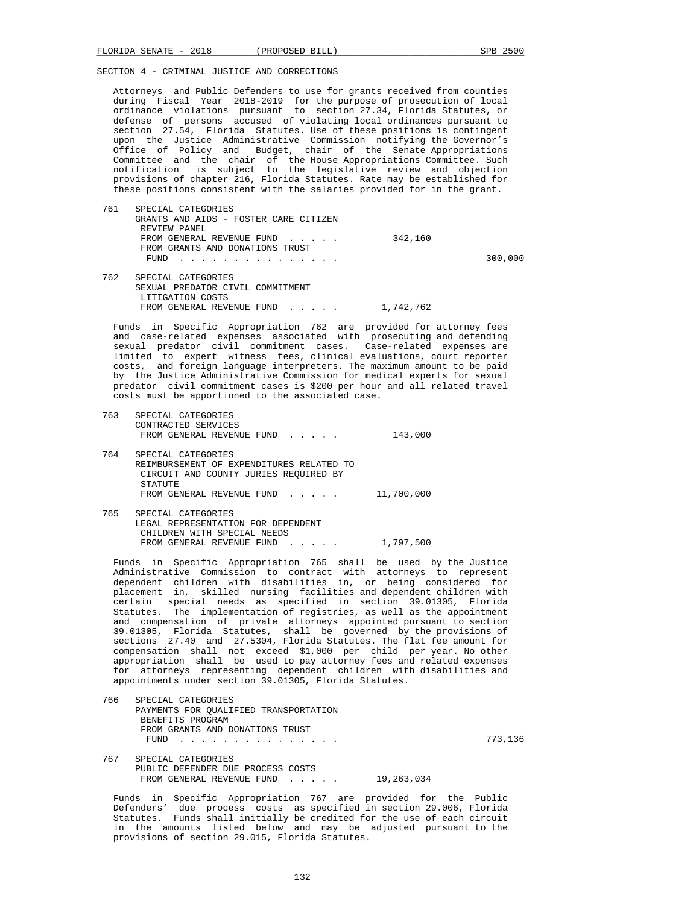Attorneys and Public Defenders to use for grants received from counties during Fiscal Year 2018-2019 for the purpose of prosecution of local ordinance violations pursuant to section 27.34, Florida Statutes, or defense of persons accused of violating local ordinances pursuant to section 27.54, Florida Statutes. Use of these positions is contingent upon the Justice Administrative Commission notifying the Governor's Office of Policy and Budget, chair of the Senate Appropriations Committee and the chair of the House Appropriations Committee. Such notification is subject to the legislative review and objection provisions of chapter 216, Florida Statutes. Rate may be established for these positions consistent with the salaries provided for in the grant.

| 761 | SPECIAL CATEGORIES                    |           |         |
|-----|---------------------------------------|-----------|---------|
|     | GRANTS AND AIDS - FOSTER CARE CITIZEN |           |         |
|     | REVIEW PANEL                          |           |         |
|     | FROM GENERAL REVENUE FUND             | 342,160   |         |
|     | FROM GRANTS AND DONATIONS TRUST       |           |         |
|     | FUND<br>.                             |           | 300,000 |
| 762 | SPECIAL CATEGORIES                    |           |         |
|     | SEXUAL PREDATOR CIVIL COMMITMENT      |           |         |
|     | LITIGATION COSTS                      |           |         |
|     | FROM GENERAL REVENUE FUND             | 1,742,762 |         |

 Funds in Specific Appropriation 762 are provided for attorney fees and case-related expenses associated with prosecuting and defending sexual predator civil commitment cases. Case-related expenses are limited to expert witness fees, clinical evaluations, court reporter costs, and foreign language interpreters. The maximum amount to be paid by the Justice Administrative Commission for medical experts for sexual predator civil commitment cases is \$200 per hour and all related travel costs must be apportioned to the associated case.

 763 SPECIAL CATEGORIES CONTRACTED SERVICES FROM GENERAL REVENUE FUND . . . . . 143,000 764 SPECIAL CATEGORIES REIMBURSEMENT OF EXPENDITURES RELATED TO CIRCUIT AND COUNTY JURIES REQUIRED BY STATUTE FROM GENERAL REVENUE FUND . . . . . 11,700,000 765 SPECIAL CATEGORIES LEGAL REPRESENTATION FOR DEPENDENT CHILDREN WITH SPECIAL NEEDS

FROM GENERAL REVENUE FUND . . . . . 1,797,500

 Funds in Specific Appropriation 765 shall be used by the Justice Administrative Commission to contract with attorneys to represent dependent children with disabilities in, or being considered for placement in, skilled nursing facilities and dependent children with certain special needs as specified in section 39.01305, Florida Statutes. The implementation of registries, as well as the appointment and compensation of private attorneys appointed pursuant to section 39.01305, Florida Statutes, shall be governed by the provisions of sections 27.40 and 27.5304, Florida Statutes. The flat fee amount for compensation shall not exceed \$1,000 per child per year. No other appropriation shall be used to pay attorney fees and related expenses for attorneys representing dependent children with disabilities and appointments under section 39.01305, Florida Statutes.

 766 SPECIAL CATEGORIES PAYMENTS FOR QUALIFIED TRANSPORTATION BENEFITS PROGRAM FROM GRANTS AND DONATIONS TRUST FUND . . . . . . . . . . . . . . . 773,136 767 SPECIAL CATEGORIES PUBLIC DEFENDER DUE PROCESS COSTS FROM GENERAL REVENUE FUND . . . . . 19,263,034

 Funds in Specific Appropriation 767 are provided for the Public Defenders' due process costs as specified in section 29.006, Florida Statutes. Funds shall initially be credited for the use of each circuit in the amounts listed below and may be adjusted pursuant to the provisions of section 29.015, Florida Statutes.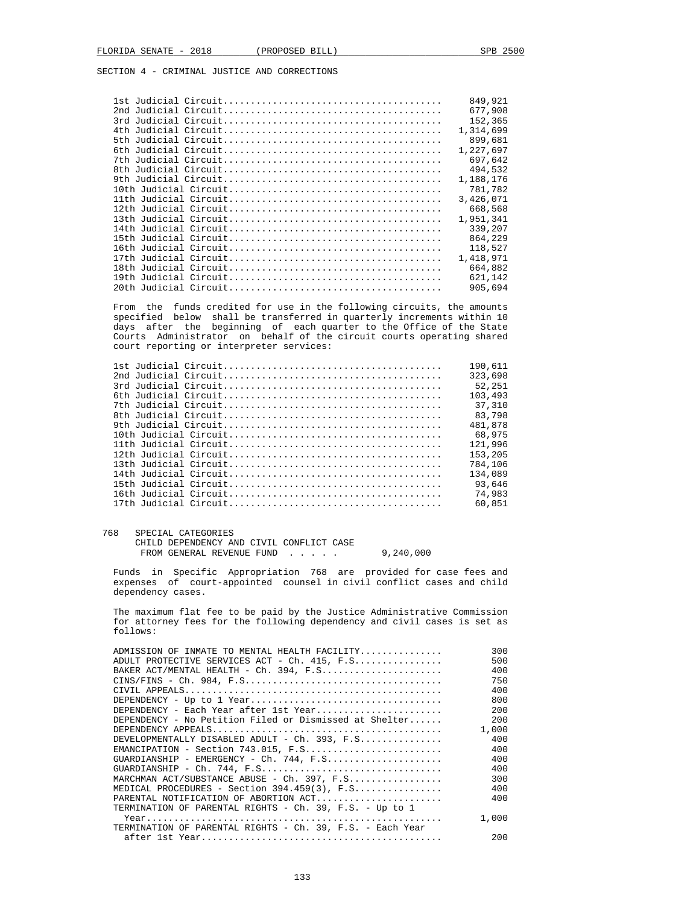|  | 849,921   |
|--|-----------|
|  | 677,908   |
|  | 152,365   |
|  | 1,314,699 |
|  | 899,681   |
|  | 1,227,697 |
|  | 697,642   |
|  | 494,532   |
|  | 1,188,176 |
|  | 781,782   |
|  | 3,426,071 |
|  | 668,568   |
|  | 1,951,341 |
|  | 339,207   |
|  | 864,229   |
|  | 118,527   |
|  | 1,418,971 |
|  | 664,882   |
|  | 621,142   |
|  | 905,694   |
|  |           |

 From the funds credited for use in the following circuits, the amounts specified below shall be transferred in quarterly increments within 10 days after the beginning of each quarter to the Office of the State Courts Administrator on behalf of the circuit courts operating shared court reporting or interpreter services:

|  | 190,611 |
|--|---------|
|  | 323,698 |
|  | 52,251  |
|  | 103,493 |
|  | 37,310  |
|  | 83,798  |
|  | 481,878 |
|  | 68,975  |
|  | 121.996 |
|  | 153,205 |
|  | 784,106 |
|  | 134,089 |
|  | 93,646  |
|  | 74,983  |
|  | 60,851  |
|  |         |

768 SPECIAL CATEGORIES

 CHILD DEPENDENCY AND CIVIL CONFLICT CASE FROM GENERAL REVENUE FUND . . . . . 9,240,000

 Funds in Specific Appropriation 768 are provided for case fees and expenses of court-appointed counsel in civil conflict cases and child dependency cases.

 The maximum flat fee to be paid by the Justice Administrative Commission for attorney fees for the following dependency and civil cases is set as follows:

| ADMISSION OF INMATE TO MENTAL HEALTH FACILITY             | 300   |
|-----------------------------------------------------------|-------|
| ADULT PROTECTIVE SERVICES ACT - Ch. 415, F.S              | 500   |
|                                                           | 400   |
| $CINS/FINS - Ch. 984, F.S.$                               | 750   |
|                                                           | 400   |
|                                                           | 800   |
| DEPENDENCY - Each Year after 1st Year                     | 200   |
| DEPENDENCY - No Petition Filed or Dismissed at Shelter    | 200   |
|                                                           | 1,000 |
| DEVELOPMENTALLY DISABLED ADULT - Ch. 393, F.S             | 400   |
|                                                           | 400   |
| $GUARDIANSHIP - EMERGENCY - Ch. 744, F.S.$                | 400   |
| $GUARDIANSHIP - Ch. 744, F.S.$                            | 400   |
| MARCHMAN ACT/SUBSTANCE ABUSE - Ch. 397, F.S               | 300   |
| MEDICAL PROCEDURES - Section $394.459(3)$ , F.S           | 400   |
| PARENTAL NOTIFICATION OF ABORTION ACT                     | 400   |
| TERMINATION OF PARENTAL RIGHTS - Ch. 39, F.S. - Up to 1   |       |
|                                                           | 1,000 |
| TERMINATION OF PARENTAL RIGHTS - Ch. 39, F.S. - Each Year |       |
|                                                           | 200   |
|                                                           |       |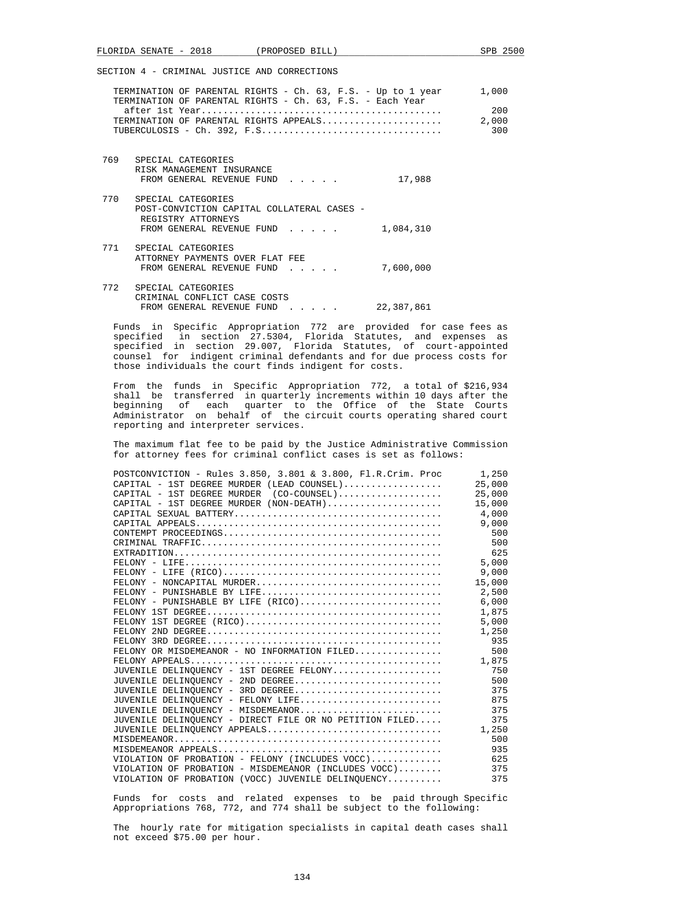|     | TERMINATION OF PARENTAL RIGHTS - Ch. 63, F.S. - Up to 1 year<br>TERMINATION OF PARENTAL RIGHTS - Ch. 63, F.S. - Each Year<br>TERMINATION OF PARENTAL RIGHTS APPEALS | 1,000<br>200<br>2,000<br>300 |
|-----|---------------------------------------------------------------------------------------------------------------------------------------------------------------------|------------------------------|
|     | 769 SPECIAL CATEGORIES<br>RISK MANAGEMENT INSURANCE<br>17,988<br>FROM GENERAL REVENUE FUND                                                                          |                              |
|     | 770 SPECIAL CATEGORIES<br>POST-CONVICTION CAPITAL COLLATERAL CASES -<br>REGISTRY ATTORNEYS<br>1,084,310<br>FROM GENERAL REVENUE FUND                                |                              |
|     | 771 SPECIAL CATEGORIES<br>ATTORNEY PAYMENTS OVER FLAT FEE<br>7,600,000<br>FROM GENERAL REVENUE FUND                                                                 |                              |
| 772 | SPECIAL CATEGORIES<br>CRIMINAL CONFLICT CASE COSTS<br>22,387,861<br>FROM GENERAL REVENUE FUND<br>$\sim$ $\sim$ $\sim$ $\sim$ $\sim$                                 |                              |

 Funds in Specific Appropriation 772 are provided for case fees as specified in section 27.5304, Florida Statutes, and expenses as specified in section 29.007, Florida Statutes, of court-appointed counsel for indigent criminal defendants and for due process costs for those individuals the court finds indigent for costs.

 From the funds in Specific Appropriation 772, a total of \$216,934 shall be transferred in quarterly increments within 10 days after the beginning of each quarter to the Office of the State Courts Administrator on behalf of the circuit courts operating shared court reporting and interpreter services.

 The maximum flat fee to be paid by the Justice Administrative Commission for attorney fees for criminal conflict cases is set as follows:

| POSTCONVICTION - Rules 3.850, 3.801 & 3.800, Fl.R.Crim. Proc 1,250                |        |
|-----------------------------------------------------------------------------------|--------|
| $CAPITAL - 1ST DEGREE MURDER (LEAD COUNSEL) \dots \dots \dots \dots \dots$ 25,000 |        |
|                                                                                   |        |
| CAPITAL - 1ST DEGREE MURDER (NON-DEATH)                                           | 15,000 |
|                                                                                   |        |
|                                                                                   | 9,000  |
|                                                                                   | 500    |
|                                                                                   | 500    |
|                                                                                   | 625    |
|                                                                                   | 5.000  |
|                                                                                   |        |
|                                                                                   |        |
|                                                                                   | 2,500  |
|                                                                                   |        |
|                                                                                   | 1,875  |
|                                                                                   | 5,000  |
|                                                                                   | 1,250  |
|                                                                                   | 935    |
| FELONY OR MISDEMEANOR - NO INFORMATION FILED                                      | 500    |
|                                                                                   |        |
| JUVENILE DELINOUENCY - 1ST DEGREE FELONY                                          | 750    |
| JUVENILE DELINOUENCY - 2ND DEGREE                                                 | 500    |
| JUVENILE DELINOUENCY - 3RD DEGREE                                                 | 375    |
| JUVENILE DELINQUENCY - FELONY LIFE                                                | 875    |
| JUVENILE DELINOUENCY - MISDEMEANOR                                                | 375    |
| JUVENILE DELINQUENCY - DIRECT FILE OR NO PETITION FILED                           | 375    |
|                                                                                   |        |
|                                                                                   | 500    |
|                                                                                   | 935    |
| VIOLATION OF PROBATION - FELONY (INCLUDES VOCC)                                   | 625    |
| VIOLATION OF PROBATION - MISDEMEANOR (INCLUDES $VOCC$ )                           | 375    |
| VIOLATION OF PROBATION (VOCC) JUVENILE DELINOUENCY                                | 375    |
|                                                                                   |        |

 Funds for costs and related expenses to be paid through Specific Appropriations 768, 772, and 774 shall be subject to the following:

 The hourly rate for mitigation specialists in capital death cases shall not exceed \$75.00 per hour.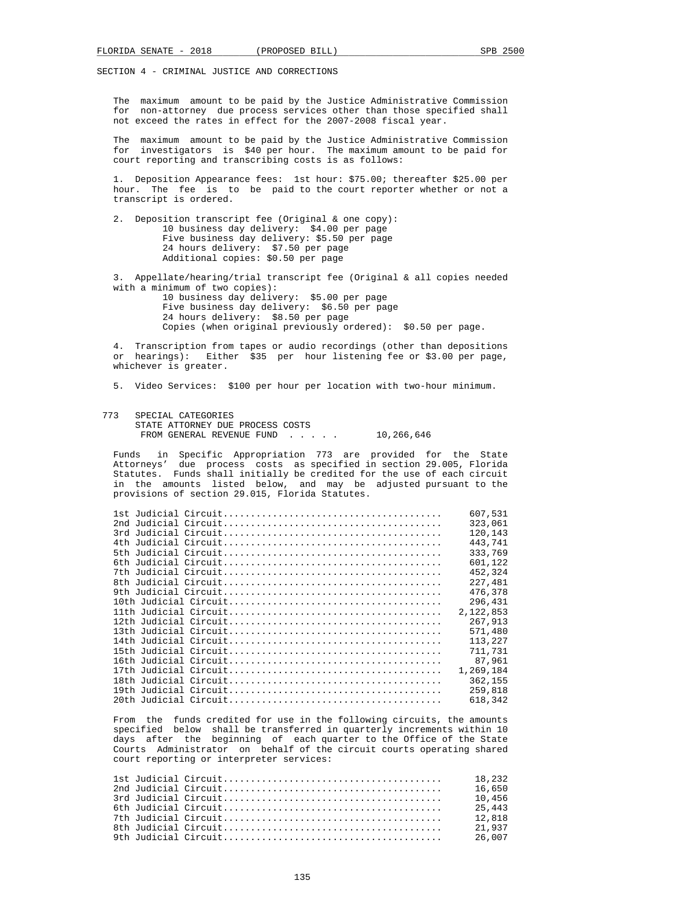The maximum amount to be paid by the Justice Administrative Commission for non-attorney due process services other than those specified shall not exceed the rates in effect for the 2007-2008 fiscal year.

 The maximum amount to be paid by the Justice Administrative Commission for investigators is \$40 per hour. The maximum amount to be paid for court reporting and transcribing costs is as follows:

 1. Deposition Appearance fees: 1st hour: \$75.00; thereafter \$25.00 per hour. The fee is to be paid to the court reporter whether or not a transcript is ordered.

 2. Deposition transcript fee (Original & one copy): 10 business day delivery: \$4.00 per page Five business day delivery: \$5.50 per page 24 hours delivery: \$7.50 per page Additional copies: \$0.50 per page 3. Appellate/hearing/trial transcript fee (Original & all copies needed with a minimum of two copies): 10 business day delivery: \$5.00 per page Five business day delivery: \$6.50 per page

 24 hours delivery: \$8.50 per page Copies (when original previously ordered): \$0.50 per page.

 4. Transcription from tapes or audio recordings (other than depositions or hearings): Either \$35 per hour listening fee or \$3.00 per page, whichever is greater.

5. Video Services: \$100 per hour per location with two-hour minimum.

 773 SPECIAL CATEGORIES STATE ATTORNEY DUE PROCESS COSTS FROM GENERAL REVENUE FUND . . . . . 10,266,646

 Funds in Specific Appropriation 773 are provided for the State Attorneys' due process costs as specified in section 29.005, Florida Statutes. Funds shall initially be credited for the use of each circuit in the amounts listed below, and may be adjusted pursuant to the provisions of section 29.015, Florida Statutes.

|  | 607,531   |
|--|-----------|
|  | 323,061   |
|  | 120,143   |
|  | 443,741   |
|  | 333,769   |
|  | 601,122   |
|  | 452,324   |
|  | 227,481   |
|  | 476,378   |
|  | 296,431   |
|  | 2,122,853 |
|  | 267,913   |
|  | 571,480   |
|  | 113,227   |
|  | 711,731   |
|  | 87,961    |
|  | 1,269,184 |
|  | 362,155   |
|  | 259,818   |
|  | 618,342   |

 From the funds credited for use in the following circuits, the amounts specified below shall be transferred in quarterly increments within 10 days after the beginning of each quarter to the Office of the State Courts Administrator on behalf of the circuit courts operating shared court reporting or interpreter services:

|  | 18.232 |
|--|--------|
|  | 16.650 |
|  | 10.456 |
|  | 25.443 |
|  | 12.818 |
|  | 21.937 |
|  | 26.007 |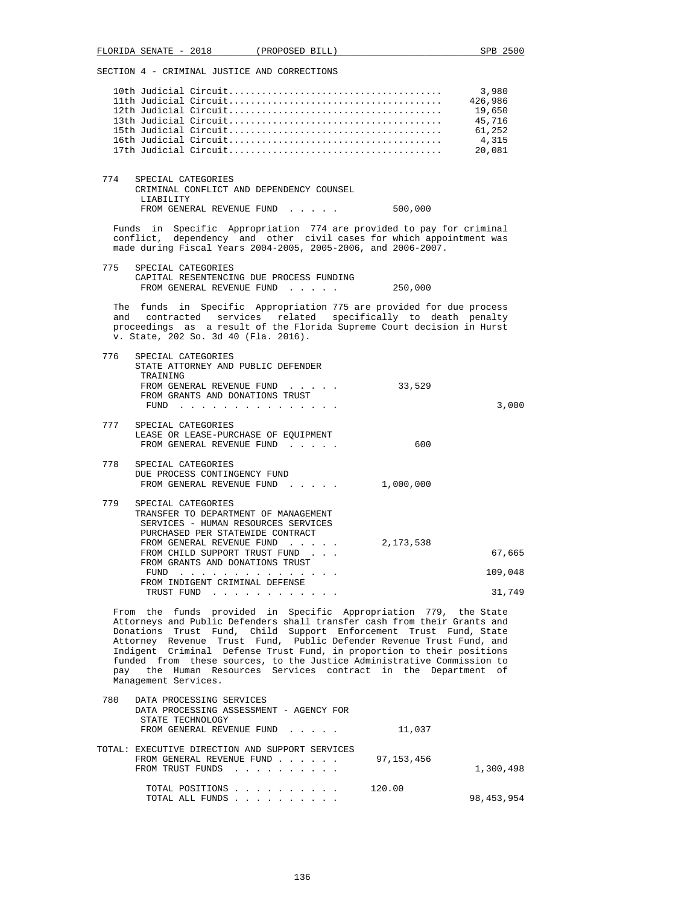SECTION 4 - CRIMINAL JUSTICE AND CORRECTIONS 10th Judicial Circuit....................................... 3,980 11th Judicial Circuit....................................... 426,986 12th Judicial Circuit....................................... 19,650 13th Judicial Circuit....................................... 45,716 15th Judicial Circuit....................................... 61,252 16th Judicial Circuit....................................... 4,315 17th Judicial Circuit....................................... 20,081 774 SPECIAL CATEGORIES CRIMINAL CONFLICT AND DEPENDENCY COUNSEL LIABILITY FROM GENERAL REVENUE FUND . . . . . 500,000 Funds in Specific Appropriation 774 are provided to pay for criminal conflict, dependency and other civil cases for which appointment was made during Fiscal Years 2004-2005, 2005-2006, and 2006-2007. 775 SPECIAL CATEGORIES CAPITAL RESENTENCING DUE PROCESS FUNDING FROM GENERAL REVENUE FUND . . . . . 250,000 The funds in Specific Appropriation 775 are provided for due process and contracted services related specifically to death penalty proceedings as a result of the Florida Supreme Court decision in Hurst v. State, 202 So. 3d 40 (Fla. 2016). 776 SPECIAL CATEGORIES STATE ATTORNEY AND PUBLIC DEFENDER TRAINING FROM GENERAL REVENUE FUND . . . . . 33,529 FROM GRANTS AND DONATIONS TRUST FUND . . . . . . . . . . . . . . . 3,000 777 SPECIAL CATEGORIES LEASE OR LEASE-PURCHASE OF EQUIPMENT FROM GENERAL REVENUE FUND . . . . . 600 778 SPECIAL CATEGORIES DUE PROCESS CONTINGENCY FUND FROM GENERAL REVENUE FUND . . . . . 1,000,000 779 SPECIAL CATEGORIES TRANSFER TO DEPARTMENT OF MANAGEMENT SERVICES - HUMAN RESOURCES SERVICES PURCHASED PER STATEWIDE CONTRACT FROM GENERAL REVENUE FUND . . . . . 2,173,538 FROM CHILD SUPPORT TRUST FUND . . .  $\hspace{2cm}$  67,665 FROM GRANTS AND DONATIONS TRUST<br>FUND FUND . . . . . . . . . . . . . . . 109,048 FROM INDIGENT CRIMINAL DEFENSE TRUST FUND . . . . . . . . . . . . . . . . . . 31,749 From the funds provided in Specific Appropriation 779, the State Attorneys and Public Defenders shall transfer cash from their Grants and Donations Trust Fund, Child Support Enforcement Trust Fund, State Attorney Revenue Trust Fund, Public Defender Revenue Trust Fund, and Indigent Criminal Defense Trust Fund, in proportion to their positions funded from these sources, to the Justice Administrative Commission to pay the Human Resources Services contract in the Department of Management Services. 780 DATA PROCESSING SERVICES DATA PROCESSING ASSESSMENT - AGENCY FOR STATE TECHNOLOGY FROM GENERAL REVENUE FUND . . . . . 11,037 TOTAL: EXECUTIVE DIRECTION AND SUPPORT SERVICES FROM GENERAL REVENUE FUND . . . . . . 97,153,456 FROM TRUST FUNDS . . . . . . . . . . . . . . . 1,300,498 TOTAL POSITIONS . . . . . . . . . . 120.00 TOTAL ALL FUNDS . . . . . . . . . . 98,453,954

FLORIDA SENATE - 2018 (PROPOSED BILL) SPB 2500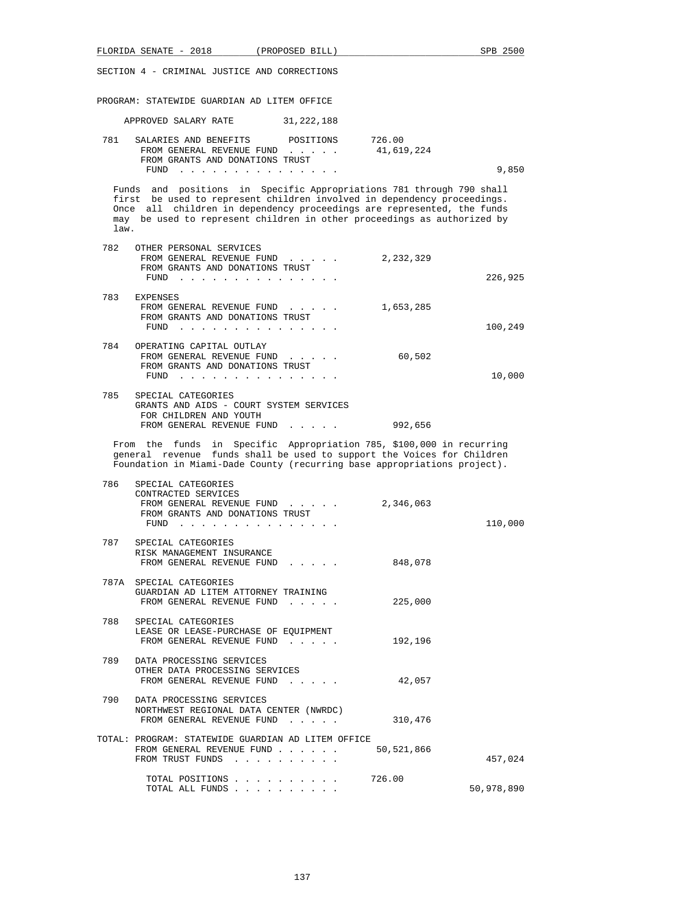| FLORIDA SENATE - 2018                              |                                                                                                                                                                                                                                                                                               | (PROPOSED BILL) |                                                                                                                                                                                                                                                                                                      | SPB 2500   |
|----------------------------------------------------|-----------------------------------------------------------------------------------------------------------------------------------------------------------------------------------------------------------------------------------------------------------------------------------------------|-----------------|------------------------------------------------------------------------------------------------------------------------------------------------------------------------------------------------------------------------------------------------------------------------------------------------------|------------|
| SECTION 4 - CRIMINAL JUSTICE AND CORRECTIONS       |                                                                                                                                                                                                                                                                                               |                 |                                                                                                                                                                                                                                                                                                      |            |
| PROGRAM: STATEWIDE GUARDIAN AD LITEM OFFICE        |                                                                                                                                                                                                                                                                                               |                 |                                                                                                                                                                                                                                                                                                      |            |
|                                                    | APPROVED SALARY RATE 31, 222, 188                                                                                                                                                                                                                                                             |                 |                                                                                                                                                                                                                                                                                                      |            |
| 781<br>SALARIES AND BENEFITS<br>FUND               | FROM GENERAL REVENUE FUND<br>FROM GRANTS AND DONATIONS TRUST<br>a construction of the construction of the construction of the construction of the construction of the construction of the construction of the construction of the construction of the construction of the construction of the | POSITIONS       | 726.00<br>41,619,224                                                                                                                                                                                                                                                                                 | 9,850      |
| law.                                               |                                                                                                                                                                                                                                                                                               |                 | Funds and positions in Specific Appropriations 781 through 790 shall<br>first be used to represent children involved in dependency proceedings.<br>Once all children in dependency proceedings are represented, the funds<br>may be used to represent children in other proceedings as authorized by |            |
| 782<br>OTHER PERSONAL SERVICES                     | FROM GENERAL REVENUE FUND<br>FROM GRANTS AND DONATIONS TRUST<br>FUND $\cdots$                                                                                                                                                                                                                 |                 | 2,232,329                                                                                                                                                                                                                                                                                            | 226,925    |
| 783<br><b>EXPENSES</b>                             | FROM GENERAL REVENUE FUND<br>FROM GRANTS AND DONATIONS TRUST                                                                                                                                                                                                                                  |                 | 1,653,285                                                                                                                                                                                                                                                                                            |            |
| 784                                                | FUND $\cdots$<br>OPERATING CAPITAL OUTLAY<br>FROM GENERAL REVENUE FUND                                                                                                                                                                                                                        |                 | 60,502                                                                                                                                                                                                                                                                                               | 100,249    |
|                                                    | FROM GRANTS AND DONATIONS TRUST<br>FUND $\cdots$                                                                                                                                                                                                                                              |                 |                                                                                                                                                                                                                                                                                                      | 10,000     |
| 785<br>SPECIAL CATEGORIES                          | GRANTS AND AIDS - COURT SYSTEM SERVICES<br>FOR CHILDREN AND YOUTH<br>FROM GENERAL REVENUE FUND                                                                                                                                                                                                |                 | 992,656                                                                                                                                                                                                                                                                                              |            |
|                                                    |                                                                                                                                                                                                                                                                                               |                 | From the funds in Specific Appropriation 785, \$100,000 in recurring<br>general revenue funds shall be used to support the Voices for Children<br>Foundation in Miami-Dade County (recurring base appropriations project).                                                                           |            |
| 786<br>SPECIAL CATEGORIES<br>CONTRACTED SERVICES   | FROM GENERAL REVENUE FUND<br>FROM GRANTS AND DONATIONS TRUST<br>FUND $\cdots$                                                                                                                                                                                                                 |                 | 2,346,063                                                                                                                                                                                                                                                                                            | 110,000    |
| 787<br>SPECIAL CATEGORIES                          | RISK MANAGEMENT INSURANCE<br>FROM GENERAL REVENUE FUND                                                                                                                                                                                                                                        |                 | 848,078                                                                                                                                                                                                                                                                                              |            |
| 787A SPECIAL CATEGORIES                            | GUARDIAN AD LITEM ATTORNEY TRAINING<br>FROM GENERAL REVENUE FUND                                                                                                                                                                                                                              |                 | 225,000                                                                                                                                                                                                                                                                                              |            |
| 788<br>SPECIAL CATEGORIES                          | LEASE OR LEASE-PURCHASE OF EQUIPMENT<br>FROM GENERAL REVENUE FUND                                                                                                                                                                                                                             |                 | 192,196                                                                                                                                                                                                                                                                                              |            |
| 789<br>DATA PROCESSING SERVICES                    | OTHER DATA PROCESSING SERVICES<br>FROM GENERAL REVENUE FUND                                                                                                                                                                                                                                   |                 | 42,057                                                                                                                                                                                                                                                                                               |            |
| 790<br>DATA PROCESSING SERVICES                    | NORTHWEST REGIONAL DATA CENTER (NWRDC)<br>FROM GENERAL REVENUE FUND                                                                                                                                                                                                                           |                 | 310,476                                                                                                                                                                                                                                                                                              |            |
| TOTAL: PROGRAM: STATEWIDE GUARDIAN AD LITEM OFFICE | FROM GENERAL REVENUE FUND<br>FROM TRUST FUNDS                                                                                                                                                                                                                                                 |                 | 50,521,866                                                                                                                                                                                                                                                                                           | 457,024    |
|                                                    | TOTAL POSITIONS<br>TOTAL ALL FUNDS                                                                                                                                                                                                                                                            |                 | 726.00                                                                                                                                                                                                                                                                                               | 50,978,890 |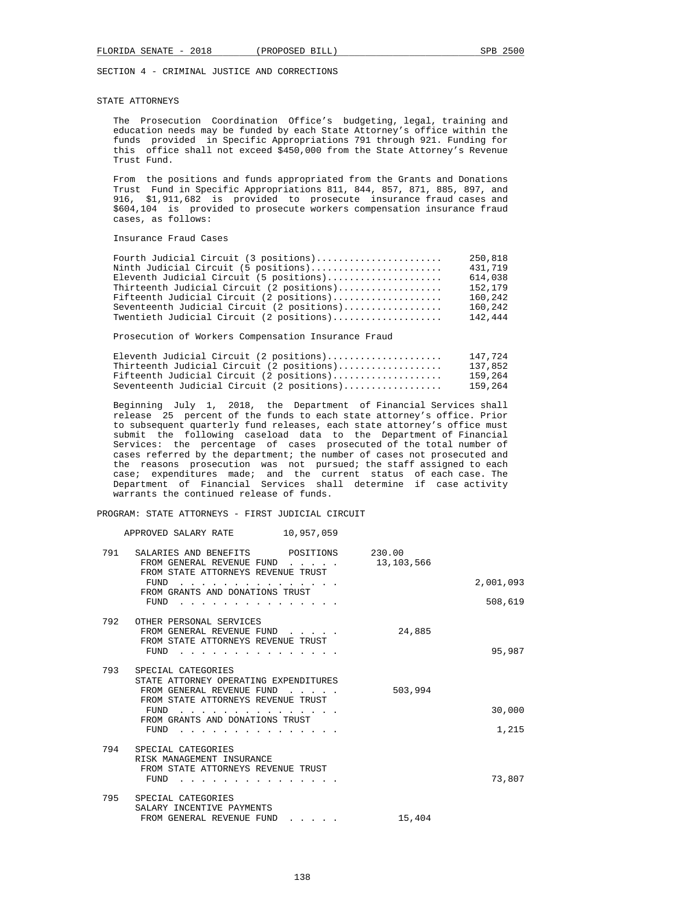#### STATE ATTORNEYS

 The Prosecution Coordination Office's budgeting, legal, training and education needs may be funded by each State Attorney's office within the funds provided in Specific Appropriations 791 through 921. Funding for this office shall not exceed \$450,000 from the State Attorney's Revenue Trust Fund.

 From the positions and funds appropriated from the Grants and Donations Trust Fund in Specific Appropriations 811, 844, 857, 871, 885, 897, and 916, \$1,911,682 is provided to prosecute insurance fraud cases and \$604,104 is provided to prosecute workers compensation insurance fraud cases, as follows:

## Insurance Fraud Cases

| Fourth Judicial Circuit (3 positions)      | 250,818 |
|--------------------------------------------|---------|
| Ninth Judicial Circuit (5 positions)       | 431,719 |
| Eleventh Judicial Circuit (5 positions)    | 614,038 |
| Thirteenth Judicial Circuit (2 positions)  | 152,179 |
| Fifteenth Judicial Circuit (2 positions)   | 160,242 |
| Seventeenth Judicial Circuit (2 positions) | 160,242 |
| Twentieth Judicial Circuit (2 positions)   | 142,444 |
|                                            |         |

Prosecution of Workers Compensation Insurance Fraud

| Eleventh Judicial Circuit (2 positions)    | 147,724 |
|--------------------------------------------|---------|
| Thirteenth Judicial Circuit (2 positions)  | 137,852 |
| Fifteenth Judicial Circuit (2 positions)   | 159,264 |
| Seventeenth Judicial Circuit (2 positions) | 159,264 |

 Beginning July 1, 2018, the Department of Financial Services shall release 25 percent of the funds to each state attorney's office. Prior to subsequent quarterly fund releases, each state attorney's office must submit the following caseload data to the Department of Financial Services: the percentage of cases prosecuted of the total number of cases referred by the department; the number of cases not prosecuted and the reasons prosecution was not pursued; the staff assigned to each case; expenditures made; and the current status of each case. The Department of Financial Services shall determine if case activity warrants the continued release of funds.

PROGRAM: STATE ATTORNEYS - FIRST JUDICIAL CIRCUIT

APPROVED SALARY RATE 10,957,059

| 791 | SALARIES AND BENEFITS<br>POSITIONS<br>FROM GENERAL REVENUE FUND<br>$\cdots$<br>FROM STATE ATTORNEYS REVENUE TRUST                                                                 | 230.00<br>13, 103, 566 |                 |
|-----|-----------------------------------------------------------------------------------------------------------------------------------------------------------------------------------|------------------------|-----------------|
|     | FUND<br>FROM GRANTS AND DONATIONS TRUST                                                                                                                                           |                        | 2,001,093       |
|     | FUND                                                                                                                                                                              |                        | 508,619         |
| 792 | OTHER PERSONAL SERVICES<br>FROM GENERAL REVENUE FUND<br>FROM STATE ATTORNEYS REVENUE TRUST<br>FUND                                                                                | 24,885                 | 95,987          |
| 793 | SPECIAL CATEGORIES<br>STATE ATTORNEY OPERATING EXPENDITURES<br>FROM GENERAL REVENUE FUND<br>FROM STATE ATTORNEYS REVENUE TRUST<br>FUND<br>FROM GRANTS AND DONATIONS TRUST<br>FUND | 503,994                | 30,000<br>1,215 |
| 794 | SPECIAL CATEGORIES<br>RISK MANAGEMENT INSURANCE<br>FROM STATE ATTORNEYS REVENUE TRUST<br>FUND                                                                                     |                        | 73,807          |
| 795 | SPECIAL CATEGORIES<br>SALARY INCENTIVE PAYMENTS<br>FROM GENERAL REVENUE FUND                                                                                                      | 15,404                 |                 |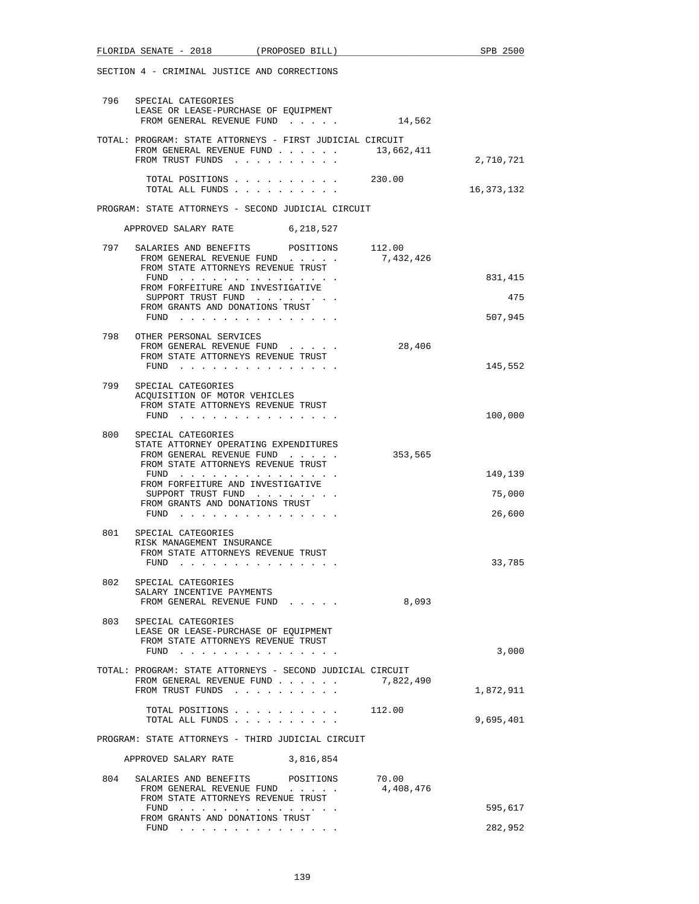|                                                   | FLORIDA SENATE - 2018 (PROPOSED BILL)                                                                                                                                                                                                                 |           |                    | SPB 2500                    |
|---------------------------------------------------|-------------------------------------------------------------------------------------------------------------------------------------------------------------------------------------------------------------------------------------------------------|-----------|--------------------|-----------------------------|
|                                                   | SECTION 4 - CRIMINAL JUSTICE AND CORRECTIONS                                                                                                                                                                                                          |           |                    |                             |
|                                                   | 796 SPECIAL CATEGORIES<br>LEASE OR LEASE-PURCHASE OF EQUIPMENT<br>FROM GENERAL REVENUE FUND 1 14,562                                                                                                                                                  |           |                    |                             |
|                                                   | TOTAL: PROGRAM: STATE ATTORNEYS - FIRST JUDICIAL CIRCUIT<br>FROM GENERAL REVENUE FUND $\ldots$ 13,662,411<br>FROM TRUST FUNDS                                                                                                                         |           |                    | 2,710,721                   |
|                                                   | TOTAL POSITIONS 230.00<br>TOTAL ALL FUNDS                                                                                                                                                                                                             |           |                    | 16,373,132                  |
|                                                   | PROGRAM: STATE ATTORNEYS - SECOND JUDICIAL CIRCUIT                                                                                                                                                                                                    |           |                    |                             |
|                                                   | APPROVED SALARY RATE                                                                                                                                                                                                                                  | 6,218,527 |                    |                             |
|                                                   | 797 SALARIES AND BENEFITS POSITIONS 112.00<br>FROM GENERAL REVENUE FUND<br>FROM STATE ATTORNEYS REVENUE TRUST<br>FUND $\cdots$<br>FROM FORFEITURE AND INVESTIGATIVE                                                                                   |           | 7,432,426          | 831,415                     |
|                                                   | SUPPORT TRUST FUND<br>FROM GRANTS AND DONATIONS TRUST<br>FUND $\cdots$                                                                                                                                                                                |           |                    | 475<br>507,945              |
|                                                   | 798 OTHER PERSONAL SERVICES<br>FROM GENERAL REVENUE FUND<br>FROM STATE ATTORNEYS REVENUE TRUST<br>FUND $\cdots$                                                                                                                                       |           | 28,406             | 145,552                     |
| 799                                               | SPECIAL CATEGORIES<br>ACQUISITION OF MOTOR VEHICLES<br>FROM STATE ATTORNEYS REVENUE TRUST<br>FUND $\cdots$                                                                                                                                            |           |                    | 100,000                     |
| 800                                               | SPECIAL CATEGORIES<br>STATE ATTORNEY OPERATING EXPENDITURES<br>FROM GENERAL REVENUE FUND<br>FROM STATE ATTORNEYS REVENUE TRUST<br>FUND<br>FROM FORFEITURE AND INVESTIGATIVE<br>SUPPORT TRUST FUND<br>FROM GRANTS AND DONATIONS TRUST<br>FUND $\cdots$ |           | 353,565            | 149,139<br>75,000<br>26,600 |
| 801                                               | SPECIAL CATEGORIES<br>RISK MANAGEMENT INSURANCE<br>FROM STATE ATTORNEYS REVENUE TRUST<br>$FUND$                                                                                                                                                       |           |                    | 33,785                      |
| 802                                               | SPECIAL CATEGORIES<br>SALARY INCENTIVE PAYMENTS<br>FROM GENERAL REVENUE FUND                                                                                                                                                                          |           | 8,093              |                             |
| 803                                               | SPECIAL CATEGORIES<br>LEASE OR LEASE-PURCHASE OF EQUIPMENT<br>FROM STATE ATTORNEYS REVENUE TRUST<br>FUND                                                                                                                                              |           |                    | 3,000                       |
|                                                   | TOTAL: PROGRAM: STATE ATTORNEYS - SECOND JUDICIAL CIRCUIT<br>FROM GENERAL REVENUE FUND<br>FROM TRUST FUNDS                                                                                                                                            |           | 7,822,490          | 1,872,911                   |
|                                                   | TOTAL POSITIONS<br>TOTAL ALL FUNDS                                                                                                                                                                                                                    |           | 112.00             | 9,695,401                   |
| PROGRAM: STATE ATTORNEYS - THIRD JUDICIAL CIRCUIT |                                                                                                                                                                                                                                                       |           |                    |                             |
|                                                   | APPROVED SALARY RATE                                                                                                                                                                                                                                  | 3,816,854 |                    |                             |
| 804                                               | SALARIES AND BENEFITS POSITIONS<br>FROM GENERAL REVENUE FUND<br>FROM STATE ATTORNEYS REVENUE TRUST<br>FUND<br>the contract of the contract of the contract of the contract of the contract of the contract of the contract of                         |           | 70.00<br>4,408,476 | 595,617                     |
|                                                   | FROM GRANTS AND DONATIONS TRUST<br>FUND                                                                                                                                                                                                               |           |                    | 282,952                     |
|                                                   | the contract of the contract of the contract of the                                                                                                                                                                                                   |           |                    |                             |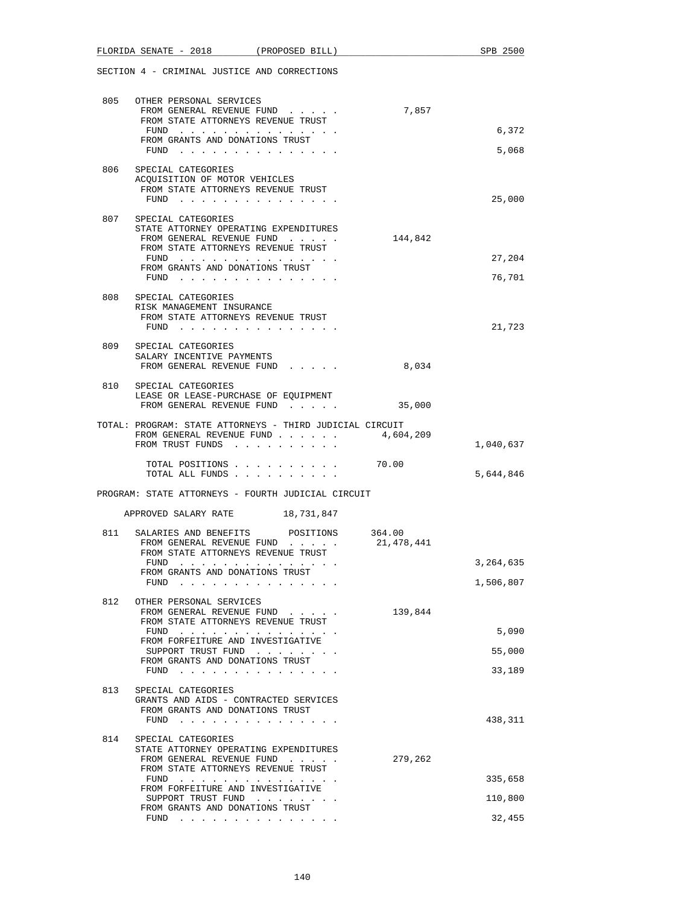|     | FLORIDA SENATE - 2018<br>(PROPOSED BILL)                                                                                              |                      | SPB 2500  |
|-----|---------------------------------------------------------------------------------------------------------------------------------------|----------------------|-----------|
|     | SECTION 4 - CRIMINAL JUSTICE AND CORRECTIONS                                                                                          |                      |           |
|     | 805 OTHER PERSONAL SERVICES<br>FROM GENERAL REVENUE FUND<br>FROM STATE ATTORNEYS REVENUE TRUST                                        | 7,857                |           |
|     | FUND<br>FROM GRANTS AND DONATIONS TRUST                                                                                               |                      | 6,372     |
|     | FUND $\cdots$                                                                                                                         |                      | 5,068     |
| 806 | SPECIAL CATEGORIES<br>ACQUISITION OF MOTOR VEHICLES<br>FROM STATE ATTORNEYS REVENUE TRUST<br>FUND $\cdots$                            |                      | 25,000    |
| 807 | SPECIAL CATEGORIES<br>STATE ATTORNEY OPERATING EXPENDITURES<br>FROM GENERAL REVENUE FUND<br>FROM STATE ATTORNEYS REVENUE TRUST        | 144,842              |           |
|     | FUND                                                                                                                                  |                      | 27,204    |
|     | FROM GRANTS AND DONATIONS TRUST<br>FUND $\cdots$                                                                                      |                      | 76,701    |
|     | 808 SPECIAL CATEGORIES<br>RISK MANAGEMENT INSURANCE<br>FROM STATE ATTORNEYS REVENUE TRUST                                             |                      |           |
|     | FUND $\cdots$                                                                                                                         |                      | 21,723    |
|     | 809 SPECIAL CATEGORIES<br>SALARY INCENTIVE PAYMENTS<br>FROM GENERAL REVENUE FUND                                                      | 8,034                |           |
|     | 810 SPECIAL CATEGORIES<br>LEASE OR LEASE-PURCHASE OF EQUIPMENT<br>FROM GENERAL REVENUE FUND                                           | 35,000               |           |
|     | TOTAL: PROGRAM: STATE ATTORNEYS - THIRD JUDICIAL CIRCUIT<br>FROM GENERAL REVENUE FUND $\ldots$ 4,604,209<br>FROM TRUST FUNDS          |                      | 1,040,637 |
|     | TOTAL POSITIONS 70.00                                                                                                                 |                      |           |
|     | TOTAL ALL FUNDS                                                                                                                       |                      | 5,644,846 |
|     | PROGRAM: STATE ATTORNEYS - FOURTH JUDICIAL CIRCUIT                                                                                    |                      |           |
|     | APPROVED SALARY RATE 18,731,847                                                                                                       |                      |           |
| 811 | SALARIES AND BENEFITS<br>POSITIONS<br>FROM GENERAL REVENUE FUND<br>FROM STATE ATTORNEYS REVENUE TRUST                                 | 364.00<br>21,478,441 |           |
|     | $\mathcal{A}$ , and a set of the set of the set of the set of the set of the $\mathcal{A}$<br>FUND<br>FROM GRANTS AND DONATIONS TRUST |                      | 3,264,635 |
|     | FUND                                                                                                                                  |                      | 1,506,807 |
| 812 | OTHER PERSONAL SERVICES<br>FROM GENERAL REVENUE FUND<br>FROM STATE ATTORNEYS REVENUE TRUST                                            | 139,844              |           |
|     | FUND $\cdots$<br>FROM FORFEITURE AND INVESTIGATIVE                                                                                    |                      | 5,090     |
|     | SUPPORT TRUST FUND<br>FROM GRANTS AND DONATIONS TRUST                                                                                 |                      | 55,000    |
|     | FUND $\cdots$                                                                                                                         |                      | 33,189    |
| 813 | SPECIAL CATEGORIES<br>GRANTS AND AIDS - CONTRACTED SERVICES<br>FROM GRANTS AND DONATIONS TRUST<br>FUND $\cdots$                       |                      | 438,311   |
| 814 | SPECIAL CATEGORIES                                                                                                                    |                      |           |
|     | STATE ATTORNEY OPERATING EXPENDITURES<br>FROM GENERAL REVENUE FUND<br>FROM STATE ATTORNEYS REVENUE TRUST                              | 279,262              |           |
|     | FUND<br><u>na kara kara kara kara kara kara</u>                                                                                       |                      | 335,658   |
|     | FROM FORFEITURE AND INVESTIGATIVE<br>SUPPORT TRUST FUND                                                                               |                      | 110,800   |
|     | FROM GRANTS AND DONATIONS TRUST<br>FUND $\cdots$                                                                                      |                      | 32,455    |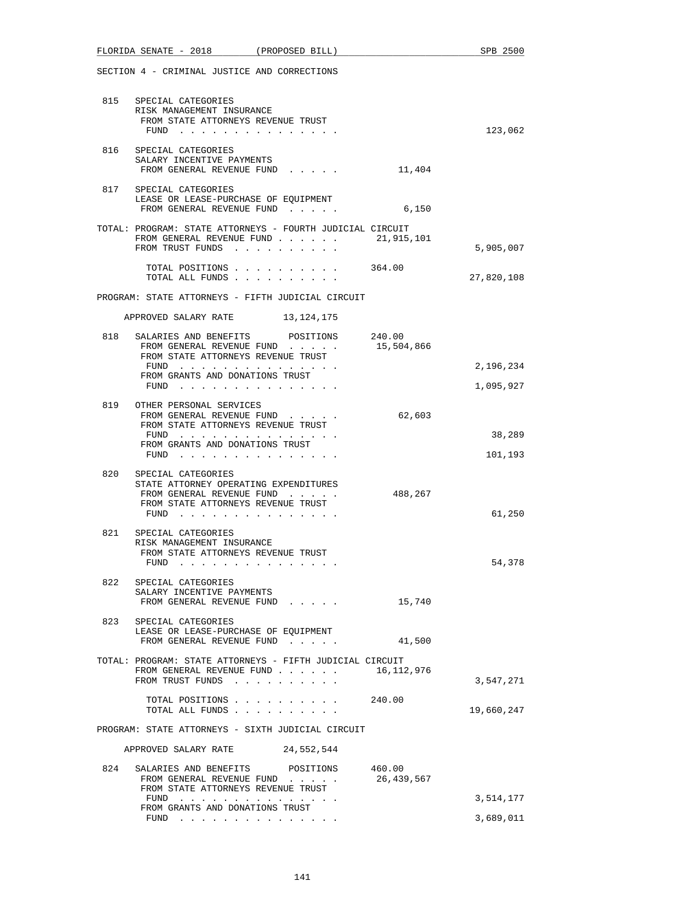|     | FLORIDA SENATE - 2018 (PROPOSED BILL)                                                                                                           |            | SPB 2500          |
|-----|-------------------------------------------------------------------------------------------------------------------------------------------------|------------|-------------------|
|     | SECTION 4 - CRIMINAL JUSTICE AND CORRECTIONS                                                                                                    |            |                   |
| 815 | SPECIAL CATEGORIES<br>RISK MANAGEMENT INSURANCE<br>FROM STATE ATTORNEYS REVENUE TRUST<br>FUND $\cdots$                                          |            | 123,062           |
|     | 816 SPECIAL CATEGORIES<br>SALARY INCENTIVE PAYMENTS<br>FROM GENERAL REVENUE FUND                                                                | 11,404     |                   |
| 817 | SPECIAL CATEGORIES<br>LEASE OR LEASE-PURCHASE OF EQUIPMENT<br>FROM GENERAL REVENUE FUND                                                         | 6,150      |                   |
|     | TOTAL: PROGRAM: STATE ATTORNEYS - FOURTH JUDICIAL CIRCUIT<br>FROM GENERAL REVENUE FUND $\ldots$ 21,915,101<br>FROM TRUST FUNDS                  |            | 5,905,007         |
|     | TOTAL POSITIONS 364.00<br>TOTAL ALL FUNDS                                                                                                       |            | 27,820,108        |
|     | PROGRAM: STATE ATTORNEYS - FIFTH JUDICIAL CIRCUIT                                                                                               |            |                   |
|     | APPROVED SALARY RATE 13, 124, 175                                                                                                               |            |                   |
|     | 818 SALARIES AND BENEFITS POSITIONS 240.00<br>FROM GENERAL REVENUE FUND<br>FROM STATE ATTORNEYS REVENUE TRUST                                   | 15,504,866 |                   |
|     | FUND                                                                                                                                            |            | 2,196,234         |
|     | FROM GRANTS AND DONATIONS TRUST<br>FUND $\cdots$                                                                                                |            | 1,095,927         |
|     | 819 OTHER PERSONAL SERVICES<br>FROM GENERAL REVENUE FUND<br>FROM STATE ATTORNEYS REVENUE TRUST                                                  | 62,603     |                   |
|     | FUND<br>FROM GRANTS AND DONATIONS TRUST<br>FUND                                                                                                 |            | 38,289<br>101,193 |
| 820 | SPECIAL CATEGORIES<br>STATE ATTORNEY OPERATING EXPENDITURES<br>FROM GENERAL REVENUE FUND<br>FROM STATE ATTORNEYS REVENUE TRUST<br>FUND $\cdots$ | 488,267    | 61,250            |
| 821 | SPECIAL CATEGORIES<br>RISK MANAGEMENT INSURANCE<br>FROM STATE ATTORNEYS REVENUE TRUST<br>FUND                                                   |            | 54,378            |
|     | 822 SPECIAL CATEGORIES<br>SALARY INCENTIVE PAYMENTS<br>FROM GENERAL REVENUE FUND                                                                | 15,740     |                   |
| 823 | SPECIAL CATEGORIES<br>LEASE OR LEASE-PURCHASE OF EQUIPMENT<br>FROM GENERAL REVENUE FUND                                                         | 41,500     |                   |
|     | TOTAL: PROGRAM: STATE ATTORNEYS - FIFTH JUDICIAL CIRCUIT<br>FROM GENERAL REVENUE FUND $\ldots$ 16, 112, 976<br>FROM TRUST FUNDS                 |            | 3,547,271         |
|     | TOTAL POSITIONS 240.00<br>TOTAL ALL FUNDS                                                                                                       |            | 19,660,247        |
|     | PROGRAM: STATE ATTORNEYS - SIXTH JUDICIAL CIRCUIT                                                                                               |            |                   |
|     | APPROVED SALARY RATE 24,552,544                                                                                                                 |            |                   |
|     | 824 SALARIES AND BENEFITS POSITIONS 460.00<br>FROM GENERAL REVENUE FUND<br>FROM STATE ATTORNEYS REVENUE TRUST                                   | 26,439,567 |                   |
|     | FUND<br>FROM GRANTS AND DONATIONS TRUST                                                                                                         |            | 3,514,177         |
|     | FUND $\cdots$ $\cdots$ $\cdots$ $\cdots$ $\cdots$ $\cdots$ $\cdots$                                                                             |            | 3,689,011         |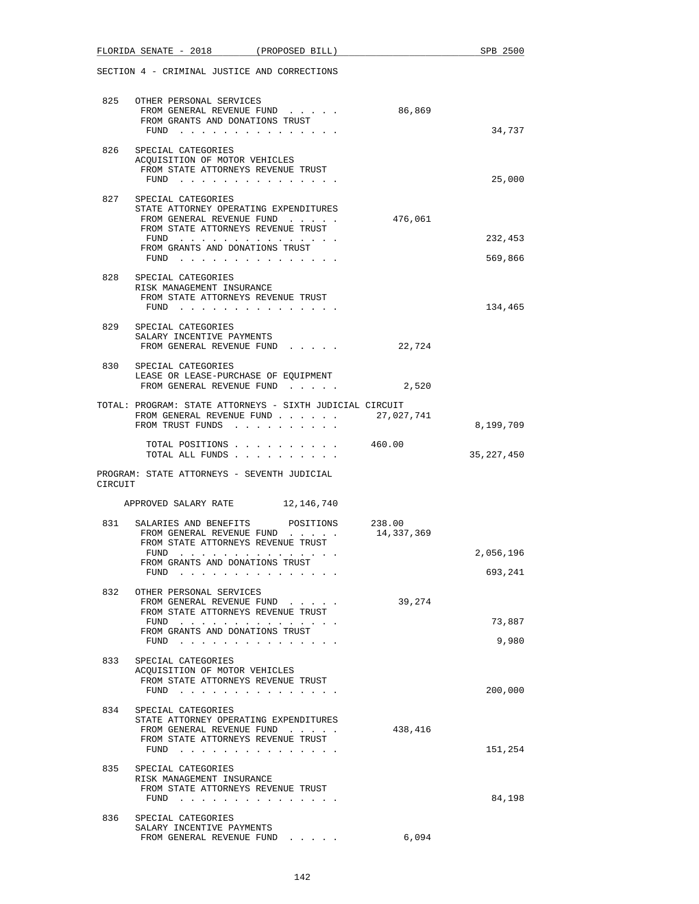|         | FLORIDA SENATE - 2018 (PROPOSED BILL)                                                                                                                                                          |            | SPB 2500           |
|---------|------------------------------------------------------------------------------------------------------------------------------------------------------------------------------------------------|------------|--------------------|
|         | SECTION 4 - CRIMINAL JUSTICE AND CORRECTIONS                                                                                                                                                   |            |                    |
|         | 825 OTHER PERSONAL SERVICES<br>FROM GENERAL REVENUE FUND<br>FROM GRANTS AND DONATIONS TRUST                                                                                                    | 86,869     | 34,737             |
| 826     | $FUND$<br>SPECIAL CATEGORIES<br>ACQUISITION OF MOTOR VEHICLES<br>FROM STATE ATTORNEYS REVENUE TRUST<br>$FUND$                                                                                  |            | 25,000             |
|         | 827 SPECIAL CATEGORIES<br>STATE ATTORNEY OPERATING EXPENDITURES<br>FROM GENERAL REVENUE FUND<br>FROM STATE ATTORNEYS REVENUE TRUST<br>FUND<br>FROM GRANTS AND DONATIONS TRUST<br>FUND $\cdots$ | 476,061    | 232,453<br>569,866 |
| 828     | SPECIAL CATEGORIES<br>RISK MANAGEMENT INSURANCE<br>FROM STATE ATTORNEYS REVENUE TRUST<br>FUND $\cdots$                                                                                         |            | 134,465            |
| 829     | SPECIAL CATEGORIES<br>SALARY INCENTIVE PAYMENTS<br>FROM GENERAL REVENUE FUND                                                                                                                   | 22,724     |                    |
| 830     | SPECIAL CATEGORIES<br>LEASE OR LEASE-PURCHASE OF EQUIPMENT<br>FROM GENERAL REVENUE FUND                                                                                                        | 2,520      |                    |
|         | TOTAL: PROGRAM: STATE ATTORNEYS - SIXTH JUDICIAL CIRCUIT<br>FROM GENERAL REVENUE FUND<br>FROM TRUST FUNDS                                                                                      | 27,027,741 | 8,199,709          |
|         | TOTAL POSITIONS<br>TOTAL ALL FUNDS                                                                                                                                                             | 460.00     | 35, 227, 450       |
| CIRCUIT | PROGRAM: STATE ATTORNEYS - SEVENTH JUDICIAL                                                                                                                                                    |            |                    |
|         | APPROVED SALARY RATE 12,146,740                                                                                                                                                                |            |                    |
| 831     | SALARIES AND BENEFITS POSITIONS 238.00<br>FROM GENERAL REVENUE FUND<br>FROM STATE ATTORNEYS REVENUE TRUST<br>FUND<br>. The contract of the contract of the contract of the $\alpha$            | 14,337,369 | 2,056,196          |
|         | FROM GRANTS AND DONATIONS TRUST<br>FUND                                                                                                                                                        |            | 693,241            |
| 832     | OTHER PERSONAL SERVICES<br>FROM GENERAL REVENUE FUND<br>FROM STATE ATTORNEYS REVENUE TRUST<br>FUND $\cdots$<br>FROM GRANTS AND DONATIONS TRUST<br>FUND $\ldots$                                | 39,274     | 73,887<br>9,980    |
| 833     | SPECIAL CATEGORIES<br>ACQUISITION OF MOTOR VEHICLES<br>FROM STATE ATTORNEYS REVENUE TRUST<br>FUND $\cdots$                                                                                     |            | 200,000            |
| 834     | SPECIAL CATEGORIES<br>STATE ATTORNEY OPERATING EXPENDITURES<br>FROM GENERAL REVENUE FUND<br>FROM STATE ATTORNEYS REVENUE TRUST<br>FUND                                                         | 438,416    | 151,254            |
| 835     | SPECIAL CATEGORIES<br>RISK MANAGEMENT INSURANCE<br>FROM STATE ATTORNEYS REVENUE TRUST<br>FUND $\cdots$                                                                                         |            | 84,198             |
| 836     | SPECIAL CATEGORIES<br>SALARY INCENTIVE PAYMENTS<br>FROM GENERAL REVENUE FUND                                                                                                                   | 6,094      |                    |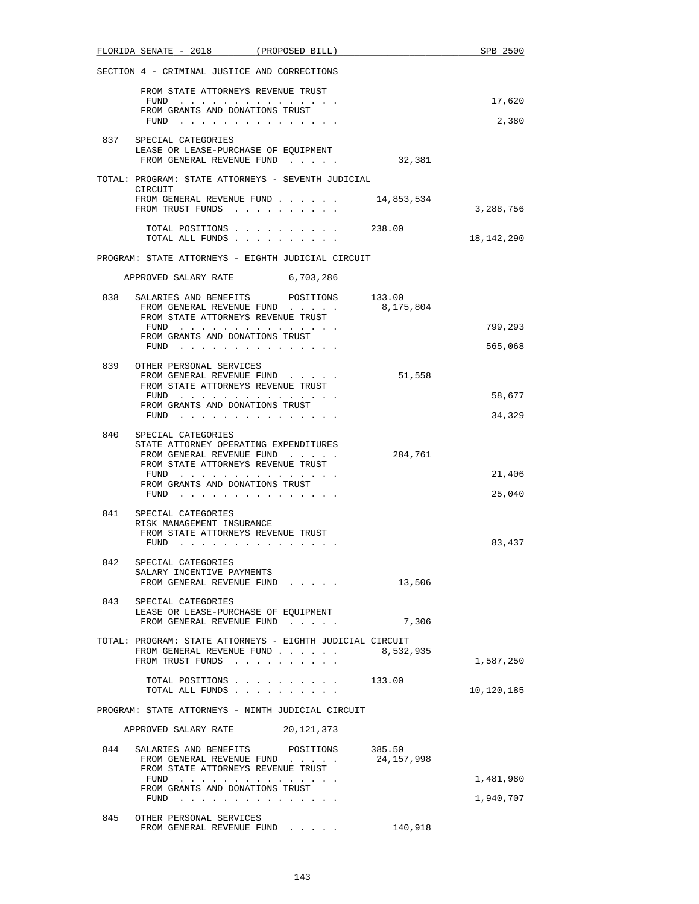|     | FLORIDA SENATE - 2018 (PROPOSED BILL)                                                                  |                        |            | SPB 2500     |
|-----|--------------------------------------------------------------------------------------------------------|------------------------|------------|--------------|
|     | SECTION 4 - CRIMINAL JUSTICE AND CORRECTIONS                                                           |                        |            |              |
|     | FROM STATE ATTORNEYS REVENUE TRUST                                                                     |                        |            |              |
|     | FUND $\cdots$<br>FROM GRANTS AND DONATIONS TRUST                                                       |                        |            | 17,620       |
|     |                                                                                                        |                        |            | 2,380        |
|     | 837 SPECIAL CATEGORIES<br>LEASE OR LEASE-PURCHASE OF EQUIPMENT                                         |                        |            |              |
|     | FROM GENERAL REVENUE FUND                                                                              |                        | 32,381     |              |
|     | TOTAL: PROGRAM: STATE ATTORNEYS - SEVENTH JUDICIAL<br>CIRCUIT                                          |                        |            |              |
|     | FROM GENERAL REVENUE FUND $\ldots$ 14,853,534<br>FROM TRUST FUNDS                                      |                        |            | 3,288,756    |
|     |                                                                                                        | TOTAL POSITIONS 238.00 |            |              |
|     | TOTAL ALL FUNDS                                                                                        |                        |            | 18, 142, 290 |
|     | PROGRAM: STATE ATTORNEYS - EIGHTH JUDICIAL CIRCUIT                                                     |                        |            |              |
|     | APPROVED SALARY RATE                                                                                   | 6,703,286              |            |              |
|     | 838 SALARIES AND BENEFITS POSITIONS 133.00                                                             |                        |            |              |
|     | FROM GENERAL REVENUE FUND<br>FROM STATE ATTORNEYS REVENUE TRUST                                        |                        | 8,175,804  |              |
|     | FUND<br>FROM GRANTS AND DONATIONS TRUST                                                                |                        |            | 799,293      |
|     | FUND $\cdots$ $\cdots$ $\cdots$ $\cdots$ $\cdots$ $\cdots$ $\cdots$                                    |                        |            | 565,068      |
| 839 | OTHER PERSONAL SERVICES                                                                                |                        |            |              |
|     | FROM GENERAL REVENUE FUND<br>FROM STATE ATTORNEYS REVENUE TRUST                                        |                        | 51,558     |              |
|     | FUND                                                                                                   |                        |            | 58,677       |
|     | FROM GRANTS AND DONATIONS TRUST<br>FUND $\cdots$ $\cdots$ $\cdots$ $\cdots$ $\cdots$ $\cdots$ $\cdots$ |                        |            | 34,329       |
| 840 | SPECIAL CATEGORIES                                                                                     |                        |            |              |
|     | STATE ATTORNEY OPERATING EXPENDITURES                                                                  |                        |            |              |
|     | FROM GENERAL REVENUE FUND<br>FROM STATE ATTORNEYS REVENUE TRUST                                        |                        | 284,761    |              |
|     | FUND<br>FROM GRANTS AND DONATIONS TRUST                                                                |                        |            | 21,406       |
|     | FUND $\cdots$                                                                                          |                        |            | 25,040       |
| 841 | SPECIAL CATEGORIES                                                                                     |                        |            |              |
|     | RISK MANAGEMENT INSURANCE<br>FROM STATE ATTORNEYS REVENUE TRUST                                        |                        |            |              |
|     | FUND $\cdots$                                                                                          |                        |            | 83,437       |
| 842 | SPECIAL CATEGORIES                                                                                     |                        |            |              |
|     | SALARY INCENTIVE PAYMENTS<br>FROM GENERAL REVENUE FUND                                                 |                        | 13,506     |              |
|     |                                                                                                        |                        |            |              |
| 843 | SPECIAL CATEGORIES<br>LEASE OR LEASE-PURCHASE OF EQUIPMENT                                             |                        |            |              |
|     | FROM GENERAL REVENUE FUND                                                                              |                        | 7,306      |              |
|     | TOTAL: PROGRAM: STATE ATTORNEYS - EIGHTH JUDICIAL CIRCUIT                                              |                        |            |              |
|     | FROM GENERAL REVENUE FUND<br>FROM TRUST FUNDS                                                          |                        | 8,532,935  | 1,587,250    |
|     |                                                                                                        |                        |            |              |
|     | TOTAL ALL FUNDS                                                                                        | TOTAL POSITIONS 133.00 |            | 10,120,185   |
|     | PROGRAM: STATE ATTORNEYS - NINTH JUDICIAL CIRCUIT                                                      |                        |            |              |
|     | APPROVED SALARY RATE 20,121,373                                                                        |                        |            |              |
| 844 | SALARIES AND BENEFITS POSITIONS                                                                        |                        | 385.50     |              |
|     | FROM GENERAL REVENUE FUND<br>FROM STATE ATTORNEYS REVENUE TRUST                                        |                        | 24,157,998 |              |
|     | FUND                                                                                                   |                        |            | 1,481,980    |
|     | FROM GRANTS AND DONATIONS TRUST<br>FUND $\cdots$ $\cdots$ $\cdots$ $\cdots$ $\cdots$ $\cdots$          |                        |            | 1,940,707    |
| 845 | OTHER PERSONAL SERVICES                                                                                |                        |            |              |
|     | FROM GENERAL REVENUE FUND                                                                              |                        | 140,918    |              |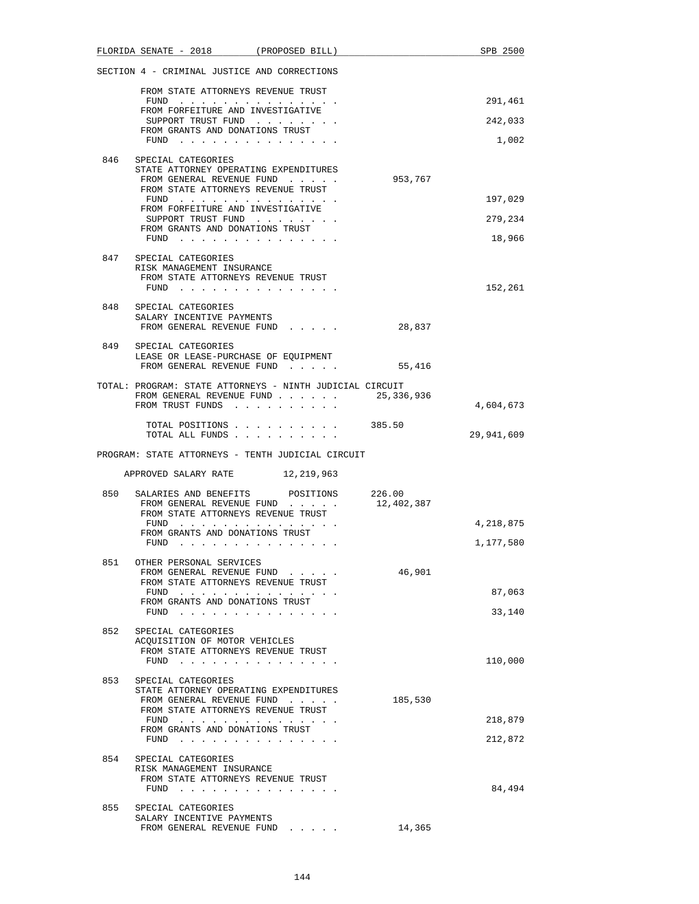|     | FLORIDA SENATE - 2018 (PROPOSED BILL)                               |                                                                     |            | SPB 2500   |
|-----|---------------------------------------------------------------------|---------------------------------------------------------------------|------------|------------|
|     | SECTION 4 - CRIMINAL JUSTICE AND CORRECTIONS                        |                                                                     |            |            |
|     | FROM STATE ATTORNEYS REVENUE TRUST                                  |                                                                     |            |            |
|     | FROM FORFEITURE AND INVESTIGATIVE                                   | $FUND$                                                              |            | 291,461    |
|     |                                                                     | SUPPORT TRUST FUND                                                  |            | 242,033    |
|     | FROM GRANTS AND DONATIONS TRUST                                     | FUND $\cdots$                                                       |            | 1,002      |
| 846 | SPECIAL CATEGORIES                                                  |                                                                     |            |            |
|     | STATE ATTORNEY OPERATING EXPENDITURES<br>FROM GENERAL REVENUE FUND  |                                                                     | 953,767    |            |
|     | FROM STATE ATTORNEYS REVENUE TRUST                                  |                                                                     |            |            |
|     | FUND<br>FROM FORFEITURE AND INVESTIGATIVE                           |                                                                     |            | 197,029    |
|     | FROM GRANTS AND DONATIONS TRUST                                     | SUPPORT TRUST FUND                                                  |            | 279,234    |
|     |                                                                     | FUND $\cdots$                                                       |            | 18,966     |
| 847 | SPECIAL CATEGORIES                                                  |                                                                     |            |            |
|     | RISK MANAGEMENT INSURANCE<br>FROM STATE ATTORNEYS REVENUE TRUST     |                                                                     |            |            |
|     |                                                                     | FUND $\cdots$                                                       |            | 152,261    |
|     | 848 SPECIAL CATEGORIES<br>SALARY INCENTIVE PAYMENTS                 |                                                                     |            |            |
|     |                                                                     | FROM GENERAL REVENUE FUND                                           | 28,837     |            |
| 849 | SPECIAL CATEGORIES                                                  |                                                                     |            |            |
|     | LEASE OR LEASE-PURCHASE OF EQUIPMENT<br>FROM GENERAL REVENUE FUND   |                                                                     | 55,416     |            |
|     |                                                                     |                                                                     |            |            |
|     | FROM GENERAL REVENUE FUND                                           | TOTAL: PROGRAM: STATE ATTORNEYS - NINTH JUDICIAL CIRCUIT            | 25,336,936 |            |
|     | FROM TRUST FUNDS                                                    |                                                                     |            | 4,604,673  |
|     |                                                                     | TOTAL POSITIONS 385.50<br>TOTAL ALL FUNDS                           |            | 29,941,609 |
|     |                                                                     |                                                                     |            |            |
|     |                                                                     | PROGRAM: STATE ATTORNEYS - TENTH JUDICIAL CIRCUIT                   |            |            |
|     | APPROVED SALARY RATE 12, 219, 963                                   |                                                                     |            |            |
| 850 |                                                                     | SALARIES AND BENEFITS POSITIONS 226.00<br>FROM GENERAL REVENUE FUND | 12,402,387 |            |
|     | FROM STATE ATTORNEYS REVENUE TRUST                                  |                                                                     |            |            |
|     | FROM GRANTS AND DONATIONS TRUST                                     | FUND $\cdots$                                                       |            | 4,218,875  |
|     |                                                                     | FUND $\cdots$                                                       |            | 1,177,580  |
| 851 | OTHER PERSONAL SERVICES<br>FROM GENERAL REVENUE FUND                |                                                                     | 46,901     |            |
|     | FROM STATE ATTORNEYS REVENUE TRUST                                  |                                                                     |            |            |
|     | $FUND$<br>FROM GRANTS AND DONATIONS TRUST                           |                                                                     |            | 87,063     |
|     |                                                                     | FUND $\cdots$                                                       |            | 33,140     |
| 852 | SPECIAL CATEGORIES                                                  |                                                                     |            |            |
|     | ACQUISITION OF MOTOR VEHICLES<br>FROM STATE ATTORNEYS REVENUE TRUST |                                                                     |            |            |
|     |                                                                     | FUND                                                                |            | 110,000    |
| 853 | SPECIAL CATEGORIES<br>STATE ATTORNEY OPERATING EXPENDITURES         |                                                                     |            |            |
|     | FROM GENERAL REVENUE FUND                                           |                                                                     | 185,530    |            |
|     | FROM STATE ATTORNEYS REVENUE TRUST                                  | $FUND$                                                              |            | 218,879    |
|     | FROM GRANTS AND DONATIONS TRUST<br>$FUND$                           |                                                                     |            | 212,872    |
|     |                                                                     |                                                                     |            |            |
| 854 | SPECIAL CATEGORIES<br>RISK MANAGEMENT INSURANCE                     |                                                                     |            |            |
|     | FROM STATE ATTORNEYS REVENUE TRUST<br>$FUND$                        |                                                                     |            | 84,494     |
| 855 | SPECIAL CATEGORIES                                                  |                                                                     |            |            |
|     | SALARY INCENTIVE PAYMENTS                                           |                                                                     |            |            |
|     | FROM GENERAL REVENUE FUND                                           |                                                                     | 14,365     |            |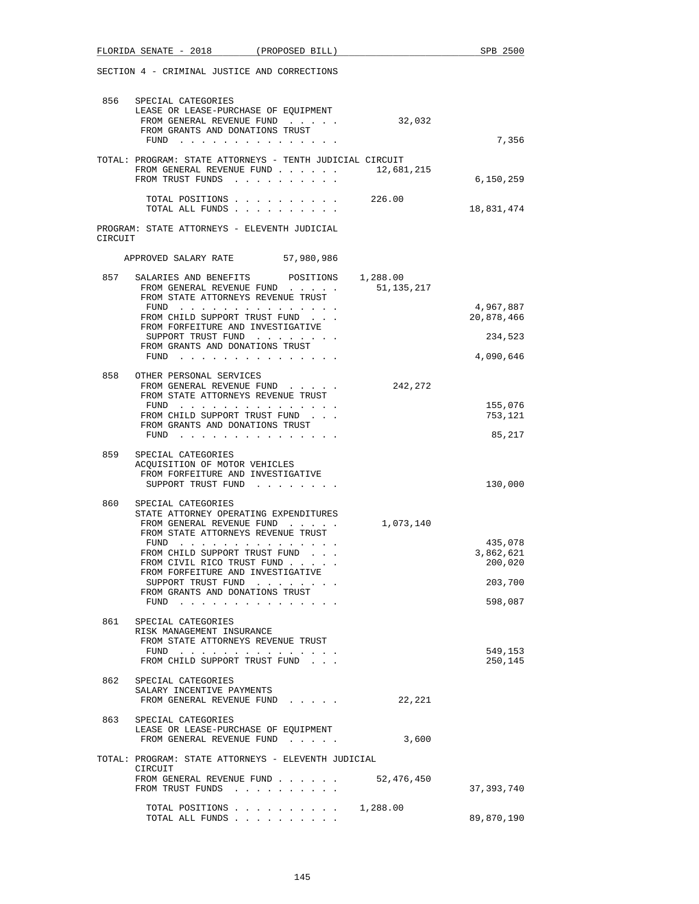|         | SECTION 4 - CRIMINAL JUSTICE AND CORRECTIONS                                                                                                    |            |                         |
|---------|-------------------------------------------------------------------------------------------------------------------------------------------------|------------|-------------------------|
|         | 856 SPECIAL CATEGORIES<br>LEASE OR LEASE-PURCHASE OF EQUIPMENT<br>FROM GENERAL REVENUE FUND<br>FROM GRANTS AND DONATIONS TRUST<br>FUND $\cdots$ | 32,032     | 7,356                   |
|         | TOTAL: PROGRAM: STATE ATTORNEYS - TENTH JUDICIAL CIRCUIT                                                                                        |            |                         |
|         | FROM GENERAL REVENUE FUND $\ldots$ 12,681,215<br>FROM TRUST FUNDS                                                                               |            | 6,150,259               |
|         | TOTAL POSITIONS 226.00<br>TOTAL ALL FUNDS                                                                                                       |            | 18,831,474              |
| CIRCUIT | PROGRAM: STATE ATTORNEYS - ELEVENTH JUDICIAL                                                                                                    |            |                         |
|         | 57,980,986<br>APPROVED SALARY RATE                                                                                                              |            |                         |
| 857     | SALARIES AND BENEFITS POSITIONS 1,288.00<br>FROM GENERAL REVENUE FUND<br>FROM STATE ATTORNEYS REVENUE TRUST                                     | 51,135,217 |                         |
|         | FUND<br>FROM CHILD SUPPORT TRUST FUND                                                                                                           |            | 4,967,887<br>20,878,466 |
|         | FROM FORFEITURE AND INVESTIGATIVE<br>SUPPORT TRUST FUND                                                                                         |            | 234,523                 |
|         | FROM GRANTS AND DONATIONS TRUST<br>FUND                                                                                                         |            | 4,090,646               |
|         | 858 OTHER PERSONAL SERVICES<br>FROM GENERAL REVENUE FUND                                                                                        | 242,272    |                         |
|         | FROM STATE ATTORNEYS REVENUE TRUST<br>FUND $\cdots$                                                                                             |            | 155,076                 |
|         | FROM CHILD SUPPORT TRUST FUND<br>FROM GRANTS AND DONATIONS TRUST<br>FUND $\cdots$                                                               |            | 753,121<br>85,217       |
| 859     | SPECIAL CATEGORIES                                                                                                                              |            |                         |
|         | ACQUISITION OF MOTOR VEHICLES<br>FROM FORFEITURE AND INVESTIGATIVE<br>SUPPORT TRUST FUND                                                        |            | 130,000                 |
| 860     | SPECIAL CATEGORIES                                                                                                                              |            |                         |
|         | STATE ATTORNEY OPERATING EXPENDITURES<br>FROM GENERAL REVENUE FUND<br>FROM STATE ATTORNEYS REVENUE TRUST                                        | 1,073,140  | 435,078                 |
|         | FUND<br>FROM CHILD SUPPORT TRUST FUND                                                                                                           |            | 3,862,621               |
|         | FROM CIVIL RICO TRUST FUND<br>FROM FORFEITURE AND INVESTIGATIVE                                                                                 |            | 200,020                 |
|         | SUPPORT TRUST FUND<br>FROM GRANTS AND DONATIONS TRUST                                                                                           |            | 203,700                 |
|         | $FUND$                                                                                                                                          |            | 598,087                 |
|         | 861 SPECIAL CATEGORIES<br>RISK MANAGEMENT INSURANCE<br>FROM STATE ATTORNEYS REVENUE TRUST                                                       |            |                         |
|         | FUND $\cdots$<br>FROM CHILD SUPPORT TRUST FUND                                                                                                  |            | 549,153<br>250,145      |
| 862     | SPECIAL CATEGORIES<br>SALARY INCENTIVE PAYMENTS<br>FROM GENERAL REVENUE FUND                                                                    | 22,221     |                         |
| 863     | SPECIAL CATEGORIES                                                                                                                              |            |                         |
|         | LEASE OR LEASE-PURCHASE OF EQUIPMENT<br>FROM GENERAL REVENUE FUND                                                                               | 3,600      |                         |
|         | TOTAL: PROGRAM: STATE ATTORNEYS - ELEVENTH JUDICIAL                                                                                             |            |                         |
|         | CIRCUIT<br>FROM GENERAL REVENUE FUND 52,476,450<br>FROM TRUST FUNDS                                                                             |            | 37, 393, 740            |
|         | TOTAL POSITIONS $\ldots$ , 1,288.00<br>TOTAL ALL FUNDS                                                                                          |            | 89,870,190              |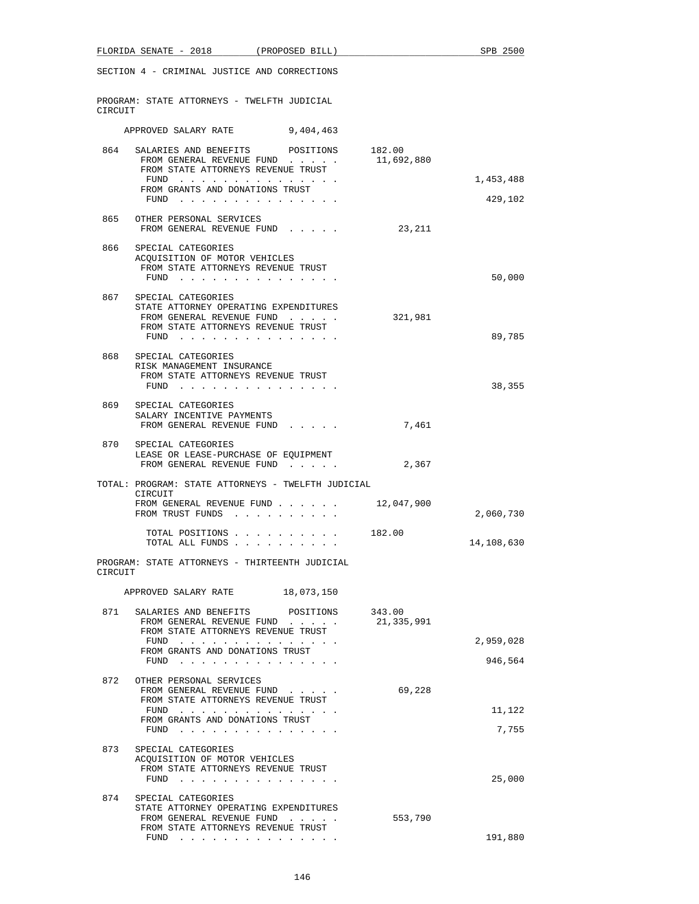|         | FLORIDA SENATE - 2018 (PROPOSED BILL)                                                                                                  |            |                      | SPB 2500   |
|---------|----------------------------------------------------------------------------------------------------------------------------------------|------------|----------------------|------------|
|         | SECTION 4 - CRIMINAL JUSTICE AND CORRECTIONS                                                                                           |            |                      |            |
| CIRCUIT | PROGRAM: STATE ATTORNEYS - TWELFTH JUDICIAL                                                                                            |            |                      |            |
|         | APPROVED SALARY RATE 9,404,463                                                                                                         |            |                      |            |
| 864     | SALARIES AND BENEFITS POSITIONS 182.00<br>FROM GENERAL REVENUE FUND<br>FROM STATE ATTORNEYS REVENUE TRUST                              |            | 11,692,880           |            |
|         | FUND<br>FROM GRANTS AND DONATIONS TRUST                                                                                                |            |                      | 1,453,488  |
|         | $FUND$                                                                                                                                 |            |                      | 429,102    |
| 865     | OTHER PERSONAL SERVICES<br>FROM GENERAL REVENUE FUND                                                                                   |            | 23,211               |            |
| 866     | SPECIAL CATEGORIES<br>ACOUISITION OF MOTOR VEHICLES<br>FROM STATE ATTORNEYS REVENUE TRUST<br>$FUND$                                    |            |                      | 50,000     |
| 867     | SPECIAL CATEGORIES<br>STATE ATTORNEY OPERATING EXPENDITURES<br>FROM GENERAL REVENUE FUND<br>FROM STATE ATTORNEYS REVENUE TRUST<br>FUND |            | 321,981              | 89,785     |
|         | 868 SPECIAL CATEGORIES<br>RISK MANAGEMENT INSURANCE<br>FROM STATE ATTORNEYS REVENUE TRUST<br>$FUND$                                    |            |                      | 38,355     |
|         | 869 SPECIAL CATEGORIES<br>SALARY INCENTIVE PAYMENTS<br>FROM GENERAL REVENUE FUND                                                       |            | 7,461                |            |
| 870     | SPECIAL CATEGORIES<br>LEASE OR LEASE-PURCHASE OF EQUIPMENT<br>FROM GENERAL REVENUE FUND                                                |            | 2,367                |            |
|         | TOTAL: PROGRAM: STATE ATTORNEYS - TWELFTH JUDICIAL                                                                                     |            |                      |            |
|         | CIRCUIT<br>FROM GENERAL REVENUE FUND 12,047,900<br>FROM TRUST FUNDS                                                                    |            |                      | 2,060,730  |
|         | TOTAL POSITIONS<br>TOTAL ALL FUNDS                                                                                                     |            | 182.00               | 14,108,630 |
| CIRCUIT | PROGRAM: STATE ATTORNEYS - THIRTEENTH JUDICIAL                                                                                         |            |                      |            |
|         | APPROVED SALARY RATE                                                                                                                   | 18,073,150 |                      |            |
| 871     | SALARIES AND BENEFITS<br>FROM GENERAL REVENUE FUND<br>FROM STATE ATTORNEYS REVENUE TRUST                                               | POSITIONS  | 343.00<br>21,335,991 |            |
|         | FUND $\cdots$<br>FROM GRANTS AND DONATIONS TRUST                                                                                       |            |                      | 2,959,028  |
|         |                                                                                                                                        |            |                      | 946,564    |
| 872     | OTHER PERSONAL SERVICES<br>FROM GENERAL REVENUE FUND<br>FROM STATE ATTORNEYS REVENUE TRUST                                             |            | 69,228               |            |
|         | FUND<br>FROM GRANTS AND DONATIONS TRUST                                                                                                |            |                      | 11,122     |
|         | FUND $\cdots$                                                                                                                          |            |                      | 7,755      |
| 873     | SPECIAL CATEGORIES<br>ACQUISITION OF MOTOR VEHICLES<br>FROM STATE ATTORNEYS REVENUE TRUST                                              |            |                      | 25,000     |
| 874     | SPECIAL CATEGORIES<br>STATE ATTORNEY OPERATING EXPENDITURES<br>FROM GENERAL REVENUE FUND<br>FROM STATE ATTORNEYS REVENUE TRUST         |            | 553,790              |            |
|         | FUND $\cdots$                                                                                                                          |            |                      | 191,880    |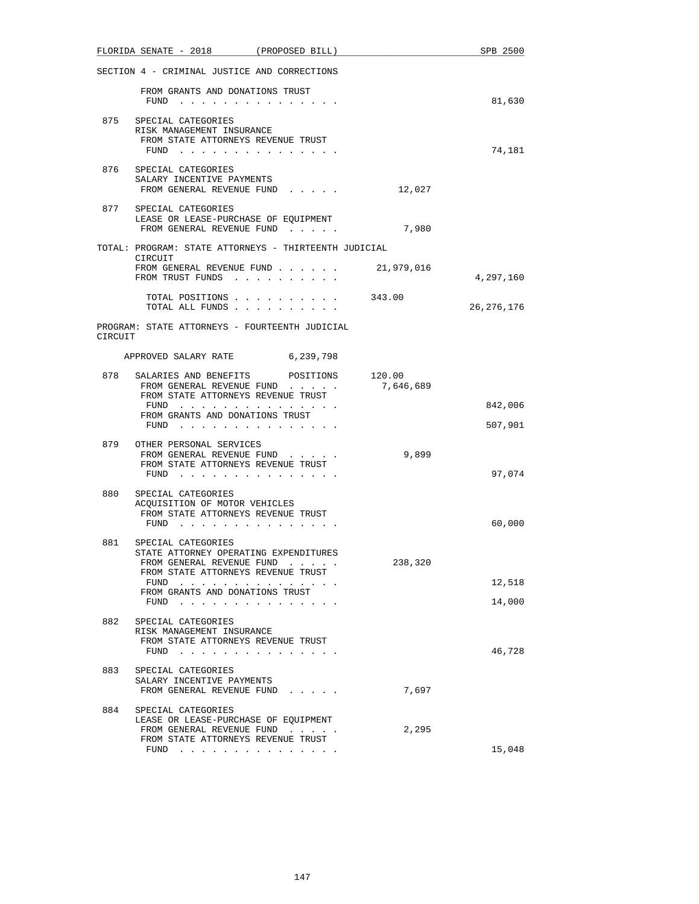|         | FLORIDA SENATE - 2018 (PROPOSED BILL)                                                                                                                                                                             |           |           | SPB 2500         |
|---------|-------------------------------------------------------------------------------------------------------------------------------------------------------------------------------------------------------------------|-----------|-----------|------------------|
|         | SECTION 4 - CRIMINAL JUSTICE AND CORRECTIONS                                                                                                                                                                      |           |           |                  |
|         | FROM GRANTS AND DONATIONS TRUST<br>FUND $\cdots$                                                                                                                                                                  |           |           | 81,630           |
| 875     | SPECIAL CATEGORIES<br>RISK MANAGEMENT INSURANCE<br>FROM STATE ATTORNEYS REVENUE TRUST<br>FUND $\cdots$                                                                                                            |           |           | 74,181           |
|         | 876 SPECIAL CATEGORIES                                                                                                                                                                                            |           |           |                  |
|         | SALARY INCENTIVE PAYMENTS<br>FROM GENERAL REVENUE FUND                                                                                                                                                            |           | 12,027    |                  |
|         | 877 SPECIAL CATEGORIES<br>LEASE OR LEASE-PURCHASE OF EQUIPMENT<br>FROM GENERAL REVENUE FUND                                                                                                                       |           | 7,980     |                  |
|         | TOTAL: PROGRAM: STATE ATTORNEYS - THIRTEENTH JUDICIAL<br>CIRCUIT                                                                                                                                                  |           |           |                  |
|         | FROM GENERAL REVENUE FUND 21,979,016<br>FROM TRUST FUNDS                                                                                                                                                          |           |           | 4,297,160        |
|         | TOTAL POSITIONS<br>TOTAL ALL FUNDS                                                                                                                                                                                |           | 343.00    | 26, 276, 176     |
| CIRCUIT | PROGRAM: STATE ATTORNEYS - FOURTEENTH JUDICIAL                                                                                                                                                                    |           |           |                  |
|         | APPROVED SALARY RATE                                                                                                                                                                                              | 6,239,798 |           |                  |
| 878     | SALARIES AND BENEFITS POSITIONS 120.00<br>FROM GENERAL REVENUE FUND<br>FROM STATE ATTORNEYS REVENUE TRUST                                                                                                         |           | 7,646,689 |                  |
|         | FUND<br>FROM GRANTS AND DONATIONS TRUST                                                                                                                                                                           |           |           | 842,006          |
|         | FUND $\cdots$                                                                                                                                                                                                     |           |           | 507,901          |
| 879     | OTHER PERSONAL SERVICES<br>FROM GENERAL REVENUE FUND<br>FROM STATE ATTORNEYS REVENUE TRUST<br>FUND $\cdots$                                                                                                       |           | 9,899     | 97,074           |
| 880     | SPECIAL CATEGORIES<br>ACQUISITION OF MOTOR VEHICLES<br>FROM STATE ATTORNEYS REVENUE TRUST<br>$FUND$                                                                                                               |           |           | 60,000           |
| 881     | SPECIAL CATEGORIES<br>STATE ATTORNEY OPERATING EXPENDITURES<br>FROM GENERAL REVENUE FUND<br>FROM STATE ATTORNEYS REVENUE TRUST<br>$FUND$ , , , , , , , , , , , , , ,<br>FROM GRANTS AND DONATIONS TRUST<br>$FUND$ |           | 238,320   | 12,518<br>14,000 |
| 882     | SPECIAL CATEGORIES<br>RISK MANAGEMENT INSURANCE<br>FROM STATE ATTORNEYS REVENUE TRUST<br>$FUND$                                                                                                                   |           |           | 46,728           |
| 883     | SPECIAL CATEGORIES<br>SALARY INCENTIVE PAYMENTS<br>FROM GENERAL REVENUE FUND                                                                                                                                      |           | 7,697     |                  |
| 884     | SPECIAL CATEGORIES<br>LEASE OR LEASE-PURCHASE OF EQUIPMENT<br>FROM GENERAL REVENUE FUND<br>FROM STATE ATTORNEYS REVENUE TRUST<br>FUND $\cdots$                                                                    |           | 2,295     | 15,048           |
|         |                                                                                                                                                                                                                   |           |           |                  |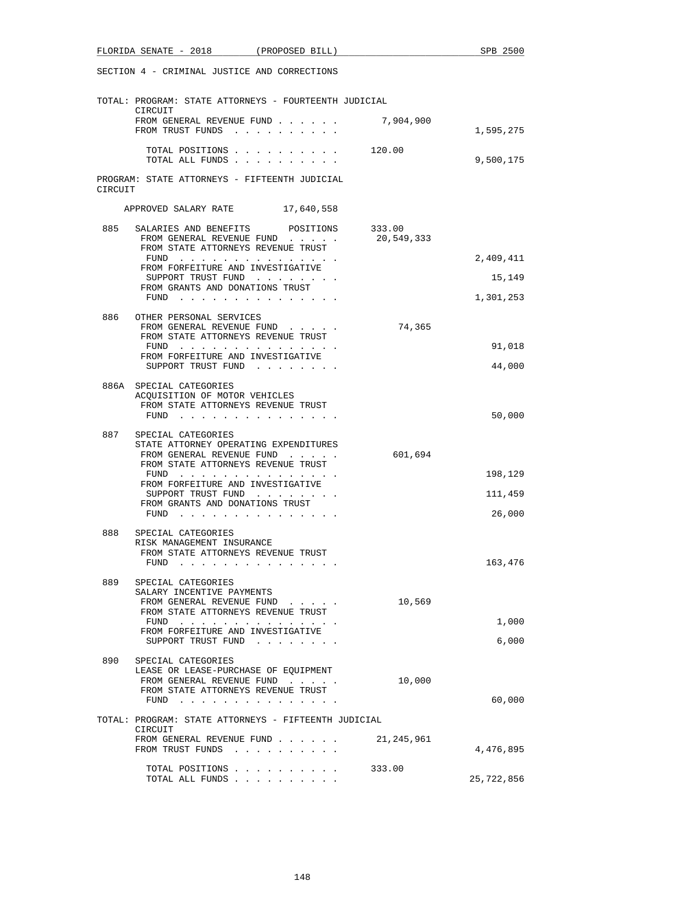|         | SECTION 4 - CRIMINAL JUSTICE AND CORRECTIONS                                                                                                                                                                                                             |            |            |
|---------|----------------------------------------------------------------------------------------------------------------------------------------------------------------------------------------------------------------------------------------------------------|------------|------------|
|         | TOTAL: PROGRAM: STATE ATTORNEYS - FOURTEENTH JUDICIAL<br>CIRCUIT                                                                                                                                                                                         |            |            |
|         | FROM GENERAL REVENUE FUND<br>FROM TRUST FUNDS                                                                                                                                                                                                            | 7,904,900  | 1,595,275  |
|         | TOTAL POSITIONS 120.00<br>TOTAL ALL FUNDS                                                                                                                                                                                                                |            | 9,500,175  |
| CIRCUIT | PROGRAM: STATE ATTORNEYS - FIFTEENTH JUDICIAL                                                                                                                                                                                                            |            |            |
|         | APPROVED SALARY RATE 17,640,558                                                                                                                                                                                                                          |            |            |
|         | 885 SALARIES AND BENEFITS POSITIONS 333.00<br>FROM GENERAL REVENUE FUND<br>FROM STATE ATTORNEYS REVENUE TRUST                                                                                                                                            | 20,549,333 |            |
|         | ${\tt FUND} \quad . \quad . \quad . \quad . \quad . \quad . \quad . \quad . \quad . \quad . \quad . \quad . \quad .$                                                                                                                                     |            | 2,409,411  |
|         | FROM FORFEITURE AND INVESTIGATIVE<br>SUPPORT TRUST FUND                                                                                                                                                                                                  |            | 15,149     |
|         | FROM GRANTS AND DONATIONS TRUST<br>FUND                                                                                                                                                                                                                  |            | 1,301,253  |
|         | 886 OTHER PERSONAL SERVICES<br>FROM GENERAL REVENUE FUND<br>FROM STATE ATTORNEYS REVENUE TRUST                                                                                                                                                           | 74,365     |            |
|         | FUND<br>FROM FORFEITURE AND INVESTIGATIVE                                                                                                                                                                                                                |            | 91,018     |
|         | SUPPORT TRUST FUND                                                                                                                                                                                                                                       |            | 44,000     |
|         | 886A SPECIAL CATEGORIES<br>ACQUISITION OF MOTOR VEHICLES<br>FROM STATE ATTORNEYS REVENUE TRUST                                                                                                                                                           |            |            |
|         | $FUND$                                                                                                                                                                                                                                                   |            | 50,000     |
| 887     | SPECIAL CATEGORIES<br>STATE ATTORNEY OPERATING EXPENDITURES<br>FROM GENERAL REVENUE FUND                                                                                                                                                                 | 601,694    |            |
|         | FROM STATE ATTORNEYS REVENUE TRUST<br>FUND $\cdots$                                                                                                                                                                                                      |            | 198,129    |
|         | FROM FORFEITURE AND INVESTIGATIVE<br>SUPPORT TRUST FUND                                                                                                                                                                                                  |            | 111,459    |
|         | FROM GRANTS AND DONATIONS TRUST<br>FUND                                                                                                                                                                                                                  |            | 26,000     |
| 888     | SPECIAL CATEGORIES                                                                                                                                                                                                                                       |            |            |
|         | RISK MANAGEMENT INSURANCE<br>FROM STATE ATTORNEYS REVENUE TRUST                                                                                                                                                                                          |            |            |
|         | FUND                                                                                                                                                                                                                                                     |            | 163,476    |
| 889     | SPECIAL CATEGORIES                                                                                                                                                                                                                                       |            |            |
|         | SALARY INCENTIVE PAYMENTS<br>FROM GENERAL REVENUE FUND                                                                                                                                                                                                   | 10,569     |            |
|         | FROM STATE ATTORNEYS REVENUE TRUST<br>FUND $\cdots$                                                                                                                                                                                                      |            | 1,000      |
|         | FROM FORFEITURE AND INVESTIGATIVE<br>SUPPORT TRUST FUND<br>$\cdot$ $\cdot$ $\cdot$                                                                                                                                                                       |            | 6,000      |
| 890     | SPECIAL CATEGORIES                                                                                                                                                                                                                                       |            |            |
|         | LEASE OR LEASE-PURCHASE OF EQUIPMENT<br>FROM GENERAL REVENUE FUND                                                                                                                                                                                        | 10,000     |            |
|         | FROM STATE ATTORNEYS REVENUE TRUST<br>FUND<br>the contract of the contract of the contract of                                                                                                                                                            |            | 60,000     |
|         | TOTAL: PROGRAM: STATE ATTORNEYS - FIFTEENTH JUDICIAL                                                                                                                                                                                                     |            |            |
|         | CIRCUIT<br>FROM GENERAL REVENUE FUND                                                                                                                                                                                                                     | 21,245,961 |            |
|         | FROM TRUST FUNDS<br><u>in the series of the series of the series of the series of the series of the series of the series of the series of the series of the series of the series of the series of the series of the series of the series of the seri</u> |            | 4,476,895  |
|         | TOTAL POSITIONS<br>TOTAL ALL FUNDS                                                                                                                                                                                                                       | 333.00     | 25,722,856 |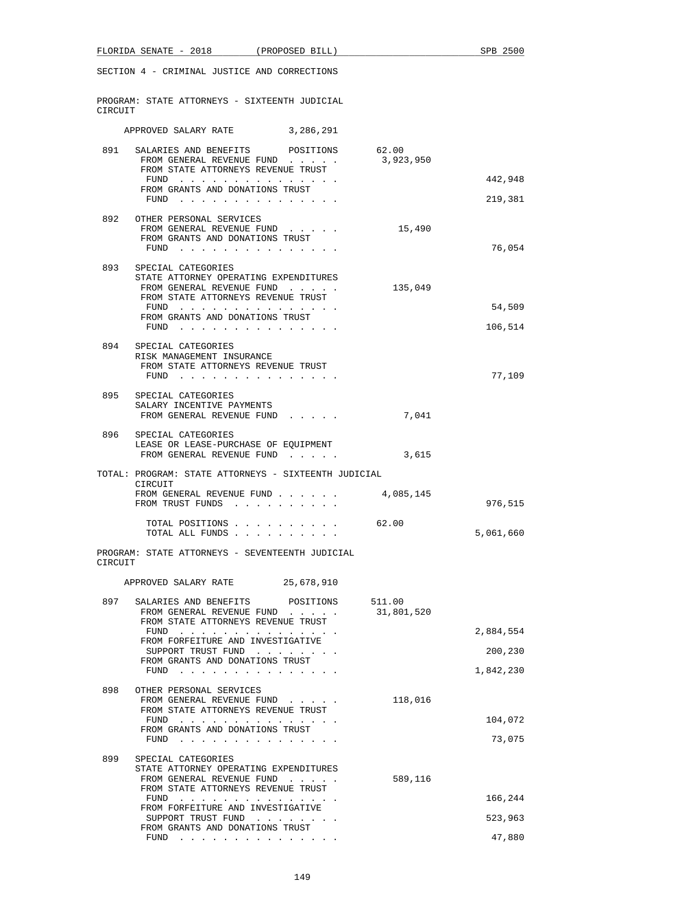|         | FLORIDA SENATE - 2018 (PROPOSED BILL)                                                           |            | SPB 2500  |
|---------|-------------------------------------------------------------------------------------------------|------------|-----------|
|         | SECTION 4 - CRIMINAL JUSTICE AND CORRECTIONS                                                    |            |           |
| CIRCUIT | PROGRAM: STATE ATTORNEYS - SIXTEENTH JUDICIAL                                                   |            |           |
|         | APPROVED SALARY RATE 3, 286, 291                                                                |            |           |
|         | 891 SALARIES AND BENEFITS POSITIONS                                                             | 62.00      |           |
|         | FROM GENERAL REVENUE FUND<br>FROM STATE ATTORNEYS REVENUE TRUST                                 | 3,923,950  |           |
|         | FUND<br>FROM GRANTS AND DONATIONS TRUST                                                         |            | 442,948   |
|         | FUND $\cdots$                                                                                   |            | 219,381   |
| 892     | OTHER PERSONAL SERVICES<br>FROM GENERAL REVENUE FUND<br>FROM GRANTS AND DONATIONS TRUST<br>FUND | 15,490     | 76,054    |
| 893     | SPECIAL CATEGORIES                                                                              |            |           |
|         | STATE ATTORNEY OPERATING EXPENDITURES<br>FROM GENERAL REVENUE FUND                              | 135,049    |           |
|         | FROM STATE ATTORNEYS REVENUE TRUST<br>FUND                                                      |            | 54,509    |
|         | FROM GRANTS AND DONATIONS TRUST<br>FUND                                                         |            | 106,514   |
| 894     | SPECIAL CATEGORIES                                                                              |            |           |
|         | RISK MANAGEMENT INSURANCE<br>FROM STATE ATTORNEYS REVENUE TRUST                                 |            |           |
|         | FUND $\cdots$                                                                                   |            | 77,109    |
| 895     | SPECIAL CATEGORIES                                                                              |            |           |
|         | SALARY INCENTIVE PAYMENTS<br>FROM GENERAL REVENUE FUND                                          | 7,041      |           |
| 896     | SPECIAL CATEGORIES                                                                              |            |           |
|         | LEASE OR LEASE-PURCHASE OF EQUIPMENT<br>FROM GENERAL REVENUE FUND                               | 3,615      |           |
|         | TOTAL: PROGRAM: STATE ATTORNEYS - SIXTEENTH JUDICIAL                                            |            |           |
|         | CIRCUIT<br>FROM GENERAL REVENUE FUND 4,085,145<br>FROM TRUST FUNDS                              |            | 976,515   |
|         | TOTAL POSITIONS<br>TOTAL ALL FUNDS                                                              | 62.00      | 5,061,660 |
| CIRCUIT | PROGRAM: STATE ATTORNEYS - SEVENTEENTH JUDICIAL                                                 |            |           |
|         | APPROVED SALARY RATE 25,678,910                                                                 |            |           |
| 897     | SALARIES AND BENEFITS POSITIONS                                                                 | 511.00     |           |
|         | FROM GENERAL REVENUE FUND<br>FROM STATE ATTORNEYS REVENUE TRUST                                 | 31,801,520 |           |
|         | FUND<br>FROM FORFEITURE AND INVESTIGATIVE                                                       |            | 2,884,554 |
|         | SUPPORT TRUST FUND<br>FROM GRANTS AND DONATIONS TRUST                                           |            | 200,230   |
|         | FUND $\cdots$                                                                                   |            | 1,842,230 |
| 898     | OTHER PERSONAL SERVICES<br>FROM GENERAL REVENUE FUND<br>FROM STATE ATTORNEYS REVENUE TRUST      | 118,016    |           |
|         | FUND<br>FROM GRANTS AND DONATIONS TRUST                                                         |            | 104,072   |
|         | FUND $\cdots$                                                                                   |            | 73,075    |
| 899     | SPECIAL CATEGORIES<br>STATE ATTORNEY OPERATING EXPENDITURES<br>FROM GENERAL REVENUE FUND        | 589,116    |           |
|         | FROM STATE ATTORNEYS REVENUE TRUST<br>FUND $\cdots$                                             |            | 166,244   |
|         | FROM FORFEITURE AND INVESTIGATIVE<br>SUPPORT TRUST FUND                                         |            | 523,963   |
|         | FROM GRANTS AND DONATIONS TRUST<br>FUND $\cdots$                                                |            | 47,880    |
|         |                                                                                                 |            |           |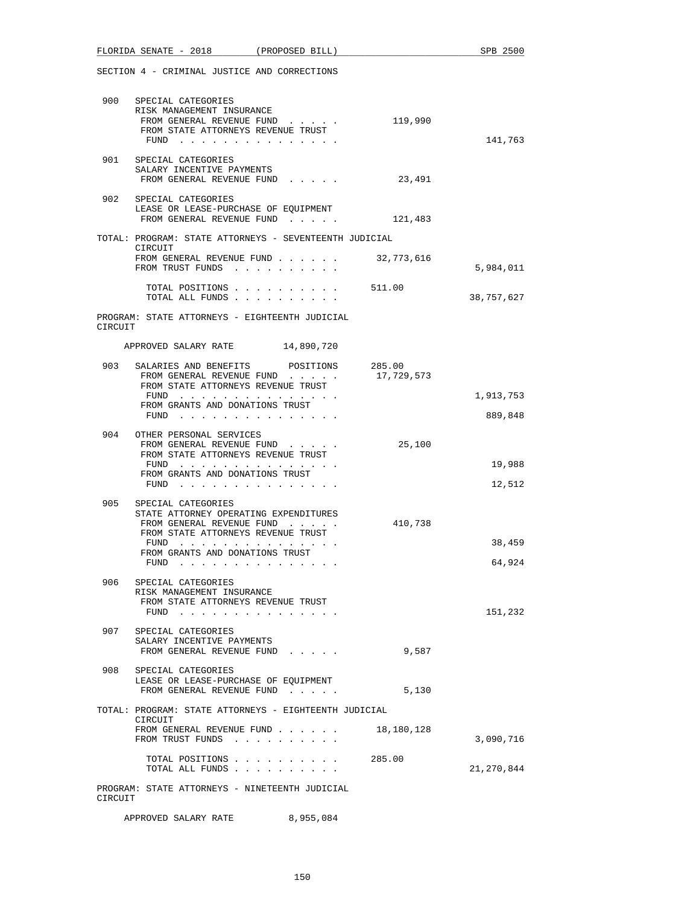|         | FLORIDA SENATE - 2018 (PROPOSED BILL)                                                                                                                                                      |                      | SPB 2500             |
|---------|--------------------------------------------------------------------------------------------------------------------------------------------------------------------------------------------|----------------------|----------------------|
|         | SECTION 4 - CRIMINAL JUSTICE AND CORRECTIONS                                                                                                                                               |                      |                      |
|         | 900 SPECIAL CATEGORIES<br>RISK MANAGEMENT INSURANCE<br>FROM GENERAL REVENUE FUND<br>FROM STATE ATTORNEYS REVENUE TRUST<br>FUND $\cdots$                                                    | 119,990              | 141,763              |
| 901     | SPECIAL CATEGORIES<br>SALARY INCENTIVE PAYMENTS<br>FROM GENERAL REVENUE FUND                                                                                                               | 23,491               |                      |
|         | 902 SPECIAL CATEGORIES<br>LEASE OR LEASE-PURCHASE OF EQUIPMENT<br>FROM GENERAL REVENUE FUND                                                                                                | 121,483              |                      |
|         | TOTAL: PROGRAM: STATE ATTORNEYS - SEVENTEENTH JUDICIAL                                                                                                                                     |                      |                      |
|         | CIRCUIT<br>FROM GENERAL REVENUE FUND $\ldots$ 32,773,616<br>FROM TRUST FUNDS                                                                                                               |                      | 5,984,011            |
|         | TOTAL POSITIONS                                                                                                                                                                            | 511.00               | 38,757,627           |
| CIRCUIT | PROGRAM: STATE ATTORNEYS - EIGHTEENTH JUDICIAL                                                                                                                                             |                      |                      |
|         | APPROVED SALARY RATE 14,890,720                                                                                                                                                            |                      |                      |
| 903     | SALARIES AND BENEFITS<br>POSITIONS<br>FROM GENERAL REVENUE FUND<br>FROM STATE ATTORNEYS REVENUE TRUST                                                                                      | 285.00<br>17,729,573 |                      |
|         | FUND<br>FROM GRANTS AND DONATIONS TRUST<br>FUND $\cdots$                                                                                                                                   |                      | 1,913,753<br>889,848 |
| 904     | OTHER PERSONAL SERVICES<br>FROM GENERAL REVENUE FUND<br>FROM STATE ATTORNEYS REVENUE TRUST                                                                                                 | 25,100               |                      |
|         | FUND<br>FROM GRANTS AND DONATIONS TRUST<br>FUND $\cdots$                                                                                                                                   |                      | 19,988<br>12,512     |
| 905     | SPECIAL CATEGORIES<br>STATE ATTORNEY OPERATING EXPENDITURES<br>FROM GENERAL REVENUE FUND<br>FROM STATE ATTORNEYS REVENUE TRUST<br>FUND $\cdots$<br>FROM GRANTS AND DONATIONS TRUST<br>FUND | 410,738              | 38,459<br>64,924     |
| 906     | SPECIAL CATEGORIES<br>RISK MANAGEMENT INSURANCE<br>FROM STATE ATTORNEYS REVENUE TRUST<br>FUND $\cdots$                                                                                     |                      | 151,232              |
| 907     | SPECIAL CATEGORIES<br>SALARY INCENTIVE PAYMENTS<br>FROM GENERAL REVENUE FUND                                                                                                               | 9,587                |                      |
|         | 908 SPECIAL CATEGORIES<br>LEASE OR LEASE-PURCHASE OF EOUIPMENT<br>FROM GENERAL REVENUE FUND                                                                                                | 5,130                |                      |
|         | TOTAL: PROGRAM: STATE ATTORNEYS - EIGHTEENTH JUDICIAL<br>CIRCUIT                                                                                                                           |                      |                      |
|         | FROM GENERAL REVENUE FUND<br>FROM TRUST FUNDS                                                                                                                                              | 18,180,128           | 3,090,716            |
|         | TOTAL POSITIONS<br>TOTAL ALL FUNDS                                                                                                                                                         | 285.00               | 21,270,844           |
| CIRCUIT | PROGRAM: STATE ATTORNEYS - NINETEENTH JUDICIAL                                                                                                                                             |                      |                      |
|         | APPROVED SALARY RATE<br>8,955,084                                                                                                                                                          |                      |                      |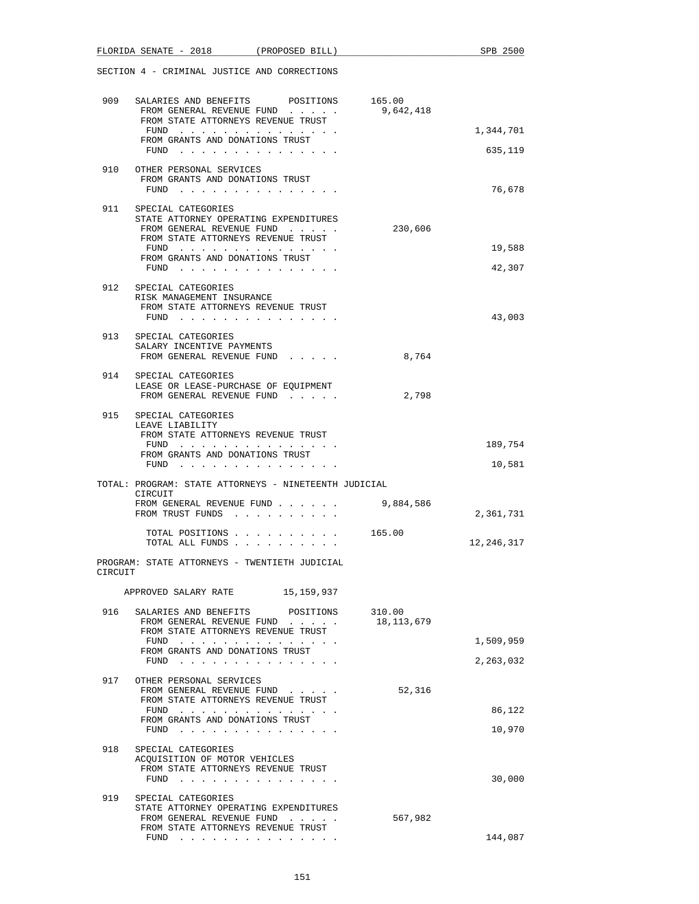|         | FLORIDA SENATE - 2018 (PROPOSED BILL)                                                                                                                      |           |                      | SPB 2500             |
|---------|------------------------------------------------------------------------------------------------------------------------------------------------------------|-----------|----------------------|----------------------|
|         | SECTION 4 - CRIMINAL JUSTICE AND CORRECTIONS                                                                                                               |           |                      |                      |
| 909     | SALARIES AND BENEFITS POSITIONS 165.00<br>FROM GENERAL REVENUE FUND<br>FROM STATE ATTORNEYS REVENUE TRUST                                                  |           | 9,642,418            |                      |
|         | FUND<br>FROM GRANTS AND DONATIONS TRUST<br>FUND $\cdots$                                                                                                   |           |                      | 1,344,701<br>635,119 |
| 910     | OTHER PERSONAL SERVICES<br>FROM GRANTS AND DONATIONS TRUST                                                                                                 |           |                      |                      |
|         | FUND                                                                                                                                                       |           |                      | 76,678               |
| 911     | SPECIAL CATEGORIES<br>STATE ATTORNEY OPERATING EXPENDITURES<br>FROM GENERAL REVENUE FUND<br>FROM STATE ATTORNEYS REVENUE TRUST                             |           | 230,606              |                      |
|         | FUND<br>FROM GRANTS AND DONATIONS TRUST<br>FUND $\cdots$                                                                                                   |           |                      | 19,588<br>42,307     |
| 912     | SPECIAL CATEGORIES<br>RISK MANAGEMENT INSURANCE<br>FROM STATE ATTORNEYS REVENUE TRUST<br>FUND                                                              |           |                      | 43,003               |
|         | 913 SPECIAL CATEGORIES<br>SALARY INCENTIVE PAYMENTS<br>FROM GENERAL REVENUE FUND                                                                           |           | 8,764                |                      |
|         | 914 SPECIAL CATEGORIES<br>LEASE OR LEASE-PURCHASE OF EQUIPMENT<br>FROM GENERAL REVENUE FUND                                                                |           | 2,798                |                      |
| 915     | SPECIAL CATEGORIES<br>LEAVE LIABILITY<br>FROM STATE ATTORNEYS REVENUE TRUST                                                                                |           |                      |                      |
|         | FROM GRANTS AND DONATIONS TRUST<br>FUND                                                                                                                    |           |                      | 189,754<br>10,581    |
|         | TOTAL: PROGRAM: STATE ATTORNEYS - NINETEENTH JUDICIAL                                                                                                      |           |                      |                      |
|         | CIRCUIT<br>FROM GENERAL REVENUE FUND<br>FROM TRUST FUNDS                                                                                                   |           | 9,884,586            | 2,361,731            |
|         | TOTAL POSITIONS<br>TOTAL ALL FUNDS                                                                                                                         |           | 165.00               | 12,246,317           |
| CIRCUIT | PROGRAM: STATE ATTORNEYS - TWENTIETH JUDICIAL                                                                                                              |           |                      |                      |
|         | APPROVED SALARY RATE 15,159,937                                                                                                                            |           |                      |                      |
| 916     | SALARIES AND BENEFITS<br>FROM GENERAL REVENUE FUND<br>FROM STATE ATTORNEYS REVENUE TRUST                                                                   | POSITIONS | 310.00<br>18,113,679 |                      |
|         | FUND<br>FROM GRANTS AND DONATIONS TRUST                                                                                                                    |           |                      | 1,509,959            |
|         | FUND $\cdots$                                                                                                                                              |           |                      | 2,263,032            |
| 917     | OTHER PERSONAL SERVICES<br>FROM GENERAL REVENUE FUND<br>FROM STATE ATTORNEYS REVENUE TRUST                                                                 |           | 52,316               |                      |
|         | FUND<br>FROM GRANTS AND DONATIONS TRUST<br>FUND $\cdots$                                                                                                   |           |                      | 86,122<br>10,970     |
| 918     | SPECIAL CATEGORIES<br>ACQUISITION OF MOTOR VEHICLES<br>FROM STATE ATTORNEYS REVENUE TRUST<br>FUND                                                          |           |                      | 30,000               |
| 919     | SPECIAL CATEGORIES<br>STATE ATTORNEY OPERATING EXPENDITURES<br>FROM GENERAL REVENUE FUND                                                                   |           | 567,982              |                      |
|         | FROM STATE ATTORNEYS REVENUE TRUST<br>${\tt FUND} \quad . \quad . \quad . \quad . \quad . \quad . \quad . \quad . \quad . \quad . \quad . \quad . \quad .$ |           |                      | 144,087              |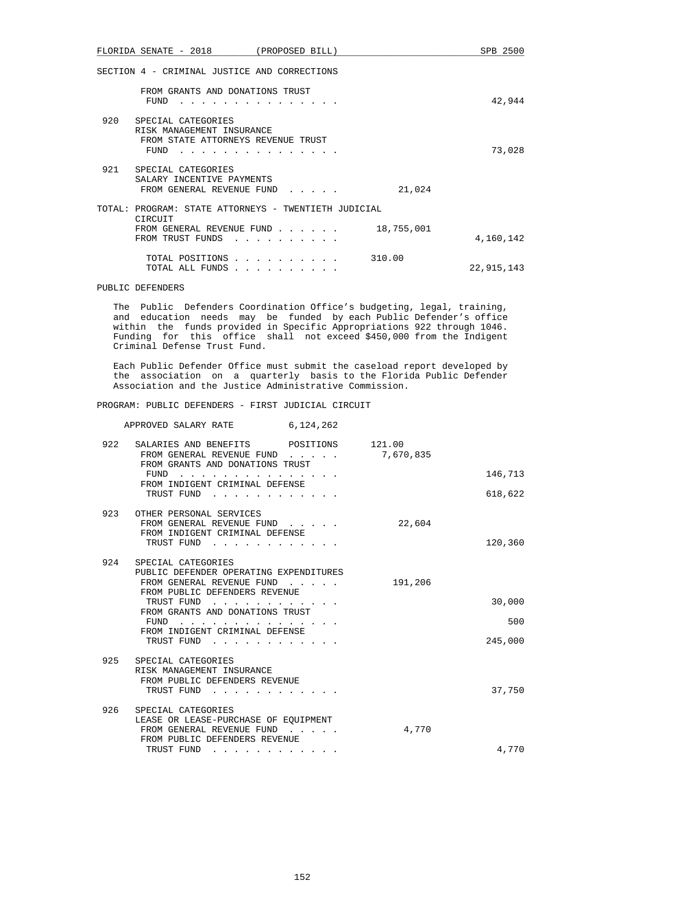|     | FLORIDA SENATE - 2018                                                                         | (PROPOSED BILL)                                                                                                                               |            | SPB 2500   |
|-----|-----------------------------------------------------------------------------------------------|-----------------------------------------------------------------------------------------------------------------------------------------------|------------|------------|
|     | SECTION 4 - CRIMINAL JUSTICE AND CORRECTIONS                                                  |                                                                                                                                               |            |            |
|     | FROM GRANTS AND DONATIONS TRUST<br>FUND                                                       |                                                                                                                                               |            | 42,944     |
| 920 | SPECIAL CATEGORIES<br>RISK MANAGEMENT INSURANCE<br>FROM STATE ATTORNEYS REVENUE TRUST<br>FUND |                                                                                                                                               |            | 73,028     |
| 921 | SPECIAL CATEGORIES<br>SALARY INCENTIVE PAYMENTS<br>FROM GENERAL REVENUE FUND                  |                                                                                                                                               | 21,024     |            |
|     | TOTAL: PROGRAM: STATE ATTORNEYS - TWENTIETH JUDICIAL<br>CIRCUIT                               |                                                                                                                                               |            |            |
|     | FROM GENERAL REVENUE FUND<br>FROM TRUST FUNDS                                                 | the contract of the contract of the                                                                                                           | 18,755,001 | 4,160,142  |
|     | TOTAL POSITIONS<br>TOTAL ALL FUNDS                                                            | $\begin{array}{cccccccccccccc} \bullet & \bullet & \bullet & \bullet & \bullet & \bullet & \bullet & \bullet & \bullet & \bullet \end{array}$ | 310.00     | 22,915,143 |

## PUBLIC DEFENDERS

 The Public Defenders Coordination Office's budgeting, legal, training, and education needs may be funded by each Public Defender's office within the funds provided in Specific Appropriations 922 through 1046. Funding for this office shall not exceed \$450,000 from the Indigent Criminal Defense Trust Fund.

 Each Public Defender Office must submit the caseload report developed by the association on a quarterly basis to the Florida Public Defender Association and the Justice Administrative Commission.

## PROGRAM: PUBLIC DEFENDERS - FIRST JUDICIAL CIRCUIT

|         |                     | 6,124,262                                                                                                                                                                                                                      | APPROVED SALARY RATE                                                                                     |     |
|---------|---------------------|--------------------------------------------------------------------------------------------------------------------------------------------------------------------------------------------------------------------------------|----------------------------------------------------------------------------------------------------------|-----|
|         | 121.00<br>7,670,835 |                                                                                                                                                                                                                                | SALARIES AND BENEFITS POSITIONS<br>FROM GENERAL REVENUE FUND<br>FROM GRANTS AND DONATIONS TRUST          | 922 |
| 146,713 |                     |                                                                                                                                                                                                                                | FUND<br>FROM INDIGENT CRIMINAL DEFENSE                                                                   |     |
| 618,622 |                     | the contract of the contract of the contract of the contract of the contract of the contract of the contract of                                                                                                                | TRUST FUND                                                                                               |     |
| 120,360 | 22,604              | the contract of the contract of the contract of the contract of the contract of the contract of the contract of the contract of the contract of the contract of the contract of the contract of the contract of the contract o | 923 OTHER PERSONAL SERVICES<br>FROM GENERAL REVENUE FUND<br>FROM INDIGENT CRIMINAL DEFENSE<br>TRUST FUND |     |
|         |                     |                                                                                                                                                                                                                                | SPECIAL CATEGORIES                                                                                       | 924 |
|         | 191,206             |                                                                                                                                                                                                                                | PUBLIC DEFENDER OPERATING EXPENDITURES<br>FROM GENERAL REVENUE FUND<br>FROM PUBLIC DEFENDERS REVENUE     |     |
| 30,000  |                     |                                                                                                                                                                                                                                | TRUST FUND<br>FROM GRANTS AND DONATIONS TRUST                                                            |     |
| 500     |                     | .                                                                                                                                                                                                                              | FUND<br>FROM INDIGENT CRIMINAL DEFENSE                                                                   |     |
| 245,000 |                     |                                                                                                                                                                                                                                | TRUST FUND<br>$\mathbf{r}$ and $\mathbf{r}$                                                              |     |
|         |                     |                                                                                                                                                                                                                                | 925 SPECIAL CATEGORIES<br>RISK MANAGEMENT INSURANCE<br>FROM PUBLIC DEFENDERS REVENUE                     |     |
| 37,750  |                     |                                                                                                                                                                                                                                | TRUST FUND                                                                                               |     |
|         | 4,770               |                                                                                                                                                                                                                                | SPECIAL CATEGORIES<br>LEASE OR LEASE-PURCHASE OF EQUIPMENT<br>FROM GENERAL REVENUE FUND                  | 926 |
| 4,770   |                     |                                                                                                                                                                                                                                | FROM PUBLIC DEFENDERS REVENUE<br>TRUST FUND<br>and the state of the state                                |     |
|         |                     |                                                                                                                                                                                                                                |                                                                                                          |     |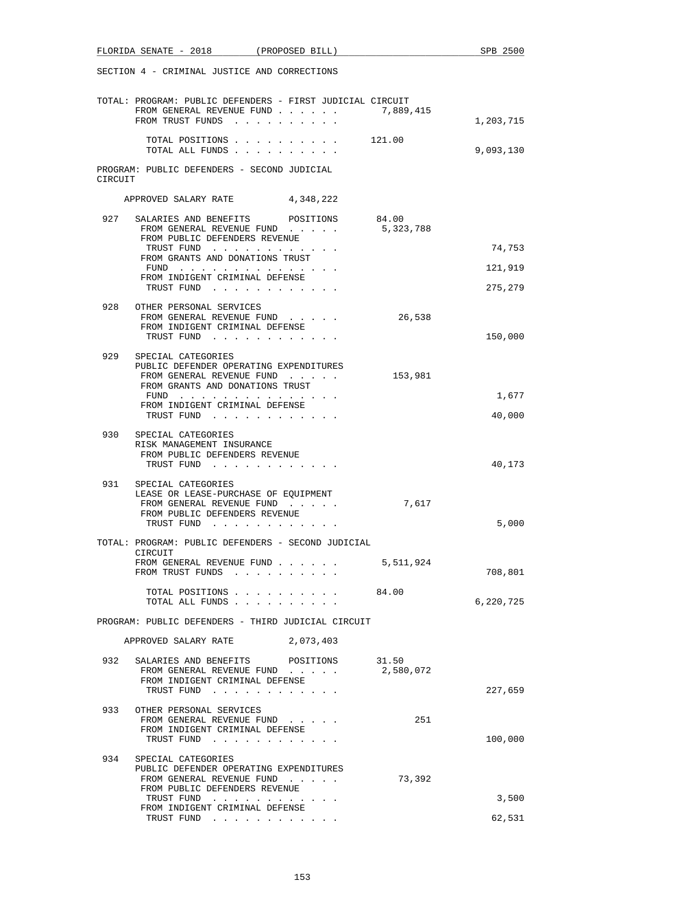| FLORIDA SENATE - 2018 (PROPOSED BILL)                                                                      |                                 | SPB 2500  |
|------------------------------------------------------------------------------------------------------------|---------------------------------|-----------|
| SECTION 4 - CRIMINAL JUSTICE AND CORRECTIONS                                                               |                                 |           |
| TOTAL: PROGRAM: PUBLIC DEFENDERS - FIRST JUDICIAL CIRCUIT<br>FROM GENERAL REVENUE FUND<br>FROM TRUST FUNDS | 7,889,415                       | 1,203,715 |
| TOTAL POSITIONS                                                                                            | 121.00                          |           |
| TOTAL ALL FUNDS<br>PROGRAM: PUBLIC DEFENDERS - SECOND JUDICIAL                                             |                                 | 9,093,130 |
| CIRCUIT                                                                                                    |                                 |           |
| APPROVED SALARY RATE 4,348,222                                                                             |                                 |           |
| 927<br>SALARIES AND BENEFITS POSITIONS<br>FROM GENERAL REVENUE FUND<br>FROM PUBLIC DEFENDERS REVENUE       | 84.00<br>5,323,788              |           |
| TRUST FUND<br>FROM GRANTS AND DONATIONS TRUST                                                              |                                 | 74,753    |
| FUND $\cdots$                                                                                              |                                 | 121,919   |
| FROM INDIGENT CRIMINAL DEFENSE<br>TRUST FUND                                                               |                                 | 275,279   |
| 928<br>OTHER PERSONAL SERVICES<br>FROM GENERAL REVENUE FUND                                                | 26,538                          |           |
| FROM INDIGENT CRIMINAL DEFENSE<br>TRUST FUND                                                               |                                 | 150,000   |
| 929<br>SPECIAL CATEGORIES                                                                                  |                                 |           |
| PUBLIC DEFENDER OPERATING EXPENDITURES<br>FROM GENERAL REVENUE FUND<br>FROM GRANTS AND DONATIONS TRUST     | 153,981                         |           |
| FUND                                                                                                       |                                 | 1,677     |
| FROM INDIGENT CRIMINAL DEFENSE<br>TRUST FUND                                                               |                                 | 40,000    |
| 930<br>SPECIAL CATEGORIES<br>RISK MANAGEMENT INSURANCE<br>FROM PUBLIC DEFENDERS REVENUE                    |                                 |           |
| TRUST FUND                                                                                                 |                                 | 40,173    |
| 931<br>SPECIAL CATEGORIES<br>LEASE OR LEASE-PURCHASE OF EQUIPMENT                                          |                                 |           |
| FROM GENERAL REVENUE FUND<br>FROM PUBLIC DEFENDERS REVENUE<br>TRUST FUND                                   | 7,617                           | 5,000     |
| TOTAL: PROGRAM: PUBLIC DEFENDERS - SECOND JUDICIAL<br>CIRCUIT                                              |                                 |           |
| FROM GENERAL REVENUE FUND<br>FROM TRUST FUNDS                                                              | 5,511,924                       | 708,801   |
| TOTAL POSITIONS 84.00<br>TOTAL ALL FUNDS                                                                   |                                 | 6,220,725 |
| PROGRAM: PUBLIC DEFENDERS - THIRD JUDICIAL CIRCUIT                                                         |                                 |           |
| APPROVED SALARY RATE 2,073,403                                                                             |                                 |           |
| 932<br>SALARIES AND BENEFITS<br>FROM GENERAL REVENUE FUND                                                  | 31.50<br>POSITIONS<br>2,580,072 |           |
| FROM INDIGENT CRIMINAL DEFENSE<br>TRUST FUND                                                               |                                 | 227,659   |
| 933<br>OTHER PERSONAL SERVICES                                                                             |                                 |           |
| FROM GENERAL REVENUE FUND<br>FROM INDIGENT CRIMINAL DEFENSE<br>TRUST FUND                                  | 251                             | 100,000   |
|                                                                                                            |                                 |           |
| 934<br>SPECIAL CATEGORIES<br>PUBLIC DEFENDER OPERATING EXPENDITURES<br>FROM GENERAL REVENUE FUND           | 73,392                          |           |
| FROM PUBLIC DEFENDERS REVENUE<br>TRUST FUND                                                                |                                 | 3,500     |
| FROM INDIGENT CRIMINAL DEFENSE<br>TRUST FUND                                                               |                                 | 62,531    |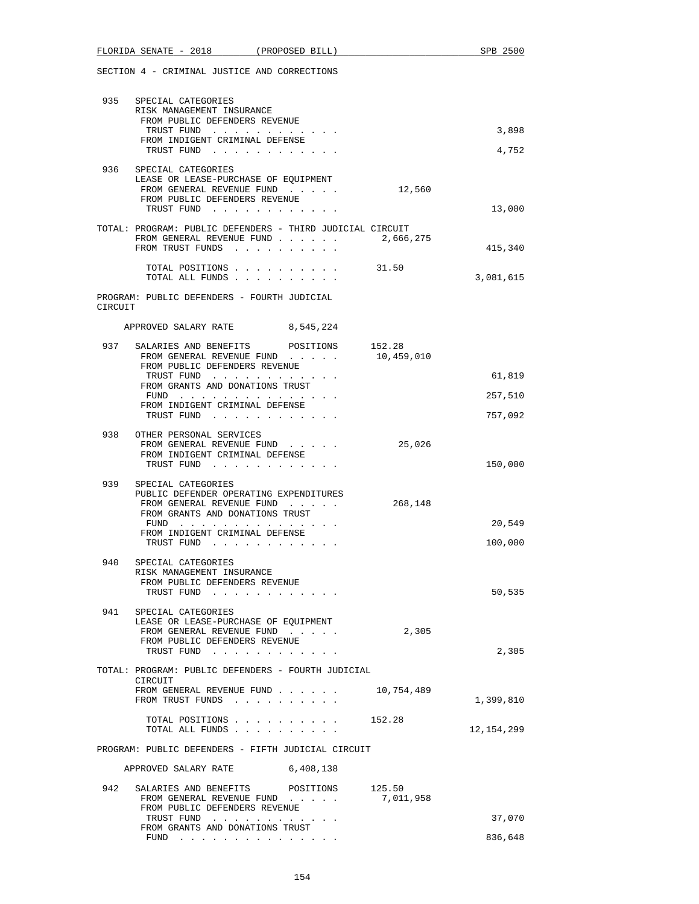|         | 935 SPECIAL CATEGORIES<br>RISK MANAGEMENT INSURANCE                 |            |              |
|---------|---------------------------------------------------------------------|------------|--------------|
|         | FROM PUBLIC DEFENDERS REVENUE                                       |            |              |
|         | TRUST FUND                                                          |            | 3,898        |
|         | FROM INDIGENT CRIMINAL DEFENSE<br>TRUST FUND                        |            | 4,752        |
|         |                                                                     |            |              |
|         | 936 SPECIAL CATEGORIES<br>LEASE OR LEASE-PURCHASE OF EQUIPMENT      |            |              |
|         | FROM GENERAL REVENUE FUND                                           | 12,560     |              |
|         | FROM PUBLIC DEFENDERS REVENUE                                       |            |              |
|         | TRUST FUND                                                          |            | 13,000       |
|         | TOTAL: PROGRAM: PUBLIC DEFENDERS - THIRD JUDICIAL CIRCUIT           |            |              |
|         | FROM GENERAL REVENUE FUND<br>FROM TRUST FUNDS                       | 2,666,275  | 415,340      |
|         |                                                                     |            |              |
|         | TOTAL POSITIONS<br>.                                                | 31.50      |              |
|         | TOTAL ALL FUNDS                                                     |            | 3,081,615    |
| CIRCUIT | PROGRAM: PUBLIC DEFENDERS - FOURTH JUDICIAL                         |            |              |
|         | APPROVED SALARY RATE 8,545,224                                      |            |              |
|         |                                                                     |            |              |
| 937     | SALARIES AND BENEFITS POSITIONS 152.28<br>FROM GENERAL REVENUE FUND |            |              |
|         | FROM PUBLIC DEFENDERS REVENUE                                       | 10,459,010 |              |
|         | TRUST FUND                                                          |            | 61,819       |
|         | FROM GRANTS AND DONATIONS TRUST<br>FUND                             |            | 257,510      |
|         | FROM INDIGENT CRIMINAL DEFENSE                                      |            |              |
|         | TRUST FUND                                                          |            | 757,092      |
|         | 938 OTHER PERSONAL SERVICES                                         |            |              |
|         | FROM GENERAL REVENUE FUND                                           | 25,026     |              |
|         | FROM INDIGENT CRIMINAL DEFENSE<br>TRUST FUND                        |            | 150,000      |
|         |                                                                     |            |              |
| 939     | SPECIAL CATEGORIES<br>PUBLIC DEFENDER OPERATING EXPENDITURES        |            |              |
|         | FROM GENERAL REVENUE FUND                                           | 268,148    |              |
|         | FROM GRANTS AND DONATIONS TRUST                                     |            |              |
|         | $FUND$<br>FROM INDIGENT CRIMINAL DEFENSE                            |            | 20,549       |
|         | TRUST FUND                                                          |            | 100,000      |
|         | 940 SPECIAL CATEGORIES                                              |            |              |
|         | RISK MANAGEMENT INSURANCE                                           |            |              |
|         | FROM PUBLIC DEFENDERS REVENUE                                       |            |              |
|         | TRUST FUND                                                          |            | 50,535       |
| 941     | SPECIAL CATEGORIES                                                  |            |              |
|         | LEASE OR LEASE-PURCHASE OF EQUIPMENT<br>FROM GENERAL REVENUE FUND   | 2,305      |              |
|         | FROM PUBLIC DEFENDERS REVENUE                                       |            |              |
|         | TRUST FUND                                                          |            | 2,305        |
|         | TOTAL: PROGRAM: PUBLIC DEFENDERS - FOURTH JUDICIAL                  |            |              |
|         | CIRCUIT                                                             |            |              |
|         | FROM GENERAL REVENUE FUND 10,754,489<br>FROM TRUST FUNDS            |            | 1,399,810    |
|         |                                                                     |            |              |
|         | TOTAL POSITIONS<br>TOTAL ALL FUNDS                                  | 152.28     | 12, 154, 299 |
|         |                                                                     |            |              |
|         | PROGRAM: PUBLIC DEFENDERS - FIFTH JUDICIAL CIRCUIT                  |            |              |
|         | 6,408,138<br>APPROVED SALARY RATE                                   |            |              |
|         |                                                                     |            |              |
| 942     | SALARIES AND BENEFITS POSITIONS 125.50<br>FROM GENERAL REVENUE FUND | 7,011,958  |              |
|         | FROM PUBLIC DEFENDERS REVENUE                                       |            |              |
|         | TRUST FUND<br>FROM GRANTS AND DONATIONS TRUST                       |            | 37,070       |
|         | $FUND$                                                              |            | 836,648      |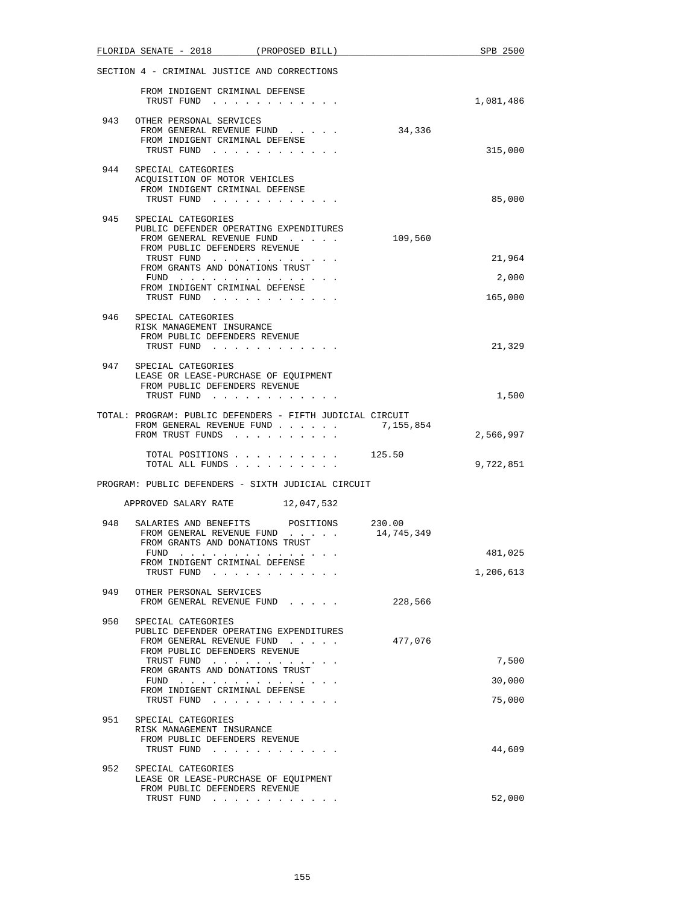|     |            |                                                 | FLORIDA SENATE - 2018 (PROPOSED BILL)                                                                                                                                                                                                                           |  |                                                                        | SPB 2500  |
|-----|------------|-------------------------------------------------|-----------------------------------------------------------------------------------------------------------------------------------------------------------------------------------------------------------------------------------------------------------------|--|------------------------------------------------------------------------|-----------|
|     |            |                                                 | SECTION 4 - CRIMINAL JUSTICE AND CORRECTIONS                                                                                                                                                                                                                    |  |                                                                        |           |
|     |            |                                                 | FROM INDIGENT CRIMINAL DEFENSE<br>TRUST FUND                                                                                                                                                                                                                    |  |                                                                        | 1,081,486 |
| 943 |            | OTHER PERSONAL SERVICES                         | FROM GENERAL REVENUE FUND<br>FROM INDIGENT CRIMINAL DEFENSE<br>TRUST FUND                                                                                                                                                                                       |  | 34,336                                                                 | 315,000   |
|     |            | 944 SPECIAL CATEGORIES                          | ACQUISITION OF MOTOR VEHICLES<br>FROM INDIGENT CRIMINAL DEFENSE                                                                                                                                                                                                 |  |                                                                        |           |
|     |            |                                                 | TRUST FUND                                                                                                                                                                                                                                                      |  |                                                                        | 85,000    |
| 945 |            | SPECIAL CATEGORIES                              | PUBLIC DEFENDER OPERATING EXPENDITURES<br>FROM GENERAL REVENUE FUND<br>FROM PUBLIC DEFENDERS REVENUE                                                                                                                                                            |  | 109,560                                                                |           |
|     |            |                                                 | TRUST FUND                                                                                                                                                                                                                                                      |  |                                                                        | 21,964    |
|     |            |                                                 | FROM GRANTS AND DONATIONS TRUST<br>FUND $\cdots$                                                                                                                                                                                                                |  |                                                                        | 2,000     |
|     |            |                                                 | FROM INDIGENT CRIMINAL DEFENSE<br>TRUST FUND                                                                                                                                                                                                                    |  |                                                                        | 165,000   |
| 946 |            | SPECIAL CATEGORIES<br>RISK MANAGEMENT INSURANCE | FROM PUBLIC DEFENDERS REVENUE                                                                                                                                                                                                                                   |  |                                                                        |           |
|     |            |                                                 | TRUST FUND                                                                                                                                                                                                                                                      |  |                                                                        | 21,329    |
| 947 |            | SPECIAL CATEGORIES                              | LEASE OR LEASE-PURCHASE OF EQUIPMENT<br>FROM PUBLIC DEFENDERS REVENUE                                                                                                                                                                                           |  |                                                                        |           |
|     |            |                                                 | TRUST FUND                                                                                                                                                                                                                                                      |  |                                                                        | 1,500     |
|     |            |                                                 | FROM GENERAL REVENUE FUND<br>FROM TRUST FUNDS                                                                                                                                                                                                                   |  | TOTAL: PROGRAM: PUBLIC DEFENDERS - FIFTH JUDICIAL CIRCUIT<br>7,155,854 | 2,566,997 |
|     |            |                                                 |                                                                                                                                                                                                                                                                 |  | TOTAL POSITIONS $\ldots$ , $\ldots$ , $\ldots$ , 125.50                |           |
|     |            |                                                 | TOTAL ALL FUNDS<br>PROGRAM: PUBLIC DEFENDERS - SIXTH JUDICIAL CIRCUIT                                                                                                                                                                                           |  |                                                                        | 9,722,851 |
|     |            |                                                 | APPROVED SALARY RATE 12,047,532                                                                                                                                                                                                                                 |  |                                                                        |           |
| 948 |            |                                                 | SALARIES AND BENEFITS POSITIONS 230.00                                                                                                                                                                                                                          |  |                                                                        |           |
|     |            |                                                 | FROM GENERAL REVENUE FUND<br>FROM GRANTS AND DONATIONS TRUST                                                                                                                                                                                                    |  | 14,745,349                                                             |           |
|     | FUND       |                                                 | the company of the company of the company of the company of the company of the company of the company of the company of the company of the company of the company of the company of the company of the company of the company<br>FROM INDIGENT CRIMINAL DEFENSE |  |                                                                        | 481,025   |
|     | TRUST FUND |                                                 | and the contract of the state of                                                                                                                                                                                                                                |  |                                                                        | 1,206,613 |
| 949 |            | OTHER PERSONAL SERVICES                         | FROM GENERAL REVENUE FUND                                                                                                                                                                                                                                       |  | 228,566                                                                |           |
| 950 |            | SPECIAL CATEGORIES                              | PUBLIC DEFENDER OPERATING EXPENDITURES<br>FROM GENERAL REVENUE FUND                                                                                                                                                                                             |  | 477,076                                                                |           |
|     |            |                                                 | FROM PUBLIC DEFENDERS REVENUE<br>TRUST FUND                                                                                                                                                                                                                     |  |                                                                        | 7,500     |
|     |            |                                                 | FROM GRANTS AND DONATIONS TRUST<br>FUND $\cdots$                                                                                                                                                                                                                |  |                                                                        | 30,000    |
|     |            |                                                 | FROM INDIGENT CRIMINAL DEFENSE<br>TRUST FUND                                                                                                                                                                                                                    |  |                                                                        | 75,000    |
| 951 |            | SPECIAL CATEGORIES                              |                                                                                                                                                                                                                                                                 |  |                                                                        |           |
|     |            | RISK MANAGEMENT INSURANCE                       |                                                                                                                                                                                                                                                                 |  |                                                                        |           |
|     |            | TRUST FUND                                      | FROM PUBLIC DEFENDERS REVENUE                                                                                                                                                                                                                                   |  |                                                                        | 44,609    |
| 952 |            | SPECIAL CATEGORIES                              | LEASE OR LEASE-PURCHASE OF EQUIPMENT<br>FROM PUBLIC DEFENDERS REVENUE                                                                                                                                                                                           |  |                                                                        |           |
|     |            |                                                 | TRUST FUND                                                                                                                                                                                                                                                      |  |                                                                        | 52,000    |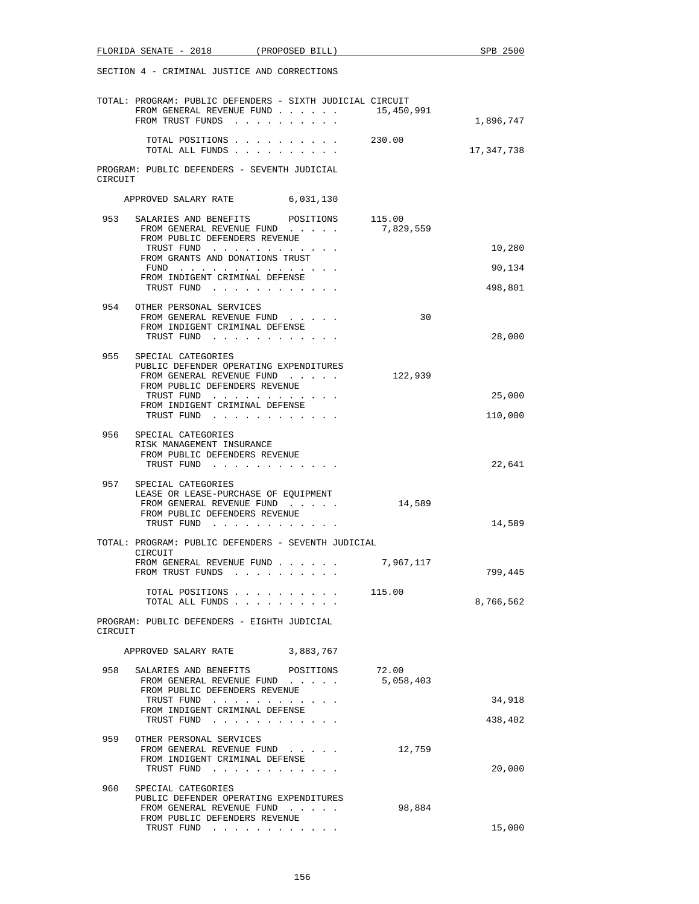|         | SECTION 4 - CRIMINAL JUSTICE AND CORRECTIONS                                                                                           |                    |            |
|---------|----------------------------------------------------------------------------------------------------------------------------------------|--------------------|------------|
|         | TOTAL: PROGRAM: PUBLIC DEFENDERS - SIXTH JUDICIAL CIRCUIT<br>FROM GENERAL REVENUE FUND<br>FROM TRUST FUNDS                             | 15,450,991         | 1,896,747  |
|         | TOTAL POSITIONS<br>TOTAL ALL FUNDS                                                                                                     | 230.00             | 17,347,738 |
| CIRCUIT | PROGRAM: PUBLIC DEFENDERS - SEVENTH JUDICIAL                                                                                           |                    |            |
|         | APPROVED SALARY RATE 6,031,130                                                                                                         |                    |            |
|         | 953 SALARIES AND BENEFITS POSITIONS 115.00<br>FROM GENERAL REVENUE FUND<br>FROM PUBLIC DEFENDERS REVENUE                               | 7,829,559          |            |
|         | TRUST FUND<br>FROM GRANTS AND DONATIONS TRUST                                                                                          |                    | 10,280     |
|         | FUND $\cdots$                                                                                                                          |                    | 90,134     |
|         | FROM INDIGENT CRIMINAL DEFENSE<br>TRUST FUND                                                                                           |                    | 498,801    |
|         | 954 OTHER PERSONAL SERVICES                                                                                                            |                    |            |
|         | FROM GENERAL REVENUE FUND<br>FROM INDIGENT CRIMINAL DEFENSE                                                                            | 30                 |            |
|         | TRUST FUND                                                                                                                             |                    | 28,000     |
|         | 955 SPECIAL CATEGORIES<br>PUBLIC DEFENDER OPERATING EXPENDITURES<br>FROM GENERAL REVENUE FUND<br>FROM PUBLIC DEFENDERS REVENUE         | 122,939            |            |
|         | TRUST FUND<br>FROM INDIGENT CRIMINAL DEFENSE                                                                                           |                    | 25,000     |
|         | TRUST FUND                                                                                                                             |                    | 110,000    |
| 956     | SPECIAL CATEGORIES<br>RISK MANAGEMENT INSURANCE<br>FROM PUBLIC DEFENDERS REVENUE<br>TRUST FUND                                         |                    | 22,641     |
| 957     | SPECIAL CATEGORIES<br>LEASE OR LEASE-PURCHASE OF EQUIPMENT<br>FROM GENERAL REVENUE FUND<br>FROM PUBLIC DEFENDERS REVENUE<br>TRUST FUND | 14,589             | 14,589     |
|         | TOTAL: PROGRAM: PUBLIC DEFENDERS - SEVENTH JUDICIAL                                                                                    |                    |            |
|         | CIRCUIT<br>FROM GENERAL REVENUE FUND<br>FROM TRUST FUNDS                                                                               | 7,967,117          | 799,445    |
|         | TOTAL POSITIONS                                                                                                                        | 115.00             |            |
|         | TOTAL ALL FUNDS                                                                                                                        |                    | 8,766,562  |
| CIRCUIT | PROGRAM: PUBLIC DEFENDERS - EIGHTH JUDICIAL                                                                                            |                    |            |
|         | APPROVED SALARY RATE<br>3,883,767                                                                                                      |                    |            |
| 958     | SALARIES AND BENEFITS POSITIONS<br>FROM GENERAL REVENUE FUND<br>FROM PUBLIC DEFENDERS REVENUE                                          | 72.00<br>5,058,403 |            |
|         | TRUST FUND<br>FROM INDIGENT CRIMINAL DEFENSE                                                                                           |                    | 34,918     |
|         | TRUST FUND                                                                                                                             |                    | 438,402    |
| 959     | OTHER PERSONAL SERVICES<br>FROM GENERAL REVENUE FUND<br>FROM INDIGENT CRIMINAL DEFENSE<br>TRUST FUND                                   | 12,759             | 20,000     |
| 960     | SPECIAL CATEGORIES                                                                                                                     |                    |            |
|         | PUBLIC DEFENDER OPERATING EXPENDITURES<br>FROM GENERAL REVENUE FUND<br>FROM PUBLIC DEFENDERS REVENUE                                   | 98,884             |            |
|         | TRUST FUND                                                                                                                             |                    | 15,000     |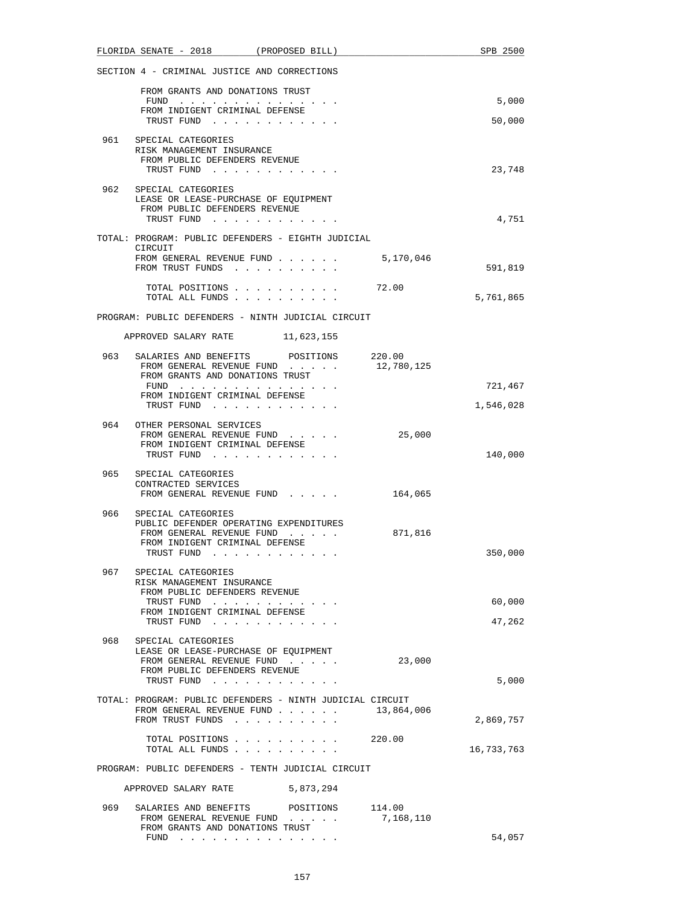|       | FLORIDA SENATE - 2018 (PROPOSED BILL)                        |                                                                          |            | SPB 2500   |
|-------|--------------------------------------------------------------|--------------------------------------------------------------------------|------------|------------|
|       | SECTION 4 - CRIMINAL JUSTICE AND CORRECTIONS                 |                                                                          |            |            |
|       | FROM GRANTS AND DONATIONS TRUST                              |                                                                          |            |            |
|       | FUND                                                         |                                                                          |            | 5,000      |
|       | FROM INDIGENT CRIMINAL DEFENSE<br>TRUST FUND                 |                                                                          |            | 50,000     |
| 961   | SPECIAL CATEGORIES                                           |                                                                          |            |            |
|       | RISK MANAGEMENT INSURANCE<br>FROM PUBLIC DEFENDERS REVENUE   |                                                                          |            |            |
|       | TRUST FUND                                                   |                                                                          |            | 23,748     |
| 962   | SPECIAL CATEGORIES                                           |                                                                          |            |            |
|       | LEASE OR LEASE-PURCHASE OF EQUIPMENT                         |                                                                          |            |            |
|       | FROM PUBLIC DEFENDERS REVENUE<br>TRUST FUND                  |                                                                          |            | 4,751      |
|       | TOTAL: PROGRAM: PUBLIC DEFENDERS - EIGHTH JUDICIAL           |                                                                          |            |            |
|       | CIRCUIT                                                      |                                                                          |            |            |
|       | FROM GENERAL REVENUE FUND 5,170,046<br>FROM TRUST FUNDS      |                                                                          |            | 591,819    |
|       |                                                              |                                                                          |            |            |
|       | TOTAL POSITIONS<br>TOTAL ALL FUNDS                           |                                                                          | 72.00      | 5,761,865  |
|       |                                                              |                                                                          |            |            |
|       | PROGRAM: PUBLIC DEFENDERS - NINTH JUDICIAL CIRCUIT           |                                                                          |            |            |
|       | APPROVED SALARY RATE 11,623,155                              |                                                                          |            |            |
| 963   | SALARIES AND BENEFITS POSITIONS 220.00                       |                                                                          |            |            |
|       | FROM GENERAL REVENUE FUND<br>FROM GRANTS AND DONATIONS TRUST |                                                                          | 12,780,125 |            |
|       | FUND                                                         |                                                                          |            | 721,467    |
|       | FROM INDIGENT CRIMINAL DEFENSE<br>TRUST FUND                 |                                                                          |            | 1,546,028  |
|       |                                                              |                                                                          |            |            |
|       | 964 OTHER PERSONAL SERVICES<br>FROM GENERAL REVENUE FUND     |                                                                          | 25,000     |            |
|       | FROM INDIGENT CRIMINAL DEFENSE                               |                                                                          |            |            |
|       | TRUST FUND                                                   |                                                                          |            | 140,000    |
|       | 965 SPECIAL CATEGORIES                                       |                                                                          |            |            |
|       | CONTRACTED SERVICES<br>FROM GENERAL REVENUE FUND             |                                                                          | 164,065    |            |
|       |                                                              |                                                                          |            |            |
| 966 — | SPECIAL CATEGORIES<br>PUBLIC DEFENDER OPERATING EXPENDITURES |                                                                          |            |            |
|       | FROM GENERAL REVENUE FUND                                    |                                                                          | 871,816    |            |
|       | FROM INDIGENT CRIMINAL DEFENSE<br>TRUST FUND                 | . The contract of the contract of the contract $\mathcal{L}_\mathcal{A}$ |            | 350,000    |
|       |                                                              |                                                                          |            |            |
| 967   | SPECIAL CATEGORIES<br>RISK MANAGEMENT INSURANCE              |                                                                          |            |            |
|       | FROM PUBLIC DEFENDERS REVENUE                                |                                                                          |            |            |
|       | TRUST FUND<br>FROM INDIGENT CRIMINAL DEFENSE                 |                                                                          |            | 60,000     |
|       | TRUST FUND                                                   |                                                                          |            | 47,262     |
| 968   | SPECIAL CATEGORIES                                           |                                                                          |            |            |
|       | LEASE OR LEASE-PURCHASE OF EQUIPMENT                         |                                                                          |            |            |
|       | FROM GENERAL REVENUE FUND<br>FROM PUBLIC DEFENDERS REVENUE   |                                                                          | 23,000     |            |
|       | TRUST FUND                                                   |                                                                          |            | 5,000      |
|       | TOTAL: PROGRAM: PUBLIC DEFENDERS - NINTH JUDICIAL CIRCUIT    |                                                                          |            |            |
|       | FROM GENERAL REVENUE FUND<br>FROM TRUST FUNDS                |                                                                          | 13,864,006 |            |
|       |                                                              |                                                                          |            | 2,869,757  |
|       | TOTAL ALL FUNDS                                              | TOTAL POSITIONS 220.00                                                   |            | 16,733,763 |
|       |                                                              |                                                                          |            |            |
|       | PROGRAM: PUBLIC DEFENDERS - TENTH JUDICIAL CIRCUIT           |                                                                          |            |            |
|       | APPROVED SALARY RATE                                         | 5,873,294                                                                |            |            |
| 969   | SALARIES AND BENEFITS POSITIONS 114.00                       |                                                                          |            |            |
|       | FROM GENERAL REVENUE FUND<br>FROM GRANTS AND DONATIONS TRUST |                                                                          | 7,168,110  |            |
|       | $FUND$                                                       |                                                                          |            | 54,057     |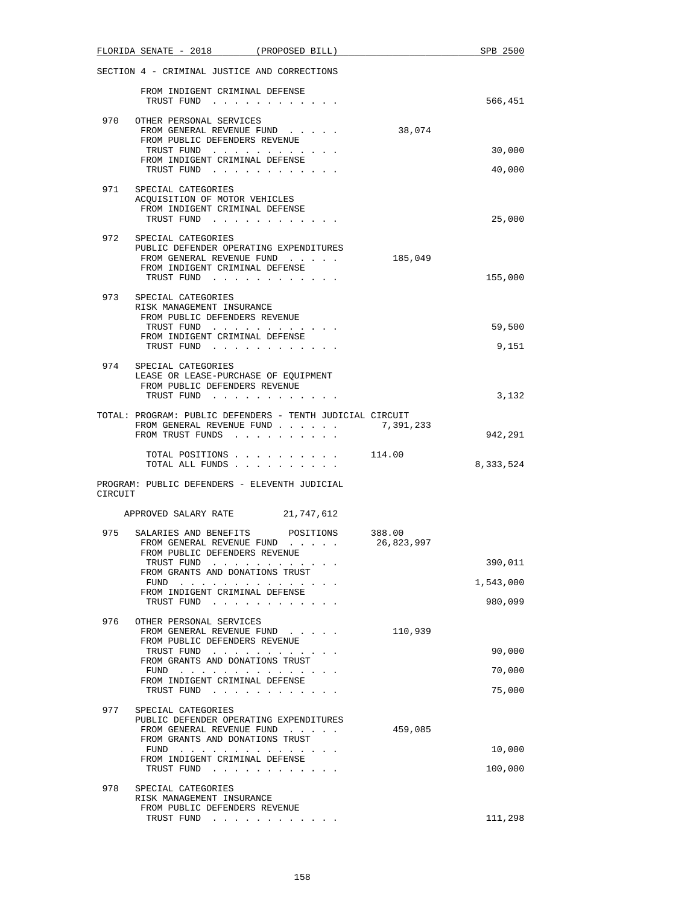|         | FLORIDA SENATE - 2018 (PROPOSED BILL)                                 |                                            |  |            | SPB 2500  |
|---------|-----------------------------------------------------------------------|--------------------------------------------|--|------------|-----------|
|         | SECTION 4 - CRIMINAL JUSTICE AND CORRECTIONS                          |                                            |  |            |           |
|         | FROM INDIGENT CRIMINAL DEFENSE<br>TRUST FUND                          | and the state of the state of the state of |  |            | 566,451   |
| 970     | OTHER PERSONAL SERVICES                                               |                                            |  |            |           |
|         | FROM GENERAL REVENUE FUND<br>FROM PUBLIC DEFENDERS REVENUE            |                                            |  | 38,074     |           |
|         | FROM INDIGENT CRIMINAL DEFENSE                                        | TRUST FUND                                 |  |            | 30,000    |
|         |                                                                       | TRUST FUND                                 |  |            | 40,000    |
| 971     | SPECIAL CATEGORIES                                                    |                                            |  |            |           |
|         | ACQUISITION OF MOTOR VEHICLES<br>FROM INDIGENT CRIMINAL DEFENSE       |                                            |  |            |           |
|         |                                                                       | TRUST FUND                                 |  |            | 25,000    |
|         | 972 SPECIAL CATEGORIES                                                |                                            |  |            |           |
|         | PUBLIC DEFENDER OPERATING EXPENDITURES<br>FROM GENERAL REVENUE FUND   |                                            |  | 185,049    |           |
|         | FROM INDIGENT CRIMINAL DEFENSE                                        |                                            |  |            |           |
|         |                                                                       | TRUST FUND                                 |  |            | 155,000   |
| 973     | SPECIAL CATEGORIES<br>RISK MANAGEMENT INSURANCE                       |                                            |  |            |           |
|         | FROM PUBLIC DEFENDERS REVENUE                                         |                                            |  |            |           |
|         | FROM INDIGENT CRIMINAL DEFENSE                                        | TRUST FUND                                 |  |            | 59,500    |
|         |                                                                       | TRUST FUND                                 |  |            | 9,151     |
| 974     | SPECIAL CATEGORIES                                                    |                                            |  |            |           |
|         | LEASE OR LEASE-PURCHASE OF EQUIPMENT<br>FROM PUBLIC DEFENDERS REVENUE |                                            |  |            |           |
|         |                                                                       | TRUST FUND                                 |  |            | 3,132     |
|         | TOTAL: PROGRAM: PUBLIC DEFENDERS - TENTH JUDICIAL CIRCUIT             |                                            |  |            |           |
|         | FROM GENERAL REVENUE FUND<br>FROM TRUST FUNDS                         |                                            |  | 7,391,233  | 942,291   |
|         |                                                                       | TOTAL POSITIONS 114.00                     |  |            |           |
|         |                                                                       | TOTAL ALL FUNDS                            |  |            | 8,333,524 |
| CIRCUIT | PROGRAM: PUBLIC DEFENDERS - ELEVENTH JUDICIAL                         |                                            |  |            |           |
|         |                                                                       |                                            |  |            |           |
|         | APPROVED SALARY RATE 21,747,612                                       |                                            |  |            |           |
| 975     | SALARIES AND BENEFITS POSITIONS 388.00<br>FROM GENERAL REVENUE FUND   |                                            |  | 26,823,997 |           |
|         | FROM PUBLIC DEFENDERS REVENUE                                         |                                            |  |            | 390,011   |
|         | FROM GRANTS AND DONATIONS TRUST                                       | TRUST FUND                                 |  |            |           |
|         | FROM INDIGENT CRIMINAL DEFENSE                                        | FUND $\cdots$                              |  |            | 1,543,000 |
|         |                                                                       | TRUST FUND                                 |  |            | 980,099   |
| 976     | OTHER PERSONAL SERVICES                                               |                                            |  |            |           |
|         | FROM GENERAL REVENUE FUND<br>FROM PUBLIC DEFENDERS REVENUE            |                                            |  | 110,939    |           |
|         | FROM GRANTS AND DONATIONS TRUST                                       | TRUST FUND                                 |  |            | 90,000    |
|         |                                                                       | FUND $\cdots$                              |  |            | 70,000    |
|         | FROM INDIGENT CRIMINAL DEFENSE                                        | TRUST FUND                                 |  |            | 75,000    |
| 977     | SPECIAL CATEGORIES                                                    |                                            |  |            |           |
|         | PUBLIC DEFENDER OPERATING EXPENDITURES                                |                                            |  |            |           |
|         | FROM GENERAL REVENUE FUND<br>FROM GRANTS AND DONATIONS TRUST          |                                            |  | 459,085    |           |
|         | FROM INDIGENT CRIMINAL DEFENSE                                        | FUND                                       |  |            | 10,000    |
|         |                                                                       | TRUST FUND                                 |  |            | 100,000   |
| 978     | SPECIAL CATEGORIES                                                    |                                            |  |            |           |
|         | RISK MANAGEMENT INSURANCE<br>FROM PUBLIC DEFENDERS REVENUE            |                                            |  |            |           |
|         |                                                                       | TRUST FUND                                 |  |            | 111,298   |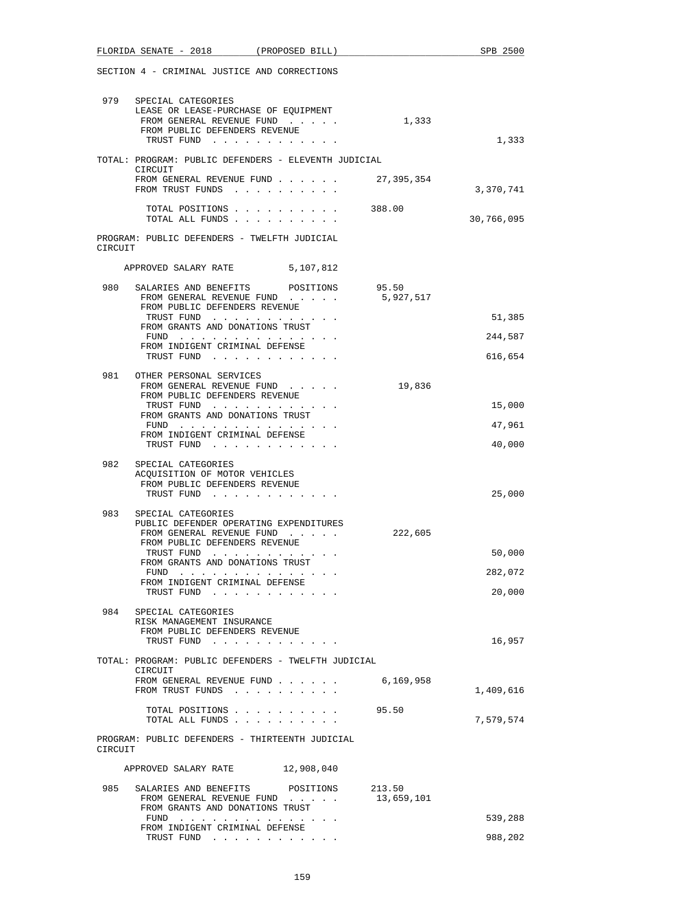|            | FLORIDA SENATE - 2018 (PROPOSED BILL)                                                                                                                                                                                               |                                       |                      | SPB 2500                    |
|------------|-------------------------------------------------------------------------------------------------------------------------------------------------------------------------------------------------------------------------------------|---------------------------------------|----------------------|-----------------------------|
|            | SECTION 4 - CRIMINAL JUSTICE AND CORRECTIONS                                                                                                                                                                                        |                                       |                      |                             |
|            | 979 SPECIAL CATEGORIES<br>LEASE OR LEASE-PURCHASE OF EOUIPMENT<br>FROM GENERAL REVENUE FUND<br>FROM PUBLIC DEFENDERS REVENUE<br>TRUST FUND                                                                                          |                                       | 1,333                | 1,333                       |
|            | TOTAL: PROGRAM: PUBLIC DEFENDERS - ELEVENTH JUDICIAL                                                                                                                                                                                |                                       |                      |                             |
|            | CIRCUIT<br>FROM GENERAL REVENUE FUND<br>FROM TRUST FUNDS                                                                                                                                                                            |                                       | 27,395,354           | 3,370,741                   |
|            | TOTAL POSITIONS<br>TOTAL ALL FUNDS                                                                                                                                                                                                  |                                       | 388.00               | 30,766,095                  |
| CIRCUIT    | PROGRAM: PUBLIC DEFENDERS - TWELFTH JUDICIAL                                                                                                                                                                                        |                                       |                      |                             |
|            | APPROVED SALARY RATE                                                                                                                                                                                                                | 5,107,812                             |                      |                             |
| 980        | SALARIES AND BENEFITS<br>FROM GENERAL REVENUE FUND<br>FROM PUBLIC DEFENDERS REVENUE<br>TRUST FUND<br>FROM GRANTS AND DONATIONS TRUST                                                                                                | POSITIONS                             | 95.50<br>5,927,517   | 51,385                      |
|            | FUND<br>FROM INDIGENT CRIMINAL DEFENSE                                                                                                                                                                                              |                                       |                      | 244,587                     |
|            | TRUST FUND                                                                                                                                                                                                                          |                                       |                      | 616,654                     |
| 981        | OTHER PERSONAL SERVICES<br>FROM GENERAL REVENUE FUND<br>FROM PUBLIC DEFENDERS REVENUE<br>TRUST FUND<br>FROM GRANTS AND DONATIONS TRUST                                                                                              |                                       | 19,836               | 15,000                      |
|            | FUND $\cdots$<br>FROM INDIGENT CRIMINAL DEFENSE                                                                                                                                                                                     |                                       |                      | 47,961                      |
|            | TRUST FUND                                                                                                                                                                                                                          |                                       |                      | 40,000                      |
| 982<br>983 | SPECIAL CATEGORIES<br>ACQUISITION OF MOTOR VEHICLES<br>FROM PUBLIC DEFENDERS REVENUE<br>TRUST FUND                                                                                                                                  |                                       |                      | 25,000                      |
|            | SPECIAL CATEGORIES<br>PUBLIC DEFENDER OPERATING EXPENDITURES<br>FROM GENERAL REVENUE FUND<br>FROM PUBLIC DEFENDERS REVENUE<br>TRUST FUND<br>FROM GRANTS AND DONATIONS TRUST<br>FUND<br>FROM INDIGENT CRIMINAL DEFENSE<br>TRUST FUND | and the second service of the service | 222,605              | 50.000<br>282,072<br>20,000 |
| 984        | SPECIAL CATEGORIES<br>RISK MANAGEMENT INSURANCE<br>FROM PUBLIC DEFENDERS REVENUE<br>TRUST FUND                                                                                                                                      |                                       |                      | 16,957                      |
|            | TOTAL: PROGRAM: PUBLIC DEFENDERS - TWELFTH JUDICIAL<br>CIRCUIT                                                                                                                                                                      |                                       |                      |                             |
|            | FROM GENERAL REVENUE FUND<br>FROM TRUST FUNDS                                                                                                                                                                                       |                                       | 6,169,958            | 1,409,616                   |
|            | TOTAL POSITIONS<br>TOTAL ALL FUNDS                                                                                                                                                                                                  |                                       | 95.50                | 7,579,574                   |
| CIRCUIT    | PROGRAM: PUBLIC DEFENDERS - THIRTEENTH JUDICIAL                                                                                                                                                                                     |                                       |                      |                             |
|            | APPROVED SALARY RATE                                                                                                                                                                                                                | 12,908,040                            |                      |                             |
| 985        | SALARIES AND BENEFITS<br>FROM GENERAL REVENUE FUND<br>FROM GRANTS AND DONATIONS TRUST<br>FUND $\cdots$                                                                                                                              | POSITIONS                             | 213.50<br>13,659,101 | 539,288                     |
|            | FROM INDIGENT CRIMINAL DEFENSE<br>TRUST FUND                                                                                                                                                                                        |                                       |                      | 988,202                     |
|            |                                                                                                                                                                                                                                     |                                       |                      |                             |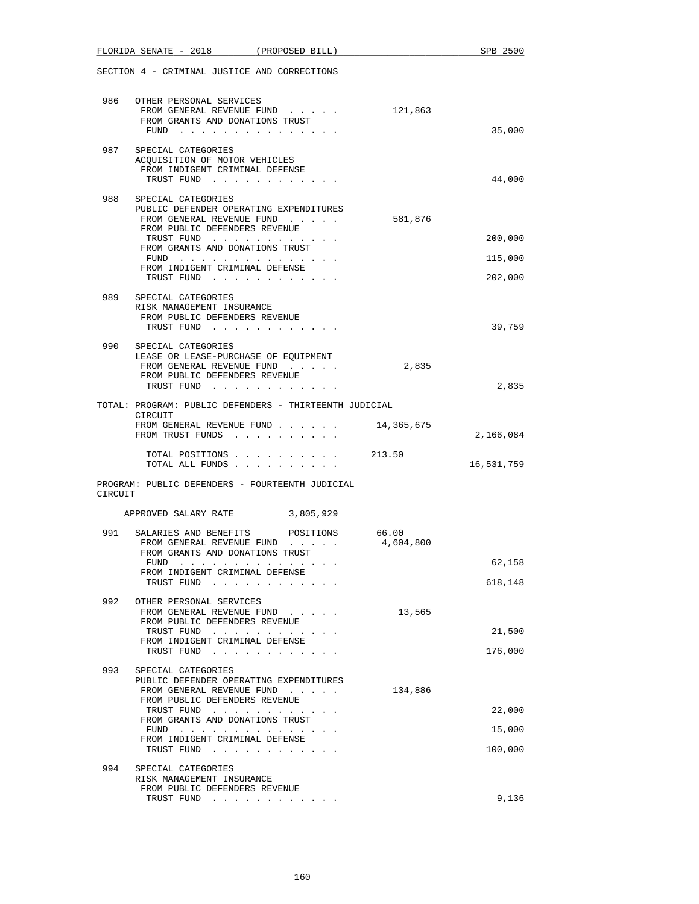|         | FLORIDA SENATE - 2018 (PROPOSED BILL)                                                         |           | SPB 2500   |
|---------|-----------------------------------------------------------------------------------------------|-----------|------------|
|         | SECTION 4 - CRIMINAL JUSTICE AND CORRECTIONS                                                  |           |            |
|         | 986 OTHER PERSONAL SERVICES                                                                   |           |            |
|         | FROM GENERAL REVENUE FUND 121,863                                                             |           |            |
|         | FROM GRANTS AND DONATIONS TRUST                                                               |           |            |
|         | FUND $\cdots$                                                                                 |           | 35,000     |
| 987     | SPECIAL CATEGORIES                                                                            |           |            |
|         | ACQUISITION OF MOTOR VEHICLES<br>FROM INDIGENT CRIMINAL DEFENSE                               |           |            |
|         | TRUST FUND                                                                                    |           | 44,000     |
| 988     | SPECIAL CATEGORIES                                                                            |           |            |
|         | PUBLIC DEFENDER OPERATING EXPENDITURES                                                        |           |            |
|         | FROM GENERAL REVENUE FUND<br>FROM PUBLIC DEFENDERS REVENUE                                    | 581,876   |            |
|         | TRUST FUND                                                                                    |           | 200,000    |
|         | FROM GRANTS AND DONATIONS TRUST<br>FUND                                                       |           | 115,000    |
|         | FROM INDIGENT CRIMINAL DEFENSE                                                                |           |            |
|         | TRUST FUND                                                                                    |           | 202,000    |
|         | 989 SPECIAL CATEGORIES                                                                        |           |            |
|         | RISK MANAGEMENT INSURANCE<br>FROM PUBLIC DEFENDERS REVENUE                                    |           |            |
|         | TRUST FUND                                                                                    |           | 39,759     |
| 990     | SPECIAL CATEGORIES                                                                            |           |            |
|         | LEASE OR LEASE-PURCHASE OF EQUIPMENT                                                          |           |            |
|         | FROM GENERAL REVENUE FUND<br>FROM PUBLIC DEFENDERS REVENUE                                    | 2,835     |            |
|         | TRUST FUND                                                                                    |           | 2,835      |
|         | TOTAL: PROGRAM: PUBLIC DEFENDERS - THIRTEENTH JUDICIAL                                        |           |            |
|         | CIRCUIT                                                                                       |           |            |
|         | FROM GENERAL REVENUE FUND $\ldots$ $\ldots$ $\ldots$ 14,365,675<br>FROM TRUST FUNDS           |           | 2,166,084  |
|         |                                                                                               |           |            |
|         | TOTAL POSITIONS<br>$\cdot$ 213.50<br>TOTAL ALL FUNDS                                          |           | 16,531,759 |
|         | PROGRAM: PUBLIC DEFENDERS - FOURTEENTH JUDICIAL                                               |           |            |
| CIRCUIT |                                                                                               |           |            |
|         | APPROVED SALARY RATE 3,805,929                                                                |           |            |
| 991     | SALARIES AND BENEFITS POSITIONS                                                               | 66.00     |            |
|         | FROM GENERAL REVENUE FUND                                                                     | 4,604,800 |            |
|         | FROM GRANTS AND DONATIONS TRUST                                                               |           | 62,158     |
|         | the contract of the contract of the contract of the<br>FUND<br>FROM INDIGENT CRIMINAL DEFENSE |           |            |
|         | TRUST FUND                                                                                    |           | 618,148    |
| 992     | OTHER PERSONAL SERVICES                                                                       |           |            |
|         | FROM GENERAL REVENUE FUND                                                                     | 13,565    |            |
|         | FROM PUBLIC DEFENDERS REVENUE<br>TRUST FUND                                                   |           | 21,500     |
|         | FROM INDIGENT CRIMINAL DEFENSE                                                                |           | 176,000    |
|         | TRUST FUND                                                                                    |           |            |
| 993     | SPECIAL CATEGORIES<br>PUBLIC DEFENDER OPERATING EXPENDITURES                                  |           |            |
|         | FROM GENERAL REVENUE FUND                                                                     | 134,886   |            |
|         | FROM PUBLIC DEFENDERS REVENUE<br>TRUST FUND                                                   |           | 22,000     |
|         | FROM GRANTS AND DONATIONS TRUST                                                               |           |            |
|         | FUND<br>FROM INDIGENT CRIMINAL DEFENSE                                                        |           | 15,000     |
|         | TRUST FUND                                                                                    |           | 100,000    |
| 994     | SPECIAL CATEGORIES                                                                            |           |            |
|         | RISK MANAGEMENT INSURANCE                                                                     |           |            |
|         | FROM PUBLIC DEFENDERS REVENUE<br>TRUST FUND                                                   |           | 9,136      |
|         |                                                                                               |           |            |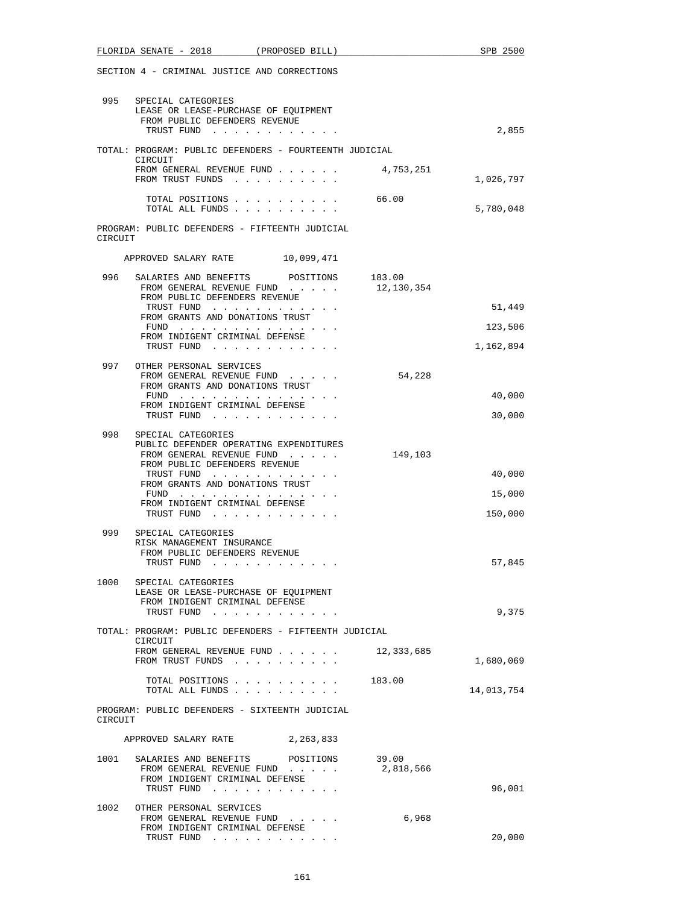|         | FLORIDA SENATE - 2018 (PROPOSED BILL)                                                                              |           |            | SPB 2500   |
|---------|--------------------------------------------------------------------------------------------------------------------|-----------|------------|------------|
|         | SECTION 4 - CRIMINAL JUSTICE AND CORRECTIONS                                                                       |           |            |            |
|         | 995 SPECIAL CATEGORIES<br>LEASE OR LEASE-PURCHASE OF EQUIPMENT<br>FROM PUBLIC DEFENDERS REVENUE                    |           |            |            |
|         | TRUST FUND                                                                                                         |           |            | 2,855      |
|         | TOTAL: PROGRAM: PUBLIC DEFENDERS - FOURTEENTH JUDICIAL<br>CIRCUIT                                                  |           |            |            |
|         | FROM GENERAL REVENUE FUND<br>FROM TRUST FUNDS                                                                      |           | 4,753,251  | 1,026,797  |
|         | TOTAL POSITIONS<br>TOTAL ALL FUNDS                                                                                 |           | 66.00      | 5,780,048  |
| CIRCUIT | PROGRAM: PUBLIC DEFENDERS - FIFTEENTH JUDICIAL                                                                     |           |            |            |
|         | APPROVED SALARY RATE 10,099,471                                                                                    |           |            |            |
| 996     | SALARIES AND BENEFITS POSITIONS 183.00<br>FROM GENERAL REVENUE FUND                                                |           | 12,130,354 |            |
|         | FROM PUBLIC DEFENDERS REVENUE<br>TRUST FUND                                                                        |           |            | 51,449     |
|         | FROM GRANTS AND DONATIONS TRUST<br>$FUND$                                                                          |           |            | 123,506    |
|         | FROM INDIGENT CRIMINAL DEFENSE<br>TRUST FUND                                                                       |           |            | 1,162,894  |
| 997     | OTHER PERSONAL SERVICES                                                                                            |           |            |            |
|         | FROM GENERAL REVENUE FUND<br>FROM GRANTS AND DONATIONS TRUST                                                       |           | 54,228     |            |
|         | FUND<br>FROM INDIGENT CRIMINAL DEFENSE                                                                             |           |            | 40,000     |
|         | TRUST FUND                                                                                                         |           |            | 30,000     |
| 998     | SPECIAL CATEGORIES<br>PUBLIC DEFENDER OPERATING EXPENDITURES                                                       |           |            |            |
|         | FROM GENERAL REVENUE FUND                                                                                          |           | 149,103    |            |
|         | FROM PUBLIC DEFENDERS REVENUE<br>TRUST FUND                                                                        |           |            | 40,000     |
|         | FROM GRANTS AND DONATIONS TRUST                                                                                    |           |            | 15,000     |
|         | FROM INDIGENT CRIMINAL DEFENSE<br>TRUST FUND                                                                       |           |            | 150,000    |
| 999     | SPECIAL CATEGORIES<br>RISK MANAGEMENT INSURANCE<br>FROM PUBLIC DEFENDERS REVENUE                                   |           |            |            |
|         | TRUST FUND                                                                                                         |           |            | 57,845     |
| 1000    | SPECIAL CATEGORIES<br>LEASE OR LEASE-PURCHASE OF EOUIPMENT                                                         |           |            |            |
|         | FROM INDIGENT CRIMINAL DEFENSE<br>TRUST FUND                                                                       |           |            | 9,375      |
|         | TOTAL: PROGRAM: PUBLIC DEFENDERS - FIFTEENTH JUDICIAL<br>CIRCUIT                                                   |           |            |            |
|         | FROM GENERAL REVENUE FUND<br>FROM TRUST FUNDS                                                                      |           | 12,333,685 | 1,680,069  |
|         | TOTAL POSITIONS<br>TOTAL ALL FUNDS                                                                                 |           | 183.00     | 14,013,754 |
| CIRCUIT | PROGRAM: PUBLIC DEFENDERS - SIXTEENTH JUDICIAL                                                                     |           |            |            |
|         | APPROVED SALARY RATE                                                                                               | 2,263,833 |            |            |
| 1001    | SALARIES AND BENEFITS POSITIONS 39.00<br>FROM GENERAL REVENUE FUND<br>FROM INDIGENT CRIMINAL DEFENSE<br>TRUST FUND |           | 2,818,566  | 96,001     |
| 1002    | OTHER PERSONAL SERVICES                                                                                            |           |            |            |
|         | FROM GENERAL REVENUE FUND<br>FROM INDIGENT CRIMINAL DEFENSE<br>TRUST FUND                                          |           | 6,968      | 20,000     |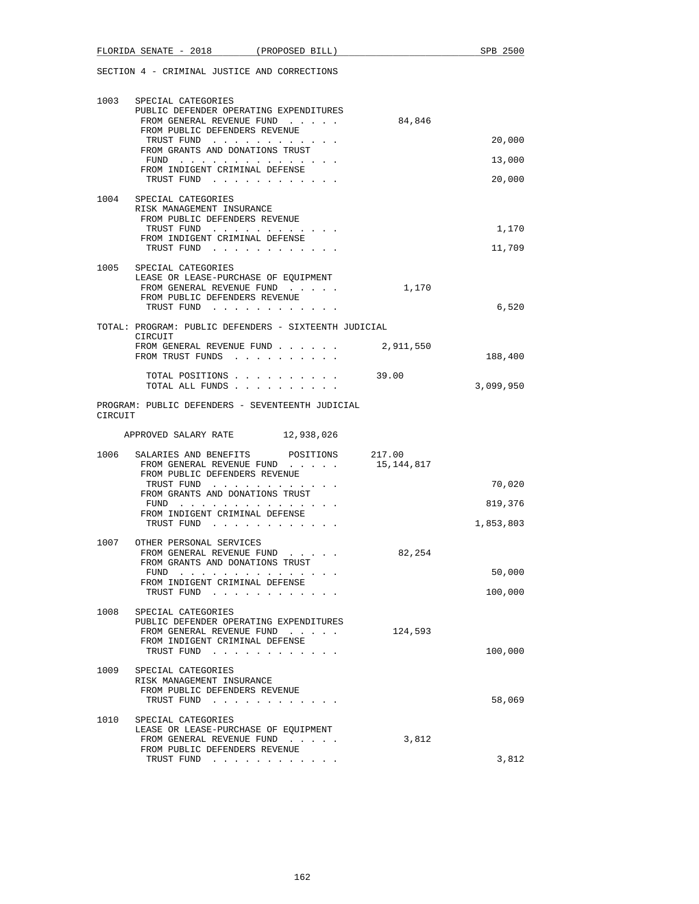| 1003    | SPECIAL CATEGORIES<br>PUBLIC DEFENDER OPERATING EXPENDITURES<br>FROM GENERAL REVENUE FUND<br>FROM PUBLIC DEFENDERS REVENUE             | 84,846               |           |
|---------|----------------------------------------------------------------------------------------------------------------------------------------|----------------------|-----------|
|         | TRUST FUND<br>FROM GRANTS AND DONATIONS TRUST                                                                                          |                      | 20,000    |
|         | $FUND$<br>FROM INDIGENT CRIMINAL DEFENSE                                                                                               |                      | 13,000    |
|         | TRUST FUND                                                                                                                             |                      | 20,000    |
| 1004    | SPECIAL CATEGORIES<br>RISK MANAGEMENT INSURANCE<br>FROM PUBLIC DEFENDERS REVENUE                                                       |                      |           |
|         | TRUST FUND<br>FROM INDIGENT CRIMINAL DEFENSE                                                                                           |                      | 1,170     |
|         | TRUST FUND                                                                                                                             |                      | 11,709    |
| 1005    | SPECIAL CATEGORIES<br>LEASE OR LEASE-PURCHASE OF EQUIPMENT<br>FROM GENERAL REVENUE FUND<br>FROM PUBLIC DEFENDERS REVENUE<br>TRUST FUND | 1,170                | 6,520     |
|         | TOTAL: PROGRAM: PUBLIC DEFENDERS - SIXTEENTH JUDICIAL                                                                                  |                      |           |
|         | CIRCUIT<br>FROM GENERAL REVENUE FUND<br>FROM TRUST FUNDS                                                                               | 2,911,550            | 188,400   |
|         | TOTAL POSITIONS<br>TOTAL ALL FUNDS                                                                                                     | 39.00                | 3,099,950 |
| CIRCUIT | PROGRAM: PUBLIC DEFENDERS - SEVENTEENTH JUDICIAL                                                                                       |                      |           |
|         | APPROVED SALARY RATE 12,938,026                                                                                                        |                      |           |
| 1006    | SALARIES AND BENEFITS<br>POSITIONS<br>FROM GENERAL REVENUE FUND<br>FROM PUBLIC DEFENDERS REVENUE                                       | 217.00<br>15,144,817 |           |
|         | TRUST FUND<br>FROM GRANTS AND DONATIONS TRUST                                                                                          |                      | 70,020    |
|         | FUND $\cdots$<br>FROM INDIGENT CRIMINAL DEFENSE                                                                                        |                      | 819,376   |
|         | TRUST FUND                                                                                                                             |                      | 1,853,803 |
| 1007    | OTHER PERSONAL SERVICES<br>FROM GENERAL REVENUE FUND<br>FROM GRANTS AND DONATIONS TRUST                                                | 82,254               |           |
|         | $FUND$<br>FROM INDIGENT CRIMINAL DEFENSE                                                                                               |                      | 50,000    |
|         | TRUST FUND                                                                                                                             |                      | 100,000   |
| 1008    | SPECIAL CATEGORIES                                                                                                                     |                      |           |
|         | PUBLIC DEFENDER OPERATING EXPENDITURES<br>FROM GENERAL REVENUE FUND                                                                    | 124,593              |           |
|         | FROM INDIGENT CRIMINAL DEFENSE<br>TRUST FUND                                                                                           |                      | 100,000   |
| 1009    | SPECIAL CATEGORIES<br>RISK MANAGEMENT INSURANCE<br>FROM PUBLIC DEFENDERS REVENUE                                                       |                      |           |
|         | TRUST FUND                                                                                                                             |                      | 58,069    |
| 1010    | SPECIAL CATEGORIES<br>LEASE OR LEASE-PURCHASE OF EQUIPMENT<br>FROM GENERAL REVENUE FUND                                                | 3,812                |           |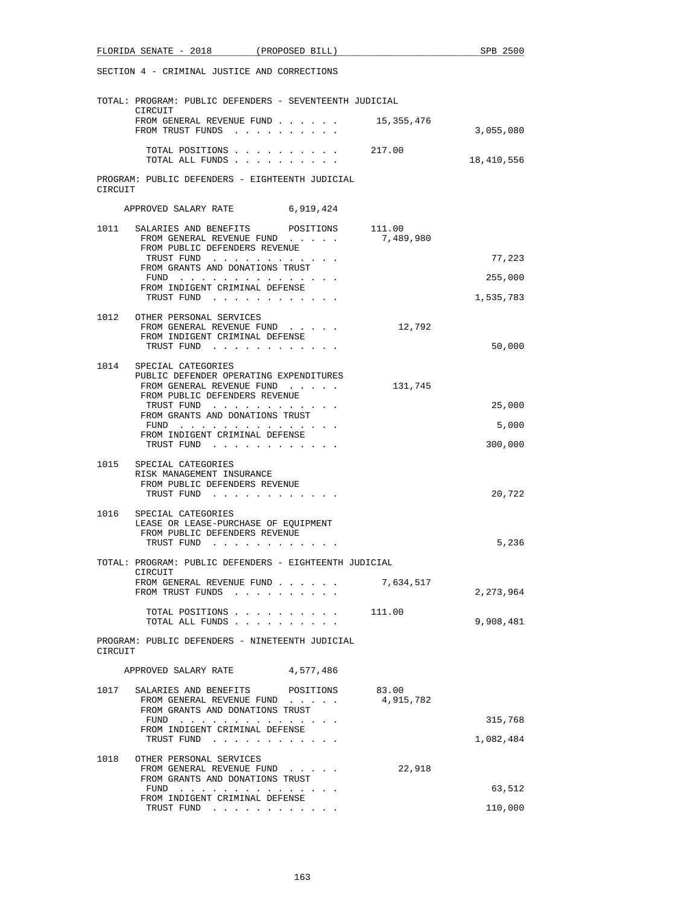| FLORIDA SENATE - 2018 (PROPOSED BILL)                                                                                        | SPB 2500    |
|------------------------------------------------------------------------------------------------------------------------------|-------------|
| SECTION 4 - CRIMINAL JUSTICE AND CORRECTIONS                                                                                 |             |
| TOTAL: PROGRAM: PUBLIC DEFENDERS - SEVENTEENTH JUDICIAL<br>CIRCUIT                                                           |             |
| FROM GENERAL REVENUE FUND 15,355,476<br>FROM TRUST FUNDS                                                                     | 3,055,080   |
| TOTAL POSITIONS 217.00<br>TOTAL ALL FUNDS                                                                                    | 18,410,556  |
| PROGRAM: PUBLIC DEFENDERS - EIGHTEENTH JUDICIAL<br>CIRCUIT                                                                   |             |
| APPROVED SALARY RATE 6,919,424                                                                                               |             |
| 1011 SALARIES AND BENEFITS<br>111.00<br>POSITIONS<br>7,489,980<br>FROM GENERAL REVENUE FUND<br>FROM PUBLIC DEFENDERS REVENUE |             |
| TRUST FUND<br>FROM GRANTS AND DONATIONS TRUST                                                                                | 77,223      |
| FUND $\cdots$                                                                                                                | 255,000     |
| FROM INDIGENT CRIMINAL DEFENSE<br>TRUST FUND                                                                                 | 1,535,783   |
| 1012 OTHER PERSONAL SERVICES<br>12,792<br>FROM GENERAL REVENUE FUND                                                          |             |
| FROM INDIGENT CRIMINAL DEFENSE<br>TRUST FUND                                                                                 | 50,000      |
| 1014<br>SPECIAL CATEGORIES<br>PUBLIC DEFENDER OPERATING EXPENDITURES<br>FROM GENERAL REVENUE FUND<br>131,745                 |             |
| FROM PUBLIC DEFENDERS REVENUE<br>TRUST FUND                                                                                  | 25,000      |
| FROM GRANTS AND DONATIONS TRUST<br>FUND                                                                                      | 5,000       |
| FROM INDIGENT CRIMINAL DEFENSE<br>TRUST FUND                                                                                 | 300,000     |
| 1015<br>SPECIAL CATEGORIES                                                                                                   |             |
| RISK MANAGEMENT INSURANCE<br>FROM PUBLIC DEFENDERS REVENUE<br>TRUST FUND                                                     | 20,722      |
| 1016 SPECIAL CATEGORIES                                                                                                      |             |
| LEASE OR LEASE-PURCHASE OF EQUIPMENT<br>FROM PUBLIC DEFENDERS REVENUE                                                        |             |
| TRUST FUND                                                                                                                   | 5,236       |
| TOTAL: PROGRAM: PUBLIC DEFENDERS - EIGHTEENTH JUDICIAL<br>CIRCUIT                                                            |             |
| FROM GENERAL REVENUE FUND<br>7,634,517<br>FROM TRUST FUNDS                                                                   | 2, 273, 964 |
| TOTAL POSITIONS<br>111.00<br>TOTAL ALL FUNDS                                                                                 | 9,908,481   |
| PROGRAM: PUBLIC DEFENDERS - NINETEENTH JUDICIAL<br>CIRCUIT                                                                   |             |
| 4,577,486<br>APPROVED SALARY RATE                                                                                            |             |
| 1017<br>SALARIES AND BENEFITS POSITIONS<br>83.00<br>4,915,782<br>FROM GENERAL REVENUE FUND                                   |             |
| FROM GRANTS AND DONATIONS TRUST<br>FUND                                                                                      | 315,768     |
| FROM INDIGENT CRIMINAL DEFENSE<br>TRUST FUND                                                                                 | 1,082,484   |
| 1018<br>OTHER PERSONAL SERVICES<br>22,918<br>FROM GENERAL REVENUE FUND<br>FROM GRANTS AND DONATIONS TRUST                    |             |
| FUND $\cdots$                                                                                                                | 63,512      |
| FROM INDIGENT CRIMINAL DEFENSE<br>TRUST FUND                                                                                 | 110,000     |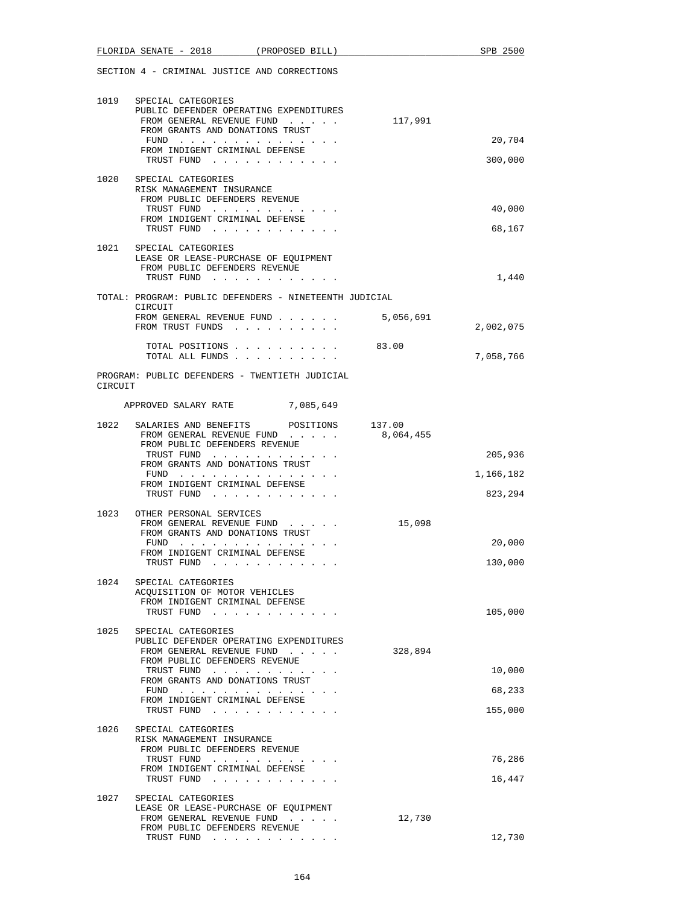|         | FLORIDA SENATE - 2018                                                                                                        | (PROPOSED BILL) |           | SPB 2500          |
|---------|------------------------------------------------------------------------------------------------------------------------------|-----------------|-----------|-------------------|
|         | SECTION 4 - CRIMINAL JUSTICE AND CORRECTIONS                                                                                 |                 |           |                   |
| 1019    | SPECIAL CATEGORIES<br>PUBLIC DEFENDER OPERATING EXPENDITURES<br>FROM GENERAL REVENUE FUND<br>FROM GRANTS AND DONATIONS TRUST |                 | 117,991   |                   |
|         | FUND                                                                                                                         |                 |           | 20,704            |
|         | FROM INDIGENT CRIMINAL DEFENSE<br>TRUST FUND                                                                                 |                 |           | 300,000           |
| 1020    | SPECIAL CATEGORIES<br>RISK MANAGEMENT INSURANCE                                                                              |                 |           |                   |
|         | FROM PUBLIC DEFENDERS REVENUE<br>TRUST FUND                                                                                  |                 |           | 40,000            |
|         | FROM INDIGENT CRIMINAL DEFENSE                                                                                               |                 |           |                   |
|         | TRUST FUND                                                                                                                   |                 |           | 68,167            |
|         | 1021 SPECIAL CATEGORIES<br>LEASE OR LEASE-PURCHASE OF EQUIPMENT<br>FROM PUBLIC DEFENDERS REVENUE                             |                 |           |                   |
|         | TRUST FUND                                                                                                                   |                 |           | 1,440             |
|         | TOTAL: PROGRAM: PUBLIC DEFENDERS - NINETEENTH JUDICIAL<br>CIRCUIT                                                            |                 |           |                   |
|         | FROM GENERAL REVENUE FUND 5,056,691<br>FROM TRUST FUNDS                                                                      |                 |           | 2,002,075         |
|         | TOTAL POSITIONS<br>TOTAL ALL FUNDS                                                                                           |                 | 83.00     | 7,058,766         |
| CIRCUIT | PROGRAM: PUBLIC DEFENDERS - TWENTIETH JUDICIAL                                                                               |                 |           |                   |
|         | APPROVED SALARY RATE 7,085,649                                                                                               |                 |           |                   |
| 1022    | SALARIES AND BENEFITS POSITIONS 137.00<br>FROM GENERAL REVENUE FUND<br>FROM PUBLIC DEFENDERS REVENUE                         |                 | 8,064,455 |                   |
|         | TRUST FUND<br>FROM GRANTS AND DONATIONS TRUST                                                                                |                 |           | 205,936           |
|         | FUND                                                                                                                         |                 |           | 1,166,182         |
|         | FROM INDIGENT CRIMINAL DEFENSE<br>TRUST FUND                                                                                 |                 |           | 823,294           |
| 1023    | OTHER PERSONAL SERVICES<br>FROM GENERAL REVENUE FUND<br>FROM GRANTS AND DONATIONS TRUST                                      |                 | 15,098    |                   |
|         | FUND $\cdots$<br>FROM INDIGENT CRIMINAL DEFENSE<br>TRUST FUND                                                                |                 |           | 20,000<br>130,000 |
| 1024    | SPECIAL CATEGORIES<br>ACOUISITION OF MOTOR VEHICLES                                                                          |                 |           |                   |
|         | FROM INDIGENT CRIMINAL DEFENSE<br>TRUST FUND                                                                                 |                 |           | 105,000           |
| 1025    | SPECIAL CATEGORIES                                                                                                           |                 |           |                   |
|         | PUBLIC DEFENDER OPERATING EXPENDITURES<br>FROM GENERAL REVENUE FUND                                                          |                 | 328,894   |                   |
|         | FROM PUBLIC DEFENDERS REVENUE<br>TRUST FUND                                                                                  |                 |           | 10,000            |
|         | FROM GRANTS AND DONATIONS TRUST<br>$FUND$                                                                                    |                 |           | 68,233            |
|         | FROM INDIGENT CRIMINAL DEFENSE<br>TRUST FUND                                                                                 |                 |           | 155,000           |
| 1026    | SPECIAL CATEGORIES                                                                                                           |                 |           |                   |
|         | RISK MANAGEMENT INSURANCE<br>FROM PUBLIC DEFENDERS REVENUE                                                                   |                 |           |                   |
|         | TRUST FUND<br>FROM INDIGENT CRIMINAL DEFENSE                                                                                 |                 |           | 76,286            |
|         | TRUST FUND                                                                                                                   |                 |           | 16,447            |
| 1027    | SPECIAL CATEGORIES<br>LEASE OR LEASE-PURCHASE OF EQUIPMENT                                                                   |                 |           |                   |
|         | FROM GENERAL REVENUE FUND<br>FROM PUBLIC DEFENDERS REVENUE                                                                   |                 | 12,730    |                   |
|         | TRUST FUND                                                                                                                   |                 |           | 12,730            |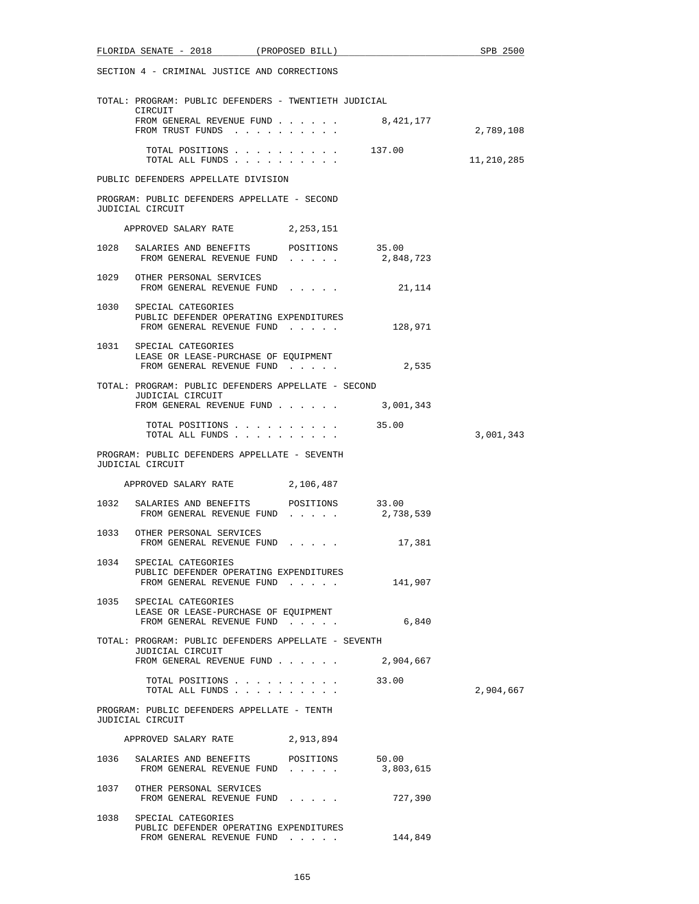|      | FLORIDA SENATE - 2018 (PROPOSED BILL)                                                                           |           |           | SPB 2500   |
|------|-----------------------------------------------------------------------------------------------------------------|-----------|-----------|------------|
|      | SECTION 4 - CRIMINAL JUSTICE AND CORRECTIONS                                                                    |           |           |            |
|      | TOTAL: PROGRAM: PUBLIC DEFENDERS - TWENTIETH JUDICIAL<br>CIRCUIT                                                |           |           |            |
|      | FROM GENERAL REVENUE FUND $\ldots$ 8,421,177<br>FROM TRUST FUNDS                                                |           |           | 2,789,108  |
|      | TOTAL POSITIONS<br>TOTAL ALL FUNDS                                                                              |           | 137.00    | 11,210,285 |
|      | PUBLIC DEFENDERS APPELLATE DIVISION                                                                             |           |           |            |
|      | PROGRAM: PUBLIC DEFENDERS APPELLATE - SECOND<br>JUDICIAL CIRCUIT                                                |           |           |            |
|      | APPROVED SALARY RATE 2, 253, 151                                                                                |           |           |            |
| 1028 | SALARIES AND BENEFITS POSITIONS 35.00<br>FROM GENERAL REVENUE FUND                                              |           | 2,848,723 |            |
|      | 1029 OTHER PERSONAL SERVICES<br>FROM GENERAL REVENUE FUND                                                       |           | 21,114    |            |
|      | 1030 SPECIAL CATEGORIES<br>PUBLIC DEFENDER OPERATING EXPENDITURES<br>FROM GENERAL REVENUE FUND                  |           | 128,971   |            |
|      | 1031 SPECIAL CATEGORIES<br>LEASE OR LEASE-PURCHASE OF EQUIPMENT<br>FROM GENERAL REVENUE FUND                    |           | 2,535     |            |
|      | TOTAL: PROGRAM: PUBLIC DEFENDERS APPELLATE - SECOND                                                             |           |           |            |
|      | JUDICIAL CIRCUIT<br>FROM GENERAL REVENUE FUND 3,001,343                                                         |           |           |            |
|      | TOTAL POSITIONS<br>TOTAL ALL FUNDS                                                                              |           | 35.00     | 3,001,343  |
|      | PROGRAM: PUBLIC DEFENDERS APPELLATE - SEVENTH<br>JUDICIAL CIRCUIT                                               |           |           |            |
|      | APPROVED SALARY RATE 2,106,487                                                                                  |           |           |            |
|      | 1032 SALARIES AND BENEFITS POSITIONS 33.00<br>FROM GENERAL REVENUE FUND                                         |           | 2,738,539 |            |
|      | 1033 OTHER PERSONAL SERVICES<br>FROM GENERAL REVENUE FUND                                                       |           | 17,381    |            |
| 1034 | SPECIAL CATEGORIES<br>PUBLIC DEFENDER OPERATING EXPENDITURES<br>FROM GENERAL REVENUE FUND                       |           | 141,907   |            |
|      | 1035 SPECIAL CATEGORIES<br>LEASE OR LEASE-PURCHASE OF EQUIPMENT<br>FROM GENERAL REVENUE FUND                    |           | 6,840     |            |
|      | TOTAL: PROGRAM: PUBLIC DEFENDERS APPELLATE - SEVENTH<br>JUDICIAL CIRCUIT<br>FROM GENERAL REVENUE FUND 2,904,667 |           |           |            |
|      | TOTAL POSITIONS 33.00<br>TOTAL ALL FUNDS                                                                        |           |           | 2,904,667  |
|      | PROGRAM: PUBLIC DEFENDERS APPELLATE - TENTH<br>JUDICIAL CIRCUIT                                                 |           |           |            |
|      | APPROVED SALARY RATE 2,913,894                                                                                  |           |           |            |
|      | 1036 SALARIES AND BENEFITS<br>FROM GENERAL REVENUE FUND $\ldots$ $\ldots$ 3,803,615                             | POSITIONS | 50.00     |            |
|      | 1037 OTHER PERSONAL SERVICES<br>FROM GENERAL REVENUE FUND 727,390                                               |           |           |            |
|      | 1038 SPECIAL CATEGORIES<br>PUBLIC DEFENDER OPERATING EXPENDITURES<br>FROM GENERAL REVENUE FUND                  |           | 144,849   |            |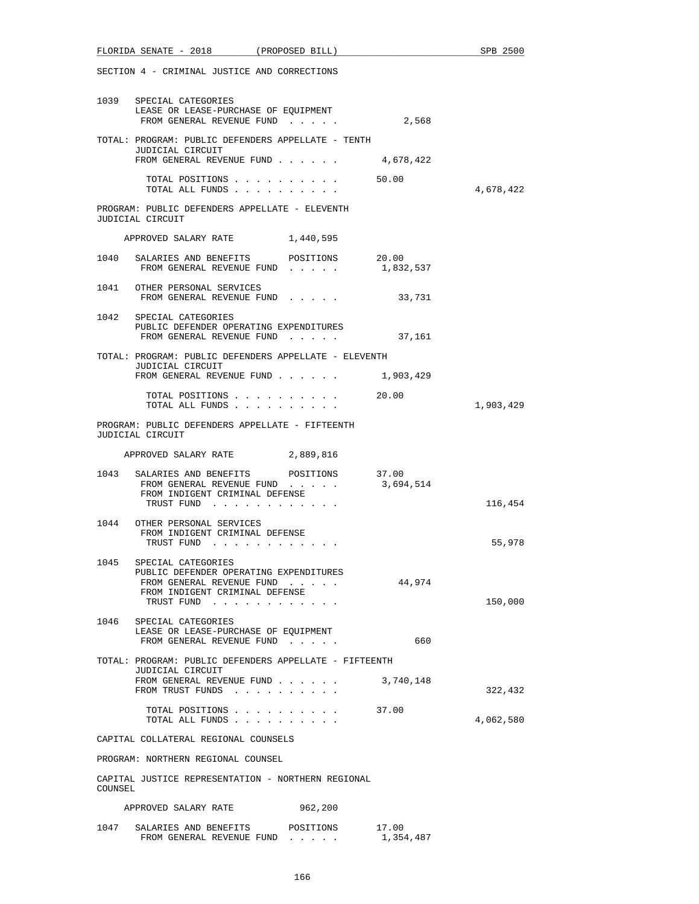| FLORIDA SENATE - 2018 (PROPOSED BILL)                                                                                                             | SPB 2500                      |
|---------------------------------------------------------------------------------------------------------------------------------------------------|-------------------------------|
| SECTION 4 - CRIMINAL JUSTICE AND CORRECTIONS                                                                                                      |                               |
| 1039 SPECIAL CATEGORIES<br>LEASE OR LEASE-PURCHASE OF EQUIPMENT<br>FROM GENERAL REVENUE FUND 2,568                                                |                               |
| TOTAL: PROGRAM: PUBLIC DEFENDERS APPELLATE - TENTH<br>JUDICIAL CIRCUIT<br>FROM GENERAL REVENUE FUND 4,678,422                                     |                               |
| TOTAL POSITIONS 50.00<br>TOTAL ALL FUNDS                                                                                                          | 4,678,422                     |
| PROGRAM: PUBLIC DEFENDERS APPELLATE - ELEVENTH<br>JUDICIAL CIRCUIT                                                                                |                               |
| APPROVED SALARY RATE 1,440,595                                                                                                                    |                               |
| 1040 SALARIES AND BENEFITS POSITIONS 20.00<br>FROM GENERAL REVENUE FUND                                                                           | 1,832,537                     |
| 1041 OTHER PERSONAL SERVICES<br>FROM GENERAL REVENUE FUND 33,731                                                                                  |                               |
| 1042 SPECIAL CATEGORIES<br>PUBLIC DEFENDER OPERATING EXPENDITURES<br>FROM GENERAL REVENUE FUND                                                    | 37,161                        |
| TOTAL: PROGRAM: PUBLIC DEFENDERS APPELLATE - ELEVENTH                                                                                             |                               |
| JUDICIAL CIRCUIT<br>FROM GENERAL REVENUE FUND 1,903,429                                                                                           |                               |
| TOTAL POSITIONS 20.00<br>TOTAL ALL FUNDS                                                                                                          | 1,903,429                     |
| PROGRAM: PUBLIC DEFENDERS APPELLATE - FIFTEENTH<br>JUDICIAL CIRCUIT                                                                               |                               |
| APPROVED SALARY RATE 2,889,816                                                                                                                    |                               |
| SALARIES AND BENEFITS<br>1043<br>POSITIONS<br>FROM GENERAL REVENUE FUND<br>FROM INDIGENT CRIMINAL DEFENSE<br>TRUST FUND                           | 37.00<br>3,694,514<br>116,454 |
| 1044 OTHER PERSONAL SERVICES<br>FROM INDIGENT CRIMINAL DEFENSE<br>TRUST FUND                                                                      | 55,978                        |
| SPECIAL CATEGORIES<br>1045<br>PUBLIC DEFENDER OPERATING EXPENDITURES<br>FROM GENERAL REVENUE FUND<br>FROM INDIGENT CRIMINAL DEFENSE<br>TRUST FUND | 44,974<br>150,000             |
| 1046 SPECIAL CATEGORIES<br>LEASE OR LEASE-PURCHASE OF EQUIPMENT<br>FROM GENERAL REVENUE FUND                                                      | 660                           |
| TOTAL: PROGRAM: PUBLIC DEFENDERS APPELLATE - FIFTEENTH                                                                                            |                               |
| JUDICIAL CIRCUIT<br>FROM GENERAL REVENUE FUND<br>FROM TRUST FUNDS                                                                                 | 3,740,148<br>322,432          |
| TOTAL POSITIONS 37.00<br>TOTAL ALL FUNDS                                                                                                          | 4,062,580                     |
| CAPITAL COLLATERAL REGIONAL COUNSELS                                                                                                              |                               |
| PROGRAM: NORTHERN REGIONAL COUNSEL                                                                                                                |                               |
| CAPITAL JUSTICE REPRESENTATION - NORTHERN REGIONAL<br>COUNSEL                                                                                     |                               |
| 962,200<br>APPROVED SALARY RATE                                                                                                                   |                               |
| SALARIES AND BENEFITS POSITIONS 17.00<br>1047<br>FROM GENERAL REVENUE FUND                                                                        | 1,354,487                     |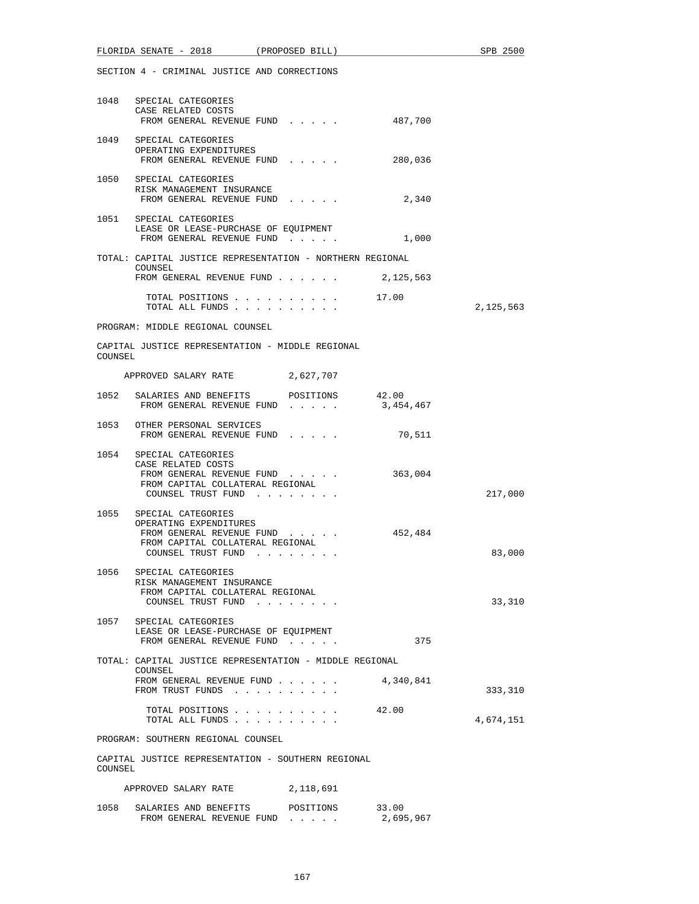| FLORIDA SENATE - 2018 (PROPOSED BILL)                                                                                                                  | SPB 2500  |  |  |  |  |
|--------------------------------------------------------------------------------------------------------------------------------------------------------|-----------|--|--|--|--|
| SECTION 4 - CRIMINAL JUSTICE AND CORRECTIONS                                                                                                           |           |  |  |  |  |
| 1048 SPECIAL CATEGORIES<br>CASE RELATED COSTS<br>FROM GENERAL REVENUE FUND<br>487,700                                                                  |           |  |  |  |  |
| 1049 SPECIAL CATEGORIES<br>OPERATING EXPENDITURES<br>FROM GENERAL REVENUE FUND<br>280,036                                                              |           |  |  |  |  |
| 1050 SPECIAL CATEGORIES<br>RISK MANAGEMENT INSURANCE<br>2,340<br>FROM GENERAL REVENUE FUND                                                             |           |  |  |  |  |
| 1051 SPECIAL CATEGORIES<br>LEASE OR LEASE-PURCHASE OF EQUIPMENT<br>FROM GENERAL REVENUE FUND<br>1,000                                                  |           |  |  |  |  |
| TOTAL: CAPITAL JUSTICE REPRESENTATION - NORTHERN REGIONAL<br>COUNSEL<br>FROM GENERAL REVENUE FUND $\ldots$ 2, 125, 563                                 |           |  |  |  |  |
| 17.00<br>TOTAL POSITIONS<br>TOTAL ALL FUNDS                                                                                                            | 2,125,563 |  |  |  |  |
| PROGRAM: MIDDLE REGIONAL COUNSEL                                                                                                                       |           |  |  |  |  |
| CAPITAL JUSTICE REPRESENTATION - MIDDLE REGIONAL<br>COUNSEL                                                                                            |           |  |  |  |  |
| APPROVED SALARY RATE 2,627,707                                                                                                                         |           |  |  |  |  |
| 1052 SALARIES AND BENEFITS POSITIONS 42.00<br>FROM GENERAL REVENUE FUND<br>3,454,467                                                                   |           |  |  |  |  |
| 1053 OTHER PERSONAL SERVICES<br>FROM GENERAL REVENUE FUND<br>70,511                                                                                    |           |  |  |  |  |
| 1054 SPECIAL CATEGORIES<br>CASE RELATED COSTS<br>363,004<br>FROM GENERAL REVENUE FUND<br>FROM CAPITAL COLLATERAL REGIONAL<br>COUNSEL TRUST FUND        | 217,000   |  |  |  |  |
| 1055<br>SPECIAL CATEGORIES<br>OPERATING EXPENDITURES<br>452,484<br>FROM GENERAL REVENUE FUND<br>FROM CAPITAL COLLATERAL REGIONAL<br>COUNSEL TRUST FUND | 83,000    |  |  |  |  |
| 1056 SPECIAL CATEGORIES<br>RISK MANAGEMENT INSURANCE<br>FROM CAPITAL COLLATERAL REGIONAL<br>COUNSEL TRUST FUND                                         | 33,310    |  |  |  |  |
| 1057 SPECIAL CATEGORIES<br>LEASE OR LEASE-PURCHASE OF EQUIPMENT<br>FROM GENERAL REVENUE FUND<br>375                                                    |           |  |  |  |  |
| TOTAL: CAPITAL JUSTICE REPRESENTATION - MIDDLE REGIONAL<br>COUNSEL<br>4,340,841<br>FROM GENERAL REVENUE FUND                                           |           |  |  |  |  |
| FROM TRUST FUNDS<br>TOTAL POSITIONS 42.00                                                                                                              | 333,310   |  |  |  |  |
| TOTAL ALL FUNDS                                                                                                                                        | 4,674,151 |  |  |  |  |
| PROGRAM: SOUTHERN REGIONAL COUNSEL                                                                                                                     |           |  |  |  |  |
| CAPITAL JUSTICE REPRESENTATION - SOUTHERN REGIONAL<br>COUNSEL                                                                                          |           |  |  |  |  |
| 2,118,691<br>APPROVED SALARY RATE                                                                                                                      |           |  |  |  |  |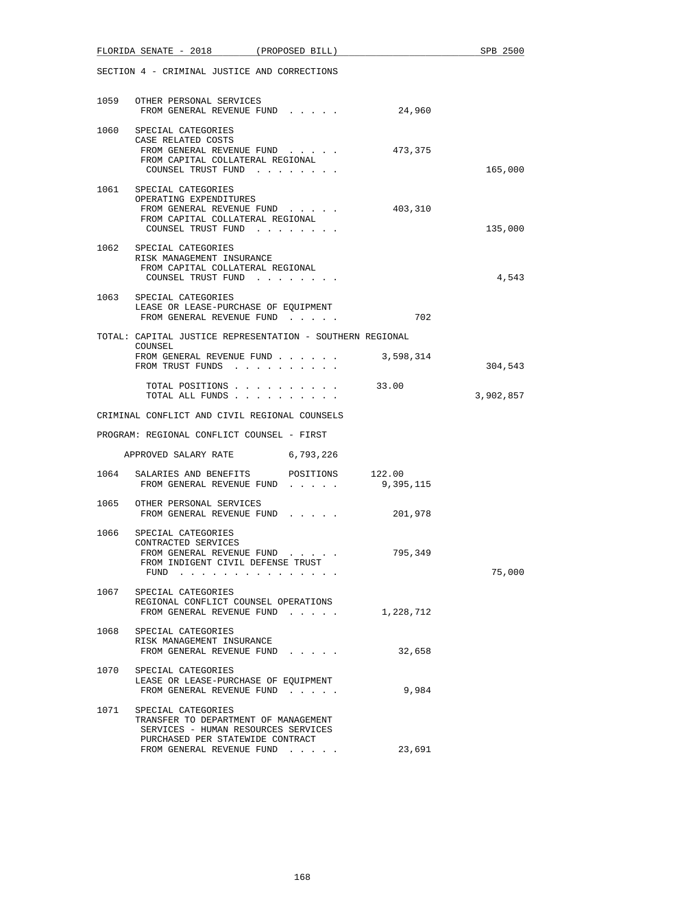|      | $FLORIDA$ SENATE - 2018 (PROPOSED BILL)                                                                                                  |                                                            |           | SPB 2500  |
|------|------------------------------------------------------------------------------------------------------------------------------------------|------------------------------------------------------------|-----------|-----------|
|      | SECTION 4 - CRIMINAL JUSTICE AND CORRECTIONS                                                                                             |                                                            |           |           |
|      | 1059 OTHER PERSONAL SERVICES<br>FROM GENERAL REVENUE FUND                                                                                |                                                            | 24,960    |           |
|      | 1060 SPECIAL CATEGORIES<br>CASE RELATED COSTS<br>FROM GENERAL REVENUE FUND<br>FROM CAPITAL COLLATERAL REGIONAL<br>COUNSEL TRUST FUND     |                                                            | 473,375   | 165,000   |
|      | 1061 SPECIAL CATEGORIES<br>OPERATING EXPENDITURES<br>FROM GENERAL REVENUE FUND<br>FROM CAPITAL COLLATERAL REGIONAL<br>COUNSEL TRUST FUND |                                                            | 403,310   | 135,000   |
|      | 1062 SPECIAL CATEGORIES<br>RISK MANAGEMENT INSURANCE<br>FROM CAPITAL COLLATERAL REGIONAL<br>COUNSEL TRUST FUND                           |                                                            |           | 4,543     |
|      | 1063 SPECIAL CATEGORIES<br>LEASE OR LEASE-PURCHASE OF EQUIPMENT<br>FROM GENERAL REVENUE FUND                                             |                                                            | 702       |           |
|      | TOTAL: CAPITAL JUSTICE REPRESENTATION - SOUTHERN REGIONAL                                                                                |                                                            |           |           |
|      | COUNSEL<br>FROM GENERAL REVENUE FUND 3,598,314<br>FROM TRUST FUNDS                                                                       |                                                            |           | 304,543   |
|      | TOTAL POSITIONS<br>TOTAL ALL FUNDS                                                                                                       |                                                            | 33.00     | 3,902,857 |
|      | CRIMINAL CONFLICT AND CIVIL REGIONAL COUNSELS                                                                                            |                                                            |           |           |
|      | PROGRAM: REGIONAL CONFLICT COUNSEL - FIRST                                                                                               |                                                            |           |           |
|      | APPROVED SALARY RATE 6,793,226                                                                                                           |                                                            |           |           |
|      | 1064 SALARIES AND BENEFITS POSITIONS 122.00<br>FROM GENERAL REVENUE FUND                                                                 |                                                            | 9,395,115 |           |
|      | 1065 OTHER PERSONAL SERVICES<br>FROM GENERAL REVENUE FUND                                                                                |                                                            | 201,978   |           |
| 1066 | SPECIAL CATEGORIES<br>CONTRACTED SERVICES<br>FROM GENERAL REVENUE FUND<br>FROM INDIGENT CIVIL DEFENSE TRUST<br>FUND                      | $\alpha$ , and $\alpha$ , and $\alpha$ , and $\alpha$<br>. | 795,349   | 75,000    |
| 1067 | SPECIAL CATEGORIES<br>REGIONAL CONFLICT COUNSEL OPERATIONS<br>FROM GENERAL REVENUE FUND                                                  |                                                            | 1,228,712 |           |
|      | 1068 SPECIAL CATEGORIES<br>RISK MANAGEMENT INSURANCE<br>FROM GENERAL REVENUE FUND                                                        |                                                            | 32,658    |           |
|      | 1070 SPECIAL CATEGORIES<br>LEASE OR LEASE-PURCHASE OF EQUIPMENT<br>FROM GENERAL REVENUE FUND                                             |                                                            | 9,984     |           |
| 1071 | SPECIAL CATEGORIES<br>TRANSFER TO DEPARTMENT OF MANAGEMENT<br>SERVICES - HUMAN RESOURCES SERVICES<br>PURCHASED PER STATEWIDE CONTRACT    |                                                            |           |           |
|      | FROM GENERAL REVENUE FUND                                                                                                                |                                                            | 23,691    |           |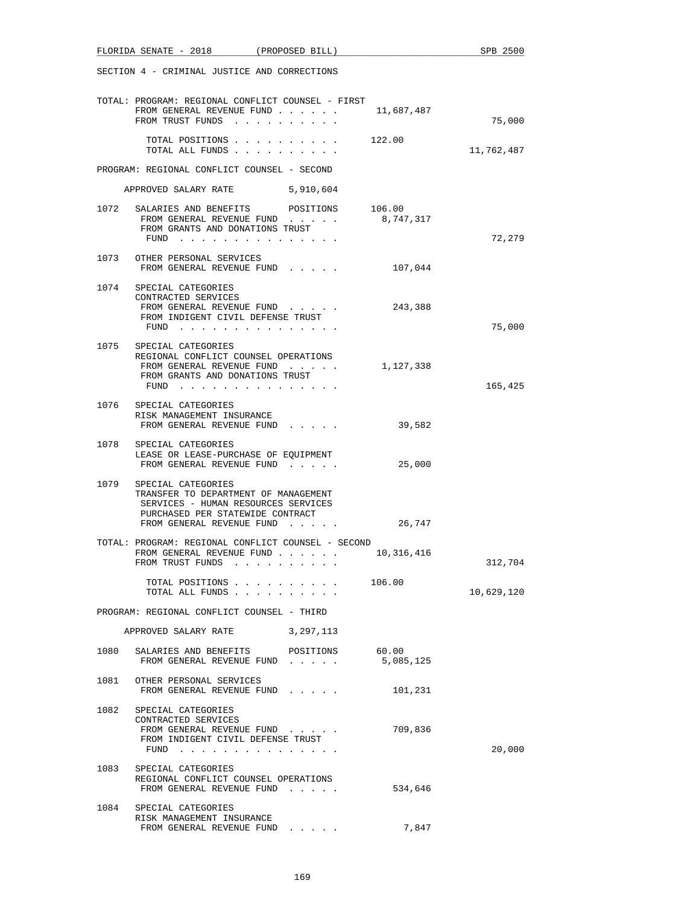|      | FLORIDA SENATE - 2018 (PROPOSED BILL)                                                                                                                                   |                    | SPB 2500   |
|------|-------------------------------------------------------------------------------------------------------------------------------------------------------------------------|--------------------|------------|
|      | SECTION 4 - CRIMINAL JUSTICE AND CORRECTIONS                                                                                                                            |                    |            |
|      | TOTAL: PROGRAM: REGIONAL CONFLICT COUNSEL - FIRST<br>FROM GENERAL REVENUE FUND<br>FROM TRUST FUNDS                                                                      | 11,687,487         | 75,000     |
|      | TOTAL POSITIONS 122.00<br>TOTAL ALL FUNDS                                                                                                                               |                    | 11,762,487 |
|      | PROGRAM: REGIONAL CONFLICT COUNSEL - SECOND                                                                                                                             |                    |            |
|      | APPROVED SALARY RATE 5,910,604                                                                                                                                          |                    |            |
|      | 1072 SALARIES AND BENEFITS POSITIONS 106.00<br>FROM GENERAL REVENUE FUND<br>FROM GRANTS AND DONATIONS TRUST<br>FUND $\cdots$                                            | 8,747,317          | 72,279     |
|      | 1073 OTHER PERSONAL SERVICES<br>FROM GENERAL REVENUE FUND                                                                                                               | 107,044            |            |
| 1074 | SPECIAL CATEGORIES<br>CONTRACTED SERVICES<br>FROM GENERAL REVENUE FUND<br>FROM INDIGENT CIVIL DEFENSE TRUST<br>FUND                                                     | 243,388            | 75,000     |
|      | 1075 SPECIAL CATEGORIES<br>REGIONAL CONFLICT COUNSEL OPERATIONS<br>FROM GENERAL REVENUE FUND<br>FROM GRANTS AND DONATIONS TRUST<br>FUND $\cdots$                        | 1,127,338          | 165,425    |
|      | 1076 SPECIAL CATEGORIES<br>RISK MANAGEMENT INSURANCE<br>FROM GENERAL REVENUE FUND                                                                                       | 39,582             |            |
| 1078 | SPECIAL CATEGORIES<br>LEASE OR LEASE-PURCHASE OF EQUIPMENT<br>FROM GENERAL REVENUE FUND                                                                                 | 25,000             |            |
|      | 1079 SPECIAL CATEGORIES<br>TRANSFER TO DEPARTMENT OF MANAGEMENT<br>SERVICES - HUMAN RESOURCES SERVICES<br>PURCHASED PER STATEWIDE CONTRACT<br>FROM GENERAL REVENUE FUND | 26,747             |            |
|      | TOTAL: PROGRAM: REGIONAL CONFLICT COUNSEL - SECOND<br>FROM GENERAL REVENUE FUND<br>FROM TRUST FUNDS                                                                     | 10,316,416         | 312,704    |
|      | TOTAL POSITIONS<br>TOTAL ALL FUNDS                                                                                                                                      | 106.00             | 10,629,120 |
|      | PROGRAM: REGIONAL CONFLICT COUNSEL - THIRD                                                                                                                              |                    |            |
|      | APPROVED SALARY RATE 3, 297, 113                                                                                                                                        |                    |            |
| 1080 | SALARIES AND BENEFITS POSITIONS<br>FROM GENERAL REVENUE FUND                                                                                                            | 60.00<br>5,085,125 |            |
|      | 1081 OTHER PERSONAL SERVICES<br>FROM GENERAL REVENUE FUND                                                                                                               | 101,231            |            |
|      | 1082 SPECIAL CATEGORIES<br>CONTRACTED SERVICES<br>FROM GENERAL REVENUE FUND<br>FROM INDIGENT CIVIL DEFENSE TRUST<br>FUND                                                | 709,836            | 20,000     |
|      | 1083 SPECIAL CATEGORIES<br>REGIONAL CONFLICT COUNSEL OPERATIONS<br>FROM GENERAL REVENUE FUND                                                                            | 534,646            |            |
| 1084 | SPECIAL CATEGORIES<br>RISK MANAGEMENT INSURANCE<br>FROM GENERAL REVENUE FUND                                                                                            | 7,847              |            |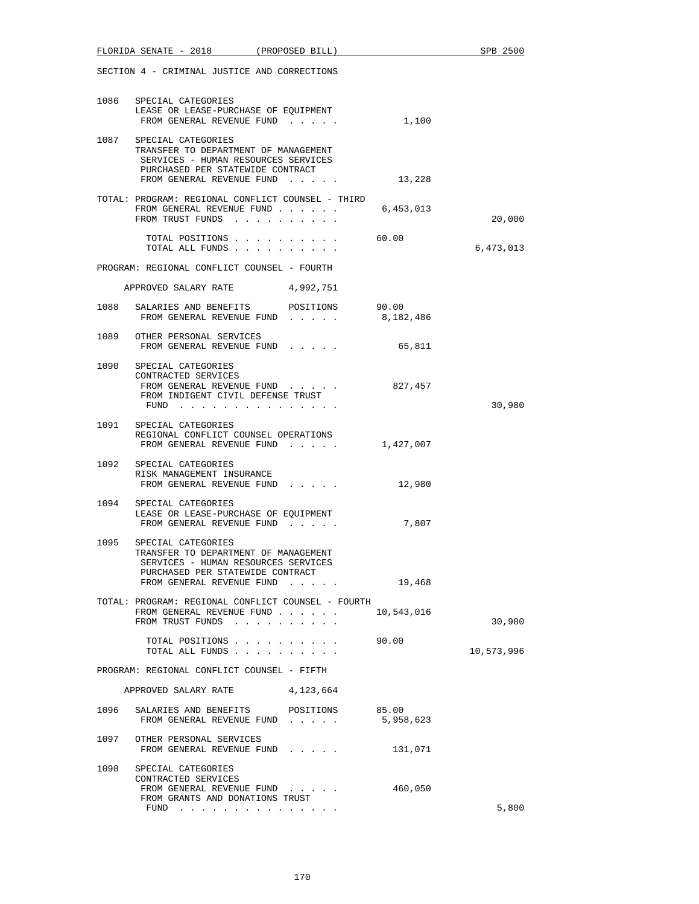|      | FLORIDA SENATE - 2018                                                                                                                                                   | (PROPOSED BILL)                   |            | SPB 2500   |
|------|-------------------------------------------------------------------------------------------------------------------------------------------------------------------------|-----------------------------------|------------|------------|
|      | SECTION 4 - CRIMINAL JUSTICE AND CORRECTIONS                                                                                                                            |                                   |            |            |
|      | 1086 SPECIAL CATEGORIES<br>LEASE OR LEASE-PURCHASE OF EQUIPMENT<br>FROM GENERAL REVENUE FUND                                                                            |                                   | 1,100      |            |
|      | 1087 SPECIAL CATEGORIES<br>TRANSFER TO DEPARTMENT OF MANAGEMENT<br>SERVICES - HUMAN RESOURCES SERVICES<br>PURCHASED PER STATEWIDE CONTRACT                              | FROM GENERAL REVENUE FUND 13,228  |            |            |
|      | TOTAL: PROGRAM: REGIONAL CONFLICT COUNSEL - THIRD<br>FROM GENERAL REVENUE FUND<br>FROM TRUST FUNDS                                                                      |                                   | 6,453,013  | 20,000     |
|      | TOTAL POSITIONS<br>TOTAL ALL FUNDS                                                                                                                                      |                                   | 60.00      | 6,473,013  |
|      | PROGRAM: REGIONAL CONFLICT COUNSEL - FOURTH                                                                                                                             |                                   |            |            |
|      | APPROVED SALARY RATE 4,992,751                                                                                                                                          |                                   |            |            |
|      | 1088 SALARIES AND BENEFITS POSITIONS 90.00<br>FROM GENERAL REVENUE FUND 8,182,486                                                                                       |                                   |            |            |
|      | 1089 OTHER PERSONAL SERVICES<br>FROM GENERAL REVENUE FUND                                                                                                               |                                   | 65,811     |            |
|      | 1090 SPECIAL CATEGORIES<br>CONTRACTED SERVICES<br>FROM INDIGENT CIVIL DEFENSE TRUST<br>FUND                                                                             | FROM GENERAL REVENUE FUND 827,457 |            | 30,980     |
|      | 1091 SPECIAL CATEGORIES<br>REGIONAL CONFLICT COUNSEL OPERATIONS<br>FROM GENERAL REVENUE FUND $1,427,007$                                                                |                                   |            |            |
|      | 1092 SPECIAL CATEGORIES<br>RISK MANAGEMENT INSURANCE<br>FROM GENERAL REVENUE FUND                                                                                       |                                   | 12,980     |            |
|      | 1094 SPECIAL CATEGORIES<br>LEASE OR LEASE-PURCHASE OF EQUIPMENT<br>FROM GENERAL REVENUE FUND                                                                            |                                   | 7,807      |            |
|      | 1095 SPECIAL CATEGORIES<br>TRANSFER TO DEPARTMENT OF MANAGEMENT<br>SERVICES - HUMAN RESOURCES SERVICES<br>PURCHASED PER STATEWIDE CONTRACT<br>FROM GENERAL REVENUE FUND |                                   | 19,468     |            |
|      | TOTAL: PROGRAM: REGIONAL CONFLICT COUNSEL - FOURTH<br>FROM GENERAL REVENUE FUND<br>FROM TRUST FUNDS                                                                     |                                   | 10,543,016 | 30,980     |
|      | TOTAL POSITIONS<br>TOTAL ALL FUNDS                                                                                                                                      |                                   | 90.00      | 10,573,996 |
|      | PROGRAM: REGIONAL CONFLICT COUNSEL - FIFTH                                                                                                                              |                                   |            |            |
|      | APPROVED SALARY RATE                                                                                                                                                    | 4,123,664                         |            |            |
| 1096 | SALARIES AND BENEFITS<br>FROM GENERAL REVENUE FUND $\ldots$ $\qquad$ 5,958,623                                                                                          | POSITIONS                         | 85.00      |            |
|      | 1097 OTHER PERSONAL SERVICES<br>FROM GENERAL REVENUE FUND                                                                                                               |                                   | 131,071    |            |
|      | 1098 SPECIAL CATEGORIES<br>CONTRACTED SERVICES<br>FROM GENERAL REVENUE FUND<br>FROM GRANTS AND DONATIONS TRUST                                                          |                                   | 460,050    | 5,800      |
|      | FUND $\cdots$                                                                                                                                                           |                                   |            |            |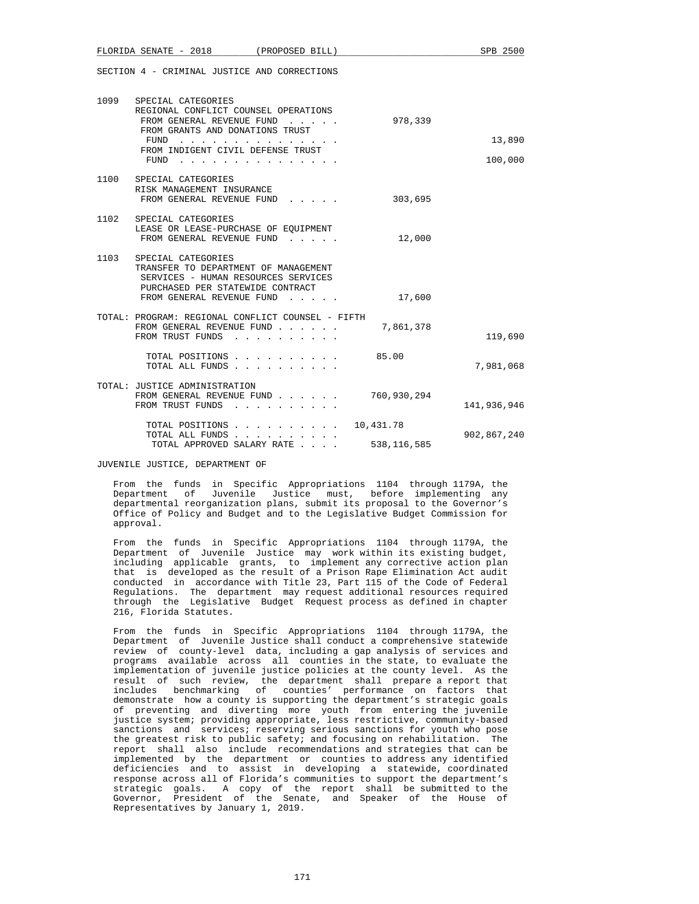|      | FLORIDA SENATE - 2018                                                                                                                                                                | (PROPOSED BILL)                                                                                                                                                                                                                                                          |                            | SPB 2500          |
|------|--------------------------------------------------------------------------------------------------------------------------------------------------------------------------------------|--------------------------------------------------------------------------------------------------------------------------------------------------------------------------------------------------------------------------------------------------------------------------|----------------------------|-------------------|
|      | SECTION 4 - CRIMINAL JUSTICE AND CORRECTIONS                                                                                                                                         |                                                                                                                                                                                                                                                                          |                            |                   |
|      | 1099 SPECIAL CATEGORIES<br>REGIONAL CONFLICT COUNSEL OPERATIONS<br>FROM GENERAL REVENUE FUND<br>FROM GRANTS AND DONATIONS TRUST<br>FUND<br>FROM INDIGENT CIVIL DEFENSE TRUST<br>FUND | and a straightful and a straight and a<br>the contract of the contract of the contract of the contract of the contract of the contract of the contract of the contract of the contract of the contract of the contract of the contract of the contract of the contract o | 978,339                    | 13,890<br>100,000 |
| 1100 | SPECIAL CATEGORIES<br>RISK MANAGEMENT INSURANCE<br>FROM GENERAL REVENUE FUND                                                                                                         | and a state of the state                                                                                                                                                                                                                                                 | 303,695                    |                   |
| 1102 | SPECIAL CATEGORIES<br>LEASE OR LEASE-PURCHASE OF EQUIPMENT<br>FROM GENERAL REVENUE FUND                                                                                              |                                                                                                                                                                                                                                                                          | 12,000                     |                   |
| 1103 | SPECIAL CATEGORIES<br>TRANSFER TO DEPARTMENT OF MANAGEMENT<br>SERVICES - HUMAN RESOURCES SERVICES<br>PURCHASED PER STATEWIDE CONTRACT<br>FROM GENERAL REVENUE FUND                   |                                                                                                                                                                                                                                                                          | 17,600                     |                   |
|      | TOTAL: PROGRAM: REGIONAL CONFLICT COUNSEL - FIFTH<br>FROM GENERAL REVENUE FUND<br>FROM TRUST FUNDS                                                                                   |                                                                                                                                                                                                                                                                          | 7,861,378                  | 119,690           |
|      |                                                                                                                                                                                      | TOTAL POSITIONS<br>TOTAL ALL FUNDS                                                                                                                                                                                                                                       | 85.00                      | 7,981,068         |
|      | TOTAL: JUSTICE ADMINISTRATION<br>FROM GENERAL REVENUE FUND<br>FROM TRUST FUNDS                                                                                                       |                                                                                                                                                                                                                                                                          | 760,930,294                | 141,936,946       |
|      |                                                                                                                                                                                      | TOTAL POSITIONS<br>TOTAL ALL FUNDS<br>TOTAL APPROVED SALARY RATE                                                                                                                                                                                                         | 10,431.78<br>538, 116, 585 | 902,867,240       |

JUVENILE JUSTICE, DEPARTMENT OF

 From the funds in Specific Appropriations 1104 through 1179A, the Department of Juvenile Justice must, before implementing any departmental reorganization plans, submit its proposal to the Governor's Office of Policy and Budget and to the Legislative Budget Commission for approval.

 From the funds in Specific Appropriations 1104 through 1179A, the Department of Juvenile Justice may work within its existing budget, including applicable grants, to implement any corrective action plan that is developed as the result of a Prison Rape Elimination Act audit conducted in accordance with Title 23, Part 115 of the Code of Federal Regulations. The department may request additional resources required through the Legislative Budget Request process as defined in chapter 216, Florida Statutes.

 From the funds in Specific Appropriations 1104 through 1179A, the Department of Juvenile Justice shall conduct a comprehensive statewide review of county-level data, including a gap analysis of services and programs available across all counties in the state, to evaluate the implementation of juvenile justice policies at the county level. As the result of such review, the department shall prepare a report that includes benchmarking of counties' performance on factors that demonstrate how a county is supporting the department's strategic goals of preventing and diverting more youth from entering the juvenile justice system; providing appropriate, less restrictive, community-based sanctions and services; reserving serious sanctions for youth who pose the greatest risk to public safety; and focusing on rehabilitation. The report shall also include recommendations and strategies that can be implemented by the department or counties to address any identified deficiencies and to assist in developing a statewide, coordinated response across all of Florida's communities to support the department's strategic goals. A copy of the report shall be submitted to the Governor, President of the Senate, and Speaker of the House of Representatives by January 1, 2019.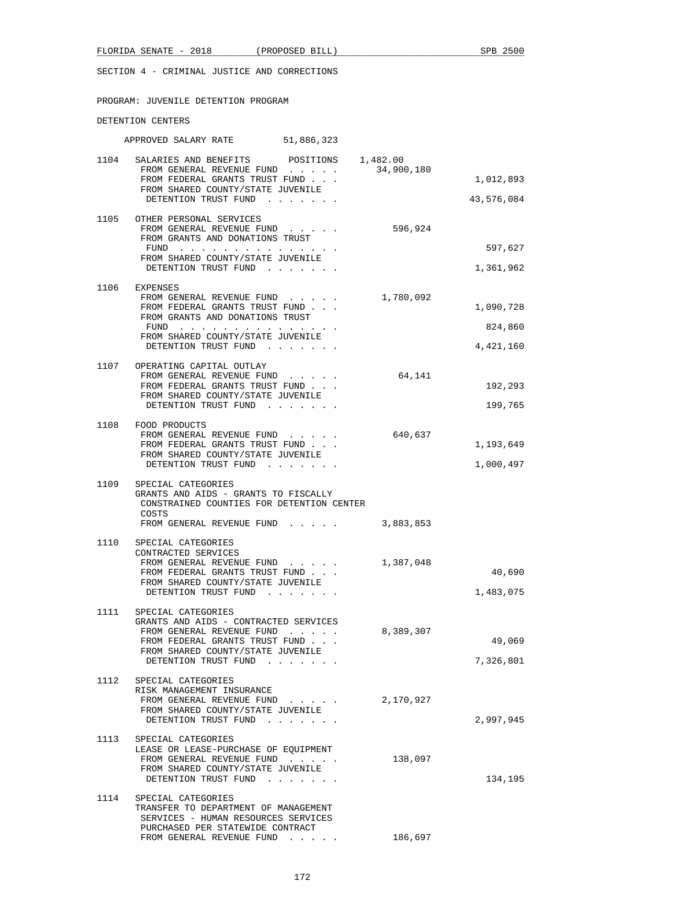SECTION 4 - CRIMINAL JUSTICE AND CORRECTIONS

| PROGRAM: JUVENILE DETENTION PROGRAM                                                                                                                                                                              |                                   |
|------------------------------------------------------------------------------------------------------------------------------------------------------------------------------------------------------------------|-----------------------------------|
| DETENTION CENTERS                                                                                                                                                                                                |                                   |
| APPROVED SALARY RATE 51,886,323                                                                                                                                                                                  |                                   |
| 1104 SALARIES AND BENEFITS POSITIONS 1,482.00<br>34,900,180<br>FROM GENERAL REVENUE FUND<br>FROM FEDERAL GRANTS TRUST FUND<br>FROM SHARED COUNTY/STATE JUVENILE<br>DETENTION TRUST FUND                          | 1,012,893<br>43,576,084           |
| 1105 OTHER PERSONAL SERVICES<br>FROM GENERAL REVENUE FUND<br>596,924<br>FROM GRANTS AND DONATIONS TRUST<br>FUND $\cdots$<br>FROM SHARED COUNTY/STATE JUVENILE<br>DETENTION TRUST FUND                            | 597,627<br>1,361,962              |
| 1106 EXPENSES<br>FROM GENERAL REVENUE FUND $\ldots$ $\ldots$ 1,780,092<br>FROM FEDERAL GRANTS TRUST FUND<br>FROM GRANTS AND DONATIONS TRUST<br>FUND<br>FROM SHARED COUNTY/STATE JUVENILE<br>DETENTION TRUST FUND | 1,090,728<br>824,860<br>4,421,160 |
| 1107 OPERATING CAPITAL OUTLAY<br>64,141<br>FROM GENERAL REVENUE FUND<br>FROM FEDERAL GRANTS TRUST FUND<br>FROM SHARED COUNTY/STATE JUVENILE<br>DETENTION TRUST FUND                                              | 192,293<br>199,765                |
| 1108 FOOD PRODUCTS<br>640,637<br>FROM GENERAL REVENUE FUND<br>FROM FEDERAL GRANTS TRUST FUND<br>FROM SHARED COUNTY/STATE JUVENILE<br>DETENTION TRUST FUND                                                        | 1,193,649<br>1,000,497            |
| 1109<br>SPECIAL CATEGORIES<br>GRANTS AND AIDS - GRANTS TO FISCALLY<br>CONSTRAINED COUNTIES FOR DETENTION CENTER<br>COSTS<br>3,883,853<br>FROM GENERAL REVENUE FUND                                               |                                   |
| 1110<br>SPECIAL CATEGORIES<br>CONTRACTED SERVICES<br>FROM GENERAL REVENUE FUND<br>1,387,048<br>FROM FEDERAL GRANTS TRUST FUND<br>FROM SHARED COUNTY/STATE JUVENILE                                               | 40,690                            |

|      | DETENTION TRUST FUND                  |           | 1,483,075 |
|------|---------------------------------------|-----------|-----------|
| 1111 | SPECIAL CATEGORIES                    |           |           |
|      | GRANTS AND AIDS - CONTRACTED SERVICES |           |           |
|      | FROM GENERAL REVENUE FUND             | 8,389,307 |           |
|      | FROM FEDERAL GRANTS TRUST FUND        |           | 49,069    |
|      | FROM SHARED COUNTY/STATE JUVENILE     |           |           |
|      | DETENTION TRUST FUND                  |           | 7,326,801 |
|      |                                       |           |           |
| 1112 | SPECIAL CATEGORIES                    |           |           |

| .    | UL BULAD UAIBUONIBU                  |           |           |
|------|--------------------------------------|-----------|-----------|
|      | RISK MANAGEMENT INSURANCE            |           |           |
|      | FROM GENERAL REVENUE FUND            | 2,170,927 |           |
|      | FROM SHARED COUNTY/STATE JUVENILE    |           |           |
|      | DETENTION TRUST FUND                 |           | 2,997,945 |
|      |                                      |           |           |
| 1113 | SPECIAL CATEGORIES                   |           |           |
|      | LEASE OR LEASE-PURCHASE OF EOUIPMENT |           |           |
|      | FROM GENERAL REVENUE FUND            | 138,097   |           |
|      | FROM SHARED COUNTY/STATE JUVENILE    |           |           |

|      | DETENTION TRUST FUND                 | 134,195 |
|------|--------------------------------------|---------|
| 1114 | SPECIAL CATEGORIES                   |         |
|      | TRANSFER TO DEPARTMENT OF MANAGEMENT |         |
|      | SERVICES - HUMAN RESOURCES SERVICES  |         |
|      | PURCHASED PER STATEWIDE CONTRACT     |         |

FROM GENERAL REVENUE FUND . . . . . 186,697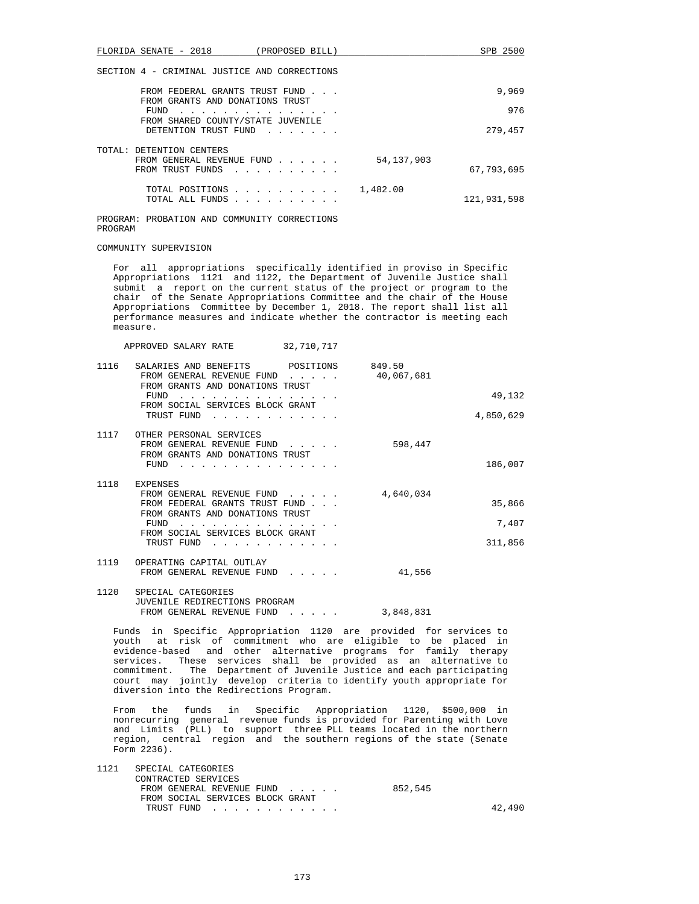FLORIDA SENATE - 2018 (PROPOSED BILL) SPB 2500 SECTION 4 - CRIMINAL JUSTICE AND CORRECTIONS FROM FEDERAL GRANTS TRUST FUND . . . 9,969 FROM GRANTS AND DONATIONS TRUST FUND . . . . . . . . . . . . . . . 976 FROM SHARED COUNTY/STATE JUVENILE DETENTION TRUST FUND . . . . . . . . 279,457 TOTAL: DETENTION CENTERS FROM GENERAL REVENUE FUND . . . . . . 54,137,903 FROM TRUST FUNDS . . . . . . . . . . 67,793,695 TOTAL POSITIONS . . . . . . . . . . 1,482.00 TOTAL ALL FUNDS . . . . . . . . . . 121,931,598 PROGRAM: PROBATION AND COMMUNITY CORRECTIONS PROGRAM COMMUNITY SUPERVISION For all appropriations specifically identified in proviso in Specific Appropriations 1121 and 1122, the Department of Juvenile Justice shall submit a report on the current status of the project or program to the chair of the Senate Appropriations Committee and the chair of the House Appropriations Committee by December 1, 2018. The report shall list all performance measures and indicate whether the contractor is meeting each measure. APPROVED SALARY RATE 32,710,717 1116 SALARIES AND BENEFITS POSITIONS 849.50 FROM GENERAL REVENUE FUND . . . . . 40,067,681 FROM GRANTS AND DONATIONS TRUST FUND . . . . . . . . . . . . . . . 49,132 FROM SOCIAL SERVICES BLOCK GRANT TRUST FUND . . . . . . . . . . . . 4,850,629 1117 OTHER PERSONAL SERVICES FROM GENERAL REVENUE FUND . . . . . 598,447 FROM GRANTS AND DONATIONS TRUST FUND . . . . . . . . . . . . . . . 186,007 1118 EXPENSES FROM GENERAL REVENUE FUND . . . . . 4,640,034 FROM FEDERAL GRANTS TRUST FUND . . . 35,866 FROM GRANTS AND DONATIONS TRUST FUND . . . . . . . . . . . . . . . 7,407 FROM SOCIAL SERVICES BLOCK GRANT TRUST FUND . . . . . . . . . . . . 311,856 1119 OPERATING CAPITAL OUTLAY FROM GENERAL REVENUE FUND . . . . . 41,556 1120 SPECIAL CATEGORIES JUVENILE REDIRECTIONS PROGRAM FROM GENERAL REVENUE FUND . . . . . 3,848,831 Funds in Specific Appropriation 1120 are provided for services to youth at risk of commitment who are eligible to be placed in evidence-based and other alternative programs for family therapy services. These services shall be provided as an alternative to commitment. The Department of Juvenile Justice and each participating court may jointly develop criteria to identify youth appropriate for diversion into the Redirections Program.

 From the funds in Specific Appropriation 1120, \$500,000 in nonrecurring general revenue funds is provided for Parenting with Love and Limits (PLL) to support three PLL teams located in the northern region, central region and the southern regions of the state (Senate Form 2236).

| 1121 | SPECIAL CATEGORIES<br>CONTRACTED SERVICES |  |         |        |
|------|-------------------------------------------|--|---------|--------|
|      | FROM GENERAL REVENUE FUND                 |  | 852,545 |        |
|      | FROM SOCIAL SERVICES BLOCK GRANT          |  |         |        |
|      | TRUST FUND                                |  |         | 42,490 |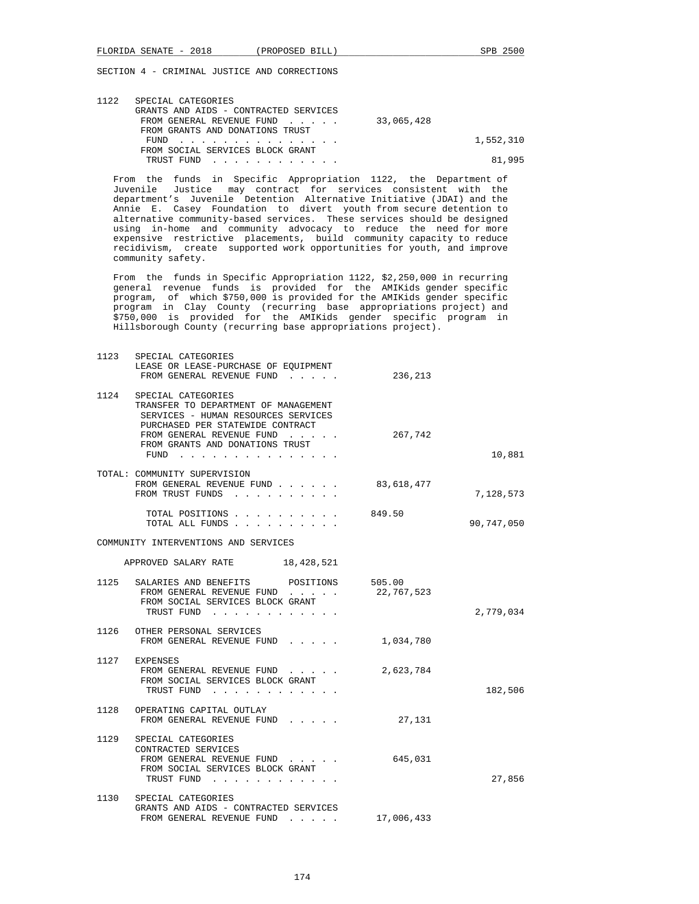| 1122 | SPECIAL CATEGORIES                    |           |
|------|---------------------------------------|-----------|
|      | GRANTS AND AIDS - CONTRACTED SERVICES |           |
|      | FROM GENERAL REVENUE FUND 33,065,428  |           |
|      | FROM GRANTS AND DONATIONS TRUST       |           |
|      | FUND                                  | 1,552,310 |
|      | FROM SOCIAL SERVICES BLOCK GRANT      |           |
|      | TRUST FUND                            | 81.995    |

 From the funds in Specific Appropriation 1122, the Department of Juvenile Justice may contract for services consistent with the department's Juvenile Detention Alternative Initiative (JDAI) and the Annie E. Casey Foundation to divert youth from secure detention to alternative community-based services. These services should be designed using in-home and community advocacy to reduce the need for more expensive restrictive placements, build community capacity to reduce recidivism, create supported work opportunities for youth, and improve community safety.

 From the funds in Specific Appropriation 1122, \$2,250,000 in recurring general revenue funds is provided for the AMIKids gender specific program, of which \$750,000 is provided for the AMIKids gender specific program in Clay County (recurring base appropriations project) and \$750,000 is provided for the AMIKids gender specific program in Hillsborough County (recurring base appropriations project).

| 1123 | SPECIAL CATEGORIES<br>LEASE OR LEASE-PURCHASE OF EQUIPMENT<br>FROM GENERAL REVENUE FUND                                                                            | 236,213    |            |
|------|--------------------------------------------------------------------------------------------------------------------------------------------------------------------|------------|------------|
| 1124 | SPECIAL CATEGORIES<br>TRANSFER TO DEPARTMENT OF MANAGEMENT<br>SERVICES - HUMAN RESOURCES SERVICES<br>PURCHASED PER STATEWIDE CONTRACT<br>FROM GENERAL REVENUE FUND | 267,742    |            |
|      | FROM GRANTS AND DONATIONS TRUST<br>$FUND$                                                                                                                          |            | 10,881     |
|      | TOTAL: COMMUNITY SUPERVISION<br>FROM GENERAL REVENUE FUND<br>FROM TRUST FUNDS                                                                                      | 83,618,477 | 7,128,573  |
|      | TOTAL POSITIONS<br>TOTAL ALL FUNDS                                                                                                                                 | 849.50     | 90,747,050 |
|      | COMMUNITY INTERVENTIONS AND SERVICES                                                                                                                               |            |            |
|      | APPROVED SALARY RATE 18,428,521                                                                                                                                    |            |            |
|      | 1125 SALARIES AND BENEFITS POSITIONS 505.00<br>FROM GENERAL REVENUE FUND<br>FROM SOCIAL SERVICES BLOCK GRANT<br>TRUST FUND                                         | 22,767,523 | 2,779,034  |
|      | 1126 OTHER PERSONAL SERVICES<br>FROM GENERAL REVENUE FUND                                                                                                          | 1,034,780  |            |
|      | 1127 EXPENSES<br>FROM GENERAL REVENUE FUND<br>FROM SOCIAL SERVICES BLOCK GRANT<br>TRUST FUND                                                                       | 2,623,784  | 182,506    |
| 1128 | OPERATING CAPITAL OUTLAY<br>FROM GENERAL REVENUE FUND                                                                                                              | 27,131     |            |
| 1129 | SPECIAL CATEGORIES<br>CONTRACTED SERVICES<br>FROM GENERAL REVENUE FUND<br>FROM SOCIAL SERVICES BLOCK GRANT<br>TRUST FUND                                           | 645,031    | 27,856     |
| 1130 | SPECIAL CATEGORIES<br>GRANTS AND AIDS - CONTRACTED SERVICES<br>FROM GENERAL REVENUE FUND                                                                           | 17,006,433 |            |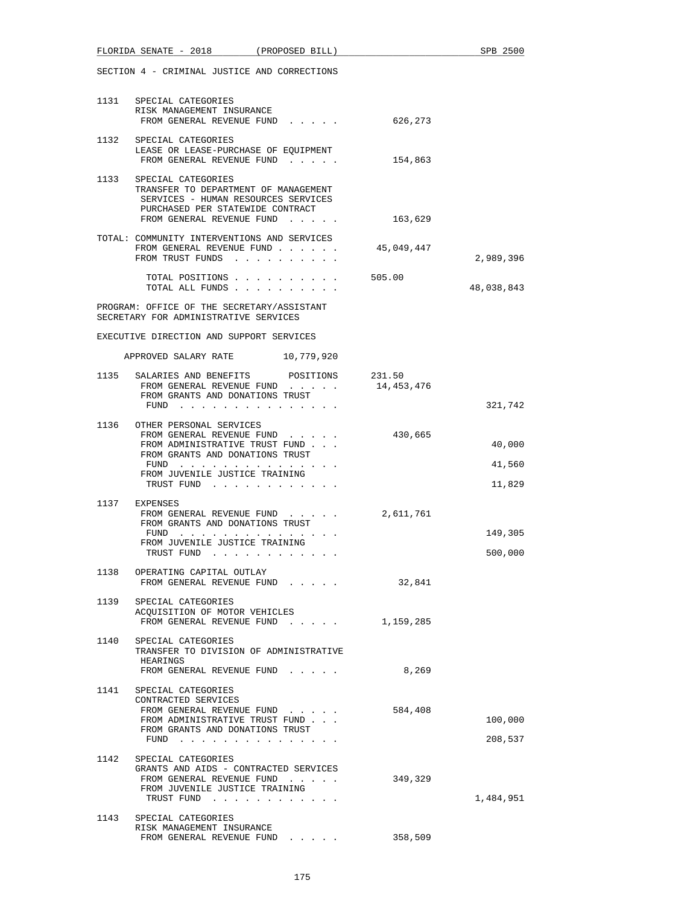|      | FLORIDA SENATE - 2018 (PROPOSED BILL)                                                                                                                                                  |                                                                                                                                                                                                                                                                                             |            | SPB 2500                   |
|------|----------------------------------------------------------------------------------------------------------------------------------------------------------------------------------------|---------------------------------------------------------------------------------------------------------------------------------------------------------------------------------------------------------------------------------------------------------------------------------------------|------------|----------------------------|
|      | SECTION 4 - CRIMINAL JUSTICE AND CORRECTIONS                                                                                                                                           |                                                                                                                                                                                                                                                                                             |            |                            |
|      | 1131 SPECIAL CATEGORIES<br>RISK MANAGEMENT INSURANCE<br>FROM GENERAL REVENUE FUND 626,273                                                                                              |                                                                                                                                                                                                                                                                                             |            |                            |
|      | 1132 SPECIAL CATEGORIES<br>LEASE OR LEASE-PURCHASE OF EQUIPMENT<br>FROM GENERAL REVENUE FUND                                                                                           |                                                                                                                                                                                                                                                                                             | 154,863    |                            |
| 1133 | SPECIAL CATEGORIES<br>TRANSFER TO DEPARTMENT OF MANAGEMENT<br>SERVICES - HUMAN RESOURCES SERVICES<br>PURCHASED PER STATEWIDE CONTRACT<br>FROM GENERAL REVENUE FUND                     |                                                                                                                                                                                                                                                                                             | 163,629    |                            |
|      | TOTAL: COMMUNITY INTERVENTIONS AND SERVICES<br>FROM GENERAL REVENUE FUND<br>FROM TRUST FUNDS                                                                                           |                                                                                                                                                                                                                                                                                             | 45,049,447 | 2,989,396                  |
|      | TOTAL ALL FUNDS                                                                                                                                                                        | TOTAL POSITIONS 505.00                                                                                                                                                                                                                                                                      |            | 48,038,843                 |
|      | PROGRAM: OFFICE OF THE SECRETARY/ASSISTANT<br>SECRETARY FOR ADMINISTRATIVE SERVICES                                                                                                    |                                                                                                                                                                                                                                                                                             |            |                            |
|      | EXECUTIVE DIRECTION AND SUPPORT SERVICES                                                                                                                                               |                                                                                                                                                                                                                                                                                             |            |                            |
|      | APPROVED SALARY RATE 10,779,920                                                                                                                                                        |                                                                                                                                                                                                                                                                                             |            |                            |
|      | 1135 SALARIES AND BENEFITS POSITIONS 231.50<br>FROM GENERAL REVENUE FUND<br>FROM GRANTS AND DONATIONS TRUST<br>FUND $\cdots$                                                           |                                                                                                                                                                                                                                                                                             | 14,453,476 | 321,742                    |
|      | 1136 OTHER PERSONAL SERVICES<br>FROM GENERAL REVENUE FUND<br>FROM ADMINISTRATIVE TRUST FUND<br>FROM GRANTS AND DONATIONS TRUST<br>FUND<br>FROM JUVENILE JUSTICE TRAINING<br>TRUST FUND |                                                                                                                                                                                                                                                                                             | 430,665    | 40,000<br>41,560<br>11,829 |
| 1137 | EXPENSES<br>FROM GENERAL REVENUE FUND<br>FROM GRANTS AND DONATIONS TRUST<br>FUND<br>FROM JUVENILE JUSTICE TRAINING<br>TRUST FUND                                                       | . The second contract is a second contract of the $\alpha$<br>. The contract of the contract of the contract of the contract of the contract of the contract of the contract of the contract of the contract of the contract of the contract of the contract of the contract of the contrac | 2,611,761  | 149,305<br>500,000         |
|      | 1138 OPERATING CAPITAL OUTLAY<br>FROM GENERAL REVENUE FUND                                                                                                                             |                                                                                                                                                                                                                                                                                             | 32,841     |                            |
|      | 1139 SPECIAL CATEGORIES<br>ACOUISITION OF MOTOR VEHICLES<br>FROM GENERAL REVENUE FUND 1,159,285                                                                                        |                                                                                                                                                                                                                                                                                             |            |                            |
|      | 1140 SPECIAL CATEGORIES<br>TRANSFER TO DIVISION OF ADMINISTRATIVE<br>HEARINGS<br>FROM GENERAL REVENUE FUND                                                                             |                                                                                                                                                                                                                                                                                             | 8,269      |                            |
|      | 1141 SPECIAL CATEGORIES<br>CONTRACTED SERVICES<br>FROM GENERAL REVENUE FUND<br>FROM ADMINISTRATIVE TRUST FUND<br>FROM GRANTS AND DONATIONS TRUST<br>FUND                               |                                                                                                                                                                                                                                                                                             | 584,408    | 100,000<br>208,537         |
|      | 1142 SPECIAL CATEGORIES<br>GRANTS AND AIDS - CONTRACTED SERVICES<br>FROM GENERAL REVENUE FUND<br>FROM JUVENILE JUSTICE TRAINING<br>TRUST FUND                                          |                                                                                                                                                                                                                                                                                             | 349,329    | 1,484,951                  |
|      | 1143 SPECIAL CATEGORIES<br>RISK MANAGEMENT INSURANCE<br>FROM GENERAL REVENUE FUND                                                                                                      |                                                                                                                                                                                                                                                                                             | 358,509    |                            |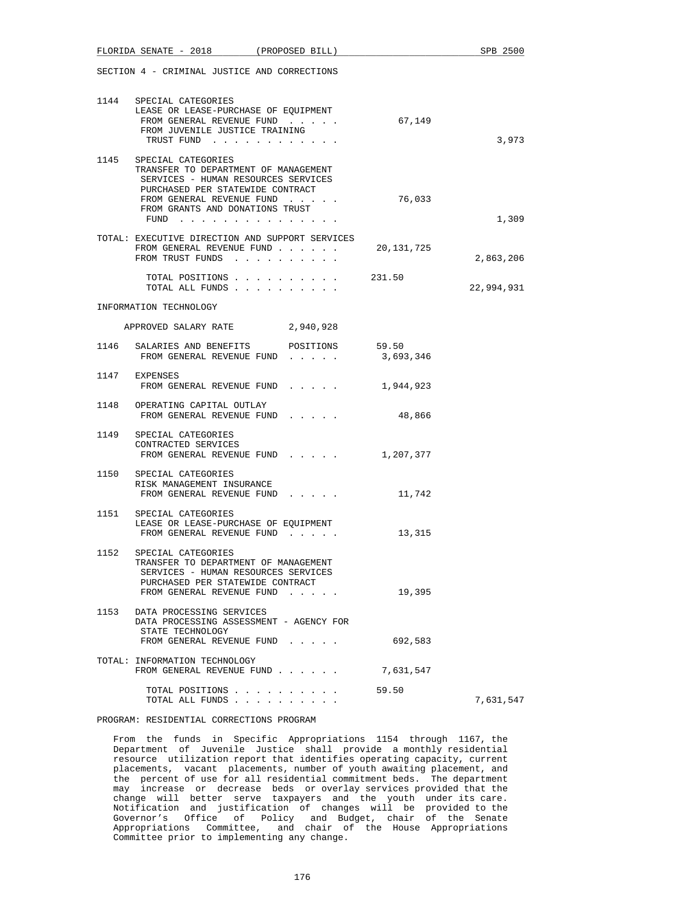|      | FLORIDA SENATE - 2018                                                                                                                                                                                              | (PROPOSED BILL) |           | SPB 2500   |
|------|--------------------------------------------------------------------------------------------------------------------------------------------------------------------------------------------------------------------|-----------------|-----------|------------|
|      | SECTION 4 - CRIMINAL JUSTICE AND CORRECTIONS                                                                                                                                                                       |                 |           |            |
|      | 1144 SPECIAL CATEGORIES<br>LEASE OR LEASE-PURCHASE OF EOUIPMENT<br>FROM GENERAL REVENUE FUND<br>FROM JUVENILE JUSTICE TRAINING<br>TRUST FUND                                                                       |                 | 67,149    | 3,973      |
|      | 1145 SPECIAL CATEGORIES<br>TRANSFER TO DEPARTMENT OF MANAGEMENT<br>SERVICES - HUMAN RESOURCES SERVICES<br>PURCHASED PER STATEWIDE CONTRACT<br>FROM GENERAL REVENUE FUND<br>FROM GRANTS AND DONATIONS TRUST<br>FUND |                 | 76,033    | 1,309      |
|      | TOTAL: EXECUTIVE DIRECTION AND SUPPORT SERVICES<br>FROM GENERAL REVENUE FUND 20,131,725<br>FROM TRUST FUNDS                                                                                                        |                 |           | 2,863,206  |
|      | TOTAL POSITIONS $\ldots$ , 231.50<br>TOTAL ALL FUNDS                                                                                                                                                               |                 |           | 22,994,931 |
|      | INFORMATION TECHNOLOGY                                                                                                                                                                                             |                 |           |            |
|      | APPROVED SALARY RATE                                                                                                                                                                                               | 2,940,928       |           |            |
|      | 1146 SALARIES AND BENEFITS POSITIONS 59.50<br>FROM GENERAL REVENUE FUND 3,693,346                                                                                                                                  |                 |           |            |
|      | 1147 EXPENSES<br>FROM GENERAL REVENUE FUND 1,944,923                                                                                                                                                               |                 |           |            |
|      | 1148 OPERATING CAPITAL OUTLAY<br>FROM GENERAL REVENUE FUND                                                                                                                                                         |                 | 48,866    |            |
|      | 1149 SPECIAL CATEGORIES<br>CONTRACTED SERVICES<br>FROM GENERAL REVENUE FUND 1,207,377                                                                                                                              |                 |           |            |
|      | 1150 SPECIAL CATEGORIES<br>RISK MANAGEMENT INSURANCE<br>FROM GENERAL REVENUE FUND                                                                                                                                  |                 | 11,742    |            |
|      | 1151 SPECIAL CATEGORIES<br>LEASE OR LEASE-PURCHASE OF EOUIPMENT<br>FROM GENERAL REVENUE FUND                                                                                                                       |                 | 13,315    |            |
|      | 1152 SPECIAL CATEGORIES<br>TRANSFER TO DEPARTMENT OF MANAGEMENT<br>SERVICES - HUMAN RESOURCES SERVICES<br>PURCHASED PER STATEWIDE CONTRACT<br>FROM GENERAL REVENUE FUND                                            |                 | 19,395    |            |
| 1153 | DATA PROCESSING SERVICES<br>DATA PROCESSING ASSESSMENT - AGENCY FOR<br>STATE TECHNOLOGY<br>FROM GENERAL REVENUE FUND                                                                                               |                 | 692,583   |            |
|      | TOTAL: INFORMATION TECHNOLOGY<br>FROM GENERAL REVENUE FUND                                                                                                                                                         |                 | 7,631,547 |            |
|      | TOTAL POSITIONS<br>TOTAL ALL FUNDS                                                                                                                                                                                 |                 | 59.50     | 7,631,547  |

## PROGRAM: RESIDENTIAL CORRECTIONS PROGRAM

 From the funds in Specific Appropriations 1154 through 1167, the Department of Juvenile Justice shall provide a monthly residential resource utilization report that identifies operating capacity, current placements, vacant placements, number of youth awaiting placement, and the percent of use for all residential commitment beds. The department may increase or decrease beds or overlay services provided that the change will better serve taxpayers and the youth under its care. Notification and justification of changes will be provided to the Governor's Office of Policy and Budget, chair of the Senate Appropriations Committee, and chair of the House Appropriations Committee prior to implementing any change.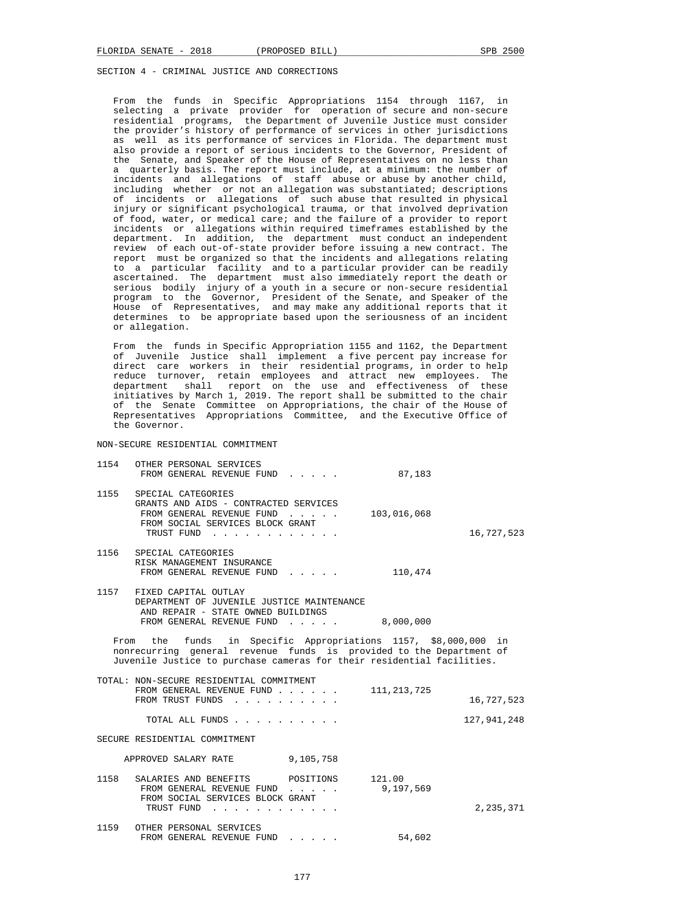From the funds in Specific Appropriations 1154 through 1167, in selecting a private provider for operation of secure and non-secure residential programs, the Department of Juvenile Justice must consider the provider's history of performance of services in other jurisdictions as well as its performance of services in Florida. The department must also provide a report of serious incidents to the Governor, President of the Senate, and Speaker of the House of Representatives on no less than a quarterly basis. The report must include, at a minimum: the number of incidents and allegations of staff abuse or abuse by another child, including whether or not an allegation was substantiated; descriptions of incidents or allegations of such abuse that resulted in physical injury or significant psychological trauma, or that involved deprivation of food, water, or medical care; and the failure of a provider to report incidents or allegations within required timeframes established by the department. In addition, the department must conduct an independent review of each out-of-state provider before issuing a new contract. The report must be organized so that the incidents and allegations relating to a particular facility and to a particular provider can be readily ascertained. The department must also immediately report the death or serious bodily injury of a youth in a secure or non-secure residential program to the Governor, President of the Senate, and Speaker of the House of Representatives, and may make any additional reports that it determines to be appropriate based upon the seriousness of an incident or allegation.

 From the funds in Specific Appropriation 1155 and 1162, the Department of Juvenile Justice shall implement a five percent pay increase for direct care workers in their residential programs, in order to help reduce turnover, retain employees and attract new employees. The department shall report on the use and effectiveness of these initiatives by March 1, 2019. The report shall be submitted to the chair of the Senate Committee on Appropriations, the chair of the House of Representatives Appropriations Committee, and the Executive Office of the Governor.

NON-SECURE RESIDENTIAL COMMITMENT

| 1154                                                                                                                                                                                                            | OTHER PERSONAL SERVICES<br>FROM GENERAL REVENUE FUND 87,183                                                                                          |                                                |               |             |  |
|-----------------------------------------------------------------------------------------------------------------------------------------------------------------------------------------------------------------|------------------------------------------------------------------------------------------------------------------------------------------------------|------------------------------------------------|---------------|-------------|--|
| 1155                                                                                                                                                                                                            | SPECIAL CATEGORIES<br>GRANTS AND AIDS - CONTRACTED SERVICES<br>FROM GENERAL REVENUE FUND<br>FROM SOCIAL SERVICES BLOCK GRANT<br>TRUST FUND           |                                                | 103,016,068   | 16,727,523  |  |
|                                                                                                                                                                                                                 | 1156 SPECIAL CATEGORIES<br>RISK MANAGEMENT INSURANCE<br>FROM GENERAL REVENUE FUND                                                                    |                                                | 110,474       |             |  |
|                                                                                                                                                                                                                 | 1157 FIXED CAPITAL OUTLAY<br>DEPARTMENT OF JUVENILE JUSTICE MAINTENANCE<br>AND REPAIR - STATE OWNED BUILDINGS<br>FROM GENERAL REVENUE FUND 8,000,000 |                                                |               |             |  |
| From the funds in Specific Appropriations 1157, \$8,000,000 in<br>nonrecurring general revenue funds is provided to the Department of<br>Juvenile Justice to purchase cameras for their residential facilities. |                                                                                                                                                      |                                                |               |             |  |
|                                                                                                                                                                                                                 | TOTAL: NON-SECURE RESIDENTIAL COMMITMENT<br>FROM GENERAL REVENUE FUND<br>FROM TRUST FUNDS                                                            |                                                | 111, 213, 725 | 16,727,523  |  |
|                                                                                                                                                                                                                 | TOTAL ALL FUNDS                                                                                                                                      |                                                |               | 127,941,248 |  |
| SECURE RESIDENTIAL COMMITMENT                                                                                                                                                                                   |                                                                                                                                                      |                                                |               |             |  |
| APPROVED SALARY RATE 9,105,758                                                                                                                                                                                  |                                                                                                                                                      |                                                |               |             |  |
| 1158                                                                                                                                                                                                            | SALARIES AND BENEFITS POSITIONS 121.00<br>FROM GENERAL REVENUE FUND<br>FROM SOCIAL SERVICES BLOCK GRANT<br>TRUST FUND                                |                                                | 9,197,569     | 2,235,371   |  |
|                                                                                                                                                                                                                 | 1159 OTHER PERSONAL SERVICES<br>FROM GENERAL REVENUE FUND                                                                                            | $\mathbf{r}$ and $\mathbf{r}$ and $\mathbf{r}$ | 54,602        |             |  |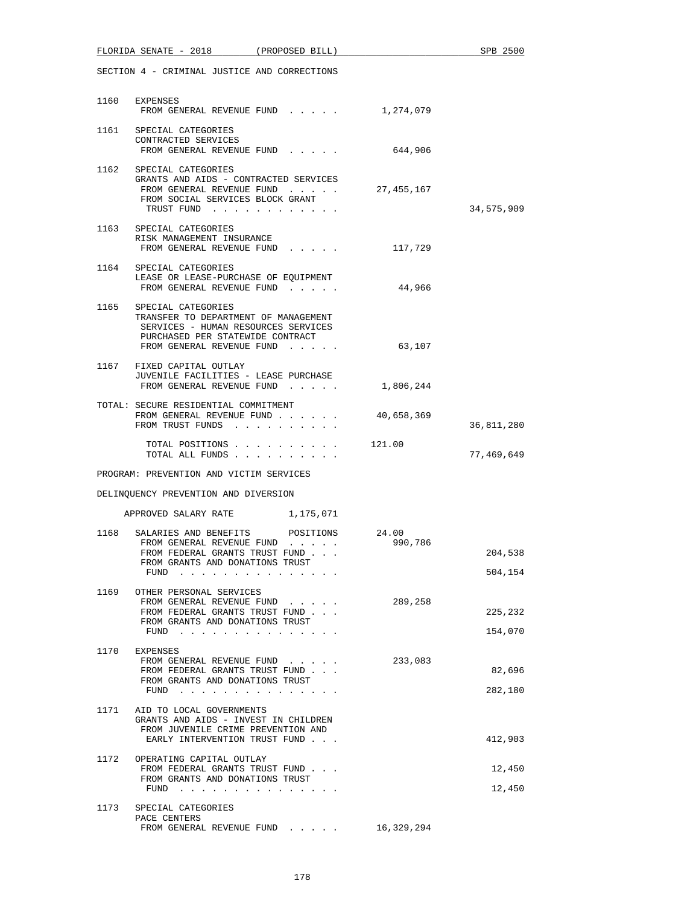|                                              | FLORIDA SENATE - 2018 (PROPOSED BILL)                                                                                                                                   |  |            | SPB 2500           |
|----------------------------------------------|-------------------------------------------------------------------------------------------------------------------------------------------------------------------------|--|------------|--------------------|
| SECTION 4 - CRIMINAL JUSTICE AND CORRECTIONS |                                                                                                                                                                         |  |            |                    |
|                                              | 1160 EXPENSES<br>FROM GENERAL REVENUE FUND                                                                                                                              |  | 1,274,079  |                    |
|                                              | 1161 SPECIAL CATEGORIES<br>CONTRACTED SERVICES<br>FROM GENERAL REVENUE FUND                                                                                             |  | 644,906    |                    |
|                                              | 1162 SPECIAL CATEGORIES<br>GRANTS AND AIDS - CONTRACTED SERVICES<br>FROM GENERAL REVENUE FUND<br>FROM SOCIAL SERVICES BLOCK GRANT<br>TRUST FUND                         |  | 27,455,167 | 34,575,909         |
|                                              | 1163 SPECIAL CATEGORIES<br>RISK MANAGEMENT INSURANCE<br>FROM GENERAL REVENUE FUND                                                                                       |  | 117,729    |                    |
|                                              | 1164 SPECIAL CATEGORIES<br>LEASE OR LEASE-PURCHASE OF EQUIPMENT<br>FROM GENERAL REVENUE FUND                                                                            |  | 44,966     |                    |
|                                              | 1165 SPECIAL CATEGORIES<br>TRANSFER TO DEPARTMENT OF MANAGEMENT<br>SERVICES - HUMAN RESOURCES SERVICES<br>PURCHASED PER STATEWIDE CONTRACT<br>FROM GENERAL REVENUE FUND |  | 63,107     |                    |
|                                              | 1167 FIXED CAPITAL OUTLAY<br>JUVENILE FACILITIES - LEASE PURCHASE<br>FROM GENERAL REVENUE FUND                                                                          |  | 1,806,244  |                    |
|                                              | TOTAL: SECURE RESIDENTIAL COMMITMENT<br>FROM GENERAL REVENUE FUND<br>FROM TRUST FUNDS                                                                                   |  | 40,658,369 | 36,811,280         |
|                                              | TOTAL POSITIONS 121.00<br>TOTAL ALL FUNDS                                                                                                                               |  |            | 77,469,649         |
|                                              | PROGRAM: PREVENTION AND VICTIM SERVICES                                                                                                                                 |  |            |                    |
|                                              | DELINQUENCY PREVENTION AND DIVERSION                                                                                                                                    |  |            |                    |
|                                              | APPROVED SALARY RATE 1,175,071                                                                                                                                          |  |            |                    |
| 1168                                         | SALARIES AND BENEFITS POSITIONS 24.00<br>FROM GENERAL REVENUE FUND<br>FROM FEDERAL GRANTS TRUST FUND.<br>FROM GRANTS AND DONATIONS TRUST<br>FUND                        |  | 990,786    | 204,538<br>504,154 |
| 1169                                         | OTHER PERSONAL SERVICES<br>FROM GENERAL REVENUE FUND<br>FROM FEDERAL GRANTS TRUST FUND<br>FROM GRANTS AND DONATIONS TRUST<br>FUND                                       |  | 289,258    | 225,232<br>154,070 |
| 1170                                         | EXPENSES<br>FROM GENERAL REVENUE FUND<br>FROM FEDERAL GRANTS TRUST FUND<br>FROM GRANTS AND DONATIONS TRUST<br>$FUND$                                                    |  | 233,083    | 82,696<br>282,180  |
| 1171                                         | AID TO LOCAL GOVERNMENTS<br>GRANTS AND AIDS - INVEST IN CHILDREN<br>FROM JUVENILE CRIME PREVENTION AND<br>EARLY INTERVENTION TRUST FUND                                 |  |            | 412,903            |
| 1172                                         | OPERATING CAPITAL OUTLAY<br>FROM FEDERAL GRANTS TRUST FUND<br>FROM GRANTS AND DONATIONS TRUST<br>FUND                                                                   |  |            | 12,450<br>12,450   |
| 1173                                         | SPECIAL CATEGORIES<br>PACE CENTERS<br>FROM GENERAL REVENUE FUND                                                                                                         |  | 16,329,294 |                    |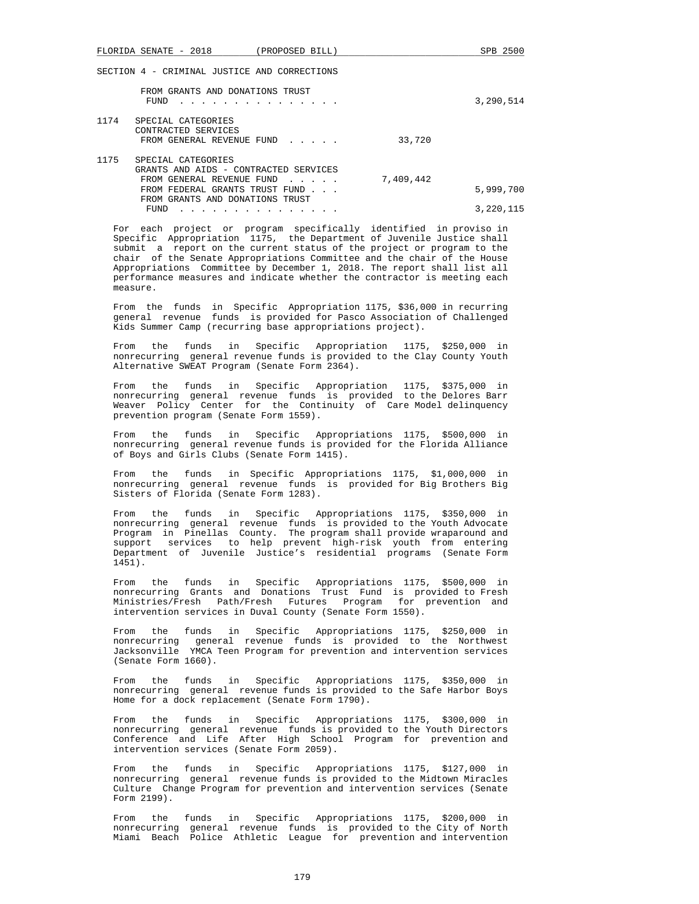SECTION 4 - CRIMINAL JUSTICE AND CORRECTIONS

|      | FROM GRANTS AND DONATIONS TRUST<br>FUND                         |           | 3,290,514 |
|------|-----------------------------------------------------------------|-----------|-----------|
| 1174 | SPECIAL CATEGORIES                                              |           |           |
|      | CONTRACTED SERVICES                                             |           |           |
|      | FROM GENERAL REVENUE FUND                                       | 33,720    |           |
|      |                                                                 |           |           |
| 1175 | SPECIAL CATEGORIES                                              |           |           |
|      | GRANTS AND AIDS - CONTRACTED SERVICES                           |           |           |
|      | FROM GENERAL REVENUE FUND<br>$\sim$ $\sim$ $\sim$ $\sim$ $\sim$ | 7,409,442 |           |
|      | FROM FEDERAL GRANTS TRUST FUND                                  |           | 5,999,700 |
|      | FROM GRANTS AND DONATIONS TRUST                                 |           |           |
|      | FUND                                                            |           | 3,220,115 |

 For each project or program specifically identified in proviso in Specific Appropriation 1175, the Department of Juvenile Justice shall submit a report on the current status of the project or program to the chair of the Senate Appropriations Committee and the chair of the House Appropriations Committee by December 1, 2018. The report shall list all performance measures and indicate whether the contractor is meeting each measure.

 From the funds in Specific Appropriation 1175, \$36,000 in recurring general revenue funds is provided for Pasco Association of Challenged Kids Summer Camp (recurring base appropriations project).

 From the funds in Specific Appropriation 1175, \$250,000 in nonrecurring general revenue funds is provided to the Clay County Youth Alternative SWEAT Program (Senate Form 2364).

 From the funds in Specific Appropriation 1175, \$375,000 in nonrecurring general revenue funds is provided to the Delores Barr Weaver Policy Center for the Continuity of Care Model delinquency prevention program (Senate Form 1559).

 From the funds in Specific Appropriations 1175, \$500,000 in nonrecurring general revenue funds is provided for the Florida Alliance of Boys and Girls Clubs (Senate Form 1415).

 From the funds in Specific Appropriations 1175, \$1,000,000 in nonrecurring general revenue funds is provided for Big Brothers Big Sisters of Florida (Senate Form 1283).

 From the funds in Specific Appropriations 1175, \$350,000 in nonrecurring general revenue funds is provided to the Youth Advocate Program in Pinellas County. The program shall provide wraparound and support services to help prevent high-risk youth from entering Department of Juvenile Justice's residential programs (Senate Form 1451).

 From the funds in Specific Appropriations 1175, \$500,000 in nonrecurring Grants and Donations Trust Fund is provided to Fresh Ministries/Fresh Path/Fresh Futures Program for prevention and intervention services in Duval County (Senate Form 1550).

 From the funds in Specific Appropriations 1175, \$250,000 in nonrecurring general revenue funds is provided to the Northwest Jacksonville YMCA Teen Program for prevention and intervention services (Senate Form 1660).

 From the funds in Specific Appropriations 1175, \$350,000 in nonrecurring general revenue funds is provided to the Safe Harbor Boys Home for a dock replacement (Senate Form 1790).

 From the funds in Specific Appropriations 1175, \$300,000 in nonrecurring general revenue funds is provided to the Youth Directors Conference and Life After High School Program for prevention and intervention services (Senate Form 2059).

 From the funds in Specific Appropriations 1175, \$127,000 in nonrecurring general revenue funds is provided to the Midtown Miracles Culture Change Program for prevention and intervention services (Senate Form 2199).

 From the funds in Specific Appropriations 1175, \$200,000 in nonrecurring general revenue funds is provided to the City of North Miami Beach Police Athletic League for prevention and intervention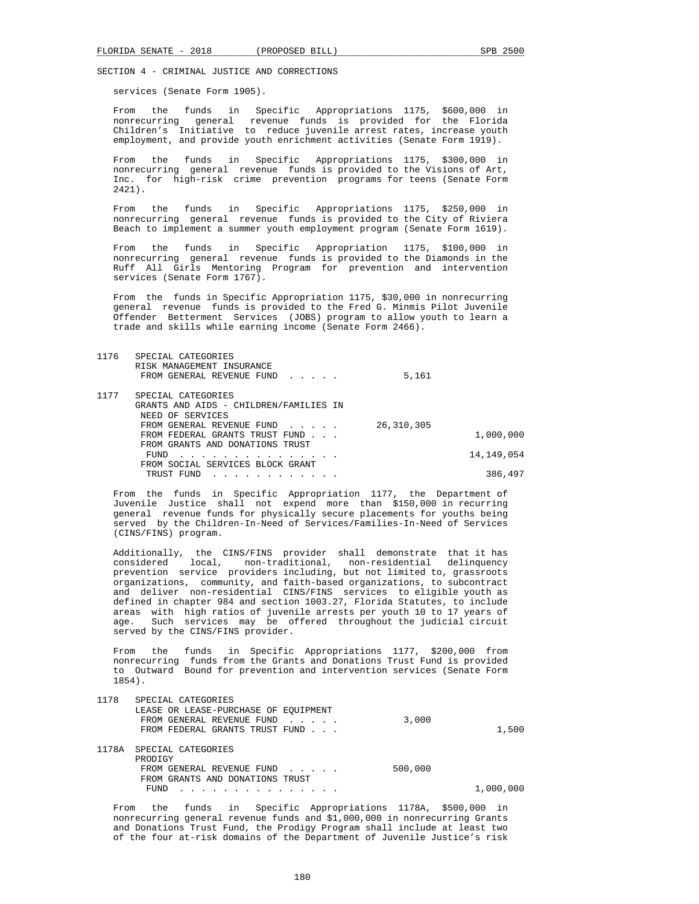services (Senate Form 1905).

 From the funds in Specific Appropriations 1175, \$600,000 in nonrecurring general revenue funds is provided for the Florida Children's Initiative to reduce juvenile arrest rates, increase youth employment, and provide youth enrichment activities (Senate Form 1919).

 From the funds in Specific Appropriations 1175, \$300,000 in nonrecurring general revenue funds is provided to the Visions of Art, Inc. for high-risk crime prevention programs for teens (Senate Form 2421).

 From the funds in Specific Appropriations 1175, \$250,000 in nonrecurring general revenue funds is provided to the City of Riviera Beach to implement a summer youth employment program (Senate Form 1619).

 From the funds in Specific Appropriation 1175, \$100,000 in nonrecurring general revenue funds is provided to the Diamonds in the Ruff All Girls Mentoring Program for prevention and intervention services (Senate Form 1767).

 From the funds in Specific Appropriation 1175, \$30,000 in nonrecurring general revenue funds is provided to the Fred G. Minmis Pilot Juvenile Offender Betterment Services (JOBS) program to allow youth to learn a trade and skills while earning income (Senate Form 2466).

| 1176 | SPECIAL CATEGORIES<br>RISK MANAGEMENT INSURANCE<br>FROM GENERAL REVENUE FUND | 5,161        |            |
|------|------------------------------------------------------------------------------|--------------|------------|
|      |                                                                              |              |            |
| 1177 | SPECIAL CATEGORIES                                                           |              |            |
|      | GRANTS AND AIDS - CHILDREN/FAMILIES IN                                       |              |            |
|      | NEED OF SERVICES                                                             |              |            |
|      | FROM GENERAL REVENUE FUND                                                    | 26, 310, 305 |            |
|      | FROM FEDERAL GRANTS TRUST FUND                                               |              | 1,000,000  |
|      | FROM GRANTS AND DONATIONS TRUST                                              |              |            |
|      | FUND<br>.                                                                    |              | 14,149,054 |
|      | FROM SOCIAL SERVICES BLOCK GRANT                                             |              |            |
|      | TRUST FUND                                                                   |              | 386,497    |

 From the funds in Specific Appropriation 1177, the Department of Juvenile Justice shall not expend more than \$150,000 in recurring general revenue funds for physically secure placements for youths being served by the Children-In-Need of Services/Families-In-Need of Services (CINS/FINS) program.

 Additionally, the CINS/FINS provider shall demonstrate that it has considered local, non-traditional, non-residential delinquency prevention service providers including, but not limited to, grassroots organizations, community, and faith-based organizations, to subcontract and deliver non-residential CINS/FINS services to eligible youth as defined in chapter 984 and section 1003.27, Florida Statutes, to include areas with high ratios of juvenile arrests per youth 10 to 17 years of age. Such services may be offered throughout the judicial circuit served by the CINS/FINS provider.

 From the funds in Specific Appropriations 1177, \$200,000 from nonrecurring funds from the Grants and Donations Trust Fund is provided to Outward Bound for prevention and intervention services (Senate Form 1854).

| 1178  | SPECIAL CATEGORIES                   |         |           |
|-------|--------------------------------------|---------|-----------|
|       | LEASE OR LEASE-PURCHASE OF EOUIPMENT |         |           |
|       | FROM GENERAL REVENUE FUND            | 3,000   |           |
|       | FROM FEDERAL GRANTS TRUST FUND       |         | 1,500     |
|       |                                      |         |           |
| 1178A | SPECIAL CATEGORIES                   |         |           |
|       | PRODIGY                              |         |           |
|       | FROM GENERAL REVENUE FUND            | 500,000 |           |
|       | FROM GRANTS AND DONATIONS TRUST      |         |           |
|       | FUND                                 |         | 1,000,000 |
|       |                                      |         |           |

 From the funds in Specific Appropriations 1178A, \$500,000 in nonrecurring general revenue funds and \$1,000,000 in nonrecurring Grants and Donations Trust Fund, the Prodigy Program shall include at least two of the four at-risk domains of the Department of Juvenile Justice's risk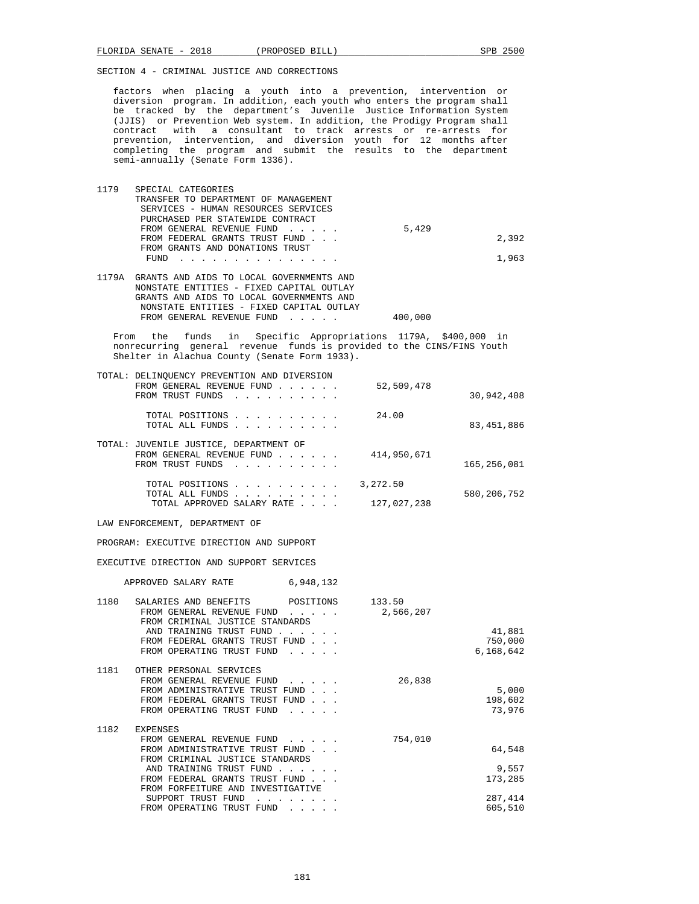factors when placing a youth into a prevention, intervention or diversion program. In addition, each youth who enters the program shall be tracked by the department's Juvenile Justice Information System (JJIS) or Prevention Web system. In addition, the Prodigy Program shall contract with a consultant to track arrests or re-arrests for prevention, intervention, and diversion youth for 12 months after completing the program and submit the results to the department semi-annually (Senate Form 1336).

| 1179 | SPECIAL CATEGORIES                                                                                                                                                                                                                        |       |       |
|------|-------------------------------------------------------------------------------------------------------------------------------------------------------------------------------------------------------------------------------------------|-------|-------|
|      | TRANSFER TO DEPARTMENT OF MANAGEMENT                                                                                                                                                                                                      |       |       |
|      | SERVICES - HUMAN RESOURCES SERVICES                                                                                                                                                                                                       |       |       |
|      | PURCHASED PER STATEWIDE CONTRACT                                                                                                                                                                                                          |       |       |
|      | FROM GENERAL REVENUE FUND                                                                                                                                                                                                                 | 5,429 |       |
|      | FROM FEDERAL GRANTS TRUST FUND                                                                                                                                                                                                            |       | 2.392 |
|      | FROM GRANTS AND DONATIONS TRUST                                                                                                                                                                                                           |       |       |
|      | FUND<br>$\mathbf{r}$ . The second contribution of the second contribution of the second contribution of the second contribution of the second contribution of the second contribution of the second contribution of the second contributi |       | 1.963 |
|      |                                                                                                                                                                                                                                           |       |       |

 1179A GRANTS AND AIDS TO LOCAL GOVERNMENTS AND NONSTATE ENTITIES - FIXED CAPITAL OUTLAY GRANTS AND AIDS TO LOCAL GOVERNMENTS AND NONSTATE ENTITIES - FIXED CAPITAL OUTLAY FROM GENERAL REVENUE FUND . . . . . 400,000

 From the funds in Specific Appropriations 1179A, \$400,000 in nonrecurring general revenue funds is provided to the CINS/FINS Youth Shelter in Alachua County (Senate Form 1933).

| TOTAL: DELINOUENCY PREVENTION AND DIVERSION                                                     |                                        |
|-------------------------------------------------------------------------------------------------|----------------------------------------|
| FROM GENERAL REVENUE FUND<br>FROM TRUST FUNDS                                                   | 52,509,478<br>30,942,408               |
| TOTAL POSITIONS<br>TOTAL ALL FUNDS                                                              | 24.00<br>83, 451, 886                  |
| TOTAL: JUVENILE JUSTICE, DEPARTMENT OF<br>FROM GENERAL REVENUE FUND<br>FROM TRUST FUNDS         | 414,950,671<br>165,256,081             |
| TOTAL POSITIONS<br>TOTAL ALL FUNDS<br>TOTAL APPROVED SALARY RATE<br>$\sim$ $\sim$ $\sim$ $\sim$ | 3,272.50<br>580,206,752<br>127,027,238 |

LAW ENFORCEMENT, DEPARTMENT OF

PROGRAM: EXECUTIVE DIRECTION AND SUPPORT

EXECUTIVE DIRECTION AND SUPPORT SERVICES

APPROVED SALARY RATE 6,948,132

| CRIMINAL JUSTICE STANDARDS<br>TRAINING TRUST FUND                  | 133.50<br>2,566,207                                                                                                                                                                                                                                                                                                                                                                                                                                                                                              | 41,881<br>750,000<br>6,168,642                   |
|--------------------------------------------------------------------|------------------------------------------------------------------------------------------------------------------------------------------------------------------------------------------------------------------------------------------------------------------------------------------------------------------------------------------------------------------------------------------------------------------------------------------------------------------------------------------------------------------|--------------------------------------------------|
| GENERAL REVENUE FUND                                               | 26,838                                                                                                                                                                                                                                                                                                                                                                                                                                                                                                           | 5,000<br>198,602<br>73,976                       |
| CRIMINAL JUSTICE STANDARDS<br>TRAINING TRUST FUND<br>INVESTIGATIVE | 754,010                                                                                                                                                                                                                                                                                                                                                                                                                                                                                                          | 64,548<br>9,557<br>173,285<br>287,414<br>605,510 |
|                                                                    | SALARIES AND BENEFITS<br>FROM GENERAL REVENUE FUND<br>FROM<br>AND<br>FROM FEDERAL GRANTS TRUST FUND<br>FROM OPERATING TRUST FUND<br>OTHER PERSONAL SERVICES<br>FROM<br>FROM ADMINISTRATIVE TRUST FUND<br>FROM FEDERAL GRANTS TRUST FUND<br>FROM OPERATING TRUST FUND<br><b>EXPENSES</b><br>FROM GENERAL REVENUE FUND<br>FROM ADMINISTRATIVE TRUST FUND<br>FROM<br>AND<br>FROM FEDERAL GRANTS TRUST FUND<br>FROM FORFEITURE AND<br>SUPPORT TRUST FUND<br>FROM OPERATING TRUST FUND<br>$\sim$ $\sim$ $\sim$ $\sim$ | POSITIONS                                        |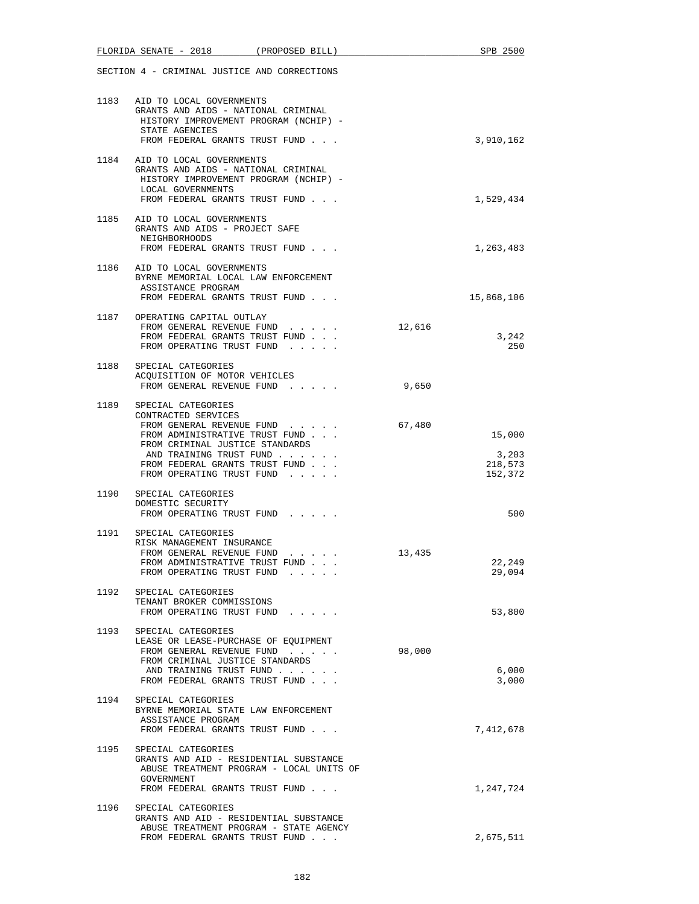|      | FLORIDA SENATE - 2018                                                                                                                                                                                                                      | (PROPOSED BILL)                                           |        | SPB 2500                              |
|------|--------------------------------------------------------------------------------------------------------------------------------------------------------------------------------------------------------------------------------------------|-----------------------------------------------------------|--------|---------------------------------------|
|      | SECTION 4 - CRIMINAL JUSTICE AND CORRECTIONS                                                                                                                                                                                               |                                                           |        |                                       |
| 1183 | AID TO LOCAL GOVERNMENTS<br>GRANTS AND AIDS - NATIONAL CRIMINAL<br>HISTORY IMPROVEMENT PROGRAM (NCHIP) -<br>STATE AGENCIES<br>FROM FEDERAL GRANTS TRUST FUND                                                                               |                                                           |        | 3,910,162                             |
|      | 1184 AID TO LOCAL GOVERNMENTS<br>GRANTS AND AIDS - NATIONAL CRIMINAL<br>HISTORY IMPROVEMENT PROGRAM (NCHIP) -<br>LOCAL GOVERNMENTS<br>FROM FEDERAL GRANTS TRUST FUND                                                                       |                                                           |        | 1,529,434                             |
|      | 1185 AID TO LOCAL GOVERNMENTS<br>GRANTS AND AIDS - PROJECT SAFE<br>NEIGHBORHOODS<br>FROM FEDERAL GRANTS TRUST FUND                                                                                                                         |                                                           |        | 1,263,483                             |
|      | 1186 AID TO LOCAL GOVERNMENTS<br>BYRNE MEMORIAL LOCAL LAW ENFORCEMENT<br>ASSISTANCE PROGRAM<br>FROM FEDERAL GRANTS TRUST FUND                                                                                                              |                                                           |        | 15,868,106                            |
|      | 1187 OPERATING CAPITAL OUTLAY<br>FROM GENERAL REVENUE FUND<br>FROM FEDERAL GRANTS TRUST FUND<br>FROM OPERATING TRUST FUND                                                                                                                  | and the state of the state                                | 12,616 | 3,242<br>250                          |
|      | 1188 SPECIAL CATEGORIES<br>ACQUISITION OF MOTOR VEHICLES<br>FROM GENERAL REVENUE FUND                                                                                                                                                      |                                                           | 9,650  |                                       |
|      | 1189 SPECIAL CATEGORIES<br>CONTRACTED SERVICES<br>FROM GENERAL REVENUE FUND<br>FROM ADMINISTRATIVE TRUST FUND<br>FROM CRIMINAL JUSTICE STANDARDS<br>AND TRAINING TRUST FUND<br>FROM FEDERAL GRANTS TRUST FUND<br>FROM OPERATING TRUST FUND |                                                           | 67,480 | 15,000<br>3,203<br>218,573<br>152,372 |
|      | 1190 SPECIAL CATEGORIES<br>DOMESTIC SECURITY<br>FROM OPERATING TRUST FUND                                                                                                                                                                  |                                                           |        | 500                                   |
| 1191 | SPECIAL CATEGORIES<br>RISK MANAGEMENT INSURANCE<br>FROM GENERAL REVENUE FUND<br>FROM ADMINISTRATIVE TRUST FUND<br>FROM OPERATING TRUST FUND                                                                                                | $\mathbf{r}$ , $\mathbf{r}$ , $\mathbf{r}$ , $\mathbf{r}$ | 13,435 | 22,249<br>29,094                      |
| 1192 | SPECIAL CATEGORIES<br>TENANT BROKER COMMISSIONS<br>FROM OPERATING TRUST FUND                                                                                                                                                               |                                                           |        | 53,800                                |
|      | 1193 SPECIAL CATEGORIES<br>LEASE OR LEASE-PURCHASE OF EQUIPMENT<br>FROM GENERAL REVENUE FUND<br>FROM CRIMINAL JUSTICE STANDARDS<br>AND TRAINING TRUST FUND<br>FROM FEDERAL GRANTS TRUST FUND                                               |                                                           | 98,000 | 6,000<br>3,000                        |
|      | 1194 SPECIAL CATEGORIES<br>BYRNE MEMORIAL STATE LAW ENFORCEMENT<br>ASSISTANCE PROGRAM<br>FROM FEDERAL GRANTS TRUST FUND                                                                                                                    |                                                           |        | 7,412,678                             |
| 1195 | SPECIAL CATEGORIES<br>GRANTS AND AID - RESIDENTIAL SUBSTANCE<br>ABUSE TREATMENT PROGRAM - LOCAL UNITS OF<br>GOVERNMENT<br>FROM FEDERAL GRANTS TRUST FUND                                                                                   |                                                           |        | 1,247,724                             |
| 1196 | SPECIAL CATEGORIES<br>GRANTS AND AID - RESIDENTIAL SUBSTANCE<br>ABUSE TREATMENT PROGRAM - STATE AGENCY                                                                                                                                     |                                                           |        |                                       |
|      | FROM FEDERAL GRANTS TRUST FUND                                                                                                                                                                                                             |                                                           |        | 2,675,511                             |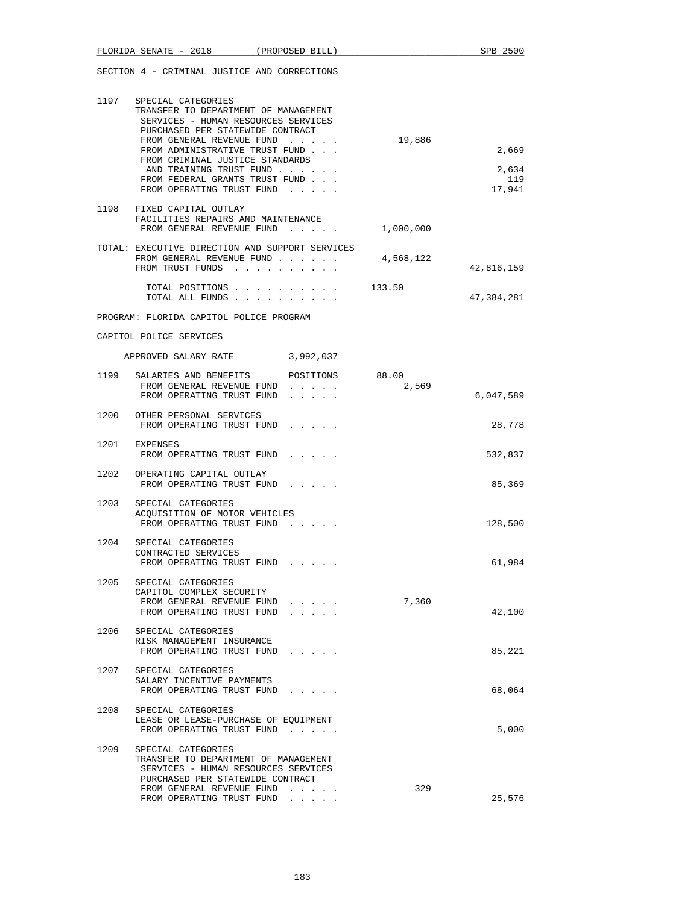|      | FLORIDA SENATE - 2018 (PROPOSED BILL)                                                                                                                                                                                                                                                                                                  |                                                                            |                | SPB 2500                        |
|------|----------------------------------------------------------------------------------------------------------------------------------------------------------------------------------------------------------------------------------------------------------------------------------------------------------------------------------------|----------------------------------------------------------------------------|----------------|---------------------------------|
|      | SECTION 4 - CRIMINAL JUSTICE AND CORRECTIONS                                                                                                                                                                                                                                                                                           |                                                                            |                |                                 |
|      | 1197 SPECIAL CATEGORIES<br>TRANSFER TO DEPARTMENT OF MANAGEMENT<br>SERVICES - HUMAN RESOURCES SERVICES<br>PURCHASED PER STATEWIDE CONTRACT<br>FROM GENERAL REVENUE FUND<br>FROM ADMINISTRATIVE TRUST FUND<br>FROM CRIMINAL JUSTICE STANDARDS<br>AND TRAINING TRUST FUND<br>FROM FEDERAL GRANTS TRUST FUND<br>FROM OPERATING TRUST FUND |                                                                            | 19,886         | 2,669<br>2,634<br>119<br>17,941 |
|      | 1198 FIXED CAPITAL OUTLAY<br>FACILITIES REPAIRS AND MAINTENANCE<br>FROM GENERAL REVENUE FUND                                                                                                                                                                                                                                           |                                                                            | 1,000,000      |                                 |
|      | TOTAL: EXECUTIVE DIRECTION AND SUPPORT SERVICES<br>FROM GENERAL REVENUE FUND<br>FROM TRUST FUNDS                                                                                                                                                                                                                                       |                                                                            | 4,568,122      | 42,816,159                      |
|      | TOTAL POSITIONS<br>TOTAL ALL FUNDS                                                                                                                                                                                                                                                                                                     |                                                                            | 133.50         | 47,384,281                      |
|      | PROGRAM: FLORIDA CAPITOL POLICE PROGRAM                                                                                                                                                                                                                                                                                                |                                                                            |                |                                 |
|      | CAPITOL POLICE SERVICES                                                                                                                                                                                                                                                                                                                |                                                                            |                |                                 |
|      | APPROVED SALARY RATE 3,992,037                                                                                                                                                                                                                                                                                                         |                                                                            |                |                                 |
|      | 1199 SALARIES AND BENEFITS<br>FROM GENERAL REVENUE FUND<br>FROM OPERATING TRUST FUND                                                                                                                                                                                                                                                   | POSITIONS<br>$\mathbf{r}=\mathbf{r}+\mathbf{r}+\mathbf{r}+\mathbf{r}$<br>. | 88.00<br>2,569 | 6,047,589                       |
|      | 1200 OTHER PERSONAL SERVICES<br>FROM OPERATING TRUST FUND                                                                                                                                                                                                                                                                              |                                                                            |                | 28,778                          |
|      | 1201 EXPENSES<br>FROM OPERATING TRUST FUND                                                                                                                                                                                                                                                                                             |                                                                            |                | 532,837                         |
| 1202 | OPERATING CAPITAL OUTLAY<br>FROM OPERATING TRUST FUND                                                                                                                                                                                                                                                                                  |                                                                            |                | 85,369                          |
| 1203 | SPECIAL CATEGORIES<br>ACQUISITION OF MOTOR VEHICLES<br>FROM OPERATING TRUST FUND                                                                                                                                                                                                                                                       | and the contract of the con-                                               |                | 128,500                         |
| 1204 | SPECIAL CATEGORIES<br>CONTRACTED SERVICES<br>FROM OPERATING TRUST FUND                                                                                                                                                                                                                                                                 |                                                                            |                | 61,984                          |
| 1205 | SPECIAL CATEGORIES<br>CAPITOL COMPLEX SECURITY<br>FROM GENERAL REVENUE FUND<br>FROM OPERATING TRUST FUND                                                                                                                                                                                                                               |                                                                            | 7,360          | 42,100                          |
| 1206 | SPECIAL CATEGORIES<br>RISK MANAGEMENT INSURANCE<br>FROM OPERATING TRUST FUND                                                                                                                                                                                                                                                           |                                                                            |                | 85,221                          |
| 1207 | SPECIAL CATEGORIES<br>SALARY INCENTIVE PAYMENTS<br>FROM OPERATING TRUST FUND                                                                                                                                                                                                                                                           |                                                                            |                | 68,064                          |
| 1208 | SPECIAL CATEGORIES<br>LEASE OR LEASE-PURCHASE OF EQUIPMENT<br>FROM OPERATING TRUST FUND                                                                                                                                                                                                                                                |                                                                            |                | 5,000                           |
| 1209 | SPECIAL CATEGORIES<br>TRANSFER TO DEPARTMENT OF MANAGEMENT<br>SERVICES - HUMAN RESOURCES SERVICES<br>PURCHASED PER STATEWIDE CONTRACT<br>FROM GENERAL REVENUE FUND                                                                                                                                                                     | .                                                                          | 329            |                                 |
|      | FROM OPERATING TRUST FUND                                                                                                                                                                                                                                                                                                              |                                                                            |                | 25,576                          |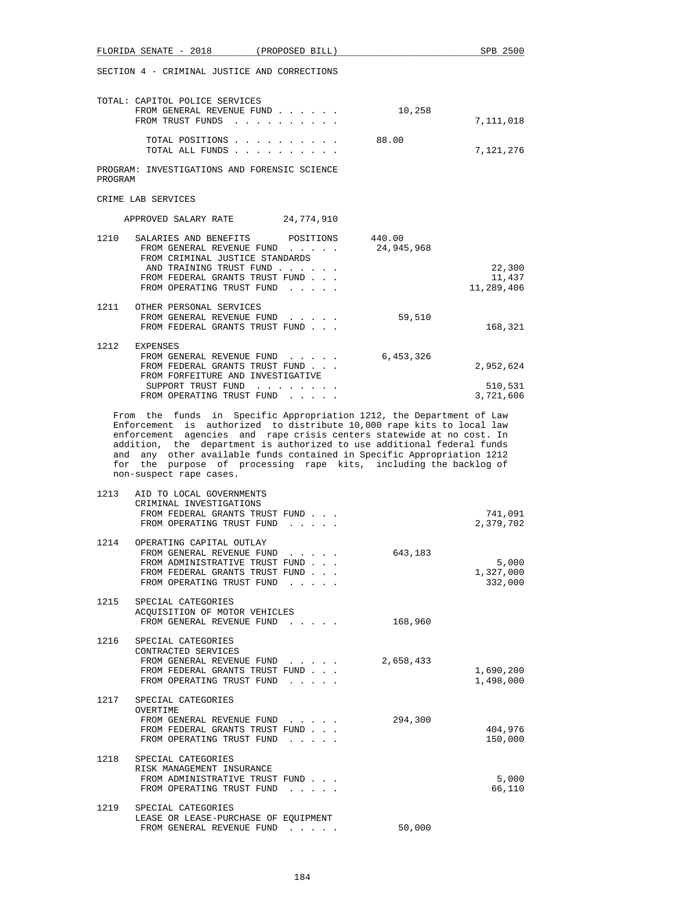|         | $FLORIDA$ SENATE - 2018                                                                                                                                                                                                                                                                                                                                                                            | (PROPOSED BILL)                                |                      | SPB 2500                       |
|---------|----------------------------------------------------------------------------------------------------------------------------------------------------------------------------------------------------------------------------------------------------------------------------------------------------------------------------------------------------------------------------------------------------|------------------------------------------------|----------------------|--------------------------------|
|         | SECTION 4 - CRIMINAL JUSTICE AND CORRECTIONS                                                                                                                                                                                                                                                                                                                                                       |                                                |                      |                                |
|         | TOTAL: CAPITOL POLICE SERVICES<br>FROM GENERAL REVENUE FUND<br>FROM TRUST FUNDS                                                                                                                                                                                                                                                                                                                    |                                                | 10,258               | 7,111,018                      |
|         | TOTAL POSITIONS<br>TOTAL ALL FUNDS                                                                                                                                                                                                                                                                                                                                                                 |                                                | 88.00                | 7,121,276                      |
| PROGRAM | PROGRAM: INVESTIGATIONS AND FORENSIC SCIENCE                                                                                                                                                                                                                                                                                                                                                       |                                                |                      |                                |
|         | CRIME LAB SERVICES                                                                                                                                                                                                                                                                                                                                                                                 |                                                |                      |                                |
|         | APPROVED SALARY RATE 24,774,910                                                                                                                                                                                                                                                                                                                                                                    |                                                |                      |                                |
| 1210    | SALARIES AND BENEFITS<br>FROM GENERAL REVENUE FUND<br>FROM CRIMINAL JUSTICE STANDARDS<br>AND TRAINING TRUST FUND<br>FROM FEDERAL GRANTS TRUST FUND<br>FROM OPERATING TRUST FUND                                                                                                                                                                                                                    | POSITIONS                                      | 440.00<br>24,945,968 | 22,300<br>11,437<br>11,289,406 |
|         | 1211 OTHER PERSONAL SERVICES<br>FROM GENERAL REVENUE FUND<br>FROM FEDERAL GRANTS TRUST FUND                                                                                                                                                                                                                                                                                                        |                                                | 59,510               | 168,321                        |
|         | 1212 EXPENSES<br>FROM GENERAL REVENUE FUND<br>FROM FEDERAL GRANTS TRUST FUND<br>FROM FORFEITURE AND INVESTIGATIVE                                                                                                                                                                                                                                                                                  |                                                | 6,453,326            | 2,952,624                      |
|         | SUPPORT TRUST FUND<br>FROM OPERATING TRUST FUND                                                                                                                                                                                                                                                                                                                                                    |                                                |                      | 510,531<br>3,721,606           |
|         | Enforcement is authorized to distribute 10,000 rape kits to local law<br>enforcement agencies and rape crisis centers statewide at no cost. In<br>addition, the department is authorized to use additional federal funds<br>and any other available funds contained in Specific Appropriation 1212<br>for the purpose of processing rape kits, including the backlog of<br>non-suspect rape cases. |                                                |                      |                                |
| 1213    | AID TO LOCAL GOVERNMENTS<br>CRIMINAL INVESTIGATIONS<br>FROM FEDERAL GRANTS TRUST FUND<br>FROM OPERATING TRUST FUND                                                                                                                                                                                                                                                                                 | $\mathbf{r}$ and $\mathbf{r}$ and $\mathbf{r}$ |                      | 741,091<br>2,379,702           |
| 1214    | OPERATING CAPITAL OUTLAY<br>FROM GENERAL REVENUE FUND<br>FROM ADMINISTRATIVE TRUST FUND<br>FROM FEDERAL GRANTS TRUST FUND<br>FROM OPERATING TRUST FUND                                                                                                                                                                                                                                             |                                                | 643,183              | 5,000<br>1,327,000<br>332,000  |
| 1215    | SPECIAL CATEGORIES<br>ACQUISITION OF MOTOR VEHICLES<br>FROM GENERAL REVENUE FUND                                                                                                                                                                                                                                                                                                                   |                                                | 168,960              |                                |
| 1216    | SPECIAL CATEGORIES<br>CONTRACTED SERVICES<br>FROM GENERAL REVENUE FUND<br>FROM FEDERAL GRANTS TRUST FUND<br>FROM OPERATING TRUST FUND                                                                                                                                                                                                                                                              |                                                | 2,658,433            | 1,690,200<br>1,498,000         |
|         | 1217 SPECIAL CATEGORIES<br>OVERTIME<br>FROM GENERAL REVENUE FUND<br>FROM FEDERAL GRANTS TRUST FUND<br>FROM OPERATING TRUST FUND                                                                                                                                                                                                                                                                    |                                                | 294,300              | 404,976<br>150,000             |
| 1218    | SPECIAL CATEGORIES<br>RISK MANAGEMENT INSURANCE<br>FROM ADMINISTRATIVE TRUST FUND<br>FROM OPERATING TRUST FUND                                                                                                                                                                                                                                                                                     |                                                |                      | 5,000<br>66,110                |
|         | 1219 SPECIAL CATEGORIES<br>LEASE OR LEASE-PURCHASE OF EQUIPMENT<br>FROM GENERAL REVENUE FUND                                                                                                                                                                                                                                                                                                       |                                                | 50,000               |                                |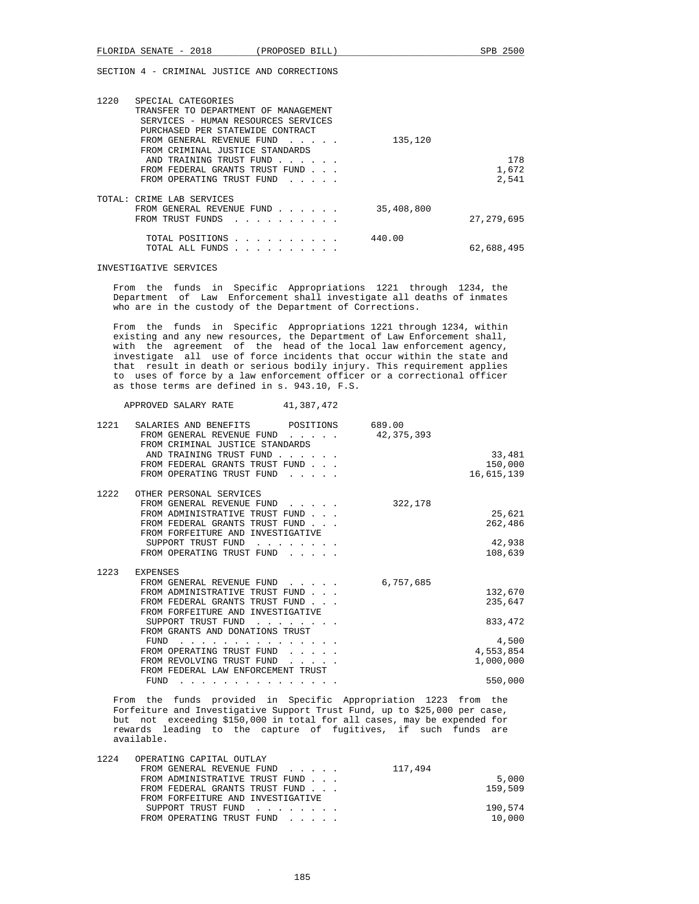| 1220<br>SPECIAL CATEGORIES<br>TRANSFER TO DEPARTMENT OF MANAGEMENT<br>SERVICES - HUMAN RESOURCES SERVICES<br>PURCHASED PER STATEWIDE CONTRACT |                                                |            |              |
|-----------------------------------------------------------------------------------------------------------------------------------------------|------------------------------------------------|------------|--------------|
| FROM GENERAL REVENUE FUND                                                                                                                     | $\sim$ $\sim$ $\sim$ $\sim$ $\sim$             | 135,120    |              |
| FROM CRIMINAL JUSTICE STANDARDS                                                                                                               |                                                |            |              |
| AND TRAINING TRUST FUND                                                                                                                       | $\sim$ $\sim$ $\sim$ $\sim$ $\sim$ $\sim$      |            | 178          |
| FROM FEDERAL GRANTS TRUST FUND                                                                                                                |                                                |            | 1,672        |
| FROM OPERATING TRUST FUND                                                                                                                     | $\mathbf{r}$ and $\mathbf{r}$ and $\mathbf{r}$ |            | 2,541        |
| TOTAL: CRIME LAB SERVICES                                                                                                                     |                                                |            |              |
| FROM GENERAL REVENUE FUND                                                                                                                     |                                                | 35,408,800 |              |
| FROM TRUST FUNDS                                                                                                                              |                                                |            | 27, 279, 695 |
| TOTAL POSITIONS                                                                                                                               | .                                              | 440.00     |              |
| TOTAL ALL FUNDS                                                                                                                               |                                                |            | 62,688,495   |

#### INVESTIGATIVE SERVICES

 From the funds in Specific Appropriations 1221 through 1234, the Department of Law Enforcement shall investigate all deaths of inmates who are in the custody of the Department of Corrections.

 From the funds in Specific Appropriations 1221 through 1234, within existing and any new resources, the Department of Law Enforcement shall, with the agreement of the head of the local law enforcement agency, investigate all use of force incidents that occur within the state and that result in death or serious bodily injury. This requirement applies to uses of force by a law enforcement officer or a correctional officer as those terms are defined in s. 943.10, F.S.

APPROVED SALARY RATE 41,387,472

| 1221 | SALARIES AND BENEFITS<br>POSITIONS<br>FROM GENERAL REVENUE FUND<br>FROM CRIMINAL JUSTICE STANDARDS | 689.00<br>42,375,393 |            |
|------|----------------------------------------------------------------------------------------------------|----------------------|------------|
|      | AND TRAINING TRUST FUND                                                                            |                      | 33,481     |
|      | FROM FEDERAL GRANTS TRUST FUND                                                                     |                      | 150,000    |
|      | FROM OPERATING TRUST FUND                                                                          |                      | 16,615,139 |
| 1222 | OTHER PERSONAL SERVICES                                                                            |                      |            |
|      | FROM GENERAL REVENUE FUND                                                                          | 322,178              |            |
|      | FROM ADMINISTRATIVE TRUST FUND                                                                     |                      | 25,621     |
|      | FROM FEDERAL GRANTS TRUST FUND.                                                                    |                      | 262,486    |
|      | FROM FORFEITURE AND INVESTIGATIVE                                                                  |                      |            |
|      | SUPPORT TRUST FUND                                                                                 |                      | 42,938     |
|      | FROM OPERATING TRUST FUND                                                                          |                      | 108,639    |
| 1223 | <b>EXPENSES</b>                                                                                    |                      |            |
|      | FROM GENERAL REVENUE FUND                                                                          | 6,757,685            |            |
|      | FROM ADMINISTRATIVE TRUST FUND                                                                     |                      | 132,670    |
|      | FROM FEDERAL GRANTS TRUST FUND                                                                     |                      | 235,647    |
|      | FROM FORFEITURE AND INVESTIGATIVE                                                                  |                      |            |
|      | SUPPORT TRUST FUND                                                                                 |                      | 833, 472   |
|      | FROM GRANTS AND DONATIONS TRUST                                                                    |                      |            |
|      | FUND                                                                                               |                      | 4,500      |
|      | FROM OPERATING TRUST FUND                                                                          |                      | 4,553,854  |
|      | FROM REVOLVING TRUST FUND                                                                          |                      | 1,000,000  |
|      | FROM FEDERAL LAW ENFORCEMENT TRUST                                                                 |                      |            |
|      | FUND<br>.                                                                                          |                      | 550,000    |

 From the funds provided in Specific Appropriation 1223 from the Forfeiture and Investigative Support Trust Fund, up to \$25,000 per case, but not exceeding \$150,000 in total for all cases, may be expended for rewards leading to the capture of fugitives, if such funds are available.

| 1224 | OPERATING CAPITAL OUTLAY          |         |
|------|-----------------------------------|---------|
|      | FROM GENERAL REVENUE FUND         | 117,494 |
|      | FROM ADMINISTRATIVE TRUST FUND    | 5,000   |
|      | FROM FEDERAL GRANTS TRUST FUND    | 159,509 |
|      | FROM FORFEITURE AND INVESTIGATIVE |         |
|      | SUPPORT TRUST FUND                | 190,574 |
|      | FROM OPERATING TRUST FUND         | 10,000  |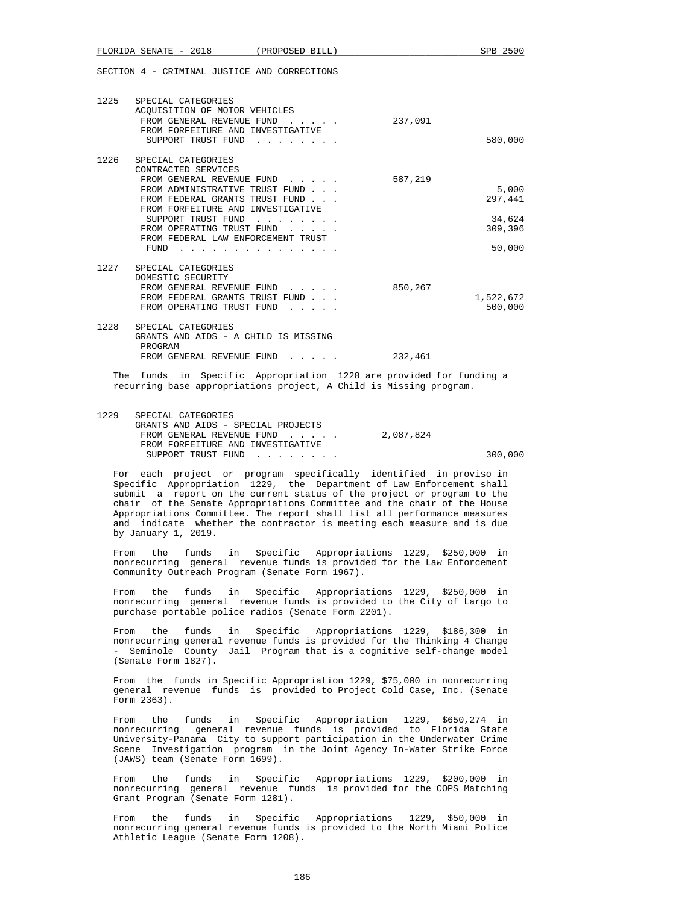|      | FLORIDA SENATE - 2018 (PROPOSED BILL)                                                                                                                                                                                                                                                                             |           | SPB 2500                                        |
|------|-------------------------------------------------------------------------------------------------------------------------------------------------------------------------------------------------------------------------------------------------------------------------------------------------------------------|-----------|-------------------------------------------------|
|      | SECTION 4 - CRIMINAL JUSTICE AND CORRECTIONS                                                                                                                                                                                                                                                                      |           |                                                 |
| 1225 | SPECIAL CATEGORIES<br>ACQUISITION OF MOTOR VEHICLES<br>FROM GENERAL REVENUE FUND<br>FROM FORFEITURE AND INVESTIGATIVE<br>SUPPORT TRUST FUND                                                                                                                                                                       | 237,091   | 580,000                                         |
| 1226 | SPECIAL CATEGORIES<br>CONTRACTED SERVICES<br>FROM GENERAL REVENUE FUND<br>FROM ADMINISTRATIVE TRUST FUND<br>FROM FEDERAL GRANTS TRUST FUND<br>FROM FORFEITURE AND INVESTIGATIVE<br>SUPPORT TRUST FUND<br>FROM OPERATING TRUST FUND<br>FROM FEDERAL LAW ENFORCEMENT TRUST<br>FUND<br>and the state of the state of | 587,219   | 5,000<br>297,441<br>34,624<br>309,396<br>50,000 |
| 1227 | SPECIAL CATEGORIES<br>DOMESTIC SECURITY<br>FROM GENERAL REVENUE FUND<br>FROM FEDERAL GRANTS TRUST FUND<br>FROM OPERATING TRUST FUND                                                                                                                                                                               | 850,267   | 1,522,672<br>500,000                            |
| 1228 | SPECIAL CATEGORIES<br>GRANTS AND AIDS - A CHILD IS MISSING<br>PROGRAM<br>FROM GENERAL REVENUE FUND                                                                                                                                                                                                                | 232,461   |                                                 |
| The  | funds in Specific Appropriation 1228 are provided for funding a<br>recurring base appropriations project, A Child is Missing program.                                                                                                                                                                             |           |                                                 |
| 1229 | SPECIAL CATEGORIES<br>GRANTS AND AIDS - SPECIAL PROJECTS<br>FROM GENERAL REVENUE FUND<br>FROM FORFEITURE AND INVESTIGATIVE                                                                                                                                                                                        | 2,087,824 |                                                 |

 For each project or program specifically identified in proviso in Specific Appropriation 1229, the Department of Law Enforcement shall submit a report on the current status of the project or program to the chair of the Senate Appropriations Committee and the chair of the House Appropriations Committee. The report shall list all performance measures and indicate whether the contractor is meeting each measure and is due by January 1, 2019.

SUPPORT TRUST FUND . . . . . . . . 300,000

 From the funds in Specific Appropriations 1229, \$250,000 in nonrecurring general revenue funds is provided for the Law Enforcement Community Outreach Program (Senate Form 1967).

 From the funds in Specific Appropriations 1229, \$250,000 in nonrecurring general revenue funds is provided to the City of Largo to purchase portable police radios (Senate Form 2201).

 From the funds in Specific Appropriations 1229, \$186,300 in nonrecurring general revenue funds is provided for the Thinking 4 Change - Seminole County Jail Program that is a cognitive self-change model (Senate Form 1827).

 From the funds in Specific Appropriation 1229, \$75,000 in nonrecurring general revenue funds is provided to Project Cold Case, Inc. (Senate  $F_{\text{O}}$  $T_{\text{m}}$  2363)

 From the funds in Specific Appropriation 1229, \$650,274 in nonrecurring general revenue funds is provided to Florida State University-Panama City to support participation in the Underwater Crime Scene Investigation program in the Joint Agency In-Water Strike Force (JAWS) team (Senate Form 1699).

 From the funds in Specific Appropriations 1229, \$200,000 in nonrecurring general revenue funds is provided for the COPS Matching Grant Program (Senate Form 1281).

 From the funds in Specific Appropriations 1229, \$50,000 in nonrecurring general revenue funds is provided to the North Miami Police Athletic League (Senate Form 1208).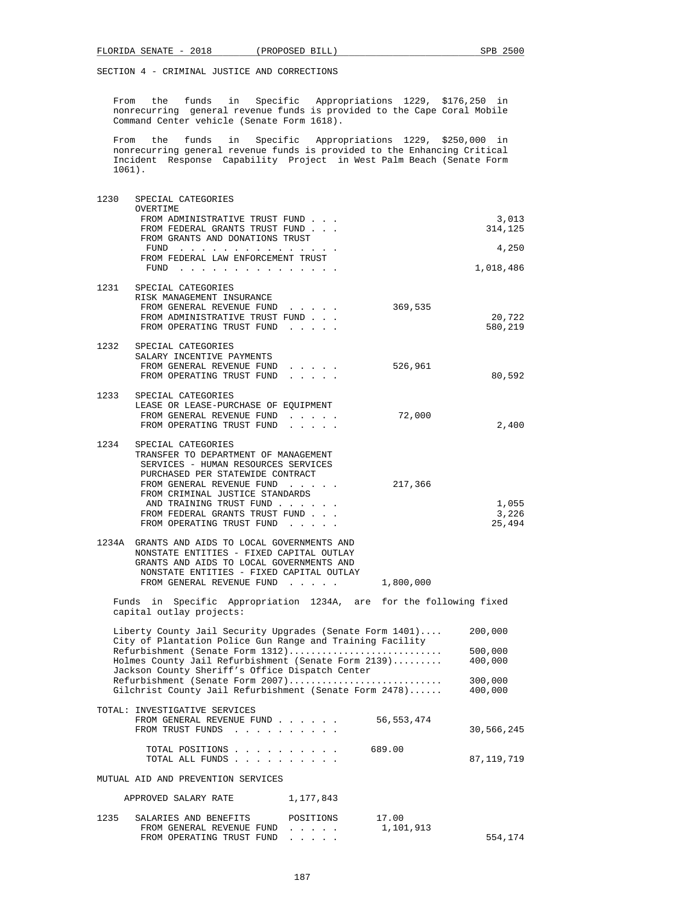From the funds in Specific Appropriations 1229, \$176,250 in nonrecurring general revenue funds is provided to the Cape Coral Mobile Command Center vehicle (Senate Form 1618).

 From the funds in Specific Appropriations 1229, \$250,000 in nonrecurring general revenue funds is provided to the Enhancing Critical Incident Response Capability Project in West Palm Beach (Senate Form 1061).

| 1230 | SPECIAL CATEGORIES<br>OVERTIME                                                                                                                                   |                                                                            |              |                    |
|------|------------------------------------------------------------------------------------------------------------------------------------------------------------------|----------------------------------------------------------------------------|--------------|--------------------|
|      | FROM ADMINISTRATIVE TRUST FUND<br>FROM FEDERAL GRANTS TRUST FUND                                                                                                 |                                                                            |              | 3,013<br>314,125   |
|      | FROM GRANTS AND DONATIONS TRUST<br>FUND $\cdots$                                                                                                                 |                                                                            |              | 4,250              |
|      | FROM FEDERAL LAW ENFORCEMENT TRUST                                                                                                                               |                                                                            |              | 1,018,486          |
| 1231 | SPECIAL CATEGORIES<br>RISK MANAGEMENT INSURANCE                                                                                                                  |                                                                            |              |                    |
|      | FROM GENERAL REVENUE FUND                                                                                                                                        |                                                                            | 369,535      |                    |
|      | FROM ADMINISTRATIVE TRUST FUND<br>FROM OPERATING TRUST FUND                                                                                                      |                                                                            |              | 20,722<br>580,219  |
| 1232 | SPECIAL CATEGORIES                                                                                                                                               |                                                                            |              |                    |
|      | SALARY INCENTIVE PAYMENTS<br>FROM GENERAL REVENUE FUND                                                                                                           |                                                                            | 526,961      |                    |
|      | FROM OPERATING TRUST FUND<br>$\mathbf{r} = \mathbf{r} = \mathbf{r} = \mathbf{r} = \mathbf{r}$                                                                    |                                                                            |              | 80,592             |
| 1233 | SPECIAL CATEGORIES<br>LEASE OR LEASE-PURCHASE OF EQUIPMENT                                                                                                       |                                                                            |              |                    |
|      | FROM GENERAL REVENUE FUND<br>FROM OPERATING TRUST FUND<br>$\mathbf{1}$ , $\mathbf{1}$ , $\mathbf{1}$ , $\mathbf{1}$ , $\mathbf{1}$                               | $\mathbf{1}$ . The set of the set of $\mathbf{1}$                          | 72,000       | 2,400              |
| 1234 | SPECIAL CATEGORIES                                                                                                                                               |                                                                            |              |                    |
|      | TRANSFER TO DEPARTMENT OF MANAGEMENT<br>SERVICES - HUMAN RESOURCES SERVICES                                                                                      |                                                                            |              |                    |
|      | PURCHASED PER STATEWIDE CONTRACT<br>FROM GENERAL REVENUE FUND                                                                                                    |                                                                            | 217,366      |                    |
|      | FROM CRIMINAL JUSTICE STANDARDS                                                                                                                                  |                                                                            |              |                    |
|      | AND TRAINING TRUST FUND<br>FROM FEDERAL GRANTS TRUST FUND                                                                                                        |                                                                            |              | 1,055<br>3,226     |
|      | FROM OPERATING TRUST FUND                                                                                                                                        |                                                                            |              | 25,494             |
|      | 1234A GRANTS AND AIDS TO LOCAL GOVERNMENTS AND<br>NONSTATE ENTITIES - FIXED CAPITAL OUTLAY                                                                       |                                                                            |              |                    |
|      | GRANTS AND AIDS TO LOCAL GOVERNMENTS AND<br>NONSTATE ENTITIES - FIXED CAPITAL OUTLAY                                                                             |                                                                            |              |                    |
|      | FROM GENERAL REVENUE FUND                                                                                                                                        |                                                                            | 1,800,000    |                    |
|      | Funds in Specific Appropriation 1234A, are for the following fixed<br>capital outlay projects:                                                                   |                                                                            |              |                    |
|      | Liberty County Jail Security Upgrades (Senate Form 1401)<br>City of Plantation Police Gun Range and Training Facility                                            |                                                                            |              | 200,000            |
|      | Refurbishment (Senate Form 1312)                                                                                                                                 |                                                                            |              | 500,000            |
|      | Holmes County Jail Refurbishment (Senate Form 2139)<br>Jackson County Sheriff's Office Dispatch Center                                                           |                                                                            |              | 400,000            |
|      | Refurbishment (Senate Form 2007)<br>Gilchrist County Jail Refurbishment (Senate Form 2478)                                                                       |                                                                            |              | 300,000<br>400,000 |
|      | TOTAL: INVESTIGATIVE SERVICES                                                                                                                                    |                                                                            | 56, 553, 474 |                    |
|      | FROM GENERAL REVENUE FUND<br>FROM TRUST FUNDS<br>the contract of the contract of the contract of the contract of the contract of the contract of the contract of |                                                                            |              | 30,566,245         |
|      | TOTAL POSITIONS<br>TOTAL ALL FUNDS                                                                                                                               |                                                                            | 689.00       | 87, 119, 719       |
|      | MUTUAL AID AND PREVENTION SERVICES                                                                                                                               |                                                                            |              |                    |
|      | APPROVED SALARY RATE<br>1,177,843                                                                                                                                |                                                                            |              |                    |
| 1235 | SALARIES AND BENEFITS                                                                                                                                            | POSITIONS                                                                  | 17.00        |                    |
|      | FROM GENERAL REVENUE FUND<br>FROM OPERATING TRUST FUND                                                                                                           | $\mathbf{r}$ and $\mathbf{r}$ and $\mathbf{r}$<br>and a state of the state | 1,101,913    | 554,174            |
|      |                                                                                                                                                                  |                                                                            |              |                    |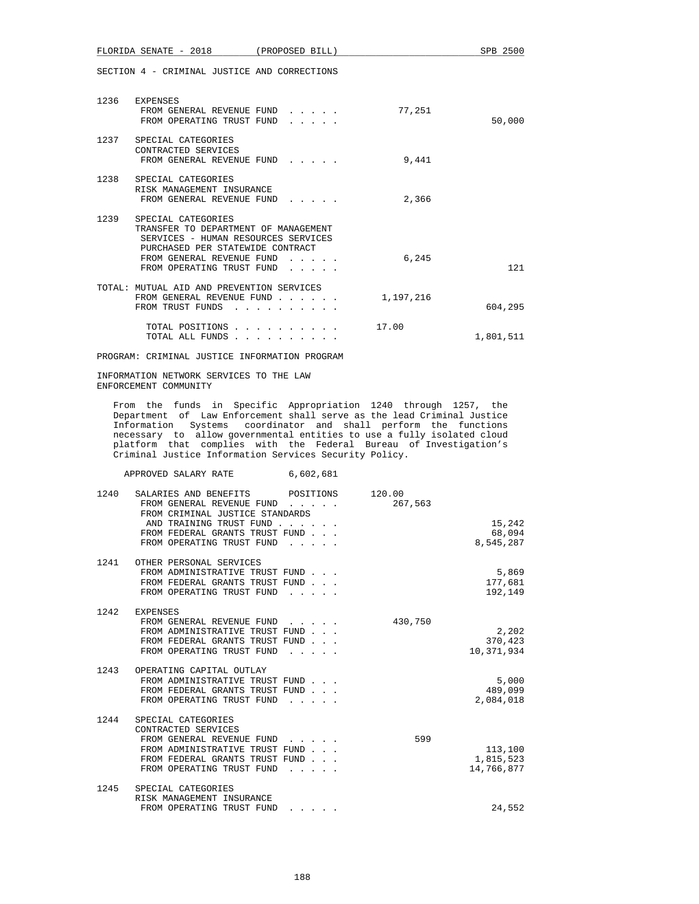FLORIDA SENATE - 2018 (PROPOSED BILL) SPB 2500

SECTION 4 - CRIMINAL JUSTICE AND CORRECTIONS

| 1236 | EXPENSES<br>FROM GENERAL REVENUE FUND<br>and a state of the state<br>FROM OPERATING TRUST FUND<br>.                                                                                                                                                                                          | 77,251    | 50,000    |
|------|----------------------------------------------------------------------------------------------------------------------------------------------------------------------------------------------------------------------------------------------------------------------------------------------|-----------|-----------|
| 1237 | SPECIAL CATEGORIES<br>CONTRACTED SERVICES<br>FROM GENERAL REVENUE FUND<br>$\cdots$                                                                                                                                                                                                           | 9,441     |           |
| 1238 | SPECIAL CATEGORIES<br>RISK MANAGEMENT INSURANCE<br>FROM GENERAL REVENUE FUND                                                                                                                                                                                                                 | 2,366     |           |
| 1239 | SPECIAL CATEGORIES<br>TRANSFER TO DEPARTMENT OF MANAGEMENT<br>SERVICES - HUMAN RESOURCES SERVICES<br>PURCHASED PER STATEWIDE CONTRACT<br>FROM GENERAL REVENUE FUND<br>$\mathbf{r}$ and $\mathbf{r}$ and $\mathbf{r}$<br>FROM OPERATING TRUST FUND<br>$\cdot$ $\cdot$ $\cdot$ $\cdot$ $\cdot$ | 6,245     | 121       |
|      | TOTAL: MUTUAL AID AND PREVENTION SERVICES<br>FROM GENERAL REVENUE FUND<br>FROM TRUST FUNDS                                                                                                                                                                                                   | 1,197,216 | 604,295   |
|      | TOTAL POSITIONS<br>$\sim$ $\sim$ $\sim$ $\sim$ $\sim$ $\sim$<br>TOTAL ALL FUNDS<br>$\cdot$ $\cdot$ $\cdot$ $\cdot$ $\cdot$ $\cdot$                                                                                                                                                           | 17.00     | 1,801,511 |

PROGRAM: CRIMINAL JUSTICE INFORMATION PROGRAM

 INFORMATION NETWORK SERVICES TO THE LAW ENFORCEMENT COMMUNITY

 From the funds in Specific Appropriation 1240 through 1257, the Department of Law Enforcement shall serve as the lead Criminal Justice Information Systems coordinator and shall perform the functions necessary to allow governmental entities to use a fully isolated cloud platform that complies with the Federal Bureau of Investigation's Criminal Justice Information Services Security Policy.

APPROVED SALARY RATE 6,602,681

| 1240 | SALARIES AND BENEFITS POSITIONS<br>FROM GENERAL REVENUE FUND    | 120.00<br>267,563 |            |
|------|-----------------------------------------------------------------|-------------------|------------|
|      | FROM CRIMINAL JUSTICE STANDARDS                                 |                   |            |
|      | AND TRAINING TRUST FUND                                         |                   | 15,242     |
|      | FROM FEDERAL GRANTS TRUST FUND                                  |                   | 68,094     |
|      | FROM OPERATING TRUST FUND                                       |                   | 8,545,287  |
|      | 1241 OTHER PERSONAL SERVICES                                    |                   |            |
|      | FROM ADMINISTRATIVE TRUST FUND                                  |                   | 5,869      |
|      | FROM FEDERAL GRANTS TRUST FUND                                  |                   | 177,681    |
|      | FROM OPERATING TRUST FUND                                       |                   | 192,149    |
| 1242 | EXPENSES                                                        |                   |            |
|      | FROM GENERAL REVENUE FUND                                       | 430,750           |            |
|      | FROM ADMINISTRATIVE TRUST FUND                                  |                   | 2,202      |
|      | FROM FEDERAL GRANTS TRUST FUND                                  |                   | 370,423    |
|      | FROM OPERATING TRUST FUND                                       |                   | 10,371,934 |
|      |                                                                 |                   |            |
|      | 1243 OPERATING CAPITAL OUTLAY<br>FROM ADMINISTRATIVE TRUST FUND |                   | 5,000      |
|      | FROM FEDERAL GRANTS TRUST FUND                                  |                   | 489,099    |
|      | FROM OPERATING TRUST FUND                                       |                   | 2,084,018  |
|      |                                                                 |                   |            |
| 1244 | SPECIAL CATEGORIES                                              |                   |            |
|      | CONTRACTED SERVICES                                             |                   |            |
|      | FROM GENERAL REVENUE FUND<br>FROM ADMINISTRATIVE TRUST FUND     | 599               | 113,100    |
|      | FROM FEDERAL GRANTS TRUST FUND                                  |                   | 1,815,523  |
|      | FROM OPERATING TRUST FUND                                       |                   | 14,766,877 |
|      |                                                                 |                   |            |
| 1245 | SPECIAL CATEGORIES                                              |                   |            |
|      | RISK MANAGEMENT INSURANCE                                       |                   |            |
|      | FROM OPERATING TRUST FUND                                       |                   | 24,552     |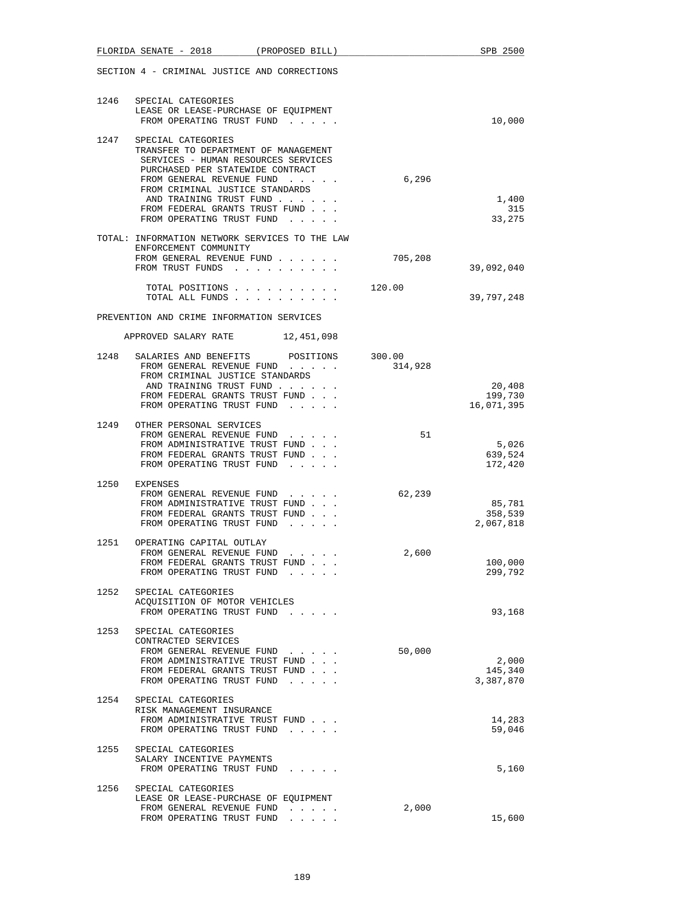|      | FLORIDA SENATE - 2018 (PROPOSED BILL)                                                                                                                                                                                                                                                           |                                                 |         | SPB 2500                        |
|------|-------------------------------------------------------------------------------------------------------------------------------------------------------------------------------------------------------------------------------------------------------------------------------------------------|-------------------------------------------------|---------|---------------------------------|
|      | SECTION 4 - CRIMINAL JUSTICE AND CORRECTIONS                                                                                                                                                                                                                                                    |                                                 |         |                                 |
|      | 1246 SPECIAL CATEGORIES<br>LEASE OR LEASE-PURCHASE OF EQUIPMENT<br>FROM OPERATING TRUST FUND                                                                                                                                                                                                    |                                                 |         | 10,000                          |
| 1247 | SPECIAL CATEGORIES<br>TRANSFER TO DEPARTMENT OF MANAGEMENT<br>SERVICES - HUMAN RESOURCES SERVICES<br>PURCHASED PER STATEWIDE CONTRACT<br>FROM GENERAL REVENUE FUND<br>FROM CRIMINAL JUSTICE STANDARDS<br>AND TRAINING TRUST FUND<br>FROM FEDERAL GRANTS TRUST FUND<br>FROM OPERATING TRUST FUND |                                                 | 6,296   | 1,400<br>315<br>33,275          |
|      | TOTAL: INFORMATION NETWORK SERVICES TO THE LAW<br>ENFORCEMENT COMMUNITY<br>FROM GENERAL REVENUE FUND<br>FROM TRUST FUNDS                                                                                                                                                                        |                                                 | 705,208 | 39,092,040                      |
|      | TOTAL POSITIONS<br>TOTAL ALL FUNDS                                                                                                                                                                                                                                                              |                                                 | 120.00  | 39,797,248                      |
|      | PREVENTION AND CRIME INFORMATION SERVICES                                                                                                                                                                                                                                                       |                                                 |         |                                 |
|      | APPROVED SALARY RATE 12,451,098                                                                                                                                                                                                                                                                 |                                                 |         |                                 |
| 1248 | SALARIES AND BENEFITS POSITIONS 300.00<br>FROM GENERAL REVENUE FUND<br>FROM CRIMINAL JUSTICE STANDARDS<br>AND TRAINING TRUST FUND<br>FROM FEDERAL GRANTS TRUST FUND<br>FROM OPERATING TRUST FUND                                                                                                |                                                 | 314,928 | 20,408<br>199,730<br>16,071,395 |
|      |                                                                                                                                                                                                                                                                                                 |                                                 |         |                                 |
|      | 1249 OTHER PERSONAL SERVICES<br>FROM GENERAL REVENUE FUND<br>FROM ADMINISTRATIVE TRUST FUND<br>FROM FEDERAL GRANTS TRUST FUND<br>FROM OPERATING TRUST FUND                                                                                                                                      |                                                 | 51      | 5,026<br>639,524<br>172,420     |
|      | 1250 EXPENSES<br>FROM GENERAL REVENUE FUND<br>FROM ADMINISTRATIVE TRUST FUND<br>FROM FEDERAL GRANTS TRUST FUND<br>FROM OPERATING TRUST FUND                                                                                                                                                     |                                                 | 62,239  | 85,781<br>358,539<br>2,067,818  |
|      | 1251 OPERATING CAPITAL OUTLAY<br>FROM GENERAL REVENUE FUND<br>FROM FEDERAL GRANTS TRUST FUND<br>FROM OPERATING TRUST FUND                                                                                                                                                                       | the contract of the contract of the contract of | 2,600   | 100,000<br>299,792              |
| 1252 | SPECIAL CATEGORIES<br>ACQUISITION OF MOTOR VEHICLES<br>FROM OPERATING TRUST FUND                                                                                                                                                                                                                |                                                 |         | 93,168                          |
| 1253 | SPECIAL CATEGORIES<br>CONTRACTED SERVICES<br>FROM GENERAL REVENUE FUND<br>FROM ADMINISTRATIVE TRUST FUND<br>FROM FEDERAL GRANTS TRUST FUND<br>FROM OPERATING TRUST FUND                                                                                                                         |                                                 | 50,000  | 2,000<br>145,340<br>3,387,870   |
| 1254 | SPECIAL CATEGORIES<br>RISK MANAGEMENT INSURANCE<br>FROM ADMINISTRATIVE TRUST FUND<br>FROM OPERATING TRUST FUND                                                                                                                                                                                  |                                                 |         | 14,283<br>59,046                |
| 1255 | SPECIAL CATEGORIES<br>SALARY INCENTIVE PAYMENTS<br>FROM OPERATING TRUST FUND                                                                                                                                                                                                                    |                                                 |         | 5,160                           |
| 1256 | SPECIAL CATEGORIES<br>LEASE OR LEASE-PURCHASE OF EQUIPMENT<br>FROM GENERAL REVENUE FUND<br>FROM OPERATING TRUST FUND                                                                                                                                                                            |                                                 | 2,000   | 15,600                          |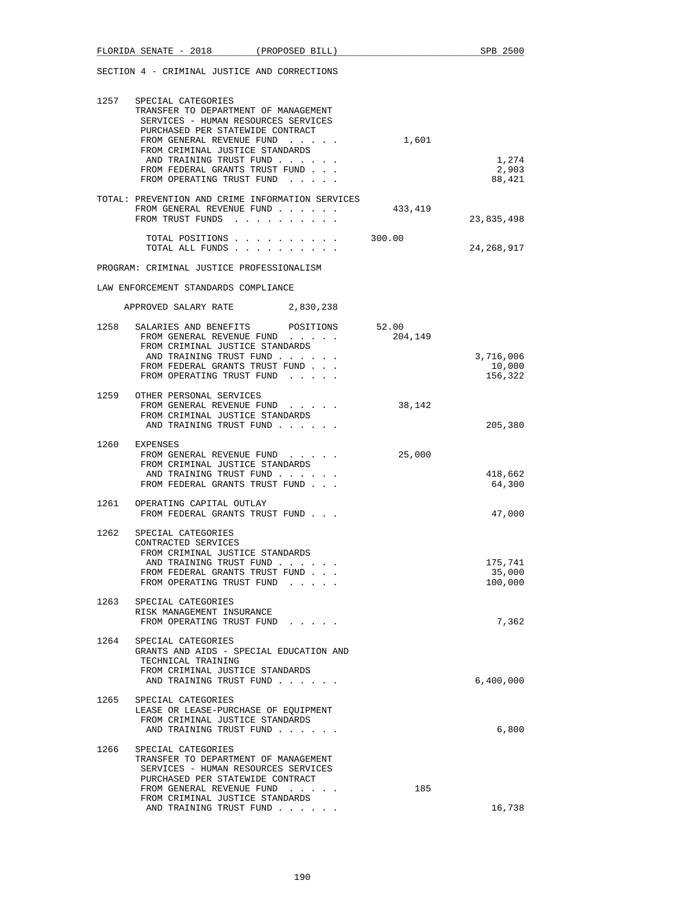|      | FLORIDA SENATE - 2018                                                                                                                                                                                                                                                                           | (PROPOSED BILL) |                  | SPB 2500                     |
|------|-------------------------------------------------------------------------------------------------------------------------------------------------------------------------------------------------------------------------------------------------------------------------------------------------|-----------------|------------------|------------------------------|
|      | SECTION 4 - CRIMINAL JUSTICE AND CORRECTIONS                                                                                                                                                                                                                                                    |                 |                  |                              |
| 1257 | SPECIAL CATEGORIES<br>TRANSFER TO DEPARTMENT OF MANAGEMENT<br>SERVICES - HUMAN RESOURCES SERVICES<br>PURCHASED PER STATEWIDE CONTRACT<br>FROM GENERAL REVENUE FUND<br>FROM CRIMINAL JUSTICE STANDARDS<br>AND TRAINING TRUST FUND<br>FROM FEDERAL GRANTS TRUST FUND<br>FROM OPERATING TRUST FUND |                 | 1,601            | 1,274<br>2,903<br>88,421     |
|      | TOTAL: PREVENTION AND CRIME INFORMATION SERVICES<br>FROM GENERAL REVENUE FUND<br>FROM TRUST FUNDS                                                                                                                                                                                               |                 | 433,419          | 23,835,498                   |
|      | TOTAL POSITIONS<br>TOTAL ALL FUNDS                                                                                                                                                                                                                                                              |                 | 300.00           | 24, 268, 917                 |
|      | PROGRAM: CRIMINAL JUSTICE PROFESSIONALISM                                                                                                                                                                                                                                                       |                 |                  |                              |
|      | LAW ENFORCEMENT STANDARDS COMPLIANCE                                                                                                                                                                                                                                                            |                 |                  |                              |
|      | APPROVED SALARY RATE 2,830,238                                                                                                                                                                                                                                                                  |                 |                  |                              |
| 1258 | SALARIES AND BENEFITS<br>FROM GENERAL REVENUE FUND<br>FROM CRIMINAL JUSTICE STANDARDS<br>AND TRAINING TRUST FUND<br>FROM FEDERAL GRANTS TRUST FUND                                                                                                                                              | POSITIONS       | 52.00<br>204,149 | 3,716,006<br>10,000          |
|      | FROM OPERATING TRUST FUND<br>1259 OTHER PERSONAL SERVICES                                                                                                                                                                                                                                       |                 |                  | 156,322                      |
|      | FROM GENERAL REVENUE FUND<br>FROM CRIMINAL JUSTICE STANDARDS<br>AND TRAINING TRUST FUND                                                                                                                                                                                                         |                 | 38,142           | 205,380                      |
| 1260 | EXPENSES<br>FROM GENERAL REVENUE FUND<br>FROM CRIMINAL JUSTICE STANDARDS<br>AND TRAINING TRUST FUND<br>FROM FEDERAL GRANTS TRUST FUND                                                                                                                                                           |                 | 25,000           | 418,662<br>64,300            |
|      | 1261 OPERATING CAPITAL OUTLAY<br>FROM FEDERAL GRANTS TRUST FUND                                                                                                                                                                                                                                 |                 |                  | 47,000                       |
| 1262 | SPECIAL CATEGORIES<br>CONTRACTED SERVICES<br>FROM CRIMINAL JUSTICE STANDARDS<br>AND TRAINING TRUST FUND<br>FROM FEDERAL GRANTS TRUST FUND<br>FROM OPERATING TRUST FUND                                                                                                                          |                 |                  | 175,741<br>35,000<br>100,000 |
| 1263 | SPECIAL CATEGORIES<br>RISK MANAGEMENT INSURANCE<br>FROM OPERATING TRUST FUND                                                                                                                                                                                                                    |                 |                  | 7,362                        |
| 1264 | SPECIAL CATEGORIES<br>GRANTS AND AIDS - SPECIAL EDUCATION AND<br>TECHNICAL TRAINING<br>FROM CRIMINAL JUSTICE STANDARDS<br>AND TRAINING TRUST FUND                                                                                                                                               |                 |                  | 6,400,000                    |
|      | 1265 SPECIAL CATEGORIES<br>LEASE OR LEASE-PURCHASE OF EQUIPMENT<br>FROM CRIMINAL JUSTICE STANDARDS<br>AND TRAINING TRUST FUND                                                                                                                                                                   |                 |                  | 6,800                        |
| 1266 | SPECIAL CATEGORIES<br>TRANSFER TO DEPARTMENT OF MANAGEMENT<br>SERVICES - HUMAN RESOURCES SERVICES<br>PURCHASED PER STATEWIDE CONTRACT<br>FROM GENERAL REVENUE FUND<br>FROM CRIMINAL JUSTICE STANDARDS<br>AND TRAINING TRUST FUND                                                                |                 | 185              | 16,738                       |
|      |                                                                                                                                                                                                                                                                                                 |                 |                  |                              |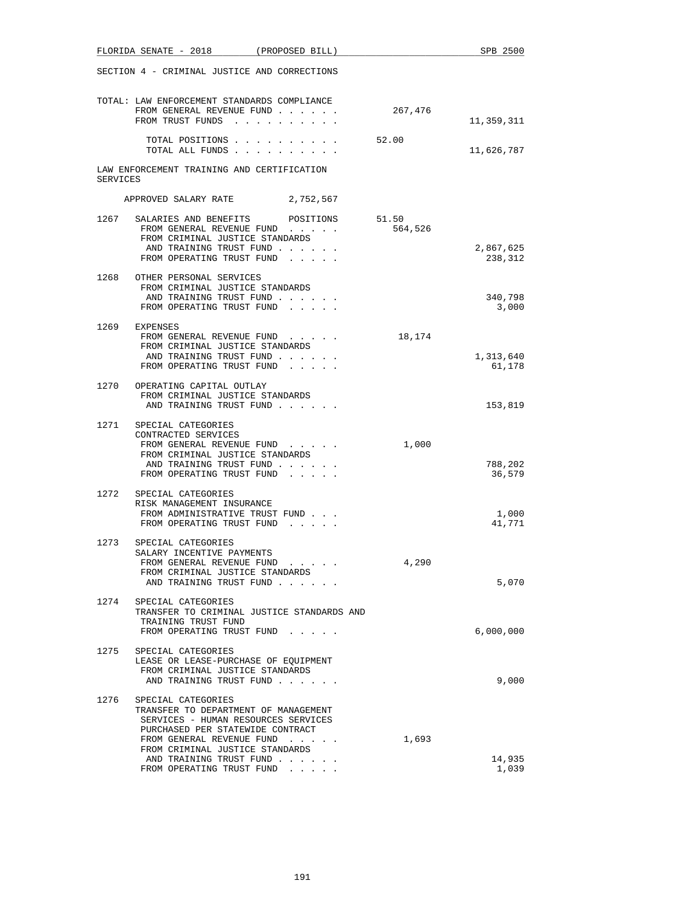|          | FLORIDA SENATE - 2018                                                                                          | (PROPOSED BILL) |         | SPB 2500            |
|----------|----------------------------------------------------------------------------------------------------------------|-----------------|---------|---------------------|
|          | SECTION 4 - CRIMINAL JUSTICE AND CORRECTIONS                                                                   |                 |         |                     |
|          | TOTAL: LAW ENFORCEMENT STANDARDS COMPLIANCE<br>FROM GENERAL REVENUE FUND<br>FROM TRUST FUNDS                   |                 | 267,476 | 11,359,311          |
|          | TOTAL POSITIONS<br>TOTAL ALL FUNDS                                                                             |                 | 52.00   | 11,626,787          |
| SERVICES | LAW ENFORCEMENT TRAINING AND CERTIFICATION                                                                     |                 |         |                     |
|          | APPROVED SALARY RATE 2,752,567                                                                                 |                 |         |                     |
| 1267     | SALARIES AND BENEFITS POSITIONS                                                                                |                 | 51.50   |                     |
|          | FROM GENERAL REVENUE FUND<br>FROM CRIMINAL JUSTICE STANDARDS<br>AND TRAINING TRUST FUND                        |                 | 564,526 | 2,867,625           |
|          | FROM OPERATING TRUST FUND                                                                                      |                 |         | 238,312             |
| 1268     | OTHER PERSONAL SERVICES<br>FROM CRIMINAL JUSTICE STANDARDS                                                     |                 |         |                     |
|          | AND TRAINING TRUST FUND<br>FROM OPERATING TRUST FUND                                                           |                 |         | 340,798<br>3,000    |
| 1269     | EXPENSES<br>FROM GENERAL REVENUE FUND                                                                          |                 | 18,174  |                     |
|          | FROM CRIMINAL JUSTICE STANDARDS                                                                                |                 |         |                     |
|          | AND TRAINING TRUST FUND<br>FROM OPERATING TRUST FUND                                                           |                 |         | 1,313,640<br>61,178 |
| 1270     | OPERATING CAPITAL OUTLAY<br>FROM CRIMINAL JUSTICE STANDARDS<br>AND TRAINING TRUST FUND                         |                 |         | 153,819             |
|          | 1271 SPECIAL CATEGORIES                                                                                        |                 |         |                     |
|          | CONTRACTED SERVICES<br>FROM GENERAL REVENUE FUND<br>FROM CRIMINAL JUSTICE STANDARDS<br>AND TRAINING TRUST FUND |                 | 1,000   | 788,202             |
|          | FROM OPERATING TRUST FUND                                                                                      |                 |         | 36,579              |
|          | 1272 SPECIAL CATEGORIES                                                                                        |                 |         |                     |
|          | RISK MANAGEMENT INSURANCE<br>FROM ADMINISTRATIVE TRUST FUND<br>FROM OPERATING TRUST FUND.                      |                 |         | 1,000<br>41,771     |
| 1273     | SPECIAL CATEGORIES                                                                                             |                 |         |                     |
|          | SALARY INCENTIVE PAYMENTS<br>FROM GENERAL REVENUE FUND<br>FROM CRIMINAL JUSTICE STANDARDS                      |                 | 4,290   |                     |
|          | AND TRAINING TRUST FUND                                                                                        |                 |         | 5,070               |
| 1274     | SPECIAL CATEGORIES<br>TRANSFER TO CRIMINAL JUSTICE STANDARDS AND<br>TRAINING TRUST FUND                        |                 |         |                     |
|          | FROM OPERATING TRUST FUND                                                                                      |                 |         | 6,000,000           |
| 1275     | SPECIAL CATEGORIES<br>LEASE OR LEASE-PURCHASE OF EQUIPMENT<br>FROM CRIMINAL JUSTICE STANDARDS                  |                 |         |                     |
|          | AND TRAINING TRUST FUND                                                                                        |                 |         | 9,000               |
| 1276     | SPECIAL CATEGORIES<br>TRANSFER TO DEPARTMENT OF MANAGEMENT                                                     |                 |         |                     |
|          | SERVICES - HUMAN RESOURCES SERVICES<br>PURCHASED PER STATEWIDE CONTRACT                                        |                 |         |                     |
|          | FROM GENERAL REVENUE FUND<br>FROM CRIMINAL JUSTICE STANDARDS                                                   |                 | 1,693   |                     |
|          | AND TRAINING TRUST FUND<br>FROM OPERATING TRUST FUND                                                           |                 |         | 14,935<br>1,039     |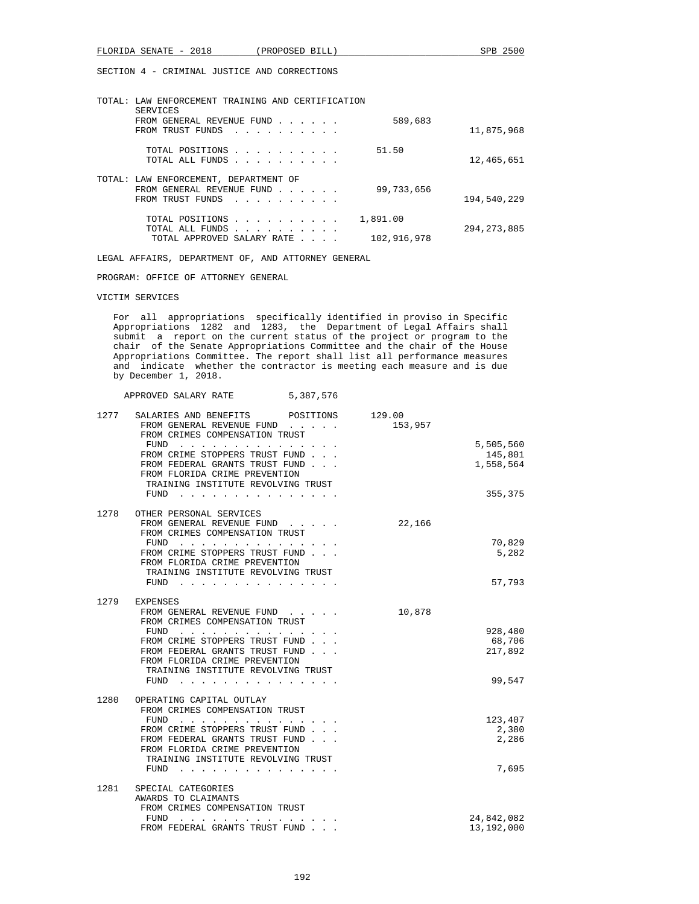| TOTAL: | LAW ENFORCEMENT TRAINING AND CERTIFICATION<br>SERVICES                                                                                                                                                          |                         |               |
|--------|-----------------------------------------------------------------------------------------------------------------------------------------------------------------------------------------------------------------|-------------------------|---------------|
|        | FROM GENERAL REVENUE FUND<br>FROM TRUST FUNDS                                                                                                                                                                   | 589,683                 | 11,875,968    |
|        | TOTAL POSITIONS<br>TOTAL ALL FUNDS                                                                                                                                                                              | 51.50                   | 12,465,651    |
|        | TOTAL: LAW ENFORCEMENT, DEPARTMENT OF<br>FROM GENERAL REVENUE FUND<br>FROM TRUST FUNDS<br>$\mathbf{r}$ , $\mathbf{r}$ , $\mathbf{r}$ , $\mathbf{r}$ , $\mathbf{r}$ , $\mathbf{r}$ , $\mathbf{r}$ , $\mathbf{r}$ | 99,733,656              | 194,540,229   |
|        | TOTAL POSITIONS<br>TOTAL ALL FUNDS<br>.<br>TOTAL APPROVED SALARY RATE                                                                                                                                           | 1,891.00<br>102,916,978 | 294, 273, 885 |

LEGAL AFFAIRS, DEPARTMENT OF, AND ATTORNEY GENERAL

PROGRAM: OFFICE OF ATTORNEY GENERAL

VICTIM SERVICES

 For all appropriations specifically identified in proviso in Specific Appropriations 1282 and 1283, the Department of Legal Affairs shall submit a report on the current status of the project or program to the chair of the Senate Appropriations Committee and the chair of the House Appropriations Committee. The report shall list all performance measures and indicate whether the contractor is meeting each measure and is due by December 1, 2018.

APPROVED SALARY RATE 5,387,576

| 1277 | SALARIES AND BENEFITS POSITIONS<br>FROM GENERAL REVENUE FUND<br>FROM CRIMES COMPENSATION TRUST<br>FUND<br>the contract of the contract of the contract of the contract of the contract of the contract of the contract of the contract of the contract of the contract of the contract of the contract of the contract of the contract o<br>FROM CRIME STOPPERS TRUST FUND<br>FROM FEDERAL GRANTS TRUST FUND<br>FROM FLORIDA CRIME PREVENTION<br>TRAINING INSTITUTE REVOLVING TRUST<br>FUND<br>the contract of the contract of the contract of the contract of the contract of the contract of the contract of | 129.00<br>153,957 | 5,505,560<br>145,801<br>1,558,564<br>355,375 |
|------|----------------------------------------------------------------------------------------------------------------------------------------------------------------------------------------------------------------------------------------------------------------------------------------------------------------------------------------------------------------------------------------------------------------------------------------------------------------------------------------------------------------------------------------------------------------------------------------------------------------|-------------------|----------------------------------------------|
| 1278 | OTHER PERSONAL SERVICES<br>FROM GENERAL REVENUE FUND<br>FROM CRIMES COMPENSATION TRUST<br>FUND<br>. The second contract is a second contract of the second second $\mathcal{A}$<br>FROM CRIME STOPPERS TRUST FUND<br>FROM FLORIDA CRIME PREVENTION<br>TRAINING INSTITUTE REVOLVING TRUST<br>FUND                                                                                                                                                                                                                                                                                                               | 22,166            | 70,829<br>5,282<br>57,793                    |
| 1279 | EXPENSES<br>FROM GENERAL REVENUE FUND.<br>FROM CRIMES COMPENSATION TRUST<br>FUND<br>.<br>FROM CRIME STOPPERS TRUST FUND<br>FROM FEDERAL GRANTS TRUST FUND<br>FROM FLORIDA CRIME PREVENTION<br>TRAINING INSTITUTE REVOLVING TRUST<br>FUND                                                                                                                                                                                                                                                                                                                                                                       | 10,878            | 928,480<br>68,706<br>217,892<br>99,547       |
| 1280 | OPERATING CAPITAL OUTLAY<br>FROM CRIMES COMPENSATION TRUST<br>FUND<br>the contract of the contract of the contract of the contract of the contract of the contract of the contract of<br>FROM CRIME STOPPERS TRUST FUND<br>FROM FEDERAL GRANTS TRUST FUND<br>FROM FLORIDA CRIME PREVENTION<br>TRAINING INSTITUTE REVOLVING TRUST<br>FUND<br>the contract of the contract of the contract of the contract of the contract of the contract of the contract of                                                                                                                                                    |                   | 123,407<br>2,380<br>2,286<br>7,695           |
| 1281 | SPECIAL CATEGORIES<br>AWARDS TO CLAIMANTS<br>FROM CRIMES COMPENSATION TRUST<br>FUND<br>$\begin{array}{cccccccccccccc} \bullet & \bullet & \bullet & \bullet & \bullet & \bullet & \bullet & \bullet & \bullet & \bullet & \bullet & \bullet & \bullet \end{array}$<br>FROM FEDERAL GRANTS TRUST FUND                                                                                                                                                                                                                                                                                                           |                   | 24,842,082<br>13,192,000                     |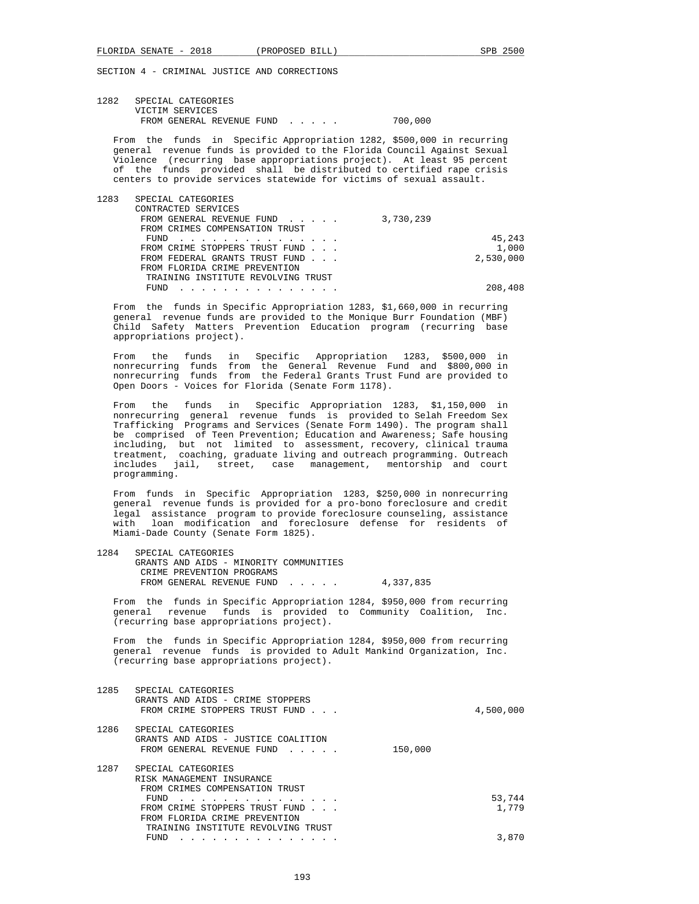| 1282 | SPECIAL CATEGORIES        |         |
|------|---------------------------|---------|
|      | VICTIM SERVICES           |         |
|      | FROM GENERAL REVENUE FUND | 700,000 |

 From the funds in Specific Appropriation 1282, \$500,000 in recurring general revenue funds is provided to the Florida Council Against Sexual Violence (recurring base appropriations project). At least 95 percent of the funds provided shall be distributed to certified rape crisis centers to provide services statewide for victims of sexual assault.

| 1283 | SPECIAL CATEGORIES                 |           |
|------|------------------------------------|-----------|
|      | CONTRACTED SERVICES                |           |
|      | FROM GENERAL REVENUE FUND          | 3,730,239 |
|      | FROM CRIMES COMPENSATION TRUST     |           |
|      | FUND<br>.                          | 45,243    |
|      | FROM CRIME STOPPERS TRUST FUND     | 1,000     |
|      | FROM FEDERAL GRANTS TRUST FUND     | 2,530,000 |
|      | FROM FLORIDA CRIME PREVENTION      |           |
|      | TRAINING INSTITUTE REVOLVING TRUST |           |
|      | FIJND                              | 208,408   |
|      |                                    |           |

 From the funds in Specific Appropriation 1283, \$1,660,000 in recurring general revenue funds are provided to the Monique Burr Foundation (MBF) Child Safety Matters Prevention Education program (recurring base appropriations project).

 From the funds in Specific Appropriation 1283, \$500,000 in nonrecurring funds from the General Revenue Fund and \$800,000 in nonrecurring funds from the Federal Grants Trust Fund are provided to Open Doors - Voices for Florida (Senate Form 1178).

 From the funds in Specific Appropriation 1283, \$1,150,000 in nonrecurring general revenue funds is provided to Selah Freedom Sex Trafficking Programs and Services (Senate Form 1490). The program shall be comprised of Teen Prevention; Education and Awareness; Safe housing including, but not limited to assessment, recovery, clinical trauma treatment, coaching, graduate living and outreach programming. Outreach includes jail, street, case management, mentorship and court programming.

From funds in Specific Appropriation 1283, \$250,000 in nonrecurring general revenue funds is provided for a pro-bono foreclosure and credit general revenue funds is provided for a pro-bono foreclosure and credit legal assistance program to provide foreclosure counseling, assistance with loan modification and foreclosure defense for residents of Miami-Dade County (Senate Form 1825).

 1284 SPECIAL CATEGORIES GRANTS AND AIDS - MINORITY COMMUNITIES CRIME PREVENTION PROGRAMS FROM GENERAL REVENUE FUND . . . . . 4,337,835

 From the funds in Specific Appropriation 1284, \$950,000 from recurring general revenue funds is provided to Community Coalition, Inc. (recurring base appropriations project).

 From the funds in Specific Appropriation 1284, \$950,000 from recurring general revenue funds is provided to Adult Mankind Organization, Inc. (recurring base appropriations project).

| 1285 | SPECIAL CATEGORIES<br>GRANTS AND AIDS - CRIME STOPPERS<br>FROM CRIME STOPPERS TRUST FUND                                                            | 4,500,000       |
|------|-----------------------------------------------------------------------------------------------------------------------------------------------------|-----------------|
| 1286 | SPECIAL CATEGORIES<br>GRANTS AND AIDS - JUSTICE COALITION<br>FROM GENERAL REVENUE FUND<br>$\mathbf{r}$ , $\mathbf{r}$ , $\mathbf{r}$ , $\mathbf{r}$ | 150,000         |
| 1287 | SPECIAL CATEGORIES<br>RISK MANAGEMENT INSURANCE<br>FROM CRIMES COMPENSATION TRUST                                                                   |                 |
|      | FUND<br>.<br>FROM CRIME STOPPERS TRUST FUND<br>FROM FLORIDA CRIME PREVENTION<br>TRAINING INSTITUTE REVOLVING TRUST                                  | 53,744<br>1,779 |
|      | FUND                                                                                                                                                | 3,870           |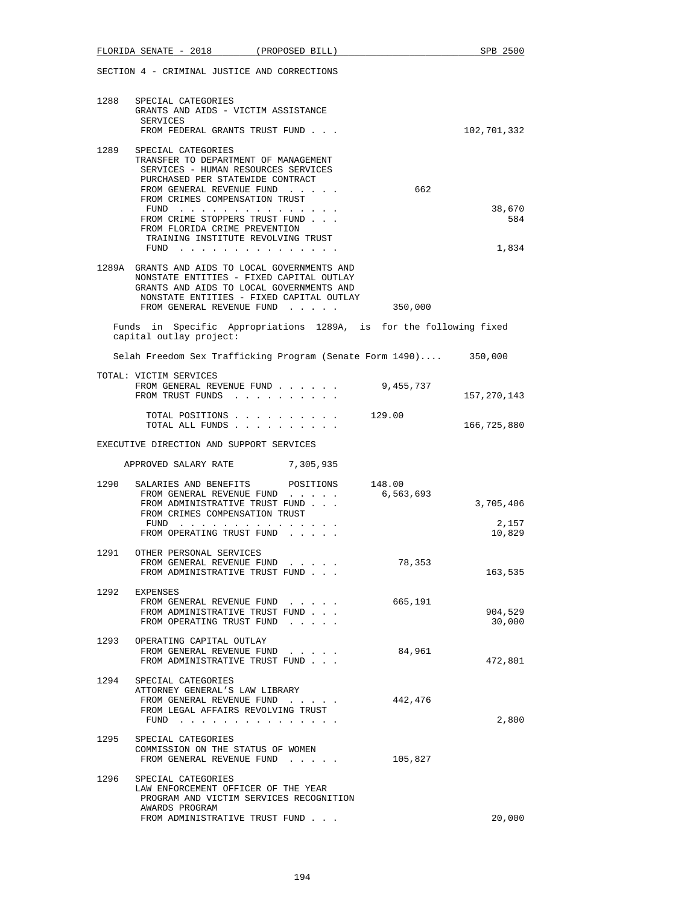|      | FLORIDA SENATE - 2018 (PROPOSED BILL)                                                                                                                                                                                          |                  |           | SPB 2500                     |
|------|--------------------------------------------------------------------------------------------------------------------------------------------------------------------------------------------------------------------------------|------------------|-----------|------------------------------|
|      | SECTION 4 - CRIMINAL JUSTICE AND CORRECTIONS                                                                                                                                                                                   |                  |           |                              |
| 1288 | SPECIAL CATEGORIES<br>GRANTS AND AIDS - VICTIM ASSISTANCE<br>SERVICES<br>FROM FEDERAL GRANTS TRUST FUND                                                                                                                        |                  |           | 102,701,332                  |
| 1289 | SPECIAL CATEGORIES<br>TRANSFER TO DEPARTMENT OF MANAGEMENT<br>SERVICES - HUMAN RESOURCES SERVICES<br>PURCHASED PER STATEWIDE CONTRACT<br>FROM GENERAL REVENUE FUND<br>FROM CRIMES COMPENSATION TRUST                           |                  | 662       |                              |
|      | FUND $\cdots$<br>FROM CRIME STOPPERS TRUST FUND<br>FROM FLORIDA CRIME PREVENTION<br>TRAINING INSTITUTE REVOLVING TRUST<br>FUND                                                                                                 |                  |           | 38,670<br>584<br>1,834       |
|      | 1289A GRANTS AND AIDS TO LOCAL GOVERNMENTS AND<br>NONSTATE ENTITIES - FIXED CAPITAL OUTLAY<br>GRANTS AND AIDS TO LOCAL GOVERNMENTS AND<br>NONSTATE ENTITIES - FIXED CAPITAL OUTLAY<br>FROM GENERAL REVENUE FUND                |                  | 350,000   |                              |
|      | Funds in Specific Appropriations 1289A, is for the following fixed<br>capital outlay project:                                                                                                                                  |                  |           |                              |
|      | Selah Freedom Sex Trafficking Program (Senate Form 1490) 350,000                                                                                                                                                               |                  |           |                              |
|      | TOTAL: VICTIM SERVICES<br>FROM GENERAL REVENUE FUND<br>FROM TRUST FUNDS                                                                                                                                                        |                  | 9,455,737 | 157,270,143                  |
|      | TOTAL POSITIONS<br>TOTAL ALL FUNDS                                                                                                                                                                                             |                  | 129.00    | 166,725,880                  |
|      | EXECUTIVE DIRECTION AND SUPPORT SERVICES                                                                                                                                                                                       |                  |           |                              |
|      | APPROVED SALARY RATE 7,305,935                                                                                                                                                                                                 |                  |           |                              |
| 1290 | SALARIES AND BENEFITS<br>FROM GENERAL REVENUE FUND<br>FROM ADMINISTRATIVE TRUST FUND<br>FROM CRIMES COMPENSATION TRUST<br>FUND<br>$\mathbf{r}$ . The state of the state of the state $\mathbf{r}$<br>FROM OPERATING TRUST FUND | POSITIONS 148.00 | 6,563,693 | 3,705,406<br>2,157<br>10,829 |
| 1291 | OTHER PERSONAL SERVICES<br>FROM GENERAL REVENUE FUND<br>FROM ADMINISTRATIVE TRUST FUND                                                                                                                                         |                  | 78,353    | 163,535                      |
|      | 1292 EXPENSES<br>FROM GENERAL REVENUE FUND<br>FROM ADMINISTRATIVE TRUST FUND<br>FROM OPERATING TRUST FUND                                                                                                                      |                  | 665,191   | 904,529<br>30,000            |
| 1293 | OPERATING CAPITAL OUTLAY<br>FROM GENERAL REVENUE FUND<br>FROM ADMINISTRATIVE TRUST FUND                                                                                                                                        |                  | 84,961    | 472,801                      |
| 1294 | SPECIAL CATEGORIES<br>ATTORNEY GENERAL'S LAW LIBRARY<br>FROM GENERAL REVENUE FUND<br>FROM LEGAL AFFAIRS REVOLVING TRUST<br>FUND $\cdots$                                                                                       |                  | 442,476   | 2,800                        |
|      | 1295 SPECIAL CATEGORIES<br>COMMISSION ON THE STATUS OF WOMEN<br>FROM GENERAL REVENUE FUND                                                                                                                                      |                  | 105,827   |                              |
| 1296 | SPECIAL CATEGORIES<br>LAW ENFORCEMENT OFFICER OF THE YEAR<br>PROGRAM AND VICTIM SERVICES RECOGNITION<br>AWARDS PROGRAM<br>FROM ADMINISTRATIVE TRUST FUND                                                                       |                  |           | 20,000                       |
|      |                                                                                                                                                                                                                                |                  |           |                              |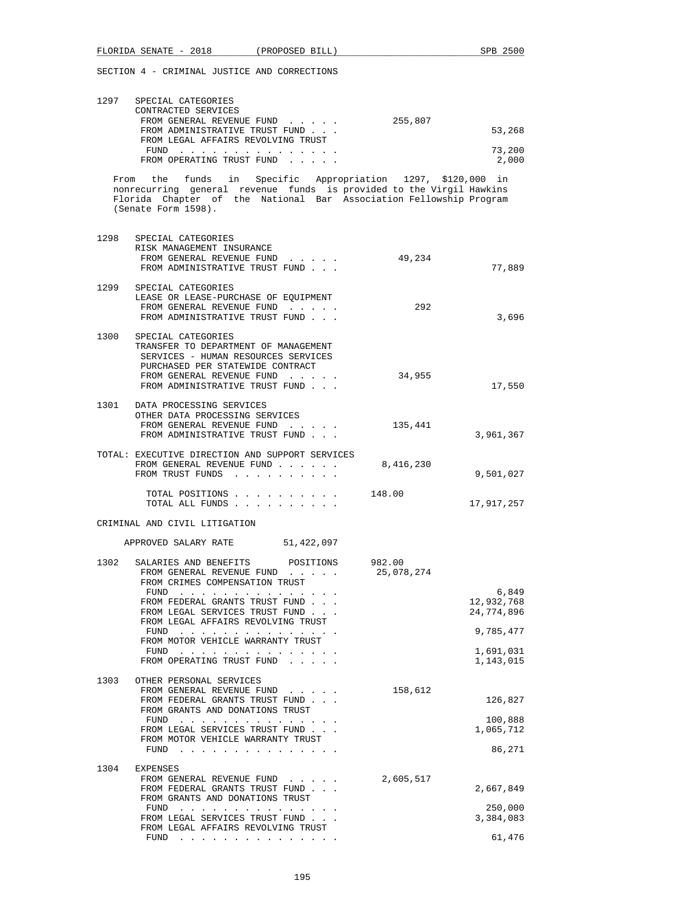| 1297 | SPECIAL CATEGORIES<br>CONTRACTED SERVICES |         |        |
|------|-------------------------------------------|---------|--------|
|      | FROM GENERAL REVENUE FUND                 | 255,807 |        |
|      | FROM ADMINISTRATIVE TRUST FUND            |         | 53,268 |
|      | FROM LEGAL AFFAIRS REVOLVING TRUST        |         |        |
|      | FUND                                      |         | 73,200 |
|      | FROM OPERATING TRUST FUND                 |         | 2,000  |

 From the funds in Specific Appropriation 1297, \$120,000 in nonrecurring general revenue funds is provided to the Virgil Hawkins Florida Chapter of the National Bar Association Fellowship Program (Senate Form 1598).

| 1298 | SPECIAL CATEGORIES<br>RISK MANAGEMENT INSURANCE<br>FROM GENERAL REVENUE FUND<br>FROM ADMINISTRATIVE TRUST FUND                                                                                       | 49,234               | 77,889                            |
|------|------------------------------------------------------------------------------------------------------------------------------------------------------------------------------------------------------|----------------------|-----------------------------------|
| 1299 | SPECIAL CATEGORIES<br>LEASE OR LEASE-PURCHASE OF EQUIPMENT<br>FROM GENERAL REVENUE FUND<br>FROM ADMINISTRATIVE TRUST FUND                                                                            | 292                  | 3,696                             |
| 1300 | SPECIAL CATEGORIES<br>TRANSFER TO DEPARTMENT OF MANAGEMENT<br>SERVICES - HUMAN RESOURCES SERVICES<br>PURCHASED PER STATEWIDE CONTRACT<br>FROM GENERAL REVENUE FUND<br>FROM ADMINISTRATIVE TRUST FUND | 34,955               | 17,550                            |
|      | 1301 DATA PROCESSING SERVICES<br>OTHER DATA PROCESSING SERVICES<br>FROM GENERAL REVENUE FUND<br>FROM ADMINISTRATIVE TRUST FUND                                                                       | 135,441              | 3,961,367                         |
|      | TOTAL: EXECUTIVE DIRECTION AND SUPPORT SERVICES<br>FROM GENERAL REVENUE FUND<br>FROM TRUST FUNDS                                                                                                     | 8,416,230            | 9,501,027                         |
|      | TOTAL POSITIONS<br>TOTAL ALL FUNDS                                                                                                                                                                   | 148.00               | 17,917,257                        |
|      | CRIMINAL AND CIVIL LITIGATION                                                                                                                                                                        |                      |                                   |
|      | APPROVED SALARY RATE 51,422,097                                                                                                                                                                      |                      |                                   |
| 1302 | SALARIES AND BENEFITS<br>POSITIONS<br>FROM GENERAL REVENUE FUND<br>FROM CRIMES COMPENSATION TRUST                                                                                                    | 982.00<br>25,078,274 |                                   |
|      | FUND<br>FROM FEDERAL GRANTS TRUST FUND<br>FROM LEGAL SERVICES TRUST FUND<br>FROM LEGAL AFFAIRS REVOLVING TRUST                                                                                       |                      | 6,849<br>12,932,768<br>24,774,896 |
|      | FUND $\cdots$                                                                                                                                                                                        |                      | 9,785,477                         |
|      | FROM MOTOR VEHICLE WARRANTY TRUST<br>FUND $\cdots$ $\cdots$ $\cdots$ $\cdots$ $\cdots$ $\cdots$ $\cdots$<br>FROM OPERATING TRUST FUND                                                                |                      | 1,691,031<br>1,143,015            |
| 1303 | OTHER PERSONAL SERVICES<br>FROM GENERAL REVENUE FUND<br>FROM FEDERAL GRANTS TRUST FUND<br>FROM GRANTS AND DONATIONS TRUST                                                                            | 158,612              | 126,827                           |
|      | FUND $\cdots$<br>FROM LEGAL SERVICES TRUST FUND<br>FROM MOTOR VEHICLE WARRANTY TRUST                                                                                                                 |                      | 100,888<br>1,065,712              |
|      | .<br>FUND                                                                                                                                                                                            |                      | 86,271                            |
| 1304 | <b>EXPENSES</b><br>FROM GENERAL REVENUE FUND<br>FROM FEDERAL GRANTS TRUST FUND<br>FROM GRANTS AND DONATIONS TRUST                                                                                    | 2,605,517            | 2,667,849                         |
|      | FUND<br>.<br>FROM LEGAL SERVICES TRUST FUND<br>FROM LEGAL AFFAIRS REVOLVING TRUST                                                                                                                    |                      | 250,000<br>3,384,083              |
|      | FUND                                                                                                                                                                                                 |                      | 61,476                            |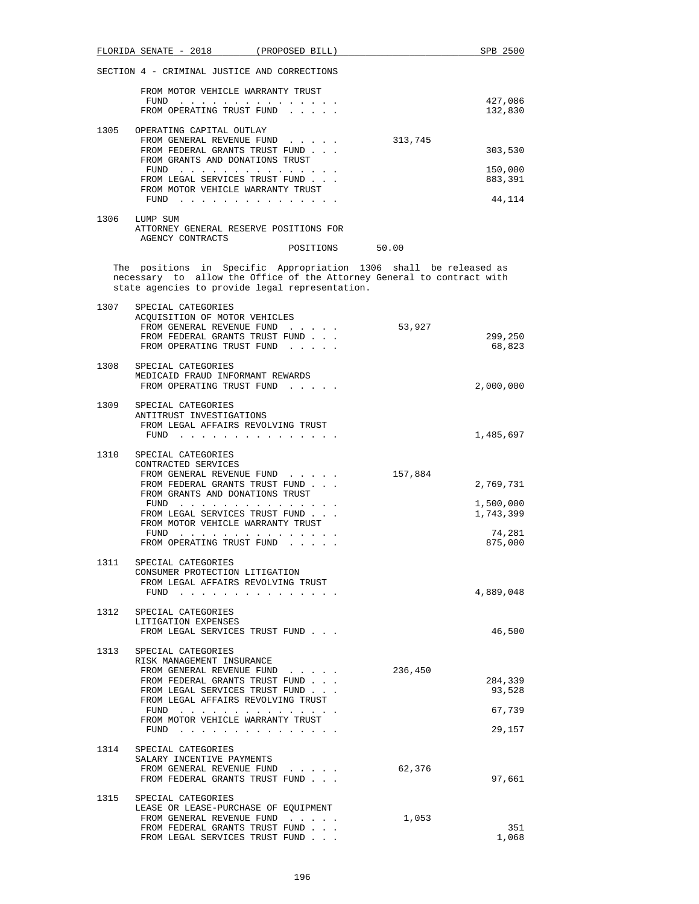|      | FLORIDA SENATE - 2018 (PROPOSED BILL)                                                                                                                                                          |                 |         | SPB 2500               |
|------|------------------------------------------------------------------------------------------------------------------------------------------------------------------------------------------------|-----------------|---------|------------------------|
|      | SECTION 4 - CRIMINAL JUSTICE AND CORRECTIONS                                                                                                                                                   |                 |         |                        |
|      | FROM MOTOR VEHICLE WARRANTY TRUST                                                                                                                                                              |                 |         |                        |
|      | FUND $\cdots$<br>FROM OPERATING TRUST FUND                                                                                                                                                     |                 |         | 427,086<br>132,830     |
|      | 1305 OPERATING CAPITAL OUTLAY                                                                                                                                                                  |                 |         |                        |
|      | FROM GENERAL REVENUE FUND<br>FROM FEDERAL GRANTS TRUST FUND                                                                                                                                    |                 | 313,745 | 303,530                |
|      | FROM GRANTS AND DONATIONS TRUST                                                                                                                                                                |                 |         |                        |
|      | $FUND$<br>FROM LEGAL SERVICES TRUST FUND                                                                                                                                                       |                 |         | 150,000<br>883,391     |
|      | FROM MOTOR VEHICLE WARRANTY TRUST<br>FUND $\cdots$                                                                                                                                             |                 |         | 44,114                 |
| 1306 | LUMP SUM                                                                                                                                                                                       |                 |         |                        |
|      | ATTORNEY GENERAL RESERVE POSITIONS FOR<br>AGENCY CONTRACTS                                                                                                                                     |                 |         |                        |
|      |                                                                                                                                                                                                | POSITIONS 50.00 |         |                        |
|      | The positions in Specific Appropriation 1306 shall be released as<br>necessary to allow the Office of the Attorney General to contract with<br>state agencies to provide legal representation. |                 |         |                        |
| 1307 | SPECIAL CATEGORIES                                                                                                                                                                             |                 |         |                        |
|      | ACQUISITION OF MOTOR VEHICLES<br>FROM GENERAL REVENUE FUND                                                                                                                                     |                 | 53,927  |                        |
|      | FROM FEDERAL GRANTS TRUST FUND.<br>FROM OPERATING TRUST FUND                                                                                                                                   |                 |         | 299,250                |
|      |                                                                                                                                                                                                |                 |         | 68,823                 |
| 1308 | SPECIAL CATEGORIES<br>MEDICAID FRAUD INFORMANT REWARDS                                                                                                                                         |                 |         |                        |
|      | FROM OPERATING TRUST FUND                                                                                                                                                                      |                 |         | 2,000,000              |
| 1309 | SPECIAL CATEGORIES                                                                                                                                                                             |                 |         |                        |
|      | ANTITRUST INVESTIGATIONS<br>FROM LEGAL AFFAIRS REVOLVING TRUST                                                                                                                                 |                 |         |                        |
|      | FUND                                                                                                                                                                                           |                 |         | 1,485,697              |
| 1310 | SPECIAL CATEGORIES<br>CONTRACTED SERVICES                                                                                                                                                      |                 |         |                        |
|      | FROM GENERAL REVENUE FUND                                                                                                                                                                      |                 | 157,884 |                        |
|      | FROM FEDERAL GRANTS TRUST FUND<br>FROM GRANTS AND DONATIONS TRUST                                                                                                                              |                 |         | 2,769,731              |
|      | FUND                                                                                                                                                                                           |                 |         | 1,500,000<br>1,743,399 |
|      | FROM LEGAL SERVICES TRUST FUND<br>FROM MOTOR VEHICLE WARRANTY TRUST                                                                                                                            |                 |         |                        |
|      | FUND<br>and the service control of the<br>FROM OPERATING TRUST FUND                                                                                                                            |                 |         | 74,281<br>875,000      |
| 1311 |                                                                                                                                                                                                |                 |         |                        |
|      | SPECIAL CATEGORIES<br>CONSUMER PROTECTION LITIGATION                                                                                                                                           |                 |         |                        |
|      | FROM LEGAL AFFAIRS REVOLVING TRUST<br>FUND $\cdots$                                                                                                                                            |                 |         | 4,889,048              |
|      |                                                                                                                                                                                                |                 |         |                        |
| 1312 | SPECIAL CATEGORIES<br>LITIGATION EXPENSES                                                                                                                                                      |                 |         |                        |
|      | FROM LEGAL SERVICES TRUST FUND                                                                                                                                                                 |                 |         | 46,500                 |
| 1313 | SPECIAL CATEGORIES                                                                                                                                                                             |                 |         |                        |
|      | RISK MANAGEMENT INSURANCE<br>FROM GENERAL REVENUE FUND                                                                                                                                         |                 | 236,450 |                        |
|      | FROM FEDERAL GRANTS TRUST FUND<br>FROM LEGAL SERVICES TRUST FUND                                                                                                                               |                 |         | 284,339<br>93,528      |
|      | FROM LEGAL AFFAIRS REVOLVING TRUST                                                                                                                                                             |                 |         |                        |
|      | FUND<br>FROM MOTOR VEHICLE WARRANTY TRUST                                                                                                                                                      |                 |         | 67,739                 |
|      | FUND $\cdots$                                                                                                                                                                                  |                 |         | 29,157                 |
| 1314 | SPECIAL CATEGORIES                                                                                                                                                                             |                 |         |                        |
|      | SALARY INCENTIVE PAYMENTS<br>FROM GENERAL REVENUE FUND                                                                                                                                         |                 | 62,376  |                        |
|      | FROM FEDERAL GRANTS TRUST FUND                                                                                                                                                                 |                 |         | 97,661                 |
| 1315 | SPECIAL CATEGORIES                                                                                                                                                                             |                 |         |                        |
|      | LEASE OR LEASE-PURCHASE OF EQUIPMENT<br>FROM GENERAL REVENUE FUND                                                                                                                              |                 | 1,053   |                        |
|      | FROM FEDERAL GRANTS TRUST FUND<br>FROM LEGAL SERVICES TRUST FUND                                                                                                                               |                 |         | 351<br>1,068           |
|      |                                                                                                                                                                                                |                 |         |                        |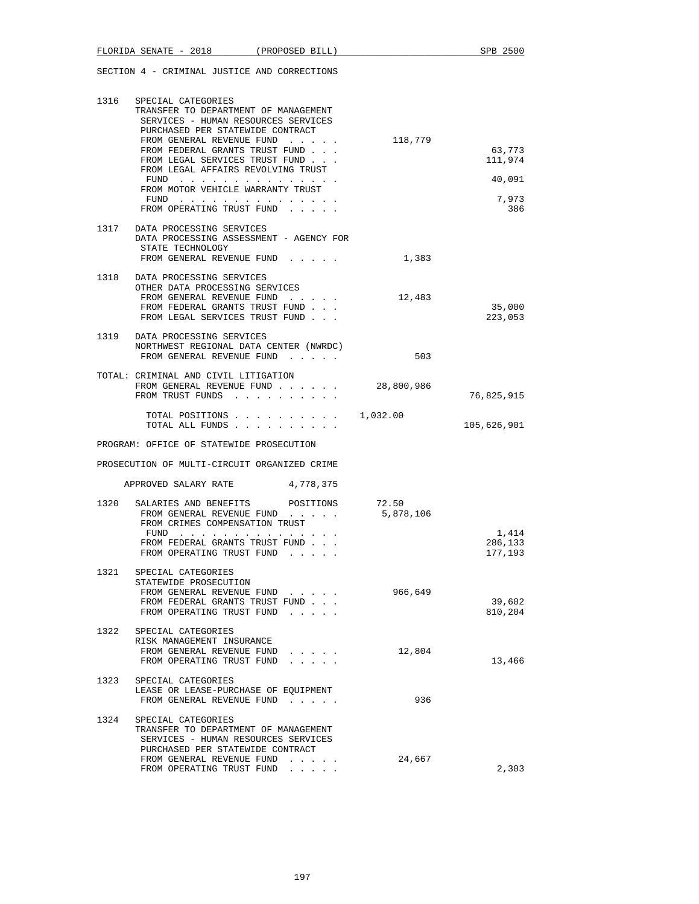| 1316 | SPECIAL CATEGORIES<br>TRANSFER TO DEPARTMENT OF MANAGEMENT<br>SERVICES - HUMAN RESOURCES SERVICES<br>PURCHASED PER STATEWIDE CONTRACT<br>FROM GENERAL REVENUE FUND<br>FROM FEDERAL GRANTS TRUST FUND<br>FROM LEGAL SERVICES TRUST FUND<br>FROM LEGAL AFFAIRS REVOLVING TRUST<br>FUND<br>FROM MOTOR VEHICLE WARRANTY TRUST<br>$FUND$ | 118,779            | 63,773<br>111,974<br>40,091<br>7,973 |
|------|-------------------------------------------------------------------------------------------------------------------------------------------------------------------------------------------------------------------------------------------------------------------------------------------------------------------------------------|--------------------|--------------------------------------|
|      | FROM OPERATING TRUST FUND<br>1317 DATA PROCESSING SERVICES<br>DATA PROCESSING ASSESSMENT - AGENCY FOR<br>STATE TECHNOLOGY<br>FROM GENERAL REVENUE FUND                                                                                                                                                                              | 1,383              | 386                                  |
|      | 1318 DATA PROCESSING SERVICES<br>OTHER DATA PROCESSING SERVICES<br>FROM GENERAL REVENUE FUND<br>FROM FEDERAL GRANTS TRUST FUND<br>FROM LEGAL SERVICES TRUST FUND                                                                                                                                                                    | 12,483             | 35,000<br>223,053                    |
|      | 1319 DATA PROCESSING SERVICES<br>NORTHWEST REGIONAL DATA CENTER (NWRDC)<br>FROM GENERAL REVENUE FUND                                                                                                                                                                                                                                | 503                |                                      |
|      | TOTAL: CRIMINAL AND CIVIL LITIGATION<br>FROM GENERAL REVENUE FUND<br>FROM TRUST FUNDS                                                                                                                                                                                                                                               | 28,800,986         | 76,825,915                           |
|      | TOTAL POSITIONS<br>TOTAL ALL FUNDS                                                                                                                                                                                                                                                                                                  | 1,032.00           | 105,626,901                          |
|      | PROGRAM: OFFICE OF STATEWIDE PROSECUTION                                                                                                                                                                                                                                                                                            |                    |                                      |
|      | PROSECUTION OF MULTI-CIRCUIT ORGANIZED CRIME                                                                                                                                                                                                                                                                                        |                    |                                      |
|      | APPROVED SALARY RATE 4,778,375                                                                                                                                                                                                                                                                                                      |                    |                                      |
| 1320 | SALARIES AND BENEFITS POSITIONS<br>FROM GENERAL REVENUE FUND<br>FROM CRIMES COMPENSATION TRUST<br>FUND<br>FROM FEDERAL GRANTS TRUST FUND<br>FROM OPERATING TRUST FUND                                                                                                                                                               | 72.50<br>5,878,106 | 1,414<br>286,133<br>177,193          |
| 1321 | SPECIAL CATEGORIES<br>STATEWIDE PROSECUTION<br>FROM GENERAL REVENUE FUND<br>FROM FEDERAL GRANTS TRUST FUND<br>FROM OPERATING TRUST FUND                                                                                                                                                                                             | 966,649            | 39,602<br>810,204                    |
| 1322 | SPECIAL CATEGORIES<br>RISK MANAGEMENT INSURANCE<br>FROM GENERAL REVENUE FUND<br>$\sim$ $\sim$ $\sim$ $\sim$ $\sim$<br>FROM OPERATING TRUST FUND<br>$\cdots$                                                                                                                                                                         | 12,804             | 13,466                               |
| 1323 | SPECIAL CATEGORIES<br>LEASE OR LEASE-PURCHASE OF EQUIPMENT<br>FROM GENERAL REVENUE FUND                                                                                                                                                                                                                                             | 936                |                                      |
| 1324 | SPECIAL CATEGORIES<br>TRANSFER TO DEPARTMENT OF MANAGEMENT<br>SERVICES - HUMAN RESOURCES SERVICES<br>PURCHASED PER STATEWIDE CONTRACT<br>FROM GENERAL REVENUE FUND<br>FROM OPERATING TRUST FUND<br>$\sim$ $\sim$ $\sim$ $\sim$                                                                                                      | 24,667             | 2,303                                |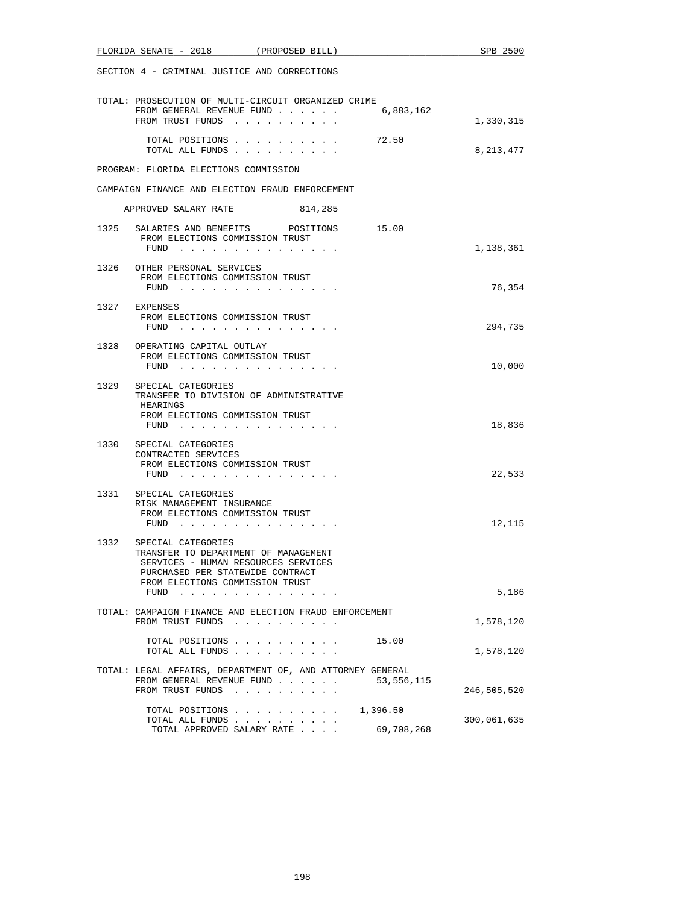| FLORIDA SENATE - 2018 (PROPOSED BILL)                                                                                                                                                                                                                                                                                                                                                                                      | SPB 2500    |
|----------------------------------------------------------------------------------------------------------------------------------------------------------------------------------------------------------------------------------------------------------------------------------------------------------------------------------------------------------------------------------------------------------------------------|-------------|
| SECTION 4 - CRIMINAL JUSTICE AND CORRECTIONS                                                                                                                                                                                                                                                                                                                                                                               |             |
| TOTAL: PROSECUTION OF MULTI-CIRCUIT ORGANIZED CRIME<br>6,883,162<br>FROM GENERAL REVENUE FUND<br>FROM TRUST FUNDS                                                                                                                                                                                                                                                                                                          | 1,330,315   |
| 72.50<br>TOTAL POSITIONS<br>TOTAL ALL FUNDS                                                                                                                                                                                                                                                                                                                                                                                | 8,213,477   |
| PROGRAM: FLORIDA ELECTIONS COMMISSION                                                                                                                                                                                                                                                                                                                                                                                      |             |
| CAMPAIGN FINANCE AND ELECTION FRAUD ENFORCEMENT                                                                                                                                                                                                                                                                                                                                                                            |             |
| 814,285<br>APPROVED SALARY RATE                                                                                                                                                                                                                                                                                                                                                                                            |             |
| 1325<br>SALARIES AND BENEFITS POSITIONS<br>15.00<br>FROM ELECTIONS COMMISSION TRUST<br>FUND $\cdots$                                                                                                                                                                                                                                                                                                                       | 1,138,361   |
| 1326<br>OTHER PERSONAL SERVICES<br>FROM ELECTIONS COMMISSION TRUST<br>FUND $\cdots$                                                                                                                                                                                                                                                                                                                                        | 76,354      |
| 1327<br>EXPENSES<br>FROM ELECTIONS COMMISSION TRUST<br>FUND $\cdots$                                                                                                                                                                                                                                                                                                                                                       | 294,735     |
| 1328 OPERATING CAPITAL OUTLAY<br>FROM ELECTIONS COMMISSION TRUST<br>FUND $\cdots$                                                                                                                                                                                                                                                                                                                                          | 10,000      |
| 1329<br>SPECIAL CATEGORIES<br>TRANSFER TO DIVISION OF ADMINISTRATIVE<br>HEARINGS<br>FROM ELECTIONS COMMISSION TRUST<br>FUND<br>the contract of the contract of the contract of the contract of the contract of the contract of the contract of                                                                                                                                                                             | 18,836      |
| 1330<br>SPECIAL CATEGORIES<br>CONTRACTED SERVICES<br>FROM ELECTIONS COMMISSION TRUST<br>FUND                                                                                                                                                                                                                                                                                                                               | 22,533      |
| 1331<br>SPECIAL CATEGORIES<br>RISK MANAGEMENT INSURANCE<br>FROM ELECTIONS COMMISSION TRUST<br>FUND                                                                                                                                                                                                                                                                                                                         | 12,115      |
| 1332<br>SPECIAL CATEGORIES<br>TRANSFER TO DEPARTMENT OF MANAGEMENT<br>SERVICES - HUMAN RESOURCES SERVICES<br>PURCHASED PER STATEWIDE CONTRACT<br>FROM ELECTIONS COMMISSION TRUST<br>FUND<br>the contract of the contract of the contract of the contract of the contract of the contract of the contract of the contract of the contract of the contract of the contract of the contract of the contract of the contract o | 5,186       |
| TOTAL: CAMPAIGN FINANCE AND ELECTION FRAUD ENFORCEMENT<br>FROM TRUST FUNDS                                                                                                                                                                                                                                                                                                                                                 | 1,578,120   |
| TOTAL POSITIONS<br>15.00<br>TOTAL ALL FUNDS                                                                                                                                                                                                                                                                                                                                                                                | 1,578,120   |
| TOTAL: LEGAL AFFAIRS, DEPARTMENT OF, AND ATTORNEY GENERAL<br>FROM GENERAL REVENUE FUND<br>53,556,115<br>FROM TRUST FUNDS                                                                                                                                                                                                                                                                                                   | 246,505,520 |
| TOTAL POSITIONS<br>1,396.50<br>TOTAL ALL FUNDS<br>$\cdots$<br>TOTAL APPROVED SALARY RATE<br>69,708,268                                                                                                                                                                                                                                                                                                                     | 300,061,635 |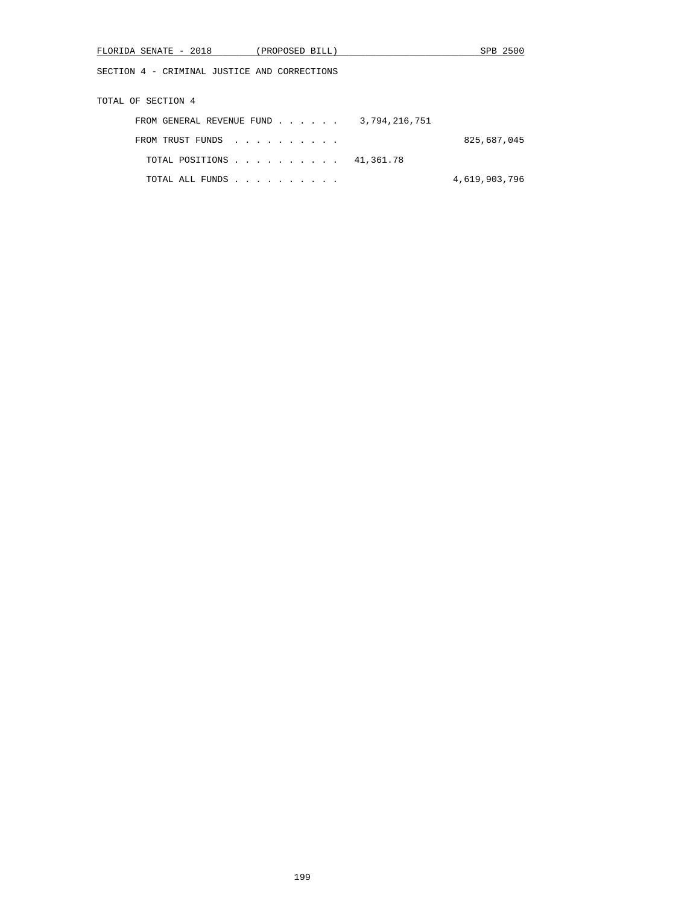| FLORIDA SENATE - 2018<br>(PROPOSED BILL)     | SPB 2500      |
|----------------------------------------------|---------------|
| SECTION 4 - CRIMINAL JUSTICE AND CORRECTIONS |               |
| TOTAL OF SECTION 4                           |               |
| FROM GENERAL REVENUE FUND                    | 3,794,216,751 |
| FROM TRUST FUNDS                             | 825,687,045   |
| TOTAL POSITIONS                              | 41,361.78     |
| TOTAL ALL FUNDS                              | 4,619,903,796 |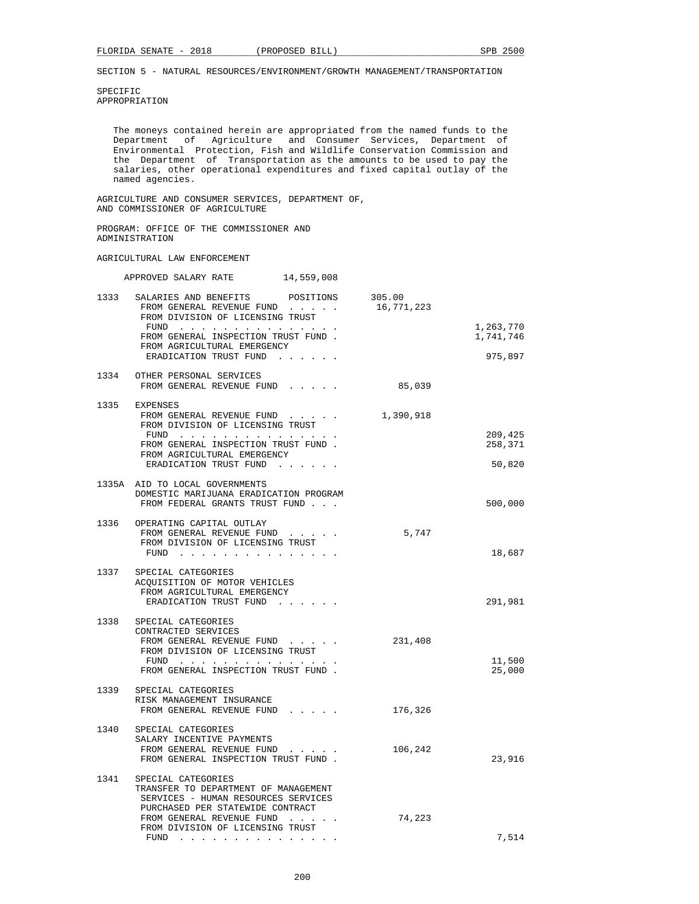SPECIFIC APPROPRIATION

> The moneys contained herein are appropriated from the named funds to the Department of Agriculture and Consumer Services, Department of Environmental Protection, Fish and Wildlife Conservation Commission and the Department of Transportation as the amounts to be used to pay the salaries, other operational expenditures and fixed capital outlay of the named agencies.

 AGRICULTURE AND CONSUMER SERVICES, DEPARTMENT OF, AND COMMISSIONER OF AGRICULTURE

 PROGRAM: OFFICE OF THE COMMISSIONER AND ADMINISTRATION

### AGRICULTURAL LAW ENFORCEMENT

|      | APPROVED SALARY RATE<br>14,559,008                                                                                                                                                                     |                      |                        |
|------|--------------------------------------------------------------------------------------------------------------------------------------------------------------------------------------------------------|----------------------|------------------------|
| 1333 | SALARIES AND BENEFITS POSITIONS<br>FROM GENERAL REVENUE FUND<br>FROM DIVISION OF LICENSING TRUST                                                                                                       | 305.00<br>16,771,223 |                        |
|      | FUND $\cdots$<br>FROM GENERAL INSPECTION TRUST FUND.                                                                                                                                                   |                      | 1,263,770<br>1,741,746 |
|      | FROM AGRICULTURAL EMERGENCY<br>ERADICATION TRUST FUND                                                                                                                                                  |                      | 975,897                |
|      | 1334 OTHER PERSONAL SERVICES<br>FROM GENERAL REVENUE FUND                                                                                                                                              | 85,039               |                        |
|      | 1335 EXPENSES<br>FROM GENERAL REVENUE FUND<br>FROM DIVISION OF LICENSING TRUST                                                                                                                         | 1,390,918            |                        |
|      | FUND<br>FROM GENERAL INSPECTION TRUST FUND.<br>FROM AGRICULTURAL EMERGENCY                                                                                                                             |                      | 209,425<br>258,371     |
|      | ERADICATION TRUST FUND                                                                                                                                                                                 |                      | 50,820                 |
|      | 1335A AID TO LOCAL GOVERNMENTS<br>DOMESTIC MARIJUANA ERADICATION PROGRAM<br>FROM FEDERAL GRANTS TRUST FUND                                                                                             |                      | 500,000                |
|      | 1336 OPERATING CAPITAL OUTLAY<br>FROM GENERAL REVENUE FUND<br>FROM DIVISION OF LICENSING TRUST<br>FUND $\cdots$ $\cdots$ $\cdots$ $\cdots$ $\cdots$ $\cdots$ $\cdots$                                  | 5,747                | 18,687                 |
|      | 1337 SPECIAL CATEGORIES<br>ACOUISITION OF MOTOR VEHICLES<br>FROM AGRICULTURAL EMERGENCY<br>ERADICATION TRUST FUND                                                                                      |                      | 291,981                |
| 1338 | SPECIAL CATEGORIES<br>CONTRACTED SERVICES<br>FROM GENERAL REVENUE FUND<br>FROM DIVISION OF LICENSING TRUST<br>FUND<br>FROM GENERAL INSPECTION TRUST FUND.                                              | 231,408              | 11,500<br>25,000       |
| 1339 | SPECIAL CATEGORIES<br>RISK MANAGEMENT INSURANCE<br>FROM GENERAL REVENUE FUND                                                                                                                           | 176,326              |                        |
| 1340 | SPECIAL CATEGORIES<br>SALARY INCENTIVE PAYMENTS<br>FROM GENERAL REVENUE FUND<br>FROM GENERAL INSPECTION TRUST FUND.                                                                                    | 106,242              | 23,916                 |
| 1341 | SPECIAL CATEGORIES<br>TRANSFER TO DEPARTMENT OF MANAGEMENT<br>SERVICES - HUMAN RESOURCES SERVICES<br>PURCHASED PER STATEWIDE CONTRACT<br>FROM GENERAL REVENUE FUND<br>FROM DIVISION OF LICENSING TRUST | 74,223               |                        |
|      | FUND<br>the contract of the contract of the contract of the                                                                                                                                            |                      | 7,514                  |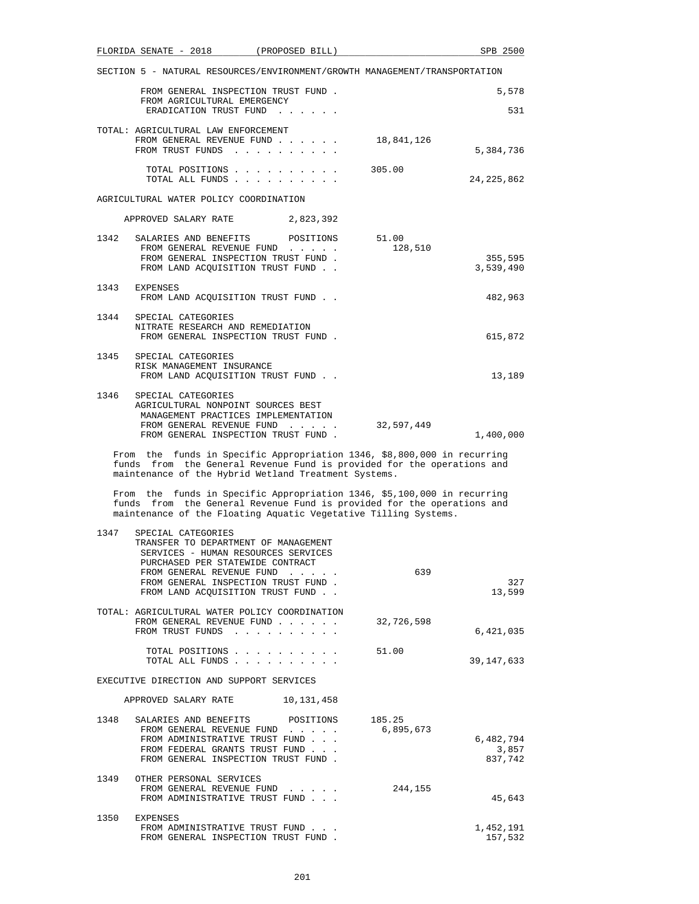| FLORIDA SENATE - 2018<br>(PROPOSED BILL)                                                                                                                                                                                                                      | SPB 2500                      |
|---------------------------------------------------------------------------------------------------------------------------------------------------------------------------------------------------------------------------------------------------------------|-------------------------------|
| SECTION 5 - NATURAL RESOURCES/ENVIRONMENT/GROWTH MANAGEMENT/TRANSPORTATION                                                                                                                                                                                    |                               |
| FROM GENERAL INSPECTION TRUST FUND.<br>FROM AGRICULTURAL EMERGENCY                                                                                                                                                                                            | 5,578                         |
| ERADICATION TRUST FUND                                                                                                                                                                                                                                        | 531                           |
| TOTAL: AGRICULTURAL LAW ENFORCEMENT<br>FROM GENERAL REVENUE FUND<br>18,841,126<br>FROM TRUST FUNDS                                                                                                                                                            | 5,384,736                     |
| TOTAL POSITIONS<br>305.00<br>TOTAL ALL FUNDS                                                                                                                                                                                                                  | 24, 225, 862                  |
| AGRICULTURAL WATER POLICY COORDINATION                                                                                                                                                                                                                        |                               |
| APPROVED SALARY RATE 2,823,392                                                                                                                                                                                                                                |                               |
| 1342<br>SALARIES AND BENEFITS<br>51.00<br>POSITIONS<br>FROM GENERAL REVENUE FUND<br>128,510<br>FROM GENERAL INSPECTION TRUST FUND.                                                                                                                            | 355,595                       |
| FROM LAND ACQUISITION TRUST FUND.                                                                                                                                                                                                                             | 3,539,490                     |
| 1343<br>EXPENSES<br>FROM LAND ACQUISITION TRUST FUND                                                                                                                                                                                                          | 482,963                       |
| 1344<br>SPECIAL CATEGORIES<br>NITRATE RESEARCH AND REMEDIATION<br>FROM GENERAL INSPECTION TRUST FUND.                                                                                                                                                         | 615,872                       |
| 1345<br>SPECIAL CATEGORIES<br>RISK MANAGEMENT INSURANCE<br>FROM LAND ACQUISITION TRUST FUND                                                                                                                                                                   | 13,189                        |
| 1346<br>SPECIAL CATEGORIES<br>AGRICULTURAL NONPOINT SOURCES BEST<br>MANAGEMENT PRACTICES IMPLEMENTATION<br>FROM GENERAL REVENUE FUND<br>32,597,449<br>FROM GENERAL INSPECTION TRUST FUND.                                                                     | 1,400,000                     |
| From the funds in Specific Appropriation 1346, \$8,800,000 in recurring<br>funds from the General Revenue Fund is provided for the operations and<br>maintenance of the Hybrid Wetland Treatment Systems.                                                     |                               |
| From the funds in Specific Appropriation 1346, \$5,100,000 in recurring<br>funds from the General Revenue Fund is provided for the operations and<br>maintenance of the Floating Aquatic Vegetative Tilling Systems.                                          |                               |
| 1347<br>SPECIAL CATEGORIES<br>TRANSFER TO DEPARTMENT OF MANAGEMENT<br>SERVICES - HUMAN RESOURCES SERVICES<br>PURCHASED PER STATEWIDE CONTRACT<br>FROM GENERAL REVENUE FUND<br>639<br>FROM GENERAL INSPECTION TRUST FUND.<br>FROM LAND ACQUISITION TRUST FUND. | 327<br>13,599                 |
| TOTAL: AGRICULTURAL WATER POLICY COORDINATION<br>FROM GENERAL REVENUE FUND<br>32,726,598<br>FROM TRUST FUNDS                                                                                                                                                  | 6,421,035                     |
| TOTAL POSITIONS<br>51.00<br>TOTAL ALL FUNDS                                                                                                                                                                                                                   | 39, 147, 633                  |
| EXECUTIVE DIRECTION AND SUPPORT SERVICES                                                                                                                                                                                                                      |                               |
| APPROVED SALARY RATE 10,131,458                                                                                                                                                                                                                               |                               |
| 1348<br>SALARIES AND BENEFITS<br>POSITIONS<br>185.25<br>6,895,673<br>FROM GENERAL REVENUE FUND<br>FROM ADMINISTRATIVE TRUST FUND<br>FROM FEDERAL GRANTS TRUST FUND<br>FROM GENERAL INSPECTION TRUST FUND.                                                     | 6,482,794<br>3,857<br>837,742 |
| 1349 OTHER PERSONAL SERVICES<br>244,155<br>FROM GENERAL REVENUE FUND<br>FROM ADMINISTRATIVE TRUST FUND                                                                                                                                                        | 45,643                        |
| 1250<br><b>FYDFNCFC</b>                                                                                                                                                                                                                                       |                               |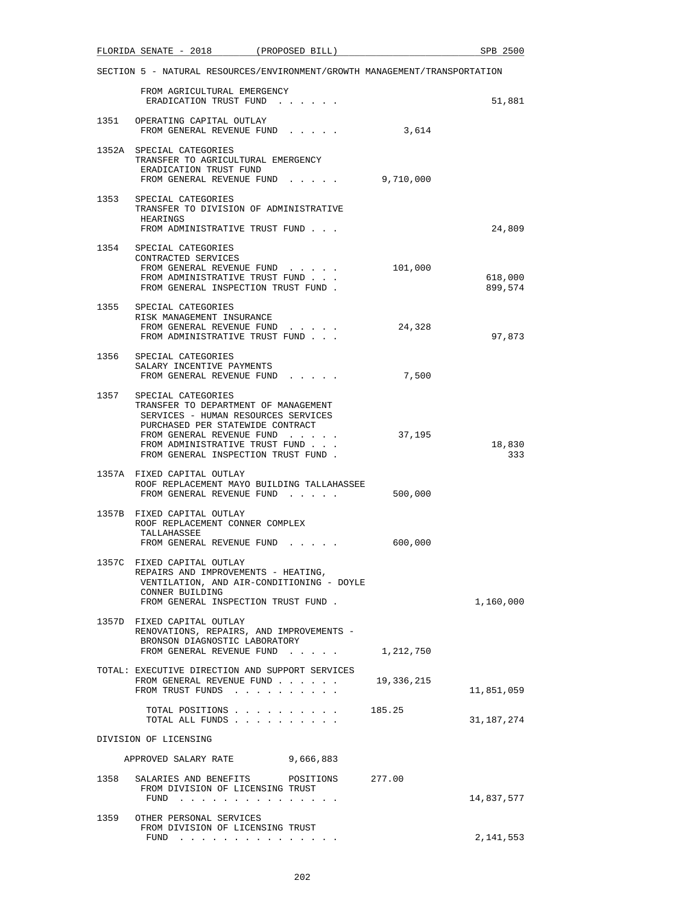|                       | FLORIDA SENATE - 2018 (PROPOSED BILL)                                                                                                                                                                                                       |                                                                    |            | SPB 2500           |
|-----------------------|---------------------------------------------------------------------------------------------------------------------------------------------------------------------------------------------------------------------------------------------|--------------------------------------------------------------------|------------|--------------------|
|                       | SECTION 5 - NATURAL RESOURCES/ENVIRONMENT/GROWTH MANAGEMENT/TRANSPORTATION                                                                                                                                                                  |                                                                    |            |                    |
|                       | FROM AGRICULTURAL EMERGENCY<br>ERADICATION TRUST FUND                                                                                                                                                                                       |                                                                    |            | 51,881             |
|                       | 1351 OPERATING CAPITAL OUTLAY<br>FROM GENERAL REVENUE FUND                                                                                                                                                                                  |                                                                    | 3,614      |                    |
|                       | 1352A SPECIAL CATEGORIES<br>TRANSFER TO AGRICULTURAL EMERGENCY<br>ERADICATION TRUST FUND<br>FROM GENERAL REVENUE FUND                                                                                                                       |                                                                    | 9,710,000  |                    |
| 1353                  | SPECIAL CATEGORIES<br>TRANSFER TO DIVISION OF ADMINISTRATIVE<br>HEARINGS<br>FROM ADMINISTRATIVE TRUST FUND                                                                                                                                  |                                                                    |            | 24,809             |
|                       | 1354 SPECIAL CATEGORIES<br>CONTRACTED SERVICES<br>FROM GENERAL REVENUE FUND<br>FROM ADMINISTRATIVE TRUST FUND<br>FROM GENERAL INSPECTION TRUST FUND.                                                                                        |                                                                    | 101,000    | 618,000<br>899,574 |
|                       | 1355 SPECIAL CATEGORIES<br>RISK MANAGEMENT INSURANCE<br>FROM GENERAL REVENUE FUND<br>FROM ADMINISTRATIVE TRUST FUND                                                                                                                         |                                                                    | 24,328     | 97,873             |
|                       | 1356 SPECIAL CATEGORIES<br>SALARY INCENTIVE PAYMENTS<br>FROM GENERAL REVENUE FUND                                                                                                                                                           |                                                                    | 7,500      |                    |
| 1357                  | SPECIAL CATEGORIES<br>TRANSFER TO DEPARTMENT OF MANAGEMENT<br>SERVICES - HUMAN RESOURCES SERVICES<br>PURCHASED PER STATEWIDE CONTRACT<br>FROM GENERAL REVENUE FUND<br>FROM ADMINISTRATIVE TRUST FUND<br>FROM GENERAL INSPECTION TRUST FUND. |                                                                    | 37,195     | 18,830<br>333      |
|                       | 1357A FIXED CAPITAL OUTLAY<br>ROOF REPLACEMENT MAYO BUILDING TALLAHASSEE<br>FROM GENERAL REVENUE FUND                                                                                                                                       |                                                                    | 500,000    |                    |
|                       | 1357B FIXED CAPITAL OUTLAY<br>ROOF REPLACEMENT CONNER COMPLEX<br>TALLAHASSEE<br>FROM GENERAL REVENUE FUND                                                                                                                                   | $\mathbf{r} = \mathbf{r} + \mathbf{r} + \mathbf{r} + \mathbf{r}$ . | 600,000    |                    |
|                       | 1357C FIXED CAPITAL OUTLAY<br>REPAIRS AND IMPROVEMENTS - HEATING,<br>VENTILATION, AND AIR-CONDITIONING - DOYLE<br>CONNER BUILDING<br>FROM GENERAL INSPECTION TRUST FUND.                                                                    |                                                                    |            | 1,160,000          |
|                       | 1357D FIXED CAPITAL OUTLAY<br>RENOVATIONS, REPAIRS, AND IMPROVEMENTS -<br>BRONSON DIAGNOSTIC LABORATORY<br>FROM GENERAL REVENUE FUND                                                                                                        |                                                                    | 1,212,750  |                    |
|                       | TOTAL: EXECUTIVE DIRECTION AND SUPPORT SERVICES<br>FROM GENERAL REVENUE FUND<br>FROM TRUST FUNDS                                                                                                                                            |                                                                    | 19,336,215 | 11,851,059         |
|                       | TOTAL POSITIONS<br>TOTAL ALL FUNDS                                                                                                                                                                                                          |                                                                    | 185.25     | 31,187,274         |
| DIVISION OF LICENSING |                                                                                                                                                                                                                                             |                                                                    |            |                    |
|                       | APPROVED SALARY RATE                                                                                                                                                                                                                        | 9,666,883                                                          |            |                    |
| 1358                  | SALARIES AND BENEFITS<br>FROM DIVISION OF LICENSING TRUST<br>FUND                                                                                                                                                                           | POSITIONS                                                          | 277.00     | 14,837,577         |
|                       | 1359 OTHER PERSONAL SERVICES<br>FROM DIVISION OF LICENSING TRUST<br>FUND<br>the contract of the contract of the contract of                                                                                                                 |                                                                    |            | 2,141,553          |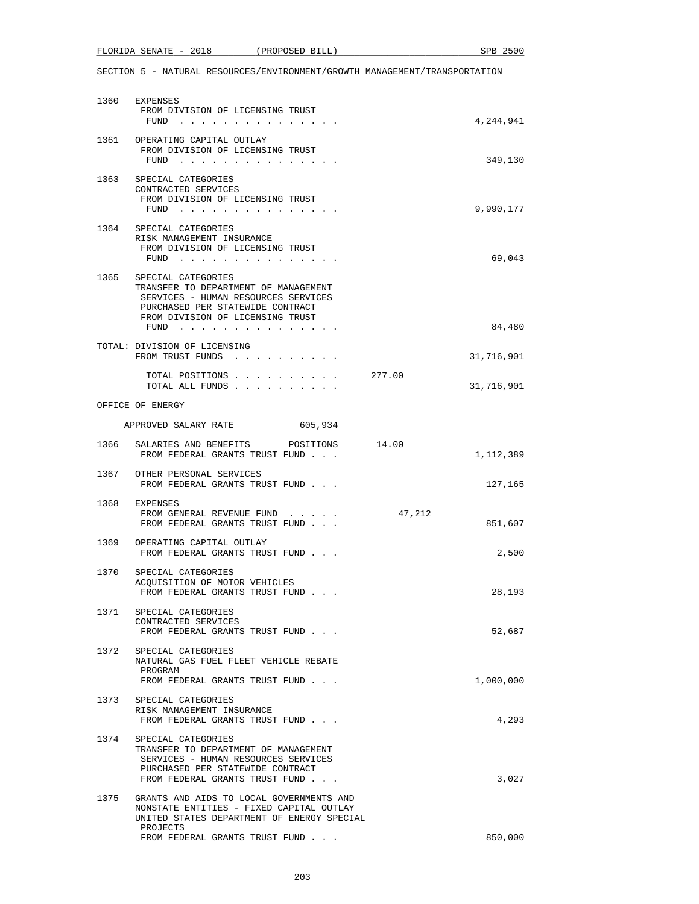# FLORIDA SENATE - 2018 (PROPOSED BILL) SPB 2500

|      | 1360 EXPENSES                                                                                                                                                                              |        |            |
|------|--------------------------------------------------------------------------------------------------------------------------------------------------------------------------------------------|--------|------------|
|      | FROM DIVISION OF LICENSING TRUST<br>FUND $\cdots$                                                                                                                                          |        | 4,244,941  |
|      | 1361 OPERATING CAPITAL OUTLAY<br>FROM DIVISION OF LICENSING TRUST<br>FUND $\cdots$                                                                                                         |        | 349,130    |
|      | 1363 SPECIAL CATEGORIES<br>CONTRACTED SERVICES<br>FROM DIVISION OF LICENSING TRUST<br>$FUND$                                                                                               |        | 9,990,177  |
|      | 1364 SPECIAL CATEGORIES<br>RISK MANAGEMENT INSURANCE<br>FROM DIVISION OF LICENSING TRUST<br>FUND $\cdots$                                                                                  |        | 69,043     |
| 1365 | SPECIAL CATEGORIES<br>TRANSFER TO DEPARTMENT OF MANAGEMENT<br>SERVICES - HUMAN RESOURCES SERVICES<br>PURCHASED PER STATEWIDE CONTRACT<br>FROM DIVISION OF LICENSING TRUST<br>FUND $\cdots$ |        | 84,480     |
|      | TOTAL: DIVISION OF LICENSING<br>FROM TRUST FUNDS                                                                                                                                           |        | 31,716,901 |
|      | TOTAL POSITIONS<br>TOTAL ALL FUNDS                                                                                                                                                         | 277.00 | 31,716,901 |
|      | OFFICE OF ENERGY                                                                                                                                                                           |        |            |
|      | APPROVED SALARY RATE 605,934                                                                                                                                                               |        |            |
| 1366 | SALARIES AND BENEFITS POSITIONS 14.00<br>FROM FEDERAL GRANTS TRUST FUND                                                                                                                    |        | 1,112,389  |
|      | 1367 OTHER PERSONAL SERVICES<br>FROM FEDERAL GRANTS TRUST FUND                                                                                                                             |        | 127,165    |
|      | 1368 EXPENSES<br>FROM GENERAL REVENUE FUND<br>FROM FEDERAL GRANTS TRUST FUND                                                                                                               | 47,212 | 851,607    |
|      | 1369 OPERATING CAPITAL OUTLAY<br>FROM FEDERAL GRANTS TRUST FUND                                                                                                                            |        | 2,500      |
| 1370 | SPECIAL CATEGORIES<br>ACQUISITION OF MOTOR VEHICLES<br>FROM FEDERAL GRANTS TRUST FUND                                                                                                      |        | 28,193     |
|      | 1371 SPECIAL CATEGORIES<br>CONTRACTED SERVICES<br>FROM FEDERAL GRANTS TRUST FUND                                                                                                           |        | 52,687     |
| 1372 | SPECIAL CATEGORIES<br>NATURAL GAS FUEL FLEET VEHICLE REBATE<br>PROGRAM<br>FROM FEDERAL GRANTS TRUST FUND                                                                                   |        | 1,000,000  |
|      | 1373 SPECIAL CATEGORIES<br>RISK MANAGEMENT INSURANCE<br>FROM FEDERAL GRANTS TRUST FUND                                                                                                     |        | 4,293      |
| 1374 | SPECIAL CATEGORIES<br>TRANSFER TO DEPARTMENT OF MANAGEMENT<br>SERVICES - HUMAN RESOURCES SERVICES<br>PURCHASED PER STATEWIDE CONTRACT<br>FROM FEDERAL GRANTS TRUST FUND                    |        | 3,027      |
| 1375 | GRANTS AND AIDS TO LOCAL GOVERNMENTS AND<br>NONSTATE ENTITIES - FIXED CAPITAL OUTLAY<br>UNITED STATES DEPARTMENT OF ENERGY SPECIAL                                                         |        |            |
|      | PROJECTS<br>FROM FEDERAL GRANTS TRUST FUND                                                                                                                                                 |        | 850,000    |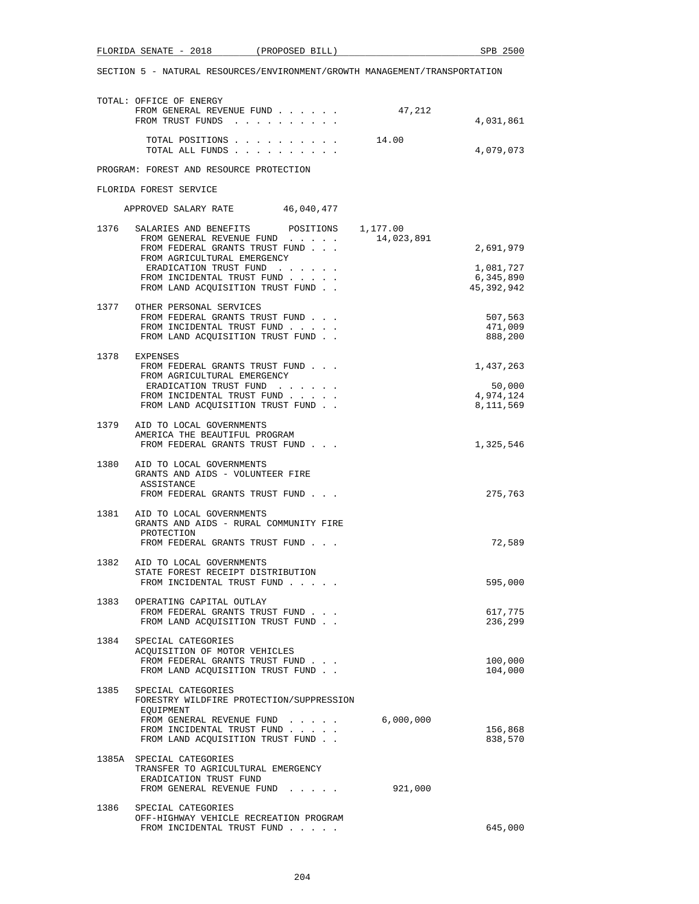| <u>ດດາດ</u><br>FLORIDA<br>SENATE<br>$\overline{\phantom{0}}$<br>40 I 8 | PROPOSED | SPB<br>ገር<br>BILL. |  |
|------------------------------------------------------------------------|----------|--------------------|--|
|                                                                        |          |                    |  |

|      | TOTAL: OFFICE OF ENERGY<br>FROM GENERAL REVENUE FUND<br>FROM TRUST FUNDS                                                                                                                                                           | 47,212     | 4,031,861                                           |
|------|------------------------------------------------------------------------------------------------------------------------------------------------------------------------------------------------------------------------------------|------------|-----------------------------------------------------|
|      | TOTAL POSITIONS<br>TOTAL ALL FUNDS                                                                                                                                                                                                 | 14.00      | 4,079,073                                           |
|      | PROGRAM: FOREST AND RESOURCE PROTECTION                                                                                                                                                                                            |            |                                                     |
|      | FLORIDA FOREST SERVICE                                                                                                                                                                                                             |            |                                                     |
|      | APPROVED SALARY RATE 46,040,477                                                                                                                                                                                                    |            |                                                     |
| 1376 | SALARIES AND BENEFITS POSITIONS 1,177.00<br>FROM GENERAL REVENUE FUND<br>FROM FEDERAL GRANTS TRUST FUND<br>FROM AGRICULTURAL EMERGENCY<br>ERADICATION TRUST FUND<br>FROM INCIDENTAL TRUST FUND<br>FROM LAND ACQUISITION TRUST FUND | 14,023,891 | 2,691,979<br>1,081,727<br>6,345,890<br>45, 392, 942 |
| 1377 | OTHER PERSONAL SERVICES<br>FROM FEDERAL GRANTS TRUST FUND<br>FROM INCIDENTAL TRUST FUND<br>FROM LAND ACOUISITION TRUST FUND.                                                                                                       |            | 507,563<br>471,009<br>888,200                       |
|      | 1378 EXPENSES<br>FROM FEDERAL GRANTS TRUST FUND<br>FROM AGRICULTURAL EMERGENCY<br>ERADICATION TRUST FUND<br>FROM INCIDENTAL TRUST FUND<br>FROM LAND ACQUISITION TRUST FUND                                                         |            | 1,437,263<br>50,000<br>4,974,124<br>8,111,569       |
| 1379 | AID TO LOCAL GOVERNMENTS<br>AMERICA THE BEAUTIFUL PROGRAM<br>FROM FEDERAL GRANTS TRUST FUND                                                                                                                                        |            | 1,325,546                                           |
|      | 1380 AID TO LOCAL GOVERNMENTS<br>GRANTS AND AIDS - VOLUNTEER FIRE<br>ASSISTANCE<br>FROM FEDERAL GRANTS TRUST FUND                                                                                                                  |            | 275,763                                             |
| 1381 | AID TO LOCAL GOVERNMENTS<br>GRANTS AND AIDS - RURAL COMMUNITY FIRE<br>PROTECTION<br>FROM FEDERAL GRANTS TRUST FUND                                                                                                                 |            | 72,589                                              |
| 1382 | AID TO LOCAL GOVERNMENTS<br>STATE FOREST RECEIPT DISTRIBUTION<br>FROM INCIDENTAL TRUST FUND                                                                                                                                        |            | 595,000                                             |
| 1383 | OPERATING CAPITAL OUTLAY<br>FROM FEDERAL GRANTS TRUST FUND<br>FROM LAND ACQUISITION TRUST FUND.                                                                                                                                    |            | 617,775<br>236,299                                  |
|      | 1384 SPECIAL CATEGORIES<br>ACOUISITION OF MOTOR VEHICLES<br>FROM FEDERAL GRANTS TRUST FUND<br>FROM LAND ACQUISITION TRUST FUND                                                                                                     |            | 100,000<br>104,000                                  |
|      | 1385 SPECIAL CATEGORIES<br>FORESTRY WILDFIRE PROTECTION/SUPPRESSION<br>EQUIPMENT<br>FROM GENERAL REVENUE FUND<br>and a state of the state of the<br>FROM INCIDENTAL TRUST FUND<br>FROM LAND ACQUISITION TRUST FUND                 | 6,000,000  | 156,868<br>838,570                                  |
|      | 1385A SPECIAL CATEGORIES<br>TRANSFER TO AGRICULTURAL EMERGENCY<br>ERADICATION TRUST FUND<br>FROM GENERAL REVENUE FUND                                                                                                              | 921,000    |                                                     |
| 1386 | SPECIAL CATEGORIES<br>OFF-HIGHWAY VEHICLE RECREATION PROGRAM<br>FROM INCIDENTAL TRUST FUND                                                                                                                                         |            | 645,000                                             |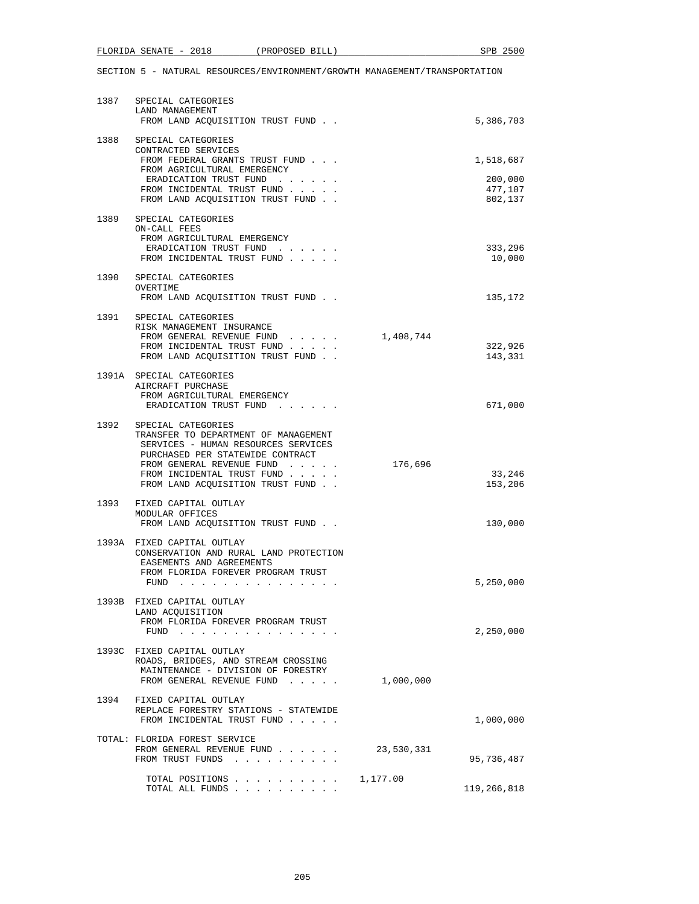| 1387 | SPECIAL CATEGORIES<br>LAND MANAGEMENT<br>FROM LAND ACQUISITION TRUST FUND                                                                                                                    |            | 5,386,703                     |
|------|----------------------------------------------------------------------------------------------------------------------------------------------------------------------------------------------|------------|-------------------------------|
| 1388 | SPECIAL CATEGORIES<br>CONTRACTED SERVICES<br>FROM FEDERAL GRANTS TRUST FUND                                                                                                                  |            | 1,518,687                     |
|      | FROM AGRICULTURAL EMERGENCY<br>ERADICATION TRUST FUND<br>FROM INCIDENTAL TRUST FUND<br>FROM LAND ACQUISITION TRUST FUND                                                                      |            | 200,000<br>477,107<br>802,137 |
|      | 1389 SPECIAL CATEGORIES<br>ON-CALL FEES<br>FROM AGRICULTURAL EMERGENCY                                                                                                                       |            |                               |
|      | ERADICATION TRUST FUND<br>FROM INCIDENTAL TRUST FUND                                                                                                                                         |            | 333,296<br>10,000             |
| 1390 | SPECIAL CATEGORIES<br>OVERTIME<br>FROM LAND ACQUISITION TRUST FUND.                                                                                                                          |            | 135,172                       |
| 1391 | SPECIAL CATEGORIES<br>RISK MANAGEMENT INSURANCE                                                                                                                                              |            |                               |
|      | FROM GENERAL REVENUE FUND<br>$\mathbf{r}$ , $\mathbf{r}$ , $\mathbf{r}$ , $\mathbf{r}$ , $\mathbf{r}$<br>FROM INCIDENTAL TRUST FUND<br>FROM LAND ACOUISITION TRUST FUND.                     | 1,408,744  | 322,926<br>143,331            |
|      | 1391A SPECIAL CATEGORIES<br>AIRCRAFT PURCHASE<br>FROM AGRICULTURAL EMERGENCY                                                                                                                 |            | 671,000                       |
| 1392 | ERADICATION TRUST FUND<br>SPECIAL CATEGORIES<br>TRANSFER TO DEPARTMENT OF MANAGEMENT<br>SERVICES - HUMAN RESOURCES SERVICES<br>PURCHASED PER STATEWIDE CONTRACT<br>FROM GENERAL REVENUE FUND | 176,696    |                               |
|      | FROM INCIDENTAL TRUST FUND<br>FROM LAND ACQUISITION TRUST FUND                                                                                                                               |            | 33,246<br>153,206             |
|      | 1393 FIXED CAPITAL OUTLAY<br>MODULAR OFFICES<br>FROM LAND ACQUISITION TRUST FUND.                                                                                                            |            | 130,000                       |
|      | 1393A FIXED CAPITAL OUTLAY<br>CONSERVATION AND RURAL LAND PROTECTION<br>EASEMENTS AND AGREEMENTS<br>FROM FLORIDA FOREVER PROGRAM TRUST                                                       |            |                               |
|      | $FUND$<br>1393B FIXED CAPITAL OUTLAY                                                                                                                                                         |            | 5,250,000                     |
|      | LAND ACQUISITION<br>FROM FLORIDA FOREVER PROGRAM TRUST<br>$FUND$                                                                                                                             |            | 2,250,000                     |
|      | 1393C FIXED CAPITAL OUTLAY<br>ROADS, BRIDGES, AND STREAM CROSSING<br>MAINTENANCE - DIVISION OF FORESTRY<br>FROM GENERAL REVENUE FUND                                                         | 1,000,000  |                               |
| 1394 | FIXED CAPITAL OUTLAY<br>REPLACE FORESTRY STATIONS - STATEWIDE<br>FROM INCIDENTAL TRUST FUND                                                                                                  |            | 1,000,000                     |
|      | TOTAL: FLORIDA FOREST SERVICE<br>FROM GENERAL REVENUE FUND<br>FROM TRUST FUNDS                                                                                                               | 23,530,331 | 95,736,487                    |
|      | TOTAL POSITIONS<br>TOTAL ALL FUNDS                                                                                                                                                           | 1,177.00   | 119,266,818                   |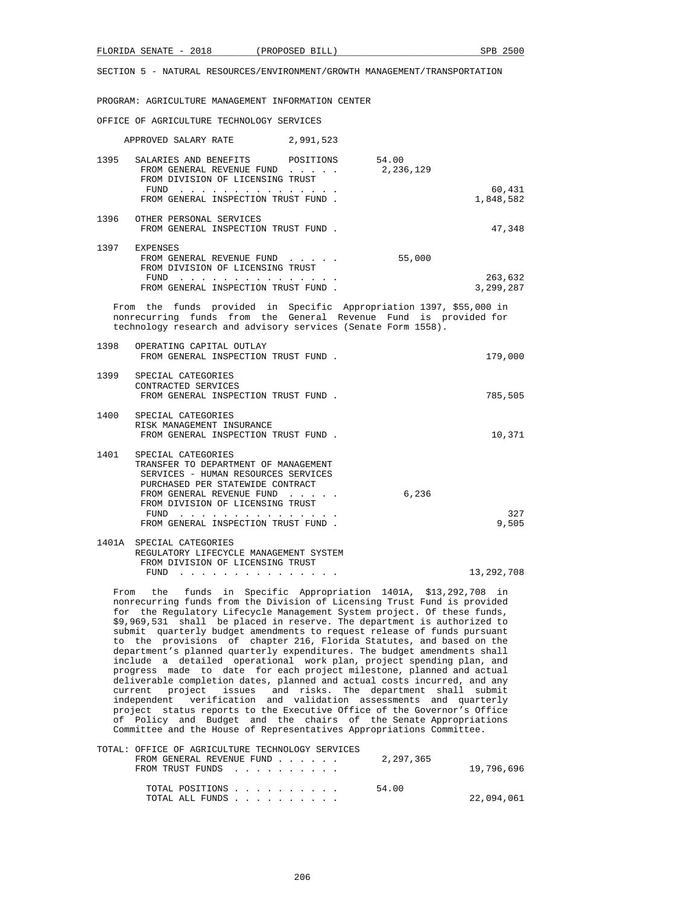PROGRAM: AGRICULTURE MANAGEMENT INFORMATION CENTER

OFFICE OF AGRICULTURE TECHNOLOGY SERVICES

| APPROVED SALARY RATE 2,991,523                                                                                                                                                                              |           |                      |
|-------------------------------------------------------------------------------------------------------------------------------------------------------------------------------------------------------------|-----------|----------------------|
| 1395 SALARIES AND BENEFITS POSITIONS 54.00<br>FROM GENERAL REVENUE FUND<br>FROM DIVISION OF LICENSING TRUST<br>FUND                                                                                         | 2,236,129 | 60,431               |
| FROM GENERAL INSPECTION TRUST FUND.                                                                                                                                                                         |           | 1,848,582            |
| 1396 OTHER PERSONAL SERVICES<br>FROM GENERAL INSPECTION TRUST FUND.                                                                                                                                         |           | 47,348               |
| 1397 EXPENSES<br>FROM GENERAL REVENUE FUND<br>FROM DIVISION OF LICENSING TRUST                                                                                                                              | 55,000    |                      |
| FUND<br>FROM GENERAL INSPECTION TRUST FUND.                                                                                                                                                                 |           | 263,632<br>3,299,287 |
| From the funds provided in Specific Appropriation 1397, \$55,000 in<br>nonrecurring funds from the General Revenue Fund is provided for<br>technology research and advisory services (Senate Form 1558).    |           |                      |
| 1398 OPERATING CAPITAL OUTLAY<br>FROM GENERAL INSPECTION TRUST FUND.                                                                                                                                        |           | 179,000              |
| 1399 SPECIAL CATEGORIES<br>CONTRACTED SERVICES<br>FROM GENERAL INSPECTION TRUST FUND.                                                                                                                       |           | 785,505              |
| 1400 SPECIAL CATEGORIES<br>RISK MANAGEMENT INSURANCE<br>FROM GENERAL INSPECTION TRUST FUND.                                                                                                                 |           | 10,371               |
| 1401 SPECIAL CATEGORIES<br>TRANSFER TO DEPARTMENT OF MANAGEMENT<br>SERVICES - HUMAN RESOURCES SERVICES<br>PURCHASED PER STATEWIDE CONTRACT<br>FROM GENERAL REVENUE FUND<br>FROM DIVISION OF LICENSING TRUST | 6,236     | 327                  |
| FUND<br>FROM GENERAL INSPECTION TRUST FUND.                                                                                                                                                                 |           | 9,505                |
| 1401A SPECIAL CATEGORIES<br>REGULATORY LIFECYCLE MANAGEMENT SYSTEM<br>FROM DIVISION OF LICENSING TRUST                                                                                                      |           |                      |
| FUND<br>the contract of the contract of the contract of the contract of the contract of the contract of the contract of                                                                                     |           | 13, 292, 708         |

 From the funds in Specific Appropriation 1401A, \$13,292,708 in nonrecurring funds from the Division of Licensing Trust Fund is provided for the Regulatory Lifecycle Management System project. Of these funds, \$9,969,531 shall be placed in reserve. The department is authorized to submit quarterly budget amendments to request release of funds pursuant to the provisions of chapter 216, Florida Statutes, and based on the department's planned quarterly expenditures. The budget amendments shall include a detailed operational work plan, project spending plan, and progress made to date for each project milestone, planned and actual deliverable completion dates, planned and actual costs incurred, and any current project issues and risks. The department shall submit independent verification and validation assessments and quarterly project status reports to the Executive Office of the Governor's Office of Policy and Budget and the chairs of the Senate Appropriations Committee and the House of Representatives Appropriations Committee.

| TOTAL: OFFICE OF AGRICULTURE TECHNOLOGY SERVICES |  |  |  |           |            |
|--------------------------------------------------|--|--|--|-----------|------------|
| FROM GENERAL REVENUE FUND                        |  |  |  | 2,297,365 |            |
| FROM TRUST FUNDS                                 |  |  |  |           | 19,796,696 |
|                                                  |  |  |  |           |            |
| TOTAL POSITIONS                                  |  |  |  | 54.00     |            |
| TOTAL ALL FUNDS                                  |  |  |  |           | 22,094,061 |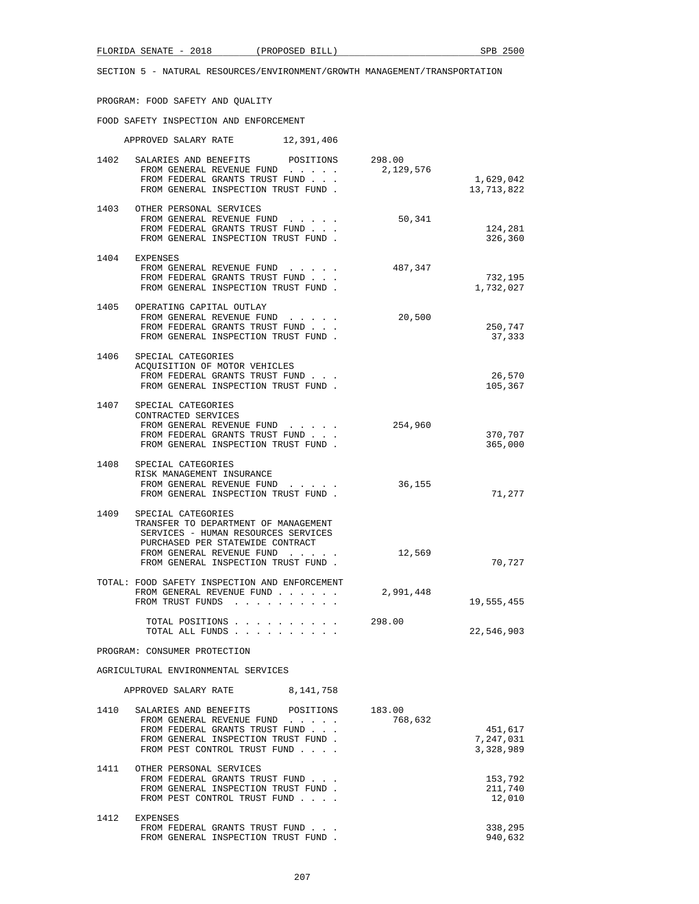## PROGRAM: FOOD SAFETY AND QUALITY

### FOOD SAFETY INSPECTION AND ENFORCEMENT

|      | APPROVED SALARY RATE 12,391,406                                                                                                                                                                           |           |                         |
|------|-----------------------------------------------------------------------------------------------------------------------------------------------------------------------------------------------------------|-----------|-------------------------|
|      | 1402 SALARIES AND BENEFITS POSITIONS 298.00<br>FROM GENERAL REVENUE FUND $\ldots$ 2, 129, 576<br>FROM FEDERAL GRANTS TRUST FUND<br>FROM GENERAL INSPECTION TRUST FUND.                                    |           | 1,629,042<br>13,713,822 |
|      | 1403 OTHER PERSONAL SERVICES<br>FROM GENERAL REVENUE FUND<br>FROM FEDERAL GRANTS TRUST FUND<br>FROM GENERAL INSPECTION TRUST FUND.                                                                        | 50,341    | 124,281<br>326,360      |
|      | 1404 EXPENSES<br>FROM GENERAL REVENUE FUND<br>FROM FEDERAL GRANTS TRUST FUND<br>FROM GENERAL INSPECTION TRUST FUND.                                                                                       | 487,347   | 732,195<br>1,732,027    |
|      | 1405 OPERATING CAPITAL OUTLAY<br>FROM GENERAL REVENUE FUND<br>FROM FEDERAL GRANTS TRUST FUND<br>FROM GENERAL INSPECTION TRUST FUND.                                                                       | 20,500    | 250,747<br>37,333       |
|      | 1406 SPECIAL CATEGORIES<br>ACOUISITION OF MOTOR VEHICLES<br>FROM FEDERAL GRANTS TRUST FUND<br>FROM GENERAL INSPECTION TRUST FUND.                                                                         |           | 26,570<br>105,367       |
|      | 1407 SPECIAL CATEGORIES<br>CONTRACTED SERVICES<br>FROM GENERAL REVENUE FUND 254,960<br>FROM FEDERAL GRANTS TRUST FUND<br>FROM GENERAL INSPECTION TRUST FUND.                                              |           | 370,707<br>365,000      |
| 1408 | SPECIAL CATEGORIES<br>RISK MANAGEMENT INSURANCE<br>FROM GENERAL REVENUE FUND<br>FROM GENERAL INSPECTION TRUST FUND.                                                                                       | 36,155    | 71,277                  |
| 1409 | SPECIAL CATEGORIES<br>TRANSFER TO DEPARTMENT OF MANAGEMENT<br>SERVICES - HUMAN RESOURCES SERVICES<br>PURCHASED PER STATEWIDE CONTRACT<br>FROM GENERAL REVENUE FUND<br>FROM GENERAL INSPECTION TRUST FUND. | 12,569    | 70,727                  |
|      | TOTAL: FOOD SAFETY INSPECTION AND ENFORCEMENT<br>FROM GENERAL REVENUE FUND<br>FROM TRUST FUNDS                                                                                                            | 2,991,448 | 19,555,455              |
|      | TOTAL POSITIONS 298.00<br>TOTAL ALL FUNDS                                                                                                                                                                 |           | 22,546,903              |
|      | PROGRAM: CONSUMER PROTECTION                                                                                                                                                                              |           |                         |

### AGRICULTURAL ENVIRONMENTAL SERVICES

|      | APPROVED SALARY RATE                                                                                                                                        | 8, 141, 758                 |                   |                                   |
|------|-------------------------------------------------------------------------------------------------------------------------------------------------------------|-----------------------------|-------------------|-----------------------------------|
| 1410 | SALARIES AND BENEFITS<br>FROM GENERAL REVENUE FUND<br>FROM FEDERAL GRANTS TRUST FUND<br>FROM GENERAL INSPECTION TRUST FUND.<br>FROM PEST CONTROL TRUST FUND | POSITIONS<br>$\cdots$       | 183.00<br>768,632 | 451,617<br>7,247,031<br>3,328,989 |
| 1411 | OTHER PERSONAL SERVICES<br>FROM FEDERAL GRANTS TRUST FUND<br>FROM GENERAL INSPECTION TRUST FUND.<br>FROM PEST CONTROL TRUST FUND                            | $\sim$ $\sim$ $\sim$ $\sim$ |                   | 153,792<br>211,740<br>12,010      |
| 1412 | <b>EXPENSES</b><br>FROM FEDERAL GRANTS TRUST FUND<br>FROM GENERAL INSPECTION TRUST FUND                                                                     |                             |                   | 338,295<br>940,632                |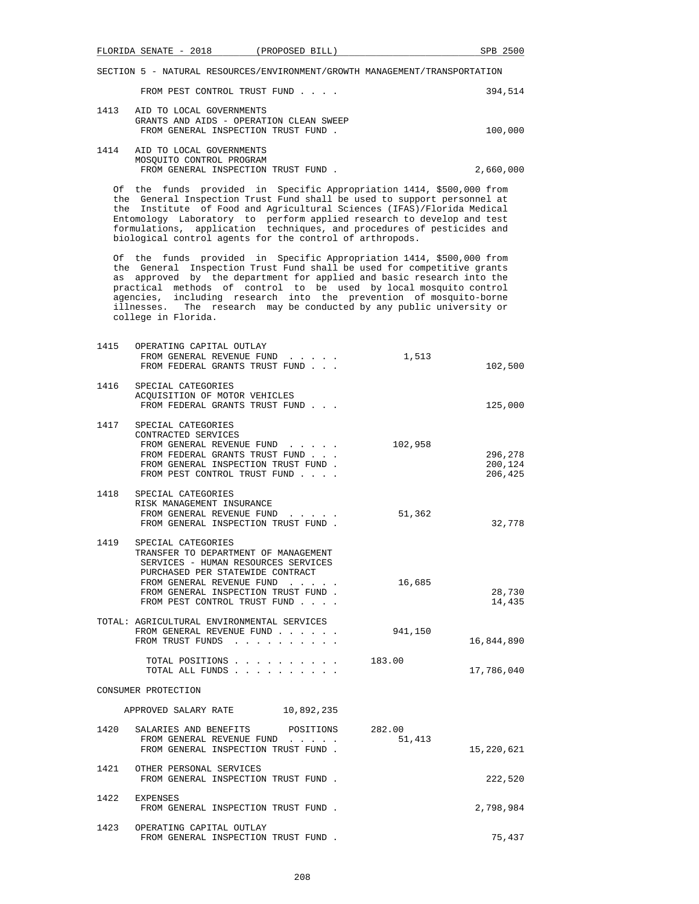|      | FROM PEST CONTROL TRUST FUND                                                                               | 394,514 |
|------|------------------------------------------------------------------------------------------------------------|---------|
| 1413 | AID TO LOCAL GOVERNMENTS<br>GRANTS AND AIDS - OPERATION CLEAN SWEEP<br>FROM GENERAL INSPECTION TRUST FUND. | 100,000 |
| 1414 | AID TO LOCAL GOVERNMENTS                                                                                   |         |

| MOSOUITO CONTROL PROGRAM           |  |           |
|------------------------------------|--|-----------|
| FROM GENERAL INSPECTION TRUST FUND |  | 2,660,000 |

 Of the funds provided in Specific Appropriation 1414, \$500,000 from the General Inspection Trust Fund shall be used to support personnel at the Institute of Food and Agricultural Sciences (IFAS)/Florida Medical Entomology Laboratory to perform applied research to develop and test formulations, application techniques, and procedures of pesticides and biological control agents for the control of arthropods.

 Of the funds provided in Specific Appropriation 1414, \$500,000 from the General Inspection Trust Fund shall be used for competitive grants as approved by the department for applied and basic research into the practical methods of control to be used by local mosquito control agencies, including research into the prevention of mosquito-borne illnesses. The research may be conducted by any public university or college in Florida.

| 1415 | OPERATING CAPITAL OUTLAY<br>FROM GENERAL REVENUE FUND<br>FROM FEDERAL GRANTS TRUST FUND                                                                                                                                                                                                                      | 1,513            | 102,500                       |
|------|--------------------------------------------------------------------------------------------------------------------------------------------------------------------------------------------------------------------------------------------------------------------------------------------------------------|------------------|-------------------------------|
| 1416 | SPECIAL CATEGORIES<br>ACQUISITION OF MOTOR VEHICLES<br>FROM FEDERAL GRANTS TRUST FUND                                                                                                                                                                                                                        |                  | 125,000                       |
| 1417 | SPECIAL CATEGORIES<br>CONTRACTED SERVICES<br>FROM GENERAL REVENUE FUND<br>$\begin{array}{cccccccccccccc} \bullet & \bullet & \bullet & \bullet & \bullet & \bullet & \bullet & \bullet \end{array}$<br>FROM FEDERAL GRANTS TRUST FUND<br>FROM GENERAL INSPECTION TRUST FUND.<br>FROM PEST CONTROL TRUST FUND | 102,958          | 296,278<br>200,124<br>206,425 |
|      | 1418 SPECIAL CATEGORIES<br>RISK MANAGEMENT INSURANCE<br>FROM GENERAL REVENUE FUND<br>FROM GENERAL INSPECTION TRUST FUND.                                                                                                                                                                                     | 51,362           | 32,778                        |
| 1419 | SPECIAL CATEGORIES<br>TRANSFER TO DEPARTMENT OF MANAGEMENT<br>SERVICES - HUMAN RESOURCES SERVICES<br>PURCHASED PER STATEWIDE CONTRACT<br>FROM GENERAL REVENUE FUND<br>FROM GENERAL INSPECTION TRUST FUND.<br>FROM PEST CONTROL TRUST FUND                                                                    | 16,685           | 28,730<br>14,435              |
|      | TOTAL: AGRICULTURAL ENVIRONMENTAL SERVICES<br>FROM GENERAL REVENUE FUND<br>FROM TRUST FUNDS                                                                                                                                                                                                                  | 941,150          | 16,844,890                    |
|      | TOTAL POSITIONS<br>TOTAL ALL FUNDS                                                                                                                                                                                                                                                                           | 183.00           | 17,786,040                    |
|      | CONSUMER PROTECTION                                                                                                                                                                                                                                                                                          |                  |                               |
|      | APPROVED SALARY RATE 10,892,235                                                                                                                                                                                                                                                                              |                  |                               |
| 1420 | SALARIES AND BENEFITS POSITIONS<br>FROM GENERAL REVENUE FUND<br>FROM GENERAL INSPECTION TRUST FUND.                                                                                                                                                                                                          | 282.00<br>51,413 | 15,220,621                    |
| 1421 | OTHER PERSONAL SERVICES<br>FROM GENERAL INSPECTION TRUST FUND.                                                                                                                                                                                                                                               |                  | 222,520                       |
| 1422 | <b>EXPENSES</b><br>FROM GENERAL INSPECTION TRUST FUND.                                                                                                                                                                                                                                                       |                  | 2,798,984                     |
| 1423 | OPERATING CAPITAL OUTLAY<br>FROM GENERAL INSPECTION TRUST FUND.                                                                                                                                                                                                                                              |                  | 75,437                        |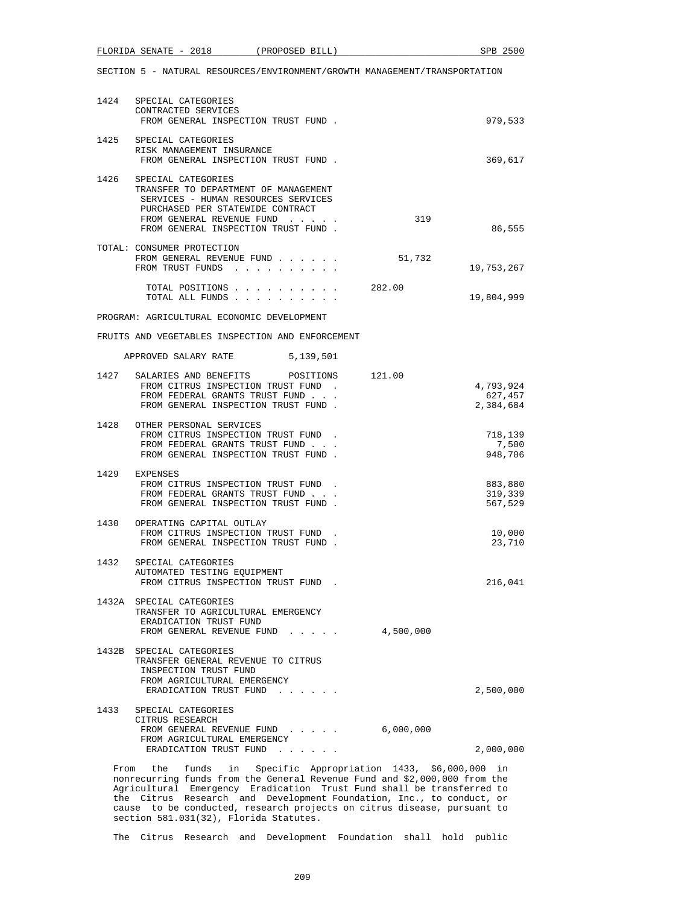|      | FLORIDA SENATE - 2018<br>(PROPOSED BILL)                                                                                                                                                                  |           | SPB 2500                          |
|------|-----------------------------------------------------------------------------------------------------------------------------------------------------------------------------------------------------------|-----------|-----------------------------------|
|      | SECTION 5 - NATURAL RESOURCES/ENVIRONMENT/GROWTH MANAGEMENT/TRANSPORTATION                                                                                                                                |           |                                   |
| 1424 | SPECIAL CATEGORIES<br>CONTRACTED SERVICES<br>FROM GENERAL INSPECTION TRUST FUND.                                                                                                                          |           | 979,533                           |
|      | 1425 SPECIAL CATEGORIES<br>RISK MANAGEMENT INSURANCE<br>FROM GENERAL INSPECTION TRUST FUND.                                                                                                               |           | 369,617                           |
| 1426 | SPECIAL CATEGORIES<br>TRANSFER TO DEPARTMENT OF MANAGEMENT<br>SERVICES - HUMAN RESOURCES SERVICES<br>PURCHASED PER STATEWIDE CONTRACT<br>FROM GENERAL REVENUE FUND<br>FROM GENERAL INSPECTION TRUST FUND. | 319       | 86,555                            |
|      | TOTAL: CONSUMER PROTECTION<br>FROM GENERAL REVENUE FUND<br>FROM TRUST FUNDS                                                                                                                               | 51,732    | 19,753,267                        |
|      | TOTAL POSITIONS<br>TOTAL ALL FUNDS                                                                                                                                                                        | 282.00    | 19,804,999                        |
|      | PROGRAM: AGRICULTURAL ECONOMIC DEVELOPMENT                                                                                                                                                                |           |                                   |
|      | FRUITS AND VEGETABLES INSPECTION AND ENFORCEMENT                                                                                                                                                          |           |                                   |
|      | APPROVED SALARY RATE 5,139,501                                                                                                                                                                            |           |                                   |
| 1427 | SALARIES AND BENEFITS POSITIONS 121.00<br>FROM CITRUS INSPECTION TRUST FUND.<br>FROM FEDERAL GRANTS TRUST FUND<br>FROM GENERAL INSPECTION TRUST FUND.                                                     |           | 4,793,924<br>627,457<br>2,384,684 |
| 1428 | OTHER PERSONAL SERVICES<br>FROM CITRUS INSPECTION TRUST FUND.<br>FROM FEDERAL GRANTS TRUST FUND<br>FROM GENERAL INSPECTION TRUST FUND.                                                                    |           | 718,139<br>7,500<br>948,706       |
| 1429 | EXPENSES<br>FROM CITRUS INSPECTION TRUST FUND.<br>FROM FEDERAL GRANTS TRUST FUND<br>FROM GENERAL INSPECTION TRUST FUND.                                                                                   |           | 883,880<br>319,339<br>567,529     |
| 1430 | OPERATING CAPITAL OUTLAY<br>FROM CITRUS INSPECTION TRUST FUND<br>FROM GENERAL INSPECTION TRUST FUND.                                                                                                      |           | 10,000<br>23,710                  |
| 1432 | SPECIAL CATEGORIES<br>AUTOMATED TESTING EQUIPMENT<br>FROM CITRUS INSPECTION TRUST FUND.                                                                                                                   |           | 216,041                           |
|      | 1432A SPECIAL CATEGORIES<br>TRANSFER TO AGRICULTURAL EMERGENCY<br>ERADICATION TRUST FUND<br>FROM GENERAL REVENUE FUND                                                                                     | 4,500,000 |                                   |
|      | 1432B SPECIAL CATEGORIES<br>TRANSFER GENERAL REVENUE TO CITRUS<br>INSPECTION TRUST FUND<br>FROM AGRICULTURAL EMERGENCY<br>ERADICATION TRUST FUND                                                          |           | 2,500,000                         |
| 1433 | SPECIAL CATEGORIES<br>CITRUS RESEARCH<br>FROM GENERAL REVENUE FUND<br>FROM AGRICULTURAL EMERGENCY                                                                                                         | 6,000,000 |                                   |
|      | ERADICATION TRUST FUND                                                                                                                                                                                    |           | 2,000,000                         |

 Agricultural Emergency Eradication Trust Fund shall be transferred to the Citrus Research and Development Foundation, Inc., to conduct, or cause to be conducted, research projects on citrus disease, pursuant to section 581.031(32), Florida Statutes.

The Citrus Research and Development Foundation shall hold public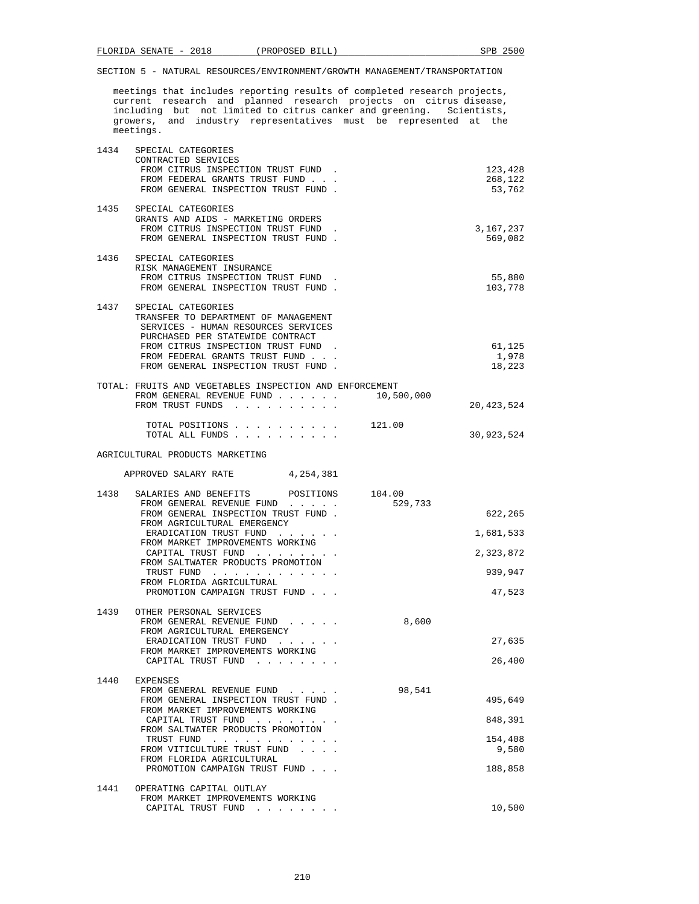meetings that includes reporting results of completed research projects, current research and planned research projects on citrus disease, including but not limited to citrus canker and greening. Scientists, growers, and industry representatives must be represented at the meetings.

| 1434 | SPECIAL CATEGORIES<br>CONTRACTED SERVICES                                 |            |                   |
|------|---------------------------------------------------------------------------|------------|-------------------|
|      | FROM CITRUS INSPECTION TRUST FUND.                                        |            | 123,428           |
|      | FROM FEDERAL GRANTS TRUST FUND.                                           |            | 268,122           |
|      | FROM GENERAL INSPECTION TRUST FUND.                                       |            | 53,762            |
| 1435 | SPECIAL CATEGORIES                                                        |            |                   |
|      | GRANTS AND AIDS - MARKETING ORDERS<br>FROM CITRUS INSPECTION TRUST FUND   |            | 3,167,237         |
|      | FROM GENERAL INSPECTION TRUST FUND.                                       |            | 569,082           |
| 1436 | SPECIAL CATEGORIES                                                        |            |                   |
|      | RISK MANAGEMENT INSURANCE                                                 |            |                   |
|      | FROM CITRUS INSPECTION TRUST FUND.<br>FROM GENERAL INSPECTION TRUST FUND. |            | 55,880<br>103,778 |
|      |                                                                           |            |                   |
| 1437 | SPECIAL CATEGORIES<br>TRANSFER TO DEPARTMENT OF MANAGEMENT                |            |                   |
|      | SERVICES - HUMAN RESOURCES SERVICES                                       |            |                   |
|      | PURCHASED PER STATEWIDE CONTRACT<br>FROM CITRUS INSPECTION TRUST FUND.    |            | 61,125            |
|      | FROM FEDERAL GRANTS TRUST FUND                                            |            | 1,978             |
|      | FROM GENERAL INSPECTION TRUST FUND.                                       |            | 18,223            |
|      | TOTAL: FRUITS AND VEGETABLES INSPECTION AND ENFORCEMENT                   |            |                   |
|      | FROM GENERAL REVENUE FUND<br>FROM TRUST FUNDS                             | 10,500,000 | 20,423,524        |
|      |                                                                           |            |                   |
|      | TOTAL POSITIONS 121.00<br>TOTAL ALL FUNDS                                 |            | 30,923,524        |
|      |                                                                           |            |                   |
|      | AGRICULTURAL PRODUCTS MARKETING                                           |            |                   |
|      | APPROVED SALARY RATE<br>4,254,381                                         |            |                   |
|      | 1438 SALARIES AND BENEFITS POSITIONS 104.00                               |            |                   |
|      | FROM GENERAL REVENUE FUND                                                 | 529,733    |                   |
|      | FROM GENERAL INSPECTION TRUST FUND.<br>FROM AGRICULTURAL EMERGENCY        |            | 622,265           |
|      | ERADICATION TRUST FUND                                                    |            | 1,681,533         |
|      | FROM MARKET IMPROVEMENTS WORKING<br>CAPITAL TRUST FUND                    |            | 2,323,872         |
|      | FROM SALTWATER PRODUCTS PROMOTION                                         |            |                   |
|      | TRUST FUND<br>FROM FLORIDA AGRICULTURAL                                   |            | 939,947           |
|      | PROMOTION CAMPAIGN TRUST FUND                                             |            | 47,523            |
| 1439 | OTHER PERSONAL SERVICES                                                   |            |                   |
|      | FROM GENERAL REVENUE FUND                                                 | 8,600      |                   |
|      | FROM AGRICULTURAL EMERGENCY<br>ERADICATION TRUST FUND                     |            | 27,635            |
|      | FROM MARKET IMPROVEMENTS WORKING                                          |            |                   |
|      | CAPITAL TRUST FUND                                                        |            | 26,400            |
| 1440 | EXPENSES                                                                  |            |                   |
|      | FROM GENERAL REVENUE FUND<br>FROM GENERAL INSPECTION TRUST FUND.          | 98,541     | 495,649           |
|      | FROM MARKET IMPROVEMENTS WORKING                                          |            |                   |
|      | CAPITAL TRUST FUND<br>FROM SALTWATER PRODUCTS PROMOTION                   |            | 848,391           |
|      | TRUST FUND                                                                |            | 154,408           |
|      | FROM VITICULTURE TRUST FUND<br>FROM FLORIDA AGRICULTURAL                  |            | 9,580             |
|      | PROMOTION CAMPAIGN TRUST FUND                                             |            | 188,858           |
| 1441 | OPERATING CAPITAL OUTLAY                                                  |            |                   |
|      | FROM MARKET IMPROVEMENTS WORKING                                          |            |                   |
|      | CAPITAL TRUST FUND                                                        |            | 10,500            |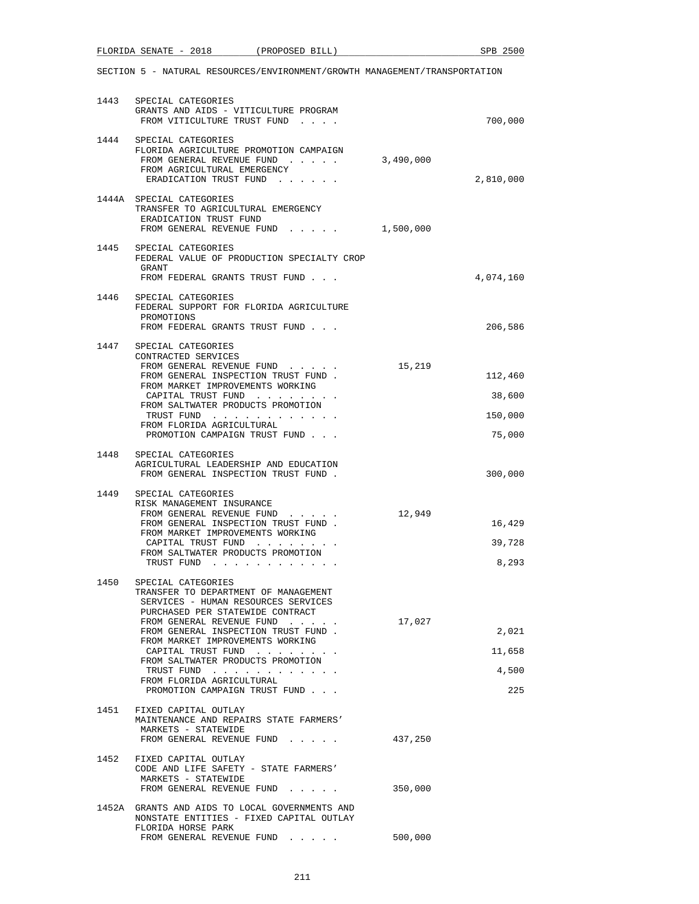|      | FLORIDA SENATE - 2018 (PROPOSED BILL)                                                                                                                                                                                                                                                                                                                                                |                                                                                                                                                                                                                                |           | SPB 2500                        |
|------|--------------------------------------------------------------------------------------------------------------------------------------------------------------------------------------------------------------------------------------------------------------------------------------------------------------------------------------------------------------------------------------|--------------------------------------------------------------------------------------------------------------------------------------------------------------------------------------------------------------------------------|-----------|---------------------------------|
|      | SECTION 5 - NATURAL RESOURCES/ENVIRONMENT/GROWTH MANAGEMENT/TRANSPORTATION                                                                                                                                                                                                                                                                                                           |                                                                                                                                                                                                                                |           |                                 |
|      | 1443 SPECIAL CATEGORIES<br>GRANTS AND AIDS - VITICULTURE PROGRAM<br>FROM VITICULTURE TRUST FUND                                                                                                                                                                                                                                                                                      |                                                                                                                                                                                                                                |           | 700,000                         |
|      | 1444 SPECIAL CATEGORIES<br>FLORIDA AGRICULTURE PROMOTION CAMPAIGN<br>FROM GENERAL REVENUE FUND<br>FROM AGRICULTURAL EMERGENCY<br>ERADICATION TRUST FUND                                                                                                                                                                                                                              |                                                                                                                                                                                                                                | 3,490,000 | 2,810,000                       |
|      | 1444A SPECIAL CATEGORIES<br>TRANSFER TO AGRICULTURAL EMERGENCY<br>ERADICATION TRUST FUND<br>FROM GENERAL REVENUE FUND 1,500,000                                                                                                                                                                                                                                                      |                                                                                                                                                                                                                                |           |                                 |
|      | 1445 SPECIAL CATEGORIES<br>FEDERAL VALUE OF PRODUCTION SPECIALTY CROP<br>GRANT<br>FROM FEDERAL GRANTS TRUST FUND                                                                                                                                                                                                                                                                     |                                                                                                                                                                                                                                |           | 4,074,160                       |
|      | 1446 SPECIAL CATEGORIES<br>FEDERAL SUPPORT FOR FLORIDA AGRICULTURE<br>PROMOTIONS                                                                                                                                                                                                                                                                                                     |                                                                                                                                                                                                                                |           | 206,586                         |
|      | FROM FEDERAL GRANTS TRUST FUND<br>1447 SPECIAL CATEGORIES<br>CONTRACTED SERVICES                                                                                                                                                                                                                                                                                                     |                                                                                                                                                                                                                                |           |                                 |
|      | FROM GENERAL REVENUE FUND<br>FROM GENERAL INSPECTION TRUST FUND.<br>FROM MARKET IMPROVEMENTS WORKING                                                                                                                                                                                                                                                                                 |                                                                                                                                                                                                                                | 15,219    | 112,460                         |
|      | CAPITAL TRUST FUND<br>FROM SALTWATER PRODUCTS PROMOTION<br>TRUST FUND                                                                                                                                                                                                                                                                                                                |                                                                                                                                                                                                                                |           | 38,600<br>150,000               |
|      | FROM FLORIDA AGRICULTURAL<br>PROMOTION CAMPAIGN TRUST FUND                                                                                                                                                                                                                                                                                                                           |                                                                                                                                                                                                                                |           | 75,000                          |
|      | 1448 SPECIAL CATEGORIES<br>AGRICULTURAL LEADERSHIP AND EDUCATION<br>FROM GENERAL INSPECTION TRUST FUND.                                                                                                                                                                                                                                                                              |                                                                                                                                                                                                                                |           | 300,000                         |
|      | 1449 SPECIAL CATEGORIES<br>RISK MANAGEMENT INSURANCE<br>FROM GENERAL REVENUE FUND<br>FROM GENERAL INSPECTION TRUST FUND.<br>FROM MARKET IMPROVEMENTS WORKING<br>CAPITAL TRUST FUND<br>FROM SALTWATER PRODUCTS PROMOTION<br>TRUST FUND                                                                                                                                                |                                                                                                                                                                                                                                | 12,949    | 16,429<br>39,728<br>8,293       |
| 1450 | SPECIAL CATEGORIES<br>TRANSFER TO DEPARTMENT OF MANAGEMENT<br>SERVICES - HUMAN RESOURCES SERVICES<br>PURCHASED PER STATEWIDE CONTRACT<br>FROM GENERAL REVENUE FUND<br>FROM GENERAL INSPECTION TRUST FUND.<br>FROM MARKET IMPROVEMENTS WORKING<br>CAPITAL TRUST FUND<br>FROM SALTWATER PRODUCTS PROMOTION<br>TRUST FUND<br>FROM FLORIDA AGRICULTURAL<br>PROMOTION CAMPAIGN TRUST FUND | the contract of the contract of the contract of the contract of the contract of the contract of the contract of the contract of the contract of the contract of the contract of the contract of the contract of the contract o | 17,027    | 2,021<br>11,658<br>4,500<br>225 |
| 1451 | FIXED CAPITAL OUTLAY<br>MAINTENANCE AND REPAIRS STATE FARMERS'<br>MARKETS - STATEWIDE<br>FROM GENERAL REVENUE FUND                                                                                                                                                                                                                                                                   |                                                                                                                                                                                                                                | 437,250   |                                 |
| 1452 | FIXED CAPITAL OUTLAY<br>CODE AND LIFE SAFETY - STATE FARMERS'<br>MARKETS - STATEWIDE<br>FROM GENERAL REVENUE FUND                                                                                                                                                                                                                                                                    |                                                                                                                                                                                                                                | 350,000   |                                 |
|      | 1452A GRANTS AND AIDS TO LOCAL GOVERNMENTS AND<br>NONSTATE ENTITIES - FIXED CAPITAL OUTLAY                                                                                                                                                                                                                                                                                           |                                                                                                                                                                                                                                |           |                                 |
|      | FLORIDA HORSE PARK<br>FROM GENERAL REVENUE FUND                                                                                                                                                                                                                                                                                                                                      |                                                                                                                                                                                                                                | 500,000   |                                 |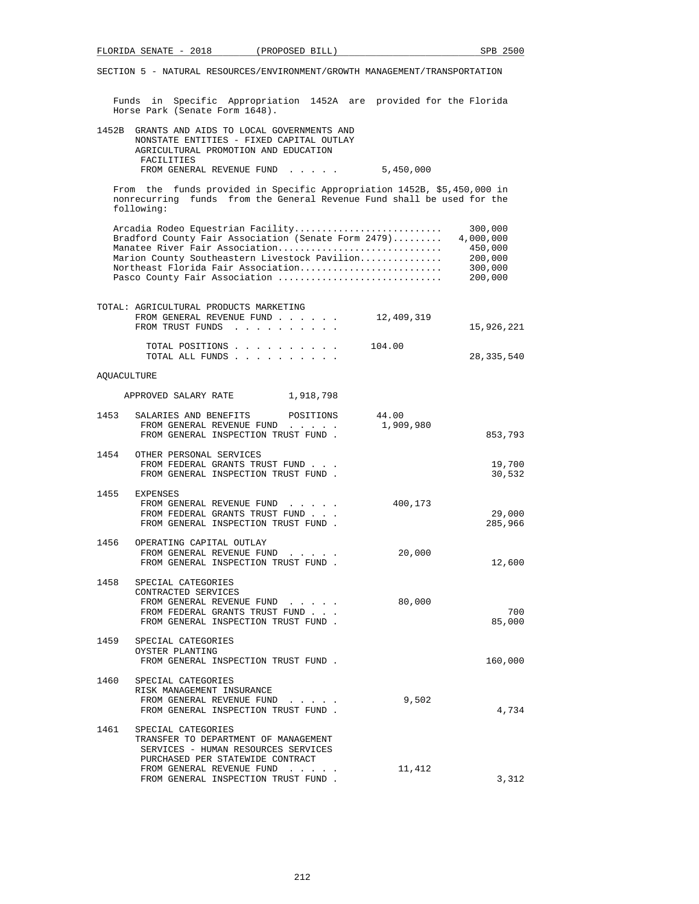Funds in Specific Appropriation 1452A are provided for the Florida Horse Park (Senate Form 1648).

| 1452B GRANTS AND AIDS TO LOCAL GOVERNMENTS AND |           |
|------------------------------------------------|-----------|
| NONSTATE ENTITIES - FIXED CAPITAL OUTLAY       |           |
| AGRICULTURAL PROMOTION AND EDUCATION           |           |
| FACILITIES                                     |           |
| FROM GENERAL REVENUE FUND                      | 5,450,000 |

 From the funds provided in Specific Appropriation 1452B, \$5,450,000 in nonrecurring funds from the General Revenue Fund shall be used for the following:

| Arcadia Rodeo Equestrian Facility                   | 300,000   |
|-----------------------------------------------------|-----------|
| Bradford County Fair Association (Senate Form 2479) | 4,000,000 |
| Manatee River Fair Association                      | 450,000   |
| Marion County Southeastern Livestock Pavilion       | 200,000   |
| Northeast Florida Fair Association                  | 300,000   |
| Pasco County Fair Association                       | 200,000   |
|                                                     |           |

|                    | TOTAL: AGRICULTURAL PRODUCTS MARKETING<br>FROM GENERAL REVENUE FUND<br>FROM TRUST FUNDS                                                                                                    | 12,409,319         | 15,926,221        |
|--------------------|--------------------------------------------------------------------------------------------------------------------------------------------------------------------------------------------|--------------------|-------------------|
|                    |                                                                                                                                                                                            |                    |                   |
|                    | TOTAL POSITIONS<br>TOTAL ALL FUNDS                                                                                                                                                         | 104.00             | 28,335,540        |
| <b>AOUACULTURE</b> |                                                                                                                                                                                            |                    |                   |
|                    | APPROVED SALARY RATE 1,918,798                                                                                                                                                             |                    |                   |
| 1453               | SALARIES AND BENEFITS POSITIONS<br>FROM GENERAL REVENUE FUND<br>FROM GENERAL INSPECTION TRUST FUND.                                                                                        | 44.00<br>1,909,980 | 853,793           |
|                    | 1454 OTHER PERSONAL SERVICES<br>FROM FEDERAL GRANTS TRUST FUND<br>FROM GENERAL INSPECTION TRUST FUND.                                                                                      |                    | 19,700<br>30,532  |
|                    | 1455 EXPENSES<br>FROM GENERAL REVENUE FUND<br>FROM FEDERAL GRANTS TRUST FUND<br>FROM GENERAL INSPECTION TRUST FUND.                                                                        | 400,173            | 29,000<br>285,966 |
| 1456               | OPERATING CAPITAL OUTLAY<br>FROM GENERAL REVENUE FUND<br>FROM GENERAL INSPECTION TRUST FUND.                                                                                               | 20,000             | 12,600            |
| 1458               | SPECIAL CATEGORIES<br>CONTRACTED SERVICES<br>FROM GENERAL REVENUE FUND<br>FROM FEDERAL GRANTS TRUST FUND<br>FROM GENERAL INSPECTION TRUST FUND.                                            | 80,000             | 700<br>85,000     |
| 1459               | SPECIAL CATEGORIES<br>OYSTER PLANTING<br>FROM GENERAL INSPECTION TRUST FUND.                                                                                                               |                    | 160,000           |
| 1460               | SPECIAL CATEGORIES<br>RISK MANAGEMENT INSURANCE<br>FROM GENERAL REVENUE FUND<br>FROM GENERAL INSPECTION TRUST FUND.                                                                        | 9,502              | 4,734             |
| 1461               | SPECIAL CATEGORIES<br>TRANSFER TO DEPARTMENT OF MANAGEMENT<br>SERVICES - HUMAN RESOURCES SERVICES<br>PURCHASED PER STATEWIDE CONTRACT<br>FROM GENERAL REVENUE FUND<br>$\ddot{\phantom{0}}$ | 11,412             |                   |
|                    | FROM GENERAL INSPECTION TRUST FUND.                                                                                                                                                        |                    | 3,312             |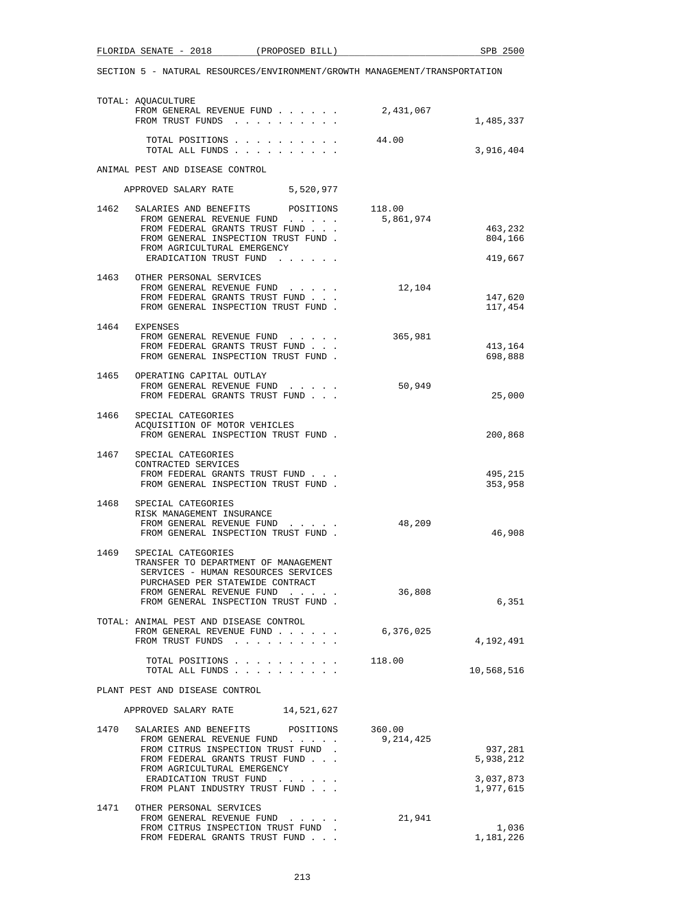|      | TOTAL: AQUACULTURE<br>FROM GENERAL REVENUE FUND<br>FROM TRUST FUNDS                                                                                                                                                                                                                             | 2,431,067           | 1,485,337                     |
|------|-------------------------------------------------------------------------------------------------------------------------------------------------------------------------------------------------------------------------------------------------------------------------------------------------|---------------------|-------------------------------|
|      | TOTAL POSITIONS<br>TOTAL ALL FUNDS                                                                                                                                                                                                                                                              | 44.00               | 3,916,404                     |
|      | ANIMAL PEST AND DISEASE CONTROL                                                                                                                                                                                                                                                                 |                     |                               |
|      | APPROVED SALARY RATE 5,520,977                                                                                                                                                                                                                                                                  |                     |                               |
| 1462 | SALARIES AND BENEFITS POSITIONS<br>FROM GENERAL REVENUE FUND<br>FROM FEDERAL GRANTS TRUST FUND<br>FROM GENERAL INSPECTION TRUST FUND.<br>FROM AGRICULTURAL EMERGENCY<br>ERADICATION TRUST FUND                                                                                                  | 118.00<br>5,861,974 | 463,232<br>804,166<br>419,667 |
|      | 1463 OTHER PERSONAL SERVICES<br>FROM GENERAL REVENUE FUND<br>FROM FEDERAL GRANTS TRUST FUND<br>FROM GENERAL INSPECTION TRUST FUND.                                                                                                                                                              | 12,104              | 147,620<br>117,454            |
|      | 1464 EXPENSES<br>FROM GENERAL REVENUE FUND<br>FROM FEDERAL GRANTS TRUST FUND<br>FROM GENERAL INSPECTION TRUST FUND.                                                                                                                                                                             | 365,981             | 413,164<br>698,888            |
|      | 1465 OPERATING CAPITAL OUTLAY<br>FROM GENERAL REVENUE FUND<br>FROM FEDERAL GRANTS TRUST FUND                                                                                                                                                                                                    | 50,949              | 25,000                        |
| 1466 | SPECIAL CATEGORIES<br>ACQUISITION OF MOTOR VEHICLES<br>FROM GENERAL INSPECTION TRUST FUND.                                                                                                                                                                                                      |                     | 200,868                       |
| 1467 | SPECIAL CATEGORIES<br>CONTRACTED SERVICES<br>FROM FEDERAL GRANTS TRUST FUND<br>FROM GENERAL INSPECTION TRUST FUND.                                                                                                                                                                              |                     | 495,215<br>353,958            |
|      | 1468 SPECIAL CATEGORIES<br>RISK MANAGEMENT INSURANCE<br>FROM GENERAL REVENUE FUND<br>FROM GENERAL INSPECTION TRUST FUND.                                                                                                                                                                        | 48,209              | 46,908                        |
| 1469 | SPECIAL CATEGORIES<br>TRANSFER TO DEPARTMENT OF MANAGEMENT<br>SERVICES - HUMAN RESOURCES SERVICES<br>PURCHASED PER STATEWIDE CONTRACT<br>FROM GENERAL REVENUE FUND<br>$\begin{array}{cccccccccccccc} \bullet & \bullet & \bullet & \bullet & \bullet & \bullet & \bullet & \bullet \end{array}$ | 36,808              |                               |
|      | FROM GENERAL INSPECTION TRUST FUND                                                                                                                                                                                                                                                              |                     | 6,351                         |
|      | TOTAL: ANIMAL PEST AND DISEASE CONTROL<br>FROM GENERAL REVENUE FUND<br>FROM TRUST FUNDS                                                                                                                                                                                                         | 6,376,025           | 4,192,491                     |
|      | TOTAL POSITIONS<br>TOTAL ALL FUNDS                                                                                                                                                                                                                                                              | 118.00              | 10,568,516                    |
|      | PLANT PEST AND DISEASE CONTROL                                                                                                                                                                                                                                                                  |                     |                               |
|      | APPROVED SALARY RATE 14,521,627                                                                                                                                                                                                                                                                 |                     |                               |
| 1470 | SALARIES AND BENEFITS POSITIONS 360.00<br>FROM GENERAL REVENUE FUND<br>FROM CITRUS INSPECTION TRUST FUND.<br>FROM FEDERAL GRANTS TRUST FUND<br>FROM AGRICULTURAL EMERGENCY                                                                                                                      | 9,214,425           | 937,281<br>5,938,212          |
|      | ERADICATION TRUST FUND<br>FROM PLANT INDUSTRY TRUST FUND                                                                                                                                                                                                                                        |                     | 3,037,873<br>1,977,615        |
| 1471 | OTHER PERSONAL SERVICES<br>FROM GENERAL REVENUE FUND<br>FROM CITRUS INSPECTION TRUST FUND<br>FROM FEDERAL GRANTS TRUST FUND                                                                                                                                                                     | 21,941              | 1,036<br>1,181,226            |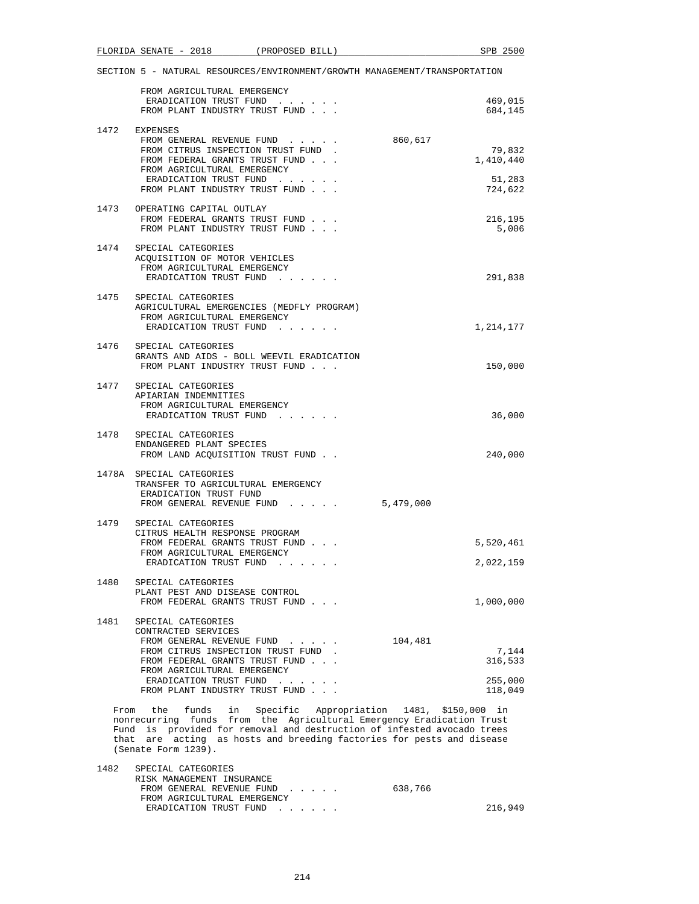|      | FLORIDA SENATE - 2018                                                                                                         | (PROPOSED BILL)                           | SPB 2500                                                                                                                                                                                                                                                                               |
|------|-------------------------------------------------------------------------------------------------------------------------------|-------------------------------------------|----------------------------------------------------------------------------------------------------------------------------------------------------------------------------------------------------------------------------------------------------------------------------------------|
|      |                                                                                                                               |                                           | SECTION 5 - NATURAL RESOURCES/ENVIRONMENT/GROWTH MANAGEMENT/TRANSPORTATION                                                                                                                                                                                                             |
|      | FROM AGRICULTURAL EMERGENCY<br>ERADICATION TRUST FUND<br>FROM PLANT INDUSTRY TRUST FUND                                       |                                           | 469,015<br>684,145                                                                                                                                                                                                                                                                     |
|      | 1472 EXPENSES<br>FROM GENERAL REVENUE FUND                                                                                    |                                           | 860,617                                                                                                                                                                                                                                                                                |
|      | FROM CITRUS INSPECTION TRUST FUND.<br>FROM FEDERAL GRANTS TRUST FUND<br>FROM AGRICULTURAL EMERGENCY<br>ERADICATION TRUST FUND |                                           | 79,832<br>1,410,440<br>51,283                                                                                                                                                                                                                                                          |
|      | FROM PLANT INDUSTRY TRUST FUND                                                                                                |                                           | 724,622                                                                                                                                                                                                                                                                                |
|      | 1473 OPERATING CAPITAL OUTLAY<br>FROM FEDERAL GRANTS TRUST FUND<br>FROM PLANT INDUSTRY TRUST FUND                             |                                           | 216,195<br>5,006                                                                                                                                                                                                                                                                       |
|      | 1474 SPECIAL CATEGORIES<br>ACQUISITION OF MOTOR VEHICLES<br>FROM AGRICULTURAL EMERGENCY<br>ERADICATION TRUST FUND             |                                           | 291,838                                                                                                                                                                                                                                                                                |
|      | 1475 SPECIAL CATEGORIES                                                                                                       |                                           |                                                                                                                                                                                                                                                                                        |
|      | FROM AGRICULTURAL EMERGENCY<br>ERADICATION TRUST FUND                                                                         | AGRICULTURAL EMERGENCIES (MEDFLY PROGRAM) | 1,214,177                                                                                                                                                                                                                                                                              |
|      | 1476 SPECIAL CATEGORIES<br>FROM PLANT INDUSTRY TRUST FUND                                                                     | GRANTS AND AIDS - BOLL WEEVIL ERADICATION | 150,000                                                                                                                                                                                                                                                                                |
|      | 1477 SPECIAL CATEGORIES<br>APIARIAN INDEMNITIES                                                                               |                                           |                                                                                                                                                                                                                                                                                        |
|      | FROM AGRICULTURAL EMERGENCY<br>ERADICATION TRUST FUND                                                                         |                                           | 36,000                                                                                                                                                                                                                                                                                 |
|      | 1478 SPECIAL CATEGORIES<br>ENDANGERED PLANT SPECIES<br>FROM LAND ACQUISITION TRUST FUND                                       |                                           | 240,000                                                                                                                                                                                                                                                                                |
|      | 1478A SPECIAL CATEGORIES<br>TRANSFER TO AGRICULTURAL EMERGENCY<br>ERADICATION TRUST FUND                                      | FROM GENERAL REVENUE FUND 5,479,000       |                                                                                                                                                                                                                                                                                        |
|      | 1479 SPECIAL CATEGORIES<br>CITRUS HEALTH RESPONSE PROGRAM<br>FROM FEDERAL GRANTS TRUST FUND                                   |                                           |                                                                                                                                                                                                                                                                                        |
|      | FROM AGRICULTURAL EMERGENCY<br>ERADICATION TRUST FUND                                                                         |                                           | 5,520,461<br>2,022,159                                                                                                                                                                                                                                                                 |
| 1480 | SPECIAL CATEGORIES<br>PLANT PEST AND DISEASE CONTROL<br>FROM FEDERAL GRANTS TRUST FUND                                        |                                           | 1,000,000                                                                                                                                                                                                                                                                              |
|      | 1481 SPECIAL CATEGORIES<br>CONTRACTED SERVICES<br>FROM GENERAL REVENUE FUND                                                   |                                           | 104,481                                                                                                                                                                                                                                                                                |
|      | FROM CITRUS INSPECTION TRUST FUND.<br>FROM FEDERAL GRANTS TRUST FUND<br>FROM AGRICULTURAL EMERGENCY                           |                                           | 7,144<br>316,533                                                                                                                                                                                                                                                                       |
|      | ERADICATION TRUST FUND<br>FROM PLANT INDUSTRY TRUST FUND                                                                      |                                           | 255,000<br>118,049                                                                                                                                                                                                                                                                     |
|      | (Senate Form 1239).                                                                                                           |                                           | From the funds in Specific Appropriation 1481, \$150,000 in<br>nonrecurring funds from the Agricultural Emergency Eradication Trust<br>Fund is provided for removal and destruction of infested avocado trees<br>that are acting as hosts and breeding factories for pests and disease |
|      | 1482 SPECIAL CATEGORIES<br>RISK MANAGEMENT INSURANCE                                                                          |                                           |                                                                                                                                                                                                                                                                                        |
|      | FROM AGRICULTURAL EMERGENCY<br>ERADICATION TRUST FUND                                                                         | FROM GENERAL REVENUE FUND                 | 638,766<br>216,949                                                                                                                                                                                                                                                                     |
|      |                                                                                                                               |                                           |                                                                                                                                                                                                                                                                                        |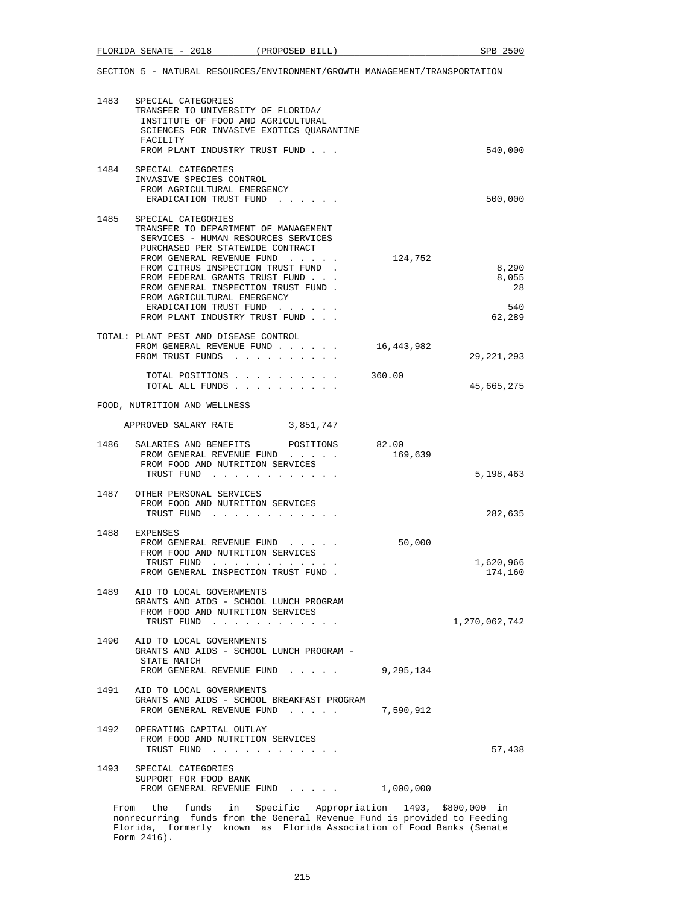| 1483 | SPECIAL CATEGORIES<br>TRANSFER TO UNIVERSITY OF FLORIDA/<br>INSTITUTE OF FOOD AND AGRICULTURAL<br>SCIENCES FOR INVASIVE EXOTICS OUARANTINE<br>FACILITY<br>FROM PLANT INDUSTRY TRUST FUND                                                                                                                                                                                     |            | 540,000                               |
|------|------------------------------------------------------------------------------------------------------------------------------------------------------------------------------------------------------------------------------------------------------------------------------------------------------------------------------------------------------------------------------|------------|---------------------------------------|
| 1484 | SPECIAL CATEGORIES<br>INVASIVE SPECIES CONTROL<br>FROM AGRICULTURAL EMERGENCY<br>ERADICATION TRUST FUND                                                                                                                                                                                                                                                                      |            | 500,000                               |
| 1485 | SPECIAL CATEGORIES<br>TRANSFER TO DEPARTMENT OF MANAGEMENT<br>SERVICES - HUMAN RESOURCES SERVICES<br>PURCHASED PER STATEWIDE CONTRACT<br>FROM GENERAL REVENUE FUND<br>FROM CITRUS INSPECTION TRUST FUND<br>FROM FEDERAL GRANTS TRUST FUND.<br>FROM GENERAL INSPECTION TRUST FUND.<br>FROM AGRICULTURAL EMERGENCY<br>ERADICATION TRUST FUND<br>FROM PLANT INDUSTRY TRUST FUND | 124,752    | 8,290<br>8,055<br>28<br>540<br>62,289 |
|      | TOTAL: PLANT PEST AND DISEASE CONTROL<br>FROM GENERAL REVENUE FUND<br>FROM TRUST FUNDS                                                                                                                                                                                                                                                                                       | 16,443,982 | 29, 221, 293                          |
|      | TOTAL POSITIONS<br>TOTAL ALL FUNDS                                                                                                                                                                                                                                                                                                                                           | 360.00     | 45,665,275                            |
|      | FOOD, NUTRITION AND WELLNESS                                                                                                                                                                                                                                                                                                                                                 |            |                                       |
|      | APPROVED SALARY RATE 3,851,747                                                                                                                                                                                                                                                                                                                                               |            |                                       |
| 1486 | SALARIES AND BENEFITS POSITIONS 82.00<br>FROM GENERAL REVENUE FUND<br>FROM FOOD AND NUTRITION SERVICES<br>TRUST FUND                                                                                                                                                                                                                                                         | 169,639    | 5,198,463                             |
|      | 1487 OTHER PERSONAL SERVICES<br>FROM FOOD AND NUTRITION SERVICES<br>TRUST FUND                                                                                                                                                                                                                                                                                               |            | 282,635                               |
| 1488 | EXPENSES<br>FROM GENERAL REVENUE FUND<br>FROM FOOD AND NUTRITION SERVICES<br>TRUST FUND<br>FROM GENERAL INSPECTION TRUST FUND.                                                                                                                                                                                                                                               | 50,000     | 1,620,966<br>174,160                  |
|      | 1489 AID TO LOCAL GOVERNMENTS<br>GRANTS AND AIDS - SCHOOL LUNCH PROGRAM<br>FROM FOOD AND NUTRITION SERVICES<br>TRUST FUND                                                                                                                                                                                                                                                    |            | 1,270,062,742                         |
| 1490 | AID TO LOCAL GOVERNMENTS<br>GRANTS AND AIDS - SCHOOL LUNCH PROGRAM -<br>STATE MATCH<br>FROM GENERAL REVENUE FUND                                                                                                                                                                                                                                                             | 9,295,134  |                                       |
| 1491 | AID TO LOCAL GOVERNMENTS<br>GRANTS AND AIDS - SCHOOL BREAKFAST PROGRAM<br>FROM GENERAL REVENUE FUND                                                                                                                                                                                                                                                                          | 7,590,912  |                                       |
| 1492 | OPERATING CAPITAL OUTLAY<br>FROM FOOD AND NUTRITION SERVICES<br>TRUST FUND                                                                                                                                                                                                                                                                                                   |            | 57,438                                |
|      | 1493 SPECIAL CATEGORIES<br>SUPPORT FOR FOOD BANK<br>FROM GENERAL REVENUE FUND                                                                                                                                                                                                                                                                                                | 1,000,000  |                                       |
|      |                                                                                                                                                                                                                                                                                                                                                                              |            |                                       |

 From the funds in Specific Appropriation 1493, \$800,000 in nonrecurring funds from the General Revenue Fund is provided to Feeding Florida, formerly known as Florida Association of Food Banks (Senate Form 2416).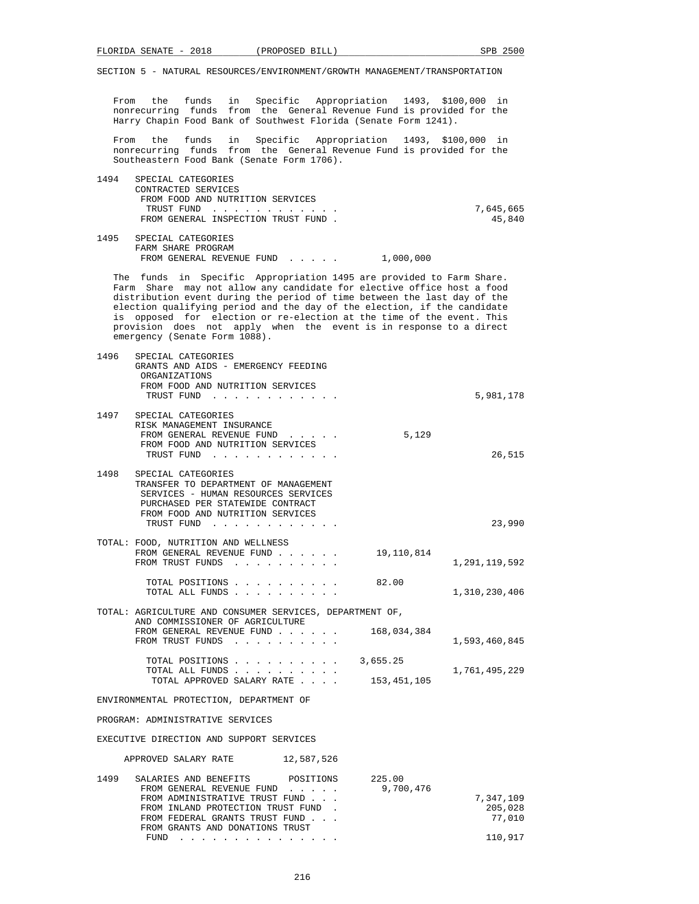From the funds in Specific Appropriation 1493, \$100,000 in nonrecurring funds from the General Revenue Fund is provided for the Harry Chapin Food Bank of Southwest Florida (Senate Form 1241).

 From the funds in Specific Appropriation 1493, \$100,000 in nonrecurring funds from the General Revenue Fund is provided for the Southeastern Food Bank (Senate Form 1706).

| 1494 | SPECIAL CATEGORIES                  |           |
|------|-------------------------------------|-----------|
|      | CONTRACTED SERVICES                 |           |
|      | FROM FOOD AND NUTRITION SERVICES    |           |
|      | TRUST FUND                          | 7,645,665 |
|      | FROM GENERAL INSPECTION TRUST FUND. | 45,840    |
|      |                                     |           |

 1495 SPECIAL CATEGORIES FARM SHARE PROGRAM FROM GENERAL REVENUE FUND . . . . . 1,000,000

 The funds in Specific Appropriation 1495 are provided to Farm Share. Farm Share may not allow any candidate for elective office host a food distribution event during the period of time between the last day of the election qualifying period and the day of the election, if the candidate is opposed for election or re-election at the time of the event. This provision does not apply when the event is in response to a direct emergency (Senate Form 1088).

| 1496 | SPECIAL CATEGORIES<br>GRANTS AND AIDS - EMERGENCY FEEDING<br>ORGANIZATIONS<br>FROM FOOD AND NUTRITION SERVICES<br>TRUST FUND                                                                                                   |             | 5,981,178     |
|------|--------------------------------------------------------------------------------------------------------------------------------------------------------------------------------------------------------------------------------|-------------|---------------|
|      | 1497 SPECIAL CATEGORIES<br>RISK MANAGEMENT INSURANCE<br>FROM GENERAL REVENUE FUND<br>$\mathbf{r}$ , $\mathbf{r}$ , $\mathbf{r}$ , $\mathbf{r}$ , $\mathbf{r}$ , $\mathbf{r}$<br>FROM FOOD AND NUTRITION SERVICES<br>TRUST FUND | 5,129       | 26,515        |
|      | 1498 SPECIAL CATEGORIES<br>TRANSFER TO DEPARTMENT OF MANAGEMENT<br>SERVICES - HUMAN RESOURCES SERVICES<br>PURCHASED PER STATEWIDE CONTRACT<br>FROM FOOD AND NUTRITION SERVICES<br>TRUST FUND                                   |             | 23,990        |
|      | TOTAL: FOOD, NUTRITION AND WELLNESS<br>FROM GENERAL REVENUE FUND<br>FROM TRUST FUNDS                                                                                                                                           | 19,110,814  | 1,291,119,592 |
|      | TOTAL POSITIONS 82.00<br>TOTAL ALL FUNDS                                                                                                                                                                                       |             | 1,310,230,406 |
|      | TOTAL: AGRICULTURE AND CONSUMER SERVICES, DEPARTMENT OF,                                                                                                                                                                       |             |               |
|      | AND COMMISSIONER OF AGRICULTURE<br>FROM GENERAL REVENUE FUND 168,034,384<br>FROM TRUST FUNDS                                                                                                                                   |             | 1,593,460,845 |
|      | TOTAL POSITIONS $\ldots$ , 3,655.25<br>TOTAL ALL FUNDS<br>TOTAL APPROVED SALARY RATE                                                                                                                                           | 153,451,105 | 1,761,495,229 |
|      | ENVIRONMENTAL PROTECTION, DEPARTMENT OF                                                                                                                                                                                        |             |               |
|      | PROGRAM: ADMINISTRATIVE SERVICES                                                                                                                                                                                               |             |               |
|      | EXECUTIVE DIRECTION AND SUPPORT SERVICES                                                                                                                                                                                       |             |               |
|      | APPROVED SALARY RATE<br>12,587,526                                                                                                                                                                                             |             |               |

| 1499 | SALARIES AND BENEFITS POSITIONS    | 225.00    |           |
|------|------------------------------------|-----------|-----------|
|      | FROM GENERAL REVENUE FUND          | 9,700,476 |           |
|      | FROM ADMINISTRATIVE TRUST FUND     |           | 7,347,109 |
|      | FROM INLAND PROTECTION TRUST FUND. |           | 205,028   |
|      | FROM FEDERAL GRANTS TRUST FUND     |           | 77,010    |
|      | FROM GRANTS AND DONATIONS TRUST    |           |           |
|      | FUND                               |           | 110,917   |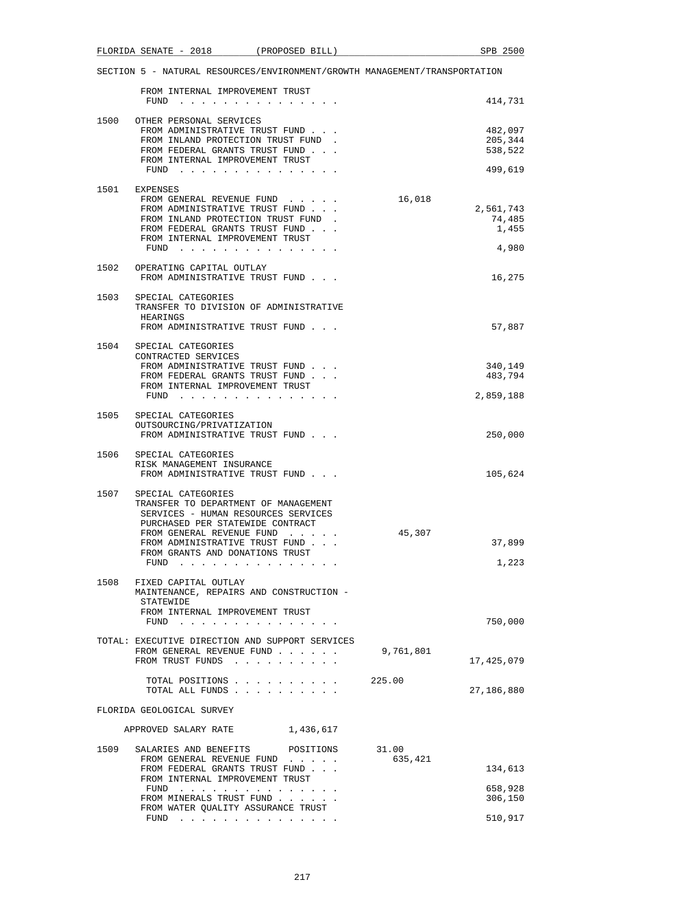|      | SECTION 5 - NATURAL RESOURCES/ENVIRONMENT/GROWTH MANAGEMENT/TRANSPORTATION                                                                                                                                                                               |                  |                                          |
|------|----------------------------------------------------------------------------------------------------------------------------------------------------------------------------------------------------------------------------------------------------------|------------------|------------------------------------------|
|      | FROM INTERNAL IMPROVEMENT TRUST<br>FUND                                                                                                                                                                                                                  |                  | 414,731                                  |
|      | 1500 OTHER PERSONAL SERVICES<br>FROM ADMINISTRATIVE TRUST FUND<br>FROM INLAND PROTECTION TRUST FUND.<br>FROM FEDERAL GRANTS TRUST FUND<br>FROM INTERNAL IMPROVEMENT TRUST<br>FUND                                                                        |                  | 482,097<br>205,344<br>538,522<br>499,619 |
|      | 1501 EXPENSES<br>FROM GENERAL REVENUE FUND<br>FROM ADMINISTRATIVE TRUST FUND<br>FROM INLAND PROTECTION TRUST FUND<br>FROM FEDERAL GRANTS TRUST FUND<br>FROM INTERNAL IMPROVEMENT TRUST<br>FUND $\cdots$                                                  | 16,018           | 2,561,743<br>74,485<br>1,455<br>4,980    |
|      | 1502 OPERATING CAPITAL OUTLAY<br>FROM ADMINISTRATIVE TRUST FUND                                                                                                                                                                                          |                  | 16,275                                   |
|      | 1503 SPECIAL CATEGORIES<br>TRANSFER TO DIVISION OF ADMINISTRATIVE<br>HEARINGS<br>FROM ADMINISTRATIVE TRUST FUND                                                                                                                                          |                  | 57,887                                   |
|      | 1504 SPECIAL CATEGORIES<br>CONTRACTED SERVICES<br>FROM ADMINISTRATIVE TRUST FUND<br>FROM FEDERAL GRANTS TRUST FUND<br>FROM INTERNAL IMPROVEMENT TRUST<br>FUND $\cdots$                                                                                   |                  | 340,149<br>483,794<br>2,859,188          |
|      | 1505 SPECIAL CATEGORIES<br>OUTSOURCING/PRIVATIZATION<br>FROM ADMINISTRATIVE TRUST FUND                                                                                                                                                                   |                  | 250,000                                  |
|      | 1506 SPECIAL CATEGORIES<br>RISK MANAGEMENT INSURANCE<br>FROM ADMINISTRATIVE TRUST FUND                                                                                                                                                                   |                  | 105,624                                  |
| 1507 | SPECIAL CATEGORIES<br>TRANSFER TO DEPARTMENT OF MANAGEMENT<br>SERVICES - HUMAN RESOURCES SERVICES<br>PURCHASED PER STATEWIDE CONTRACT<br>FROM GENERAL REVENUE FUND<br>FROM ADMINISTRATIVE TRUST FUND<br>FROM GRANTS AND DONATIONS TRUST<br>FUND $\cdots$ | 45,307           | 37,899<br>1,223                          |
| 1508 | FIXED CAPITAL OUTLAY<br>MAINTENANCE, REPAIRS AND CONSTRUCTION -<br>STATEWIDE<br>FROM INTERNAL IMPROVEMENT TRUST                                                                                                                                          |                  |                                          |
|      | FUND $\cdots$<br>TOTAL: EXECUTIVE DIRECTION AND SUPPORT SERVICES<br>FROM GENERAL REVENUE FUND<br>FROM TRUST FUNDS                                                                                                                                        | 9,761,801        | 750,000<br>17,425,079                    |
|      | TOTAL POSITIONS<br>TOTAL ALL FUNDS                                                                                                                                                                                                                       | 225.00           | 27,186,880                               |
|      | FLORIDA GEOLOGICAL SURVEY                                                                                                                                                                                                                                |                  |                                          |
|      | APPROVED SALARY RATE<br>1,436,617                                                                                                                                                                                                                        |                  |                                          |
| 1509 | SALARIES AND BENEFITS POSITIONS<br>FROM GENERAL REVENUE FUND<br>FROM FEDERAL GRANTS TRUST FUND                                                                                                                                                           | 31.00<br>635,421 | 134,613                                  |

FLORIDA SENATE - 2018 (PROPOSED BILL) SPB 2500

 FUND . . . . . . . . . . . . . . . 658,928 FROM MINERALS TRUST FUND . . . . . . . . . . . . . . . . . . 306,150

FUND . . . . . . . . . . . . . . . 510,917

FROM INTERNAL IMPROVEMENT TRUST

FROM WATER QUALITY ASSURANCE TRUST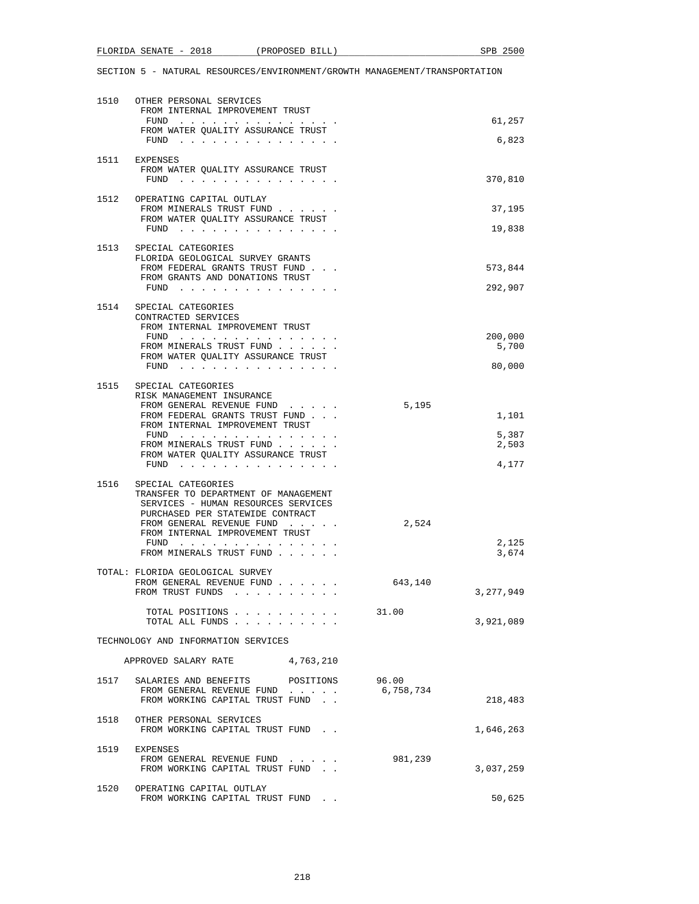# FLORIDA SENATE - 2018 (PROPOSED BILL) SPB 2500

| 1510 | OTHER PERSONAL SERVICES<br>FROM INTERNAL IMPROVEMENT TRUST<br>${\tt FUND} \quad . \quad . \quad . \quad . \quad . \quad . \quad . \quad . \quad . \quad . \quad . \quad . \quad .$<br>FROM WATER QUALITY ASSURANCE TRUST<br>$FUND$         |           |                    | 61,257<br>6,823                  |
|------|--------------------------------------------------------------------------------------------------------------------------------------------------------------------------------------------------------------------------------------------|-----------|--------------------|----------------------------------|
|      | 1511 EXPENSES<br>FROM WATER QUALITY ASSURANCE TRUST<br>FUND $\cdots$                                                                                                                                                                       |           |                    | 370,810                          |
|      | 1512 OPERATING CAPITAL OUTLAY<br>FROM MINERALS TRUST FUND<br>FROM WATER OUALITY ASSURANCE TRUST<br>FUND<br>$\sim$ $\sim$ $\sim$ $\sim$                                                                                                     |           |                    | 37,195<br>19,838                 |
|      | 1513 SPECIAL CATEGORIES<br>FLORIDA GEOLOGICAL SURVEY GRANTS<br>FROM FEDERAL GRANTS TRUST FUND<br>FROM GRANTS AND DONATIONS TRUST<br>FUND                                                                                                   |           |                    | 573,844<br>292,907               |
| 1514 | SPECIAL CATEGORIES<br>CONTRACTED SERVICES<br>FROM INTERNAL IMPROVEMENT TRUST<br>FUND<br>FROM MINERALS TRUST FUND<br>FROM WATER OUALITY ASSURANCE TRUST<br>$FUND$                                                                           |           |                    | 200,000<br>5,700<br>80,000       |
| 1515 | SPECIAL CATEGORIES<br>RISK MANAGEMENT INSURANCE<br>FROM GENERAL REVENUE FUND<br>FROM FEDERAL GRANTS TRUST FUND<br>FROM INTERNAL IMPROVEMENT TRUST<br>FROM MINERALS TRUST FUND<br>FROM WATER QUALITY ASSURANCE TRUST<br>FUND                |           | 5,195              | 1,101<br>5,387<br>2,503<br>4,177 |
| 1516 | SPECIAL CATEGORIES<br>TRANSFER TO DEPARTMENT OF MANAGEMENT<br>SERVICES - HUMAN RESOURCES SERVICES<br>PURCHASED PER STATEWIDE CONTRACT<br>FROM GENERAL REVENUE FUND<br>FROM INTERNAL IMPROVEMENT TRUST<br>FUND<br>FROM MINERALS TRUST FUND. |           | 2,524              | 2,125<br>3,674                   |
|      | TOTAL: FLORIDA GEOLOGICAL SURVEY<br>FROM GENERAL REVENUE FUND<br>FROM TRUST FUNDS                                                                                                                                                          |           | 643,140            | 3, 277, 949                      |
|      | TOTAL POSITIONS<br>TOTAL ALL FUNDS                                                                                                                                                                                                         |           | 31.00              | 3,921,089                        |
|      | TECHNOLOGY AND INFORMATION SERVICES                                                                                                                                                                                                        |           |                    |                                  |
|      | APPROVED SALARY RATE                                                                                                                                                                                                                       | 4,763,210 |                    |                                  |
| 1517 | SALARIES AND BENEFITS<br>FROM GENERAL REVENUE FUND<br>FROM WORKING CAPITAL TRUST FUND.                                                                                                                                                     | POSITIONS | 96.00<br>6,758,734 | 218,483                          |
| 1518 | OTHER PERSONAL SERVICES<br>FROM WORKING CAPITAL TRUST FUND.                                                                                                                                                                                |           |                    | 1,646,263                        |
| 1519 | EXPENSES<br>FROM GENERAL REVENUE FUND<br>FROM WORKING CAPITAL TRUST FUND.                                                                                                                                                                  |           | 981,239            | 3,037,259                        |
| 1520 | OPERATING CAPITAL OUTLAY<br>FROM WORKING CAPITAL TRUST FUND.                                                                                                                                                                               |           |                    | 50,625                           |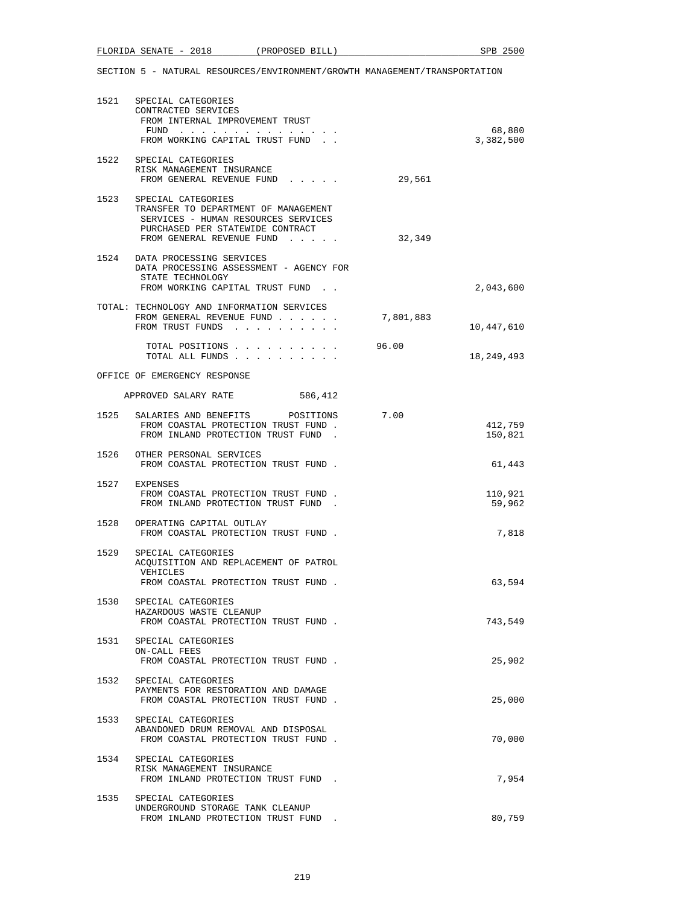|      | 1521 SPECIAL CATEGORIES<br>CONTRACTED SERVICES<br>FROM INTERNAL IMPROVEMENT TRUST<br>FUND<br>FROM WORKING CAPITAL TRUST FUND.                                           |           | 68,880<br>3,382,500 |
|------|-------------------------------------------------------------------------------------------------------------------------------------------------------------------------|-----------|---------------------|
|      | 1522 SPECIAL CATEGORIES<br>RISK MANAGEMENT INSURANCE<br>FROM GENERAL REVENUE FUND                                                                                       | 29,561    |                     |
|      | 1523 SPECIAL CATEGORIES<br>TRANSFER TO DEPARTMENT OF MANAGEMENT<br>SERVICES - HUMAN RESOURCES SERVICES<br>PURCHASED PER STATEWIDE CONTRACT<br>FROM GENERAL REVENUE FUND | 32,349    |                     |
|      | 1524 DATA PROCESSING SERVICES<br>DATA PROCESSING ASSESSMENT - AGENCY FOR<br>STATE TECHNOLOGY<br>FROM WORKING CAPITAL TRUST FUND.                                        |           | 2,043,600           |
|      | TOTAL: TECHNOLOGY AND INFORMATION SERVICES<br>FROM GENERAL REVENUE FUND<br>FROM TRUST FUNDS                                                                             | 7,801,883 | 10,447,610          |
|      | TOTAL POSITIONS<br>TOTAL ALL FUNDS                                                                                                                                      | 96.00     | 18,249,493          |
|      | OFFICE OF EMERGENCY RESPONSE                                                                                                                                            |           |                     |
|      | APPROVED SALARY RATE<br>586,412                                                                                                                                         |           |                     |
|      | 1525 SALARIES AND BENEFITS POSITIONS<br>FROM COASTAL PROTECTION TRUST FUND.<br>FROM INLAND PROTECTION TRUST FUND.                                                       | 7.00      | 412,759<br>150,821  |
|      | 1526 OTHER PERSONAL SERVICES<br>FROM COASTAL PROTECTION TRUST FUND.                                                                                                     |           | 61,443              |
|      | 1527 EXPENSES<br>FROM COASTAL PROTECTION TRUST FUND.<br>FROM INLAND PROTECTION TRUST FUND.                                                                              |           | 110,921<br>59,962   |
|      | 1528 OPERATING CAPITAL OUTLAY<br>FROM COASTAL PROTECTION TRUST FUND.                                                                                                    |           | 7,818               |
|      | 1529 SPECIAL CATEGORIES<br>ACQUISITION AND REPLACEMENT OF PATROL<br>VEHICLES<br>FROM COASTAL PROTECTION TRUST FUND.                                                     |           | 63,594              |
| 1530 | SPECIAL CATEGORIES<br>HAZARDOUS WASTE CLEANUP<br>FROM COASTAL PROTECTION TRUST FUND.                                                                                    |           | 743,549             |
|      | 1531 SPECIAL CATEGORIES<br>ON-CALL FEES<br>FROM COASTAL PROTECTION TRUST FUND.                                                                                          |           | 25,902              |
|      | 1532 SPECIAL CATEGORIES<br>PAYMENTS FOR RESTORATION AND DAMAGE<br>FROM COASTAL PROTECTION TRUST FUND.                                                                   |           | 25,000              |
| 1533 | SPECIAL CATEGORIES<br>ABANDONED DRUM REMOVAL AND DISPOSAL<br>FROM COASTAL PROTECTION TRUST FUND.                                                                        |           | 70,000              |
| 1534 | SPECIAL CATEGORIES<br>RISK MANAGEMENT INSURANCE<br>FROM INLAND PROTECTION TRUST FUND.                                                                                   |           | 7,954               |
|      | 1535 SPECIAL CATEGORIES<br>UNDERGROUND STORAGE TANK CLEANUP<br>FROM INLAND PROTECTION TRUST FUND                                                                        |           | 80,759              |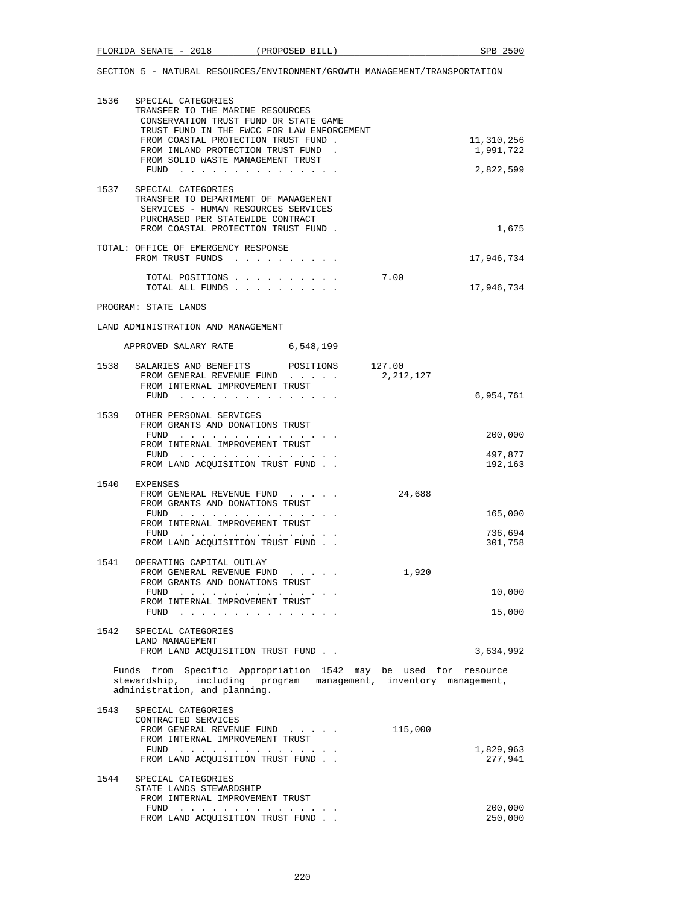| 1536 | SPECIAL CATEGORIES<br>TRANSFER TO THE MARINE RESOURCES<br>CONSERVATION TRUST FUND OR STATE GAME<br>TRUST FUND IN THE FWCC FOR LAW ENFORCEMENT<br>FROM COASTAL PROTECTION TRUST FUND.<br>FROM INLAND PROTECTION TRUST FUND. | 11,310,256<br>1,991,722 |
|------|----------------------------------------------------------------------------------------------------------------------------------------------------------------------------------------------------------------------------|-------------------------|
|      | FROM SOLID WASTE MANAGEMENT TRUST<br>FUND $\cdots$ $\cdots$ $\cdots$ $\cdots$ $\cdots$ $\cdots$ $\cdots$                                                                                                                   | 2,822,599               |
| 1537 | SPECIAL CATEGORIES<br>TRANSFER TO DEPARTMENT OF MANAGEMENT<br>SERVICES - HUMAN RESOURCES SERVICES<br>PURCHASED PER STATEWIDE CONTRACT<br>FROM COASTAL PROTECTION TRUST FUND.                                               | 1,675                   |
|      | TOTAL: OFFICE OF EMERGENCY RESPONSE<br>FROM TRUST FUNDS                                                                                                                                                                    | 17,946,734              |
|      | TOTAL POSITIONS<br>7.00<br>TOTAL ALL FUNDS                                                                                                                                                                                 | 17,946,734              |
|      | PROGRAM: STATE LANDS                                                                                                                                                                                                       |                         |
|      | LAND ADMINISTRATION AND MANAGEMENT                                                                                                                                                                                         |                         |
|      | APPROVED SALARY RATE<br>6,548,199                                                                                                                                                                                          |                         |
|      | 1538 SALARIES AND BENEFITS POSITIONS 127.00<br>FROM GENERAL REVENUE FUND<br>2,212,127<br>FROM INTERNAL IMPROVEMENT TRUST                                                                                                   |                         |
|      | FUND $\cdots$                                                                                                                                                                                                              | 6,954,761               |
|      | 1539 OTHER PERSONAL SERVICES<br>FROM GRANTS AND DONATIONS TRUST<br>FUND                                                                                                                                                    | 200,000                 |
|      | FROM INTERNAL IMPROVEMENT TRUST                                                                                                                                                                                            |                         |
|      | $FUND$<br>FROM LAND ACQUISITION TRUST FUND.                                                                                                                                                                                | 497,877<br>192,163      |
|      | 1540 EXPENSES                                                                                                                                                                                                              |                         |
|      | 24,688<br>FROM GENERAL REVENUE FUND<br>FROM GRANTS AND DONATIONS TRUST<br>FUND                                                                                                                                             | 165,000                 |
|      | FROM INTERNAL IMPROVEMENT TRUST<br>FUND $\cdots$                                                                                                                                                                           | 736,694                 |
|      | FROM LAND ACQUISITION TRUST FUND.                                                                                                                                                                                          | 301,758                 |
|      | 1541 OPERATING CAPITAL OUTLAY<br>1,920<br>FROM GENERAL REVENUE FUND<br>FROM GRANTS AND DONATIONS TRUST                                                                                                                     |                         |
|      | FUND $\cdots$<br>FROM INTERNAL IMPROVEMENT TRUST                                                                                                                                                                           | 10,000                  |
|      | FUND                                                                                                                                                                                                                       | 15,000                  |
|      | 1542 SPECIAL CATEGORIES                                                                                                                                                                                                    |                         |
|      | LAND MANAGEMENT<br>FROM LAND ACQUISITION TRUST FUND                                                                                                                                                                        | 3,634,992               |
|      | Funds from Specific Appropriation 1542 may be used for resource<br>stewardship, including program management, inventory management,<br>administration, and planning.                                                       |                         |
| 1543 | SPECIAL CATEGORIES                                                                                                                                                                                                         |                         |
|      | CONTRACTED SERVICES<br>FROM GENERAL REVENUE FUND<br>115,000<br>FROM INTERNAL IMPROVEMENT TRUST                                                                                                                             |                         |
|      | FUND<br>FROM LAND ACQUISITION TRUST FUND                                                                                                                                                                                   | 1,829,963<br>277,941    |
| 1544 | SPECIAL CATEGORIES                                                                                                                                                                                                         |                         |
|      | STATE LANDS STEWARDSHIP<br>FROM INTERNAL IMPROVEMENT TRUST                                                                                                                                                                 |                         |
|      | FUND<br>FROM LAND ACQUISITION TRUST FUND.                                                                                                                                                                                  | 200,000<br>250,000      |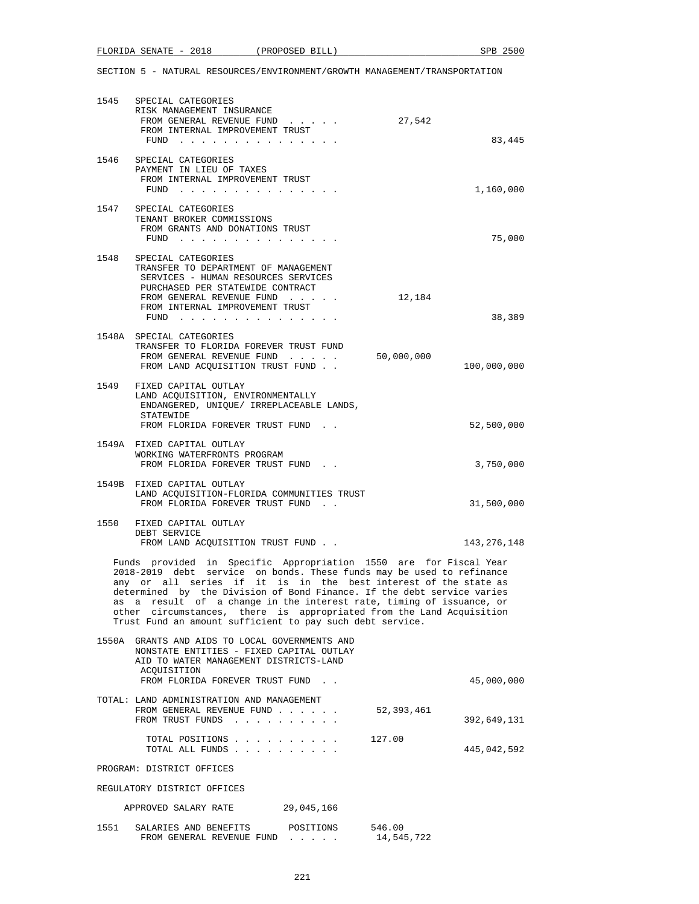| 1545 | SPECIAL CATEGORIES<br>RISK MANAGEMENT INSURANCE<br>FROM GENERAL REVENUE FUND<br>FROM INTERNAL IMPROVEMENT TRUST<br>FUND $\cdots$                                                                                                                                                                                                                                                                                                                                                                     | 27,542               | 83,445                    |
|------|------------------------------------------------------------------------------------------------------------------------------------------------------------------------------------------------------------------------------------------------------------------------------------------------------------------------------------------------------------------------------------------------------------------------------------------------------------------------------------------------------|----------------------|---------------------------|
| 1546 | SPECIAL CATEGORIES<br>PAYMENT IN LIEU OF TAXES<br>FROM INTERNAL IMPROVEMENT TRUST<br>FUND $\cdots$                                                                                                                                                                                                                                                                                                                                                                                                   |                      | 1,160,000                 |
| 1547 | SPECIAL CATEGORIES<br>TENANT BROKER COMMISSIONS<br>FROM GRANTS AND DONATIONS TRUST<br>FUND $\cdots$                                                                                                                                                                                                                                                                                                                                                                                                  |                      | 75,000                    |
| 1548 | SPECIAL CATEGORIES<br>TRANSFER TO DEPARTMENT OF MANAGEMENT<br>SERVICES - HUMAN RESOURCES SERVICES<br>PURCHASED PER STATEWIDE CONTRACT<br>FROM GENERAL REVENUE FUND<br>FROM INTERNAL IMPROVEMENT TRUST<br>${\tt FUND} \quad . \quad . \quad . \quad . \quad . \quad . \quad . \quad . \quad . \quad . \quad . \quad . \quad .$                                                                                                                                                                        | 12,184               | 38,389                    |
|      | 1548A SPECIAL CATEGORIES<br>TRANSFER TO FLORIDA FOREVER TRUST FUND<br>FROM GENERAL REVENUE FUND<br>FROM LAND ACQUISITION TRUST FUND                                                                                                                                                                                                                                                                                                                                                                  | 50,000,000           | 100,000,000               |
| 1549 | FIXED CAPITAL OUTLAY<br>LAND ACQUISITION, ENVIRONMENTALLY<br>ENDANGERED, UNIQUE/ IRREPLACEABLE LANDS,<br>STATEWIDE<br>FROM FLORIDA FOREVER TRUST FUND.                                                                                                                                                                                                                                                                                                                                               |                      | 52,500,000                |
|      | 1549A FIXED CAPITAL OUTLAY<br>WORKING WATERFRONTS PROGRAM<br>FROM FLORIDA FOREVER TRUST FUND.                                                                                                                                                                                                                                                                                                                                                                                                        |                      | 3,750,000                 |
|      | 1549B FIXED CAPITAL OUTLAY<br>LAND ACQUISITION-FLORIDA COMMUNITIES TRUST<br>FROM FLORIDA FOREVER TRUST FUND.                                                                                                                                                                                                                                                                                                                                                                                         |                      | 31,500,000                |
| 1550 | FIXED CAPITAL OUTLAY<br>DEBT SERVICE<br>FROM LAND ACQUISITION TRUST FUND.                                                                                                                                                                                                                                                                                                                                                                                                                            |                      | 143,276,148               |
|      | Funds provided in Specific Appropriation 1550 are for Fiscal Year<br>2018-2019 debt service on bonds. These funds may be used to refinance<br>any or all series if it is in the best interest of the state as<br>determined by the Division of Bond Finance. If the debt service varies<br>as a result of a change in the interest rate, timing of issuance, or<br>other circumstances, there is appropriated from the Land Acquisition<br>Trust Fund an amount sufficient to pay such debt service. |                      |                           |
|      | 1550A GRANTS AND AIDS TO LOCAL GOVERNMENTS AND<br>NONSTATE ENTITIES - FIXED CAPITAL OUTLAY<br>AID TO WATER MANAGEMENT DISTRICTS-LAND<br>ACOUISITION                                                                                                                                                                                                                                                                                                                                                  |                      |                           |
|      | FROM FLORIDA FOREVER TRUST FUND.<br>TOTAL: LAND ADMINISTRATION AND MANAGEMENT<br>FROM GENERAL REVENUE FUND<br>FROM TRUST FUNDS                                                                                                                                                                                                                                                                                                                                                                       | 52,393,461           | 45,000,000<br>392,649,131 |
|      | TOTAL POSITIONS<br>TOTAL ALL FUNDS                                                                                                                                                                                                                                                                                                                                                                                                                                                                   | 127.00               | 445,042,592               |
|      | PROGRAM: DISTRICT OFFICES                                                                                                                                                                                                                                                                                                                                                                                                                                                                            |                      |                           |
|      | REGULATORY DISTRICT OFFICES                                                                                                                                                                                                                                                                                                                                                                                                                                                                          |                      |                           |
|      | 29,045,166<br>APPROVED SALARY RATE                                                                                                                                                                                                                                                                                                                                                                                                                                                                   |                      |                           |
|      | 1551 SALARIES AND BENEFITS POSITIONS<br>FROM GENERAL REVENUE FUND                                                                                                                                                                                                                                                                                                                                                                                                                                    | 546.00<br>14,545,722 |                           |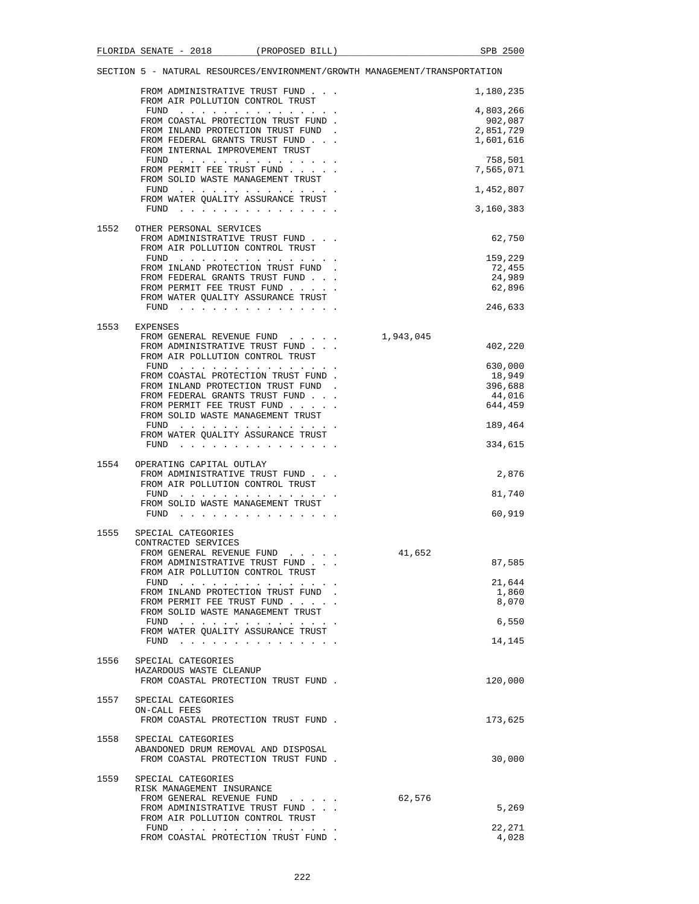|      | FROM ADMINISTRATIVE TRUST FUND<br>FROM AIR POLLUTION CONTROL TRUST |           | 1,180,235 |
|------|--------------------------------------------------------------------|-----------|-----------|
|      | FUND                                                               |           | 4,803,266 |
|      | FROM COASTAL PROTECTION TRUST FUND.                                |           | 902,087   |
|      | FROM INLAND PROTECTION TRUST FUND.                                 |           | 2,851,729 |
|      | FROM FEDERAL GRANTS TRUST FUND                                     |           | 1,601,616 |
|      | FROM INTERNAL IMPROVEMENT TRUST                                    |           | 758,501   |
|      | FUND<br>FROM PERMIT FEE TRUST FUND                                 |           | 7,565,071 |
|      | FROM SOLID WASTE MANAGEMENT TRUST                                  |           |           |
|      | FUND $\cdots$                                                      |           | 1,452,807 |
|      | FROM WATER QUALITY ASSURANCE TRUST                                 |           |           |
|      | $FUND$                                                             |           | 3,160,383 |
|      |                                                                    |           |           |
| 1552 | OTHER PERSONAL SERVICES                                            |           |           |
|      | FROM ADMINISTRATIVE TRUST FUND<br>FROM AIR POLLUTION CONTROL TRUST |           | 62,750    |
|      | FUND $\cdots$                                                      |           | 159,229   |
|      | FROM INLAND PROTECTION TRUST FUND                                  |           | 72,455    |
|      | FROM FEDERAL GRANTS TRUST FUND                                     |           | 24,989    |
|      | FROM PERMIT FEE TRUST FUND                                         |           | 62,896    |
|      | FROM WATER QUALITY ASSURANCE TRUST                                 |           |           |
|      | FUND $\cdots$                                                      |           | 246,633   |
|      |                                                                    |           |           |
| 1553 | EXPENSES<br>FROM GENERAL REVENUE FUND                              | 1,943,045 |           |
|      | FROM ADMINISTRATIVE TRUST FUND                                     |           | 402,220   |
|      | FROM AIR POLLUTION CONTROL TRUST                                   |           |           |
|      | $FUND$                                                             |           | 630,000   |
|      | FROM COASTAL PROTECTION TRUST FUND.                                |           | 18,949    |
|      | FROM INLAND PROTECTION TRUST FUND                                  |           | 396,688   |
|      | FROM FEDERAL GRANTS TRUST FUND                                     |           | 44,016    |
|      | FROM PERMIT FEE TRUST FUND                                         |           | 644,459   |
|      | FROM SOLID WASTE MANAGEMENT TRUST                                  |           | 189,464   |
|      | FUND<br>FROM WATER QUALITY ASSURANCE TRUST                         |           |           |
|      |                                                                    |           | 334,615   |
|      |                                                                    |           |           |
| 1554 | OPERATING CAPITAL OUTLAY                                           |           |           |
|      | FROM ADMINISTRATIVE TRUST FUND                                     |           | 2,876     |
|      | FROM AIR POLLUTION CONTROL TRUST                                   |           |           |
|      | FUND<br>FROM SOLID WASTE MANAGEMENT TRUST                          |           | 81,740    |
|      | FUND $\cdots$                                                      |           | 60,919    |
|      |                                                                    |           |           |
| 1555 | SPECIAL CATEGORIES                                                 |           |           |
|      | CONTRACTED SERVICES                                                |           |           |
|      | FROM GENERAL REVENUE FUND<br>FROM ADMINISTRATIVE TRUST FUND        | 41,652    |           |
|      | FROM AIR POLLUTION CONTROL TRUST                                   |           | 87,585    |
|      | $FUND$                                                             |           | 21,644    |
|      | FROM INLAND PROTECTION TRUST FUND                                  |           | 1,860     |
|      | FROM PERMIT FEE TRUST FUND                                         |           | 8,070     |
|      | FROM SOLID WASTE MANAGEMENT TRUST                                  |           |           |
|      | FUND                                                               |           | 6,550     |
|      | FROM WATER QUALITY ASSURANCE TRUST                                 |           |           |
|      | FUND $\cdots$                                                      |           | 14,145    |
| 1556 | SPECIAL CATEGORIES                                                 |           |           |
|      | HAZARDOUS WASTE CLEANUP                                            |           |           |
|      | FROM COASTAL PROTECTION TRUST FUND.                                |           | 120,000   |
|      |                                                                    |           |           |
| 1557 | SPECIAL CATEGORIES                                                 |           |           |
|      | ON-CALL FEES<br>FROM COASTAL PROTECTION TRUST FUND.                |           | 173,625   |
|      |                                                                    |           |           |
| 1558 | SPECIAL CATEGORIES                                                 |           |           |
|      | ABANDONED DRUM REMOVAL AND DISPOSAL                                |           |           |
|      | FROM COASTAL PROTECTION TRUST FUND.                                |           | 30,000    |
|      |                                                                    |           |           |
| 1559 | SPECIAL CATEGORIES                                                 |           |           |
|      | RISK MANAGEMENT INSURANCE                                          |           |           |
|      | FROM GENERAL REVENUE FUND<br>FROM ADMINISTRATIVE TRUST FUND        | 62,576    | 5,269     |
|      | FROM AIR POLLUTION CONTROL TRUST                                   |           |           |
|      | FUND $\cdots$                                                      |           | 22,271    |
|      | FROM COASTAL PROTECTION TRUST FUND.                                |           | 4,028     |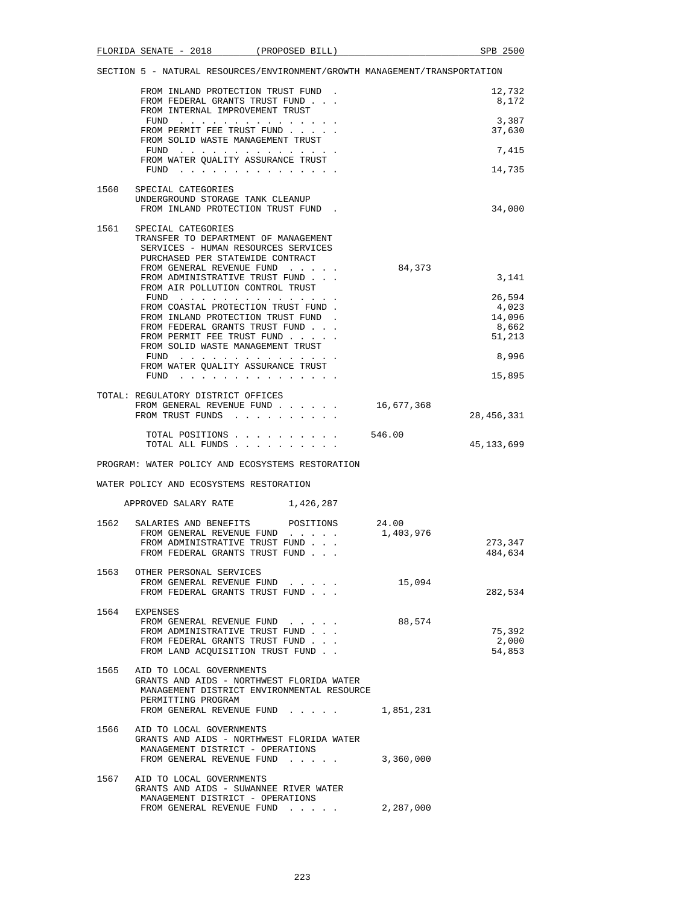|      | SECTION 5 - NATURAL RESOURCES/ENVIRONMENT/GROWTH MANAGEMENT/TRANSPORTATION                                                                                                             |                    |                                              |
|------|----------------------------------------------------------------------------------------------------------------------------------------------------------------------------------------|--------------------|----------------------------------------------|
|      | FROM INLAND PROTECTION TRUST FUND.<br>FROM FEDERAL GRANTS TRUST FUND<br>FROM INTERNAL IMPROVEMENT TRUST                                                                                |                    | 12,732<br>8,172                              |
|      | FUND $\cdots$<br>FROM PERMIT FEE TRUST FUND                                                                                                                                            |                    | 3,387<br>37,630                              |
|      | FROM SOLID WASTE MANAGEMENT TRUST<br>FUND                                                                                                                                              |                    | 7,415                                        |
|      | FROM WATER QUALITY ASSURANCE TRUST<br>FUND $\cdots$                                                                                                                                    |                    | 14,735                                       |
| 1560 | SPECIAL CATEGORIES<br>UNDERGROUND STORAGE TANK CLEANUP<br>FROM INLAND PROTECTION TRUST FUND.                                                                                           |                    | 34,000                                       |
| 1561 | SPECIAL CATEGORIES<br>TRANSFER TO DEPARTMENT OF MANAGEMENT<br>SERVICES - HUMAN RESOURCES SERVICES<br>PURCHASED PER STATEWIDE CONTRACT                                                  |                    |                                              |
|      | FROM GENERAL REVENUE FUND<br>FROM ADMINISTRATIVE TRUST FUND<br>FROM AIR POLLUTION CONTROL TRUST                                                                                        | 84,373             | 3,141                                        |
|      | FUND<br>FROM COASTAL PROTECTION TRUST FUND.<br>FROM INLAND PROTECTION TRUST FUND.<br>FROM FEDERAL GRANTS TRUST FUND<br>FROM PERMIT FEE TRUST FUND<br>FROM SOLID WASTE MANAGEMENT TRUST |                    | 26,594<br>4,023<br>14,096<br>8,662<br>51,213 |
|      | FUND $\cdots$<br>FROM WATER QUALITY ASSURANCE TRUST                                                                                                                                    |                    | 8,996                                        |
|      | FUND $\cdots$<br>TOTAL: REGULATORY DISTRICT OFFICES                                                                                                                                    |                    | 15,895                                       |
|      | FROM GENERAL REVENUE FUND<br>FROM TRUST FUNDS                                                                                                                                          | 16,677,368         | 28, 456, 331                                 |
|      | TOTAL POSITIONS 546.00<br>TOTAL ALL FUNDS                                                                                                                                              |                    | 45, 133, 699                                 |
|      | PROGRAM: WATER POLICY AND ECOSYSTEMS RESTORATION                                                                                                                                       |                    |                                              |
|      | WATER POLICY AND ECOSYSTEMS RESTORATION                                                                                                                                                |                    |                                              |
|      | APPROVED SALARY RATE 1,426,287                                                                                                                                                         |                    |                                              |
|      | 1562<br>SALARIES AND BENEFITS<br>POSITIONS<br>FROM GENERAL REVENUE FUND<br>FROM ADMINISTRATIVE TRUST FUND<br>FROM FEDERAL GRANTS TRUST FUND                                            | 24.00<br>1,403,976 | 273,347<br>484,634                           |
| 1563 | OTHER PERSONAL SERVICES<br>FROM GENERAL REVENUE FUND<br>FROM FEDERAL GRANTS TRUST FUND                                                                                                 | 15,094             | 282,534                                      |
|      | 1564 EXPENSES<br>FROM GENERAL REVENUE FUND<br>FROM ADMINISTRATIVE TRUST FUND<br>FROM FEDERAL GRANTS TRUST FUND<br>FROM LAND ACQUISITION TRUST FUND.                                    | 88,574             | 75,392<br>2,000<br>54,853                    |
|      | 1565 AID TO LOCAL GOVERNMENTS<br>GRANTS AND AIDS - NORTHWEST FLORIDA WATER<br>MANAGEMENT DISTRICT ENVIRONMENTAL RESOURCE<br>PERMITTING PROGRAM<br>FROM GENERAL REVENUE FUND            | 1,851,231          |                                              |
|      | 1566 AID TO LOCAL GOVERNMENTS<br>GRANTS AND AIDS - NORTHWEST FLORIDA WATER<br>MANAGEMENT DISTRICT - OPERATIONS<br>FROM GENERAL REVENUE FUND                                            | 3,360,000          |                                              |
|      | 1567 AID TO LOCAL GOVERNMENTS<br>GRANTS AND AIDS - SUWANNEE RIVER WATER                                                                                                                |                    |                                              |

FLORIDA SENATE - 2018 (PROPOSED BILL) SPB 2500

FROM GENERAL REVENUE FUND . . . . . 2,287,000

MANAGEMENT DISTRICT - OPERATIONS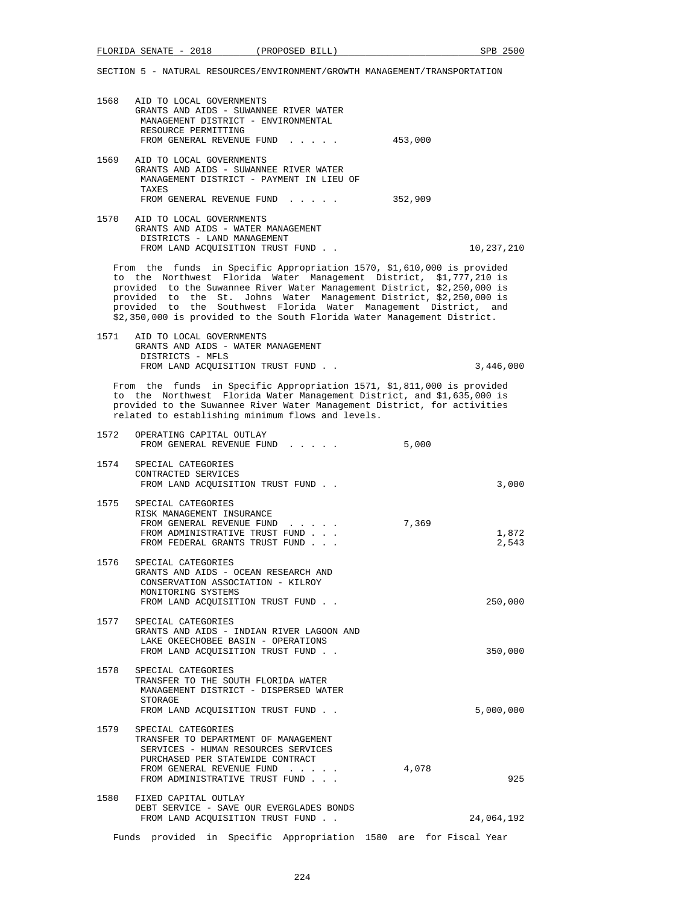| 1568 AID TO LOCAL GOVERNMENTS<br>GRANTS AND AIDS - SUWANNEE RIVER WATER<br>MANAGEMENT DISTRICT - ENVIRONMENTAL<br>RESOURCE PERMITTING<br>FROM GENERAL REVENUE FUND                                                                                                                                                                                                                                                                             | 453,000    |
|------------------------------------------------------------------------------------------------------------------------------------------------------------------------------------------------------------------------------------------------------------------------------------------------------------------------------------------------------------------------------------------------------------------------------------------------|------------|
| 1569 AID TO LOCAL GOVERNMENTS<br>GRANTS AND AIDS - SUWANNEE RIVER WATER<br>MANAGEMENT DISTRICT - PAYMENT IN LIEU OF<br>TAXES                                                                                                                                                                                                                                                                                                                   |            |
| FROM GENERAL REVENUE FUND                                                                                                                                                                                                                                                                                                                                                                                                                      | 352,909    |
| 1570 AID TO LOCAL GOVERNMENTS<br>GRANTS AND AIDS - WATER MANAGEMENT<br>DISTRICTS - LAND MANAGEMENT<br>FROM LAND ACOUISITION TRUST FUND.                                                                                                                                                                                                                                                                                                        | 10,237,210 |
| From the funds in Specific Appropriation 1570, \$1,610,000 is provided<br>to the Northwest Florida Water Management District, \$1,777,210 is<br>provided to the Suwannee River Water Management District, \$2,250,000 is<br>provided to the St. Johns Water Management District, \$2,250,000 is<br>provided to the Southwest Florida Water Management District, and<br>\$2,350,000 is provided to the South Florida Water Management District. |            |
| 1571 AID TO LOCAL GOVERNMENTS<br>GRANTS AND AIDS - WATER MANAGEMENT                                                                                                                                                                                                                                                                                                                                                                            |            |

 DISTRICTS - MFLS FROM LAND ACQUISITION TRUST FUND . .  $3,446,000$ From the funds in Specific Appropriation 1571, \$1,811,000 is provided

 to the Northwest Florida Water Management District, and \$1,635,000 is provided to the Suwannee River Water Management District, for activities related to establishing minimum flows and levels.

| 1572 | OPERATING CAPITAL OUTLAY<br>FROM GENERAL REVENUE FUND                                                                                                                                                                             | 5,000 |                |
|------|-----------------------------------------------------------------------------------------------------------------------------------------------------------------------------------------------------------------------------------|-------|----------------|
| 1574 | SPECIAL CATEGORIES<br>CONTRACTED SERVICES<br>FROM LAND ACQUISITION TRUST FUND                                                                                                                                                     |       | 3,000          |
|      | 1575 SPECIAL CATEGORIES<br>RISK MANAGEMENT INSURANCE<br>FROM GENERAL REVENUE FUND<br>$\mathbf{r}$ , $\mathbf{r}$ , $\mathbf{r}$ , $\mathbf{r}$ , $\mathbf{r}$<br>FROM ADMINISTRATIVE TRUST FUND<br>FROM FEDERAL GRANTS TRUST FUND | 7,369 | 1,872<br>2,543 |
| 1576 | SPECIAL CATEGORIES<br>GRANTS AND AIDS - OCEAN RESEARCH AND<br>CONSERVATION ASSOCIATION - KILROY<br>MONITORING SYSTEMS<br>FROM LAND ACQUISITION TRUST FUND                                                                         |       | 250,000        |
|      | 1577 SPECIAL CATEGORIES<br>GRANTS AND AIDS - INDIAN RIVER LAGOON AND<br>LAKE OKEECHOBEE BASIN - OPERATIONS<br>FROM LAND ACOUISITION TRUST FUND                                                                                    |       | 350,000        |
| 1578 | SPECIAL CATEGORIES<br>TRANSFER TO THE SOUTH FLORIDA WATER<br>MANAGEMENT DISTRICT - DISPERSED WATER<br>STORAGE<br>FROM LAND ACOUISITION TRUST FUND                                                                                 |       | 5,000,000      |
| 1579 | SPECIAL CATEGORIES<br>TRANSFER TO DEPARTMENT OF MANAGEMENT<br>SERVICES - HUMAN RESOURCES SERVICES<br>PURCHASED PER STATEWIDE CONTRACT<br>FROM GENERAL REVENUE FUND<br>FROM ADMINISTRATIVE TRUST FUND                              | 4,078 | 925            |
|      | 1580 FIXED CAPITAL OUTLAY<br>DEBT SERVICE - SAVE OUR EVERGLADES BONDS<br>FROM LAND ACQUISITION TRUST FUND                                                                                                                         |       | 24,064,192     |
|      | Funds provided in Specific Appropriation 1580 are for Fiscal Year                                                                                                                                                                 |       |                |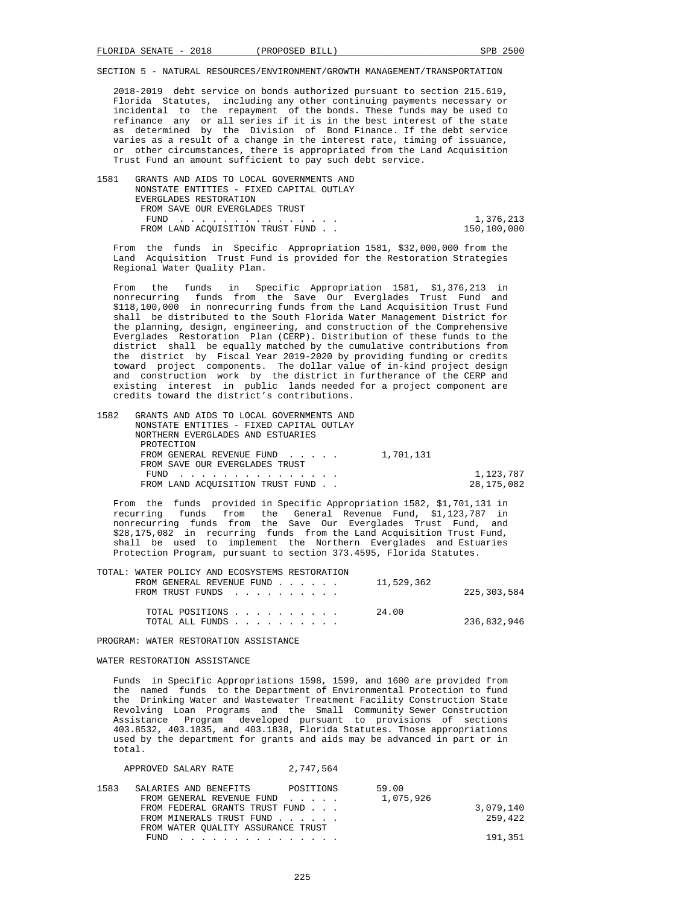2018-2019 debt service on bonds authorized pursuant to section 215.619, Florida Statutes, including any other continuing payments necessary or incidental to the repayment of the bonds. These funds may be used to refinance any or all series if it is in the best interest of the state as determined by the Division of Bond Finance. If the debt service varies as a result of a change in the interest rate, timing of issuance, or other circumstances, there is appropriated from the Land Acquisition Trust Fund an amount sufficient to pay such debt service.

 1581 GRANTS AND AIDS TO LOCAL GOVERNMENTS AND NONSTATE ENTITIES - FIXED CAPITAL OUTLAY EVERGLADES RESTORATION FROM SAVE OUR EVERGLADES TRUST FUND . . . . . . . . . . . . . . . 1,376,213 FROM LAND ACQUISITION TRUST FUND . .

 From the funds in Specific Appropriation 1581, \$32,000,000 from the Land Acquisition Trust Fund is provided for the Restoration Strategies Regional Water Quality Plan.

 From the funds in Specific Appropriation 1581, \$1,376,213 in nonrecurring funds from the Save Our Everglades Trust Fund and \$118,100,000 in nonrecurring funds from the Land Acquisition Trust Fund shall be distributed to the South Florida Water Management District for the planning, design, engineering, and construction of the Comprehensive Everglades Restoration Plan (CERP). Distribution of these funds to the district shall be equally matched by the cumulative contributions from the district by Fiscal Year 2019-2020 by providing funding or credits toward project components. The dollar value of in-kind project design and construction work by the district in furtherance of the CERP and existing interest in public lands needed for a project component are credits toward the district's contributions.

| 1582 | GRANTS AND AIDS TO LOCAL GOVERNMENTS AND<br>NONSTATE ENTITIES - FIXED CAPITAL OUTLAY |              |
|------|--------------------------------------------------------------------------------------|--------------|
|      | NORTHERN EVERGLADES AND ESTUARIES                                                    |              |
|      | PROTECTION                                                                           |              |
|      | FROM GENERAL REVENUE FUND $\ldots$ $1,701,131$                                       |              |
|      | FROM SAVE OUR EVERGLADES TRUST                                                       |              |
|      | FUND                                                                                 | 1,123,787    |
|      | FROM LAND ACOUISITION TRUST FUND.                                                    | 28, 175, 082 |

 From the funds provided in Specific Appropriation 1582, \$1,701,131 in recurring funds from the General Revenue Fund, \$1,123,787 in nonrecurring funds from the Save Our Everglades Trust Fund, and \$28,175,082 in recurring funds from the Land Acquisition Trust Fund, shall be used to implement the Northern Everglades and Estuaries Protection Program, pursuant to section 373.4595, Florida Statutes.

| TOTAL: WATER POLICY AND ECOSYSTEMS RESTORATION |                                                                 |             |
|------------------------------------------------|-----------------------------------------------------------------|-------------|
|                                                | FROM GENERAL REVENUE FUND $\ldots$ $\ldots$ $\ldots$ 11,529,362 |             |
| FROM TRUST FUNDS                               |                                                                 | 225,303,584 |
|                                                |                                                                 |             |
| TOTAL POSITIONS                                | 24.00                                                           |             |
| TOTAL ALL FUNDS                                |                                                                 | 236,832,946 |
|                                                |                                                                 |             |

PROGRAM: WATER RESTORATION ASSISTANCE

#### WATER RESTORATION ASSISTANCE

 Funds in Specific Appropriations 1598, 1599, and 1600 are provided from the named funds to the Department of Environmental Protection to fund the Drinking Water and Wastewater Treatment Facility Construction State Revolving Loan Programs and the Small Community Sewer Construction Assistance Program developed pursuant to provisions of sections 403.8532, 403.1835, and 403.1838, Florida Statutes. Those appropriations used by the department for grants and aids may be advanced in part or in total.

| APPROVED SALARY RATE                                       | 2,747,564 |                    |                      |
|------------------------------------------------------------|-----------|--------------------|----------------------|
| 1583<br>SALARIES AND BENEFITS<br>FROM GENERAL REVENUE FUND | POSITIONS | 59.00<br>1,075,926 |                      |
| FROM FEDERAL GRANTS TRUST FUND<br>FROM MINERALS TRUST FUND |           |                    | 3,079,140<br>259,422 |
| FROM WATER OUALITY ASSURANCE TRUST                         |           |                    |                      |
| FUND                                                       |           |                    | 191,351              |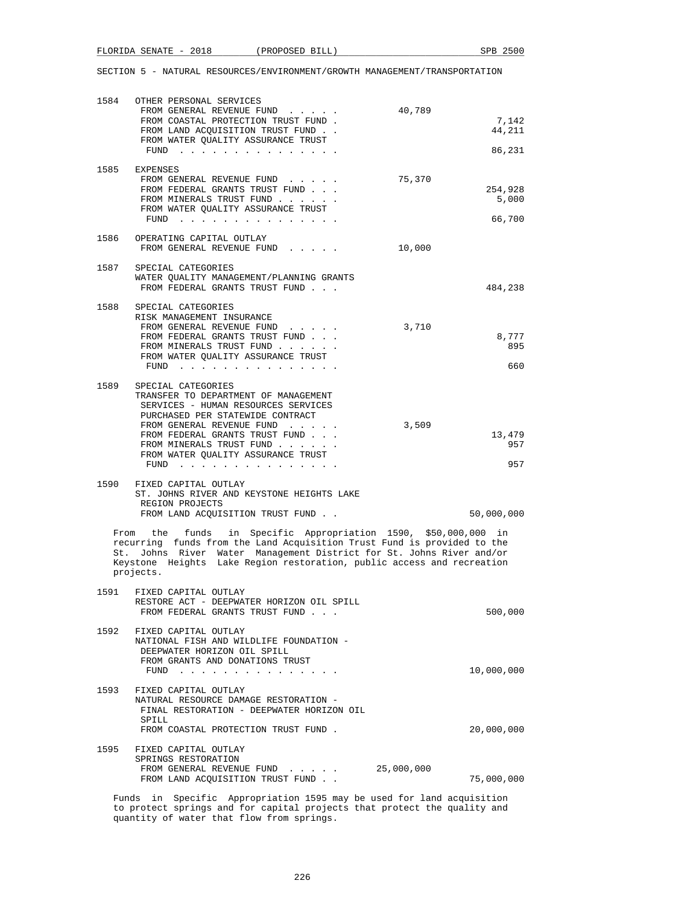|      | 1584 OTHER PERSONAL SERVICES<br>FROM GENERAL REVENUE FUND<br>40,789<br>FROM COASTAL PROTECTION TRUST FUND.<br>FROM LAND ACQUISITION TRUST FUND<br>FROM WATER QUALITY ASSURANCE TRUST<br>FUND $\cdots$                                                                                                                                                  | 7,142<br>44,211<br>86,231  |  |  |
|------|--------------------------------------------------------------------------------------------------------------------------------------------------------------------------------------------------------------------------------------------------------------------------------------------------------------------------------------------------------|----------------------------|--|--|
| 1585 | EXPENSES<br>75,370<br>FROM GENERAL REVENUE FUND<br>FROM FEDERAL GRANTS TRUST FUND<br>FROM MINERALS TRUST FUND<br>FROM WATER QUALITY ASSURANCE TRUST<br>FUND $\cdots$                                                                                                                                                                                   | 254,928<br>5,000<br>66,700 |  |  |
| 1586 | OPERATING CAPITAL OUTLAY<br>FROM GENERAL REVENUE FUND<br>10,000                                                                                                                                                                                                                                                                                        |                            |  |  |
| 1587 | SPECIAL CATEGORIES<br>WATER QUALITY MANAGEMENT/PLANNING GRANTS<br>FROM FEDERAL GRANTS TRUST FUND                                                                                                                                                                                                                                                       | 484,238                    |  |  |
| 1588 | SPECIAL CATEGORIES<br>RISK MANAGEMENT INSURANCE<br>FROM GENERAL REVENUE FUND<br>3,710<br>FROM FEDERAL GRANTS TRUST FUND<br>FROM MINERALS TRUST FUND<br>FROM WATER QUALITY ASSURANCE TRUST<br>FUND                                                                                                                                                      | 8,777<br>895<br>660        |  |  |
| 1589 | SPECIAL CATEGORIES<br>TRANSFER TO DEPARTMENT OF MANAGEMENT<br>SERVICES - HUMAN RESOURCES SERVICES<br>PURCHASED PER STATEWIDE CONTRACT<br>3,509<br>FROM GENERAL REVENUE FUND<br>FROM FEDERAL GRANTS TRUST FUND<br>FROM MINERALS TRUST FUND<br>FROM WATER QUALITY ASSURANCE TRUST<br>FUND $\cdots$ $\cdots$ $\cdots$ $\cdots$ $\cdots$ $\cdots$ $\cdots$ | 13,479<br>957<br>957       |  |  |
|      | 1590 FIXED CAPITAL OUTLAY<br>ST. JOHNS RIVER AND KEYSTONE HEIGHTS LAKE<br>REGION PROJECTS<br>FROM LAND ACQUISITION TRUST FUND                                                                                                                                                                                                                          | 50,000,000                 |  |  |
|      | From the funds in Specific Appropriation 1590, \$50,000,000 in<br>recurring funds from the Land Acquisition Trust Fund is provided to the<br>St. Johns River Water Management District for St. Johns River and/or<br>Keystone Heights Lake Region restoration, public access and recreation<br>projects.                                               |                            |  |  |
|      | 1591 FIXED CAPITAL OUTLAY<br>RESTORE ACT - DEEPWATER HORIZON OIL SPILL<br>FROM FEDERAL GRANTS TRUST FUND                                                                                                                                                                                                                                               | 500,000                    |  |  |
| 1592 | FIXED CAPITAL OUTLAY<br>NATIONAL FISH AND WILDLIFE FOUNDATION -<br>DEEPWATER HORIZON OIL SPILL<br>FROM GRANTS AND DONATIONS TRUST<br>FUND<br>والمناور والمناور والمناور والمناور والمناورة                                                                                                                                                             | 10,000,000                 |  |  |
| 1593 | FIXED CAPITAL OUTLAY<br>NATURAL RESOURCE DAMAGE RESTORATION -<br>FINAL RESTORATION - DEEPWATER HORIZON OIL<br>SPILL<br>FROM COASTAL PROTECTION TRUST FUND.                                                                                                                                                                                             | 20,000,000                 |  |  |
| 1595 | FIXED CAPITAL OUTLAY<br>SPRINGS RESTORATION<br>FROM GENERAL REVENUE FUND<br>25,000,000<br>FROM LAND ACQUISITION TRUST FUND                                                                                                                                                                                                                             | 75,000,000                 |  |  |
|      | Funds in Specific Appropriation 1595 may be used for land acquisition                                                                                                                                                                                                                                                                                  |                            |  |  |

 to protect springs and for capital projects that protect the quality and quantity of water that flow from springs.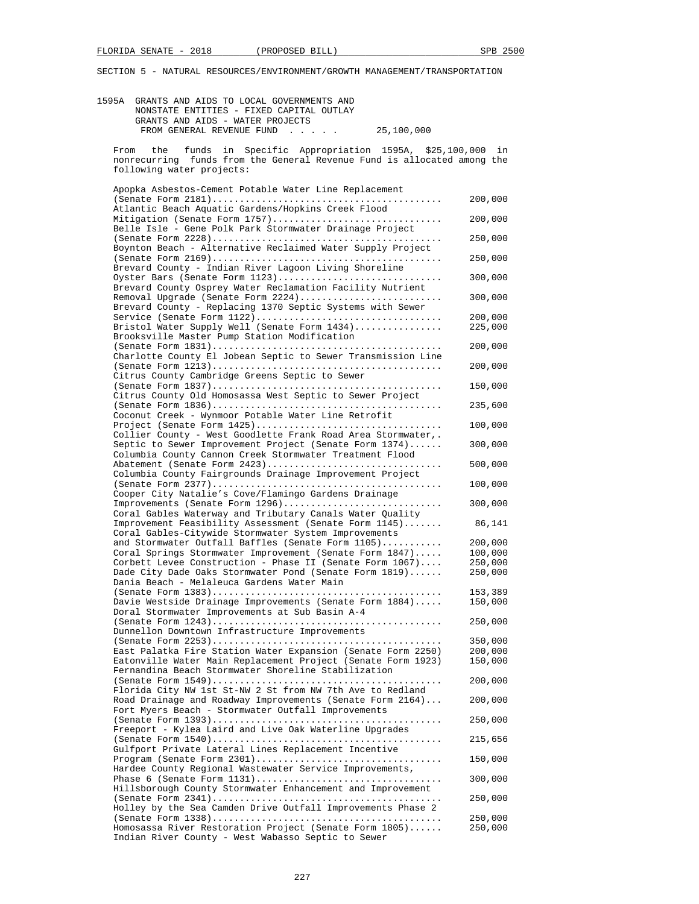| 1595A GRANTS AND AIDS TO LOCAL GOVERNMENTS AND                                                                                             |                    |
|--------------------------------------------------------------------------------------------------------------------------------------------|--------------------|
| NONSTATE ENTITIES - FIXED CAPITAL OUTLAY<br>GRANTS AND AIDS - WATER PROJECTS                                                               |                    |
| FROM GENERAL REVENUE FUND<br>25,100,000<br>$\mathcal{L}^{\mathcal{A}}$ , and $\mathcal{L}^{\mathcal{A}}$ , and $\mathcal{L}^{\mathcal{A}}$ |                    |
| funds in Specific Appropriation 1595A, \$25,100,000 in<br>From<br>the                                                                      |                    |
| funds from the General Revenue Fund is allocated among the<br>nonrecurring                                                                 |                    |
| following water projects:                                                                                                                  |                    |
| Apopka Asbestos-Cement Potable Water Line Replacement                                                                                      |                    |
| Atlantic Beach Aquatic Gardens/Hopkins Creek Flood                                                                                         | 200,000            |
| Mitigation (Senate Form 1757)<br>Belle Isle - Gene Polk Park Stormwater Drainage Project                                                   | 200,000            |
|                                                                                                                                            | 250,000            |
| Boynton Beach - Alternative Reclaimed Water Supply Project                                                                                 | 250,000            |
| Brevard County - Indian River Lagoon Living Shoreline<br>Oyster Bars (Senate Form 1123)                                                    | 300,000            |
| Brevard County Osprey Water Reclamation Facility Nutrient                                                                                  |                    |
| Removal Upgrade (Senate Form 2224)<br>Brevard County - Replacing 1370 Septic Systems with Sewer                                            | 300,000            |
|                                                                                                                                            | 200,000            |
| Bristol Water Supply Well (Senate Form 1434)<br>Brooksville Master Pump Station Modification                                               | 225,000            |
| Charlotte County El Jobean Septic to Sewer Transmission Line                                                                               | 200,000            |
|                                                                                                                                            | 200,000            |
| Citrus County Cambridge Greens Septic to Sewer                                                                                             | 150,000            |
| Citrus County Old Homosassa West Septic to Sewer Project                                                                                   | 235,600            |
| Coconut Creek - Wynmoor Potable Water Line Retrofit                                                                                        |                    |
| Project (Senate Form 1425)<br>Collier County - West Goodlette Frank Road Area Stormwater,.                                                 | 100,000            |
| Septic to Sewer Improvement Project (Senate Form 1374)<br>Columbia County Cannon Creek Stormwater Treatment Flood                          | 300,000            |
| Abatement (Senate Form 2423)<br>Columbia County Fairgrounds Drainage Improvement Project                                                   | 500,000            |
|                                                                                                                                            | 100,000            |
| Cooper City Natalie's Cove/Flamingo Gardens Drainage<br>Improvements (Senate Form 1296)                                                    | 300,000            |
| Coral Gables Waterway and Tributary Canals Water Quality<br>Improvement Feasibility Assessment (Senate Form 1145)                          | 86,141             |
| Coral Gables-Citywide Stormwater System Improvements                                                                                       |                    |
| and Stormwater Outfall Baffles (Senate Form 1105)                                                                                          | 200,000            |
| Coral Springs Stormwater Improvement (Senate Form 1847)                                                                                    | 100,000            |
| Corbett Levee Construction - Phase II (Senate Form 1067)<br>Dade City Dade Oaks Stormwater Pond (Senate Form 1819)                         | 250,000<br>250,000 |
| Dania Beach - Melaleuca Gardens Water Main                                                                                                 |                    |
|                                                                                                                                            | 153,389            |
| Davie Westside Drainage Improvements (Senate Form 1884)<br>Doral Stormwater Improvements at Sub Basin A-4                                  | 150,000            |
| Dunnellon Downtown Infrastructure Improvements                                                                                             | 250,000            |
|                                                                                                                                            | 350,000            |
| East Palatka Fire Station Water Expansion (Senate Form 2250)                                                                               | 200,000            |
| Eatonville Water Main Replacement Project (Senate Form 1923)<br>Fernandina Beach Stormwater Shoreline Stabilization                        | 150,000            |
|                                                                                                                                            | 200,000            |
| Florida City NW 1st St-NW 2 St from NW 7th Ave to Redland<br>Road Drainage and Roadway Improvements (Senate Form 2164)                     | 200,000            |
| Fort Myers Beach - Stormwater Outfall Improvements                                                                                         | 250,000            |
| Freeport - Kylea Laird and Live Oak Waterline Upgrades                                                                                     |                    |
| Gulfport Private Lateral Lines Replacement Incentive                                                                                       | 215,656            |
| Hardee County Regional Wastewater Service Improvements,                                                                                    | 150,000            |
| Hillsborough County Stormwater Enhancement and Improvement                                                                                 | 300,000            |
|                                                                                                                                            | 250,000            |
| Holley by the Sea Camden Drive Outfall Improvements Phase 2                                                                                | 250,000            |
| Homosassa River Restoration Project (Senate Form 1805)                                                                                     | 250,000            |

Indian River County - West Wabasso Septic to Sewer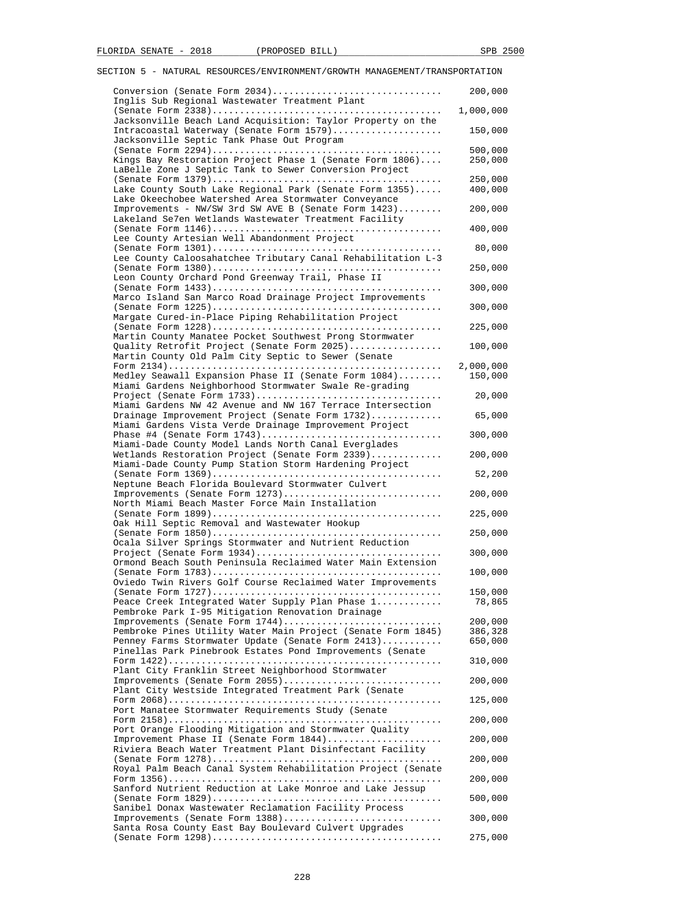| Conversion (Senate Form 2034)                                                                                 | 200,000              |
|---------------------------------------------------------------------------------------------------------------|----------------------|
| Inglis Sub Regional Wastewater Treatment Plant                                                                | 1,000,000            |
| Jacksonville Beach Land Acquisition: Taylor Property on the                                                   |                      |
| Intracoastal Waterway (Senate Form 1579)                                                                      | 150,000              |
| Jacksonville Septic Tank Phase Out Program                                                                    |                      |
|                                                                                                               | 500,000              |
| Kings Bay Restoration Project Phase 1 (Senate Form 1806)                                                      | 250,000              |
| LaBelle Zone J Septic Tank to Sewer Conversion Project                                                        |                      |
|                                                                                                               | 250,000              |
| Lake County South Lake Regional Park (Senate Form 1355)                                                       | 400,000              |
| Lake Okeechobee Watershed Area Stormwater Conveyance                                                          |                      |
| Improvements - NW/SW 3rd SW AVE B (Senate Form 1423)<br>Lakeland Se7en Wetlands Wastewater Treatment Facility | 200,000              |
|                                                                                                               | 400,000              |
| Lee County Artesian Well Abandonment Project                                                                  |                      |
|                                                                                                               | 80,000               |
| Lee County Caloosahatchee Tributary Canal Rehabilitation L-3                                                  |                      |
|                                                                                                               | 250,000              |
| Leon County Orchard Pond Greenway Trail, Phase II                                                             |                      |
|                                                                                                               | 300,000              |
| Marco Island San Marco Road Drainage Project Improvements                                                     |                      |
|                                                                                                               | 300,000              |
| Margate Cured-in-Place Piping Rehabilitation Project                                                          |                      |
|                                                                                                               | 225,000              |
| Martin County Manatee Pocket Southwest Prong Stormwater                                                       |                      |
| Quality Retrofit Project (Senate Form 2025)                                                                   | 100,000              |
| Martin County Old Palm City Septic to Sewer (Senate                                                           |                      |
| Medley Seawall Expansion Phase II (Senate Form 1084)                                                          | 2,000,000<br>150,000 |
| Miami Gardens Neighborhood Stormwater Swale Re-grading                                                        |                      |
|                                                                                                               | 20,000               |
| Miami Gardens NW 42 Avenue and NW 167 Terrace Intersection                                                    |                      |
| Drainage Improvement Project (Senate Form 1732)                                                               | 65,000               |
| Miami Gardens Vista Verde Drainage Improvement Project                                                        |                      |
|                                                                                                               | 300,000              |
| Miami-Dade County Model Lands North Canal Everglades                                                          |                      |
| Wetlands Restoration Project (Senate Form 2339)                                                               | 200,000              |
| Miami-Dade County Pump Station Storm Hardening Project                                                        |                      |
|                                                                                                               | 52,200               |
| Neptune Beach Florida Boulevard Stormwater Culvert<br>Improvements (Senate Form 1273)                         | 200,000              |
| North Miami Beach Master Force Main Installation                                                              |                      |
|                                                                                                               | 225,000              |
| Oak Hill Septic Removal and Wastewater Hookup                                                                 |                      |
|                                                                                                               | 250,000              |
| Ocala Silver Springs Stormwater and Nutrient Reduction                                                        |                      |
|                                                                                                               | 300,000              |
| Ormond Beach South Peninsula Reclaimed Water Main Extension                                                   |                      |
|                                                                                                               | 100,000              |
| Oviedo Twin Rivers Golf Course Reclaimed Water Improvements                                                   |                      |
| (Senate Form $1727)$                                                                                          | 150,000              |
| Peace Creek Integrated Water Supply Plan Phase 1                                                              | 78,865               |
| Pembroke Park I-95 Mitigation Renovation Drainage<br>Improvements (Senate Form 1744)                          |                      |
| Pembroke Pines Utility Water Main Project (Senate Form 1845)                                                  | 200,000<br>386,328   |
| Penney Farms Stormwater Update (Senate Form 2413)                                                             | 650,000              |
| Pinellas Park Pinebrook Estates Pond Improvements (Senate                                                     |                      |
|                                                                                                               | 310,000              |
| Plant City Franklin Street Neighborhood Stormwater                                                            |                      |
| Improvements (Senate Form 2055)                                                                               | 200,000              |
| Plant City Westside Integrated Treatment Park (Senate                                                         |                      |
|                                                                                                               | 125,000              |
| Port Manatee Stormwater Requirements Study (Senate                                                            |                      |
|                                                                                                               | 200,000              |
| Port Orange Flooding Mitigation and Stormwater Quality                                                        |                      |
| Improvement Phase II (Senate Form 1844)                                                                       | 200,000              |
| Riviera Beach Water Treatment Plant Disinfectant Facility                                                     |                      |
|                                                                                                               | 200,000              |
| Royal Palm Beach Canal System Rehabilitation Project (Senate                                                  |                      |
| Sanford Nutrient Reduction at Lake Monroe and Lake Jessup                                                     | 200,000              |
|                                                                                                               | 500,000              |
| Sanibel Donax Wastewater Reclamation Facility Process                                                         |                      |
| Improvements (Senate Form 1388)                                                                               | 300,000              |
| Santa Rosa County East Bay Boulevard Culvert Upgrades                                                         |                      |
|                                                                                                               |                      |
|                                                                                                               | 275,000              |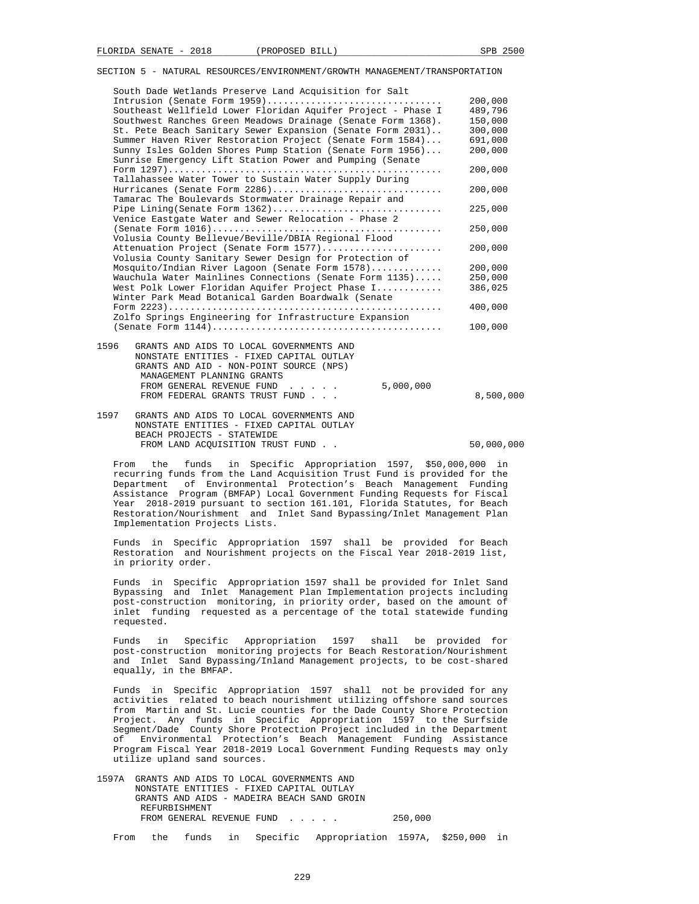| South Dade Wetlands Preserve Land Acquisition for Salt<br>Intrusion (Senate Form 1959)                                | 200,000 |
|-----------------------------------------------------------------------------------------------------------------------|---------|
|                                                                                                                       |         |
| Southeast Wellfield Lower Floridan Aquifer Project - Phase I                                                          | 489,796 |
| Southwest Ranches Green Meadows Drainage (Senate Form 1368).                                                          | 150,000 |
| St. Pete Beach Sanitary Sewer Expansion (Senate Form 2031)                                                            | 300,000 |
| Summer Haven River Restoration Project (Senate Form 1584)                                                             | 691,000 |
| Sunny Isles Golden Shores Pump Station (Senate Form 1956)<br>Sunrise Emergency Lift Station Power and Pumping (Senate | 200,000 |
|                                                                                                                       | 200,000 |
| Tallahassee Water Tower to Sustain Water Supply During                                                                |         |
| Hurricanes (Senate Form 2286)                                                                                         | 200,000 |
| Tamarac The Boulevards Stormwater Drainage Repair and                                                                 |         |
| Pipe Lining(Senate Form 1362)                                                                                         | 225,000 |
| Venice Eastgate Water and Sewer Relocation - Phase 2                                                                  |         |
|                                                                                                                       | 250,000 |
| Volusia County Bellevue/Beville/DBIA Regional Flood                                                                   |         |
| Attenuation Project (Senate Form 1577)                                                                                | 200,000 |
| Volusia County Sanitary Sewer Design for Protection of                                                                |         |
| Mosquito/Indian River Lagoon (Senate Form 1578)                                                                       | 200,000 |
|                                                                                                                       |         |
| Wauchula Water Mainlines Connections (Senate Form 1135)                                                               | 250,000 |
| West Polk Lower Floridan Aquifer Project Phase I                                                                      | 386,025 |
| Winter Park Mead Botanical Garden Boardwalk (Senate                                                                   |         |
|                                                                                                                       | 400,000 |
| Zolfo Springs Engineering for Infrastructure Expansion                                                                |         |
|                                                                                                                       | 100,000 |
|                                                                                                                       |         |
| 1596<br>GRANTS AND AIDS TO LOCAL GOVERNMENTS AND                                                                      |         |

| animal mp hips to poche octanimate mp    |           |           |
|------------------------------------------|-----------|-----------|
| NONSTATE ENTITIES - FIXED CAPITAL OUTLAY |           |           |
| GRANTS AND AID - NON-POINT SOURCE (NPS)  |           |           |
| MANAGEMENT PLANNING GRANTS               |           |           |
| FROM GENERAL REVENUE FUND                | 5,000,000 |           |
| FROM FEDERAL GRANTS TRUST FUND           |           | 8,500,000 |
|                                          |           |           |

```
 1597 GRANTS AND AIDS TO LOCAL GOVERNMENTS AND
NONSTATE ENTITIES - FIXED CAPITAL OUTLAY
BEACH PROJECTS - STATEWIDE
FROM LAND ACQUISITION TRUST FUND . . 50,000,000 50,000,000
```
 From the funds in Specific Appropriation 1597, \$50,000,000 in recurring funds from the Land Acquisition Trust Fund is provided for the Department of Environmental Protection's Beach Management Funding Program (BMFAP) Local Government Funding Requests for Fiscal Year 2018-2019 pursuant to section 161.101, Florida Statutes, for Beach Restoration/Nourishment and Inlet Sand Bypassing/Inlet Management Plan Implementation Projects Lists.

 Funds in Specific Appropriation 1597 shall be provided for Beach Restoration and Nourishment projects on the Fiscal Year 2018-2019 list, in priority order.

 Funds in Specific Appropriation 1597 shall be provided for Inlet Sand Bypassing and Inlet Management Plan Implementation projects including post-construction monitoring, in priority order, based on the amount of inlet funding requested as a percentage of the total statewide funding requested.

 Funds in Specific Appropriation 1597 shall be provided for post-construction monitoring projects for Beach Restoration/Nourishment and Inlet Sand Bypassing/Inland Management projects, to be cost-shared equally, in the BMFAP.

 Funds in Specific Appropriation 1597 shall not be provided for any activities related to beach nourishment utilizing offshore sand sources from Martin and St. Lucie counties for the Dade County Shore Protection Project. Any funds in Specific Appropriation 1597 to the Surfside Segment/Dade County Shore Protection Project included in the Department of Environmental Protection's Beach Management Funding Assistance Program Fiscal Year 2018-2019 Local Government Funding Requests may only utilize upland sand sources.

 1597A GRANTS AND AIDS TO LOCAL GOVERNMENTS AND NONSTATE ENTITIES - FIXED CAPITAL OUTLAY GRANTS AND AIDS - MADEIRA BEACH SAND GROIN REFURBISHMENT FROM GENERAL REVENUE FUND...... 250,000 From the funds in Specific Appropriation 1597A, \$250,000 in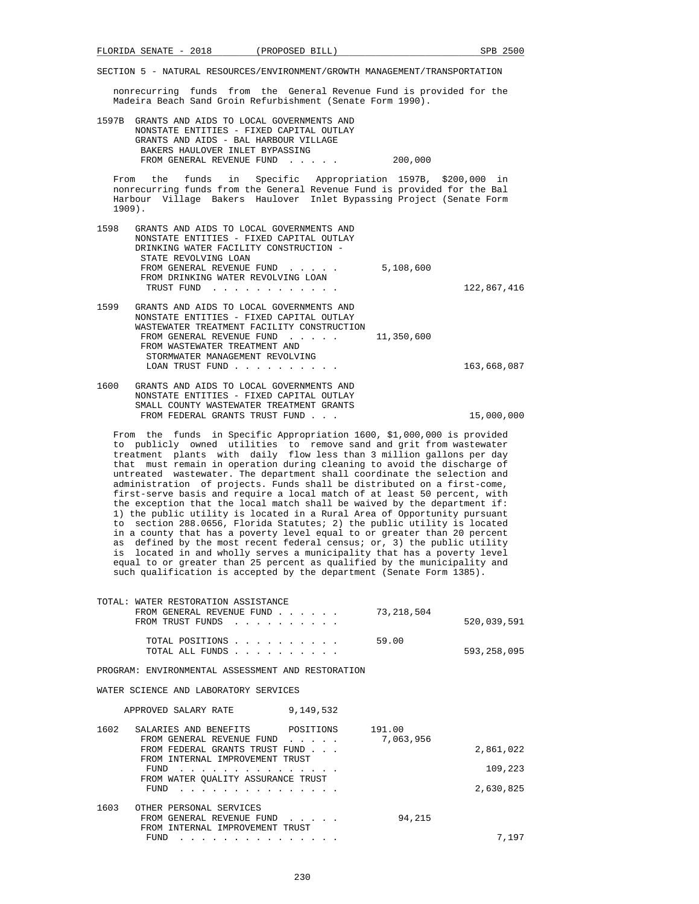nonrecurring funds from the General Revenue Fund is provided for the Madeira Beach Sand Groin Refurbishment (Senate Form 1990).

| 1597B            | GRANTS AND AIDS TO LOCAL GOVERNMENTS AND<br>NONSTATE ENTITIES - FIXED CAPITAL OUTLAY<br>GRANTS AND AIDS - BAL HARBOUR VILLAGE<br>BAKERS HAULOVER INLET BYPASSING<br>FROM GENERAL REVENUE FUND<br>$\sim$ $\sim$ $\sim$ $\sim$ $\sim$ $\sim$                                                                          | 200,000    |             |
|------------------|---------------------------------------------------------------------------------------------------------------------------------------------------------------------------------------------------------------------------------------------------------------------------------------------------------------------|------------|-------------|
| From<br>$1909$ . | the funds in Specific Appropriation 1597B, \$200,000 in<br>nonrecurring funds from the General Revenue Fund is provided for the Bal<br>Harbour Village Bakers Haulover Inlet Bypassing Project (Senate Form                                                                                                         |            |             |
| 1598             | GRANTS AND AIDS TO LOCAL GOVERNMENTS AND<br>NONSTATE ENTITIES - FIXED CAPITAL OUTLAY<br>DRINKING WATER FACILITY CONSTRUCTION -<br>STATE REVOLVING LOAN<br>FROM GENERAL REVENUE FUND<br>FROM DRINKING WATER REVOLVING LOAN<br>TRUST FUND<br>.                                                                        | 5,108,600  | 122,867,416 |
| 1599             | GRANTS AND AIDS TO LOCAL GOVERNMENTS AND<br>NONSTATE ENTITIES - FIXED CAPITAL OUTLAY<br>WASTEWATER TREATMENT FACILITY CONSTRUCTION<br>FROM GENERAL REVENUE FUND<br>$\mathbf{r}$ , $\mathbf{r}$ , $\mathbf{r}$ , $\mathbf{r}$<br>FROM WASTEWATER TREATMENT AND<br>STORMWATER MANAGEMENT REVOLVING<br>LOAN TRUST FUND | 11,350,600 | 163,668,087 |
| 1600             | GRANTS AND AIDS TO LOCAL GOVERNMENTS AND<br>NONSTATE ENTITIES - FIXED CAPITAL OUTLAY<br>SMALL COUNTY WASTEWATER TREATMENT GRANTS<br>FROM FEDERAL GRANTS TRUST FUND                                                                                                                                                  |            | 15,000,000  |

 From the funds in Specific Appropriation 1600, \$1,000,000 is provided to publicly owned utilities to remove sand and grit from wastewater treatment plants with daily flow less than 3 million gallons per day that must remain in operation during cleaning to avoid the discharge of untreated wastewater. The department shall coordinate the selection and administration of projects. Funds shall be distributed on a first-come, first-serve basis and require a local match of at least 50 percent, with the exception that the local match shall be waived by the department if: 1) the public utility is located in a Rural Area of Opportunity pursuant to section 288.0656, Florida Statutes; 2) the public utility is located in a county that has a poverty level equal to or greater than 20 percent as defined by the most recent federal census; or, 3) the public utility is located in and wholly serves a municipality that has a poverty level equal to or greater than 25 percent as qualified by the municipality and such qualification is accepted by the department (Senate Form 1385).

| WATER RESTORATION ASSISTANCE<br>TOTAL:<br>73,218,504<br>FROM GENERAL REVENUE FUND<br>FROM TRUST FUNDS                                                                                                                                                                            | 520,039,591 |
|----------------------------------------------------------------------------------------------------------------------------------------------------------------------------------------------------------------------------------------------------------------------------------|-------------|
| 59.00<br>TOTAL POSITIONS<br>TOTAL ALL FUNDS<br>$\mathbf{r}$ . The second contribution of the second contribution of the second contribution of the second contribution of the second contribution of the second contribution of the second contribution of the second contributi | 593,258,095 |
| PROGRAM: ENVIRONMENTAL ASSESSMENT AND RESTORATION                                                                                                                                                                                                                                |             |
| WATER SCIENCE AND LABORATORY SERVICES                                                                                                                                                                                                                                            |             |
| 9,149,532<br>APPROVED SALARY RATE                                                                                                                                                                                                                                                |             |
| 1602<br>191.00<br>SALARIES AND BENEFITS POSITIONS<br>7,063,956<br>FROM GENERAL REVENUE FUND<br>$\cdots$<br>FROM FEDERAL GRANTS TRUST FUND                                                                                                                                        | 2,861,022   |
| FROM INTERNAL IMPROVEMENT TRUST<br>FUND                                                                                                                                                                                                                                          | 109,223     |
| FROM WATER OUALITY ASSURANCE TRUST<br>FUND                                                                                                                                                                                                                                       | 2,630,825   |
| 1603<br>OTHER PERSONAL SERVICES<br>94,215<br>FROM GENERAL REVENUE FUND<br>and a state of the                                                                                                                                                                                     |             |

FUND . . . . . . . . . . . . . . . 7,197

FROM INTERNAL IMPROVEMENT TRUST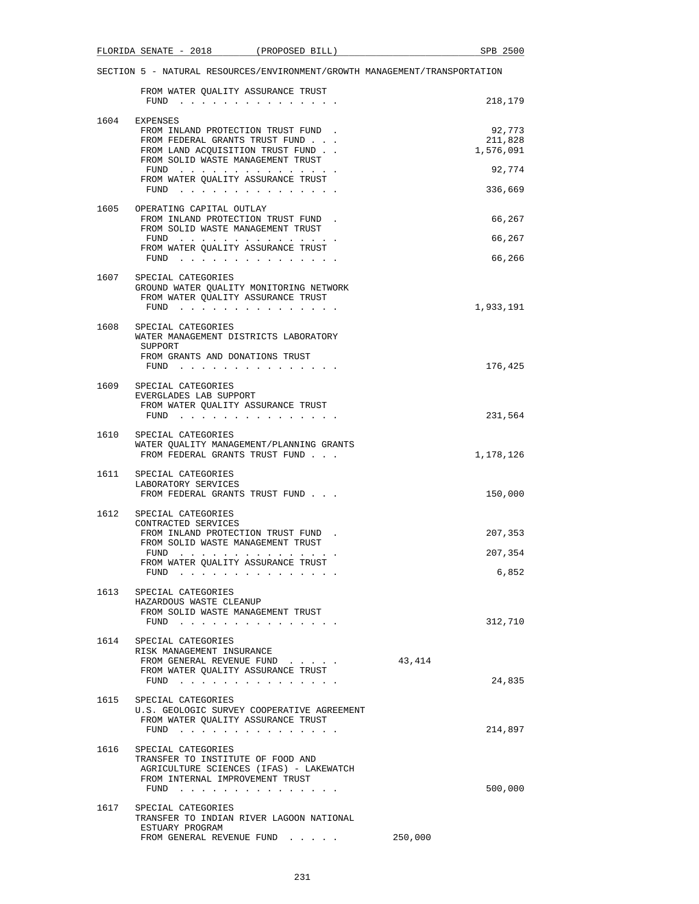|      | FROM WATER QUALITY ASSURANCE TRUST<br>FUND                                                                                                                                                                            |        | 218,179                                  |
|------|-----------------------------------------------------------------------------------------------------------------------------------------------------------------------------------------------------------------------|--------|------------------------------------------|
|      | 1604 EXPENSES<br>FROM INLAND PROTECTION TRUST FUND.<br>FROM FEDERAL GRANTS TRUST FUND<br>FROM LAND ACQUISITION TRUST FUND<br>FROM SOLID WASTE MANAGEMENT TRUST<br>FUND $\cdots$<br>FROM WATER QUALITY ASSURANCE TRUST |        | 92,773<br>211,828<br>1,576,091<br>92,774 |
|      | FUND $\cdots$<br>1605 OPERATING CAPITAL OUTLAY                                                                                                                                                                        |        | 336,669                                  |
|      | FROM INLAND PROTECTION TRUST FUND.<br>FROM SOLID WASTE MANAGEMENT TRUST                                                                                                                                               |        | 66,267                                   |
|      | FUND<br>FROM WATER QUALITY ASSURANCE TRUST                                                                                                                                                                            |        | 66,267                                   |
|      | FUND $\cdots$                                                                                                                                                                                                         |        | 66,266                                   |
|      | 1607 SPECIAL CATEGORIES<br>GROUND WATER QUALITY MONITORING NETWORK<br>FROM WATER QUALITY ASSURANCE TRUST                                                                                                              |        | 1,933,191                                |
| 1608 | SPECIAL CATEGORIES<br>WATER MANAGEMENT DISTRICTS LABORATORY<br>SUPPORT<br>FROM GRANTS AND DONATIONS TRUST                                                                                                             |        |                                          |
|      | FUND $\cdots$                                                                                                                                                                                                         |        | 176,425                                  |
|      | 1609 SPECIAL CATEGORIES<br>EVERGLADES LAB SUPPORT<br>FROM WATER OUALITY ASSURANCE TRUST<br>FUND                                                                                                                       |        | 231,564                                  |
|      | 1610 SPECIAL CATEGORIES<br>WATER QUALITY MANAGEMENT/PLANNING GRANTS<br>FROM FEDERAL GRANTS TRUST FUND                                                                                                                 |        | 1,178,126                                |
| 1611 | SPECIAL CATEGORIES<br>LABORATORY SERVICES<br>FROM FEDERAL GRANTS TRUST FUND                                                                                                                                           |        | 150,000                                  |
| 1612 | SPECIAL CATEGORIES                                                                                                                                                                                                    |        |                                          |
|      | CONTRACTED SERVICES<br>FROM INLAND PROTECTION TRUST FUND.                                                                                                                                                             |        | 207,353                                  |
|      | FROM SOLID WASTE MANAGEMENT TRUST<br>FUND                                                                                                                                                                             |        | 207,354                                  |
|      | FROM WATER QUALITY ASSURANCE TRUST<br>$FUND$ ,,,,,,,,,,,,                                                                                                                                                             |        | 6,852                                    |
| 1613 | SPECIAL CATEGORIES<br>HAZARDOUS WASTE CLEANUP<br>FROM SOLID WASTE MANAGEMENT TRUST<br>$FUND$                                                                                                                          |        | 312,710                                  |
|      | 1614 SPECIAL CATEGORIES                                                                                                                                                                                               |        |                                          |
|      | RISK MANAGEMENT INSURANCE<br>FROM GENERAL REVENUE FUND<br>FROM WATER QUALITY ASSURANCE TRUST<br>FUND $\cdots$ $\cdots$ $\cdots$ $\cdots$ $\cdots$ $\cdots$                                                            | 43,414 | 24,835                                   |
| 1615 | SPECIAL CATEGORIES<br>U.S. GEOLOGIC SURVEY COOPERATIVE AGREEMENT<br>FROM WATER QUALITY ASSURANCE TRUST<br>FUND $\cdots$                                                                                               |        | 214,897                                  |
|      | 1616 SPECIAL CATEGORIES<br>TRANSFER TO INSTITUTE OF FOOD AND<br>AGRICULTURE SCIENCES (IFAS) - LAKEWATCH                                                                                                               |        |                                          |
|      | FROM INTERNAL IMPROVEMENT TRUST<br>FUND $\cdots$                                                                                                                                                                      |        | 500,000                                  |
| 1617 | SPECIAL CATEGORIES<br>TRANSFER TO INDIAN RIVER LAGOON NATIONAL<br>ESTUARY PROGRAM<br>FROM GENERAL REVENUE FUND                                                                                                        |        |                                          |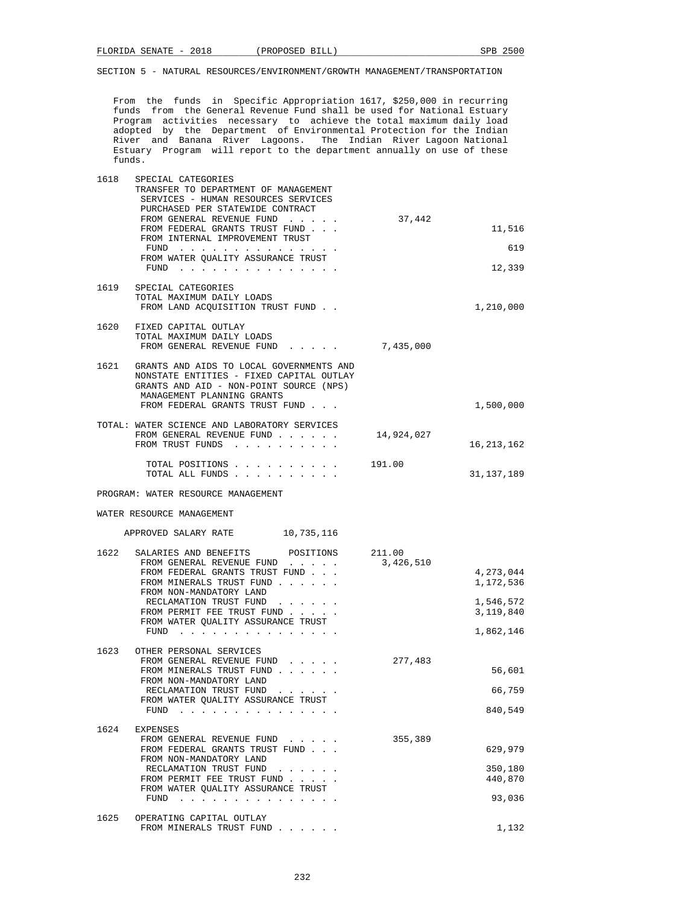From the funds in Specific Appropriation 1617, \$250,000 in recurring funds from the General Revenue Fund shall be used for National Estuary Program activities necessary to achieve the total maximum daily load adopted by the Department of Environmental Protection for the Indian River and Banana River Lagoons. The Indian River Lagoon National Estuary Program will report to the department annually on use of these funds.

| 1618 | SPECIAL CATEGORIES<br>TRANSFER TO DEPARTMENT OF MANAGEMENT<br>SERVICES - HUMAN RESOURCES SERVICES<br>PURCHASED PER STATEWIDE CONTRACT<br>FROM GENERAL REVENUE FUND<br>FROM FEDERAL GRANTS TRUST FUND<br>FROM INTERNAL IMPROVEMENT TRUST<br>FUND<br>FROM WATER QUALITY ASSURANCE TRUST<br>FUND $\cdots$ | 37,442     | 11,516<br>619<br>12,339                                       |
|------|--------------------------------------------------------------------------------------------------------------------------------------------------------------------------------------------------------------------------------------------------------------------------------------------------------|------------|---------------------------------------------------------------|
| 1619 | SPECIAL CATEGORIES<br>TOTAL MAXIMUM DAILY LOADS<br>FROM LAND ACOUISITION TRUST FUND                                                                                                                                                                                                                    |            | 1,210,000                                                     |
|      | 1620 FIXED CAPITAL OUTLAY<br>TOTAL MAXIMUM DAILY LOADS<br>FROM GENERAL REVENUE FUND<br>$\mathbf{r}$ and $\mathbf{r}$ and $\mathbf{r}$ and $\mathbf{r}$                                                                                                                                                 | 7,435,000  |                                                               |
|      | 1621 GRANTS AND AIDS TO LOCAL GOVERNMENTS AND<br>NONSTATE ENTITIES - FIXED CAPITAL OUTLAY<br>GRANTS AND AID - NON-POINT SOURCE (NPS)<br>MANAGEMENT PLANNING GRANTS<br>FROM FEDERAL GRANTS TRUST FUND                                                                                                   |            | 1,500,000                                                     |
|      | TOTAL: WATER SCIENCE AND LABORATORY SERVICES<br>FROM GENERAL REVENUE FUND<br>FROM TRUST FUNDS                                                                                                                                                                                                          | 14,924,027 | 16, 213, 162                                                  |
|      | TOTAL POSITIONS<br>TOTAL ALL FUNDS                                                                                                                                                                                                                                                                     | 191.00     | 31,137,189                                                    |
|      | PROGRAM: WATER RESOURCE MANAGEMENT                                                                                                                                                                                                                                                                     |            |                                                               |
|      | WATER RESOURCE MANAGEMENT                                                                                                                                                                                                                                                                              |            |                                                               |
|      | APPROVED SALARY RATE<br>10,735,116                                                                                                                                                                                                                                                                     |            |                                                               |
| 1622 | SALARIES AND BENEFITS<br>POSITIONS 211.00<br>FROM GENERAL REVENUE FUND<br>FROM FEDERAL GRANTS TRUST FUND<br>FROM MINERALS TRUST FUND<br>FROM NON-MANDATORY LAND<br>RECLAMATION TRUST FUND<br>FROM PERMIT FEE TRUST FUND<br>FROM WATER QUALITY ASSURANCE TRUST                                          | 3,426,510  | 4,273,044<br>1,172,536<br>1,546,572<br>3,119,840<br>1,862,146 |
| 1623 | OTHER PERSONAL SERVICES<br>FROM GENERAL REVENUE FUND<br>FROM MINERALS TRUST FUND<br>FROM NON-MANDATORY LAND<br>RECLAMATION TRUST FUND<br>FROM WATER QUALITY ASSURANCE TRUST<br>FUND $\cdots$                                                                                                           | 277,483    | 56,601<br>66,759<br>840,549                                   |
|      | 1624 EXPENSES<br>FROM GENERAL REVENUE FUND<br>FROM FEDERAL GRANTS TRUST FUND<br>FROM NON-MANDATORY LAND<br>RECLAMATION TRUST FUND<br>FROM PERMIT FEE TRUST FUND<br>FROM WATER QUALITY ASSURANCE TRUST<br>FUND                                                                                          | 355,389    | 629,979<br>350,180<br>440,870<br>93,036                       |
| 1625 | OPERATING CAPITAL OUTLAY<br>FROM MINERALS TRUST FUND                                                                                                                                                                                                                                                   |            | 1,132                                                         |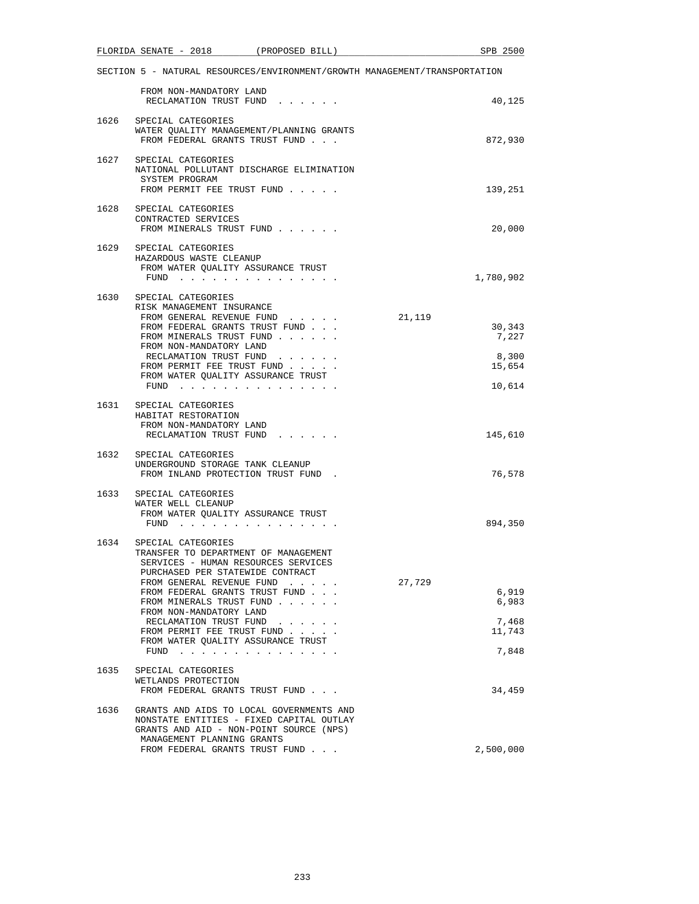|      | FLORIDA SENATE - 2018                                                                                                                                                      | (PROPOSED BILL)                                                                                                                               | SPB 2500                                                                   |
|------|----------------------------------------------------------------------------------------------------------------------------------------------------------------------------|-----------------------------------------------------------------------------------------------------------------------------------------------|----------------------------------------------------------------------------|
|      |                                                                                                                                                                            |                                                                                                                                               | SECTION 5 - NATURAL RESOURCES/ENVIRONMENT/GROWTH MANAGEMENT/TRANSPORTATION |
|      | FROM NON-MANDATORY LAND<br>RECLAMATION TRUST FUND                                                                                                                          |                                                                                                                                               | 40,125                                                                     |
|      | 1626 SPECIAL CATEGORIES<br>FROM FEDERAL GRANTS TRUST FUND                                                                                                                  | WATER QUALITY MANAGEMENT/PLANNING GRANTS                                                                                                      | 872,930                                                                    |
|      | 1627 SPECIAL CATEGORIES<br>SYSTEM PROGRAM<br>FROM PERMIT FEE TRUST FUND                                                                                                    | NATIONAL POLLUTANT DISCHARGE ELIMINATION                                                                                                      | 139,251                                                                    |
|      | 1628 SPECIAL CATEGORIES<br>CONTRACTED SERVICES<br>FROM MINERALS TRUST FUND                                                                                                 |                                                                                                                                               | 20,000                                                                     |
|      | 1629 SPECIAL CATEGORIES<br>HAZARDOUS WASTE CLEANUP<br>FROM WATER QUALITY ASSURANCE TRUST<br>FUND $\cdots$                                                                  |                                                                                                                                               | 1,780,902                                                                  |
|      | 1630 SPECIAL CATEGORIES<br>RISK MANAGEMENT INSURANCE<br>FROM GENERAL REVENUE FUND<br>FROM FEDERAL GRANTS TRUST FUND<br>FROM MINERALS TRUST FUND<br>FROM NON-MANDATORY LAND |                                                                                                                                               | 21,119<br>30,343<br>7,227                                                  |
|      | RECLAMATION TRUST FUND<br>FROM PERMIT FEE TRUST FUND<br>FROM WATER QUALITY ASSURANCE TRUST<br>FUND $\cdots$                                                                |                                                                                                                                               | 8,300<br>15,654<br>10,614                                                  |
|      | 1631 SPECIAL CATEGORIES<br>HABITAT RESTORATION<br>FROM NON-MANDATORY LAND<br>RECLAMATION TRUST FUND                                                                        |                                                                                                                                               | 145,610                                                                    |
|      | 1632 SPECIAL CATEGORIES<br>UNDERGROUND STORAGE TANK CLEANUP<br>FROM INLAND PROTECTION TRUST FUND.                                                                          |                                                                                                                                               | 76,578                                                                     |
| 1633 | SPECIAL CATEGORIES<br>WATER WELL CLEANUP<br>FROM WATER QUALITY ASSURANCE TRUST<br>$FUND$                                                                                   |                                                                                                                                               | 894,350                                                                    |
|      | 1634 SPECIAL CATEGORIES<br>TRANSFER TO DEPARTMENT OF MANAGEMENT<br>SERVICES - HUMAN RESOURCES SERVICES<br>PURCHASED PER STATEWIDE CONTRACT<br>FROM GENERAL REVENUE FUND    |                                                                                                                                               | 27,729                                                                     |
|      | FROM FEDERAL GRANTS TRUST FUND<br>FROM MINERALS TRUST FUND<br>FROM NON-MANDATORY LAND                                                                                      |                                                                                                                                               | 6,919<br>6,983                                                             |
|      | RECLAMATION TRUST FUND<br>FROM PERMIT FEE TRUST FUND<br>FROM WATER QUALITY ASSURANCE TRUST<br>FUND $\cdots$                                                                | $\begin{array}{cccccccccccccc} \bullet & \bullet & \bullet & \bullet & \bullet & \bullet & \bullet & \bullet & \bullet & \bullet \end{array}$ | 7,468<br>11,743<br>7,848                                                   |
| 1635 | SPECIAL CATEGORIES<br>WETLANDS PROTECTION<br>FROM FEDERAL GRANTS TRUST FUND                                                                                                |                                                                                                                                               | 34,459                                                                     |
| 1636 | GRANTS AND AID - NON-POINT SOURCE (NPS)<br>MANAGEMENT PLANNING GRANTS                                                                                                      | GRANTS AND AIDS TO LOCAL GOVERNMENTS AND<br>NONSTATE ENTITIES - FIXED CAPITAL OUTLAY                                                          |                                                                            |
|      | FROM FEDERAL GRANTS TRUST FUND                                                                                                                                             |                                                                                                                                               | 2,500,000                                                                  |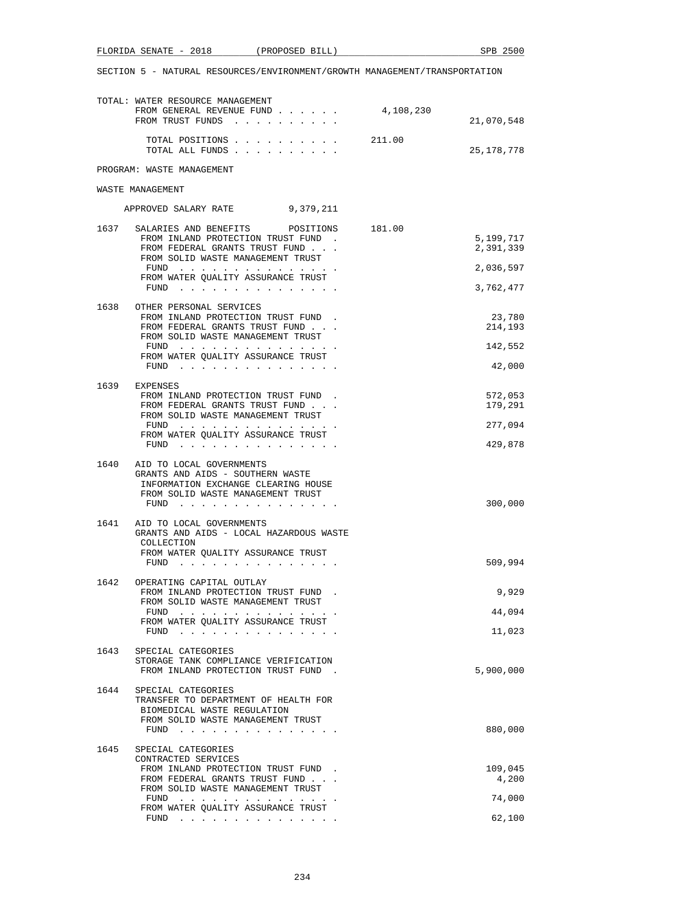|  |  |  | SECTION 5 - NATURAL RESOURCES/ENVIRONMENT/GROWTH MANAGEMENT/TRANSPORTATION |
|--|--|--|----------------------------------------------------------------------------|

FLORIDA SENATE - 2018 (PROPOSED BILL) SPB 2500

|      | TOTAL: WATER RESOURCE MANAGEMENT<br>FROM GENERAL REVENUE FUND<br>FROM TRUST FUNDS                                                                                                                                                                                                      | 4,108,230 | 21,070,548             |
|------|----------------------------------------------------------------------------------------------------------------------------------------------------------------------------------------------------------------------------------------------------------------------------------------|-----------|------------------------|
|      | TOTAL POSITIONS<br>TOTAL ALL FUNDS                                                                                                                                                                                                                                                     | 211.00    | 25, 178, 778           |
|      | PROGRAM: WASTE MANAGEMENT                                                                                                                                                                                                                                                              |           |                        |
|      | WASTE MANAGEMENT                                                                                                                                                                                                                                                                       |           |                        |
|      | APPROVED SALARY RATE 9,379,211                                                                                                                                                                                                                                                         |           |                        |
| 1637 | SALARIES AND BENEFITS<br>POSITIONS 181.00                                                                                                                                                                                                                                              |           |                        |
|      | FROM INLAND PROTECTION TRUST FUND.<br>FROM FEDERAL GRANTS TRUST FUND<br>FROM SOLID WASTE MANAGEMENT TRUST                                                                                                                                                                              |           | 5,199,717<br>2,391,339 |
|      | the contract of the contract of the contract of the contract of the contract of the contract of the contract of the contract of the contract of the contract of the contract of the contract of the contract of the contract o<br>FUND<br>FROM WATER QUALITY ASSURANCE TRUST<br>$FUND$ |           | 2,036,597<br>3,762,477 |
|      |                                                                                                                                                                                                                                                                                        |           |                        |
| 1638 | OTHER PERSONAL SERVICES<br>FROM INLAND PROTECTION TRUST FUND.<br>FROM FEDERAL GRANTS TRUST FUND<br>FROM SOLID WASTE MANAGEMENT TRUST                                                                                                                                                   |           | 23,780<br>214,193      |
|      | FUND<br>FROM WATER QUALITY ASSURANCE TRUST                                                                                                                                                                                                                                             |           | 142,552                |
|      | FUND $\cdots$                                                                                                                                                                                                                                                                          |           | 42,000                 |
| 1639 | EXPENSES<br>FROM INLAND PROTECTION TRUST FUND.<br>FROM FEDERAL GRANTS TRUST FUND                                                                                                                                                                                                       |           | 572,053<br>179,291     |
|      | FROM SOLID WASTE MANAGEMENT TRUST<br>FUND                                                                                                                                                                                                                                              |           | 277,094                |
|      | FROM WATER QUALITY ASSURANCE TRUST<br>FUND $\cdots$                                                                                                                                                                                                                                    |           | 429,878                |
| 1640 | AID TO LOCAL GOVERNMENTS<br>GRANTS AND AIDS - SOUTHERN WASTE<br>INFORMATION EXCHANGE CLEARING HOUSE<br>FROM SOLID WASTE MANAGEMENT TRUST<br>FUND $\cdots$                                                                                                                              |           | 300,000                |
| 1641 | AID TO LOCAL GOVERNMENTS<br>GRANTS AND AIDS - LOCAL HAZARDOUS WASTE<br>COLLECTION<br>FROM WATER QUALITY ASSURANCE TRUST                                                                                                                                                                |           |                        |
|      | FUND $\cdots$                                                                                                                                                                                                                                                                          |           | 509,994                |
| 1642 | OPERATING CAPITAL OUTLAY<br>FROM INLAND PROTECTION TRUST FUND<br>FROM SOLID WASTE MANAGEMENT TRUST                                                                                                                                                                                     |           | 9,929                  |
|      | FUND $\cdots$<br>FROM WATER QUALITY ASSURANCE TRUST                                                                                                                                                                                                                                    |           | 44,094                 |
|      | FUND<br>the contract of the contract of the contract of the contract of the contract of the contract of the contract of                                                                                                                                                                |           | 11,023                 |
| 1643 | SPECIAL CATEGORIES<br>STORAGE TANK COMPLIANCE VERIFICATION<br>FROM INLAND PROTECTION TRUST FUND                                                                                                                                                                                        |           | 5,900,000              |
| 1644 | SPECIAL CATEGORIES<br>TRANSFER TO DEPARTMENT OF HEALTH FOR<br>BIOMEDICAL WASTE REGULATION<br>FROM SOLID WASTE MANAGEMENT TRUST                                                                                                                                                         |           |                        |
|      | FUND<br>the contract of the contract of the contract of the                                                                                                                                                                                                                            |           | 880,000                |
| 1645 | SPECIAL CATEGORIES<br>CONTRACTED SERVICES                                                                                                                                                                                                                                              |           |                        |
|      | FROM INLAND PROTECTION TRUST FUND.<br>FROM FEDERAL GRANTS TRUST FUND                                                                                                                                                                                                                   |           | 109,045<br>4,200       |
|      | FROM SOLID WASTE MANAGEMENT TRUST<br>the contract of the contract of the contract of the contract of the contract of the contract of the contract of<br>FUND                                                                                                                           |           | 74,000                 |
|      | FROM WATER QUALITY ASSURANCE TRUST<br>FUND<br>the contract of the contract of the contract of the contract of the contract of the contract of the contract of the contract of the contract of the contract of the contract of the contract of the contract of the contract o           |           | 62,100                 |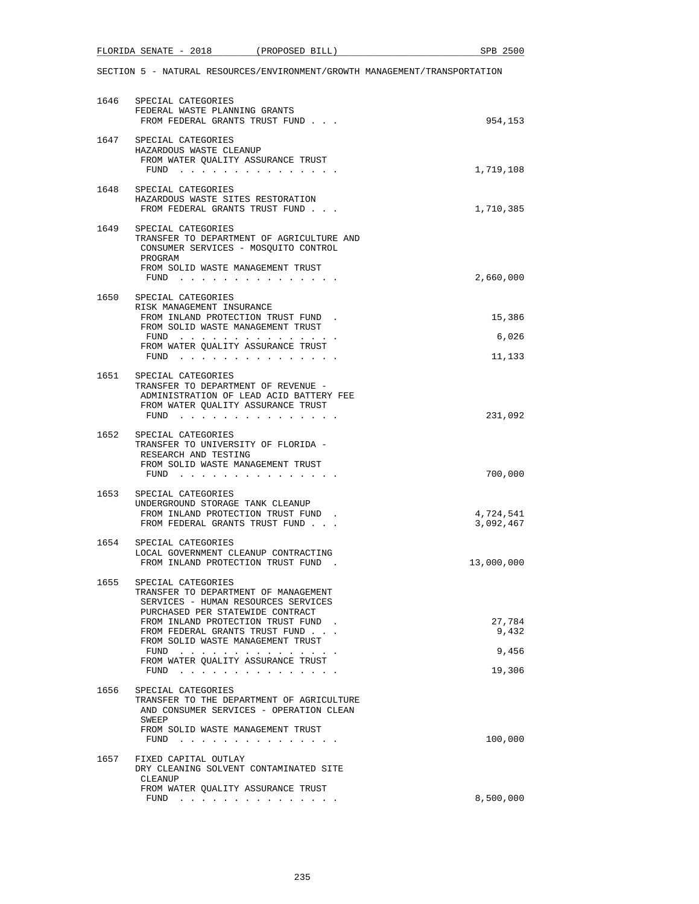|      | FLORIDA SENATE - 2018                              |                                                                                                                                                                                                                                                                                                                                                             | (PROPOSED BILL) | SPB 2500                                                                   |
|------|----------------------------------------------------|-------------------------------------------------------------------------------------------------------------------------------------------------------------------------------------------------------------------------------------------------------------------------------------------------------------------------------------------------------------|-----------------|----------------------------------------------------------------------------|
|      |                                                    |                                                                                                                                                                                                                                                                                                                                                             |                 | SECTION 5 - NATURAL RESOURCES/ENVIRONMENT/GROWTH MANAGEMENT/TRANSPORTATION |
| 1646 | SPECIAL CATEGORIES                                 | FEDERAL WASTE PLANNING GRANTS<br>FROM FEDERAL GRANTS TRUST FUND                                                                                                                                                                                                                                                                                             |                 | 954,153                                                                    |
|      | 1647 SPECIAL CATEGORIES<br>HAZARDOUS WASTE CLEANUP | FROM WATER OUALITY ASSURANCE TRUST<br>FUND $\cdots$ $\cdots$ $\cdots$ $\cdots$ $\cdots$ $\cdots$ $\cdots$                                                                                                                                                                                                                                                   |                 | 1,719,108                                                                  |
| 1648 | SPECIAL CATEGORIES                                 | HAZARDOUS WASTE SITES RESTORATION<br>FROM FEDERAL GRANTS TRUST FUND                                                                                                                                                                                                                                                                                         |                 | 1,710,385                                                                  |
|      | 1649 SPECIAL CATEGORIES<br>PROGRAM                 | TRANSFER TO DEPARTMENT OF AGRICULTURE AND<br>CONSUMER SERVICES - MOSQUITO CONTROL<br>FROM SOLID WASTE MANAGEMENT TRUST<br>FUND $\cdots$                                                                                                                                                                                                                     |                 | 2,660,000                                                                  |
|      | 1650 SPECIAL CATEGORIES                            | RISK MANAGEMENT INSURANCE<br>FROM INLAND PROTECTION TRUST FUND.<br>FROM SOLID WASTE MANAGEMENT TRUST<br>FUND $\cdots$<br>FROM WATER OUALITY ASSURANCE TRUST<br>FUND                                                                                                                                                                                         |                 | 15,386<br>6,026<br>11,133                                                  |
| 1651 | SPECIAL CATEGORIES                                 | TRANSFER TO DEPARTMENT OF REVENUE -<br>ADMINISTRATION OF LEAD ACID BATTERY FEE<br>FROM WATER QUALITY ASSURANCE TRUST                                                                                                                                                                                                                                        |                 | 231,092                                                                    |
| 1652 | SPECIAL CATEGORIES<br>RESEARCH AND TESTING         | TRANSFER TO UNIVERSITY OF FLORIDA -<br>FROM SOLID WASTE MANAGEMENT TRUST<br>FUND $\cdots$                                                                                                                                                                                                                                                                   |                 | 700,000                                                                    |
| 1653 | SPECIAL CATEGORIES                                 | UNDERGROUND STORAGE TANK CLEANUP<br>FROM INLAND PROTECTION TRUST FUND.<br>FROM FEDERAL GRANTS TRUST FUND                                                                                                                                                                                                                                                    |                 | 4,724,541<br>3,092,467                                                     |
| 1654 | SPECIAL CATEGORIES                                 | LOCAL GOVERNMENT CLEANUP CONTRACTING<br>FROM INLAND PROTECTION TRUST FUND                                                                                                                                                                                                                                                                                   |                 | 13,000,000                                                                 |
| 1655 | SPECIAL CATEGORIES                                 | TRANSFER TO DEPARTMENT OF MANAGEMENT<br>SERVICES - HUMAN RESOURCES SERVICES<br>PURCHASED PER STATEWIDE CONTRACT<br>FROM INLAND PROTECTION TRUST FUND<br>FROM FEDERAL GRANTS TRUST FUND<br>FROM SOLID WASTE MANAGEMENT TRUST<br>FUND<br>FROM WATER QUALITY ASSURANCE TRUST<br>FUND $\cdots$                                                                  |                 | 27,784<br>9,432<br>9,456<br>19,306                                         |
| 1656 | SPECIAL CATEGORIES<br>SWEEP<br>FUND                | TRANSFER TO THE DEPARTMENT OF AGRICULTURE<br>AND CONSUMER SERVICES - OPERATION CLEAN<br>FROM SOLID WASTE MANAGEMENT TRUST<br>the contract of the contract of the contract of the contract of the contract of the contract of the contract of the contract of the contract of the contract of the contract of the contract of the contract of the contract o |                 | 100,000                                                                    |
| 1657 | FIXED CAPITAL OUTLAY<br>CLEANUP                    | DRY CLEANING SOLVENT CONTAMINATED SITE<br>FROM WATER QUALITY ASSURANCE TRUST                                                                                                                                                                                                                                                                                |                 | 8,500,000                                                                  |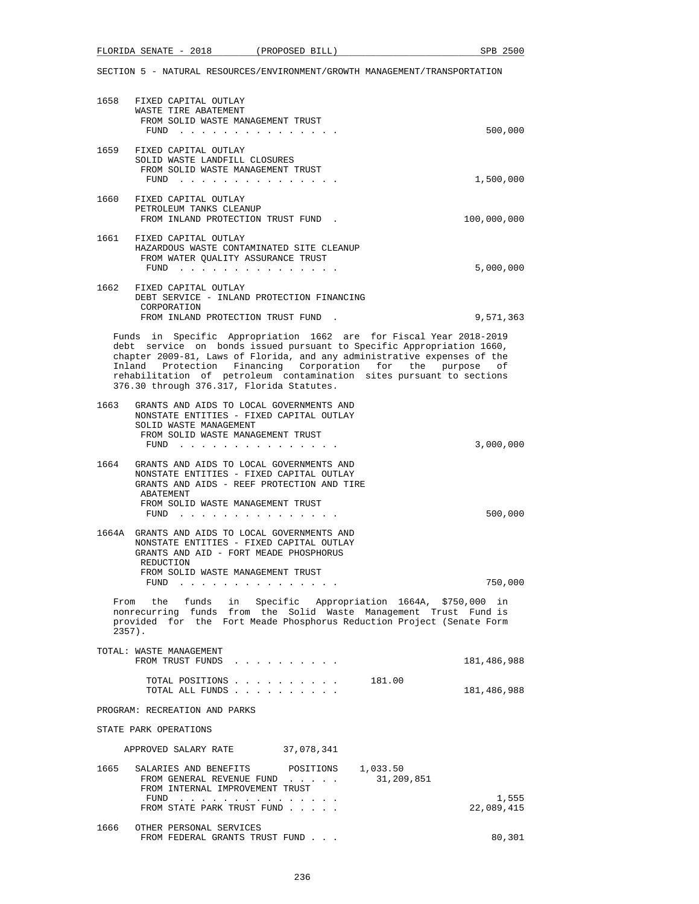|  | າດ10<br>FLORIDA<br>SENATE<br>$\overline{\phantom{0}}$ | PROPOSED<br>BILL | SPB | ግር. |
|--|-------------------------------------------------------|------------------|-----|-----|
|--|-------------------------------------------------------|------------------|-----|-----|

| 1658 | FIXED CAPITAL OUTLAY<br>WASTE TIRE ABATEMENT<br>FROM SOLID WASTE MANAGEMENT TRUST<br>$FUND$                                                                                                                                                                                                                                                                                                             | 500,000     |
|------|---------------------------------------------------------------------------------------------------------------------------------------------------------------------------------------------------------------------------------------------------------------------------------------------------------------------------------------------------------------------------------------------------------|-------------|
|      | 1659 FIXED CAPITAL OUTLAY<br>SOLID WASTE LANDFILL CLOSURES<br>FROM SOLID WASTE MANAGEMENT TRUST                                                                                                                                                                                                                                                                                                         | 1,500,000   |
| 1660 | FIXED CAPITAL OUTLAY<br>PETROLEUM TANKS CLEANUP<br>FROM INLAND PROTECTION TRUST FUND.                                                                                                                                                                                                                                                                                                                   | 100,000,000 |
|      | 1661 FIXED CAPITAL OUTLAY<br>HAZARDOUS WASTE CONTAMINATED SITE CLEANUP<br>FROM WATER QUALITY ASSURANCE TRUST<br>FUND $\cdots$                                                                                                                                                                                                                                                                           | 5,000,000   |
|      | 1662 FIXED CAPITAL OUTLAY<br>DEBT SERVICE - INLAND PROTECTION FINANCING<br>CORPORATION<br>FROM INLAND PROTECTION TRUST FUND.                                                                                                                                                                                                                                                                            | 9,571,363   |
|      | Funds in Specific Appropriation 1662 are for Fiscal Year 2018-2019<br>debt service on bonds issued pursuant to Specific Appropriation 1660,<br>chapter 2009-81, Laws of Florida, and any administrative expenses of the<br>Inland Protection Financing Corporation for the purpose<br>rehabilitation of petroleum contamination sites pursuant to sections<br>376.30 through 376.317, Florida Statutes. | оf          |
| 1663 | GRANTS AND AIDS TO LOCAL GOVERNMENTS AND<br>NONSTATE ENTITIES - FIXED CAPITAL OUTLAY<br>SOLID WASTE MANAGEMENT<br>FROM SOLID WASTE MANAGEMENT TRUST<br>$FUND$                                                                                                                                                                                                                                           | 3,000,000   |
| 1664 | GRANTS AND AIDS TO LOCAL GOVERNMENTS AND<br>NONSTATE ENTITIES - FIXED CAPITAL OUTLAY<br>GRANTS AND AIDS - REEF PROTECTION AND TIRE<br>ABATEMENT<br>FROM SOLID WASTE MANAGEMENT TRUST<br>FUND                                                                                                                                                                                                            | 500,000     |
|      | 1664A GRANTS AND AIDS TO LOCAL GOVERNMENTS AND<br>NONSTATE ENTITIES - FIXED CAPITAL OUTLAY<br>GRANTS AND AID - FORT MEADE PHOSPHORUS<br>REDUCTION<br>FROM SOLID WASTE MANAGEMENT TRUST<br>FUND                                                                                                                                                                                                          | 750,000     |
|      | From the funds in Specific Appropriation 1664A, \$750,000 in<br>nonrecurring funds from the Solid Waste Management Trust Fund is<br>provided for the Fort Meade Phosphorus Reduction Project (Senate Form<br>$2357$ ).                                                                                                                                                                                  |             |
|      | TOTAL: WASTE MANAGEMENT<br>FROM TRUST FUNDS                                                                                                                                                                                                                                                                                                                                                             | 181,486,988 |
|      | 181.00<br>TOTAL POSITIONS<br>TOTAL ALL FUNDS                                                                                                                                                                                                                                                                                                                                                            | 181,486,988 |
|      | PROGRAM: RECREATION AND PARKS                                                                                                                                                                                                                                                                                                                                                                           |             |
|      | STATE PARK OPERATIONS                                                                                                                                                                                                                                                                                                                                                                                   |             |
|      | APPROVED SALARY RATE<br>37,078,341                                                                                                                                                                                                                                                                                                                                                                      |             |
| 1665 | SALARIES AND BENEFITS<br>1,033.50<br>POSITIONS<br>31,209,851<br>FROM GENERAL REVENUE FUND<br>FROM INTERNAL IMPROVEMENT TRUST                                                                                                                                                                                                                                                                            | 1,555       |
|      | FROM STATE PARK TRUST FUND                                                                                                                                                                                                                                                                                                                                                                              | 22,089,415  |
| 1666 | OTHER PERSONAL SERVICES<br>FROM FEDERAL GRANTS TRUST FUND                                                                                                                                                                                                                                                                                                                                               | 80,301      |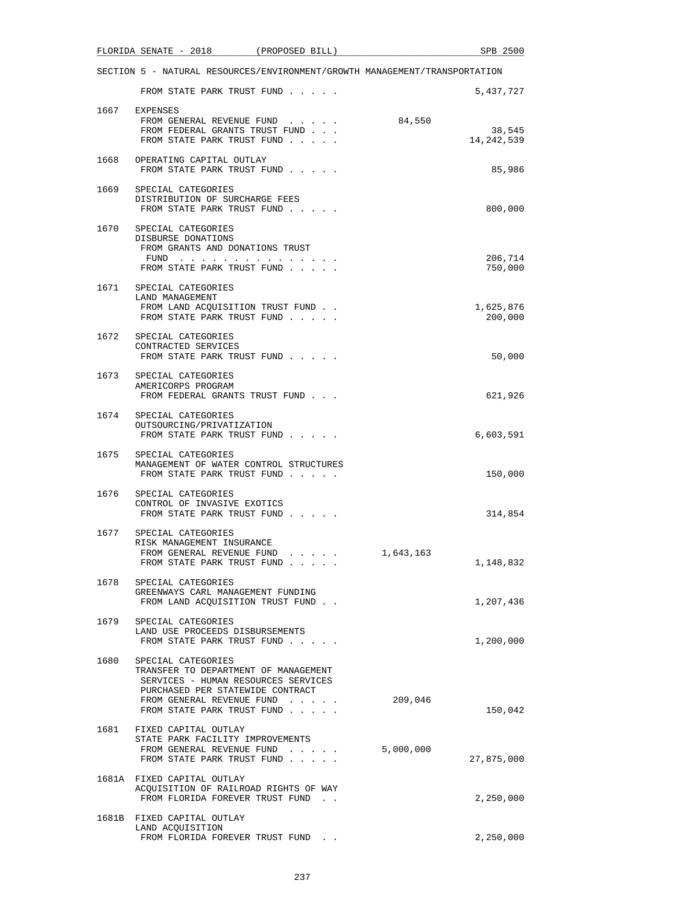|      | FLORIDA SENATE - 2018<br>(PROPOSED BILL)                                                                                                                                                              | SPB 2500                       |
|------|-------------------------------------------------------------------------------------------------------------------------------------------------------------------------------------------------------|--------------------------------|
|      | SECTION 5 - NATURAL RESOURCES/ENVIRONMENT/GROWTH MANAGEMENT/TRANSPORTATION                                                                                                                            |                                |
|      | FROM STATE PARK TRUST FUND                                                                                                                                                                            | 5,437,727                      |
| 1667 | EXPENSES<br>FROM GENERAL REVENUE FUND<br>FROM FEDERAL GRANTS TRUST FUND<br>FROM STATE PARK TRUST FUND                                                                                                 | 84,550<br>38,545<br>14,242,539 |
| 1668 | OPERATING CAPITAL OUTLAY<br>FROM STATE PARK TRUST FUND                                                                                                                                                | 85,986                         |
|      | 1669 SPECIAL CATEGORIES<br>DISTRIBUTION OF SURCHARGE FEES<br>FROM STATE PARK TRUST FUND                                                                                                               | 800,000                        |
|      | 1670 SPECIAL CATEGORIES<br>DISBURSE DONATIONS<br>FROM GRANTS AND DONATIONS TRUST<br>FUND $\cdots$<br>FROM STATE PARK TRUST FUND                                                                       | 206,714<br>750,000             |
| 1671 | SPECIAL CATEGORIES<br>LAND MANAGEMENT<br>FROM LAND ACQUISITION TRUST FUND<br>FROM STATE PARK TRUST FUND                                                                                               | 1,625,876<br>200,000           |
| 1672 | SPECIAL CATEGORIES<br>CONTRACTED SERVICES<br>FROM STATE PARK TRUST FUND                                                                                                                               | 50,000                         |
| 1673 | SPECIAL CATEGORIES<br>AMERICORPS PROGRAM<br>FROM FEDERAL GRANTS TRUST FUND                                                                                                                            | 621,926                        |
| 1674 | SPECIAL CATEGORIES<br>OUTSOURCING/PRIVATIZATION<br>FROM STATE PARK TRUST FUND                                                                                                                         | 6,603,591                      |
| 1675 | SPECIAL CATEGORIES<br>MANAGEMENT OF WATER CONTROL STRUCTURES<br>FROM STATE PARK TRUST FUND                                                                                                            | 150,000                        |
| 1676 | SPECIAL CATEGORIES<br>CONTROL OF INVASIVE EXOTICS<br>FROM STATE PARK TRUST FUND                                                                                                                       | 314,854                        |
| 1677 | SPECIAL CATEGORIES<br>RISK MANAGEMENT INSURANCE<br>FROM GENERAL REVENUE FUND<br>$\cdot$ $\cdot$ $\cdot$ $\cdot$ $\cdot$<br>FROM STATE PARK TRUST FUND                                                 | 1,643,163<br>1,148,832         |
| 1678 | SPECIAL CATEGORIES<br>GREENWAYS CARL MANAGEMENT FUNDING<br>FROM LAND ACOUISITION TRUST FUND.                                                                                                          | 1,207,436                      |
| 1679 | SPECIAL CATEGORIES<br>LAND USE PROCEEDS DISBURSEMENTS<br>FROM STATE PARK TRUST FUND                                                                                                                   | 1,200,000                      |
|      | 1680 SPECIAL CATEGORIES<br>TRANSFER TO DEPARTMENT OF MANAGEMENT<br>SERVICES - HUMAN RESOURCES SERVICES<br>PURCHASED PER STATEWIDE CONTRACT<br>FROM GENERAL REVENUE FUND<br>FROM STATE PARK TRUST FUND | 209,046<br>150,042             |
|      | 1681 FIXED CAPITAL OUTLAY<br>STATE PARK FACILITY IMPROVEMENTS<br>FROM GENERAL REVENUE FUND<br>FROM STATE PARK TRUST FUND                                                                              | 5,000,000<br>27,875,000        |
|      | 1681A FIXED CAPITAL OUTLAY<br>ACQUISITION OF RAILROAD RIGHTS OF WAY<br>FROM FLORIDA FOREVER TRUST FUND.                                                                                               | 2,250,000                      |
|      | 1681B FIXED CAPITAL OUTLAY<br>LAND ACQUISITION<br>FROM FLORIDA FOREVER TRUST FUND.                                                                                                                    | 2,250,000                      |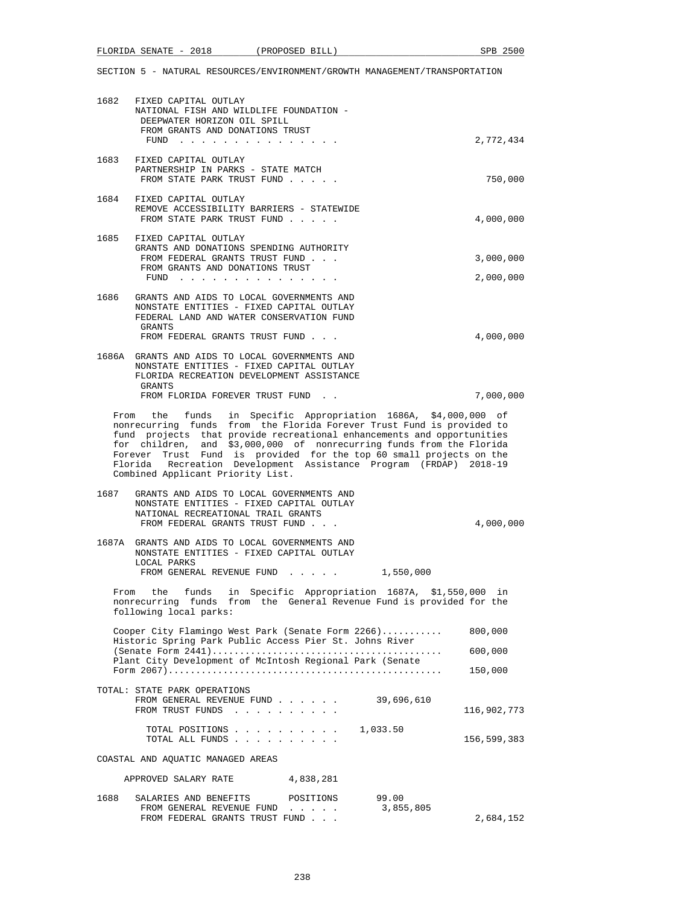| FLORIDA<br>. SENATE<br>$\overline{\phantom{0}}$ | 2018 | PROPOSED BILL | 2500<br><b>SPB</b> |
|-------------------------------------------------|------|---------------|--------------------|
|                                                 |      |               |                    |

| 1682 | FIXED CAPITAL OUTLAY<br>NATIONAL FISH AND WILDLIFE FOUNDATION -<br>DEEPWATER HORIZON OIL SPILL                                                                                                                                                                                                                                                                                                                                                                             |                                              |                    |                        |
|------|----------------------------------------------------------------------------------------------------------------------------------------------------------------------------------------------------------------------------------------------------------------------------------------------------------------------------------------------------------------------------------------------------------------------------------------------------------------------------|----------------------------------------------|--------------------|------------------------|
|      | FROM GRANTS AND DONATIONS TRUST                                                                                                                                                                                                                                                                                                                                                                                                                                            |                                              |                    | 2,772,434              |
| 1683 | FIXED CAPITAL OUTLAY<br>PARTNERSHIP IN PARKS - STATE MATCH<br>FROM STATE PARK TRUST FUND                                                                                                                                                                                                                                                                                                                                                                                   |                                              |                    | 750,000                |
|      | 1684 FIXED CAPITAL OUTLAY<br>REMOVE ACCESSIBILITY BARRIERS - STATEWIDE<br>FROM STATE PARK TRUST FUND                                                                                                                                                                                                                                                                                                                                                                       |                                              |                    | 4,000,000              |
| 1685 | FIXED CAPITAL OUTLAY<br>GRANTS AND DONATIONS SPENDING AUTHORITY<br>FROM FEDERAL GRANTS TRUST FUND<br>FROM GRANTS AND DONATIONS TRUST                                                                                                                                                                                                                                                                                                                                       |                                              |                    | 3,000,000              |
| 1686 | ${\tt FUND} \quad . \quad . \quad . \quad . \quad . \quad . \quad . \quad . \quad . \quad . \quad . \quad . \quad .$<br>GRANTS AND AIDS TO LOCAL GOVERNMENTS AND<br>NONSTATE ENTITIES - FIXED CAPITAL OUTLAY<br>FEDERAL LAND AND WATER CONSERVATION FUND<br>GRANTS<br>FROM FEDERAL GRANTS TRUST FUND                                                                                                                                                                       |                                              |                    | 2,000,000<br>4,000,000 |
|      | 1686A GRANTS AND AIDS TO LOCAL GOVERNMENTS AND<br>NONSTATE ENTITIES - FIXED CAPITAL OUTLAY<br>FLORIDA RECREATION DEVELOPMENT ASSISTANCE<br>GRANTS                                                                                                                                                                                                                                                                                                                          |                                              |                    |                        |
|      | FROM FLORIDA FOREVER TRUST FUND.                                                                                                                                                                                                                                                                                                                                                                                                                                           |                                              |                    | 7,000,000              |
|      | From the funds in Specific Appropriation 1686A, \$4,000,000 of<br>nonrecurring funds from the Florida Forever Trust Fund is provided to<br>fund projects that provide recreational enhancements and opportunities<br>for children, and \$3,000,000 of nonrecurring funds from the Florida<br>Forever Trust Fund is provided for the top 60 small projects on the<br>Florida Recreation Development Assistance Program (FRDAP) 2018-19<br>Combined Applicant Priority List. |                                              |                    |                        |
| 1687 | GRANTS AND AIDS TO LOCAL GOVERNMENTS AND<br>NONSTATE ENTITIES - FIXED CAPITAL OUTLAY<br>NATIONAL RECREATIONAL TRAIL GRANTS<br>FROM FEDERAL GRANTS TRUST FUND                                                                                                                                                                                                                                                                                                               |                                              |                    | 4,000,000              |
|      | 1687A GRANTS AND AIDS TO LOCAL GOVERNMENTS AND<br>NONSTATE ENTITIES - FIXED CAPITAL OUTLAY<br>LOCAL PARKS<br>FROM GENERAL REVENUE FUND                                                                                                                                                                                                                                                                                                                                     |                                              |                    |                        |
|      | From the funds in Specific Appropriation 1687A, \$1,550,000 in<br>nonrecurring funds from the General Revenue Fund is provided for the<br>following local parks:                                                                                                                                                                                                                                                                                                           |                                              | 1,550,000          |                        |
|      | Cooper City Flamingo West Park (Senate Form 2266)<br>Historic Spring Park Public Access Pier St. Johns River                                                                                                                                                                                                                                                                                                                                                               |                                              |                    | 800,000                |
|      | Plant City Development of McIntosh Regional Park (Senate                                                                                                                                                                                                                                                                                                                                                                                                                   |                                              |                    | 600,000                |
|      |                                                                                                                                                                                                                                                                                                                                                                                                                                                                            |                                              |                    | 150,000                |
|      | TOTAL: STATE PARK OPERATIONS<br>FROM GENERAL REVENUE FUND<br>FROM TRUST FUNDS                                                                                                                                                                                                                                                                                                                                                                                              |                                              | 39,696,610         | 116,902,773            |
|      | TOTAL POSITIONS<br>TOTAL ALL FUNDS                                                                                                                                                                                                                                                                                                                                                                                                                                         |                                              | 1,033.50           | 156,599,383            |
|      | COASTAL AND AQUATIC MANAGED AREAS                                                                                                                                                                                                                                                                                                                                                                                                                                          |                                              |                    |                        |
|      | APPROVED SALARY RATE                                                                                                                                                                                                                                                                                                                                                                                                                                                       | 4,838,281                                    |                    |                        |
| 1688 | SALARIES AND BENEFITS<br>FROM GENERAL REVENUE FUND                                                                                                                                                                                                                                                                                                                                                                                                                         | POSITIONS<br>the contract of the contract of | 99.00<br>3,855,805 |                        |

FROM FEDERAL GRANTS TRUST FUND . . . 2,684,152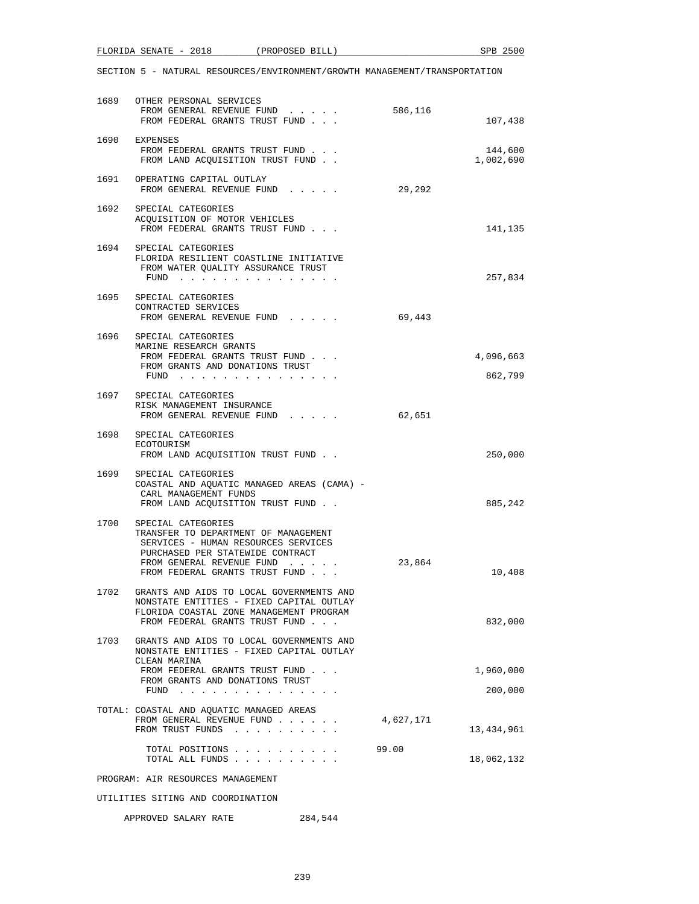|      | FLORIDA SENATE - 2018                                                                                                                                                                                     | (PROPOSED BILL) |           | SPB 2500             |
|------|-----------------------------------------------------------------------------------------------------------------------------------------------------------------------------------------------------------|-----------------|-----------|----------------------|
|      | SECTION 5 - NATURAL RESOURCES/ENVIRONMENT/GROWTH MANAGEMENT/TRANSPORTATION                                                                                                                                |                 |           |                      |
|      | 1689 OTHER PERSONAL SERVICES<br>FROM GENERAL REVENUE FUND<br>FROM FEDERAL GRANTS TRUST FUND                                                                                                               |                 | 586,116   | 107,438              |
|      | 1690 EXPENSES<br>FROM FEDERAL GRANTS TRUST FUND<br>FROM LAND ACQUISITION TRUST FUND                                                                                                                       |                 |           | 144,600<br>1,002,690 |
|      | 1691 OPERATING CAPITAL OUTLAY<br>FROM GENERAL REVENUE FUND                                                                                                                                                |                 | 29,292    |                      |
|      | 1692 SPECIAL CATEGORIES<br>ACQUISITION OF MOTOR VEHICLES<br>FROM FEDERAL GRANTS TRUST FUND                                                                                                                |                 |           | 141,135              |
|      | 1694 SPECIAL CATEGORIES<br>FLORIDA RESILIENT COASTLINE INITIATIVE<br>FROM WATER QUALITY ASSURANCE TRUST<br>FUND $\cdots$                                                                                  |                 |           | 257,834              |
|      | 1695 SPECIAL CATEGORIES<br>CONTRACTED SERVICES<br>FROM GENERAL REVENUE FUND                                                                                                                               |                 | 69,443    |                      |
|      | 1696 SPECIAL CATEGORIES<br>MARINE RESEARCH GRANTS<br>FROM FEDERAL GRANTS TRUST FUND<br>FROM GRANTS AND DONATIONS TRUST<br>FUND $\cdots$ $\cdots$ $\cdots$ $\cdots$ $\cdots$ $\cdots$ $\cdots$             |                 |           | 4,096,663<br>862,799 |
|      | 1697 SPECIAL CATEGORIES<br>RISK MANAGEMENT INSURANCE<br>FROM GENERAL REVENUE FUND                                                                                                                         |                 | 62,651    |                      |
|      | 1698 SPECIAL CATEGORIES<br>ECOTOURISM<br>FROM LAND ACQUISITION TRUST FUND                                                                                                                                 |                 |           | 250,000              |
| 1699 | SPECIAL CATEGORIES<br>COASTAL AND AQUATIC MANAGED AREAS (CAMA) -<br>CARL MANAGEMENT FUNDS<br>FROM LAND ACQUISITION TRUST FUND                                                                             |                 |           | 885,242              |
|      | 1700 SPECIAL CATEGORIES<br>TRANSFER TO DEPARTMENT OF MANAGEMENT<br>SERVICES - HUMAN RESOURCES SERVICES<br>PURCHASED PER STATEWIDE CONTRACT<br>FROM GENERAL REVENUE FUND<br>FROM FEDERAL GRANTS TRUST FUND |                 | 23,864    | 10,408               |
|      | 1702 GRANTS AND AIDS TO LOCAL GOVERNMENTS AND<br>NONSTATE ENTITIES - FIXED CAPITAL OUTLAY<br>FLORIDA COASTAL ZONE MANAGEMENT PROGRAM<br>FROM FEDERAL GRANTS TRUST FUND                                    |                 |           | 832,000              |
| 1703 | GRANTS AND AIDS TO LOCAL GOVERNMENTS AND<br>NONSTATE ENTITIES - FIXED CAPITAL OUTLAY<br>CLEAN MARINA                                                                                                      |                 |           |                      |
|      | FROM FEDERAL GRANTS TRUST FUND<br>FROM GRANTS AND DONATIONS TRUST<br>FUND $\cdots$ $\cdots$ $\cdots$ $\cdots$ $\cdots$ $\cdots$                                                                           |                 |           | 1,960,000<br>200,000 |
|      | TOTAL: COASTAL AND AQUATIC MANAGED AREAS<br>FROM GENERAL REVENUE FUND<br>FROM TRUST FUNDS                                                                                                                 |                 | 4,627,171 | 13,434,961           |
|      | TOTAL POSITIONS<br>TOTAL ALL FUNDS                                                                                                                                                                        |                 | 99.00     | 18,062,132           |
|      | PROGRAM: AIR RESOURCES MANAGEMENT                                                                                                                                                                         |                 |           |                      |
|      | UTILITIES SITING AND COORDINATION                                                                                                                                                                         |                 |           |                      |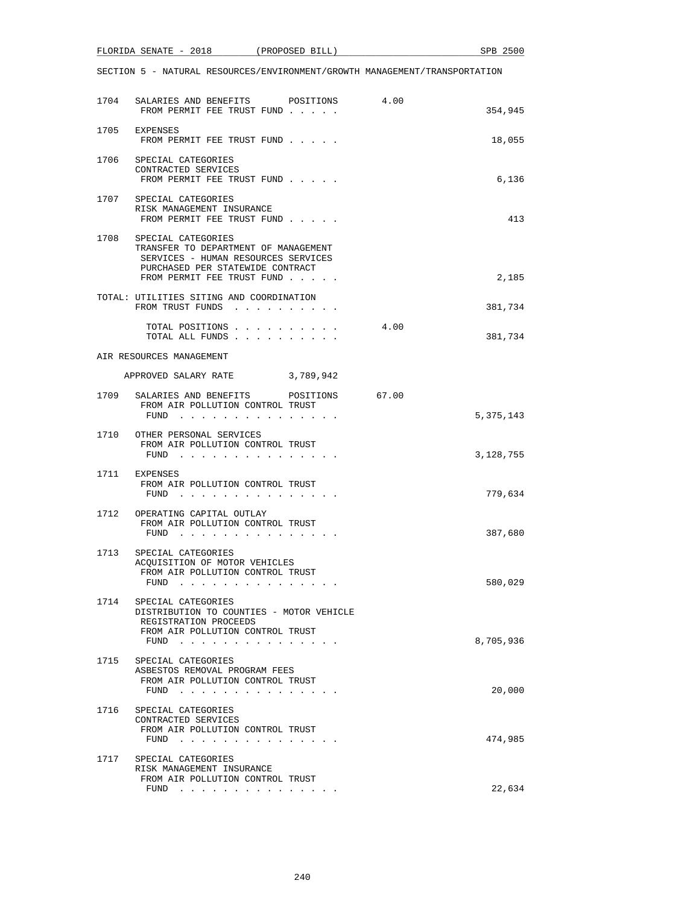| FLORIDA SENATE - 2018 |  |  | (PROPOSED BILL) |  |                                                                            | SPB 2500 |
|-----------------------|--|--|-----------------|--|----------------------------------------------------------------------------|----------|
|                       |  |  |                 |  |                                                                            |          |
|                       |  |  |                 |  | SECTION 5 - NATURAL RESOURCES/ENVIRONMENT/GROWTH MANAGEMENT/TRANSPORTATION |          |

|      | 1704 SALARIES AND BENEFITS POSITIONS<br>FROM PERMIT FEE TRUST FUND                                                                                                  | 4.00  | 354,945   |
|------|---------------------------------------------------------------------------------------------------------------------------------------------------------------------|-------|-----------|
| 1705 | EXPENSES<br>FROM PERMIT FEE TRUST FUND                                                                                                                              |       | 18,055    |
|      | 1706 SPECIAL CATEGORIES<br>CONTRACTED SERVICES<br>FROM PERMIT FEE TRUST FUND                                                                                        |       | 6,136     |
|      | 1707 SPECIAL CATEGORIES<br>RISK MANAGEMENT INSURANCE<br>FROM PERMIT FEE TRUST FUND                                                                                  |       | 413       |
| 1708 | SPECIAL CATEGORIES<br>TRANSFER TO DEPARTMENT OF MANAGEMENT<br>SERVICES - HUMAN RESOURCES SERVICES<br>PURCHASED PER STATEWIDE CONTRACT<br>FROM PERMIT FEE TRUST FUND |       | 2,185     |
|      | TOTAL: UTILITIES SITING AND COORDINATION<br>FROM TRUST FUNDS                                                                                                        |       | 381,734   |
|      | TOTAL POSITIONS<br>TOTAL ALL FUNDS                                                                                                                                  | 4.00  | 381,734   |
|      | AIR RESOURCES MANAGEMENT                                                                                                                                            |       |           |
|      | APPROVED SALARY RATE 3,789,942                                                                                                                                      |       |           |
| 1709 | SALARIES AND BENEFITS<br>POSITIONS<br>FROM AIR POLLUTION CONTROL TRUST<br>FUND $\cdots$                                                                             | 67.00 | 5,375,143 |
|      | 1710 OTHER PERSONAL SERVICES<br>FROM AIR POLLUTION CONTROL TRUST<br>FUND                                                                                            |       | 3,128,755 |
|      | 1711 EXPENSES<br>FROM AIR POLLUTION CONTROL TRUST<br>FUND                                                                                                           |       | 779,634   |
|      | 1712 OPERATING CAPITAL OUTLAY<br>FROM AIR POLLUTION CONTROL TRUST<br>FUND $\cdots$                                                                                  |       | 387,680   |
| 1713 | SPECIAL CATEGORIES<br>ACQUISITION OF MOTOR VEHICLES<br>FROM AIR POLLUTION CONTROL TRUST<br>FUND                                                                     |       | 580,029   |
| 1714 | SPECIAL CATEGORIES<br>DISTRIBUTION TO COUNTIES - MOTOR VEHICLE<br>REGISTRATION PROCEEDS<br>FROM AIR POLLUTION CONTROL TRUST<br>FUND $\cdots$                        |       | 8,705,936 |
|      | 1715 SPECIAL CATEGORIES<br>ASBESTOS REMOVAL PROGRAM FEES<br>FROM AIR POLLUTION CONTROL TRUST<br>FUND $\cdots$                                                       |       | 20,000    |
| 1716 | SPECIAL CATEGORIES<br>CONTRACTED SERVICES<br>FROM AIR POLLUTION CONTROL TRUST<br>FUND $\cdots$                                                                      |       | 474,985   |
| 1717 | SPECIAL CATEGORIES<br>RISK MANAGEMENT INSURANCE<br>FROM AIR POLLUTION CONTROL TRUST<br>FUND                                                                         |       | 22,634    |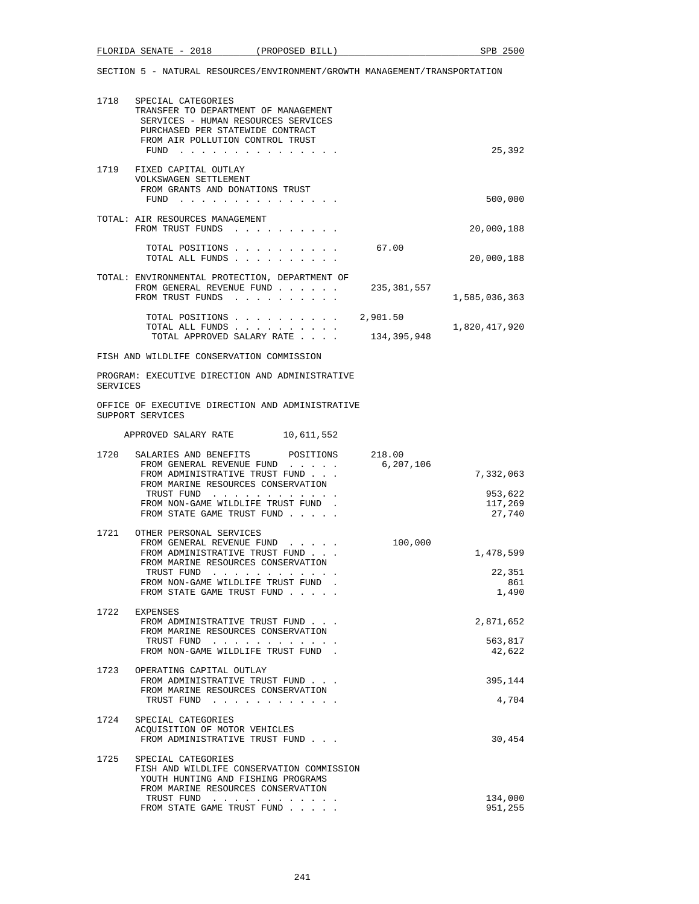|  | FLORIDA SENATE - |  | 2018 | PROPOSED<br>BILL | 2500<br>SPB |
|--|------------------|--|------|------------------|-------------|
|--|------------------|--|------|------------------|-------------|

| 1718     | SPECIAL CATEGORIES<br>TRANSFER TO DEPARTMENT OF MANAGEMENT<br>SERVICES - HUMAN RESOURCES SERVICES<br>PURCHASED PER STATEWIDE CONTRACT<br>FROM AIR POLLUTION CONTROL TRUST<br>FUND $\cdots$                                   |                         | 25,392                                    |
|----------|------------------------------------------------------------------------------------------------------------------------------------------------------------------------------------------------------------------------------|-------------------------|-------------------------------------------|
| 1719     | FIXED CAPITAL OUTLAY<br>VOLKSWAGEN SETTLEMENT<br>FROM GRANTS AND DONATIONS TRUST<br>FUND $\cdots$                                                                                                                            |                         | 500,000                                   |
|          | TOTAL: AIR RESOURCES MANAGEMENT<br>FROM TRUST FUNDS                                                                                                                                                                          |                         | 20,000,188                                |
|          | TOTAL POSITIONS<br>TOTAL ALL FUNDS                                                                                                                                                                                           | 67.00                   | 20,000,188                                |
|          | TOTAL: ENVIRONMENTAL PROTECTION, DEPARTMENT OF<br>FROM GENERAL REVENUE FUND<br>FROM TRUST FUNDS                                                                                                                              | 235, 381, 557           | 1,585,036,363                             |
|          | TOTAL POSITIONS<br>TOTAL ALL FUNDS.<br>TOTAL APPROVED SALARY RATE                                                                                                                                                            | 2,901.50<br>134,395,948 | 1,820,417,920                             |
|          | FISH AND WILDLIFE CONSERVATION COMMISSION                                                                                                                                                                                    |                         |                                           |
| SERVICES | PROGRAM: EXECUTIVE DIRECTION AND ADMINISTRATIVE                                                                                                                                                                              |                         |                                           |
|          | OFFICE OF EXECUTIVE DIRECTION AND ADMINISTRATIVE<br>SUPPORT SERVICES                                                                                                                                                         |                         |                                           |
|          | APPROVED SALARY RATE 10,611,552                                                                                                                                                                                              |                         |                                           |
| 1720     | SALARIES AND BENEFITS POSITIONS 218.00<br>FROM GENERAL REVENUE FUND<br>FROM ADMINISTRATIVE TRUST FUND<br>FROM MARINE RESOURCES CONSERVATION<br>TRUST FUND<br>FROM NON-GAME WILDLIFE TRUST FUND<br>FROM STATE GAME TRUST FUND | 6,207,106               | 7,332,063<br>953,622<br>117,269<br>27,740 |
| 1721     | OTHER PERSONAL SERVICES<br>FROM GENERAL REVENUE FUND<br>FROM ADMINISTRATIVE TRUST FUND.<br>FROM MARINE RESOURCES CONSERVATION<br>TRUST FUND<br>FROM NON-GAME WILDLIFE TRUST FUND<br>FROM STATE GAME TRUST FUND               | 100,000                 | 1,478,599<br>22,351<br>861<br>1,490       |
| 1722     | EXPENSES<br>FROM ADMINISTRATIVE TRUST FUND<br>FROM MARINE RESOURCES CONSERVATION<br>TRUST FUND<br>FROM NON-GAME WILDLIFE TRUST FUND.                                                                                         |                         | 2,871,652<br>563,817<br>42,622            |
| 1723     | OPERATING CAPITAL OUTLAY<br>FROM ADMINISTRATIVE TRUST FUND<br>FROM MARINE RESOURCES CONSERVATION<br>TRUST FUND                                                                                                               |                         | 395,144<br>4,704                          |
| 1724     | SPECIAL CATEGORIES<br>ACQUISITION OF MOTOR VEHICLES<br>FROM ADMINISTRATIVE TRUST FUND                                                                                                                                        |                         | 30,454                                    |
| 1725     | SPECIAL CATEGORIES<br>FISH AND WILDLIFE CONSERVATION COMMISSION<br>YOUTH HUNTING AND FISHING PROGRAMS                                                                                                                        |                         |                                           |
|          | FROM MARINE RESOURCES CONSERVATION<br>TRUST FUND<br>FROM STATE GAME TRUST FUND                                                                                                                                               |                         | 134,000<br>951,255                        |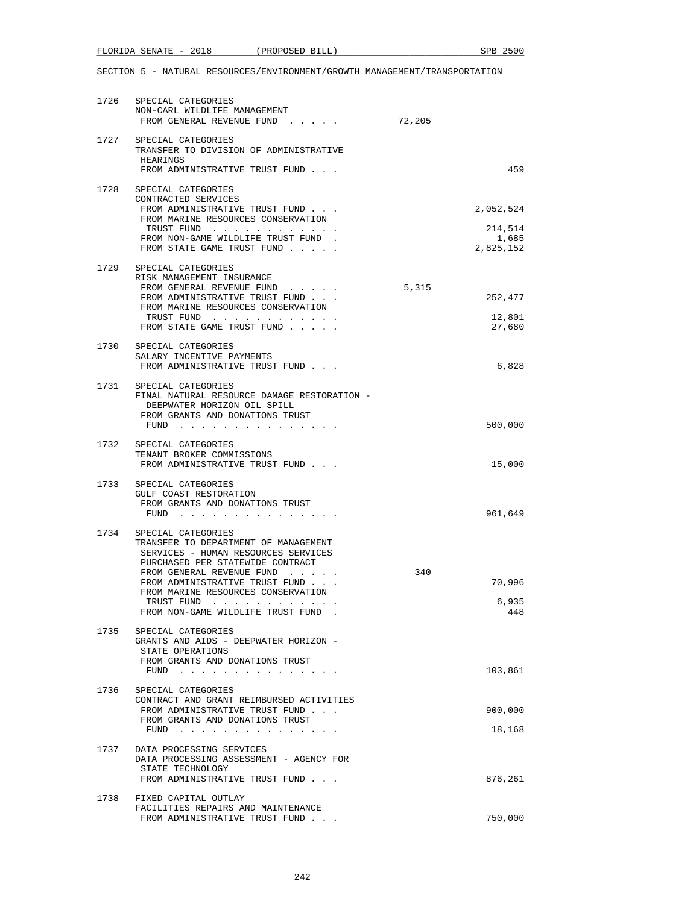| 1726 | SPECIAL CATEGORIES<br>NON-CARL WILDLIFE MANAGEMENT<br>FROM GENERAL REVENUE FUND                                                                                                                                                                                                                 | 72,205 |                             |
|------|-------------------------------------------------------------------------------------------------------------------------------------------------------------------------------------------------------------------------------------------------------------------------------------------------|--------|-----------------------------|
| 1727 | SPECIAL CATEGORIES<br>TRANSFER TO DIVISION OF ADMINISTRATIVE<br>HEARINGS<br>FROM ADMINISTRATIVE TRUST FUND                                                                                                                                                                                      |        | 459                         |
| 1728 | SPECIAL CATEGORIES<br>CONTRACTED SERVICES<br>FROM ADMINISTRATIVE TRUST FUND<br>FROM MARINE RESOURCES CONSERVATION<br>TRUST FUND                                                                                                                                                                 |        | 2,052,524<br>214,514        |
|      | FROM NON-GAME WILDLIFE TRUST FUND<br>FROM STATE GAME TRUST FUND                                                                                                                                                                                                                                 |        | 1,685<br>2,825,152          |
| 1729 | SPECIAL CATEGORIES<br>RISK MANAGEMENT INSURANCE<br>FROM GENERAL REVENUE FUND<br>FROM ADMINISTRATIVE TRUST FUND<br>FROM MARINE RESOURCES CONSERVATION<br>TRUST FUND<br>FROM STATE GAME TRUST FUND                                                                                                | 5,315  | 252,477<br>12,801<br>27,680 |
| 1730 | SPECIAL CATEGORIES<br>SALARY INCENTIVE PAYMENTS<br>FROM ADMINISTRATIVE TRUST FUND                                                                                                                                                                                                               |        | 6,828                       |
| 1731 | SPECIAL CATEGORIES<br>FINAL NATURAL RESOURCE DAMAGE RESTORATION -<br>DEEPWATER HORIZON OIL SPILL<br>FROM GRANTS AND DONATIONS TRUST<br>FUND<br>$\sim$<br>.                                                                                                                                      |        | 500,000                     |
|      | 1732 SPECIAL CATEGORIES<br>TENANT BROKER COMMISSIONS<br>FROM ADMINISTRATIVE TRUST FUND                                                                                                                                                                                                          |        | 15,000                      |
| 1733 | SPECIAL CATEGORIES<br>GULF COAST RESTORATION<br>FROM GRANTS AND DONATIONS TRUST<br>FUND                                                                                                                                                                                                         |        | 961,649                     |
| 1734 | SPECIAL CATEGORIES<br>TRANSFER TO DEPARTMENT OF MANAGEMENT<br>SERVICES - HUMAN RESOURCES SERVICES<br>PURCHASED PER STATEWIDE CONTRACT<br>FROM GENERAL REVENUE FUND<br>FROM ADMINISTRATIVE TRUST FUND.<br>FROM MARINE RESOURCES CONSERVATION<br>TRUST FUND<br>FROM NON-GAME WILDLIFE TRUST FUND. | 340    | 70,996<br>6,935<br>448      |
| 1735 | SPECIAL CATEGORIES<br>GRANTS AND AIDS - DEEPWATER HORIZON -<br>STATE OPERATIONS<br>FROM GRANTS AND DONATIONS TRUST<br>$FUND$                                                                                                                                                                    |        | 103,861                     |
|      | 1736 SPECIAL CATEGORIES<br>CONTRACT AND GRANT REIMBURSED ACTIVITIES<br>FROM ADMINISTRATIVE TRUST FUND<br>FROM GRANTS AND DONATIONS TRUST<br>FUND $\cdots$                                                                                                                                       |        | 900,000<br>18,168           |
| 1737 | DATA PROCESSING SERVICES<br>DATA PROCESSING ASSESSMENT - AGENCY FOR<br>STATE TECHNOLOGY<br>FROM ADMINISTRATIVE TRUST FUND                                                                                                                                                                       |        | 876,261                     |
| 1738 | FIXED CAPITAL OUTLAY<br>FACILITIES REPAIRS AND MAINTENANCE<br>FROM ADMINISTRATIVE TRUST FUND                                                                                                                                                                                                    |        | 750,000                     |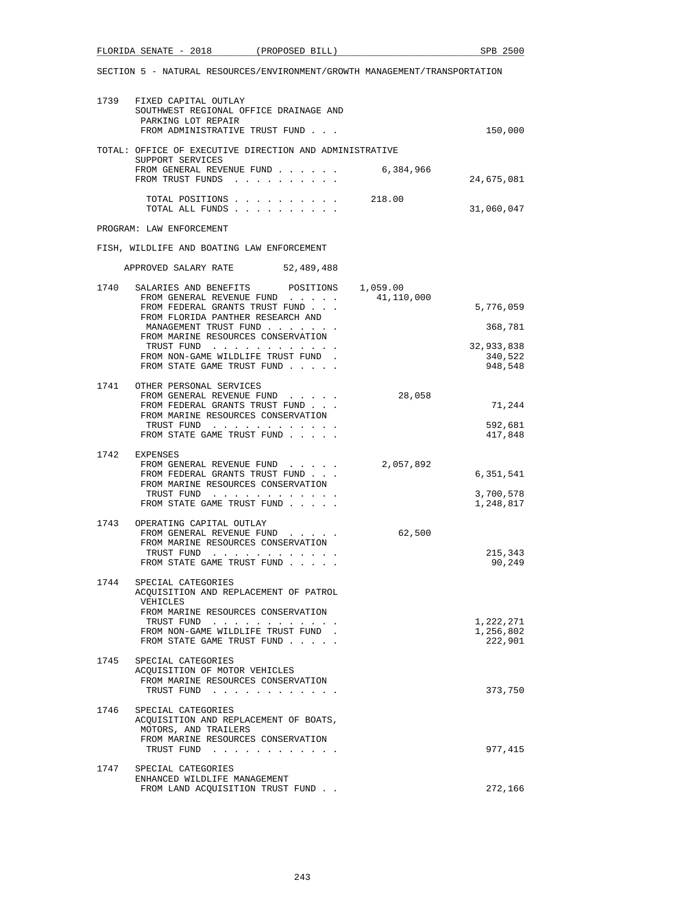|      | FLORIDA SENATE - 2018 (PROPOSED BILL)                                                                                             |                                                                          |            | SPB 2500                          |
|------|-----------------------------------------------------------------------------------------------------------------------------------|--------------------------------------------------------------------------|------------|-----------------------------------|
|      | SECTION 5 - NATURAL RESOURCES/ENVIRONMENT/GROWTH MANAGEMENT/TRANSPORTATION                                                        |                                                                          |            |                                   |
|      | 1739 FIXED CAPITAL OUTLAY<br>SOUTHWEST REGIONAL OFFICE DRAINAGE AND<br>PARKING LOT REPAIR<br>FROM ADMINISTRATIVE TRUST FUND       |                                                                          |            | 150,000                           |
|      | TOTAL: OFFICE OF EXECUTIVE DIRECTION AND ADMINISTRATIVE                                                                           |                                                                          |            |                                   |
|      | SUPPORT SERVICES<br>FROM GENERAL REVENUE FUND<br>FROM TRUST FUNDS                                                                 |                                                                          | 6,384,966  | 24,675,081                        |
|      | TOTAL ALL FUNDS                                                                                                                   | TOTAL POSITIONS 218.00                                                   |            | 31,060,047                        |
|      | PROGRAM: LAW ENFORCEMENT                                                                                                          |                                                                          |            |                                   |
|      | FISH, WILDLIFE AND BOATING LAW ENFORCEMENT                                                                                        |                                                                          |            |                                   |
|      | APPROVED SALARY RATE 52,489,488                                                                                                   |                                                                          |            |                                   |
|      | 1740 SALARIES AND BENEFITS POSITIONS 1,059.00<br>FROM GENERAL REVENUE FUND<br>FROM FEDERAL GRANTS TRUST FUND                      |                                                                          | 41,110,000 | 5,776,059                         |
|      | FROM FLORIDA PANTHER RESEARCH AND<br>MANAGEMENT TRUST FUND                                                                        |                                                                          |            | 368,781                           |
|      | FROM MARINE RESOURCES CONSERVATION<br>TRUST FUND                                                                                  |                                                                          |            | 32,933,838                        |
|      | FROM NON-GAME WILDLIFE TRUST FUND.<br>FROM STATE GAME TRUST FUND                                                                  |                                                                          |            | 340,522<br>948,548                |
|      | 1741 OTHER PERSONAL SERVICES<br>FROM GENERAL REVENUE FUND<br>FROM FEDERAL GRANTS TRUST FUND<br>FROM MARINE RESOURCES CONSERVATION |                                                                          | 28,058     | 71,244                            |
|      | TRUST FUND<br>FROM STATE GAME TRUST FUND                                                                                          |                                                                          |            | 592,681<br>417,848                |
|      | 1742 EXPENSES<br>FROM GENERAL REVENUE FUND<br>FROM FEDERAL GRANTS TRUST FUND<br>FROM MARINE RESOURCES CONSERVATION                |                                                                          | 2,057,892  | 6,351,541                         |
|      | TRUST FUND<br>FROM STATE GAME TRUST FUND                                                                                          |                                                                          |            | 3,700,578<br>1,248,817            |
|      | 1743 OPERATING CAPITAL OUTLAY<br>FROM GENERAL REVENUE FUND<br>FROM MARINE RESOURCES CONSERVATION                                  |                                                                          | 62,500     |                                   |
|      | TRUST FUND<br>FROM STATE GAME TRUST FUND                                                                                          | . The contribution of the contribution of the contribution $\mathcal{C}$ |            | 215,343<br>90,249                 |
| 1744 | SPECIAL CATEGORIES<br>ACQUISITION AND REPLACEMENT OF PATROL<br>VEHICLES<br>FROM MARINE RESOURCES CONSERVATION                     |                                                                          |            |                                   |
|      | TRUST FUND<br>FROM NON-GAME WILDLIFE TRUST FUND<br>FROM STATE GAME TRUST FUND                                                     |                                                                          |            | 1,222,271<br>1,256,802<br>222,901 |
| 1745 | SPECIAL CATEGORIES<br>ACQUISITION OF MOTOR VEHICLES<br>FROM MARINE RESOURCES CONSERVATION<br>TRUST FUND                           |                                                                          |            | 373,750                           |
| 1746 | SPECIAL CATEGORIES<br>ACQUISITION AND REPLACEMENT OF BOATS,<br>MOTORS, AND TRAILERS                                               |                                                                          |            |                                   |
|      | FROM MARINE RESOURCES CONSERVATION<br>TRUST FUND                                                                                  |                                                                          |            | 977,415                           |
| 1747 | SPECIAL CATEGORIES<br>ENHANCED WILDLIFE MANAGEMENT<br>FROM LAND ACQUISITION TRUST FUND.                                           |                                                                          |            | 272,166                           |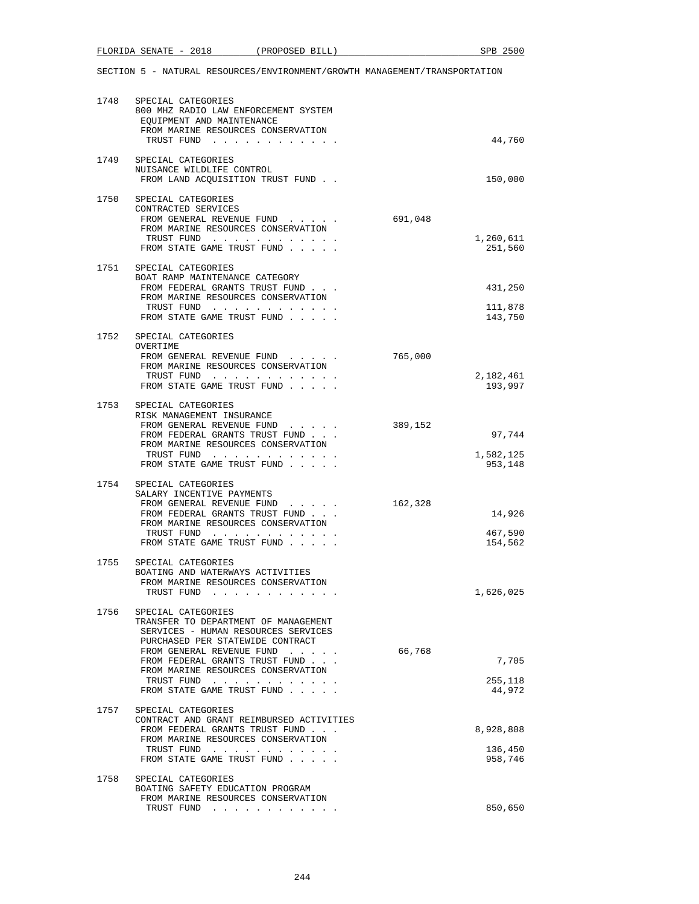# FLORIDA SENATE - 2018 (PROPOSED BILL) SPB 2500

| 1748 | SPECIAL CATEGORIES<br>800 MHZ RADIO LAW ENFORCEMENT SYSTEM<br>EQUIPMENT AND MAINTENANCE<br>FROM MARINE RESOURCES CONSERVATION<br>TRUST FUND                                                                                                                                            |         | 44,760                          |
|------|----------------------------------------------------------------------------------------------------------------------------------------------------------------------------------------------------------------------------------------------------------------------------------------|---------|---------------------------------|
|      | 1749 SPECIAL CATEGORIES<br>NUISANCE WILDLIFE CONTROL<br>FROM LAND ACQUISITION TRUST FUND                                                                                                                                                                                               |         | 150,000                         |
| 1750 | SPECIAL CATEGORIES<br>CONTRACTED SERVICES<br>FROM GENERAL REVENUE FUND<br>FROM MARINE RESOURCES CONSERVATION<br>TRUST FUND<br>FROM STATE GAME TRUST FUND                                                                                                                               | 691,048 | 1,260,611<br>251,560            |
|      | 1751 SPECIAL CATEGORIES<br>BOAT RAMP MAINTENANCE CATEGORY<br>FROM FEDERAL GRANTS TRUST FUND<br>FROM MARINE RESOURCES CONSERVATION<br>TRUST FUND<br>FROM STATE GAME TRUST FUND                                                                                                          |         | 431,250<br>111,878<br>143,750   |
|      | 1752 SPECIAL CATEGORIES<br>OVERTIME<br>FROM GENERAL REVENUE FUND<br>FROM MARINE RESOURCES CONSERVATION<br>TRUST FUND<br>FROM STATE GAME TRUST FUND                                                                                                                                     | 765,000 | 2,182,461<br>193,997            |
|      | 1753 SPECIAL CATEGORIES<br>RISK MANAGEMENT INSURANCE<br>FROM GENERAL REVENUE FUND<br>FROM FEDERAL GRANTS TRUST FUND<br>FROM MARINE RESOURCES CONSERVATION<br>TRUST FUND<br>FROM STATE GAME TRUST FUND                                                                                  | 389,152 | 97,744<br>1,582,125<br>953,148  |
| 1754 | SPECIAL CATEGORIES<br>SALARY INCENTIVE PAYMENTS<br>FROM GENERAL REVENUE FUND<br>FROM FEDERAL GRANTS TRUST FUND<br>FROM MARINE RESOURCES CONSERVATION<br>TRUST FUND<br>FROM STATE GAME TRUST FUND                                                                                       | 162,328 | 14,926<br>467,590<br>154,562    |
| 1755 | SPECIAL CATEGORIES<br>BOATING AND WATERWAYS ACTIVITIES<br>FROM MARINE RESOURCES CONSERVATION<br>TRUST FUND                                                                                                                                                                             |         | 1,626,025                       |
| 1756 | SPECIAL CATEGORIES<br>TRANSFER TO DEPARTMENT OF MANAGEMENT<br>SERVICES - HUMAN RESOURCES SERVICES<br>PURCHASED PER STATEWIDE CONTRACT<br>FROM GENERAL REVENUE FUND<br>FROM FEDERAL GRANTS TRUST FUND<br>FROM MARINE RESOURCES CONSERVATION<br>TRUST FUND<br>FROM STATE GAME TRUST FUND | 66,768  | 7,705<br>255,118<br>44,972      |
| 1757 | SPECIAL CATEGORIES<br>CONTRACT AND GRANT REIMBURSED ACTIVITIES<br>FROM FEDERAL GRANTS TRUST FUND<br>FROM MARINE RESOURCES CONSERVATION<br>TRUST FUND<br>FROM STATE GAME TRUST FUND                                                                                                     |         | 8,928,808<br>136,450<br>958,746 |
| 1758 | SPECIAL CATEGORIES<br>BOATING SAFETY EDUCATION PROGRAM<br>FROM MARINE RESOURCES CONSERVATION<br>TRUST FUND                                                                                                                                                                             |         | 850,650                         |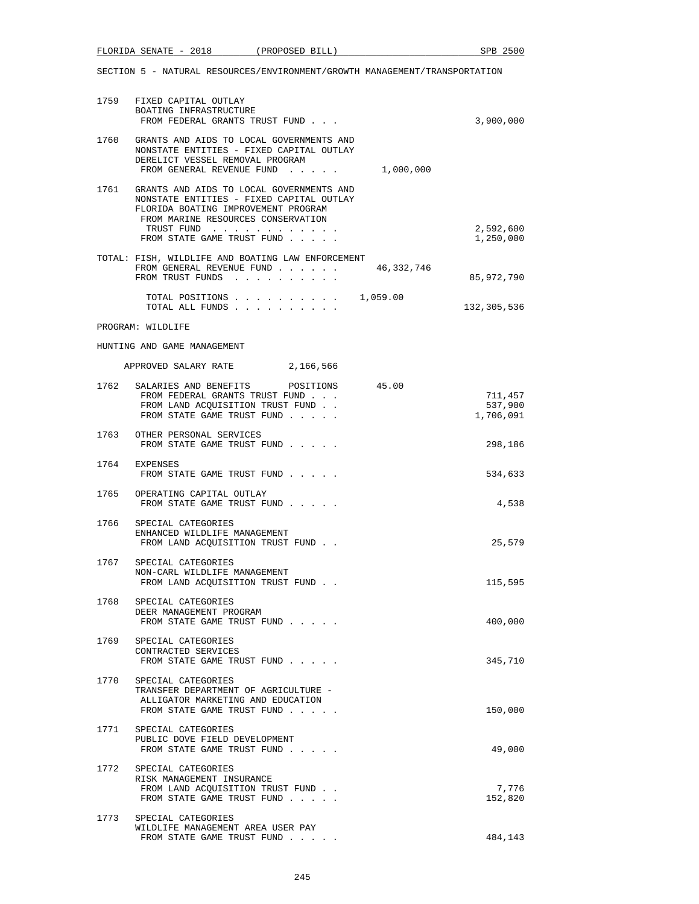| 1759 | FIXED CAPITAL OUTLAY<br>BOATING INFRASTRUCTURE<br>FROM FEDERAL GRANTS TRUST FUND                                                                                                |            | 3,900,000                       |
|------|---------------------------------------------------------------------------------------------------------------------------------------------------------------------------------|------------|---------------------------------|
| 1760 | GRANTS AND AIDS TO LOCAL GOVERNMENTS AND<br>NONSTATE ENTITIES - FIXED CAPITAL OUTLAY<br>DERELICT VESSEL REMOVAL PROGRAM<br>FROM GENERAL REVENUE FUND 1,000,000                  |            |                                 |
| 1761 | GRANTS AND AIDS TO LOCAL GOVERNMENTS AND<br>NONSTATE ENTITIES - FIXED CAPITAL OUTLAY<br>FLORIDA BOATING IMPROVEMENT PROGRAM<br>FROM MARINE RESOURCES CONSERVATION<br>TRUST FUND |            | 2,592,600                       |
|      | FROM STATE GAME TRUST FUND                                                                                                                                                      |            | 1,250,000                       |
|      | TOTAL: FISH, WILDLIFE AND BOATING LAW ENFORCEMENT<br>FROM GENERAL REVENUE FUND<br>FROM TRUST FUNDS                                                                              | 46,332,746 | 85,972,790                      |
|      | TOTAL POSITIONS $\ldots$ , $\ldots$ , $\ldots$ , $\ldots$ , $\frac{1}{059.00}$<br>TOTAL ALL FUNDS                                                                               |            | 132,305,536                     |
|      | PROGRAM: WILDLIFE                                                                                                                                                               |            |                                 |
|      | HUNTING AND GAME MANAGEMENT                                                                                                                                                     |            |                                 |
|      | APPROVED SALARY RATE 2,166,566                                                                                                                                                  |            |                                 |
|      | 1762 SALARIES AND BENEFITS<br>POSITIONS<br>FROM FEDERAL GRANTS TRUST FUND<br>FROM LAND ACQUISITION TRUST FUND.<br>FROM STATE GAME TRUST FUND                                    | 45.00      | 711,457<br>537,900<br>1,706,091 |
|      | 1763 OTHER PERSONAL SERVICES<br>FROM STATE GAME TRUST FUND                                                                                                                      |            | 298,186                         |
|      | 1764 EXPENSES<br>FROM STATE GAME TRUST FUND                                                                                                                                     |            | 534,633                         |
|      | 1765 OPERATING CAPITAL OUTLAY<br>FROM STATE GAME TRUST FUND                                                                                                                     |            | 4,538                           |
| 1766 | SPECIAL CATEGORIES<br>ENHANCED WILDLIFE MANAGEMENT<br>FROM LAND ACQUISITION TRUST FUND                                                                                          |            | 25,579                          |
|      | 1767 SPECIAL CATEGORIES<br>NON-CARL WILDLIFE MANAGEMENT<br>FROM LAND ACOUISITION TRUST FUND.                                                                                    |            | 115,595                         |
| 1768 | SPECIAL CATEGORIES<br>DEER MANAGEMENT PROGRAM<br>FROM STATE GAME TRUST FUND                                                                                                     |            | 400,000                         |
| 1769 | SPECIAL CATEGORIES<br>CONTRACTED SERVICES<br>FROM STATE GAME TRUST FUND                                                                                                         |            | 345,710                         |
| 1770 | SPECIAL CATEGORIES<br>TRANSFER DEPARTMENT OF AGRICULTURE -<br>ALLIGATOR MARKETING AND EDUCATION<br>FROM STATE GAME TRUST FUND                                                   |            | 150,000                         |
| 1771 | SPECIAL CATEGORIES<br>PUBLIC DOVE FIELD DEVELOPMENT<br>FROM STATE GAME TRUST FUND                                                                                               |            | 49,000                          |
| 1772 | SPECIAL CATEGORIES<br>RISK MANAGEMENT INSURANCE<br>FROM LAND ACQUISITION TRUST FUND.<br>FROM STATE GAME TRUST FUND                                                              |            | 7,776<br>152,820                |
| 1773 | SPECIAL CATEGORIES<br>WILDLIFE MANAGEMENT AREA USER PAY<br>FROM STATE GAME TRUST FUND                                                                                           |            | 484,143                         |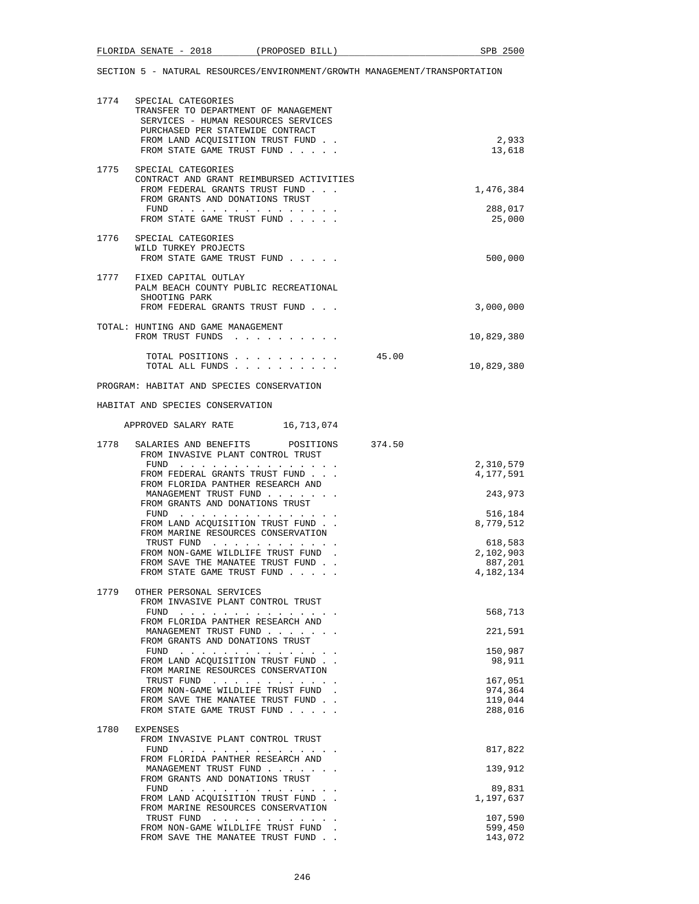|      | 1774 SPECIAL CATEGORIES<br>TRANSFER TO DEPARTMENT OF MANAGEMENT<br>SERVICES - HUMAN RESOURCES SERVICES<br>PURCHASED PER STATEWIDE CONTRACT                                                                                                                                |       |                        |
|------|---------------------------------------------------------------------------------------------------------------------------------------------------------------------------------------------------------------------------------------------------------------------------|-------|------------------------|
|      | FROM LAND ACQUISITION TRUST FUND<br>FROM STATE GAME TRUST FUND                                                                                                                                                                                                            |       | 2,933<br>13,618        |
| 1775 | SPECIAL CATEGORIES<br>CONTRACT AND GRANT REIMBURSED ACTIVITIES<br>FROM FEDERAL GRANTS TRUST FUND                                                                                                                                                                          |       | 1,476,384              |
|      | FROM GRANTS AND DONATIONS TRUST<br>${\tt FUND} \quad . \quad . \quad . \quad . \quad . \quad . \quad . \quad . \quad . \quad . \quad . \quad . \quad .$<br>FROM STATE GAME TRUST FUND                                                                                     |       | 288,017<br>25,000      |
|      | 1776 SPECIAL CATEGORIES<br>WILD TURKEY PROJECTS<br>FROM STATE GAME TRUST FUND                                                                                                                                                                                             |       | 500,000                |
|      | 1777 FIXED CAPITAL OUTLAY<br>PALM BEACH COUNTY PUBLIC RECREATIONAL<br>SHOOTING PARK<br>FROM FEDERAL GRANTS TRUST FUND                                                                                                                                                     |       | 3,000,000              |
|      | TOTAL: HUNTING AND GAME MANAGEMENT<br>FROM TRUST FUNDS                                                                                                                                                                                                                    |       | 10,829,380             |
|      | TOTAL POSITIONS<br>TOTAL ALL FUNDS                                                                                                                                                                                                                                        | 45.00 | 10,829,380             |
|      | PROGRAM: HABITAT AND SPECIES CONSERVATION                                                                                                                                                                                                                                 |       |                        |
|      | HABITAT AND SPECIES CONSERVATION                                                                                                                                                                                                                                          |       |                        |
|      | APPROVED SALARY RATE 16,713,074                                                                                                                                                                                                                                           |       |                        |
| 1778 | SALARIES AND BENEFITS POSITIONS 374.50<br>FROM INVASIVE PLANT CONTROL TRUST                                                                                                                                                                                               |       |                        |
|      | FUND<br>FROM FEDERAL GRANTS TRUST FUND                                                                                                                                                                                                                                    |       | 2,310,579<br>4,177,591 |
|      | FROM FLORIDA PANTHER RESEARCH AND<br>MANAGEMENT TRUST FUND<br>FROM GRANTS AND DONATIONS TRUST                                                                                                                                                                             |       | 243,973                |
|      | $FUND$<br>FROM LAND ACQUISITION TRUST FUND                                                                                                                                                                                                                                |       | 516,184<br>8,779,512   |
|      | FROM MARINE RESOURCES CONSERVATION<br>TRUST FUND                                                                                                                                                                                                                          |       | 618,583                |
|      | FROM NON-GAME WILDLIFE TRUST FUND.<br>FROM SAVE THE MANATEE TRUST FUND.                                                                                                                                                                                                   |       | 2,102,903<br>887,201   |
|      | FROM STATE GAME TRUST FUND                                                                                                                                                                                                                                                |       | 4,182,134              |
|      | 1779 OTHER PERSONAL SERVICES<br>FROM INVASIVE PLANT CONTROL TRUST                                                                                                                                                                                                         |       |                        |
|      | FUND $\cdots$ , $\cdots$ , $\cdots$ , $\cdots$<br>FROM FLORIDA PANTHER RESEARCH AND                                                                                                                                                                                       |       | 568,713                |
|      | MANAGEMENT TRUST FUND<br>FROM GRANTS AND DONATIONS TRUST                                                                                                                                                                                                                  |       | 221,591                |
|      | FUND $\cdots$<br>FROM LAND ACQUISITION TRUST FUND                                                                                                                                                                                                                         |       | 150,987<br>98,911      |
|      | FROM MARINE RESOURCES CONSERVATION                                                                                                                                                                                                                                        |       | 167,051                |
|      | TRUST FUND<br>FROM NON-GAME WILDLIFE TRUST FUND.                                                                                                                                                                                                                          |       | 974,364                |
|      | FROM SAVE THE MANATEE TRUST FUND.<br>FROM STATE GAME TRUST FUND                                                                                                                                                                                                           |       | 119,044<br>288,016     |
| 1780 | EXPENSES                                                                                                                                                                                                                                                                  |       |                        |
|      | FROM INVASIVE PLANT CONTROL TRUST<br>FUND $\cdots$                                                                                                                                                                                                                        |       | 817,822                |
|      | FROM FLORIDA PANTHER RESEARCH AND<br>MANAGEMENT TRUST FUND                                                                                                                                                                                                                |       | 139,912                |
|      | FROM GRANTS AND DONATIONS TRUST<br>FUND<br>the second contract of the second contract of the second second contract of the second second second second second second second second second second second second second second second second second second second second se |       | 89,831                 |
|      | FROM LAND ACQUISITION TRUST FUND                                                                                                                                                                                                                                          |       | 1,197,637              |
|      | FROM MARINE RESOURCES CONSERVATION<br>TRUST FUND                                                                                                                                                                                                                          |       | 107,590                |
|      | FROM NON-GAME WILDLIFE TRUST FUND.                                                                                                                                                                                                                                        |       | 599,450                |
|      | FROM SAVE THE MANATEE TRUST FUND                                                                                                                                                                                                                                          |       | 143,072                |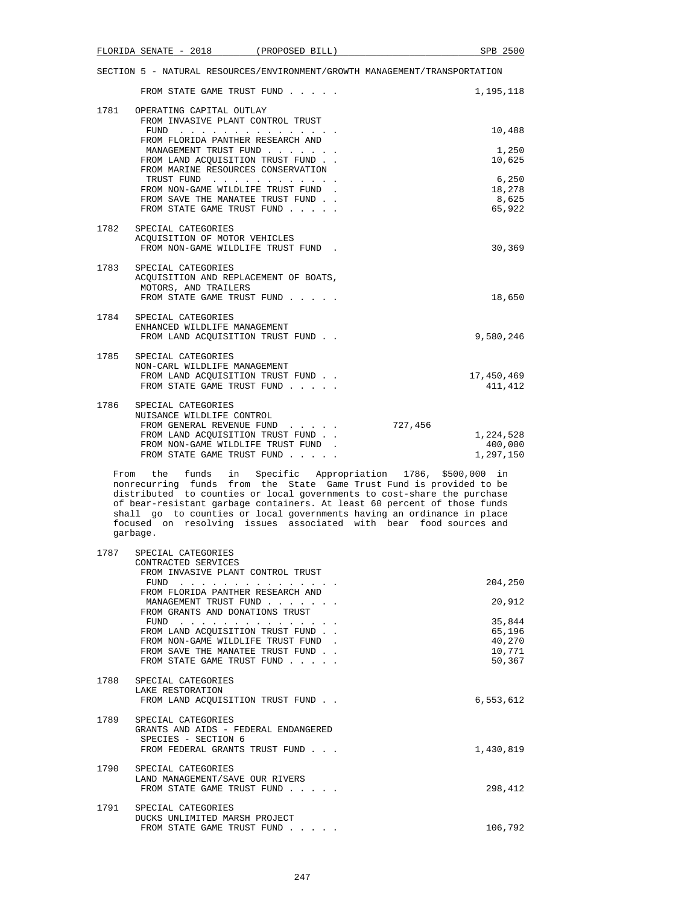|      | FROM STATE GAME TRUST FUND                                                                                             |         | 1,195,118             |
|------|------------------------------------------------------------------------------------------------------------------------|---------|-----------------------|
|      | 1781 OPERATING CAPITAL OUTLAY<br>FROM INVASIVE PLANT CONTROL TRUST                                                     |         |                       |
|      | FUND $\cdots$<br>FROM FLORIDA PANTHER RESEARCH AND                                                                     |         | 10,488                |
|      | MANAGEMENT TRUST FUND<br>FROM LAND ACOUISITION TRUST FUND.                                                             |         | 1,250<br>10,625       |
|      | FROM MARINE RESOURCES CONSERVATION<br>TRUST FUND<br>FROM NON-GAME WILDLIFE TRUST FUND.                                 |         | 6,250<br>18,278       |
|      | FROM SAVE THE MANATEE TRUST FUND<br>FROM STATE GAME TRUST FUND                                                         |         | 8,625<br>65,922       |
|      | 1782 SPECIAL CATEGORIES<br>ACOUISITION OF MOTOR VEHICLES                                                               |         |                       |
|      | FROM NON-GAME WILDLIFE TRUST FUND.                                                                                     |         | 30,369                |
|      | 1783 SPECIAL CATEGORIES<br>ACQUISITION AND REPLACEMENT OF BOATS,<br>MOTORS, AND TRAILERS<br>FROM STATE GAME TRUST FUND |         | 18,650                |
| 1784 | SPECIAL CATEGORIES                                                                                                     |         |                       |
|      | ENHANCED WILDLIFE MANAGEMENT<br>FROM LAND ACOUISITION TRUST FUND                                                       |         | 9,580,246             |
|      | 1785 SPECIAL CATEGORIES<br>NON-CARL WILDLIFE MANAGEMENT                                                                |         |                       |
|      | FROM LAND ACOUISITION TRUST FUND<br>FROM STATE GAME TRUST FUND                                                         |         | 17,450,469<br>411,412 |
|      | 1786 SPECIAL CATEGORIES<br>NUISANCE WILDLIFE CONTROL                                                                   |         |                       |
|      | FROM GENERAL REVENUE FUND<br>FROM LAND ACOUISITION TRUST FUND                                                          | 727,456 | 1,224,528             |
|      | FROM NON-GAME WILDLIFE TRUST FUND.                                                                                     |         | 400,000               |
|      | FROM STATE GAME TRUST FUND                                                                                             |         | 1,297,150             |

 From the funds in Specific Appropriation 1786, \$500,000 in nonrecurring funds from the State Game Trust Fund is provided to be distributed to counties or local governments to cost-share the purchase of bear-resistant garbage containers. At least 60 percent of those funds shall go to counties or local governments having an ordinance in place focused on resolving issues associated with bear food sources and garbage.

| 1787 | SPECIAL CATEGORIES<br>CONTRACTED SERVICES                                                                                                                                                                                                                            |                                                |
|------|----------------------------------------------------------------------------------------------------------------------------------------------------------------------------------------------------------------------------------------------------------------------|------------------------------------------------|
|      | FROM INVASIVE PLANT CONTROL TRUST<br>FIJND<br>$\sim$ $\sim$ $\sim$ $\sim$ $\sim$<br>FROM FLORIDA PANTHER RESEARCH AND                                                                                                                                                | 204,250                                        |
|      | MANAGEMENT TRUST FUND<br>FROM GRANTS AND DONATIONS TRUST                                                                                                                                                                                                             | 20,912                                         |
|      | FUND<br>the contract of the contract of the contract of the contract of the contract of the contract of the contract of<br>FROM LAND ACQUISITION TRUST FUND<br>FROM NON-GAME WILDLIFE TRUST FUND.<br>FROM SAVE THE MANATEE TRUST FUND.<br>FROM STATE GAME TRUST FUND | 35,844<br>65,196<br>40,270<br>10,771<br>50,367 |
| 1788 | SPECIAL CATEGORIES<br>LAKE RESTORATION<br>FROM LAND ACOUISITION TRUST FUND.                                                                                                                                                                                          | 6,553,612                                      |
| 1789 | SPECIAL CATEGORIES<br>GRANTS AND AIDS - FEDERAL ENDANGERED<br>SPECIES - SECTION 6<br>FROM FEDERAL GRANTS TRUST FUND                                                                                                                                                  | 1,430,819                                      |
|      | 1790 SPECIAL CATEGORIES<br>LAND MANAGEMENT/SAVE OUR RIVERS<br>FROM STATE GAME TRUST FUND                                                                                                                                                                             | 298,412                                        |
| 1791 | SPECIAL CATEGORIES<br>DUCKS UNLIMITED MARSH PROJECT<br>FROM STATE GAME TRUST FUND                                                                                                                                                                                    | 106,792                                        |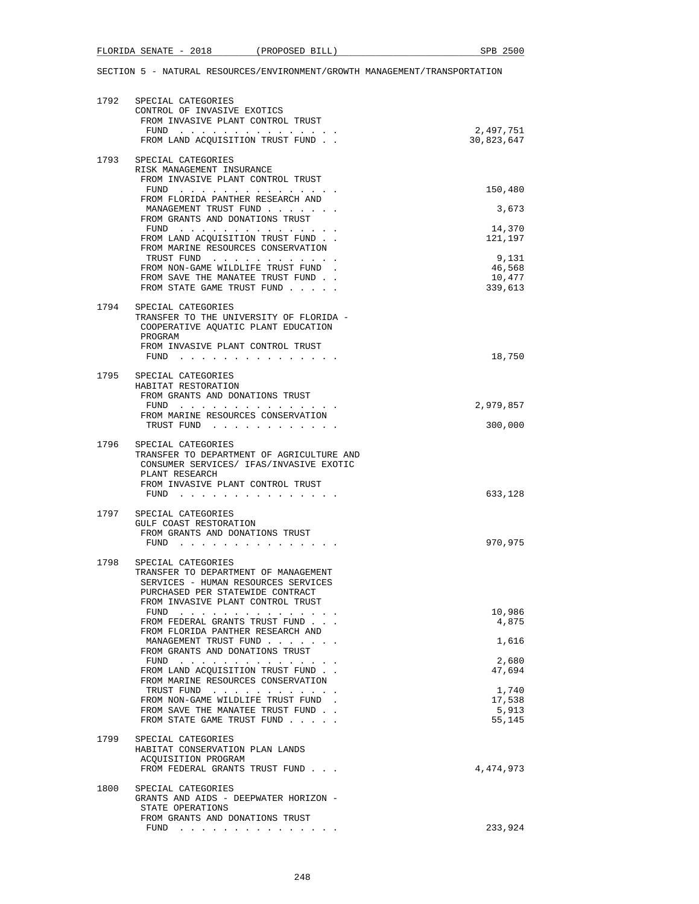| 1792 | SPECIAL CATEGORIES<br>CONTROL OF INVASIVE EXOTICS<br>FROM INVASIVE PLANT CONTROL TRUST<br>FUND                                                                                              | 2,497,751                 |
|------|---------------------------------------------------------------------------------------------------------------------------------------------------------------------------------------------|---------------------------|
|      | FROM LAND ACQUISITION TRUST FUND.                                                                                                                                                           | 30,823,647                |
| 1793 | SPECIAL CATEGORIES<br>RISK MANAGEMENT INSURANCE<br>FROM INVASIVE PLANT CONTROL TRUST                                                                                                        |                           |
|      | FUND<br>FROM FLORIDA PANTHER RESEARCH AND                                                                                                                                                   | 150,480                   |
|      | MANAGEMENT TRUST FUND<br>FROM GRANTS AND DONATIONS TRUST                                                                                                                                    | 3,673                     |
|      | $FUND$<br>FROM LAND ACQUISITION TRUST FUND.<br>FROM MARINE RESOURCES CONSERVATION                                                                                                           | 14,370<br>121,197         |
|      | TRUST FUND<br>FROM NON-GAME WILDLIFE TRUST FUND.<br>FROM SAVE THE MANATEE TRUST FUND.                                                                                                       | 9,131<br>46,568<br>10,477 |
|      | FROM STATE GAME TRUST FUND                                                                                                                                                                  | 339,613                   |
| 1794 | SPECIAL CATEGORIES<br>TRANSFER TO THE UNIVERSITY OF FLORIDA -<br>COOPERATIVE AQUATIC PLANT EDUCATION<br>PROGRAM<br>FROM INVASIVE PLANT CONTROL TRUST                                        |                           |
|      |                                                                                                                                                                                             | 18,750                    |
| 1795 | SPECIAL CATEGORIES<br>HABITAT RESTORATION<br>FROM GRANTS AND DONATIONS TRUST                                                                                                                |                           |
|      | FUND $\cdots$ $\cdots$ $\cdots$ $\cdots$ $\cdots$ $\cdots$<br>FROM MARINE RESOURCES CONSERVATION                                                                                            | 2,979,857                 |
|      | TRUST FUND                                                                                                                                                                                  | 300,000                   |
| 1796 | SPECIAL CATEGORIES<br>TRANSFER TO DEPARTMENT OF AGRICULTURE AND<br>CONSUMER SERVICES/ IFAS/INVASIVE EXOTIC<br>PLANT RESEARCH                                                                |                           |
|      | FROM INVASIVE PLANT CONTROL TRUST                                                                                                                                                           | 633,128                   |
|      | 1797 SPECIAL CATEGORIES<br>GULF COAST RESTORATION                                                                                                                                           |                           |
|      | FROM GRANTS AND DONATIONS TRUST<br>FUND $\cdots$                                                                                                                                            | 970,975                   |
| 1798 | SPECIAL CATEGORIES<br>TRANSFER TO DEPARTMENT OF MANAGEMENT<br>SERVICES - HUMAN RESOURCES SERVICES<br>PURCHASED PER STATEWIDE CONTRACT<br>FROM INVASIVE PLANT CONTROL TRUST                  |                           |
|      | FUND<br>FROM FEDERAL GRANTS TRUST FUND                                                                                                                                                      | 10,986<br>4,875           |
|      | FROM FLORIDA PANTHER RESEARCH AND<br>MANAGEMENT TRUST FUND                                                                                                                                  | 1,616                     |
|      | FROM GRANTS AND DONATIONS TRUST<br>${\tt FUND} \quad . \quad . \quad . \quad . \quad . \quad . \quad . \quad . \quad . \quad . \quad . \quad . \quad .$<br>FROM LAND ACQUISITION TRUST FUND | 2,680<br>47,694           |
|      | FROM MARINE RESOURCES CONSERVATION<br>TRUST FUND                                                                                                                                            | 1,740                     |
|      | FROM NON-GAME WILDLIFE TRUST FUND.<br>FROM SAVE THE MANATEE TRUST FUND<br>FROM STATE GAME TRUST FUND                                                                                        | 17,538<br>5,913<br>55,145 |
| 1799 | SPECIAL CATEGORIES<br>HABITAT CONSERVATION PLAN LANDS<br>ACQUISITION PROGRAM                                                                                                                |                           |
|      | FROM FEDERAL GRANTS TRUST FUND                                                                                                                                                              | 4,474,973                 |
| 1800 | SPECIAL CATEGORIES<br>GRANTS AND AIDS - DEEPWATER HORIZON -<br>STATE OPERATIONS<br>FROM GRANTS AND DONATIONS TRUST                                                                          |                           |
|      | $FUND$                                                                                                                                                                                      | 233,924                   |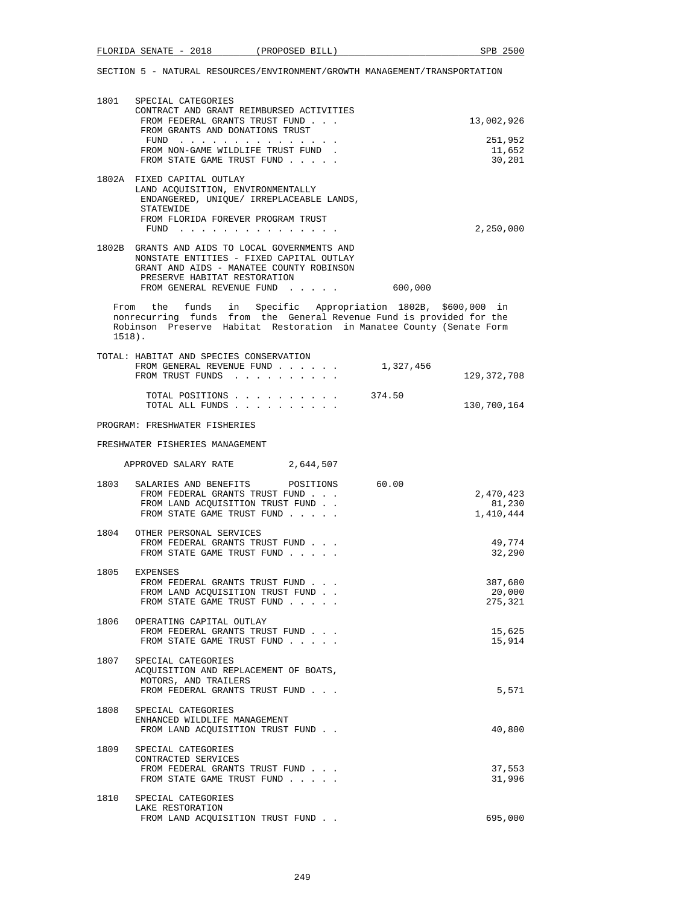| 1801  | SPECIAL CATEGORIES                       |            |
|-------|------------------------------------------|------------|
|       | CONTRACT AND GRANT REIMBURSED ACTIVITIES |            |
|       | FROM FEDERAL GRANTS TRUST FUND           | 13,002,926 |
|       | FROM GRANTS AND DONATIONS TRUST          |            |
|       | FUND                                     | 251,952    |
|       | FROM NON-GAME WILDLIFE TRUST FUND.       | 11,652     |
|       | FROM STATE GAME TRUST FUND               | 30,201     |
|       | 1802A FIXED CAPITAL OUTLAY               |            |
|       | LAND ACOUISITION, ENVIRONMENTALLY        |            |
|       | ENDANGERED, UNIOUE/ IRREPLACEABLE LANDS, |            |
|       | <b>STATEWIDE</b>                         |            |
|       | FROM FLORIDA FOREVER PROGRAM TRUST       |            |
|       | FUND<br>.                                | 2,250,000  |
|       |                                          |            |
| 1802B | GRANTS AND AIDS TO LOCAL GOVERNMENTS AND |            |

| TOARD GIVENITO WINN WING IO MOCWET GOAFINNIFINITO WINN |         |
|--------------------------------------------------------|---------|
| NONSTATE ENTITIES - FIXED CAPITAL OUTLAY               |         |
| GRANT AND AIDS - MANATEE COUNTY ROBINSON               |         |
| PRESERVE HABITAT RESTORATION                           |         |
| FROM GENERAL REVENUE FUND                              | 600,000 |

 From the funds in Specific Appropriation 1802B, \$600,000 in nonrecurring funds from the General Revenue Fund is provided for the Robinson Preserve Habitat Restoration in Manatee County (Senate Form 1518).

| TOTAL: HABITAT AND SPECIES CONSERVATION |             |
|-----------------------------------------|-------------|
| 1,327,456<br>FROM GENERAL REVENUE FUND  |             |
| FROM TRUST FUNDS                        | 129,372,708 |
| 374.50<br>TOTAL POSITIONS               |             |
| TOTAL ALL FUNDS                         | 130,700,164 |

PROGRAM: FRESHWATER FISHERIES

FRESHWATER FISHERIES MANAGEMENT

|      | APPROVED SALARY RATE 2,644,507                                                                                                                 |                                  |
|------|------------------------------------------------------------------------------------------------------------------------------------------------|----------------------------------|
|      | 1803 SALARIES AND BENEFITS POSITIONS 60.00<br>FROM FEDERAL GRANTS TRUST FUND<br>FROM LAND ACQUISITION TRUST FUND<br>FROM STATE GAME TRUST FUND | 2,470,423<br>81,230<br>1,410,444 |
|      | 1804 OTHER PERSONAL SERVICES<br>FROM FEDERAL GRANTS TRUST FUND<br>FROM STATE GAME TRUST FUND                                                   | 49,774<br>32,290                 |
|      | 1805 EXPENSES<br>FROM FEDERAL GRANTS TRUST FUND<br>FROM LAND ACOUISITION TRUST FUND.<br>FROM STATE GAME TRUST FUND                             | 387,680<br>20,000<br>275,321     |
|      | 1806 OPERATING CAPITAL OUTLAY<br>FROM FEDERAL GRANTS TRUST FUND<br>FROM STATE GAME TRUST FUND                                                  | 15,625<br>15,914                 |
|      | 1807 SPECIAL CATEGORIES<br>ACQUISITION AND REPLACEMENT OF BOATS,<br>MOTORS, AND TRAILERS<br>FROM FEDERAL GRANTS TRUST FUND                     | 5,571                            |
|      | 1808 SPECIAL CATEGORIES<br>ENHANCED WILDLIFE MANAGEMENT<br>FROM LAND ACOUISITION TRUST FUND                                                    | 40,800                           |
| 1809 | SPECIAL CATEGORIES<br>CONTRACTED SERVICES<br>FROM FEDERAL GRANTS TRUST FUND<br>FROM STATE GAME TRUST FUND                                      | 37,553<br>31,996                 |
| 1810 | SPECIAL CATEGORIES<br>LAKE RESTORATION<br>FROM LAND ACQUISITION TRUST FUND                                                                     | 695,000                          |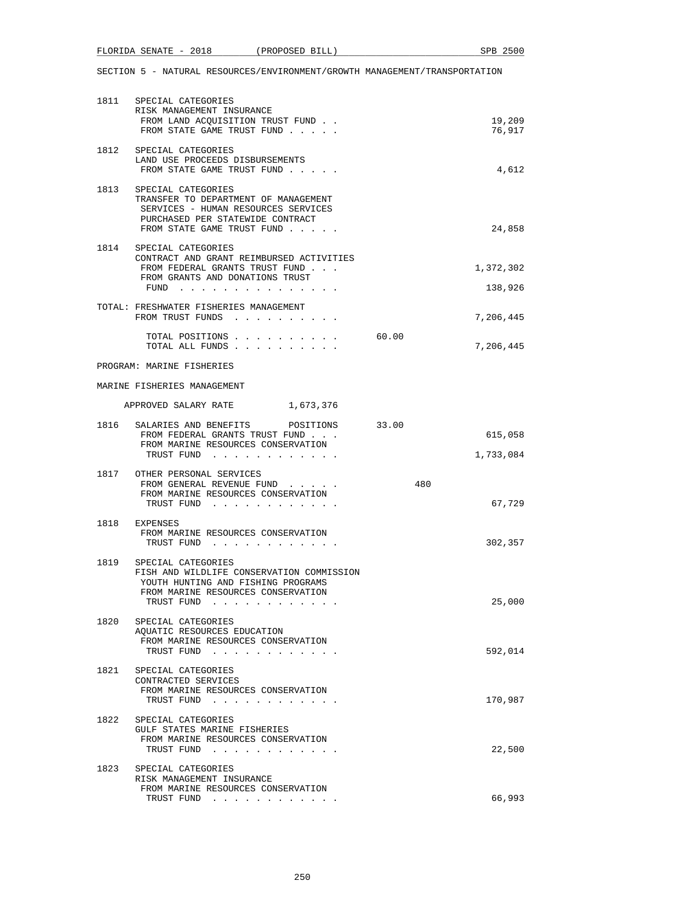|      | FLORIDA SENATE - 2018                                                                                                                                                    | (PROPOSED BILL) |       | SPB 2500            |
|------|--------------------------------------------------------------------------------------------------------------------------------------------------------------------------|-----------------|-------|---------------------|
|      | SECTION 5 - NATURAL RESOURCES/ENVIRONMENT/GROWTH MANAGEMENT/TRANSPORTATION                                                                                               |                 |       |                     |
| 1811 | SPECIAL CATEGORIES<br>RISK MANAGEMENT INSURANCE<br>FROM LAND ACOUISITION TRUST FUND.<br>FROM STATE GAME TRUST FUND                                                       |                 |       | 19,209<br>76,917    |
| 1812 | SPECIAL CATEGORIES<br>LAND USE PROCEEDS DISBURSEMENTS<br>FROM STATE GAME TRUST FUND                                                                                      |                 |       | 4,612               |
|      | 1813 SPECIAL CATEGORIES<br>TRANSFER TO DEPARTMENT OF MANAGEMENT<br>SERVICES - HUMAN RESOURCES SERVICES<br>PURCHASED PER STATEWIDE CONTRACT<br>FROM STATE GAME TRUST FUND |                 |       | 24,858              |
|      | 1814 SPECIAL CATEGORIES                                                                                                                                                  |                 |       |                     |
|      | CONTRACT AND GRANT REIMBURSED ACTIVITIES<br>FROM FEDERAL GRANTS TRUST FUND<br>FROM GRANTS AND DONATIONS TRUST                                                            |                 |       | 1,372,302           |
|      | FUND $\cdots$<br>TOTAL: FRESHWATER FISHERIES MANAGEMENT                                                                                                                  |                 |       | 138,926             |
|      | FROM TRUST FUNDS                                                                                                                                                         |                 |       | 7,206,445           |
|      | TOTAL POSITIONS<br>TOTAL ALL FUNDS                                                                                                                                       |                 | 60.00 | 7,206,445           |
|      | PROGRAM: MARINE FISHERIES                                                                                                                                                |                 |       |                     |
|      | MARINE FISHERIES MANAGEMENT                                                                                                                                              |                 |       |                     |
|      | APPROVED SALARY RATE 1,673,376                                                                                                                                           |                 |       |                     |
| 1816 | SALARIES AND BENEFITS<br>FROM FEDERAL GRANTS TRUST FUND<br>FROM MARINE RESOURCES CONSERVATION                                                                            | POSITIONS       | 33.00 | 615,058             |
|      | TRUST FUND<br>1817 OTHER PERSONAL SERVICES<br>FROM GENERAL REVENUE FUND<br>FROM MARINE RESOURCES CONSERVATION<br>TRUST FUND                                              |                 | 480   | 1,733,084<br>67,729 |
| 1818 | EXPENSES<br>FROM MARINE RESOURCES CONSERVATION<br>TRUST FUND                                                                                                             |                 |       | 302,357             |
| 1819 | SPECIAL CATEGORIES<br>FISH AND WILDLIFE CONSERVATION COMMISSION<br>YOUTH HUNTING AND FISHING PROGRAMS<br>FROM MARINE RESOURCES CONSERVATION<br>TRUST FUND                |                 |       | 25,000              |
| 1820 | SPECIAL CATEGORIES<br>AQUATIC RESOURCES EDUCATION<br>FROM MARINE RESOURCES CONSERVATION<br>TRUST FUND                                                                    |                 |       | 592,014             |
| 1821 | SPECIAL CATEGORIES<br>CONTRACTED SERVICES<br>FROM MARINE RESOURCES CONSERVATION<br>TRUST FUND                                                                            |                 |       | 170,987             |
| 1822 | SPECIAL CATEGORIES<br>GULF STATES MARINE FISHERIES<br>FROM MARINE RESOURCES CONSERVATION<br>TRUST FUND                                                                   |                 |       | 22,500              |
| 1823 | SPECIAL CATEGORIES<br>RISK MANAGEMENT INSURANCE<br>FROM MARINE RESOURCES CONSERVATION                                                                                    |                 |       |                     |
|      | TRUST FUND                                                                                                                                                               |                 |       | 66,993              |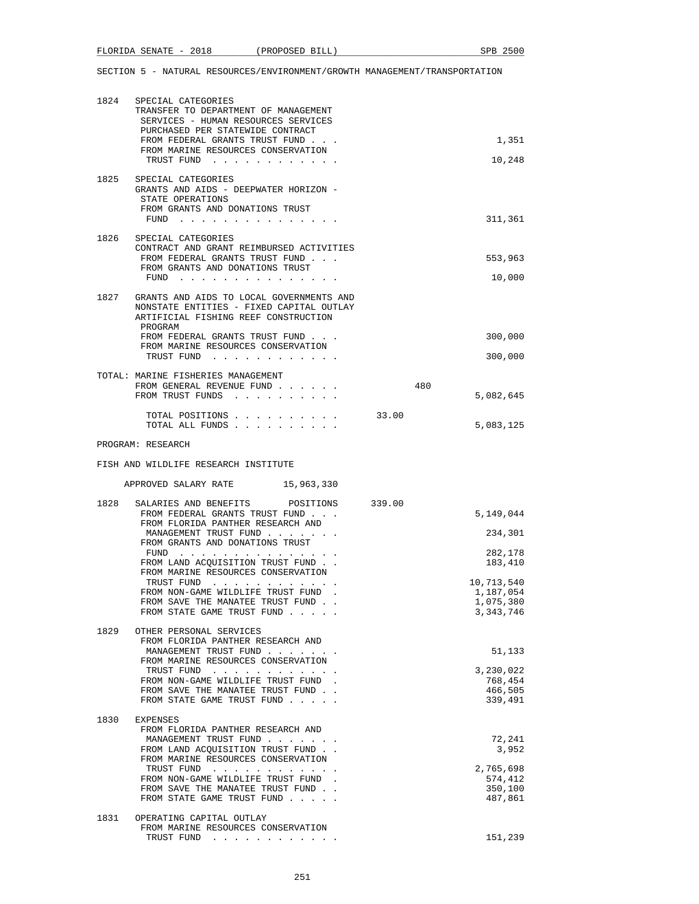|      | 1824 SPECIAL CATEGORIES                                                                              |        |                          |
|------|------------------------------------------------------------------------------------------------------|--------|--------------------------|
|      | TRANSFER TO DEPARTMENT OF MANAGEMENT                                                                 |        |                          |
|      | SERVICES - HUMAN RESOURCES SERVICES<br>PURCHASED PER STATEWIDE CONTRACT                              |        |                          |
|      | FROM FEDERAL GRANTS TRUST FUND<br>FROM MARINE RESOURCES CONSERVATION                                 |        | 1,351                    |
|      | TRUST FUND                                                                                           |        | 10,248                   |
| 1825 | SPECIAL CATEGORIES                                                                                   |        |                          |
|      | GRANTS AND AIDS - DEEPWATER HORIZON -<br>STATE OPERATIONS                                            |        |                          |
|      | FROM GRANTS AND DONATIONS TRUST                                                                      |        |                          |
|      | $FUND$                                                                                               |        | 311,361                  |
|      | 1826 SPECIAL CATEGORIES<br>CONTRACT AND GRANT REIMBURSED ACTIVITIES                                  |        |                          |
|      | FROM FEDERAL GRANTS TRUST FUND                                                                       |        | 553,963                  |
|      | FROM GRANTS AND DONATIONS TRUST<br>FUND $\cdots$                                                     |        | 10,000                   |
| 1827 | GRANTS AND AIDS TO LOCAL GOVERNMENTS AND                                                             |        |                          |
|      | NONSTATE ENTITIES - FIXED CAPITAL OUTLAY                                                             |        |                          |
|      | ARTIFICIAL FISHING REEF CONSTRUCTION<br>PROGRAM                                                      |        |                          |
|      | FROM FEDERAL GRANTS TRUST FUND                                                                       |        | 300,000                  |
|      | FROM MARINE RESOURCES CONSERVATION<br>TRUST FUND                                                     |        | 300,000                  |
|      | TOTAL: MARINE FISHERIES MANAGEMENT                                                                   |        |                          |
|      | FROM GENERAL REVENUE FUND                                                                            | 480    |                          |
|      | FROM TRUST FUNDS                                                                                     |        | 5,082,645                |
|      | TOTAL POSITIONS                                                                                      | 33.00  |                          |
|      | TOTAL ALL FUNDS                                                                                      |        | 5,083,125                |
|      | PROGRAM: RESEARCH                                                                                    |        |                          |
|      | FISH AND WILDLIFE RESEARCH INSTITUTE                                                                 |        |                          |
|      | APPROVED SALARY RATE 15,963,330                                                                      |        |                          |
|      |                                                                                                      |        |                          |
| 1828 | SALARIES AND BENEFITS<br>POSITIONS                                                                   | 339.00 |                          |
|      | FROM FEDERAL GRANTS TRUST FUND                                                                       |        | 5,149,044                |
|      | FROM FLORIDA PANTHER RESEARCH AND<br>MANAGEMENT TRUST FUND                                           |        | 234,301                  |
|      | FROM GRANTS AND DONATIONS TRUST                                                                      |        | 282,178                  |
|      | FUND $\cdots$<br>FROM LAND ACOUISITION TRUST FUND.                                                   |        | 183,410                  |
|      | FROM MARINE RESOURCES CONSERVATION<br>TRUST FUND<br>$\sim$ $\sim$ $\sim$ $\sim$ $\sim$ $\sim$ $\sim$ |        | 10,713,540               |
|      | FROM NON-GAME WILDLIFE TRUST FUND                                                                    |        | 1,187,054                |
|      | FROM SAVE THE MANATEE TRUST FUND<br>FROM STATE GAME TRUST FUND                                       |        | 1,075,380<br>3, 343, 746 |
| 1829 | OTHER PERSONAL SERVICES                                                                              |        |                          |
|      | FROM FLORIDA PANTHER RESEARCH AND                                                                    |        |                          |
|      | MANAGEMENT TRUST FUND<br>FROM MARINE RESOURCES CONSERVATION                                          |        | 51,133                   |
|      | TRUST FUND                                                                                           |        | 3,230,022                |
|      | FROM NON-GAME WILDLIFE TRUST FUND.<br>FROM SAVE THE MANATEE TRUST FUND                               |        | 768,454<br>466,505       |
|      | FROM STATE GAME TRUST FUND                                                                           |        | 339,491                  |
| 1830 | EXPENSES                                                                                             |        |                          |
|      | FROM FLORIDA PANTHER RESEARCH AND<br>MANAGEMENT TRUST FUND                                           |        | 72,241                   |
|      | FROM LAND ACQUISITION TRUST FUND                                                                     |        | 3,952                    |
|      | FROM MARINE RESOURCES CONSERVATION<br>TRUST FUND                                                     |        | 2,765,698                |
|      | FROM NON-GAME WILDLIFE TRUST FUND.                                                                   |        | 574,412                  |
|      | FROM SAVE THE MANATEE TRUST FUND<br>FROM STATE GAME TRUST FUND                                       |        | 350,100<br>487,861       |
| 1831 | OPERATING CAPITAL OUTLAY                                                                             |        |                          |

TRUST FUND . . . . . . . . . . . . 151,239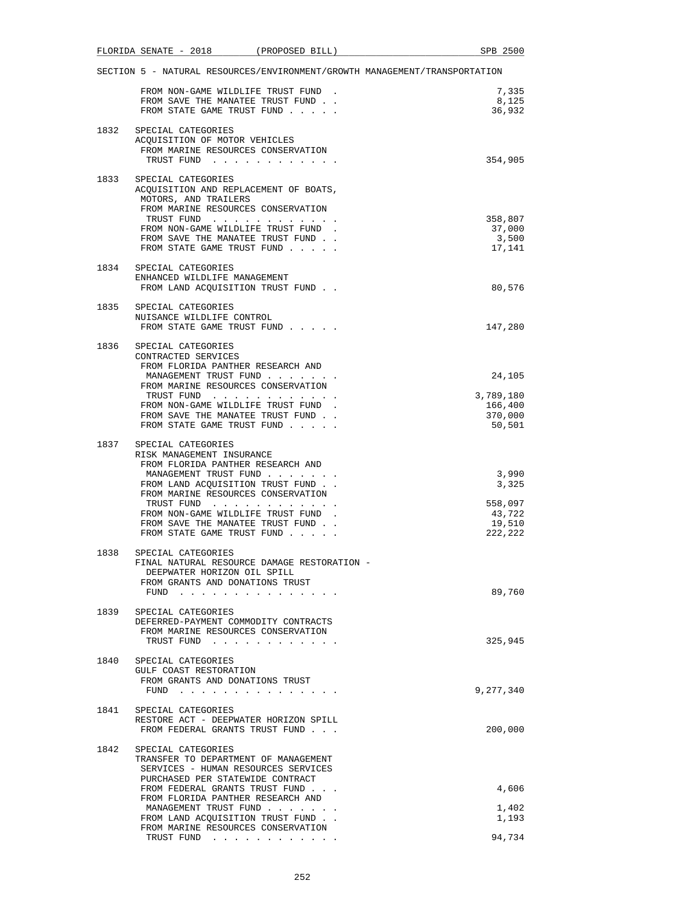|      | FLORIDA SENATE - 2018                                                                                                                                                                                                                                                                                         | (PROPOSED BILL) | SPB 2500                                                                   |
|------|---------------------------------------------------------------------------------------------------------------------------------------------------------------------------------------------------------------------------------------------------------------------------------------------------------------|-----------------|----------------------------------------------------------------------------|
|      |                                                                                                                                                                                                                                                                                                               |                 | SECTION 5 - NATURAL RESOURCES/ENVIRONMENT/GROWTH MANAGEMENT/TRANSPORTATION |
|      | FROM NON-GAME WILDLIFE TRUST FUND.<br>FROM SAVE THE MANATEE TRUST FUND.<br>FROM STATE GAME TRUST FUND                                                                                                                                                                                                         |                 | 7,335<br>8,125<br>36,932                                                   |
| 1832 | SPECIAL CATEGORIES<br>ACQUISITION OF MOTOR VEHICLES<br>FROM MARINE RESOURCES CONSERVATION<br>TRUST FUND                                                                                                                                                                                                       |                 | 354,905                                                                    |
| 1833 | SPECIAL CATEGORIES<br>ACQUISITION AND REPLACEMENT OF BOATS,<br>MOTORS, AND TRAILERS<br>FROM MARINE RESOURCES CONSERVATION<br>TRUST FUND<br>FROM NON-GAME WILDLIFE TRUST FUND.<br>FROM SAVE THE MANATEE TRUST FUND.<br>FROM STATE GAME TRUST FUND                                                              |                 | 358,807<br>37,000<br>3,500<br>17,141                                       |
|      | 1834 SPECIAL CATEGORIES<br>ENHANCED WILDLIFE MANAGEMENT<br>FROM LAND ACOUISITION TRUST FUND.                                                                                                                                                                                                                  |                 | 80,576                                                                     |
| 1835 | SPECIAL CATEGORIES<br>NUISANCE WILDLIFE CONTROL<br>FROM STATE GAME TRUST FUND                                                                                                                                                                                                                                 |                 | 147,280                                                                    |
| 1836 | SPECIAL CATEGORIES<br>CONTRACTED SERVICES<br>FROM FLORIDA PANTHER RESEARCH AND<br>MANAGEMENT TRUST FUND<br>FROM MARINE RESOURCES CONSERVATION<br>TRUST FUND<br>FROM NON-GAME WILDLIFE TRUST FUND.<br>FROM SAVE THE MANATEE TRUST FUND.<br>FROM STATE GAME TRUST FUND                                          |                 | 24,105<br>3,789,180<br>166,400<br>370,000<br>50,501                        |
| 1837 | SPECIAL CATEGORIES<br>RISK MANAGEMENT INSURANCE<br>FROM FLORIDA PANTHER RESEARCH AND<br>MANAGEMENT TRUST FUND<br>FROM LAND ACQUISITION TRUST FUND<br>FROM MARINE RESOURCES CONSERVATION<br>TRUST FUND<br>FROM NON-GAME WILDLIFE TRUST FUND.<br>FROM SAVE THE MANATEE TRUST FUND<br>FROM STATE GAME TRUST FUND |                 | 3,990<br>3,325<br>558,097<br>43,722<br>19,510<br>222,222                   |
|      | 1838 SPECIAL CATEGORIES<br>FINAL NATURAL RESOURCE DAMAGE RESTORATION -<br>DEEPWATER HORIZON OIL SPILL<br>FROM GRANTS AND DONATIONS TRUST<br>FUND                                                                                                                                                              |                 | 89,760                                                                     |
| 1839 | SPECIAL CATEGORIES<br>DEFERRED-PAYMENT COMMODITY CONTRACTS<br>FROM MARINE RESOURCES CONSERVATION<br>TRUST FUND                                                                                                                                                                                                |                 | 325,945                                                                    |
|      | 1840 SPECIAL CATEGORIES<br>GULF COAST RESTORATION<br>FROM GRANTS AND DONATIONS TRUST<br>FUND $\ldots$                                                                                                                                                                                                         |                 | 9,277,340                                                                  |
| 1841 | SPECIAL CATEGORIES<br>RESTORE ACT - DEEPWATER HORIZON SPILL<br>FROM FEDERAL GRANTS TRUST FUND                                                                                                                                                                                                                 |                 | 200,000                                                                    |
| 1842 | SPECIAL CATEGORIES<br>TRANSFER TO DEPARTMENT OF MANAGEMENT<br>SERVICES - HUMAN RESOURCES SERVICES<br>PURCHASED PER STATEWIDE CONTRACT                                                                                                                                                                         |                 |                                                                            |
|      | FROM FEDERAL GRANTS TRUST FUND<br>FROM FLORIDA PANTHER RESEARCH AND                                                                                                                                                                                                                                           |                 | 4,606                                                                      |
|      | MANAGEMENT TRUST FUND<br>FROM LAND ACQUISITION TRUST FUND.<br>FROM MARINE RESOURCES CONSERVATION                                                                                                                                                                                                              |                 | 1,402<br>1,193                                                             |
|      | TRUST FUND                                                                                                                                                                                                                                                                                                    |                 | 94,734                                                                     |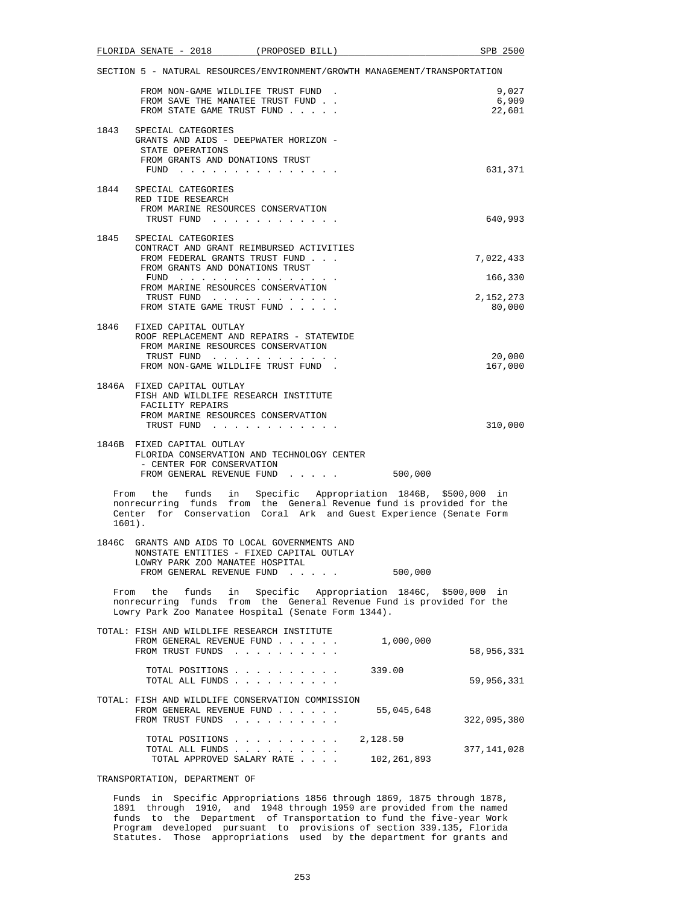|          | FLORIDA SENATE - 2018                                                                                                                                      | (PROPOSED BILL) |                                                                                                                                                                                                             | SPB 2500                 |
|----------|------------------------------------------------------------------------------------------------------------------------------------------------------------|-----------------|-------------------------------------------------------------------------------------------------------------------------------------------------------------------------------------------------------------|--------------------------|
|          |                                                                                                                                                            |                 | SECTION 5 - NATURAL RESOURCES/ENVIRONMENT/GROWTH MANAGEMENT/TRANSPORTATION                                                                                                                                  |                          |
|          | FROM NON-GAME WILDLIFE TRUST FUND.<br>FROM SAVE THE MANATEE TRUST FUND.<br>FROM STATE GAME TRUST FUND                                                      |                 |                                                                                                                                                                                                             | 9,027<br>6,909<br>22,601 |
| 1843     | SPECIAL CATEGORIES<br>GRANTS AND AIDS - DEEPWATER HORIZON -<br>STATE OPERATIONS                                                                            |                 |                                                                                                                                                                                                             |                          |
|          | FROM GRANTS AND DONATIONS TRUST<br>FUND $\cdots$                                                                                                           |                 |                                                                                                                                                                                                             | 631,371                  |
|          | 1844 SPECIAL CATEGORIES<br>RED TIDE RESEARCH                                                                                                               |                 |                                                                                                                                                                                                             |                          |
|          | FROM MARINE RESOURCES CONSERVATION<br>TRUST FUND                                                                                                           |                 |                                                                                                                                                                                                             | 640,993                  |
| 1845     | SPECIAL CATEGORIES<br>CONTRACT AND GRANT REIMBURSED ACTIVITIES<br>FROM FEDERAL GRANTS TRUST FUND                                                           |                 |                                                                                                                                                                                                             | 7,022,433                |
|          | FROM GRANTS AND DONATIONS TRUST<br>FUND $\cdots$                                                                                                           |                 |                                                                                                                                                                                                             | 166,330                  |
|          | FROM MARINE RESOURCES CONSERVATION<br>TRUST FUND                                                                                                           |                 |                                                                                                                                                                                                             | 2,152,273                |
|          | FROM STATE GAME TRUST FUND.                                                                                                                                |                 |                                                                                                                                                                                                             | 80,000                   |
|          | 1846 FIXED CAPITAL OUTLAY<br>ROOF REPLACEMENT AND REPAIRS - STATEWIDE<br>FROM MARINE RESOURCES CONSERVATION                                                |                 |                                                                                                                                                                                                             |                          |
|          | TRUST FUND<br>FROM NON-GAME WILDLIFE TRUST FUND.                                                                                                           |                 |                                                                                                                                                                                                             | 20,000<br>167,000        |
|          | 1846A FIXED CAPITAL OUTLAY<br>FISH AND WILDLIFE RESEARCH INSTITUTE<br>FACILITY REPAIRS<br>FROM MARINE RESOURCES CONSERVATION<br>TRUST FUND                 |                 |                                                                                                                                                                                                             | 310,000                  |
|          | 1846B FIXED CAPITAL OUTLAY<br>FLORIDA CONSERVATION AND TECHNOLOGY CENTER                                                                                   |                 |                                                                                                                                                                                                             |                          |
|          | - CENTER FOR CONSERVATION<br>FROM GENERAL REVENUE FUND 500,000                                                                                             |                 |                                                                                                                                                                                                             |                          |
| $1601$ . |                                                                                                                                                            |                 | From the funds in Specific Appropriation 1846B, \$500,000 in<br>nonrecurring funds from the General Revenue fund is provided for the<br>Center for Conservation Coral Ark and Guest Experience (Senate Form |                          |
|          | 1846C GRANTS AND AIDS TO LOCAL GOVERNMENTS AND<br>NONSTATE ENTITIES - FIXED CAPITAL OUTLAY<br>LOWRY PARK ZOO MANATEE HOSPITAL<br>FROM GENERAL REVENUE FUND |                 | 500,000                                                                                                                                                                                                     |                          |
|          | Lowry Park Zoo Manatee Hospital (Senate Form 1344).                                                                                                        |                 | From the funds in Specific Appropriation 1846C, \$500,000 in<br>nonrecurring funds from the General Revenue Fund is provided for the                                                                        |                          |
|          | TOTAL: FISH AND WILDLIFE RESEARCH INSTITUTE<br>FROM GENERAL REVENUE FUND<br>FROM TRUST FUNDS                                                               |                 | 1,000,000                                                                                                                                                                                                   | 58,956,331               |
|          | TOTAL POSITIONS<br>TOTAL ALL FUNDS                                                                                                                         |                 | 339.00                                                                                                                                                                                                      | 59,956,331               |
|          | TOTAL: FISH AND WILDLIFE CONSERVATION COMMISSION<br>FROM GENERAL REVENUE FUND<br>FROM TRUST FUNDS                                                          |                 | 55,045,648                                                                                                                                                                                                  | 322,095,380              |
|          | TOTAL POSITIONS<br>TOTAL ALL FUNDS<br>TOTAL APPROVED SALARY RATE                                                                                           |                 | 2,128.50<br>102, 261, 893                                                                                                                                                                                   | 377,141,028              |
|          | TRANSPORTATION, DEPARTMENT OF                                                                                                                              |                 |                                                                                                                                                                                                             |                          |

 Funds in Specific Appropriations 1856 through 1869, 1875 through 1878, 1891 through 1910, and 1948 through 1959 are provided from the named funds to the Department of Transportation to fund the five-year Work Program developed pursuant to provisions of section 339.135, Florida Statutes. Those appropriations used by the department for grants and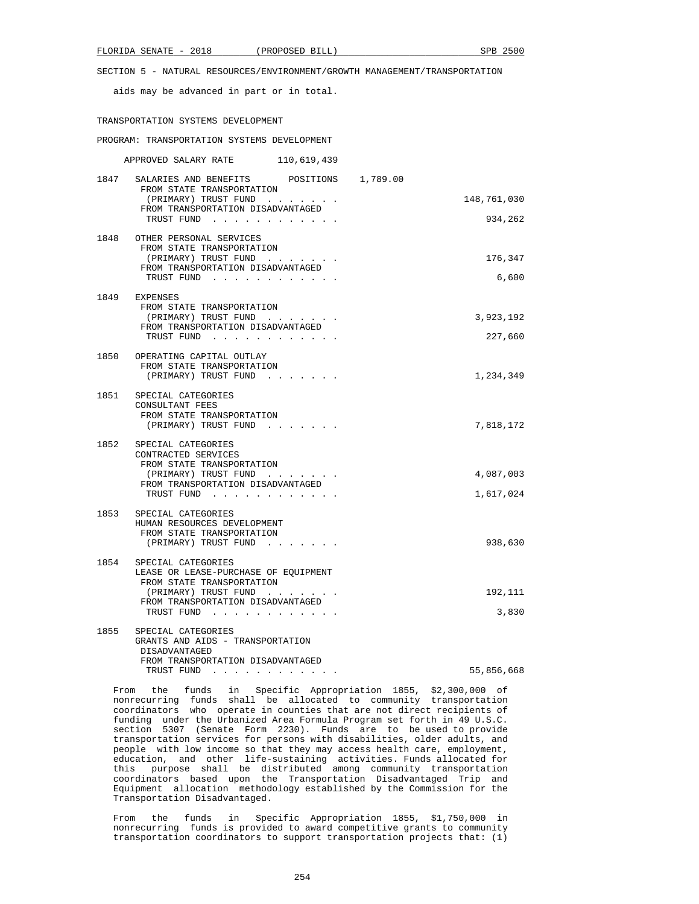aids may be advanced in part or in total.

#### TRANSPORTATION SYSTEMS DEVELOPMENT

PROGRAM: TRANSPORTATION SYSTEMS DEVELOPMENT

APPROVED SALARY RATE 110,619,439

| 1847 | POSITIONS<br>SALARIES AND BENEFITS<br>1,789.00<br>FROM STATE TRANSPORTATION |             |
|------|-----------------------------------------------------------------------------|-------------|
|      | (PRIMARY) TRUST FUND                                                        | 148,761,030 |
|      | FROM TRANSPORTATION DISADVANTAGED<br>TRUST FUND                             | 934,262     |
| 1848 | OTHER PERSONAL SERVICES                                                     |             |
|      | FROM STATE TRANSPORTATION                                                   |             |
|      | (PRIMARY) TRUST FUND                                                        | 176,347     |
|      | FROM TRANSPORTATION DISADVANTAGED<br>TRUST FUND                             | 6,600       |
|      |                                                                             |             |
| 1849 | EXPENSES<br>FROM STATE TRANSPORTATION                                       |             |
|      | (PRIMARY) TRUST FUND                                                        | 3,923,192   |
|      | FROM TRANSPORTATION DISADVANTAGED                                           |             |
|      | TRUST FUND                                                                  | 227,660     |
| 1850 | OPERATING CAPITAL OUTLAY                                                    |             |
|      | FROM STATE TRANSPORTATION<br>(PRIMARY) TRUST FUND                           | 1,234,349   |
|      |                                                                             |             |
| 1851 | SPECIAL CATEGORIES<br>CONSULTANT FEES                                       |             |
|      | FROM STATE TRANSPORTATION                                                   |             |
|      | (PRIMARY) TRUST FUND                                                        | 7,818,172   |
| 1852 | SPECIAL CATEGORIES                                                          |             |
|      | CONTRACTED SERVICES                                                         |             |
|      | FROM STATE TRANSPORTATION<br>(PRIMARY) TRUST FUND                           | 4,087,003   |
|      | FROM TRANSPORTATION DISADVANTAGED                                           |             |
|      | TRUST FUND                                                                  | 1,617,024   |
| 1853 | SPECIAL CATEGORIES                                                          |             |
|      | HUMAN RESOURCES DEVELOPMENT                                                 |             |
|      | FROM STATE TRANSPORTATION<br>(PRIMARY) TRUST FUND                           | 938,630     |
|      |                                                                             |             |
| 1854 | SPECIAL CATEGORIES                                                          |             |
|      | LEASE OR LEASE-PURCHASE OF EQUIPMENT<br>FROM STATE TRANSPORTATION           |             |
|      | (PRIMARY) TRUST FUND                                                        | 192,111     |
|      | FROM TRANSPORTATION DISADVANTAGED                                           | 3,830       |
|      | TRUST FUND                                                                  |             |
| 1855 | SPECIAL CATEGORIES                                                          |             |
|      | GRANTS AND AIDS - TRANSPORTATION<br>DISADVANTAGED                           |             |
|      | FROM TRANSPORTATION DISADVANTAGED                                           |             |

TRUST FUND . . . . . . . . . . . . 55,856,668

 From the funds in Specific Appropriation 1855, \$2,300,000 of nonrecurring funds shall be allocated to community transportation coordinators who operate in counties that are not direct recipients of funding under the Urbanized Area Formula Program set forth in 49 U.S.C. section 5307 (Senate Form 2230). Funds are to be used to provide transportation services for persons with disabilities, older adults, and people with low income so that they may access health care, employment, education, and other life-sustaining activities. Funds allocated for this purpose shall be distributed among community transportation coordinators based upon the Transportation Disadvantaged Trip and Equipment allocation methodology established by the Commission for the Transportation Disadvantaged.

 From the funds in Specific Appropriation 1855, \$1,750,000 in nonrecurring funds is provided to award competitive grants to community transportation coordinators to support transportation projects that: (1)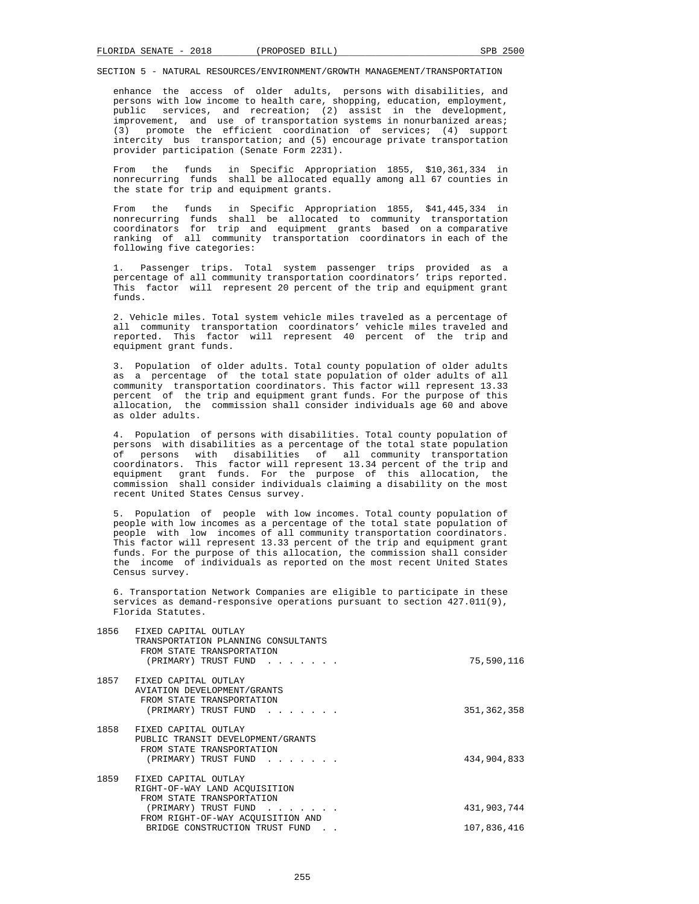enhance the access of older adults, persons with disabilities, and persons with low income to health care, shopping, education, employment, public services, and recreation; (2) assist in the development, improvement, and use of transportation systems in nonurbanized areas; (3) promote the efficient coordination of services; (4) support intercity bus transportation; and (5) encourage private transportation provider participation (Senate Form 2231).

 From the funds in Specific Appropriation 1855, \$10,361,334 in nonrecurring funds shall be allocated equally among all 67 counties in the state for trip and equipment grants.

 From the funds in Specific Appropriation 1855, \$41,445,334 in nonrecurring funds shall be allocated to community transportation coordinators for trip and equipment grants based on a comparative ranking of all community transportation coordinators in each of the following five categories:

 1. Passenger trips. Total system passenger trips provided as a percentage of all community transportation coordinators' trips reported. This factor will represent 20 percent of the trip and equipment grant funds.

 2. Vehicle miles. Total system vehicle miles traveled as a percentage of all community transportation coordinators' vehicle miles traveled and reported. This factor will represent 40 percent of the trip and equipment grant funds.

 3. Population of older adults. Total county population of older adults as a percentage of the total state population of older adults of all community transportation coordinators. This factor will represent 13.33 percent of the trip and equipment grant funds. For the purpose of this allocation, the commission shall consider individuals age 60 and above as older adults.

 4. Population of persons with disabilities. Total county population of persons with disabilities as a percentage of the total state population of persons with disabilities of all community transportation coordinators. This factor will represent 13.34 percent of the trip and equipment grant funds. For the purpose of this allocation, the commission shall consider individuals claiming a disability on the most recent United States Census survey.

 5. Population of people with low incomes. Total county population of people with low incomes as a percentage of the total state population of people with low incomes of all community transportation coordinators. This factor will represent 13.33 percent of the trip and equipment grant funds. For the purpose of this allocation, the commission shall consider the income of individuals as reported on the most recent United States Census survey.

 6. Transportation Network Companies are eligible to participate in these services as demand-responsive operations pursuant to section 427.011(9), Florida Statutes.

| 1856 | FIXED CAPITAL OUTLAY<br>TRANSPORTATION PLANNING CONSULTANTS<br>FROM STATE TRANSPORTATION<br>(PRIMARY) TRUST FUND                                                                                                                                                           | 75,590,116                 |
|------|----------------------------------------------------------------------------------------------------------------------------------------------------------------------------------------------------------------------------------------------------------------------------|----------------------------|
| 1857 | FIXED CAPITAL OUTLAY<br><b>AVIATION DEVELOPMENT/GRANTS</b><br>FROM STATE TRANSPORTATION<br>(PRIMARY) TRUST FUND<br>$\begin{array}{cccccccccccccc} \bullet & \bullet & \bullet & \bullet & \bullet & \bullet & \bullet & \bullet & \bullet & \bullet & \bullet \end{array}$ | 351, 362, 358              |
| 1858 | FIXED CAPITAL OUTLAY<br>PUBLIC TRANSIT DEVELOPMENT/GRANTS<br>FROM STATE TRANSPORTATION<br>(PRIMARY) TRUST FUND                                                                                                                                                             | 434,904,833                |
| 1859 | FIXED CAPITAL OUTLAY<br>RIGHT-OF-WAY LAND ACOUISITION<br>FROM STATE TRANSPORTATION<br>(PRIMARY) TRUST FUND<br>.<br>FROM RIGHT-OF-WAY ACQUISITION AND<br>BRIDGE CONSTRUCTION TRUST FUND                                                                                     | 431,903,744<br>107,836,416 |
|      |                                                                                                                                                                                                                                                                            |                            |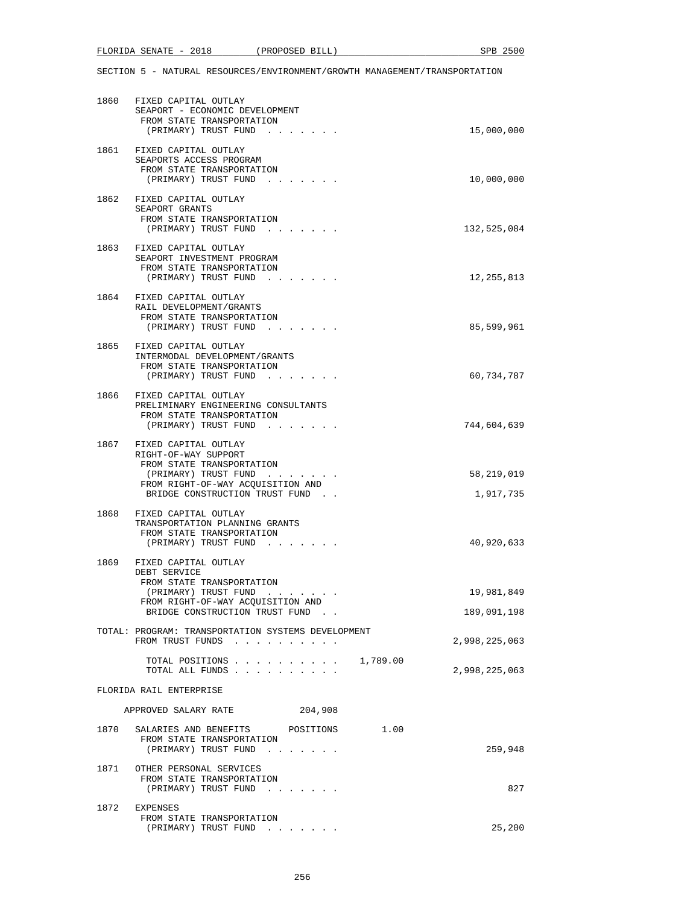| 1860 FIXED CAPITAL OUTLAY<br>SEAPORT - ECONOMIC DEVELOPMENT<br>FROM STATE TRANSPORTATION<br>(PRIMARY) TRUST FUND | 15,000,000    |
|------------------------------------------------------------------------------------------------------------------|---------------|
|                                                                                                                  |               |
| 1861 FIXED CAPITAL OUTLAY<br>SEAPORTS ACCESS PROGRAM                                                             |               |
| FROM STATE TRANSPORTATION                                                                                        |               |
| (PRIMARY) TRUST FUND                                                                                             | 10,000,000    |
| 1862 FIXED CAPITAL OUTLAY                                                                                        |               |
| SEAPORT GRANTS                                                                                                   |               |
| FROM STATE TRANSPORTATION                                                                                        |               |
| (PRIMARY) TRUST FUND                                                                                             | 132,525,084   |
| 1863 FIXED CAPITAL OUTLAY                                                                                        |               |
| SEAPORT INVESTMENT PROGRAM                                                                                       |               |
| FROM STATE TRANSPORTATION                                                                                        |               |
| (PRIMARY) TRUST FUND                                                                                             | 12, 255, 813  |
| 1864 FIXED CAPITAL OUTLAY                                                                                        |               |
| RAIL DEVELOPMENT/GRANTS                                                                                          |               |
| FROM STATE TRANSPORTATION                                                                                        |               |
| (PRIMARY) TRUST FUND                                                                                             | 85,599,961    |
|                                                                                                                  |               |
| 1865 FIXED CAPITAL OUTLAY<br>INTERMODAL DEVELOPMENT/GRANTS                                                       |               |
| FROM STATE TRANSPORTATION                                                                                        |               |
| (PRIMARY) TRUST FUND                                                                                             | 60,734,787    |
|                                                                                                                  |               |
| 1866 FIXED CAPITAL OUTLAY                                                                                        |               |
| PRELIMINARY ENGINEERING CONSULTANTS                                                                              |               |
| FROM STATE TRANSPORTATION<br>(PRIMARY) TRUST FUND                                                                | 744,604,639   |
|                                                                                                                  |               |
| 1867 FIXED CAPITAL OUTLAY                                                                                        |               |
| RIGHT-OF-WAY SUPPORT                                                                                             |               |
| FROM STATE TRANSPORTATION                                                                                        | 58,219,019    |
| (PRIMARY) TRUST FUND<br>FROM RIGHT-OF-WAY ACQUISITION AND                                                        |               |
| BRIDGE CONSTRUCTION TRUST FUND.                                                                                  | 1,917,735     |
|                                                                                                                  |               |
| 1868 FIXED CAPITAL OUTLAY                                                                                        |               |
| TRANSPORTATION PLANNING GRANTS<br>FROM STATE TRANSPORTATION                                                      |               |
| (PRIMARY) TRUST FUND                                                                                             | 40,920,633    |
|                                                                                                                  |               |
| 1869 FIXED CAPITAL OUTLAY                                                                                        |               |
| DEBT SERVICE                                                                                                     |               |
| FROM STATE TRANSPORTATION<br>(PRIMARY) TRUST FUND                                                                | 19,981,849    |
| FROM RIGHT-OF-WAY ACQUISITION AND                                                                                |               |
| BRIDGE CONSTRUCTION TRUST FUND.                                                                                  | 189,091,198   |
|                                                                                                                  |               |
| TOTAL: PROGRAM: TRANSPORTATION SYSTEMS DEVELOPMENT<br>FROM TRUST FUNDS                                           | 2,998,225,063 |
|                                                                                                                  |               |
| 1,789.00<br>TOTAL POSITIONS                                                                                      |               |
| TOTAL ALL FUNDS                                                                                                  | 2,998,225,063 |
|                                                                                                                  |               |
| FLORIDA RAIL ENTERPRISE                                                                                          |               |
| APPROVED SALARY RATE<br>204,908                                                                                  |               |
|                                                                                                                  |               |
| 1.00<br>1870 SALARIES AND BENEFITS<br>POSITIONS                                                                  |               |
| FROM STATE TRANSPORTATION<br>(PRIMARY) TRUST FUND                                                                | 259,948       |
|                                                                                                                  |               |
| 1871 OTHER PERSONAL SERVICES                                                                                     |               |
| FROM STATE TRANSPORTATION                                                                                        |               |
| (PRIMARY) TRUST FUND                                                                                             | 827           |
| 1872 EXPENSES                                                                                                    |               |
| FROM STATE TRANSPORTATION                                                                                        |               |
| (PRIMARY) TRUST FUND                                                                                             | 25,200        |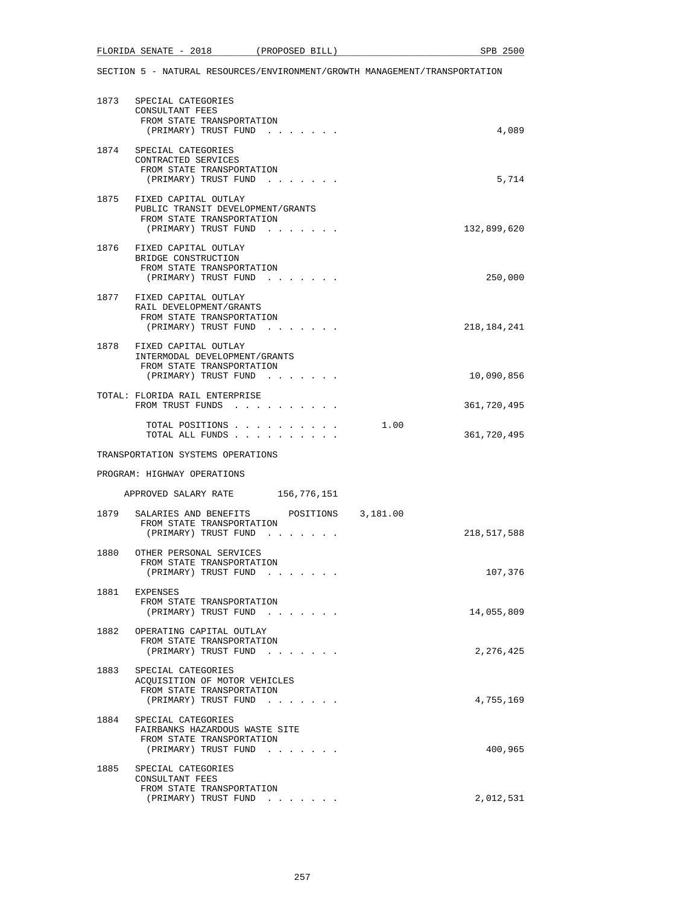|      | 1873 SPECIAL CATEGORIES<br>CONSULTANT FEES<br>FROM STATE TRANSPORTATION<br>(PRIMARY) TRUST FUND                     | 4,089               |
|------|---------------------------------------------------------------------------------------------------------------------|---------------------|
|      | 1874 SPECIAL CATEGORIES<br>CONTRACTED SERVICES<br>FROM STATE TRANSPORTATION<br>(PRIMARY) TRUST FUND                 | 5,714               |
|      | 1875 FIXED CAPITAL OUTLAY<br>PUBLIC TRANSIT DEVELOPMENT/GRANTS<br>FROM STATE TRANSPORTATION<br>(PRIMARY) TRUST FUND | 132,899,620         |
|      | 1876 FIXED CAPITAL OUTLAY<br>BRIDGE CONSTRUCTION<br>FROM STATE TRANSPORTATION<br>(PRIMARY) TRUST FUND               | 250,000             |
|      | 1877 FIXED CAPITAL OUTLAY<br>RAIL DEVELOPMENT/GRANTS<br>FROM STATE TRANSPORTATION<br>(PRIMARY) TRUST FUND           | 218, 184, 241       |
|      | 1878 FIXED CAPITAL OUTLAY<br>INTERMODAL DEVELOPMENT/GRANTS<br>FROM STATE TRANSPORTATION                             |                     |
|      | (PRIMARY) TRUST FUND<br>TOTAL: FLORIDA RAIL ENTERPRISE                                                              | 10,090,856          |
|      | FROM TRUST FUNDS                                                                                                    | 361,720,495         |
|      | TOTAL POSITIONS<br>TOTAL ALL FUNDS                                                                                  | 1.00<br>361,720,495 |
|      | TRANSPORTATION SYSTEMS OPERATIONS                                                                                   |                     |
|      | PROGRAM: HIGHWAY OPERATIONS                                                                                         |                     |
|      | APPROVED SALARY RATE 156,776,151                                                                                    |                     |
|      | 1879 SALARIES AND BENEFITS POSITIONS 3,181.00<br>FROM STATE TRANSPORTATION<br>(PRIMARY) TRUST FUND                  | 218,517,588         |
|      | 1880 OTHER PERSONAL SERVICES<br>FROM STATE TRANSPORTATION<br>(PRIMARY) TRUST FUND                                   | 107,376             |
| 1881 | EXPENSES<br>FROM STATE TRANSPORTATION<br>(PRIMARY) TRUST FUND                                                       | 14,055,809          |
| 1882 | OPERATING CAPITAL OUTLAY<br>FROM STATE TRANSPORTATION<br>(PRIMARY) TRUST FUND                                       | 2,276,425           |
| 1883 | SPECIAL CATEGORIES<br>ACOUISITION OF MOTOR VEHICLES<br>FROM STATE TRANSPORTATION<br>(PRIMARY) TRUST FUND            | 4,755,169           |
| 1884 | SPECIAL CATEGORIES<br>FAIRBANKS HAZARDOUS WASTE SITE<br>FROM STATE TRANSPORTATION<br>(PRIMARY) TRUST FUND           | 400,965             |
| 1885 | SPECIAL CATEGORIES<br>CONSULTANT FEES<br>FROM STATE TRANSPORTATION<br>(PRIMARY) TRUST FUND                          | 2,012,531           |
|      | $\sim$ $\sim$ $\sim$ $\sim$                                                                                         |                     |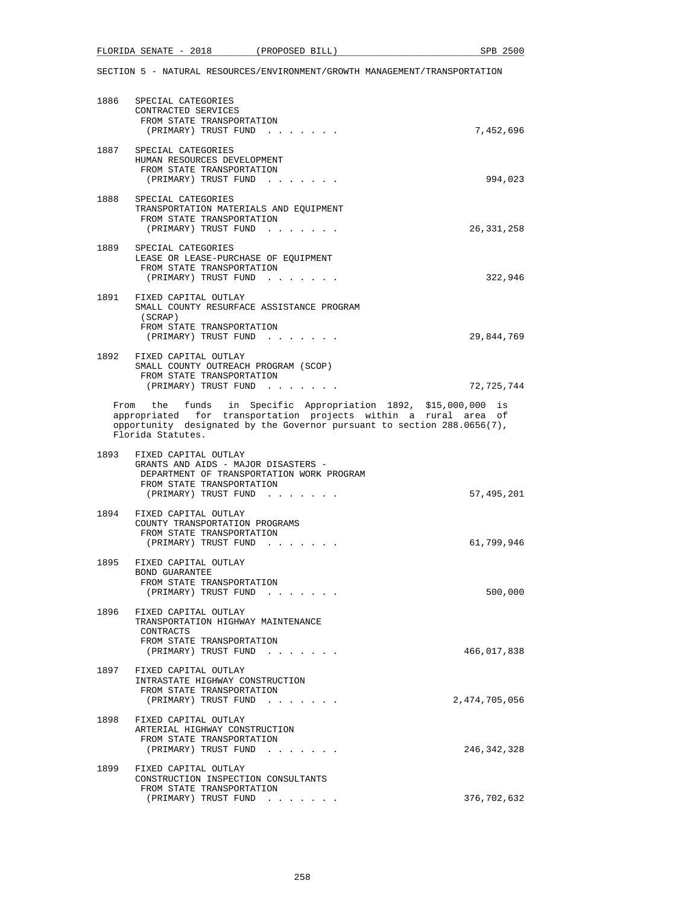|      | 1886 SPECIAL CATEGORIES                                                                          |               |
|------|--------------------------------------------------------------------------------------------------|---------------|
|      | CONTRACTED SERVICES                                                                              |               |
|      | FROM STATE TRANSPORTATION                                                                        |               |
|      | (PRIMARY) TRUST FUND                                                                             | 7,452,696     |
|      | 1887 SPECIAL CATEGORIES                                                                          |               |
|      | HUMAN RESOURCES DEVELOPMENT                                                                      |               |
|      | FROM STATE TRANSPORTATION                                                                        |               |
|      | (PRIMARY) TRUST FUND                                                                             | 994,023       |
| 1888 | SPECIAL CATEGORIES                                                                               |               |
|      | TRANSPORTATION MATERIALS AND EQUIPMENT                                                           |               |
|      | FROM STATE TRANSPORTATION                                                                        |               |
|      | (PRIMARY) TRUST FUND                                                                             | 26, 331, 258  |
| 1889 | SPECIAL CATEGORIES                                                                               |               |
|      | LEASE OR LEASE-PURCHASE OF EQUIPMENT                                                             |               |
|      | FROM STATE TRANSPORTATION                                                                        |               |
|      | (PRIMARY) TRUST FUND                                                                             | 322,946       |
|      | 1891 FIXED CAPITAL OUTLAY                                                                        |               |
|      | SMALL COUNTY RESURFACE ASSISTANCE PROGRAM                                                        |               |
|      | (SCRAP)                                                                                          |               |
|      | FROM STATE TRANSPORTATION                                                                        |               |
|      | (PRIMARY) TRUST FUND                                                                             | 29,844,769    |
|      | 1892 FIXED CAPITAL OUTLAY                                                                        |               |
|      | SMALL COUNTY OUTREACH PROGRAM (SCOP)                                                             |               |
|      | FROM STATE TRANSPORTATION                                                                        |               |
|      | (PRIMARY) TRUST FUND                                                                             | 72,725,744    |
|      | From the funds in Specific Appropriation 1892, \$15,000,000 is                                   |               |
|      | appropriated for transportation projects within a rural area of                                  |               |
|      | opportunity designated by the Governor pursuant to section 288.0656(7),                          |               |
|      | Florida Statutes.                                                                                |               |
|      | 1893 FIXED CAPITAL OUTLAY                                                                        |               |
|      | GRANTS AND AIDS - MAJOR DISASTERS -                                                              |               |
|      | DEPARTMENT OF TRANSPORTATION WORK PROGRAM                                                        |               |
|      | FROM STATE TRANSPORTATION                                                                        |               |
|      | (PRIMARY) TRUST FUND                                                                             | 57,495,201    |
|      | 1894 FIXED CAPITAL OUTLAY                                                                        |               |
|      | COUNTY TRANSPORTATION PROGRAMS                                                                   |               |
|      | FROM STATE TRANSPORTATION                                                                        |               |
|      | (PRIMARY) TRUST FUND                                                                             | 61,799,946    |
|      | 1895 FIXED CAPITAL OUTLAY                                                                        |               |
|      | BOND GUARANTEE                                                                                   |               |
|      | FROM STATE TRANSPORTATION                                                                        |               |
|      | (PRIMARY) TRUST FUND<br>$\mathbf{r} = \mathbf{r} + \mathbf{r}$ , where $\mathbf{r} = \mathbf{r}$ | 500,000       |
|      |                                                                                                  |               |
| 1896 | FIXED CAPITAL OUTLAY<br>TRANSPORTATION HIGHWAY MAINTENANCE                                       |               |
|      | CONTRACTS                                                                                        |               |
|      | FROM STATE TRANSPORTATION                                                                        |               |
|      | (PRIMARY) TRUST FUND<br>and the second control of the second                                     | 466,017,838   |
|      | 1897 FIXED CAPITAL OUTLAY                                                                        |               |
|      | INTRASTATE HIGHWAY CONSTRUCTION                                                                  |               |
|      | FROM STATE TRANSPORTATION                                                                        |               |
|      | (PRIMARY) TRUST FUND                                                                             | 2,474,705,056 |
|      |                                                                                                  |               |
| 1898 | FIXED CAPITAL OUTLAY<br>ARTERIAL HIGHWAY CONSTRUCTION                                            |               |
|      | FROM STATE TRANSPORTATION                                                                        |               |
|      | (PRIMARY) TRUST FUND                                                                             | 246,342,328   |
|      |                                                                                                  |               |
| 1899 | FIXED CAPITAL OUTLAY                                                                             |               |
|      | CONSTRUCTION INSPECTION CONSULTANTS<br>FROM STATE TRANSPORTATION                                 |               |
|      | (PRIMARY) TRUST FUND                                                                             | 376,702,632   |
|      |                                                                                                  |               |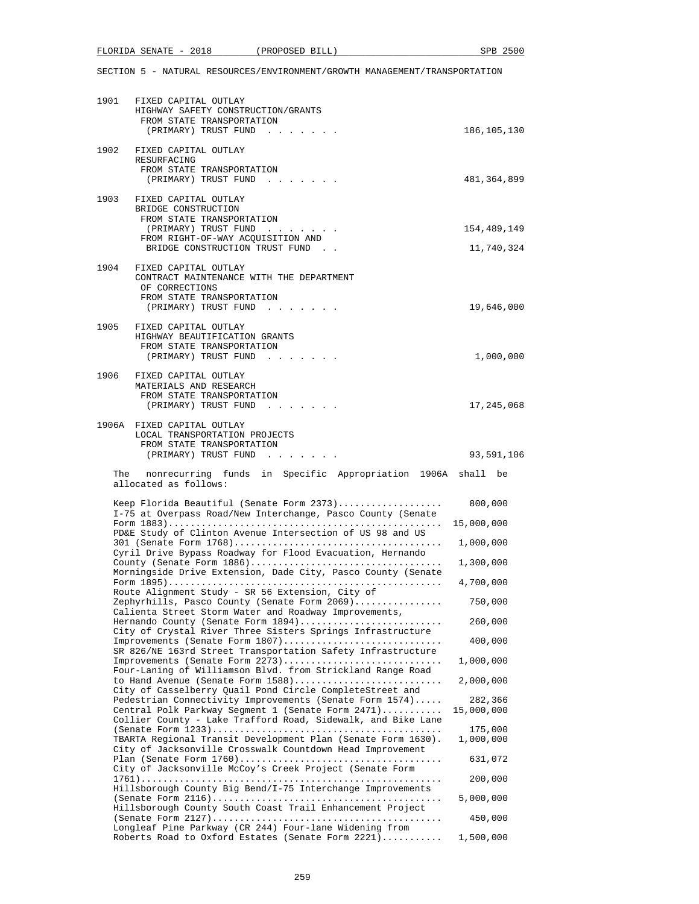| 1901 | FIXED CAPITAL OUTLAY<br>HIGHWAY SAFETY CONSTRUCTION/GRANTS<br>FROM STATE TRANSPORTATION<br>(PRIMARY) TRUST FUND                                                              | 186, 105, 130         |
|------|------------------------------------------------------------------------------------------------------------------------------------------------------------------------------|-----------------------|
| 1902 | FIXED CAPITAL OUTLAY<br>RESURFACING<br>FROM STATE TRANSPORTATION<br>(PRIMARY) TRUST FUND                                                                                     | 481,364,899           |
| 1903 | FIXED CAPITAL OUTLAY<br>BRIDGE CONSTRUCTION                                                                                                                                  |                       |
|      | FROM STATE TRANSPORTATION<br>(PRIMARY) TRUST FUND                                                                                                                            | 154,489,149           |
|      | FROM RIGHT-OF-WAY ACQUISITION AND<br>BRIDGE CONSTRUCTION TRUST FUND.                                                                                                         | 11,740,324            |
| 1904 | FIXED CAPITAL OUTLAY<br>CONTRACT MAINTENANCE WITH THE DEPARTMENT<br>OF CORRECTIONS<br>FROM STATE TRANSPORTATION                                                              |                       |
|      | (PRIMARY) TRUST FUND                                                                                                                                                         | 19,646,000            |
| 1905 | FIXED CAPITAL OUTLAY<br>HIGHWAY BEAUTIFICATION GRANTS<br>FROM STATE TRANSPORTATION<br>(PRIMARY) TRUST FUND                                                                   | 1,000,000             |
| 1906 | FIXED CAPITAL OUTLAY<br>MATERIALS AND RESEARCH<br>FROM STATE TRANSPORTATION                                                                                                  |                       |
|      | (PRIMARY) TRUST FUND                                                                                                                                                         | 17,245,068            |
|      | 1906A FIXED CAPITAL OUTLAY<br>LOCAL TRANSPORTATION PROJECTS<br>FROM STATE TRANSPORTATION                                                                                     |                       |
|      | (PRIMARY) TRUST FUND                                                                                                                                                         | 93,591,106            |
|      |                                                                                                                                                                              |                       |
|      | The nonrecurring funds in Specific Appropriation 1906A shall be<br>allocated as follows:                                                                                     |                       |
|      | Keep Florida Beautiful (Senate Form 2373)                                                                                                                                    | 800,000               |
|      | I-75 at Overpass Road/New Interchange, Pasco County (Senate<br>PD&E Study of Clinton Avenue Intersection of US 98 and US                                                     | 15,000,000            |
|      | Cyril Drive Bypass Roadway for Flood Evacuation, Hernando                                                                                                                    | 1,000,000             |
|      | Morningside Drive Extension, Dade City, Pasco County (Senate                                                                                                                 | 1,300,000             |
|      | Route Alignment Study - SR 56 Extension, City of                                                                                                                             | 4,700,000             |
|      | Zephyrhills, Pasco County (Senate Form 2069)<br>Calienta Street Storm Water and Roadway Improvements,                                                                        | 750,000               |
|      | Hernando County (Senate Form 1894)<br>City of Crystal River Three Sisters Springs Infrastructure                                                                             | 260,000               |
|      | Improvements (Senate Form 1807)<br>SR 826/NE 163rd Street Transportation Safety Infrastructure                                                                               | 400,000               |
|      | Improvements (Senate Form 2273)<br>Four-Laning of Williamson Blvd. from Strickland Range Road                                                                                | 1,000,000             |
|      | to Hand Avenue (Senate Form 1588)<br>City of Casselberry Quail Pond Circle CompleteStreet and                                                                                | 2,000,000             |
|      | Pedestrian Connectivity Improvements (Senate Form 1574)<br>Central Polk Parkway Segment 1 (Senate Form 2471)<br>Collier County - Lake Trafford Road, Sidewalk, and Bike Lane | 282,366<br>15,000,000 |
|      | TBARTA Regional Transit Development Plan (Senate Form 1630).<br>City of Jacksonville Crosswalk Countdown Head Improvement                                                    | 175,000<br>1,000,000  |
|      | City of Jacksonville McCoy's Creek Project (Senate Form                                                                                                                      | 631,072               |
|      | Hillsborough County Big Bend/I-75 Interchange Improvements                                                                                                                   | 200,000               |
|      | Hillsborough County South Coast Trail Enhancement Project                                                                                                                    | 5,000,000             |
|      | Longleaf Pine Parkway (CR 244) Four-lane Widening from<br>Roberts Road to Oxford Estates (Senate Form 2221)                                                                  | 450,000<br>1,500,000  |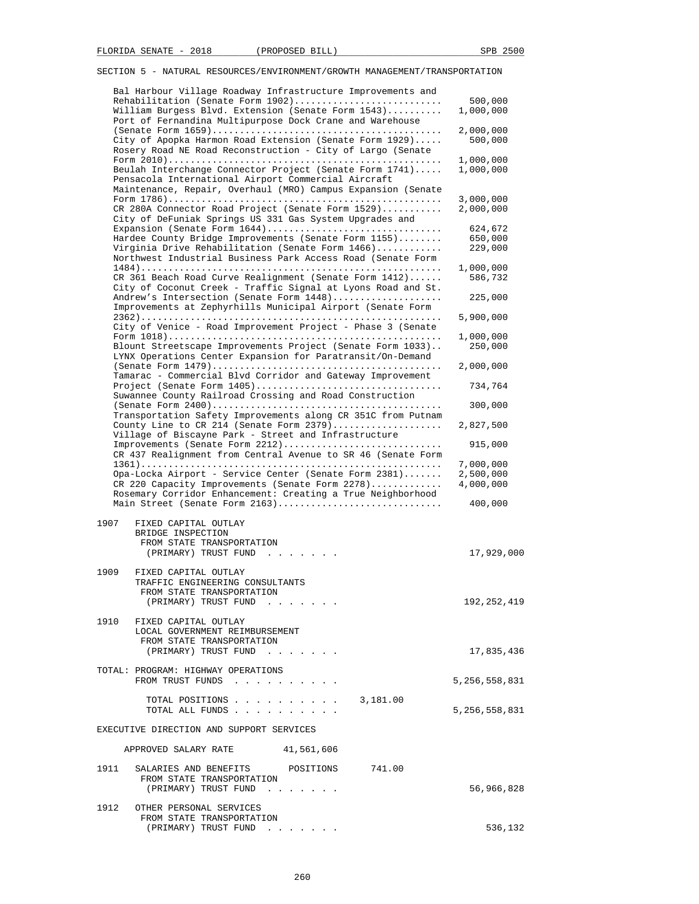|      | Bal Harbour Village Roadway Infrastructure Improvements and<br>Rehabilitation (Senate Form 1902)<br>William Burgess Blvd. Extension (Senate Form 1543)                                                                                  | 500,000<br>1,000,000                |
|------|-----------------------------------------------------------------------------------------------------------------------------------------------------------------------------------------------------------------------------------------|-------------------------------------|
|      | Port of Fernandina Multipurpose Dock Crane and Warehouse<br>City of Apopka Harmon Road Extension (Senate Form 1929)<br>Rosery Road NE Road Reconstruction - City of Largo (Senate                                                       | 2,000,000<br>500,000                |
|      | Beulah Interchange Connector Project (Senate Form 1741)<br>Pensacola International Airport Commercial Aircraft<br>Maintenance, Repair, Overhaul (MRO) Campus Expansion (Senate                                                          | 1,000,000<br>1,000,000              |
|      | CR 280A Connector Road Project (Senate Form 1529)                                                                                                                                                                                       | 3,000,000<br>2,000,000              |
|      | City of DeFuniak Springs US 331 Gas System Upgrades and<br>Expansion (Senate Form 1644)<br>Hardee County Bridge Improvements (Senate Form 1155)<br>Virginia Drive Rehabilitation (Senate Form 1466)                                     | 624,672<br>650,000<br>229,000       |
|      | Northwest Industrial Business Park Access Road (Senate Form<br>CR 361 Beach Road Curve Realignment (Senate Form 1412)                                                                                                                   | 1,000,000<br>586,732                |
|      | City of Coconut Creek - Traffic Signal at Lyons Road and St.<br>Andrew's Intersection (Senate Form 1448)<br>Improvements at Zephyrhills Municipal Airport (Senate Form                                                                  | 225,000                             |
|      | City of Venice - Road Improvement Project - Phase 3 (Senate                                                                                                                                                                             | 5,900,000                           |
|      | Blount Streetscape Improvements Project (Senate Form 1033)<br>LYNX Operations Center Expansion for Paratransit/On-Demand                                                                                                                | 1,000,000<br>250,000                |
|      | Tamarac - Commercial Blvd Corridor and Gateway Improvement                                                                                                                                                                              | 2,000,000                           |
|      | Suwannee County Railroad Crossing and Road Construction                                                                                                                                                                                 | 734,764<br>300,000                  |
|      | Transportation Safety Improvements along CR 351C from Putnam<br>County Line to CR 214 (Senate Form 2379)                                                                                                                                | 2,827,500                           |
|      | Village of Biscayne Park - Street and Infrastructure<br>Improvements (Senate Form 2212)                                                                                                                                                 | 915,000                             |
|      | CR 437 Realignment from Central Avenue to SR 46 (Senate Form<br>Opa-Locka Airport - Service Center (Senate Form 2381)<br>CR 220 Capacity Improvements (Senate Form 2278)<br>Rosemary Corridor Enhancement: Creating a True Neighborhood | 7,000,000<br>2,500,000<br>4,000,000 |
|      | Main Street (Senate Form 2163)                                                                                                                                                                                                          | 400,000                             |
| 1907 | FIXED CAPITAL OUTLAY<br>BRIDGE INSPECTION<br>FROM STATE TRANSPORTATION<br>(PRIMARY) TRUST FUND<br>and a state of the                                                                                                                    | 17,929,000                          |
| 1909 | FIXED CAPITAL OUTLAY<br>TRAFFIC ENGINEERING CONSULTANTS<br>FROM STATE TRANSPORTATION                                                                                                                                                    |                                     |
|      | (PRIMARY) TRUST FUND<br>1910 FIXED CAPITAL OUTLAY                                                                                                                                                                                       | 192,252,419                         |
|      | LOCAL GOVERNMENT REIMBURSEMENT<br>FROM STATE TRANSPORTATION<br>(PRIMARY) TRUST FUND                                                                                                                                                     | 17,835,436                          |
|      | TOTAL: PROGRAM: HIGHWAY OPERATIONS<br>FROM TRUST FUNDS                                                                                                                                                                                  | 5,256,558,831                       |
|      | 3,181.00<br>TOTAL POSITIONS<br>TOTAL ALL FUNDS                                                                                                                                                                                          | 5,256,558,831                       |
|      | EXECUTIVE DIRECTION AND SUPPORT SERVICES                                                                                                                                                                                                |                                     |
|      | APPROVED SALARY RATE 41,561,606                                                                                                                                                                                                         |                                     |
| 1911 | SALARIES AND BENEFITS POSITIONS<br>741.00<br>FROM STATE TRANSPORTATION<br>(PRIMARY) TRUST FUND                                                                                                                                          | 56,966,828                          |
| 1912 | OTHER PERSONAL SERVICES<br>FROM STATE TRANSPORTATION                                                                                                                                                                                    |                                     |
|      | (PRIMARY) TRUST FUND                                                                                                                                                                                                                    | 536,132                             |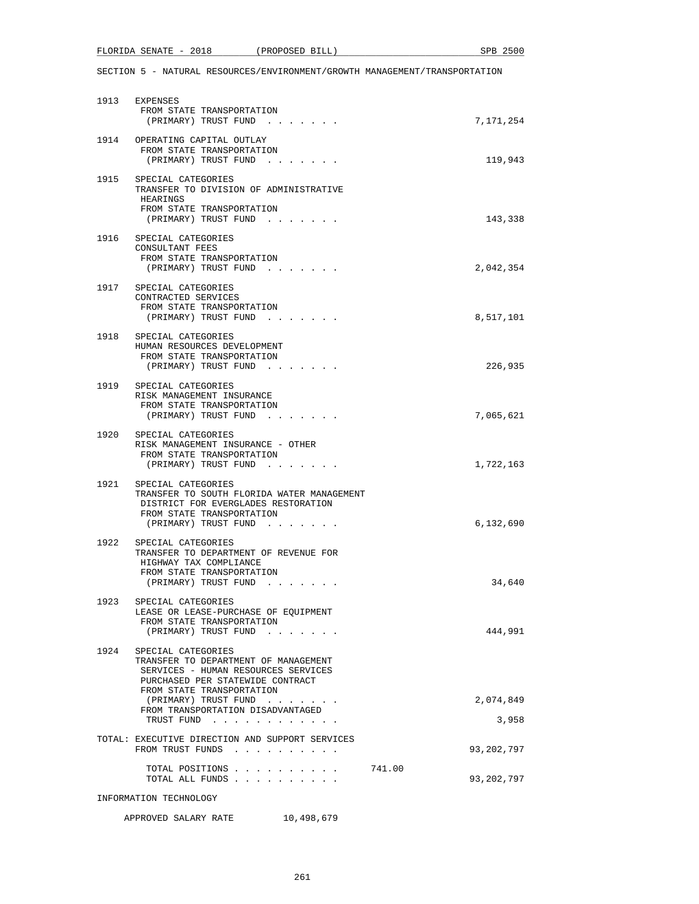SECTION 5 - NATURAL RESOURCES/ENVIRONMENT/GROWTH MANAGEMENT/TRANSPORTATION

|      | 1913 EXPENSES<br>FROM STATE TRANSPORTATION<br>(PRIMARY) TRUST FUND                                                                                                                                                                                                             | 7,171,254          |
|------|--------------------------------------------------------------------------------------------------------------------------------------------------------------------------------------------------------------------------------------------------------------------------------|--------------------|
|      | 1914 OPERATING CAPITAL OUTLAY<br>FROM STATE TRANSPORTATION<br>(PRIMARY) TRUST FUND                                                                                                                                                                                             | 119,943            |
| 1915 | SPECIAL CATEGORIES<br>TRANSFER TO DIVISION OF ADMINISTRATIVE<br>HEARINGS<br>FROM STATE TRANSPORTATION<br>(PRIMARY) TRUST FUND<br>$\begin{array}{cccccccccccccc} \bullet & \bullet & \bullet & \bullet & \bullet & \bullet & \bullet & \bullet & \bullet & \bullet \end{array}$ | 143,338            |
| 1916 | SPECIAL CATEGORIES<br>CONSULTANT FEES<br>FROM STATE TRANSPORTATION<br>(PRIMARY) TRUST FUND                                                                                                                                                                                     | 2,042,354          |
| 1917 | SPECIAL CATEGORIES<br>CONTRACTED SERVICES<br>FROM STATE TRANSPORTATION<br>(PRIMARY) TRUST FUND                                                                                                                                                                                 | 8,517,101          |
| 1918 | SPECIAL CATEGORIES<br>HUMAN RESOURCES DEVELOPMENT<br>FROM STATE TRANSPORTATION<br>(PRIMARY) TRUST FUND                                                                                                                                                                         | 226,935            |
|      | 1919 SPECIAL CATEGORIES<br>RISK MANAGEMENT INSURANCE<br>FROM STATE TRANSPORTATION<br>(PRIMARY) TRUST FUND                                                                                                                                                                      | 7,065,621          |
|      | 1920 SPECIAL CATEGORIES<br>RISK MANAGEMENT INSURANCE - OTHER<br>FROM STATE TRANSPORTATION<br>(PRIMARY) TRUST FUND                                                                                                                                                              | 1,722,163          |
|      | 1921 SPECIAL CATEGORIES<br>TRANSFER TO SOUTH FLORIDA WATER MANAGEMENT<br>DISTRICT FOR EVERGLADES RESTORATION<br>FROM STATE TRANSPORTATION<br>(PRIMARY) TRUST FUND                                                                                                              | 6,132,690          |
|      | 1922 SPECIAL CATEGORIES<br>TRANSFER TO DEPARTMENT OF REVENUE FOR<br>HIGHWAY TAX COMPLIANCE<br>FROM STATE TRANSPORTATION<br>(PRIMARY) TRUST FUND                                                                                                                                | 34,640             |
| 1923 | SPECIAL CATEGORIES<br>LEASE OR LEASE-PURCHASE OF EQUIPMENT<br>FROM STATE TRANSPORTATION<br>(PRIMARY) TRUST FUND                                                                                                                                                                | 444,991            |
| 1924 | SPECIAL CATEGORIES<br>TRANSFER TO DEPARTMENT OF MANAGEMENT<br>SERVICES - HUMAN RESOURCES SERVICES<br>PURCHASED PER STATEWIDE CONTRACT<br>FROM STATE TRANSPORTATION                                                                                                             |                    |
|      | (PRIMARY) TRUST FUND<br>FROM TRANSPORTATION DISADVANTAGED<br>TRUST FUND                                                                                                                                                                                                        | 2,074,849<br>3,958 |
|      | TOTAL: EXECUTIVE DIRECTION AND SUPPORT SERVICES<br>FROM TRUST FUNDS                                                                                                                                                                                                            | 93,202,797         |
|      | 741.00<br>TOTAL POSITIONS<br>TOTAL ALL FUNDS                                                                                                                                                                                                                                   | 93,202,797         |
|      | INFORMATION TECHNOLOGY                                                                                                                                                                                                                                                         |                    |

# APPROVED SALARY RATE 10,498,679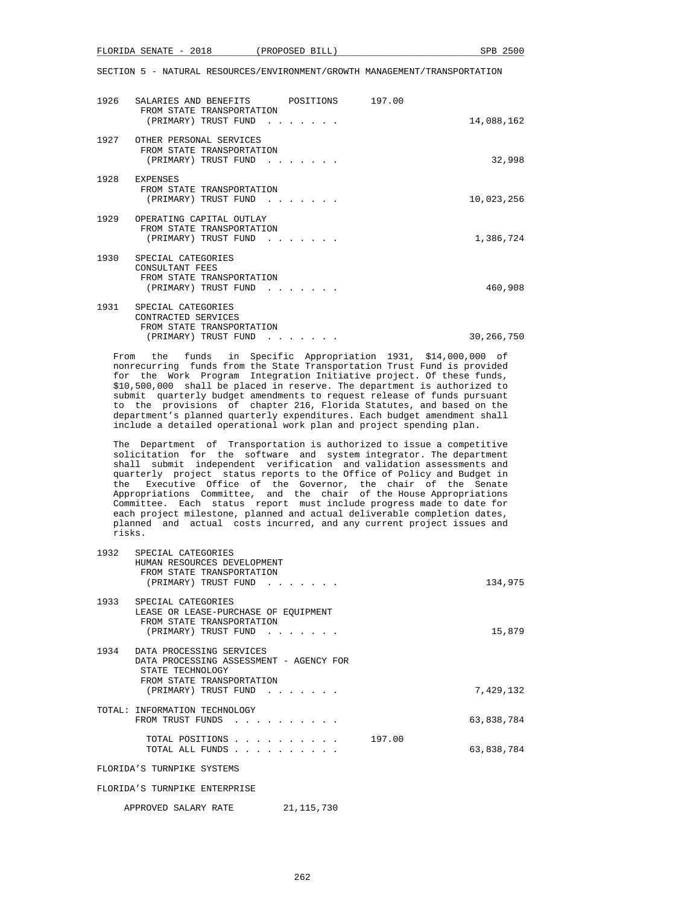| <u>ດດາດ</u><br>FLORIDA<br>SENATE<br>$\overline{\phantom{0}}$<br>40 I 8 | PROPOSED | SPB<br>ገር<br>BILL. |  |
|------------------------------------------------------------------------|----------|--------------------|--|
|                                                                        |          |                    |  |

| 1926 | SALARIES AND BENEFITS<br>FROM STATE TRANSPORTATION<br>(PRIMARY) TRUST FUND                     | POSITIONS | 197.00 | 14,088,162 |
|------|------------------------------------------------------------------------------------------------|-----------|--------|------------|
| 1927 | OTHER PERSONAL SERVICES<br>FROM STATE TRANSPORTATION<br>(PRIMARY) TRUST FUND                   |           |        | 32,998     |
| 1928 | EXPENSES<br>FROM STATE TRANSPORTATION<br>(PRIMARY) TRUST FUND                                  |           |        | 10,023,256 |
| 1929 | OPERATING CAPITAL OUTLAY<br>FROM STATE TRANSPORTATION<br>(PRIMARY) TRUST FUND                  |           |        | 1,386,724  |
| 1930 | SPECIAL CATEGORIES<br>CONSULTANT FEES<br>FROM STATE TRANSPORTATION<br>(PRIMARY) TRUST FUND     |           |        | 460,908    |
| 1931 | SPECIAL CATEGORIES<br>CONTRACTED SERVICES<br>FROM STATE TRANSPORTATION<br>(PRIMARY) TRUST FUND |           |        | 30,266,750 |

 From the funds in Specific Appropriation 1931, \$14,000,000 of nonrecurring funds from the State Transportation Trust Fund is provided for the Work Program Integration Initiative project. Of these funds, \$10,500,000 shall be placed in reserve. The department is authorized to submit quarterly budget amendments to request release of funds pursuant to the provisions of chapter 216, Florida Statutes, and based on the department's planned quarterly expenditures. Each budget amendment shall include a detailed operational work plan and project spending plan.

 The Department of Transportation is authorized to issue a competitive solicitation for the software and system integrator. The department shall submit independent verification and validation assessments and quarterly project status reports to the Office of Policy and Budget in the Executive Office of the Governor, the chair of the Senate Appropriations Committee, and the chair of the House Appropriations Committee. Each status report must include progress made to date for each project milestone, planned and actual deliverable completion dates, planned and actual costs incurred, and any current project issues and risks.

| 1932 | SPECIAL CATEGORIES<br>HUMAN RESOURCES DEVELOPMENT<br>FROM STATE TRANSPORTATION                                                                                                                                               |         |
|------|------------------------------------------------------------------------------------------------------------------------------------------------------------------------------------------------------------------------------|---------|
|      | (PRIMARY) TRUST FUND<br>$\sim$                                                                                                                                                                                               | 134,975 |
| 1933 | SPECIAL CATEGORIES<br>LEASE OR LEASE-PURCHASE OF EQUIPMENT<br>FROM STATE TRANSPORTATION<br>(PRIMARY) TRUST FUND                                                                                                              | 15,879  |
| 1934 | DATA PROCESSING SERVICES<br>DATA PROCESSING ASSESSMENT - AGENCY FOR<br>STATE TECHNOLOGY<br>FROM STATE TRANSPORTATION<br>7,429,132<br>(PRIMARY) TRUST FUND<br>$\mathbf{r}$ and $\mathbf{r}$ and $\mathbf{r}$ and $\mathbf{r}$ |         |
|      | TOTAL: INFORMATION TECHNOLOGY<br>63,838,784<br>FROM TRUST FUNDS<br>.                                                                                                                                                         |         |
|      | 197.00<br>TOTAL POSITIONS<br>63,838,784<br>TOTAL ALL FUNDS                                                                                                                                                                   |         |
|      | FLORIDA'S TURNPIKE SYSTEMS                                                                                                                                                                                                   |         |

FLORIDA'S TURNPIKE ENTERPRISE

APPROVED SALARY RATE 21,115,730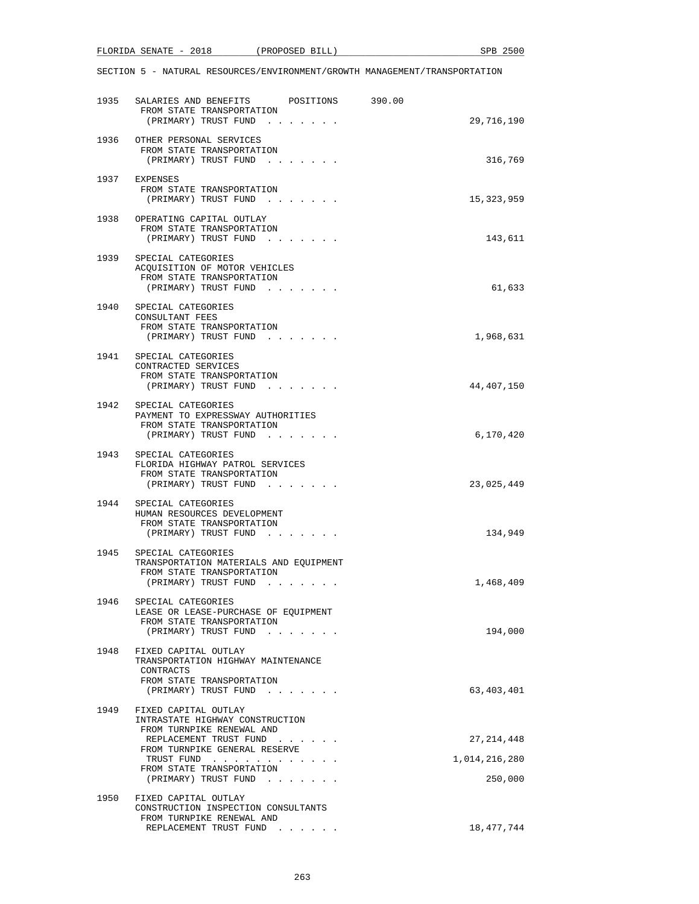| <u>ດດາດ</u><br>FLORIDA<br>SENATE<br>$\overline{\phantom{0}}$<br>40 I 8 | PROPOSED | SPB<br>ገር<br>BILL. |  |
|------------------------------------------------------------------------|----------|--------------------|--|
|                                                                        |          |                    |  |

|      | 1935 SALARIES AND BENEFITS<br>FROM STATE TRANSPORTATION                                                                               | POSITIONS 390.00              |               |
|------|---------------------------------------------------------------------------------------------------------------------------------------|-------------------------------|---------------|
|      | (PRIMARY) TRUST FUND                                                                                                                  |                               | 29,716,190    |
|      | 1936 OTHER PERSONAL SERVICES<br>FROM STATE TRANSPORTATION<br>(PRIMARY) TRUST FUND                                                     |                               | 316,769       |
|      | 1937 EXPENSES<br>FROM STATE TRANSPORTATION<br>(PRIMARY) TRUST FUND                                                                    |                               | 15,323,959    |
| 1938 | OPERATING CAPITAL OUTLAY<br>FROM STATE TRANSPORTATION<br>(PRIMARY) TRUST FUND                                                         |                               | 143,611       |
|      | 1939 SPECIAL CATEGORIES<br>ACQUISITION OF MOTOR VEHICLES<br>FROM STATE TRANSPORTATION<br>(PRIMARY) TRUST FUND                         |                               | 61,633        |
| 1940 | SPECIAL CATEGORIES<br>CONSULTANT FEES<br>FROM STATE TRANSPORTATION<br>(PRIMARY) TRUST FUND                                            |                               | 1,968,631     |
| 1941 | SPECIAL CATEGORIES<br>CONTRACTED SERVICES<br>FROM STATE TRANSPORTATION<br>(PRIMARY) TRUST FUND                                        |                               | 44,407,150    |
|      | 1942 SPECIAL CATEGORIES<br>PAYMENT TO EXPRESSWAY AUTHORITIES<br>FROM STATE TRANSPORTATION<br>(PRIMARY) TRUST FUND                     |                               | 6,170,420     |
|      | 1943 SPECIAL CATEGORIES<br>FLORIDA HIGHWAY PATROL SERVICES<br>FROM STATE TRANSPORTATION<br>(PRIMARY) TRUST FUND                       |                               | 23,025,449    |
|      | 1944 SPECIAL CATEGORIES<br>HUMAN RESOURCES DEVELOPMENT<br>FROM STATE TRANSPORTATION<br>(PRIMARY) TRUST FUND                           |                               | 134,949       |
| 1945 | SPECIAL CATEGORIES<br>TRANSPORTATION MATERIALS AND EQUIPMENT<br>FROM STATE TRANSPORTATION<br>(PRIMARY) TRUST FUND                     |                               | 1,468,409     |
| 1946 | SPECIAL CATEGORIES<br>LEASE OR LEASE-PURCHASE OF EQUIPMENT<br>FROM STATE TRANSPORTATION<br>(PRIMARY) TRUST FUND                       |                               | 194,000       |
| 1948 | FIXED CAPITAL OUTLAY<br>TRANSPORTATION HIGHWAY MAINTENANCE<br>CONTRACTS<br>FROM STATE TRANSPORTATION                                  |                               |               |
| 1949 | (PRIMARY) TRUST FUND<br>$\mathbf{a}$ , and $\mathbf{a}$ , and $\mathbf{a}$<br>FIXED CAPITAL OUTLAY<br>INTRASTATE HIGHWAY CONSTRUCTION |                               | 63,403,401    |
|      | FROM TURNPIKE RENEWAL AND<br>REPLACEMENT TRUST FUND                                                                                   |                               | 27, 214, 448  |
|      | FROM TURNPIKE GENERAL RESERVE<br>TRUST FUND                                                                                           |                               | 1,014,216,280 |
|      | FROM STATE TRANSPORTATION<br>(PRIMARY) TRUST FUND                                                                                     | and the state of the state of | 250,000       |
| 1950 | FIXED CAPITAL OUTLAY<br>CONSTRUCTION INSPECTION CONSULTANTS                                                                           |                               |               |
|      | FROM TURNPIKE RENEWAL AND<br>REPLACEMENT TRUST FUND                                                                                   | $\cdots$                      | 18,477,744    |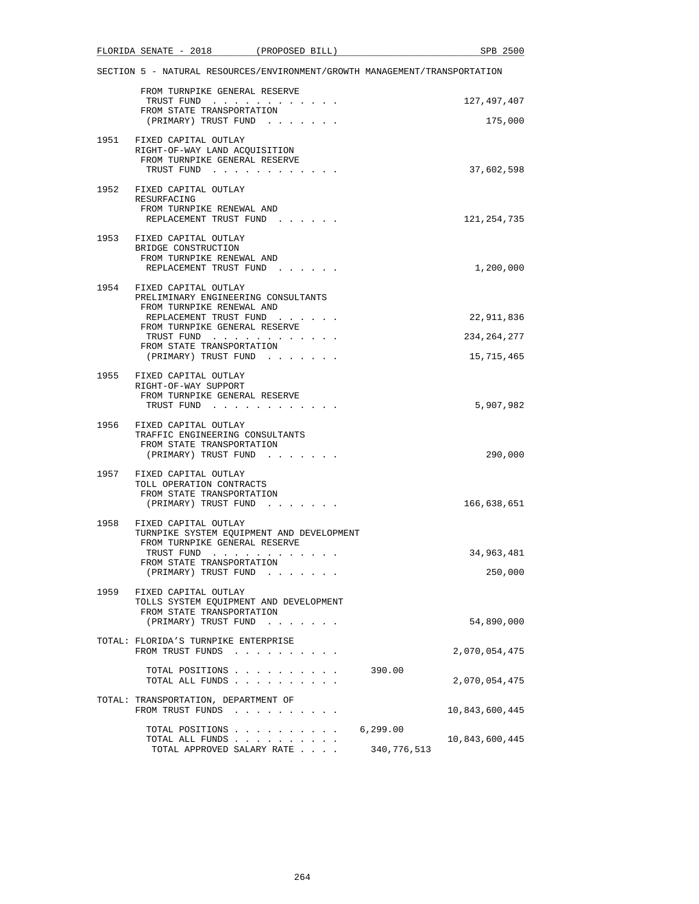|      | FLORIDA SENATE - 2018                                                                                               | (PROPOSED BILL)                     |                          | SPB 2500              |
|------|---------------------------------------------------------------------------------------------------------------------|-------------------------------------|--------------------------|-----------------------|
|      | SECTION 5 - NATURAL RESOURCES/ENVIRONMENT/GROWTH MANAGEMENT/TRANSPORTATION                                          |                                     |                          |                       |
|      | FROM TURNPIKE GENERAL RESERVE<br>TRUST FUND<br>FROM STATE TRANSPORTATION                                            |                                     |                          | 127,497,407           |
|      | (PRIMARY) TRUST FUND                                                                                                |                                     |                          | 175,000               |
|      | 1951 FIXED CAPITAL OUTLAY<br>RIGHT-OF-WAY LAND ACQUISITION<br>FROM TURNPIKE GENERAL RESERVE<br>TRUST FUND           |                                     |                          | 37,602,598            |
|      | 1952 FIXED CAPITAL OUTLAY<br>RESURFACING<br>FROM TURNPIKE RENEWAL AND<br>REPLACEMENT TRUST FUND                     |                                     |                          | 121,254,735           |
|      | 1953 FIXED CAPITAL OUTLAY<br>BRIDGE CONSTRUCTION<br>FROM TURNPIKE RENEWAL AND<br>REPLACEMENT TRUST FUND             |                                     |                          | 1,200,000             |
| 1954 | FIXED CAPITAL OUTLAY                                                                                                |                                     |                          |                       |
|      | PRELIMINARY ENGINEERING CONSULTANTS<br>FROM TURNPIKE RENEWAL AND<br>REPLACEMENT TRUST FUND                          |                                     |                          | 22,911,836            |
|      | FROM TURNPIKE GENERAL RESERVE<br>TRUST FUND                                                                         |                                     |                          | 234, 264, 277         |
|      | FROM STATE TRANSPORTATION<br>(PRIMARY) TRUST FUND                                                                   |                                     |                          | 15,715,465            |
|      | 1955 FIXED CAPITAL OUTLAY<br>RIGHT-OF-WAY SUPPORT<br>FROM TURNPIKE GENERAL RESERVE<br>TRUST FUND                    |                                     |                          | 5,907,982             |
|      | 1956 FIXED CAPITAL OUTLAY<br>TRAFFIC ENGINEERING CONSULTANTS<br>FROM STATE TRANSPORTATION<br>(PRIMARY) TRUST FUND   |                                     |                          | 290,000               |
|      | 1957 FIXED CAPITAL OUTLAY<br>TOLL OPERATION CONTRACTS<br>FROM STATE TRANSPORTATION<br>(PRIMARY) TRUST FUND          |                                     |                          | 166,638,651           |
|      | 1958 FIXED CAPITAL OUTLAY<br>TURNPIKE SYSTEM EQUIPMENT AND DEVELOPMENT<br>FROM TURNPIKE GENERAL RESERVE             |                                     |                          |                       |
|      | TRUST FUND<br>FROM STATE TRANSPORTATION<br>(PRIMARY) TRUST FUND                                                     |                                     |                          | 34,963,481<br>250,000 |
| 1959 | FIXED CAPITAL OUTLAY<br>TOLLS SYSTEM EQUIPMENT AND DEVELOPMENT<br>FROM STATE TRANSPORTATION<br>(PRIMARY) TRUST FUND | and the contract of the state       |                          | 54,890,000            |
|      | TOTAL: FLORIDA'S TURNPIKE ENTERPRISE<br>FROM TRUST FUNDS                                                            | the contract of the contract of the |                          | 2,070,054,475         |
|      | TOTAL POSITIONS<br>TOTAL ALL FUNDS                                                                                  |                                     | 390.00                   | 2,070,054,475         |
|      | TOTAL: TRANSPORTATION, DEPARTMENT OF<br>FROM TRUST FUNDS                                                            | and a series and a series of        |                          | 10,843,600,445        |
|      | TOTAL POSITIONS<br>TOTAL ALL FUNDS<br>TOTAL APPROVED SALARY RATE                                                    |                                     | 6, 299.00<br>340,776,513 | 10,843,600,445        |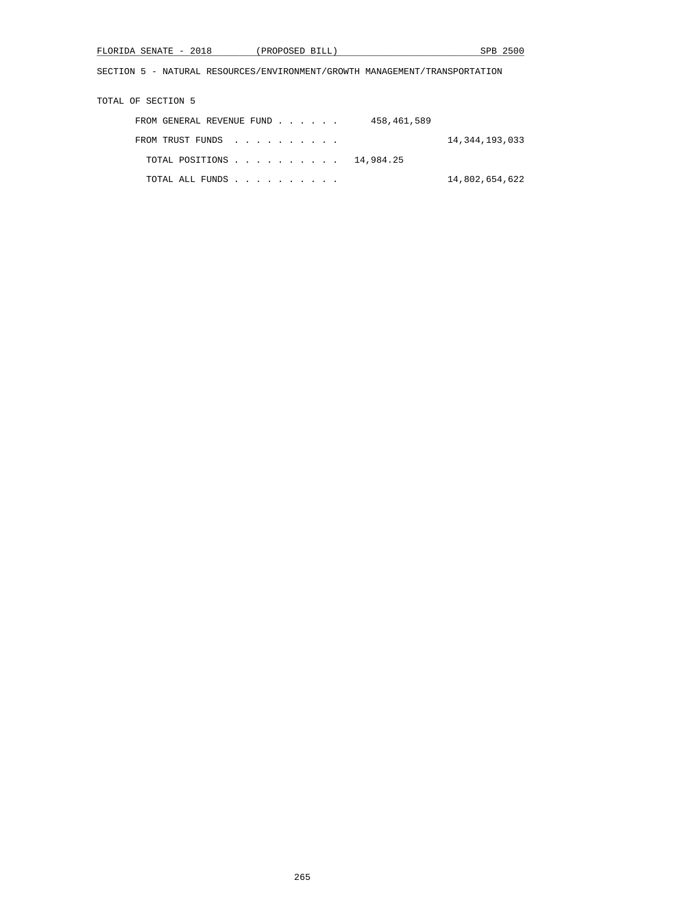| FLORIDA<br>SENATE | <u>ດດາດ</u><br>$\overline{\phantom{0}}$<br>40 I 8 | PROPOSED<br>BILL | つにへへ<br>SPB |
|-------------------|---------------------------------------------------|------------------|-------------|
|                   |                                                   |                  |             |

TOTAL OF SECTION 5

| FROM GENERAL REVENUE FUND |  |  | 458,461,589 |                |
|---------------------------|--|--|-------------|----------------|
| FROM TRUST FUNDS          |  |  |             | 14,344,193,033 |
| TOTAL POSITIONS 14,984.25 |  |  |             |                |
| TOTAL ALL FUNDS           |  |  |             | 14,802,654,622 |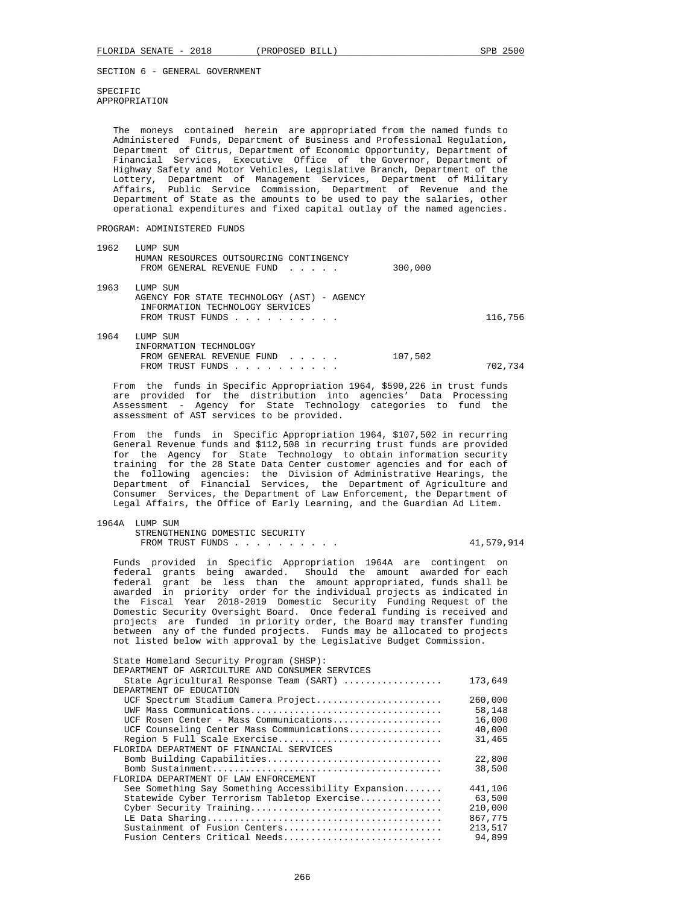SPECIFIC APPROPRIATION

 The moneys contained herein are appropriated from the named funds to Administered Funds, Department of Business and Professional Regulation, Department of Citrus, Department of Economic Opportunity, Department of Financial Services, Executive Office of the Governor, Department of Highway Safety and Motor Vehicles, Legislative Branch, Department of the Lottery, Department of Management Services, Department of Military Affairs, Public Service Commission, Department of Revenue and the Department of State as the amounts to be used to pay the salaries, other operational expenditures and fixed capital outlay of the named agencies.

PROGRAM: ADMINISTERED FUNDS

| 1962 | LUMP SUM<br>HUMAN RESOURCES OUTSOURCING CONTINGENCY                                                           |         |         |
|------|---------------------------------------------------------------------------------------------------------------|---------|---------|
|      | FROM GENERAL REVENUE FUND                                                                                     | 300,000 |         |
| 1963 | LUMP SUM<br>AGENCY FOR STATE TECHNOLOGY (AST) - AGENCY<br>INFORMATION TECHNOLOGY SERVICES<br>FROM TRUST FUNDS |         | 116,756 |
| 1964 | LUMP SUM<br>TNEORMATION TECHNOLOGY                                                                            |         |         |

| INFORMATION TECHNOLOGY    |         |
|---------------------------|---------|
| FROM GENERAL REVENUE FUND | 107,502 |
| FROM TRUST FUNDS          | 702,734 |

 From the funds in Specific Appropriation 1964, \$590,226 in trust funds are provided for the distribution into agencies' Data Processing Assessment - Agency for State Technology categories to fund the assessment of AST services to be provided.

 From the funds in Specific Appropriation 1964, \$107,502 in recurring General Revenue funds and \$112,508 in recurring trust funds are provided for the Agency for State Technology to obtain information security training for the 28 State Data Center customer agencies and for each of the following agencies: the Division of Administrative Hearings, the Department of Financial Services, the Department of Agriculture and Consumer Services, the Department of Law Enforcement, the Department of Legal Affairs, the Office of Early Learning, and the Guardian Ad Litem.

## 1964A LUMP SUM

 STRENGTHENING DOMESTIC SECURITY FROM TRUST FUNDS . . . . . . . . . . . . . . 41,579,914

 Funds provided in Specific Appropriation 1964A are contingent on federal grants being awarded. Should the amount awarded for each federal grant be less than the amount appropriated, funds shall be awarded in priority order for the individual projects as indicated in the Fiscal Year 2018-2019 Domestic Security Funding Request of the Domestic Security Oversight Board. Once federal funding is received and projects are funded in priority order, the Board may transfer funding between any of the funded projects. Funds may be allocated to projects not listed below with approval by the Legislative Budget Commission.

| State Homeland Security Program (SHSP):             |         |
|-----------------------------------------------------|---------|
| DEPARTMENT OF AGRICULTURE AND CONSUMER SERVICES     |         |
| State Agricultural Response Team (SART)             | 173,649 |
| DEPARTMENT OF EDUCATION                             |         |
| UCF Spectrum Stadium Camera Project                 | 260,000 |
| UWF Mass Communications                             | 58,148  |
| UCF Rosen Center - Mass Communications              | 16,000  |
| UCF Counseling Center Mass Communications           | 40,000  |
| Region 5 Full Scale Exercise                        | 31,465  |
| FLORIDA DEPARTMENT OF FINANCIAL SERVICES            |         |
| Bomb Building Capabilities                          | 22,800  |
|                                                     | 38,500  |
| FLORIDA DEPARTMENT OF LAW ENFORCEMENT               |         |
| See Something Say Something Accessibility Expansion | 441,106 |
| Statewide Cyber Terrorism Tabletop Exercise         | 63,500  |
|                                                     | 210,000 |
|                                                     | 867,775 |
| Sustainment of Fusion Centers                       | 213,517 |
| Fusion Centers Critical Needs                       | 94,899  |
|                                                     |         |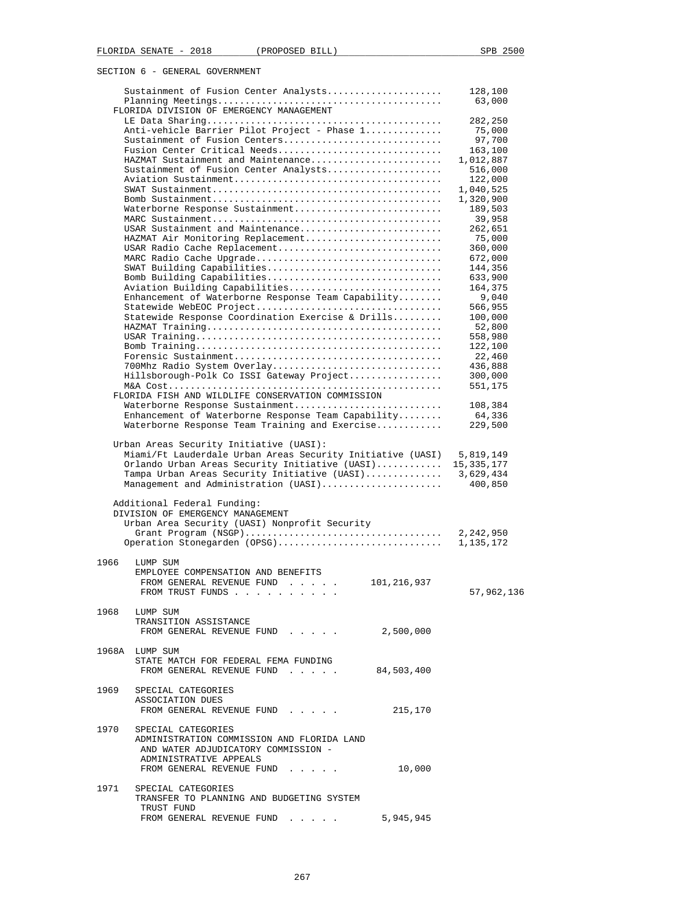|      | Sustainment of Fusion Center Analysts                                                                | 128,100              |
|------|------------------------------------------------------------------------------------------------------|----------------------|
|      | FLORIDA DIVISION OF EMERGENCY MANAGEMENT                                                             | 63,000               |
|      |                                                                                                      | 282,250              |
|      | Anti-vehicle Barrier Pilot Project - Phase 1                                                         | 75,000               |
|      | Sustainment of Fusion Centers                                                                        | 97,700               |
|      | Fusion Center Critical Needs                                                                         | 163,100              |
|      | HAZMAT Sustainment and Maintenance                                                                   | 1,012,887            |
|      | Sustainment of Fusion Center Analysts                                                                | 516,000              |
|      |                                                                                                      | 122,000<br>1,040,525 |
|      |                                                                                                      | 1,320,900            |
|      | Waterborne Response Sustainment                                                                      | 189,503              |
|      |                                                                                                      | 39,958               |
|      | USAR Sustainment and Maintenance                                                                     | 262,651              |
|      | HAZMAT Air Monitoring Replacement                                                                    | 75,000               |
|      | USAR Radio Cache Replacement                                                                         | 360,000              |
|      | MARC Radio Cache Upgrade                                                                             | 672,000              |
|      | SWAT Building Capabilities                                                                           | 144,356              |
|      | Bomb Building Capabilities                                                                           | 633,900              |
|      | Aviation Building Capabilities<br>Enhancement of Waterborne Response Team Capability                 | 164,375<br>9,040     |
|      | Statewide WebEOC Project                                                                             | 566,955              |
|      | Statewide Response Coordination Exercise & Drills                                                    | 100,000              |
|      |                                                                                                      | 52,800               |
|      |                                                                                                      | 558,980              |
|      |                                                                                                      | 122,100              |
|      |                                                                                                      | 22,460               |
|      | 700Mhz Radio System Overlay                                                                          | 436,888              |
|      | Hillsborough-Polk Co ISSI Gateway Project                                                            | 300,000              |
|      |                                                                                                      | 551,175              |
|      | FLORIDA FISH AND WILDLIFE CONSERVATION COMMISSION                                                    |                      |
|      | Waterborne Response Sustainment                                                                      | 108,384              |
|      | Enhancement of Waterborne Response Team Capability<br>Waterborne Response Team Training and Exercise | 64,336<br>229,500    |
|      |                                                                                                      |                      |
|      | Urban Areas Security Initiative (UASI):                                                              |                      |
|      | Miami/Ft Lauderdale Urban Areas Security Initiative (UASI)                                           | 5,819,149            |
|      | Orlando Urban Areas Security Initiative (UASI)                                                       | 15,335,177           |
|      | Tampa Urban Areas Security Initiative (UASI)                                                         | 3,629,434            |
|      | Management and Administration (UASI)                                                                 | 400,850              |
|      |                                                                                                      |                      |
|      | Additional Federal Funding:<br>DIVISION OF EMERGENCY MANAGEMENT                                      |                      |
|      | Urban Area Security (UASI) Nonprofit Security                                                        |                      |
|      |                                                                                                      | 2,242,950            |
|      | Operation Stonegarden (OPSG)                                                                         | 1,135,172            |
|      |                                                                                                      |                      |
| 1966 | LUMP SUM                                                                                             |                      |
|      | EMPLOYEE COMPENSATION AND BENEFITS                                                                   |                      |
|      | FROM GENERAL REVENUE FUND<br>101,216,937<br>and the second service                                   |                      |
|      | FROM TRUST FUNDS                                                                                     | 57,962,136           |
|      |                                                                                                      |                      |
|      | 1968 LUMP SUM<br>TRANSITION ASSISTANCE                                                               |                      |
|      | 2,500,000<br>FROM GENERAL REVENUE FUND                                                               |                      |
|      |                                                                                                      |                      |
|      | 1968A LUMP SUM                                                                                       |                      |
|      | STATE MATCH FOR FEDERAL FEMA FUNDING                                                                 |                      |
|      | FROM GENERAL REVENUE FUND<br>84,503,400                                                              |                      |
|      |                                                                                                      |                      |
|      | 1969 SPECIAL CATEGORIES                                                                              |                      |
|      | ASSOCIATION DUES                                                                                     |                      |
|      | 215,170<br>FROM GENERAL REVENUE FUND                                                                 |                      |
|      | 1970 SPECIAL CATEGORIES                                                                              |                      |
|      | ADMINISTRATION COMMISSION AND FLORIDA LAND                                                           |                      |
|      | AND WATER ADJUDICATORY COMMISSION -                                                                  |                      |
|      | ADMINISTRATIVE APPEALS                                                                               |                      |
|      | FROM GENERAL REVENUE FUND<br>10,000                                                                  |                      |
|      |                                                                                                      |                      |
| 1971 | SPECIAL CATEGORIES                                                                                   |                      |
|      | TRANSFER TO PLANNING AND BUDGETING SYSTEM<br>TRUST FUND                                              |                      |
|      | 5,945,945<br>FROM GENERAL REVENUE FUND                                                               |                      |
|      |                                                                                                      |                      |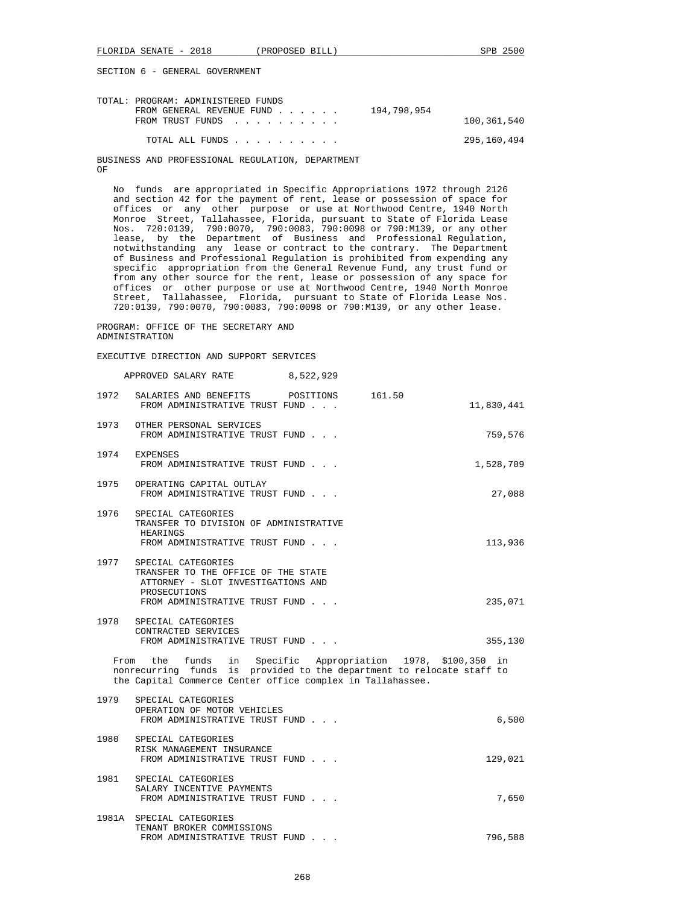| TOTAL: PROGRAM: ADMINISTERED FUNDS       |             |
|------------------------------------------|-------------|
| 194,798,954<br>FROM GENERAL REVENUE FUND |             |
| FROM TRUST FUNDS                         | 100,361,540 |
| TOTAL ALL FUNDS                          | 295,160,494 |

 BUSINESS AND PROFESSIONAL REGULATION, DEPARTMENT OF

 No funds are appropriated in Specific Appropriations 1972 through 2126 and section 42 for the payment of rent, lease or possession of space for offices or any other purpose or use at Northwood Centre, 1940 North Monroe Street, Tallahassee, Florida, pursuant to State of Florida Lease Nos. 720:0139, 790:0070, 790:0083, 790:0098 or 790:M139, or any other lease, by the Department of Business and Professional Regulation, notwithstanding any lease or contract to the contrary. The Department of Business and Professional Regulation is prohibited from expending any specific appropriation from the General Revenue Fund, any trust fund or from any other source for the rent, lease or possession of any space for offices or other purpose or use at Northwood Centre, 1940 North Monroe Street, Tallahassee, Florida, pursuant to State of Florida Lease Nos. 720:0139, 790:0070, 790:0083, 790:0098 or 790:M139, or any other lease.

 PROGRAM: OFFICE OF THE SECRETARY AND ADMINISTRATION

EXECUTIVE DIRECTION AND SUPPORT SERVICES

 APPROVED SALARY RATE 8,522,929 1972 SALARIES AND BENEFITS POSITIONS 161.50 FROM ADMINISTRATIVE TRUST FUND . . . 11,830,441 1973 OTHER PERSONAL SERVICES FROM ADMINISTRATIVE TRUST FUND . . . . 759,576 1974 EXPENSES FROM ADMINISTRATIVE TRUST FUND . . .  $1,528,709$  1975 OPERATING CAPITAL OUTLAY FROM ADMINISTRATIVE TRUST FUND . . .  $27,088$  1976 SPECIAL CATEGORIES TRANSFER TO DIVISION OF ADMINISTRATIVE HEARINGS FROM ADMINISTRATIVE TRUST FUND . . . 113,936 1977 SPECIAL CATEGORIES TRANSFER TO THE OFFICE OF THE STATE ATTORNEY - SLOT INVESTIGATIONS AND **PROSECUTIONS** FROM ADMINISTRATIVE TRUST FUND . . .  $235,071$  1978 SPECIAL CATEGORIES CONTRACTED SERVICES FROM ADMINISTRATIVE TRUST FUND . . .  $355,130$  From the funds in Specific Appropriation 1978, \$100,350 in nonrecurring funds is provided to the department to relocate staff to the Capital Commerce Center office complex in Tallahassee. 1979 SPECIAL CATEGORIES OPERATION OF MOTOR VEHICLES FROM ADMINISTRATIVE TRUST FUND . . .  $6,500$  1980 SPECIAL CATEGORIES RISK MANAGEMENT INSURANCE FROM ADMINISTRATIVE TRUST FUND . . . 129,021

 1981 SPECIAL CATEGORIES SALARY INCENTIVE PAYMENTS FROM ADMINISTRATIVE TRUST FUND . . .  $\qquad \qquad$  7,650 1981A SPECIAL CATEGORIES TENANT BROKER COMMISSIONS FROM ADMINISTRATIVE TRUST FUND . . .  $\hspace{2cm} 796,588$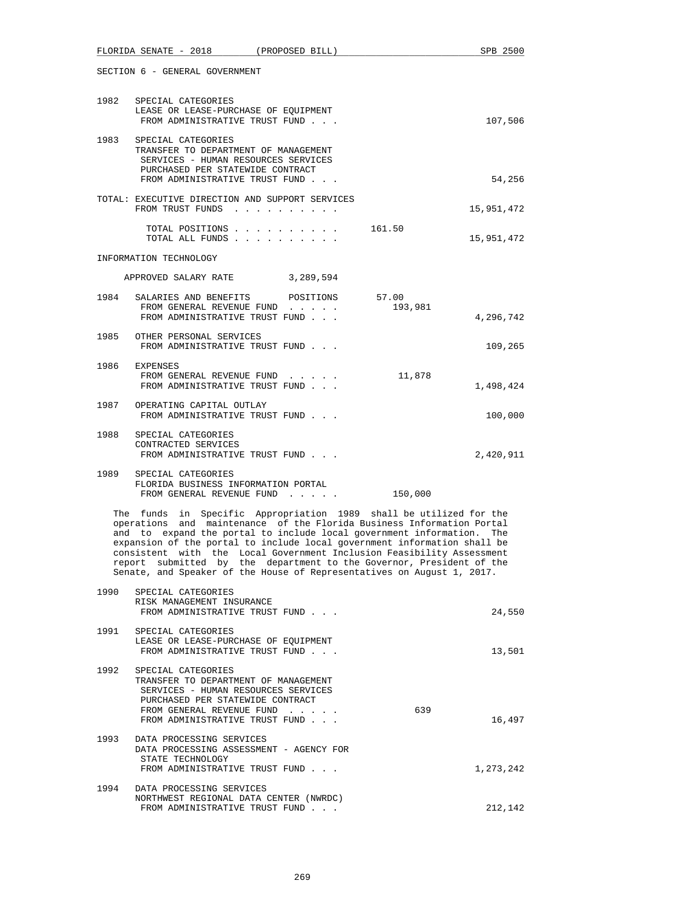|                                                                                                                                                                                                                                                                                                                                                                                                                                                                                                                             | FLORIDA SENATE - 2018 (PROPOSED BILL)                                                                                                                                                                |  |                  | SPB 2500   |  |
|-----------------------------------------------------------------------------------------------------------------------------------------------------------------------------------------------------------------------------------------------------------------------------------------------------------------------------------------------------------------------------------------------------------------------------------------------------------------------------------------------------------------------------|------------------------------------------------------------------------------------------------------------------------------------------------------------------------------------------------------|--|------------------|------------|--|
| SECTION 6 - GENERAL GOVERNMENT                                                                                                                                                                                                                                                                                                                                                                                                                                                                                              |                                                                                                                                                                                                      |  |                  |            |  |
| 1982                                                                                                                                                                                                                                                                                                                                                                                                                                                                                                                        | SPECIAL CATEGORIES<br>LEASE OR LEASE-PURCHASE OF EQUIPMENT<br>FROM ADMINISTRATIVE TRUST FUND                                                                                                         |  |                  | 107,506    |  |
| 1983                                                                                                                                                                                                                                                                                                                                                                                                                                                                                                                        | SPECIAL CATEGORIES<br>TRANSFER TO DEPARTMENT OF MANAGEMENT<br>SERVICES - HUMAN RESOURCES SERVICES<br>PURCHASED PER STATEWIDE CONTRACT<br>FROM ADMINISTRATIVE TRUST FUND                              |  |                  | 54,256     |  |
|                                                                                                                                                                                                                                                                                                                                                                                                                                                                                                                             | TOTAL: EXECUTIVE DIRECTION AND SUPPORT SERVICES<br>FROM TRUST FUNDS                                                                                                                                  |  |                  | 15,951,472 |  |
|                                                                                                                                                                                                                                                                                                                                                                                                                                                                                                                             | TOTAL POSITIONS<br>TOTAL ALL FUNDS                                                                                                                                                                   |  | 161.50           | 15,951,472 |  |
|                                                                                                                                                                                                                                                                                                                                                                                                                                                                                                                             | INFORMATION TECHNOLOGY                                                                                                                                                                               |  |                  |            |  |
|                                                                                                                                                                                                                                                                                                                                                                                                                                                                                                                             | APPROVED SALARY RATE 3,289,594                                                                                                                                                                       |  |                  |            |  |
| 1984                                                                                                                                                                                                                                                                                                                                                                                                                                                                                                                        | SALARIES AND BENEFITS POSITIONS<br>FROM GENERAL REVENUE FUND<br>FROM ADMINISTRATIVE TRUST FUND                                                                                                       |  | 57.00<br>193,981 | 4,296,742  |  |
| 1985                                                                                                                                                                                                                                                                                                                                                                                                                                                                                                                        | OTHER PERSONAL SERVICES<br>FROM ADMINISTRATIVE TRUST FUND                                                                                                                                            |  |                  | 109,265    |  |
| 1986                                                                                                                                                                                                                                                                                                                                                                                                                                                                                                                        | <b>EXPENSES</b><br>FROM GENERAL REVENUE FUND<br>FROM ADMINISTRATIVE TRUST FUND                                                                                                                       |  | 11,878           | 1,498,424  |  |
| 1987                                                                                                                                                                                                                                                                                                                                                                                                                                                                                                                        | OPERATING CAPITAL OUTLAY<br>FROM ADMINISTRATIVE TRUST FUND                                                                                                                                           |  |                  | 100,000    |  |
| 1988                                                                                                                                                                                                                                                                                                                                                                                                                                                                                                                        | SPECIAL CATEGORIES<br>CONTRACTED SERVICES<br>FROM ADMINISTRATIVE TRUST FUND                                                                                                                          |  |                  | 2,420,911  |  |
| 1989                                                                                                                                                                                                                                                                                                                                                                                                                                                                                                                        | SPECIAL CATEGORIES<br>FLORIDA BUSINESS INFORMATION PORTAL<br>FROM GENERAL REVENUE FUND                                                                                                               |  | 150,000          |            |  |
| The funds in Specific Appropriation 1989 shall be utilized for the<br>operations and maintenance of the Florida Business Information Portal<br>and to expand the portal to include local government information. The<br>expansion of the portal to include local government information shall be<br>consistent with the Local Government Inclusion Feasibility Assessment<br>report submitted by the department to the Governor, President of the<br>Senate, and Speaker of the House of Representatives on August 1, 2017. |                                                                                                                                                                                                      |  |                  |            |  |
| 1990                                                                                                                                                                                                                                                                                                                                                                                                                                                                                                                        | SPECIAL CATEGORIES<br>RISK MANAGEMENT INSURANCE<br>FROM ADMINISTRATIVE TRUST FUND                                                                                                                    |  |                  | 24,550     |  |
| 1991                                                                                                                                                                                                                                                                                                                                                                                                                                                                                                                        | SPECIAL CATEGORIES<br>LEASE OR LEASE-PURCHASE OF EQUIPMENT<br>FROM ADMINISTRATIVE TRUST FUND                                                                                                         |  |                  | 13,501     |  |
| 1992                                                                                                                                                                                                                                                                                                                                                                                                                                                                                                                        | SPECIAL CATEGORIES<br>TRANSFER TO DEPARTMENT OF MANAGEMENT<br>SERVICES - HUMAN RESOURCES SERVICES<br>PURCHASED PER STATEWIDE CONTRACT<br>FROM GENERAL REVENUE FUND<br>FROM ADMINISTRATIVE TRUST FUND |  | 639              | 16,497     |  |
| 1993                                                                                                                                                                                                                                                                                                                                                                                                                                                                                                                        | DATA PROCESSING SERVICES<br>DATA PROCESSING ASSESSMENT - AGENCY FOR<br>STATE TECHNOLOGY<br>FROM ADMINISTRATIVE TRUST FUND                                                                            |  |                  | 1,273,242  |  |
| 1994                                                                                                                                                                                                                                                                                                                                                                                                                                                                                                                        | DATA PROCESSING SERVICES<br>NORTHWEST REGIONAL DATA CENTER (NWRDC)<br>FROM ADMINISTRATIVE TRUST FUND                                                                                                 |  |                  | 212,142    |  |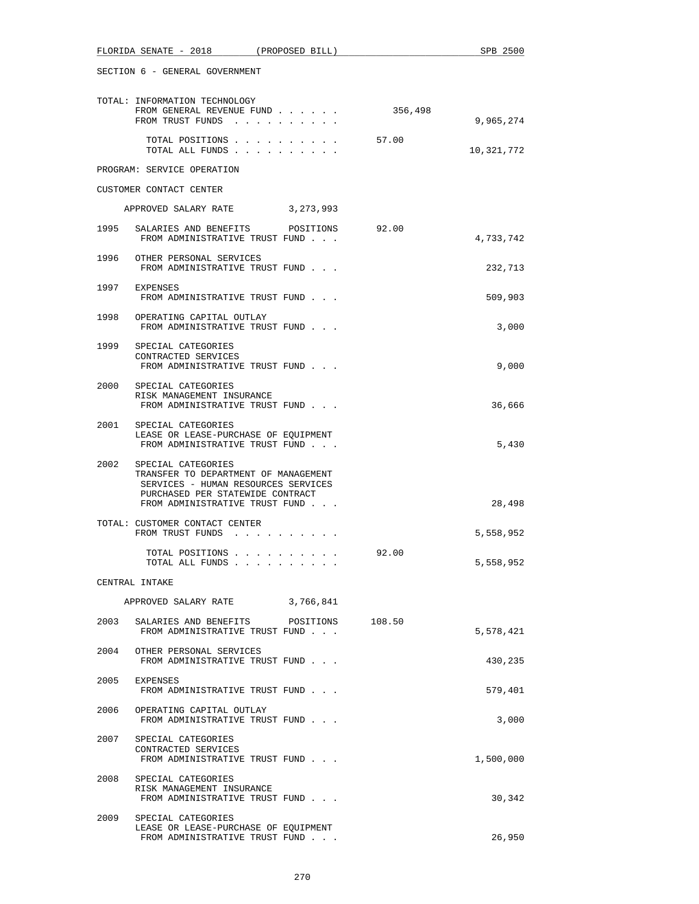|      | FLORIDA SENATE - 2018 (PROPOSED BILL)                                                                                                                                        |         | SPB 2500   |
|------|------------------------------------------------------------------------------------------------------------------------------------------------------------------------------|---------|------------|
|      | SECTION 6 - GENERAL GOVERNMENT                                                                                                                                               |         |            |
|      | TOTAL: INFORMATION TECHNOLOGY<br>FROM GENERAL REVENUE FUND<br>FROM TRUST FUNDS                                                                                               | 356,498 | 9,965,274  |
|      | TOTAL POSITIONS<br>TOTAL ALL FUNDS                                                                                                                                           | 57.00   | 10,321,772 |
|      | PROGRAM: SERVICE OPERATION                                                                                                                                                   |         |            |
|      | CUSTOMER CONTACT CENTER                                                                                                                                                      |         |            |
|      | APPROVED SALARY RATE 3, 273, 993                                                                                                                                             |         |            |
| 1995 | SALARIES AND BENEFITS<br>POSITIONS<br>FROM ADMINISTRATIVE TRUST FUND                                                                                                         | 92.00   | 4,733,742  |
| 1996 | OTHER PERSONAL SERVICES<br>FROM ADMINISTRATIVE TRUST FUND                                                                                                                    |         | 232,713    |
|      | 1997 EXPENSES<br>FROM ADMINISTRATIVE TRUST FUND                                                                                                                              |         | 509,903    |
|      | 1998 OPERATING CAPITAL OUTLAY<br>FROM ADMINISTRATIVE TRUST FUND                                                                                                              |         | 3,000      |
|      | 1999 SPECIAL CATEGORIES<br>CONTRACTED SERVICES<br>FROM ADMINISTRATIVE TRUST FUND                                                                                             |         | 9,000      |
| 2000 | SPECIAL CATEGORIES<br>RISK MANAGEMENT INSURANCE<br>FROM ADMINISTRATIVE TRUST FUND                                                                                            |         | 36,666     |
| 2001 | SPECIAL CATEGORIES<br>LEASE OR LEASE-PURCHASE OF EQUIPMENT<br>FROM ADMINISTRATIVE TRUST FUND                                                                                 |         | 5,430      |
|      | 2002 SPECIAL CATEGORIES<br>TRANSFER TO DEPARTMENT OF MANAGEMENT<br>SERVICES - HUMAN RESOURCES SERVICES<br>PURCHASED PER STATEWIDE CONTRACT<br>FROM ADMINISTRATIVE TRUST FUND |         | 28,498     |
|      | TOTAL: CUSTOMER CONTACT CENTER<br>FROM TRUST FUNDS                                                                                                                           |         | 5,558,952  |
|      | TOTAL POSITIONS<br>TOTAL ALL FUNDS                                                                                                                                           | 92.00   | 5,558,952  |
|      | CENTRAL INTAKE                                                                                                                                                               |         |            |
|      | APPROVED SALARY RATE<br>3,766,841                                                                                                                                            |         |            |
|      | 2003 SALARIES AND BENEFITS POSITIONS<br>FROM ADMINISTRATIVE TRUST FUND                                                                                                       | 108.50  | 5,578,421  |
|      | 2004 OTHER PERSONAL SERVICES<br>FROM ADMINISTRATIVE TRUST FUND                                                                                                               |         | 430,235    |
| 2005 | EXPENSES<br>FROM ADMINISTRATIVE TRUST FUND                                                                                                                                   |         | 579,401    |
| 2006 | OPERATING CAPITAL OUTLAY<br>FROM ADMINISTRATIVE TRUST FUND                                                                                                                   |         | 3,000      |
| 2007 | SPECIAL CATEGORIES<br>CONTRACTED SERVICES<br>FROM ADMINISTRATIVE TRUST FUND                                                                                                  |         | 1,500,000  |
|      | 2008 SPECIAL CATEGORIES<br>RISK MANAGEMENT INSURANCE<br>FROM ADMINISTRATIVE TRUST FUND                                                                                       |         | 30,342     |
| 2009 | SPECIAL CATEGORIES<br>LEASE OR LEASE-PURCHASE OF EQUIPMENT<br>FROM ADMINISTRATIVE TRUST FUND                                                                                 |         | 26,950     |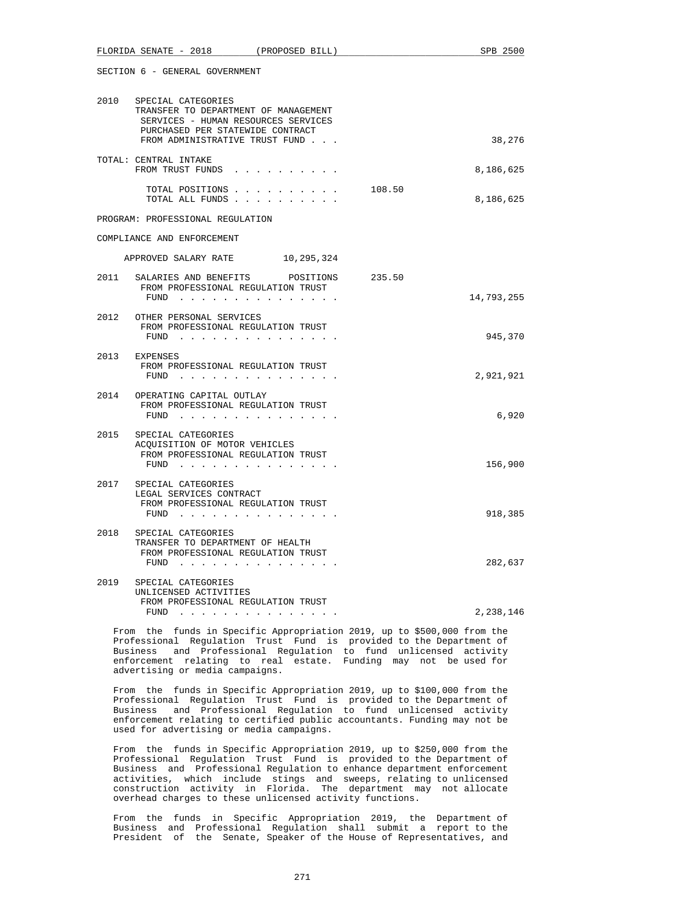|      | FLORIDA SENATE - 2018<br>(PROPOSED BILL)                                                                                                                                | SPB 2500   |
|------|-------------------------------------------------------------------------------------------------------------------------------------------------------------------------|------------|
|      | SECTION 6 - GENERAL GOVERNMENT                                                                                                                                          |            |
| 2010 | SPECIAL CATEGORIES<br>TRANSFER TO DEPARTMENT OF MANAGEMENT<br>SERVICES - HUMAN RESOURCES SERVICES<br>PURCHASED PER STATEWIDE CONTRACT<br>FROM ADMINISTRATIVE TRUST FUND | 38,276     |
|      |                                                                                                                                                                         |            |
|      | TOTAL: CENTRAL INTAKE<br>FROM TRUST FUNDS                                                                                                                               | 8,186,625  |
|      | TOTAL POSITIONS 108.50<br>TOTAL ALL FUNDS                                                                                                                               | 8,186,625  |
|      | PROGRAM: PROFESSIONAL REGULATION                                                                                                                                        |            |
|      | COMPLIANCE AND ENFORCEMENT                                                                                                                                              |            |
|      | APPROVED SALARY RATE 10,295,324                                                                                                                                         |            |
| 2011 | SALARIES AND BENEFITS<br>POSITIONS 235.50<br>FROM PROFESSIONAL REGULATION TRUST<br>FUND $\cdots$                                                                        | 14,793,255 |
| 2012 | OTHER PERSONAL SERVICES<br>FROM PROFESSIONAL REGULATION TRUST<br>FUND                                                                                                   | 945,370    |
|      | 2013 EXPENSES<br>FROM PROFESSIONAL REGULATION TRUST<br>$FUND$                                                                                                           | 2,921,921  |
| 2014 | OPERATING CAPITAL OUTLAY<br>FROM PROFESSIONAL REGULATION TRUST<br>$FUND$                                                                                                | 6,920      |
| 2015 | SPECIAL CATEGORIES<br>ACOUISITION OF MOTOR VEHICLES<br>FROM PROFESSIONAL REGULATION TRUST<br>$FUND$                                                                     | 156,900    |
| 2017 | SPECIAL CATEGORIES<br>LEGAL SERVICES CONTRACT<br>FROM PROFESSIONAL REGULATION TRUST<br>$FUND$                                                                           | 918,385    |
| 2018 | SPECIAL CATEGORIES<br>TRANSFER TO DEPARTMENT OF HEALTH<br>FROM PROFESSIONAL REGULATION TRUST<br>FUND                                                                    | 282,637    |
| 2019 | SPECIAL CATEGORIES<br>UNLICENSED ACTIVITIES<br>FROM PROFESSIONAL REGULATION TRUST<br>$FUND$                                                                             | 2,238,146  |

 From the funds in Specific Appropriation 2019, up to \$500,000 from the Professional Regulation Trust Fund is provided to the Department of Business and Professional Regulation to fund unlicensed activity enforcement relating to real estate. Funding may not be used for advertising or media campaigns.

 From the funds in Specific Appropriation 2019, up to \$100,000 from the Professional Regulation Trust Fund is provided to the Department of Business and Professional Regulation to fund unlicensed activity enforcement relating to certified public accountants. Funding may not be used for advertising or media campaigns.

 From the funds in Specific Appropriation 2019, up to \$250,000 from the Professional Regulation Trust Fund is provided to the Department of Business and Professional Regulation to enhance department enforcement activities, which include stings and sweeps, relating to unlicensed construction activity in Florida. The department may not allocate overhead charges to these unlicensed activity functions.

 From the funds in Specific Appropriation 2019, the Department of Business and Professional Regulation shall submit a report to the President of the Senate, Speaker of the House of Representatives, and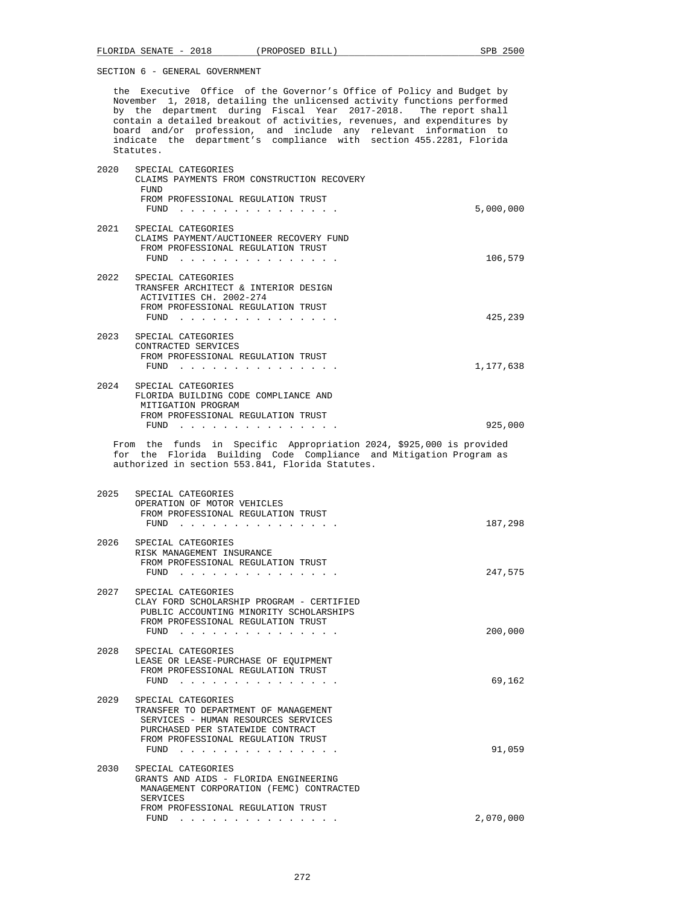the Executive Office of the Governor's Office of Policy and Budget by November 1, 2018, detailing the unlicensed activity functions performed by the department during Fiscal Year 2017-2018. The report shall contain a detailed breakout of activities, revenues, and expenditures by board and/or profession, and include any relevant information to indicate the department's compliance with section 455.2281, Florida Statutes.

| 2020 | SPECIAL CATEGORIES<br>CLAIMS PAYMENTS FROM CONSTRUCTION RECOVERY<br>FUND<br>FROM PROFESSIONAL REGULATION TRUST<br>$FUND$                                                                                                                                                                                                                | 5,000,000 |
|------|-----------------------------------------------------------------------------------------------------------------------------------------------------------------------------------------------------------------------------------------------------------------------------------------------------------------------------------------|-----------|
|      | 2021 SPECIAL CATEGORIES<br>CLAIMS PAYMENT/AUCTIONEER RECOVERY FUND<br>FROM PROFESSIONAL REGULATION TRUST<br>FUND<br>the contract of the contract of the                                                                                                                                                                                 | 106,579   |
| 2022 | SPECIAL CATEGORIES<br>TRANSFER ARCHITECT & INTERIOR DESIGN<br>ACTIVITIES CH. 2002-274<br>FROM PROFESSIONAL REGULATION TRUST<br>FUND<br><u>.</u>                                                                                                                                                                                         | 425,239   |
| 2023 | SPECIAL CATEGORIES<br>CONTRACTED SERVICES<br>FROM PROFESSIONAL REGULATION TRUST<br>$FUND$                                                                                                                                                                                                                                               | 1,177,638 |
|      | 2024 SPECIAL CATEGORIES<br>FLORIDA BUILDING CODE COMPLIANCE AND<br>MITIGATION PROGRAM<br>FROM PROFESSIONAL REGULATION TRUST<br>$FUND$ ,,,,,,,,,                                                                                                                                                                                         | 925,000   |
|      | From the funds in Specific Appropriation 2024, \$925,000 is provided<br>for the Florida Building Code Compliance and Mitigation Program as<br>authorized in section 553.841, Florida Statutes.                                                                                                                                          |           |
| 2025 | SPECIAL CATEGORIES<br>OPERATION OF MOTOR VEHICLES<br>FROM PROFESSIONAL REGULATION TRUST<br>FUND<br><u>in the series of the series of the series of the series of the series of the series of the series of the series of the series of the series of the series of the series of the series of the series of the series of the seri</u> | 187,298   |
| 2026 | SPECIAL CATEGORIES<br>RISK MANAGEMENT INSURANCE                                                                                                                                                                                                                                                                                         |           |

 FROM PROFESSIONAL REGULATION TRUST FUND . . . . . . . . . . . . . . . 247,575 2027 SPECIAL CATEGORIES CLAY FORD SCHOLARSHIP PROGRAM - CERTIFIED PUBLIC ACCOUNTING MINORITY SCHOLARSHIPS FROM PROFESSIONAL REGULATION TRUST FUND . . . . . . . . . . . . . . . 200,000 2028 SPECIAL CATEGORIES LEASE OR LEASE-PURCHASE OF EQUIPMENT FROM PROFESSIONAL REGULATION TRUST FUND . . . . . . . . . . . . . . . 69,162

## 2029 SPECIAL CATEGORIES TRANSFER TO DEPARTMENT OF MANAGEMENT SERVICES - HUMAN RESOURCES SERVICES PURCHASED PER STATEWIDE CONTRACT FROM PROFESSIONAL REGULATION TRUST FUND . . . . . . . . . . . . . . . 91,059 2030 SPECIAL CATEGORIES GRANTS AND AIDS - FLORIDA ENGINEERING MANAGEMENT CORPORATION (FEMC) CONTRACTED SERVICES FROM PROFESSIONAL REGULATION TRUST

FUND . . . . . . . . . . . . . . . 2,070,000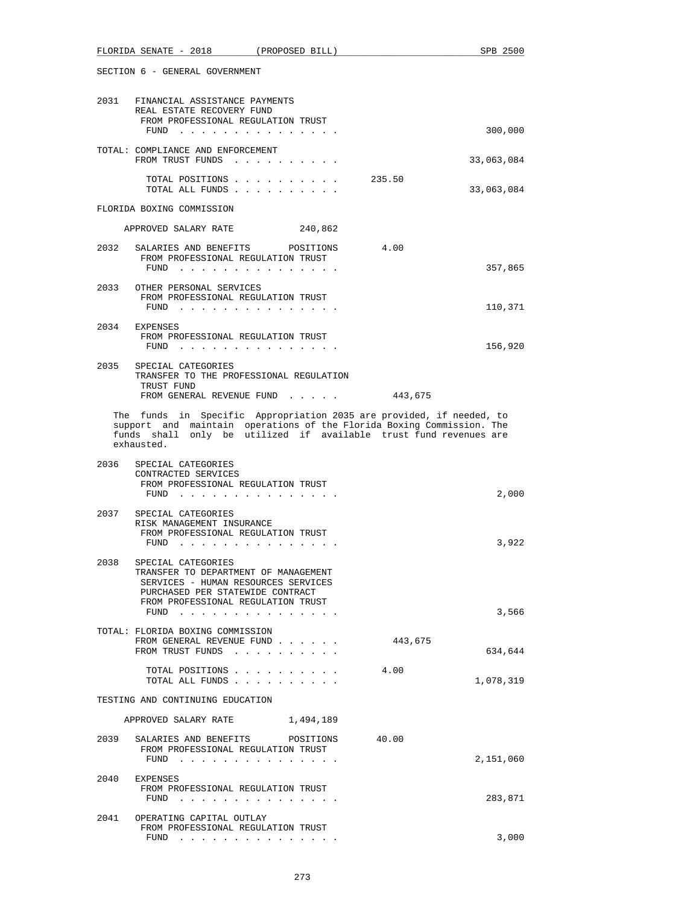|      | FLORIDA SENATE - 2018<br>(PROPOSED BILL)                                                                                                                                                                                         | SPB 2500   |
|------|----------------------------------------------------------------------------------------------------------------------------------------------------------------------------------------------------------------------------------|------------|
|      | SECTION 6 - GENERAL GOVERNMENT                                                                                                                                                                                                   |            |
|      | 2031 FINANCIAL ASSISTANCE PAYMENTS<br>REAL ESTATE RECOVERY FUND<br>FROM PROFESSIONAL REGULATION TRUST                                                                                                                            |            |
|      | FUND                                                                                                                                                                                                                             | 300,000    |
|      | TOTAL: COMPLIANCE AND ENFORCEMENT<br>FROM TRUST FUNDS                                                                                                                                                                            | 33,063,084 |
|      | TOTAL POSITIONS<br>235.50<br>TOTAL ALL FUNDS                                                                                                                                                                                     | 33,063,084 |
|      | FLORIDA BOXING COMMISSION                                                                                                                                                                                                        |            |
|      | APPROVED SALARY RATE 240,862                                                                                                                                                                                                     |            |
| 2032 | SALARIES AND BENEFITS POSITIONS<br>4.00<br>FROM PROFESSIONAL REGULATION TRUST<br>$FUND$                                                                                                                                          | 357,865    |
| 2033 | OTHER PERSONAL SERVICES<br>FROM PROFESSIONAL REGULATION TRUST                                                                                                                                                                    |            |
|      | FUND $\cdots$                                                                                                                                                                                                                    | 110,371    |
| 2034 | EXPENSES<br>FROM PROFESSIONAL REGULATION TRUST<br>FUND $\cdots$                                                                                                                                                                  | 156,920    |
|      | 2035 SPECIAL CATEGORIES<br>TRANSFER TO THE PROFESSIONAL REGULATION<br>TRUST FUND<br>FROM GENERAL REVENUE FUND<br>443,675                                                                                                         |            |
|      | The funds in Specific Appropriation 2035 are provided, if needed, to<br>support and maintain operations of the Florida Boxing Commission. The<br>funds shall only be utilized if available trust fund revenues are<br>exhausted. |            |
| 2036 | SPECIAL CATEGORIES<br>CONTRACTED SERVICES<br>FROM PROFESSIONAL REGULATION TRUST<br>$FUND$                                                                                                                                        | 2,000      |
| 2037 | SPECIAL CATEGORIES<br>RISK MANAGEMENT INSURANCE<br>FROM PROFESSIONAL REGULATION TRUST<br>FUND $\ldots$                                                                                                                           | 3,922      |
| 2038 | SPECIAL CATEGORIES<br>TRANSFER TO DEPARTMENT OF MANAGEMENT<br>SERVICES - HUMAN RESOURCES SERVICES<br>PURCHASED PER STATEWIDE CONTRACT<br>FROM PROFESSIONAL REGULATION TRUST<br>FUND $\cdots$                                     | 3,566      |
|      | TOTAL: FLORIDA BOXING COMMISSION<br>FROM GENERAL REVENUE FUND<br>443,675<br>FROM TRUST FUNDS                                                                                                                                     | 634,644    |
|      | TOTAL POSITIONS<br>4.00<br>TOTAL ALL FUNDS                                                                                                                                                                                       | 1,078,319  |
|      | TESTING AND CONTINUING EDUCATION                                                                                                                                                                                                 |            |
|      | APPROVED SALARY RATE 1,494,189                                                                                                                                                                                                   |            |
| 2039 | SALARIES AND BENEFITS POSITIONS<br>40.00<br>FROM PROFESSIONAL REGULATION TRUST<br>FUND $\cdots$                                                                                                                                  | 2,151,060  |
| 2040 | EXPENSES<br>FROM PROFESSIONAL REGULATION TRUST<br>FUND $\cdots$                                                                                                                                                                  | 283,871    |
| 2041 | OPERATING CAPITAL OUTLAY<br>FROM PROFESSIONAL REGULATION TRUST                                                                                                                                                                   | 3,000      |
|      | FUND $\ldots$                                                                                                                                                                                                                    |            |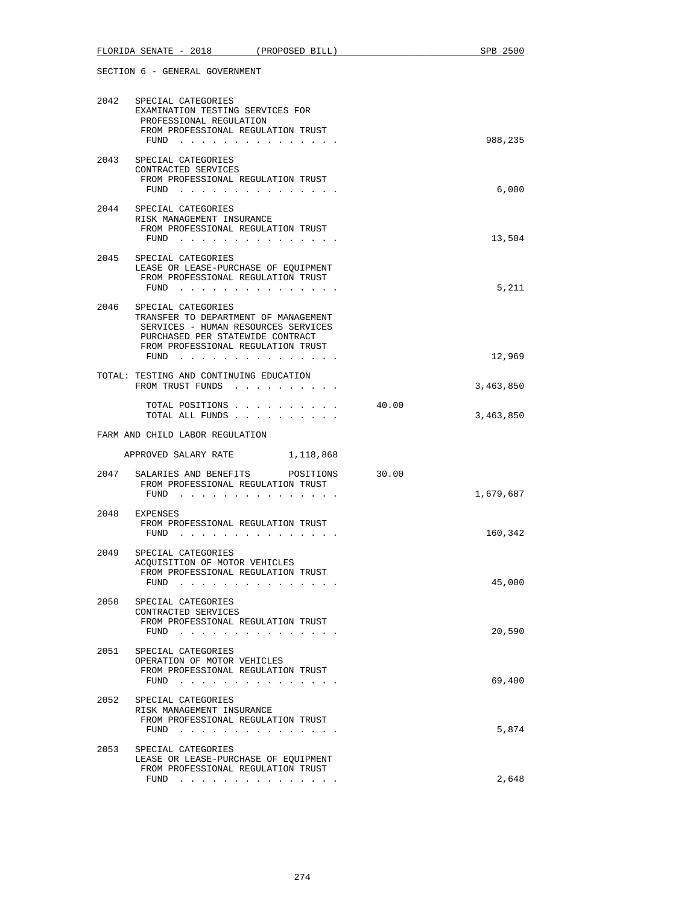|      | FLORIDA SENATE - 2018 (PROPOSED BILL)                                                                                                                                                        |           |       | SPB 2500  |
|------|----------------------------------------------------------------------------------------------------------------------------------------------------------------------------------------------|-----------|-------|-----------|
|      | SECTION 6 - GENERAL GOVERNMENT                                                                                                                                                               |           |       |           |
|      | 2042 SPECIAL CATEGORIES<br>EXAMINATION TESTING SERVICES FOR<br>PROFESSIONAL REGULATION<br>FROM PROFESSIONAL REGULATION TRUST<br>FUND $\cdots$                                                |           |       | 988,235   |
| 2043 | SPECIAL CATEGORIES<br>CONTRACTED SERVICES<br>FROM PROFESSIONAL REGULATION TRUST<br>FUND $\cdots$                                                                                             |           |       | 6,000     |
|      | 2044 SPECIAL CATEGORIES<br>RISK MANAGEMENT INSURANCE<br>FROM PROFESSIONAL REGULATION TRUST<br>FUND                                                                                           |           |       | 13,504    |
|      | 2045 SPECIAL CATEGORIES<br>LEASE OR LEASE-PURCHASE OF EQUIPMENT<br>FROM PROFESSIONAL REGULATION TRUST<br>FUND                                                                                |           |       | 5,211     |
| 2046 | SPECIAL CATEGORIES<br>TRANSFER TO DEPARTMENT OF MANAGEMENT<br>SERVICES - HUMAN RESOURCES SERVICES<br>PURCHASED PER STATEWIDE CONTRACT<br>FROM PROFESSIONAL REGULATION TRUST<br>FUND $\cdots$ |           |       | 12,969    |
|      | TOTAL: TESTING AND CONTINUING EDUCATION<br>FROM TRUST FUNDS                                                                                                                                  |           |       | 3,463,850 |
|      | TOTAL POSITIONS<br>TOTAL ALL FUNDS                                                                                                                                                           |           | 40.00 | 3,463,850 |
|      | FARM AND CHILD LABOR REGULATION                                                                                                                                                              |           |       |           |
|      | APPROVED SALARY RATE 1, 118,868                                                                                                                                                              |           |       |           |
| 2047 | SALARIES AND BENEFITS<br>FROM PROFESSIONAL REGULATION TRUST<br>$FUND$                                                                                                                        | POSITIONS | 30.00 | 1,679,687 |
| 2048 | EXPENSES<br>FROM PROFESSIONAL REGULATION TRUST<br>FUND<br>the contract of the contract of the contract of the contract of the contract of the contract of the contract of                    |           |       | 160,342   |
| 2049 | SPECIAL CATEGORIES<br>ACOUISITION OF MOTOR VEHICLES<br>FROM PROFESSIONAL REGULATION TRUST<br>FUND $\ldots$                                                                                   |           |       | 45,000    |
| 2050 | SPECIAL CATEGORIES<br>CONTRACTED SERVICES<br>FROM PROFESSIONAL REGULATION TRUST<br>FUND $\cdots$                                                                                             |           |       | 20,590    |
| 2051 | SPECIAL CATEGORIES<br>OPERATION OF MOTOR VEHICLES<br>FROM PROFESSIONAL REGULATION TRUST<br>FUND $\cdots$                                                                                     |           |       | 69,400    |
| 2052 | SPECIAL CATEGORIES<br>RISK MANAGEMENT INSURANCE<br>FROM PROFESSIONAL REGULATION TRUST<br>FUND                                                                                                |           |       | 5,874     |
| 2053 | SPECIAL CATEGORIES<br>LEASE OR LEASE-PURCHASE OF EQUIPMENT<br>FROM PROFESSIONAL REGULATION TRUST<br>FUND $\cdots$                                                                            |           |       | 2,648     |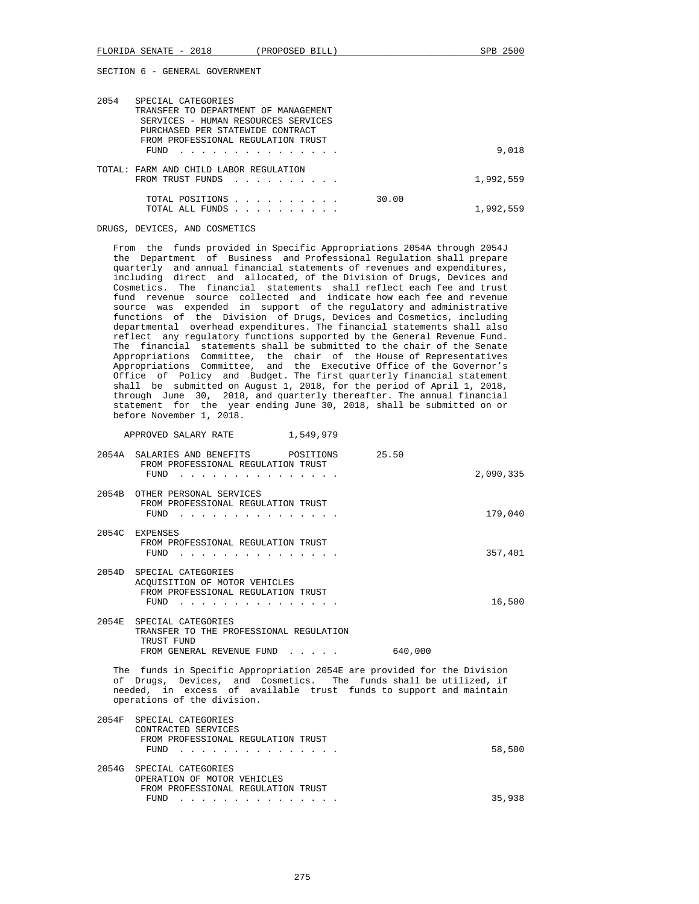| 2054 | SPECIAL CATEGORIES<br>TRANSFER TO DEPARTMENT OF MANAGEMENT<br>SERVICES - HUMAN RESOURCES SERVICES<br>PURCHASED PER STATEWIDE CONTRACT                                         |           |
|------|-------------------------------------------------------------------------------------------------------------------------------------------------------------------------------|-----------|
|      | FROM PROFESSIONAL REGULATION TRUST<br>FUND                                                                                                                                    | 9,018     |
|      | TOTAL: FARM AND CHILD LABOR REGULATION<br>FROM TRUST FUNDS<br>the contract of the contract of the contract of the contract of the contract of the contract of the contract of | 1,992,559 |
|      | 30.00<br>TOTAL POSITIONS<br>.<br>TOTAL ALL FUNDS                                                                                                                              | 1,992,559 |

DRUGS, DEVICES, AND COSMETICS

 From the funds provided in Specific Appropriations 2054A through 2054J the Department of Business and Professional Regulation shall prepare quarterly and annual financial statements of revenues and expenditures, including direct and allocated, of the Division of Drugs, Devices and Cosmetics. The financial statements shall reflect each fee and trust fund revenue source collected and indicate how each fee and revenue source was expended in support of the regulatory and administrative functions of the Division of Drugs, Devices and Cosmetics, including departmental overhead expenditures. The financial statements shall also reflect any regulatory functions supported by the General Revenue Fund. The financial statements shall be submitted to the chair of the Senate Appropriations Committee, the chair of the House of Representatives Appropriations Committee, and the Executive Office of the Governor's Office of Policy and Budget. The first quarterly financial statement shall be submitted on August 1, 2018, for the period of April 1, 2018, through June 30, 2018, and quarterly thereafter. The annual financial statement for the year ending June 30, 2018, shall be submitted on or before November 1, 2018.

APPROVED SALARY RATE 1,549,979

| 2054A SALARIES AND BENEFITS<br>POSITIONS<br>FROM PROFESSIONAL REGULATION TRUST                                                                                                                                                                    | 25.50     |
|---------------------------------------------------------------------------------------------------------------------------------------------------------------------------------------------------------------------------------------------------|-----------|
| $FUND$                                                                                                                                                                                                                                            | 2,090,335 |
| 2054B OTHER PERSONAL SERVICES<br>FROM PROFESSIONAL REGULATION TRUST<br>FUND                                                                                                                                                                       | 179,040   |
| 2054C EXPENSES<br>FROM PROFESSIONAL REGULATION TRUST<br>FUND                                                                                                                                                                                      | 357,401   |
| 2054D SPECIAL CATEGORIES<br>ACQUISITION OF MOTOR VEHICLES<br>FROM PROFESSIONAL REGULATION TRUST<br>FUND                                                                                                                                           | 16,500    |
| 2054E SPECIAL CATEGORIES<br>TRANSFER TO THE PROFESSIONAL REGULATION<br>TRUST FUND<br>FROM GENERAL REVENUE FUND                                                                                                                                    | 640,000   |
| The funds in Specific Appropriation 2054E are provided for the Division<br>of Drugs, Devices, and Cosmetics. The funds shall be utilized, if<br>needed, in excess of available trust funds to support and maintain<br>operations of the division. |           |
| 2054F SPECIAL CATEGORIES<br>CONTRACTED SERVICES<br>FROM PROFESSIONAL REGULATION TRUST<br>FUND<br>$\mathbf{r}$ and $\mathbf{r}$ and $\mathbf{r}$ and $\mathbf{r}$                                                                                  | 58,500    |
| 2054G SPECIAL CATEGORIES<br>OPERATION OF MOTOR VEHICLES<br>FROM PROFESSIONAL REGULATION TRUST<br>FUND                                                                                                                                             | 35,938    |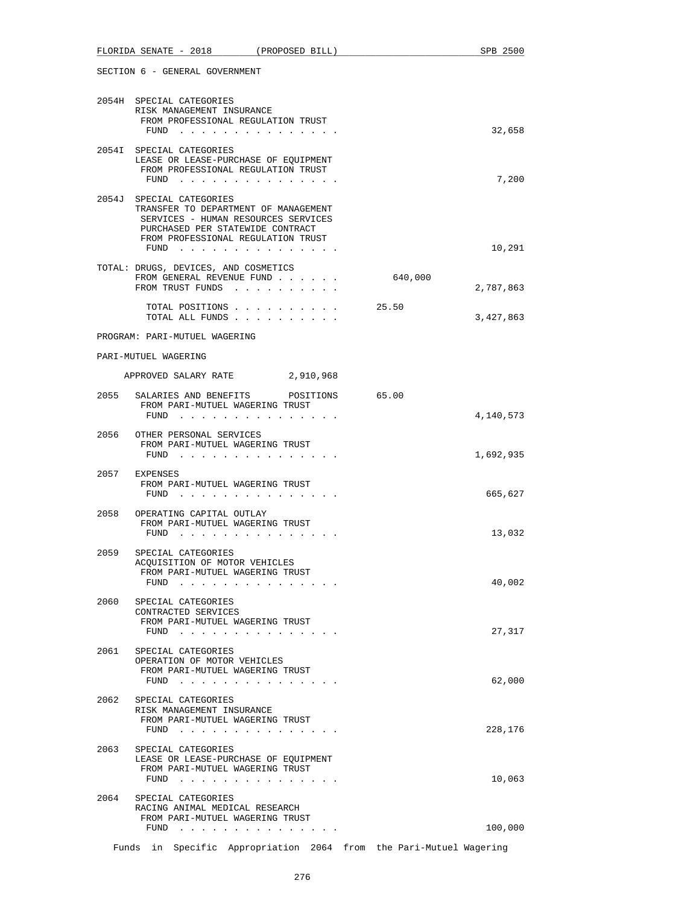|      | FLORIDA SENATE - 2018<br>(PROPOSED BILL)                                                                                                                                                                           |         | SPB 2500  |
|------|--------------------------------------------------------------------------------------------------------------------------------------------------------------------------------------------------------------------|---------|-----------|
|      | SECTION 6 - GENERAL GOVERNMENT                                                                                                                                                                                     |         |           |
|      | 2054H SPECIAL CATEGORIES<br>RISK MANAGEMENT INSURANCE<br>FROM PROFESSIONAL REGULATION TRUST<br>FUND                                                                                                                |         | 32,658    |
|      | 2054I SPECIAL CATEGORIES<br>LEASE OR LEASE-PURCHASE OF EQUIPMENT<br>FROM PROFESSIONAL REGULATION TRUST<br>$FUND$                                                                                                   |         | 7,200     |
|      | 2054J SPECIAL CATEGORIES<br>TRANSFER TO DEPARTMENT OF MANAGEMENT<br>SERVICES - HUMAN RESOURCES SERVICES<br>PURCHASED PER STATEWIDE CONTRACT<br>FROM PROFESSIONAL REGULATION TRUST<br>FUND                          |         | 10,291    |
|      | TOTAL: DRUGS, DEVICES, AND COSMETICS<br>FROM GENERAL REVENUE FUND<br>FROM TRUST FUNDS                                                                                                                              | 640,000 | 2,787,863 |
|      | TOTAL POSITIONS<br>TOTAL ALL FUNDS                                                                                                                                                                                 | 25.50   | 3,427,863 |
|      | PROGRAM: PARI-MUTUEL WAGERING                                                                                                                                                                                      |         |           |
|      | PARI-MUTUEL WAGERING                                                                                                                                                                                               |         |           |
|      | APPROVED SALARY RATE 2,910,968                                                                                                                                                                                     |         |           |
| 2055 | SALARIES AND BENEFITS<br>POSITIONS<br>FROM PARI-MUTUEL WAGERING TRUST<br>FUND                                                                                                                                      | 65.00   | 4,140,573 |
|      | 2056 OTHER PERSONAL SERVICES<br>FROM PARI-MUTUEL WAGERING TRUST<br>FUND                                                                                                                                            |         | 1,692,935 |
| 2057 | EXPENSES<br>FROM PARI-MUTUEL WAGERING TRUST<br>FUND $\cdots$                                                                                                                                                       |         | 665,627   |
|      | 2058 OPERATING CAPITAL OUTLAY<br>FROM PARI-MUTUEL WAGERING TRUST<br>FUND                                                                                                                                           |         | 13,032    |
|      | 2059 SPECIAL CATEGORIES<br>ACQUISITION OF MOTOR VEHICLES<br>FROM PARI-MUTUEL WAGERING TRUST<br>FUND $\cdots$                                                                                                       |         | 40,002    |
| 2060 | SPECIAL CATEGORIES<br>CONTRACTED SERVICES<br>FROM PARI-MUTUEL WAGERING TRUST                                                                                                                                       |         |           |
| 2061 | $FUND$<br>SPECIAL CATEGORIES<br>OPERATION OF MOTOR VEHICLES                                                                                                                                                        |         | 27,317    |
|      | FROM PARI-MUTUEL WAGERING TRUST<br>FUND                                                                                                                                                                            |         | 62,000    |
| 2062 | SPECIAL CATEGORIES<br>RISK MANAGEMENT INSURANCE<br>FROM PARI-MUTUEL WAGERING TRUST<br>FUND $\cdots$                                                                                                                |         | 228,176   |
| 2063 | SPECIAL CATEGORIES<br>LEASE OR LEASE-PURCHASE OF EQUIPMENT<br>FROM PARI-MUTUEL WAGERING TRUST<br>FUND $\cdots$                                                                                                     |         | 10,063    |
| 2064 | SPECIAL CATEGORIES<br>RACING ANIMAL MEDICAL RESEARCH<br>FROM PARI-MUTUEL WAGERING TRUST<br>FUND<br>the contract of the contract of the contract of the contract of the contract of the contract of the contract of |         | 100,000   |
|      |                                                                                                                                                                                                                    |         |           |

Funds in Specific Appropriation 2064 from the Pari-Mutuel Wagering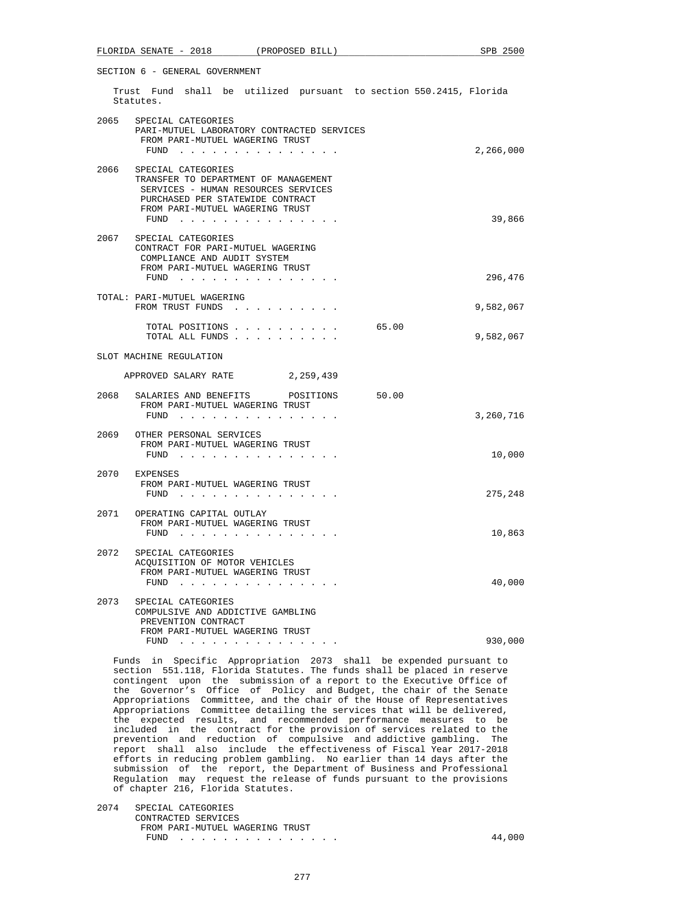|      | FLORIDA SENATE - 2018<br>(PROPOSED BILL)                                                                                                                                         | SPB 2500  |
|------|----------------------------------------------------------------------------------------------------------------------------------------------------------------------------------|-----------|
|      | SECTION 6 - GENERAL GOVERNMENT                                                                                                                                                   |           |
|      | Trust Fund shall be utilized pursuant to section 550.2415, Florida<br>Statutes.                                                                                                  |           |
|      | 2065 SPECIAL CATEGORIES<br>PARI-MUTUEL LABORATORY CONTRACTED SERVICES<br>FROM PARI-MUTUEL WAGERING TRUST<br>FUND $\cdots$                                                        | 2,266,000 |
| 2066 | SPECIAL CATEGORIES<br>TRANSFER TO DEPARTMENT OF MANAGEMENT<br>SERVICES - HUMAN RESOURCES SERVICES<br>PURCHASED PER STATEWIDE CONTRACT<br>FROM PARI-MUTUEL WAGERING TRUST<br>FUND | 39,866    |
| 2067 | SPECIAL CATEGORIES<br>CONTRACT FOR PARI-MUTUEL WAGERING<br>COMPLIANCE AND AUDIT SYSTEM<br>FROM PARI-MUTUEL WAGERING TRUST<br>FUND                                                | 296,476   |
|      | TOTAL: PARI-MUTUEL WAGERING<br>FROM TRUST FUNDS                                                                                                                                  | 9,582,067 |
|      | 65.00<br>TOTAL POSITIONS<br>TOTAL ALL FUNDS                                                                                                                                      | 9,582,067 |
|      | SLOT MACHINE REGULATION                                                                                                                                                          |           |
|      | APPROVED SALARY RATE 2,259,439                                                                                                                                                   |           |
| 2068 | 50.00<br>SALARIES AND BENEFITS<br>POSITIONS<br>FROM PARI-MUTUEL WAGERING TRUST<br>FUND $\cdots$                                                                                  | 3,260,716 |
|      | 2069 OTHER PERSONAL SERVICES<br>FROM PARI-MUTUEL WAGERING TRUST<br>FUND                                                                                                          | 10,000    |
|      | 2070 EXPENSES<br>FROM PARI-MUTUEL WAGERING TRUST<br>FUND                                                                                                                         | 275,248   |
|      | 2071 OPERATING CAPITAL OUTLAY<br>FROM PARI-MUTUEL WAGERING TRUST<br>FUND                                                                                                         | 10,863    |
|      | 2072 SPECIAL CATEGORIES<br>ACQUISITION OF MOTOR VEHICLES<br>FROM PARI-MUTUEL WAGERING TRUST<br>FUND $\cdots$                                                                     | 40,000    |
| 2073 | SPECIAL CATEGORIES<br>COMPULSIVE AND ADDICTIVE GAMBLING<br>PREVENTION CONTRACT<br>FROM PARI-MUTUEL WAGERING TRUST<br>FUND<br>and a series and a series                           | 930,000   |
|      |                                                                                                                                                                                  |           |

 Funds in Specific Appropriation 2073 shall be expended pursuant to section 551.118, Florida Statutes. The funds shall be placed in reserve contingent upon the submission of a report to the Executive Office of the Governor's Office of Policy and Budget, the chair of the Senate Appropriations Committee, and the chair of the House of Representatives Appropriations Committee detailing the services that will be delivered, the expected results, and recommended performance measures to be included in the contract for the provision of services related to the prevention and reduction of compulsive and addictive gambling. The report shall also include the effectiveness of Fiscal Year 2017-2018 efforts in reducing problem gambling. No earlier than 14 days after the submission of the report, the Department of Business and Professional Regulation may request the release of funds pursuant to the provisions of chapter 216, Florida Statutes.

 2074 SPECIAL CATEGORIES CONTRACTED SERVICES FROM PARI-MUTUEL WAGERING TRUST FUND . . . . . . . . . . . . . . . 44,000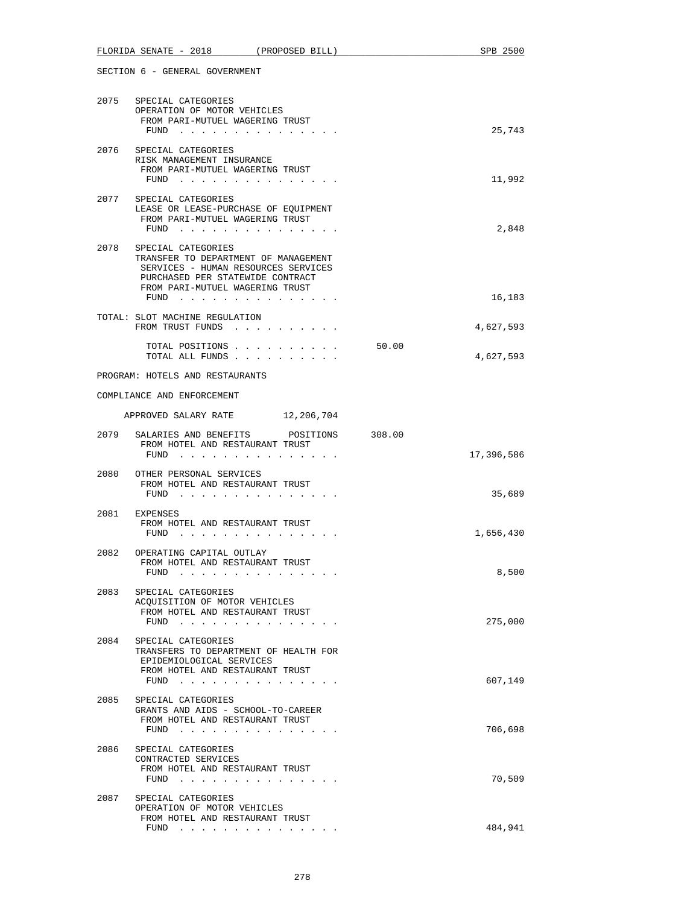|      | FLORIDA SENATE - 2018<br>(PROPOSED BILL)                                                                                                                                                                                                                                                                      | SPB 2500           |
|------|---------------------------------------------------------------------------------------------------------------------------------------------------------------------------------------------------------------------------------------------------------------------------------------------------------------|--------------------|
|      | SECTION 6 - GENERAL GOVERNMENT                                                                                                                                                                                                                                                                                |                    |
|      | 2075 SPECIAL CATEGORIES<br>OPERATION OF MOTOR VEHICLES<br>FROM PARI-MUTUEL WAGERING TRUST<br>FUND $\cdots$                                                                                                                                                                                                    | 25,743             |
| 2076 | SPECIAL CATEGORIES<br>RISK MANAGEMENT INSURANCE<br>FROM PARI-MUTUEL WAGERING TRUST<br>$FUND$                                                                                                                                                                                                                  | 11,992             |
| 2077 | SPECIAL CATEGORIES<br>LEASE OR LEASE-PURCHASE OF EQUIPMENT<br>FROM PARI-MUTUEL WAGERING TRUST<br>FUND $\cdots$                                                                                                                                                                                                | 2,848              |
| 2078 | SPECIAL CATEGORIES<br>TRANSFER TO DEPARTMENT OF MANAGEMENT<br>SERVICES - HUMAN RESOURCES SERVICES<br>PURCHASED PER STATEWIDE CONTRACT<br>FROM PARI-MUTUEL WAGERING TRUST                                                                                                                                      | 16,183             |
|      | FUND<br>TOTAL: SLOT MACHINE REGULATION<br>FROM TRUST FUNDS                                                                                                                                                                                                                                                    | 4,627,593          |
|      | TOTAL POSITIONS<br>TOTAL ALL FUNDS                                                                                                                                                                                                                                                                            | 50.00<br>4,627,593 |
|      | PROGRAM: HOTELS AND RESTAURANTS                                                                                                                                                                                                                                                                               |                    |
|      | COMPLIANCE AND ENFORCEMENT                                                                                                                                                                                                                                                                                    |                    |
|      | APPROVED SALARY RATE 12, 206, 704                                                                                                                                                                                                                                                                             |                    |
|      | 2079 SALARIES AND BENEFITS POSITIONS 308.00<br>FROM HOTEL AND RESTAURANT TRUST<br>FUND                                                                                                                                                                                                                        | 17,396,586         |
| 2080 | OTHER PERSONAL SERVICES<br>FROM HOTEL AND RESTAURANT TRUST<br>FUND $\cdots$                                                                                                                                                                                                                                   | 35,689             |
|      | 2081 EXPENSES<br>FROM HOTEL AND RESTAURANT TRUST<br>FUND                                                                                                                                                                                                                                                      | 1,656,430          |
|      | 2082 OPERATING CAPITAL OUTLAY<br>FROM HOTEL AND RESTAURANT TRUST<br>FUND<br>$\mathbf{r}$ . The set of the set of the set of the set of the set of the set of the set of the set of the set of the set of the set of the set of the set of the set of the set of the set of the set of the set of the set of t | 8,500              |
| 2083 | SPECIAL CATEGORIES<br>ACOUISITION OF MOTOR VEHICLES<br>FROM HOTEL AND RESTAURANT TRUST<br>FUND $\cdots$                                                                                                                                                                                                       | 275,000            |
| 2084 | SPECIAL CATEGORIES<br>TRANSFERS TO DEPARTMENT OF HEALTH FOR<br>EPIDEMIOLOGICAL SERVICES<br>FROM HOTEL AND RESTAURANT TRUST<br>FUND                                                                                                                                                                            | 607,149            |
| 2085 | SPECIAL CATEGORIES<br>GRANTS AND AIDS - SCHOOL-TO-CAREER<br>FROM HOTEL AND RESTAURANT TRUST<br>FUND $\cdots$                                                                                                                                                                                                  | 706,698            |
| 2086 | SPECIAL CATEGORIES<br>CONTRACTED SERVICES<br>FROM HOTEL AND RESTAURANT TRUST<br>FUND $\cdots$                                                                                                                                                                                                                 | 70,509             |
| 2087 | SPECIAL CATEGORIES<br>OPERATION OF MOTOR VEHICLES<br>FROM HOTEL AND RESTAURANT TRUST<br>FUND                                                                                                                                                                                                                  | 484,941            |
|      |                                                                                                                                                                                                                                                                                                               |                    |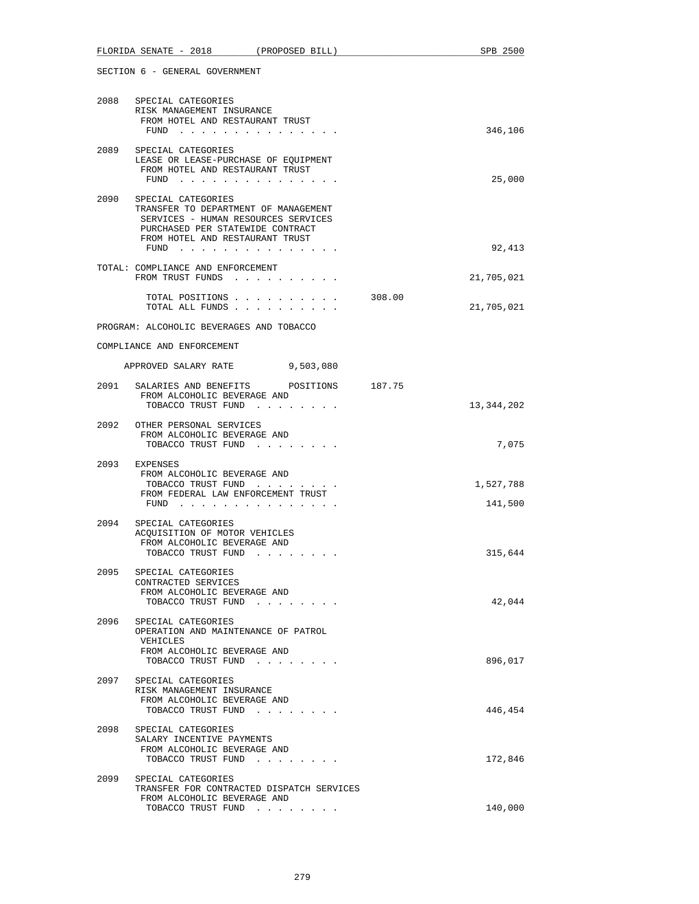|      | FLORIDA SENATE - 2018 (PROPOSED BILL)                                                                                                                                                 |        | SPB 2500             |
|------|---------------------------------------------------------------------------------------------------------------------------------------------------------------------------------------|--------|----------------------|
|      | SECTION 6 - GENERAL GOVERNMENT                                                                                                                                                        |        |                      |
|      | 2088 SPECIAL CATEGORIES<br>RISK MANAGEMENT INSURANCE<br>FROM HOTEL AND RESTAURANT TRUST<br>$FUND$                                                                                     |        | 346,106              |
|      | 2089 SPECIAL CATEGORIES<br>LEASE OR LEASE-PURCHASE OF EQUIPMENT<br>FROM HOTEL AND RESTAURANT TRUST<br>FUND $\cdots$                                                                   |        | 25,000               |
|      | 2090 SPECIAL CATEGORIES<br>TRANSFER TO DEPARTMENT OF MANAGEMENT<br>SERVICES - HUMAN RESOURCES SERVICES<br>PURCHASED PER STATEWIDE CONTRACT<br>FROM HOTEL AND RESTAURANT TRUST<br>FUND |        | 92,413               |
|      | TOTAL: COMPLIANCE AND ENFORCEMENT<br>FROM TRUST FUNDS                                                                                                                                 |        | 21,705,021           |
|      | TOTAL POSITIONS<br>TOTAL ALL FUNDS                                                                                                                                                    | 308.00 | 21,705,021           |
|      | PROGRAM: ALCOHOLIC BEVERAGES AND TOBACCO                                                                                                                                              |        |                      |
|      | COMPLIANCE AND ENFORCEMENT                                                                                                                                                            |        |                      |
|      | APPROVED SALARY RATE<br>9,503,080                                                                                                                                                     |        |                      |
|      | 2091 SALARIES AND BENEFITS POSITIONS 187.75<br>FROM ALCOHOLIC BEVERAGE AND<br>TOBACCO TRUST FUND                                                                                      |        | 13,344,202           |
|      | 2092 OTHER PERSONAL SERVICES<br>FROM ALCOHOLIC BEVERAGE AND<br>TOBACCO TRUST FUND                                                                                                     |        | 7,075                |
| 2093 | EXPENSES<br>FROM ALCOHOLIC BEVERAGE AND<br>TOBACCO TRUST FUND<br>FROM FEDERAL LAW ENFORCEMENT TRUST<br>FUND $\cdots$                                                                  |        | 1,527,788<br>141,500 |
| 2094 | SPECIAL CATEGORIES<br>ACQUISITION OF MOTOR VEHICLES<br>FROM ALCOHOLIC BEVERAGE AND<br>TOBACCO TRUST FUND<br>. The contract of the contract of the $\alpha$                            |        | 315,644              |
| 2095 | SPECIAL CATEGORIES<br>CONTRACTED SERVICES<br>FROM ALCOHOLIC BEVERAGE AND<br>TOBACCO TRUST FUND                                                                                        |        | 42,044               |
| 2096 | SPECIAL CATEGORIES<br>OPERATION AND MAINTENANCE OF PATROL<br>VEHICLES<br>FROM ALCOHOLIC BEVERAGE AND<br>TOBACCO TRUST FUND                                                            |        | 896,017              |
| 2097 | SPECIAL CATEGORIES<br>RISK MANAGEMENT INSURANCE<br>FROM ALCOHOLIC BEVERAGE AND<br>TOBACCO TRUST FUND                                                                                  |        | 446,454              |
| 2098 | SPECIAL CATEGORIES<br>SALARY INCENTIVE PAYMENTS<br>FROM ALCOHOLIC BEVERAGE AND<br>TOBACCO TRUST FUND                                                                                  |        | 172,846              |
| 2099 | SPECIAL CATEGORIES<br>TRANSFER FOR CONTRACTED DISPATCH SERVICES<br>FROM ALCOHOLIC BEVERAGE AND                                                                                        |        |                      |
|      | TOBACCO TRUST FUND                                                                                                                                                                    |        | 140,000              |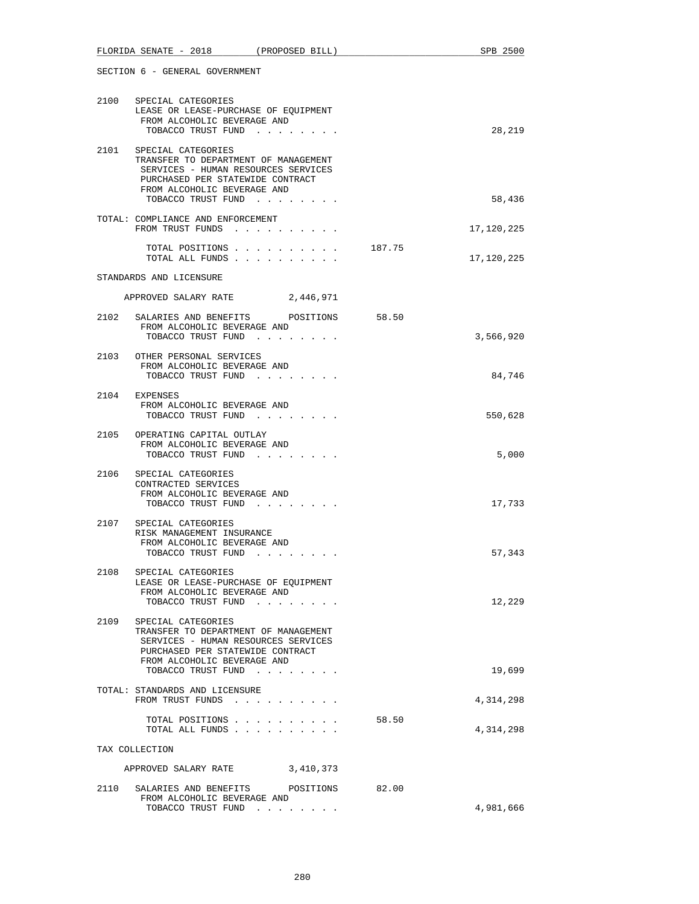|      | FLORIDA SENATE - 2018 (PROPOSED BILL)                                                                                                                                                           |        | SPB 2500            |
|------|-------------------------------------------------------------------------------------------------------------------------------------------------------------------------------------------------|--------|---------------------|
|      | SECTION 6 - GENERAL GOVERNMENT                                                                                                                                                                  |        |                     |
|      | 2100 SPECIAL CATEGORIES<br>LEASE OR LEASE-PURCHASE OF EQUIPMENT<br>FROM ALCOHOLIC BEVERAGE AND<br>TOBACCO TRUST FUND                                                                            |        | 28,219              |
|      | 2101 SPECIAL CATEGORIES<br>TRANSFER TO DEPARTMENT OF MANAGEMENT<br>SERVICES - HUMAN RESOURCES SERVICES<br>PURCHASED PER STATEWIDE CONTRACT<br>FROM ALCOHOLIC BEVERAGE AND<br>TOBACCO TRUST FUND |        | 58,436              |
|      | TOTAL: COMPLIANCE AND ENFORCEMENT<br>FROM TRUST FUNDS                                                                                                                                           |        | 17,120,225          |
|      | TOTAL POSITIONS<br>TOTAL ALL FUNDS                                                                                                                                                              | 187.75 | 17,120,225          |
|      | STANDARDS AND LICENSURE                                                                                                                                                                         |        |                     |
|      | APPROVED SALARY RATE<br>2,446,971                                                                                                                                                               |        |                     |
|      | 2102 SALARIES AND BENEFITS POSITIONS 58.50<br>FROM ALCOHOLIC BEVERAGE AND<br>TOBACCO TRUST FUND                                                                                                 |        | 3,566,920           |
|      | 2103 OTHER PERSONAL SERVICES<br>FROM ALCOHOLIC BEVERAGE AND<br>TOBACCO TRUST FUND                                                                                                               |        | 84,746              |
|      | 2104 EXPENSES<br>FROM ALCOHOLIC BEVERAGE AND<br>TOBACCO TRUST FUND                                                                                                                              |        | 550,628             |
|      | 2105 OPERATING CAPITAL OUTLAY<br>FROM ALCOHOLIC BEVERAGE AND<br>TOBACCO TRUST FUND                                                                                                              |        | 5,000               |
|      | 2106 SPECIAL CATEGORIES<br>CONTRACTED SERVICES<br>FROM ALCOHOLIC BEVERAGE AND<br>TOBACCO TRUST FUND                                                                                             |        | 17,733              |
| 2107 | SPECIAL CATEGORIES<br>RISK MANAGEMENT INSURANCE<br>FROM ALCOHOLIC BEVERAGE AND<br>TOBACCO TRUST FUND<br>$\mathcal{A}$ , and $\mathcal{A}$ , and $\mathcal{A}$ , and $\mathcal{A}$               |        | 57,343              |
| 2108 | SPECIAL CATEGORIES<br>LEASE OR LEASE-PURCHASE OF EOUIPMENT<br>FROM ALCOHOLIC BEVERAGE AND<br>TOBACCO TRUST FUND                                                                                 |        | 12,229              |
| 2109 | SPECIAL CATEGORIES<br>TRANSFER TO DEPARTMENT OF MANAGEMENT<br>SERVICES - HUMAN RESOURCES SERVICES<br>PURCHASED PER STATEWIDE CONTRACT<br>FROM ALCOHOLIC BEVERAGE AND                            |        |                     |
|      | TOBACCO TRUST FUND<br>TOTAL: STANDARDS AND LICENSURE<br>FROM TRUST FUNDS                                                                                                                        |        | 19,699<br>4,314,298 |
|      | TOTAL POSITIONS<br>TOTAL ALL FUNDS                                                                                                                                                              | 58.50  | 4,314,298           |
|      | TAX COLLECTION                                                                                                                                                                                  |        |                     |
|      | APPROVED SALARY RATE<br>3,410,373                                                                                                                                                               |        |                     |
|      | 2110 SALARIES AND BENEFITS POSITIONS 82.00<br>FROM ALCOHOLIC BEVERAGE AND<br>TOBACCO TRUST FUND                                                                                                 |        | 4,981,666           |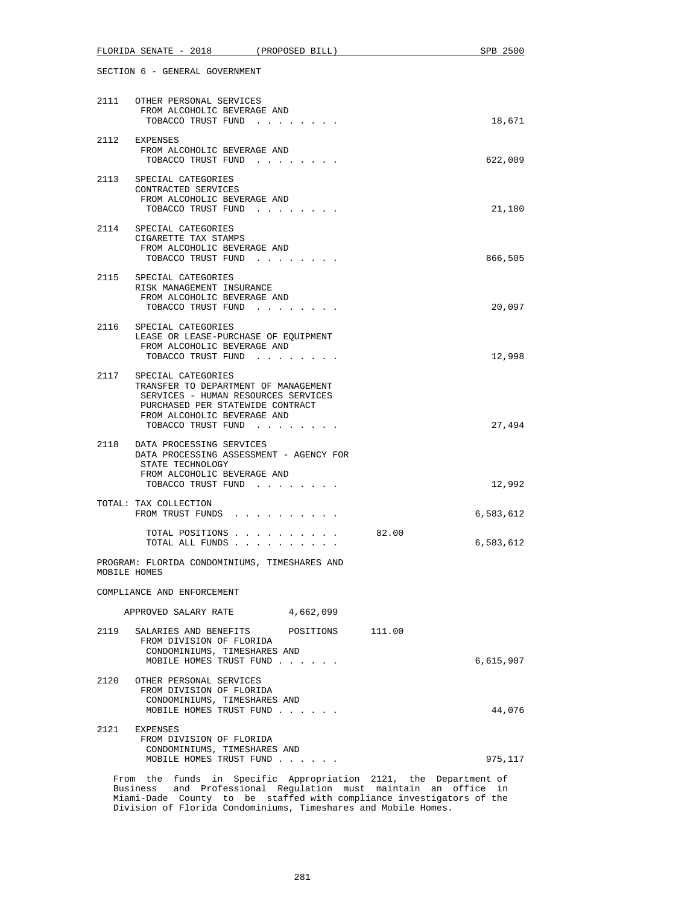|      | FLORIDA SENATE - 2018<br>(PROPOSED BILL)                                                                                                                                                        |       | SPB 2500  |
|------|-------------------------------------------------------------------------------------------------------------------------------------------------------------------------------------------------|-------|-----------|
|      | SECTION 6 - GENERAL GOVERNMENT                                                                                                                                                                  |       |           |
|      | 2111 OTHER PERSONAL SERVICES<br>FROM ALCOHOLIC BEVERAGE AND<br>TOBACCO TRUST FUND                                                                                                               |       | 18,671    |
|      | 2112 EXPENSES<br>FROM ALCOHOLIC BEVERAGE AND<br>TOBACCO TRUST FUND                                                                                                                              |       | 622,009   |
|      | 2113 SPECIAL CATEGORIES<br>CONTRACTED SERVICES<br>FROM ALCOHOLIC BEVERAGE AND<br>TOBACCO TRUST FUND                                                                                             |       | 21,180    |
|      | 2114 SPECIAL CATEGORIES<br>CIGARETTE TAX STAMPS<br>FROM ALCOHOLIC BEVERAGE AND<br>TOBACCO TRUST FUND                                                                                            |       | 866,505   |
|      | 2115 SPECIAL CATEGORIES<br>RISK MANAGEMENT INSURANCE<br>FROM ALCOHOLIC BEVERAGE AND<br>TOBACCO TRUST FUND                                                                                       |       | 20,097    |
| 2116 | SPECIAL CATEGORIES<br>LEASE OR LEASE-PURCHASE OF EQUIPMENT<br>FROM ALCOHOLIC BEVERAGE AND<br>TOBACCO TRUST FUND                                                                                 |       | 12,998    |
|      | 2117 SPECIAL CATEGORIES<br>TRANSFER TO DEPARTMENT OF MANAGEMENT<br>SERVICES - HUMAN RESOURCES SERVICES<br>PURCHASED PER STATEWIDE CONTRACT<br>FROM ALCOHOLIC BEVERAGE AND<br>TOBACCO TRUST FUND |       | 27,494    |
|      | 2118 DATA PROCESSING SERVICES<br>DATA PROCESSING ASSESSMENT - AGENCY FOR<br>STATE TECHNOLOGY<br>FROM ALCOHOLIC BEVERAGE AND<br>TOBACCO TRUST FUND                                               |       | 12,992    |
|      | TOTAL: TAX COLLECTION<br>FROM TRUST FUNDS                                                                                                                                                       |       | 6,583,612 |
|      | TOTAL POSITIONS<br>TOTAL ALL FUNDS                                                                                                                                                              | 82.00 | 6,583,612 |
|      | PROGRAM: FLORIDA CONDOMINIUMS, TIMESHARES AND<br>MOBILE HOMES                                                                                                                                   |       |           |
|      | COMPLIANCE AND ENFORCEMENT                                                                                                                                                                      |       |           |
|      | 4,662,099<br>APPROVED SALARY RATE                                                                                                                                                               |       |           |
|      | 2119 SALARIES AND BENEFITS POSITIONS 111.00<br>FROM DIVISION OF FLORIDA<br>CONDOMINIUMS, TIMESHARES AND<br>MOBILE HOMES TRUST FUND                                                              |       | 6,615,907 |
| 2120 | OTHER PERSONAL SERVICES<br>FROM DIVISION OF FLORIDA<br>CONDOMINIUMS, TIMESHARES AND<br>MOBILE HOMES TRUST FUND                                                                                  |       | 44,076    |
| 2121 | EXPENSES<br>FROM DIVISION OF FLORIDA<br>CONDOMINIUMS, TIMESHARES AND<br>MOBILE HOMES TRUST FUND                                                                                                 |       | 975,117   |
|      | From the funds in Specific Appropriation 2121, the Department of                                                                                                                                |       |           |

 Business and Professional Regulation must maintain an office in Miami-Dade County to be staffed with compliance investigators of the Division of Florida Condominiums, Timeshares and Mobile Homes.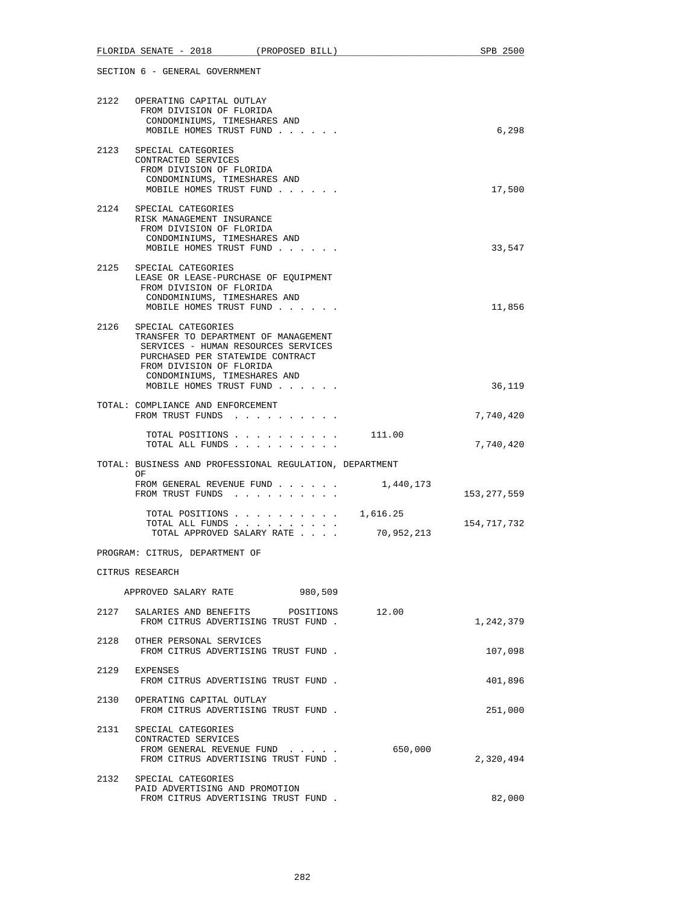|                                | FLORIDA SENATE - 2018 (PROPOSED BILL)                                                                                                                                                             |            | SPB 2500      |
|--------------------------------|---------------------------------------------------------------------------------------------------------------------------------------------------------------------------------------------------|------------|---------------|
| SECTION 6 - GENERAL GOVERNMENT |                                                                                                                                                                                                   |            |               |
|                                | 2122 OPERATING CAPITAL OUTLAY<br>FROM DIVISION OF FLORIDA<br>CONDOMINIUMS, TIMESHARES AND<br>MOBILE HOMES TRUST FUND                                                                              |            | 6,298         |
| 2123                           | SPECIAL CATEGORIES<br>CONTRACTED SERVICES<br>FROM DIVISION OF FLORIDA<br>CONDOMINIUMS, TIMESHARES AND<br>MOBILE HOMES TRUST FUND                                                                  |            | 17,500        |
|                                | 2124 SPECIAL CATEGORIES<br>RISK MANAGEMENT INSURANCE<br>FROM DIVISION OF FLORIDA<br>CONDOMINIUMS, TIMESHARES AND<br>MOBILE HOMES TRUST FUND                                                       |            | 33,547        |
| 2125                           | SPECIAL CATEGORIES<br>LEASE OR LEASE-PURCHASE OF EQUIPMENT<br>FROM DIVISION OF FLORIDA<br>CONDOMINIUMS, TIMESHARES AND<br>MOBILE HOMES TRUST FUND                                                 |            | 11,856        |
| 2126                           | SPECIAL CATEGORIES<br>TRANSFER TO DEPARTMENT OF MANAGEMENT<br>SERVICES - HUMAN RESOURCES SERVICES<br>PURCHASED PER STATEWIDE CONTRACT<br>FROM DIVISION OF FLORIDA<br>CONDOMINIUMS, TIMESHARES AND |            |               |
|                                | MOBILE HOMES TRUST FUND<br>TOTAL: COMPLIANCE AND ENFORCEMENT                                                                                                                                      |            | 36,119        |
|                                | FROM TRUST FUNDS                                                                                                                                                                                  |            | 7,740,420     |
|                                | TOTAL POSITIONS 111.00<br>TOTAL ALL FUNDS                                                                                                                                                         |            | 7,740,420     |
|                                | TOTAL: BUSINESS AND PROFESSIONAL REGULATION, DEPARTMENT<br>OF                                                                                                                                     |            |               |
|                                | FROM GENERAL REVENUE FUND<br>FROM TRUST FUNDS                                                                                                                                                     | 1,440,173  | 153, 277, 559 |
|                                | TOTAL POSITIONS $\ldots$ , $\ldots$ , $\ldots$ , 1,616.25<br>TOTAL ALL FUNDS<br>TOTAL APPROVED SALARY RATE                                                                                        | 70,952,213 | 154,717,732   |
|                                | PROGRAM: CITRUS, DEPARTMENT OF                                                                                                                                                                    |            |               |
|                                | CITRUS RESEARCH                                                                                                                                                                                   |            |               |
|                                | APPROVED SALARY RATE<br>980,509                                                                                                                                                                   |            |               |
|                                | 2127 SALARIES AND BENEFITS POSITIONS<br>FROM CITRUS ADVERTISING TRUST FUND.                                                                                                                       | 12.00      | 1,242,379     |
|                                | 2128 OTHER PERSONAL SERVICES<br>FROM CITRUS ADVERTISING TRUST FUND.                                                                                                                               |            | 107,098       |
| 2129                           | EXPENSES<br>FROM CITRUS ADVERTISING TRUST FUND.                                                                                                                                                   |            | 401,896       |
|                                | 2130 OPERATING CAPITAL OUTLAY<br>FROM CITRUS ADVERTISING TRUST FUND.                                                                                                                              |            | 251,000       |
|                                | 2131 SPECIAL CATEGORIES<br>CONTRACTED SERVICES<br>FROM GENERAL REVENUE FUND<br>FROM CITRUS ADVERTISING TRUST FUND.                                                                                | 650,000    | 2,320,494     |
| 2132                           | SPECIAL CATEGORIES<br>PAID ADVERTISING AND PROMOTION<br>FROM CITRUS ADVERTISING TRUST FUND.                                                                                                       |            | 82,000        |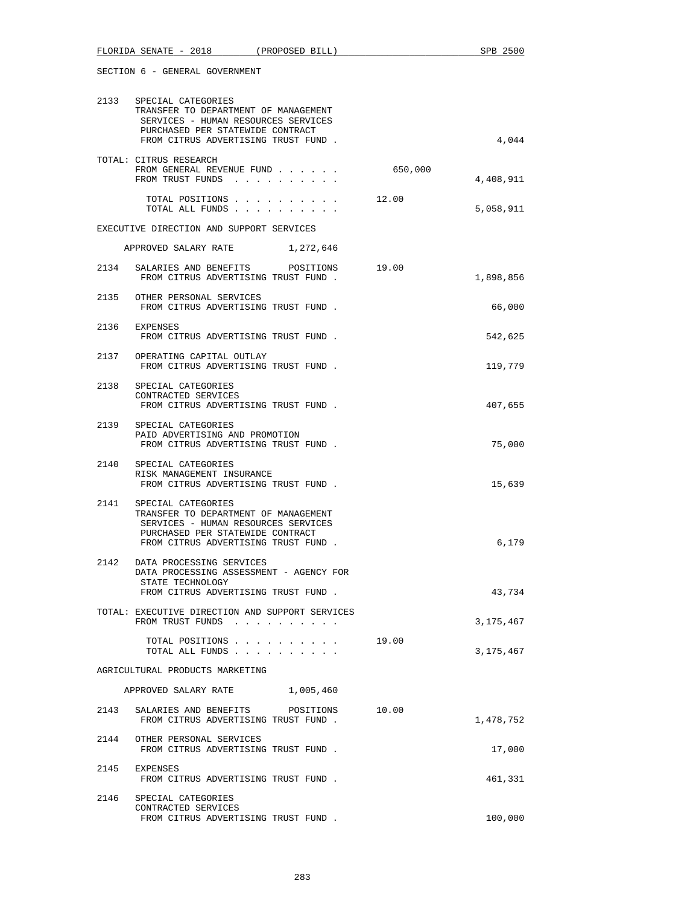|      | 2133 SPECIAL CATEGORIES<br>TRANSFER TO DEPARTMENT OF MANAGEMENT<br>SERVICES - HUMAN RESOURCES SERVICES<br>PURCHASED PER STATEWIDE CONTRACT<br>FROM CITRUS ADVERTISING TRUST FUND. |         | 4,044     |
|------|-----------------------------------------------------------------------------------------------------------------------------------------------------------------------------------|---------|-----------|
|      | TOTAL: CITRUS RESEARCH<br>FROM GENERAL REVENUE FUND<br>FROM TRUST FUNDS                                                                                                           | 650,000 | 4,408,911 |
|      | TOTAL POSITIONS<br>TOTAL ALL FUNDS                                                                                                                                                | 12.00   | 5,058,911 |
|      | EXECUTIVE DIRECTION AND SUPPORT SERVICES                                                                                                                                          |         |           |
|      | APPROVED SALARY RATE<br>1,272,646                                                                                                                                                 |         |           |
|      | 2134 SALARIES AND BENEFITS POSITIONS<br>FROM CITRUS ADVERTISING TRUST FUND.                                                                                                       | 19.00   | 1,898,856 |
|      | 2135 OTHER PERSONAL SERVICES<br>FROM CITRUS ADVERTISING TRUST FUND.                                                                                                               |         | 66,000    |
|      | 2136 EXPENSES<br>FROM CITRUS ADVERTISING TRUST FUND.                                                                                                                              |         | 542,625   |
|      | 2137 OPERATING CAPITAL OUTLAY<br>FROM CITRUS ADVERTISING TRUST FUND.                                                                                                              |         | 119,779   |
| 2138 | SPECIAL CATEGORIES<br>CONTRACTED SERVICES<br>FROM CITRUS ADVERTISING TRUST FUND.                                                                                                  |         | 407,655   |
|      | 2139 SPECIAL CATEGORIES<br>PAID ADVERTISING AND PROMOTION<br>FROM CITRUS ADVERTISING TRUST FUND.                                                                                  |         | 75,000    |
|      | 2140 SPECIAL CATEGORIES<br>RISK MANAGEMENT INSURANCE<br>FROM CITRUS ADVERTISING TRUST FUND.                                                                                       |         | 15,639    |
| 2141 | SPECIAL CATEGORIES<br>TRANSFER TO DEPARTMENT OF MANAGEMENT<br>SERVICES - HUMAN RESOURCES SERVICES<br>PURCHASED PER STATEWIDE CONTRACT<br>FROM CITRUS ADVERTISING TRUST FUND.      |         | 6,179     |
|      | 2142 DATA PROCESSING SERVICES<br>DATA PROCESSING ASSESSMENT - AGENCY FOR<br>STATE TECHNOLOGY<br>FROM CITRUS ADVERTISING TRUST FUND.                                               |         | 43,734    |
|      | TOTAL: EXECUTIVE DIRECTION AND SUPPORT SERVICES<br>FROM TRUST FUNDS                                                                                                               |         | 3,175,467 |
|      | TOTAL POSITIONS<br>TOTAL ALL FUNDS                                                                                                                                                | 19.00   | 3,175,467 |
|      | AGRICULTURAL PRODUCTS MARKETING                                                                                                                                                   |         |           |
|      | APPROVED SALARY RATE 1,005,460                                                                                                                                                    |         |           |
| 2143 | SALARIES AND BENEFITS POSITIONS<br>FROM CITRUS ADVERTISING TRUST FUND.                                                                                                            | 10.00   | 1,478,752 |
|      | 2144 OTHER PERSONAL SERVICES<br>FROM CITRUS ADVERTISING TRUST FUND.                                                                                                               |         | 17,000    |
| 2145 | EXPENSES<br>FROM CITRUS ADVERTISING TRUST FUND.                                                                                                                                   |         | 461,331   |
| 2146 | SPECIAL CATEGORIES<br>CONTRACTED SERVICES<br>FROM CITRUS ADVERTISING TRUST FUND.                                                                                                  |         | 100,000   |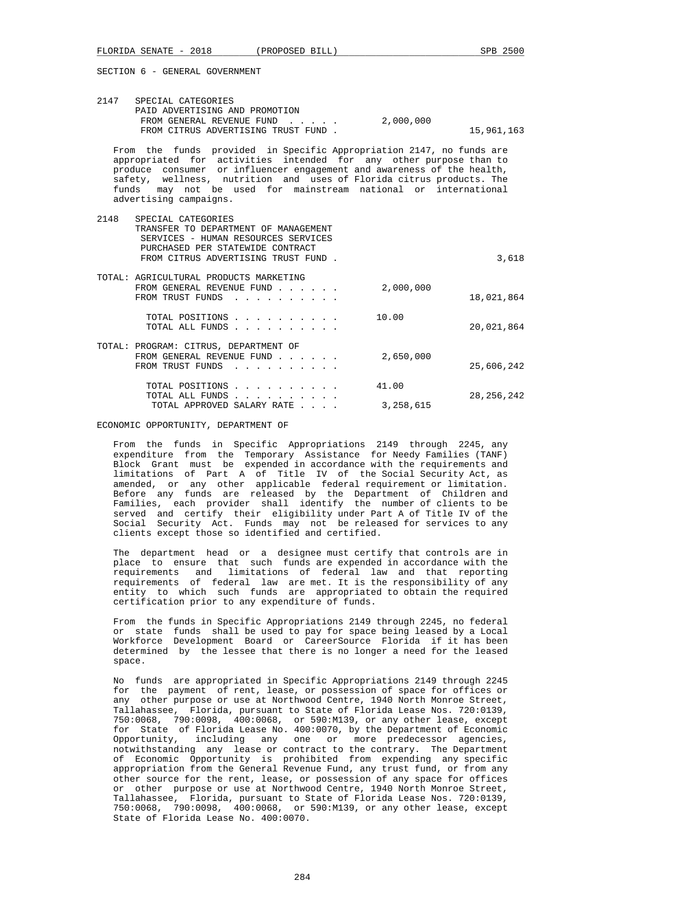|      | 2147 SPECIAL CATEGORIES<br>PAID ADVERTISING AND PROMOTION<br>FROM GENERAL REVENUE FUND<br>FROM CITRUS ADVERTISING TRUST FUND.                                                                                                                                                                                                                                                               | 2,000,000          | 15,961,163   |
|------|---------------------------------------------------------------------------------------------------------------------------------------------------------------------------------------------------------------------------------------------------------------------------------------------------------------------------------------------------------------------------------------------|--------------------|--------------|
|      | From the funds provided in Specific Appropriation 2147, no funds are<br>intended for any other purpose than to<br>appropriated for activities<br>produce consumer or influencer engagement and awareness of the health,<br>safety, wellness, nutrition and uses of Florida citrus products. The<br>funds may not be used for mainstream national or international<br>advertising campaigns. |                    |              |
| 2148 | SPECIAL CATEGORIES<br>TRANSFER TO DEPARTMENT OF MANAGEMENT                                                                                                                                                                                                                                                                                                                                  |                    |              |
|      | SERVICES - HUMAN RESOURCES SERVICES<br>PURCHASED PER STATEWIDE CONTRACT<br>FROM CITRUS ADVERTISING TRUST FUND.                                                                                                                                                                                                                                                                              |                    | 3,618        |
|      | TOTAL: AGRICULTURAL PRODUCTS MARKETING<br>FROM GENERAL REVENUE FUND<br>FROM TRUST FUNDS<br>$\mathbf{r}$ , $\mathbf{r}$ , $\mathbf{r}$ , $\mathbf{r}$ , $\mathbf{r}$ , $\mathbf{r}$                                                                                                                                                                                                          | 2,000,000          | 18,021,864   |
|      | TOTAL POSITIONS<br>TOTAL ALL FUNDS                                                                                                                                                                                                                                                                                                                                                          | 10.00              | 20,021,864   |
|      | TOTAL: PROGRAM: CITRUS, DEPARTMENT OF<br>FROM GENERAL REVENUE FUND<br>FROM TRUST FUNDS                                                                                                                                                                                                                                                                                                      | 2,650,000          | 25,606,242   |
|      | TOTAL POSITIONS<br>TOTAL ALL FUNDS<br><b>Service</b> State<br>TOTAL APPROVED SALARY RATE                                                                                                                                                                                                                                                                                                    | 41.00<br>3,258,615 | 28, 256, 242 |

ECONOMIC OPPORTUNITY, DEPARTMENT OF

 From the funds in Specific Appropriations 2149 through 2245, any expenditure from the Temporary Assistance for Needy Families (TANF) Block Grant must be expended in accordance with the requirements and limitations of Part A of Title IV of the Social Security Act, as amended, or any other applicable federal requirement or limitation. Before any funds are released by the Department of Children and Families, each provider shall identify the number of clients to be served and certify their eligibility under Part A of Title IV of the Social Security Act. Funds may not be released for services to any clients except those so identified and certified.

 The department head or a designee must certify that controls are in place to ensure that such funds are expended in accordance with the requirements and limitations of federal law and that reporting requirements of federal law are met. It is the responsibility of any entity to which such funds are appropriated to obtain the required certification prior to any expenditure of funds.

 From the funds in Specific Appropriations 2149 through 2245, no federal or state funds shall be used to pay for space being leased by a Local Workforce Development Board or CareerSource Florida if it has been determined by the lessee that there is no longer a need for the leased space.

 No funds are appropriated in Specific Appropriations 2149 through 2245 for the payment of rent, lease, or possession of space for offices or any other purpose or use at Northwood Centre, 1940 North Monroe Street, Tallahassee, Florida, pursuant to State of Florida Lease Nos. 720:0139, 750:0068, 790:0098, 400:0068, or 590:M139, or any other lease, except for State of Florida Lease No. 400:0070, by the Department of Economic Opportunity, including any one or more predecessor agencies, notwithstanding any lease or contract to the contrary. The Department of Economic Opportunity is prohibited from expending any specific appropriation from the General Revenue Fund, any trust fund, or from any other source for the rent, lease, or possession of any space for offices or other purpose or use at Northwood Centre, 1940 North Monroe Street, Tallahassee, Florida, pursuant to State of Florida Lease Nos. 720:0139, 750:0068, 790:0098, 400:0068, or 590:M139, or any other lease, except State of Florida Lease No. 400:0070.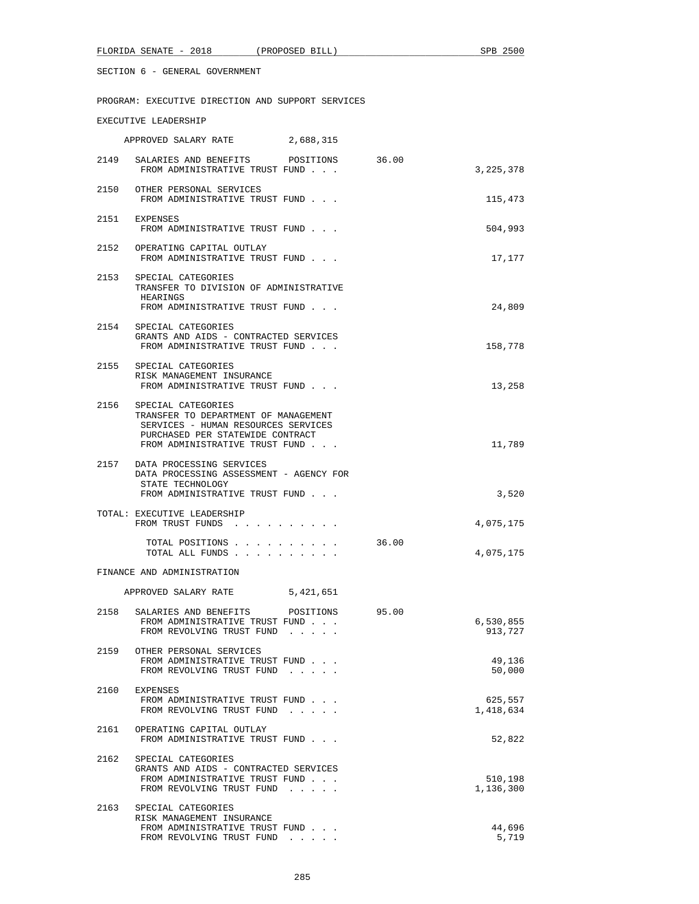PROGRAM: EXECUTIVE DIRECTION AND SUPPORT SERVICES

## EXECUTIVE LEADERSHIP

|      | APPROVED SALARY RATE                                                                                                                                                    | 2,688,315 |       |                      |
|------|-------------------------------------------------------------------------------------------------------------------------------------------------------------------------|-----------|-------|----------------------|
| 2149 | SALARIES AND BENEFITS<br>FROM ADMINISTRATIVE TRUST FUND                                                                                                                 | POSITIONS | 36.00 | 3,225,378            |
|      | 2150 OTHER PERSONAL SERVICES<br>FROM ADMINISTRATIVE TRUST FUND                                                                                                          |           |       | 115,473              |
|      | 2151 EXPENSES<br>FROM ADMINISTRATIVE TRUST FUND                                                                                                                         |           |       | 504,993              |
|      | 2152 OPERATING CAPITAL OUTLAY<br>FROM ADMINISTRATIVE TRUST FUND                                                                                                         |           |       | 17,177               |
| 2153 | SPECIAL CATEGORIES<br>TRANSFER TO DIVISION OF ADMINISTRATIVE<br>HEARINGS<br>FROM ADMINISTRATIVE TRUST FUND                                                              |           |       | 24,809               |
|      | 2154 SPECIAL CATEGORIES<br>GRANTS AND AIDS - CONTRACTED SERVICES<br>FROM ADMINISTRATIVE TRUST FUND                                                                      |           |       | 158,778              |
|      | 2155 SPECIAL CATEGORIES<br>RISK MANAGEMENT INSURANCE<br>FROM ADMINISTRATIVE TRUST FUND                                                                                  |           |       | 13,258               |
| 2156 | SPECIAL CATEGORIES<br>TRANSFER TO DEPARTMENT OF MANAGEMENT<br>SERVICES - HUMAN RESOURCES SERVICES<br>PURCHASED PER STATEWIDE CONTRACT<br>FROM ADMINISTRATIVE TRUST FUND |           |       | 11,789               |
|      | 2157 DATA PROCESSING SERVICES<br>DATA PROCESSING ASSESSMENT - AGENCY FOR<br>STATE TECHNOLOGY<br>FROM ADMINISTRATIVE TRUST FUND                                          |           |       | 3,520                |
|      | TOTAL: EXECUTIVE LEADERSHIP<br>FROM TRUST FUNDS                                                                                                                         |           |       | 4,075,175            |
|      | TOTAL POSITIONS<br>TOTAL ALL FUNDS                                                                                                                                      |           | 36.00 | 4,075,175            |
|      | FINANCE AND ADMINISTRATION                                                                                                                                              |           |       |                      |
|      | APPROVED SALARY RATE 5,421,651                                                                                                                                          |           |       |                      |
| 2158 | SALARIES AND BENEFITS<br>FROM ADMINISTRATIVE TRUST FUND<br>FROM REVOLVING TRUST FUND                                                                                    | POSITIONS | 95.00 | 6,530,855<br>913,727 |
| 2159 | OTHER PERSONAL SERVICES<br>FROM ADMINISTRATIVE TRUST FUND<br>FROM REVOLVING TRUST FUND                                                                                  |           |       | 49,136<br>50,000     |
| 2160 | EXPENSES<br>FROM ADMINISTRATIVE TRUST FUND<br>FROM REVOLVING TRUST FUND                                                                                                 |           |       | 625,557<br>1,418,634 |
| 2161 | OPERATING CAPITAL OUTLAY<br>FROM ADMINISTRATIVE TRUST FUND                                                                                                              |           |       | 52,822               |
| 2162 | SPECIAL CATEGORIES<br>GRANTS AND AIDS - CONTRACTED SERVICES<br>FROM ADMINISTRATIVE TRUST FUND<br>FROM REVOLVING TRUST FUND                                              |           |       | 510,198<br>1,136,300 |
| 2163 | SPECIAL CATEGORIES<br>RISK MANAGEMENT INSURANCE<br>FROM ADMINISTRATIVE TRUST FUND<br>FROM REVOLVING TRUST FUND                                                          |           |       | 44,696<br>5,719      |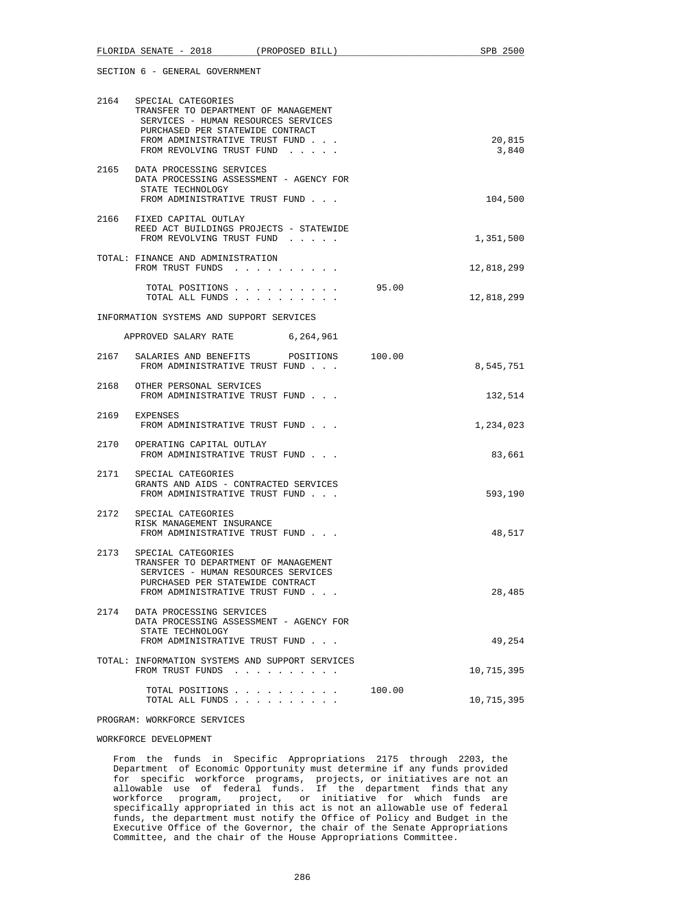| FLORIDA SENATE - 2018 (PROPOSED BILL)                                                                                                                                                                     | SPB 2500        |
|-----------------------------------------------------------------------------------------------------------------------------------------------------------------------------------------------------------|-----------------|
| SECTION 6 - GENERAL GOVERNMENT                                                                                                                                                                            |                 |
| 2164 SPECIAL CATEGORIES<br>TRANSFER TO DEPARTMENT OF MANAGEMENT<br>SERVICES - HUMAN RESOURCES SERVICES<br>PURCHASED PER STATEWIDE CONTRACT<br>FROM ADMINISTRATIVE TRUST FUND<br>FROM REVOLVING TRUST FUND | 20,815<br>3,840 |
| 2165 DATA PROCESSING SERVICES<br>DATA PROCESSING ASSESSMENT - AGENCY FOR<br>STATE TECHNOLOGY<br>FROM ADMINISTRATIVE TRUST FUND                                                                            | 104,500         |
| 2166 FIXED CAPITAL OUTLAY<br>REED ACT BUILDINGS PROJECTS - STATEWIDE<br>FROM REVOLVING TRUST FUND                                                                                                         | 1,351,500       |
| TOTAL: FINANCE AND ADMINISTRATION<br>FROM TRUST FUNDS                                                                                                                                                     | 12,818,299      |
| TOTAL POSITIONS 95.00<br>TOTAL ALL FUNDS                                                                                                                                                                  | 12,818,299      |
| INFORMATION SYSTEMS AND SUPPORT SERVICES                                                                                                                                                                  |                 |
| APPROVED SALARY RATE 6,264,961                                                                                                                                                                            |                 |
| 2167<br>SALARIES AND BENEFITS POSITIONS 100.00<br>FROM ADMINISTRATIVE TRUST FUND                                                                                                                          | 8,545,751       |
| 2168<br>OTHER PERSONAL SERVICES<br>FROM ADMINISTRATIVE TRUST FUND                                                                                                                                         | 132,514         |

| 2169 | <b>EXPENSES</b><br>FROM ADMINISTRATIVE TRUST FUND                                                                                                                       | 1,234,023  |  |
|------|-------------------------------------------------------------------------------------------------------------------------------------------------------------------------|------------|--|
|      | 2170 OPERATING CAPITAL OUTLAY<br>FROM ADMINISTRATIVE TRUST FUND                                                                                                         | 83,661     |  |
|      | 2171 SPECIAL CATEGORIES<br>GRANTS AND AIDS - CONTRACTED SERVICES<br>FROM ADMINISTRATIVE TRUST FUND                                                                      | 593,190    |  |
|      | 2172 SPECIAL CATEGORIES<br>RISK MANAGEMENT INSURANCE<br>FROM ADMINISTRATIVE TRUST FUND                                                                                  | 48,517     |  |
| 2173 | SPECIAL CATEGORIES<br>TRANSFER TO DEPARTMENT OF MANAGEMENT<br>SERVICES - HUMAN RESOURCES SERVICES<br>PURCHASED PER STATEWIDE CONTRACT<br>FROM ADMINISTRATIVE TRUST FUND | 28,485     |  |
|      | 2174 DATA PROCESSING SERVICES<br>DATA PROCESSING ASSESSMENT - AGENCY FOR<br>STATE TECHNOLOGY<br>FROM ADMINISTRATIVE TRUST FUND                                          | 49,254     |  |
|      | TOTAL: INFORMATION SYSTEMS AND SUPPORT SERVICES<br>FROM TRUST FUNDS                                                                                                     | 10,715,395 |  |
|      | TOTAL POSITIONS                                                                                                                                                         | 100.00     |  |

## PROGRAM: WORKFORCE SERVICES

## WORKFORCE DEVELOPMENT

 From the funds in Specific Appropriations 2175 through 2203, the Department of Economic Opportunity must determine if any funds provided for specific workforce programs, projects, or initiatives are not an allowable use of federal funds. If the department finds that any workforce program, project, or initiative for which funds are specifically appropriated in this act is not an allowable use of federal funds, the department must notify the Office of Policy and Budget in the Executive Office of the Governor, the chair of the Senate Appropriations Committee, and the chair of the House Appropriations Committee.

TOTAL ALL FUNDS . . . . . . . . . . 10,715,395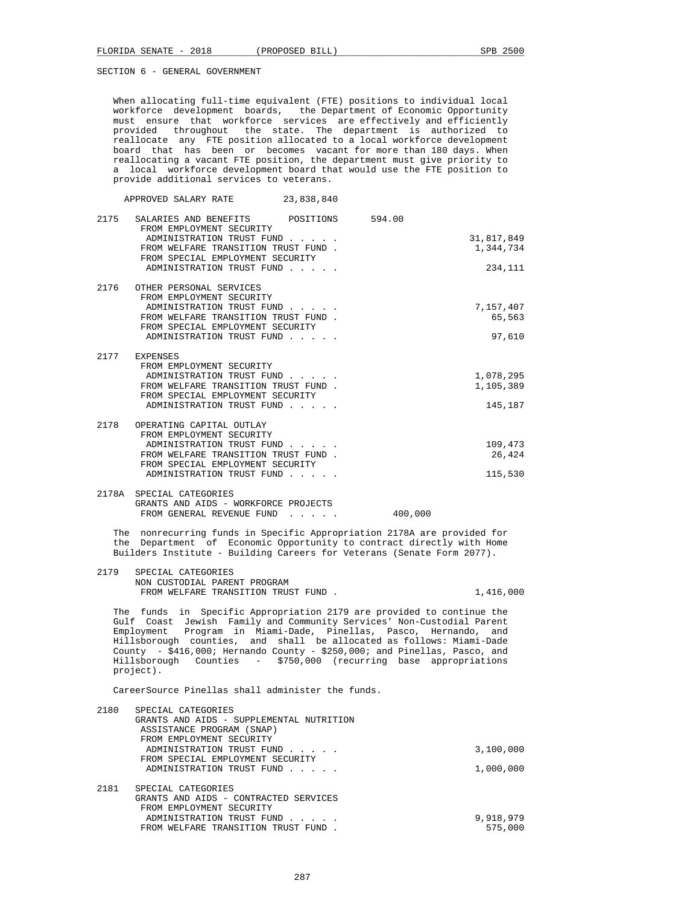When allocating full-time equivalent (FTE) positions to individual local workforce development boards, the Department of Economic Opportunity must ensure that workforce services are effectively and efficiently provided throughout the state. The department is authorized to reallocate any FTE position allocated to a local workforce development board that has been or becomes vacant for more than 180 days. When reallocating a vacant FTE position, the department must give priority to a local workforce development board that would use the FTE position to provide additional services to veterans.

APPROVED SALARY RATE 23,838,840

| 2175 | SALARIES AND BENEFITS POSITIONS<br>FROM EMPLOYMENT SECURITY | 594.00     |
|------|-------------------------------------------------------------|------------|
|      | ADMINISTRATION TRUST FUND                                   | 31,817,849 |
|      | FROM WELFARE TRANSITION TRUST FUND.                         | 1,344,734  |
|      | FROM SPECIAL EMPLOYMENT SECURITY                            |            |
|      | ADMINISTRATION TRUST FUND                                   | 234,111    |
|      |                                                             |            |
| 2176 | OTHER PERSONAL SERVICES                                     |            |
|      | FROM EMPLOYMENT SECURITY                                    |            |
|      | ADMINISTRATION TRUST FUND                                   | 7,157,407  |
|      | FROM WELFARE TRANSITION TRUST FUND.                         | 65,563     |
|      | FROM SPECIAL EMPLOYMENT SECURITY                            |            |
|      | ADMINISTRATION TRUST FUND                                   | 97,610     |
|      |                                                             |            |
|      | 2177 EXPENSES                                               |            |
|      | FROM EMPLOYMENT SECURITY                                    |            |
|      | ADMINISTRATION TRUST FUND                                   | 1,078,295  |
|      | FROM WELFARE TRANSITION TRUST FUND.                         | 1,105,389  |
|      | FROM SPECIAL EMPLOYMENT SECURITY                            |            |
|      |                                                             |            |
|      | ADMINISTRATION TRUST FUND                                   | 145,187    |
| 2178 | OPERATING CAPITAL OUTLAY                                    |            |
|      | FROM EMPLOYMENT SECURITY                                    |            |
|      |                                                             |            |
|      | ADMINISTRATION TRUST FUND                                   | 109,473    |
|      | FROM WELFARE TRANSITION TRUST FUND.                         | 26,424     |
|      | FROM SPECIAL EMPLOYMENT SECURITY                            |            |
|      | ADMINISTRATION TRUST FUND                                   | 115,530    |
|      |                                                             |            |
|      | 2178A SPECIAL CATEGORIES                                    |            |

 GRANTS AND AIDS - WORKFORCE PROJECTS FROM GENERAL REVENUE FUND . . . . . 400,000

 The nonrecurring funds in Specific Appropriation 2178A are provided for the Department of Economic Opportunity to contract directly with Home Builders Institute - Building Careers for Veterans (Senate Form 2077).

 2179 SPECIAL CATEGORIES NON CUSTODIAL PARENT PROGRAM FROM WELFARE TRANSITION TRUST FUND.  $1,416,000$ 

 The funds in Specific Appropriation 2179 are provided to continue the Gulf Coast Jewish Family and Community Services' Non-Custodial Parent Employment Program in Miami-Dade, Pinellas, Pasco, Hernando, and Hillsborough counties, and shall be allocated as follows: Miami-Dade County - \$416,000; Hernando County - \$250,000; and Pinellas, Pasco, and Hillsborough Counties - \$750,000 (recurring base appropriations project).

CareerSource Pinellas shall administer the funds.

| 2180 | SPECIAL CATEGORIES                       |           |
|------|------------------------------------------|-----------|
|      | GRANTS AND AIDS - SUPPLEMENTAL NUTRITION |           |
|      | ASSISTANCE PROGRAM (SNAP)                |           |
|      | FROM EMPLOYMENT SECURITY                 |           |
|      | ADMINISTRATION TRUST FUND                | 3,100,000 |
|      | FROM SPECIAL EMPLOYMENT SECURITY         |           |
|      | ADMINISTRATION TRUST FUND                | 1,000,000 |
| 2181 | SPECIAL CATEGORIES                       |           |
|      | GRANTS AND AIDS - CONTRACTED SERVICES    |           |
|      | FROM EMPLOYMENT SECURITY                 |           |
|      | ADMINISTRATION TRUST FUND                | 9,918,979 |
|      | FROM WELFARE TRANSITION TRUST FUND       | 575,000   |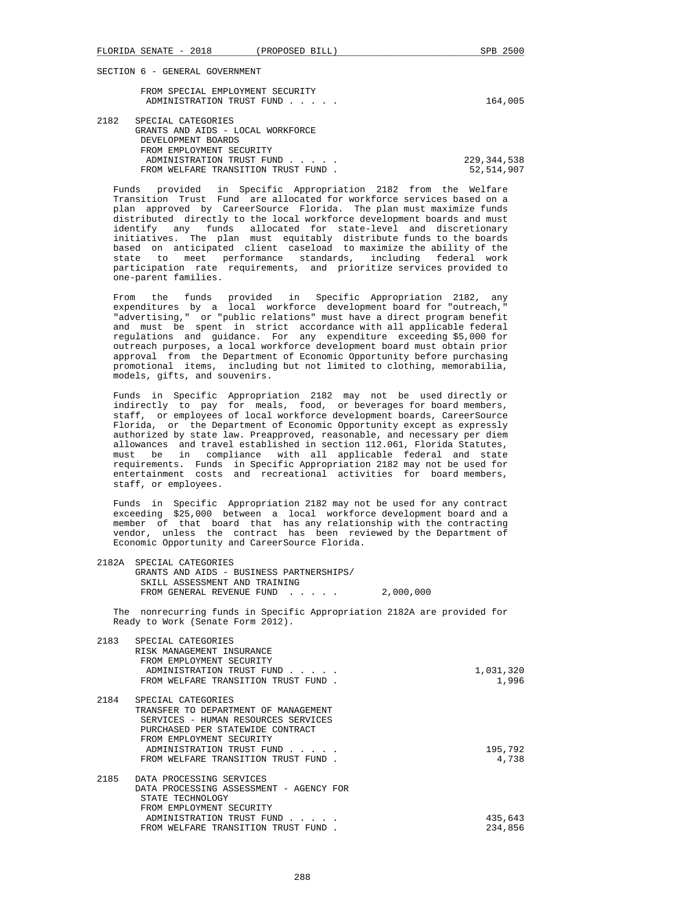|      | FROM SPECIAL EMPLOYMENT SECURITY<br>ADMINISTRATION TRUST FUND                       | 164,005 |
|------|-------------------------------------------------------------------------------------|---------|
| 2182 | SPECIAL CATEGORIES<br>GRANTS AND AIDS - LOCAL WORKFORCE<br>סתם ג∩ם יחוזים אחת זידות |         |

| DEVELOPMENT BOARDS                  |               |
|-------------------------------------|---------------|
| FROM EMPLOYMENT SECURITY            |               |
| ADMINISTRATION TRUST FUND           | 229, 344, 538 |
| FROM WELFARE TRANSITION TRUST FUND. | 52,514,907    |
|                                     |               |

 Funds provided in Specific Appropriation 2182 from the Welfare Transition Trust Fund are allocated for workforce services based on a plan approved by CareerSource Florida. The plan must maximize funds distributed directly to the local workforce development boards and must identify any funds allocated for state-level and discretionary initiatives. The plan must equitably distribute funds to the boards based on anticipated client caseload to maximize the ability of the state to meet performance standards, including federal work participation rate requirements, and prioritize services provided to one-parent families.

 From the funds provided in Specific Appropriation 2182, any expenditures by a local workforce development board for "outreach," "advertising," or "public relations" must have a direct program benefit and must be spent in strict accordance with all applicable federal regulations and guidance. For any expenditure exceeding \$5,000 for outreach purposes, a local workforce development board must obtain prior approval from the Department of Economic Opportunity before purchasing promotional items, including but not limited to clothing, memorabilia, models, gifts, and souvenirs.

 Funds in Specific Appropriation 2182 may not be used directly or indirectly to pay for meals, food, or beverages for board members, staff, or employees of local workforce development boards, CareerSource Florida, or the Department of Economic Opportunity except as expressly authorized by state law. Preapproved, reasonable, and necessary per diem allowances and travel established in section 112.061, Florida Statutes, must be in compliance with all applicable federal and state requirements. Funds in Specific Appropriation 2182 may not be used for entertainment costs and recreational activities for board members, staff, or employees.

 Funds in Specific Appropriation 2182 may not be used for any contract exceeding \$25,000 between a local workforce development board and a member of that board that has any relationship with the contracting vendor, unless the contract has been reviewed by the Department of Economic Opportunity and CareerSource Florida.

| 2182A SPECIAL CATEGORIES<br>GRANTS AND AIDS - BUSINESS PARTNERSHIPS/<br>SKILL ASSESSMENT AND TRAINING<br>FROM GENERAL REVENUE FUND 2,000,000 |  |  |
|----------------------------------------------------------------------------------------------------------------------------------------------|--|--|
| The nonrecurring funds in Specific Appropriation 2182A are provided for<br>Ready to Work (Senate Form 2012).                                 |  |  |

| 2183 | SPECIAL CATEGORIES<br>RISK MANAGEMENT INSURANCE<br>FROM EMPLOYMENT SECURITY |           |
|------|-----------------------------------------------------------------------------|-----------|
|      | ADMINISTRATION TRUST FUND                                                   | 1,031,320 |
|      | FROM WELFARE TRANSITION TRUST FUND.                                         | 1,996     |
| 2184 | SPECIAL CATEGORIES                                                          |           |
|      | TRANSFER TO DEPARTMENT OF MANAGEMENT                                        |           |
|      | SERVICES - HUMAN RESOURCES SERVICES                                         |           |
|      | PURCHASED PER STATEWIDE CONTRACT                                            |           |
|      | FROM EMPLOYMENT SECURITY                                                    |           |
|      | ADMINISTRATION TRUST FUND                                                   | 195,792   |
|      | FROM WELFARE TRANSITION TRUST FUND.                                         | 4,738     |
| 2185 | DATA PROCESSING SERVICES                                                    |           |
|      | DATA PROCESSING ASSESSMENT - AGENCY FOR                                     |           |
|      | STATE TECHNOLOGY                                                            |           |
|      | FROM EMPLOYMENT SECURITY                                                    |           |
|      | ADMINISTRATION TRUST FUND                                                   | 435,643   |
|      | FROM WELFARE TRANSITION TRUST FUND                                          | 234,856   |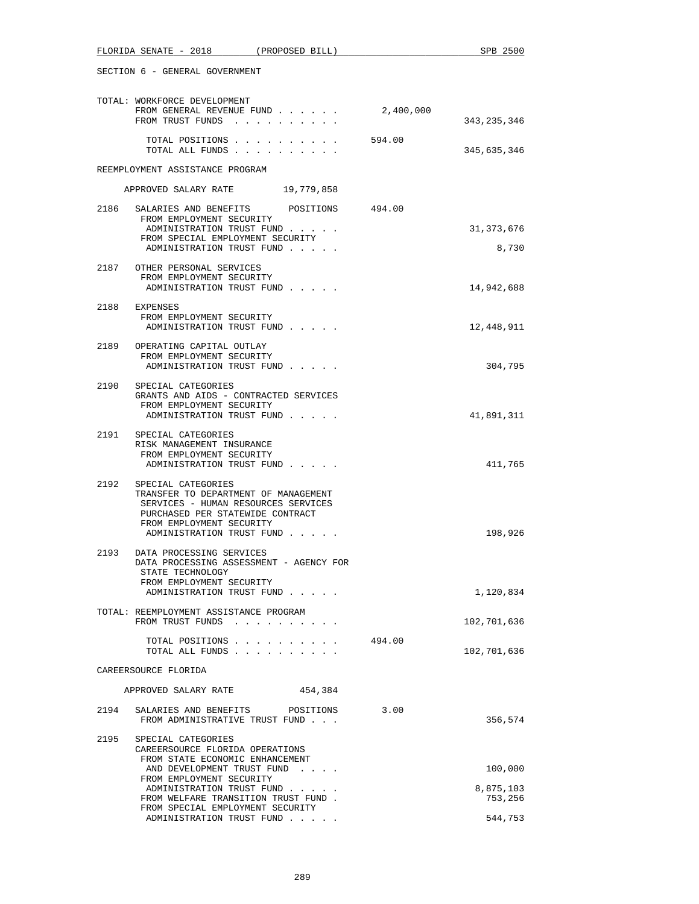| FLORIDA SENATE - 2018 (PROPOSED BILL)                                                                                                                                                                  |           | SPB 2500              |
|--------------------------------------------------------------------------------------------------------------------------------------------------------------------------------------------------------|-----------|-----------------------|
| SECTION 6 - GENERAL GOVERNMENT                                                                                                                                                                         |           |                       |
| TOTAL: WORKFORCE DEVELOPMENT<br>FROM GENERAL REVENUE FUND<br>FROM TRUST FUNDS                                                                                                                          | 2,400,000 | 343, 235, 346         |
| TOTAL POSITIONS<br>TOTAL ALL FUNDS                                                                                                                                                                     | 594.00    | 345,635,346           |
| REEMPLOYMENT ASSISTANCE PROGRAM                                                                                                                                                                        |           |                       |
| APPROVED SALARY RATE 19,779,858                                                                                                                                                                        |           |                       |
| 2186<br>POSITIONS 494.00<br>SALARIES AND BENEFITS<br>FROM EMPLOYMENT SECURITY<br>ADMINISTRATION TRUST FUND<br>FROM SPECIAL EMPLOYMENT SECURITY<br>ADMINISTRATION TRUST FUND                            |           | 31, 373, 676<br>8,730 |
| 2187 OTHER PERSONAL SERVICES<br>FROM EMPLOYMENT SECURITY<br>ADMINISTRATION TRUST FUND                                                                                                                  |           | 14,942,688            |
| 2188 EXPENSES<br>FROM EMPLOYMENT SECURITY<br>ADMINISTRATION TRUST FUND                                                                                                                                 |           | 12,448,911            |
| 2189 OPERATING CAPITAL OUTLAY<br>FROM EMPLOYMENT SECURITY<br>ADMINISTRATION TRUST FUND                                                                                                                 |           | 304,795               |
| 2190<br>SPECIAL CATEGORIES<br>GRANTS AND AIDS - CONTRACTED SERVICES<br>FROM EMPLOYMENT SECURITY<br>ADMINISTRATION TRUST FUND                                                                           |           | 41,891,311            |
| 2191<br>SPECIAL CATEGORIES<br>RISK MANAGEMENT INSURANCE<br>FROM EMPLOYMENT SECURITY<br>ADMINISTRATION TRUST FUND                                                                                       |           | 411,765               |
| 2192<br>SPECIAL CATEGORIES<br>TRANSFER TO DEPARTMENT OF MANAGEMENT<br>SERVICES - HUMAN RESOURCES SERVICES<br>PURCHASED PER STATEWIDE CONTRACT<br>FROM EMPLOYMENT SECURITY<br>ADMINISTRATION TRUST FUND |           | 198,926               |
| 2193<br>DATA PROCESSING SERVICES<br>DATA PROCESSING ASSESSMENT - AGENCY FOR<br>STATE TECHNOLOGY<br>FROM EMPLOYMENT SECURITY                                                                            |           |                       |
| ADMINISTRATION TRUST FUND                                                                                                                                                                              |           | 1,120,834             |
| TOTAL: REEMPLOYMENT ASSISTANCE PROGRAM<br>FROM TRUST FUNDS                                                                                                                                             |           | 102,701,636           |
| TOTAL POSITIONS<br>TOTAL ALL FUNDS                                                                                                                                                                     | 494.00    | 102,701,636           |
| CAREERSOURCE FLORIDA                                                                                                                                                                                   |           |                       |
| APPROVED SALARY RATE<br>454,384                                                                                                                                                                        |           |                       |
| 2194<br>SALARIES AND BENEFITS POSITIONS<br>FROM ADMINISTRATIVE TRUST FUND                                                                                                                              | 3.00      | 356,574               |
| 2195 SPECIAL CATEGORIES<br>CAREERSOURCE FLORIDA OPERATIONS<br>FROM STATE ECONOMIC ENHANCEMENT                                                                                                          |           |                       |
| AND DEVELOPMENT TRUST FUND<br>FROM EMPLOYMENT SECURITY<br>ADMINISTRATION TRUST FUND                                                                                                                    |           | 100,000<br>8,875,103  |
| FROM WELFARE TRANSITION TRUST FUND.<br>FROM SPECIAL EMPLOYMENT SECURITY                                                                                                                                |           | 753,256               |
| ADMINISTRATION TRUST FUND                                                                                                                                                                              |           | 544,753               |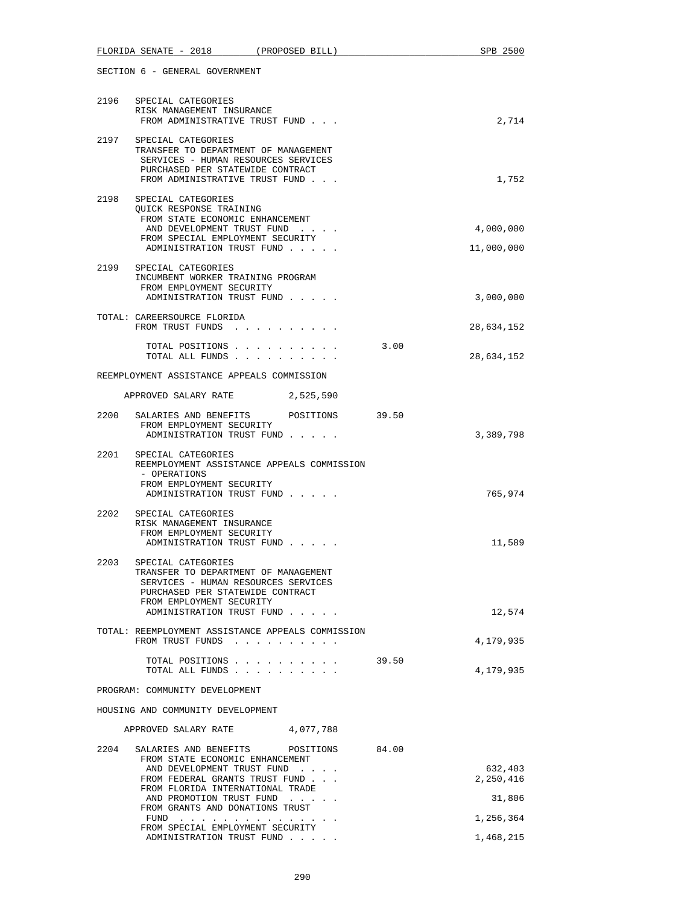| FLORIDA SENATE - 2018<br>(PROPOSED BILL)                                                                                                                                                | SPB 2500                |
|-----------------------------------------------------------------------------------------------------------------------------------------------------------------------------------------|-------------------------|
| SECTION 6 - GENERAL GOVERNMENT                                                                                                                                                          |                         |
| 2196 SPECIAL CATEGORIES<br>RISK MANAGEMENT INSURANCE<br>FROM ADMINISTRATIVE TRUST FUND                                                                                                  | 2,714                   |
| 2197 SPECIAL CATEGORIES<br>TRANSFER TO DEPARTMENT OF MANAGEMENT<br>SERVICES - HUMAN RESOURCES SERVICES<br>PURCHASED PER STATEWIDE CONTRACT<br>FROM ADMINISTRATIVE TRUST FUND            | 1,752                   |
| 2198<br>SPECIAL CATEGORIES<br>OUICK RESPONSE TRAINING<br>FROM STATE ECONOMIC ENHANCEMENT<br>AND DEVELOPMENT TRUST FUND<br>FROM SPECIAL EMPLOYMENT SECURITY<br>ADMINISTRATION TRUST FUND | 4,000,000<br>11,000,000 |
| 2199 SPECIAL CATEGORIES<br>INCUMBENT WORKER TRAINING PROGRAM<br>FROM EMPLOYMENT SECURITY<br>ADMINISTRATION TRUST FUND                                                                   | 3,000,000               |
| TOTAL: CAREERSOURCE FLORIDA<br>FROM TRUST FUNDS                                                                                                                                         | 28,634,152              |
| TOTAL POSITIONS<br>TOTAL ALL FUNDS                                                                                                                                                      | 3.00<br>28,634,152      |
| REEMPLOYMENT ASSISTANCE APPEALS COMMISSION                                                                                                                                              |                         |
| APPROVED SALARY RATE 2,525,590                                                                                                                                                          |                         |
| 2200 SALARIES AND BENEFITS POSITIONS 39.50<br>FROM EMPLOYMENT SECURITY<br>ADMINISTRATION TRUST FUND                                                                                     | 3,389,798               |
| 2201 SPECIAL CATEGORIES<br>REEMPLOYMENT ASSISTANCE APPEALS COMMISSION<br>- OPERATIONS<br>FROM EMPLOYMENT SECURITY<br>ADMINISTRATION TRUST FUND                                          | 765,974                 |
| 2202<br>SPECIAL CATEGORIES<br>RISK MANAGEMENT INSURANCE<br>FROM EMPLOYMENT SECURITY<br>ADMINISTRATION TRUST FUND                                                                        | 11,589                  |
| 2203<br>SPECIAL CATEGORIES<br>TRANSFER TO DEPARTMENT OF MANAGEMENT<br>SERVICES - HUMAN RESOURCES SERVICES<br>PURCHASED PER STATEWIDE CONTRACT<br>FROM EMPLOYMENT SECURITY               |                         |
| ADMINISTRATION TRUST FUND<br>TOTAL: REEMPLOYMENT ASSISTANCE APPEALS COMMISSION<br>FROM TRUST FUNDS                                                                                      | 12,574<br>4,179,935     |
| TOTAL POSITIONS<br>TOTAL ALL FUNDS                                                                                                                                                      | 39.50<br>4,179,935      |
| PROGRAM: COMMUNITY DEVELOPMENT                                                                                                                                                          |                         |
| HOUSING AND COMMUNITY DEVELOPMENT                                                                                                                                                       |                         |
| 4,077,788<br>APPROVED SALARY RATE                                                                                                                                                       |                         |
| 2204<br>SALARIES AND BENEFITS<br>84.00<br>POSITIONS<br>FROM STATE ECONOMIC ENHANCEMENT                                                                                                  |                         |
| AND DEVELOPMENT TRUST FUND<br>FROM FEDERAL GRANTS TRUST FUND<br>FROM FLORIDA INTERNATIONAL TRADE                                                                                        | 632,403<br>2,250,416    |
| AND PROMOTION TRUST FUND<br>FROM GRANTS AND DONATIONS TRUST                                                                                                                             | 31,806                  |
| $FUND$<br>FROM SPECIAL EMPLOYMENT SECURITY                                                                                                                                              | 1,256,364               |
| ADMINISTRATION TRUST FUND                                                                                                                                                               | 1,468,215               |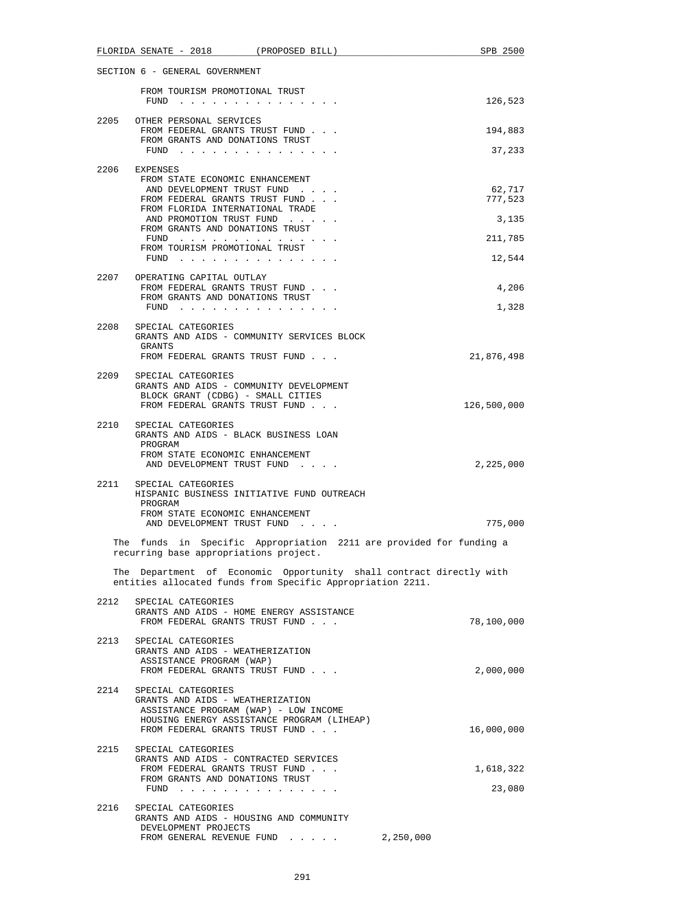|      | $FLORIDA$ SENATE - 2018 (PROPOSED BILL)                                                                                   |                                                            | SPB 2500                                                            |
|------|---------------------------------------------------------------------------------------------------------------------------|------------------------------------------------------------|---------------------------------------------------------------------|
|      | SECTION 6 - GENERAL GOVERNMENT                                                                                            |                                                            |                                                                     |
|      | FROM TOURISM PROMOTIONAL TRUST<br>FUND                                                                                    |                                                            | 126,523                                                             |
| 2205 | OTHER PERSONAL SERVICES<br>FROM FEDERAL GRANTS TRUST FUND                                                                 |                                                            | 194,883                                                             |
|      | FROM GRANTS AND DONATIONS TRUST<br>FUND $\cdots$                                                                          |                                                            | 37,233                                                              |
|      | 2206 EXPENSES<br>FROM STATE ECONOMIC ENHANCEMENT                                                                          |                                                            |                                                                     |
|      | AND DEVELOPMENT TRUST FUND<br>FROM FEDERAL GRANTS TRUST FUND<br>FROM FLORIDA INTERNATIONAL TRADE                          |                                                            | 62,717<br>777,523                                                   |
|      | AND PROMOTION TRUST FUND<br>FROM GRANTS AND DONATIONS TRUST                                                               |                                                            | 3,135                                                               |
|      | FUND<br>FROM TOURISM PROMOTIONAL TRUST                                                                                    |                                                            | 211,785                                                             |
|      | FUND $\cdots$                                                                                                             |                                                            | 12,544                                                              |
|      | 2207 OPERATING CAPITAL OUTLAY<br>FROM FEDERAL GRANTS TRUST FUND                                                           |                                                            | 4,206                                                               |
|      | FROM GRANTS AND DONATIONS TRUST<br>FUND $\cdots$                                                                          |                                                            | 1,328                                                               |
| 2208 | SPECIAL CATEGORIES                                                                                                        | GRANTS AND AIDS - COMMUNITY SERVICES BLOCK                 |                                                                     |
|      | GRANTS<br>FROM FEDERAL GRANTS TRUST FUND                                                                                  |                                                            | 21,876,498                                                          |
| 2209 | SPECIAL CATEGORIES<br>GRANTS AND AIDS - COMMUNITY DEVELOPMENT<br>BLOCK GRANT (CDBG) - SMALL CITIES                        |                                                            |                                                                     |
|      | FROM FEDERAL GRANTS TRUST FUND                                                                                            |                                                            | 126,500,000                                                         |
| 2210 | SPECIAL CATEGORIES<br>GRANTS AND AIDS - BLACK BUSINESS LOAN<br>PROGRAM<br>FROM STATE ECONOMIC ENHANCEMENT                 |                                                            |                                                                     |
|      | AND DEVELOPMENT TRUST FUND<br>2211 SPECIAL CATEGORIES                                                                     |                                                            | 2,225,000                                                           |
|      | PROGRAM                                                                                                                   | HISPANIC BUSINESS INITIATIVE FUND OUTREACH                 |                                                                     |
|      | FROM STATE ECONOMIC ENHANCEMENT<br>AND DEVELOPMENT TRUST FUND                                                             |                                                            | 775,000                                                             |
|      | recurring base appropriations project.                                                                                    |                                                            | The funds in Specific Appropriation 2211 are provided for funding a |
|      |                                                                                                                           | entities allocated funds from Specific Appropriation 2211. | The Department of Economic Opportunity shall contract directly with |
| 2212 | SPECIAL CATEGORIES<br>GRANTS AND AIDS - HOME ENERGY ASSISTANCE                                                            |                                                            |                                                                     |
|      | FROM FEDERAL GRANTS TRUST FUND                                                                                            |                                                            | 78,100,000                                                          |
|      | 2213 SPECIAL CATEGORIES<br>GRANTS AND AIDS - WEATHERIZATION<br>ASSISTANCE PROGRAM (WAP)<br>FROM FEDERAL GRANTS TRUST FUND |                                                            | 2,000,000                                                           |
| 2214 | SPECIAL CATEGORIES<br>GRANTS AND AIDS - WEATHERIZATION<br>ASSISTANCE PROGRAM (WAP) - LOW INCOME                           | HOUSING ENERGY ASSISTANCE PROGRAM (LIHEAP)                 |                                                                     |
| 2215 | FROM FEDERAL GRANTS TRUST FUND<br>SPECIAL CATEGORIES                                                                      |                                                            | 16,000,000                                                          |
|      | GRANTS AND AIDS - CONTRACTED SERVICES<br>FROM FEDERAL GRANTS TRUST FUND                                                   |                                                            | 1,618,322                                                           |
|      | FROM GRANTS AND DONATIONS TRUST<br>FUND $\cdots$                                                                          |                                                            | 23,080                                                              |
| 2216 | SPECIAL CATEGORIES<br>GRANTS AND AIDS - HOUSING AND COMMUNITY<br>DEVELOPMENT PROJECTS                                     |                                                            |                                                                     |
|      |                                                                                                                           | FROM GENERAL REVENUE FUND 2,250,000                        |                                                                     |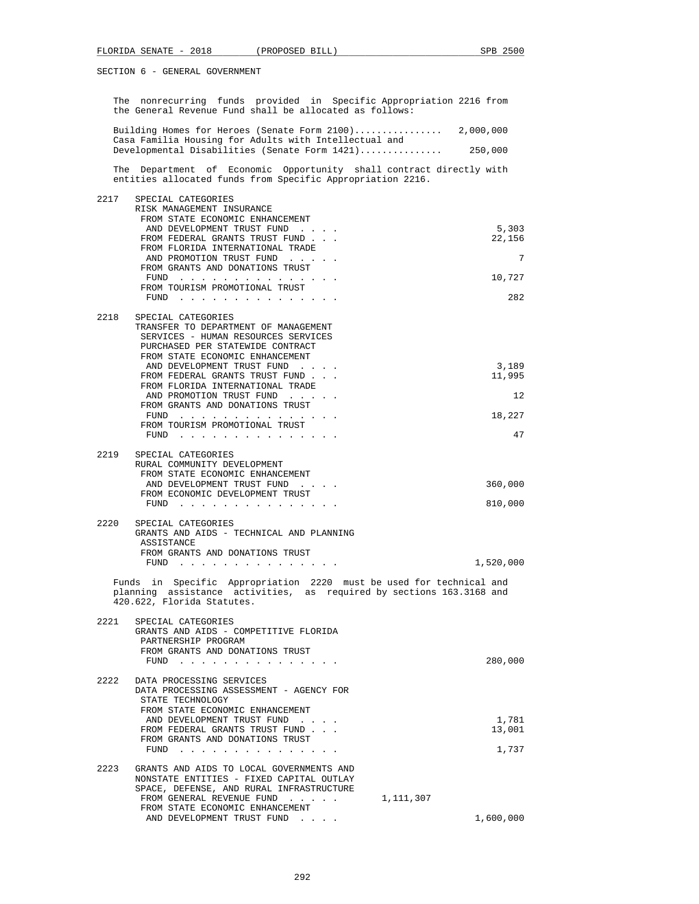|      | The nonrecurring funds provided in Specific Appropriation 2216 from<br>the General Revenue Fund shall be allocated as follows:        |                 |
|------|---------------------------------------------------------------------------------------------------------------------------------------|-----------------|
|      | Building Homes for Heroes (Senate Form 2100) 2,000,000<br>Casa Familia Housing for Adults with Intellectual and                       |                 |
|      | Developmental Disabilities (Senate Form 1421) 250,000                                                                                 |                 |
|      | The Department of Economic Opportunity shall contract directly with<br>entities allocated funds from Specific Appropriation 2216.     |                 |
| 2217 | SPECIAL CATEGORIES<br>RISK MANAGEMENT INSURANCE                                                                                       |                 |
|      | FROM STATE ECONOMIC ENHANCEMENT                                                                                                       |                 |
|      | AND DEVELOPMENT TRUST FUND<br>FROM FEDERAL GRANTS TRUST FUND                                                                          | 5,303<br>22,156 |
|      | FROM FLORIDA INTERNATIONAL TRADE<br>AND PROMOTION TRUST FUND                                                                          | 7               |
|      | FROM GRANTS AND DONATIONS TRUST                                                                                                       |                 |
|      | FUND $\cdots$<br>FROM TOURISM PROMOTIONAL TRUST                                                                                       | 10,727          |
|      | FUND $\cdots$                                                                                                                         | 282             |
| 2218 | SPECIAL CATEGORIES<br>TRANSFER TO DEPARTMENT OF MANAGEMENT<br>SERVICES - HUMAN RESOURCES SERVICES<br>PURCHASED PER STATEWIDE CONTRACT |                 |
|      | FROM STATE ECONOMIC ENHANCEMENT<br>AND DEVELOPMENT TRUST FUND                                                                         | 3,189           |
|      | FROM FEDERAL GRANTS TRUST FUND                                                                                                        | 11,995          |
|      | FROM FLORIDA INTERNATIONAL TRADE<br>AND PROMOTION TRUST FUND                                                                          | 12              |
|      | FROM GRANTS AND DONATIONS TRUST<br>FUND                                                                                               | 18,227          |
|      | FROM TOURISM PROMOTIONAL TRUST<br>FUND $\cdots$                                                                                       | 47              |
|      |                                                                                                                                       |                 |
| 2219 | SPECIAL CATEGORIES<br>RURAL COMMUNITY DEVELOPMENT                                                                                     |                 |
|      | FROM STATE ECONOMIC ENHANCEMENT<br>AND DEVELOPMENT TRUST FUND                                                                         | 360,000         |
|      | FROM ECONOMIC DEVELOPMENT TRUST<br>FUND $\cdots$                                                                                      | 810,000         |
|      |                                                                                                                                       |                 |
| 2220 | SPECIAL CATEGORIES<br>GRANTS AND AIDS - TECHNICAL AND PLANNING<br>ASSISTANCE                                                          |                 |
|      | FROM GRANTS AND DONATIONS TRUST<br>FUND $\cdots$                                                                                      | 1,520,000       |
|      | Funds in Specific Appropriation 2220 must be used for technical and                                                                   |                 |
|      | planning assistance activities, as required by sections 163.3168 and<br>420.622, Florida Statutes.                                    |                 |
| 2221 | SPECIAL CATEGORIES<br>GRANTS AND AIDS - COMPETITIVE FLORIDA                                                                           |                 |
|      | PARTNERSHIP PROGRAM                                                                                                                   |                 |
|      | FROM GRANTS AND DONATIONS TRUST<br>FUND $\cdots$                                                                                      | 280,000         |
| 2222 | DATA PROCESSING SERVICES<br>DATA PROCESSING ASSESSMENT - AGENCY FOR                                                                   |                 |
|      | STATE TECHNOLOGY<br>FROM STATE ECONOMIC ENHANCEMENT                                                                                   |                 |
|      | AND DEVELOPMENT TRUST FUND<br>and a state of<br>FROM FEDERAL GRANTS TRUST FUND                                                        | 1,781<br>13,001 |
|      | FROM GRANTS AND DONATIONS TRUST                                                                                                       |                 |
|      | FUND                                                                                                                                  | 1,737           |
| 2223 | GRANTS AND AIDS TO LOCAL GOVERNMENTS AND<br>NONSTATE ENTITIES - FIXED CAPITAL OUTLAY                                                  |                 |
|      | SPACE, DEFENSE, AND RURAL INFRASTRUCTURE<br>FROM GENERAL REVENUE FUND                                                                 | 1,111,307       |
|      | FROM STATE ECONOMIC ENHANCEMENT                                                                                                       |                 |
|      | AND DEVELOPMENT TRUST FUND                                                                                                            | 1,600,000       |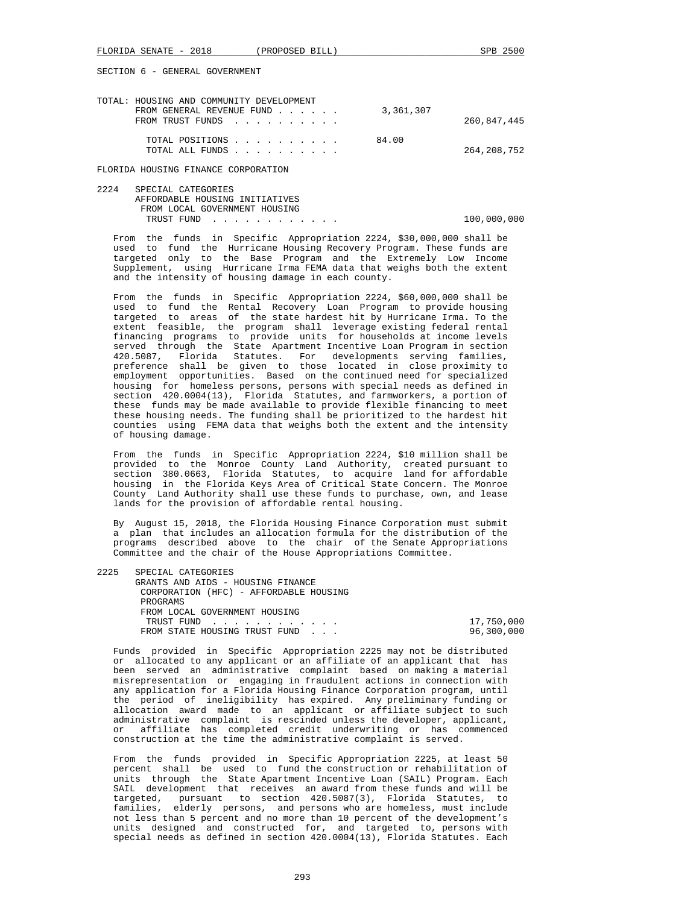| TOTAL: HOUSING AND COMMUNITY DEVELOPMENT |               |
|------------------------------------------|---------------|
| 3,361,307<br>FROM GENERAL REVENUE FUND   |               |
| FROM TRUST FUNDS                         | 260,847,445   |
| 84.00<br>TOTAL POSITIONS                 |               |
| TOTAL ALL FUNDS                          | 264, 208, 752 |

FLORIDA HOUSING FINANCE CORPORATION

 2224 SPECIAL CATEGORIES AFFORDABLE HOUSING INITIATIVES FROM LOCAL GOVERNMENT HOUSING TRUST FUND . . . . . . . . . . . . . . . 100,000,000

 From the funds in Specific Appropriation 2224, \$30,000,000 shall be used to fund the Hurricane Housing Recovery Program. These funds are targeted only to the Base Program and the Extremely Low Income Supplement, using Hurricane Irma FEMA data that weighs both the extent and the intensity of housing damage in each county.

 From the funds in Specific Appropriation 2224, \$60,000,000 shall be used to fund the Rental Recovery Loan Program to provide housing targeted to areas of the state hardest hit by Hurricane Irma. To the extent feasible, the program shall leverage existing federal rental financing programs to provide units for households at income levels served through the State Apartment Incentive Loan Program in section 420.5087, Florida Statutes. For developments serving families, preference shall be given to those located in close proximity to employment opportunities. Based on the continued need for specialized housing for homeless persons, persons with special needs as defined in section 420.0004(13), Florida Statutes, and farmworkers, a portion of these funds may be made available to provide flexible financing to meet these housing needs. The funding shall be prioritized to the hardest hit counties using FEMA data that weighs both the extent and the intensity of housing damage.

 From the funds in Specific Appropriation 2224, \$10 million shall be provided to the Monroe County Land Authority, created pursuant to section 380.0663, Florida Statutes, to acquire land for affordable housing in the Florida Keys Area of Critical State Concern. The Monroe County Land Authority shall use these funds to purchase, own, and lease lands for the provision of affordable rental housing.

 By August 15, 2018, the Florida Housing Finance Corporation must submit a plan that includes an allocation formula for the distribution of the programs described above to the chair of the Senate Appropriations Committee and the chair of the House Appropriations Committee.

| 2225 | SPECIAL CATEGORIES                     |            |
|------|----------------------------------------|------------|
|      | GRANTS AND AIDS - HOUSING FINANCE      |            |
|      | CORPORATION (HFC) - AFFORDABLE HOUSING |            |
|      | PROGRAMS                               |            |
|      | FROM LOCAL GOVERNMENT HOUSING          |            |
|      | TRUST FUND                             | 17,750,000 |
|      | FROM STATE HOUSING TRUST FUND          | 96,300,000 |
|      |                                        |            |

 Funds provided in Specific Appropriation 2225 may not be distributed or allocated to any applicant or an affiliate of an applicant that has been served an administrative complaint based on making a material misrepresentation or engaging in fraudulent actions in connection with any application for a Florida Housing Finance Corporation program, until the period of ineligibility has expired. Any preliminary funding or allocation award made to an applicant or affiliate subject to such administrative complaint is rescinded unless the developer, applicant, or affiliate has completed credit underwriting or has commenced construction at the time the administrative complaint is served.

 From the funds provided in Specific Appropriation 2225, at least 50 percent shall be used to fund the construction or rehabilitation of units through the State Apartment Incentive Loan (SAIL) Program. Each SAIL development that receives an award from these funds and will be targeted, pursuant to section 420.5087(3), Florida Statutes, to families, elderly persons, and persons who are homeless, must include not less than 5 percent and no more than 10 percent of the development's units designed and constructed for, and targeted to, persons with special needs as defined in section 420.0004(13), Florida Statutes. Each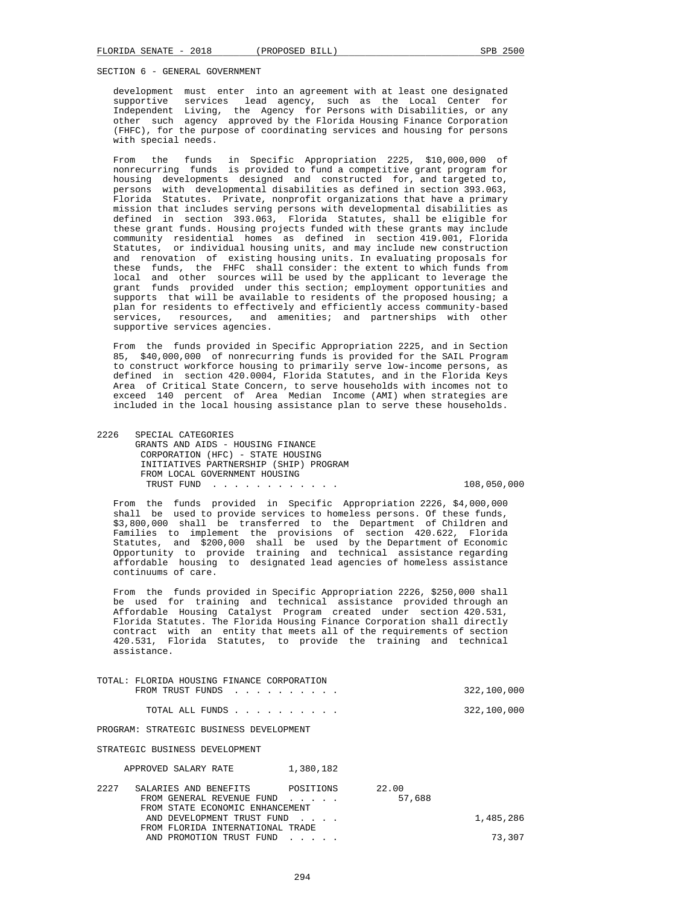development must enter into an agreement with at least one designated<br>supportive services lead agency, such as the Local Center for services lead agency, such as the Local Center for Independent Living, the Agency for Persons with Disabilities, or any other such agency approved by the Florida Housing Finance Corporation (FHFC), for the purpose of coordinating services and housing for persons with special needs.

 From the funds in Specific Appropriation 2225, \$10,000,000 of nonrecurring funds is provided to fund a competitive grant program for housing developments designed and constructed for, and targeted to, persons with developmental disabilities as defined in section 393.063, Florida Statutes. Private, nonprofit organizations that have a primary mission that includes serving persons with developmental disabilities as defined in section 393.063, Florida Statutes, shall be eligible for these grant funds. Housing projects funded with these grants may include community residential homes as defined in section 419.001, Florida Statutes, or individual housing units, and may include new construction and renovation of existing housing units. In evaluating proposals for these funds, the FHFC shall consider: the extent to which funds from local and other sources will be used by the applicant to leverage the grant funds provided under this section; employment opportunities and supports that will be available to residents of the proposed housing; a plan for residents to effectively and efficiently access community-based services, resources, and amenities; and partnerships with other supportive services agencies.

 From the funds provided in Specific Appropriation 2225, and in Section 85, \$40,000,000 of nonrecurring funds is provided for the SAIL Program to construct workforce housing to primarily serve low-income persons, as defined in section 420.0004, Florida Statutes, and in the Florida Keys Area of Critical State Concern, to serve households with incomes not to exceed 140 percent of Area Median Income (AMI) when strategies are included in the local housing assistance plan to serve these households.

 2226 SPECIAL CATEGORIES GRANTS AND AIDS - HOUSING FINANCE CORPORATION (HFC) - STATE HOUSING INITIATIVES PARTNERSHIP (SHIP) PROGRAM FROM LOCAL GOVERNMENT HOUSING TRUST FUND . . . . . . . . . . . . 108,050,000

 From the funds provided in Specific Appropriation 2226, \$4,000,000 shall be used to provide services to homeless persons. Of these funds, \$3,800,000 shall be transferred to the Department of Children and Families to implement the provisions of section 420.622, Florida Statutes, and \$200,000 shall be used by the Department of Economic Opportunity to provide training and technical assistance regarding affordable housing to designated lead agencies of homeless assistance continuums of care.

 From the funds provided in Specific Appropriation 2226, \$250,000 shall be used for training and technical assistance provided through an Affordable Housing Catalyst Program created under section 420.531, Florida Statutes. The Florida Housing Finance Corporation shall directly contract with an entity that meets all of the requirements of section 420.531, Florida Statutes, to provide the training and technical assistance.

| TOTAL: FLORIDA HOUSING FINANCE CORPORATION |             |
|--------------------------------------------|-------------|
| FROM TRUST FUNDS                           | 322,100,000 |
| TOTAL ALL FUNDS                            | 322,100,000 |
| PROGRAM: STRATEGIC BUSINESS DEVELOPMENT    |             |
| STRATEGIC BUSINESS DEVELOPMENT             |             |

APPROVED SALARY RATE 1,380.182

| 2227 | SALARIES AND BENEFITS            | POSITIONS | 22.00  |           |
|------|----------------------------------|-----------|--------|-----------|
|      | FROM GENERAL REVENUE FUND        |           | 57,688 |           |
|      | FROM STATE ECONOMIC ENHANCEMENT  |           |        |           |
|      | AND DEVELOPMENT TRUST FUND       |           |        | 1,485,286 |
|      | FROM FLORIDA INTERNATIONAL TRADE |           |        |           |
|      | AND PROMOTION TRUST FUND         |           |        | 73,307    |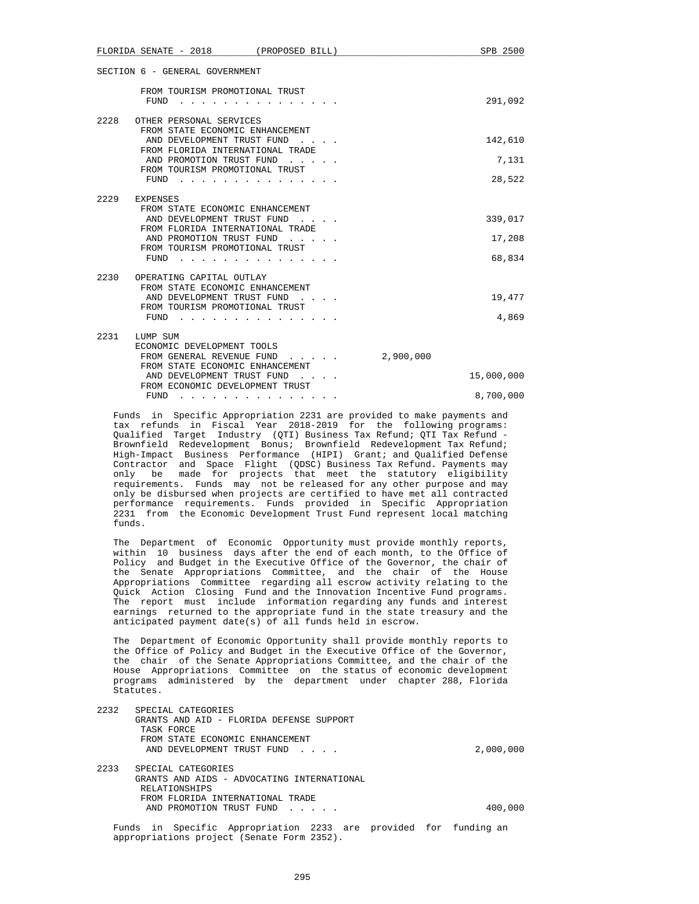| FLORIDA SENATE - 2018<br>(PROPOSED BILL)                                                       | SPB 2500   |
|------------------------------------------------------------------------------------------------|------------|
| SECTION 6 - GENERAL GOVERNMENT                                                                 |            |
| FROM TOURISM PROMOTIONAL TRUST<br>FUND                                                         | 291,092    |
| 2228<br>OTHER PERSONAL SERVICES<br>FROM STATE ECONOMIC ENHANCEMENT                             |            |
| AND DEVELOPMENT TRUST FUND                                                                     | 142,610    |
| FROM FLORIDA INTERNATIONAL TRADE<br>AND PROMOTION TRUST FUND<br>FROM TOURISM PROMOTIONAL TRUST | 7,131      |
| FUND                                                                                           | 28,522     |
| 2229<br>EXPENSES<br>FROM STATE ECONOMIC ENHANCEMENT                                            |            |
| AND DEVELOPMENT TRUST FUND<br>FROM FLORIDA INTERNATIONAL TRADE                                 | 339,017    |
| AND PROMOTION TRUST FUND<br>FROM TOURISM PROMOTIONAL TRUST                                     | 17,208     |
| FUND                                                                                           | 68,834     |
| 2230<br>OPERATING CAPITAL OUTLAY<br>FROM STATE ECONOMIC ENHANCEMENT                            |            |
| AND DEVELOPMENT TRUST FUND<br>FROM TOURISM PROMOTIONAL TRUST                                   | 19,477     |
| FUND                                                                                           | 4,869      |
| 2231<br>LUMP SUM<br>ECONOMIC DEVELOPMENT TOOLS                                                 |            |
| FROM GENERAL REVENUE FUND<br>2,900,000<br>FROM STATE ECONOMIC ENHANCEMENT                      |            |
| AND DEVELOPMENT TRUST FUND<br>FROM ECONOMIC DEVELOPMENT TRUST                                  | 15,000,000 |
| FUND                                                                                           | 8,700,000  |

 Funds in Specific Appropriation 2231 are provided to make payments and tax refunds in Fiscal Year 2018-2019 for the following programs: Qualified Target Industry (QTI) Business Tax Refund; QTI Tax Refund - Brownfield Redevelopment Bonus; Brownfield Redevelopment Tax Refund; High-Impact Business Performance (HIPI) Grant; and Qualified Defense Contractor and Space Flight (QDSC) Business Tax Refund. Payments may only be made for projects that meet the statutory eligibility requirements. Funds may not be released for any other purpose and may only be disbursed when projects are certified to have met all contracted performance requirements. Funds provided in Specific Appropriation 2231 from the Economic Development Trust Fund represent local matching funds.

 The Department of Economic Opportunity must provide monthly reports, within 10 business days after the end of each month, to the Office of Policy and Budget in the Executive Office of the Governor, the chair of the Senate Appropriations Committee, and the chair of the House Appropriations Committee regarding all escrow activity relating to the Quick Action Closing Fund and the Innovation Incentive Fund programs. The report must include information regarding any funds and interest earnings returned to the appropriate fund in the state treasury and the anticipated payment date(s) of all funds held in escrow.

 The Department of Economic Opportunity shall provide monthly reports to the Office of Policy and Budget in the Executive Office of the Governor, the chair of the Senate Appropriations Committee, and the chair of the House Appropriations Committee on the status of economic development programs administered by the department under chapter 288, Florida Statutes.

| 2232  | SPECIAL CATEGORIES                                         |           |
|-------|------------------------------------------------------------|-----------|
|       | GRANTS AND AID - FLORIDA DEFENSE SUPPORT                   |           |
|       | TASK FORCE                                                 |           |
|       | FROM STATE ECONOMIC ENHANCEMENT                            |           |
|       | AND DEVELOPMENT TRUST FUND                                 | 2,000,000 |
| 2233  | SPECIAL CATEGORIES                                         |           |
|       | GRANTS AND AIDS - ADVOCATING INTERNATIONAL                 |           |
|       | RELATIONSHIPS                                              |           |
|       | FROM FLORIDA INTERNATIONAL TRADE                           |           |
|       | AND PROMOTION TRUST FUND                                   | 400,000   |
| Funds | in Specific Appropriation 2233 are provided for funding an |           |
|       |                                                            |           |

appropriations project (Senate Form 2352).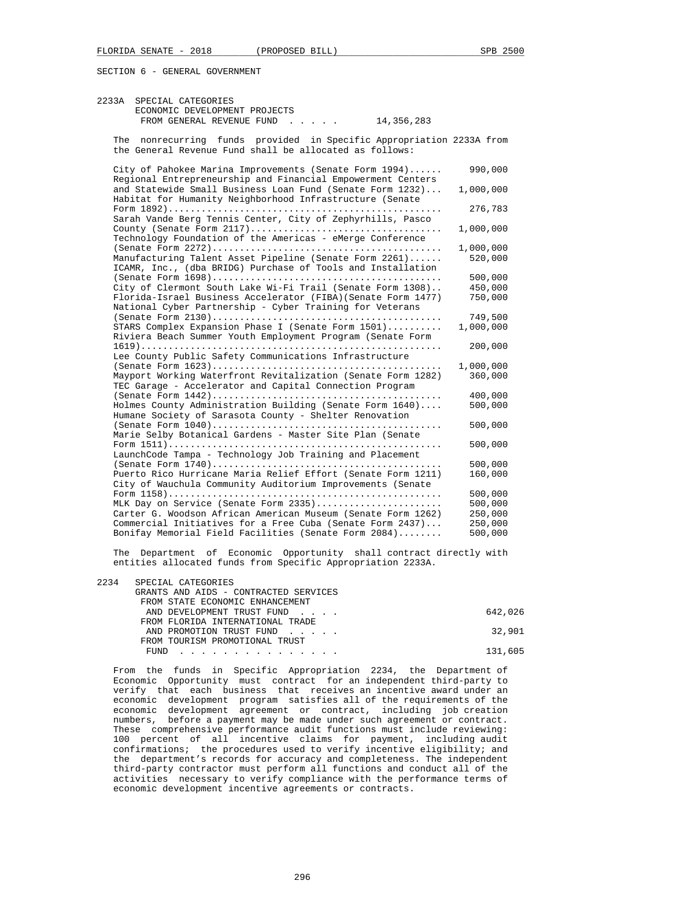| 2233A | SPECIAL CATEGORIES<br>ECONOMIC DEVELOPMENT PROJECTS<br>FROM GENERAL REVENUE FUND<br>14,356,283                                                                                          |                      |
|-------|-----------------------------------------------------------------------------------------------------------------------------------------------------------------------------------------|----------------------|
|       | The nonrecurring funds provided in Specific Appropriation 2233A from<br>the General Revenue Fund shall be allocated as follows:                                                         |                      |
|       | City of Pahokee Marina Improvements (Senate Form 1994)<br>Regional Entrepreneurship and Financial Empowerment Centers                                                                   | 990,000              |
|       | and Statewide Small Business Loan Fund (Senate Form 1232)<br>Habitat for Humanity Neighborhood Infrastructure (Senate                                                                   | 1,000,000            |
|       | Sarah Vande Berg Tennis Center, City of Zephyrhills, Pasco                                                                                                                              | 276,783              |
|       | Technology Foundation of the Americas - eMerge Conference                                                                                                                               | 1,000,000            |
|       | Manufacturing Talent Asset Pipeline (Senate Form 2261)<br>ICAMR, Inc., (dba BRIDG) Purchase of Tools and Installation                                                                   | 1,000,000<br>520,000 |
|       |                                                                                                                                                                                         | 500,000              |
|       | City of Clermont South Lake Wi-Fi Trail (Senate Form 1308)<br>Florida-Israel Business Accelerator (FIBA) (Senate Form 1477)<br>National Cyber Partnership - Cyber Training for Veterans | 450,000<br>750,000   |
|       |                                                                                                                                                                                         | 749,500              |
|       | STARS Complex Expansion Phase I (Senate Form 1501)<br>Riviera Beach Summer Youth Employment Program (Senate Form                                                                        | 1,000,000            |
|       | Lee County Public Safety Communications Infrastructure                                                                                                                                  | 200,000              |
|       |                                                                                                                                                                                         | 1,000,000            |
|       | Mayport Working Waterfront Revitalization (Senate Form 1282)<br>TEC Garage - Accelerator and Capital Connection Program                                                                 | 360,000              |
|       |                                                                                                                                                                                         | 400,000              |
|       | Holmes County Administration Building (Senate Form 1640)<br>Humane Society of Sarasota County - Shelter Renovation                                                                      | 500,000              |
|       | Marie Selby Botanical Gardens - Master Site Plan (Senate                                                                                                                                | 500,000              |
|       | LaunchCode Tampa - Technology Job Training and Placement                                                                                                                                | 500,000              |
|       |                                                                                                                                                                                         | 500,000              |
|       | Puerto Rico Hurricane Maria Relief Effort (Senate Form 1211)<br>City of Wauchula Community Auditorium Improvements (Senate                                                              | 160,000              |
|       |                                                                                                                                                                                         | 500,000              |
|       | MLK Day on Service (Senate Form 2335)                                                                                                                                                   | 500,000              |
|       | Carter G. Woodson African American Museum (Senate Form 1262)                                                                                                                            | 250,000              |
|       | Commercial Initiatives for a Free Cuba (Senate Form 2437)                                                                                                                               | 250,000              |
|       | Bonifay Memorial Field Facilities (Senate Form 2084)                                                                                                                                    | 500,000              |

 The Department of Economic Opportunity shall contract directly with entities allocated funds from Specific Appropriation 2233A.

| 2234 | SPECIAL CATEGORIES<br>GRANTS AND AIDS - CONTRACTED SERVICES<br>FROM STATE ECONOMIC ENHANCEMENT |         |
|------|------------------------------------------------------------------------------------------------|---------|
|      | AND DEVELOPMENT TRUST FUND                                                                     | 642,026 |
|      | FROM FLORIDA INTERNATIONAL TRADE<br>AND PROMOTION TRUST FUND                                   | 32,901  |
|      | FROM TOURISM PROMOTIONAL TRUST<br>FUND<br>.                                                    | 131,605 |

 From the funds in Specific Appropriation 2234, the Department of Economic Opportunity must contract for an independent third-party to verify that each business that receives an incentive award under an economic development program satisfies all of the requirements of the economic development agreement or contract, including job creation numbers, before a payment may be made under such agreement or contract. These comprehensive performance audit functions must include reviewing: 100 percent of all incentive claims for payment, including audit confirmations; the procedures used to verify incentive eligibility; and the department's records for accuracy and completeness. The independent third-party contractor must perform all functions and conduct all of the activities necessary to verify compliance with the performance terms of economic development incentive agreements or contracts.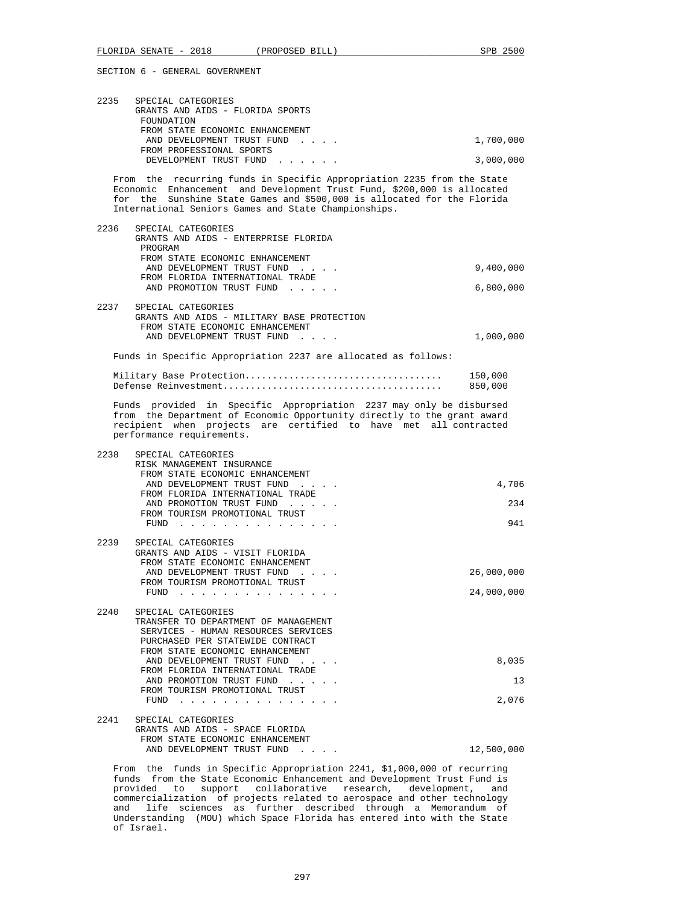| 2235 | SPECIAL CATEGORIES<br>GRANTS AND AIDS - FLORIDA SPORTS<br>FOUNDATION<br>FROM STATE ECONOMIC ENHANCEMENT                                                                                                                                                                                                  |                    |
|------|----------------------------------------------------------------------------------------------------------------------------------------------------------------------------------------------------------------------------------------------------------------------------------------------------------|--------------------|
|      | AND DEVELOPMENT TRUST FUND                                                                                                                                                                                                                                                                               | 1,700,000          |
|      | FROM PROFESSIONAL SPORTS<br>DEVELOPMENT TRUST FUND                                                                                                                                                                                                                                                       | 3,000,000          |
|      | From the recurring funds in Specific Appropriation 2235 from the State<br>Economic Enhancement and Development Trust Fund, \$200,000 is allocated<br>for the Sunshine State Games and \$500,000 is allocated for the Florida<br>International Seniors Games and State Championships.                     |                    |
| 2236 | SPECIAL CATEGORIES<br>GRANTS AND AIDS - ENTERPRISE FLORIDA<br>PROGRAM<br>FROM STATE ECONOMIC ENHANCEMENT                                                                                                                                                                                                 |                    |
|      | AND DEVELOPMENT TRUST FUND<br>FROM FLORIDA INTERNATIONAL TRADE                                                                                                                                                                                                                                           | 9,400,000          |
|      | AND PROMOTION TRUST FUND                                                                                                                                                                                                                                                                                 | 6,800,000          |
| 2237 | SPECIAL CATEGORIES<br>GRANTS AND AIDS - MILITARY BASE PROTECTION<br>FROM STATE ECONOMIC ENHANCEMENT<br>AND DEVELOPMENT TRUST FUND                                                                                                                                                                        | 1,000,000          |
|      |                                                                                                                                                                                                                                                                                                          |                    |
|      | Funds in Specific Appropriation 2237 are allocated as follows:                                                                                                                                                                                                                                           |                    |
|      |                                                                                                                                                                                                                                                                                                          | 150,000<br>850,000 |
|      | Funds provided in Specific Appropriation 2237 may only be disbursed<br>from the Department of Economic Opportunity directly to the grant award<br>recipient when projects are certified to have met all contracted<br>performance requirements.                                                          |                    |
| 2238 | SPECIAL CATEGORIES<br>RISK MANAGEMENT INSURANCE<br>FROM STATE ECONOMIC ENHANCEMENT                                                                                                                                                                                                                       |                    |
|      | AND DEVELOPMENT TRUST FUND<br>FROM FLORIDA INTERNATIONAL TRADE                                                                                                                                                                                                                                           | 4,706              |
|      | AND PROMOTION TRUST FUND                                                                                                                                                                                                                                                                                 | 234                |
|      | FROM TOURISM PROMOTIONAL TRUST<br>$FUND$                                                                                                                                                                                                                                                                 | 941                |
| 2239 | SPECIAL CATEGORIES<br>GRANTS AND AIDS - VISIT FLORIDA<br>FROM STATE ECONOMIC ENHANCEMENT                                                                                                                                                                                                                 |                    |
|      | AND DEVELOPMENT TRUST FUND<br>$\mathcal{L}(\mathcal{L}^{\mathcal{L}}(\mathcal{L}^{\mathcal{L}}(\mathcal{L}^{\mathcal{L}}(\mathcal{L}^{\mathcal{L}})))$<br>FROM TOURISM PROMOTIONAL TRUST                                                                                                                 | 26,000,000         |
|      | FUND $\cdots$                                                                                                                                                                                                                                                                                            | 24,000,000         |
| 2240 | SPECIAL CATEGORIES<br>TRANSFER TO DEPARTMENT OF MANAGEMENT<br>SERVICES - HUMAN RESOURCES SERVICES<br>PURCHASED PER STATEWIDE CONTRACT<br>FROM STATE ECONOMIC ENHANCEMENT<br>AND DEVELOPMENT TRUST FUND<br>FROM FLORIDA INTERNATIONAL TRADE<br>AND PROMOTION TRUST FUND<br>FROM TOURISM PROMOTIONAL TRUST | 8,035<br>13        |
|      | FUND<br>$\begin{array}{cccccccccccccc} \bullet & \bullet & \bullet & \bullet & \bullet & \bullet & \bullet & \bullet & \bullet & \bullet & \bullet \end{array}$                                                                                                                                          | 2,076              |
| 2241 | SPECIAL CATEGORIES<br>GRANTS AND AIDS - SPACE FLORIDA<br>FROM STATE ECONOMIC ENHANCEMENT                                                                                                                                                                                                                 |                    |
|      | AND DEVELOPMENT TRUST FUND                                                                                                                                                                                                                                                                               | 12,500,000         |

 From the funds in Specific Appropriation 2241, \$1,000,000 of recurring funds from the State Economic Enhancement and Development Trust Fund is provided to support collaborative research, development, and commercialization of projects related to aerospace and other technology and life sciences as further described through a Memorandum of Understanding (MOU) which Space Florida has entered into with the State of Israel.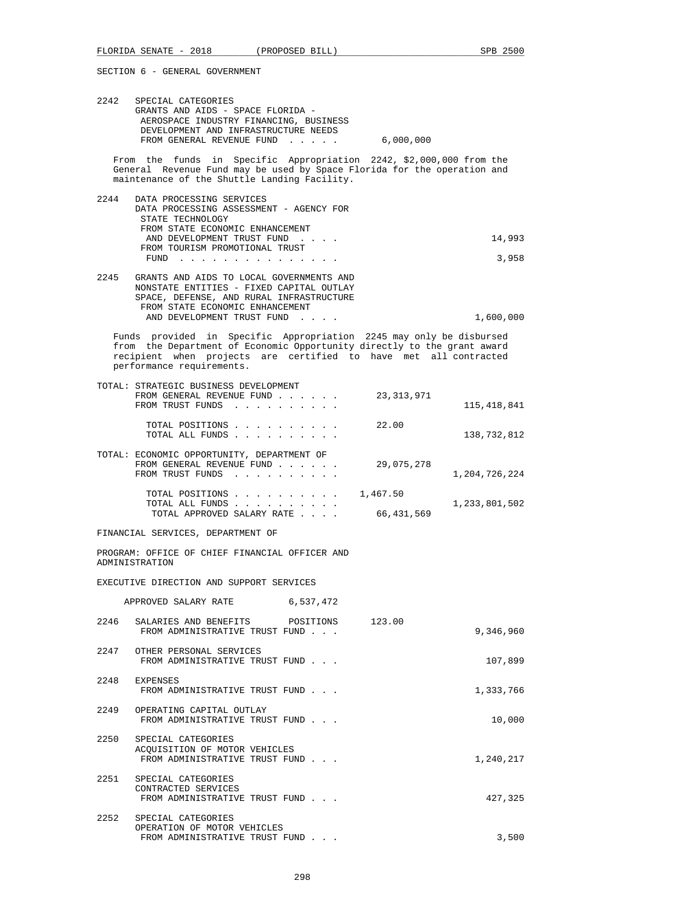| 2242 | SPECIAL CATEGORIES<br>GRANTS AND AIDS - SPACE FLORIDA -<br>AEROSPACE INDUSTRY FINANCING, BUSINESS<br>DEVELOPMENT AND INFRASTRUCTURE NEEDS<br>FROM GENERAL REVENUE FUND<br>$\mathbf{r}$ , and $\mathbf{r}$ , and $\mathbf{r}$                    | 6,000,000              |                    |
|------|-------------------------------------------------------------------------------------------------------------------------------------------------------------------------------------------------------------------------------------------------|------------------------|--------------------|
|      | From the funds in Specific Appropriation 2242, \$2,000,000 from the<br>General Revenue Fund may be used by Space Florida for the operation and<br>maintenance of the Shuttle Landing Facility.                                                  |                        |                    |
| 2244 | DATA PROCESSING SERVICES<br>DATA PROCESSING ASSESSMENT - AGENCY FOR<br>STATE TECHNOLOGY<br>FROM STATE ECONOMIC ENHANCEMENT<br>AND DEVELOPMENT TRUST FUND<br>FROM TOURISM PROMOTIONAL TRUST                                                      |                        | 14,993             |
|      | FUND $\cdots$<br>2245 GRANTS AND AIDS TO LOCAL GOVERNMENTS AND<br>NONSTATE ENTITIES - FIXED CAPITAL OUTLAY<br>SPACE, DEFENSE, AND RURAL INFRASTRUCTURE<br>FROM STATE ECONOMIC ENHANCEMENT<br>AND DEVELOPMENT TRUST FUND                         |                        | 3,958<br>1,600,000 |
|      | Funds provided in Specific Appropriation 2245 may only be disbursed<br>from the Department of Economic Opportunity directly to the grant award<br>recipient when projects are certified to have met all contracted<br>performance requirements. |                        |                    |
|      | TOTAL: STRATEGIC BUSINESS DEVELOPMENT<br>FROM GENERAL REVENUE FUND<br>FROM TRUST FUNDS                                                                                                                                                          | 23, 313, 971           | 115,418,841        |
|      | TOTAL POSITIONS<br>TOTAL ALL FUNDS                                                                                                                                                                                                              | 22.00                  | 138,732,812        |
|      | TOTAL: ECONOMIC OPPORTUNITY, DEPARTMENT OF<br>FROM GENERAL REVENUE FUND<br>FROM TRUST FUNDS                                                                                                                                                     | 29,075,278             | 1,204,726,224      |
|      | TOTAL POSITIONS<br>TOTAL ALL FUNDS<br>TOTAL APPROVED SALARY RATE                                                                                                                                                                                | 1,467.50<br>66,431,569 | 1,233,801,502      |
|      | FINANCIAL SERVICES, DEPARTMENT OF                                                                                                                                                                                                               |                        |                    |
|      | PROGRAM: OFFICE OF CHIEF FINANCIAL OFFICER AND<br>ADMINISTRATION                                                                                                                                                                                |                        |                    |
|      | EXECUTIVE DIRECTION AND SUPPORT SERVICES                                                                                                                                                                                                        |                        |                    |
|      | 6,537,472<br>APPROVED SALARY RATE                                                                                                                                                                                                               |                        |                    |
| 2246 | SALARIES AND BENEFITS<br>POSITIONS<br>FROM ADMINISTRATIVE TRUST FUND                                                                                                                                                                            | 123.00                 | 9,346,960          |
|      | 2247 OTHER PERSONAL SERVICES<br>FROM ADMINISTRATIVE TRUST FUND                                                                                                                                                                                  |                        | 107,899            |
|      | 2248 EXPENSES<br>FROM ADMINISTRATIVE TRUST FUND                                                                                                                                                                                                 |                        | 1,333,766          |
|      | 2249 OPERATING CAPITAL OUTLAY<br>FROM ADMINISTRATIVE TRUST FUND                                                                                                                                                                                 |                        | 10,000             |
| 2250 | SPECIAL CATEGORIES<br>ACQUISITION OF MOTOR VEHICLES<br>FROM ADMINISTRATIVE TRUST FUND                                                                                                                                                           |                        | 1,240,217          |
|      | 2251 SPECIAL CATEGORIES<br>CONTRACTED SERVICES<br>FROM ADMINISTRATIVE TRUST FUND                                                                                                                                                                |                        | 427,325            |
|      | 2252 SPECIAL CATEGORIES<br>OPERATION OF MOTOR VEHICLES                                                                                                                                                                                          |                        |                    |

FROM ADMINISTRATIVE TRUST FUND . . .  $\hspace{2cm} 3,500$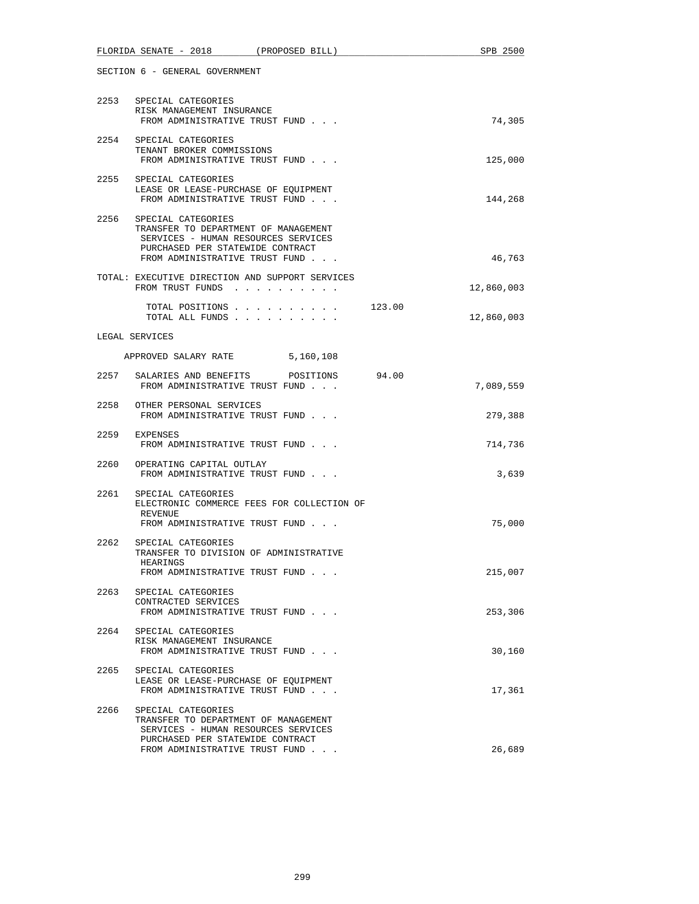|      | FLORIDA SENATE - 2018 (PROPOSED BILL)                                                                                                                                        |                        | SPB 2500   |
|------|------------------------------------------------------------------------------------------------------------------------------------------------------------------------------|------------------------|------------|
|      | SECTION 6 - GENERAL GOVERNMENT                                                                                                                                               |                        |            |
|      | 2253 SPECIAL CATEGORIES<br>RISK MANAGEMENT INSURANCE<br>FROM ADMINISTRATIVE TRUST FUND                                                                                       |                        | 74,305     |
|      | 2254 SPECIAL CATEGORIES<br>TENANT BROKER COMMISSIONS<br>FROM ADMINISTRATIVE TRUST FUND                                                                                       |                        | 125,000    |
| 2255 | SPECIAL CATEGORIES<br>LEASE OR LEASE-PURCHASE OF EQUIPMENT<br>FROM ADMINISTRATIVE TRUST FUND                                                                                 |                        | 144,268    |
|      | 2256 SPECIAL CATEGORIES<br>TRANSFER TO DEPARTMENT OF MANAGEMENT<br>SERVICES - HUMAN RESOURCES SERVICES<br>PURCHASED PER STATEWIDE CONTRACT<br>FROM ADMINISTRATIVE TRUST FUND |                        | 46,763     |
|      | TOTAL: EXECUTIVE DIRECTION AND SUPPORT SERVICES<br>FROM TRUST FUNDS                                                                                                          |                        | 12,860,003 |
|      | TOTAL ALL FUNDS                                                                                                                                                              | TOTAL POSITIONS 123.00 | 12,860,003 |
|      | LEGAL SERVICES                                                                                                                                                               |                        |            |
|      | APPROVED SALARY RATE 5,160,108                                                                                                                                               |                        |            |
|      | 2257 SALARIES AND BENEFITS POSITIONS 94.00<br>FROM ADMINISTRATIVE TRUST FUND                                                                                                 |                        | 7,089,559  |
|      | 2258 OTHER PERSONAL SERVICES<br>FROM ADMINISTRATIVE TRUST FUND                                                                                                               |                        | 279,388    |
| 2259 | EXPENSES<br>FROM ADMINISTRATIVE TRUST FUND                                                                                                                                   |                        | 714,736    |
| 2260 | OPERATING CAPITAL OUTLAY<br>FROM ADMINISTRATIVE TRUST FUND                                                                                                                   |                        | 3,639      |
| 2261 | SPECIAL CATEGORIES<br>ELECTRONIC COMMERCE FEES FOR COLLECTION OF<br>REVENUE<br>FROM ADMINISTRATIVE TRUST FUND                                                                |                        | 75,000     |
| 2262 | SPECIAL CATEGORIES<br>TRANSFER TO DIVISION OF ADMINISTRATIVE<br>HEARINGS                                                                                                     |                        |            |
| 2263 | FROM ADMINISTRATIVE TRUST FUND<br>SPECIAL CATEGORIES                                                                                                                         |                        | 215,007    |
|      | CONTRACTED SERVICES<br>FROM ADMINISTRATIVE TRUST FUND                                                                                                                        |                        | 253,306    |
| 2264 | SPECIAL CATEGORIES<br>RISK MANAGEMENT INSURANCE<br>FROM ADMINISTRATIVE TRUST FUND                                                                                            |                        | 30,160     |
| 2265 | SPECIAL CATEGORIES<br>LEASE OR LEASE-PURCHASE OF EQUIPMENT<br>FROM ADMINISTRATIVE TRUST FUND                                                                                 |                        | 17,361     |
| 2266 | SPECIAL CATEGORIES<br>TRANSFER TO DEPARTMENT OF MANAGEMENT<br>SERVICES - HUMAN RESOURCES SERVICES<br>PURCHASED PER STATEWIDE CONTRACT<br>FROM ADMINISTRATIVE TRUST FUND      |                        | 26,689     |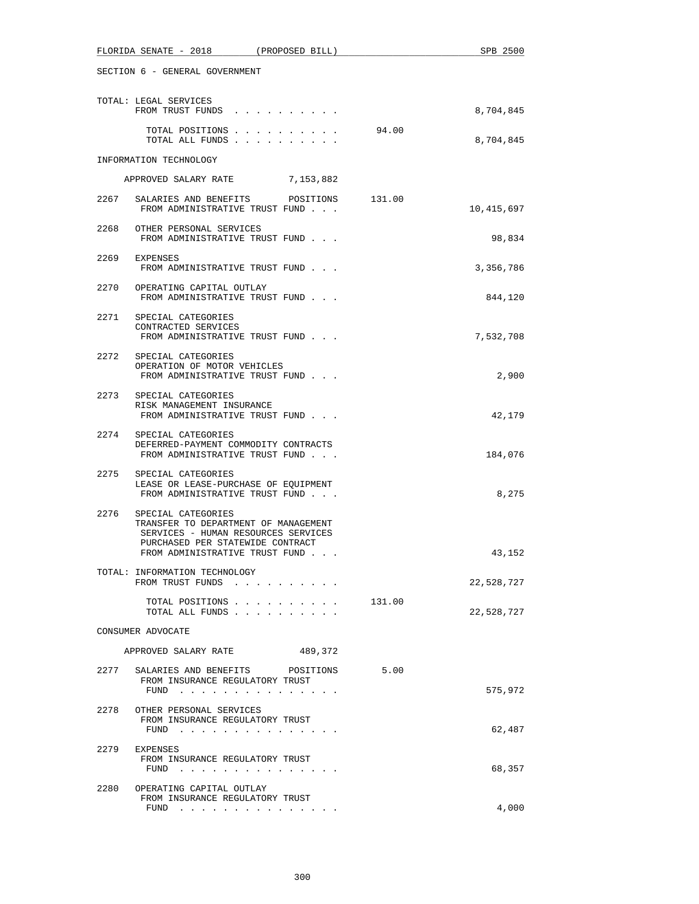|      | FLORIDA SENATE - 2018<br>(PROPOSED BILL)                                                                                                                                |        | SPB 2500   |
|------|-------------------------------------------------------------------------------------------------------------------------------------------------------------------------|--------|------------|
|      | SECTION 6 - GENERAL GOVERNMENT                                                                                                                                          |        |            |
|      | TOTAL: LEGAL SERVICES<br>FROM TRUST FUNDS                                                                                                                               |        | 8,704,845  |
|      | TOTAL POSITIONS<br>TOTAL ALL FUNDS                                                                                                                                      | 94.00  | 8,704,845  |
|      | INFORMATION TECHNOLOGY                                                                                                                                                  |        |            |
|      | APPROVED SALARY RATE 7,153,882                                                                                                                                          |        |            |
| 2267 | SALARIES AND BENEFITS POSITIONS 131.00<br>FROM ADMINISTRATIVE TRUST FUND                                                                                                |        | 10,415,697 |
|      | 2268 OTHER PERSONAL SERVICES<br>FROM ADMINISTRATIVE TRUST FUND                                                                                                          |        | 98,834     |
| 2269 | EXPENSES<br>FROM ADMINISTRATIVE TRUST FUND                                                                                                                              |        | 3,356,786  |
| 2270 | OPERATING CAPITAL OUTLAY<br>FROM ADMINISTRATIVE TRUST FUND                                                                                                              |        | 844,120    |
|      | 2271 SPECIAL CATEGORIES<br>CONTRACTED SERVICES<br>FROM ADMINISTRATIVE TRUST FUND                                                                                        |        | 7,532,708  |
|      | 2272 SPECIAL CATEGORIES<br>OPERATION OF MOTOR VEHICLES<br>FROM ADMINISTRATIVE TRUST FUND                                                                                |        | 2,900      |
|      | 2273 SPECIAL CATEGORIES<br>RISK MANAGEMENT INSURANCE<br>FROM ADMINISTRATIVE TRUST FUND                                                                                  |        | 42,179     |
|      | 2274 SPECIAL CATEGORIES<br>DEFERRED-PAYMENT COMMODITY CONTRACTS<br>FROM ADMINISTRATIVE TRUST FUND                                                                       |        | 184,076    |
|      | 2275 SPECIAL CATEGORIES<br>LEASE OR LEASE-PURCHASE OF EQUIPMENT<br>FROM ADMINISTRATIVE TRUST FUND                                                                       |        | 8,275      |
| 2276 | SPECIAL CATEGORIES<br>TRANSFER TO DEPARTMENT OF MANAGEMENT<br>SERVICES - HUMAN RESOURCES SERVICES<br>PURCHASED PER STATEWIDE CONTRACT<br>FROM ADMINISTRATIVE TRUST FUND |        | 43,152     |
|      | TOTAL: INFORMATION TECHNOLOGY<br>FROM TRUST FUNDS                                                                                                                       |        | 22,528,727 |
|      | TOTAL POSITIONS<br>TOTAL ALL FUNDS                                                                                                                                      | 131.00 | 22,528,727 |
|      | CONSUMER ADVOCATE                                                                                                                                                       |        |            |
|      | APPROVED SALARY RATE<br>489,372                                                                                                                                         |        |            |
| 2277 | SALARIES AND BENEFITS POSITIONS<br>FROM INSURANCE REGULATORY TRUST<br>FUND $\cdots$                                                                                     | 5.00   | 575,972    |
| 2278 | OTHER PERSONAL SERVICES<br>FROM INSURANCE REGULATORY TRUST                                                                                                              |        |            |
|      | FUND $\cdots$                                                                                                                                                           |        | 62,487     |
|      | 2279 EXPENSES<br>FROM INSURANCE REGULATORY TRUST<br>FUND $\cdots$                                                                                                       |        | 68,357     |
| 2280 | OPERATING CAPITAL OUTLAY<br>FROM INSURANCE REGULATORY TRUST<br>FUND                                                                                                     |        | 4,000      |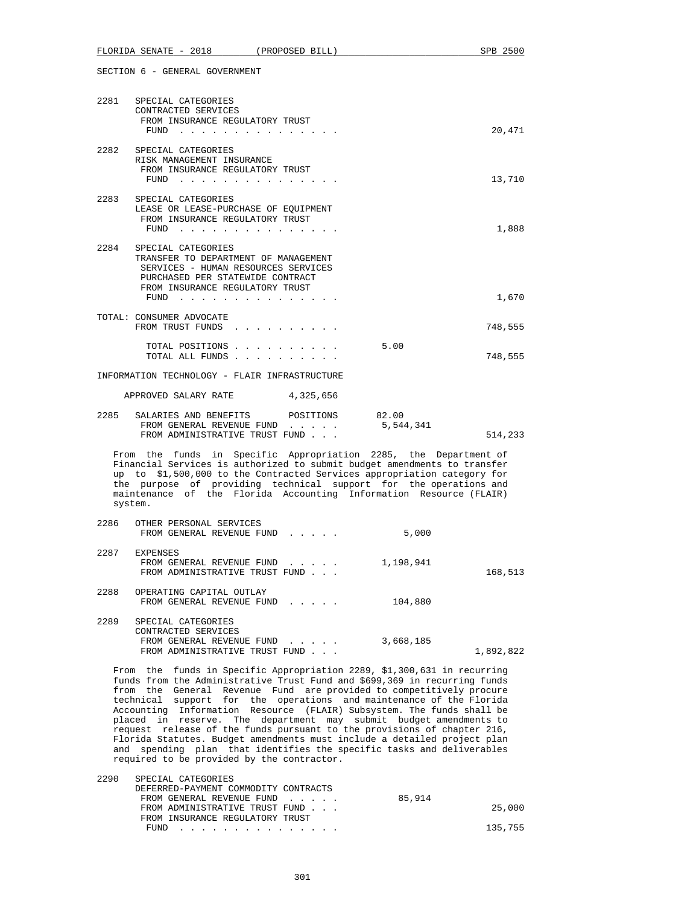|                                                                                                                                                                                                                                                                                                                                                                                                                                                                                                                                                                                                                                                                                                                                   | FLORIDA SENATE - 2018                                                                                                                                                                                                                                                                            | (PROPOSED BILL) |           | SPB 2500  |
|-----------------------------------------------------------------------------------------------------------------------------------------------------------------------------------------------------------------------------------------------------------------------------------------------------------------------------------------------------------------------------------------------------------------------------------------------------------------------------------------------------------------------------------------------------------------------------------------------------------------------------------------------------------------------------------------------------------------------------------|--------------------------------------------------------------------------------------------------------------------------------------------------------------------------------------------------------------------------------------------------------------------------------------------------|-----------------|-----------|-----------|
|                                                                                                                                                                                                                                                                                                                                                                                                                                                                                                                                                                                                                                                                                                                                   | SECTION 6 - GENERAL GOVERNMENT                                                                                                                                                                                                                                                                   |                 |           |           |
|                                                                                                                                                                                                                                                                                                                                                                                                                                                                                                                                                                                                                                                                                                                                   | 2281 SPECIAL CATEGORIES<br>CONTRACTED SERVICES<br>FROM INSURANCE REGULATORY TRUST<br>${\tt FUND} \quad . \quad . \quad . \quad . \quad . \quad . \quad . \quad . \quad . \quad . \quad . \quad . \quad .$                                                                                        |                 |           | 20,471    |
| 2282                                                                                                                                                                                                                                                                                                                                                                                                                                                                                                                                                                                                                                                                                                                              | SPECIAL CATEGORIES<br>RISK MANAGEMENT INSURANCE<br>FROM INSURANCE REGULATORY TRUST<br>FUND $\cdots$                                                                                                                                                                                              |                 |           | 13,710    |
|                                                                                                                                                                                                                                                                                                                                                                                                                                                                                                                                                                                                                                                                                                                                   | 2283 SPECIAL CATEGORIES<br>LEASE OR LEASE-PURCHASE OF EQUIPMENT<br>FROM INSURANCE REGULATORY TRUST<br>${\tt FUND} \quad . \quad . \quad . \quad . \quad . \quad . \quad . \quad . \quad . \quad . \quad . \quad . \quad .$                                                                       |                 |           | 1,888     |
| 2284                                                                                                                                                                                                                                                                                                                                                                                                                                                                                                                                                                                                                                                                                                                              | SPECIAL CATEGORIES<br>TRANSFER TO DEPARTMENT OF MANAGEMENT<br>SERVICES - HUMAN RESOURCES SERVICES<br>PURCHASED PER STATEWIDE CONTRACT<br>FROM INSURANCE REGULATORY TRUST<br>${\tt FUND} \quad . \quad . \quad . \quad . \quad . \quad . \quad . \quad . \quad . \quad . \quad . \quad . \quad .$ |                 |           | 1,670     |
|                                                                                                                                                                                                                                                                                                                                                                                                                                                                                                                                                                                                                                                                                                                                   | TOTAL: CONSUMER ADVOCATE<br>FROM TRUST FUNDS                                                                                                                                                                                                                                                     |                 |           | 748,555   |
|                                                                                                                                                                                                                                                                                                                                                                                                                                                                                                                                                                                                                                                                                                                                   | TOTAL POSITIONS<br>TOTAL ALL FUNDS                                                                                                                                                                                                                                                               |                 | 5.00      | 748,555   |
|                                                                                                                                                                                                                                                                                                                                                                                                                                                                                                                                                                                                                                                                                                                                   | INFORMATION TECHNOLOGY - FLAIR INFRASTRUCTURE                                                                                                                                                                                                                                                    |                 |           |           |
|                                                                                                                                                                                                                                                                                                                                                                                                                                                                                                                                                                                                                                                                                                                                   | APPROVED SALARY RATE                                                                                                                                                                                                                                                                             | 4,325,656       |           |           |
|                                                                                                                                                                                                                                                                                                                                                                                                                                                                                                                                                                                                                                                                                                                                   | 2285 SALARIES AND BENEFITS POSITIONS 82.00<br>FROM GENERAL REVENUE FUND<br>FROM ADMINISTRATIVE TRUST FUND                                                                                                                                                                                        |                 | 5,544,341 | 514,233   |
| From the funds in Specific Appropriation 2285, the Department of<br>Financial Services is authorized to submit budget amendments to transfer<br>up to \$1,500,000 to the Contracted Services appropriation category for<br>the purpose of providing technical support for the operations and<br>maintenance of the Florida Accounting Information Resource (FLAIR)<br>system.                                                                                                                                                                                                                                                                                                                                                     |                                                                                                                                                                                                                                                                                                  |                 |           |           |
| 2286                                                                                                                                                                                                                                                                                                                                                                                                                                                                                                                                                                                                                                                                                                                              | OTHER PERSONAL SERVICES<br>FROM GENERAL REVENUE FUND                                                                                                                                                                                                                                             |                 | 5,000     |           |
|                                                                                                                                                                                                                                                                                                                                                                                                                                                                                                                                                                                                                                                                                                                                   | 2287 EXPENSES<br>FROM GENERAL REVENUE FUND<br>FROM ADMINISTRATIVE TRUST FUND                                                                                                                                                                                                                     |                 | 1,198,941 | 168,513   |
| 2288                                                                                                                                                                                                                                                                                                                                                                                                                                                                                                                                                                                                                                                                                                                              | OPERATING CAPITAL OUTLAY<br>FROM GENERAL REVENUE FUND                                                                                                                                                                                                                                            |                 | 104,880   |           |
| 2289                                                                                                                                                                                                                                                                                                                                                                                                                                                                                                                                                                                                                                                                                                                              | SPECIAL CATEGORIES<br>CONTRACTED SERVICES<br>FROM GENERAL REVENUE FUND<br>FROM ADMINISTRATIVE TRUST FUND                                                                                                                                                                                         |                 | 3,668,185 | 1,892,822 |
| From the funds in Specific Appropriation 2289, \$1,300,631 in recurring<br>funds from the Administrative Trust Fund and \$699,369 in recurring funds<br>from the General Revenue Fund are provided to competitively procure<br>technical support for the operations and maintenance of the Florida<br>Accounting Information Resource (FLAIR) Subsystem. The funds shall be<br>placed in reserve. The department may submit budget amendments to<br>request release of the funds pursuant to the provisions of chapter 216,<br>Florida Statutes. Budget amendments must include a detailed project plan<br>spending plan that identifies the specific tasks and deliverables<br>and<br>required to be provided by the contractor. |                                                                                                                                                                                                                                                                                                  |                 |           |           |

| SPECIAL CATEGORIES                   |        |         |
|--------------------------------------|--------|---------|
| DEFERRED-PAYMENT COMMODITY CONTRACTS |        |         |
| FROM GENERAL REVENUE FUND            | 85,914 |         |
| FROM ADMINISTRATIVE TRUST FUND       |        | 25,000  |
| FROM INSURANCE REGULATORY TRUST      |        |         |
| FUND                                 |        | 135,755 |
|                                      |        |         |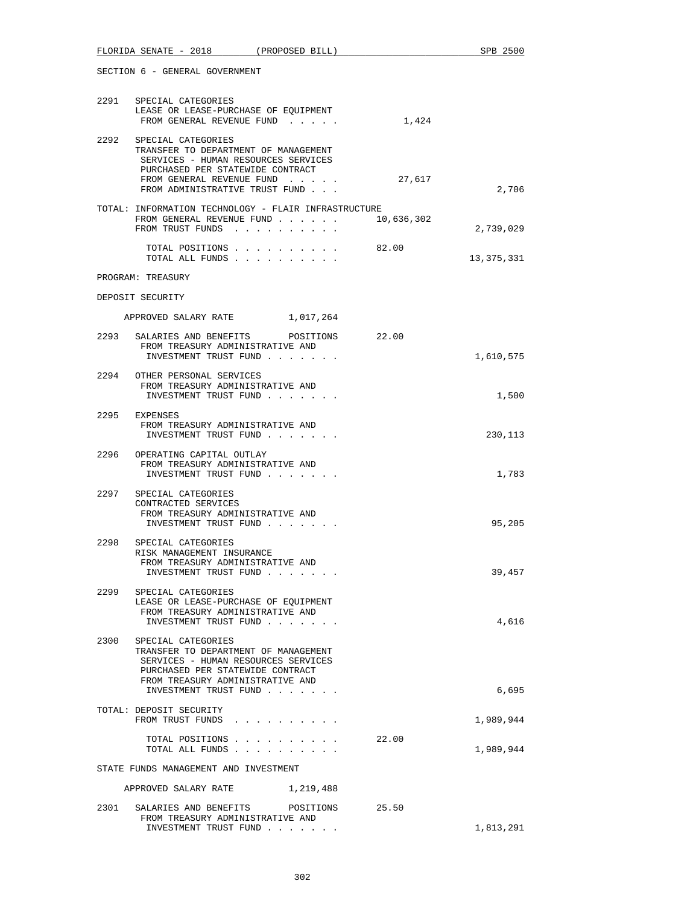| FLORIDA SENATE - 2018 (PROPOSED BILL)                                                                                                                                                                   | SPB 2500   |  |  |  |
|---------------------------------------------------------------------------------------------------------------------------------------------------------------------------------------------------------|------------|--|--|--|
| SECTION 6 - GENERAL GOVERNMENT                                                                                                                                                                          |            |  |  |  |
| 2291 SPECIAL CATEGORIES<br>LEASE OR LEASE-PURCHASE OF EQUIPMENT<br>1,424<br>FROM GENERAL REVENUE FUND                                                                                                   |            |  |  |  |
| 2292 SPECIAL CATEGORIES<br>TRANSFER TO DEPARTMENT OF MANAGEMENT<br>SERVICES - HUMAN RESOURCES SERVICES<br>PURCHASED PER STATEWIDE CONTRACT<br>FROM GENERAL REVENUE FUND<br>27,617                       |            |  |  |  |
| FROM ADMINISTRATIVE TRUST FUND<br>TOTAL: INFORMATION TECHNOLOGY - FLAIR INFRASTRUCTURE<br>10,636,302<br>FROM GENERAL REVENUE FUND                                                                       | 2,706      |  |  |  |
| FROM TRUST FUNDS                                                                                                                                                                                        | 2,739,029  |  |  |  |
| TOTAL POSITIONS<br>82.00<br>TOTAL ALL FUNDS                                                                                                                                                             | 13,375,331 |  |  |  |
| PROGRAM: TREASURY                                                                                                                                                                                       |            |  |  |  |
| DEPOSIT SECURITY                                                                                                                                                                                        |            |  |  |  |
| APPROVED SALARY RATE 1,017,264                                                                                                                                                                          |            |  |  |  |
| 2293<br>22.00<br>SALARIES AND BENEFITS<br>POSITIONS<br>FROM TREASURY ADMINISTRATIVE AND<br>INVESTMENT TRUST FUND                                                                                        | 1,610,575  |  |  |  |
| 2294<br>OTHER PERSONAL SERVICES<br>FROM TREASURY ADMINISTRATIVE AND<br>INVESTMENT TRUST FUND                                                                                                            | 1,500      |  |  |  |
| 2295 EXPENSES<br>FROM TREASURY ADMINISTRATIVE AND<br>INVESTMENT TRUST FUND                                                                                                                              | 230,113    |  |  |  |
| 2296<br>OPERATING CAPITAL OUTLAY<br>FROM TREASURY ADMINISTRATIVE AND<br>INVESTMENT TRUST FUND                                                                                                           | 1,783      |  |  |  |
| 2297<br>SPECIAL CATEGORIES<br>CONTRACTED SERVICES<br>FROM TREASURY ADMINISTRATIVE AND<br>INVESTMENT TRUST FUND                                                                                          | 95,205     |  |  |  |
| 2298<br>SPECIAL CATEGORIES<br>RISK MANAGEMENT INSURANCE<br>FROM TREASURY ADMINISTRATIVE AND                                                                                                             |            |  |  |  |
| INVESTMENT TRUST FUND<br>2299 SPECIAL CATEGORIES<br>LEASE OR LEASE-PURCHASE OF EQUIPMENT                                                                                                                | 39,457     |  |  |  |
| FROM TREASURY ADMINISTRATIVE AND<br>INVESTMENT TRUST FUND                                                                                                                                               | 4,616      |  |  |  |
| 2300 SPECIAL CATEGORIES<br>TRANSFER TO DEPARTMENT OF MANAGEMENT<br>SERVICES - HUMAN RESOURCES SERVICES<br>PURCHASED PER STATEWIDE CONTRACT<br>FROM TREASURY ADMINISTRATIVE AND<br>INVESTMENT TRUST FUND | 6,695      |  |  |  |
| TOTAL: DEPOSIT SECURITY<br>FROM TRUST FUNDS                                                                                                                                                             | 1,989,944  |  |  |  |
| 22.00<br>TOTAL POSITIONS<br>TOTAL ALL FUNDS                                                                                                                                                             | 1,989,944  |  |  |  |
| STATE FUNDS MANAGEMENT AND INVESTMENT                                                                                                                                                                   |            |  |  |  |
| APPROVED SALARY RATE 1,219,488                                                                                                                                                                          |            |  |  |  |
| 2301<br>SALARIES AND BENEFITS<br>25.50<br>POSITIONS<br>FROM TREASURY ADMINISTRATIVE AND<br>INVESTMENT TRUST FUND                                                                                        | 1,813,291  |  |  |  |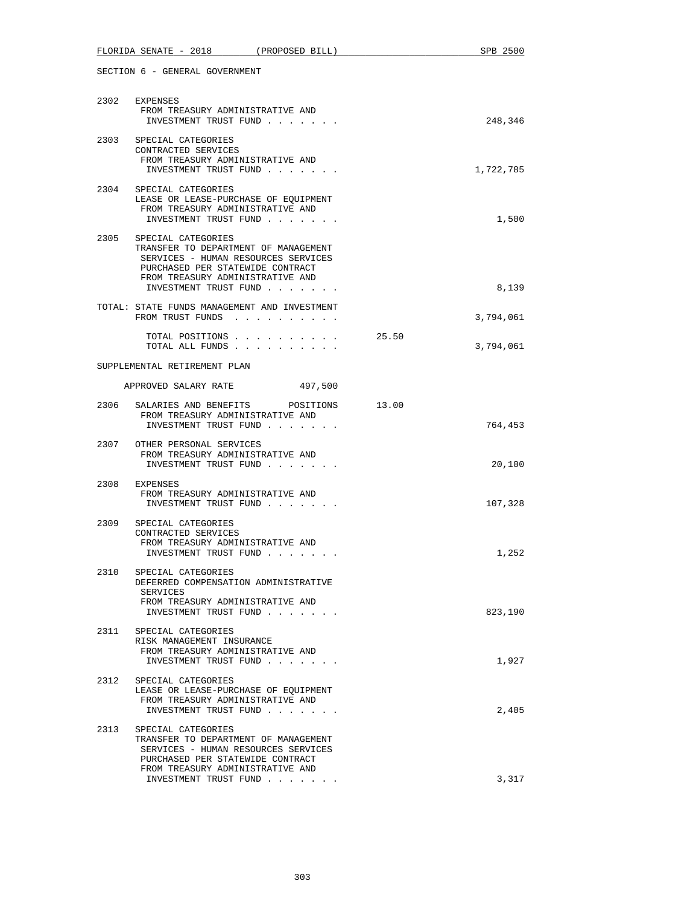|      | FLORIDA SENATE - 2018 (PROPOSED BILL)                                                                                                                                                              |       | SPB 2500  |
|------|----------------------------------------------------------------------------------------------------------------------------------------------------------------------------------------------------|-------|-----------|
|      | SECTION 6 - GENERAL GOVERNMENT                                                                                                                                                                     |       |           |
|      | 2302 EXPENSES<br>FROM TREASURY ADMINISTRATIVE AND<br>INVESTMENT TRUST FUND                                                                                                                         |       | 248,346   |
|      | 2303 SPECIAL CATEGORIES<br>CONTRACTED SERVICES<br>FROM TREASURY ADMINISTRATIVE AND<br>INVESTMENT TRUST FUND                                                                                        |       | 1,722,785 |
|      | 2304 SPECIAL CATEGORIES<br>LEASE OR LEASE-PURCHASE OF EQUIPMENT<br>FROM TREASURY ADMINISTRATIVE AND<br>INVESTMENT TRUST FUND                                                                       |       | 1,500     |
| 2305 | SPECIAL CATEGORIES<br>TRANSFER TO DEPARTMENT OF MANAGEMENT<br>SERVICES - HUMAN RESOURCES SERVICES<br>PURCHASED PER STATEWIDE CONTRACT<br>FROM TREASURY ADMINISTRATIVE AND<br>INVESTMENT TRUST FUND |       | 8,139     |
|      | TOTAL: STATE FUNDS MANAGEMENT AND INVESTMENT<br>FROM TRUST FUNDS                                                                                                                                   |       | 3,794,061 |
|      | TOTAL POSITIONS<br>TOTAL ALL FUNDS                                                                                                                                                                 | 25.50 | 3,794,061 |
|      | SUPPLEMENTAL RETIREMENT PLAN                                                                                                                                                                       |       |           |
|      | APPROVED SALARY RATE<br>497,500                                                                                                                                                                    |       |           |
| 2306 | SALARIES AND BENEFITS<br>POSITIONS<br>FROM TREASURY ADMINISTRATIVE AND<br>INVESTMENT TRUST FUND                                                                                                    | 13.00 | 764,453   |
| 2307 | OTHER PERSONAL SERVICES<br>FROM TREASURY ADMINISTRATIVE AND<br>INVESTMENT TRUST FUND                                                                                                               |       | 20,100    |
| 2308 | EXPENSES<br>FROM TREASURY ADMINISTRATIVE AND<br>INVESTMENT TRUST FUND                                                                                                                              |       | 107,328   |
| 2309 | SPECIAL CATEGORIES<br>CONTRACTED SERVICES<br>FROM TREASURY ADMINISTRATIVE AND<br>INVESTMENT TRUST FUND.                                                                                            |       | 1,252     |
|      | 2310 SPECIAL CATEGORIES<br>DEFERRED COMPENSATION ADMINISTRATIVE<br>SERVICES<br>FROM TREASURY ADMINISTRATIVE AND<br>INVESTMENT TRUST FUND                                                           |       | 823,190   |
| 2311 | SPECIAL CATEGORIES<br>RISK MANAGEMENT INSURANCE<br>FROM TREASURY ADMINISTRATIVE AND<br>INVESTMENT TRUST FUND                                                                                       |       | 1,927     |
| 2312 | SPECIAL CATEGORIES<br>LEASE OR LEASE-PURCHASE OF EQUIPMENT<br>FROM TREASURY ADMINISTRATIVE AND<br>INVESTMENT TRUST FUND                                                                            |       | 2,405     |
| 2313 | SPECIAL CATEGORIES<br>TRANSFER TO DEPARTMENT OF MANAGEMENT<br>SERVICES - HUMAN RESOURCES SERVICES<br>PURCHASED PER STATEWIDE CONTRACT<br>FROM TREASURY ADMINISTRATIVE AND                          |       |           |
|      | INVESTMENT TRUST FUND                                                                                                                                                                              |       | 3,317     |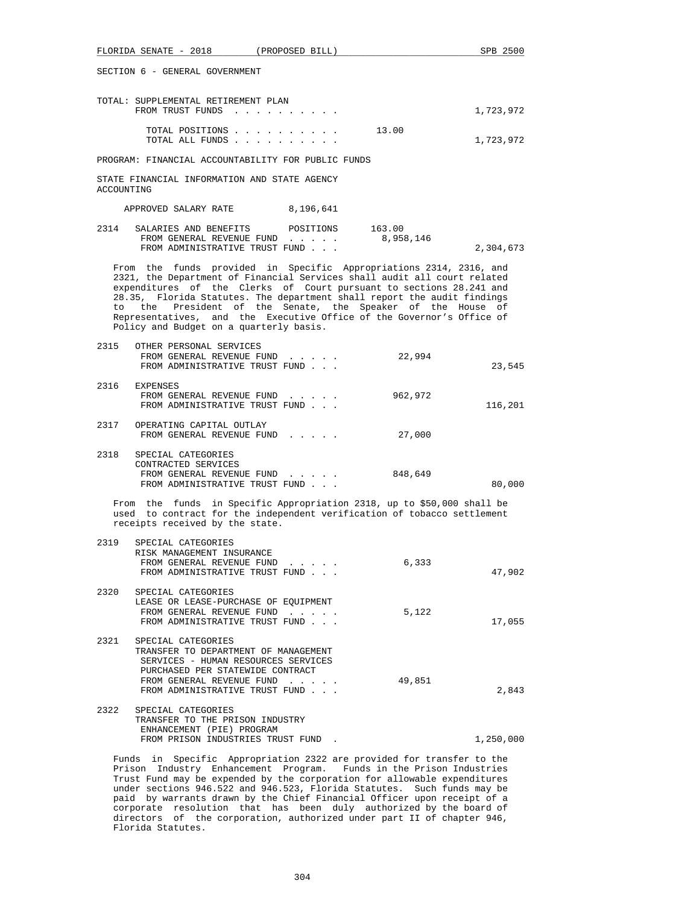|                                                                                                                                                                                                                                                                                                                                                                                                                                                                                           | FLORIDA SENATE - 2018 (PROPOSED BILL)                                                                                                                                                                |                                                              |                     | SPB 2500  |
|-------------------------------------------------------------------------------------------------------------------------------------------------------------------------------------------------------------------------------------------------------------------------------------------------------------------------------------------------------------------------------------------------------------------------------------------------------------------------------------------|------------------------------------------------------------------------------------------------------------------------------------------------------------------------------------------------------|--------------------------------------------------------------|---------------------|-----------|
| SECTION 6 - GENERAL GOVERNMENT                                                                                                                                                                                                                                                                                                                                                                                                                                                            |                                                                                                                                                                                                      |                                                              |                     |           |
|                                                                                                                                                                                                                                                                                                                                                                                                                                                                                           | TOTAL: SUPPLEMENTAL RETIREMENT PLAN<br>FROM TRUST FUNDS                                                                                                                                              |                                                              |                     | 1,723,972 |
|                                                                                                                                                                                                                                                                                                                                                                                                                                                                                           | TOTAL POSITIONS<br>TOTAL ALL FUNDS                                                                                                                                                                   |                                                              | 13.00               | 1,723,972 |
|                                                                                                                                                                                                                                                                                                                                                                                                                                                                                           | PROGRAM: FINANCIAL ACCOUNTABILITY FOR PUBLIC FUNDS                                                                                                                                                   |                                                              |                     |           |
| ACCOUNTING                                                                                                                                                                                                                                                                                                                                                                                                                                                                                | STATE FINANCIAL INFORMATION AND STATE AGENCY                                                                                                                                                         |                                                              |                     |           |
|                                                                                                                                                                                                                                                                                                                                                                                                                                                                                           | APPROVED SALARY RATE 8,196,641                                                                                                                                                                       |                                                              |                     |           |
| 2314                                                                                                                                                                                                                                                                                                                                                                                                                                                                                      | SALARIES AND BENEFITS<br>FROM GENERAL REVENUE FUND<br>FROM ADMINISTRATIVE TRUST FUND                                                                                                                 | POSITIONS                                                    | 163.00<br>8,958,146 | 2,304,673 |
| From the funds provided in Specific Appropriations 2314, 2316, and<br>2321, the Department of Financial Services shall audit all court related<br>expenditures of the Clerks of Court pursuant to sections 28.241 and<br>28.35, Florida Statutes. The department shall report the audit findings<br>President of the Senate, the Speaker of the House of<br>to<br>the<br>Representatives, and the Executive Office of the Governor's Office of<br>Policy and Budget on a quarterly basis. |                                                                                                                                                                                                      |                                                              |                     |           |
| 2315                                                                                                                                                                                                                                                                                                                                                                                                                                                                                      | OTHER PERSONAL SERVICES<br>FROM GENERAL REVENUE FUND<br>FROM ADMINISTRATIVE TRUST FUND                                                                                                               |                                                              | 22,994              | 23,545    |
|                                                                                                                                                                                                                                                                                                                                                                                                                                                                                           | 2316 EXPENSES<br>FROM GENERAL REVENUE FUND<br>FROM ADMINISTRATIVE TRUST FUND                                                                                                                         | and the state of the state of                                | 962,972             | 116,201   |
|                                                                                                                                                                                                                                                                                                                                                                                                                                                                                           | 2317 OPERATING CAPITAL OUTLAY<br>FROM GENERAL REVENUE FUND                                                                                                                                           |                                                              | 27,000              |           |
| 2318                                                                                                                                                                                                                                                                                                                                                                                                                                                                                      | SPECIAL CATEGORIES<br>CONTRACTED SERVICES<br>FROM GENERAL REVENUE FUND<br>FROM ADMINISTRATIVE TRUST FUND                                                                                             |                                                              | 848,649             | 80,000    |
|                                                                                                                                                                                                                                                                                                                                                                                                                                                                                           | From the funds in Specific Appropriation 2318, up to \$50,000 shall be<br>used to contract for the independent verification of tobacco settlement<br>receipts received by the state.                 |                                                              |                     |           |
| 2319                                                                                                                                                                                                                                                                                                                                                                                                                                                                                      | SPECIAL CATEGORIES<br>RISK MANAGEMENT INSURANCE<br>FROM GENERAL REVENUE FUND<br>FROM ADMINISTRATIVE TRUST FUND                                                                                       |                                                              | 6,333               | 47,902    |
| 2320                                                                                                                                                                                                                                                                                                                                                                                                                                                                                      | SPECIAL CATEGORIES<br>LEASE OR LEASE-PURCHASE OF EQUIPMENT<br>FROM GENERAL REVENUE FUND<br>FROM ADMINISTRATIVE TRUST FUND                                                                            |                                                              | 5,122               | 17,055    |
| 2321                                                                                                                                                                                                                                                                                                                                                                                                                                                                                      | SPECIAL CATEGORIES<br>TRANSFER TO DEPARTMENT OF MANAGEMENT<br>SERVICES - HUMAN RESOURCES SERVICES<br>PURCHASED PER STATEWIDE CONTRACT<br>FROM GENERAL REVENUE FUND<br>FROM ADMINISTRATIVE TRUST FUND |                                                              | 49,851              | 2,843     |
|                                                                                                                                                                                                                                                                                                                                                                                                                                                                                           | 2322 SPECIAL CATEGORIES<br>TRANSFER TO THE PRISON INDUSTRY<br>ENHANCEMENT (PIE) PROGRAM<br>FROM PRISON INDUSTRIES TRUST FUND.                                                                        |                                                              |                     | 1,250,000 |
|                                                                                                                                                                                                                                                                                                                                                                                                                                                                                           | Funds in<br>Prison Industry Enhancement Program. Funds in the Prison Industries                                                                                                                      | Specific Appropriation 2322 are provided for transfer to the |                     |           |

 Trust Fund may be expended by the corporation for allowable expenditures under sections 946.522 and 946.523, Florida Statutes. Such funds may be paid by warrants drawn by the Chief Financial Officer upon receipt of a corporate resolution that has been duly authorized by the board of directors of the corporation, authorized under part II of chapter 946, Florida Statutes.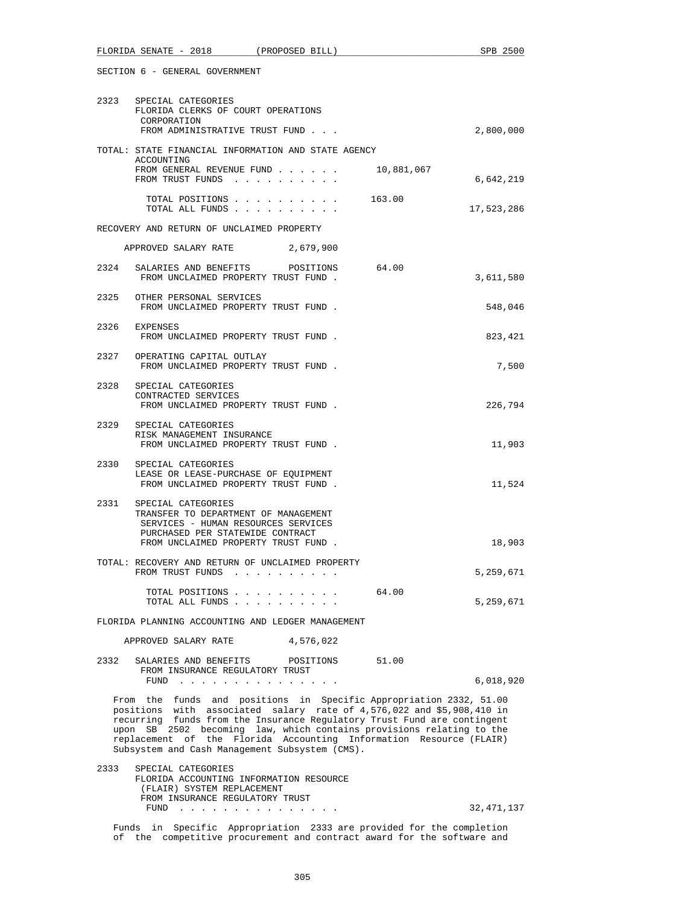| FLORIDA SENATE - 2018 (PROPOSED BILL)                                                       |                                                                                                                                                                                                                                | SPB 2500                                                                                                                                                                                                                                                                                                                                                             |  |  |
|---------------------------------------------------------------------------------------------|--------------------------------------------------------------------------------------------------------------------------------------------------------------------------------------------------------------------------------|----------------------------------------------------------------------------------------------------------------------------------------------------------------------------------------------------------------------------------------------------------------------------------------------------------------------------------------------------------------------|--|--|
| SECTION 6 - GENERAL GOVERNMENT                                                              |                                                                                                                                                                                                                                |                                                                                                                                                                                                                                                                                                                                                                      |  |  |
| 2323 SPECIAL CATEGORIES<br>FLORIDA CLERKS OF COURT OPERATIONS<br>CORPORATION                | FROM ADMINISTRATIVE TRUST FUND                                                                                                                                                                                                 | 2,800,000                                                                                                                                                                                                                                                                                                                                                            |  |  |
| TOTAL: STATE FINANCIAL INFORMATION AND STATE AGENCY                                         |                                                                                                                                                                                                                                |                                                                                                                                                                                                                                                                                                                                                                      |  |  |
| ACCOUNTING                                                                                  |                                                                                                                                                                                                                                |                                                                                                                                                                                                                                                                                                                                                                      |  |  |
|                                                                                             | FROM GENERAL REVENUE FUND 10,881,067<br>FROM TRUST FUNDS                                                                                                                                                                       | 6,642,219                                                                                                                                                                                                                                                                                                                                                            |  |  |
|                                                                                             | TOTAL POSITIONS 163.00<br>TOTAL ALL FUNDS                                                                                                                                                                                      | 17,523,286                                                                                                                                                                                                                                                                                                                                                           |  |  |
| RECOVERY AND RETURN OF UNCLAIMED PROPERTY                                                   |                                                                                                                                                                                                                                |                                                                                                                                                                                                                                                                                                                                                                      |  |  |
| APPROVED SALARY RATE 2,679,900                                                              |                                                                                                                                                                                                                                |                                                                                                                                                                                                                                                                                                                                                                      |  |  |
| 2324 SALARIES AND BENEFITS POSITIONS                                                        | FROM UNCLAIMED PROPERTY TRUST FUND.                                                                                                                                                                                            | 64.00<br>3,611,580                                                                                                                                                                                                                                                                                                                                                   |  |  |
| 2325 OTHER PERSONAL SERVICES                                                                | FROM UNCLAIMED PROPERTY TRUST FUND.                                                                                                                                                                                            | 548,046                                                                                                                                                                                                                                                                                                                                                              |  |  |
| 2326 EXPENSES                                                                               | FROM UNCLAIMED PROPERTY TRUST FUND.                                                                                                                                                                                            | 823,421                                                                                                                                                                                                                                                                                                                                                              |  |  |
| 2327 OPERATING CAPITAL OUTLAY                                                               | FROM UNCLAIMED PROPERTY TRUST FUND.                                                                                                                                                                                            | 7,500                                                                                                                                                                                                                                                                                                                                                                |  |  |
| 2328<br>SPECIAL CATEGORIES<br>CONTRACTED SERVICES                                           | FROM UNCLAIMED PROPERTY TRUST FUND.                                                                                                                                                                                            | 226,794                                                                                                                                                                                                                                                                                                                                                              |  |  |
| 2329 SPECIAL CATEGORIES<br>RISK MANAGEMENT INSURANCE                                        | FROM UNCLAIMED PROPERTY TRUST FUND.                                                                                                                                                                                            | 11,903                                                                                                                                                                                                                                                                                                                                                               |  |  |
| 2330 SPECIAL CATEGORIES                                                                     | LEASE OR LEASE-PURCHASE OF EQUIPMENT<br>FROM UNCLAIMED PROPERTY TRUST FUND.                                                                                                                                                    | 11,524                                                                                                                                                                                                                                                                                                                                                               |  |  |
| 2331<br>SPECIAL CATEGORIES<br>PURCHASED PER STATEWIDE CONTRACT                              | TRANSFER TO DEPARTMENT OF MANAGEMENT<br>SERVICES - HUMAN RESOURCES SERVICES<br>FROM UNCLAIMED PROPERTY TRUST FUND.                                                                                                             | 18,903                                                                                                                                                                                                                                                                                                                                                               |  |  |
| TOTAL: RECOVERY AND RETURN OF UNCLAIMED PROPERTY<br>FROM TRUST FUNDS                        | $\mathbf{r}$ , and $\mathbf{r}$ , and $\mathbf{r}$ , and $\mathbf{r}$ , and $\mathbf{r}$                                                                                                                                       | 5,259,671                                                                                                                                                                                                                                                                                                                                                            |  |  |
|                                                                                             | TOTAL POSITIONS<br>TOTAL ALL FUNDS                                                                                                                                                                                             | 64.00<br>5,259,671                                                                                                                                                                                                                                                                                                                                                   |  |  |
| FLORIDA PLANNING ACCOUNTING AND LEDGER MANAGEMENT                                           |                                                                                                                                                                                                                                |                                                                                                                                                                                                                                                                                                                                                                      |  |  |
| APPROVED SALARY RATE<br>4,576,022                                                           |                                                                                                                                                                                                                                |                                                                                                                                                                                                                                                                                                                                                                      |  |  |
| 2332<br>SALARIES AND BENEFITS                                                               | POSITIONS                                                                                                                                                                                                                      | 51.00                                                                                                                                                                                                                                                                                                                                                                |  |  |
| FROM INSURANCE REGULATORY TRUST<br>FUND                                                     | the contract of the contract of the contract of the contract of the contract of the contract of the contract of the contract of the contract of the contract of the contract of the contract of the contract of the contract o | 6,018,920                                                                                                                                                                                                                                                                                                                                                            |  |  |
|                                                                                             | Subsystem and Cash Management Subsystem (CMS).                                                                                                                                                                                 | From the funds and positions in Specific Appropriation 2332, 51.00<br>positions with associated salary rate of 4,576,022 and \$5,908,410 in<br>recurring funds from the Insurance Regulatory Trust Fund are contingent<br>upon SB 2502 becoming law, which contains provisions relating to the<br>replacement of the Florida Accounting Information Resource (FLAIR) |  |  |
| SPECIAL CATEGORIES<br>2333<br>(FLAIR) SYSTEM REPLACEMENT<br>FROM INSURANCE REGULATORY TRUST | FLORIDA ACCOUNTING INFORMATION RESOURCE                                                                                                                                                                                        |                                                                                                                                                                                                                                                                                                                                                                      |  |  |
|                                                                                             | FUND $\cdots$                                                                                                                                                                                                                  | 32,471,137                                                                                                                                                                                                                                                                                                                                                           |  |  |
|                                                                                             |                                                                                                                                                                                                                                | Funds in Specific Appropriation 2333 are provided for the completion                                                                                                                                                                                                                                                                                                 |  |  |

of the competitive procurement and contract award for the software and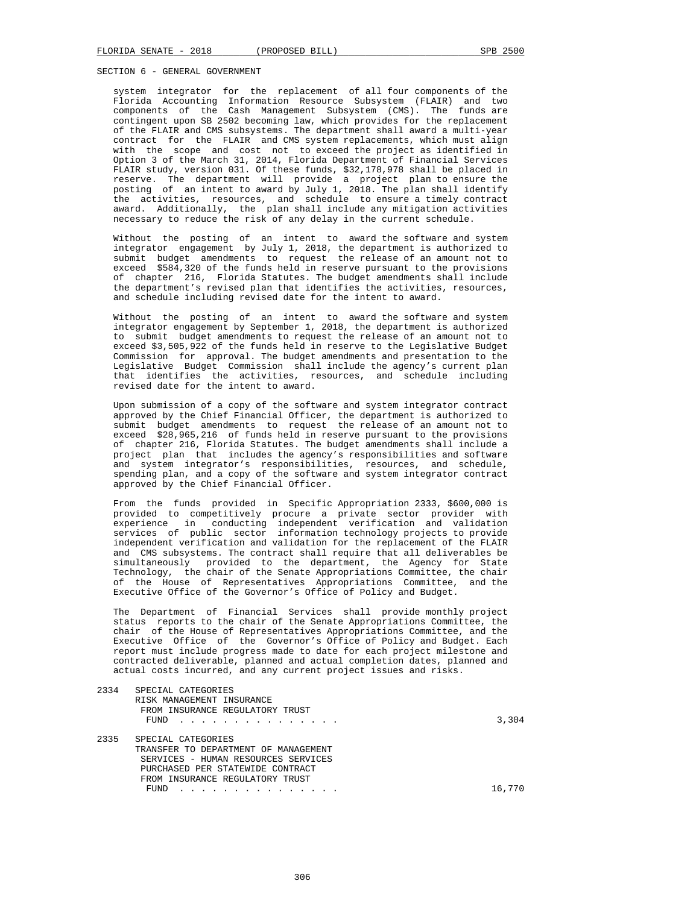system integrator for the replacement of all four components of the Florida Accounting Information Resource Subsystem (FLAIR) and two components of the Cash Management Subsystem (CMS). The funds are contingent upon SB 2502 becoming law, which provides for the replacement of the FLAIR and CMS subsystems. The department shall award a multi-year contract for the FLAIR and CMS system replacements, which must align with the scope and cost not to exceed the project as identified in Option 3 of the March 31, 2014, Florida Department of Financial Services FLAIR study, version 031. Of these funds, \$32,178,978 shall be placed in reserve. The department will provide a project plan to ensure the posting of an intent to award by July 1, 2018. The plan shall identify the activities, resources, and schedule to ensure a timely contract award. Additionally, the plan shall include any mitigation activities necessary to reduce the risk of any delay in the current schedule.

 Without the posting of an intent to award the software and system integrator engagement by July 1, 2018, the department is authorized to submit budget amendments to request the release of an amount not to exceed \$584,320 of the funds held in reserve pursuant to the provisions of chapter 216, Florida Statutes. The budget amendments shall include the department's revised plan that identifies the activities, resources, and schedule including revised date for the intent to award.

 Without the posting of an intent to award the software and system integrator engagement by September 1, 2018, the department is authorized to submit budget amendments to request the release of an amount not to exceed \$3,505,922 of the funds held in reserve to the Legislative Budget Commission for approval. The budget amendments and presentation to the Legislative Budget Commission shall include the agency's current plan that identifies the activities, resources, and schedule including revised date for the intent to award.

 Upon submission of a copy of the software and system integrator contract approved by the Chief Financial Officer, the department is authorized to submit budget amendments to request the release of an amount not to exceed \$28,965,216 of funds held in reserve pursuant to the provisions of chapter 216, Florida Statutes. The budget amendments shall include a project plan that includes the agency's responsibilities and software and system integrator's responsibilities, resources, and schedule, spending plan, and a copy of the software and system integrator contract approved by the Chief Financial Officer.

 From the funds provided in Specific Appropriation 2333, \$600,000 is provided to competitively procure a private sector provider with experience in conducting independent verification and validation services of public sector information technology projects to provide independent verification and validation for the replacement of the FLAIR and CMS subsystems. The contract shall require that all deliverables be simultaneously provided to the department, the Agency for State Technology, the chair of the Senate Appropriations Committee, the chair of the House of Representatives Appropriations Committee, and the Executive Office of the Governor's Office of Policy and Budget.

 The Department of Financial Services shall provide monthly project status reports to the chair of the Senate Appropriations Committee, the chair of the House of Representatives Appropriations Committee, and the Executive Office of the Governor's Office of Policy and Budget. Each report must include progress made to date for each project milestone and contracted deliverable, planned and actual completion dates, planned and actual costs incurred, and any current project issues and risks.

| 2334 | SPECIAL CATEGORIES<br>RISK MANAGEMENT INSURANCE<br>FROM INSURANCE REGULATORY TRUST<br>FUND                                                                                       | 3,304  |
|------|----------------------------------------------------------------------------------------------------------------------------------------------------------------------------------|--------|
| 2335 | SPECIAL CATEGORIES<br>TRANSFER TO DEPARTMENT OF MANAGEMENT<br>SERVICES - HUMAN RESOURCES SERVICES<br>PURCHASED PER STATEWIDE CONTRACT<br>FROM INSURANCE REGULATORY TRUST<br>FUND | 16,770 |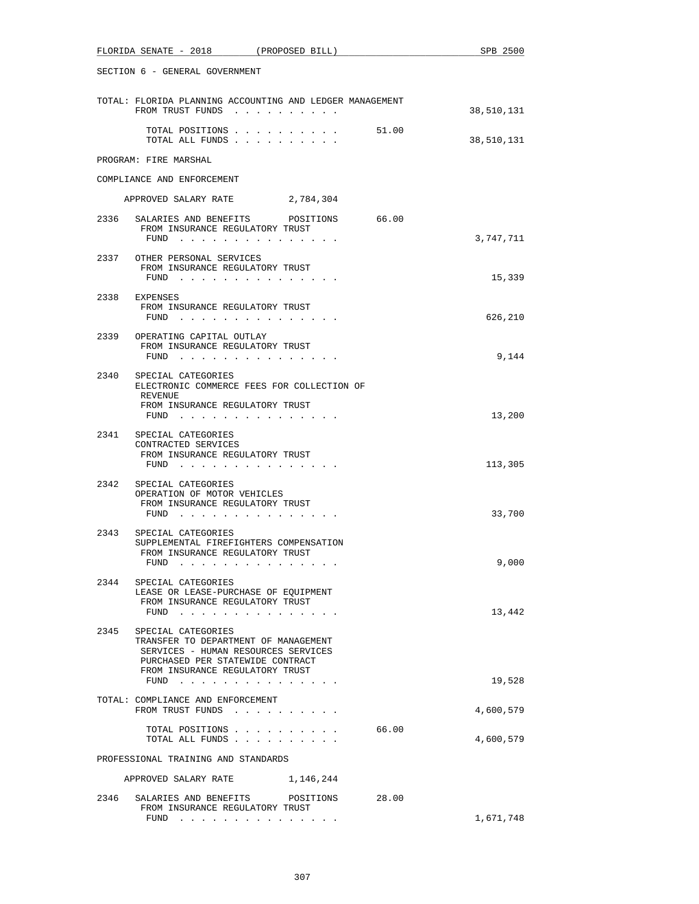| FLORIDA SENATE - 2018 (PROPOSED BILL)                                                                                                                                                    | SPB 2500   |  |  |
|------------------------------------------------------------------------------------------------------------------------------------------------------------------------------------------|------------|--|--|
| SECTION 6 - GENERAL GOVERNMENT                                                                                                                                                           |            |  |  |
| TOTAL: FLORIDA PLANNING ACCOUNTING AND LEDGER MANAGEMENT<br>FROM TRUST FUNDS                                                                                                             | 38,510,131 |  |  |
| TOTAL POSITIONS 51.00<br>TOTAL ALL FUNDS                                                                                                                                                 | 38,510,131 |  |  |
| PROGRAM: FIRE MARSHAL                                                                                                                                                                    |            |  |  |
| COMPLIANCE AND ENFORCEMENT                                                                                                                                                               |            |  |  |
| APPROVED SALARY RATE 2,784,304                                                                                                                                                           |            |  |  |
| 66.00<br>2336<br>SALARIES AND BENEFITS<br>POSITIONS<br>FROM INSURANCE REGULATORY TRUST<br>FUND $\cdots$                                                                                  | 3,747,711  |  |  |
| 2337 OTHER PERSONAL SERVICES<br>FROM INSURANCE REGULATORY TRUST<br>$FUND$                                                                                                                | 15,339     |  |  |
| 2338 EXPENSES<br>FROM INSURANCE REGULATORY TRUST<br>FUND $\cdots$                                                                                                                        | 626,210    |  |  |
| 2339<br>OPERATING CAPITAL OUTLAY<br>FROM INSURANCE REGULATORY TRUST<br>$FUND$<br>.                                                                                                       | 9,144      |  |  |
| 2340<br>SPECIAL CATEGORIES<br>ELECTRONIC COMMERCE FEES FOR COLLECTION OF<br>REVENUE<br>FROM INSURANCE REGULATORY TRUST<br>FUND $\cdots$                                                  | 13,200     |  |  |
| 2341 SPECIAL CATEGORIES<br>CONTRACTED SERVICES<br>FROM INSURANCE REGULATORY TRUST<br>FUND                                                                                                | 113,305    |  |  |
| 2342 SPECIAL CATEGORIES<br>OPERATION OF MOTOR VEHICLES<br>FROM INSURANCE REGULATORY TRUST<br>FUND $\cdots$                                                                               | 33,700     |  |  |
| 2343<br>SPECIAL CATEGORIES<br>SUPPLEMENTAL FIREFIGHTERS COMPENSATION<br>FROM INSURANCE REGULATORY TRUST<br>FUND                                                                          | 9,000      |  |  |
| 2344<br>SPECIAL CATEGORIES<br>LEASE OR LEASE-PURCHASE OF EQUIPMENT<br>FROM INSURANCE REGULATORY TRUST<br>FUND $\cdots$ $\cdots$ $\cdots$ $\cdots$ $\cdots$ $\cdots$                      | 13,442     |  |  |
| 2345<br>SPECIAL CATEGORIES<br>TRANSFER TO DEPARTMENT OF MANAGEMENT<br>SERVICES - HUMAN RESOURCES SERVICES<br>PURCHASED PER STATEWIDE CONTRACT<br>FROM INSURANCE REGULATORY TRUST<br>FUND | 19,528     |  |  |
| TOTAL: COMPLIANCE AND ENFORCEMENT<br>FROM TRUST FUNDS                                                                                                                                    | 4,600,579  |  |  |
| TOTAL POSITIONS<br>66.00<br>TOTAL ALL FUNDS                                                                                                                                              | 4,600,579  |  |  |
| PROFESSIONAL TRAINING AND STANDARDS                                                                                                                                                      |            |  |  |
| APPROVED SALARY RATE 1,146,244                                                                                                                                                           |            |  |  |
| 2346<br>SALARIES AND BENEFITS POSITIONS 28.00<br>FROM INSURANCE REGULATORY TRUST<br>FUND $\cdots$                                                                                        | 1,671,748  |  |  |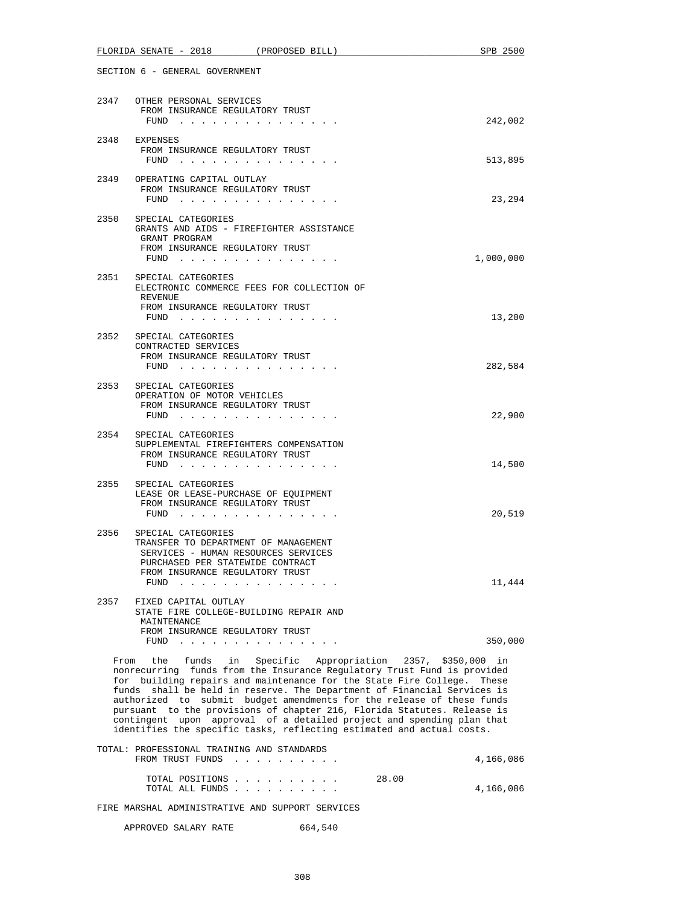|                                                                                                                                                                                                                                                                                                                                                                                                                                                                                                                                                                                                         | FLORIDA SENATE - 2018 (PROPOSED BILL)                                                                                                                                                                                                   | SPB 2500  |  |
|---------------------------------------------------------------------------------------------------------------------------------------------------------------------------------------------------------------------------------------------------------------------------------------------------------------------------------------------------------------------------------------------------------------------------------------------------------------------------------------------------------------------------------------------------------------------------------------------------------|-----------------------------------------------------------------------------------------------------------------------------------------------------------------------------------------------------------------------------------------|-----------|--|
| SECTION 6 - GENERAL GOVERNMENT                                                                                                                                                                                                                                                                                                                                                                                                                                                                                                                                                                          |                                                                                                                                                                                                                                         |           |  |
|                                                                                                                                                                                                                                                                                                                                                                                                                                                                                                                                                                                                         | 2347 OTHER PERSONAL SERVICES<br>FROM INSURANCE REGULATORY TRUST<br>FUND $\cdots$                                                                                                                                                        | 242,002   |  |
|                                                                                                                                                                                                                                                                                                                                                                                                                                                                                                                                                                                                         | 2348 EXPENSES<br>FROM INSURANCE REGULATORY TRUST<br>FUND $\cdots$                                                                                                                                                                       | 513,895   |  |
|                                                                                                                                                                                                                                                                                                                                                                                                                                                                                                                                                                                                         | 2349 OPERATING CAPITAL OUTLAY<br>FROM INSURANCE REGULATORY TRUST<br>FUND $\cdots$                                                                                                                                                       | 23,294    |  |
| 2350                                                                                                                                                                                                                                                                                                                                                                                                                                                                                                                                                                                                    | SPECIAL CATEGORIES<br>GRANTS AND AIDS - FIREFIGHTER ASSISTANCE<br>GRANT PROGRAM<br>FROM INSURANCE REGULATORY TRUST<br>FUND $\cdots$                                                                                                     | 1,000,000 |  |
|                                                                                                                                                                                                                                                                                                                                                                                                                                                                                                                                                                                                         | 2351 SPECIAL CATEGORIES<br>ELECTRONIC COMMERCE FEES FOR COLLECTION OF<br>REVENUE<br>FROM INSURANCE REGULATORY TRUST<br>FUND $\cdots$                                                                                                    | 13,200    |  |
| 2352                                                                                                                                                                                                                                                                                                                                                                                                                                                                                                                                                                                                    | SPECIAL CATEGORIES<br>CONTRACTED SERVICES<br>FROM INSURANCE REGULATORY TRUST<br>FUND $\cdots$                                                                                                                                           | 282,584   |  |
|                                                                                                                                                                                                                                                                                                                                                                                                                                                                                                                                                                                                         | 2353 SPECIAL CATEGORIES<br>OPERATION OF MOTOR VEHICLES<br>FROM INSURANCE REGULATORY TRUST<br>FUND $\cdots$                                                                                                                              | 22,900    |  |
| 2354                                                                                                                                                                                                                                                                                                                                                                                                                                                                                                                                                                                                    | SPECIAL CATEGORIES<br>SUPPLEMENTAL FIREFIGHTERS COMPENSATION<br>FROM INSURANCE REGULATORY TRUST<br>FUND $\cdots$ $\cdots$ $\cdots$ $\cdots$ $\cdots$ $\cdots$ $\cdots$                                                                  | 14,500    |  |
| 2355                                                                                                                                                                                                                                                                                                                                                                                                                                                                                                                                                                                                    | SPECIAL CATEGORIES<br>LEASE OR LEASE-PURCHASE OF EQUIPMENT<br>FROM INSURANCE REGULATORY TRUST<br>FUND                                                                                                                                   | 20,519    |  |
| 2356                                                                                                                                                                                                                                                                                                                                                                                                                                                                                                                                                                                                    | SPECIAL CATEGORIES<br>TRANSFER TO DEPARTMENT OF MANAGEMENT<br>SERVICES - HUMAN RESOURCES SERVICES<br>PURCHASED PER STATEWIDE CONTRACT<br>FROM INSURANCE REGULATORY TRUST<br>FUND<br>the contract of the contract of the contract of the | 11,444    |  |
| 2357                                                                                                                                                                                                                                                                                                                                                                                                                                                                                                                                                                                                    | FIXED CAPITAL OUTLAY<br>STATE FIRE COLLEGE-BUILDING REPAIR AND<br>MAINTENANCE<br>FROM INSURANCE REGULATORY TRUST<br>FUND $\cdots$                                                                                                       | 350,000   |  |
| the<br>funds in Specific Appropriation 2357, \$350,000 in<br>From<br>nonrecurring funds from the Insurance Regulatory Trust Fund is provided<br>for building repairs and maintenance for the State Fire College. These<br>funds shall be held in reserve. The Department of Financial Services is<br>authorized to submit budget amendments for the release of these funds<br>pursuant to the provisions of chapter 216, Florida Statutes. Release is<br>contingent upon approval of a detailed project and spending plan that<br>identifies the specific tasks, reflecting estimated and actual costs. |                                                                                                                                                                                                                                         |           |  |
|                                                                                                                                                                                                                                                                                                                                                                                                                                                                                                                                                                                                         | TOTAL: PROFESSIONAL TRAINING AND STANDARDS<br>FROM TRUST FUNDS                                                                                                                                                                          | 4,166,086 |  |
|                                                                                                                                                                                                                                                                                                                                                                                                                                                                                                                                                                                                         | 28.00<br>TOTAL POSITIONS<br>TOTAL ALL FUNDS                                                                                                                                                                                             | 4,166,086 |  |
|                                                                                                                                                                                                                                                                                                                                                                                                                                                                                                                                                                                                         | FIRE MARSHAL ADMINISTRATIVE AND SUPPORT SERVICES<br>664,540<br>APPROVED SALARY RATE                                                                                                                                                     |           |  |
|                                                                                                                                                                                                                                                                                                                                                                                                                                                                                                                                                                                                         |                                                                                                                                                                                                                                         |           |  |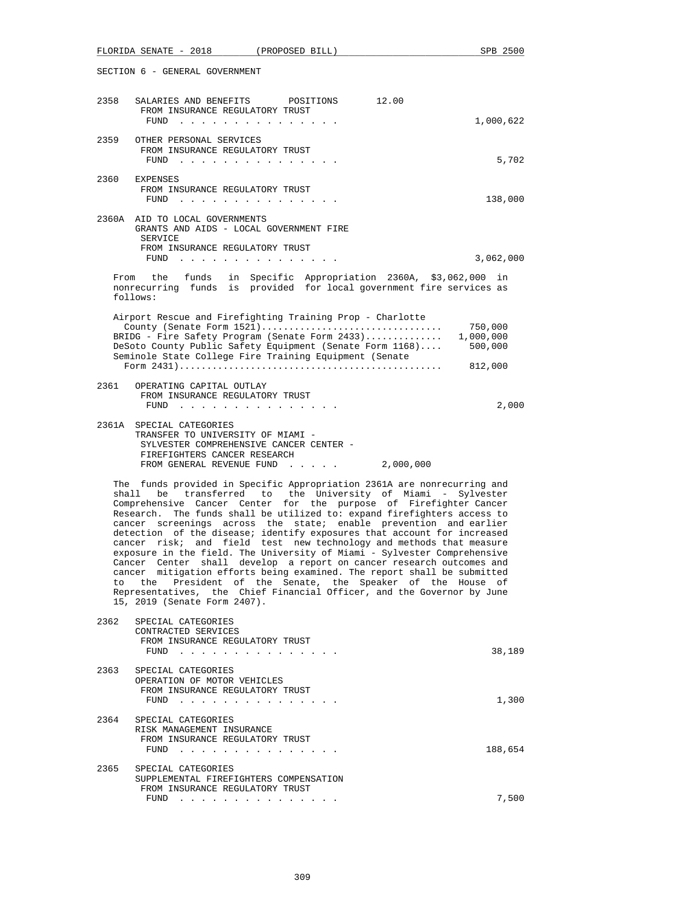|                                                                                                                                                                                                                                                                                                                                                                                                                                                                                                                                                                                                                                                                                                                                                                                                                                                                                                                                | FLORIDA SENATE - 2018<br>(PROPOSED BILL)                                                                                                                                                                                                                                                                   | SPB 2500                        |  |
|--------------------------------------------------------------------------------------------------------------------------------------------------------------------------------------------------------------------------------------------------------------------------------------------------------------------------------------------------------------------------------------------------------------------------------------------------------------------------------------------------------------------------------------------------------------------------------------------------------------------------------------------------------------------------------------------------------------------------------------------------------------------------------------------------------------------------------------------------------------------------------------------------------------------------------|------------------------------------------------------------------------------------------------------------------------------------------------------------------------------------------------------------------------------------------------------------------------------------------------------------|---------------------------------|--|
|                                                                                                                                                                                                                                                                                                                                                                                                                                                                                                                                                                                                                                                                                                                                                                                                                                                                                                                                | SECTION 6 - GENERAL GOVERNMENT                                                                                                                                                                                                                                                                             |                                 |  |
| 2358                                                                                                                                                                                                                                                                                                                                                                                                                                                                                                                                                                                                                                                                                                                                                                                                                                                                                                                           | 12.00<br>SALARIES AND BENEFITS<br>POSITIONS<br>FROM INSURANCE REGULATORY TRUST                                                                                                                                                                                                                             |                                 |  |
| 2359                                                                                                                                                                                                                                                                                                                                                                                                                                                                                                                                                                                                                                                                                                                                                                                                                                                                                                                           | FUND<br>the contract of the contract of the contract of                                                                                                                                                                                                                                                    | 1,000,622                       |  |
|                                                                                                                                                                                                                                                                                                                                                                                                                                                                                                                                                                                                                                                                                                                                                                                                                                                                                                                                | OTHER PERSONAL SERVICES<br>FROM INSURANCE REGULATORY TRUST<br><b>FUND</b><br>a construction of the construction of the construction of the construction of the construction of the construction of the construction of the construction of the construction of the construction of the construction of the | 5,702                           |  |
| 2360                                                                                                                                                                                                                                                                                                                                                                                                                                                                                                                                                                                                                                                                                                                                                                                                                                                                                                                           | EXPENSES<br>FROM INSURANCE REGULATORY TRUST<br>FUND<br>the contract of the contract of the contract of the                                                                                                                                                                                                 | 138,000                         |  |
|                                                                                                                                                                                                                                                                                                                                                                                                                                                                                                                                                                                                                                                                                                                                                                                                                                                                                                                                | 2360A AID TO LOCAL GOVERNMENTS<br>GRANTS AND AIDS - LOCAL GOVERNMENT FIRE                                                                                                                                                                                                                                  |                                 |  |
|                                                                                                                                                                                                                                                                                                                                                                                                                                                                                                                                                                                                                                                                                                                                                                                                                                                                                                                                | SERVICE<br>FROM INSURANCE REGULATORY TRUST                                                                                                                                                                                                                                                                 | 3,062,000                       |  |
|                                                                                                                                                                                                                                                                                                                                                                                                                                                                                                                                                                                                                                                                                                                                                                                                                                                                                                                                | From the funds in Specific Appropriation 2360A, \$3,062,000<br>nonrecurring funds is provided for local government fire services as<br>follows:                                                                                                                                                            | in                              |  |
|                                                                                                                                                                                                                                                                                                                                                                                                                                                                                                                                                                                                                                                                                                                                                                                                                                                                                                                                | Airport Rescue and Firefighting Training Prop - Charlotte                                                                                                                                                                                                                                                  |                                 |  |
|                                                                                                                                                                                                                                                                                                                                                                                                                                                                                                                                                                                                                                                                                                                                                                                                                                                                                                                                | County (Senate Form 1521)<br>BRIDG - Fire Safety Program (Senate Form 2433)<br>DeSoto County Public Safety Equipment (Senate Form 1168)<br>Seminole State College Fire Training Equipment (Senate                                                                                                          | 750,000<br>1,000,000<br>500,000 |  |
|                                                                                                                                                                                                                                                                                                                                                                                                                                                                                                                                                                                                                                                                                                                                                                                                                                                                                                                                |                                                                                                                                                                                                                                                                                                            | 812,000                         |  |
| 2361                                                                                                                                                                                                                                                                                                                                                                                                                                                                                                                                                                                                                                                                                                                                                                                                                                                                                                                           | OPERATING CAPITAL OUTLAY<br>FROM INSURANCE REGULATORY TRUST<br>FUND<br>the contract of the contract of the contract of the contract of the contract of the contract of the contract of the contract of the contract of the contract of the contract of the contract of the contract of the contract o      | 2,000                           |  |
|                                                                                                                                                                                                                                                                                                                                                                                                                                                                                                                                                                                                                                                                                                                                                                                                                                                                                                                                | 2361A SPECIAL CATEGORIES<br>TRANSFER TO UNIVERSITY OF MIAMI -<br>SYLVESTER COMPREHENSIVE CANCER CENTER -<br>FIREFIGHTERS CANCER RESEARCH<br>FROM GENERAL REVENUE FUND 2,000,000                                                                                                                            |                                 |  |
| The funds provided in Specific Appropriation 2361A are nonrecurring and<br>be transferred to the University of Miami - Sylvester<br>shall<br>Comprehensive Cancer Center for the purpose of Firefighter Cancer<br>Research. The funds shall be utilized to: expand firefighters access to<br>cancer screenings across the state; enable prevention and earlier<br>detection of the disease; identify exposures that account for increased<br>cancer risk; and field test new technology and methods that measure<br>exposure in the field. The University of Miami - Sylvester Comprehensive<br>Cancer Center shall develop a report on cancer research outcomes and<br>cancer mitigation efforts being examined. The report shall be submitted<br>the<br>President of the Senate, the Speaker of the House of<br>to<br>Representatives, the Chief Financial Officer, and the Governor by June<br>15, 2019 (Senate Form 2407). |                                                                                                                                                                                                                                                                                                            |                                 |  |
| 2362                                                                                                                                                                                                                                                                                                                                                                                                                                                                                                                                                                                                                                                                                                                                                                                                                                                                                                                           | SPECIAL CATEGORIES<br>CONTRACTED SERVICES<br>FROM INSURANCE REGULATORY TRUST<br>FUND                                                                                                                                                                                                                       | 38,189                          |  |
| 2363                                                                                                                                                                                                                                                                                                                                                                                                                                                                                                                                                                                                                                                                                                                                                                                                                                                                                                                           | SPECIAL CATEGORIES<br>OPERATION OF MOTOR VEHICLES<br>FROM INSURANCE REGULATORY TRUST<br>FUND $\cdots$ $\cdots$ $\cdots$ $\cdots$ $\cdots$ $\cdots$                                                                                                                                                         | 1,300                           |  |
| 2364                                                                                                                                                                                                                                                                                                                                                                                                                                                                                                                                                                                                                                                                                                                                                                                                                                                                                                                           | SPECIAL CATEGORIES<br>RISK MANAGEMENT INSURANCE<br>FROM INSURANCE REGULATORY TRUST<br>${\tt FUND} \quad . \quad . \quad . \quad . \quad . \quad . \quad . \quad . \quad . \quad . \quad . \quad . \quad .$                                                                                                 | 188,654                         |  |
| 2365                                                                                                                                                                                                                                                                                                                                                                                                                                                                                                                                                                                                                                                                                                                                                                                                                                                                                                                           | SPECIAL CATEGORIES<br>SUPPLEMENTAL FIREFIGHTERS COMPENSATION<br>FROM INSURANCE REGULATORY TRUST                                                                                                                                                                                                            |                                 |  |
|                                                                                                                                                                                                                                                                                                                                                                                                                                                                                                                                                                                                                                                                                                                                                                                                                                                                                                                                | FUND $\cdots$                                                                                                                                                                                                                                                                                              | 7,500                           |  |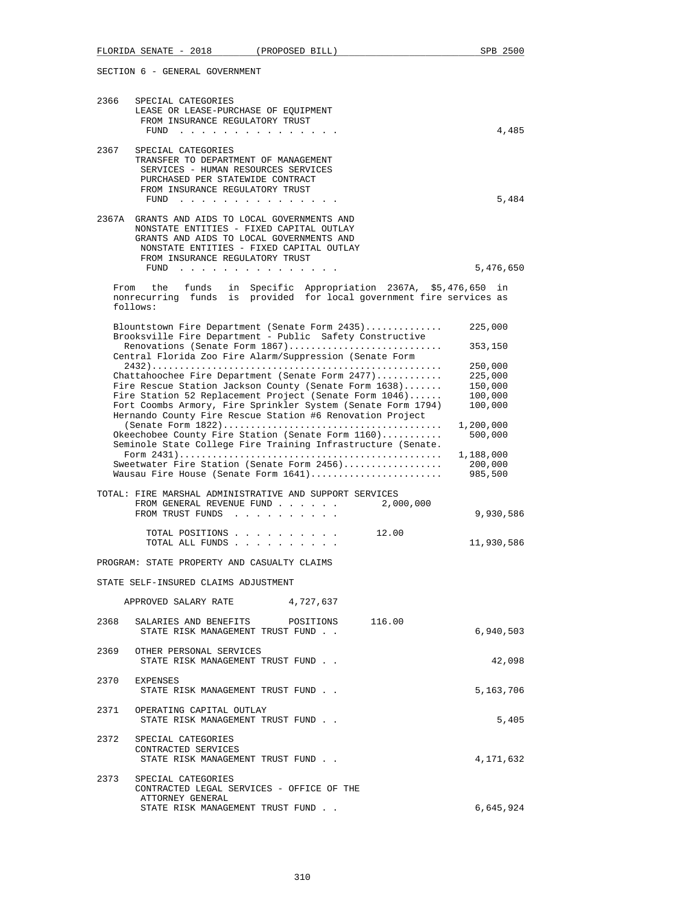|                                | FLORIDA SENATE - 2018<br>(PROPOSED BILL)                                                                                                                                                                              | SPB 2500                        |  |  |
|--------------------------------|-----------------------------------------------------------------------------------------------------------------------------------------------------------------------------------------------------------------------|---------------------------------|--|--|
| SECTION 6 - GENERAL GOVERNMENT |                                                                                                                                                                                                                       |                                 |  |  |
| 2366                           | SPECIAL CATEGORIES<br>LEASE OR LEASE-PURCHASE OF EQUIPMENT<br>FROM INSURANCE REGULATORY TRUST                                                                                                                         |                                 |  |  |
|                                | FUND                                                                                                                                                                                                                  | 4,485                           |  |  |
| 2367                           | SPECIAL CATEGORIES<br>TRANSFER TO DEPARTMENT OF MANAGEMENT<br>SERVICES - HUMAN RESOURCES SERVICES<br>PURCHASED PER STATEWIDE CONTRACT<br>FROM INSURANCE REGULATORY TRUST<br>FUND $\cdots$                             | 5,484                           |  |  |
|                                | 2367A GRANTS AND AIDS TO LOCAL GOVERNMENTS AND<br>NONSTATE ENTITIES - FIXED CAPITAL OUTLAY<br>GRANTS AND AIDS TO LOCAL GOVERNMENTS AND<br>NONSTATE ENTITIES - FIXED CAPITAL OUTLAY<br>FROM INSURANCE REGULATORY TRUST |                                 |  |  |
|                                | FUND $\cdots$                                                                                                                                                                                                         | 5,476,650                       |  |  |
|                                | From the funds<br>in Specific Appropriation 2367A, \$5,476,650<br>nonrecurring funds is provided for local government fire services as<br>follows:                                                                    | in                              |  |  |
|                                | Blountstown Fire Department (Senate Form 2435)                                                                                                                                                                        | 225,000                         |  |  |
|                                | Brooksville Fire Department - Public Safety Constructive<br>Renovations (Senate Form 1867)                                                                                                                            | 353,150                         |  |  |
|                                | Central Florida Zoo Fire Alarm/Suppression (Senate Form                                                                                                                                                               | 250,000                         |  |  |
|                                | Chattahoochee Fire Department (Senate Form $2477$ )                                                                                                                                                                   | 225,000                         |  |  |
|                                | Fire Rescue Station Jackson County (Senate Form 1638)                                                                                                                                                                 | 150,000                         |  |  |
|                                | Fire Station 52 Replacement Project (Senate Form 1046)<br>Fort Coombs Armory, Fire Sprinkler System (Senate Form 1794)                                                                                                | 100,000<br>100,000              |  |  |
|                                | Hernando County Fire Rescue Station #6 Renovation Project                                                                                                                                                             |                                 |  |  |
|                                | 1,200,000<br>Okeechobee County Fire Station (Senate Form 1160)<br>500,000<br>Seminole State College Fire Training Infrastructure (Senate.                                                                             |                                 |  |  |
|                                | Sweetwater Fire Station (Senate Form 2456)<br>Wausau Fire House (Senate Form 1641)                                                                                                                                    | 1,188,000<br>200,000<br>985,500 |  |  |
|                                | TOTAL: FIRE MARSHAL ADMINISTRATIVE AND SUPPORT SERVICES<br>FROM GENERAL REVENUE FUND<br>2,000,000<br>FROM TRUST FUNDS                                                                                                 | 9,930,586                       |  |  |
|                                | TOTAL POSITIONS<br>12.00                                                                                                                                                                                              |                                 |  |  |
|                                | TOTAL ALL FUNDS                                                                                                                                                                                                       | 11,930,586                      |  |  |
|                                | PROGRAM: STATE PROPERTY AND CASUALTY CLAIMS                                                                                                                                                                           |                                 |  |  |
|                                | STATE SELF-INSURED CLAIMS ADJUSTMENT                                                                                                                                                                                  |                                 |  |  |
|                                | APPROVED SALARY RATE 4,727,637                                                                                                                                                                                        |                                 |  |  |
|                                | 2368 SALARIES AND BENEFITS POSITIONS 116.00<br>STATE RISK MANAGEMENT TRUST FUND                                                                                                                                       | 6,940,503                       |  |  |
|                                | 2369 OTHER PERSONAL SERVICES<br>STATE RISK MANAGEMENT TRUST FUND.                                                                                                                                                     | 42,098                          |  |  |
| 2370                           | EXPENSES<br>STATE RISK MANAGEMENT TRUST FUND.                                                                                                                                                                         | 5,163,706                       |  |  |
|                                | 2371 OPERATING CAPITAL OUTLAY<br>STATE RISK MANAGEMENT TRUST FUND.                                                                                                                                                    | 5,405                           |  |  |
|                                | 2372 SPECIAL CATEGORIES<br>CONTRACTED SERVICES<br>STATE RISK MANAGEMENT TRUST FUND.                                                                                                                                   | 4,171,632                       |  |  |
| 2373                           | SPECIAL CATEGORIES<br>CONTRACTED LEGAL SERVICES - OFFICE OF THE                                                                                                                                                       |                                 |  |  |
|                                | ATTORNEY GENERAL<br>STATE RISK MANAGEMENT TRUST FUND                                                                                                                                                                  | 6,645,924                       |  |  |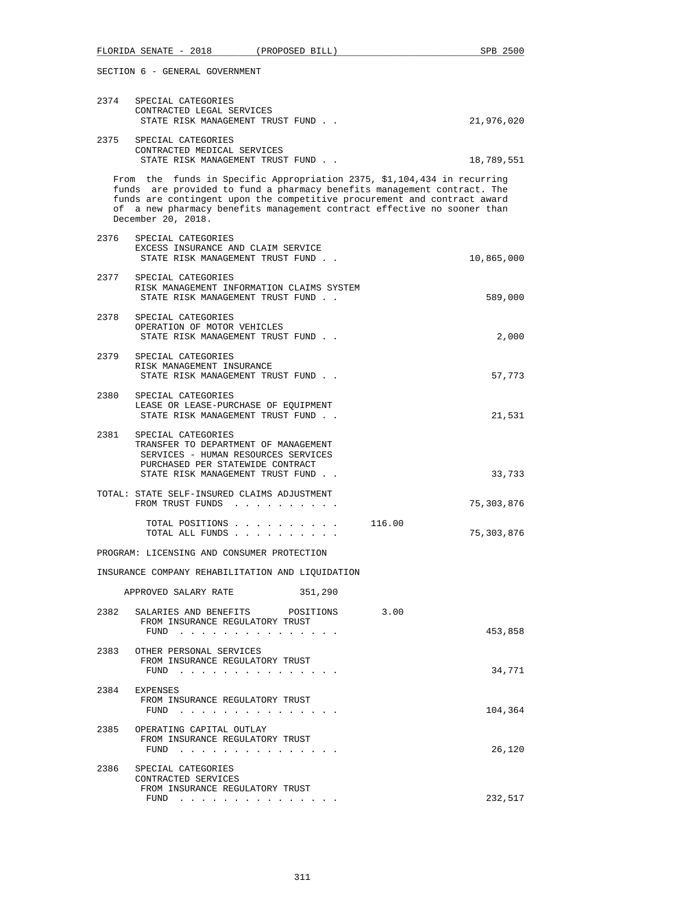| SECTION 6 - GENERAL GOVERNMENT |                                                                                                                                                                                                                                                                                                                                 |                      |  |
|--------------------------------|---------------------------------------------------------------------------------------------------------------------------------------------------------------------------------------------------------------------------------------------------------------------------------------------------------------------------------|----------------------|--|
| 2374                           | SPECIAL CATEGORIES<br>CONTRACTED LEGAL SERVICES<br>STATE RISK MANAGEMENT TRUST FUND                                                                                                                                                                                                                                             | 21,976,020           |  |
| 2375                           | SPECIAL CATEGORIES<br>CONTRACTED MEDICAL SERVICES<br>STATE RISK MANAGEMENT TRUST FUND.                                                                                                                                                                                                                                          | 18,789,551           |  |
|                                | From the funds in Specific Appropriation 2375, \$1,104,434 in recurring<br>funds are provided to fund a pharmacy benefits management contract. The<br>funds are contingent upon the competitive procurement and contract award<br>of a new pharmacy benefits management contract effective no sooner than<br>December 20, 2018. |                      |  |
| 2376                           | SPECIAL CATEGORIES<br>EXCESS INSURANCE AND CLAIM SERVICE<br>STATE RISK MANAGEMENT TRUST FUND                                                                                                                                                                                                                                    | 10,865,000           |  |
| 2377                           | SPECIAL CATEGORIES<br>RISK MANAGEMENT INFORMATION CLAIMS SYSTEM<br>STATE RISK MANAGEMENT TRUST FUND                                                                                                                                                                                                                             | 589,000              |  |
| 2378                           | SPECIAL CATEGORIES<br>OPERATION OF MOTOR VEHICLES<br>STATE RISK MANAGEMENT TRUST FUND                                                                                                                                                                                                                                           | 2,000                |  |
|                                | 2379 SPECIAL CATEGORIES<br>RISK MANAGEMENT INSURANCE<br>STATE RISK MANAGEMENT TRUST FUND.                                                                                                                                                                                                                                       | 57,773               |  |
|                                | 2380 SPECIAL CATEGORIES<br>LEASE OR LEASE-PURCHASE OF EQUIPMENT<br>STATE RISK MANAGEMENT TRUST FUND                                                                                                                                                                                                                             | 21,531               |  |
| 2381                           | SPECIAL CATEGORIES<br>TRANSFER TO DEPARTMENT OF MANAGEMENT<br>SERVICES - HUMAN RESOURCES SERVICES<br>PURCHASED PER STATEWIDE CONTRACT<br>STATE RISK MANAGEMENT TRUST FUND                                                                                                                                                       | 33,733               |  |
|                                | TOTAL: STATE SELF-INSURED CLAIMS ADJUSTMENT<br>FROM TRUST FUNDS                                                                                                                                                                                                                                                                 | 75,303,876           |  |
|                                | TOTAL POSITIONS<br>TOTAL ALL FUNDS                                                                                                                                                                                                                                                                                              | 116.00<br>75,303,876 |  |
|                                | PROGRAM: LICENSING AND CONSUMER PROTECTION                                                                                                                                                                                                                                                                                      |                      |  |
|                                | INSURANCE COMPANY REHABILITATION AND LIQUIDATION                                                                                                                                                                                                                                                                                |                      |  |
|                                | APPROVED SALARY RATE<br>351,290                                                                                                                                                                                                                                                                                                 |                      |  |
| 2382                           | SALARIES AND BENEFITS POSITIONS<br>FROM INSURANCE REGULATORY TRUST<br>FUND $\cdots$                                                                                                                                                                                                                                             | 3.00<br>453,858      |  |
|                                | 2383 OTHER PERSONAL SERVICES<br>FROM INSURANCE REGULATORY TRUST<br>FUND $\cdots$                                                                                                                                                                                                                                                | 34,771               |  |
|                                | 2384 EXPENSES<br>FROM INSURANCE REGULATORY TRUST                                                                                                                                                                                                                                                                                | 104,364              |  |
| 2385                           | OPERATING CAPITAL OUTLAY<br>FROM INSURANCE REGULATORY TRUST<br>FUND $\cdots$                                                                                                                                                                                                                                                    | 26,120               |  |
| 2386                           | SPECIAL CATEGORIES<br>CONTRACTED SERVICES<br>FROM INSURANCE REGULATORY TRUST<br>FUND $\cdots$                                                                                                                                                                                                                                   | 232,517              |  |

FLORIDA SENATE - 2018 (PROPOSED BILL) SPB 2500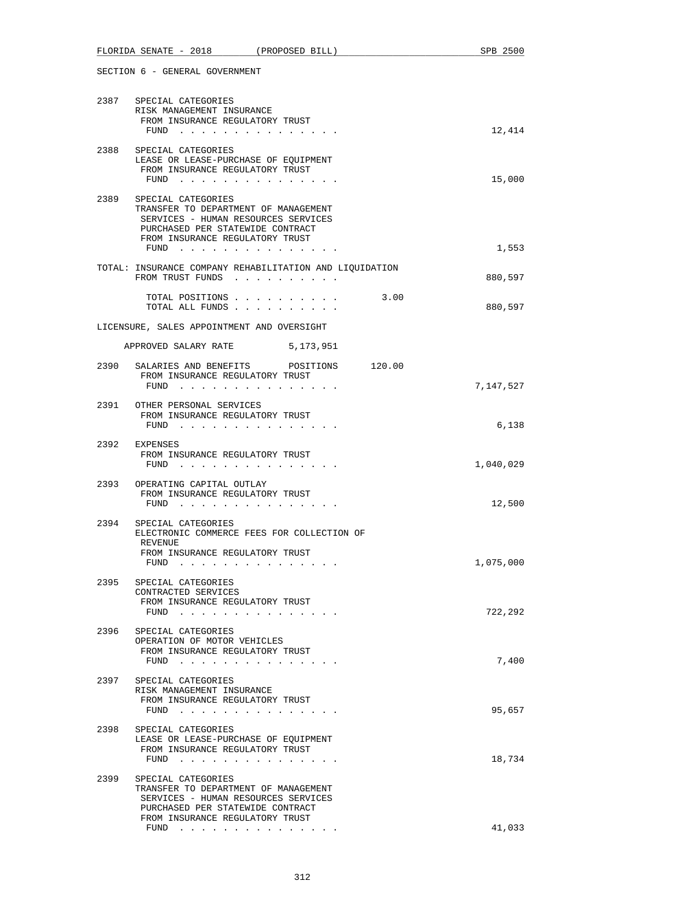| FLORIDA SENATE - 2018<br>(PROPOSED BILL)                                                                                                                                         | SPB 2500  |
|----------------------------------------------------------------------------------------------------------------------------------------------------------------------------------|-----------|
| SECTION 6 - GENERAL GOVERNMENT                                                                                                                                                   |           |
| 2387 SPECIAL CATEGORIES<br>RISK MANAGEMENT INSURANCE<br>FROM INSURANCE REGULATORY TRUST<br>FUND $\cdots$                                                                         | 12,414    |
| SPECIAL CATEGORIES<br>2388<br>LEASE OR LEASE-PURCHASE OF EQUIPMENT<br>FROM INSURANCE REGULATORY TRUST<br>FUND $\cdots$                                                           | 15,000    |
| 2389 SPECIAL CATEGORIES<br>TRANSFER TO DEPARTMENT OF MANAGEMENT<br>SERVICES - HUMAN RESOURCES SERVICES<br>PURCHASED PER STATEWIDE CONTRACT<br>FROM INSURANCE REGULATORY TRUST    | 1,553     |
| TOTAL: INSURANCE COMPANY REHABILITATION AND LIQUIDATION<br>FROM TRUST FUNDS                                                                                                      | 880,597   |
| TOTAL POSITIONS 3.00<br>TOTAL ALL FUNDS                                                                                                                                          | 880,597   |
| LICENSURE, SALES APPOINTMENT AND OVERSIGHT                                                                                                                                       |           |
| APPROVED SALARY RATE<br>5,173,951                                                                                                                                                |           |
| 2390 SALARIES AND BENEFITS POSITIONS 120.00<br>FROM INSURANCE REGULATORY TRUST                                                                                                   | 7,147,527 |
| FUND<br>2391 OTHER PERSONAL SERVICES<br>FROM INSURANCE REGULATORY TRUST<br>FUND $\cdots$                                                                                         | 6,138     |
| 2392 EXPENSES<br>FROM INSURANCE REGULATORY TRUST<br>FUND $\cdots$                                                                                                                | 1,040,029 |
| 2393 OPERATING CAPITAL OUTLAY<br>FROM INSURANCE REGULATORY TRUST<br>FUND $\cdots$                                                                                                | 12,500    |
| 2394 SPECIAL CATEGORIES<br>ELECTRONIC COMMERCE FEES FOR COLLECTION OF<br>REVENUE<br>FROM INSURANCE REGULATORY TRUST<br>FUND                                                      | 1,075,000 |
| SPECIAL CATEGORIES<br>2395<br>CONTRACTED SERVICES<br>FROM INSURANCE REGULATORY TRUST<br>FUND                                                                                     | 722,292   |
| 2396<br>SPECIAL CATEGORIES<br>OPERATION OF MOTOR VEHICLES<br>FROM INSURANCE REGULATORY TRUST<br>FUND $\cdots$                                                                    | 7,400     |
| 2397<br>SPECIAL CATEGORIES<br>RISK MANAGEMENT INSURANCE<br>FROM INSURANCE REGULATORY TRUST<br>FUND $\cdots$                                                                      | 95,657    |
| 2398<br>SPECIAL CATEGORIES<br>LEASE OR LEASE-PURCHASE OF EQUIPMENT<br>FROM INSURANCE REGULATORY TRUST<br>FUND                                                                    | 18,734    |
| 2399<br>SPECIAL CATEGORIES<br>TRANSFER TO DEPARTMENT OF MANAGEMENT<br>SERVICES - HUMAN RESOURCES SERVICES<br>PURCHASED PER STATEWIDE CONTRACT<br>FROM INSURANCE REGULATORY TRUST |           |
| FUND $\cdots$                                                                                                                                                                    | 41,033    |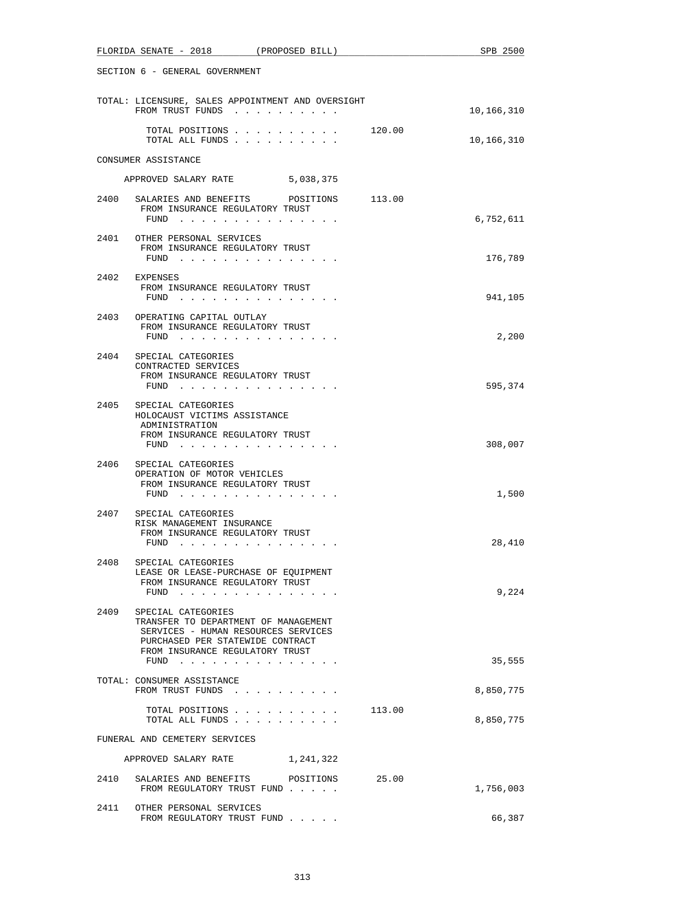|      | FLORIDA SENATE - 2018<br>(PROPOSED BILL)                                                      |        | SPB 2500   |
|------|-----------------------------------------------------------------------------------------------|--------|------------|
|      | SECTION 6 - GENERAL GOVERNMENT                                                                |        |            |
|      | TOTAL: LICENSURE, SALES APPOINTMENT AND OVERSIGHT<br>FROM TRUST FUNDS                         |        | 10,166,310 |
|      | TOTAL POSITIONS 120.00<br>TOTAL ALL FUNDS                                                     |        | 10,166,310 |
|      | CONSUMER ASSISTANCE                                                                           |        |            |
|      | APPROVED SALARY RATE 5,038,375                                                                |        |            |
|      | 2400 SALARIES AND BENEFITS POSITIONS 113.00                                                   |        |            |
|      | FROM INSURANCE REGULATORY TRUST<br>FUND $\cdots$                                              |        | 6,752,611  |
|      | 2401 OTHER PERSONAL SERVICES                                                                  |        |            |
|      | FROM INSURANCE REGULATORY TRUST<br>FUND $\cdots$ $\cdots$ $\cdots$ $\cdots$ $\cdots$ $\cdots$ |        | 176,789    |
|      | 2402 EXPENSES                                                                                 |        |            |
|      | FROM INSURANCE REGULATORY TRUST                                                               |        | 941,105    |
|      | FUND $\cdots$                                                                                 |        |            |
|      | 2403 OPERATING CAPITAL OUTLAY<br>FROM INSURANCE REGULATORY TRUST                              |        |            |
|      | FUND $\cdots$                                                                                 |        | 2,200      |
| 2404 | SPECIAL CATEGORIES                                                                            |        |            |
|      | CONTRACTED SERVICES<br>FROM INSURANCE REGULATORY TRUST                                        |        |            |
|      | FUND                                                                                          |        | 595,374    |
|      | 2405 SPECIAL CATEGORIES<br>HOLOCAUST VICTIMS ASSISTANCE                                       |        |            |
|      | ADMINISTRATION                                                                                |        |            |
|      | FROM INSURANCE REGULATORY TRUST<br>FUND $\cdots$                                              |        | 308,007    |
| 2406 | SPECIAL CATEGORIES                                                                            |        |            |
|      | OPERATION OF MOTOR VEHICLES                                                                   |        |            |
|      | FROM INSURANCE REGULATORY TRUST<br>FUND $\cdots$                                              |        | 1,500      |
| 2407 | SPECIAL CATEGORIES                                                                            |        |            |
|      | RISK MANAGEMENT INSURANCE<br>FROM INSURANCE REGULATORY TRUST                                  |        |            |
|      | $FUND$                                                                                        |        | 28,410     |
| 2408 | SPECIAL CATEGORIES                                                                            |        |            |
|      | LEASE OR LEASE-PURCHASE OF EQUIPMENT<br>FROM INSURANCE REGULATORY TRUST                       |        |            |
|      | FUND                                                                                          |        | 9,224      |
| 2409 | SPECIAL CATEGORIES                                                                            |        |            |
|      | TRANSFER TO DEPARTMENT OF MANAGEMENT<br>SERVICES - HUMAN RESOURCES SERVICES                   |        |            |
|      | PURCHASED PER STATEWIDE CONTRACT                                                              |        |            |
|      | FROM INSURANCE REGULATORY TRUST<br>FUND                                                       |        | 35,555     |
|      | TOTAL: CONSUMER ASSISTANCE                                                                    |        |            |
|      | FROM TRUST FUNDS                                                                              |        | 8,850,775  |
|      | TOTAL POSITIONS                                                                               | 113.00 |            |
|      | TOTAL ALL FUNDS                                                                               |        | 8,850,775  |
|      | FUNERAL AND CEMETERY SERVICES                                                                 |        |            |
|      | APPROVED SALARY RATE<br>1,241,322                                                             |        |            |
| 2410 | SALARIES AND BENEFITS<br>POSITIONS<br>FROM REGULATORY TRUST FUND                              | 25.00  | 1,756,003  |
| 2411 | OTHER PERSONAL SERVICES                                                                       |        |            |
|      | FROM REGULATORY TRUST FUND                                                                    |        | 66,387     |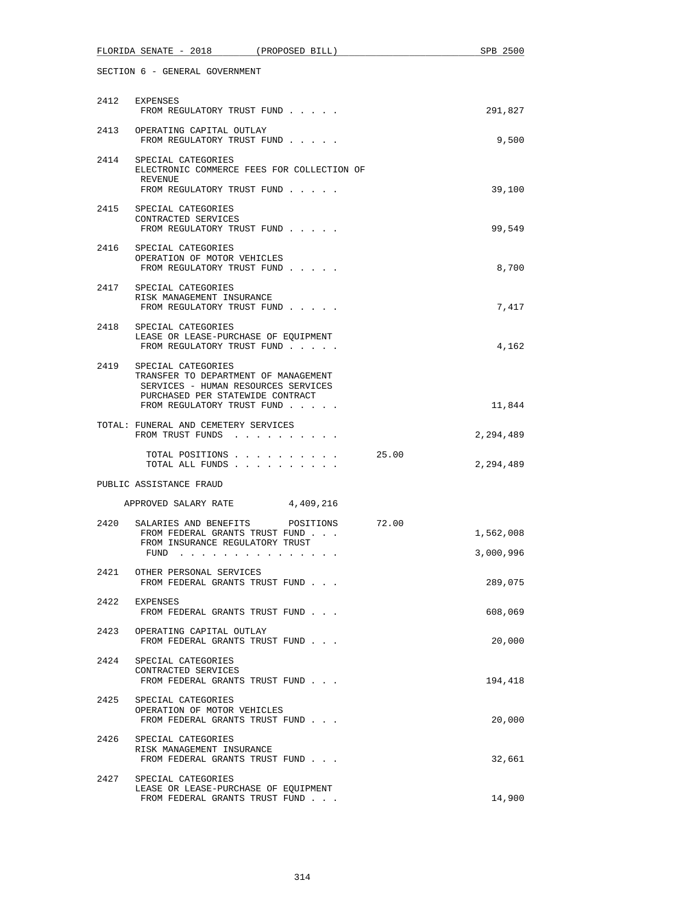|      | FLORIDA SENATE - 2018 (PROPOSED BILL)                                                                                                                               |       | SPB 2500               |
|------|---------------------------------------------------------------------------------------------------------------------------------------------------------------------|-------|------------------------|
|      | SECTION 6 - GENERAL GOVERNMENT                                                                                                                                      |       |                        |
|      | 2412 EXPENSES<br>FROM REGULATORY TRUST FUND                                                                                                                         |       | 291,827                |
|      | 2413 OPERATING CAPITAL OUTLAY<br>FROM REGULATORY TRUST FUND                                                                                                         |       | 9,500                  |
| 2414 | SPECIAL CATEGORIES<br>ELECTRONIC COMMERCE FEES FOR COLLECTION OF<br>REVENUE<br>FROM REGULATORY TRUST FUND                                                           |       | 39,100                 |
|      | 2415 SPECIAL CATEGORIES<br>CONTRACTED SERVICES<br>FROM REGULATORY TRUST FUND                                                                                        |       | 99,549                 |
| 2416 | SPECIAL CATEGORIES<br>OPERATION OF MOTOR VEHICLES<br>FROM REGULATORY TRUST FUND                                                                                     |       | 8,700                  |
|      | 2417 SPECIAL CATEGORIES<br>RISK MANAGEMENT INSURANCE<br>FROM REGULATORY TRUST FUND                                                                                  |       | 7,417                  |
|      | 2418 SPECIAL CATEGORIES<br>LEASE OR LEASE-PURCHASE OF EQUIPMENT<br>FROM REGULATORY TRUST FUND                                                                       |       | 4,162                  |
| 2419 | SPECIAL CATEGORIES<br>TRANSFER TO DEPARTMENT OF MANAGEMENT<br>SERVICES - HUMAN RESOURCES SERVICES<br>PURCHASED PER STATEWIDE CONTRACT<br>FROM REGULATORY TRUST FUND |       | 11,844                 |
|      | TOTAL: FUNERAL AND CEMETERY SERVICES<br>FROM TRUST FUNDS                                                                                                            |       | 2,294,489              |
|      | TOTAL POSITIONS<br>TOTAL ALL FUNDS $\ldots$                                                                                                                         | 25.00 | 2,294,489              |
|      | PUBLIC ASSISTANCE FRAUD                                                                                                                                             |       |                        |
|      | APPROVED SALARY RATE 4,409,216                                                                                                                                      |       |                        |
| 2420 | SALARIES AND BENEFITS POSITIONS<br>FROM FEDERAL GRANTS TRUST FUND<br>FROM INSURANCE REGULATORY TRUST<br>$FUND$                                                      | 72.00 | 1,562,008<br>3,000,996 |
| 2421 | OTHER PERSONAL SERVICES<br>FROM FEDERAL GRANTS TRUST FUND                                                                                                           |       | 289,075                |
|      | 2422 EXPENSES<br>FROM FEDERAL GRANTS TRUST FUND                                                                                                                     |       | 608,069                |
| 2423 | OPERATING CAPITAL OUTLAY<br>FROM FEDERAL GRANTS TRUST FUND                                                                                                          |       | 20,000                 |
| 2424 | SPECIAL CATEGORIES<br>CONTRACTED SERVICES<br>FROM FEDERAL GRANTS TRUST FUND                                                                                         |       | 194,418                |
| 2425 | SPECIAL CATEGORIES<br>OPERATION OF MOTOR VEHICLES<br>FROM FEDERAL GRANTS TRUST FUND                                                                                 |       | 20,000                 |
| 2426 | SPECIAL CATEGORIES<br>RISK MANAGEMENT INSURANCE<br>FROM FEDERAL GRANTS TRUST FUND                                                                                   |       | 32,661                 |
|      | 2427 SPECIAL CATEGORIES<br>LEASE OR LEASE-PURCHASE OF EQUIPMENT<br>FROM FEDERAL GRANTS TRUST FUND                                                                   |       | 14,900                 |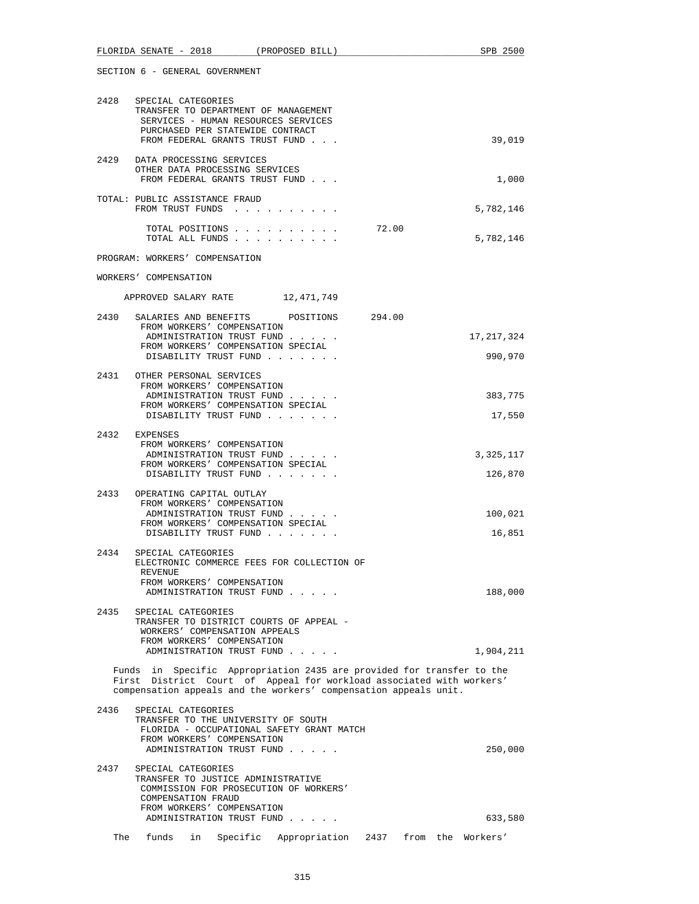|      | FLORIDA SENATE - 2018 (PROPOSED BILL)                                                                                                                                   |                  | SPB 2500                                                                                                                                      |
|------|-------------------------------------------------------------------------------------------------------------------------------------------------------------------------|------------------|-----------------------------------------------------------------------------------------------------------------------------------------------|
|      | SECTION 6 - GENERAL GOVERNMENT                                                                                                                                          |                  |                                                                                                                                               |
| 2428 | SPECIAL CATEGORIES<br>TRANSFER TO DEPARTMENT OF MANAGEMENT<br>SERVICES - HUMAN RESOURCES SERVICES<br>PURCHASED PER STATEWIDE CONTRACT<br>FROM FEDERAL GRANTS TRUST FUND |                  | 39,019                                                                                                                                        |
| 2429 | DATA PROCESSING SERVICES<br>OTHER DATA PROCESSING SERVICES<br>FROM FEDERAL GRANTS TRUST FUND                                                                            |                  | 1,000                                                                                                                                         |
|      | TOTAL: PUBLIC ASSISTANCE FRAUD<br>FROM TRUST FUNDS                                                                                                                      |                  | 5,782,146                                                                                                                                     |
|      | TOTAL POSITIONS<br>TOTAL ALL FUNDS                                                                                                                                      |                  | 72.00<br>5,782,146                                                                                                                            |
|      | PROGRAM: WORKERS' COMPENSATION                                                                                                                                          |                  |                                                                                                                                               |
|      | WORKERS' COMPENSATION                                                                                                                                                   |                  |                                                                                                                                               |
|      | APPROVED SALARY RATE 12,471,749                                                                                                                                         |                  |                                                                                                                                               |
|      | 2430 SALARIES AND BENEFITS<br>FROM WORKERS' COMPENSATION<br>ADMINISTRATION TRUST FUND<br>FROM WORKERS' COMPENSATION SPECIAL<br>DISABILITY TRUST FUND                    | POSITIONS 294.00 | 17, 217, 324<br>990,970                                                                                                                       |
|      | 2431 OTHER PERSONAL SERVICES<br>FROM WORKERS' COMPENSATION<br>ADMINISTRATION TRUST FUND<br>FROM WORKERS' COMPENSATION SPECIAL<br>DISABILITY TRUST FUND                  |                  | 383,775<br>17,550                                                                                                                             |
| 2432 | EXPENSES<br>FROM WORKERS' COMPENSATION<br>ADMINISTRATION TRUST FUND<br>FROM WORKERS' COMPENSATION SPECIAL<br>DISABILITY TRUST FUND                                      |                  | 3,325,117<br>126,870                                                                                                                          |
| 2433 | OPERATING CAPITAL OUTLAY<br>FROM WORKERS' COMPENSATION<br>ADMINISTRATION TRUST FUND<br>FROM WORKERS' COMPENSATION SPECIAL<br>DISABILITY TRUST FUND                      |                  | 100,021<br>16,851                                                                                                                             |
| 2434 | SPECIAL CATEGORIES<br>ELECTRONIC COMMERCE FEES FOR COLLECTION OF<br>REVENUE<br>FROM WORKERS' COMPENSATION<br>ADMINISTRATION TRUST FUND                                  |                  | 188,000                                                                                                                                       |
| 2435 | SPECIAL CATEGORIES<br>TRANSFER TO DISTRICT COURTS OF APPEAL -<br>WORKERS' COMPENSATION APPEALS<br>FROM WORKERS' COMPENSATION<br>ADMINISTRATION TRUST FUND               |                  | 1,904,211                                                                                                                                     |
|      | compensation appeals and the workers' compensation appeals unit.                                                                                                        |                  | Funds in Specific Appropriation 2435 are provided for transfer to the<br>First District Court of Appeal for workload associated with workers' |
| 2436 | SPECIAL CATEGORIES<br>TRANSFER TO THE UNIVERSITY OF SOUTH<br>FLORIDA - OCCUPATIONAL SAFETY GRANT MATCH<br>FROM WORKERS' COMPENSATION<br>ADMINISTRATION TRUST FUND       |                  | 250,000                                                                                                                                       |
| 2437 | SPECIAL CATEGORIES<br>TRANSFER TO JUSTICE ADMINISTRATIVE<br>COMMISSION FOR PROSECUTION OF WORKERS'<br>COMPENSATION FRAUD<br>FROM WORKERS' COMPENSATION                  |                  |                                                                                                                                               |
|      | ADMINISTRATION TRUST FUND                                                                                                                                               |                  | 633,580                                                                                                                                       |

The funds in Specific Appropriation 2437 from the Workers'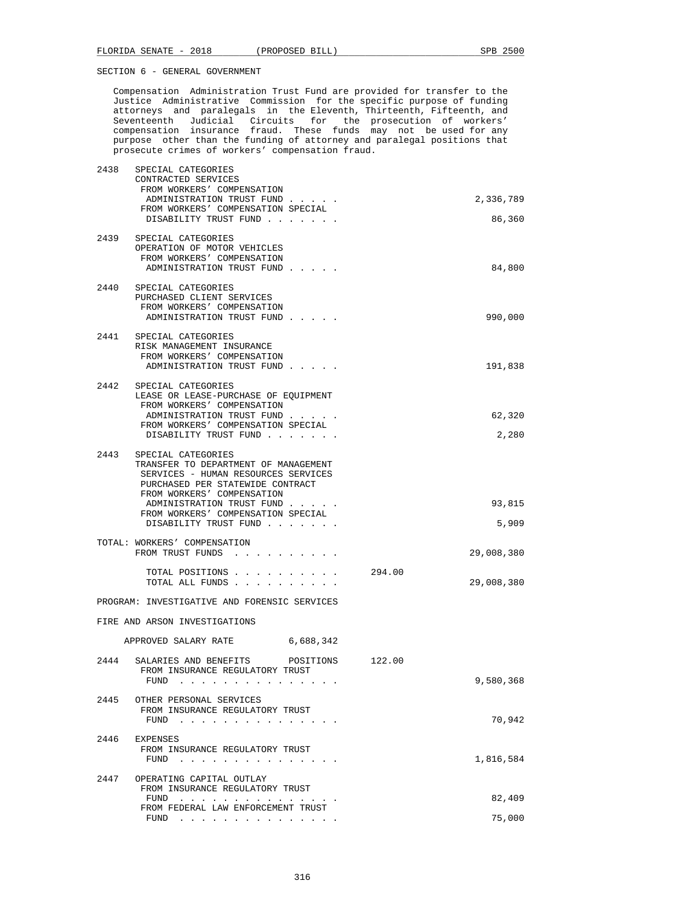Compensation Administration Trust Fund are provided for transfer to the Justice Administrative Commission for the specific purpose of funding attorneys and paralegals in the Eleventh, Thirteenth, Fifteenth, and Seventeenth Judicial Circuits for the prosecution of workers' compensation insurance fraud. These funds may not be used for any purpose other than the funding of attorney and paralegal positions that prosecute crimes of workers' compensation fraud.

| 2438 | SPECIAL CATEGORIES                                                                                                      |        |            |
|------|-------------------------------------------------------------------------------------------------------------------------|--------|------------|
|      | CONTRACTED SERVICES<br>FROM WORKERS' COMPENSATION                                                                       |        |            |
|      | ADMINISTRATION TRUST FUND                                                                                               |        | 2,336,789  |
|      | FROM WORKERS' COMPENSATION SPECIAL                                                                                      |        |            |
|      | DISABILITY TRUST FUND                                                                                                   |        | 86,360     |
|      | 2439 SPECIAL CATEGORIES                                                                                                 |        |            |
|      | OPERATION OF MOTOR VEHICLES                                                                                             |        |            |
|      | FROM WORKERS' COMPENSATION                                                                                              |        |            |
|      | ADMINISTRATION TRUST FUND                                                                                               |        | 84,800     |
| 2440 | SPECIAL CATEGORIES                                                                                                      |        |            |
|      | PURCHASED CLIENT SERVICES                                                                                               |        |            |
|      | FROM WORKERS' COMPENSATION<br>ADMINISTRATION TRUST FUND                                                                 |        | 990,000    |
|      |                                                                                                                         |        |            |
|      | 2441 SPECIAL CATEGORIES                                                                                                 |        |            |
|      | RISK MANAGEMENT INSURANCE                                                                                               |        |            |
|      | FROM WORKERS' COMPENSATION<br>ADMINISTRATION TRUST FUND                                                                 |        | 191,838    |
|      |                                                                                                                         |        |            |
| 2442 | SPECIAL CATEGORIES                                                                                                      |        |            |
|      | LEASE OR LEASE-PURCHASE OF EQUIPMENT<br>FROM WORKERS' COMPENSATION                                                      |        |            |
|      | ADMINISTRATION TRUST FUND                                                                                               |        | 62,320     |
|      | FROM WORKERS' COMPENSATION SPECIAL                                                                                      |        |            |
|      | DISABILITY TRUST FUND                                                                                                   |        | 2,280      |
| 2443 | SPECIAL CATEGORIES                                                                                                      |        |            |
|      | TRANSFER TO DEPARTMENT OF MANAGEMENT                                                                                    |        |            |
|      | SERVICES - HUMAN RESOURCES SERVICES                                                                                     |        |            |
|      | PURCHASED PER STATEWIDE CONTRACT<br>FROM WORKERS' COMPENSATION                                                          |        |            |
|      | ADMINISTRATION TRUST FUND                                                                                               |        | 93,815     |
|      | FROM WORKERS' COMPENSATION SPECIAL                                                                                      |        |            |
|      | DISABILITY TRUST FUND                                                                                                   |        | 5,909      |
|      | TOTAL: WORKERS' COMPENSATION                                                                                            |        |            |
|      | FROM TRUST FUNDS                                                                                                        |        | 29,008,380 |
|      | TOTAL POSITIONS                                                                                                         | 294.00 |            |
|      | TOTAL ALL FUNDS                                                                                                         |        | 29,008,380 |
|      |                                                                                                                         |        |            |
|      | PROGRAM: INVESTIGATIVE AND FORENSIC SERVICES                                                                            |        |            |
|      | FIRE AND ARSON INVESTIGATIONS                                                                                           |        |            |
|      |                                                                                                                         |        |            |
|      | APPROVED SALARY RATE 6,688,342                                                                                          |        |            |
| 2444 | SALARIES AND BENEFITS POSITIONS 122.00                                                                                  |        |            |
|      | FROM INSURANCE REGULATORY TRUST                                                                                         |        |            |
|      | FUND                                                                                                                    |        | 9,580,368  |
| 2445 | OTHER PERSONAL SERVICES                                                                                                 |        |            |
|      | FROM INSURANCE REGULATORY TRUST                                                                                         |        |            |
|      | FUND<br>the contract of the contract of the contract of the contract of the contract of the contract of the contract of |        | 70,942     |
| 2446 | EXPENSES                                                                                                                |        |            |
|      | FROM INSURANCE REGULATORY TRUST                                                                                         |        |            |
|      | FUND $\cdots$                                                                                                           |        | 1,816,584  |
| 2447 | OPERATING CAPITAL OUTLAY                                                                                                |        |            |
|      | FROM INSURANCE REGULATORY TRUST                                                                                         |        |            |
|      | FUND                                                                                                                    |        | 82,409     |
|      | FROM FEDERAL LAW ENFORCEMENT TRUST<br>FUND $\ldots$                                                                     |        | 75,000     |
|      |                                                                                                                         |        |            |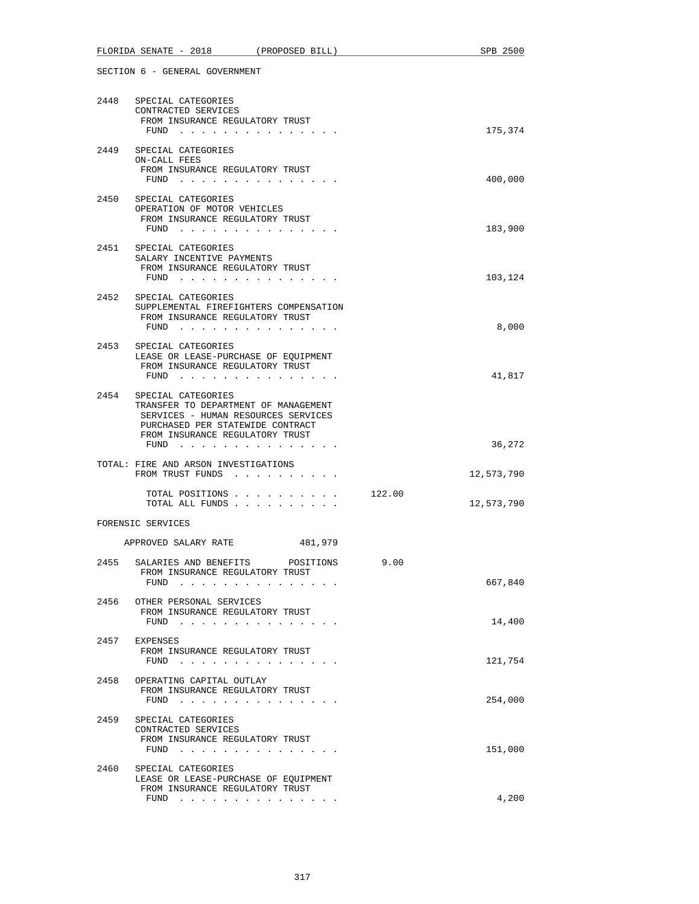|      | FLORIDA SENATE - 2018<br>(PROPOSED BILL)                                                                                                                                                  |        | SPB 2500   |
|------|-------------------------------------------------------------------------------------------------------------------------------------------------------------------------------------------|--------|------------|
|      | SECTION 6 - GENERAL GOVERNMENT                                                                                                                                                            |        |            |
|      | 2448 SPECIAL CATEGORIES<br>CONTRACTED SERVICES<br>FROM INSURANCE REGULATORY TRUST                                                                                                         |        |            |
|      | $FUND$<br>2449 SPECIAL CATEGORIES                                                                                                                                                         |        | 175,374    |
|      | ON-CALL FEES<br>FROM INSURANCE REGULATORY TRUST<br>FUND $\cdots$                                                                                                                          |        | 400,000    |
|      | 2450 SPECIAL CATEGORIES<br>OPERATION OF MOTOR VEHICLES<br>FROM INSURANCE REGULATORY TRUST<br>FUND $\cdots$                                                                                |        | 183,900    |
|      | 2451 SPECIAL CATEGORIES<br>SALARY INCENTIVE PAYMENTS<br>FROM INSURANCE REGULATORY TRUST<br>FUND $\cdots$                                                                                  |        | 103,124    |
|      | 2452 SPECIAL CATEGORIES<br>SUPPLEMENTAL FIREFIGHTERS COMPENSATION<br>FROM INSURANCE REGULATORY TRUST<br>FUND $\cdots$                                                                     |        | 8,000      |
| 2453 | SPECIAL CATEGORIES<br>LEASE OR LEASE-PURCHASE OF EQUIPMENT<br>FROM INSURANCE REGULATORY TRUST<br>FUND $\cdots$                                                                            |        | 41,817     |
| 2454 | SPECIAL CATEGORIES<br>TRANSFER TO DEPARTMENT OF MANAGEMENT<br>SERVICES - HUMAN RESOURCES SERVICES<br>PURCHASED PER STATEWIDE CONTRACT<br>FROM INSURANCE REGULATORY TRUST<br>FUND $\cdots$ |        | 36,272     |
|      | TOTAL: FIRE AND ARSON INVESTIGATIONS<br>FROM TRUST FUNDS                                                                                                                                  |        | 12,573,790 |
|      | TOTAL POSITIONS<br>TOTAL ALL FUNDS                                                                                                                                                        | 122.00 | 12,573,790 |
|      | FORENSIC SERVICES                                                                                                                                                                         |        |            |
|      | APPROVED SALARY RATE<br>481,979                                                                                                                                                           |        |            |
| 2455 | SALARIES AND BENEFITS POSITIONS<br>FROM INSURANCE REGULATORY TRUST<br>FUND                                                                                                                | 9.00   | 667,840    |
| 2456 | OTHER PERSONAL SERVICES<br>FROM INSURANCE REGULATORY TRUST<br>FUND $\cdots$                                                                                                               |        | 14,400     |
| 2457 | EXPENSES<br>FROM INSURANCE REGULATORY TRUST<br>FUND $\cdots$ $\cdots$ $\cdots$ $\cdots$ $\cdots$ $\cdots$ $\cdots$                                                                        |        | 121,754    |
| 2458 | OPERATING CAPITAL OUTLAY<br>FROM INSURANCE REGULATORY TRUST<br>FUND                                                                                                                       |        | 254,000    |
| 2459 | SPECIAL CATEGORIES<br>CONTRACTED SERVICES<br>FROM INSURANCE REGULATORY TRUST<br>FUND $\cdots$                                                                                             |        | 151,000    |
| 2460 | SPECIAL CATEGORIES<br>LEASE OR LEASE-PURCHASE OF EQUIPMENT<br>FROM INSURANCE REGULATORY TRUST                                                                                             |        |            |
|      | FUND $\cdots$                                                                                                                                                                             |        | 4,200      |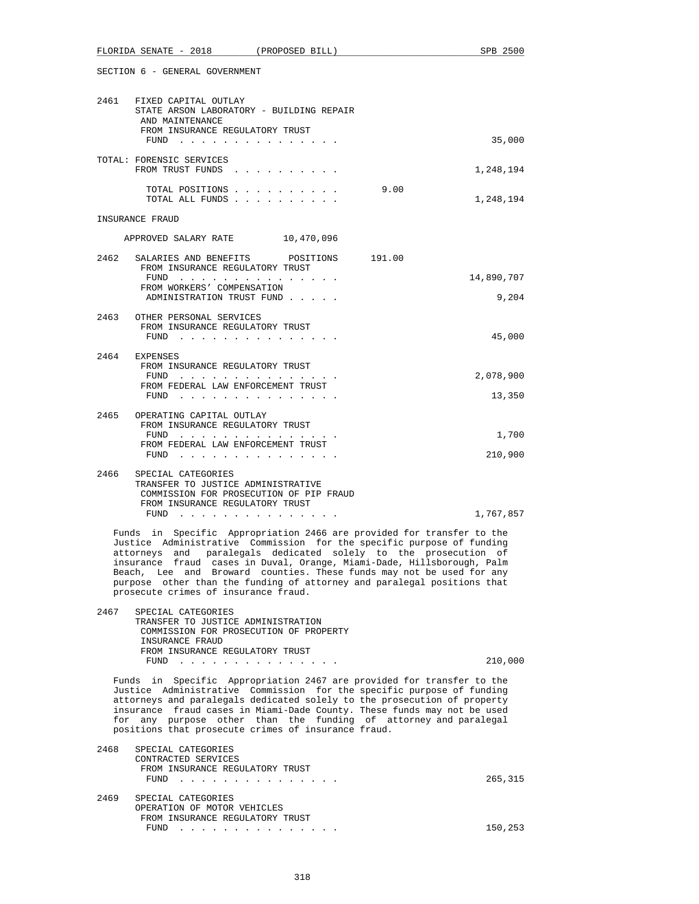| FLORIDA<br>SENATE | <u>ດດາດ</u><br>$\overline{\phantom{0}}$<br>40 I 8 | PROPOSED<br>BILL | つにへへ<br>SPB |
|-------------------|---------------------------------------------------|------------------|-------------|
|                   |                                                   |                  |             |

| 2461                                                                                                                                                                                                                                                                                                                                                                                                                                                                                      | FIXED CAPITAL OUTLAY<br>STATE ARSON LABORATORY - BUILDING REPAIR<br>AND MAINTENANCE                                  |            |  |
|-------------------------------------------------------------------------------------------------------------------------------------------------------------------------------------------------------------------------------------------------------------------------------------------------------------------------------------------------------------------------------------------------------------------------------------------------------------------------------------------|----------------------------------------------------------------------------------------------------------------------|------------|--|
|                                                                                                                                                                                                                                                                                                                                                                                                                                                                                           | FROM INSURANCE REGULATORY TRUST<br>FUND $\cdots$                                                                     | 35,000     |  |
|                                                                                                                                                                                                                                                                                                                                                                                                                                                                                           | TOTAL: FORENSIC SERVICES<br>FROM TRUST FUNDS                                                                         | 1,248,194  |  |
|                                                                                                                                                                                                                                                                                                                                                                                                                                                                                           | TOTAL POSITIONS<br>9.00<br>TOTAL ALL FUNDS                                                                           | 1,248,194  |  |
|                                                                                                                                                                                                                                                                                                                                                                                                                                                                                           | INSURANCE FRAUD                                                                                                      |            |  |
|                                                                                                                                                                                                                                                                                                                                                                                                                                                                                           | APPROVED SALARY RATE 10,470,096                                                                                      |            |  |
| 2462                                                                                                                                                                                                                                                                                                                                                                                                                                                                                      | SALARIES AND BENEFITS POSITIONS<br>191.00<br>FROM INSURANCE REGULATORY TRUST                                         |            |  |
|                                                                                                                                                                                                                                                                                                                                                                                                                                                                                           | FUND<br>FROM WORKERS' COMPENSATION                                                                                   | 14,890,707 |  |
|                                                                                                                                                                                                                                                                                                                                                                                                                                                                                           | ADMINISTRATION TRUST FUND                                                                                            | 9,204      |  |
|                                                                                                                                                                                                                                                                                                                                                                                                                                                                                           | 2463 OTHER PERSONAL SERVICES                                                                                         |            |  |
|                                                                                                                                                                                                                                                                                                                                                                                                                                                                                           | FROM INSURANCE REGULATORY TRUST<br>FUND $\cdots$                                                                     | 45,000     |  |
| 2464                                                                                                                                                                                                                                                                                                                                                                                                                                                                                      | EXPENSES                                                                                                             |            |  |
|                                                                                                                                                                                                                                                                                                                                                                                                                                                                                           | FROM INSURANCE REGULATORY TRUST<br>FUND $\cdots$                                                                     | 2,078,900  |  |
|                                                                                                                                                                                                                                                                                                                                                                                                                                                                                           | FROM FEDERAL LAW ENFORCEMENT TRUST<br>$FUND$                                                                         | 13,350     |  |
| 2465                                                                                                                                                                                                                                                                                                                                                                                                                                                                                      | OPERATING CAPITAL OUTLAY                                                                                             |            |  |
|                                                                                                                                                                                                                                                                                                                                                                                                                                                                                           | FROM INSURANCE REGULATORY TRUST<br>FUND                                                                              | 1,700      |  |
|                                                                                                                                                                                                                                                                                                                                                                                                                                                                                           | FROM FEDERAL LAW ENFORCEMENT TRUST<br>FUND $\cdots$                                                                  | 210,900    |  |
| 2466                                                                                                                                                                                                                                                                                                                                                                                                                                                                                      | SPECIAL CATEGORIES<br>TRANSFER TO JUSTICE ADMINISTRATIVE<br>COMMISSION FOR PROSECUTION OF PIP FRAUD                  |            |  |
|                                                                                                                                                                                                                                                                                                                                                                                                                                                                                           | FROM INSURANCE REGULATORY TRUST                                                                                      | 1,767,857  |  |
|                                                                                                                                                                                                                                                                                                                                                                                                                                                                                           | ${\tt FUND} \quad . \quad . \quad . \quad . \quad . \quad . \quad . \quad . \quad . \quad . \quad . \quad . \quad .$ |            |  |
| Funds in Specific Appropriation 2466 are provided for transfer to the<br>Justice Administrative Commission for the specific purpose of funding<br>attorneys and paralegals dedicated solely to the prosecution<br>оf<br>insurance fraud cases in Duval, Orange, Miami-Dade, Hillsborough, Palm<br>Beach, Lee and Broward counties. These funds may not be used for any<br>purpose other than the funding of attorney and paralegal positions that<br>prosecute crimes of insurance fraud. |                                                                                                                      |            |  |
| 2467                                                                                                                                                                                                                                                                                                                                                                                                                                                                                      | SPECIAL CATEGORIES                                                                                                   |            |  |

 TRANSFER TO JUSTICE ADMINISTRATION COMMISSION FOR PROSECUTION OF PROPERTY INSURANCE FRAUD FROM INSURANCE REGULATORY TRUST<br>FUND . . . . . . . . . . . . . FUND . . . . . . . . . . . . . . . 210,000

 Funds in Specific Appropriation 2467 are provided for transfer to the Justice Administrative Commission for the specific purpose of funding attorneys and paralegals dedicated solely to the prosecution of property insurance fraud cases in Miami-Dade County. These funds may not be used for any purpose other than the funding of attorney and paralegal positions that prosecute crimes of insurance fraud.

| 2468 | SPECIAL CATEGORIES                                                                                                                                                                                                                        |         |
|------|-------------------------------------------------------------------------------------------------------------------------------------------------------------------------------------------------------------------------------------------|---------|
|      | CONTRACTED SERVICES                                                                                                                                                                                                                       |         |
|      | FROM INSURANCE REGULATORY TRUST                                                                                                                                                                                                           |         |
|      | $FUND$                                                                                                                                                                                                                                    | 265,315 |
|      |                                                                                                                                                                                                                                           |         |
| 2469 | SPECIAL CATEGORIES                                                                                                                                                                                                                        |         |
|      | OPERATION OF MOTOR VEHICLES                                                                                                                                                                                                               |         |
|      | FROM INSURANCE REGULATORY TRUST                                                                                                                                                                                                           |         |
|      | FUND<br>$\frac{1}{2}$ . The state of the state of the state of the state of the state of the state of the state of the state of the state of the state of the state of the state of the state of the state of the state of the state of t | 150,253 |
|      |                                                                                                                                                                                                                                           |         |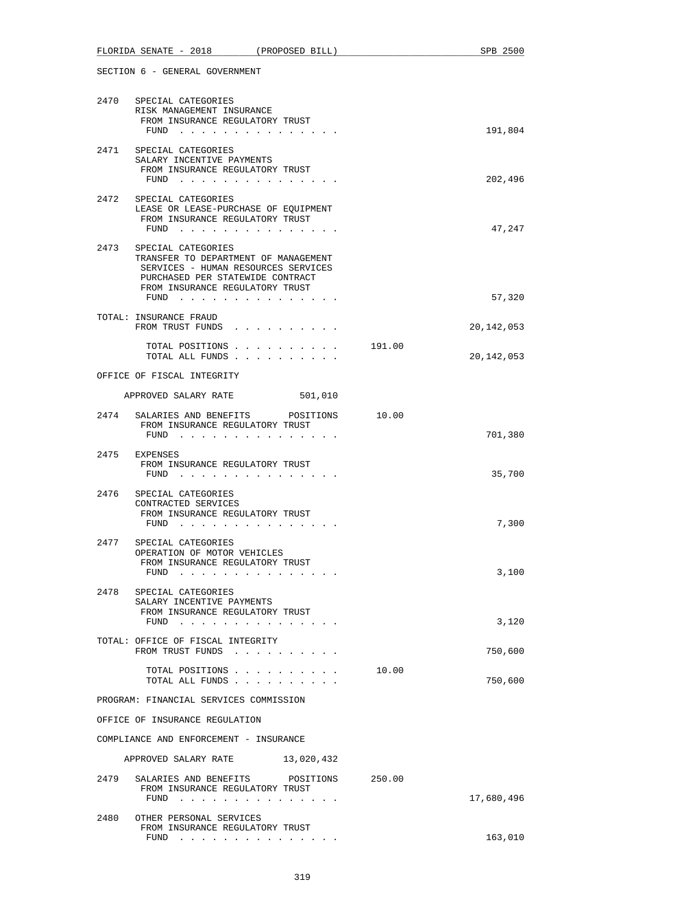|      | FLORIDA SENATE - 2018<br>(PROPOSED BILL)                                                                                                                                              |        | SPB 2500     |
|------|---------------------------------------------------------------------------------------------------------------------------------------------------------------------------------------|--------|--------------|
|      | SECTION 6 - GENERAL GOVERNMENT                                                                                                                                                        |        |              |
| 2470 | SPECIAL CATEGORIES<br>RISK MANAGEMENT INSURANCE<br>FROM INSURANCE REGULATORY TRUST<br>FUND $\cdots$                                                                                   |        | 191,804      |
| 2471 | SPECIAL CATEGORIES<br>SALARY INCENTIVE PAYMENTS<br>FROM INSURANCE REGULATORY TRUST                                                                                                    |        |              |
|      | FUND $\cdots$                                                                                                                                                                         |        | 202,496      |
| 2472 | SPECIAL CATEGORIES<br>LEASE OR LEASE-PURCHASE OF EQUIPMENT<br>FROM INSURANCE REGULATORY TRUST<br>FUND $\cdots$                                                                        |        | 47,247       |
|      | 2473 SPECIAL CATEGORIES<br>TRANSFER TO DEPARTMENT OF MANAGEMENT<br>SERVICES - HUMAN RESOURCES SERVICES<br>PURCHASED PER STATEWIDE CONTRACT<br>FROM INSURANCE REGULATORY TRUST<br>FUND |        | 57,320       |
|      | TOTAL: INSURANCE FRAUD                                                                                                                                                                |        |              |
|      | FROM TRUST FUNDS                                                                                                                                                                      |        | 20, 142, 053 |
|      | TOTAL POSITIONS<br>TOTAL ALL FUNDS                                                                                                                                                    | 191.00 | 20,142,053   |
|      | OFFICE OF FISCAL INTEGRITY                                                                                                                                                            |        |              |
|      | APPROVED SALARY RATE<br>501,010                                                                                                                                                       |        |              |
|      | 2474 SALARIES AND BENEFITS POSITIONS 10.00<br>FROM INSURANCE REGULATORY TRUST<br>FUND $\cdots$                                                                                        |        | 701,380      |
|      | 2475 EXPENSES<br>FROM INSURANCE REGULATORY TRUST<br>FUND $\cdots$ $\cdots$ $\cdots$ $\cdots$ $\cdots$ $\cdots$ $\cdots$                                                               |        | 35,700       |
| 2476 | SPECIAL CATEGORIES<br>CONTRACTED SERVICES<br>FROM INSURANCE REGULATORY TRUST<br>FUND                                                                                                  |        | 7,300        |
| 2477 | SPECIAL CATEGORIES<br>OPERATION OF MOTOR VEHICLES<br>FROM INSURANCE REGULATORY TRUST<br>FUND<br>the contract of the contract of the                                                   |        | 3,100        |
|      | 2478 SPECIAL CATEGORIES<br>SALARY INCENTIVE PAYMENTS<br>FROM INSURANCE REGULATORY TRUST<br>FUND $\cdots$ $\cdots$ $\cdots$ $\cdots$ $\cdots$ $\cdots$ $\cdots$                        |        | 3,120        |
|      | TOTAL: OFFICE OF FISCAL INTEGRITY<br>FROM TRUST FUNDS                                                                                                                                 |        | 750,600      |
|      | TOTAL POSITIONS<br>TOTAL ALL FUNDS                                                                                                                                                    | 10.00  | 750,600      |
|      | PROGRAM: FINANCIAL SERVICES COMMISSION                                                                                                                                                |        |              |
|      | OFFICE OF INSURANCE REGULATION                                                                                                                                                        |        |              |
|      | COMPLIANCE AND ENFORCEMENT - INSURANCE                                                                                                                                                |        |              |
|      | APPROVED SALARY RATE 13,020,432                                                                                                                                                       |        |              |
| 2479 | SALARIES AND BENEFITS<br>POSITIONS 250.00<br>FROM INSURANCE REGULATORY TRUST<br>FUND $\cdots$                                                                                         |        | 17,680,496   |
| 2480 | OTHER PERSONAL SERVICES<br>FROM INSURANCE REGULATORY TRUST<br>$FUND$                                                                                                                  |        | 163,010      |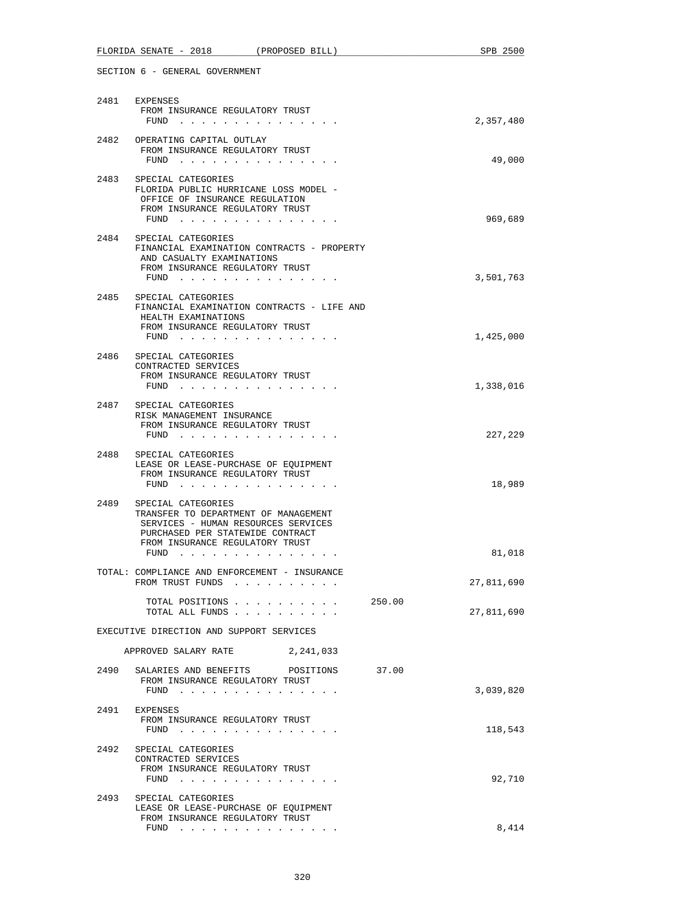| FLORIDA SENATE - 2018 (PROPOSED BILL)                                                                                                                                                                                                                                                                                                                                                                                     | SPB 2500   |
|---------------------------------------------------------------------------------------------------------------------------------------------------------------------------------------------------------------------------------------------------------------------------------------------------------------------------------------------------------------------------------------------------------------------------|------------|
| SECTION 6 - GENERAL GOVERNMENT                                                                                                                                                                                                                                                                                                                                                                                            |            |
| 2481 EXPENSES<br>FROM INSURANCE REGULATORY TRUST<br>FUND $\cdots$                                                                                                                                                                                                                                                                                                                                                         | 2,357,480  |
| 2482 OPERATING CAPITAL OUTLAY<br>FROM INSURANCE REGULATORY TRUST<br>FUND $\cdots$                                                                                                                                                                                                                                                                                                                                         | 49,000     |
| 2483<br>SPECIAL CATEGORIES<br>FLORIDA PUBLIC HURRICANE LOSS MODEL -<br>OFFICE OF INSURANCE REGULATION<br>FROM INSURANCE REGULATORY TRUST<br>FUND $\cdots$                                                                                                                                                                                                                                                                 | 969,689    |
| 2484 SPECIAL CATEGORIES<br>FINANCIAL EXAMINATION CONTRACTS - PROPERTY<br>AND CASUALTY EXAMINATIONS<br>FROM INSURANCE REGULATORY TRUST<br>FUND $\cdots$                                                                                                                                                                                                                                                                    | 3,501,763  |
| 2485<br>SPECIAL CATEGORIES<br>FINANCIAL EXAMINATION CONTRACTS - LIFE AND<br>HEALTH EXAMINATIONS<br>FROM INSURANCE REGULATORY TRUST<br>FUND $\cdots$                                                                                                                                                                                                                                                                       | 1,425,000  |
| 2486<br>SPECIAL CATEGORIES<br>CONTRACTED SERVICES<br>FROM INSURANCE REGULATORY TRUST<br>FUND $\cdots$ $\cdots$ $\cdots$ $\cdots$ $\cdots$ $\cdots$ $\cdots$                                                                                                                                                                                                                                                               | 1,338,016  |
| 2487<br>SPECIAL CATEGORIES<br>RISK MANAGEMENT INSURANCE<br>FROM INSURANCE REGULATORY TRUST<br>FUND $\cdots$                                                                                                                                                                                                                                                                                                               | 227,229    |
| 2488<br>SPECIAL CATEGORIES<br>LEASE OR LEASE-PURCHASE OF EQUIPMENT<br>FROM INSURANCE REGULATORY TRUST<br>FUND $\cdots$                                                                                                                                                                                                                                                                                                    | 18,989     |
| 2489<br>SPECIAL CATEGORIES<br>TRANSFER TO DEPARTMENT OF MANAGEMENT<br>SERVICES - HUMAN RESOURCES SERVICES<br>PURCHASED PER STATEWIDE CONTRACT<br>FROM INSURANCE REGULATORY TRUST<br>FUND<br>the company of the company of the company of the company of the company of the company of the company of the company of the company of the company of the company of the company of the company of the company of the company | 81,018     |
| TOTAL: COMPLIANCE AND ENFORCEMENT - INSURANCE<br>FROM TRUST FUNDS                                                                                                                                                                                                                                                                                                                                                         | 27,811,690 |
| TOTAL POSITIONS<br>250.00<br>TOTAL ALL FUNDS                                                                                                                                                                                                                                                                                                                                                                              | 27,811,690 |
| EXECUTIVE DIRECTION AND SUPPORT SERVICES                                                                                                                                                                                                                                                                                                                                                                                  |            |
| APPROVED SALARY RATE<br>2,241,033                                                                                                                                                                                                                                                                                                                                                                                         |            |
| 2490 SALARIES AND BENEFITS POSITIONS<br>37.00<br>FROM INSURANCE REGULATORY TRUST<br>FUND $\cdots$                                                                                                                                                                                                                                                                                                                         | 3,039,820  |
| 2491 EXPENSES<br>FROM INSURANCE REGULATORY TRUST<br>FUND $\cdots$                                                                                                                                                                                                                                                                                                                                                         | 118,543    |
| 2492<br>SPECIAL CATEGORIES<br>CONTRACTED SERVICES<br>FROM INSURANCE REGULATORY TRUST<br>FUND $\cdots$ $\cdots$ $\cdots$ $\cdots$ $\cdots$ $\cdots$                                                                                                                                                                                                                                                                        | 92,710     |
| 2493<br>SPECIAL CATEGORIES<br>LEASE OR LEASE-PURCHASE OF EQUIPMENT<br>FROM INSURANCE REGULATORY TRUST                                                                                                                                                                                                                                                                                                                     |            |
| $FUND$                                                                                                                                                                                                                                                                                                                                                                                                                    | 8,414      |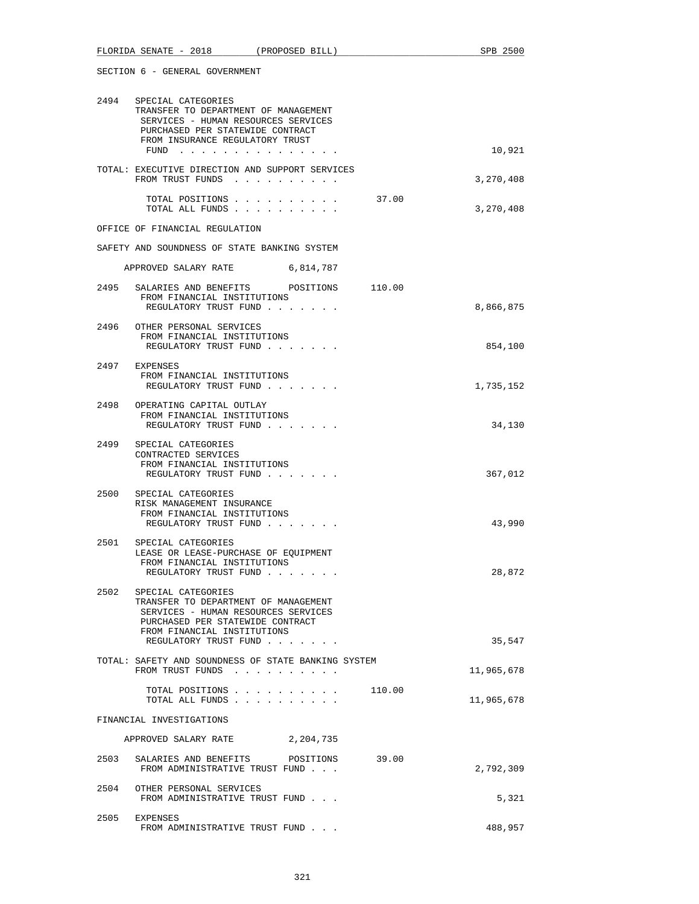|      | 2494 SPECIAL CATEGORIES<br>TRANSFER TO DEPARTMENT OF MANAGEMENT<br>SERVICES - HUMAN RESOURCES SERVICES<br>PURCHASED PER STATEWIDE CONTRACT<br>FROM INSURANCE REGULATORY TRUST<br>FUND $\cdots$ |        | 10,921     |
|------|------------------------------------------------------------------------------------------------------------------------------------------------------------------------------------------------|--------|------------|
|      | TOTAL: EXECUTIVE DIRECTION AND SUPPORT SERVICES<br>FROM TRUST FUNDS                                                                                                                            |        | 3,270,408  |
|      | TOTAL POSITIONS<br>TOTAL ALL FUNDS                                                                                                                                                             | 37.00  | 3,270,408  |
|      | OFFICE OF FINANCIAL REGULATION                                                                                                                                                                 |        |            |
|      | SAFETY AND SOUNDNESS OF STATE BANKING SYSTEM                                                                                                                                                   |        |            |
|      | 6,814,787<br>APPROVED SALARY RATE                                                                                                                                                              |        |            |
|      | 2495 SALARIES AND BENEFITS POSITIONS 110.00<br>FROM FINANCIAL INSTITUTIONS<br>REGULATORY TRUST FUND                                                                                            |        | 8,866,875  |
|      | 2496 OTHER PERSONAL SERVICES<br>FROM FINANCIAL INSTITUTIONS<br>REGULATORY TRUST FUND                                                                                                           |        | 854,100    |
| 2497 | EXPENSES<br>FROM FINANCIAL INSTITUTIONS<br>REGULATORY TRUST FUND                                                                                                                               |        | 1,735,152  |
|      | 2498 OPERATING CAPITAL OUTLAY<br>FROM FINANCIAL INSTITUTIONS<br>REGULATORY TRUST FUND                                                                                                          |        | 34,130     |
|      | 2499 SPECIAL CATEGORIES<br>CONTRACTED SERVICES<br>FROM FINANCIAL INSTITUTIONS<br>REGULATORY TRUST FUND                                                                                         |        | 367,012    |
|      | 2500 SPECIAL CATEGORIES<br>RISK MANAGEMENT INSURANCE<br>FROM FINANCIAL INSTITUTIONS<br>REGULATORY TRUST FUND                                                                                   |        | 43,990     |
| 2501 | SPECIAL CATEGORIES<br>LEASE OR LEASE-PURCHASE OF EQUIPMENT<br>FROM FINANCIAL INSTITUTIONS<br>REGULATORY TRUST FUND                                                                             |        | 28,872     |
|      | 2502 SPECIAL CATEGORIES<br>TRANSFER TO DEPARTMENT OF MANAGEMENT<br>SERVICES - HUMAN RESOURCES SERVICES<br>PURCHASED PER STATEWIDE CONTRACT<br>FROM FINANCIAL INSTITUTIONS                      |        |            |
|      | REGULATORY TRUST FUND                                                                                                                                                                          |        | 35,547     |
|      | TOTAL: SAFETY AND SOUNDNESS OF STATE BANKING SYSTEM<br>FROM TRUST FUNDS                                                                                                                        |        | 11,965,678 |
|      | TOTAL POSITIONS<br>TOTAL ALL FUNDS                                                                                                                                                             | 110.00 | 11,965,678 |
|      | FINANCIAL INVESTIGATIONS                                                                                                                                                                       |        |            |
|      | APPROVED SALARY RATE<br>2,204,735                                                                                                                                                              |        |            |
| 2503 | SALARIES AND BENEFITS POSITIONS<br>FROM ADMINISTRATIVE TRUST FUND                                                                                                                              | 39.00  | 2,792,309  |
| 2504 | OTHER PERSONAL SERVICES<br>FROM ADMINISTRATIVE TRUST FUND                                                                                                                                      |        | 5,321      |
| 2505 | EXPENSES<br>FROM ADMINISTRATIVE TRUST FUND                                                                                                                                                     |        | 488,957    |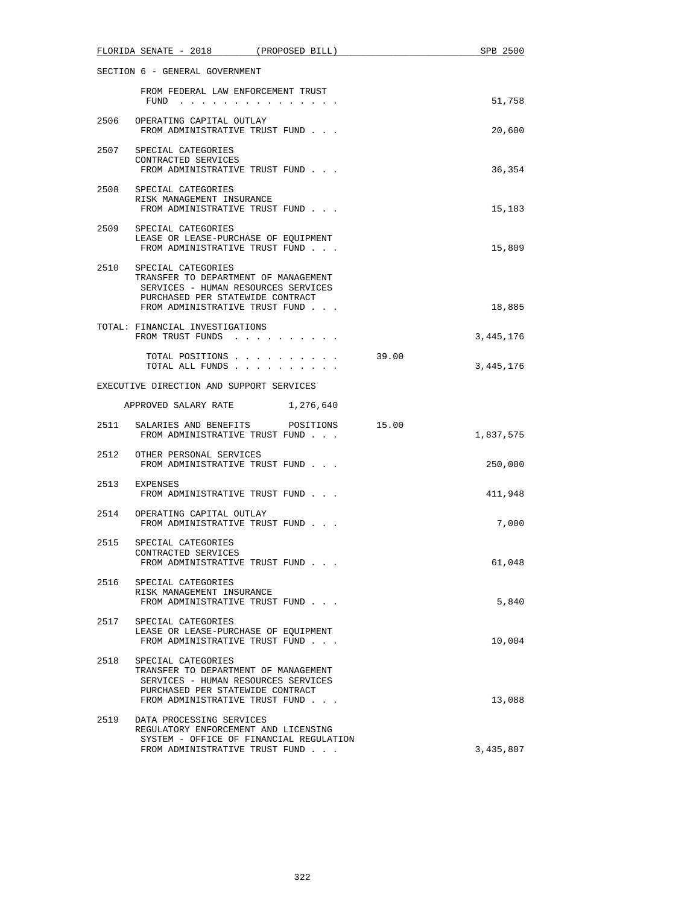|                                | FLORIDA SENATE - 2018 (PROPOSED BILL)                                                                                                                                        |       | SPB 2500  |  |
|--------------------------------|------------------------------------------------------------------------------------------------------------------------------------------------------------------------------|-------|-----------|--|
| SECTION 6 - GENERAL GOVERNMENT |                                                                                                                                                                              |       |           |  |
|                                | FROM FEDERAL LAW ENFORCEMENT TRUST<br>FUND $\cdots$                                                                                                                          |       | 51,758    |  |
| 2506                           | OPERATING CAPITAL OUTLAY<br>FROM ADMINISTRATIVE TRUST FUND                                                                                                                   |       | 20,600    |  |
|                                | 2507 SPECIAL CATEGORIES<br>CONTRACTED SERVICES<br>FROM ADMINISTRATIVE TRUST FUND                                                                                             |       | 36,354    |  |
| 2508                           | SPECIAL CATEGORIES<br>RISK MANAGEMENT INSURANCE<br>FROM ADMINISTRATIVE TRUST FUND                                                                                            |       | 15,183    |  |
| 2509                           | SPECIAL CATEGORIES<br>LEASE OR LEASE-PURCHASE OF EQUIPMENT<br>FROM ADMINISTRATIVE TRUST FUND                                                                                 |       | 15,809    |  |
|                                | 2510 SPECIAL CATEGORIES<br>TRANSFER TO DEPARTMENT OF MANAGEMENT<br>SERVICES - HUMAN RESOURCES SERVICES<br>PURCHASED PER STATEWIDE CONTRACT<br>FROM ADMINISTRATIVE TRUST FUND |       | 18,885    |  |
|                                | TOTAL: FINANCIAL INVESTIGATIONS<br>FROM TRUST FUNDS                                                                                                                          |       | 3,445,176 |  |
|                                | TOTAL POSITIONS<br>TOTAL ALL FUNDS                                                                                                                                           | 39.00 | 3,445,176 |  |
|                                | EXECUTIVE DIRECTION AND SUPPORT SERVICES                                                                                                                                     |       |           |  |
|                                | APPROVED SALARY RATE<br>1,276,640                                                                                                                                            |       |           |  |
|                                | 2511 SALARIES AND BENEFITS POSITIONS<br>FROM ADMINISTRATIVE TRUST FUND                                                                                                       | 15.00 | 1,837,575 |  |
|                                | 2512 OTHER PERSONAL SERVICES<br>FROM ADMINISTRATIVE TRUST FUND                                                                                                               |       | 250,000   |  |
|                                | 2513 EXPENSES<br>FROM ADMINISTRATIVE TRUST FUND                                                                                                                              |       | 411,948   |  |
|                                | 2514 OPERATING CAPITAL OUTLAY<br>FROM ADMINISTRATIVE TRUST FUND                                                                                                              |       | 7,000     |  |
| 2515                           | SPECIAL CATEGORIES<br>CONTRACTED SERVICES<br>FROM ADMINISTRATIVE TRUST FUND                                                                                                  |       | 61,048    |  |
|                                | 2516 SPECIAL CATEGORIES<br>RISK MANAGEMENT INSURANCE<br>FROM ADMINISTRATIVE TRUST FUND                                                                                       |       | 5,840     |  |
| 2517                           | SPECIAL CATEGORIES<br>LEASE OR LEASE-PURCHASE OF EQUIPMENT<br>FROM ADMINISTRATIVE TRUST FUND                                                                                 |       | 10,004    |  |
| 2518                           | SPECIAL CATEGORIES<br>TRANSFER TO DEPARTMENT OF MANAGEMENT<br>SERVICES - HUMAN RESOURCES SERVICES<br>PURCHASED PER STATEWIDE CONTRACT<br>FROM ADMINISTRATIVE TRUST FUND      |       | 13,088    |  |
| 2519                           | DATA PROCESSING SERVICES<br>REGULATORY ENFORCEMENT AND LICENSING<br>SYSTEM - OFFICE OF FINANCIAL REGULATION                                                                  |       |           |  |
|                                | FROM ADMINISTRATIVE TRUST FUND                                                                                                                                               |       | 3,435,807 |  |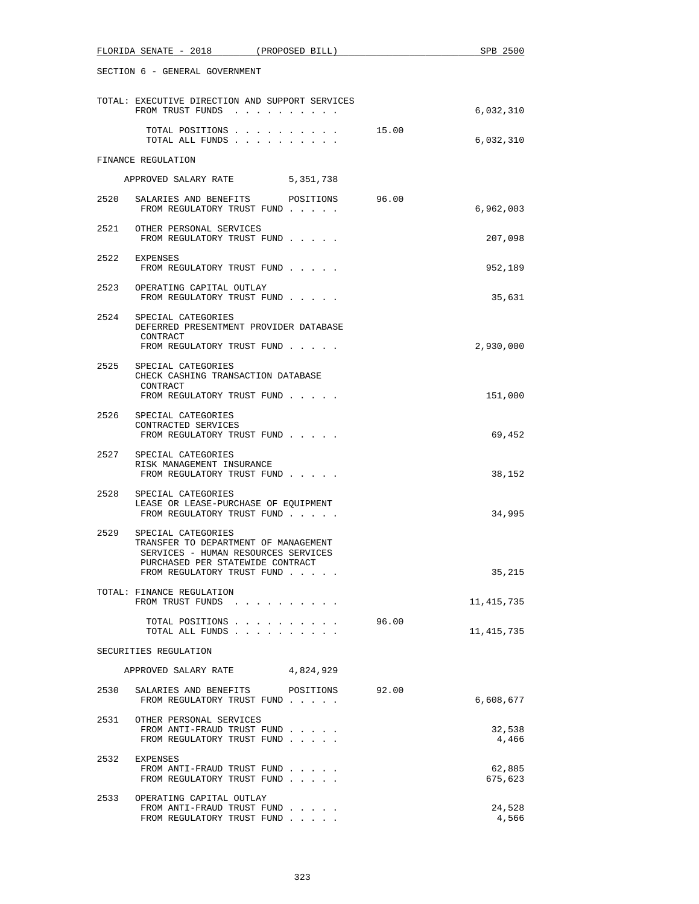|      | FLORIDA SENATE - 2018<br>(PROPOSED BILL)                                                                                                                            |  |       | SPB 2500          |  |
|------|---------------------------------------------------------------------------------------------------------------------------------------------------------------------|--|-------|-------------------|--|
|      | SECTION 6 - GENERAL GOVERNMENT                                                                                                                                      |  |       |                   |  |
|      | TOTAL: EXECUTIVE DIRECTION AND SUPPORT SERVICES<br>FROM TRUST FUNDS                                                                                                 |  |       | 6,032,310         |  |
|      | TOTAL POSITIONS<br>TOTAL ALL FUNDS                                                                                                                                  |  | 15.00 | 6,032,310         |  |
|      | FINANCE REGULATION                                                                                                                                                  |  |       |                   |  |
|      | APPROVED SALARY RATE 5,351,738                                                                                                                                      |  |       |                   |  |
|      | 2520 SALARIES AND BENEFITS POSITIONS 96.00<br>FROM REGULATORY TRUST FUND                                                                                            |  |       | 6,962,003         |  |
|      | 2521 OTHER PERSONAL SERVICES<br>FROM REGULATORY TRUST FUND                                                                                                          |  |       | 207,098           |  |
| 2522 | EXPENSES<br>FROM REGULATORY TRUST FUND                                                                                                                              |  |       | 952,189           |  |
|      | 2523 OPERATING CAPITAL OUTLAY<br>FROM REGULATORY TRUST FUND                                                                                                         |  |       | 35,631            |  |
|      | 2524 SPECIAL CATEGORIES<br>DEFERRED PRESENTMENT PROVIDER DATABASE<br>CONTRACT<br>FROM REGULATORY TRUST FUND                                                         |  |       | 2,930,000         |  |
|      | 2525 SPECIAL CATEGORIES<br>CHECK CASHING TRANSACTION DATABASE<br>CONTRACT                                                                                           |  |       |                   |  |
|      | FROM REGULATORY TRUST FUND<br>2526 SPECIAL CATEGORIES                                                                                                               |  |       | 151,000           |  |
|      | CONTRACTED SERVICES<br>FROM REGULATORY TRUST FUND                                                                                                                   |  |       | 69,452            |  |
|      | 2527 SPECIAL CATEGORIES<br>RISK MANAGEMENT INSURANCE<br>FROM REGULATORY TRUST FUND                                                                                  |  |       | 38,152            |  |
|      | 2528 SPECIAL CATEGORIES<br>LEASE OR LEASE-PURCHASE OF EOUIPMENT<br>FROM REGULATORY TRUST FUND                                                                       |  |       | 34,995            |  |
| 2529 | SPECIAL CATEGORIES<br>TRANSFER TO DEPARTMENT OF MANAGEMENT<br>SERVICES - HUMAN RESOURCES SERVICES<br>PURCHASED PER STATEWIDE CONTRACT<br>FROM REGULATORY TRUST FUND |  |       | 35,215            |  |
|      | TOTAL: FINANCE REGULATION<br>FROM TRUST FUNDS                                                                                                                       |  |       | 11,415,735        |  |
|      | TOTAL POSITIONS<br>TOTAL ALL FUNDS                                                                                                                                  |  | 96.00 | 11, 415, 735      |  |
|      | SECURITIES REGULATION                                                                                                                                               |  |       |                   |  |
|      | APPROVED SALARY RATE 4,824,929                                                                                                                                      |  |       |                   |  |
| 2530 | SALARIES AND BENEFITS POSITIONS<br>FROM REGULATORY TRUST FUND                                                                                                       |  | 92.00 | 6,608,677         |  |
|      | 2531 OTHER PERSONAL SERVICES<br>FROM ANTI-FRAUD TRUST FUND<br>FROM REGULATORY TRUST FUND                                                                            |  |       | 32,538<br>4,466   |  |
| 2532 | EXPENSES<br>FROM ANTI-FRAUD TRUST FUND<br>FROM REGULATORY TRUST FUND                                                                                                |  |       | 62,885<br>675,623 |  |
| 2533 | OPERATING CAPITAL OUTLAY<br>FROM ANTI-FRAUD TRUST FUND<br>FROM REGULATORY TRUST FUND                                                                                |  |       | 24,528<br>4,566   |  |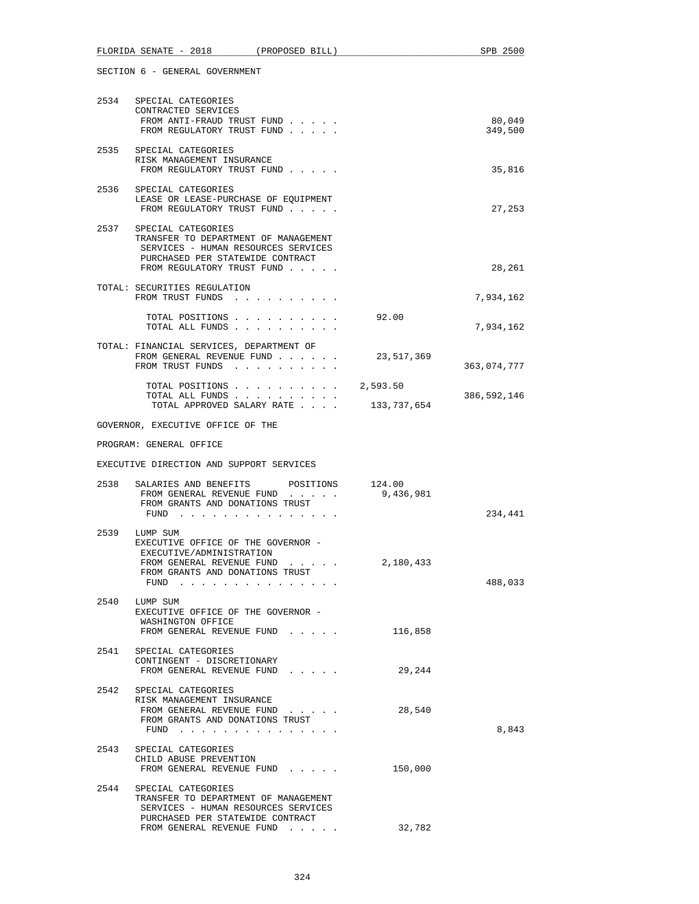|      | FLORIDA SENATE - 2018<br>(PROPOSED BILL)                                                                                                                                 |                         | SPB 2500          |
|------|--------------------------------------------------------------------------------------------------------------------------------------------------------------------------|-------------------------|-------------------|
|      | SECTION 6 - GENERAL GOVERNMENT                                                                                                                                           |                         |                   |
|      | 2534 SPECIAL CATEGORIES<br>CONTRACTED SERVICES<br>FROM ANTI-FRAUD TRUST FUND<br>FROM REGULATORY TRUST FUND                                                               |                         | 80,049<br>349,500 |
| 2535 | SPECIAL CATEGORIES<br>RISK MANAGEMENT INSURANCE<br>FROM REGULATORY TRUST FUND                                                                                            |                         | 35,816            |
|      | 2536 SPECIAL CATEGORIES<br>LEASE OR LEASE-PURCHASE OF EQUIPMENT<br>FROM REGULATORY TRUST FUND                                                                            |                         | 27,253            |
|      | 2537 SPECIAL CATEGORIES<br>TRANSFER TO DEPARTMENT OF MANAGEMENT<br>SERVICES - HUMAN RESOURCES SERVICES<br>PURCHASED PER STATEWIDE CONTRACT<br>FROM REGULATORY TRUST FUND |                         | 28,261            |
|      | TOTAL: SECURITIES REGULATION<br>FROM TRUST FUNDS                                                                                                                         |                         | 7,934,162         |
|      | TOTAL POSITIONS<br>TOTAL ALL FUNDS                                                                                                                                       | 92.00                   | 7,934,162         |
|      | TOTAL: FINANCIAL SERVICES, DEPARTMENT OF<br>FROM GENERAL REVENUE FUND<br>FROM TRUST FUNDS                                                                                | 23,517,369              | 363,074,777       |
|      | TOTAL POSITIONS<br>TOTAL ALL FUNDS<br>TOTAL APPROVED SALARY RATE                                                                                                         | 2,593.50<br>133,737,654 | 386,592,146       |
|      | GOVERNOR, EXECUTIVE OFFICE OF THE                                                                                                                                        |                         |                   |
|      | PROGRAM: GENERAL OFFICE                                                                                                                                                  |                         |                   |
|      | EXECUTIVE DIRECTION AND SUPPORT SERVICES                                                                                                                                 |                         |                   |
|      | 2538 SALARIES AND BENEFITS POSITIONS 124.00<br>FROM GENERAL REVENUE FUND<br>FROM GRANTS AND DONATIONS TRUST<br>FUND $\cdots$                                             | 9,436,981               | 234,441           |
| 2539 | LUMP SUM<br>EXECUTIVE OFFICE OF THE GOVERNOR -<br>EXECUTIVE/ADMINISTRATION<br>FROM GENERAL REVENUE FUND<br>FROM GRANTS AND DONATIONS TRUST<br>FUND $\cdots$              | 2,180,433               | 488,033           |
| 2540 | LUMP SUM<br>EXECUTIVE OFFICE OF THE GOVERNOR -<br>WASHINGTON OFFICE<br>FROM GENERAL REVENUE FUND                                                                         | 116,858                 |                   |
| 2541 | SPECIAL CATEGORIES<br>CONTINGENT - DISCRETIONARY<br>FROM GENERAL REVENUE FUND                                                                                            | 29,244                  |                   |
| 2542 | SPECIAL CATEGORIES<br>RISK MANAGEMENT INSURANCE<br>FROM GENERAL REVENUE FUND<br>FROM GRANTS AND DONATIONS TRUST<br>FUND $\cdots$                                         | 28,540                  | 8,843             |
|      | 2543 SPECIAL CATEGORIES<br>CHILD ABUSE PREVENTION<br>FROM GENERAL REVENUE FUND                                                                                           | 150,000                 |                   |
| 2544 | SPECIAL CATEGORIES<br>TRANSFER TO DEPARTMENT OF MANAGEMENT<br>SERVICES - HUMAN RESOURCES SERVICES<br>PURCHASED PER STATEWIDE CONTRACT<br>FROM GENERAL REVENUE FUND       | 32,782                  |                   |
|      |                                                                                                                                                                          |                         |                   |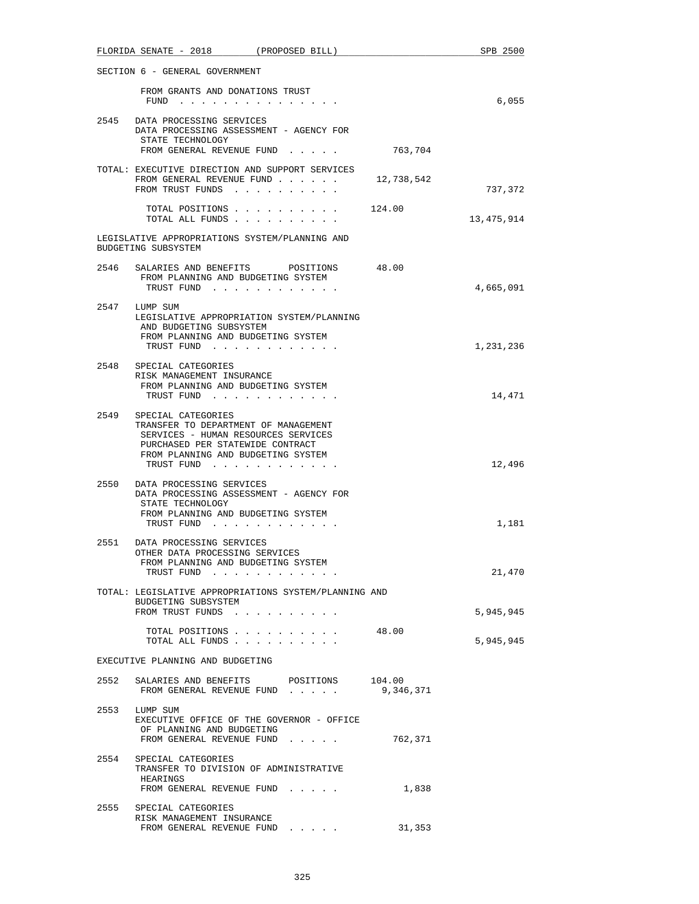|      | FLORIDA SENATE - 2018 (PROPOSED BILL)                                                                                                                                                     |                     | SPB 2500               |
|------|-------------------------------------------------------------------------------------------------------------------------------------------------------------------------------------------|---------------------|------------------------|
|      | SECTION 6 - GENERAL GOVERNMENT                                                                                                                                                            |                     |                        |
|      | FROM GRANTS AND DONATIONS TRUST<br>FUND $\cdots$                                                                                                                                          |                     | 6,055                  |
|      | 2545 DATA PROCESSING SERVICES<br>DATA PROCESSING ASSESSMENT - AGENCY FOR<br>STATE TECHNOLOGY                                                                                              |                     |                        |
|      | FROM GENERAL REVENUE FUND 763,704                                                                                                                                                         |                     |                        |
|      | TOTAL: EXECUTIVE DIRECTION AND SUPPORT SERVICES<br>FROM GENERAL REVENUE FUND<br>FROM TRUST FUNDS                                                                                          | 12,738,542          | 737,372                |
|      | TOTAL POSITIONS<br>TOTAL ALL FUNDS                                                                                                                                                        | 124.00              | 13,475,914             |
|      | LEGISLATIVE APPROPRIATIONS SYSTEM/PLANNING AND<br>BUDGETING SUBSYSTEM                                                                                                                     |                     |                        |
| 2546 | SALARIES AND BENEFITS POSITIONS 48.00<br>FROM PLANNING AND BUDGETING SYSTEM<br>TRUST FUND                                                                                                 |                     | 4,665,091              |
|      | 2547 LUMP SUM<br>LEGISLATIVE APPROPRIATION SYSTEM/PLANNING<br>AND BUDGETING SUBSYSTEM<br>FROM PLANNING AND BUDGETING SYSTEM<br>TRUST FUND                                                 |                     | 1,231,236              |
|      | 2548 SPECIAL CATEGORIES<br>RISK MANAGEMENT INSURANCE<br>FROM PLANNING AND BUDGETING SYSTEM<br>TRUST FUND                                                                                  |                     | 14,471                 |
| 2549 | SPECIAL CATEGORIES<br>TRANSFER TO DEPARTMENT OF MANAGEMENT<br>SERVICES - HUMAN RESOURCES SERVICES<br>PURCHASED PER STATEWIDE CONTRACT<br>FROM PLANNING AND BUDGETING SYSTEM<br>TRUST FUND |                     | 12,496                 |
|      | 2550 DATA PROCESSING SERVICES<br>DATA PROCESSING ASSESSMENT - AGENCY FOR<br>STATE TECHNOLOGY<br>FROM PLANNING AND BUDGETING SYSTEM<br>TRUST FUND                                          |                     | 1,181                  |
|      | 2551 DATA PROCESSING SERVICES<br>OTHER DATA PROCESSING SERVICES<br>FROM PLANNING AND BUDGETING SYSTEM<br>TRUST FUND                                                                       |                     | 21,470                 |
|      | TOTAL: LEGISLATIVE APPROPRIATIONS SYSTEM/PLANNING AND<br>BUDGETING SUBSYSTEM                                                                                                              |                     |                        |
|      | FROM TRUST FUNDS<br>TOTAL POSITIONS 48.00<br>TOTAL ALL FUNDS                                                                                                                              |                     | 5,945,945<br>5,945,945 |
|      | EXECUTIVE PLANNING AND BUDGETING                                                                                                                                                          |                     |                        |
| 2552 | SALARIES AND BENEFITS POSITIONS<br>FROM GENERAL REVENUE FUND                                                                                                                              | 104.00<br>9,346,371 |                        |
|      | 2553 LUMP SUM<br>EXECUTIVE OFFICE OF THE GOVERNOR - OFFICE<br>OF PLANNING AND BUDGETING<br>FROM GENERAL REVENUE FUND 762,371                                                              |                     |                        |
| 2554 | SPECIAL CATEGORIES<br>TRANSFER TO DIVISION OF ADMINISTRATIVE<br>HEARINGS<br>FROM GENERAL REVENUE FUND                                                                                     | 1,838               |                        |
|      | 2555 SPECIAL CATEGORIES                                                                                                                                                                   |                     |                        |
|      | RISK MANAGEMENT INSURANCE<br>FROM GENERAL REVENUE FUND                                                                                                                                    | 31,353              |                        |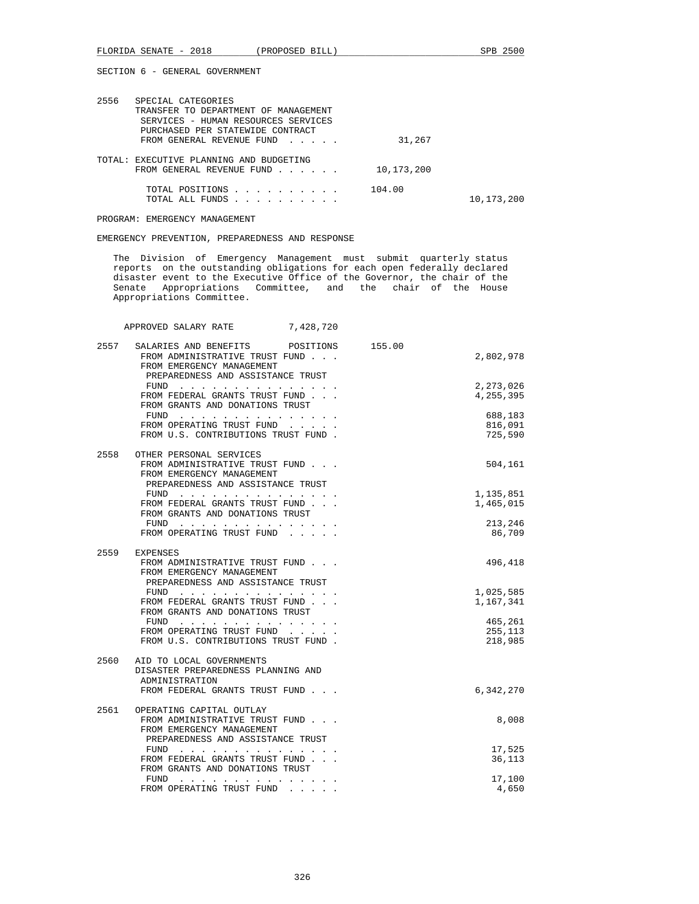| 2556 | SPECIAL CATEGORIES<br>TRANSFER TO DEPARTMENT OF MANAGEMENT<br>SERVICES - HUMAN RESOURCES SERVICES |            |            |
|------|---------------------------------------------------------------------------------------------------|------------|------------|
|      | PURCHASED PER STATEWIDE CONTRACT<br>FROM GENERAL REVENUE FUND                                     | 31,267     |            |
|      | TOTAL: EXECUTIVE PLANNING AND BUDGETING<br>FROM GENERAL REVENUE FUND                              | 10,173,200 |            |
|      | TOTAL POSITIONS<br>TOTAL ALL FUNDS                                                                | 104.00     | 10,173,200 |

PROGRAM: EMERGENCY MANAGEMENT

EMERGENCY PREVENTION, PREPAREDNESS AND RESPONSE

 The Division of Emergency Management must submit quarterly status reports on the outstanding obligations for each open federally declared disaster event to the Executive Office of the Governor, the chair of the Senate Appropriations Committee, and the chair of the House Appropriations Committee.

APPROVED SALARY RATE 7,428,720

| 2557 | SALARIES AND BENEFITS<br>POSITIONS<br>FROM ADMINISTRATIVE TRUST FUND<br>FROM EMERGENCY MANAGEMENT                                                                                                                                 | 155.00 | 2,802,978                     |
|------|-----------------------------------------------------------------------------------------------------------------------------------------------------------------------------------------------------------------------------------|--------|-------------------------------|
|      | PREPAREDNESS AND ASSISTANCE TRUST<br>FUND<br>the contract of the contract of the contract of the contract of the contract of the contract of the contract of<br>FROM FEDERAL GRANTS TRUST FUND<br>FROM GRANTS AND DONATIONS TRUST |        | 2,273,026<br>4,255,395        |
|      | FUND<br>a carried and a carried and a carried and<br>FROM OPERATING TRUST FUND<br>FROM U.S. CONTRIBUTIONS TRUST FUND.                                                                                                             |        | 688,183<br>816,091<br>725,590 |
| 2558 | OTHER PERSONAL SERVICES<br>FROM ADMINISTRATIVE TRUST FUND<br>FROM EMERGENCY MANAGEMENT<br>PREPAREDNESS AND ASSISTANCE TRUST                                                                                                       |        | 504,161                       |
|      | FUND<br>the contract of the contract of the contract of the contract of the contract of the contract of the contract of                                                                                                           |        | 1,135,851                     |
|      | FROM FEDERAL GRANTS TRUST FUND                                                                                                                                                                                                    |        | 1,465,015                     |
|      | FROM GRANTS AND DONATIONS TRUST                                                                                                                                                                                                   |        |                               |
|      | FUND<br>the contract of the contract of the contract of                                                                                                                                                                           |        | 213,246                       |
|      | FROM OPERATING TRUST FUND                                                                                                                                                                                                         |        | 86,709                        |
|      |                                                                                                                                                                                                                                   |        |                               |
| 2559 | <b>EXPENSES</b>                                                                                                                                                                                                                   |        | 496,418                       |
|      | FROM ADMINISTRATIVE TRUST FUND<br>FROM EMERGENCY MANAGEMENT                                                                                                                                                                       |        |                               |
|      | PREPAREDNESS AND ASSISTANCE TRUST                                                                                                                                                                                                 |        |                               |
|      | FUND                                                                                                                                                                                                                              |        | 1,025,585                     |
|      | FROM FEDERAL GRANTS TRUST FUND                                                                                                                                                                                                    |        | 1,167,341                     |
|      | FROM GRANTS AND DONATIONS TRUST                                                                                                                                                                                                   |        |                               |
|      | FUND                                                                                                                                                                                                                              |        | 465,261                       |
|      | FROM OPERATING TRUST FUND                                                                                                                                                                                                         |        | 255,113                       |
|      | FROM U.S. CONTRIBUTIONS TRUST FUND.                                                                                                                                                                                               |        | 218,985                       |
|      |                                                                                                                                                                                                                                   |        |                               |
| 2560 | AID TO LOCAL GOVERNMENTS                                                                                                                                                                                                          |        |                               |
|      | DISASTER PREPAREDNESS PLANNING AND                                                                                                                                                                                                |        |                               |
|      | ADMINISTRATION                                                                                                                                                                                                                    |        |                               |
|      | FROM FEDERAL GRANTS TRUST FUND                                                                                                                                                                                                    |        | 6,342,270                     |
|      |                                                                                                                                                                                                                                   |        |                               |
| 2561 | OPERATING CAPITAL OUTLAY                                                                                                                                                                                                          |        |                               |
|      | FROM ADMINISTRATIVE TRUST FUND                                                                                                                                                                                                    |        | 8,008                         |
|      | FROM EMERGENCY MANAGEMENT<br>PREPAREDNESS AND ASSISTANCE TRUST                                                                                                                                                                    |        |                               |
|      | FUND $\cdots$                                                                                                                                                                                                                     |        | 17,525                        |
|      | FROM FEDERAL GRANTS TRUST FUND                                                                                                                                                                                                    |        | 36,113                        |
|      | FROM GRANTS AND DONATIONS TRUST                                                                                                                                                                                                   |        |                               |
|      | FUND                                                                                                                                                                                                                              |        | 17,100                        |
|      | FROM OPERATING TRUST FUND                                                                                                                                                                                                         |        | 4,650                         |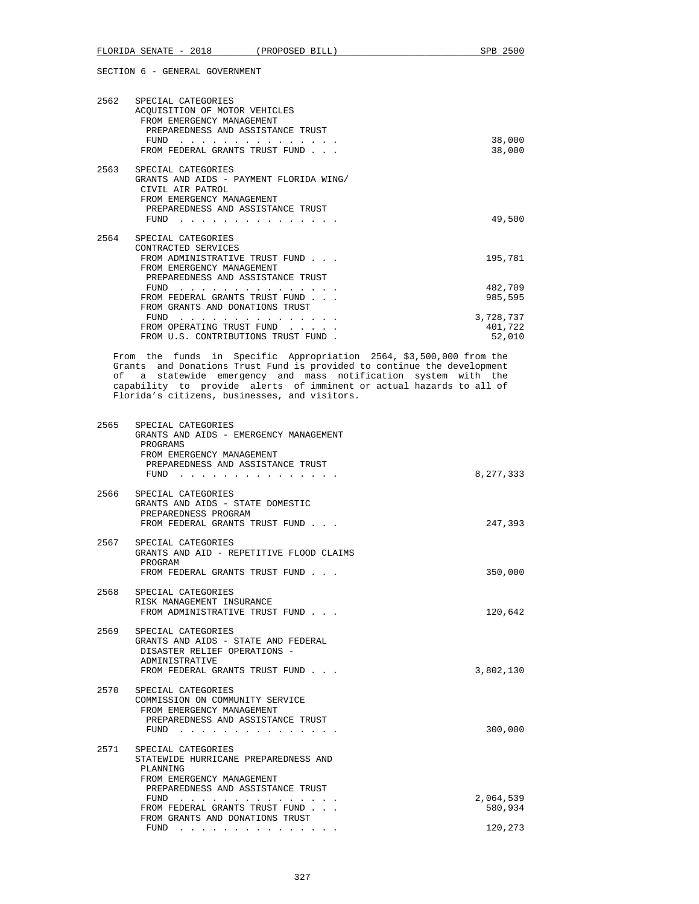|      | SECTION 6 - GENERAL GOVERNMENT                                                                                                                                                                                                                                                                                                                                                               |                  |
|------|----------------------------------------------------------------------------------------------------------------------------------------------------------------------------------------------------------------------------------------------------------------------------------------------------------------------------------------------------------------------------------------------|------------------|
| 2562 | SPECIAL CATEGORIES<br>ACOUISITION OF MOTOR VEHICLES<br>FROM EMERGENCY MANAGEMENT<br>PREPAREDNESS AND ASSISTANCE TRUST<br>FUND<br>FROM FEDERAL GRANTS TRUST FUND                                                                                                                                                                                                                              | 38,000<br>38,000 |
| 2563 | SPECIAL CATEGORIES<br>GRANTS AND AIDS - PAYMENT FLORIDA WING/<br>CIVIL AIR PATROL<br>FROM EMERGENCY MANAGEMENT<br>PREPAREDNESS AND ASSISTANCE TRUST<br>FUND<br>the company of the company of the company of the company of the company of the company of the company of the company of the company of the company of the company of the company of the company of the company of the company | 49,500           |

FLORIDA SENATE - 2018 (PROPOSED BILL) SPB 2500

| 2564 | SPECIAL CATEGORIES                 |           |
|------|------------------------------------|-----------|
|      | CONTRACTED SERVICES                |           |
|      | FROM ADMINISTRATIVE TRUST FUND     | 195,781   |
|      | FROM EMERGENCY MANAGEMENT          |           |
|      | PREPAREDNESS AND ASSISTANCE TRUST  |           |
|      | FUND                               | 482,709   |
|      | FROM FEDERAL GRANTS TRUST FUND     | 985,595   |
|      | FROM GRANTS AND DONATIONS TRUST    |           |
|      | FUND                               | 3,728,737 |
|      | FROM OPERATING TRUST FUND          | 401,722   |
|      | FROM U.S. CONTRIBUTIONS TRUST FUND | 52,010    |

 From the funds in Specific Appropriation 2564, \$3,500,000 from the Grants and Donations Trust Fund is provided to continue the development of a statewide emergency and mass notification system with the capability to provide alerts of imminent or actual hazards to all of Florida's citizens, businesses, and visitors.

| 2565 | SPECIAL CATEGORIES<br>GRANTS AND AIDS - EMERGENCY MANAGEMENT<br>PROGRAMS<br>FROM EMERGENCY MANAGEMENT<br>PREPAREDNESS AND ASSISTANCE TRUST<br>FUND<br>. | 8,277,333            |
|------|---------------------------------------------------------------------------------------------------------------------------------------------------------|----------------------|
|      | 2566 SPECIAL CATEGORIES<br>GRANTS AND AIDS - STATE DOMESTIC<br>PREPAREDNESS PROGRAM<br>FROM FEDERAL GRANTS TRUST FUND                                   | 247,393              |
|      | 2567 SPECIAL CATEGORIES<br>GRANTS AND AID - REPETITIVE FLOOD CLAIMS<br>PROGRAM<br>FROM FEDERAL GRANTS TRUST FUND                                        | 350,000              |
|      | 2568 SPECIAL CATEGORIES<br>RISK MANAGEMENT INSURANCE<br>FROM ADMINISTRATIVE TRUST FUND                                                                  | 120,642              |
| 2569 | SPECIAL CATEGORIES<br>GRANTS AND AIDS - STATE AND FEDERAL<br>DISASTER RELIEF OPERATIONS -<br>ADMINISTRATIVE<br>FROM FEDERAL GRANTS TRUST FUND           | 3,802,130            |
| 2570 | SPECIAL CATEGORIES<br>COMMISSION ON COMMUNITY SERVICE<br>FROM EMERGENCY MANAGEMENT<br>PREPAREDNESS AND ASSISTANCE TRUST<br>$FUND$ ,,,,,,,,,             | 300,000              |
| 2571 | SPECIAL CATEGORIES<br>STATEWIDE HURRICANE PREPAREDNESS AND<br>PLANNING<br>FROM EMERGENCY MANAGEMENT<br>PREPAREDNESS AND ASSISTANCE TRUST                |                      |
|      | FUND $\cdots$<br>FROM FEDERAL GRANTS TRUST FUND<br>FROM GRANTS AND DONATIONS TRUST                                                                      | 2,064,539<br>580,934 |
|      | FUND<br>the contract of the contract of the contract of the                                                                                             | 120,273              |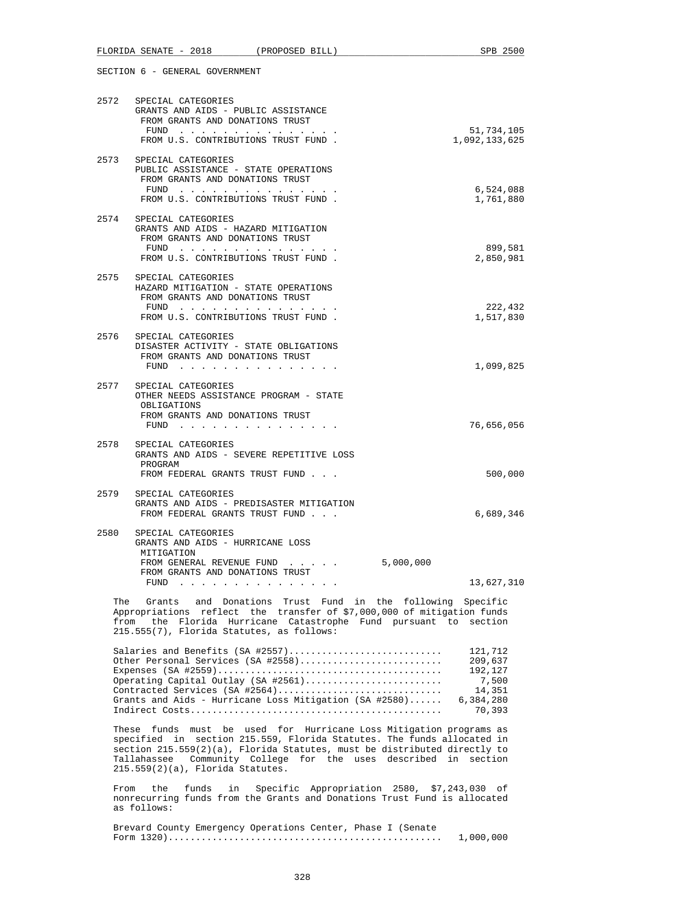|             | 2572 SPECIAL CATEGORIES<br>GRANTS AND AIDS - PUBLIC ASSISTANCE<br>FROM GRANTS AND DONATIONS TRUST<br>FUND<br>FROM U.S. CONTRIBUTIONS TRUST FUND.                                                                                                           | 51,734,105<br>1,092,133,625                                             |
|-------------|------------------------------------------------------------------------------------------------------------------------------------------------------------------------------------------------------------------------------------------------------------|-------------------------------------------------------------------------|
|             | 2573 SPECIAL CATEGORIES<br>PUBLIC ASSISTANCE - STATE OPERATIONS<br>FROM GRANTS AND DONATIONS TRUST<br>FUND<br>FROM U.S. CONTRIBUTIONS TRUST FUND.                                                                                                          | 6,524,088<br>1,761,880                                                  |
|             | 2574 SPECIAL CATEGORIES<br>GRANTS AND AIDS - HAZARD MITIGATION<br>FROM GRANTS AND DONATIONS TRUST<br>FUND<br>FROM U.S. CONTRIBUTIONS TRUST FUND.                                                                                                           | 899,581<br>2,850,981                                                    |
| 2575        | SPECIAL CATEGORIES<br>HAZARD MITIGATION - STATE OPERATIONS<br>FROM GRANTS AND DONATIONS TRUST<br>FUND $\cdots$<br>FROM U.S. CONTRIBUTIONS TRUST FUND.                                                                                                      | 222,432<br>1,517,830                                                    |
|             | 2576 SPECIAL CATEGORIES<br>DISASTER ACTIVITY - STATE OBLIGATIONS<br>FROM GRANTS AND DONATIONS TRUST<br>FUND $\cdots$                                                                                                                                       | 1,099,825                                                               |
| 2577        | SPECIAL CATEGORIES<br>OTHER NEEDS ASSISTANCE PROGRAM - STATE<br>OBLIGATIONS<br>FROM GRANTS AND DONATIONS TRUST<br>FUND                                                                                                                                     | 76,656,056                                                              |
| 2578        | SPECIAL CATEGORIES<br>GRANTS AND AIDS - SEVERE REPETITIVE LOSS<br>PROGRAM<br>FROM FEDERAL GRANTS TRUST FUND                                                                                                                                                | 500,000                                                                 |
|             | 2579 SPECIAL CATEGORIES<br>GRANTS AND AIDS - PREDISASTER MITIGATION<br>FROM FEDERAL GRANTS TRUST FUND                                                                                                                                                      | 6,689,346                                                               |
| 2580        | SPECIAL CATEGORIES<br>GRANTS AND AIDS - HURRICANE LOSS<br>MITIGATION<br>5,000,000<br>FROM GENERAL REVENUE FUND<br>FROM GRANTS AND DONATIONS TRUST<br>FUND                                                                                                  | 13,627,310                                                              |
| The<br>from | Trust Fund<br>in the following Specific<br>Donations<br>Grants<br>and<br>Appropriations reflect the transfer of \$7,000,000 of mitigation funds<br>the Florida Hurricane Catastrophe Fund pursuant to section<br>215.555(7), Florida Statutes, as follows: |                                                                         |
|             | Salaries and Benefits (SA #2557)<br>Other Personal Services (SA #2558)<br>Operating Capital Outlay (SA #2561)<br>Contracted Services (SA #2564)<br>Grants and Aids - Hurricane Loss Mitigation (SA #2580)                                                  | 121,712<br>209,637<br>192,127<br>7,500<br>14,351<br>6,384,280<br>70,393 |

 These funds must be used for Hurricane Loss Mitigation programs as specified in section 215.559, Florida Statutes. The funds allocated in section 215.559(2)(a), Florida Statutes, must be distributed directly to Tallahassee Community College for the uses described in section 215.559(2)(a), Florida Statutes.

 From the funds in Specific Appropriation 2580, \$7,243,030 of nonrecurring funds from the Grants and Donations Trust Fund is allocated as follows:

 Brevard County Emergency Operations Center, Phase I (Senate Form 1320).................................................. 1,000,000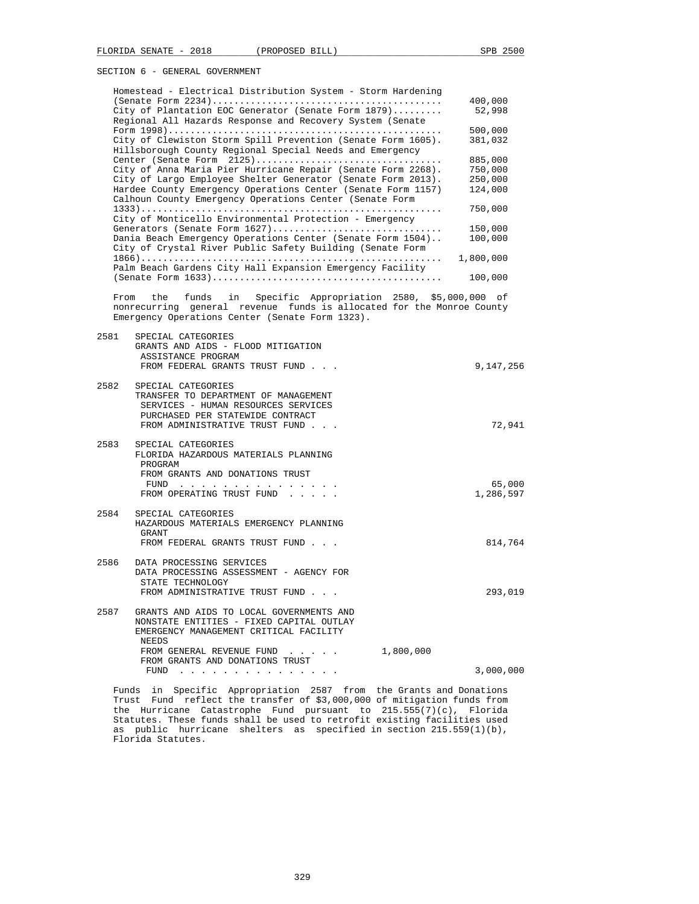| Homestead - Electrical Distribution System - Storm Hardening |           |
|--------------------------------------------------------------|-----------|
|                                                              | 400,000   |
| City of Plantation EOC Generator (Senate Form 1879)          | 52,998    |
| Regional All Hazards Response and Recovery System (Senate    |           |
|                                                              | 500,000   |
| City of Clewiston Storm Spill Prevention (Senate Form 1605). | 381,032   |
| Hillsborough County Regional Special Needs and Emergency     |           |
| Center (Senate Form 2125)                                    | 885,000   |
| City of Anna Maria Pier Hurricane Repair (Senate Form 2268). | 750,000   |
| City of Largo Employee Shelter Generator (Senate Form 2013). | 250,000   |
| Hardee County Emergency Operations Center (Senate Form 1157) | 124,000   |
| Calhoun County Emergency Operations Center (Senate Form      |           |
|                                                              | 750,000   |
| City of Monticello Environmental Protection - Emergency      |           |
| Generators (Senate Form 1627)                                | 150,000   |
| Dania Beach Emergency Operations Center (Senate Form 1504)   | 100,000   |
| City of Crystal River Public Safety Building (Senate Form    |           |
|                                                              | 1,800,000 |
| Palm Beach Gardens City Hall Expansion Emergency Facility    |           |
|                                                              | 100,000   |
|                                                              |           |

 From the funds in Specific Appropriation 2580, \$5,000,000 of nonrecurring general revenue funds is allocated for the Monroe County Emergency Operations Center (Senate Form 1323).

| 2581 | SPECIAL CATEGORIES<br>GRANTS AND AIDS - FLOOD MITIGATION<br>ASSISTANCE PROGRAM<br>FROM FEDERAL GRANTS TRUST FUND                                                        |           | 9,147,256           |
|------|-------------------------------------------------------------------------------------------------------------------------------------------------------------------------|-----------|---------------------|
| 2582 | SPECIAL CATEGORIES<br>TRANSFER TO DEPARTMENT OF MANAGEMENT<br>SERVICES - HUMAN RESOURCES SERVICES<br>PURCHASED PER STATEWIDE CONTRACT<br>FROM ADMINISTRATIVE TRUST FUND |           | 72,941              |
|      | 2583 SPECIAL CATEGORIES<br>FLORIDA HAZARDOUS MATERIALS PLANNING<br>PROGRAM<br>FROM GRANTS AND DONATIONS TRUST<br>FUND<br>FROM OPERATING TRUST FUND                      |           | 65,000<br>1,286,597 |
| 2584 | SPECIAL CATEGORIES<br>HAZARDOUS MATERIALS EMERGENCY PLANNING<br>GRANT<br>FROM FEDERAL GRANTS TRUST FUND                                                                 |           | 814,764             |
| 2586 | DATA PROCESSING SERVICES<br>DATA PROCESSING ASSESSMENT - AGENCY FOR<br>STATE TECHNOLOGY<br>FROM ADMINISTRATIVE TRUST FUND                                               |           | 293,019             |
| 2587 | GRANTS AND AIDS TO LOCAL GOVERNMENTS AND<br>NONSTATE ENTITIES - FIXED CAPITAL OUTLAY<br>EMERGENCY MANAGEMENT CRITICAL FACILITY<br><b>NEEDS</b>                          |           |                     |
|      | FROM GENERAL REVENUE FUND<br>.<br>FROM GRANTS AND DONATIONS TRUST                                                                                                       | 1,800,000 |                     |
|      | <b>FUND</b><br>والمناول والمناول والمناول والمناول والمناول والمناول                                                                                                    |           | 3,000,000           |

 Funds in Specific Appropriation 2587 from the Grants and Donations Trust Fund reflect the transfer of \$3,000,000 of mitigation funds from the Hurricane Catastrophe Fund pursuant to 215.555(7)(c), Florida Statutes. These funds shall be used to retrofit existing facilities used as public hurricane shelters as specified in section 215.559(1)(b), Florida Statutes.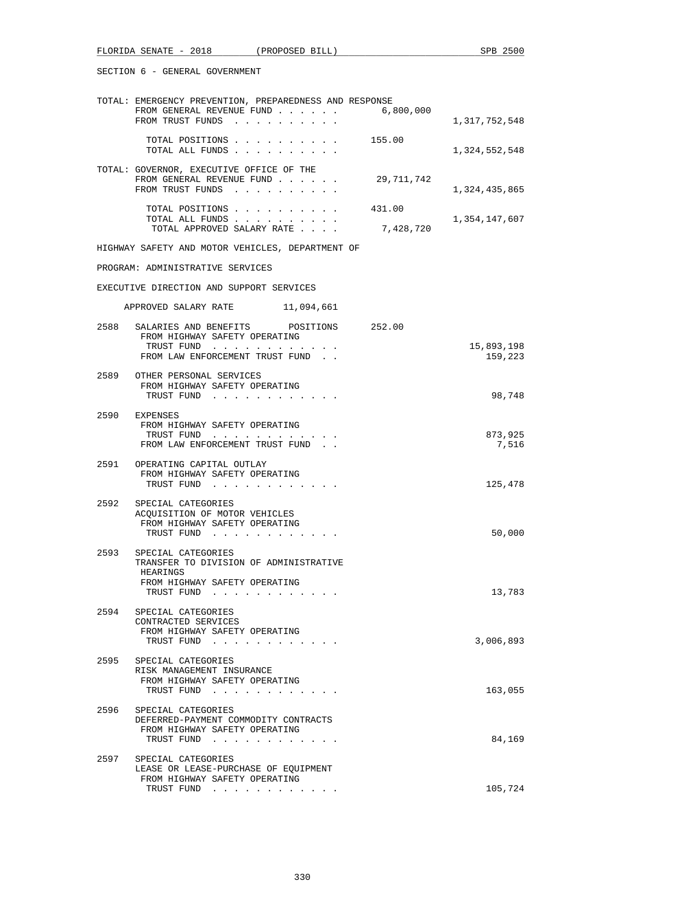|      | TOTAL: EMERGENCY PREVENTION, PREPAREDNESS AND RESPONSE                                                    |                     |                       |
|------|-----------------------------------------------------------------------------------------------------------|---------------------|-----------------------|
|      | FROM GENERAL REVENUE FUND<br>FROM TRUST FUNDS                                                             | 6,800,000           | 1,317,752,548         |
|      | TOTAL POSITIONS 155.00<br>TOTAL ALL FUNDS                                                                 |                     | 1,324,552,548         |
|      | TOTAL: GOVERNOR, EXECUTIVE OFFICE OF THE<br>FROM GENERAL REVENUE FUND<br>FROM TRUST FUNDS                 | 29,711,742          | 1,324,435,865         |
|      | TOTAL POSITIONS<br>TOTAL ALL FUNDS<br>TOTAL APPROVED SALARY RATE                                          | 431.00<br>7,428,720 | 1,354,147,607         |
|      | HIGHWAY SAFETY AND MOTOR VEHICLES, DEPARTMENT OF                                                          |                     |                       |
|      | PROGRAM: ADMINISTRATIVE SERVICES                                                                          |                     |                       |
|      | EXECUTIVE DIRECTION AND SUPPORT SERVICES                                                                  |                     |                       |
|      | APPROVED SALARY RATE 11,094,661                                                                           |                     |                       |
|      | 2588 SALARIES AND BENEFITS POSITIONS 252.00<br>FROM HIGHWAY SAFETY OPERATING                              |                     |                       |
|      | TRUST FUND<br>FROM LAW ENFORCEMENT TRUST FUND                                                             |                     | 15,893,198<br>159,223 |
|      | 2589 OTHER PERSONAL SERVICES<br>FROM HIGHWAY SAFETY OPERATING<br>TRUST FUND                               |                     | 98,748                |
|      | 2590 EXPENSES<br>FROM HIGHWAY SAFETY OPERATING<br>TRUST FUND                                              |                     | 873,925               |
|      | FROM LAW ENFORCEMENT TRUST FUND                                                                           |                     | 7,516                 |
|      | 2591 OPERATING CAPITAL OUTLAY<br>FROM HIGHWAY SAFETY OPERATING<br>TRUST FUND                              |                     | 125,478               |
|      | 2592 SPECIAL CATEGORIES<br>ACQUISITION OF MOTOR VEHICLES<br>FROM HIGHWAY SAFETY OPERATING<br>TRUST FUND   |                     | 50,000                |
|      | 2593 SPECIAL CATEGORIES<br>TRANSFER TO DIVISION OF ADMINISTRATIVE                                         |                     |                       |
|      | HEARINGS<br>FROM HIGHWAY SAFETY OPERATING<br>TRUST FUND                                                   |                     | 13,783                |
| 2594 | SPECIAL CATEGORIES<br>CONTRACTED SERVICES<br>FROM HIGHWAY SAFETY OPERATING<br>TRUST FUND                  |                     | 3,006,893             |
| 2595 | SPECIAL CATEGORIES<br>RISK MANAGEMENT INSURANCE<br>FROM HIGHWAY SAFETY OPERATING                          |                     |                       |
|      | TRUST FUND                                                                                                |                     | 163,055               |
| 2596 | SPECIAL CATEGORIES<br>DEFERRED-PAYMENT COMMODITY CONTRACTS<br>FROM HIGHWAY SAFETY OPERATING<br>TRUST FUND |                     | 84,169                |
| 2597 | SPECIAL CATEGORIES<br>LEASE OR LEASE-PURCHASE OF EQUIPMENT                                                |                     |                       |
|      | FROM HIGHWAY SAFETY OPERATING<br>TRUST FUND                                                               |                     | 105,724               |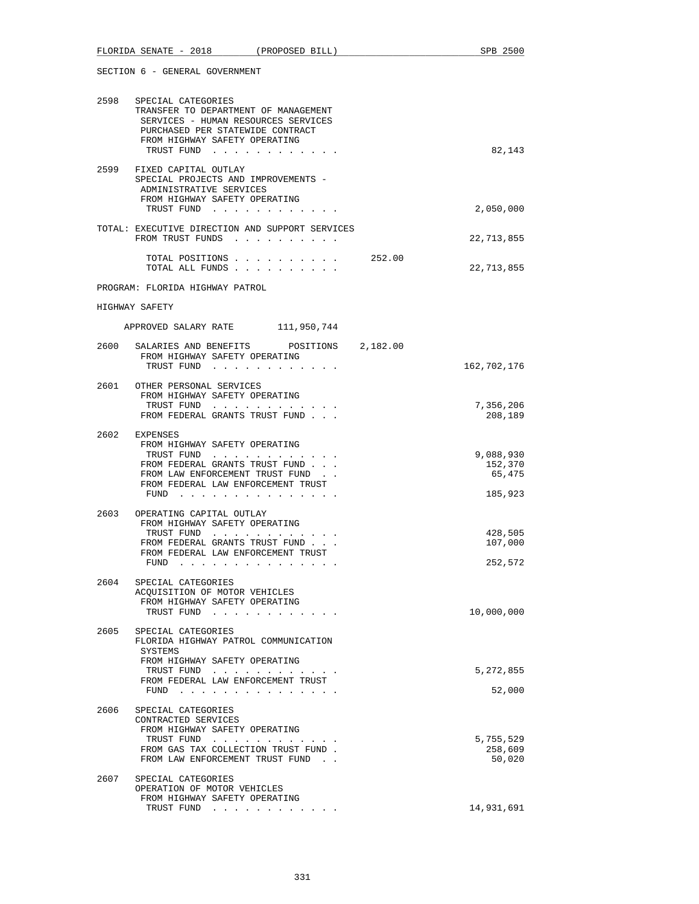|      | FLORIDA SENATE - 2018 (PROPOSED BILL)                                                                                                                                                          | SPB 2500                                  |
|------|------------------------------------------------------------------------------------------------------------------------------------------------------------------------------------------------|-------------------------------------------|
|      | SECTION 6 - GENERAL GOVERNMENT                                                                                                                                                                 |                                           |
| 2598 | SPECIAL CATEGORIES<br>TRANSFER TO DEPARTMENT OF MANAGEMENT<br>SERVICES - HUMAN RESOURCES SERVICES<br>PURCHASED PER STATEWIDE CONTRACT<br>FROM HIGHWAY SAFETY OPERATING<br>TRUST FUND           | 82,143                                    |
|      | 2599 FIXED CAPITAL OUTLAY<br>SPECIAL PROJECTS AND IMPROVEMENTS -<br>ADMINISTRATIVE SERVICES<br>FROM HIGHWAY SAFETY OPERATING<br>TRUST FUND                                                     | 2,050,000                                 |
|      | TOTAL: EXECUTIVE DIRECTION AND SUPPORT SERVICES<br>FROM TRUST FUNDS                                                                                                                            | 22,713,855                                |
|      | TOTAL POSITIONS<br>TOTAL ALL FUNDS                                                                                                                                                             | 252.00<br>22,713,855                      |
|      | PROGRAM: FLORIDA HIGHWAY PATROL                                                                                                                                                                |                                           |
|      | HIGHWAY SAFETY                                                                                                                                                                                 |                                           |
|      | APPROVED SALARY RATE 111,950,744                                                                                                                                                               |                                           |
| 2600 | SALARIES AND BENEFITS POSITIONS 2,182.00<br>FROM HIGHWAY SAFETY OPERATING<br>TRUST FUND                                                                                                        | 162,702,176                               |
|      | 2601 OTHER PERSONAL SERVICES<br>FROM HIGHWAY SAFETY OPERATING<br>TRUST FUND<br>FROM FEDERAL GRANTS TRUST FUND                                                                                  | 7,356,206<br>208,189                      |
| 2602 | EXPENSES<br>FROM HIGHWAY SAFETY OPERATING<br>TRUST FUND<br>FROM FEDERAL GRANTS TRUST FUND<br>FROM LAW ENFORCEMENT TRUST FUND.<br>FROM FEDERAL LAW ENFORCEMENT TRUST<br>FUND $\cdots$           | 9,088,930<br>152,370<br>65,475<br>185,923 |
| 2603 | OPERATING CAPITAL OUTLAY<br>FROM HIGHWAY SAFETY OPERATING<br>TRUST FUND<br>and the state of the state<br>FROM FEDERAL GRANTS TRUST FUND<br>FROM FEDERAL LAW ENFORCEMENT TRUST<br>FUND $\cdots$ | 428,505<br>107,000<br>252,572             |
| 2604 | SPECIAL CATEGORIES<br>ACQUISITION OF MOTOR VEHICLES<br>FROM HIGHWAY SAFETY OPERATING<br>TRUST FUND                                                                                             | 10,000,000                                |
| 2605 | SPECIAL CATEGORIES<br>FLORIDA HIGHWAY PATROL COMMUNICATION<br>SYSTEMS<br>FROM HIGHWAY SAFETY OPERATING                                                                                         |                                           |
|      | TRUST FUND<br>FROM FEDERAL LAW ENFORCEMENT TRUST<br>FUND $\cdots$                                                                                                                              | 5,272,855<br>52,000                       |
| 2606 | SPECIAL CATEGORIES<br>CONTRACTED SERVICES<br>FROM HIGHWAY SAFETY OPERATING<br>TRUST FUND<br>FROM GAS TAX COLLECTION TRUST FUND.<br>FROM LAW ENFORCEMENT TRUST FUND.                            | 5,755,529<br>258,609<br>50,020            |
|      | 2607 SPECIAL CATEGORIES<br>OPERATION OF MOTOR VEHICLES<br>FROM HIGHWAY SAFETY OPERATING<br>TRUST FUND                                                                                          | 14,931,691                                |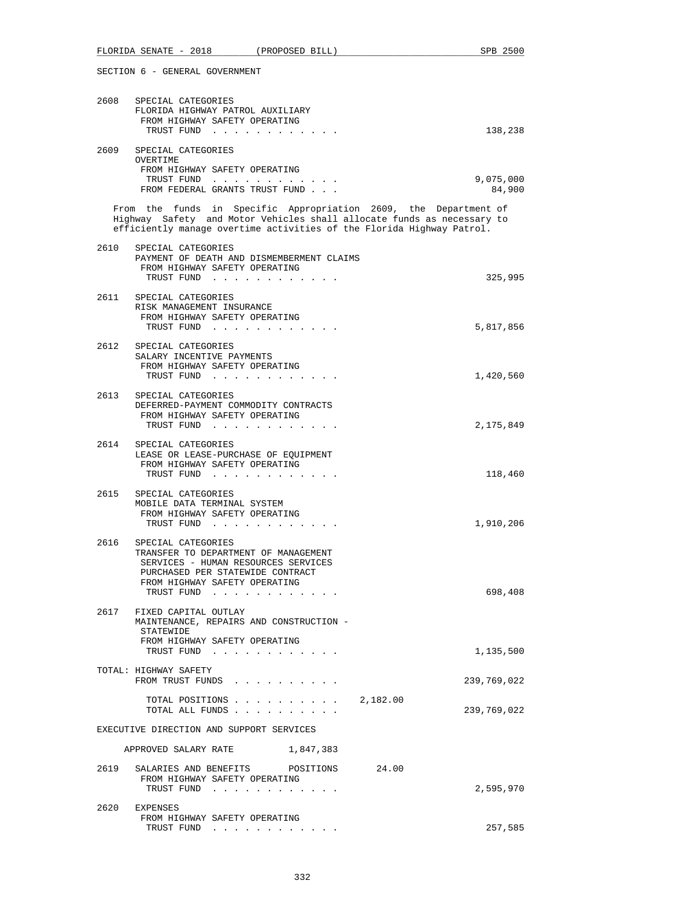|                                          | FLORIDA SENATE - 2018 (PROPOSED BILL)                                                                                                                                                                               | SPB 2500                 |  |
|------------------------------------------|---------------------------------------------------------------------------------------------------------------------------------------------------------------------------------------------------------------------|--------------------------|--|
|                                          | SECTION 6 - GENERAL GOVERNMENT                                                                                                                                                                                      |                          |  |
| 2608                                     | SPECIAL CATEGORIES<br>FLORIDA HIGHWAY PATROL AUXILIARY<br>FROM HIGHWAY SAFETY OPERATING<br>TRUST FUND                                                                                                               | 138,238                  |  |
| 2609                                     | SPECIAL CATEGORIES<br>OVERTIME                                                                                                                                                                                      |                          |  |
|                                          | FROM HIGHWAY SAFETY OPERATING<br>TRUST FUND<br>FROM FEDERAL GRANTS TRUST FUND                                                                                                                                       | 9,075,000<br>84,900      |  |
|                                          | From the funds in Specific Appropriation 2609, the Department of<br>Highway Safety and Motor Vehicles shall allocate funds as necessary to<br>efficiently manage overtime activities of the Florida Highway Patrol. |                          |  |
| 2610                                     | SPECIAL CATEGORIES<br>PAYMENT OF DEATH AND DISMEMBERMENT CLAIMS<br>FROM HIGHWAY SAFETY OPERATING<br>TRUST FUND                                                                                                      | 325,995                  |  |
|                                          | 2611 SPECIAL CATEGORIES<br>RISK MANAGEMENT INSURANCE<br>FROM HIGHWAY SAFETY OPERATING<br>TRUST FUND                                                                                                                 | 5,817,856                |  |
|                                          | 2612 SPECIAL CATEGORIES<br>SALARY INCENTIVE PAYMENTS<br>FROM HIGHWAY SAFETY OPERATING<br>TRUST FUND                                                                                                                 | 1,420,560                |  |
| 2613                                     | SPECIAL CATEGORIES<br>DEFERRED-PAYMENT COMMODITY CONTRACTS<br>FROM HIGHWAY SAFETY OPERATING<br>TRUST FUND                                                                                                           | 2,175,849                |  |
|                                          | 2614 SPECIAL CATEGORIES<br>LEASE OR LEASE-PURCHASE OF EQUIPMENT<br>FROM HIGHWAY SAFETY OPERATING<br>TRUST FUND                                                                                                      | 118,460                  |  |
| 2615                                     | SPECIAL CATEGORIES<br>MOBILE DATA TERMINAL SYSTEM<br>FROM HIGHWAY SAFETY OPERATING<br>TRUST FUND<br>$\sim$ , $\sim$ , $\sim$ , $\sim$                                                                               | 1,910,206                |  |
| 2616                                     | SPECIAL CATEGORIES<br>TRANSFER TO DEPARTMENT OF MANAGEMENT<br>SERVICES - HUMAN RESOURCES SERVICES<br>PURCHASED PER STATEWIDE CONTRACT<br>FROM HIGHWAY SAFETY OPERATING<br>TRUST FUND                                | 698,408                  |  |
| 2617                                     | FIXED CAPITAL OUTLAY<br>MAINTENANCE, REPAIRS AND CONSTRUCTION -<br>STATEWIDE<br>FROM HIGHWAY SAFETY OPERATING                                                                                                       |                          |  |
|                                          | TRUST FUND<br>TOTAL: HIGHWAY SAFETY<br>FROM TRUST FUNDS                                                                                                                                                             | 1,135,500<br>239,769,022 |  |
|                                          | TOTAL POSITIONS $\ldots$ , 2,182.00<br>TOTAL ALL FUNDS                                                                                                                                                              | 239,769,022              |  |
| EXECUTIVE DIRECTION AND SUPPORT SERVICES |                                                                                                                                                                                                                     |                          |  |
|                                          | APPROVED SALARY RATE<br>1,847,383                                                                                                                                                                                   |                          |  |
|                                          | POSITIONS 24.00<br>2619 SALARIES AND BENEFITS<br>FROM HIGHWAY SAFETY OPERATING<br>TRUST FUND                                                                                                                        | 2,595,970                |  |
|                                          | 2620 EXPENSES<br>FROM HIGHWAY SAFETY OPERATING<br>TRUST FUND                                                                                                                                                        | 257,585                  |  |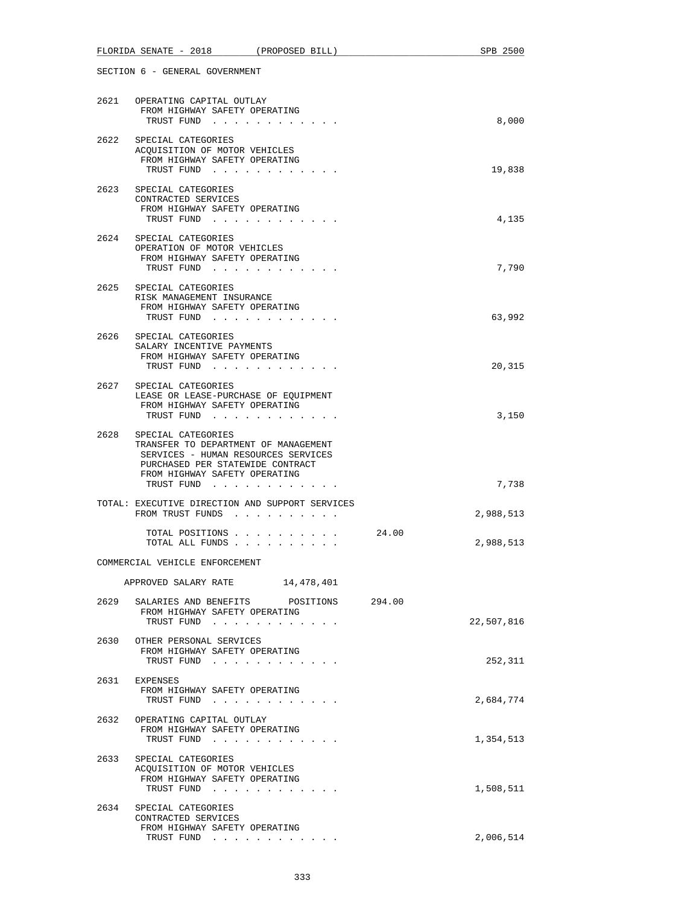|      | FLORIDA SENATE - 2018 (PROPOSED BILL)                                                                                                                                                |       | SPB 2500   |
|------|--------------------------------------------------------------------------------------------------------------------------------------------------------------------------------------|-------|------------|
|      | SECTION 6 - GENERAL GOVERNMENT                                                                                                                                                       |       |            |
|      | 2621 OPERATING CAPITAL OUTLAY<br>FROM HIGHWAY SAFETY OPERATING<br>TRUST FUND                                                                                                         |       | 8,000      |
| 2622 | SPECIAL CATEGORIES<br>ACQUISITION OF MOTOR VEHICLES<br>FROM HIGHWAY SAFETY OPERATING<br>TRUST FUND                                                                                   |       | 19,838     |
| 2623 | SPECIAL CATEGORIES<br>CONTRACTED SERVICES<br>FROM HIGHWAY SAFETY OPERATING<br>TRUST FUND                                                                                             |       | 4,135      |
| 2624 | SPECIAL CATEGORIES<br>OPERATION OF MOTOR VEHICLES<br>FROM HIGHWAY SAFETY OPERATING<br>TRUST FUND                                                                                     |       | 7,790      |
|      | 2625 SPECIAL CATEGORIES<br>RISK MANAGEMENT INSURANCE<br>FROM HIGHWAY SAFETY OPERATING<br>TRUST FUND                                                                                  |       | 63,992     |
|      | 2626 SPECIAL CATEGORIES<br>SALARY INCENTIVE PAYMENTS<br>FROM HIGHWAY SAFETY OPERATING<br>TRUST FUND                                                                                  |       | 20,315     |
| 2627 | SPECIAL CATEGORIES<br>LEASE OR LEASE-PURCHASE OF EQUIPMENT<br>FROM HIGHWAY SAFETY OPERATING<br>TRUST FUND                                                                            |       | 3,150      |
| 2628 | SPECIAL CATEGORIES<br>TRANSFER TO DEPARTMENT OF MANAGEMENT<br>SERVICES - HUMAN RESOURCES SERVICES<br>PURCHASED PER STATEWIDE CONTRACT<br>FROM HIGHWAY SAFETY OPERATING<br>TRUST FUND |       | 7,738      |
|      | TOTAL: EXECUTIVE DIRECTION AND SUPPORT SERVICES<br>FROM TRUST FUNDS                                                                                                                  |       | 2,988,513  |
|      | TOTAL POSITIONS<br>TOTAL ALL FUNDS                                                                                                                                                   | 24.00 | 2,988,513  |
|      | COMMERCIAL VEHICLE ENFORCEMENT<br>APPROVED SALARY RATE 14,478,401                                                                                                                    |       |            |
| 2629 | SALARIES AND BENEFITS POSITIONS 294.00<br>FROM HIGHWAY SAFETY OPERATING                                                                                                              |       | 22,507,816 |
| 2630 | TRUST FUND<br>OTHER PERSONAL SERVICES<br>FROM HIGHWAY SAFETY OPERATING<br>TRUST FUND                                                                                                 |       | 252,311    |
| 2631 | EXPENSES<br>FROM HIGHWAY SAFETY OPERATING<br>TRUST FUND                                                                                                                              |       | 2,684,774  |
|      | 2632 OPERATING CAPITAL OUTLAY<br>FROM HIGHWAY SAFETY OPERATING<br>TRUST FUND                                                                                                         |       | 1,354,513  |
| 2633 | SPECIAL CATEGORIES<br>ACQUISITION OF MOTOR VEHICLES<br>FROM HIGHWAY SAFETY OPERATING<br>TRUST FUND                                                                                   |       | 1,508,511  |
| 2634 | SPECIAL CATEGORIES<br>CONTRACTED SERVICES<br>FROM HIGHWAY SAFETY OPERATING<br>TRUST FUND                                                                                             |       | 2,006,514  |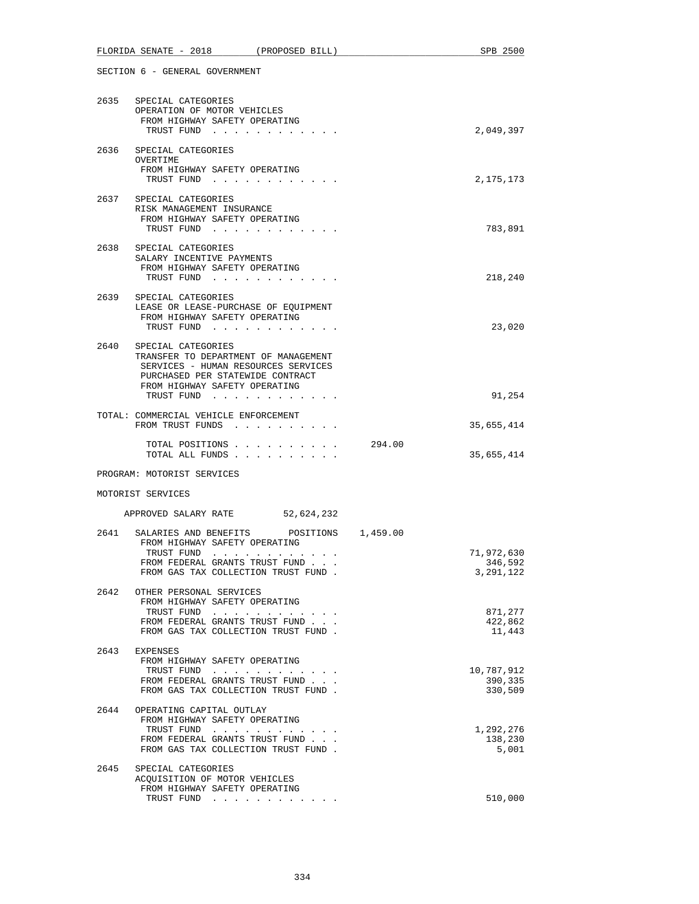|      | FLORIDA SENATE - 2018 (PROPOSED BILL)                                                                                                                                                       |        | SPB 2500                             |
|------|---------------------------------------------------------------------------------------------------------------------------------------------------------------------------------------------|--------|--------------------------------------|
|      | SECTION 6 - GENERAL GOVERNMENT                                                                                                                                                              |        |                                      |
|      | 2635 SPECIAL CATEGORIES<br>OPERATION OF MOTOR VEHICLES<br>FROM HIGHWAY SAFETY OPERATING<br>TRUST FUND                                                                                       |        | 2,049,397                            |
|      | 2636 SPECIAL CATEGORIES<br>OVERTIME<br>FROM HIGHWAY SAFETY OPERATING<br>TRUST FUND                                                                                                          |        | 2,175,173                            |
|      | 2637 SPECIAL CATEGORIES<br>RISK MANAGEMENT INSURANCE<br>FROM HIGHWAY SAFETY OPERATING<br>TRUST FUND                                                                                         |        | 783,891                              |
|      | 2638 SPECIAL CATEGORIES<br>SALARY INCENTIVE PAYMENTS<br>FROM HIGHWAY SAFETY OPERATING<br>TRUST FUND                                                                                         |        | 218,240                              |
| 2639 | SPECIAL CATEGORIES<br>LEASE OR LEASE-PURCHASE OF EQUIPMENT<br>FROM HIGHWAY SAFETY OPERATING<br>TRUST FUND                                                                                   |        | 23,020                               |
|      | 2640 SPECIAL CATEGORIES<br>TRANSFER TO DEPARTMENT OF MANAGEMENT<br>SERVICES - HUMAN RESOURCES SERVICES<br>PURCHASED PER STATEWIDE CONTRACT<br>FROM HIGHWAY SAFETY OPERATING<br>TRUST FUND   |        | 91,254                               |
|      | TOTAL: COMMERCIAL VEHICLE ENFORCEMENT<br>FROM TRUST FUNDS                                                                                                                                   |        | 35,655,414                           |
|      | TOTAL POSITIONS<br>TOTAL ALL FUNDS                                                                                                                                                          | 294.00 | 35,655,414                           |
|      | PROGRAM: MOTORIST SERVICES                                                                                                                                                                  |        |                                      |
|      | MOTORIST SERVICES                                                                                                                                                                           |        |                                      |
|      | APPROVED SALARY RATE 52,624,232                                                                                                                                                             |        |                                      |
| 2641 | SALARIES AND BENEFITS POSITIONS 1,459.00<br>FROM HIGHWAY SAFETY OPERATING<br>TRUST FUND $\cdots$ $\cdots$ $\cdots$<br>FROM FEDERAL GRANTS TRUST FUND<br>FROM GAS TAX COLLECTION TRUST FUND. |        | 71,972,630<br>346,592<br>3, 291, 122 |
| 2642 | OTHER PERSONAL SERVICES<br>FROM HIGHWAY SAFETY OPERATING<br>TRUST FUND<br>FROM FEDERAL GRANTS TRUST FUND<br>FROM GAS TAX COLLECTION TRUST FUND.                                             |        | 871,277<br>422,862<br>11,443         |
| 2643 | EXPENSES<br>FROM HIGHWAY SAFETY OPERATING<br>TRUST FUND<br>FROM FEDERAL GRANTS TRUST FUND<br>FROM GAS TAX COLLECTION TRUST FUND.                                                            |        | 10,787,912<br>390,335<br>330,509     |
| 2644 | OPERATING CAPITAL OUTLAY<br>FROM HIGHWAY SAFETY OPERATING<br>TRUST FUND<br>FROM FEDERAL GRANTS TRUST FUND<br>FROM GAS TAX COLLECTION TRUST FUND.                                            |        | 1,292,276<br>138,230<br>5,001        |
| 2645 | SPECIAL CATEGORIES<br>ACQUISITION OF MOTOR VEHICLES<br>FROM HIGHWAY SAFETY OPERATING<br>TRUST FUND                                                                                          |        | 510,000                              |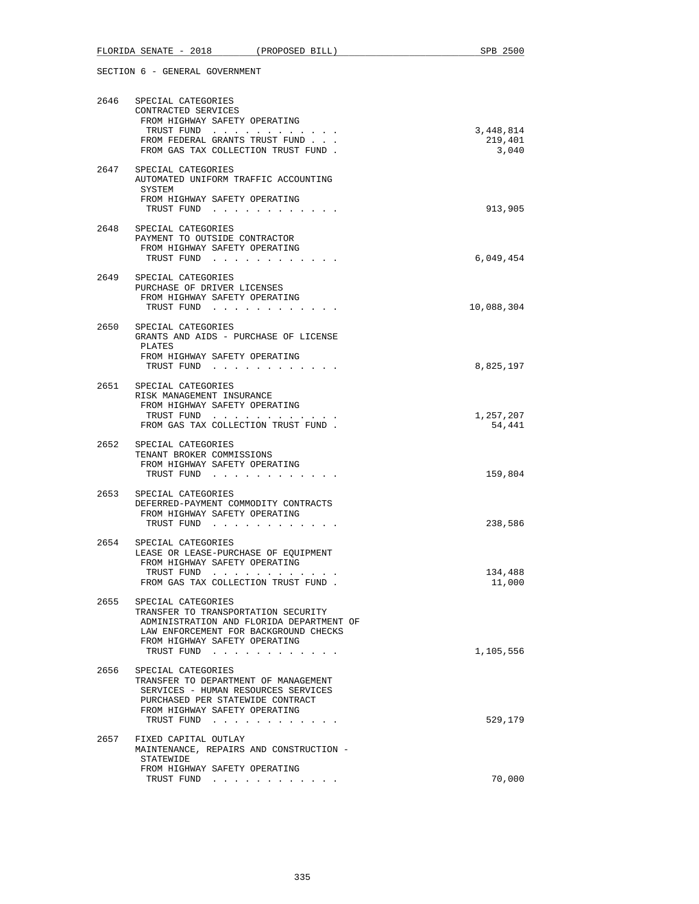|      | FLORIDA SENATE - 2018 (PROPOSED BILL)                                 | SPB 2500          |
|------|-----------------------------------------------------------------------|-------------------|
|      | SECTION 6 - GENERAL GOVERNMENT                                        |                   |
|      |                                                                       |                   |
|      | 2646 SPECIAL CATEGORIES                                               |                   |
|      | CONTRACTED SERVICES<br>FROM HIGHWAY SAFETY OPERATING                  |                   |
|      | TRUST FUND                                                            | 3,448,814         |
|      | FROM FEDERAL GRANTS TRUST FUND                                        | 219,401           |
|      | FROM GAS TAX COLLECTION TRUST FUND.                                   | 3,040             |
|      | 2647 SPECIAL CATEGORIES                                               |                   |
|      | AUTOMATED UNIFORM TRAFFIC ACCOUNTING<br>SYSTEM                        |                   |
|      | FROM HIGHWAY SAFETY OPERATING                                         |                   |
|      | TRUST FUND                                                            | 913,905           |
| 2648 | SPECIAL CATEGORIES                                                    |                   |
|      | PAYMENT TO OUTSIDE CONTRACTOR                                         |                   |
|      | FROM HIGHWAY SAFETY OPERATING<br>TRUST FUND                           | 6,049,454         |
|      |                                                                       |                   |
| 2649 | SPECIAL CATEGORIES<br>PURCHASE OF DRIVER LICENSES                     |                   |
|      | FROM HIGHWAY SAFETY OPERATING                                         |                   |
|      | TRUST FUND                                                            | 10,088,304        |
|      | 2650 SPECIAL CATEGORIES                                               |                   |
|      | GRANTS AND AIDS - PURCHASE OF LICENSE                                 |                   |
|      | PLATES<br>FROM HIGHWAY SAFETY OPERATING                               |                   |
|      | TRUST FUND                                                            | 8,825,197         |
|      | 2651 SPECIAL CATEGORIES                                               |                   |
|      | RISK MANAGEMENT INSURANCE                                             |                   |
|      | FROM HIGHWAY SAFETY OPERATING<br>TRUST FUND                           | 1,257,207         |
|      | FROM GAS TAX COLLECTION TRUST FUND.                                   | 54,441            |
|      |                                                                       |                   |
|      | 2652 SPECIAL CATEGORIES<br>TENANT BROKER COMMISSIONS                  |                   |
|      | FROM HIGHWAY SAFETY OPERATING                                         |                   |
|      | TRUST FUND                                                            | 159,804           |
| 2653 | SPECIAL CATEGORIES                                                    |                   |
|      | DEFERRED-PAYMENT COMMODITY CONTRACTS<br>FROM HIGHWAY SAFETY OPERATING |                   |
|      | TRUST FUND                                                            | 238,586           |
|      |                                                                       |                   |
| 2654 | SPECIAL CATEGORIES<br>LEASE OR LEASE-PURCHASE OF EOUIPMENT            |                   |
|      | FROM HIGHWAY SAFETY OPERATING                                         |                   |
|      | TRUST FUND<br>FROM GAS TAX COLLECTION TRUST FUND.                     | 134,488<br>11,000 |
|      |                                                                       |                   |
|      | 2655 SPECIAL CATEGORIES<br>TRANSFER TO TRANSPORTATION SECURITY        |                   |
|      | ADMINISTRATION AND FLORIDA DEPARTMENT OF                              |                   |
|      | LAW ENFORCEMENT FOR BACKGROUND CHECKS                                 |                   |
|      | FROM HIGHWAY SAFETY OPERATING<br>TRUST FUND                           | 1,105,556         |
|      |                                                                       |                   |
| 2656 | SPECIAL CATEGORIES<br>TRANSFER TO DEPARTMENT OF MANAGEMENT            |                   |
|      | SERVICES - HUMAN RESOURCES SERVICES                                   |                   |
|      | PURCHASED PER STATEWIDE CONTRACT<br>FROM HIGHWAY SAFETY OPERATING     |                   |
|      | TRUST FUND                                                            | 529,179           |
| 2657 | FIXED CAPITAL OUTLAY                                                  |                   |
|      | MAINTENANCE, REPAIRS AND CONSTRUCTION -                               |                   |
|      | STATEWIDE                                                             |                   |
|      | FROM HIGHWAY SAFETY OPERATING<br>TRUST FUND                           | 70,000            |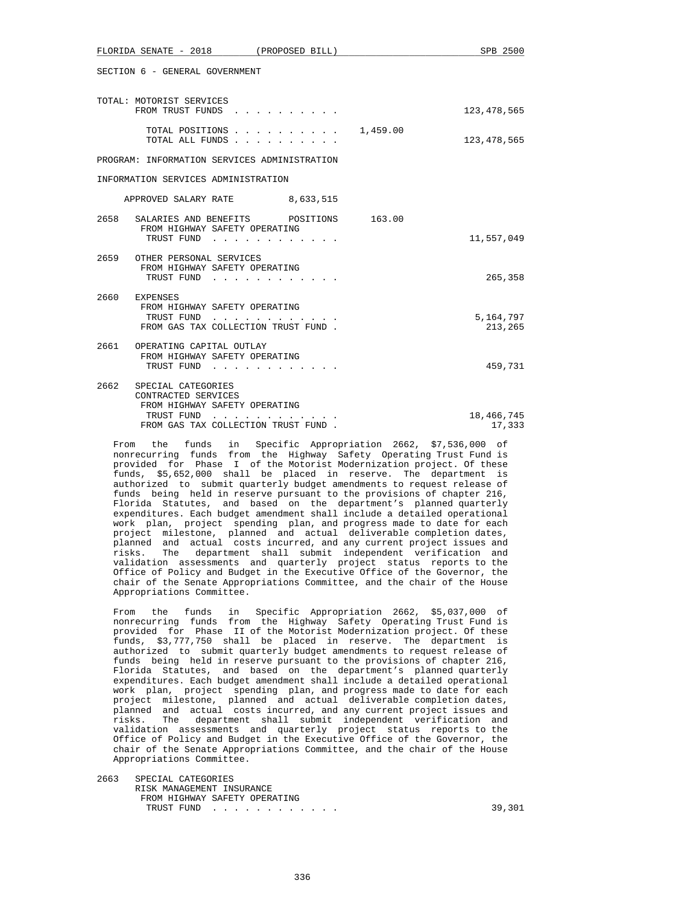| L'HOLIDA ODINAID - 7010<br>(PROPOSL DILL)                                                     | OPD ZOUU             |
|-----------------------------------------------------------------------------------------------|----------------------|
| SECTION 6 - GENERAL GOVERNMENT                                                                |                      |
| TOTAL: MOTORIST SERVICES<br>FROM TRUST FUNDS                                                  | 123,478,565          |
| TOTAL POSITIONS 1,459.00<br>TOTAL ALL FUNDS                                                   | 123,478,565          |
| PROGRAM: INFORMATION SERVICES ADMINISTRATION                                                  |                      |
| INFORMATION SERVICES ADMINISTRATION                                                           |                      |
| APPROVED SALARY RATE 8,633,515                                                                |                      |
| 2658<br>SALARIES AND BENEFITS POSITIONS 163.00<br>FROM HIGHWAY SAFETY OPERATING<br>TRUST FUND | 11,557,049           |
|                                                                                               |                      |
| 2659 OTHER PERSONAL SERVICES<br>FROM HIGHWAY SAFETY OPERATING<br>TRUST FUND                   | 265,358              |
| 2660 EXPENSES                                                                                 |                      |
| FROM HIGHWAY SAFETY OPERATING<br>TRUST FUND<br>.<br>FROM GAS TAX COLLECTION TRUST FUND.       | 5,164,797<br>213,265 |
| 2661 OPERATING CAPITAL OUTLAY<br>FROM HIGHWAY SAFETY OPERATING                                |                      |
| TRUST FUND                                                                                    | 459,731              |
| 2662<br>SPECIAL CATEGORIES<br>CONTRACTED SERVICES                                             |                      |
| FROM HIGHWAY SAFETY OPERATING<br>TRUST FUND                                                   | 18,466,745           |
| FROM GAS TAX COLLECTION TRUST FUND.                                                           | 17,333               |

 $F$ LORIDA GENIATE 2019  $\left($  PROPOSED BILL)  $\left($  PROPOSED  $F$ 

 From the funds in Specific Appropriation 2662, \$7,536,000 of nonrecurring funds from the Highway Safety Operating Trust Fund is provided for Phase I of the Motorist Modernization project. Of these funds, \$5,652,000 shall be placed in reserve. The department is authorized to submit quarterly budget amendments to request release of funds being held in reserve pursuant to the provisions of chapter 216, Florida Statutes, and based on the department's planned quarterly expenditures. Each budget amendment shall include a detailed operational work plan, project spending plan, and progress made to date for each project milestone, planned and actual deliverable completion dates, planned and actual costs incurred, and any current project issues and risks. The department shall submit independent verification and validation assessments and quarterly project status reports to the Office of Policy and Budget in the Executive Office of the Governor, the chair of the Senate Appropriations Committee, and the chair of the House Appropriations Committee.

 From the funds in Specific Appropriation 2662, \$5,037,000 of nonrecurring funds from the Highway Safety Operating Trust Fund is provided for Phase II of the Motorist Modernization project. Of these funds, \$3,777,750 shall be placed in reserve. The department is authorized to submit quarterly budget amendments to request release of funds being held in reserve pursuant to the provisions of chapter 216, Florida Statutes, and based on the department's planned quarterly expenditures. Each budget amendment shall include a detailed operational work plan, project spending plan, and progress made to date for each project milestone, planned and actual deliverable completion dates, planned and actual costs incurred, and any current project issues and risks. The department shall submit independent verification and validation assessments and quarterly project status reports to the Office of Policy and Budget in the Executive Office of the Governor, the chair of the Senate Appropriations Committee, and the chair of the House Appropriations Committee.

 2663 SPECIAL CATEGORIES RISK MANAGEMENT INSURANCE FROM HIGHWAY SAFETY OPERATING TRUST FUND . . . . . . . . . . . . 39,301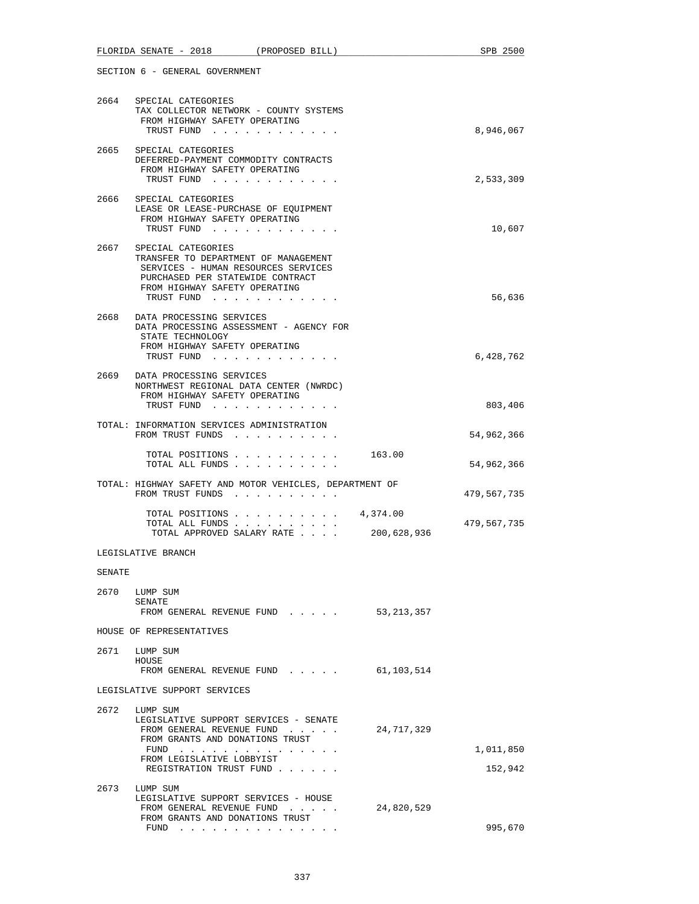|        | FLORIDA SENATE - 2018<br>(PROPOSED BILL)                                                                                                                                             |              | SPB 2500    |
|--------|--------------------------------------------------------------------------------------------------------------------------------------------------------------------------------------|--------------|-------------|
|        | SECTION 6 - GENERAL GOVERNMENT                                                                                                                                                       |              |             |
| 2664   | SPECIAL CATEGORIES                                                                                                                                                                   |              |             |
|        | TAX COLLECTOR NETWORK - COUNTY SYSTEMS<br>FROM HIGHWAY SAFETY OPERATING<br>TRUST FUND                                                                                                |              | 8,946,067   |
| 2665   | SPECIAL CATEGORIES<br>DEFERRED-PAYMENT COMMODITY CONTRACTS<br>FROM HIGHWAY SAFETY OPERATING<br>TRUST FUND                                                                            |              | 2,533,309   |
| 2666   | SPECIAL CATEGORIES<br>LEASE OR LEASE-PURCHASE OF EOUIPMENT<br>FROM HIGHWAY SAFETY OPERATING<br>TRUST FUND                                                                            |              | 10,607      |
| 2667   | SPECIAL CATEGORIES<br>TRANSFER TO DEPARTMENT OF MANAGEMENT<br>SERVICES - HUMAN RESOURCES SERVICES<br>PURCHASED PER STATEWIDE CONTRACT<br>FROM HIGHWAY SAFETY OPERATING<br>TRUST FUND |              | 56,636      |
| 2668   | DATA PROCESSING SERVICES<br>DATA PROCESSING ASSESSMENT - AGENCY FOR<br>STATE TECHNOLOGY<br>FROM HIGHWAY SAFETY OPERATING<br>TRUST FUND                                               |              | 6,428,762   |
|        | 2669 DATA PROCESSING SERVICES<br>NORTHWEST REGIONAL DATA CENTER (NWRDC)<br>FROM HIGHWAY SAFETY OPERATING<br>TRUST FUND                                                               |              | 803,406     |
|        | TOTAL: INFORMATION SERVICES ADMINISTRATION<br>FROM TRUST FUNDS                                                                                                                       |              | 54,962,366  |
|        | TOTAL POSITIONS 163.00<br>TOTAL ALL FUNDS                                                                                                                                            |              | 54,962,366  |
|        | TOTAL: HIGHWAY SAFETY AND MOTOR VEHICLES, DEPARTMENT OF<br>FROM TRUST FUNDS                                                                                                          |              | 479,567,735 |
|        | TOTAL POSITIONS $\ldots$ 4,374.00<br>TOTAL ALL FUNDS<br>TOTAL APPROVED SALARY RATE                                                                                                   | 200,628,936  | 479,567,735 |
|        | LEGISLATIVE BRANCH                                                                                                                                                                   |              |             |
| SENATE |                                                                                                                                                                                      |              |             |
|        | 2670 LUMP SUM<br>SENATE                                                                                                                                                              |              |             |
|        | FROM GENERAL REVENUE FUND                                                                                                                                                            | 53, 213, 357 |             |
|        | HOUSE OF REPRESENTATIVES                                                                                                                                                             |              |             |
| 2671   | LUMP SUM<br>HOUSE<br>FROM GENERAL REVENUE FUND                                                                                                                                       | 61,103,514   |             |
|        | LEGISLATIVE SUPPORT SERVICES                                                                                                                                                         |              |             |
| 2672   | LUMP SUM<br>LEGISLATIVE SUPPORT SERVICES - SENATE<br>FROM GENERAL REVENUE FUND<br>FROM GRANTS AND DONATIONS TRUST<br>FUND<br>FROM LEGISLATIVE LOBBYIST                               | 24,717,329   | 1,011,850   |
|        | REGISTRATION TRUST FUND                                                                                                                                                              |              | 152,942     |
| 2673   | LUMP SUM<br>LEGISLATIVE SUPPORT SERVICES - HOUSE<br>FROM GENERAL REVENUE FUND<br>FROM GRANTS AND DONATIONS TRUST                                                                     | 24,820,529   |             |
|        | $FUND$                                                                                                                                                                               |              | 995,670     |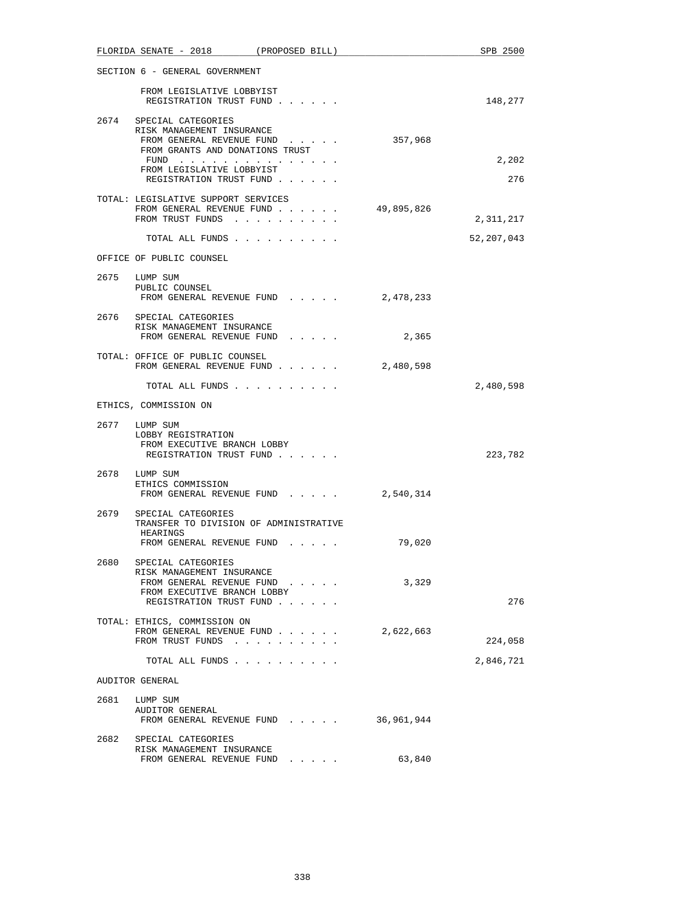|      | FLORIDA SENATE - 2018                                                                                                                  | (PROPOSED BILL)                     |            | SPB 2500     |
|------|----------------------------------------------------------------------------------------------------------------------------------------|-------------------------------------|------------|--------------|
|      | SECTION 6 - GENERAL GOVERNMENT                                                                                                         |                                     |            |              |
|      | FROM LEGISLATIVE LOBBYIST<br>REGISTRATION TRUST FUND                                                                                   |                                     |            | 148,277      |
|      | 2674 SPECIAL CATEGORIES<br>RISK MANAGEMENT INSURANCE<br>FROM GENERAL REVENUE FUND                                                      |                                     | 357,968    |              |
|      | FROM GRANTS AND DONATIONS TRUST<br>FUND                                                                                                |                                     |            | 2,202        |
|      | FROM LEGISLATIVE LOBBYIST<br>REGISTRATION TRUST FUND                                                                                   |                                     |            | 276          |
|      | TOTAL: LEGISLATIVE SUPPORT SERVICES<br>FROM GENERAL REVENUE FUND<br>FROM TRUST FUNDS                                                   |                                     | 49,895,826 | 2,311,217    |
|      |                                                                                                                                        |                                     |            |              |
|      | TOTAL ALL FUNDS<br>OFFICE OF PUBLIC COUNSEL                                                                                            |                                     |            | 52, 207, 043 |
|      |                                                                                                                                        |                                     |            |              |
|      | 2675 LUMP SUM<br>PUBLIC COUNSEL<br>FROM GENERAL REVENUE FUND                                                                           |                                     | 2,478,233  |              |
|      | 2676 SPECIAL CATEGORIES<br>RISK MANAGEMENT INSURANCE<br>FROM GENERAL REVENUE FUND                                                      |                                     | 2,365      |              |
|      | TOTAL: OFFICE OF PUBLIC COUNSEL<br>FROM GENERAL REVENUE FUND                                                                           |                                     | 2,480,598  |              |
|      | TOTAL ALL FUNDS                                                                                                                        |                                     |            | 2,480,598    |
|      | ETHICS, COMMISSION ON                                                                                                                  |                                     |            |              |
|      | 2677 LUMP SUM<br>LOBBY REGISTRATION<br>FROM EXECUTIVE BRANCH LOBBY<br>REGISTRATION TRUST FUND                                          |                                     |            | 223,782      |
|      | 2678 LUMP SUM<br>ETHICS COMMISSION                                                                                                     | FROM GENERAL REVENUE FUND 2,540,314 |            |              |
|      |                                                                                                                                        |                                     |            |              |
| 2679 | SPECIAL CATEGORIES<br>TRANSFER TO DIVISION OF ADMINISTRATIVE<br>HEARINGS                                                               |                                     |            |              |
|      | FROM GENERAL REVENUE FUND                                                                                                              |                                     | 79,020     |              |
| 2680 | SPECIAL CATEGORIES<br>RISK MANAGEMENT INSURANCE<br>FROM GENERAL REVENUE FUND<br>FROM EXECUTIVE BRANCH LOBBY<br>REGISTRATION TRUST FUND |                                     | 3,329      | 276          |
|      | TOTAL: ETHICS, COMMISSION ON                                                                                                           |                                     |            |              |
|      | FROM GENERAL REVENUE FUND<br>FROM TRUST FUNDS                                                                                          | $\sim$                              | 2,622,663  | 224,058      |
|      | TOTAL ALL FUNDS                                                                                                                        |                                     |            | 2,846,721    |
|      | AUDITOR GENERAL                                                                                                                        |                                     |            |              |
| 2681 | LUMP SUM<br>AUDITOR GENERAL                                                                                                            |                                     |            |              |
| 2682 | FROM GENERAL REVENUE FUND<br>SPECIAL CATEGORIES                                                                                        |                                     | 36,961,944 |              |
|      | RISK MANAGEMENT INSURANCE<br>FROM GENERAL REVENUE FUND                                                                                 |                                     | 63,840     |              |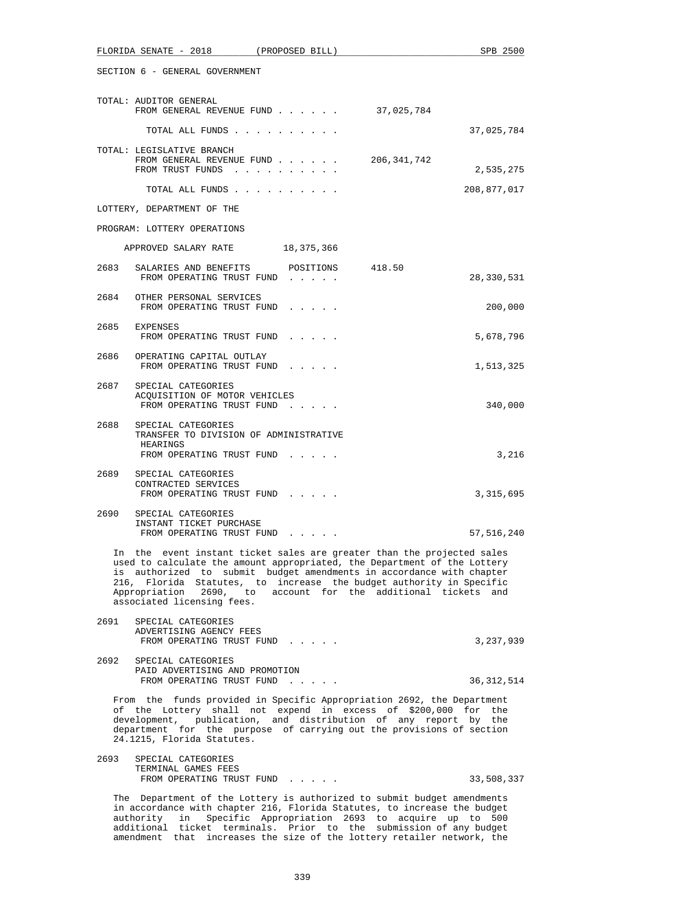| FLORIDA SENATE - 2018<br>(PROPOSED BILL)                                                                                                                                                                                                                                                                                                                                                         | SPB 2500     |  |  |
|--------------------------------------------------------------------------------------------------------------------------------------------------------------------------------------------------------------------------------------------------------------------------------------------------------------------------------------------------------------------------------------------------|--------------|--|--|
| SECTION 6 - GENERAL GOVERNMENT                                                                                                                                                                                                                                                                                                                                                                   |              |  |  |
| TOTAL: AUDITOR GENERAL<br>37,025,784<br>FROM GENERAL REVENUE FUND                                                                                                                                                                                                                                                                                                                                |              |  |  |
| TOTAL ALL FUNDS                                                                                                                                                                                                                                                                                                                                                                                  | 37,025,784   |  |  |
| TOTAL: LEGISLATIVE BRANCH<br>206,341,742<br>FROM GENERAL REVENUE FUND<br>FROM TRUST FUNDS                                                                                                                                                                                                                                                                                                        | 2,535,275    |  |  |
| TOTAL ALL FUNDS                                                                                                                                                                                                                                                                                                                                                                                  | 208,877,017  |  |  |
| LOTTERY, DEPARTMENT OF THE                                                                                                                                                                                                                                                                                                                                                                       |              |  |  |
| PROGRAM: LOTTERY OPERATIONS                                                                                                                                                                                                                                                                                                                                                                      |              |  |  |
| APPROVED SALARY RATE 18,375,366                                                                                                                                                                                                                                                                                                                                                                  |              |  |  |
| 2683<br>SALARIES AND BENEFITS POSITIONS 418.50<br>FROM OPERATING TRUST FUND                                                                                                                                                                                                                                                                                                                      | 28,330,531   |  |  |
| 2684 OTHER PERSONAL SERVICES<br>FROM OPERATING TRUST FUND                                                                                                                                                                                                                                                                                                                                        | 200,000      |  |  |
| 2685<br>EXPENSES<br>FROM OPERATING TRUST FUND                                                                                                                                                                                                                                                                                                                                                    | 5,678,796    |  |  |
| 2686<br>OPERATING CAPITAL OUTLAY<br>FROM OPERATING TRUST FUND                                                                                                                                                                                                                                                                                                                                    | 1,513,325    |  |  |
| 2687 SPECIAL CATEGORIES<br>ACQUISITION OF MOTOR VEHICLES<br>FROM OPERATING TRUST FUND                                                                                                                                                                                                                                                                                                            | 340,000      |  |  |
| 2688<br>SPECIAL CATEGORIES<br>TRANSFER TO DIVISION OF ADMINISTRATIVE<br>HEARINGS<br>FROM OPERATING TRUST FUND                                                                                                                                                                                                                                                                                    | 3,216        |  |  |
| 2689 SPECIAL CATEGORIES<br>CONTRACTED SERVICES<br>FROM OPERATING TRUST FUND                                                                                                                                                                                                                                                                                                                      | 3,315,695    |  |  |
| 2690 SPECIAL CATEGORIES<br>INSTANT TICKET PURCHASE<br>FROM OPERATING TRUST FUND                                                                                                                                                                                                                                                                                                                  | 57,516,240   |  |  |
| In the event instant ticket sales are greater than the projected sales<br>used to calculate the amount appropriated, the Department of the Lottery<br>is authorized to submit budget amendments in accordance with chapter<br>216, Florida Statutes, to increase the budget authority in Specific<br>Appropriation 2690, to account for the additional tickets and<br>associated licensing fees. |              |  |  |
| 2691<br>SPECIAL CATEGORIES<br>ADVERTISING AGENCY FEES<br>FROM OPERATING TRUST FUND                                                                                                                                                                                                                                                                                                               | 3,237,939    |  |  |
| 2692<br>SPECIAL CATEGORIES<br>PAID ADVERTISING AND PROMOTION<br>FROM OPERATING TRUST FUND                                                                                                                                                                                                                                                                                                        | 36, 312, 514 |  |  |
| From the funds provided in Specific Appropriation 2692, the Department<br>of the Lottery shall not expend in excess of \$200,000 for the<br>development, publication, and distribution of any report by the<br>department for the purpose of carrying out the provisions of section<br>24.1215, Florida Statutes.                                                                                |              |  |  |

| 2693 | SPECIAL CATEGORIES        |            |
|------|---------------------------|------------|
|      | TERMINAL GAMES FEES       |            |
|      | FROM OPERATING TRUST FUND | 33,508,337 |

 The Department of the Lottery is authorized to submit budget amendments in accordance with chapter 216, Florida Statutes, to increase the budget authority in Specific Appropriation 2693 to acquire up to 500 additional ticket terminals. Prior to the submission of any budget amendment that increases the size of the lottery retailer network, the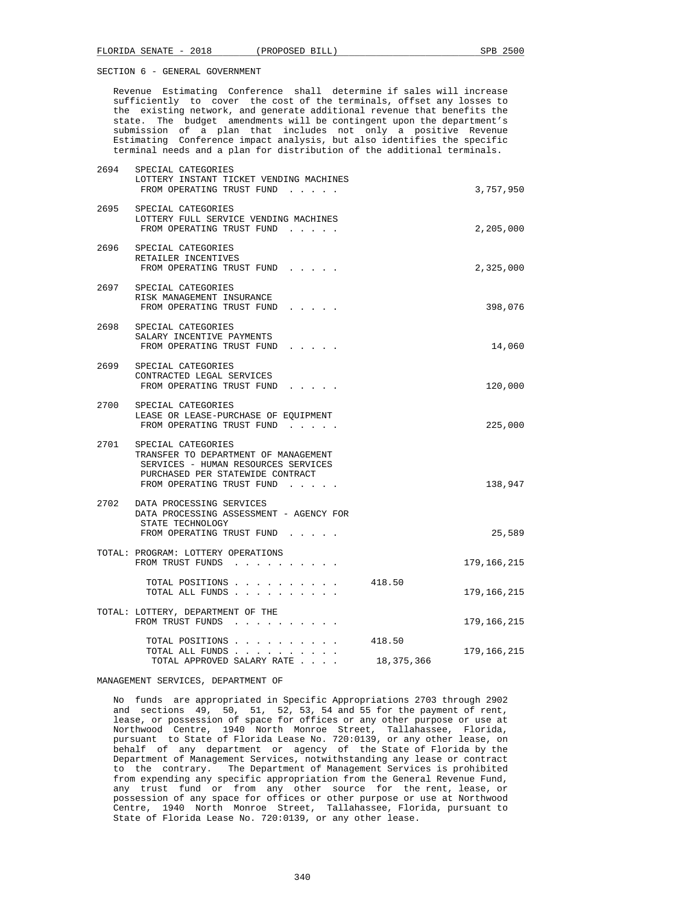Revenue Estimating Conference shall determine if sales will increase sufficiently to cover the cost of the terminals, offset any losses to the existing network, and generate additional revenue that benefits the state. The budget amendments will be contingent upon the department's submission of a plan that includes not only a positive Revenue Estimating Conference impact analysis, but also identifies the specific terminal needs and a plan for distribution of the additional terminals.

| 2694 | SPECIAL CATEGORIES<br>LOTTERY INSTANT TICKET VENDING MACHINES<br>FROM OPERATING TRUST FUND                                                                              |                      | 3,757,950     |
|------|-------------------------------------------------------------------------------------------------------------------------------------------------------------------------|----------------------|---------------|
|      | 2695 SPECIAL CATEGORIES<br>LOTTERY FULL SERVICE VENDING MACHINES<br>FROM OPERATING TRUST FUND                                                                           |                      | 2,205,000     |
|      | 2696 SPECIAL CATEGORIES<br>RETAILER INCENTIVES<br>FROM OPERATING TRUST FUND                                                                                             |                      | 2,325,000     |
|      | 2697 SPECIAL CATEGORIES<br>RISK MANAGEMENT INSURANCE<br>FROM OPERATING TRUST FUND                                                                                       |                      | 398,076       |
|      | 2698 SPECIAL CATEGORIES<br>SALARY INCENTIVE PAYMENTS<br>FROM OPERATING TRUST FUND                                                                                       |                      | 14,060        |
| 2699 | SPECIAL CATEGORIES<br>CONTRACTED LEGAL SERVICES<br>FROM OPERATING TRUST FUND                                                                                            |                      | 120,000       |
|      | 2700 SPECIAL CATEGORIES<br>LEASE OR LEASE-PURCHASE OF EQUIPMENT<br>FROM OPERATING TRUST FUND                                                                            |                      | 225,000       |
|      | 2701 SPECIAL CATEGORIES<br>TRANSFER TO DEPARTMENT OF MANAGEMENT<br>SERVICES - HUMAN RESOURCES SERVICES<br>PURCHASED PER STATEWIDE CONTRACT<br>FROM OPERATING TRUST FUND |                      | 138,947       |
|      | 2702 DATA PROCESSING SERVICES<br>DATA PROCESSING ASSESSMENT - AGENCY FOR<br>STATE TECHNOLOGY<br>FROM OPERATING TRUST FUND                                               |                      | 25,589        |
|      | TOTAL: PROGRAM: LOTTERY OPERATIONS<br>FROM TRUST FUNDS                                                                                                                  |                      | 179,166,215   |
|      | TOTAL POSITIONS<br>TOTAL ALL FUNDS                                                                                                                                      | 418.50               | 179, 166, 215 |
|      | TOTAL: LOTTERY, DEPARTMENT OF THE<br>FROM TRUST FUNDS                                                                                                                   |                      | 179, 166, 215 |
|      | TOTAL POSITIONS<br>TOTAL ALL FUNDS<br>TOTAL APPROVED SALARY RATE                                                                                                        | 418.50<br>18,375,366 | 179,166,215   |

#### MANAGEMENT SERVICES, DEPARTMENT OF

 No funds are appropriated in Specific Appropriations 2703 through 2902 and sections 49, 50, 51, 52, 53, 54 and 55 for the payment of rent, lease, or possession of space for offices or any other purpose or use at Northwood Centre, 1940 North Monroe Street, Tallahassee, Florida, pursuant to State of Florida Lease No. 720:0139, or any other lease, on behalf of any department or agency of the State of Florida by the Department of Management Services, notwithstanding any lease or contract to the contrary. The Department of Management Services is prohibited from expending any specific appropriation from the General Revenue Fund, any trust fund or from any other source for the rent, lease, or possession of any space for offices or other purpose or use at Northwood Centre, 1940 North Monroe Street, Tallahassee, Florida, pursuant to State of Florida Lease No. 720:0139, or any other lease.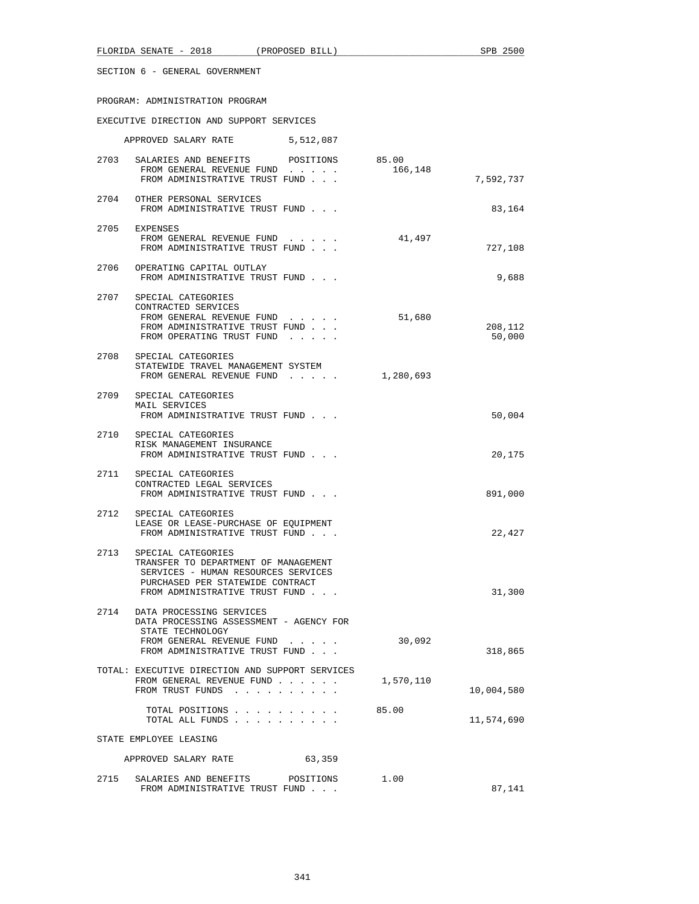# PROGRAM: ADMINISTRATION PROGRAM

# EXECUTIVE DIRECTION AND SUPPORT SERVICES

|      | APPROVED SALARY RATE                                                                                                                                                         | 5,512,087 |           |                   |
|------|------------------------------------------------------------------------------------------------------------------------------------------------------------------------------|-----------|-----------|-------------------|
|      | 2703 SALARIES AND BENEFITS POSITIONS 85.00<br>FROM GENERAL REVENUE FUND<br>FROM ADMINISTRATIVE TRUST FUND                                                                    |           | 166,148   | 7,592,737         |
|      | 2704 OTHER PERSONAL SERVICES<br>FROM ADMINISTRATIVE TRUST FUND                                                                                                               |           |           | 83,164            |
|      | 2705 EXPENSES<br>FROM GENERAL REVENUE FUND<br>FROM ADMINISTRATIVE TRUST FUND                                                                                                 |           | 41,497    | 727,108           |
|      | 2706 OPERATING CAPITAL OUTLAY<br>FROM ADMINISTRATIVE TRUST FUND                                                                                                              |           |           | 9,688             |
|      | 2707 SPECIAL CATEGORIES<br>CONTRACTED SERVICES<br>FROM GENERAL REVENUE FUND<br>FROM ADMINISTRATIVE TRUST FUND<br>FROM OPERATING TRUST FUND                                   |           | 51,680    | 208,112<br>50,000 |
| 2708 | SPECIAL CATEGORIES<br>STATEWIDE TRAVEL MANAGEMENT SYSTEM<br>FROM GENERAL REVENUE FUND                                                                                        |           | 1,280,693 |                   |
|      | 2709 SPECIAL CATEGORIES<br>MAIL SERVICES<br>FROM ADMINISTRATIVE TRUST FUND                                                                                                   |           |           | 50,004            |
|      | 2710 SPECIAL CATEGORIES<br>RISK MANAGEMENT INSURANCE<br>FROM ADMINISTRATIVE TRUST FUND                                                                                       |           |           | 20,175            |
| 2711 | SPECIAL CATEGORIES<br>CONTRACTED LEGAL SERVICES<br>FROM ADMINISTRATIVE TRUST FUND                                                                                            |           |           | 891,000           |
| 2712 | SPECIAL CATEGORIES<br>LEASE OR LEASE-PURCHASE OF EQUIPMENT<br>FROM ADMINISTRATIVE TRUST FUND                                                                                 |           |           | 22,427            |
|      | 2713 SPECIAL CATEGORIES<br>TRANSFER TO DEPARTMENT OF MANAGEMENT<br>SERVICES - HUMAN RESOURCES SERVICES<br>PURCHASED PER STATEWIDE CONTRACT<br>FROM ADMINISTRATIVE TRUST FUND |           |           | 31,300            |
| 2714 | DATA PROCESSING SERVICES<br>DATA PROCESSING ASSESSMENT - AGENCY FOR<br>STATE TECHNOLOGY<br>FROM GENERAL REVENUE FUND<br>FROM ADMINISTRATIVE TRUST FUND                       |           | 30,092    | 318,865           |
|      | TOTAL: EXECUTIVE DIRECTION AND SUPPORT SERVICES<br>FROM GENERAL REVENUE FUND<br>FROM TRUST FUNDS                                                                             |           | 1,570,110 | 10,004,580        |
|      | TOTAL POSITIONS<br>TOTAL ALL FUNDS                                                                                                                                           |           | 85.00     | 11,574,690        |
|      | STATE EMPLOYEE LEASING                                                                                                                                                       |           |           |                   |
|      | APPROVED SALARY RATE                                                                                                                                                         | 63,359    |           |                   |
| 2715 | SALARIES AND BENEFITS<br>FROM ADMINISTRATIVE TRUST FUND                                                                                                                      | POSITIONS | 1.00      | 87,141            |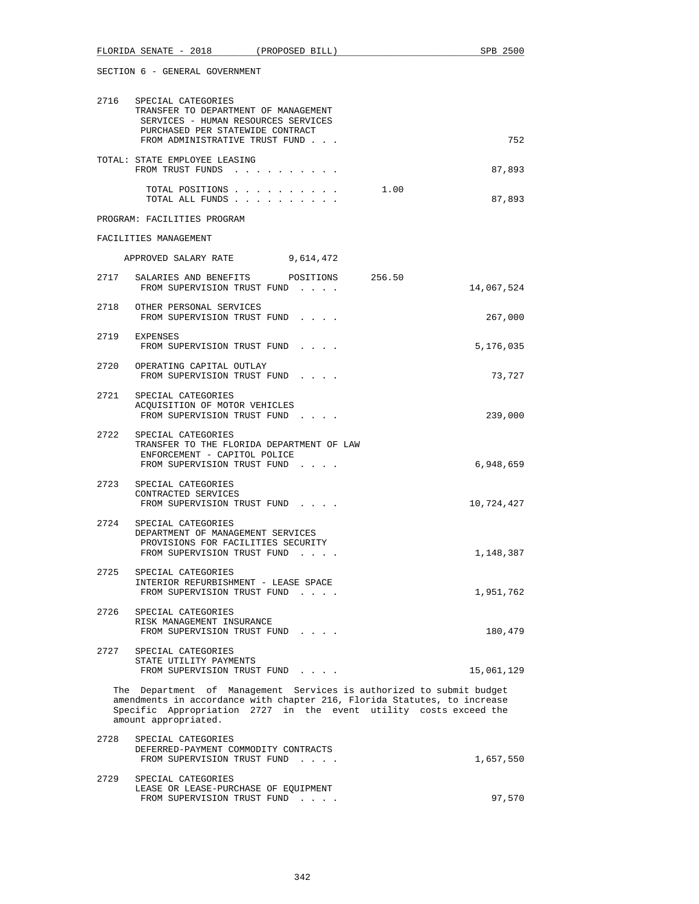|      | FLORIDA SENATE - 2018                                                                                                                                                                                                                         | (PROPOSED BILL) |      | SPB 2500   |
|------|-----------------------------------------------------------------------------------------------------------------------------------------------------------------------------------------------------------------------------------------------|-----------------|------|------------|
|      | SECTION 6 - GENERAL GOVERNMENT                                                                                                                                                                                                                |                 |      |            |
|      | 2716 SPECIAL CATEGORIES<br>TRANSFER TO DEPARTMENT OF MANAGEMENT<br>SERVICES - HUMAN RESOURCES SERVICES<br>PURCHASED PER STATEWIDE CONTRACT<br>FROM ADMINISTRATIVE TRUST FUND                                                                  |                 |      | 752        |
|      | TOTAL: STATE EMPLOYEE LEASING<br>FROM TRUST FUNDS                                                                                                                                                                                             |                 |      | 87,893     |
|      | TOTAL POSITIONS<br>TOTAL ALL FUNDS                                                                                                                                                                                                            |                 | 1.00 | 87,893     |
|      | PROGRAM: FACILITIES PROGRAM                                                                                                                                                                                                                   |                 |      |            |
|      | FACILITIES MANAGEMENT                                                                                                                                                                                                                         |                 |      |            |
|      | APPROVED SALARY RATE                                                                                                                                                                                                                          | 9,614,472       |      |            |
|      | 2717 SALARIES AND BENEFITS POSITIONS 256.50<br>FROM SUPERVISION TRUST FUND                                                                                                                                                                    |                 |      | 14,067,524 |
|      | 2718 OTHER PERSONAL SERVICES<br>FROM SUPERVISION TRUST FUND                                                                                                                                                                                   |                 |      | 267,000    |
|      | 2719 EXPENSES<br>FROM SUPERVISION TRUST FUND                                                                                                                                                                                                  |                 |      | 5,176,035  |
|      | 2720 OPERATING CAPITAL OUTLAY<br>FROM SUPERVISION TRUST FUND                                                                                                                                                                                  |                 |      | 73,727     |
|      | 2721 SPECIAL CATEGORIES<br>ACQUISITION OF MOTOR VEHICLES<br>FROM SUPERVISION TRUST FUND                                                                                                                                                       |                 |      | 239,000    |
|      | 2722 SPECIAL CATEGORIES<br>TRANSFER TO THE FLORIDA DEPARTMENT OF LAW<br>ENFORCEMENT - CAPITOL POLICE<br>FROM SUPERVISION TRUST FUND                                                                                                           |                 |      | 6,948,659  |
|      | 2723 SPECIAL CATEGORIES<br>CONTRACTED SERVICES<br>FROM SUPERVISION TRUST FUND                                                                                                                                                                 |                 |      | 10,724,427 |
|      | 2724 SPECIAL CATEGORIES<br>DEPARTMENT OF MANAGEMENT SERVICES<br>PROVISIONS FOR FACILITIES SECURITY<br>FROM SUPERVISION TRUST FUND                                                                                                             |                 |      | 1,148,387  |
|      | 2725 SPECIAL CATEGORIES<br>INTERIOR REFURBISHMENT - LEASE SPACE<br>FROM SUPERVISION TRUST FUND                                                                                                                                                |                 |      | 1,951,762  |
|      | 2726 SPECIAL CATEGORIES<br>RISK MANAGEMENT INSURANCE<br>FROM SUPERVISION TRUST FUND                                                                                                                                                           |                 |      | 180,479    |
| 2727 | SPECIAL CATEGORIES<br>STATE UTILITY PAYMENTS<br>FROM SUPERVISION TRUST FUND                                                                                                                                                                   |                 |      | 15,061,129 |
|      | The Department of Management Services is authorized to submit budget<br>amendments in accordance with chapter 216, Florida Statutes, to increase<br>Specific Appropriation 2727 in the event utility costs exceed the<br>amount appropriated. |                 |      |            |
| 2728 | SPECIAL CATEGORIES<br>DEFERRED-PAYMENT COMMODITY CONTRACTS<br>FROM SUPERVISION TRUST FUND                                                                                                                                                     |                 |      | 1,657,550  |
| 2729 | SPECIAL CATEGORIES<br>LEASE OR LEASE-PURCHASE OF EQUIPMENT<br>FROM SUPERVISION TRUST FUND                                                                                                                                                     |                 |      | 97,570     |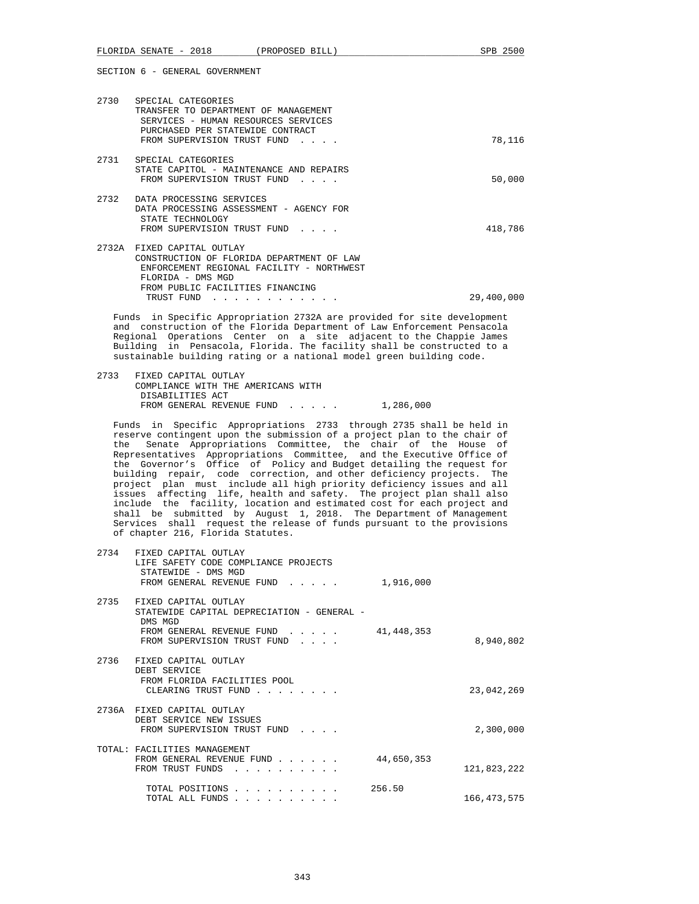| 2730  | SPECIAL CATEGORIES<br>TRANSFER TO DEPARTMENT OF MANAGEMENT<br>SERVICES - HUMAN RESOURCES SERVICES<br>PURCHASED PER STATEWIDE CONTRACT<br>FROM SUPERVISION TRUST FUND<br>$\sim$ $\sim$ $\sim$ $\sim$ | 78,116     |
|-------|-----------------------------------------------------------------------------------------------------------------------------------------------------------------------------------------------------|------------|
| 2731  | SPECIAL CATEGORIES<br>STATE CAPITOL - MAINTENANCE AND REPAIRS<br>FROM SUPERVISION TRUST FUND<br>.                                                                                                   | 50,000     |
| 2732  | DATA PROCESSING SERVICES<br>DATA PROCESSING ASSESSMENT - AGENCY FOR<br>STATE TECHNOLOGY<br>FROM SUPERVISION TRUST FUND                                                                              | 418,786    |
| 2732A | FIXED CAPITAL OUTLAY<br>CONSTRUCTION OF FLORIDA DEPARTMENT OF LAW<br>ENFORCEMENT REGIONAL FACILITY - NORTHWEST<br>FLORIDA - DMS MGD<br>FROM PUBLIC FACILITIES FINANCING                             |            |
|       | TRUST FUND                                                                                                                                                                                          | 29,400,000 |

 Funds in Specific Appropriation 2732A are provided for site development and construction of the Florida Department of Law Enforcement Pensacola Regional Operations Center on a site adjacent to the Chappie James Building in Pensacola, Florida. The facility shall be constructed to a sustainable building rating or a national model green building code.

 2733 FIXED CAPITAL OUTLAY COMPLIANCE WITH THE AMERICANS WITH DISABILITIES ACT FROM GENERAL REVENUE FUND . . . . . 1,286,000

 Funds in Specific Appropriations 2733 through 2735 shall be held in reserve contingent upon the submission of a project plan to the chair of the Senate Appropriations Committee, the chair of the House of Representatives Appropriations Committee, and the Executive Office of the Governor's Office of Policy and Budget detailing the request for building repair, code correction, and other deficiency projects. The project plan must include all high priority deficiency issues and all issues affecting life, health and safety. The project plan shall also include the facility, location and estimated cost for each project and shall be submitted by August 1, 2018. The Department of Management Services shall request the release of funds pursuant to the provisions of chapter 216, Florida Statutes.

| 2734 | FIXED CAPITAL OUTLAY<br>LIFE SAFETY CODE COMPLIANCE PROJECTS<br>STATEWIDE - DMS MGD<br>FROM GENERAL REVENUE FUND<br>$\cdot$ $\cdot$ $\cdot$ $\cdot$ $\cdot$ | 1,916,000    |               |
|------|-------------------------------------------------------------------------------------------------------------------------------------------------------------|--------------|---------------|
| 2735 | FIXED CAPITAL OUTLAY<br>STATEWIDE CAPITAL DEPRECIATION - GENERAL -<br>DMS MGD<br>FROM GENERAL REVENUE FUND<br>FROM SUPERVISION TRUST FUND<br>$\cdots$       | 41, 448, 353 | 8,940,802     |
| 2736 | FIXED CAPITAL OUTLAY<br>DEBT SERVICE<br>FROM FLORIDA FACILITIES POOL<br>CLEARING TRUST FUND<br>.                                                            |              | 23,042,269    |
|      | 2736A FIXED CAPITAL OUTLAY<br>DEBT SERVICE NEW ISSUES<br>FROM SUPERVISION TRUST FUND                                                                        |              | 2,300,000     |
|      | TOTAL: FACILITIES MANAGEMENT<br>FROM GENERAL REVENUE FUND<br>FROM TRUST FUNDS                                                                               | 44,650,353   | 121,823,222   |
|      | TOTAL POSITIONS<br>TOTAL ALL FUNDS                                                                                                                          | 256.50       | 166, 473, 575 |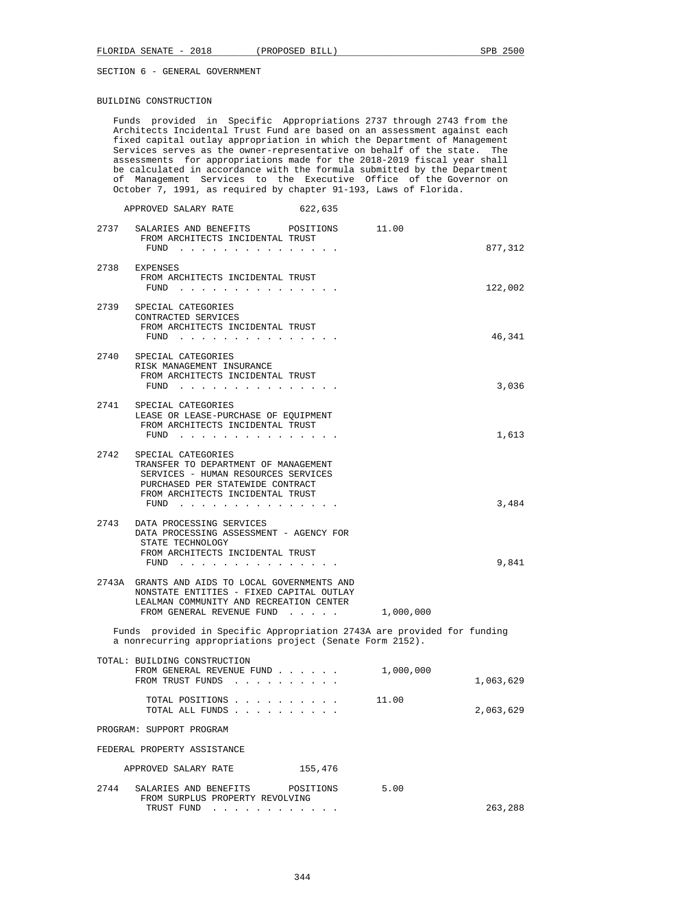# BUILDING CONSTRUCTION

|      | Architects Incidental Trust Fund are based on an assessment against each<br>fixed capital outlay appropriation in which the Department of Management<br>Services serves as the owner-representative on behalf of the state. The<br>assessments for appropriations made for the 2018-2019 fiscal year shall<br>be calculated in accordance with the formula submitted by the Department<br>of Management Services to the Executive Office of the Governor on<br>October 7, 1991, as required by chapter 91-193, Laws of Florida. |                        |  |
|------|---------------------------------------------------------------------------------------------------------------------------------------------------------------------------------------------------------------------------------------------------------------------------------------------------------------------------------------------------------------------------------------------------------------------------------------------------------------------------------------------------------------------------------|------------------------|--|
|      | 622,635<br>APPROVED SALARY RATE                                                                                                                                                                                                                                                                                                                                                                                                                                                                                                 |                        |  |
|      | 2737 SALARIES AND BENEFITS<br>POSITIONS<br>FROM ARCHITECTS INCIDENTAL TRUST<br>FUND                                                                                                                                                                                                                                                                                                                                                                                                                                             | 11.00<br>877,312       |  |
| 2738 | EXPENSES<br>FROM ARCHITECTS INCIDENTAL TRUST<br>FUND $\cdots$                                                                                                                                                                                                                                                                                                                                                                                                                                                                   | 122,002                |  |
| 2739 | SPECIAL CATEGORIES<br>CONTRACTED SERVICES<br>FROM ARCHITECTS INCIDENTAL TRUST<br>FUND $\cdots$ $\cdots$ $\cdots$ $\cdots$ $\cdots$ $\cdots$                                                                                                                                                                                                                                                                                                                                                                                     | 46,341                 |  |
| 2740 | SPECIAL CATEGORIES<br>RISK MANAGEMENT INSURANCE<br>FROM ARCHITECTS INCIDENTAL TRUST<br>$FUND$                                                                                                                                                                                                                                                                                                                                                                                                                                   | 3,036                  |  |
|      | 2741 SPECIAL CATEGORIES<br>LEASE OR LEASE-PURCHASE OF EQUIPMENT<br>FROM ARCHITECTS INCIDENTAL TRUST                                                                                                                                                                                                                                                                                                                                                                                                                             | 1,613                  |  |
| 2742 | SPECIAL CATEGORIES<br>TRANSFER TO DEPARTMENT OF MANAGEMENT<br>SERVICES - HUMAN RESOURCES SERVICES<br>PURCHASED PER STATEWIDE CONTRACT<br>FROM ARCHITECTS INCIDENTAL TRUST<br>FUND $\cdots$                                                                                                                                                                                                                                                                                                                                      | 3,484                  |  |
| 2743 | DATA PROCESSING SERVICES<br>DATA PROCESSING ASSESSMENT - AGENCY FOR<br>STATE TECHNOLOGY<br>FROM ARCHITECTS INCIDENTAL TRUST<br>FUND                                                                                                                                                                                                                                                                                                                                                                                             | 9,841                  |  |
|      | 2743A GRANTS AND AIDS TO LOCAL GOVERNMENTS AND<br>NONSTATE ENTITIES - FIXED CAPITAL OUTLAY<br>LEALMAN COMMUNITY AND RECREATION CENTER<br>FROM GENERAL REVENUE FUND                                                                                                                                                                                                                                                                                                                                                              | 1,000,000              |  |
|      | Funds provided in Specific Appropriation 2743A are provided for funding<br>a nonrecurring appropriations project (Senate Form 2152).                                                                                                                                                                                                                                                                                                                                                                                            |                        |  |
|      | TOTAL: BUILDING CONSTRUCTION<br>FROM GENERAL REVENUE FUND<br>FROM TRUST FUNDS                                                                                                                                                                                                                                                                                                                                                                                                                                                   | 1,000,000<br>1,063,629 |  |
|      | TOTAL POSITIONS<br>TOTAL ALL FUNDS                                                                                                                                                                                                                                                                                                                                                                                                                                                                                              | 11.00<br>2,063,629     |  |
|      | PROGRAM: SUPPORT PROGRAM                                                                                                                                                                                                                                                                                                                                                                                                                                                                                                        |                        |  |
|      | FEDERAL PROPERTY ASSISTANCE                                                                                                                                                                                                                                                                                                                                                                                                                                                                                                     |                        |  |
|      | APPROVED SALARY RATE<br>155,476                                                                                                                                                                                                                                                                                                                                                                                                                                                                                                 |                        |  |
| 2744 | SALARIES AND BENEFITS POSITIONS<br>FROM SURPLUS PROPERTY REVOLVING<br>TRUST FUND                                                                                                                                                                                                                                                                                                                                                                                                                                                | 5.00<br>263,288        |  |

Funds provided in Specific Appropriations 2737 through 2743 from the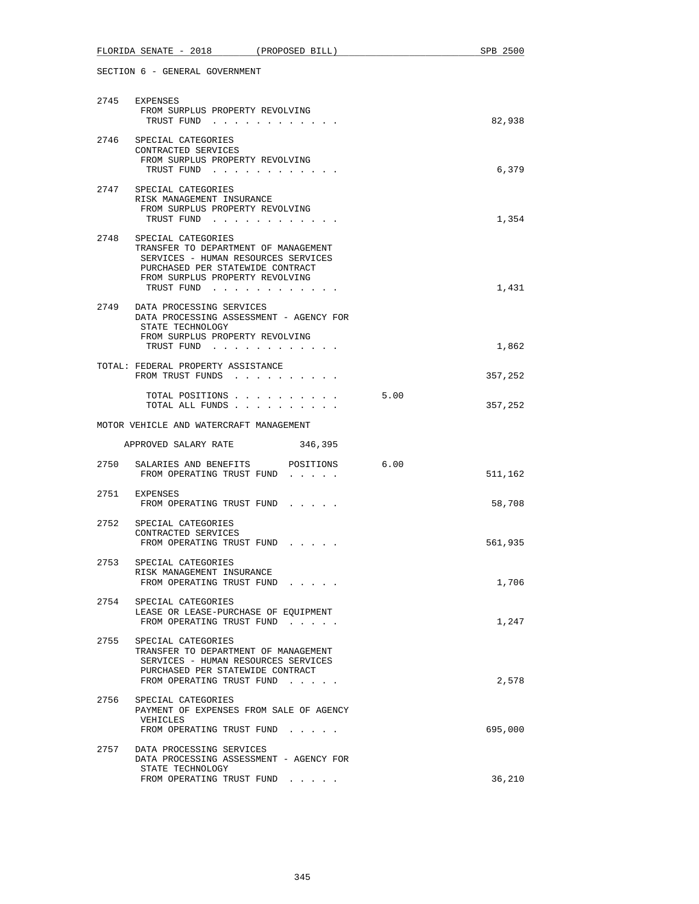|      | FLORIDA SENATE - 2018<br>(PROPOSED BILL)                                                                                                                                               |      | SPB 2500 |
|------|----------------------------------------------------------------------------------------------------------------------------------------------------------------------------------------|------|----------|
|      | SECTION 6 - GENERAL GOVERNMENT                                                                                                                                                         |      |          |
| 2745 | EXPENSES<br>FROM SURPLUS PROPERTY REVOLVING<br>TRUST FUND                                                                                                                              |      | 82,938   |
| 2746 | SPECIAL CATEGORIES<br>CONTRACTED SERVICES<br>FROM SURPLUS PROPERTY REVOLVING<br>TRUST FUND                                                                                             |      | 6,379    |
| 2747 | SPECIAL CATEGORIES<br>RISK MANAGEMENT INSURANCE<br>FROM SURPLUS PROPERTY REVOLVING<br>TRUST FUND                                                                                       |      | 1,354    |
| 2748 | SPECIAL CATEGORIES<br>TRANSFER TO DEPARTMENT OF MANAGEMENT<br>SERVICES - HUMAN RESOURCES SERVICES<br>PURCHASED PER STATEWIDE CONTRACT<br>FROM SURPLUS PROPERTY REVOLVING<br>TRUST FUND |      | 1,431    |
|      | 2749 DATA PROCESSING SERVICES<br>DATA PROCESSING ASSESSMENT - AGENCY FOR<br>STATE TECHNOLOGY<br>FROM SURPLUS PROPERTY REVOLVING<br>TRUST FUND                                          |      | 1,862    |
|      | TOTAL: FEDERAL PROPERTY ASSISTANCE<br>FROM TRUST FUNDS                                                                                                                                 |      | 357,252  |
|      | TOTAL POSITIONS<br>TOTAL ALL FUNDS                                                                                                                                                     | 5.00 | 357,252  |
|      | MOTOR VEHICLE AND WATERCRAFT MANAGEMENT                                                                                                                                                |      |          |
|      | 346,395<br>APPROVED SALARY RATE                                                                                                                                                        |      |          |
| 2750 | SALARIES AND BENEFITS POSITIONS<br>FROM OPERATING TRUST FUND                                                                                                                           | 6.00 | 511,162  |
|      | 2751 EXPENSES<br>FROM OPERATING TRUST FUND                                                                                                                                             |      | 58,708   |
| 2752 | SPECIAL CATEGORIES<br>CONTRACTED SERVICES<br>FROM OPERATING TRUST FUND                                                                                                                 |      | 561,935  |
| 2753 | SPECIAL CATEGORIES<br>RISK MANAGEMENT INSURANCE<br>FROM OPERATING TRUST FUND                                                                                                           |      | 1,706    |
|      | 2754 SPECIAL CATEGORIES<br>LEASE OR LEASE-PURCHASE OF EQUIPMENT<br>FROM OPERATING TRUST FUND                                                                                           |      | 1,247    |
| 2755 | SPECIAL CATEGORIES<br>TRANSFER TO DEPARTMENT OF MANAGEMENT<br>SERVICES - HUMAN RESOURCES SERVICES<br>PURCHASED PER STATEWIDE CONTRACT<br>FROM OPERATING TRUST FUND                     |      | 2,578    |
| 2756 | SPECIAL CATEGORIES<br>PAYMENT OF EXPENSES FROM SALE OF AGENCY<br>VEHICLES<br>FROM OPERATING TRUST FUND                                                                                 |      | 695,000  |
| 2757 | DATA PROCESSING SERVICES<br>DATA PROCESSING ASSESSMENT - AGENCY FOR<br>STATE TECHNOLOGY                                                                                                |      |          |
|      | FROM OPERATING TRUST FUND                                                                                                                                                              |      | 36,210   |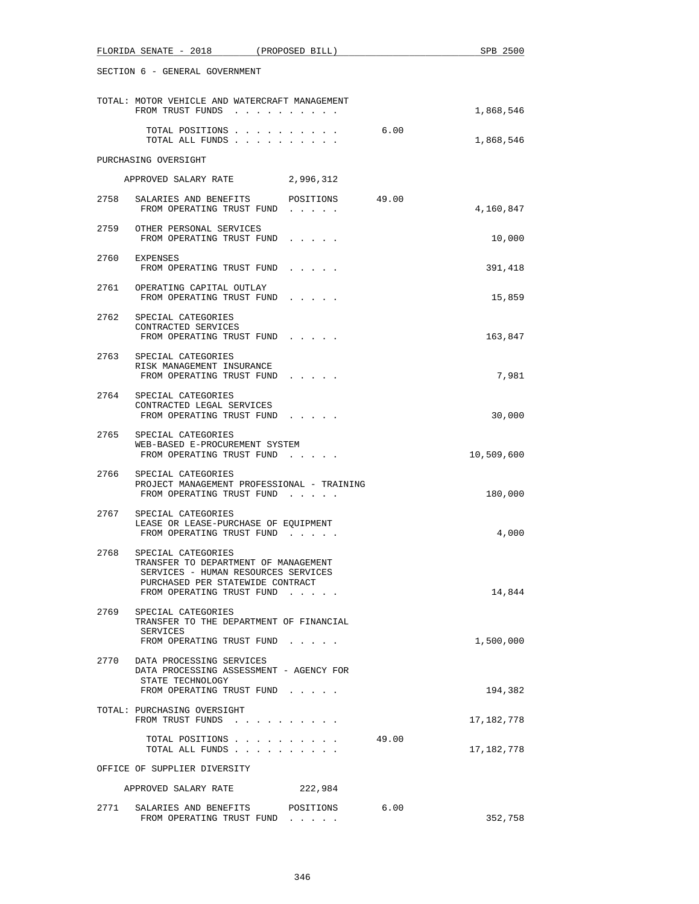| FLORIDA SENATE - 2018<br>(PROPOSED BILL)                                                                                                                                | SPB 2500            |
|-------------------------------------------------------------------------------------------------------------------------------------------------------------------------|---------------------|
| SECTION 6 - GENERAL GOVERNMENT                                                                                                                                          |                     |
| TOTAL: MOTOR VEHICLE AND WATERCRAFT MANAGEMENT<br>FROM TRUST FUNDS                                                                                                      | 1,868,546           |
| 6.00<br>TOTAL POSITIONS<br>TOTAL ALL FUNDS                                                                                                                              | 1,868,546           |
| PURCHASING OVERSIGHT                                                                                                                                                    |                     |
| APPROVED SALARY RATE 2,996,312                                                                                                                                          |                     |
| 2758 SALARIES AND BENEFITS POSITIONS 49.00<br>FROM OPERATING TRUST FUND                                                                                                 | 4,160,847           |
| 2759 OTHER PERSONAL SERVICES<br>FROM OPERATING TRUST FUND                                                                                                               | 10,000              |
| 2760 EXPENSES<br>FROM OPERATING TRUST FUND                                                                                                                              | 391,418             |
| 2761<br>OPERATING CAPITAL OUTLAY<br>FROM OPERATING TRUST FUND                                                                                                           | 15,859              |
| 2762 SPECIAL CATEGORIES<br>CONTRACTED SERVICES<br>FROM OPERATING TRUST FUND                                                                                             | 163,847             |
| 2763<br>SPECIAL CATEGORIES<br>RISK MANAGEMENT INSURANCE<br>FROM OPERATING TRUST FUND                                                                                    | 7,981               |
| 2764<br>SPECIAL CATEGORIES<br>CONTRACTED LEGAL SERVICES<br>FROM OPERATING TRUST FUND                                                                                    | 30,000              |
| 2765 SPECIAL CATEGORIES<br>WEB-BASED E-PROCUREMENT SYSTEM<br>FROM OPERATING TRUST FUND                                                                                  | 10,509,600          |
| 2766 SPECIAL CATEGORIES<br>PROJECT MANAGEMENT PROFESSIONAL - TRAINING<br>FROM OPERATING TRUST FUND                                                                      | 180,000             |
| 2767 SPECIAL CATEGORIES<br>LEASE OR LEASE-PURCHASE OF EQUIPMENT<br>FROM OPERATING TRUST FUND                                                                            | 4,000               |
| 2768 SPECIAL CATEGORIES<br>TRANSFER TO DEPARTMENT OF MANAGEMENT<br>SERVICES - HUMAN RESOURCES SERVICES<br>PURCHASED PER STATEWIDE CONTRACT<br>FROM OPERATING TRUST FUND | 14,844              |
| 2769<br>SPECIAL CATEGORIES<br>TRANSFER TO THE DEPARTMENT OF FINANCIAL<br>SERVICES<br>FROM OPERATING TRUST FUND                                                          | 1,500,000           |
| 2770 DATA PROCESSING SERVICES<br>DATA PROCESSING ASSESSMENT - AGENCY FOR<br>STATE TECHNOLOGY<br>FROM OPERATING TRUST FUND                                               | 194,382             |
| TOTAL: PURCHASING OVERSIGHT<br>FROM TRUST FUNDS                                                                                                                         | 17,182,778          |
| TOTAL POSITIONS<br>TOTAL ALL FUNDS                                                                                                                                      | 49.00<br>17,182,778 |
| OFFICE OF SUPPLIER DIVERSITY                                                                                                                                            |                     |
| APPROVED SALARY RATE<br>222,984                                                                                                                                         |                     |
| 2771<br>SALARIES AND BENEFITS<br>POSITIONS<br>FROM OPERATING TRUST FUND                                                                                                 | 6.00<br>352,758     |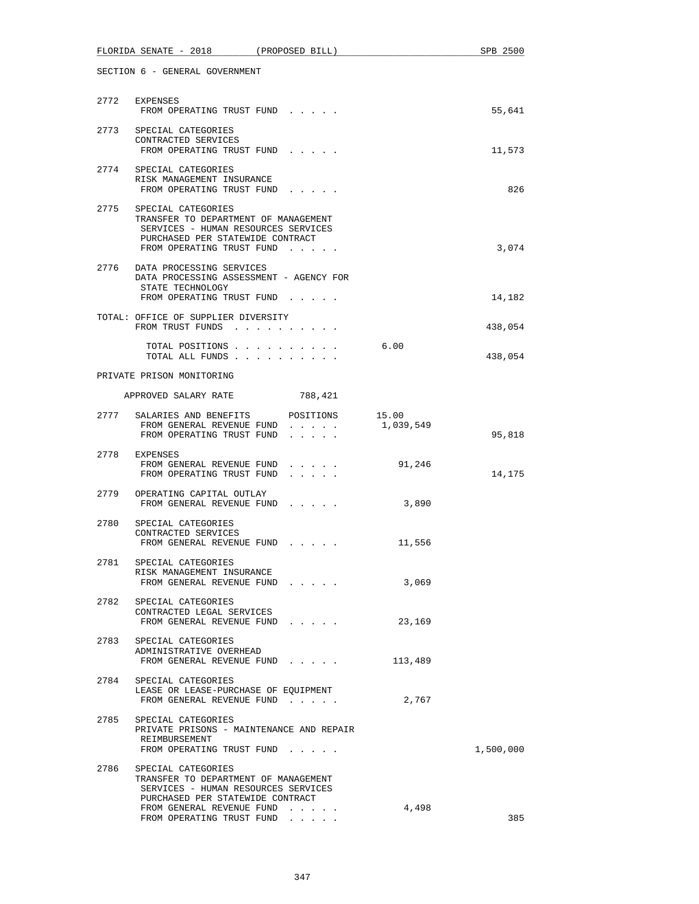|      | FLORIDA SENATE - 2018 (PROPOSED BILL)                                                                                                                              |                                                                  |           | SPB 2500  |
|------|--------------------------------------------------------------------------------------------------------------------------------------------------------------------|------------------------------------------------------------------|-----------|-----------|
|      | SECTION 6 - GENERAL GOVERNMENT                                                                                                                                     |                                                                  |           |           |
|      | 2772 EXPENSES<br>FROM OPERATING TRUST FUND                                                                                                                         |                                                                  |           | 55,641    |
|      | 2773 SPECIAL CATEGORIES<br>CONTRACTED SERVICES<br>FROM OPERATING TRUST FUND                                                                                        |                                                                  |           | 11,573    |
|      | 2774 SPECIAL CATEGORIES<br>RISK MANAGEMENT INSURANCE<br>FROM OPERATING TRUST FUND                                                                                  |                                                                  |           | 826       |
| 2775 | SPECIAL CATEGORIES<br>TRANSFER TO DEPARTMENT OF MANAGEMENT<br>SERVICES - HUMAN RESOURCES SERVICES<br>PURCHASED PER STATEWIDE CONTRACT<br>FROM OPERATING TRUST FUND |                                                                  |           | 3,074     |
|      | 2776 DATA PROCESSING SERVICES<br>DATA PROCESSING ASSESSMENT - AGENCY FOR<br>STATE TECHNOLOGY<br>FROM OPERATING TRUST FUND                                          |                                                                  |           |           |
|      |                                                                                                                                                                    |                                                                  |           | 14,182    |
|      | TOTAL: OFFICE OF SUPPLIER DIVERSITY<br>FROM TRUST FUNDS                                                                                                            |                                                                  |           | 438,054   |
|      | TOTAL POSITIONS<br>TOTAL ALL FUNDS                                                                                                                                 |                                                                  | 6.00      | 438,054   |
|      | PRIVATE PRISON MONITORING                                                                                                                                          |                                                                  |           |           |
|      | APPROVED SALARY RATE 788,421                                                                                                                                       |                                                                  |           |           |
|      | 2777 SALARIES AND BENEFITS POSITIONS 15.00<br>FROM GENERAL REVENUE FUND<br>FROM OPERATING TRUST FUND                                                               |                                                                  | 1,039,549 | 95,818    |
|      | 2778 EXPENSES<br>FROM GENERAL REVENUE FUND<br>FROM OPERATING TRUST FUND                                                                                            | $\mathbf{z} = \mathbf{z} + \mathbf{z} + \mathbf{z} + \mathbf{z}$ | 91,246    | 14,175    |
|      | 2779 OPERATING CAPITAL OUTLAY<br>FROM GENERAL REVENUE FUND                                                                                                         |                                                                  | 3,890     |           |
| 2780 | SPECIAL CATEGORIES<br>CONTRACTED SERVICES<br>FROM GENERAL REVENUE FUND                                                                                             |                                                                  | 11,556    |           |
| 2781 | SPECIAL CATEGORIES<br>RISK MANAGEMENT INSURANCE<br>FROM GENERAL REVENUE FUND                                                                                       |                                                                  | 3,069     |           |
|      | 2782 SPECIAL CATEGORIES<br>CONTRACTED LEGAL SERVICES<br>FROM GENERAL REVENUE FUND                                                                                  |                                                                  | 23,169    |           |
|      | 2783 SPECIAL CATEGORIES<br>ADMINISTRATIVE OVERHEAD<br>FROM GENERAL REVENUE FUND                                                                                    |                                                                  | 113,489   |           |
| 2784 | SPECIAL CATEGORIES<br>LEASE OR LEASE-PURCHASE OF EQUIPMENT<br>FROM GENERAL REVENUE FUND                                                                            |                                                                  | 2,767     |           |
|      | 2785 SPECIAL CATEGORIES<br>PRIVATE PRISONS - MAINTENANCE AND REPAIR<br>REIMBURSEMENT<br>FROM OPERATING TRUST FUND                                                  |                                                                  |           | 1,500,000 |
| 2786 | SPECIAL CATEGORIES<br>TRANSFER TO DEPARTMENT OF MANAGEMENT<br>SERVICES - HUMAN RESOURCES SERVICES<br>PURCHASED PER STATEWIDE CONTRACT                              |                                                                  |           |           |
|      | FROM GENERAL REVENUE FUND<br>FROM OPERATING TRUST FUND                                                                                                             |                                                                  | 4,498     | 385       |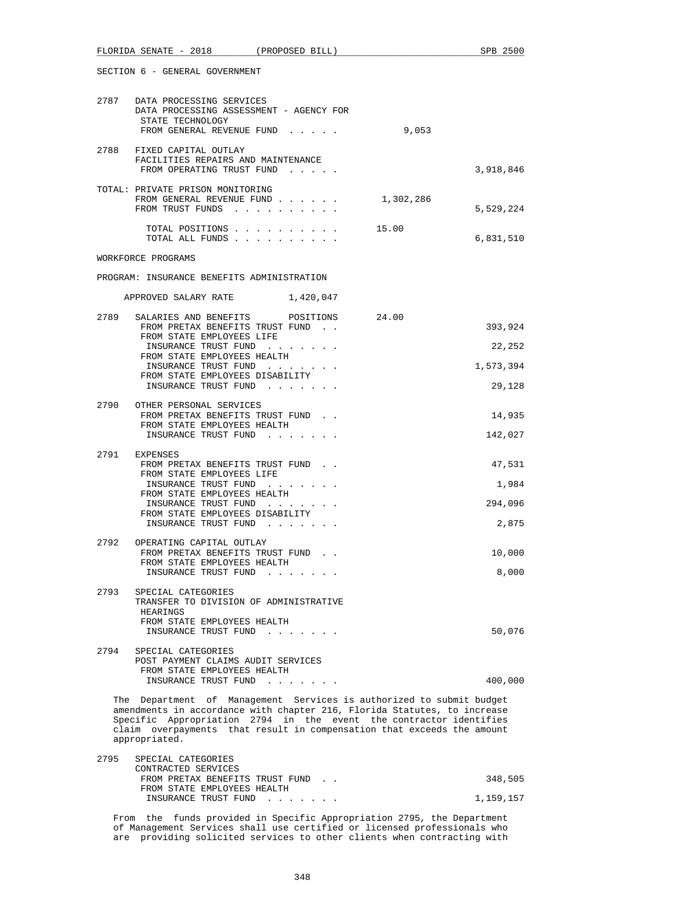| SECTION 6 - GENERAL GOVERNMENT                                                                                                                                                                                                                                                                                    |                            |
|-------------------------------------------------------------------------------------------------------------------------------------------------------------------------------------------------------------------------------------------------------------------------------------------------------------------|----------------------------|
| 2787 DATA PROCESSING SERVICES<br>DATA PROCESSING ASSESSMENT - AGENCY FOR<br>STATE TECHNOLOGY<br>FROM GENERAL REVENUE FUND                                                                                                                                                                                         | 9,053                      |
| 2788 FIXED CAPITAL OUTLAY<br>FACILITIES REPAIRS AND MAINTENANCE<br>FROM OPERATING TRUST FUND                                                                                                                                                                                                                      | 3,918,846                  |
| TOTAL: PRIVATE PRISON MONITORING<br>FROM GENERAL REVENUE FUND<br>FROM TRUST FUNDS                                                                                                                                                                                                                                 | 1,302,286<br>5,529,224     |
| TOTAL POSITIONS<br>TOTAL ALL FUNDS                                                                                                                                                                                                                                                                                | 15.00<br>6,831,510         |
| WORKFORCE PROGRAMS                                                                                                                                                                                                                                                                                                |                            |
| PROGRAM: INSURANCE BENEFITS ADMINISTRATION                                                                                                                                                                                                                                                                        |                            |
| APPROVED SALARY RATE 1,420,047                                                                                                                                                                                                                                                                                    |                            |
| SALARIES AND BENEFITS POSITIONS<br>2789<br>FROM PRETAX BENEFITS TRUST FUND.<br>FROM STATE EMPLOYEES LIFE                                                                                                                                                                                                          | 24.00<br>393,924           |
| INSURANCE TRUST FUND<br>FROM STATE EMPLOYEES HEALTH                                                                                                                                                                                                                                                               | 22,252                     |
| INSURANCE TRUST FUND<br>FROM STATE EMPLOYEES DISABILITY                                                                                                                                                                                                                                                           | 1,573,394                  |
| INSURANCE TRUST FUND                                                                                                                                                                                                                                                                                              | 29,128                     |
| 2790 OTHER PERSONAL SERVICES<br>FROM PRETAX BENEFITS TRUST FUND.                                                                                                                                                                                                                                                  | 14,935                     |
| FROM STATE EMPLOYEES HEALTH<br>INSURANCE TRUST FUND                                                                                                                                                                                                                                                               | 142,027                    |
| 2791 EXPENSES<br>FROM PRETAX BENEFITS TRUST FUND.<br>FROM STATE EMPLOYEES LIFE<br>INSURANCE TRUST FUND<br>FROM STATE EMPLOYEES HEALTH<br>INSURANCE TRUST FUND<br>FROM STATE EMPLOYEES DISABILITY                                                                                                                  | 47,531<br>1,984<br>294,096 |
| INSURANCE TRUST FUND                                                                                                                                                                                                                                                                                              | 2,875                      |
| 2792<br>OPERATING CAPITAL OUTLAY<br>FROM PRETAX BENEFITS TRUST FUND.<br>FROM STATE EMPLOYEES HEALTH<br>INSURANCE TRUST FUND                                                                                                                                                                                       | 10,000<br>8,000            |
| 2793<br>SPECIAL CATEGORIES<br>TRANSFER TO DIVISION OF ADMINISTRATIVE<br>HEARINGS<br>FROM STATE EMPLOYEES HEALTH                                                                                                                                                                                                   |                            |
| INSURANCE TRUST FUND                                                                                                                                                                                                                                                                                              | 50,076                     |
| 2794<br>SPECIAL CATEGORIES<br>POST PAYMENT CLAIMS AUDIT SERVICES<br>FROM STATE EMPLOYEES HEALTH<br>INSURANCE TRUST FUND                                                                                                                                                                                           | 400,000                    |
| The Department of Management Services is authorized to submit budget<br>amendments in accordance with chapter 216, Florida Statutes, to increase<br>Specific Appropriation 2794 in the event the contractor identifies<br>claim overpayments that result in compensation that exceeds the amount<br>appropriated. |                            |
| 2795<br>SPECIAL CATEGORIES                                                                                                                                                                                                                                                                                        |                            |

FLORIDA SENATE - 2018 (PROPOSED BILL) SPB 2500

| CONTRACTED SERVICES              |           |
|----------------------------------|-----------|
| FROM PRETAX BENEFITS TRUST FUND. | 348,505   |
| FROM STATE EMPLOYEES HEALTH      |           |
| INSURANCE TRUST FUND             | 1,159,157 |

 From the funds provided in Specific Appropriation 2795, the Department of Management Services shall use certified or licensed professionals who are providing solicited services to other clients when contracting with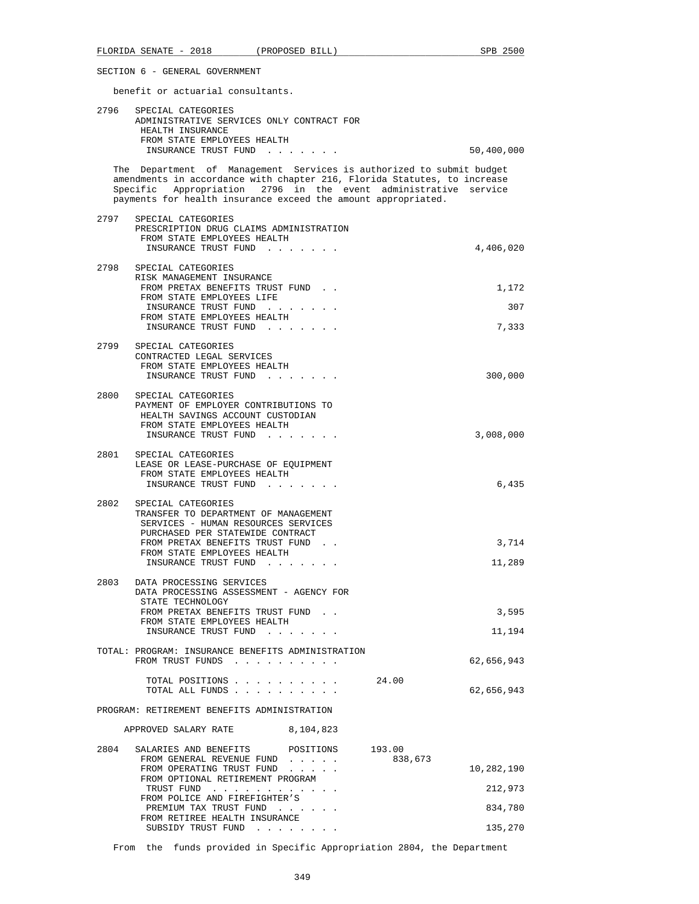benefit or actuarial consultants.

| 2796 | SPECIAL CATEGORIES<br>ADMINISTRATIVE SERVICES ONLY CONTRACT FOR<br>HEALTH INSURANCE                                                                                                                                                                                                  |                                  |
|------|--------------------------------------------------------------------------------------------------------------------------------------------------------------------------------------------------------------------------------------------------------------------------------------|----------------------------------|
|      | FROM STATE EMPLOYEES HEALTH<br>INSURANCE TRUST FUND                                                                                                                                                                                                                                  | 50,400,000                       |
|      | The Department of Management Services is authorized to submit budget<br>amendments in accordance with chapter 216, Florida Statutes, to increase<br>Specific Appropriation 2796 in the event administrative service<br>payments for health insurance exceed the amount appropriated. |                                  |
|      | 2797 SPECIAL CATEGORIES<br>PRESCRIPTION DRUG CLAIMS ADMINISTRATION<br>FROM STATE EMPLOYEES HEALTH<br>INSURANCE TRUST FUND                                                                                                                                                            | 4,406,020                        |
| 2798 | SPECIAL CATEGORIES<br>RISK MANAGEMENT INSURANCE<br>FROM PRETAX BENEFITS TRUST FUND.<br>FROM STATE EMPLOYEES LIFE<br>INSURANCE TRUST FUND<br>FROM STATE EMPLOYEES HEALTH<br>INSURANCE TRUST FUND                                                                                      | 1,172<br>307<br>7,333            |
| 2799 | SPECIAL CATEGORIES<br>CONTRACTED LEGAL SERVICES<br>FROM STATE EMPLOYEES HEALTH<br>INSURANCE TRUST FUND                                                                                                                                                                               | 300,000                          |
| 2800 | SPECIAL CATEGORIES<br>PAYMENT OF EMPLOYER CONTRIBUTIONS TO<br>HEALTH SAVINGS ACCOUNT CUSTODIAN<br>FROM STATE EMPLOYEES HEALTH<br>INSURANCE TRUST FUND<br>$\mathcal{L}(\mathcal{A})$ . The contribution of the $\mathcal{A}(\mathcal{A})$                                             | 3,008,000                        |
| 2801 | SPECIAL CATEGORIES<br>LEASE OR LEASE-PURCHASE OF EQUIPMENT<br>FROM STATE EMPLOYEES HEALTH<br>INSURANCE TRUST FUND                                                                                                                                                                    | 6,435                            |
| 2802 | SPECIAL CATEGORIES<br>TRANSFER TO DEPARTMENT OF MANAGEMENT<br>SERVICES - HUMAN RESOURCES SERVICES<br>PURCHASED PER STATEWIDE CONTRACT<br>FROM PRETAX BENEFITS TRUST FUND.<br>FROM STATE EMPLOYEES HEALTH<br>INSURANCE TRUST FUND                                                     | 3,714<br>11,289                  |
| 2803 | DATA PROCESSING SERVICES<br>DATA PROCESSING ASSESSMENT - AGENCY FOR<br>STATE TECHNOLOGY<br>FROM PRETAX BENEFITS TRUST FUND<br>FROM STATE EMPLOYEES HEALTH<br>INSURANCE TRUST FUND                                                                                                    | 3,595<br>11,194                  |
|      | TOTAL: PROGRAM: INSURANCE BENEFITS ADMINISTRATION<br>FROM TRUST FUNDS                                                                                                                                                                                                                | 62,656,943                       |
|      | TOTAL POSITIONS<br>24.00<br>TOTAL ALL FUNDS                                                                                                                                                                                                                                          | 62,656,943                       |
|      | PROGRAM: RETIREMENT BENEFITS ADMINISTRATION                                                                                                                                                                                                                                          |                                  |
|      | 8,104,823<br>APPROVED SALARY RATE                                                                                                                                                                                                                                                    |                                  |
| 2804 | SALARIES AND BENEFITS<br>193.00<br>POSITIONS<br>838,673<br>FROM GENERAL REVENUE FUND<br>FROM OPERATING TRUST FUND<br>FROM OPTIONAL RETIREMENT PROGRAM<br>TRUST FUND<br>FROM POLICE AND FIREFIGHTER'S<br>PREMIUM TAX TRUST FUND<br>and the state of the state of the                  | 10,282,190<br>212,973<br>834,780 |
|      | FROM RETIREE HEALTH INSURANCE<br>SUBSIDY TRUST FUND                                                                                                                                                                                                                                  | 135,270                          |

From the funds provided in Specific Appropriation 2804, the Department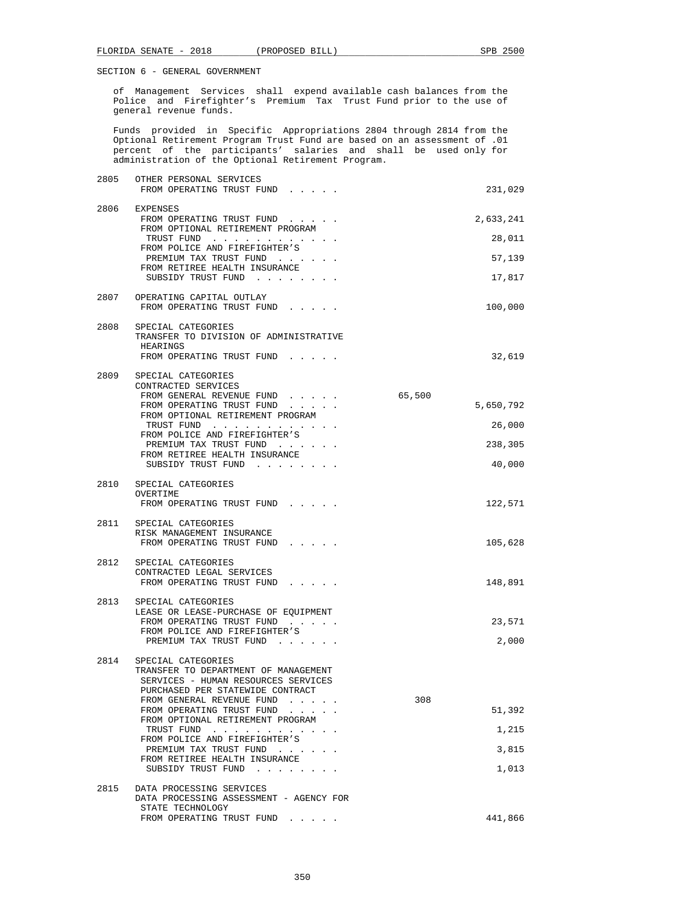of Management Services shall expend available cash balances from the Police and Firefighter's Premium Tax Trust Fund prior to the use of general revenue funds.

 Funds provided in Specific Appropriations 2804 through 2814 from the Optional Retirement Program Trust Fund are based on an assessment of .01 percent of the participants' salaries and shall be used only for administration of the Optional Retirement Program.

| 2805 | OTHER PERSONAL SERVICES<br>FROM OPERATING TRUST FUND                                                                                            |        | 231,029   |
|------|-------------------------------------------------------------------------------------------------------------------------------------------------|--------|-----------|
| 2806 | EXPENSES<br>FROM OPERATING TRUST FUND<br>FROM OPTIONAL RETIREMENT PROGRAM                                                                       |        | 2,633,241 |
|      | TRUST FUND<br>FROM POLICE AND FIREFIGHTER'S                                                                                                     |        | 28,011    |
|      | PREMIUM TAX TRUST FUND<br>FROM RETIREE HEALTH INSURANCE                                                                                         |        | 57,139    |
|      | SUBSIDY TRUST FUND                                                                                                                              |        | 17,817    |
| 2807 | OPERATING CAPITAL OUTLAY<br>FROM OPERATING TRUST FUND                                                                                           |        | 100,000   |
|      | 2808 SPECIAL CATEGORIES<br>TRANSFER TO DIVISION OF ADMINISTRATIVE<br>HEARINGS                                                                   |        |           |
|      | FROM OPERATING TRUST FUND                                                                                                                       |        | 32,619    |
| 2809 | SPECIAL CATEGORIES<br>CONTRACTED SERVICES                                                                                                       |        |           |
|      | FROM GENERAL REVENUE FUND<br>FROM OPERATING TRUST FUND                                                                                          | 65,500 | 5,650,792 |
|      | FROM OPTIONAL RETIREMENT PROGRAM<br>TRUST FUND                                                                                                  |        | 26,000    |
|      | FROM POLICE AND FIREFIGHTER'S                                                                                                                   |        |           |
|      | PREMIUM TAX TRUST FUND<br>FROM RETIREE HEALTH INSURANCE                                                                                         |        | 238,305   |
|      | SUBSIDY TRUST FUND                                                                                                                              |        | 40,000    |
|      | 2810 SPECIAL CATEGORIES<br>OVERTIME<br>FROM OPERATING TRUST FUND                                                                                |        | 122,571   |
| 2811 | SPECIAL CATEGORIES<br>RISK MANAGEMENT INSURANCE<br>FROM OPERATING TRUST FUND                                                                    |        | 105,628   |
| 2812 | SPECIAL CATEGORIES<br>CONTRACTED LEGAL SERVICES                                                                                                 |        |           |
|      | FROM OPERATING TRUST FUND                                                                                                                       |        | 148,891   |
|      | 2813 SPECIAL CATEGORIES<br>LEASE OR LEASE-PURCHASE OF EQUIPMENT<br>FROM OPERATING TRUST FUND                                                    |        | 23,571    |
|      | FROM POLICE AND FIREFIGHTER'S<br>PREMIUM TAX TRUST FUND                                                                                         |        | 2,000     |
| 2814 | SPECIAL CATEGORIES<br>TRANSFER TO DEPARTMENT OF MANAGEMENT<br>SERVICES - HUMAN RESOURCES SERVICES                                               |        |           |
|      | PURCHASED PER STATEWIDE CONTRACT                                                                                                                |        |           |
|      | FROM GENERAL REVENUE FUND<br>FROM OPERATING TRUST FUND<br><b>Contract Contract</b>                                                              | 308    | 51,392    |
|      | FROM OPTIONAL RETIREMENT PROGRAM<br>TRUST FUND<br>$\mathcal{A}$ , and $\mathcal{A}$ , and $\mathcal{A}$ , and $\mathcal{A}$ , and $\mathcal{A}$ |        | 1,215     |
|      | FROM POLICE AND FIREFIGHTER'S<br>PREMIUM TAX TRUST FUND                                                                                         |        | 3,815     |
|      | FROM RETIREE HEALTH INSURANCE<br>SUBSIDY TRUST FUND<br>$\cdot$ $\cdot$ $\cdot$                                                                  |        | 1,013     |
| 2815 | DATA PROCESSING SERVICES                                                                                                                        |        |           |
|      | DATA PROCESSING ASSESSMENT - AGENCY FOR<br>STATE TECHNOLOGY                                                                                     |        |           |
|      | FROM OPERATING TRUST FUND                                                                                                                       |        | 441,866   |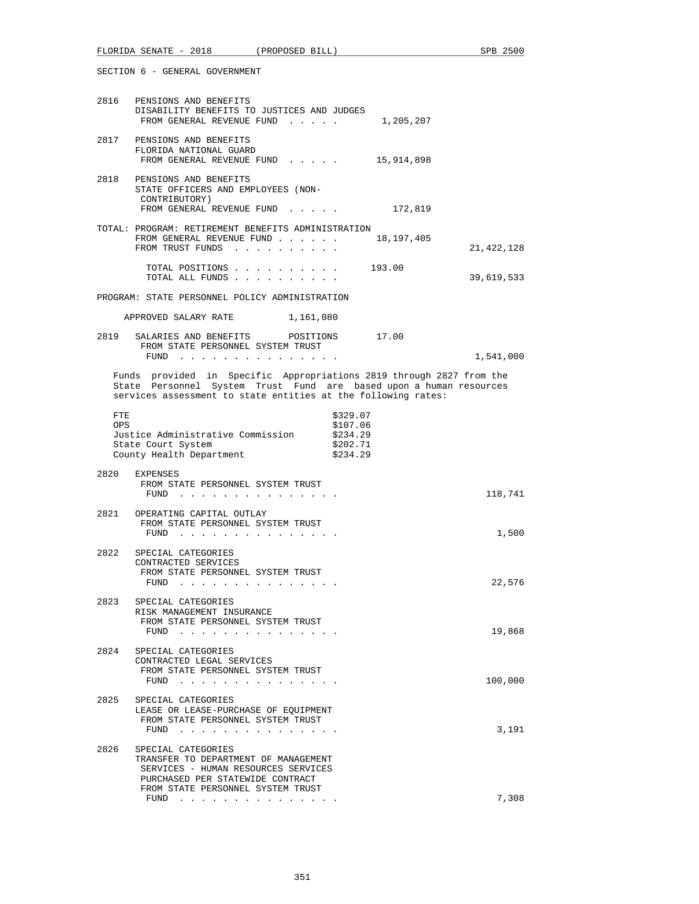|                   | SECTION 6 - GENERAL GOVERNMENT                                                                                                                                                                              |                                              |            |
|-------------------|-------------------------------------------------------------------------------------------------------------------------------------------------------------------------------------------------------------|----------------------------------------------|------------|
|                   | 2816 PENSIONS AND BENEFITS<br>DISABILITY BENEFITS TO JUSTICES AND JUDGES<br>FROM GENERAL REVENUE FUND 1,205,207                                                                                             |                                              |            |
|                   | 2817 PENSIONS AND BENEFITS<br>FLORIDA NATIONAL GUARD<br>FROM GENERAL REVENUE FUND 15,914,898                                                                                                                |                                              |            |
|                   | 2818 PENSIONS AND BENEFITS<br>STATE OFFICERS AND EMPLOYEES (NON-<br>CONTRIBUTORY)<br>FROM GENERAL REVENUE FUND                                                                                              | 172,819                                      |            |
|                   | TOTAL: PROGRAM: RETIREMENT BENEFITS ADMINISTRATION<br>FROM GENERAL REVENUE FUND 18,197,405<br>FROM TRUST FUNDS                                                                                              |                                              | 21,422,128 |
|                   | TOTAL POSITIONS 193.00<br>TOTAL ALL FUNDS                                                                                                                                                                   |                                              | 39,619,533 |
|                   | PROGRAM: STATE PERSONNEL POLICY ADMINISTRATION                                                                                                                                                              |                                              |            |
|                   | APPROVED SALARY RATE<br>1,161,080                                                                                                                                                                           |                                              |            |
|                   | 2819 SALARIES AND BENEFITS POSITIONS 17.00<br>FROM STATE PERSONNEL SYSTEM TRUST                                                                                                                             |                                              |            |
|                   | FUND                                                                                                                                                                                                        |                                              | 1,541,000  |
|                   | Funds provided in Specific Appropriations 2819 through 2827 from the<br>State Personnel System Trust Fund are based upon a human resources<br>services assessment to state entities at the following rates: |                                              |            |
| FTE<br><b>OPS</b> | Justice Administrative Commission \$234.29<br>State Court System<br>County Health Department                                                                                                                | \$329.07<br>\$107.06<br>\$202.71<br>\$234.29 |            |
| 2820              | EXPENSES<br>FROM STATE PERSONNEL SYSTEM TRUST<br>FUND                                                                                                                                                       |                                              | 118,741    |
|                   | 2821 OPERATING CAPITAL OUTLAY<br>FROM STATE PERSONNEL SYSTEM TRUST<br>FUND $\cdots$                                                                                                                         |                                              | 1,500      |
| 2822              | SPECIAL CATEGORIES<br>CONTRACTED SERVICES<br>FROM STATE PERSONNEL SYSTEM TRUST<br>FUND                                                                                                                      |                                              | 22,576     |
| 2823              | SPECIAL CATEGORIES<br>RISK MANAGEMENT INSURANCE<br>FROM STATE PERSONNEL SYSTEM TRUST<br>FUND $\ldots$                                                                                                       |                                              | 19,868     |
| 2824              | SPECIAL CATEGORIES<br>CONTRACTED LEGAL SERVICES<br>FROM STATE PERSONNEL SYSTEM TRUST<br>FUND<br>the contract of the contract of the contract of the                                                         |                                              | 100,000    |
| 2825              | SPECIAL CATEGORIES<br>LEASE OR LEASE-PURCHASE OF EQUIPMENT<br>FROM STATE PERSONNEL SYSTEM TRUST<br>FUND $\cdots$                                                                                            |                                              | 3,191      |
| 2826              | SPECIAL CATEGORIES<br>TRANSFER TO DEPARTMENT OF MANAGEMENT<br>SERVICES - HUMAN RESOURCES SERVICES<br>PURCHASED PER STATEWIDE CONTRACT                                                                       |                                              |            |
|                   | FROM STATE PERSONNEL SYSTEM TRUST<br>FUND<br>. The contract of the contract of the contract of the contract of the contract of the $\alpha$                                                                 |                                              | 7,308      |

FLORIDA SENATE - 2018 (PROPOSED BILL) SPB 2500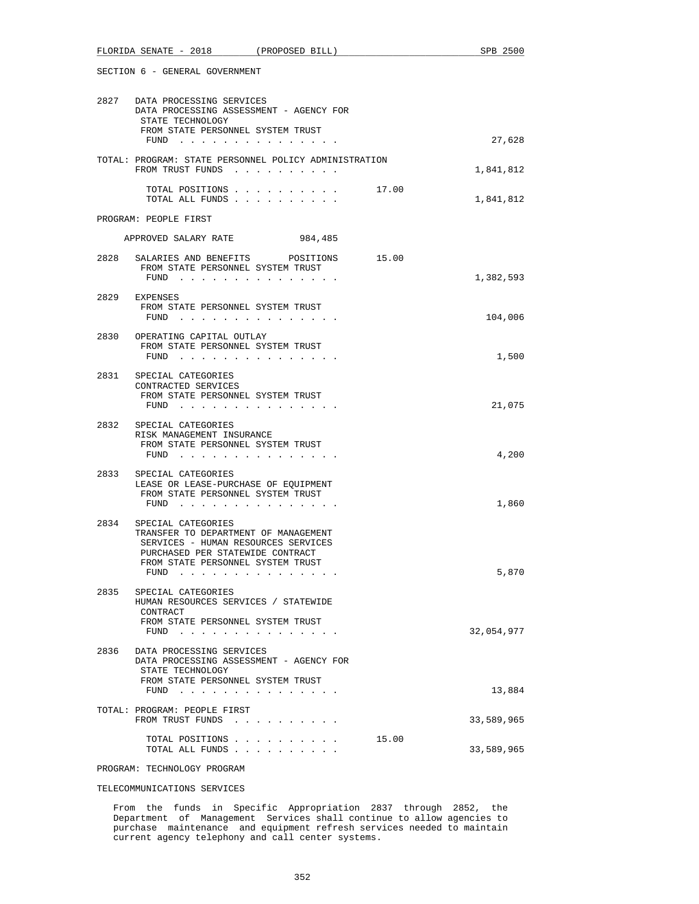|      | SECTION 6 - GENERAL GOVERNMENT                                                                                                                                                                                                                                              |       |            |
|------|-----------------------------------------------------------------------------------------------------------------------------------------------------------------------------------------------------------------------------------------------------------------------------|-------|------------|
|      | 2827 DATA PROCESSING SERVICES<br>DATA PROCESSING ASSESSMENT - AGENCY FOR<br>STATE TECHNOLOGY<br>FROM STATE PERSONNEL SYSTEM TRUST                                                                                                                                           |       |            |
|      | FUND $\cdots$                                                                                                                                                                                                                                                               |       | 27,628     |
|      | TOTAL: PROGRAM: STATE PERSONNEL POLICY ADMINISTRATION<br>FROM TRUST FUNDS                                                                                                                                                                                                   |       | 1,841,812  |
|      | TOTAL POSITIONS 17.00<br>TOTAL ALL FUNDS                                                                                                                                                                                                                                    |       | 1,841,812  |
|      | PROGRAM: PEOPLE FIRST                                                                                                                                                                                                                                                       |       |            |
|      | APPROVED SALARY RATE<br>984,485                                                                                                                                                                                                                                             |       |            |
|      | 2828 SALARIES AND BENEFITS POSITIONS                                                                                                                                                                                                                                        | 15.00 |            |
|      | FROM STATE PERSONNEL SYSTEM TRUST<br>FUND<br>the contract of the contract of the contract of the contract of the contract of the contract of the contract of the contract of the contract of the contract of the contract of the contract of the contract of the contract o |       | 1,382,593  |
|      | 2829 EXPENSES<br>FROM STATE PERSONNEL SYSTEM TRUST<br>FUND                                                                                                                                                                                                                  |       | 104,006    |
|      |                                                                                                                                                                                                                                                                             |       |            |
|      | 2830 OPERATING CAPITAL OUTLAY<br>FROM STATE PERSONNEL SYSTEM TRUST<br>FUND $\cdots$                                                                                                                                                                                         |       | 1,500      |
|      | 2831 SPECIAL CATEGORIES<br>CONTRACTED SERVICES<br>FROM STATE PERSONNEL SYSTEM TRUST<br>FUND $\cdots$                                                                                                                                                                        |       | 21,075     |
|      |                                                                                                                                                                                                                                                                             |       |            |
|      | 2832 SPECIAL CATEGORIES<br>RISK MANAGEMENT INSURANCE<br>FROM STATE PERSONNEL SYSTEM TRUST                                                                                                                                                                                   |       |            |
|      | $FUND$                                                                                                                                                                                                                                                                      |       | 4,200      |
|      | 2833 SPECIAL CATEGORIES<br>LEASE OR LEASE-PURCHASE OF EQUIPMENT<br>FROM STATE PERSONNEL SYSTEM TRUST<br>FUND $\cdots$                                                                                                                                                       |       | 1,860      |
| 2834 | SPECIAL CATEGORIES                                                                                                                                                                                                                                                          |       |            |
|      | TRANSFER TO DEPARTMENT OF MANAGEMENT<br>SERVICES - HUMAN RESOURCES SERVICES<br>PURCHASED PER STATEWIDE CONTRACT<br>FROM STATE PERSONNEL SYSTEM TRUST                                                                                                                        |       |            |
|      | FUND $\cdots$                                                                                                                                                                                                                                                               |       | 5,870      |
| 2835 | SPECIAL CATEGORIES<br>HUMAN RESOURCES SERVICES / STATEWIDE<br>CONTRACT                                                                                                                                                                                                      |       |            |
|      | FROM STATE PERSONNEL SYSTEM TRUST<br>FUND $\cdots$                                                                                                                                                                                                                          |       | 32,054,977 |
| 2836 | DATA PROCESSING SERVICES<br>DATA PROCESSING ASSESSMENT - AGENCY FOR<br>STATE TECHNOLOGY                                                                                                                                                                                     |       |            |
|      | FROM STATE PERSONNEL SYSTEM TRUST<br>FUND $\cdots$                                                                                                                                                                                                                          |       | 13,884     |
|      | TOTAL: PROGRAM: PEOPLE FIRST<br>FROM TRUST FUNDS                                                                                                                                                                                                                            |       | 33,589,965 |
|      | TOTAL POSITIONS<br>TOTAL ALL FUNDS                                                                                                                                                                                                                                          | 15.00 | 33,589,965 |

FLORIDA SENATE - 2018 (PROPOSED BILL) SPB 2500

PROGRAM: TECHNOLOGY PROGRAM

TELECOMMUNICATIONS SERVICES

 From the funds in Specific Appropriation 2837 through 2852, the Department of Management Services shall continue to allow agencies to purchase maintenance and equipment refresh services needed to maintain current agency telephony and call center systems.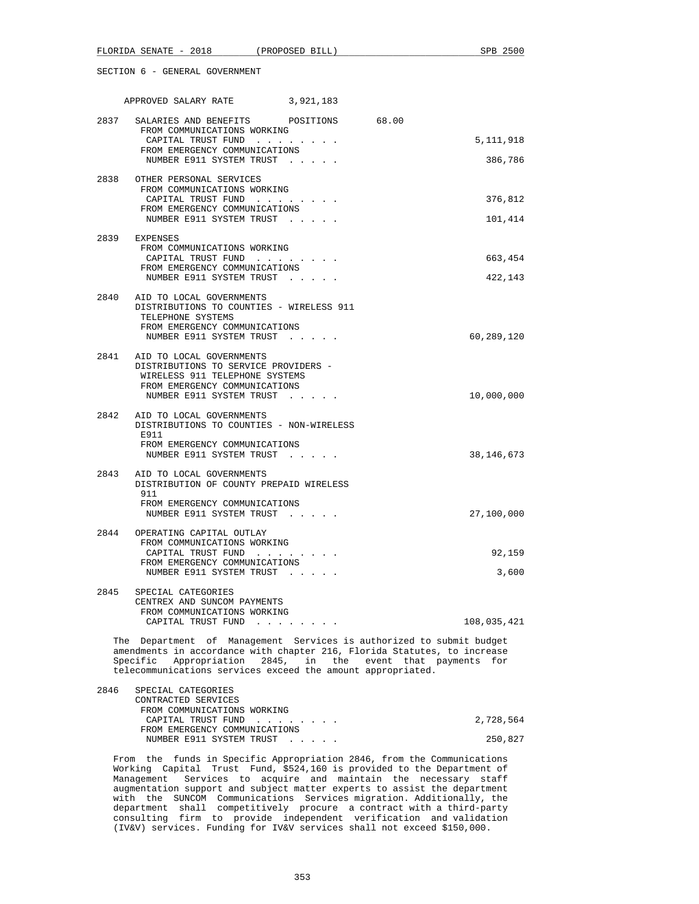## APPROVED SALARY RATE 3,921,183

| 2837 | SALARIES AND BENEFITS POSITIONS 68.00<br>FROM COMMUNICATIONS WORKING   |              |
|------|------------------------------------------------------------------------|--------------|
|      | CAPITAL TRUST FUND<br>FROM EMERGENCY COMMUNICATIONS                    | 5, 111, 918  |
|      | NUMBER E911 SYSTEM TRUST                                               | 386,786      |
| 2838 | OTHER PERSONAL SERVICES                                                |              |
|      | FROM COMMUNICATIONS WORKING<br>CAPITAL TRUST FUND                      | 376,812      |
|      | FROM EMERGENCY COMMUNICATIONS<br>NUMBER E911 SYSTEM TRUST              | 101,414      |
|      | 2839 EXPENSES                                                          |              |
|      | FROM COMMUNICATIONS WORKING<br>CAPITAL TRUST FUND                      | 663,454      |
|      | FROM EMERGENCY COMMUNICATIONS<br>NUMBER E911 SYSTEM TRUST              | 422,143      |
|      | 2840 AID TO LOCAL GOVERNMENTS                                          |              |
|      | DISTRIBUTIONS TO COUNTIES - WIRELESS 911<br>TELEPHONE SYSTEMS          |              |
|      | FROM EMERGENCY COMMUNICATIONS<br>NUMBER E911 SYSTEM TRUST              | 60,289,120   |
| 2841 | AID TO LOCAL GOVERNMENTS                                               |              |
|      | DISTRIBUTIONS TO SERVICE PROVIDERS -<br>WIRELESS 911 TELEPHONE SYSTEMS |              |
|      | FROM EMERGENCY COMMUNICATIONS<br>NUMBER E911 SYSTEM TRUST              | 10,000,000   |
|      | 2842 AID TO LOCAL GOVERNMENTS                                          |              |
|      | DISTRIBUTIONS TO COUNTIES - NON-WIRELESS<br>E911                       |              |
|      | FROM EMERGENCY COMMUNICATIONS<br>NUMBER E911 SYSTEM TRUST              | 38, 146, 673 |
| 2843 | AID TO LOCAL GOVERNMENTS                                               |              |
|      | DISTRIBUTION OF COUNTY PREPAID WIRELESS<br>911                         |              |
|      | FROM EMERGENCY COMMUNICATIONS<br>NUMBER E911 SYSTEM TRUST              | 27,100,000   |
| 2844 | OPERATING CAPITAL OUTLAY                                               |              |
|      | FROM COMMUNICATIONS WORKING<br>CAPITAL TRUST FUND                      | 92,159       |
|      | FROM EMERGENCY COMMUNICATIONS<br>NUMBER E911 SYSTEM TRUST              | 3,600        |
| 2845 | SPECIAL CATEGORIES                                                     |              |
|      | CENTREX AND SUNCOM PAYMENTS<br>FROM COMMUNICATIONS WORKING             |              |
|      | CAPITAL TRUST FUND                                                     | 108,035,421  |

 The Department of Management Services is authorized to submit budget amendments in accordance with chapter 216, Florida Statutes, to increase Specific Appropriation 2845, in the event that payments for telecommunications services exceed the amount appropriated.

| 2846 | SPECIAL CATEGORIES            |           |
|------|-------------------------------|-----------|
|      | CONTRACTED SERVICES           |           |
|      | FROM COMMUNICATIONS WORKING   |           |
|      | CAPITAL TRUST FUND            | 2,728,564 |
|      | FROM EMERGENCY COMMUNICATIONS |           |
|      | NUMBER E911 SYSTEM TRUST      | 250,827   |
|      |                               |           |

 From the funds in Specific Appropriation 2846, from the Communications Working Capital Trust Fund, \$524,160 is provided to the Department of Management Services to acquire and maintain the necessary staff augmentation support and subject matter experts to assist the department with the SUNCOM Communications Services migration. Additionally, the department shall competitively procure a contract with a third-party consulting firm to provide independent verification and validation (IV&V) services. Funding for IV&V services shall not exceed \$150,000.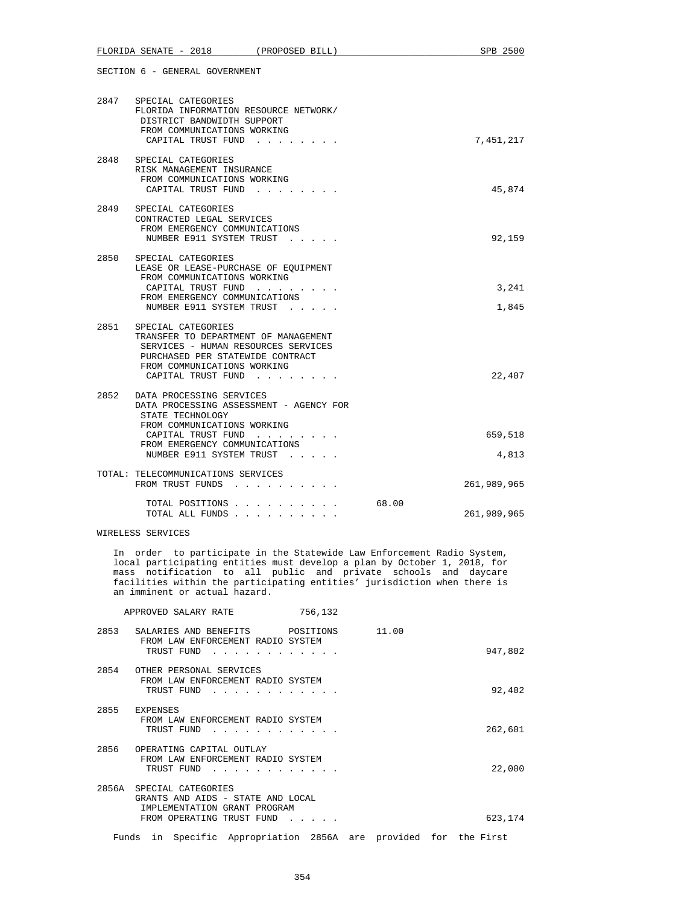|      | 2847 SPECIAL CATEGORIES<br>FLORIDA INFORMATION RESOURCE NETWORK/<br>DISTRICT BANDWIDTH SUPPORT<br>FROM COMMUNICATIONS WORKING<br>CAPITAL TRUST FUND                                                       |       | 7,451,217        |
|------|-----------------------------------------------------------------------------------------------------------------------------------------------------------------------------------------------------------|-------|------------------|
| 2848 | SPECIAL CATEGORIES<br>RISK MANAGEMENT INSURANCE<br>FROM COMMUNICATIONS WORKING<br>CAPITAL TRUST FUND<br><b>Service</b>                                                                                    |       | 45,874           |
| 2849 | SPECIAL CATEGORIES<br>CONTRACTED LEGAL SERVICES<br>FROM EMERGENCY COMMUNICATIONS<br>NUMBER E911 SYSTEM TRUST                                                                                              |       | 92,159           |
| 2850 | SPECIAL CATEGORIES<br>LEASE OR LEASE-PURCHASE OF EQUIPMENT<br>FROM COMMUNICATIONS WORKING<br>CAPITAL TRUST FUND<br>FROM EMERGENCY COMMUNICATIONS<br>NUMBER E911 SYSTEM TRUST                              |       | 3,241<br>1,845   |
|      | 2851 SPECIAL CATEGORIES<br>TRANSFER TO DEPARTMENT OF MANAGEMENT<br>SERVICES - HUMAN RESOURCES SERVICES<br>PURCHASED PER STATEWIDE CONTRACT<br>FROM COMMUNICATIONS WORKING<br>CAPITAL TRUST FUND           |       | 22,407           |
| 2852 | DATA PROCESSING SERVICES<br>DATA PROCESSING ASSESSMENT - AGENCY FOR<br>STATE TECHNOLOGY<br>FROM COMMUNICATIONS WORKING<br>CAPITAL TRUST FUND<br>FROM EMERGENCY COMMUNICATIONS<br>NUMBER E911 SYSTEM TRUST |       | 659,518<br>4,813 |
|      | TOTAL: TELECOMMUNICATIONS SERVICES<br>FROM TRUST FUNDS                                                                                                                                                    |       | 261,989,965      |
|      | TOTAL POSITIONS<br>TOTAL ALL FUNDS                                                                                                                                                                        | 68.00 | 261,989,965      |

#### WIRELESS SERVICES

 In order to participate in the Statewide Law Enforcement Radio System, local participating entities must develop a plan by October 1, 2018, for mass notification to all public and private schools and daycare facilities within the participating entities' jurisdiction when there is an imminent or actual hazard.

|       | APPROVED SALARY RATE                                                                                                 | 756,132                                                                                  |       |         |
|-------|----------------------------------------------------------------------------------------------------------------------|------------------------------------------------------------------------------------------|-------|---------|
| 2853  | SALARIES AND BENEFITS<br>FROM LAW ENFORCEMENT RADIO SYSTEM<br>TRUST FUND                                             | POSITIONS                                                                                | 11.00 | 947,802 |
| 2854  | OTHER PERSONAL SERVICES<br>FROM LAW ENFORCEMENT RADIO SYSTEM<br>TRUST FUND                                           | $\mathbf{r}$ , and $\mathbf{r}$ , and $\mathbf{r}$ , and $\mathbf{r}$ , and $\mathbf{r}$ |       | 92,402  |
| 2855  | <b>EXPENSES</b><br>FROM LAW ENFORCEMENT RADIO SYSTEM<br>TRUST FUND                                                   |                                                                                          |       | 262,601 |
| 2856  | OPERATING CAPITAL OUTLAY<br>FROM LAW ENFORCEMENT RADIO SYSTEM<br>TRUST FUND                                          |                                                                                          |       | 22,000  |
| 2856A | SPECIAL CATEGORIES<br>GRANTS AND AIDS - STATE AND LOCAL<br>IMPLEMENTATION GRANT PROGRAM<br>FROM OPERATING TRUST FUND | $\mathbf{r}$ , $\mathbf{r}$ , $\mathbf{r}$ , $\mathbf{r}$                                |       | 623,174 |
| Funds | in                                                                                                                   | Specific Appropriation 2856A are provided for the First                                  |       |         |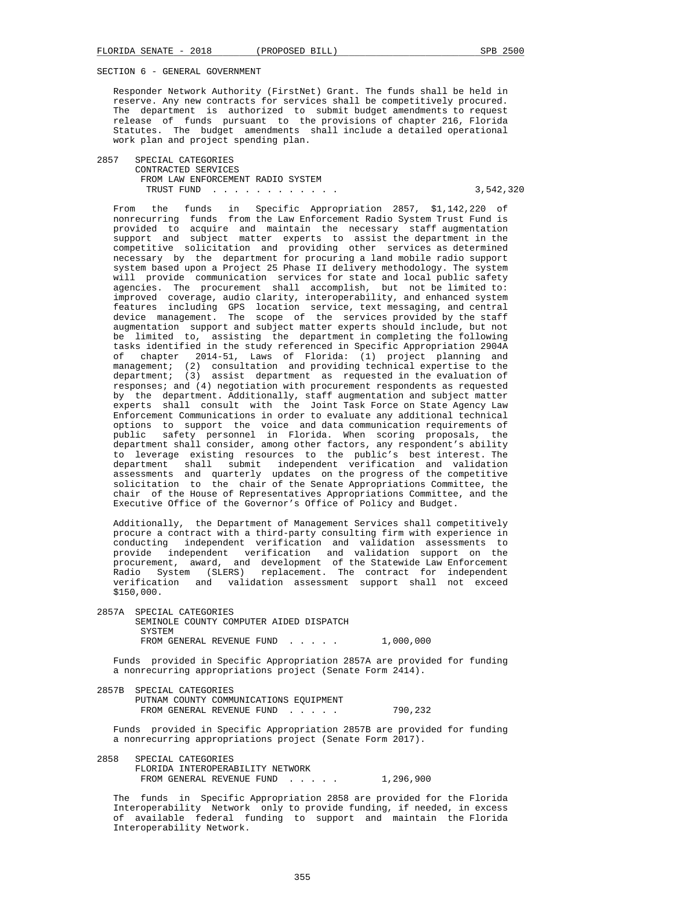Responder Network Authority (FirstNet) Grant. The funds shall be held in reserve. Any new contracts for services shall be competitively procured. The department is authorized to submit budget amendments to request release of funds pursuant to the provisions of chapter 216, Florida Statutes. The budget amendments shall include a detailed operational work plan and project spending plan.

 2857 SPECIAL CATEGORIES CONTRACTED SERVICES FROM LAW ENFORCEMENT RADIO SYSTEM TRUST FUND . . . . . . . . . . . . 3,542,320

 From the funds in Specific Appropriation 2857, \$1,142,220 of nonrecurring funds from the Law Enforcement Radio System Trust Fund is provided to acquire and maintain the necessary staff augmentation support and subject matter experts to assist the department in the competitive solicitation and providing other services as determined necessary by the department for procuring a land mobile radio support system based upon a Project 25 Phase II delivery methodology. The system will provide communication services for state and local public safety agencies. The procurement shall accomplish, but not be limited to: improved coverage, audio clarity, interoperability, and enhanced system features including GPS location service, text messaging, and central device management. The scope of the services provided by the staff augmentation support and subject matter experts should include, but not be limited to, assisting the department in completing the following tasks identified in the study referenced in Specific Appropriation 2904A of chapter 2014-51, Laws of Florida: (1) project planning and management; (2) consultation and providing technical expertise to the department; (3) assist department as requested in the evaluation of responses; and (4) negotiation with procurement respondents as requested by the department. Additionally, staff augmentation and subject matter experts shall consult with the Joint Task Force on State Agency Law Enforcement Communications in order to evaluate any additional technical options to support the voice and data communication requirements of public safety personnel in Florida. When scoring proposals, the department shall consider, among other factors, any respondent's ability to leverage existing resources to the public's best interest. The department shall submit independent verification and validation assessments and quarterly updates on the progress of the competitive solicitation to the chair of the Senate Appropriations Committee, the chair of the House of Representatives Appropriations Committee, and the Executive Office of the Governor's Office of Policy and Budget.

 Additionally, the Department of Management Services shall competitively procure a contract with a third-party consulting firm with experience in conducting independent verification and validation assessments to provide independent verification and validation support on the procurement, award, and development of the Statewide Law Enforcement Radio System (SLERS) replacement. The contract for independent verification and validation assessment support shall not exceed \$150,000.

 2857A SPECIAL CATEGORIES SEMINOLE COUNTY COMPUTER AIDED DISPATCH SVSTEM FROM GENERAL REVENUE FUND . . . . . 1,000,000

 Funds provided in Specific Appropriation 2857A are provided for funding a nonrecurring appropriations project (Senate Form 2414).

 2857B SPECIAL CATEGORIES PUTNAM COUNTY COMMUNICATIONS EQUIPMENT FROM GENERAL REVENUE FUND . . . . . 790,232

 Funds provided in Specific Appropriation 2857B are provided for funding a nonrecurring appropriations project (Senate Form 2017).

 2858 SPECIAL CATEGORIES FLORIDA INTEROPERABILITY NETWORK FROM GENERAL REVENUE FUND . . . . . 1,296,900

 The funds in Specific Appropriation 2858 are provided for the Florida Interoperability Network only to provide funding, if needed, in excess of available federal funding to support and maintain the Florida Interoperability Network.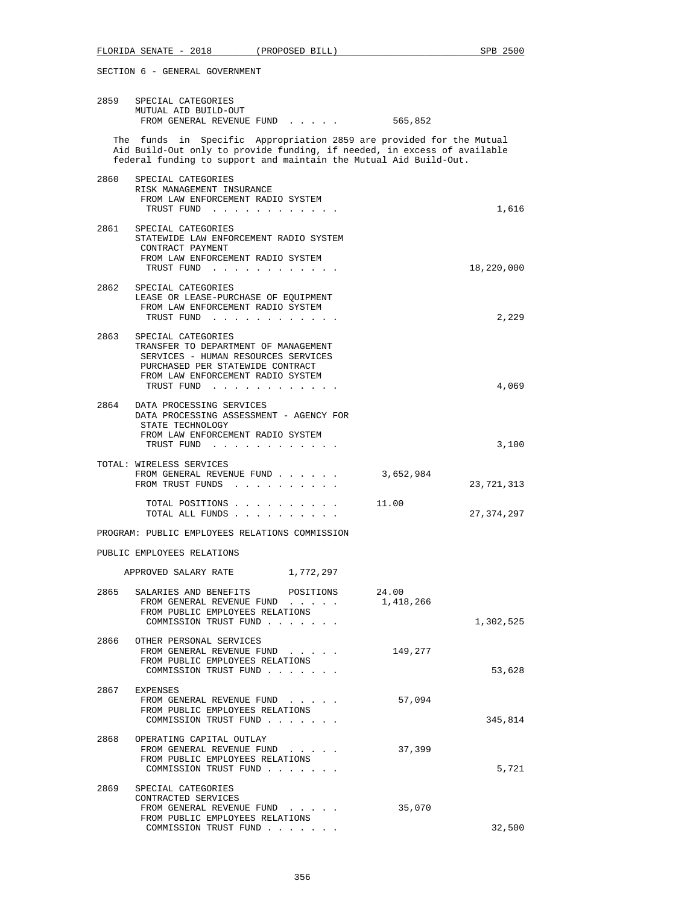|      | 2859 SPECIAL CATEGORIES<br>MUTUAL AID BUILD-OUT<br>FROM GENERAL REVENUE FUND                                                                                                                                                                                                                                                                               | 565,852                         |        |
|------|------------------------------------------------------------------------------------------------------------------------------------------------------------------------------------------------------------------------------------------------------------------------------------------------------------------------------------------------------------|---------------------------------|--------|
|      | The funds in Specific Appropriation 2859 are provided for the Mutual<br>Aid Build-Out only to provide funding, if needed, in excess of available<br>federal funding to support and maintain the Mutual Aid Build-Out.                                                                                                                                      |                                 |        |
| 2860 | SPECIAL CATEGORIES<br>RISK MANAGEMENT INSURANCE<br>FROM LAW ENFORCEMENT RADIO SYSTEM<br>TRUST FUND                                                                                                                                                                                                                                                         |                                 | 1,616  |
| 2861 | SPECIAL CATEGORIES<br>STATEWIDE LAW ENFORCEMENT RADIO SYSTEM                                                                                                                                                                                                                                                                                               |                                 |        |
|      | CONTRACT PAYMENT<br>FROM LAW ENFORCEMENT RADIO SYSTEM<br>TRUST FUND                                                                                                                                                                                                                                                                                        | 18,220,000                      |        |
| 2862 | SPECIAL CATEGORIES<br>LEASE OR LEASE-PURCHASE OF EQUIPMENT<br>FROM LAW ENFORCEMENT RADIO SYSTEM<br>TRUST FUND                                                                                                                                                                                                                                              |                                 | 2,229  |
| 2863 | SPECIAL CATEGORIES<br>TRANSFER TO DEPARTMENT OF MANAGEMENT<br>SERVICES - HUMAN RESOURCES SERVICES<br>PURCHASED PER STATEWIDE CONTRACT<br>FROM LAW ENFORCEMENT RADIO SYSTEM                                                                                                                                                                                 |                                 |        |
| 2864 | TRUST FUND<br>DATA PROCESSING SERVICES<br>DATA PROCESSING ASSESSMENT - AGENCY FOR<br>STATE TECHNOLOGY                                                                                                                                                                                                                                                      |                                 | 4,069  |
|      | FROM LAW ENFORCEMENT RADIO SYSTEM<br>TRUST FUND                                                                                                                                                                                                                                                                                                            |                                 | 3,100  |
|      | TOTAL: WIRELESS SERVICES<br>FROM GENERAL REVENUE FUND<br>FROM TRUST FUNDS                                                                                                                                                                                                                                                                                  | 3,652,984<br>23,721,313         |        |
|      | TOTAL POSITIONS<br>TOTAL ALL FUNDS                                                                                                                                                                                                                                                                                                                         | 11.00<br>27, 374, 297           |        |
|      | PROGRAM: PUBLIC EMPLOYEES RELATIONS COMMISSION                                                                                                                                                                                                                                                                                                             |                                 |        |
|      | PUBLIC EMPLOYEES RELATIONS                                                                                                                                                                                                                                                                                                                                 |                                 |        |
|      | APPROVED SALARY RATE<br>1,772,297                                                                                                                                                                                                                                                                                                                          |                                 |        |
| 2865 | SALARIES AND BENEFITS POSITIONS<br>FROM GENERAL REVENUE FUND<br>in the contract of the contract of the contract of the contract of the contract of the contract of the contract of the contract of the contract of the contract of the contract of the contract of the contract of the contrac<br>FROM PUBLIC EMPLOYEES RELATIONS<br>COMMISSION TRUST FUND | 24.00<br>1,418,266<br>1,302,525 |        |
|      | 2866 OTHER PERSONAL SERVICES<br>FROM GENERAL REVENUE FUND<br>FROM PUBLIC EMPLOYEES RELATIONS<br>COMMISSION TRUST FUND                                                                                                                                                                                                                                      | 149,277                         | 53,628 |
| 2867 | EXPENSES<br>FROM GENERAL REVENUE FUND<br>FROM PUBLIC EMPLOYEES RELATIONS<br>COMMISSION TRUST FUND                                                                                                                                                                                                                                                          | 57,094<br>345,814               |        |
| 2868 | OPERATING CAPITAL OUTLAY<br>FROM GENERAL REVENUE FUND<br>FROM PUBLIC EMPLOYEES RELATIONS<br>COMMISSION TRUST FUND                                                                                                                                                                                                                                          | 37,399                          | 5,721  |
| 2869 | SPECIAL CATEGORIES<br>CONTRACTED SERVICES<br>FROM GENERAL REVENUE FUND<br>FROM PUBLIC EMPLOYEES RELATIONS                                                                                                                                                                                                                                                  | 35,070                          |        |
|      | COMMISSION TRUST FUND                                                                                                                                                                                                                                                                                                                                      |                                 | 32,500 |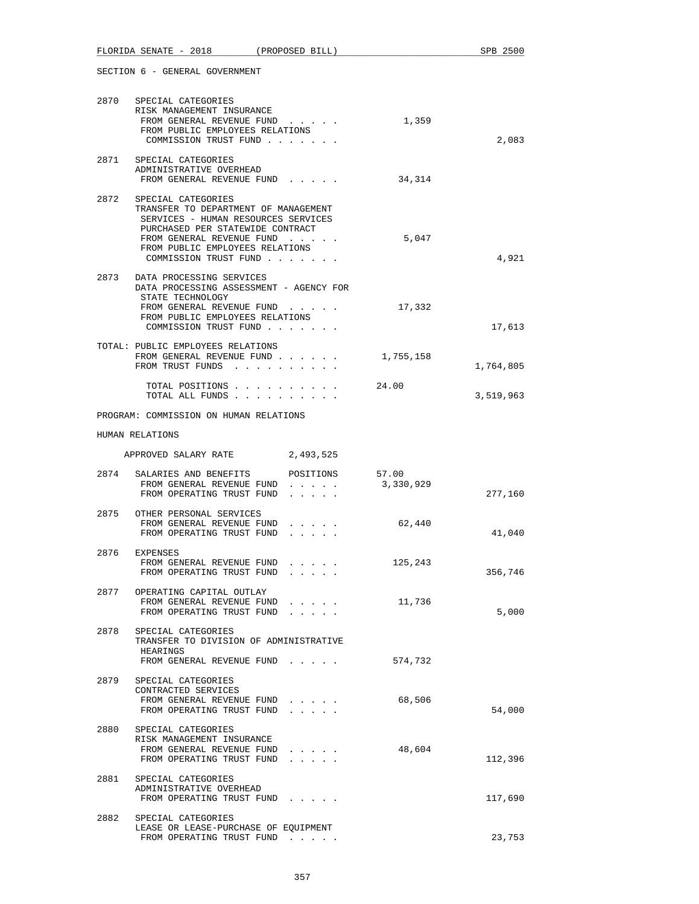| 2870 | SPECIAL CATEGORIES<br>RISK MANAGEMENT INSURANCE<br>FROM GENERAL REVENUE FUND<br>FROM PUBLIC EMPLOYEES RELATIONS<br>COMMISSION TRUST FUND                                                                                       |                                                                                                                                       | 1,359              | 2,083     |
|------|--------------------------------------------------------------------------------------------------------------------------------------------------------------------------------------------------------------------------------|---------------------------------------------------------------------------------------------------------------------------------------|--------------------|-----------|
|      | 2871 SPECIAL CATEGORIES<br>ADMINISTRATIVE OVERHEAD<br>FROM GENERAL REVENUE FUND                                                                                                                                                |                                                                                                                                       | 34,314             |           |
| 2872 | SPECIAL CATEGORIES<br>TRANSFER TO DEPARTMENT OF MANAGEMENT<br>SERVICES - HUMAN RESOURCES SERVICES<br>PURCHASED PER STATEWIDE CONTRACT<br>FROM GENERAL REVENUE FUND<br>FROM PUBLIC EMPLOYEES RELATIONS<br>COMMISSION TRUST FUND |                                                                                                                                       | 5,047              | 4,921     |
|      | 2873 DATA PROCESSING SERVICES<br>DATA PROCESSING ASSESSMENT - AGENCY FOR<br>STATE TECHNOLOGY<br>FROM GENERAL REVENUE FUND<br>FROM PUBLIC EMPLOYEES RELATIONS<br>COMMISSION TRUST FUND                                          |                                                                                                                                       | 17,332             | 17,613    |
|      | TOTAL: PUBLIC EMPLOYEES RELATIONS<br>FROM GENERAL REVENUE FUND<br>FROM TRUST FUNDS                                                                                                                                             |                                                                                                                                       | 1,755,158          | 1,764,805 |
|      | TOTAL POSITIONS<br>TOTAL ALL FUNDS                                                                                                                                                                                             |                                                                                                                                       | 24.00              | 3,519,963 |
|      | PROGRAM: COMMISSION ON HUMAN RELATIONS                                                                                                                                                                                         |                                                                                                                                       |                    |           |
|      | HUMAN RELATIONS                                                                                                                                                                                                                |                                                                                                                                       |                    |           |
|      | APPROVED SALARY RATE                                                                                                                                                                                                           | 2,493,525                                                                                                                             |                    |           |
|      | 2874 SALARIES AND BENEFITS<br>FROM GENERAL REVENUE FUND<br>FROM OPERATING TRUST FUND                                                                                                                                           | POSITIONS<br>$\mathbf{r} = \mathbf{r} + \mathbf{r} + \mathbf{r} + \mathbf{r} + \mathbf{r}$<br>$\cdot$ $\cdot$ $\cdot$ $\cdot$ $\cdot$ | 57.00<br>3,330,929 | 277,160   |
|      | 2875 OTHER PERSONAL SERVICES<br>FROM GENERAL REVENUE FUND<br>FROM OPERATING TRUST FUND                                                                                                                                         |                                                                                                                                       | 62,440             | 41,040    |
|      | 2876 EXPENSES<br>FROM GENERAL REVENUE FUND<br>FROM OPERATING TRUST FUND                                                                                                                                                        |                                                                                                                                       | 125,243            | 356,746   |
| 2877 | OPERATING CAPITAL OUTLAY<br>FROM GENERAL REVENUE FUND<br>FROM OPERATING TRUST FUND                                                                                                                                             |                                                                                                                                       | 11,736             | 5,000     |
| 2878 | SPECIAL CATEGORIES<br>TRANSFER TO DIVISION OF ADMINISTRATIVE<br>HEARINGS                                                                                                                                                       |                                                                                                                                       |                    |           |
|      | FROM GENERAL REVENUE FUND<br>2879 SPECIAL CATEGORIES<br>CONTRACTED SERVICES                                                                                                                                                    |                                                                                                                                       | 574,732            |           |
|      | FROM GENERAL REVENUE FUND<br>FROM OPERATING TRUST FUND                                                                                                                                                                         |                                                                                                                                       | 68,506             | 54,000    |
|      | 2880 SPECIAL CATEGORIES<br>RISK MANAGEMENT INSURANCE<br>FROM GENERAL REVENUE FUND<br>FROM OPERATING TRUST FUND                                                                                                                 |                                                                                                                                       | 48,604             | 112,396   |
|      | 2881 SPECIAL CATEGORIES<br>ADMINISTRATIVE OVERHEAD<br>FROM OPERATING TRUST FUND                                                                                                                                                |                                                                                                                                       |                    | 117,690   |
|      | 2882 SPECIAL CATEGORIES<br>LEASE OR LEASE-PURCHASE OF EQUIPMENT<br>FROM OPERATING TRUST FUND                                                                                                                                   |                                                                                                                                       |                    | 23,753    |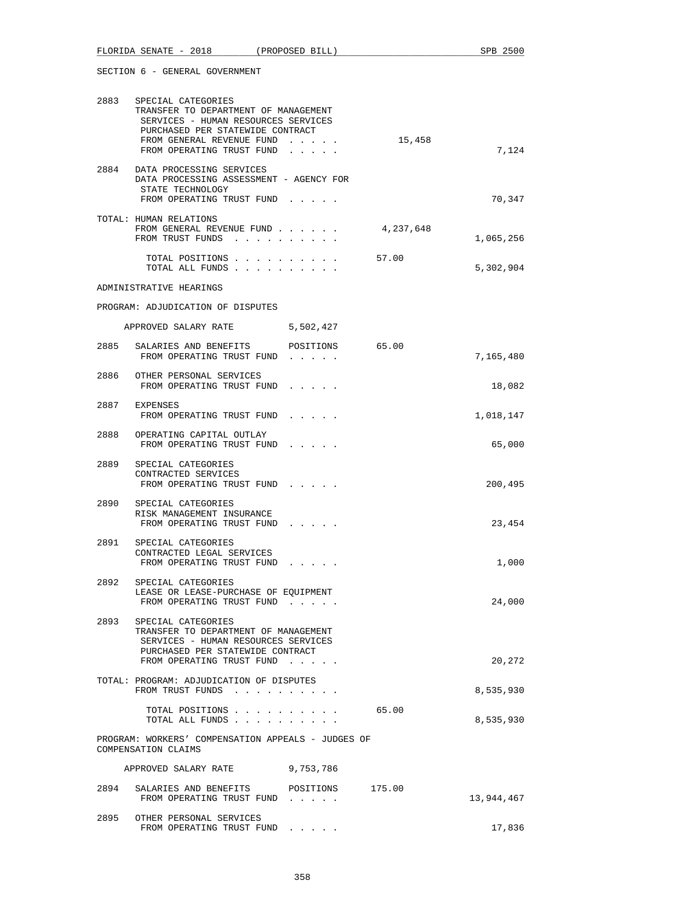|      | FLORIDA SENATE - 2018 (PROPOSED BILL)                                                                                                                                                                |                                                                                                                           |           | SPB 2500   |
|------|------------------------------------------------------------------------------------------------------------------------------------------------------------------------------------------------------|---------------------------------------------------------------------------------------------------------------------------|-----------|------------|
|      | SECTION 6 - GENERAL GOVERNMENT                                                                                                                                                                       |                                                                                                                           |           |            |
|      | 2883 SPECIAL CATEGORIES<br>TRANSFER TO DEPARTMENT OF MANAGEMENT<br>SERVICES - HUMAN RESOURCES SERVICES<br>PURCHASED PER STATEWIDE CONTRACT<br>FROM GENERAL REVENUE FUND<br>FROM OPERATING TRUST FUND |                                                                                                                           | 15,458    | 7,124      |
|      | 2884 DATA PROCESSING SERVICES<br>DATA PROCESSING ASSESSMENT - AGENCY FOR<br>STATE TECHNOLOGY<br>FROM OPERATING TRUST FUND                                                                            |                                                                                                                           |           | 70,347     |
|      | TOTAL: HUMAN RELATIONS<br>FROM GENERAL REVENUE FUND<br>FROM TRUST FUNDS                                                                                                                              |                                                                                                                           | 4,237,648 | 1,065,256  |
|      | TOTAL POSITIONS<br>TOTAL ALL FUNDS                                                                                                                                                                   |                                                                                                                           | 57.00     | 5,302,904  |
|      | ADMINISTRATIVE HEARINGS                                                                                                                                                                              |                                                                                                                           |           |            |
|      | PROGRAM: ADJUDICATION OF DISPUTES                                                                                                                                                                    |                                                                                                                           |           |            |
|      | APPROVED SALARY RATE                                                                                                                                                                                 | 5,502,427                                                                                                                 |           |            |
|      | 2885 SALARIES AND BENEFITS POSITIONS 65.00<br>FROM OPERATING TRUST FUND                                                                                                                              |                                                                                                                           |           | 7,165,480  |
|      | 2886 OTHER PERSONAL SERVICES<br>FROM OPERATING TRUST FUND                                                                                                                                            |                                                                                                                           |           | 18,082     |
| 2887 | EXPENSES<br>FROM OPERATING TRUST FUND                                                                                                                                                                | $\begin{array}{cccccccccccccc} \bullet & \bullet & \bullet & \bullet & \bullet & \bullet & \bullet & \bullet \end{array}$ |           | 1,018,147  |
| 2888 | OPERATING CAPITAL OUTLAY<br>FROM OPERATING TRUST FUND                                                                                                                                                |                                                                                                                           |           | 65,000     |
|      | 2889 SPECIAL CATEGORIES<br>CONTRACTED SERVICES<br>FROM OPERATING TRUST FUND                                                                                                                          |                                                                                                                           |           | 200,495    |
| 2890 | SPECIAL CATEGORIES<br>RISK MANAGEMENT INSURANCE<br>FROM OPERATING TRUST FUND                                                                                                                         |                                                                                                                           |           | 23,454     |
| 2891 | SPECIAL CATEGORIES<br>CONTRACTED LEGAL SERVICES<br>FROM OPERATING TRUST FUND                                                                                                                         |                                                                                                                           |           | 1,000      |
| 2892 | SPECIAL CATEGORIES<br>LEASE OR LEASE-PURCHASE OF EQUIPMENT<br>FROM OPERATING TRUST FUND                                                                                                              |                                                                                                                           |           | 24,000     |
|      | 2893 SPECIAL CATEGORIES<br>TRANSFER TO DEPARTMENT OF MANAGEMENT<br>SERVICES - HUMAN RESOURCES SERVICES<br>PURCHASED PER STATEWIDE CONTRACT<br>FROM OPERATING TRUST FUND                              |                                                                                                                           |           | 20,272     |
|      | TOTAL: PROGRAM: ADJUDICATION OF DISPUTES<br>FROM TRUST FUNDS                                                                                                                                         |                                                                                                                           |           | 8,535,930  |
|      | TOTAL POSITIONS<br>TOTAL ALL FUNDS                                                                                                                                                                   |                                                                                                                           | 65.00     | 8,535,930  |
|      | PROGRAM: WORKERS' COMPENSATION APPEALS - JUDGES OF<br>COMPENSATION CLAIMS                                                                                                                            |                                                                                                                           |           |            |
|      | APPROVED SALARY RATE                                                                                                                                                                                 | 9,753,786                                                                                                                 |           |            |
| 2894 | SALARIES AND BENEFITS POSITIONS 175.00<br>FROM OPERATING TRUST FUND                                                                                                                                  |                                                                                                                           |           | 13,944,467 |
|      | 2895 OTHER PERSONAL SERVICES<br>FROM OPERATING TRUST FUND                                                                                                                                            |                                                                                                                           |           | 17,836     |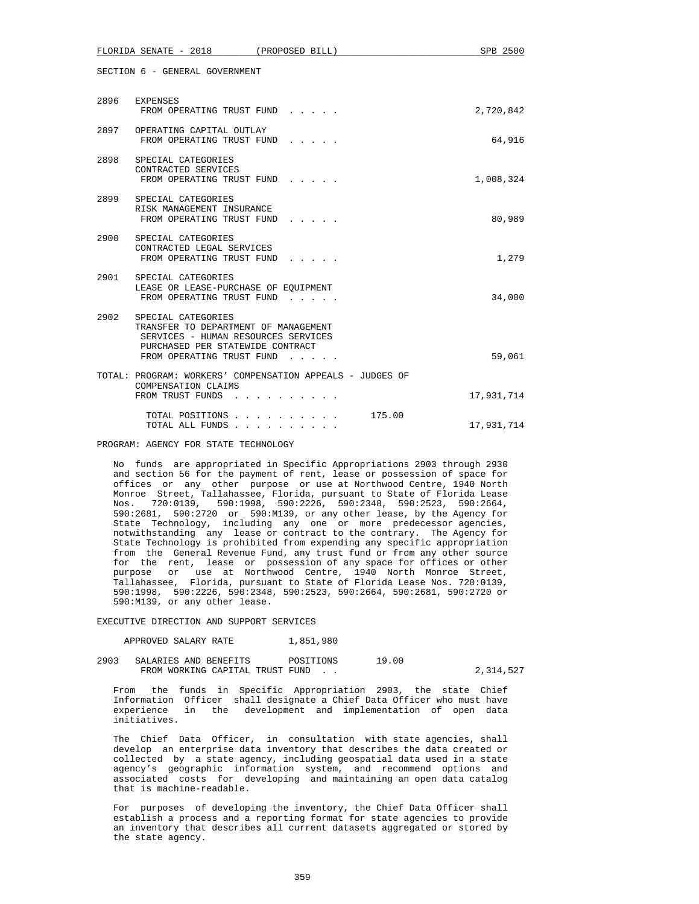|      | FLORIDA SENATE - 2018                                                                                                                 | (PROPOSED BILL)                                           | SPB 2500   |
|------|---------------------------------------------------------------------------------------------------------------------------------------|-----------------------------------------------------------|------------|
|      | SECTION 6 - GENERAL GOVERNMENT                                                                                                        |                                                           |            |
|      | 2896 EXPENSES<br>FROM OPERATING TRUST FUND                                                                                            |                                                           | 2,720,842  |
|      | 2897 OPERATING CAPITAL OUTLAY<br>FROM OPERATING TRUST FUND                                                                            |                                                           | 64,916     |
| 2898 | SPECIAL CATEGORIES<br>CONTRACTED SERVICES<br>FROM OPERATING TRUST FUND                                                                |                                                           | 1,008,324  |
| 2899 | SPECIAL CATEGORIES<br>RISK MANAGEMENT INSURANCE<br>FROM OPERATING TRUST FUND                                                          |                                                           | 80,989     |
| 2900 | SPECIAL CATEGORIES<br>CONTRACTED LEGAL SERVICES<br>FROM OPERATING TRUST FUND                                                          |                                                           | 1,279      |
|      | 2901 SPECIAL CATEGORIES<br>LEASE OR LEASE-PURCHASE OF EQUIPMENT<br>FROM OPERATING TRUST FUND                                          |                                                           | 34,000     |
| 2902 | SPECIAL CATEGORIES<br>TRANSFER TO DEPARTMENT OF MANAGEMENT<br>SERVICES - HUMAN RESOURCES SERVICES<br>PURCHASED PER STATEWIDE CONTRACT |                                                           |            |
|      | FROM OPERATING TRUST FUND                                                                                                             |                                                           | 59,061     |
|      | COMPENSATION CLAIMS<br>FROM TRUST FUNDS                                                                                               | TOTAL: PROGRAM: WORKERS' COMPENSATION APPEALS - JUDGES OF | 17,931,714 |
|      | TOTAL POSITIONS<br>TOTAL ALL FUNDS                                                                                                    | 175.00                                                    | 17,931,714 |

PROGRAM: AGENCY FOR STATE TECHNOLOGY

 No funds are appropriated in Specific Appropriations 2903 through 2930 and section 56 for the payment of rent, lease or possession of space for offices or any other purpose or use at Northwood Centre, 1940 North Monroe Street, Tallahassee, Florida, pursuant to State of Florida Lease Nos. 720:0139, 590:1998, 590:2226, 590:2348, 590:2523, 590:2664, 590:2681, 590:2720 or 590:M139, or any other lease, by the Agency for State Technology, including any one or more predecessor agencies, notwithstanding any lease or contract to the contrary. The Agency for State Technology is prohibited from expending any specific appropriation from the General Revenue Fund, any trust fund or from any other source for the rent, lease or possession of any space for offices or other purpose or use at Northwood Centre, 1940 North Monroe Street, Tallahassee, Florida, pursuant to State of Florida Lease Nos. 720:0139, 590:1998, 590:2226, 590:2348, 590:2523, 590:2664, 590:2681, 590:2720 or 590:M139, or any other lease.

EXECUTIVE DIRECTION AND SUPPORT SERVICES

| APPROVED SALARY RATE | 1,851,980 |
|----------------------|-----------|
|----------------------|-----------|

 2903 SALARIES AND BENEFITS POSITIONS 19.00 FROM WORKING CAPITAL TRUST FUND . .  $2,314,527$ 

 From the funds in Specific Appropriation 2903, the state Chief Information Officer shall designate a Chief Data Officer who must have experience in the development and implementation of open data initiatives.

 The Chief Data Officer, in consultation with state agencies, shall develop an enterprise data inventory that describes the data created or collected by a state agency, including geospatial data used in a state agency's geographic information system, and recommend options and associated costs for developing and maintaining an open data catalog that is machine-readable.

 For purposes of developing the inventory, the Chief Data Officer shall establish a process and a reporting format for state agencies to provide an inventory that describes all current datasets aggregated or stored by the state agency.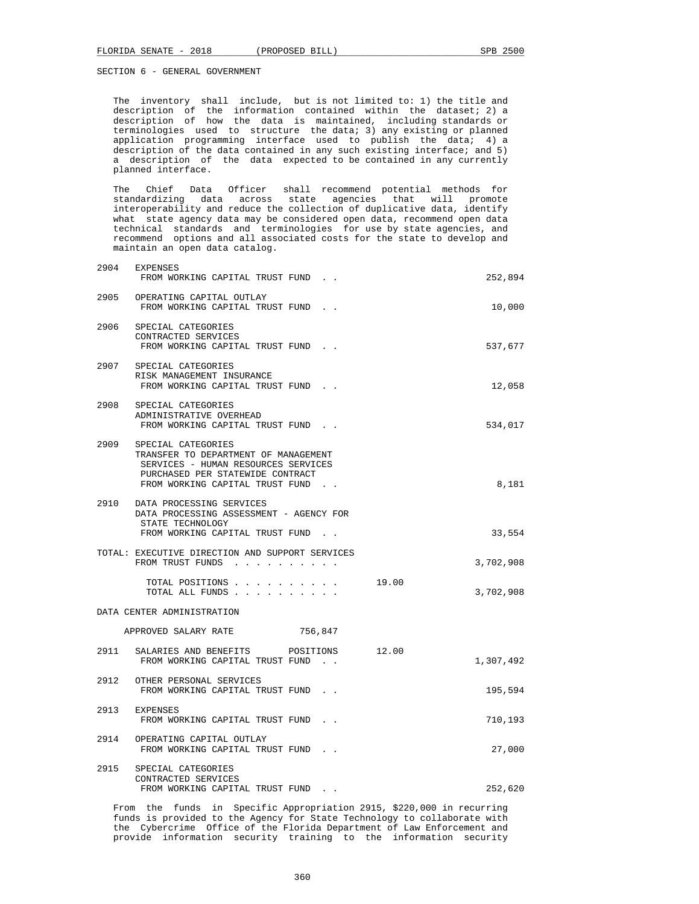The inventory shall include, but is not limited to: 1) the title and description of the information contained within the dataset; 2) a description of how the data is maintained, including standards or terminologies used to structure the data; 3) any existing or planned application programming interface used to publish the data; 4) a description of the data contained in any such existing interface; and 5) a description of the data expected to be contained in any currently planned interface.

 The Chief Data Officer shall recommend potential methods for standardizing data across state agencies that will promote interoperability and reduce the collection of duplicative data, identify what state agency data may be considered open data, recommend open data technical standards and terminologies for use by state agencies, and recommend options and all associated costs for the state to develop and maintain an open data catalog.

| 2904 | EXPENSES<br>FROM WORKING CAPITAL TRUST FUND.                                                                                                                              | 252,894            |
|------|---------------------------------------------------------------------------------------------------------------------------------------------------------------------------|--------------------|
|      | 2905 OPERATING CAPITAL OUTLAY<br>FROM WORKING CAPITAL TRUST FUND.                                                                                                         | 10,000             |
|      | 2906 SPECIAL CATEGORIES<br>CONTRACTED SERVICES<br>FROM WORKING CAPITAL TRUST FUND.                                                                                        | 537,677            |
|      | 2907 SPECIAL CATEGORIES<br>RISK MANAGEMENT INSURANCE<br>FROM WORKING CAPITAL TRUST FUND.                                                                                  | 12,058             |
|      | 2908 SPECIAL CATEGORIES<br>ADMINISTRATIVE OVERHEAD<br>FROM WORKING CAPITAL TRUST FUND.                                                                                    | 534,017            |
| 2909 | SPECIAL CATEGORIES<br>TRANSFER TO DEPARTMENT OF MANAGEMENT<br>SERVICES - HUMAN RESOURCES SERVICES<br>PURCHASED PER STATEWIDE CONTRACT<br>FROM WORKING CAPITAL TRUST FUND. | 8,181              |
|      | 2910 DATA PROCESSING SERVICES<br>DATA PROCESSING ASSESSMENT - AGENCY FOR<br>STATE TECHNOLOGY<br>FROM WORKING CAPITAL TRUST FUND.                                          | 33,554             |
|      | TOTAL: EXECUTIVE DIRECTION AND SUPPORT SERVICES<br>FROM TRUST FUNDS                                                                                                       | 3,702,908          |
|      | TOTAL POSITIONS<br>TOTAL ALL FUNDS                                                                                                                                        | 19.00<br>3,702,908 |
|      | DATA CENTER ADMINISTRATION                                                                                                                                                |                    |
|      | APPROVED SALARY RATE<br>756,847                                                                                                                                           |                    |
| 2911 | SALARIES AND BENEFITS POSITIONS<br>12.00<br>FROM WORKING CAPITAL TRUST FUND.                                                                                              | 1,307,492          |
|      | 2912 OTHER PERSONAL SERVICES<br>FROM WORKING CAPITAL TRUST FUND.                                                                                                          | 195,594            |
|      | 2913 EXPENSES<br>FROM WORKING CAPITAL TRUST FUND.                                                                                                                         | 710,193            |
|      | 2914 OPERATING CAPITAL OUTLAY<br>FROM WORKING CAPITAL TRUST FUND.                                                                                                         | 27,000             |
| 2915 | SPECIAL CATEGORIES<br>CONTRACTED SERVICES<br>FROM WORKING CAPITAL TRUST FUND.                                                                                             | 252,620            |

 From the funds in Specific Appropriation 2915, \$220,000 in recurring funds is provided to the Agency for State Technology to collaborate with the Cybercrime Office of the Florida Department of Law Enforcement and provide information security training to the information security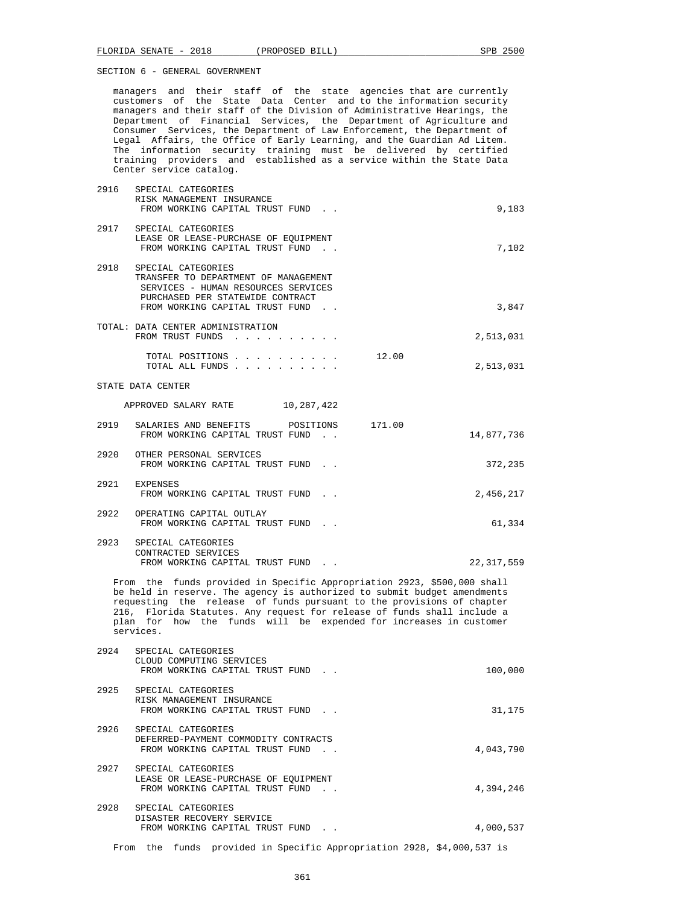managers and their staff of the state agencies that are currently customers of the State Data Center and to the information security managers and their staff of the Division of Administrative Hearings, the Department of Financial Services, the Department of Agriculture and Consumer Services, the Department of Law Enforcement, the Department of Legal Affairs, the Office of Early Learning, and the Guardian Ad Litem. The information security training must be delivered by certified training providers and established as a service within the State Data Center service catalog.

| 2916 | SPECIAL CATEGORIES<br>RISK MANAGEMENT INSURANCE                                                                                                                                                                                                                                                                                                                                           |              |
|------|-------------------------------------------------------------------------------------------------------------------------------------------------------------------------------------------------------------------------------------------------------------------------------------------------------------------------------------------------------------------------------------------|--------------|
|      | FROM WORKING CAPITAL TRUST FUND.                                                                                                                                                                                                                                                                                                                                                          | 9,183        |
|      | 2917 SPECIAL CATEGORIES<br>LEASE OR LEASE-PURCHASE OF EQUIPMENT<br>FROM WORKING CAPITAL TRUST FUND.                                                                                                                                                                                                                                                                                       | 7,102        |
| 2918 | SPECIAL CATEGORIES<br>TRANSFER TO DEPARTMENT OF MANAGEMENT<br>SERVICES - HUMAN RESOURCES SERVICES<br>PURCHASED PER STATEWIDE CONTRACT<br>FROM WORKING CAPITAL TRUST FUND.                                                                                                                                                                                                                 | 3,847        |
|      | TOTAL: DATA CENTER ADMINISTRATION<br>FROM TRUST FUNDS                                                                                                                                                                                                                                                                                                                                     | 2,513,031    |
|      | TOTAL POSITIONS<br>12.00<br>TOTAL ALL FUNDS                                                                                                                                                                                                                                                                                                                                               | 2,513,031    |
|      | STATE DATA CENTER                                                                                                                                                                                                                                                                                                                                                                         |              |
|      | APPROVED SALARY RATE 10,287,422                                                                                                                                                                                                                                                                                                                                                           |              |
| 2919 | SALARIES AND BENEFITS<br>171.00<br>POSITIONS<br>FROM WORKING CAPITAL TRUST FUND.                                                                                                                                                                                                                                                                                                          | 14,877,736   |
| 2920 | OTHER PERSONAL SERVICES<br>FROM WORKING CAPITAL TRUST FUND.                                                                                                                                                                                                                                                                                                                               | 372,235      |
|      | 2921 EXPENSES<br>FROM WORKING CAPITAL TRUST FUND.                                                                                                                                                                                                                                                                                                                                         | 2,456,217    |
| 2922 | OPERATING CAPITAL OUTLAY<br>FROM WORKING CAPITAL TRUST FUND.                                                                                                                                                                                                                                                                                                                              | 61,334       |
| 2923 | SPECIAL CATEGORIES<br>CONTRACTED SERVICES<br>FROM WORKING CAPITAL TRUST FUND.                                                                                                                                                                                                                                                                                                             | 22, 317, 559 |
|      | From the funds provided in Specific Appropriation 2923, \$500,000 shall<br>be held in reserve. The agency is authorized to submit budget amendments<br>requesting the release of funds pursuant to the provisions of chapter<br>216, Florida Statutes. Any request for release of funds shall include a<br>plan for how the funds will be expended for increases in customer<br>services. |              |
| 2924 | SPECIAL CATEGORIES<br>CLOUD COMPUTING SERVICES<br>FROM WORKING CAPITAL TRUST FUND.                                                                                                                                                                                                                                                                                                        | 100,000      |
| 2925 | SPECIAL CATEGORIES<br>RISK MANAGEMENT INSURANCE<br>FROM WORKING CAPITAL TRUST FUND.                                                                                                                                                                                                                                                                                                       | 31,175       |
| 2926 | SPECIAL CATEGORIES<br>DEFERRED-PAYMENT COMMODITY CONTRACTS<br>FROM WORKING CAPITAL TRUST FUND.                                                                                                                                                                                                                                                                                            | 4,043,790    |
|      | 2927 SPECIAL CATEGORIES<br>LEASE OR LEASE-PURCHASE OF EOUIPMENT<br>FROM WORKING CAPITAL TRUST FUND.                                                                                                                                                                                                                                                                                       | 4,394,246    |
| 2928 | SPECIAL CATEGORIES<br>DISASTER RECOVERY SERVICE<br>FROM WORKING CAPITAL TRUST FUND.                                                                                                                                                                                                                                                                                                       | 4,000,537    |

From the funds provided in Specific Appropriation 2928, \$4,000,537 is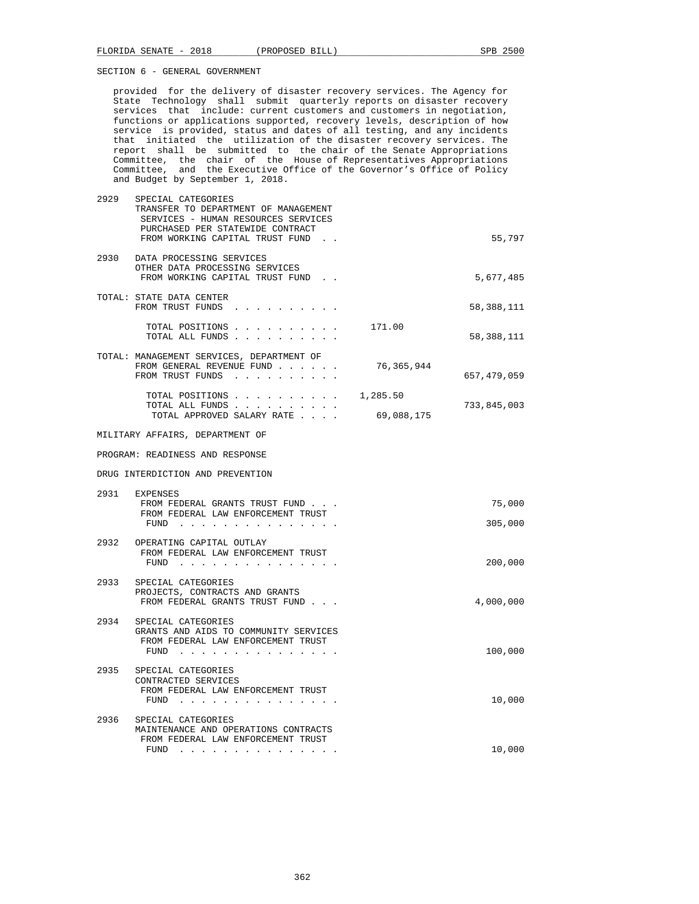provided for the delivery of disaster recovery services. The Agency for State Technology shall submit quarterly reports on disaster recovery services that include: current customers and customers in negotiation, functions or applications supported, recovery levels, description of how service is provided, status and dates of all testing, and any incidents that initiated the utilization of the disaster recovery services. The report shall be submitted to the chair of the Senate Appropriations Committee, the chair of the House of Representatives Appropriations Committee, and the Executive Office of the Governor's Office of Policy and Budget by September 1, 2018.

| 2929 | SPECIAL CATEGORIES<br>TRANSFER TO DEPARTMENT OF MANAGEMENT<br>SERVICES - HUMAN RESOURCES SERVICES<br>PURCHASED PER STATEWIDE CONTRACT<br>FROM WORKING CAPITAL TRUST FUND. |            | 55,797      |
|------|---------------------------------------------------------------------------------------------------------------------------------------------------------------------------|------------|-------------|
|      | 2930 DATA PROCESSING SERVICES<br>OTHER DATA PROCESSING SERVICES<br>FROM WORKING CAPITAL TRUST FUND.                                                                       |            | 5,677,485   |
|      | TOTAL: STATE DATA CENTER<br>FROM TRUST FUNDS                                                                                                                              |            | 58,388,111  |
|      | TOTAL POSITIONS<br>TOTAL ALL FUNDS                                                                                                                                        | 171.00     | 58,388,111  |
|      | TOTAL: MANAGEMENT SERVICES, DEPARTMENT OF<br>FROM GENERAL REVENUE FUND<br>FROM TRUST FUNDS                                                                                | 76,365,944 | 657,479,059 |
|      | TOTAL POSITIONS                                                                                                                                                           | 1,285.50   |             |
|      | TOTAL ALL FUNDS<br>TOTAL APPROVED SALARY RATE                                                                                                                             | 69,088,175 | 733,845,003 |
|      | MILITARY AFFAIRS, DEPARTMENT OF                                                                                                                                           |            |             |
|      | PROGRAM: READINESS AND RESPONSE                                                                                                                                           |            |             |
|      | DRUG INTERDICTION AND PREVENTION                                                                                                                                          |            |             |
|      | 2931 EXPENSES<br>FROM FEDERAL GRANTS TRUST FUND                                                                                                                           |            | 75,000      |
|      | FROM FEDERAL LAW ENFORCEMENT TRUST<br>$FUND$                                                                                                                              |            | 305,000     |
|      | 2932 OPERATING CAPITAL OUTLAY<br>FROM FEDERAL LAW ENFORCEMENT TRUST<br>FUND $\cdots$                                                                                      |            | 200,000     |
| 2933 | SPECIAL CATEGORIES<br>PROJECTS, CONTRACTS AND GRANTS<br>FROM FEDERAL GRANTS TRUST FUND                                                                                    |            | 4,000,000   |
| 2934 | SPECIAL CATEGORIES<br>GRANTS AND AIDS TO COMMUNITY SERVICES<br>FROM FEDERAL LAW ENFORCEMENT TRUST<br>FUND                                                                 |            | 100,000     |
| 2935 | SPECIAL CATEGORIES<br>CONTRACTED SERVICES<br>FROM FEDERAL LAW ENFORCEMENT TRUST<br>$FUND$                                                                                 |            | 10,000      |
| 2936 | SPECIAL CATEGORIES<br>MAINTENANCE AND OPERATIONS CONTRACTS<br>FROM FEDERAL LAW ENFORCEMENT TRUST                                                                          |            |             |
|      | FUND<br>$\mathcal{A}$ . The set of the set of the set of $\mathcal{A}$                                                                                                    |            | 10,000      |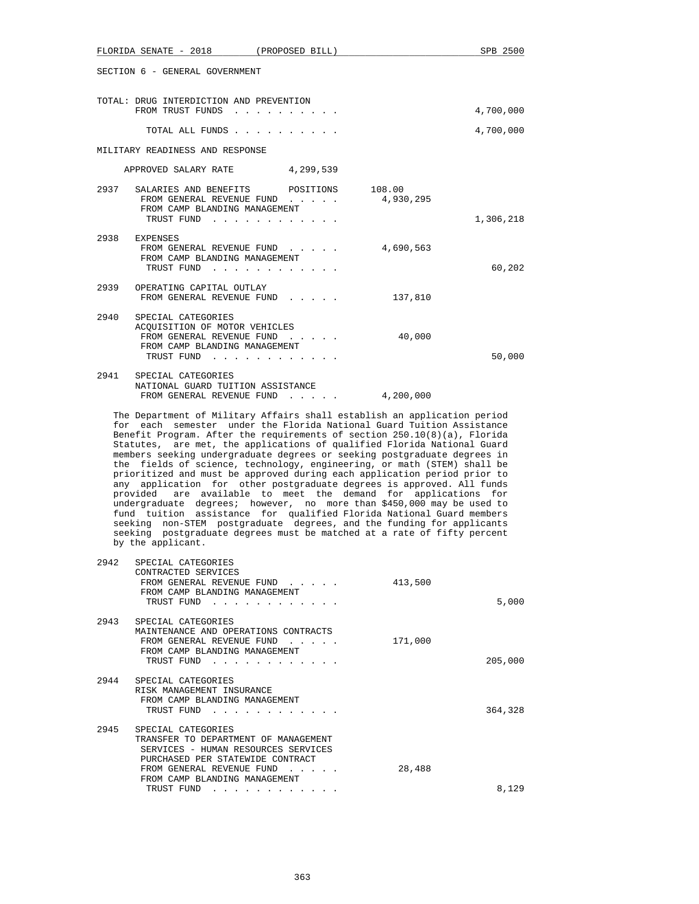|      | FLORIDA SENATE - 2018 (PROPOSED BILL)                                                                                                                                                                                                       |                                                   |           | SPB 2500  |
|------|---------------------------------------------------------------------------------------------------------------------------------------------------------------------------------------------------------------------------------------------|---------------------------------------------------|-----------|-----------|
|      | SECTION 6 - GENERAL GOVERNMENT                                                                                                                                                                                                              |                                                   |           |           |
|      | TOTAL: DRUG INTERDICTION AND PREVENTION<br>FROM TRUST FUNDS                                                                                                                                                                                 |                                                   |           | 4,700,000 |
|      |                                                                                                                                                                                                                                             |                                                   |           |           |
|      |                                                                                                                                                                                                                                             | TOTAL ALL FUNDS                                   |           | 4,700,000 |
|      | MILITARY READINESS AND RESPONSE                                                                                                                                                                                                             |                                                   |           |           |
|      | APPROVED SALARY RATE 4,299,539                                                                                                                                                                                                              |                                                   |           |           |
|      | 2937 SALARIES AND BENEFITS POSITIONS 108.00<br>FROM CAMP BLANDING MANAGEMENT                                                                                                                                                                | FROM GENERAL REVENUE FUND 4,930,295<br>TRUST FUND |           | 1,306,218 |
|      |                                                                                                                                                                                                                                             |                                                   |           |           |
| 2938 | EXPENSES<br>FROM CAMP BLANDING MANAGEMENT                                                                                                                                                                                                   | FROM GENERAL REVENUE FUND<br>TRUST FUND           | 4,690,563 | 60,202    |
|      | 2939 OPERATING CAPITAL OUTLAY                                                                                                                                                                                                               | FROM GENERAL REVENUE FUND                         | 137,810   |           |
| 2940 | SPECIAL CATEGORIES<br>ACQUISITION OF MOTOR VEHICLES<br>FROM CAMP BLANDING MANAGEMENT                                                                                                                                                        | FROM GENERAL REVENUE FUND<br>TRUST FUND           | 40,000    | 50,000    |
|      | 2941 SPECIAL CATEGORIES<br>NATIONAL GUARD TUITION ASSISTANCE                                                                                                                                                                                | FROM GENERAL REVENUE FUND 4,200,000               |           |           |
|      | The Department of Military Affairs shall establish an application period<br>for each semester under the Florida National Guard Tuition Assistance<br>$DemAIL$ $Dumum = \lambda f h m$ the meming path of seminar CD 10/0)/s) $\overline{m}$ |                                                   |           |           |

 Benefit Program. After the requirements of section 250.10(8)(a), Florida Statutes, are met, the applications of qualified Florida National Guard members seeking undergraduate degrees or seeking postgraduate degrees in the fields of science, technology, engineering, or math (STEM) shall be prioritized and must be approved during each application period prior to any application for other postgraduate degrees is approved. All funds provided are available to meet the demand for applications for undergraduate degrees; however, no more than \$450,000 may be used to fund tuition assistance for qualified Florida National Guard members seeking non-STEM postgraduate degrees, and the funding for applicants seeking postgraduate degrees must be matched at a rate of fifty percent by the applicant.

| 2942 | SPECIAL CATEGORIES<br>CONTRACTED SERVICES<br>FROM GENERAL REVENUE FUND<br>FROM CAMP BLANDING MANAGEMENT<br>TRUST FUND                                                                               | 413,500 | 5,000   |
|------|-----------------------------------------------------------------------------------------------------------------------------------------------------------------------------------------------------|---------|---------|
| 2943 | SPECIAL CATEGORIES<br>MAINTENANCE AND OPERATIONS CONTRACTS<br>FROM GENERAL REVENUE FUND<br>FROM CAMP BLANDING MANAGEMENT<br>TRUST FUND                                                              | 171,000 | 205,000 |
| 2944 | SPECIAL CATEGORIES<br>RISK MANAGEMENT INSURANCE<br>FROM CAMP BLANDING MANAGEMENT<br>TRUST FUND                                                                                                      |         | 364,328 |
| 2945 | SPECIAL CATEGORIES<br>TRANSFER TO DEPARTMENT OF MANAGEMENT<br>SERVICES - HUMAN RESOURCES SERVICES<br>PURCHASED PER STATEWIDE CONTRACT<br>FROM GENERAL REVENUE FUND<br>FROM CAMP BLANDING MANAGEMENT | 28,488  |         |
|      | TRUST FUND                                                                                                                                                                                          |         | 8,129   |
|      |                                                                                                                                                                                                     |         |         |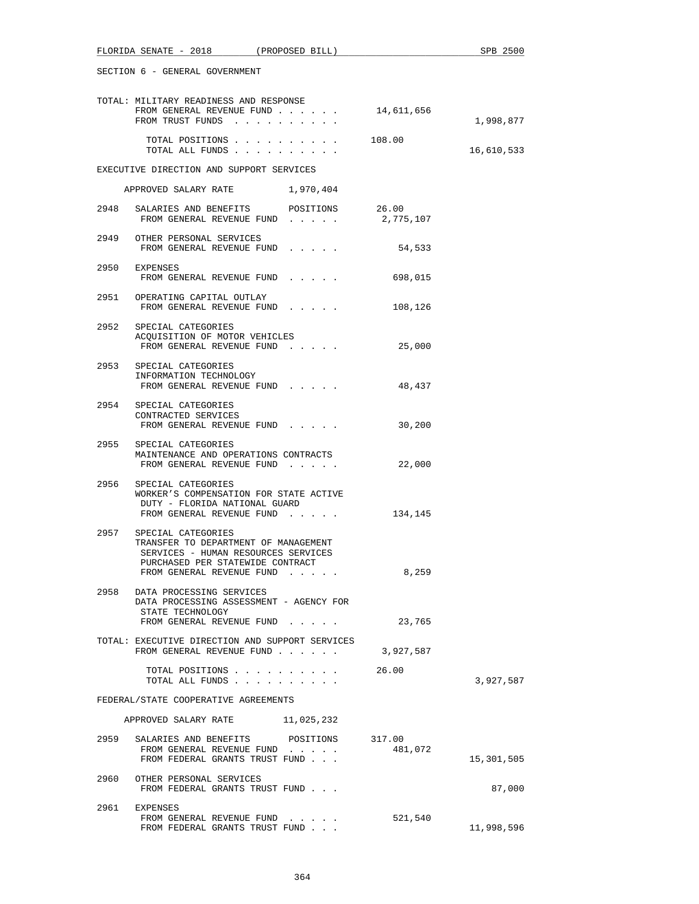|                                      | SECTION 6 - GENERAL GOVERNMENT                                                                                                                                          |                   |            |  |
|--------------------------------------|-------------------------------------------------------------------------------------------------------------------------------------------------------------------------|-------------------|------------|--|
|                                      | TOTAL: MILITARY READINESS AND RESPONSE<br>FROM GENERAL REVENUE FUND<br>FROM TRUST FUNDS                                                                                 | 14,611,656        | 1,998,877  |  |
|                                      | TOTAL POSITIONS 108.00<br>TOTAL ALL FUNDS                                                                                                                               |                   | 16,610,533 |  |
|                                      | EXECUTIVE DIRECTION AND SUPPORT SERVICES                                                                                                                                |                   |            |  |
|                                      | APPROVED SALARY RATE 1,970,404                                                                                                                                          |                   |            |  |
|                                      | 2948 SALARIES AND BENEFITS POSITIONS 26.00<br>FROM GENERAL REVENUE FUND                                                                                                 | 2,775,107         |            |  |
|                                      | 2949 OTHER PERSONAL SERVICES<br>FROM GENERAL REVENUE FUND                                                                                                               | 54,533            |            |  |
|                                      | 2950 EXPENSES<br>FROM GENERAL REVENUE FUND                                                                                                                              | 698,015           |            |  |
|                                      | 2951 OPERATING CAPITAL OUTLAY<br>FROM GENERAL REVENUE FUND                                                                                                              | 108,126           |            |  |
|                                      | 2952 SPECIAL CATEGORIES<br>ACOUISITION OF MOTOR VEHICLES<br>FROM GENERAL REVENUE FUND                                                                                   | 25,000            |            |  |
|                                      | 2953 SPECIAL CATEGORIES<br>INFORMATION TECHNOLOGY<br>FROM GENERAL REVENUE FUND                                                                                          | 48,437            |            |  |
|                                      | 2954 SPECIAL CATEGORIES<br>CONTRACTED SERVICES<br>FROM GENERAL REVENUE FUND                                                                                             | 30,200            |            |  |
|                                      | 2955 SPECIAL CATEGORIES<br>MAINTENANCE AND OPERATIONS CONTRACTS<br>FROM GENERAL REVENUE FUND                                                                            | 22,000            |            |  |
|                                      | 2956 SPECIAL CATEGORIES<br>WORKER'S COMPENSATION FOR STATE ACTIVE<br>DUTY - FLORIDA NATIONAL GUARD<br>FROM GENERAL REVENUE FUND                                         | 134,145           |            |  |
|                                      | 2957 SPECIAL CATEGORIES<br>TRANSFER TO DEPARTMENT OF MANAGEMENT<br>SERVICES - HUMAN RESOURCES SERVICES<br>PURCHASED PER STATEWIDE CONTRACT<br>FROM GENERAL REVENUE FUND | 8,259             |            |  |
|                                      | 2958 DATA PROCESSING SERVICES<br>DATA PROCESSING ASSESSMENT - AGENCY FOR<br>STATE TECHNOLOGY<br>FROM GENERAL REVENUE FUND                                               | 23,765            |            |  |
|                                      | TOTAL: EXECUTIVE DIRECTION AND SUPPORT SERVICES<br>FROM GENERAL REVENUE FUND                                                                                            | 3,927,587         |            |  |
|                                      | TOTAL POSITIONS<br>TOTAL ALL FUNDS                                                                                                                                      | 26.00             | 3,927,587  |  |
| FEDERAL/STATE COOPERATIVE AGREEMENTS |                                                                                                                                                                         |                   |            |  |
|                                      | APPROVED SALARY RATE 11,025,232                                                                                                                                         |                   |            |  |
| 2959                                 | SALARIES AND BENEFITS<br>POSITIONS<br>FROM GENERAL REVENUE FUND<br>FROM FEDERAL GRANTS TRUST FUND                                                                       | 317.00<br>481,072 | 15,301,505 |  |
|                                      | 2960 OTHER PERSONAL SERVICES<br>FROM FEDERAL GRANTS TRUST FUND                                                                                                          |                   | 87,000     |  |
|                                      | 2961 EXPENSES<br>FROM GENERAL REVENUE FUND<br>FROM FEDERAL GRANTS TRUST FUND                                                                                            | 521,540           | 11,998,596 |  |

FLORIDA SENATE - 2018 (PROPOSED BILL) SPB 2500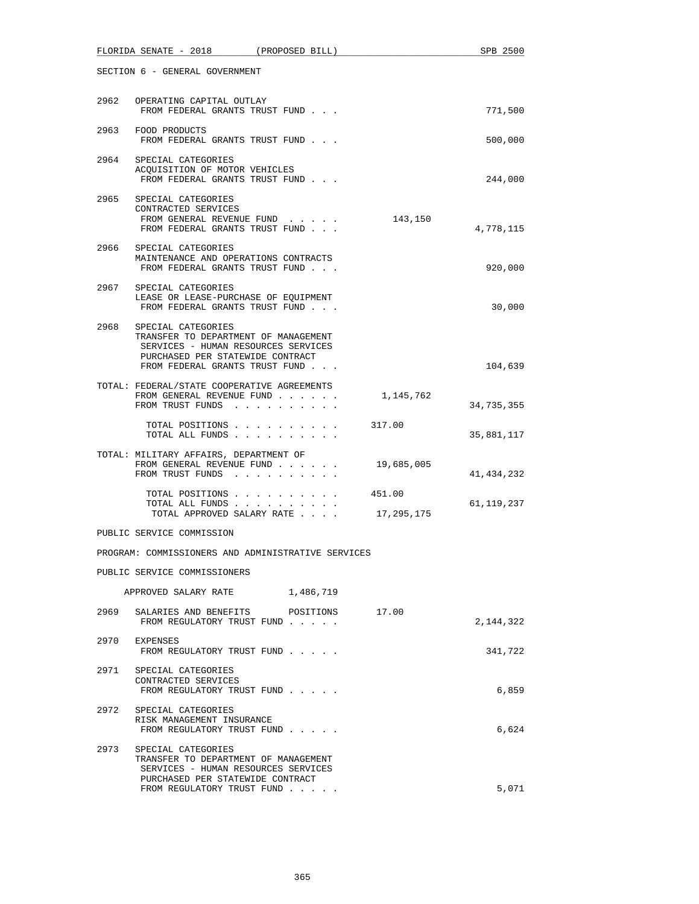|      | FLORIDA SENATE - 2018 (PROPOSED BILL)                                                                                                                                   | SPB 2500     |
|------|-------------------------------------------------------------------------------------------------------------------------------------------------------------------------|--------------|
|      | SECTION 6 - GENERAL GOVERNMENT                                                                                                                                          |              |
|      | 2962 OPERATING CAPITAL OUTLAY<br>FROM FEDERAL GRANTS TRUST FUND                                                                                                         | 771,500      |
|      | 2963 FOOD PRODUCTS<br>FROM FEDERAL GRANTS TRUST FUND                                                                                                                    | 500,000      |
| 2964 | SPECIAL CATEGORIES<br>ACQUISITION OF MOTOR VEHICLES<br>FROM FEDERAL GRANTS TRUST FUND                                                                                   | 244,000      |
|      | 2965 SPECIAL CATEGORIES<br>CONTRACTED SERVICES<br>FROM GENERAL REVENUE FUND<br>143,150<br>FROM FEDERAL GRANTS TRUST FUND                                                | 4,778,115    |
| 2966 | SPECIAL CATEGORIES<br>MAINTENANCE AND OPERATIONS CONTRACTS<br>FROM FEDERAL GRANTS TRUST FUND                                                                            | 920,000      |
|      | 2967 SPECIAL CATEGORIES<br>LEASE OR LEASE-PURCHASE OF EQUIPMENT<br>FROM FEDERAL GRANTS TRUST FUND                                                                       | 30,000       |
| 2968 | SPECIAL CATEGORIES<br>TRANSFER TO DEPARTMENT OF MANAGEMENT<br>SERVICES - HUMAN RESOURCES SERVICES<br>PURCHASED PER STATEWIDE CONTRACT<br>FROM FEDERAL GRANTS TRUST FUND | 104,639      |
|      | TOTAL: FEDERAL/STATE COOPERATIVE AGREEMENTS<br>FROM GENERAL REVENUE FUND<br>1,145,762<br>FROM TRUST FUNDS                                                               | 34,735,355   |
|      | TOTAL POSITIONS<br>317.00<br>TOTAL ALL FUNDS                                                                                                                            | 35,881,117   |
|      | TOTAL: MILITARY AFFAIRS, DEPARTMENT OF<br>FROM GENERAL REVENUE FUND<br>19,685,005<br>FROM TRUST FUNDS                                                                   | 41, 434, 232 |
|      | TOTAL POSITIONS<br>451.00<br>TOTAL ALL FUNDS<br>17,295,175<br>TOTAL APPROVED SALARY RATE                                                                                | 61,119,237   |
|      | PUBLIC SERVICE COMMISSION                                                                                                                                               |              |
|      | PROGRAM: COMMISSIONERS AND ADMINISTRATIVE SERVICES                                                                                                                      |              |
|      | PUBLIC SERVICE COMMISSIONERS                                                                                                                                            |              |
|      | APPROVED SALARY RATE 1,486,719                                                                                                                                          |              |
| 2969 | SALARIES AND BENEFITS<br>17.00<br>POSITIONS<br>FROM REGULATORY TRUST FUND                                                                                               | 2,144,322    |
| 2970 | EXPENSES<br>FROM REGULATORY TRUST FUND                                                                                                                                  | 341,722      |
|      | 2971 SPECIAL CATEGORIES<br>CONTRACTED SERVICES<br>FROM REGULATORY TRUST FUND                                                                                            | 6,859        |
|      | 2972 SPECIAL CATEGORIES<br>RISK MANAGEMENT INSURANCE<br>FROM REGULATORY TRUST FUND                                                                                      | 6,624        |
| 2973 | SPECIAL CATEGORIES<br>TRANSFER TO DEPARTMENT OF MANAGEMENT<br>SERVICES - HUMAN RESOURCES SERVICES<br>PURCHASED PER STATEWIDE CONTRACT                                   |              |
|      | FROM REGULATORY TRUST FUND                                                                                                                                              | 5,071        |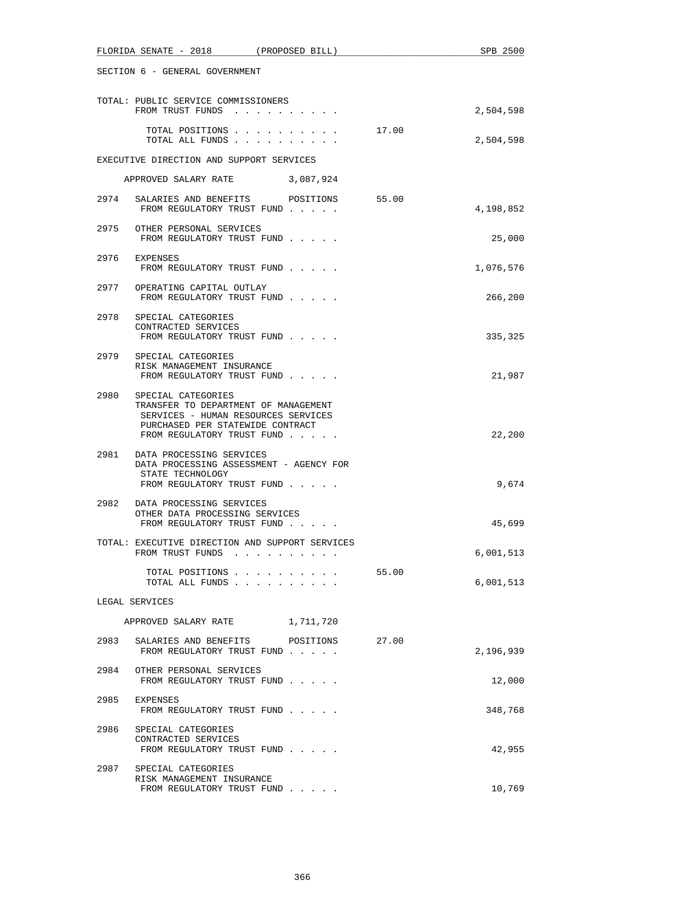|      | FLORIDA SENATE - 2018<br>(PROPOSED BILL)                                                                                                                            |       | SPB 2500  |
|------|---------------------------------------------------------------------------------------------------------------------------------------------------------------------|-------|-----------|
|      | SECTION 6 - GENERAL GOVERNMENT                                                                                                                                      |       |           |
|      | TOTAL: PUBLIC SERVICE COMMISSIONERS<br>FROM TRUST FUNDS                                                                                                             |       | 2,504,598 |
|      | TOTAL POSITIONS<br>TOTAL ALL FUNDS                                                                                                                                  | 17.00 | 2,504,598 |
|      | EXECUTIVE DIRECTION AND SUPPORT SERVICES                                                                                                                            |       |           |
|      | APPROVED SALARY RATE 3,087,924                                                                                                                                      |       |           |
| 2974 | SALARIES AND BENEFITS POSITIONS<br>FROM REGULATORY TRUST FUND                                                                                                       | 55.00 | 4,198,852 |
|      | 2975 OTHER PERSONAL SERVICES<br>FROM REGULATORY TRUST FUND                                                                                                          |       | 25,000    |
|      | 2976 EXPENSES<br>FROM REGULATORY TRUST FUND                                                                                                                         |       | 1,076,576 |
|      | 2977 OPERATING CAPITAL OUTLAY<br>FROM REGULATORY TRUST FUND                                                                                                         |       | 266,200   |
|      | 2978 SPECIAL CATEGORIES<br>CONTRACTED SERVICES<br>FROM REGULATORY TRUST FUND                                                                                        |       | 335,325   |
| 2979 | SPECIAL CATEGORIES<br>RISK MANAGEMENT INSURANCE<br>FROM REGULATORY TRUST FUND                                                                                       |       | 21,987    |
| 2980 | SPECIAL CATEGORIES<br>TRANSFER TO DEPARTMENT OF MANAGEMENT<br>SERVICES - HUMAN RESOURCES SERVICES<br>PURCHASED PER STATEWIDE CONTRACT<br>FROM REGULATORY TRUST FUND |       | 22,200    |
|      | 2981 DATA PROCESSING SERVICES<br>DATA PROCESSING ASSESSMENT - AGENCY FOR<br>STATE TECHNOLOGY<br>FROM REGULATORY TRUST FUND                                          |       | 9,674     |
|      | 2982 DATA PROCESSING SERVICES<br>OTHER DATA PROCESSING SERVICES<br>FROM REGULATORY TRUST FUND                                                                       |       | 45,699    |
|      | TOTAL: EXECUTIVE DIRECTION AND SUPPORT SERVICES<br>FROM TRUST FUNDS                                                                                                 |       | 6,001,513 |
|      | TOTAL POSITIONS<br>TOTAL ALL FUNDS                                                                                                                                  | 55.00 | 6,001,513 |
|      | LEGAL SERVICES                                                                                                                                                      |       |           |
|      | 1,711,720<br>APPROVED SALARY RATE                                                                                                                                   |       |           |
| 2983 | SALARIES AND BENEFITS<br>POSITIONS<br>FROM REGULATORY TRUST FUND                                                                                                    | 27.00 | 2,196,939 |
| 2984 | OTHER PERSONAL SERVICES<br>FROM REGULATORY TRUST FUND                                                                                                               |       | 12,000    |
| 2985 | EXPENSES<br>FROM REGULATORY TRUST FUND                                                                                                                              |       | 348,768   |
|      | 2986 SPECIAL CATEGORIES<br>CONTRACTED SERVICES<br>FROM REGULATORY TRUST FUND                                                                                        |       | 42,955    |
| 2987 | SPECIAL CATEGORIES<br>RISK MANAGEMENT INSURANCE<br>FROM REGULATORY TRUST FUND                                                                                       |       | 10,769    |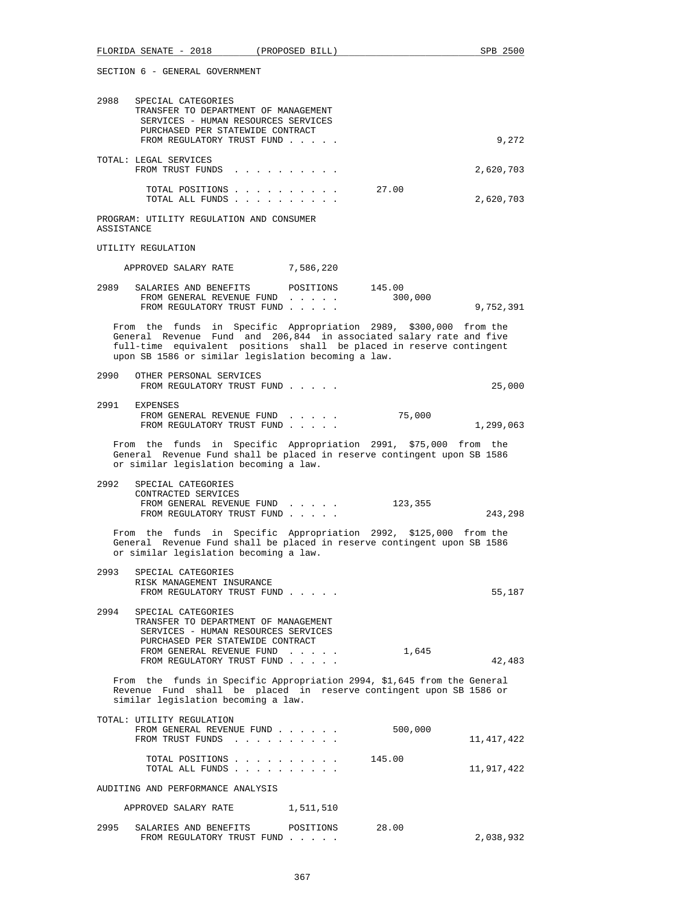|            | FLORIDA SENATE - 2018 (PROPOSED BILL)                                                                                                                               |                                                                                                                                                                                                                                                                         |         | SPB 2500   |
|------------|---------------------------------------------------------------------------------------------------------------------------------------------------------------------|-------------------------------------------------------------------------------------------------------------------------------------------------------------------------------------------------------------------------------------------------------------------------|---------|------------|
|            | SECTION 6 - GENERAL GOVERNMENT                                                                                                                                      |                                                                                                                                                                                                                                                                         |         |            |
| 2988       | SPECIAL CATEGORIES<br>TRANSFER TO DEPARTMENT OF MANAGEMENT<br>SERVICES - HUMAN RESOURCES SERVICES<br>PURCHASED PER STATEWIDE CONTRACT<br>FROM REGULATORY TRUST FUND |                                                                                                                                                                                                                                                                         |         | 9,272      |
|            | TOTAL: LEGAL SERVICES<br>FROM TRUST FUNDS                                                                                                                           |                                                                                                                                                                                                                                                                         |         | 2,620,703  |
|            | TOTAL POSITIONS<br>TOTAL ALL FUNDS                                                                                                                                  |                                                                                                                                                                                                                                                                         | 27.00   | 2,620,703  |
| ASSISTANCE | PROGRAM: UTILITY REGULATION AND CONSUMER                                                                                                                            |                                                                                                                                                                                                                                                                         |         |            |
|            | UTILITY REGULATION                                                                                                                                                  |                                                                                                                                                                                                                                                                         |         |            |
|            | APPROVED SALARY RATE                                                                                                                                                | 7,586,220                                                                                                                                                                                                                                                               |         |            |
| 2989       | SALARIES AND BENEFITS<br>FROM GENERAL REVENUE FUND<br>FROM REGULATORY TRUST FUND                                                                                    | POSITIONS 145.00                                                                                                                                                                                                                                                        | 300,000 | 9,752,391  |
|            |                                                                                                                                                                     | From the funds in Specific Appropriation 2989, \$300,000 from the<br>General Revenue Fund and 206,844 in associated salary rate and five<br>full-time equivalent positions shall be placed in reserve contingent<br>upon SB 1586 or similar legislation becoming a law. |         |            |
|            | 2990 OTHER PERSONAL SERVICES<br>FROM REGULATORY TRUST FUND                                                                                                          |                                                                                                                                                                                                                                                                         |         | 25,000     |
| 2991       | EXPENSES<br>FROM GENERAL REVENUE FUND<br>FROM REGULATORY TRUST FUND                                                                                                 | $\mathbf{r}$ , $\mathbf{r}$ , $\mathbf{r}$ , $\mathbf{r}$ , $\mathbf{r}$                                                                                                                                                                                                | 75,000  | 1,299,063  |
|            | or similar legislation becoming a law.                                                                                                                              | From the funds in Specific Appropriation 2991, \$75,000 from the<br>General Revenue Fund shall be placed in reserve contingent upon SB 1586                                                                                                                             |         |            |
| 2992       | SPECIAL CATEGORIES<br>CONTRACTED SERVICES<br>FROM REGULATORY TRUST FUND                                                                                             | FROM GENERAL REVENUE FUND 123,355                                                                                                                                                                                                                                       |         | 243,298    |
|            | or similar legislation becoming a law.                                                                                                                              | From the funds in Specific Appropriation 2992, \$125,000 from the<br>General Revenue Fund shall be placed in reserve contingent upon SB 1586                                                                                                                            |         |            |
|            | 2993 SPECIAL CATEGORIES<br>RISK MANAGEMENT INSURANCE<br>FROM REGULATORY TRUST FUND                                                                                  |                                                                                                                                                                                                                                                                         |         | 55,187     |
| 2994       | SPECIAL CATEGORIES<br>TRANSFER TO DEPARTMENT OF MANAGEMENT<br>SERVICES - HUMAN RESOURCES SERVICES<br>PURCHASED PER STATEWIDE CONTRACT<br>FROM GENERAL REVENUE FUND  |                                                                                                                                                                                                                                                                         | 1,645   |            |
|            | FROM REGULATORY TRUST FUND                                                                                                                                          | From the funds in Specific Appropriation 2994, \$1,645 from the General                                                                                                                                                                                                 |         | 42,483     |
|            | similar legislation becoming a law.                                                                                                                                 | Revenue Fund shall be placed in reserve contingent upon SB 1586 or                                                                                                                                                                                                      |         |            |
|            | TOTAL: UTILITY REGULATION<br>FROM GENERAL REVENUE FUND<br>FROM TRUST FUNDS                                                                                          |                                                                                                                                                                                                                                                                         | 500,000 | 11,417,422 |
|            | TOTAL POSITIONS<br>TOTAL ALL FUNDS                                                                                                                                  |                                                                                                                                                                                                                                                                         | 145.00  | 11,917,422 |
|            | AUDITING AND PERFORMANCE ANALYSIS                                                                                                                                   |                                                                                                                                                                                                                                                                         |         |            |
|            | APPROVED SALARY RATE                                                                                                                                                | 1,511,510                                                                                                                                                                                                                                                               |         |            |
| 2995       | SALARIES AND BENEFITS<br>FROM REGULATORY TRUST FUND                                                                                                                 | POSITIONS                                                                                                                                                                                                                                                               | 28.00   | 2,038,932  |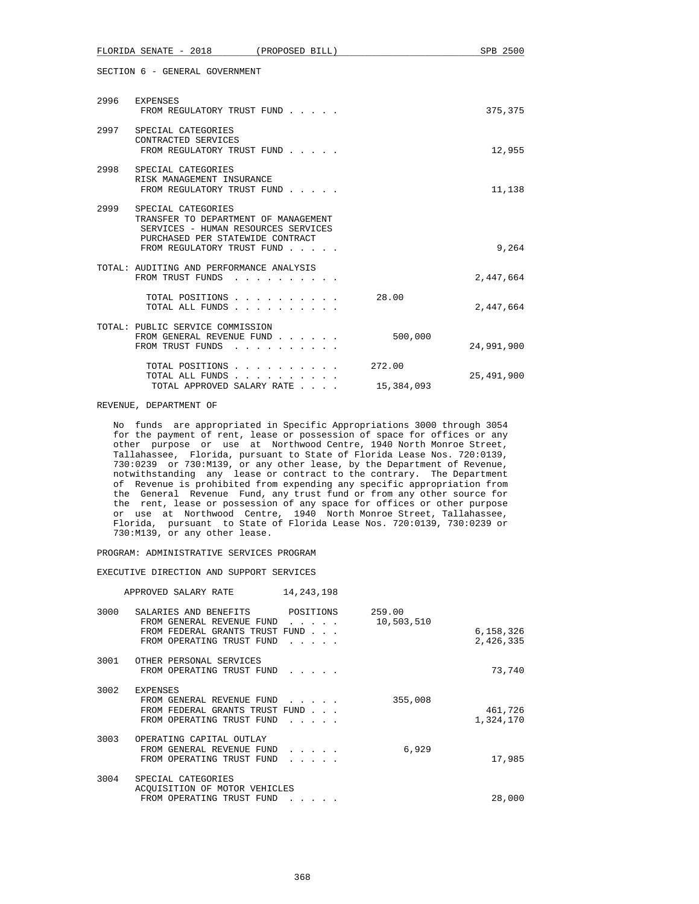|      | FLORIDA SENATE - 2018                                                                                                                                               | (PROPOSED BILL)                                                                                                                                             |                      | SPB 2500   |
|------|---------------------------------------------------------------------------------------------------------------------------------------------------------------------|-------------------------------------------------------------------------------------------------------------------------------------------------------------|----------------------|------------|
|      | SECTION 6 - GENERAL GOVERNMENT                                                                                                                                      |                                                                                                                                                             |                      |            |
| 2996 | EXPENSES<br>FROM REGULATORY TRUST FUND                                                                                                                              |                                                                                                                                                             |                      | 375,375    |
|      | 2997 SPECIAL CATEGORIES<br>CONTRACTED SERVICES<br>FROM REGULATORY TRUST FUND                                                                                        |                                                                                                                                                             |                      | 12,955     |
| 2998 | SPECIAL CATEGORIES<br>RISK MANAGEMENT INSURANCE<br>FROM REGULATORY TRUST FUND                                                                                       |                                                                                                                                                             |                      | 11,138     |
| 2999 | SPECIAL CATEGORIES<br>TRANSFER TO DEPARTMENT OF MANAGEMENT<br>SERVICES - HUMAN RESOURCES SERVICES<br>PURCHASED PER STATEWIDE CONTRACT<br>FROM REGULATORY TRUST FUND |                                                                                                                                                             |                      | 9,264      |
|      | TOTAL: AUDITING AND PERFORMANCE ANALYSIS<br>FROM TRUST FUNDS                                                                                                        |                                                                                                                                                             |                      | 2,447,664  |
|      | TOTAL POSITIONS<br>TOTAL ALL FUNDS                                                                                                                                  |                                                                                                                                                             | 28.00                | 2,447,664  |
|      | TOTAL: PUBLIC SERVICE COMMISSION<br>FROM GENERAL REVENUE FUND<br>FROM TRUST FUNDS                                                                                   |                                                                                                                                                             | 500,000              | 24,991,900 |
|      | TOTAL POSITIONS<br>TOTAL ALL FUNDS<br>TOTAL APPROVED SALARY RATE                                                                                                    | $\mathbf{r}$ , $\mathbf{r}$ , $\mathbf{r}$ , $\mathbf{r}$ , $\mathbf{r}$ , $\mathbf{r}$<br>$\mathbf{1}$ $\mathbf{1}$ $\mathbf{1}$ $\mathbf{1}$ $\mathbf{1}$ | 272.00<br>15,384,093 | 25,491,900 |

## REVENUE, DEPARTMENT OF

 No funds are appropriated in Specific Appropriations 3000 through 3054 for the payment of rent, lease or possession of space for offices or any other purpose or use at Northwood Centre, 1940 North Monroe Street, Tallahassee, Florida, pursuant to State of Florida Lease Nos. 720:0139, 730:0239 or 730:M139, or any other lease, by the Department of Revenue, notwithstanding any lease or contract to the contrary. The Department of Revenue is prohibited from expending any specific appropriation from the General Revenue Fund, any trust fund or from any other source for the rent, lease or possession of any space for offices or other purpose or use at Northwood Centre, 1940 North Monroe Street, Tallahassee, Florida, pursuant to State of Florida Lease Nos. 720:0139, 730:0239 or 730:M139, or any other lease.

PROGRAM: ADMINISTRATIVE SERVICES PROGRAM

EXECUTIVE DIRECTION AND SUPPORT SERVICES

|      | APPROVED SALARY RATE                                                                                              | 14, 243, 198          |                      |                        |
|------|-------------------------------------------------------------------------------------------------------------------|-----------------------|----------------------|------------------------|
| 3000 | SALARIES AND BENEFITS<br>FROM GENERAL REVENUE FUND<br>FROM FEDERAL GRANTS TRUST FUND<br>FROM OPERATING TRUST FUND | POSITIONS<br>$\cdots$ | 259.00<br>10,503,510 | 6,158,326<br>2,426,335 |
| 3001 | OTHER PERSONAL SERVICES<br>FROM OPERATING TRUST FUND                                                              |                       |                      | 73,740                 |
| 3002 | <b>EXPENSES</b><br>FROM GENERAL REVENUE FUND<br>FROM FEDERAL GRANTS TRUST FUND<br>FROM OPERATING TRUST FUND       |                       | 355,008              | 461,726<br>1,324,170   |
| 3003 | OPERATING CAPITAL OUTLAY<br>FROM GENERAL REVENUE FUND<br>FROM OPERATING TRUST FUND                                | .<br>.                | 6,929                | 17,985                 |
| 3004 | SPECIAL CATEGORIES<br>ACOUISITION OF MOTOR VEHICLES<br>FROM OPERATING TRUST FUND                                  |                       |                      | 28,000                 |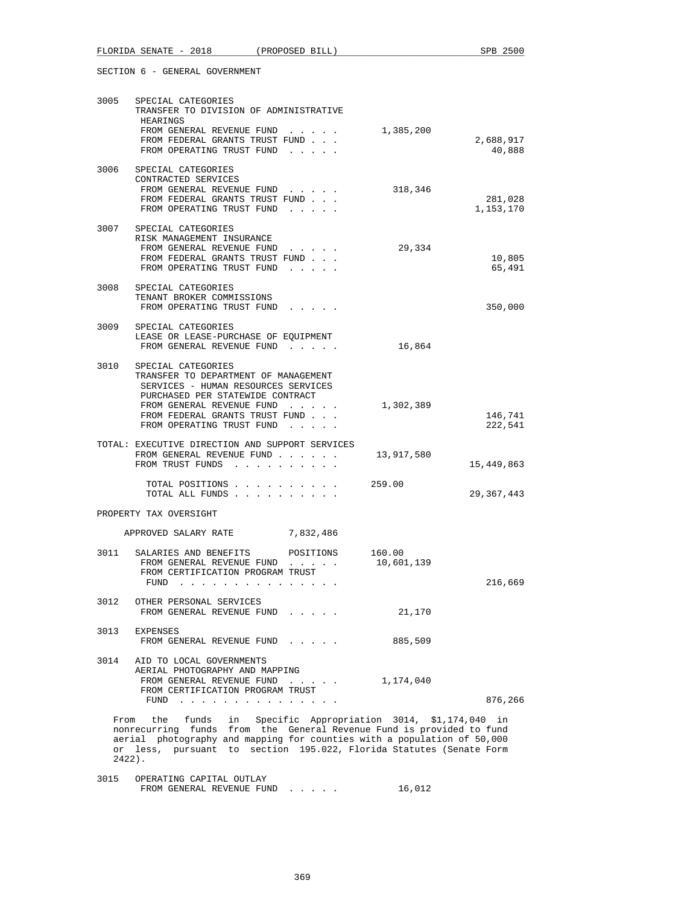| 3005 | SPECIAL CATEGORIES<br>TRANSFER TO DIVISION OF ADMINISTRATIVE<br>HEARINGS<br>FROM GENERAL REVENUE FUND 1,385,200<br>FROM FEDERAL GRANTS TRUST FUND<br>FROM OPERATING TRUST FUND                                                                                                              |            | 2,688,917<br>40,888  |
|------|---------------------------------------------------------------------------------------------------------------------------------------------------------------------------------------------------------------------------------------------------------------------------------------------|------------|----------------------|
| 3006 | SPECIAL CATEGORIES<br>CONTRACTED SERVICES<br>FROM GENERAL REVENUE FUND<br>FROM FEDERAL GRANTS TRUST FUND<br>FROM OPERATING TRUST FUND                                                                                                                                                       | 318,346    | 281,028<br>1,153,170 |
|      | 3007 SPECIAL CATEGORIES<br>RISK MANAGEMENT INSURANCE<br>FROM GENERAL REVENUE FUND<br>FROM FEDERAL GRANTS TRUST FUND<br>FROM OPERATING TRUST FUND<br>$\cdot$ $\cdot$ $\cdot$ $\cdot$ $\cdot$                                                                                                 | 29,334     | 10,805<br>65,491     |
| 3008 | SPECIAL CATEGORIES<br>TENANT BROKER COMMISSIONS<br>FROM OPERATING TRUST FUND                                                                                                                                                                                                                |            | 350,000              |
| 3009 | SPECIAL CATEGORIES<br>LEASE OR LEASE-PURCHASE OF EOUIPMENT<br>FROM GENERAL REVENUE FUND                                                                                                                                                                                                     | 16,864     |                      |
| 3010 | SPECIAL CATEGORIES<br>TRANSFER TO DEPARTMENT OF MANAGEMENT<br>SERVICES - HUMAN RESOURCES SERVICES<br>PURCHASED PER STATEWIDE CONTRACT<br>FROM GENERAL REVENUE FUND<br>FROM FEDERAL GRANTS TRUST FUND<br>FROM OPERATING TRUST FUND                                                           | 1,302,389  | 146,741<br>222,541   |
|      | TOTAL: EXECUTIVE DIRECTION AND SUPPORT SERVICES<br>FROM GENERAL REVENUE FUND<br>FROM TRUST FUNDS                                                                                                                                                                                            | 13,917,580 | 15,449,863           |
|      | TOTAL POSITIONS<br>TOTAL ALL FUNDS                                                                                                                                                                                                                                                          | 259.00     | 29,367,443           |
|      | PROPERTY TAX OVERSIGHT                                                                                                                                                                                                                                                                      |            |                      |
|      | APPROVED SALARY RATE 7,832,486                                                                                                                                                                                                                                                              |            |                      |
| 3011 | POSITIONS 160.00<br>SALARIES AND BENEFITS<br>FROM GENERAL REVENUE FUND<br>FROM CERTIFICATION PROGRAM TRUST<br>FUND $\ldots$ $\ldots$ $\ldots$ $\ldots$ $\ldots$ $\ldots$                                                                                                                    | 10,601,139 | 216,669              |
| 3012 | OTHER PERSONAL SERVICES<br>FROM GENERAL REVENUE FUND                                                                                                                                                                                                                                        | 21,170     |                      |
| 3013 | <b>EXPENSES</b><br>FROM GENERAL REVENUE FUND                                                                                                                                                                                                                                                | 885,509    |                      |
| 3014 | AID TO LOCAL GOVERNMENTS<br>AERIAL PHOTOGRAPHY AND MAPPING<br>FROM GENERAL REVENUE FUND<br>$\mathcal{L}^{\mathcal{L}}$ , where $\mathcal{L}^{\mathcal{L}}$ , where $\mathcal{L}^{\mathcal{L}}$<br>FROM CERTIFICATION PROGRAM TRUST<br>FUND $\cdots$ , $\cdots$ , $\cdots$ , $\cdots$        | 1,174,040  | 876,266              |
|      | funds in Specific Appropriation 3014, \$1,174,040<br>From<br>the<br>funds from the General Revenue Fund is provided to fund<br>nonrecurring<br>aerial photography and mapping for counties with a population of 50,000<br>or less pursuant to section 195,022 Florida Statutes (Senate Form |            | in                   |

 or less, pursuant to section 195.022, Florida Statutes (Senate Form 2422). 3015 OPERATING CAPITAL OUTLAY

| ---- | $\sim$ $\sim$                  |  |
|------|--------------------------------|--|
|      | FROM GENERAL REVENUE FUND<br>. |  |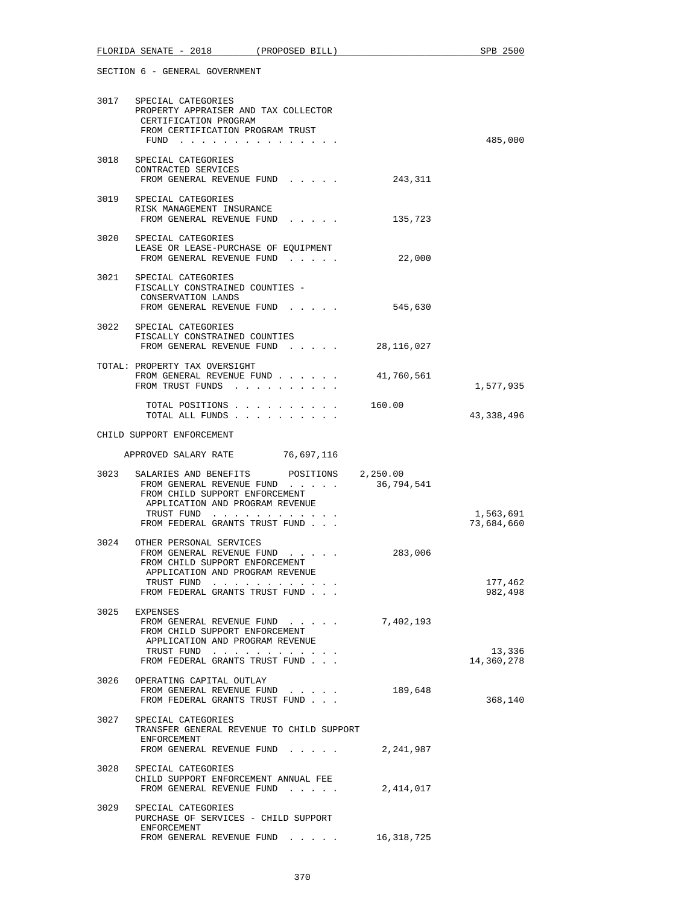|      | 3017 SPECIAL CATEGORIES<br>PROPERTY APPRAISER AND TAX COLLECTOR<br>CERTIFICATION PROGRAM<br>FROM CERTIFICATION PROGRAM TRUST<br>FUND                                                       |            | 485,000                 |
|------|--------------------------------------------------------------------------------------------------------------------------------------------------------------------------------------------|------------|-------------------------|
|      | 3018 SPECIAL CATEGORIES<br>CONTRACTED SERVICES<br>FROM GENERAL REVENUE FUND                                                                                                                | 243,311    |                         |
|      | 3019 SPECIAL CATEGORIES<br>RISK MANAGEMENT INSURANCE<br>FROM GENERAL REVENUE FUND                                                                                                          | 135,723    |                         |
|      | 3020 SPECIAL CATEGORIES<br>LEASE OR LEASE-PURCHASE OF EQUIPMENT<br>FROM GENERAL REVENUE FUND                                                                                               | 22,000     |                         |
|      | 3021 SPECIAL CATEGORIES<br>FISCALLY CONSTRAINED COUNTIES -<br>CONSERVATION LANDS<br>FROM GENERAL REVENUE FUND                                                                              | 545,630    |                         |
|      | 3022 SPECIAL CATEGORIES<br>FISCALLY CONSTRAINED COUNTIES<br>FROM GENERAL REVENUE FUND                                                                                                      | 28,116,027 |                         |
|      | TOTAL: PROPERTY TAX OVERSIGHT<br>FROM GENERAL REVENUE FUND<br>FROM TRUST FUNDS                                                                                                             | 41,760,561 | 1,577,935               |
|      | TOTAL POSITIONS 160.00<br>TOTAL ALL FUNDS                                                                                                                                                  |            | 43,338,496              |
|      | CHILD SUPPORT ENFORCEMENT                                                                                                                                                                  |            |                         |
|      | APPROVED SALARY RATE 76,697,116                                                                                                                                                            |            |                         |
| 3023 | SALARIES AND BENEFITS POSITIONS 2,250.00<br>FROM GENERAL REVENUE FUND<br>FROM CHILD SUPPORT ENFORCEMENT<br>APPLICATION AND PROGRAM REVENUE<br>TRUST FUND<br>FROM FEDERAL GRANTS TRUST FUND | 36,794,541 | 1,563,691<br>73,684,660 |
|      | 3024 OTHER PERSONAL SERVICES<br>FROM GENERAL REVENUE FUND<br>FROM CHILD SUPPORT ENFORCEMENT<br>APPLICATION AND PROGRAM REVENUE<br>TRUST FUND<br>FROM FEDERAL GRANTS TRUST FUND             | 283,006    | 177,462<br>982,498      |
|      | 3025 EXPENSES<br>FROM GENERAL REVENUE FUND<br>FROM CHILD SUPPORT ENFORCEMENT<br>APPLICATION AND PROGRAM REVENUE<br>TRUST FUND<br>FROM FEDERAL GRANTS TRUST FUND.                           | 7,402,193  | 13,336<br>14,360,278    |
|      | 3026 OPERATING CAPITAL OUTLAY<br>FROM GENERAL REVENUE FUND<br>FROM FEDERAL GRANTS TRUST FUND                                                                                               | 189,648    | 368,140                 |
|      | 3027 SPECIAL CATEGORIES<br>TRANSFER GENERAL REVENUE TO CHILD SUPPORT<br>ENFORCEMENT<br>FROM GENERAL REVENUE FUND                                                                           | 2,241,987  |                         |
|      | 3028 SPECIAL CATEGORIES<br>CHILD SUPPORT ENFORCEMENT ANNUAL FEE<br>FROM GENERAL REVENUE FUND                                                                                               | 2,414,017  |                         |
| 3029 | SPECIAL CATEGORIES<br>PURCHASE OF SERVICES - CHILD SUPPORT<br>ENFORCEMENT<br>FROM GENERAL REVENUE FUND                                                                                     | 16,318,725 |                         |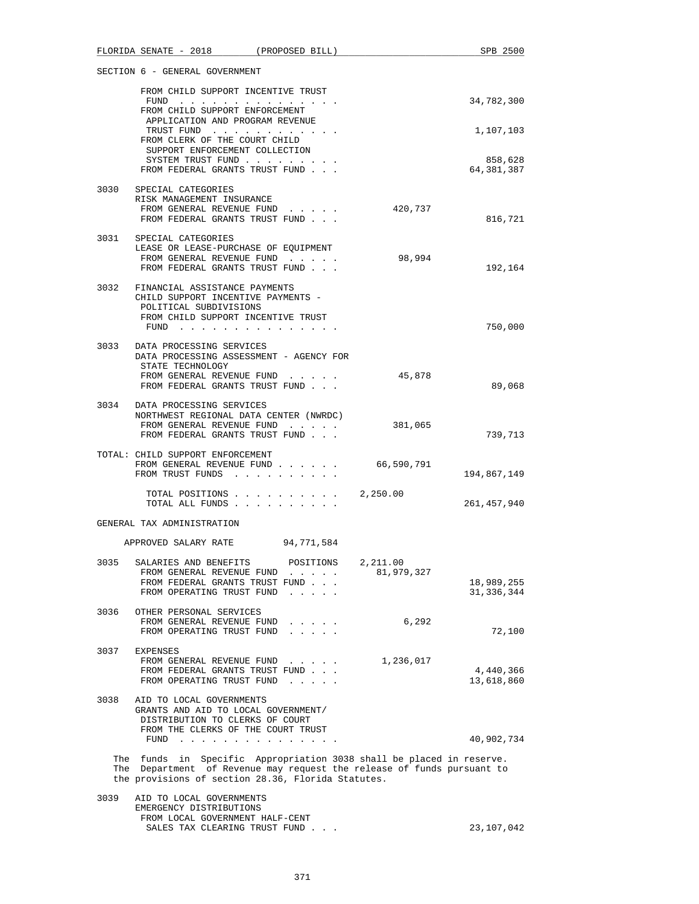|      | FLORIDA SENATE - 2018 (PROPOSED BILL)                                                                                                                                                                                          |                        | SPB 2500                |
|------|--------------------------------------------------------------------------------------------------------------------------------------------------------------------------------------------------------------------------------|------------------------|-------------------------|
|      | SECTION 6 - GENERAL GOVERNMENT                                                                                                                                                                                                 |                        |                         |
|      | FROM CHILD SUPPORT INCENTIVE TRUST                                                                                                                                                                                             |                        |                         |
|      | FUND $\cdots$<br>FROM CHILD SUPPORT ENFORCEMENT                                                                                                                                                                                |                        | 34,782,300              |
|      | APPLICATION AND PROGRAM REVENUE<br>TRUST FUND<br>FROM CLERK OF THE COURT CHILD                                                                                                                                                 |                        | 1,107,103               |
|      | SUPPORT ENFORCEMENT COLLECTION                                                                                                                                                                                                 |                        |                         |
|      | SYSTEM TRUST FUND<br>FROM FEDERAL GRANTS TRUST FUND                                                                                                                                                                            |                        | 858,628<br>64,381,387   |
|      | 3030 SPECIAL CATEGORIES                                                                                                                                                                                                        |                        |                         |
|      | RISK MANAGEMENT INSURANCE<br>FROM GENERAL REVENUE FUND                                                                                                                                                                         | 420,737                |                         |
|      | FROM FEDERAL GRANTS TRUST FUND                                                                                                                                                                                                 |                        | 816,721                 |
|      | 3031 SPECIAL CATEGORIES                                                                                                                                                                                                        |                        |                         |
|      | LEASE OR LEASE-PURCHASE OF EQUIPMENT<br>FROM GENERAL REVENUE FUND                                                                                                                                                              | 98,994                 |                         |
|      | FROM FEDERAL GRANTS TRUST FUND                                                                                                                                                                                                 |                        | 192,164                 |
|      | 3032 FINANCIAL ASSISTANCE PAYMENTS<br>CHILD SUPPORT INCENTIVE PAYMENTS -                                                                                                                                                       |                        |                         |
|      | POLITICAL SUBDIVISIONS                                                                                                                                                                                                         |                        |                         |
|      | FROM CHILD SUPPORT INCENTIVE TRUST<br>FUND $\cdots$                                                                                                                                                                            |                        | 750,000                 |
|      |                                                                                                                                                                                                                                |                        |                         |
|      | 3033 DATA PROCESSING SERVICES<br>DATA PROCESSING ASSESSMENT - AGENCY FOR                                                                                                                                                       |                        |                         |
|      | STATE TECHNOLOGY<br>FROM GENERAL REVENUE FUND                                                                                                                                                                                  | 45,878                 |                         |
|      | FROM FEDERAL GRANTS TRUST FUND                                                                                                                                                                                                 |                        | 89,068                  |
|      | 3034 DATA PROCESSING SERVICES                                                                                                                                                                                                  |                        |                         |
|      | NORTHWEST REGIONAL DATA CENTER (NWRDC)<br>FROM GENERAL REVENUE FUND                                                                                                                                                            | 381,065                |                         |
|      | FROM FEDERAL GRANTS TRUST FUND                                                                                                                                                                                                 |                        | 739,713                 |
|      | TOTAL: CHILD SUPPORT ENFORCEMENT                                                                                                                                                                                               |                        |                         |
|      | FROM GENERAL REVENUE FUND                                                                                                                                                                                                      | 66,590,791             |                         |
|      | FROM TRUST FUNDS                                                                                                                                                                                                               |                        | 194,867,149             |
|      | TOTAL POSITIONS<br>TOTAL ALL FUNDS                                                                                                                                                                                             | 2,250.00               | 261,457,940             |
|      | GENERAL TAX ADMINISTRATION                                                                                                                                                                                                     |                        |                         |
|      | 94,771,584<br>APPROVED SALARY RATE                                                                                                                                                                                             |                        |                         |
| 3035 | SALARIES AND BENEFITS<br>POSITIONS<br>FROM GENERAL REVENUE FUND                                                                                                                                                                | 2,211.00<br>81,979,327 |                         |
|      | and the contract of the<br>FROM FEDERAL GRANTS TRUST FUND                                                                                                                                                                      |                        | 18,989,255              |
|      | FROM OPERATING TRUST FUND<br>$\cdots$                                                                                                                                                                                          |                        | 31, 336, 344            |
| 3036 | OTHER PERSONAL SERVICES                                                                                                                                                                                                        |                        |                         |
|      | FROM GENERAL REVENUE FUND<br>$\mathcal{L}^{\mathcal{A}}$ , and $\mathcal{L}^{\mathcal{A}}$ , and $\mathcal{L}^{\mathcal{A}}$                                                                                                   | 6,292                  |                         |
|      | FROM OPERATING TRUST FUND                                                                                                                                                                                                      |                        | 72,100                  |
| 3037 | EXPENSES                                                                                                                                                                                                                       |                        |                         |
|      | FROM GENERAL REVENUE FUND                                                                                                                                                                                                      | 1,236,017              |                         |
|      | FROM FEDERAL GRANTS TRUST FUND<br>FROM OPERATING TRUST FUND                                                                                                                                                                    |                        | 4,440,366<br>13,618,860 |
|      |                                                                                                                                                                                                                                |                        |                         |
| 3038 | AID TO LOCAL GOVERNMENTS<br>GRANTS AND AID TO LOCAL GOVERNMENT/                                                                                                                                                                |                        |                         |
|      | DISTRIBUTION TO CLERKS OF COURT                                                                                                                                                                                                |                        |                         |
|      | FROM THE CLERKS OF THE COURT TRUST<br>FUND                                                                                                                                                                                     |                        |                         |
|      | the contract of the contract of the contract of the contract of the contract of the contract of the contract of the contract of the contract of the contract of the contract of the contract of the contract of the contract o |                        | 40,902,734              |
|      | The funds in Specific Appropriation 3038 shall be placed in reserve.                                                                                                                                                           |                        |                         |
|      | The Department of Revenue may request the release of funds pursuant to<br>the provisions of section 28.36, Florida Statutes.                                                                                                   |                        |                         |
| 3039 | AID TO LOCAL GOVERNMENTS<br>EMERGENCY DISTRIBUTIONS                                                                                                                                                                            |                        |                         |

 FROM LOCAL GOVERNMENT HALF-CENT SALES TAX CLEARING TRUST FUND . . . 23,107,042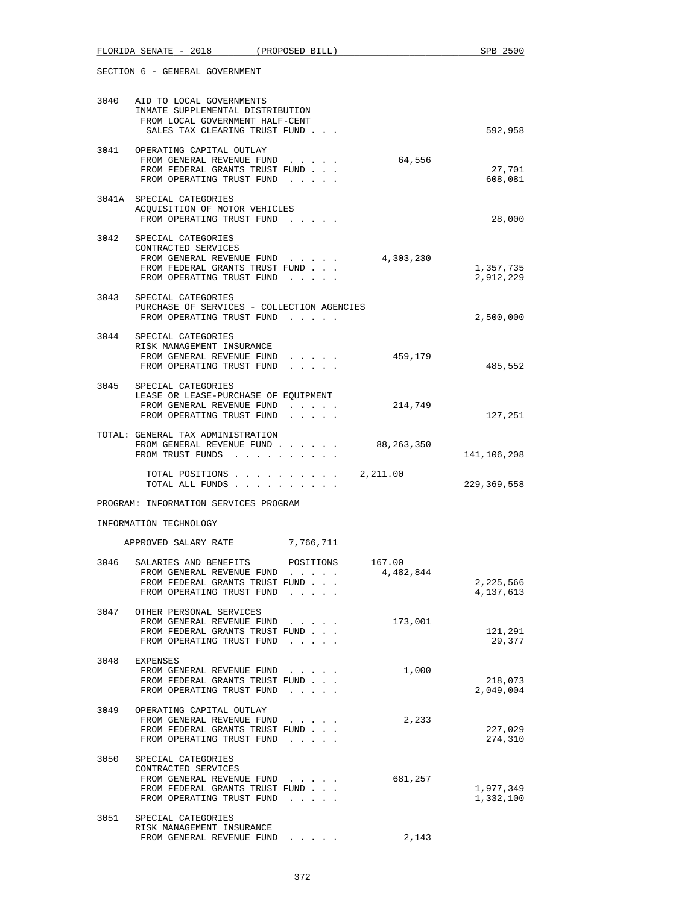|      | FLORIDA SENATE - 2018 (PROPOSED BILL)                                                                                                      |                                                                                                                                                                                                                                                           |                     | SPB 2500               |
|------|--------------------------------------------------------------------------------------------------------------------------------------------|-----------------------------------------------------------------------------------------------------------------------------------------------------------------------------------------------------------------------------------------------------------|---------------------|------------------------|
|      | SECTION 6 - GENERAL GOVERNMENT                                                                                                             |                                                                                                                                                                                                                                                           |                     |                        |
|      | 3040 AID TO LOCAL GOVERNMENTS<br>INMATE SUPPLEMENTAL DISTRIBUTION<br>FROM LOCAL GOVERNMENT HALF-CENT<br>SALES TAX CLEARING TRUST FUND      |                                                                                                                                                                                                                                                           |                     | 592,958                |
|      | 3041 OPERATING CAPITAL OUTLAY<br>FROM GENERAL REVENUE FUND<br>FROM FEDERAL GRANTS TRUST FUND<br>FROM OPERATING TRUST FUND                  | $\mathbf{r}$ and $\mathbf{r}$ and $\mathbf{r}$                                                                                                                                                                                                            | 64,556              | 27,701<br>608,081      |
|      | 3041A SPECIAL CATEGORIES<br>ACQUISITION OF MOTOR VEHICLES<br>FROM OPERATING TRUST FUND                                                     |                                                                                                                                                                                                                                                           |                     | 28,000                 |
|      | 3042 SPECIAL CATEGORIES<br>CONTRACTED SERVICES<br>FROM GENERAL REVENUE FUND<br>FROM FEDERAL GRANTS TRUST FUND<br>FROM OPERATING TRUST FUND | $\mathbf{r}$ and $\mathbf{r}$ and $\mathbf{r}$ and $\mathbf{r}$                                                                                                                                                                                           | 4,303,230           | 1,357,735<br>2,912,229 |
| 3043 | SPECIAL CATEGORIES<br>PURCHASE OF SERVICES - COLLECTION AGENCIES<br>FROM OPERATING TRUST FUND                                              |                                                                                                                                                                                                                                                           |                     | 2,500,000              |
| 3044 | SPECIAL CATEGORIES<br>RISK MANAGEMENT INSURANCE<br>FROM GENERAL REVENUE FUND<br>FROM OPERATING TRUST FUND                                  | .                                                                                                                                                                                                                                                         | 459,179             | 485,552                |
|      | 3045 SPECIAL CATEGORIES<br>LEASE OR LEASE-PURCHASE OF EQUIPMENT<br>FROM GENERAL REVENUE FUND<br>FROM OPERATING TRUST FUND                  | and a state of the state<br>.                                                                                                                                                                                                                             | 214,749             | 127,251                |
|      | TOTAL: GENERAL TAX ADMINISTRATION<br>FROM GENERAL REVENUE FUND<br>FROM TRUST FUNDS                                                         |                                                                                                                                                                                                                                                           | 88,263,350          | 141,106,208            |
|      | TOTAL POSITIONS<br>TOTAL ALL FUNDS                                                                                                         |                                                                                                                                                                                                                                                           | 2,211.00            | 229, 369, 558          |
|      | PROGRAM: INFORMATION SERVICES PROGRAM                                                                                                      |                                                                                                                                                                                                                                                           |                     |                        |
|      | INFORMATION TECHNOLOGY                                                                                                                     |                                                                                                                                                                                                                                                           |                     |                        |
|      | APPROVED SALARY RATE                                                                                                                       | 7,766,711                                                                                                                                                                                                                                                 |                     |                        |
| 3046 | SALARIES AND BENEFITS<br>FROM GENERAL REVENUE FUND<br>FROM FEDERAL GRANTS TRUST FUND<br>FROM OPERATING TRUST FUND                          | POSITIONS<br>$\mathbf{r} = \mathbf{r} + \mathbf{r} + \mathbf{r} + \mathbf{r}$                                                                                                                                                                             | 167.00<br>4,482,844 | 2,225,566<br>4,137,613 |
| 3047 | OTHER PERSONAL SERVICES<br>FROM GENERAL REVENUE FUND<br>FROM FEDERAL GRANTS TRUST FUND<br>FROM OPERATING TRUST FUND                        | $\cdots$ $\cdots$<br>and a state of the state                                                                                                                                                                                                             | 173,001             | 121,291<br>29,377      |
| 3048 | EXPENSES<br>FROM GENERAL REVENUE FUND<br>FROM FEDERAL GRANTS TRUST FUND<br>FROM OPERATING TRUST FUND                                       | and a state of the state<br>$\cdot$ $\cdot$ $\cdot$ $\cdot$ $\cdot$                                                                                                                                                                                       | 1,000               | 218,073<br>2,049,004   |
| 3049 | OPERATING CAPITAL OUTLAY<br>FROM GENERAL REVENUE FUND<br>FROM FEDERAL GRANTS TRUST FUND<br>FROM OPERATING TRUST FUND                       | and a strategic con-<br>$\mathbf{r}$ . The set of the set of the set of the set of the set of the set of the set of the set of the set of the set of the set of the set of the set of the set of the set of the set of the set of the set of the set of t | 2,233               | 227,029<br>274,310     |
| 3050 | SPECIAL CATEGORIES<br>CONTRACTED SERVICES<br>FROM GENERAL REVENUE FUND<br>FROM FEDERAL GRANTS TRUST FUND<br>FROM OPERATING TRUST FUND      | and a state of the state                                                                                                                                                                                                                                  | 681,257             | 1,977,349<br>1,332,100 |
| 3051 | SPECIAL CATEGORIES<br>RISK MANAGEMENT INSURANCE<br>FROM GENERAL REVENUE FUND                                                               |                                                                                                                                                                                                                                                           | 2,143               |                        |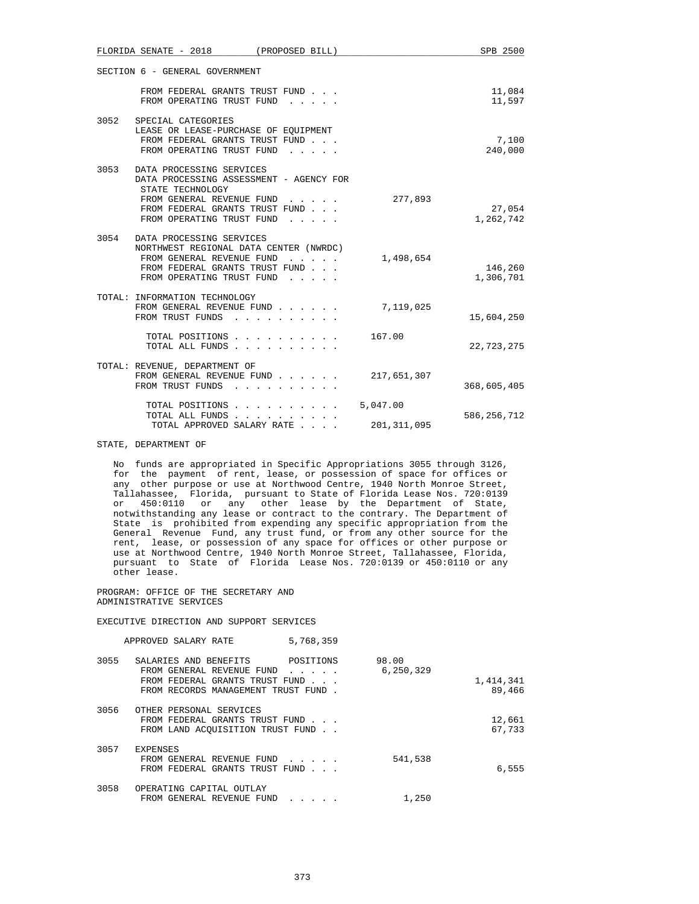|      | FLORIDA SENATE - 2018<br>(PROPOSED BILL)                                                                                                                                                                                              |                           | SPB 2500             |
|------|---------------------------------------------------------------------------------------------------------------------------------------------------------------------------------------------------------------------------------------|---------------------------|----------------------|
|      | SECTION 6 - GENERAL GOVERNMENT                                                                                                                                                                                                        |                           |                      |
|      | FROM FEDERAL GRANTS TRUST FUND<br>FROM OPERATING TRUST FUND<br>$1 - 1 - 1 - 1 = 1$                                                                                                                                                    |                           | 11,084<br>11,597     |
| 3052 | SPECIAL CATEGORIES<br>LEASE OR LEASE-PURCHASE OF EQUIPMENT<br>FROM FEDERAL GRANTS TRUST FUND<br>FROM OPERATING TRUST FUND<br>and a state of the state                                                                                 |                           | 7,100<br>240,000     |
| 3053 | DATA PROCESSING SERVICES<br>DATA PROCESSING ASSESSMENT - AGENCY FOR<br>STATE TECHNOLOGY<br>FROM GENERAL REVENUE FUND<br>FROM FEDERAL GRANTS TRUST FUND<br>FROM OPERATING TRUST FUND<br>$\mathbf{r}$ and $\mathbf{r}$ and $\mathbf{r}$ | 277,893                   | 27,054<br>1,262,742  |
| 3054 | DATA PROCESSING SERVICES<br>NORTHWEST REGIONAL DATA CENTER (NWRDC)<br>FROM GENERAL REVENUE FUND<br>FROM FEDERAL GRANTS TRUST FUND<br>FROM OPERATING TRUST FUND                                                                        | 1,498,654                 | 146,260<br>1,306,701 |
|      | TOTAL: INFORMATION TECHNOLOGY<br>FROM GENERAL REVENUE FUND<br>FROM TRUST FUNDS                                                                                                                                                        | 7,119,025                 | 15,604,250           |
|      | TOTAL POSITIONS<br>TOTAL ALL FUNDS                                                                                                                                                                                                    | 167.00                    | 22,723,275           |
|      | TOTAL: REVENUE, DEPARTMENT OF<br>FROM GENERAL REVENUE FUND<br>FROM TRUST FUNDS                                                                                                                                                        | 217,651,307               | 368,605,405          |
|      | TOTAL POSITIONS<br>TOTAL ALL FUNDS<br>TOTAL APPROVED SALARY RATE                                                                                                                                                                      | 5,047.00<br>201, 311, 095 | 586, 256, 712        |

STATE, DEPARTMENT OF

 No funds are appropriated in Specific Appropriations 3055 through 3126, for the payment of rent, lease, or possession of space for offices or any other purpose or use at Northwood Centre, 1940 North Monroe Street, Tallahassee, Florida, pursuant to State of Florida Lease Nos. 720:0139 or 450:0110 or any other lease by the Department of State, notwithstanding any lease or contract to the contrary. The Department of State is prohibited from expending any specific appropriation from the General Revenue Fund, any trust fund, or from any other source for the rent, lease, or possession of any space for offices or other purpose or use at Northwood Centre, 1940 North Monroe Street, Tallahassee, Florida, pursuant to State of Florida Lease Nos. 720:0139 or 450:0110 or any other lease.

 PROGRAM: OFFICE OF THE SECRETARY AND ADMINISTRATIVE SERVICES

EXECUTIVE DIRECTION AND SUPPORT SERVICES

|      | APPROVED SALARY RATE                                                                                                        | 5,768,359                                                                             |                    |                     |
|------|-----------------------------------------------------------------------------------------------------------------------------|---------------------------------------------------------------------------------------|--------------------|---------------------|
| 3055 | SALARIES AND BENEFITS<br>FROM GENERAL REVENUE FUND<br>FROM FEDERAL GRANTS TRUST FUND<br>FROM RECORDS MANAGEMENT TRUST FUND. | POSITIONS<br>$\mathbf{r}$ , $\mathbf{r}$ , $\mathbf{r}$ , $\mathbf{r}$ , $\mathbf{r}$ | 98.00<br>6,250,329 | 1,414,341<br>89,466 |
| 3056 | OTHER PERSONAL SERVICES<br>FROM FEDERAL GRANTS TRUST FUND<br>FROM LAND ACOUISITION TRUST FUND.                              |                                                                                       |                    | 12,661<br>67,733    |
| 3057 | <b>EXPENSES</b><br>FROM GENERAL REVENUE FUND<br>FROM FEDERAL GRANTS TRUST FUND                                              |                                                                                       | 541,538            | 6,555               |
| 3058 | OPERATING CAPITAL OUTLAY<br>FROM GENERAL REVENUE FUND                                                                       |                                                                                       | 1,250              |                     |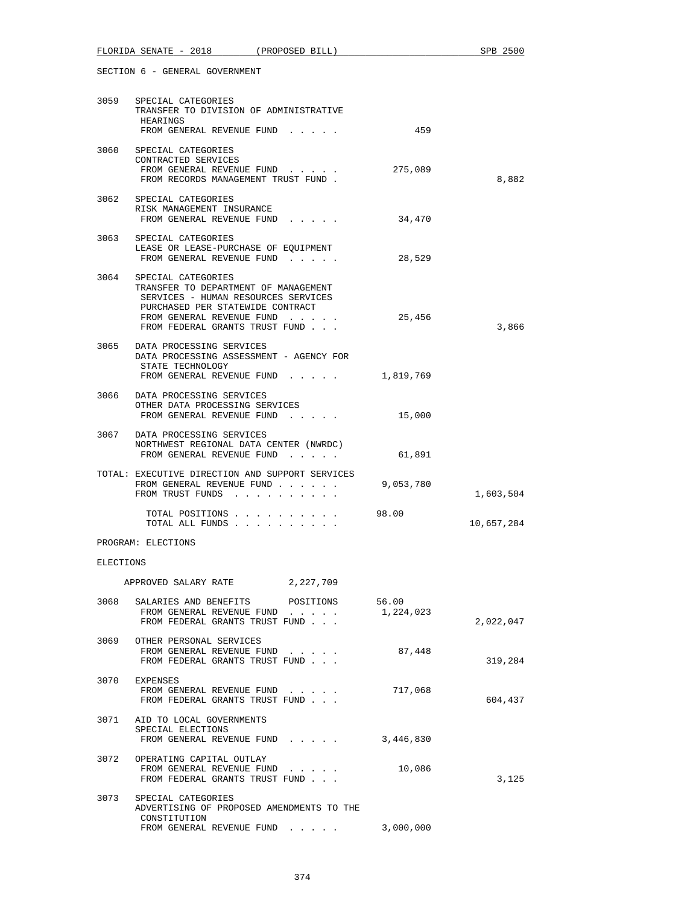|           | 3059 SPECIAL CATEGORIES<br>TRANSFER TO DIVISION OF ADMINISTRATIVE<br>HEARINGS<br>FROM GENERAL REVENUE FUND                                                                                                | 459       |            |
|-----------|-----------------------------------------------------------------------------------------------------------------------------------------------------------------------------------------------------------|-----------|------------|
|           | 3060 SPECIAL CATEGORIES<br>CONTRACTED SERVICES<br>FROM GENERAL REVENUE FUND<br>FROM RECORDS MANAGEMENT TRUST FUND.                                                                                        | 275,089   | 8,882      |
|           | 3062 SPECIAL CATEGORIES<br>RISK MANAGEMENT INSURANCE<br>FROM GENERAL REVENUE FUND                                                                                                                         | 34,470    |            |
|           | 3063 SPECIAL CATEGORIES<br>LEASE OR LEASE-PURCHASE OF EQUIPMENT<br>FROM GENERAL REVENUE FUND                                                                                                              | 28,529    |            |
|           | 3064 SPECIAL CATEGORIES<br>TRANSFER TO DEPARTMENT OF MANAGEMENT<br>SERVICES - HUMAN RESOURCES SERVICES<br>PURCHASED PER STATEWIDE CONTRACT<br>FROM GENERAL REVENUE FUND<br>FROM FEDERAL GRANTS TRUST FUND | 25,456    | 3,866      |
|           | 3065 DATA PROCESSING SERVICES<br>DATA PROCESSING ASSESSMENT - AGENCY FOR<br>STATE TECHNOLOGY<br>FROM GENERAL REVENUE FUND                                                                                 | 1,819,769 |            |
|           | 3066 DATA PROCESSING SERVICES<br>OTHER DATA PROCESSING SERVICES<br>FROM GENERAL REVENUE FUND                                                                                                              | 15,000    |            |
|           | 3067 DATA PROCESSING SERVICES<br>NORTHWEST REGIONAL DATA CENTER (NWRDC)<br>FROM GENERAL REVENUE FUND                                                                                                      | 61,891    |            |
|           | TOTAL: EXECUTIVE DIRECTION AND SUPPORT SERVICES<br>FROM GENERAL REVENUE FUND<br>FROM TRUST FUNDS                                                                                                          | 9,053,780 | 1,603,504  |
|           | TOTAL POSITIONS<br>TOTAL ALL FUNDS                                                                                                                                                                        | 98.00     | 10,657,284 |
|           | PROGRAM: ELECTIONS                                                                                                                                                                                        |           |            |
| ELECTIONS |                                                                                                                                                                                                           |           |            |
|           | APPROVED SALARY RATE<br>2,227,709                                                                                                                                                                         |           |            |
|           | 3068 SALARIES AND BENEFITS POSITIONS 56.00<br>FROM GENERAL REVENUE FUND<br>FROM FEDERAL GRANTS TRUST FUND                                                                                                 | 1,224,023 | 2,022,047  |
|           | 3069 OTHER PERSONAL SERVICES<br>FROM GENERAL REVENUE FUND<br>FROM FEDERAL GRANTS TRUST FUND                                                                                                               | 87,448    | 319,284    |
| 3070      | EXPENSES<br>FROM GENERAL REVENUE FUND<br>FROM FEDERAL GRANTS TRUST FUND                                                                                                                                   | 717,068   | 604,437    |
|           | 3071 AID TO LOCAL GOVERNMENTS<br>SPECIAL ELECTIONS<br>FROM GENERAL REVENUE FUND                                                                                                                           | 3,446,830 |            |
|           | 3072 OPERATING CAPITAL OUTLAY<br>FROM GENERAL REVENUE FUND<br>FROM FEDERAL GRANTS TRUST FUND                                                                                                              | 10,086    | 3,125      |
|           | 3073 SPECIAL CATEGORIES<br>ADVERTISING OF PROPOSED AMENDMENTS TO THE<br>CONSTITUTION<br>FROM GENERAL REVENUE FUND                                                                                         | 3,000,000 |            |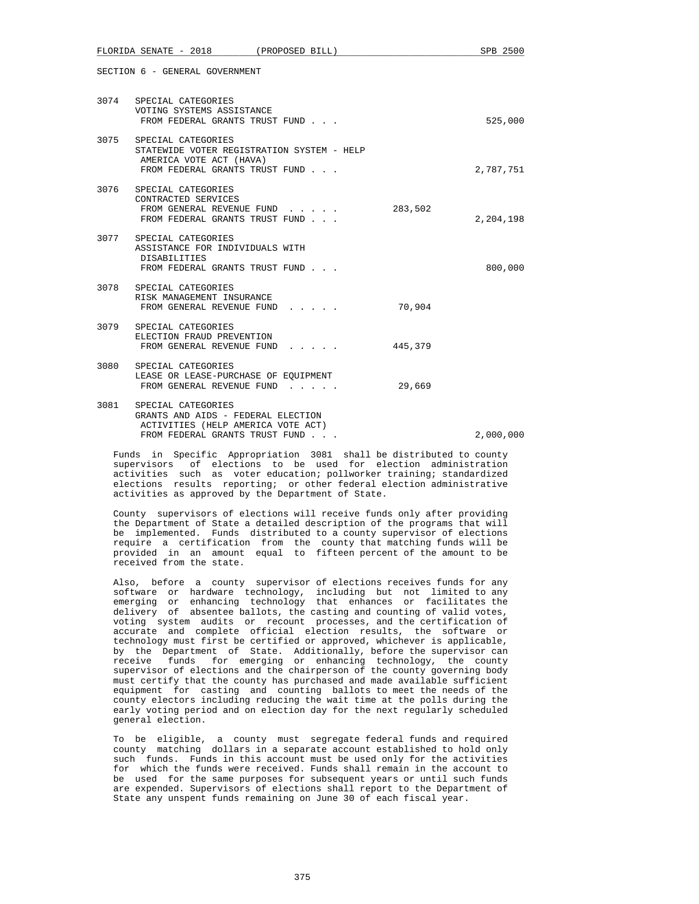|      | FLORIDA SENATE - 2018                                                                                                              | (PROPOSED BILL) |         | SPB 2500  |
|------|------------------------------------------------------------------------------------------------------------------------------------|-----------------|---------|-----------|
|      | SECTION 6 - GENERAL GOVERNMENT                                                                                                     |                 |         |           |
|      | 3074 SPECIAL CATEGORIES<br>VOTING SYSTEMS ASSISTANCE<br>FROM FEDERAL GRANTS TRUST FUND                                             |                 |         | 525,000   |
|      | 3075 SPECIAL CATEGORIES<br>STATEWIDE VOTER REGISTRATION SYSTEM - HELP<br>AMERICA VOTE ACT (HAVA)<br>FROM FEDERAL GRANTS TRUST FUND |                 |         | 2,787,751 |
| 3076 | SPECIAL CATEGORIES<br>CONTRACTED SERVICES<br>FROM GENERAL REVENUE FUND<br>FROM FEDERAL GRANTS TRUST FUND                           |                 | 283,502 | 2,204,198 |
|      | 3077 SPECIAL CATEGORIES<br>ASSISTANCE FOR INDIVIDUALS WITH<br><b>DISABILITIES</b><br>FROM FEDERAL GRANTS TRUST FUND                |                 |         | 800,000   |
|      | 3078 SPECIAL CATEGORIES<br>RISK MANAGEMENT INSURANCE<br>FROM GENERAL REVENUE FUND                                                  |                 | 70,904  |           |
|      | 3079 SPECIAL CATEGORIES<br>ELECTION FRAUD PREVENTION<br>FROM GENERAL REVENUE FUND                                                  |                 | 445,379 |           |
|      | 3080 SPECIAL CATEGORIES<br>LEASE OR LEASE-PURCHASE OF EOUIPMENT<br>FROM GENERAL REVENUE FUND                                       |                 | 29,669  |           |
| 3081 | SPECIAL CATEGORIES<br>GRANTS AND AIDS - FEDERAL ELECTION<br>ACTIVITIES (HELP AMERICA VOTE ACT)<br>FROM FEDERAL GRANTS TRUST FUND   |                 |         | 2,000,000 |
|      |                                                                                                                                    |                 |         |           |

 Funds in Specific Appropriation 3081 shall be distributed to county supervisors of elections to be used for election administration activities such as voter education; pollworker training; standardized elections results reporting; or other federal election administrative activities as approved by the Department of State.

 County supervisors of elections will receive funds only after providing the Department of State a detailed description of the programs that will be implemented. Funds distributed to a county supervisor of elections require a certification from the county that matching funds will be provided in an amount equal to fifteen percent of the amount to be received from the state.

 Also, before a county supervisor of elections receives funds for any software or hardware technology, including but not limited to any emerging or enhancing technology that enhances or facilitates the delivery of absentee ballots, the casting and counting of valid votes, voting system audits or recount processes, and the certification of accurate and complete official election results, the software or technology must first be certified or approved, whichever is applicable, by the Department of State. Additionally, before the supervisor can receive funds for emerging or enhancing technology, the county supervisor of elections and the chairperson of the county governing body must certify that the county has purchased and made available sufficient equipment for casting and counting ballots to meet the needs of the county electors including reducing the wait time at the polls during the early voting period and on election day for the next regularly scheduled general election.

 To be eligible, a county must segregate federal funds and required county matching dollars in a separate account established to hold only such funds. Funds in this account must be used only for the activities for which the funds were received. Funds shall remain in the account to be used for the same purposes for subsequent years or until such funds are expended. Supervisors of elections shall report to the Department of State any unspent funds remaining on June 30 of each fiscal year.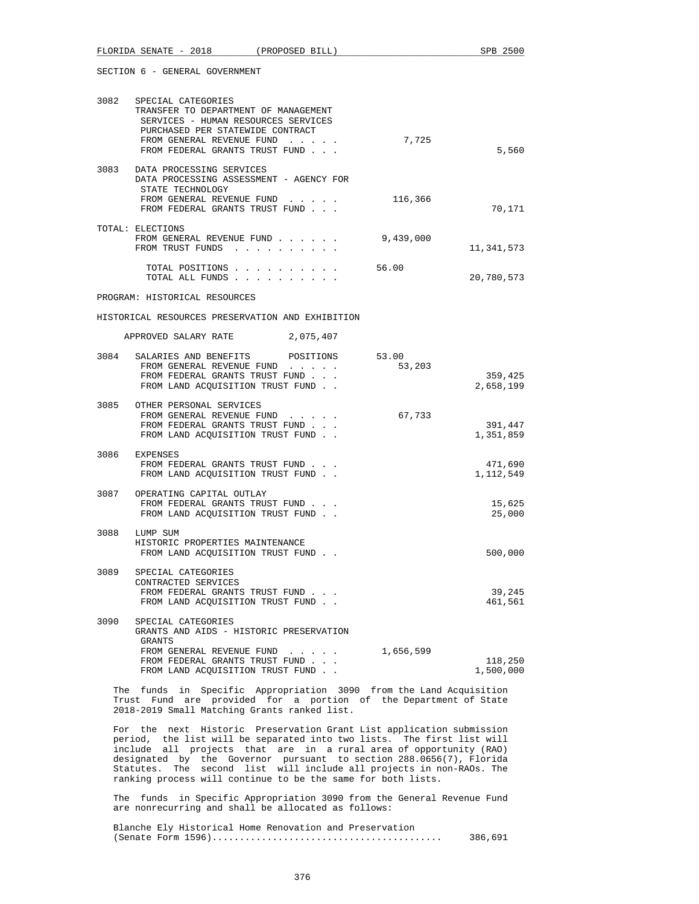| SECTION 6 - GENERAL GOVERNMENT |
|--------------------------------|
|                                |

| 3082 | SPECIAL CATEGORIES<br>TRANSFER TO DEPARTMENT OF MANAGEMENT<br>SERVICES - HUMAN RESOURCES SERVICES<br>PURCHASED PER STATEWIDE CONTRACT<br>FROM GENERAL REVENUE FUND<br>FROM FEDERAL GRANTS TRUST FUND | 7,725     | 5,560      |
|------|------------------------------------------------------------------------------------------------------------------------------------------------------------------------------------------------------|-----------|------------|
| 3083 | DATA PROCESSING SERVICES<br>DATA PROCESSING ASSESSMENT - AGENCY FOR                                                                                                                                  |           |            |
|      | STATE TECHNOLOGY<br>FROM GENERAL REVENUE FUND<br>FROM FEDERAL GRANTS TRUST FUND                                                                                                                      | 116,366   | 70,171     |
|      | TOTAL: ELECTIONS<br>FROM GENERAL REVENUE FUND<br>the contract of the contract of the<br>FROM TRUST FUNDS                                                                                             | 9,439,000 | 11,341,573 |
|      | TOTAL POSITIONS<br>TOTAL ALL FUNDS                                                                                                                                                                   | 56.00     | 20,780,573 |

#### PROGRAM: HISTORICAL RESOURCES

HISTORICAL RESOURCES PRESERVATION AND EXHIBITION

| APPROVED SALARY RATE | 2,075,407 |  |
|----------------------|-----------|--|
|----------------------|-----------|--|

|      | 3084 SALARIES AND BENEFITS POSITIONS 53.00<br>FROM GENERAL REVENUE FUND<br>FROM FEDERAL GRANTS TRUST FUND<br>FROM LAND ACOUISITION TRUST FUND. | 53,203 | 359,425<br>2,658,199 |
|------|------------------------------------------------------------------------------------------------------------------------------------------------|--------|----------------------|
|      | 3085 OTHER PERSONAL SERVICES<br>FROM GENERAL REVENUE FUND<br>FROM FEDERAL GRANTS TRUST FUND<br>FROM LAND ACOUISITION TRUST FUND.               | 67,733 | 391,447<br>1,351,859 |
| 3086 | EXPENSES<br>FROM FEDERAL GRANTS TRUST FUND<br>FROM LAND ACOUISITION TRUST FUND.                                                                |        | 471,690<br>1,112,549 |
|      | 3087 OPERATING CAPITAL OUTLAY<br>FROM FEDERAL GRANTS TRUST FUND<br>FROM LAND ACOUISITION TRUST FUND.                                           |        | 15,625<br>25,000     |
| 3088 | LUMP SUM<br>HISTORIC PROPERTIES MAINTENANCE<br>FROM LAND ACOUISITION TRUST FUND.                                                               |        | 500,000              |
| 3089 | SPECIAL CATEGORIES<br>CONTRACTED SERVICES<br>FROM FEDERAL GRANTS TRUST FUND<br>FROM LAND ACOUISITION TRUST FUND                                |        | 39,245<br>461,561    |
| 3090 | SPECIAL CATEGORIES                                                                                                                             |        |                      |

| GRANTS AND AIDS - HISTORIC PRESERVATION |           |
|-----------------------------------------|-----------|
| GRANTS                                  |           |
| FROM GENERAL REVENUE FUND               | 1,656,599 |
| FROM FEDERAL GRANTS TRUST FUND          | 118,250   |
| FROM LAND ACOUISITION TRUST FUND        | 1,500,000 |

 The funds in Specific Appropriation 3090 from the Land Acquisition Trust Fund are provided for a portion of the Department of State 2018-2019 Small Matching Grants ranked list.

 For the next Historic Preservation Grant List application submission period, the list will be separated into two lists. The first list will include all projects that are in a rural area of opportunity (RAO) designated by the Governor pursuant to section 288.0656(7), Florida Statutes. The second list will include all projects in non-RAOs. The ranking process will continue to be the same for both lists.

 The funds in Specific Appropriation 3090 from the General Revenue Fund are nonrecurring and shall be allocated as follows:

 Blanche Ely Historical Home Renovation and Preservation (Senate Form 1596).......................................... 386,691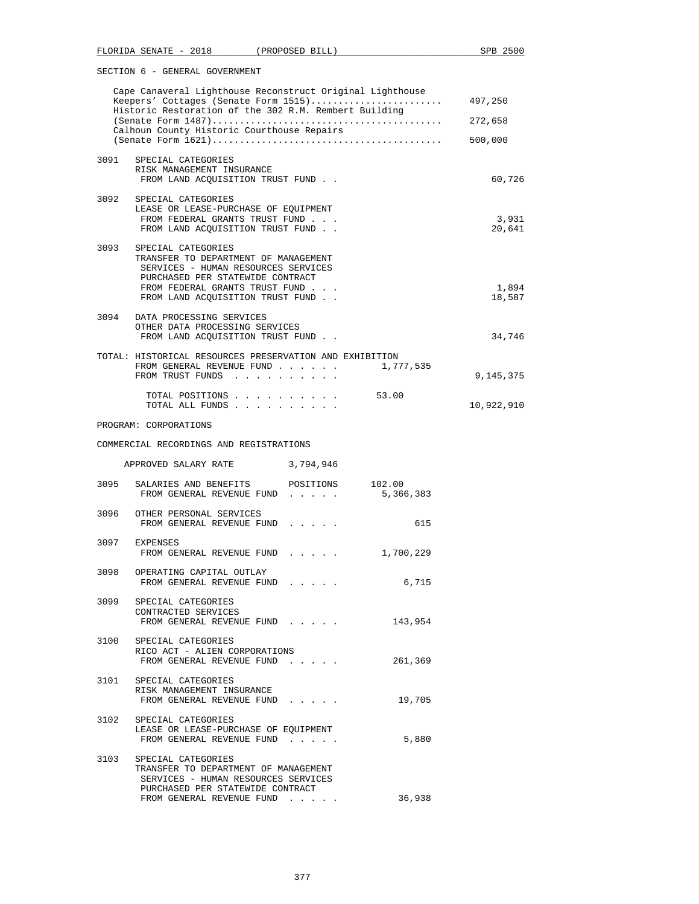|      | Cape Canaveral Lighthouse Reconstruct Original Lighthouse<br>Keepers' Cottages (Senate Form 1515)<br>Historic Restoration of the 302 R.M. Rembert Building                                                   | 497,250         |
|------|--------------------------------------------------------------------------------------------------------------------------------------------------------------------------------------------------------------|-----------------|
|      |                                                                                                                                                                                                              | 272,658         |
|      | Calhoun County Historic Courthouse Repairs                                                                                                                                                                   | 500,000         |
|      | 3091 SPECIAL CATEGORIES                                                                                                                                                                                      |                 |
|      | RISK MANAGEMENT INSURANCE<br>FROM LAND ACOUISITION TRUST FUND.                                                                                                                                               | 60,726          |
|      | 3092 SPECIAL CATEGORIES<br>LEASE OR LEASE-PURCHASE OF EOUIPMENT<br>FROM FEDERAL GRANTS TRUST FUND                                                                                                            | 3,931           |
|      | FROM LAND ACQUISITION TRUST FUND                                                                                                                                                                             | 20,641          |
| 3093 | SPECIAL CATEGORIES<br>TRANSFER TO DEPARTMENT OF MANAGEMENT<br>SERVICES - HUMAN RESOURCES SERVICES<br>PURCHASED PER STATEWIDE CONTRACT<br>FROM FEDERAL GRANTS TRUST FUND<br>FROM LAND ACOUISITION TRUST FUND. | 1,894<br>18,587 |
|      | 3094 DATA PROCESSING SERVICES<br>OTHER DATA PROCESSING SERVICES<br>FROM LAND ACQUISITION TRUST FUND                                                                                                          | 34,746          |
|      | TOTAL: HISTORICAL RESOURCES PRESERVATION AND EXHIBITION<br>1,777,535<br>FROM GENERAL REVENUE FUND<br>FROM TRUST FUNDS                                                                                        | 9,145,375       |
|      | TOTAL POSITIONS 53.00<br>TOTAL ALL FUNDS                                                                                                                                                                     | 10,922,910      |
|      | PROGRAM: CORPORATIONS                                                                                                                                                                                        |                 |

# COMMERCIAL RECORDINGS AND REGISTRATIONS

|      | APPROVED SALARY RATE                                                                                                                  | 3,794,946                                                                                                                                                                                                                            |           |
|------|---------------------------------------------------------------------------------------------------------------------------------------|--------------------------------------------------------------------------------------------------------------------------------------------------------------------------------------------------------------------------------------|-----------|
|      | 3095 SALARIES AND BENEFITS POSITIONS 102.00<br>FROM GENERAL REVENUE FUND                                                              | $\mathbf{r}$ . The set of the set of the set of the set of the set of the set of the set of the set of the set of the set of the set of the set of the set of the set of the set of the set of the set of the set of the set of t    | 5,366,383 |
|      | 3096 OTHER PERSONAL SERVICES<br>FROM GENERAL REVENUE FUND                                                                             | and a state of the                                                                                                                                                                                                                   | 615       |
|      | 3097 EXPENSES<br>FROM GENERAL REVENUE FUND                                                                                            | $\mathbf{r}$ . The set of the set of the set of the set of the set of the set of the set of the set of the set of the set of the set of the set of the set of the set of the set of the set of the set of the set of the set of t    | 1,700,229 |
|      | 3098 OPERATING CAPITAL OUTLAY<br>FROM GENERAL REVENUE FUND                                                                            | <b>Provident Contract Contract Contract Contract Contract Contract Contract Contract Contract Contract Contract Contract Contract Contract Contract Contract Contract Contract Contract Contract Contract Contract Contract Cont</b> | 6,715     |
| 3099 | SPECIAL CATEGORIES<br>CONTRACTED SERVICES<br>FROM GENERAL REVENUE FUND                                                                |                                                                                                                                                                                                                                      | 143,954   |
|      | 3100 SPECIAL CATEGORIES<br>RICO ACT - ALIEN CORPORATIONS<br>FROM GENERAL REVENUE FUND                                                 |                                                                                                                                                                                                                                      | 261,369   |
|      | 3101 SPECIAL CATEGORIES<br>RISK MANAGEMENT INSURANCE<br>FROM GENERAL REVENUE FUND                                                     | $\mathbf{r}$ and $\mathbf{r}$ and $\mathbf{r}$ and $\mathbf{r}$                                                                                                                                                                      | 19,705    |
|      | 3102 SPECIAL CATEGORIES<br>LEASE OR LEASE-PURCHASE OF EOUIPMENT<br>FROM GENERAL REVENUE FUND                                          |                                                                                                                                                                                                                                      | 5,880     |
| 3103 | SPECIAL CATEGORIES<br>TRANSFER TO DEPARTMENT OF MANAGEMENT<br>SERVICES - HUMAN RESOURCES SERVICES<br>PURCHASED PER STATEWIDE CONTRACT |                                                                                                                                                                                                                                      | 36,938    |
|      | FROM GENERAL REVENUE FUND                                                                                                             | .                                                                                                                                                                                                                                    |           |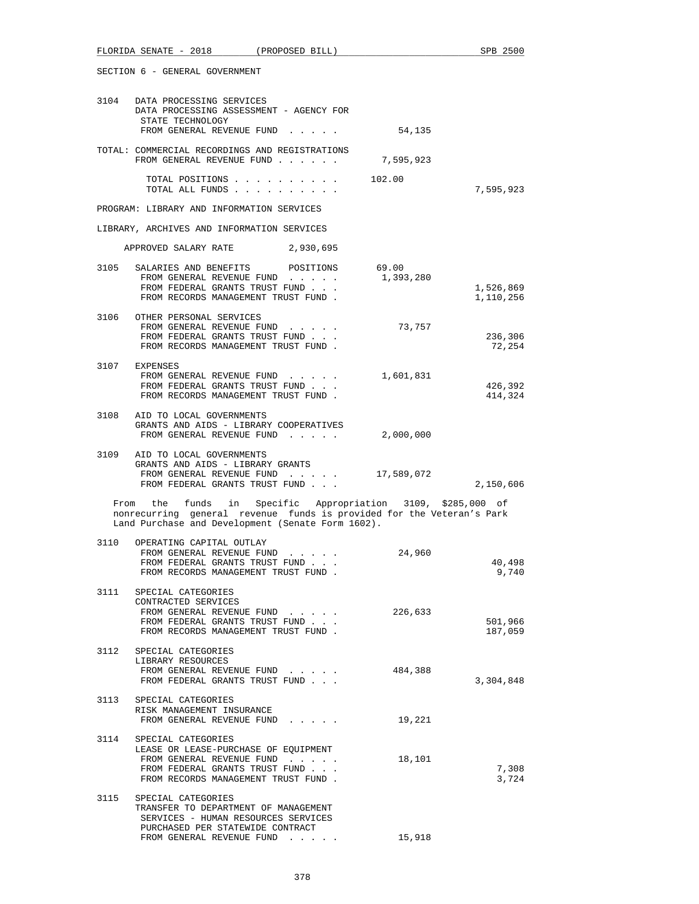|      | SECTION 6 - GENERAL GOVERNMENT                                                                                                                                                            |                    |                        |
|------|-------------------------------------------------------------------------------------------------------------------------------------------------------------------------------------------|--------------------|------------------------|
|      | 3104 DATA PROCESSING SERVICES<br>DATA PROCESSING ASSESSMENT - AGENCY FOR<br>STATE TECHNOLOGY                                                                                              |                    |                        |
|      | FROM GENERAL REVENUE FUND                                                                                                                                                                 | 54,135             |                        |
|      | TOTAL: COMMERCIAL RECORDINGS AND REGISTRATIONS<br>FROM GENERAL REVENUE FUND                                                                                                               | 7,595,923          |                        |
|      | TOTAL POSITIONS<br>TOTAL ALL FUNDS                                                                                                                                                        | 102.00             | 7,595,923              |
|      | PROGRAM: LIBRARY AND INFORMATION SERVICES                                                                                                                                                 |                    |                        |
|      | LIBRARY, ARCHIVES AND INFORMATION SERVICES                                                                                                                                                |                    |                        |
|      | APPROVED SALARY RATE 2,930,695                                                                                                                                                            |                    |                        |
|      | 3105 SALARIES AND BENEFITS POSITIONS<br>FROM GENERAL REVENUE FUND<br>FROM FEDERAL GRANTS TRUST FUND<br>FROM RECORDS MANAGEMENT TRUST FUND.                                                | 69.00<br>1,393,280 | 1,526,869<br>1,110,256 |
|      | 3106 OTHER PERSONAL SERVICES<br>FROM GENERAL REVENUE FUND<br>FROM FEDERAL GRANTS TRUST FUND<br>FROM RECORDS MANAGEMENT TRUST FUND.                                                        | 73,757             | 236,306<br>72,254      |
|      | 3107 EXPENSES<br>FROM GENERAL REVENUE FUND<br>FROM FEDERAL GRANTS TRUST FUND<br>FROM RECORDS MANAGEMENT TRUST FUND.                                                                       | 1,601,831          | 426,392<br>414,324     |
|      | 3108 AID TO LOCAL GOVERNMENTS<br>GRANTS AND AIDS - LIBRARY COOPERATIVES<br>FROM GENERAL REVENUE FUND                                                                                      | 2,000,000          |                        |
|      | 3109 AID TO LOCAL GOVERNMENTS<br>GRANTS AND AIDS - LIBRARY GRANTS<br>FROM GENERAL REVENUE FUND<br>FROM FEDERAL GRANTS TRUST FUND                                                          | 17,589,072         | 2,150,606              |
|      | From the funds in Specific Appropriation 3109, \$285,000 of<br>nonrecurring general revenue funds is provided for the Veteran's Park<br>Land Purchase and Development (Senate Form 1602). |                    |                        |
| 3110 | OPERATING CAPITAL OUTLAY<br>FROM GENERAL REVENUE FUND<br>FROM FEDERAL GRANTS TRUST FUND<br>FROM RECORDS MANAGEMENT TRUST FUND                                                             | 24,960             | 40,498<br>9,740        |
|      | 3111 SPECIAL CATEGORIES<br>CONTRACTED SERVICES<br>FROM GENERAL REVENUE FUND<br>FROM FEDERAL GRANTS TRUST FUND<br>FROM RECORDS MANAGEMENT TRUST FUND.                                      | 226,633            | 501,966<br>187,059     |
| 3112 | SPECIAL CATEGORIES<br>LIBRARY RESOURCES<br>FROM GENERAL REVENUE FUND<br>FROM FEDERAL GRANTS TRUST FUND                                                                                    | 484,388            | 3,304,848              |
|      | 3113 SPECIAL CATEGORIES<br>RISK MANAGEMENT INSURANCE<br>FROM GENERAL REVENUE FUND                                                                                                         | 19,221             |                        |
| 3114 | SPECIAL CATEGORIES<br>LEASE OR LEASE-PURCHASE OF EQUIPMENT<br>FROM GENERAL REVENUE FUND<br>FROM FEDERAL GRANTS TRUST FUND<br>FROM RECORDS MANAGEMENT TRUST FUND.                          | 18,101             | 7,308<br>3,724         |
|      | 3115 SPECIAL CATEGORIES<br>TRANSFER TO DEPARTMENT OF MANAGEMENT<br>SERVICES - HUMAN RESOURCES SERVICES<br>PURCHASED PER STATEWIDE CONTRACT<br>FROM GENERAL REVENUE FUND                   | 15,918             |                        |

FLORIDA SENATE - 2018 (PROPOSED BILL) SPB 2500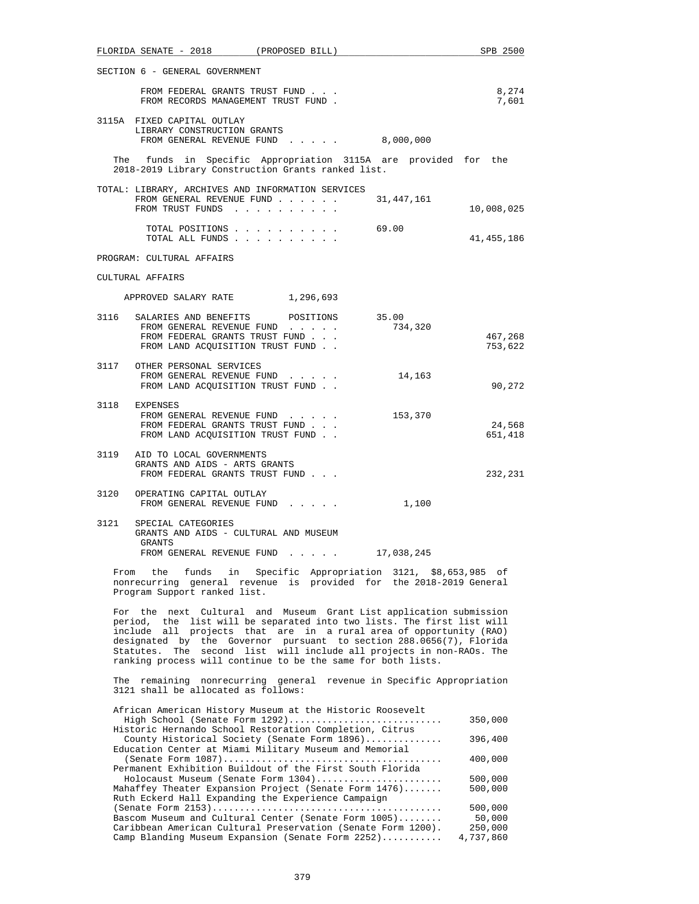|      | FLORIDA SENATE - 2018                                          | (PROPOSED BILL)                                                                                                                          |                  | SPB 2500           |
|------|----------------------------------------------------------------|------------------------------------------------------------------------------------------------------------------------------------------|------------------|--------------------|
|      | SECTION 6 - GENERAL GOVERNMENT                                 |                                                                                                                                          |                  |                    |
|      |                                                                | FROM FEDERAL GRANTS TRUST FUND<br>FROM RECORDS MANAGEMENT TRUST FUND.                                                                    |                  | 8,274<br>7,601     |
|      | 3115A FIXED CAPITAL OUTLAY<br>LIBRARY CONSTRUCTION GRANTS      | FROM GENERAL REVENUE FUND 8,000,000                                                                                                      |                  |                    |
|      |                                                                | The funds in Specific Appropriation 3115A are provided for the<br>2018-2019 Library Construction Grants ranked list.                     |                  |                    |
|      | FROM TRUST FUNDS                                               | TOTAL: LIBRARY, ARCHIVES AND INFORMATION SERVICES<br>FROM GENERAL REVENUE FUND                                                           | 31,447,161       | 10,008,025         |
|      |                                                                | TOTAL POSITIONS<br>TOTAL ALL FUNDS                                                                                                       | 69.00            | 41, 455, 186       |
|      | PROGRAM: CULTURAL AFFAIRS                                      |                                                                                                                                          |                  |                    |
|      | CULTURAL AFFAIRS                                               |                                                                                                                                          |                  |                    |
|      | APPROVED SALARY RATE                                           | 1,296,693                                                                                                                                |                  |                    |
|      |                                                                | 3116 SALARIES AND BENEFITS POSITIONS<br>FROM GENERAL REVENUE FUND<br>FROM FEDERAL GRANTS TRUST FUND<br>FROM LAND ACQUISITION TRUST FUND. | 35.00<br>734,320 | 467,268<br>753,622 |
|      | 3117 OTHER PERSONAL SERVICES                                   | FROM GENERAL REVENUE FUND<br>FROM LAND ACQUISITION TRUST FUND                                                                            | 14,163           | 90,272             |
|      | 3118 EXPENSES                                                  | FROM GENERAL REVENUE FUND<br>FROM FEDERAL GRANTS TRUST FUND<br>FROM LAND ACQUISITION TRUST FUND                                          | 153,370          | 24,568<br>651,418  |
|      | 3119 AID TO LOCAL GOVERNMENTS<br>GRANTS AND AIDS - ARTS GRANTS | FROM FEDERAL GRANTS TRUST FUND                                                                                                           |                  | 232,231            |
|      | 3120 OPERATING CAPITAL OUTLAY                                  | FROM GENERAL REVENUE FUND                                                                                                                | 1,100            |                    |
| 3121 | SPECIAL CATEGORIES<br>GRANTS                                   | GRANTS AND AIDS - CULTURAL AND MUSEUM<br>FROM GENERAL REVENUE FUND 17,038,245                                                            |                  |                    |
|      |                                                                | From the funds in Specific Appropriation 3121, \$8,653,985 of<br>nonrecurring general revenue is provided for the 2018-2019 General      |                  |                    |

 For the next Cultural and Museum Grant List application submission period, the list will be separated into two lists. The first list will include all projects that are in a rural area of opportunity (RAO) designated by the Governor pursuant to section 288.0656(7), Florida Statutes. The second list will include all projects in non-RAOs. The ranking process will continue to be the same for both lists.

Program Support ranked list.

 The remaining nonrecurring general revenue in Specific Appropriation 3121 shall be allocated as follows:

| African American History Museum at the Historic Roosevelt    |           |
|--------------------------------------------------------------|-----------|
| High School (Senate Form 1292)                               | 350,000   |
| Historic Hernando School Restoration Completion, Citrus      |           |
| County Historical Society (Senate Form 1896)                 | 396,400   |
| Education Center at Miami Military Museum and Memorial       |           |
|                                                              | 400,000   |
| Permanent Exhibition Buildout of the First South Florida     |           |
| Holocaust Museum (Senate Form 1304)                          | 500,000   |
| Mahaffey Theater Expansion Project (Senate Form 1476)        | 500,000   |
| Ruth Eckerd Hall Expanding the Experience Campaign           |           |
|                                                              | 500,000   |
| Bascom Museum and Cultural Center (Senate Form 1005)         | 50,000    |
| Caribbean American Cultural Preservation (Senate Form 1200). | 250,000   |
| Camp Blanding Museum Expansion (Senate Form 2252)            | 4,737,860 |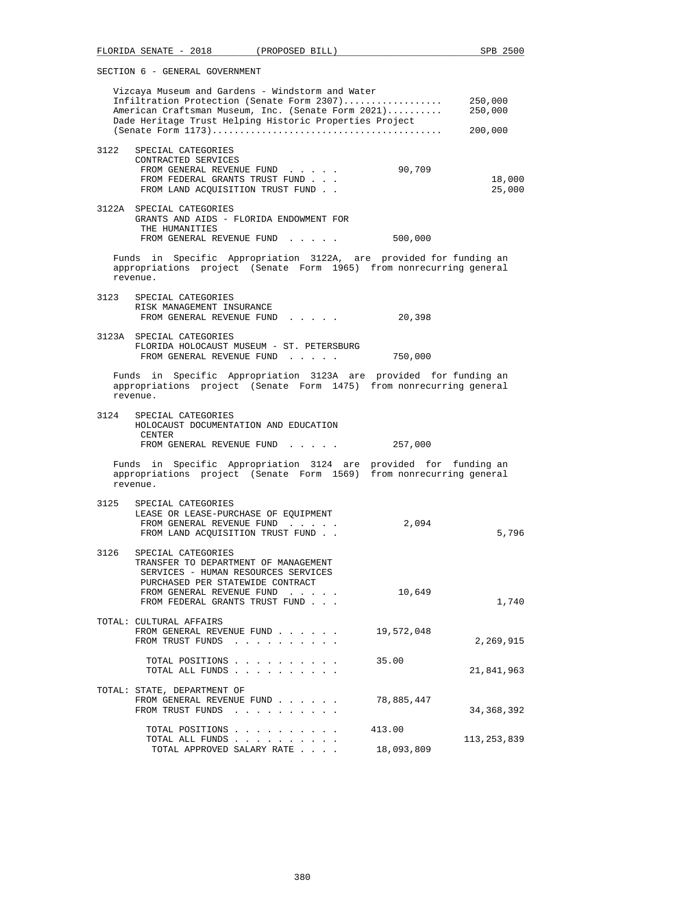| FLORIDA SENATE - 2018 (PROPOSED BILL)                                                                                                                                                                                                                        | SPB 2500                      |
|--------------------------------------------------------------------------------------------------------------------------------------------------------------------------------------------------------------------------------------------------------------|-------------------------------|
| SECTION 6 - GENERAL GOVERNMENT                                                                                                                                                                                                                               |                               |
| Vizcaya Museum and Gardens - Windstorm and Water<br>Infiltration Protection (Senate Form 2307)<br>American Craftsman Museum, Inc. (Senate Form 2021)<br>Dade Heritage Trust Helping Historic Properties Project                                              | 250,000<br>250,000<br>200,000 |
| 3122<br>SPECIAL CATEGORIES<br>CONTRACTED SERVICES<br>90,709<br>FROM GENERAL REVENUE FUND<br>FROM FEDERAL GRANTS TRUST FUND<br>FROM LAND ACQUISITION TRUST FUND.                                                                                              | 18,000<br>25,000              |
| 3122A SPECIAL CATEGORIES<br>GRANTS AND AIDS - FLORIDA ENDOWMENT FOR<br>THE HUMANITIES<br>FROM GENERAL REVENUE FUND<br>500,000                                                                                                                                |                               |
| Funds in Specific Appropriation 3122A, are provided for funding an<br>appropriations project (Senate Form 1965) from nonrecurring general<br>revenue.                                                                                                        |                               |
| 3123<br>SPECIAL CATEGORIES<br>RISK MANAGEMENT INSURANCE<br>FROM GENERAL REVENUE FUND<br>20,398                                                                                                                                                               |                               |
| 3123A SPECIAL CATEGORIES<br>FLORIDA HOLOCAUST MUSEUM - ST. PETERSBURG<br>FROM GENERAL REVENUE FUND<br>750,000                                                                                                                                                |                               |
| Funds in Specific Appropriation 3123A are provided for funding an<br>appropriations project (Senate Form 1475) from nonrecurring general<br>revenue.                                                                                                         |                               |
| 3124<br>SPECIAL CATEGORIES<br>HOLOCAUST DOCUMENTATION AND EDUCATION<br>CENTER<br>FROM GENERAL REVENUE FUND<br>257,000                                                                                                                                        |                               |
| Funds in Specific Appropriation 3124 are provided for funding an<br>appropriations project (Senate Form 1569) from nonrecurring general<br>revenue.                                                                                                          |                               |
| 3125<br>SPECIAL CATEGORIES<br>LEASE OR LEASE-PURCHASE OF EOUIPMENT<br>FROM GENERAL REVENUE FUND<br>2,094<br>FROM LAND ACQUISITION TRUST FUND                                                                                                                 | 5,796                         |
| SPECIAL CATEGORIES<br>3126<br>TRANSFER TO DEPARTMENT OF MANAGEMENT<br>SERVICES - HUMAN RESOURCES SERVICES<br>PURCHASED PER STATEWIDE CONTRACT<br>FROM GENERAL REVENUE FUND<br>10,649<br>$\sim$ $\sim$ $\sim$ $\sim$ $\sim$<br>FROM FEDERAL GRANTS TRUST FUND | 1,740                         |
| TOTAL: CULTURAL AFFAIRS<br>FROM GENERAL REVENUE FUND<br>19,572,048<br>FROM TRUST FUNDS                                                                                                                                                                       | 2,269,915                     |
| TOTAL POSITIONS<br>35.00<br>TOTAL ALL FUNDS                                                                                                                                                                                                                  | 21,841,963                    |
| TOTAL: STATE, DEPARTMENT OF<br>FROM GENERAL REVENUE FUND<br>78,885,447<br>FROM TRUST FUNDS                                                                                                                                                                   | 34,368,392                    |
| TOTAL POSITIONS<br>413.00<br>TOTAL ALL FUNDS<br>18,093,809<br>TOTAL APPROVED SALARY RATE                                                                                                                                                                     | 113,253,839                   |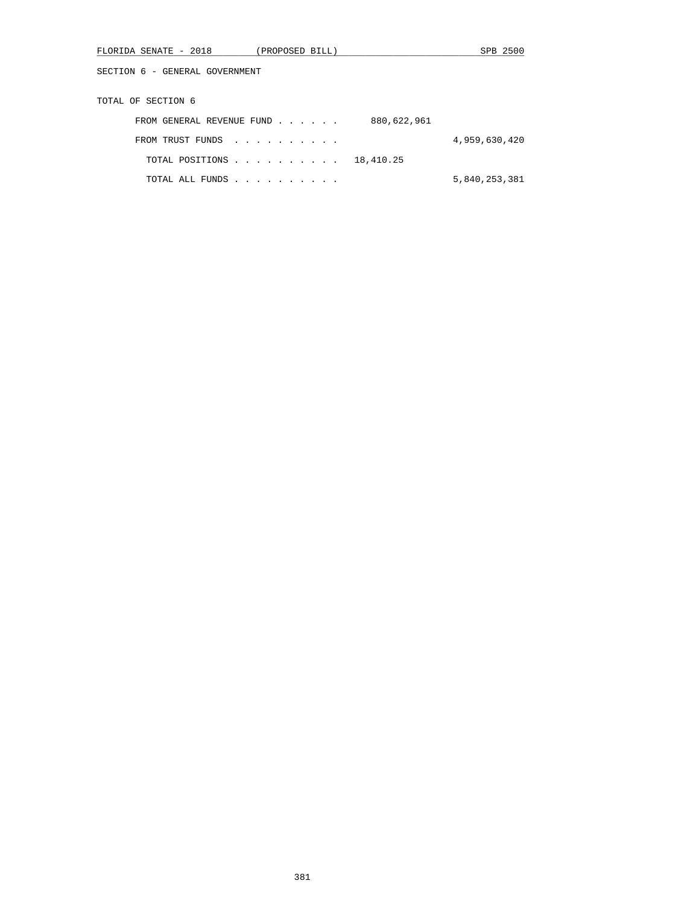|  | FLORIDA<br>. SENATE<br>$\overline{\phantom{0}}$ | າດ10<br>40 I 8 | PROPOSED<br>BILL. | <b>SPB</b> | 2500 |
|--|-------------------------------------------------|----------------|-------------------|------------|------|
|--|-------------------------------------------------|----------------|-------------------|------------|------|

TOTAL OF SECTION 6

| 880,622,961<br>FROM GENERAL REVENUE FUND |               |
|------------------------------------------|---------------|
| FROM TRUST FUNDS                         | 4,959,630,420 |
| TOTAL POSITIONS 18,410.25                |               |
| TOTAL ALL FUNDS                          | 5,840,253,381 |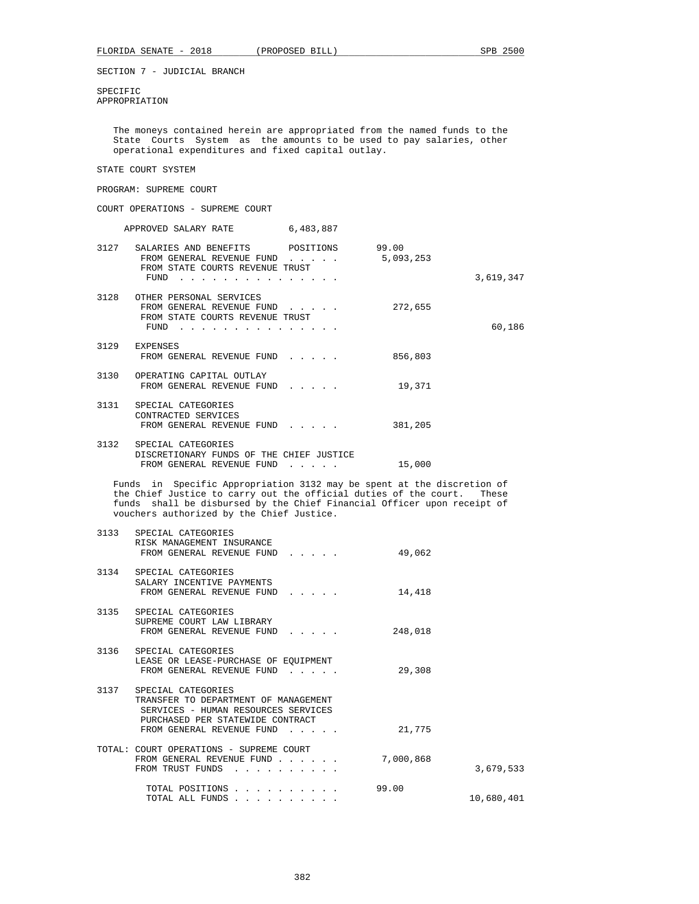SPECIFIC APPROPRIATION

> The moneys contained herein are appropriated from the named funds to the State Courts System as the amounts to be used to pay salaries, other operational expenditures and fixed capital outlay.

# STATE COURT SYSTEM

## PROGRAM: SUPREME COURT

COURT OPERATIONS - SUPREME COURT

|      | APPROVED SALARY RATE                                                                                         | 6,483,887                                      |                    |           |
|------|--------------------------------------------------------------------------------------------------------------|------------------------------------------------|--------------------|-----------|
|      | 3127 SALARIES AND BENEFITS POSITIONS<br>FROM GENERAL REVENUE FUND<br>FROM STATE COURTS REVENUE TRUST<br>FUND | $\mathbf{r}$ and $\mathbf{r}$ and $\mathbf{r}$ | 99.00<br>5,093,253 | 3,619,347 |
| 3128 | OTHER PERSONAL SERVICES<br>FROM GENERAL REVENUE FUND<br>FROM STATE COURTS REVENUE TRUST<br>FUND              |                                                | 272,655            | 60,186    |
|      | 3129 EXPENSES<br>FROM GENERAL REVENUE FUND                                                                   |                                                | 856,803            |           |
| 3130 | OPERATING CAPITAL OUTLAY<br>FROM GENERAL REVENUE FUND                                                        | $1 - 1 - 1 - 1 = 1$                            | 19,371             |           |
|      | 3131 SPECIAL CATEGORIES<br>CONTRACTED SERVICES<br>FROM GENERAL REVENUE FUND                                  |                                                | 381,205            |           |
| 3132 | SPECIAL CATEGORIES<br>DISCRETIONARY FUNDS OF THE CHIEF JUSTICE<br>FROM GENERAL REVENUE FUND                  |                                                | 15,000             |           |

 Funds in Specific Appropriation 3132 may be spent at the discretion of the Chief Justice to carry out the official duties of the court. These funds shall be disbursed by the Chief Financial Officer upon receipt of vouchers authorized by the Chief Justice.

| 3133 | SPECIAL CATEGORIES<br>RISK MANAGEMENT INSURANCE<br>FROM GENERAL REVENUE FUND                                                                                                                                  | 49,062    |            |
|------|---------------------------------------------------------------------------------------------------------------------------------------------------------------------------------------------------------------|-----------|------------|
|      | 3134 SPECIAL CATEGORIES<br>SALARY INCENTIVE PAYMENTS<br>FROM GENERAL REVENUE FUND                                                                                                                             | 14,418    |            |
|      | 3135 SPECIAL CATEGORIES<br>SUPREME COURT LAW LIBRARY<br>FROM GENERAL REVENUE FUND                                                                                                                             | 248,018   |            |
| 3136 | SPECIAL CATEGORIES<br>LEASE OR LEASE-PURCHASE OF EQUIPMENT<br>FROM GENERAL REVENUE FUND<br>$\mathbf{1}$ and $\mathbf{1}$ and $\mathbf{1}$ and $\mathbf{1}$                                                    | 29,308    |            |
|      | 3137 SPECIAL CATEGORIES<br>TRANSFER TO DEPARTMENT OF MANAGEMENT<br>SERVICES - HUMAN RESOURCES SERVICES<br>PURCHASED PER STATEWIDE CONTRACT<br>FROM GENERAL REVENUE FUND<br>$\sim$ $\sim$ $\sim$ $\sim$ $\sim$ | 21,775    |            |
|      | TOTAL: COURT OPERATIONS - SUPREME COURT<br>FROM GENERAL REVENUE FUND<br>FROM TRUST FUNDS                                                                                                                      | 7,000,868 | 3,679,533  |
|      | TOTAL POSITIONS<br>TOTAL ALL FUNDS                                                                                                                                                                            | 99.00     | 10,680,401 |
|      |                                                                                                                                                                                                               |           |            |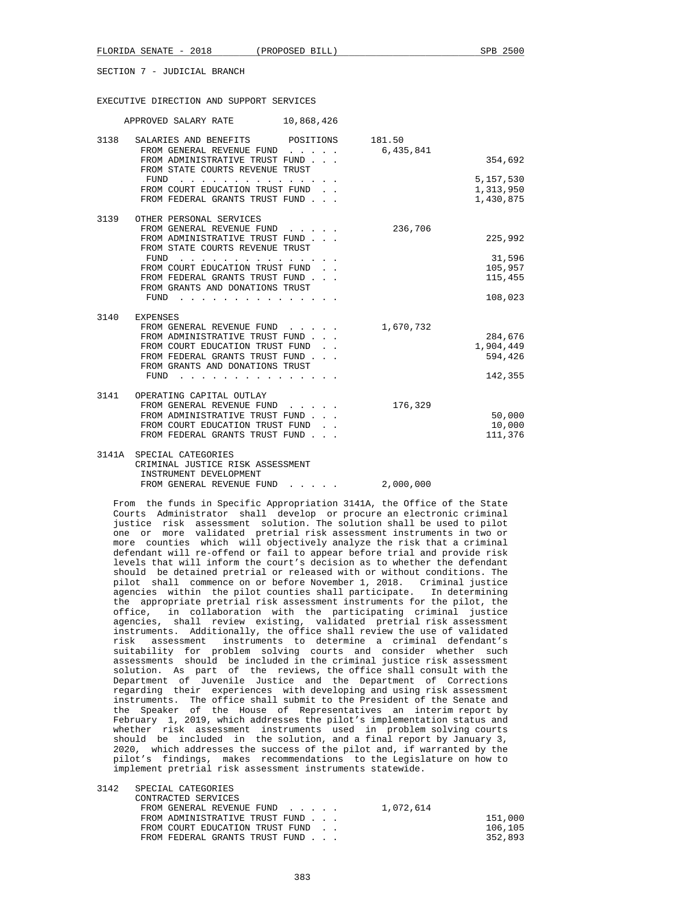#### EXECUTIVE DIRECTION AND SUPPORT SERVICES

| APPROVED SALARY RATE 10,868,426                                                                                                                                                                                                        |           |           |
|----------------------------------------------------------------------------------------------------------------------------------------------------------------------------------------------------------------------------------------|-----------|-----------|
| 3138 SALARIES AND BENEFITS POSITIONS 181.50                                                                                                                                                                                            |           |           |
| FROM GENERAL REVENUE FUND 6,435,841                                                                                                                                                                                                    |           |           |
| FROM ADMINISTRATIVE TRUST FUND                                                                                                                                                                                                         |           | 354,692   |
| FROM STATE COURTS REVENUE TRUST                                                                                                                                                                                                        |           |           |
| FUND<br>the contract of the contract of the contract of the contract of the contract of the contract of the contract of the contract of the contract of the contract of the contract of the contract of the contract of the contract o |           | 5,157,530 |
| FROM COURT EDUCATION TRUST FUND.                                                                                                                                                                                                       |           | 1,313,950 |
| FROM FEDERAL GRANTS TRUST FUND                                                                                                                                                                                                         |           | 1,430,875 |
| 3139 OTHER PERSONAL SERVICES                                                                                                                                                                                                           |           |           |
| FROM GENERAL REVENUE FUND                                                                                                                                                                                                              | 236,706   |           |
| FROM ADMINISTRATIVE TRUST FUND                                                                                                                                                                                                         |           | 225,992   |
| FROM STATE COURTS REVENUE TRUST                                                                                                                                                                                                        |           |           |
| FUND<br>the contract of the contract of the contract of the contract of the contract of the contract of the contract of the contract of the contract of the contract of the contract of the contract of the contract of the contract o |           | 31,596    |
| FROM COURT EDUCATION TRUST FUND.                                                                                                                                                                                                       |           | 105,957   |
| FROM FEDERAL GRANTS TRUST FUND                                                                                                                                                                                                         |           | 115,455   |
| FROM GRANTS AND DONATIONS TRUST                                                                                                                                                                                                        |           |           |
| FUND                                                                                                                                                                                                                                   |           | 108,023   |
| 3140 EXPENSES                                                                                                                                                                                                                          |           |           |
| FROM GENERAL REVENUE FUND                                                                                                                                                                                                              | 1,670,732 |           |
| FROM ADMINISTRATIVE TRUST FUND                                                                                                                                                                                                         |           | 284,676   |
| FROM COURT EDUCATION TRUST FUND.                                                                                                                                                                                                       |           | 1,904,449 |
| FROM FEDERAL GRANTS TRUST FUND                                                                                                                                                                                                         |           | 594,426   |
| FROM GRANTS AND DONATIONS TRUST                                                                                                                                                                                                        |           |           |
| FUND<br>the contract of the contract of the contract of the contract of the contract of the contract of the contract of                                                                                                                |           | 142,355   |
| 3141 OPERATING CAPITAL OUTLAY                                                                                                                                                                                                          |           |           |
| FROM GENERAL REVENUE FUND                                                                                                                                                                                                              | 176,329   |           |
| FROM ADMINISTRATIVE TRUST FUND                                                                                                                                                                                                         |           | 50,000    |
| FROM COURT EDUCATION TRUST FUND.                                                                                                                                                                                                       |           | 10,000    |
| FROM FEDERAL GRANTS TRUST FUND                                                                                                                                                                                                         |           | 111,376   |
|                                                                                                                                                                                                                                        |           |           |
| 3141A SPECIAL CATEGORIES                                                                                                                                                                                                               |           |           |
| CRIMINAL JUSTICE RISK ASSESSMENT                                                                                                                                                                                                       |           |           |
|                                                                                                                                                                                                                                        |           |           |

 INSTRUMENT DEVELOPMENT FROM GENERAL REVENUE FUND . . . . . 2,000,000

 From the funds in Specific Appropriation 3141A, the Office of the State Courts Administrator shall develop or procure an electronic criminal justice risk assessment solution. The solution shall be used to pilot one or more validated pretrial risk assessment instruments in two or more counties which will objectively analyze the risk that a criminal defendant will re-offend or fail to appear before trial and provide risk levels that will inform the court's decision as to whether the defendant should be detained pretrial or released with or without conditions. The pilot shall commence on or before November 1, 2018. Criminal justice agencies within the pilot counties shall participate. In determining the appropriate pretrial risk assessment instruments for the pilot, the office, in collaboration with the participating criminal justice agencies, shall review existing, validated pretrial risk assessment instruments. Additionally, the office shall review the use of validated risk assessment instruments to determine a criminal defendant's suitability for problem solving courts and consider whether such assessments should be included in the criminal justice risk assessment solution. As part of the reviews, the office shall consult with the Department of Juvenile Justice and the Department of Corrections regarding their experiences with developing and using risk assessment instruments. The office shall submit to the President of the Senate and the Speaker of the House of Representatives an interim report by February 1, 2019, which addresses the pilot's implementation status and whether risk assessment instruments used in problem solving courts should be included in the solution, and a final report by January 3, 2020, which addresses the success of the pilot and, if warranted by the pilot's findings, makes recommendations to the Legislature on how to implement pretrial risk assessment instruments statewide.

| 3142 | SPECIAL CATEGORIES               |           |
|------|----------------------------------|-----------|
|      | CONTRACTED SERVICES              |           |
|      | FROM GENERAL REVENUE FUND        | 1,072,614 |
|      | FROM ADMINISTRATIVE TRUST FUND   | 151,000   |
|      | FROM COURT EDUCATION TRUST FUND. | 106,105   |
|      | FROM FEDERAL GRANTS TRUST FUND   | 352,893   |
|      |                                  |           |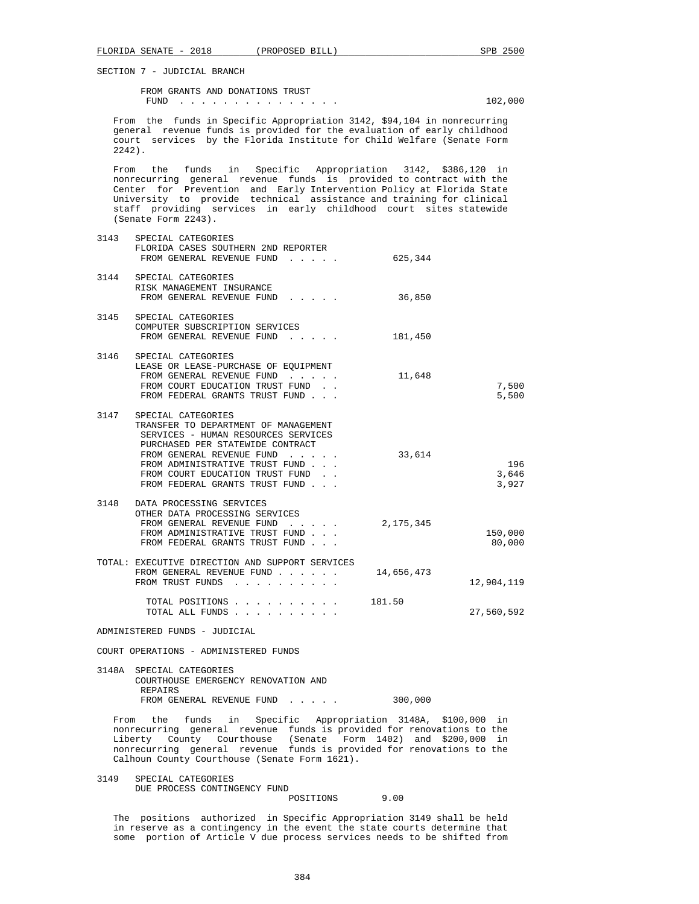FROM GRANTS AND DONATIONS TRUST FUND . . . . . . . . . . . . . . . 102,000

 From the funds in Specific Appropriation 3142, \$94,104 in nonrecurring general revenue funds is provided for the evaluation of early childhood court services by the Florida Institute for Child Welfare (Senate Form 2242).

 From the funds in Specific Appropriation 3142, \$386,120 in nonrecurring general revenue funds is provided to contract with the Center for Prevention and Early Intervention Policy at Florida State University to provide technical assistance and training for clinical staff providing services in early childhood court sites statewide (Senate Form 2243).

| 3143 | SPECIAL CATEGORIES<br>FLORIDA CASES SOUTHERN 2ND REPORTER<br>FROM GENERAL REVENUE FUND                                                                                                                                                                                          | 625,344    |                       |
|------|---------------------------------------------------------------------------------------------------------------------------------------------------------------------------------------------------------------------------------------------------------------------------------|------------|-----------------------|
|      | 3144 SPECIAL CATEGORIES<br>RISK MANAGEMENT INSURANCE<br>FROM GENERAL REVENUE FUND                                                                                                                                                                                               | 36,850     |                       |
| 3145 | SPECIAL CATEGORIES<br>COMPUTER SUBSCRIPTION SERVICES<br>FROM GENERAL REVENUE FUND                                                                                                                                                                                               | 181,450    |                       |
| 3146 | SPECIAL CATEGORIES<br>LEASE OR LEASE-PURCHASE OF EQUIPMENT<br>FROM GENERAL REVENUE FUND<br>FROM COURT EDUCATION TRUST FUND.<br>FROM FEDERAL GRANTS TRUST FUND                                                                                                                   | 11,648     | 7,500<br>5,500        |
|      | 3147 SPECIAL CATEGORIES<br>TRANSFER TO DEPARTMENT OF MANAGEMENT<br>SERVICES - HUMAN RESOURCES SERVICES<br>PURCHASED PER STATEWIDE CONTRACT<br>FROM GENERAL REVENUE FUND<br>FROM ADMINISTRATIVE TRUST FUND<br>FROM COURT EDUCATION TRUST FUND.<br>FROM FEDERAL GRANTS TRUST FUND | 33,614     | 196<br>3,646<br>3,927 |
|      | 3148 DATA PROCESSING SERVICES<br>OTHER DATA PROCESSING SERVICES<br>FROM GENERAL REVENUE FUND<br>$\mathbf{r}$ , $\mathbf{r}$ , $\mathbf{r}$ , $\mathbf{r}$ , $\mathbf{r}$ , $\mathbf{r}$<br>FROM ADMINISTRATIVE TRUST FUND<br>FROM FEDERAL GRANTS TRUST FUND                     | 2,175,345  | 150,000<br>80,000     |
|      | TOTAL: EXECUTIVE DIRECTION AND SUPPORT SERVICES<br>FROM GENERAL REVENUE FUND<br>FROM TRUST FUNDS                                                                                                                                                                                | 14,656,473 | 12,904,119            |
|      | TOTAL POSITIONS<br>TOTAL ALL FUNDS                                                                                                                                                                                                                                              | 181.50     | 27,560,592            |

ADMINISTERED FUNDS - JUDICIAL

COURT OPERATIONS - ADMINISTERED FUNDS

| 3148A SPECIAL CATEGORIES            |         |
|-------------------------------------|---------|
| COURTHOUSE EMERGENCY RENOVATION AND |         |
| REPAIRS                             |         |
| FROM GENERAL REVENUE FUND           | 300,000 |

 From the funds in Specific Appropriation 3148A, \$100,000 in nonrecurring general revenue funds is provided for renovations to the Liberty County Courthouse (Senate Form 1402) and \$200,000 in nonrecurring general revenue funds is provided for renovations to the Calhoun County Courthouse (Senate Form 1621).

 3149 SPECIAL CATEGORIES DUE PROCESS CONTINGENCY FUND POSITIONS 9.00

 The positions authorized in Specific Appropriation 3149 shall be held in reserve as a contingency in the event the state courts determine that some portion of Article V due process services needs to be shifted from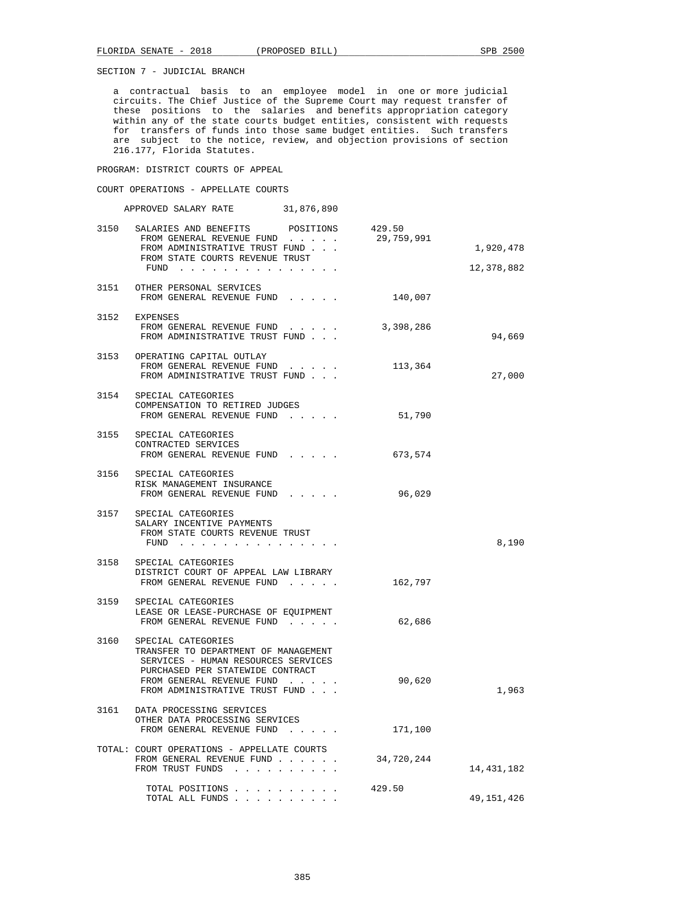a contractual basis to an employee model in one or more judicial circuits. The Chief Justice of the Supreme Court may request transfer of these positions to the salaries and benefits appropriation category within any of the state courts budget entities, consistent with requests for transfers of funds into those same budget entities. Such transfers are subject to the notice, review, and objection provisions of section 216.177, Florida Statutes.

PROGRAM: DISTRICT COURTS OF APPEAL

COURT OPERATIONS - APPELLATE COURTS

|      | APPROVED SALARY RATE 31,876,890                                                                                                                                                                      |            |                         |
|------|------------------------------------------------------------------------------------------------------------------------------------------------------------------------------------------------------|------------|-------------------------|
|      | 3150 SALARIES AND BENEFITS POSITIONS 429.50<br>FROM GENERAL REVENUE FUND<br>FROM ADMINISTRATIVE TRUST FUND<br>FROM STATE COURTS REVENUE TRUST<br>FUND                                                | 29,759,991 | 1,920,478<br>12,378,882 |
|      | 3151 OTHER PERSONAL SERVICES<br>FROM GENERAL REVENUE FUND                                                                                                                                            | 140,007    |                         |
|      | 3152 EXPENSES<br>FROM GENERAL REVENUE FUND<br>FROM ADMINISTRATIVE TRUST FUND                                                                                                                         | 3,398,286  | 94,669                  |
|      | 3153 OPERATING CAPITAL OUTLAY<br>FROM GENERAL REVENUE FUND<br>FROM ADMINISTRATIVE TRUST FUND                                                                                                         | 113,364    | 27,000                  |
|      | 3154 SPECIAL CATEGORIES<br>COMPENSATION TO RETIRED JUDGES<br>FROM GENERAL REVENUE FUND                                                                                                               | 51,790     |                         |
|      | 3155 SPECIAL CATEGORIES<br>CONTRACTED SERVICES<br>FROM GENERAL REVENUE FUND                                                                                                                          | 673,574    |                         |
|      | 3156 SPECIAL CATEGORIES<br>RISK MANAGEMENT INSURANCE<br>FROM GENERAL REVENUE FUND                                                                                                                    | 96,029     |                         |
|      | 3157 SPECIAL CATEGORIES<br>SALARY INCENTIVE PAYMENTS<br>FROM STATE COURTS REVENUE TRUST<br>FUND                                                                                                      |            | 8,190                   |
|      | 3158 SPECIAL CATEGORIES<br>DISTRICT COURT OF APPEAL LAW LIBRARY<br>FROM GENERAL REVENUE FUND                                                                                                         | 162,797    |                         |
|      | 3159 SPECIAL CATEGORIES<br>LEASE OR LEASE-PURCHASE OF EQUIPMENT<br>FROM GENERAL REVENUE FUND                                                                                                         | 62,686     |                         |
| 3160 | SPECIAL CATEGORIES<br>TRANSFER TO DEPARTMENT OF MANAGEMENT<br>SERVICES - HUMAN RESOURCES SERVICES<br>PURCHASED PER STATEWIDE CONTRACT<br>FROM GENERAL REVENUE FUND<br>FROM ADMINISTRATIVE TRUST FUND | 90,620     | 1,963                   |
| 3161 | DATA PROCESSING SERVICES<br>OTHER DATA PROCESSING SERVICES<br>FROM GENERAL REVENUE FUND                                                                                                              | 171,100    |                         |
|      | TOTAL: COURT OPERATIONS - APPELLATE COURTS<br>FROM GENERAL REVENUE FUND<br>FROM TRUST FUNDS                                                                                                          | 34,720,244 | 14,431,182              |
|      | TOTAL POSITIONS<br>TOTAL ALL FUNDS                                                                                                                                                                   | 429.50     | 49,151,426              |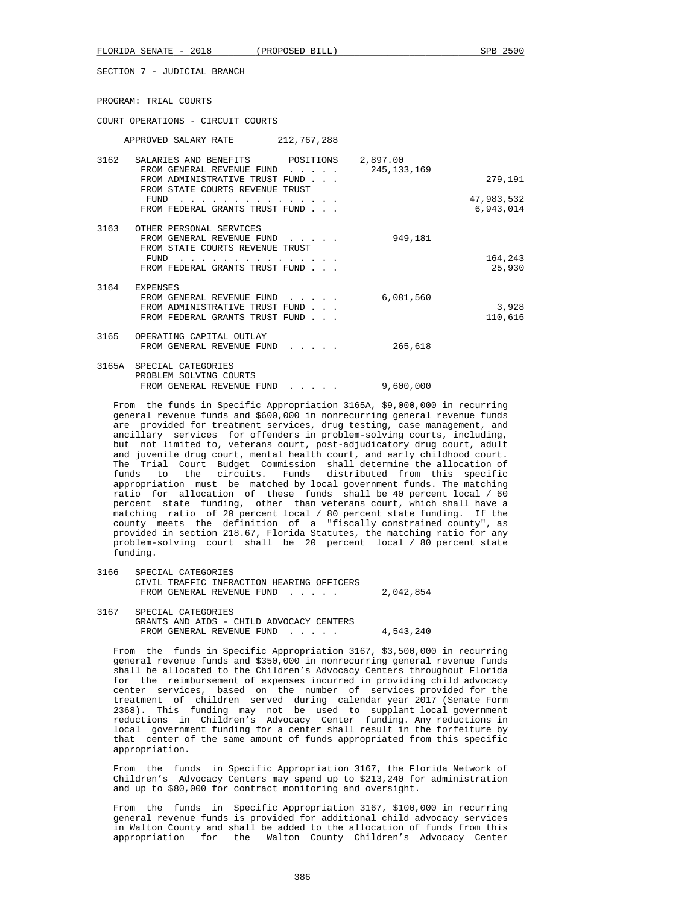FLORIDA SENATE - 2018 (PROPOSED BILL) SPB 2500

SECTION 7 - JUDICIAL BRANCH

PROGRAM: TRIAL COURTS

COURT OPERATIONS - CIRCUIT COURTS

|      | APPROVED SALARY RATE                                                                                                            | 212,767,288                                |                           |                       |
|------|---------------------------------------------------------------------------------------------------------------------------------|--------------------------------------------|---------------------------|-----------------------|
| 3162 | SALARIES AND BENEFITS<br>FROM GENERAL REVENUE FUND<br>FROM ADMINISTRATIVE TRUST FUND<br>FROM STATE COURTS REVENUE TRUST<br>FUND | POSITIONS<br>$\mathbf{r}$ and $\mathbf{r}$ | 2,897.00<br>245, 133, 169 | 279,191<br>47,983,532 |
| 3163 | FROM FEDERAL GRANTS TRUST FUND<br>OTHER PERSONAL SERVICES                                                                       |                                            |                           | 6,943,014             |
|      | FROM GENERAL REVENUE FUND<br>FROM STATE COURTS REVENUE TRUST<br>FUND<br>FROM FEDERAL GRANTS TRUST FUND                          |                                            | 949,181                   | 164,243<br>25,930     |
| 3164 | <b>EXPENSES</b><br>FROM GENERAL REVENUE FUND<br>FROM ADMINISTRATIVE TRUST FUND<br>FROM FEDERAL GRANTS TRUST FUND                |                                            | 6,081,560                 | 3,928<br>110,616      |
| 3165 | OPERATING CAPITAL OUTLAY<br>FROM GENERAL REVENUE FUND                                                                           |                                            | 265,618                   |                       |
|      | 3165A SPECIAL CATEGORIES<br>PROBLEM SOLVING COURTS<br>FROM GENERAL REVENUE FUND                                                 |                                            | 9,600,000                 |                       |

 From the funds in Specific Appropriation 3165A, \$9,000,000 in recurring general revenue funds and \$600,000 in nonrecurring general revenue funds are provided for treatment services, drug testing, case management, and ancillary services for offenders in problem-solving courts, including, but not limited to, veterans court, post-adjudicatory drug court, adult and juvenile drug court, mental health court, and early childhood court. The Trial Court Budget Commission shall determine the allocation of funds to the circuits. Funds distributed from this specific appropriation must be matched by local government funds. The matching ratio for allocation of these funds shall be 40 percent local / 60 percent state funding, other than veterans court, which shall have a matching ratio of 20 percent local / 80 percent state funding. If the county meets the definition of a "fiscally constrained county", as provided in section 218.67, Florida Statutes, the matching ratio for any problem-solving court shall be 20 percent local / 80 percent state funding.

- 3166 SPECIAL CATEGORIES CIVIL TRAFFIC INFRACTION HEARING OFFICERS FROM GENERAL REVENUE FUND . . . . . 2,042,854
- 3167 SPECIAL CATEGORIES GRANTS AND AIDS - CHILD ADVOCACY CENTERS FROM GENERAL REVENUE FUND . . . . . 4,543,240

 From the funds in Specific Appropriation 3167, \$3,500,000 in recurring general revenue funds and \$350,000 in nonrecurring general revenue funds shall be allocated to the Children's Advocacy Centers throughout Florida for the reimbursement of expenses incurred in providing child advocacy center services, based on the number of services provided for the treatment of children served during calendar year 2017 (Senate Form 2368). This funding may not be used to supplant local government reductions in Children's Advocacy Center funding. Any reductions in local government funding for a center shall result in the forfeiture by that center of the same amount of funds appropriated from this specific appropriation.

 From the funds in Specific Appropriation 3167, the Florida Network of Children's Advocacy Centers may spend up to \$213,240 for administration and up to \$80,000 for contract monitoring and oversight.

 From the funds in Specific Appropriation 3167, \$100,000 in recurring general revenue funds is provided for additional child advocacy services in Walton County and shall be added to the allocation of funds from this appropriation for the Walton County Children's Advocacy Center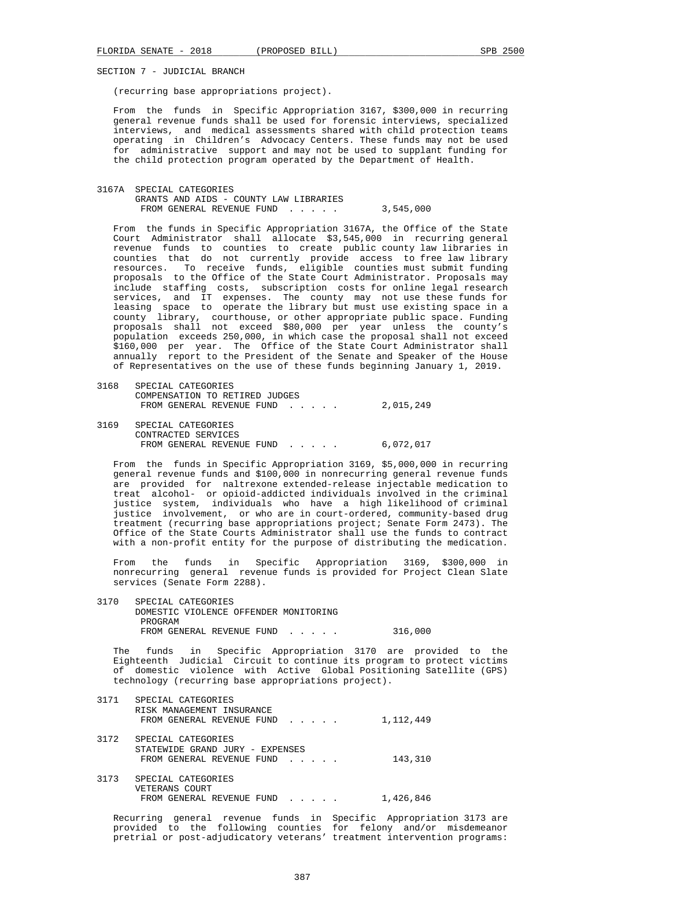(recurring base appropriations project).

 From the funds in Specific Appropriation 3167, \$300,000 in recurring general revenue funds shall be used for forensic interviews, specialized interviews, and medical assessments shared with child protection teams operating in Children's Advocacy Centers. These funds may not be used for administrative support and may not be used to supplant funding for the child protection program operated by the Department of Health.

 3167A SPECIAL CATEGORIES GRANTS AND AIDS - COUNTY LAW LIBRARIES FROM GENERAL REVENUE FUND . . . . . 3,545,000

 From the funds in Specific Appropriation 3167A, the Office of the State Court Administrator shall allocate \$3,545,000 in recurring general revenue funds to counties to create public county law libraries in counties that do not currently provide access to free law library resources. To receive funds, eligible counties must submit funding proposals to the Office of the State Court Administrator. Proposals may include staffing costs, subscription costs for online legal research services, and IT expenses. The county may not use these funds for leasing space to operate the library but must use existing space in a county library, courthouse, or other appropriate public space. Funding proposals shall not exceed \$80,000 per year unless the county's population exceeds 250,000, in which case the proposal shall not exceed \$160,000 per year. The Office of the State Court Administrator shall annually report to the President of the Senate and Speaker of the House of Representatives on the use of these funds beginning January 1, 2019.

| 3168 | SPECIAL CATEGORIES             |           |  |  |
|------|--------------------------------|-----------|--|--|
|      | COMPENSATION TO RETIRED JUDGES |           |  |  |
|      | FROM GENERAL REVENUE FUND      | 2,015,249 |  |  |
| 3169 | SPECIAL CATEGORIES             |           |  |  |

 CONTRACTED SERVICES FROM GENERAL REVENUE FUND . . . . . 6,072,017

 From the funds in Specific Appropriation 3169, \$5,000,000 in recurring general revenue funds and \$100,000 in nonrecurring general revenue funds are provided for naltrexone extended-release injectable medication to treat alcohol- or opioid-addicted individuals involved in the criminal justice system, individuals who have a high likelihood of criminal justice involvement, or who are in court-ordered, community-based drug treatment (recurring base appropriations project; Senate Form 2473). The Office of the State Courts Administrator shall use the funds to contract with a non-profit entity for the purpose of distributing the medication.

 From the funds in Specific Appropriation 3169, \$300,000 in nonrecurring general revenue funds is provided for Project Clean Slate services (Senate Form 2288).

 3170 SPECIAL CATEGORIES DOMESTIC VIOLENCE OFFENDER MONITORING PROGRAM FROM GENERAL REVENUE FUND . . . . . 316,000

 The funds in Specific Appropriation 3170 are provided to the Eighteenth Judicial Circuit to continue its program to protect victims of domestic violence with Active Global Positioning Satellite (GPS) technology (recurring base appropriations project).

| 3171 | SPECIAL CATEGORIES<br>RISK MANAGEMENT INSURANCE<br>FROM GENERAL REVENUE FUND       | 1,112,449 |
|------|------------------------------------------------------------------------------------|-----------|
| 3172 | SPECIAL CATEGORIES<br>STATEWIDE GRAND JURY - EXPENSES<br>FROM GENERAL REVENUE FUND | 143,310   |
| 3173 | SPECIAL CATEGORIES<br>VETERANS COURT<br>FROM GENERAL REVENUE FUND                  | 1,426,846 |

 Recurring general revenue funds in Specific Appropriation 3173 are provided to the following counties for felony and/or misdemeanor pretrial or post-adjudicatory veterans' treatment intervention programs: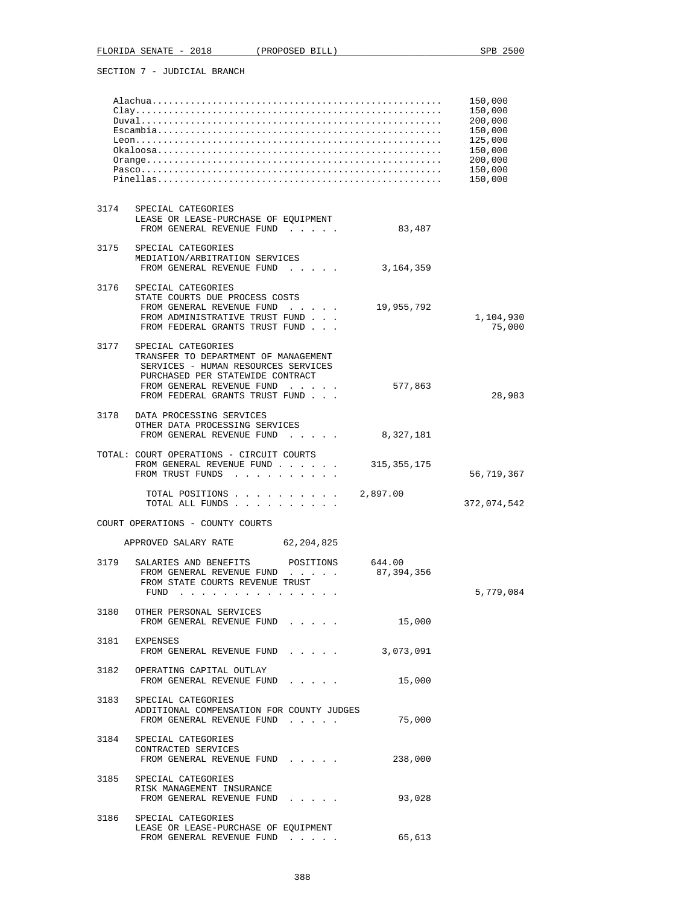|      |                                                                                                                                                                                                      |                      | 150,000<br>150,000<br>200,000<br>150,000<br>125,000<br>150,000<br>200,000<br>150,000<br>150,000 |
|------|------------------------------------------------------------------------------------------------------------------------------------------------------------------------------------------------------|----------------------|-------------------------------------------------------------------------------------------------|
| 3174 | SPECIAL CATEGORIES<br>LEASE OR LEASE-PURCHASE OF EQUIPMENT<br>FROM GENERAL REVENUE FUND                                                                                                              | 83,487               |                                                                                                 |
| 3175 | SPECIAL CATEGORIES<br>MEDIATION/ARBITRATION SERVICES<br>FROM GENERAL REVENUE FUND                                                                                                                    | 3, 164, 359          |                                                                                                 |
|      | 3176 SPECIAL CATEGORIES<br>STATE COURTS DUE PROCESS COSTS<br>FROM GENERAL REVENUE FUND<br>and a state of the state<br>FROM ADMINISTRATIVE TRUST FUND<br>FROM FEDERAL GRANTS TRUST FUND               | 19,955,792           | 1,104,930<br>75,000                                                                             |
| 3177 | SPECIAL CATEGORIES<br>TRANSFER TO DEPARTMENT OF MANAGEMENT<br>SERVICES - HUMAN RESOURCES SERVICES<br>PURCHASED PER STATEWIDE CONTRACT<br>FROM GENERAL REVENUE FUND<br>FROM FEDERAL GRANTS TRUST FUND | 577,863              | 28,983                                                                                          |
| 3178 | DATA PROCESSING SERVICES<br>OTHER DATA PROCESSING SERVICES<br>FROM GENERAL REVENUE FUND<br>$\mathbf{r}$ , $\mathbf{r}$ , $\mathbf{r}$ , $\mathbf{r}$ , $\mathbf{r}$                                  | 8,327,181            |                                                                                                 |
|      | TOTAL: COURT OPERATIONS - CIRCUIT COURTS<br>FROM GENERAL REVENUE FUND<br>FROM TRUST FUNDS                                                                                                            | 315,355,175          | 56,719,367                                                                                      |
|      | TOTAL POSITIONS 2,897.00<br>TOTAL ALL FUNDS                                                                                                                                                          |                      | 372,074,542                                                                                     |
|      | COURT OPERATIONS - COUNTY COURTS                                                                                                                                                                     |                      |                                                                                                 |
|      | APPROVED SALARY RATE 62,204,825                                                                                                                                                                      |                      |                                                                                                 |
| 3179 | SALARIES AND BENEFITS<br>POSITIONS<br>FROM GENERAL REVENUE FUND<br>FROM STATE COURTS REVENUE TRUST<br>FUND                                                                                           | 644.00<br>87,394,356 | 5,779,084                                                                                       |
|      | 3180 OTHER PERSONAL SERVICES<br>FROM GENERAL REVENUE FUND                                                                                                                                            | 15,000               |                                                                                                 |
|      | 3181 EXPENSES<br>FROM GENERAL REVENUE FUND                                                                                                                                                           | 3,073,091            |                                                                                                 |
|      | 3182 OPERATING CAPITAL OUTLAY<br>FROM GENERAL REVENUE FUND                                                                                                                                           | 15,000               |                                                                                                 |
|      | 3183 SPECIAL CATEGORIES<br>ADDITIONAL COMPENSATION FOR COUNTY JUDGES<br>FROM GENERAL REVENUE FUND                                                                                                    | 75,000               |                                                                                                 |
|      | 3184 SPECIAL CATEGORIES<br>CONTRACTED SERVICES<br>FROM GENERAL REVENUE FUND                                                                                                                          | 238,000              |                                                                                                 |
|      | 3185 SPECIAL CATEGORIES<br>RISK MANAGEMENT INSURANCE<br>FROM GENERAL REVENUE FUND                                                                                                                    | 93,028               |                                                                                                 |
| 3186 | SPECIAL CATEGORIES<br>LEASE OR LEASE-PURCHASE OF EQUIPMENT<br>FROM GENERAL REVENUE FUND                                                                                                              | 65,613               |                                                                                                 |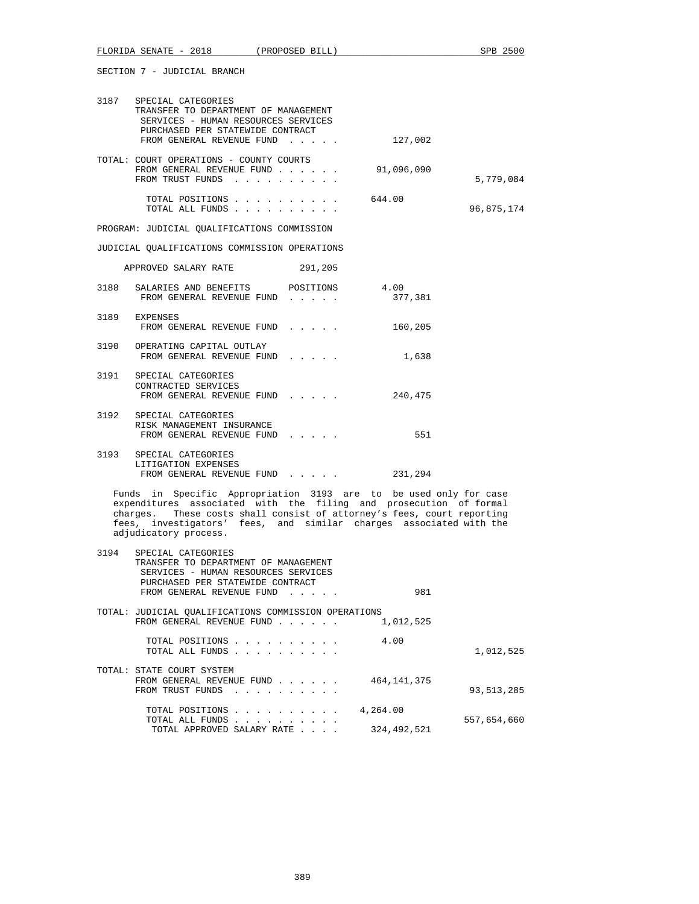|      | 3187 SPECIAL CATEGORIES<br>TRANSFER TO DEPARTMENT OF MANAGEMENT<br>SERVICES - HUMAN RESOURCES SERVICES<br>PURCHASED PER STATEWIDE CONTRACT                                                                                                                                                                      |                 |            |
|------|-----------------------------------------------------------------------------------------------------------------------------------------------------------------------------------------------------------------------------------------------------------------------------------------------------------------|-----------------|------------|
|      | FROM GENERAL REVENUE FUND                                                                                                                                                                                                                                                                                       | 127,002         |            |
|      | TOTAL: COURT OPERATIONS - COUNTY COURTS<br>FROM GENERAL REVENUE FUND<br>FROM TRUST FUNDS                                                                                                                                                                                                                        | 91,096,090      | 5,779,084  |
|      | TOTAL POSITIONS<br>TOTAL ALL FUNDS                                                                                                                                                                                                                                                                              | 644.00          | 96,875,174 |
|      | PROGRAM: JUDICIAL QUALIFICATIONS COMMISSION                                                                                                                                                                                                                                                                     |                 |            |
|      | JUDICIAL OUALIFICATIONS COMMISSION OPERATIONS                                                                                                                                                                                                                                                                   |                 |            |
|      | APPROVED SALARY RATE<br>291,205                                                                                                                                                                                                                                                                                 |                 |            |
| 3188 | SALARIES AND BENEFITS POSITIONS<br>FROM GENERAL REVENUE FUND                                                                                                                                                                                                                                                    | 4.00<br>377,381 |            |
|      | 3189 EXPENSES<br>FROM GENERAL REVENUE FUND                                                                                                                                                                                                                                                                      | 160,205         |            |
|      | 3190 OPERATING CAPITAL OUTLAY<br>FROM GENERAL REVENUE FUND                                                                                                                                                                                                                                                      | 1,638           |            |
| 3191 | SPECIAL CATEGORIES<br>CONTRACTED SERVICES<br>FROM GENERAL REVENUE FUND                                                                                                                                                                                                                                          | 240,475         |            |
|      | 3192 SPECIAL CATEGORIES<br>RISK MANAGEMENT INSURANCE<br>FROM GENERAL REVENUE FUND                                                                                                                                                                                                                               | 551             |            |
|      | 3193 SPECIAL CATEGORIES<br>LITIGATION EXPENSES<br>FROM GENERAL REVENUE FUND                                                                                                                                                                                                                                     | 231,294         |            |
|      | Funds in Specific Appropriation 3193 are to be used only for case<br>expenditures associated with the filing and prosecution of formal<br>charges. These costs shall consist of attorney's fees, court reporting<br>fees, investigators' fees, and similar charges associated with the<br>adjudicatory process. |                 |            |
| 3194 | SPECIAL CATEGORIES<br>TRANSFER TO DEPARTMENT OF MANAGEMENT<br>SERVICES - HUMAN RESOURCES SERVICES<br>PURCHASED PER STATEWIDE CONTRACT<br>FROM GENERAL REVENUE FUND                                                                                                                                              | 981             |            |
|      | TOTAL: JUDICIAL QUALIFICATIONS COMMISSION OPERATIONS<br>FROM GENERAL REVENUE FUND                                                                                                                                                                                                                               | 1,012,525       |            |
|      | TOTAL POSITIONS<br>TOTAL ALL FUNDS                                                                                                                                                                                                                                                                              | 4.00            | 1,012,525  |
|      | TOTAL: STATE COURT SYSTEM<br>FROM GENERAL REVENUE FUND<br>FROM TRUST FUNDS<br>the contract of the contract of                                                                                                                                                                                                   | 464,141,375     | 93,513,285 |
|      | <b>TOTAL DOCTTIONS</b>                                                                                                                                                                                                                                                                                          | 1.251.00        |            |

 TOTAL POSITIONS . . . . . . . . . . 4,264.00 TOTAL ALL FUNDS . . . . . . . . . . 557,654,660 TOTAL APPROVED SALARY RATE . . . . 324,492,521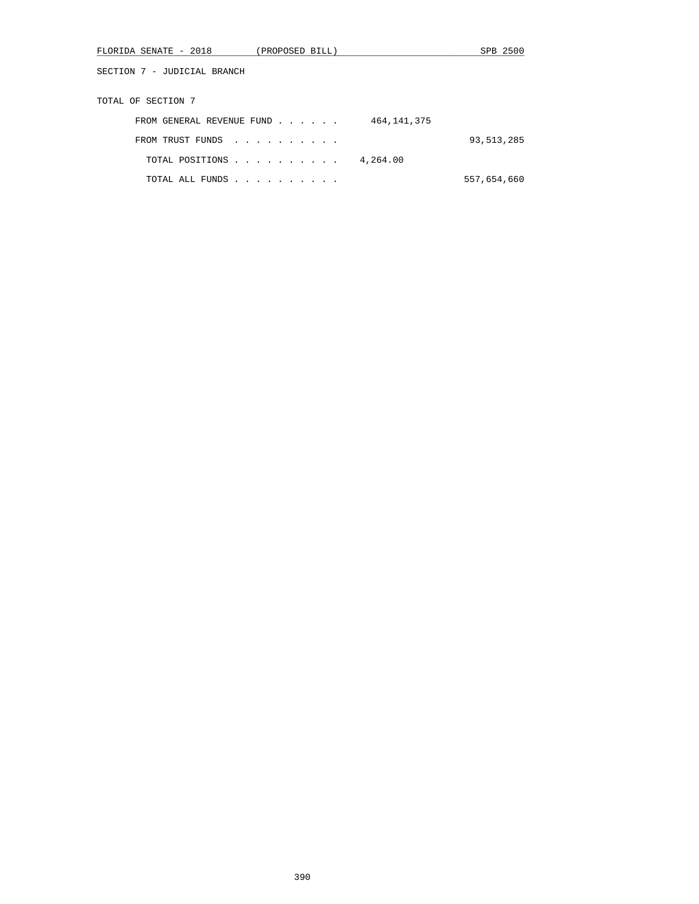| FLORIDA SENATE - 2018       | (PROPOSED BILL)                                                                                                                                                                                                                      |             | SPB 2500     |
|-----------------------------|--------------------------------------------------------------------------------------------------------------------------------------------------------------------------------------------------------------------------------------|-------------|--------------|
| SECTION 7 - JUDICIAL BRANCH |                                                                                                                                                                                                                                      |             |              |
| TOTAL OF SECTION 7          |                                                                                                                                                                                                                                      |             |              |
| FROM GENERAL REVENUE FUND   |                                                                                                                                                                                                                                      | 464,141,375 |              |
| FROM TRUST FUNDS            |                                                                                                                                                                                                                                      |             | 93, 513, 285 |
| TOTAL POSITIONS             |                                                                                                                                                                                                                                      | 4,264.00    |              |
| TOTAL ALL FUNDS             | <u>and a series of the series of the series of the series of the series of the series of the series of the series of the series of the series of the series of the series of the series of the series of the series of the serie</u> |             | 557,654,660  |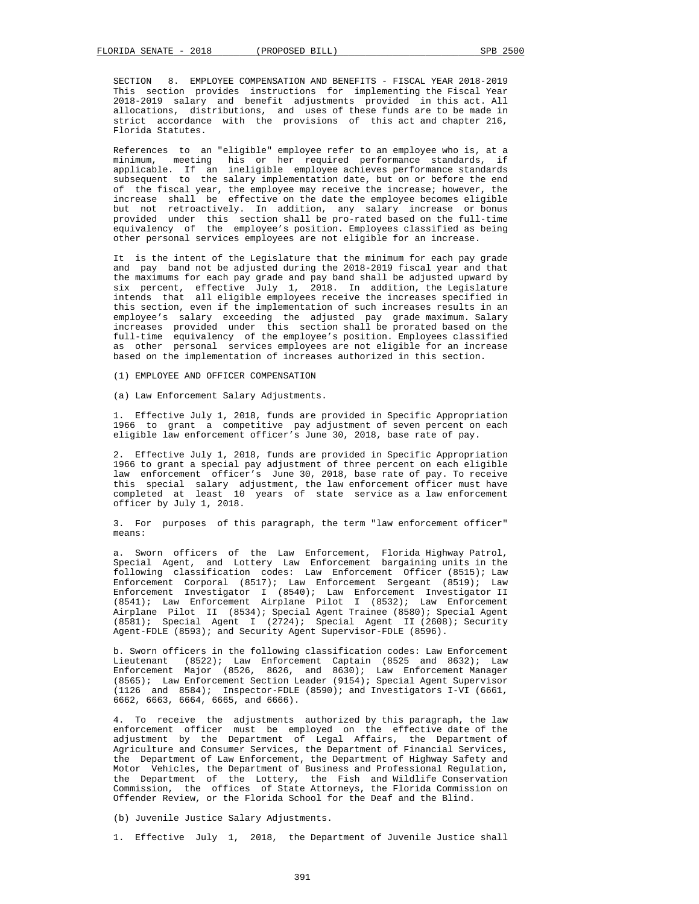SECTION 8. EMPLOYEE COMPENSATION AND BENEFITS - FISCAL YEAR 2018-2019 This section provides instructions for implementing the Fiscal Year 2018-2019 salary and benefit adjustments provided in this act. All allocations, distributions, and uses of these funds are to be made in strict accordance with the provisions of this act and chapter 216, Florida Statutes.

 References to an "eligible" employee refer to an employee who is, at a minimum, meeting his or her required performance standards, if applicable. If an ineligible employee achieves performance standards subsequent to the salary implementation date, but on or before the end of the fiscal year, the employee may receive the increase; however, the increase shall be effective on the date the employee becomes eligible but not retroactively. In addition, any salary increase or bonus provided under this section shall be pro-rated based on the full-time equivalency of the employee's position. Employees classified as being other personal services employees are not eligible for an increase.

 It is the intent of the Legislature that the minimum for each pay grade and pay band not be adjusted during the 2018-2019 fiscal year and that the maximums for each pay grade and pay band shall be adjusted upward by six percent, effective July 1, 2018. In addition, the Legislature intends that all eligible employees receive the increases specified in this section, even if the implementation of such increases results in an employee's salary exceeding the adjusted pay grade maximum. Salary increases provided under this section shall be prorated based on the full-time equivalency of the employee's position. Employees classified as other personal services employees are not eligible for an increase based on the implementation of increases authorized in this section.

(1) EMPLOYEE AND OFFICER COMPENSATION

(a) Law Enforcement Salary Adjustments.

 1. Effective July 1, 2018, funds are provided in Specific Appropriation 1966 to grant a competitive pay adjustment of seven percent on each eligible law enforcement officer's June 30, 2018, base rate of pay.

 2. Effective July 1, 2018, funds are provided in Specific Appropriation 1966 to grant a special pay adjustment of three percent on each eligible law enforcement officer's June 30, 2018, base rate of pay. To receive this special salary adjustment, the law enforcement officer must have completed at least 10 years of state service as a law enforcement officer by July 1, 2018.

 3. For purposes of this paragraph, the term "law enforcement officer" means:

 a. Sworn officers of the Law Enforcement, Florida Highway Patrol, Special Agent, and Lottery Law Enforcement bargaining units in the following classification codes: Law Enforcement Officer (8515); Law Enforcement Corporal (8517); Law Enforcement Sergeant (8519); Law Enforcement Investigator I (8540); Law Enforcement Investigator II (8541); Law Enforcement Airplane Pilot I (8532); Law Enforcement Airplane Pilot II (8534); Special Agent Trainee (8580); Special Agent (8581); Special Agent I (2724); Special Agent II (2608); Security Agent-FDLE (8593); and Security Agent Supervisor-FDLE (8596).

 b. Sworn officers in the following classification codes: Law Enforcement Lieutenant (8522); Law Enforcement Captain (8525 and 8632); Law Enforcement Major (8526, 8626, and 8630); Law Enforcement Manager (8565); Law Enforcement Section Leader (9154); Special Agent Supervisor (1126 and 8584); Inspector-FDLE (8590); and Investigators I-VI (6661, 6662, 6663, 6664, 6665, and 6666).

 4. To receive the adjustments authorized by this paragraph, the law enforcement officer must be employed on the effective date of the adjustment by the Department of Legal Affairs, the Department of Agriculture and Consumer Services, the Department of Financial Services, the Department of Law Enforcement, the Department of Highway Safety and Motor Vehicles, the Department of Business and Professional Regulation, the Department of the Lottery, the Fish and Wildlife Conservation Commission, the offices of State Attorneys, the Florida Commission on Offender Review, or the Florida School for the Deaf and the Blind.

(b) Juvenile Justice Salary Adjustments.

1. Effective July 1, 2018, the Department of Juvenile Justice shall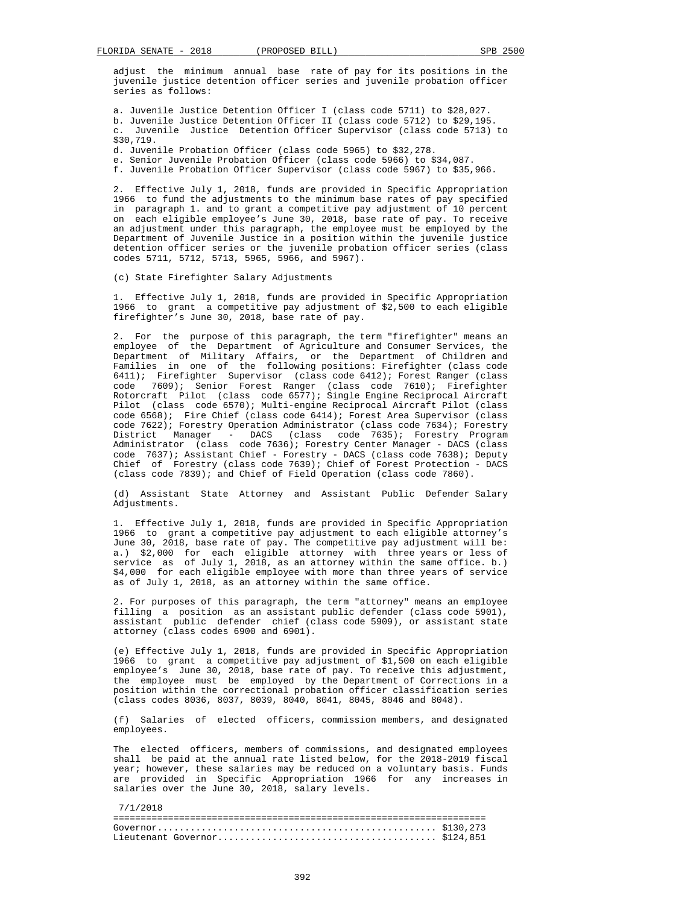adjust the minimum annual base rate of pay for its positions in the juvenile justice detention officer series and juvenile probation officer series as follows:

 a. Juvenile Justice Detention Officer I (class code 5711) to \$28,027. b. Juvenile Justice Detention Officer II (class code 5712) to \$29,195. c. Juvenile Justice Detention Officer Supervisor (class code 5713) to \$30,719.

d. Juvenile Probation Officer (class code 5965) to \$32,278.

e. Senior Juvenile Probation Officer (class code 5966) to \$34,087.

f. Juvenile Probation Officer Supervisor (class code 5967) to \$35,966.

 2. Effective July 1, 2018, funds are provided in Specific Appropriation 1966 to fund the adjustments to the minimum base rates of pay specified in paragraph 1. and to grant a competitive pay adjustment of 10 percent on each eligible employee's June 30, 2018, base rate of pay. To receive an adjustment under this paragraph, the employee must be employed by the Department of Juvenile Justice in a position within the juvenile justice detention officer series or the juvenile probation officer series (class codes 5711, 5712, 5713, 5965, 5966, and 5967).

(c) State Firefighter Salary Adjustments

 1. Effective July 1, 2018, funds are provided in Specific Appropriation 1966 to grant a competitive pay adjustment of \$2,500 to each eligible firefighter's June 30, 2018, base rate of pay.

 2. For the purpose of this paragraph, the term "firefighter" means an employee of the Department of Agriculture and Consumer Services, the Department of Military Affairs, or the Department of Children and Families in one of the following positions: Firefighter (class code 6411); Firefighter Supervisor (class code 6412); Forest Ranger (class code 7609); Senior Forest Ranger (class code 7610); Firefighter Rotorcraft Pilot (class code 6577); Single Engine Reciprocal Aircraft Pilot (class code 6570); Multi-engine Reciprocal Aircraft Pilot (class code 6568); Fire Chief (class code 6414); Forest Area Supervisor (class code 7622); Forestry Operation Administrator (class code 7634); Forestry District Manager - DACS (class code 7635); Forestry Program Administrator (class code 7636); Forestry Center Manager - DACS (class code 7637); Assistant Chief - Forestry - DACS (class code 7638); Deputy Chief of Forestry (class code 7639); Chief of Forest Protection - DACS (class code 7839); and Chief of Field Operation (class code 7860).

 (d) Assistant State Attorney and Assistant Public Defender Salary Adjustments.

 1. Effective July 1, 2018, funds are provided in Specific Appropriation 1966 to grant a competitive pay adjustment to each eligible attorney's June 30, 2018, base rate of pay. The competitive pay adjustment will be: a.) \$2,000 for each eligible attorney with three years or less of service as of July 1, 2018, as an attorney within the same office. b.) \$4,000 for each eligible employee with more than three years of service as of July 1, 2018, as an attorney within the same office.

 2. For purposes of this paragraph, the term "attorney" means an employee filling a position as an assistant public defender (class code 5901), assistant public defender chief (class code 5909), or assistant state attorney (class codes 6900 and 6901).

 (e) Effective July 1, 2018, funds are provided in Specific Appropriation 1966 to grant a competitive pay adjustment of \$1,500 on each eligible employee's June 30, 2018, base rate of pay. To receive this adjustment, the employee must be employed by the Department of Corrections in a position within the correctional probation officer classification series (class codes 8036, 8037, 8039, 8040, 8041, 8045, 8046 and 8048).

 (f) Salaries of elected officers, commission members, and designated employees.

 The elected officers, members of commissions, and designated employees shall be paid at the annual rate listed below, for the 2018-2019 fiscal year; however, these salaries may be reduced on a voluntary basis. Funds are provided in Specific Appropriation 1966 for any increases in salaries over the June 30, 2018, salary levels.

 7/1/2018 ==================================================================== Governor................................................... \$130,273 Lieutenant Governor........................................ \$124,851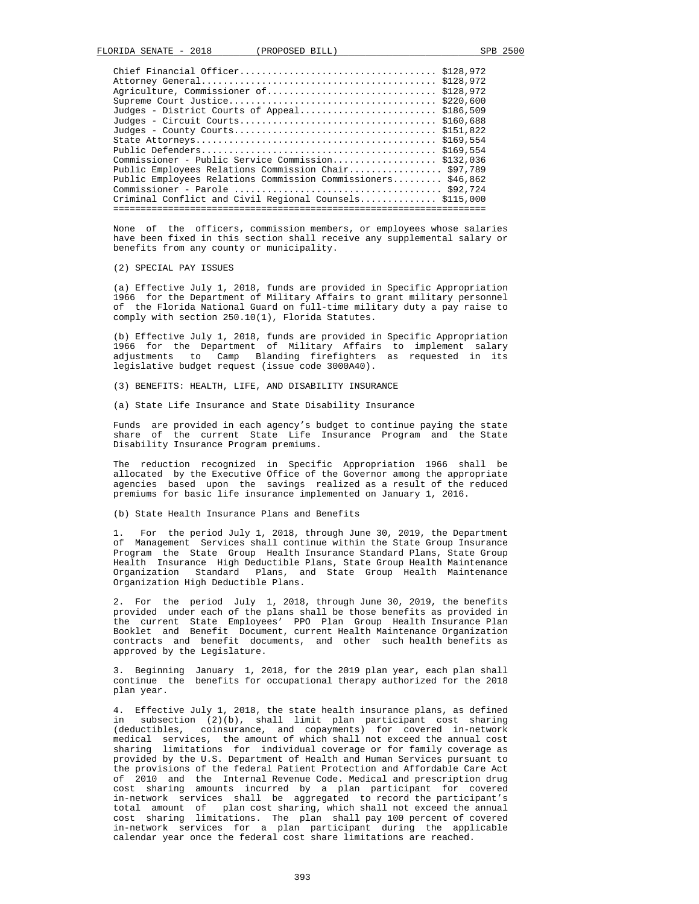| Judges - District Courts of Appeal \$186,509<br>Commissioner - Public Service Commission \$132,036<br>Public Employees Relations Commission Chair \$97,789<br>Public Employees Relations Commission Commissioners \$46,862<br>Criminal Conflict and Civil Regional Counsels \$115,000<br>----------------------- |  |  |
|------------------------------------------------------------------------------------------------------------------------------------------------------------------------------------------------------------------------------------------------------------------------------------------------------------------|--|--|
|                                                                                                                                                                                                                                                                                                                  |  |  |
|                                                                                                                                                                                                                                                                                                                  |  |  |
|                                                                                                                                                                                                                                                                                                                  |  |  |
|                                                                                                                                                                                                                                                                                                                  |  |  |
|                                                                                                                                                                                                                                                                                                                  |  |  |
|                                                                                                                                                                                                                                                                                                                  |  |  |
|                                                                                                                                                                                                                                                                                                                  |  |  |
|                                                                                                                                                                                                                                                                                                                  |  |  |
|                                                                                                                                                                                                                                                                                                                  |  |  |
|                                                                                                                                                                                                                                                                                                                  |  |  |
|                                                                                                                                                                                                                                                                                                                  |  |  |
|                                                                                                                                                                                                                                                                                                                  |  |  |
|                                                                                                                                                                                                                                                                                                                  |  |  |
|                                                                                                                                                                                                                                                                                                                  |  |  |

 None of the officers, commission members, or employees whose salaries have been fixed in this section shall receive any supplemental salary or benefits from any county or municipality.

(2) SPECIAL PAY ISSUES

 (a) Effective July 1, 2018, funds are provided in Specific Appropriation 1966 for the Department of Military Affairs to grant military personnel of the Florida National Guard on full-time military duty a pay raise to comply with section 250.10(1), Florida Statutes.

 (b) Effective July 1, 2018, funds are provided in Specific Appropriation 1966 for the Department of Military Affairs to implement salary adjustments to Camp Blanding firefighters as requested in its legislative budget request (issue code 3000A40).

(3) BENEFITS: HEALTH, LIFE, AND DISABILITY INSURANCE

(a) State Life Insurance and State Disability Insurance

 Funds are provided in each agency's budget to continue paying the state share of the current State Life Insurance Program and the State Disability Insurance Program premiums.

 The reduction recognized in Specific Appropriation 1966 shall be allocated by the Executive Office of the Governor among the appropriate agencies based upon the savings realized as a result of the reduced premiums for basic life insurance implemented on January 1, 2016.

(b) State Health Insurance Plans and Benefits

 1. For the period July 1, 2018, through June 30, 2019, the Department of Management Services shall continue within the State Group Insurance Program the State Group Health Insurance Standard Plans, State Group Health Insurance High Deductible Plans, State Group Health Maintenance Organization Standard Plans, and State Group Health Maintenance Organization High Deductible Plans.

 2. For the period July 1, 2018, through June 30, 2019, the benefits provided under each of the plans shall be those benefits as provided in the current State Employees' PPO Plan Group Health Insurance Plan Booklet and Benefit Document, current Health Maintenance Organization contracts and benefit documents, and other such health benefits as approved by the Legislature.

 3. Beginning January 1, 2018, for the 2019 plan year, each plan shall continue the benefits for occupational therapy authorized for the 2018 plan year.

 4. Effective July 1, 2018, the state health insurance plans, as defined in subsection (2)(b), shall limit plan participant cost sharing (deductibles, coinsurance, and copayments) for covered in-network medical services, the amount of which shall not exceed the annual cost sharing limitations for individual coverage or for family coverage as provided by the U.S. Department of Health and Human Services pursuant to the provisions of the federal Patient Protection and Affordable Care Act of 2010 and the Internal Revenue Code. Medical and prescription drug cost sharing amounts incurred by a plan participant for covered in-network services shall be aggregated to record the participant's total amount of plan cost sharing, which shall not exceed the annual cost sharing limitations. The plan shall pay 100 percent of covered in-network services for a plan participant during the applicable calendar year once the federal cost share limitations are reached.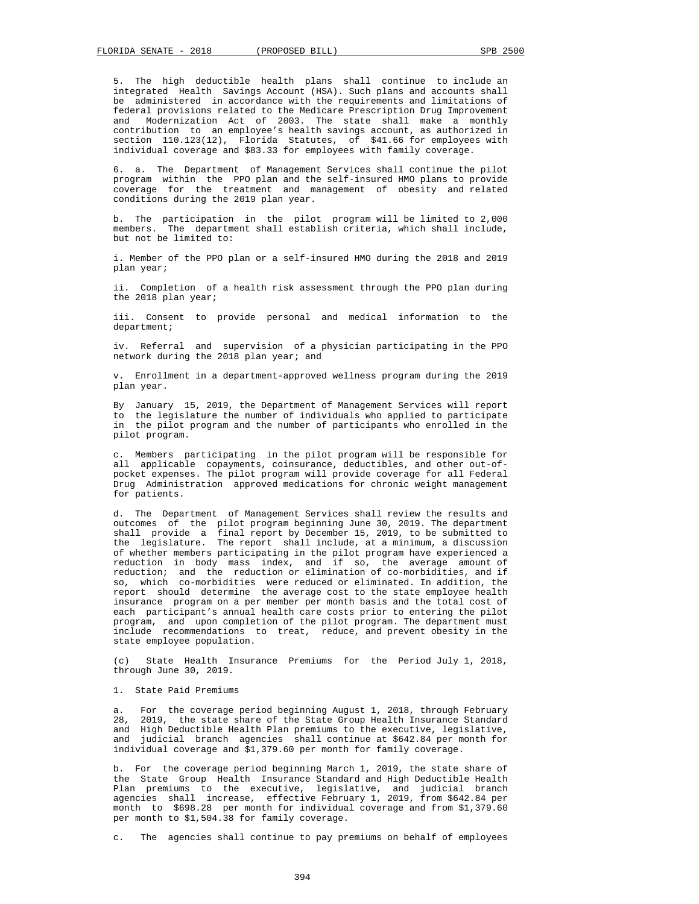5. The high deductible health plans shall continue to include an integrated Health Savings Account (HSA). Such plans and accounts shall be administered in accordance with the requirements and limitations of federal provisions related to the Medicare Prescription Drug Improvement and Modernization Act of 2003. The state shall make a monthly contribution to an employee's health savings account, as authorized in section 110.123(12), Florida Statutes, of \$41.66 for employees with individual coverage and \$83.33 for employees with family coverage.

 6. a. The Department of Management Services shall continue the pilot program within the PPO plan and the self-insured HMO plans to provide coverage for the treatment and management of obesity and related conditions during the 2019 plan year.

 b. The participation in the pilot program will be limited to 2,000 members. The department shall establish criteria, which shall include, but not be limited to:

 i. Member of the PPO plan or a self-insured HMO during the 2018 and 2019 plan year;

 ii. Completion of a health risk assessment through the PPO plan during the 2018 plan year;

 iii. Consent to provide personal and medical information to the department;

 iv. Referral and supervision of a physician participating in the PPO network during the 2018 plan year; and

 v. Enrollment in a department-approved wellness program during the 2019 plan year.

 By January 15, 2019, the Department of Management Services will report to the legislature the number of individuals who applied to participate in the pilot program and the number of participants who enrolled in the pilot program.

 c. Members participating in the pilot program will be responsible for all applicable copayments, coinsurance, deductibles, and other out-of pocket expenses. The pilot program will provide coverage for all Federal Drug Administration approved medications for chronic weight management for patients.

 d. The Department of Management Services shall review the results and outcomes of the pilot program beginning June 30, 2019. The department shall provide a final report by December 15, 2019, to be submitted to the legislature. The report shall include, at a minimum, a discussion of whether members participating in the pilot program have experienced a reduction in body mass index, and if so, the average amount of reduction; and the reduction or elimination of co-morbidities, and if so, which co-morbidities were reduced or eliminated. In addition, the report should determine the average cost to the state employee health insurance program on a per member per month basis and the total cost of each participant's annual health care costs prior to entering the pilot program, and upon completion of the pilot program. The department must include recommendations to treat, reduce, and prevent obesity in the state employee population.

 (c) State Health Insurance Premiums for the Period July 1, 2018, through June 30, 2019.

1. State Paid Premiums

For the coverage period beginning August 1, 2018, through February 28, 2019, the state share of the State Group Health Insurance Standard and High Deductible Health Plan premiums to the executive, legislative, and judicial branch agencies shall continue at \$642.84 per month for individual coverage and \$1,379.60 per month for family coverage.

 b. For the coverage period beginning March 1, 2019, the state share of the State Group Health Insurance Standard and High Deductible Health Plan premiums to the executive, legislative, and judicial branch agencies shall increase, effective February 1, 2019, from \$642.84 per month to \$698.28 per month for individual coverage and from \$1,379.60 per month to \$1,504.38 for family coverage.

c. The agencies shall continue to pay premiums on behalf of employees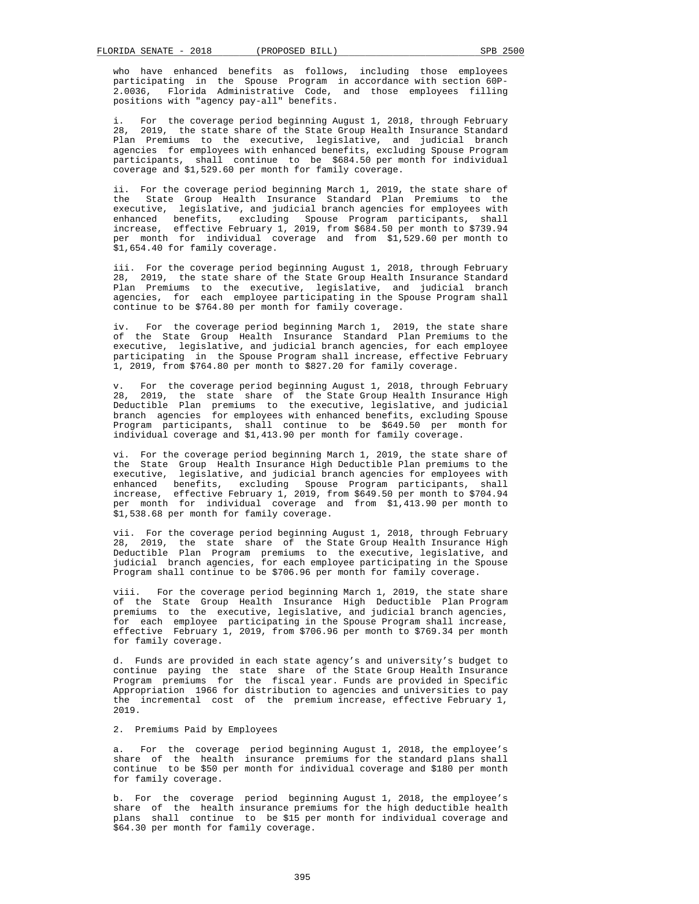who have enhanced benefits as follows, including those employees participating in the Spouse Program in accordance with section 60P- 2.0036, Florida Administrative Code, and those employees filling positions with "agency pay-all" benefits.

For the coverage period beginning August 1, 2018, through February 28. 2019, the state share of the State Group Health Insurance Standard Plan Premiums to the executive, legislative, and judicial branch agencies for employees with enhanced benefits, excluding Spouse Program participants, shall continue to be \$684.50 per month for individual coverage and \$1,529.60 per month for family coverage.

 ii. For the coverage period beginning March 1, 2019, the state share of the State Group Health Insurance Standard Plan Premiums to the executive, legislative, and judicial branch agencies for employees with enhanced benefits, excluding Spouse Program participants, shall<br>increase, effective February 1, 2019, from \$684.50 per month to \$739.94 effective February 1, 2019, from  $$684.50$  per month to \$739.94 per month for individual coverage and from \$1,529.60 per month to \$1,654.40 for family coverage.

 iii. For the coverage period beginning August 1, 2018, through February 28, 2019, the state share of the State Group Health Insurance Standard Plan Premiums to the executive, legislative, and judicial branch agencies, for each employee participating in the Spouse Program shall continue to be \$764.80 per month for family coverage.

 iv. For the coverage period beginning March 1, 2019, the state share of the State Group Health Insurance Standard Plan Premiums to the executive, legislative, and judicial branch agencies, for each employee participating in the Spouse Program shall increase, effective February 1, 2019, from \$764.80 per month to \$827.20 for family coverage.

For the coverage period beginning August 1, 2018, through February 28, 2019, the state share of the State Group Health Insurance High Deductible Plan premiums to the executive, legislative, and judicial branch agencies for employees with enhanced benefits, excluding Spouse Program participants, shall continue to be \$649.50 per month for individual coverage and \$1,413.90 per month for family coverage.

 vi. For the coverage period beginning March 1, 2019, the state share of the State Group Health Insurance High Deductible Plan premiums to the executive, legislative, and judicial branch agencies for employees with executive, legislative, and judicial branch agencies for employees with<br>enhanced benefits, excluding Spouse Program participants, shall<br>increase, effective February 1, 2019, from \$649.50 per month to \$704.94 effective February 1, 2019, from \$649.50 per month to \$704.94 per month for individual coverage and from \$1,413.90 per month to \$1,538.68 per month for family coverage.

 vii. For the coverage period beginning August 1, 2018, through February 28, 2019, the state share of the State Group Health Insurance High Deductible Plan Program premiums to the executive, legislative, and judicial branch agencies, for each employee participating in the Spouse Program shall continue to be \$706.96 per month for family coverage.

 viii. For the coverage period beginning March 1, 2019, the state share of the State Group Health Insurance High Deductible Plan Program premiums to the executive, legislative, and judicial branch agencies, for each employee participating in the Spouse Program shall increase, effective February 1, 2019, from \$706.96 per month to \$769.34 per month for family coverage.

 d. Funds are provided in each state agency's and university's budget to continue paying the state share of the State Group Health Insurance Program premiums for the fiscal year. Funds are provided in Specific Appropriation 1966 for distribution to agencies and universities to pay the incremental cost of the premium increase, effective February 1, 2019.

## 2. Premiums Paid by Employees

 a. For the coverage period beginning August 1, 2018, the employee's share of the health insurance premiums for the standard plans shall continue to be \$50 per month for individual coverage and \$180 per month for family coverage.

 b. For the coverage period beginning August 1, 2018, the employee's share of the health insurance premiums for the high deductible health plans shall continue to be \$15 per month for individual coverage and \$64.30 per month for family coverage.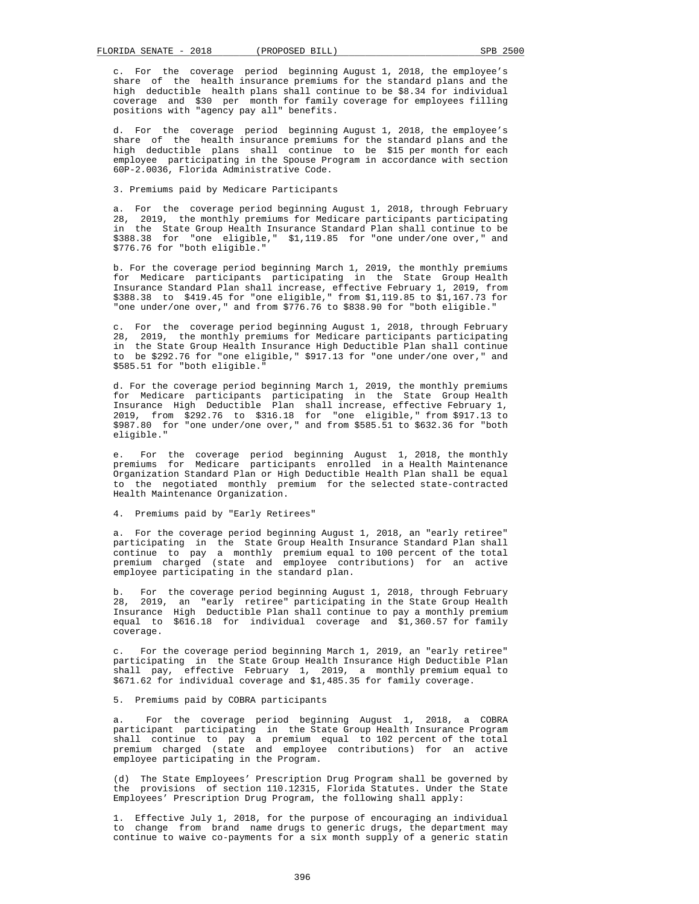c. For the coverage period beginning August 1, 2018, the employee's share of the health insurance premiums for the standard plans and the high deductible health plans shall continue to be \$8.34 for individual coverage and \$30 per month for family coverage for employees filling positions with "agency pay all" benefits.

 d. For the coverage period beginning August 1, 2018, the employee's share of the health insurance premiums for the standard plans and the high deductible plans shall continue to be \$15 per month for each employee participating in the Spouse Program in accordance with section 60P-2.0036, Florida Administrative Code.

3. Premiums paid by Medicare Participants

 a. For the coverage period beginning August 1, 2018, through February 28, 2019, the monthly premiums for Medicare participants participating in the State Group Health Insurance Standard Plan shall continue to be \$388.38 for "one eligible," \$1,119.85 for "one under/one over," and \$776.76 for "both eligible."

 b. For the coverage period beginning March 1, 2019, the monthly premiums for Medicare participants participating in the State Group Health Insurance Standard Plan shall increase, effective February 1, 2019, from \$388.38 to \$419.45 for "one eligible," from \$1,119.85 to \$1,167.73 for "one under/one over," and from \$776.76 to \$838.90 for "both eligible."

 c. For the coverage period beginning August 1, 2018, through February 28, 2019, the monthly premiums for Medicare participants participating in the State Group Health Insurance High Deductible Plan shall continue to be \$292.76 for "one eligible," \$917.13 for "one under/one over," and \$585.51 for "both eligible."

 d. For the coverage period beginning March 1, 2019, the monthly premiums for Medicare participants participating in the State Group Health Insurance High Deductible Plan shall increase, effective February 1, 2019, from \$292.76 to \$316.18 for "one eligible," from \$917.13 to \$987.80 for "one under/one over," and from \$585.51 to \$632.36 for "both eligible."

 e. For the coverage period beginning August 1, 2018, the monthly premiums for Medicare participants enrolled in a Health Maintenance Organization Standard Plan or High Deductible Health Plan shall be equal to the negotiated monthly premium for the selected state-contracted Health Maintenance Organization.

4. Premiums paid by "Early Retirees"

 a. For the coverage period beginning August 1, 2018, an "early retiree" participating in the State Group Health Insurance Standard Plan shall continue to pay a monthly premium equal to 100 percent of the total premium charged (state and employee contributions) for an active employee participating in the standard plan.

 b. For the coverage period beginning August 1, 2018, through February b. For the coverage period beginning augube 1, 2010, the State Group Health<br>28, 2019, an "early retiree" participating in the State Group Health Insurance High Deductible Plan shall continue to pay a monthly premium equal to \$616.18 for individual coverage and \$1,360.57 for family coverage.

 c. For the coverage period beginning March 1, 2019, an "early retiree" participating in the State Group Health Insurance High Deductible Plan shall pay, effective February 1, 2019, a monthly premium equal to \$671.62 for individual coverage and \$1,485.35 for family coverage.

5. Premiums paid by COBRA participants

For the coverage period beginning August 1, 2018, a COBRA participant participating in the State Group Health Insurance Program shall continue to pay a premium equal to 102 percent of the total premium charged (state and employee contributions) for an active employee participating in the Program.

 (d) The State Employees' Prescription Drug Program shall be governed by the provisions of section 110.12315, Florida Statutes. Under the State Employees' Prescription Drug Program, the following shall apply:

 1. Effective July 1, 2018, for the purpose of encouraging an individual to change from brand name drugs to generic drugs, the department may continue to waive co-payments for a six month supply of a generic statin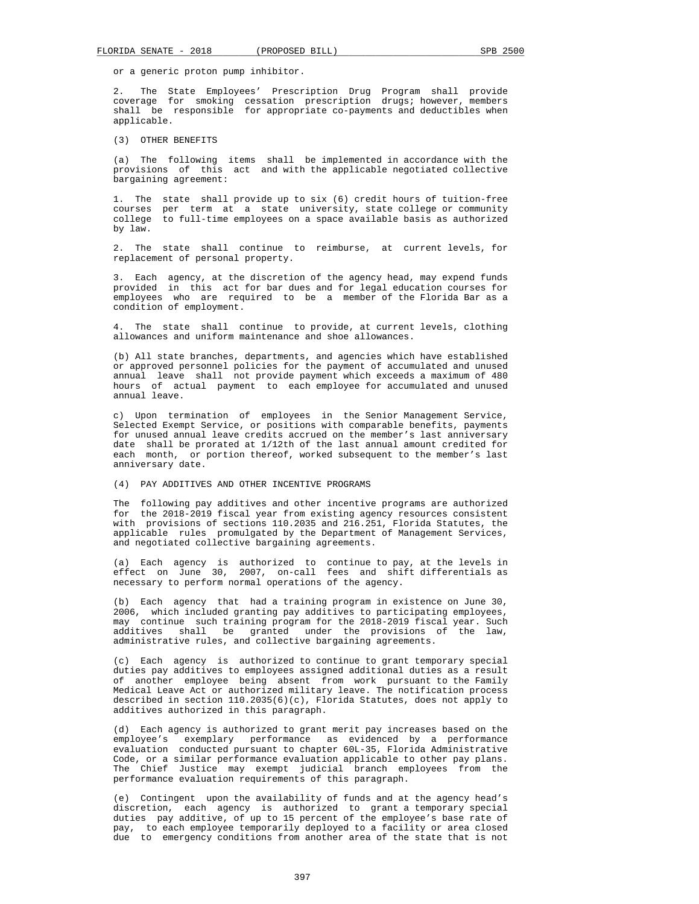or a generic proton pump inhibitor.

 2. The State Employees' Prescription Drug Program shall provide coverage for smoking cessation prescription drugs; however, members shall be responsible for appropriate co-payments and deductibles when applicable.

(3) OTHER BENEFITS

 (a) The following items shall be implemented in accordance with the provisions of this act and with the applicable negotiated collective bargaining agreement:

 1. The state shall provide up to six (6) credit hours of tuition-free courses per term at a state university, state college or community college to full-time employees on a space available basis as authorized by law.

 2. The state shall continue to reimburse, at current levels, for replacement of personal property.

 3. Each agency, at the discretion of the agency head, may expend funds provided in this act for bar dues and for legal education courses for employees who are required to be a member of the Florida Bar as a condition of employment.

 4. The state shall continue to provide, at current levels, clothing allowances and uniform maintenance and shoe allowances.

 (b) All state branches, departments, and agencies which have established or approved personnel policies for the payment of accumulated and unused annual leave shall not provide payment which exceeds a maximum of 480 hours of actual payment to each employee for accumulated and unused annual leave.

 c) Upon termination of employees in the Senior Management Service, Selected Exempt Service, or positions with comparable benefits, payments for unused annual leave credits accrued on the member's last anniversary date shall be prorated at 1/12th of the last annual amount credited for each month, or portion thereof, worked subsequent to the member's last anniversary date.

#### (4) PAY ADDITIVES AND OTHER INCENTIVE PROGRAMS

 The following pay additives and other incentive programs are authorized for the 2018-2019 fiscal year from existing agency resources consistent with provisions of sections 110.2035 and 216.251, Florida Statutes, the applicable rules promulgated by the Department of Management Services, and negotiated collective bargaining agreements.

 (a) Each agency is authorized to continue to pay, at the levels in effect on June 30, 2007, on-call fees and shift differentials as necessary to perform normal operations of the agency.

 (b) Each agency that had a training program in existence on June 30, 2006, which included granting pay additives to participating employees, may continue such training program for the 2018-2019 fiscal year. Such additives shall be granted under the provisions of the law, administrative rules, and collective bargaining agreements.

 (c) Each agency is authorized to continue to grant temporary special duties pay additives to employees assigned additional duties as a result of another employee being absent from work pursuant to the Family Medical Leave Act or authorized military leave. The notification process described in section 110.2035(6)(c), Florida Statutes, does not apply to additives authorized in this paragraph.

 (d) Each agency is authorized to grant merit pay increases based on the employee's exemplary performance as evidenced by a performance evaluation conducted pursuant to chapter 60L-35, Florida Administrative Code, or a similar performance evaluation applicable to other pay plans. The Chief Justice may exempt judicial branch employees from the performance evaluation requirements of this paragraph.

 (e) Contingent upon the availability of funds and at the agency head's discretion, each agency is authorized to grant a temporary special duties pay additive, of up to 15 percent of the employee's base rate of pay, to each employee temporarily deployed to a facility or area closed due to emergency conditions from another area of the state that is not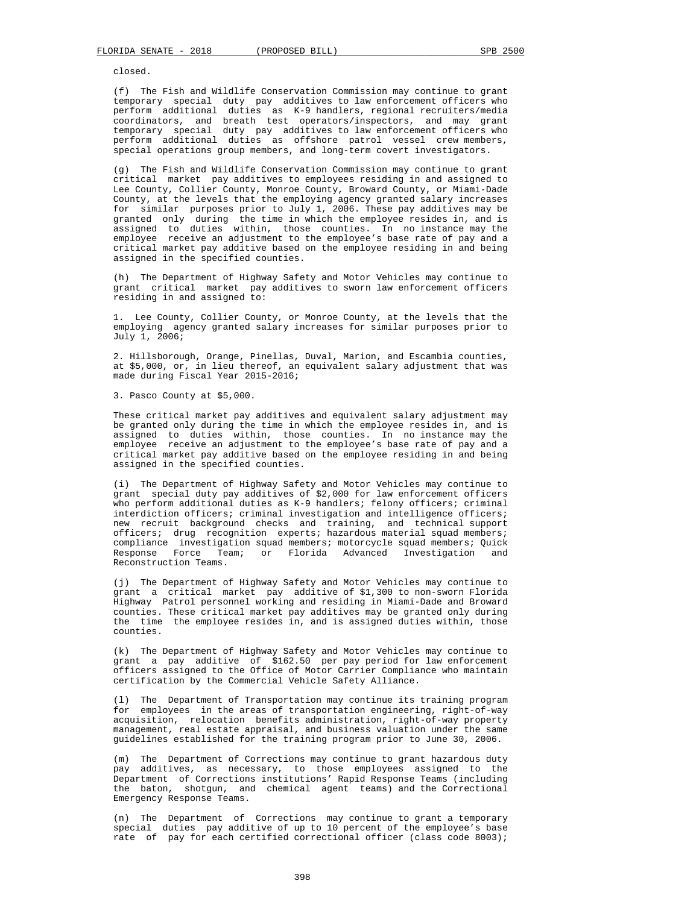closed.

 (f) The Fish and Wildlife Conservation Commission may continue to grant temporary special duty pay additives to law enforcement officers who perform additional duties as K-9 handlers, regional recruiters/media coordinators, and breath test operators/inspectors, and may grant temporary special duty pay additives to law enforcement officers who perform additional duties as offshore patrol vessel crew members, special operations group members, and long-term covert investigators.

 (g) The Fish and Wildlife Conservation Commission may continue to grant critical market pay additives to employees residing in and assigned to Lee County, Collier County, Monroe County, Broward County, or Miami-Dade County, at the levels that the employing agency granted salary increases for similar purposes prior to July 1, 2006. These pay additives may be granted only during the time in which the employee resides in, and is assigned to duties within, those counties. In no instance may the employee receive an adjustment to the employee's base rate of pay and a critical market pay additive based on the employee residing in and being assigned in the specified counties.

 (h) The Department of Highway Safety and Motor Vehicles may continue to grant critical market pay additives to sworn law enforcement officers residing in and assigned to:

 1. Lee County, Collier County, or Monroe County, at the levels that the employing agency granted salary increases for similar purposes prior to July 1, 2006;

 2. Hillsborough, Orange, Pinellas, Duval, Marion, and Escambia counties, at \$5,000, or, in lieu thereof, an equivalent salary adjustment that was made during Fiscal Year 2015-2016;

3. Pasco County at \$5,000.

 These critical market pay additives and equivalent salary adjustment may be granted only during the time in which the employee resides in, and is assigned to duties within, those counties. In no instance may the employee receive an adjustment to the employee's base rate of pay and a critical market pay additive based on the employee residing in and being assigned in the specified counties.

 (i) The Department of Highway Safety and Motor Vehicles may continue to grant special duty pay additives of \$2,000 for law enforcement officers who perform additional duties as K-9 handlers; felony officers; criminal interdiction officers; criminal investigation and intelligence officers; new recruit background checks and training, and technical support officers; drug recognition experts; hazardous material squad members; compliance investigation squad members; motorcycle squad members; Quick Response Force Team; or Florida Advanced Investigation and Reconstruction Teams.

 (j) The Department of Highway Safety and Motor Vehicles may continue to grant a critical market pay additive of \$1,300 to non-sworn Florida Highway Patrol personnel working and residing in Miami-Dade and Broward counties. These critical market pay additives may be granted only during the time the employee resides in, and is assigned duties within, those counties.

 (k) The Department of Highway Safety and Motor Vehicles may continue to grant a pay additive of \$162.50 per pay period for law enforcement officers assigned to the Office of Motor Carrier Compliance who maintain certification by the Commercial Vehicle Safety Alliance.

 (l) The Department of Transportation may continue its training program for employees in the areas of transportation engineering, right-of-way acquisition, relocation benefits administration, right-of-way property management, real estate appraisal, and business valuation under the same guidelines established for the training program prior to June 30, 2006.

 (m) The Department of Corrections may continue to grant hazardous duty pay additives, as necessary, to those employees assigned to the Department of Corrections institutions' Rapid Response Teams (including the baton, shotgun, and chemical agent teams) and the Correctional Emergency Response Teams.

 (n) The Department of Corrections may continue to grant a temporary special duties pay additive of up to 10 percent of the employee's base rate of pay for each certified correctional officer (class code 8003);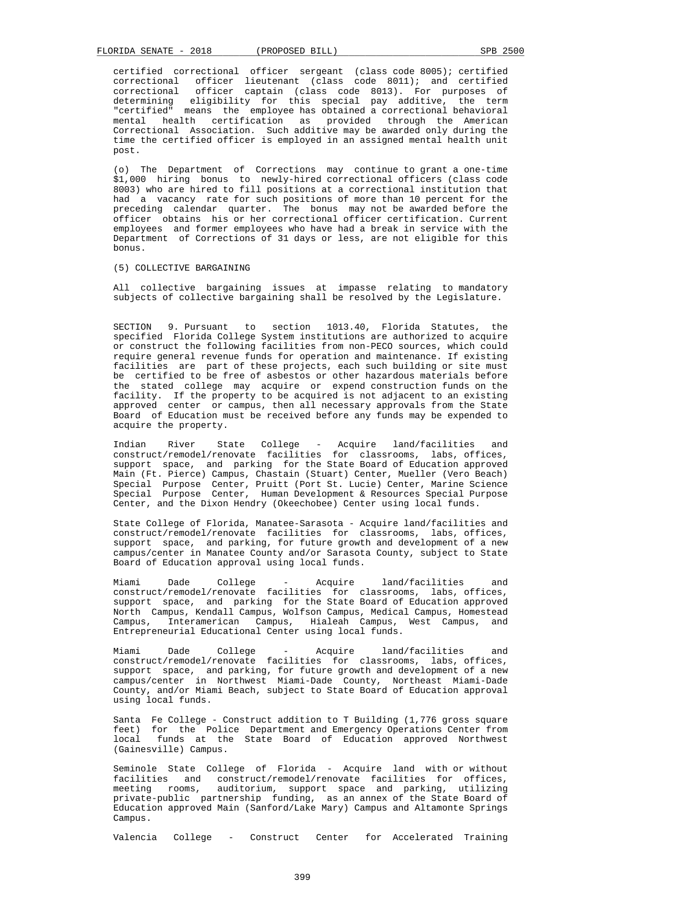certified correctional officer sergeant (class code 8005); certified correctional officer lieutenant (class code 8011); and certified correctional officer captain (class code 8013). For purposes of determining eligibility for this special pay additive, the term "certified" means the employee has obtained a correctional behavioral mental health certification as provided through the American Correctional Association. Such additive may be awarded only during the time the certified officer is employed in an assigned mental health unit post.

 (o) The Department of Corrections may continue to grant a one-time \$1,000 hiring bonus to newly-hired correctional officers (class code 8003) who are hired to fill positions at a correctional institution that had a vacancy rate for such positions of more than 10 percent for the preceding calendar quarter. The bonus may not be awarded before the officer obtains his or her correctional officer certification. Current employees and former employees who have had a break in service with the Department of Corrections of 31 days or less, are not eligible for this bonus.

#### (5) COLLECTIVE BARGAINING

 All collective bargaining issues at impasse relating to mandatory subjects of collective bargaining shall be resolved by the Legislature.

 SECTION 9. Pursuant to section 1013.40, Florida Statutes, the specified Florida College System institutions are authorized to acquire or construct the following facilities from non-PECO sources, which could require general revenue funds for operation and maintenance. If existing facilities are part of these projects, each such building or site must be certified to be free of asbestos or other hazardous materials before the stated college may acquire or expend construction funds on the facility. If the property to be acquired is not adjacent to an existing approved center or campus, then all necessary approvals from the State Board of Education must be received before any funds may be expended to acquire the property.

 Indian River State College - Acquire land/facilities and construct/remodel/renovate facilities for classrooms, labs, offices, support space, and parking for the State Board of Education approved Main (Ft. Pierce) Campus, Chastain (Stuart) Center, Mueller (Vero Beach) Special Purpose Center, Pruitt (Port St. Lucie) Center, Marine Science Special Purpose Center, Human Development & Resources Special Purpose Center, and the Dixon Hendry (Okeechobee) Center using local funds.

 State College of Florida, Manatee-Sarasota - Acquire land/facilities and construct/remodel/renovate facilities for classrooms, labs, offices, support space, and parking, for future growth and development of a new campus/center in Manatee County and/or Sarasota County, subject to State Board of Education approval using local funds.

 Miami Dade College - Acquire land/facilities and construct/remodel/renovate facilities for classrooms, labs, offices, support space, and parking for the State Board of Education approved North Campus, Kendall Campus, Wolfson Campus, Medical Campus, Homestead Campus, Interamerican Campus, Hialeah Campus, West Campus, and Entrepreneurial Educational Center using local funds.

 Miami Dade College - Acquire land/facilities and construct/remodel/renovate facilities for classrooms, labs, offices, support space, and parking, for future growth and development of a new campus/center in Northwest Miami-Dade County, Northeast Miami-Dade County, and/or Miami Beach, subject to State Board of Education approval using local funds.

 Santa Fe College - Construct addition to T Building (1,776 gross square feet) for the Police Department and Emergency Operations Center from local funds at the State Board of Education approved Northwest (Gainesville) Campus.

 Seminole State College of Florida - Acquire land with or without facilities and construct/remodel/renovate facilities for offices, meeting rooms, auditorium, support space and parking, utilizing private-public partnership funding, as an annex of the State Board of Education approved Main (Sanford/Lake Mary) Campus and Altamonte Springs Campus.

Valencia College - Construct Center for Accelerated Training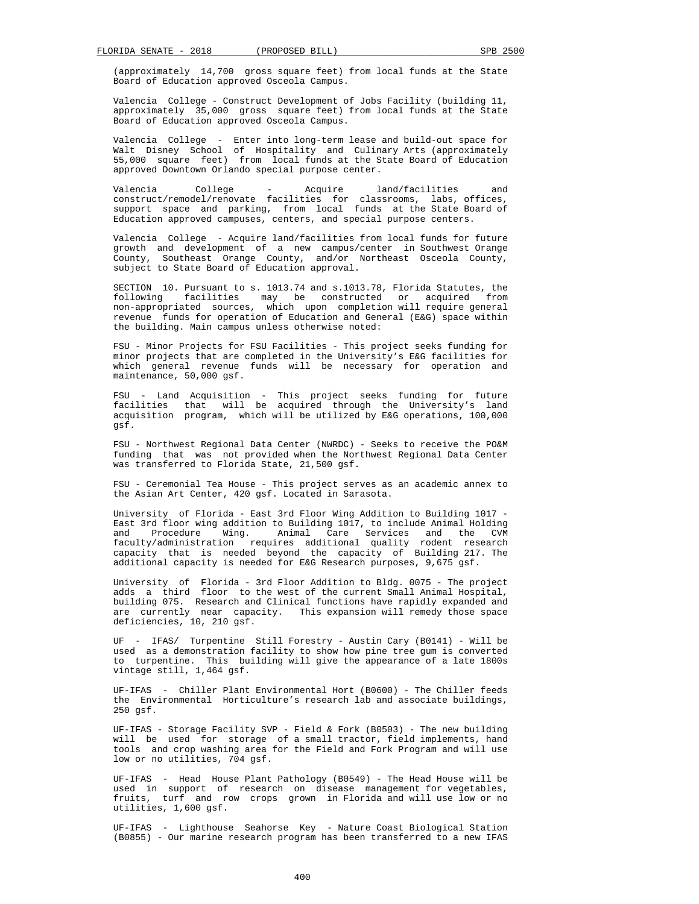(approximately 14,700 gross square feet) from local funds at the State Board of Education approved Osceola Campus.

 Valencia College - Construct Development of Jobs Facility (building 11, approximately 35,000 gross square feet) from local funds at the State Board of Education approved Osceola Campus.

 Valencia College - Enter into long-term lease and build-out space for Walt Disney School of Hospitality and Culinary Arts (approximately 55,000 square feet) from local funds at the State Board of Education approved Downtown Orlando special purpose center.

 Valencia College - Acquire land/facilities and construct/remodel/renovate facilities for classrooms, labs, offices, support space and parking, from local funds at the State Board of Education approved campuses, centers, and special purpose centers.

 Valencia College - Acquire land/facilities from local funds for future growth and development of a new campus/center in Southwest Orange County, Southeast Orange County, and/or Northeast Osceola County, subject to State Board of Education approval.

 SECTION 10. Pursuant to s. 1013.74 and s.1013.78, Florida Statutes, the following facilities may be constructed or acquired from non-appropriated sources, which upon completion will require general revenue funds for operation of Education and General (E&G) space within the building. Main campus unless otherwise noted:

 FSU - Minor Projects for FSU Facilities - This project seeks funding for minor projects that are completed in the University's E&G facilities for which general revenue funds will be necessary for operation and maintenance, 50,000 gsf.

 FSU - Land Acquisition - This project seeks funding for future facilities that will be acquired through the University's land acquisition program, which will be utilized by E&G operations, 100,000 gsf.

 FSU - Northwest Regional Data Center (NWRDC) - Seeks to receive the PO&M funding that was not provided when the Northwest Regional Data Center was transferred to Florida State, 21,500 gsf.

 FSU - Ceremonial Tea House - This project serves as an academic annex to the Asian Art Center, 420 gsf. Located in Sarasota.

 University of Florida - East 3rd Floor Wing Addition to Building 1017 - East 3rd floor wing addition to Building 1017, to include Animal Holding<br>and Procedure Wing. Animal Care Services and the CVM Procedure Wing. Animal Care Services and the CVM faculty/administration requires additional quality rodent research capacity that is needed beyond the capacity of Building 217. The additional capacity is needed for E&G Research purposes, 9,675 gsf.

 University of Florida - 3rd Floor Addition to Bldg. 0075 - The project adds a third floor to the west of the current Small Animal Hospital, building 075. Research and Clinical functions have rapidly expanded and are currently near capacity. This expansion will remedy those space deficiencies, 10, 210 gsf.

 UF - IFAS/ Turpentine Still Forestry - Austin Cary (B0141) - Will be used as a demonstration facility to show how pine tree gum is converted to turpentine. This building will give the appearance of a late 1800s vintage still, 1,464 gsf.

 UF-IFAS - Chiller Plant Environmental Hort (B0600) - The Chiller feeds the Environmental Horticulture's research lab and associate buildings, 250 gsf.

 UF-IFAS - Storage Facility SVP - Field & Fork (B0503) - The new building will be used for storage of a small tractor, field implements, hand tools and crop washing area for the Field and Fork Program and will use low or no utilities, 704 gsf.

 UF-IFAS - Head House Plant Pathology (B0549) - The Head House will be used in support of research on disease management for vegetables, fruits, turf and row crops grown in Florida and will use low or no utilities, 1,600 gsf.

 UF-IFAS - Lighthouse Seahorse Key - Nature Coast Biological Station (B0855) - Our marine research program has been transferred to a new IFAS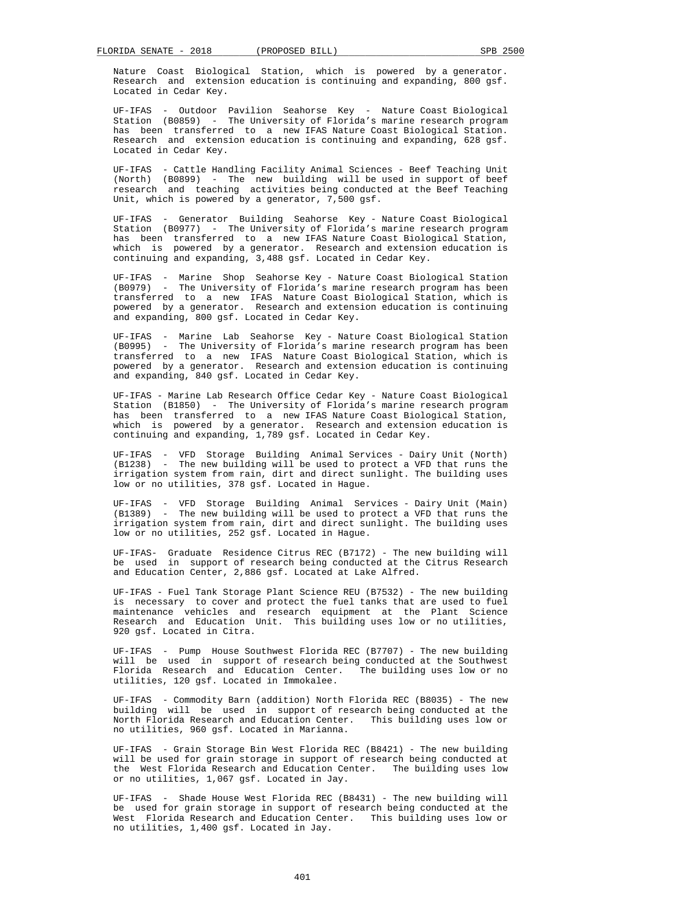Nature Coast Biological Station, which is powered by a generator. Research and extension education is continuing and expanding, 800 gsf. Located in Cedar Key.

 UF-IFAS - Outdoor Pavilion Seahorse Key - Nature Coast Biological Station (B0859) - The University of Florida's marine research program has been transferred to a new IFAS Nature Coast Biological Station. Research and extension education is continuing and expanding, 628 gsf. Located in Cedar Key.

 UF-IFAS - Cattle Handling Facility Animal Sciences - Beef Teaching Unit (North) (B0899) - The new building will be used in support of beef research and teaching activities being conducted at the Beef Teaching Unit, which is powered by a generator,  $7,500$  gsf.

 UF-IFAS - Generator Building Seahorse Key - Nature Coast Biological Station (B0977) - The University of Florida's marine research program has been transferred to a new IFAS Nature Coast Biological Station, which is powered by a generator. Research and extension education is continuing and expanding, 3,488 gsf. Located in Cedar Key.

 UF-IFAS - Marine Shop Seahorse Key - Nature Coast Biological Station (B0979) - The University of Florida's marine research program has been transferred to a new IFAS Nature Coast Biological Station, which is powered by a generator. Research and extension education is continuing and expanding, 800 gsf. Located in Cedar Key.

 UF-IFAS - Marine Lab Seahorse Key - Nature Coast Biological Station (B0995) - The University of Florida's marine research program has been transferred to a new IFAS Nature Coast Biological Station, which is powered by a generator. Research and extension education is continuing and expanding, 840 gsf. Located in Cedar Key.

 UF-IFAS - Marine Lab Research Office Cedar Key - Nature Coast Biological Station (B1850) - The University of Florida's marine research program has been transferred to a new IFAS Nature Coast Biological Station, which is powered by a generator. Research and extension education is continuing and expanding, 1,789 gsf. Located in Cedar Key.

 UF-IFAS - VFD Storage Building Animal Services - Dairy Unit (North) (B1238) - The new building will be used to protect a VFD that runs the irrigation system from rain, dirt and direct sunlight. The building uses low or no utilities, 378 gsf. Located in Hague.

 UF-IFAS - VFD Storage Building Animal Services - Dairy Unit (Main) (B1389) - The new building will be used to protect a VFD that runs the irrigation system from rain, dirt and direct sunlight. The building uses low or no utilities, 252 gsf. Located in Hague.

 UF-IFAS- Graduate Residence Citrus REC (B7172) - The new building will be used in support of research being conducted at the Citrus Research and Education Center, 2,886 gsf. Located at Lake Alfred.

 UF-IFAS - Fuel Tank Storage Plant Science REU (B7532) - The new building is necessary to cover and protect the fuel tanks that are used to fuel maintenance vehicles and research equipment at the Plant Science Research and Education Unit. This building uses low or no utilities, 920 gsf. Located in Citra.

 UF-IFAS - Pump House Southwest Florida REC (B7707) - The new building will be used in support of research being conducted at the Southwest Florida Research and Education Center. The building uses low or no utilities, 120 gsf. Located in Immokalee.

 UF-IFAS - Commodity Barn (addition) North Florida REC (B8035) - The new building will be used in support of research being conducted at the North Florida Research and Education Center. This building uses low or no utilities, 960 gsf. Located in Marianna.

 UF-IFAS - Grain Storage Bin West Florida REC (B8421) - The new building will be used for grain storage in support of research being conducted at the West Florida Research and Education Center. The building uses low or no utilities, 1,067 gsf. Located in Jay.

 UF-IFAS - Shade House West Florida REC (B8431) - The new building will be used for grain storage in support of research being conducted at the West Florida Research and Education Center. This building uses low or no utilities, 1,400 gsf. Located in Jay.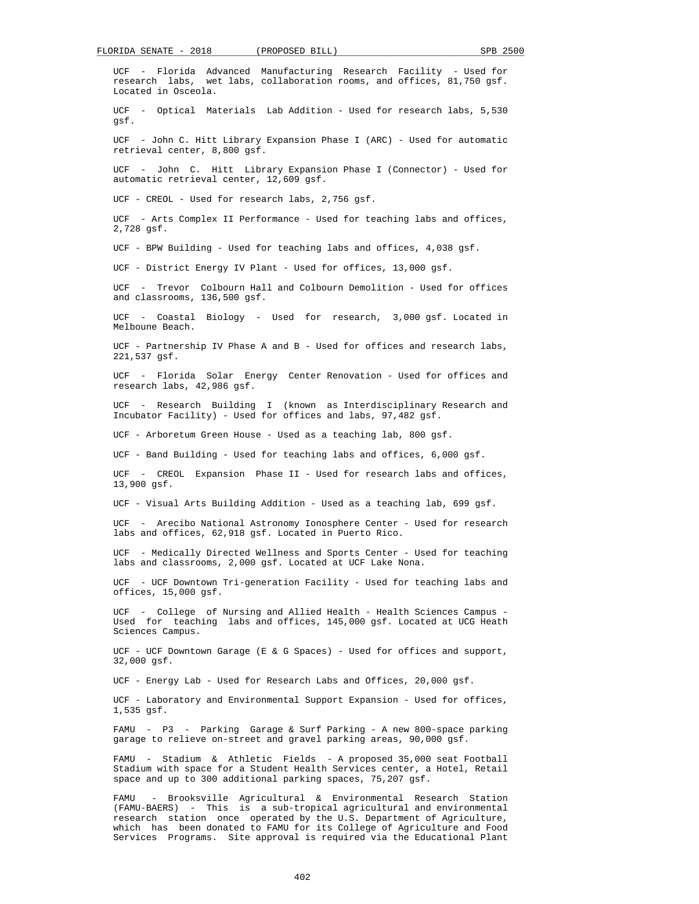UCF - Florida Advanced Manufacturing Research Facility - Used for research labs, wet labs, collaboration rooms, and offices, 81,750 gsf. Located in Osceola. UCF - Optical Materials Lab Addition - Used for research labs, 5,530 gsf. UCF - John C. Hitt Library Expansion Phase I (ARC) - Used for automatic retrieval center, 8,800 gsf. UCF - John C. Hitt Library Expansion Phase I (Connector) - Used for automatic retrieval center, 12,609 gsf. UCF - CREOL - Used for research labs, 2,756 gsf. UCF - Arts Complex II Performance - Used for teaching labs and offices, 2,728 gsf. UCF - BPW Building - Used for teaching labs and offices, 4,038 gsf. UCF - District Energy IV Plant - Used for offices, 13,000 gsf. UCF - Trevor Colbourn Hall and Colbourn Demolition - Used for offices and classrooms, 136,500 gsf. UCF - Coastal Biology - Used for research, 3,000 gsf. Located in Melboune Beach. UCF - Partnership IV Phase A and B - Used for offices and research labs, 221,537 gsf. UCF - Florida Solar Energy Center Renovation - Used for offices and research labs, 42,986 gsf. UCF - Research Building I (known as Interdisciplinary Research and Incubator Facility) - Used for offices and labs, 97,482 gsf. UCF - Arboretum Green House - Used as a teaching lab, 800 gsf. UCF - Band Building - Used for teaching labs and offices, 6,000 gsf. UCF - CREOL Expansion Phase II - Used for research labs and offices, 13,900 gsf. UCF - Visual Arts Building Addition - Used as a teaching lab, 699 gsf. UCF - Arecibo National Astronomy Ionosphere Center - Used for research labs and offices, 62,918 gsf. Located in Puerto Rico. UCF - Medically Directed Wellness and Sports Center - Used for teaching labs and classrooms, 2,000 gsf. Located at UCF Lake Nona. UCF - UCF Downtown Tri-generation Facility - Used for teaching labs and offices, 15,000 gsf. UCF - College of Nursing and Allied Health - Health Sciences Campus - Used for teaching labs and offices, 145,000 gsf. Located at UCG Heath Sciences Campus. UCF - UCF Downtown Garage (E & G Spaces) - Used for offices and support, 32,000 gsf. UCF - Energy Lab - Used for Research Labs and Offices, 20,000 gsf. UCF - Laboratory and Environmental Support Expansion - Used for offices, 1,535 gsf. FAMU - P3 - Parking Garage & Surf Parking - A new 800-space parking garage to relieve on-street and gravel parking areas, 90,000 gsf. FAMU - Stadium & Athletic Fields - A proposed 35,000 seat Football Stadium with space for a Student Health Services center, a Hotel, Retail space and up to 300 additional parking spaces, 75,207 gsf. FAMU - Brooksville Agricultural & Environmental Research Station

 (FAMU-BAERS) - This is a sub-tropical agricultural and environmental research station once operated by the U.S. Department of Agriculture, which has been donated to FAMU for its College of Agriculture and Food Services Programs. Site approval is required via the Educational Plant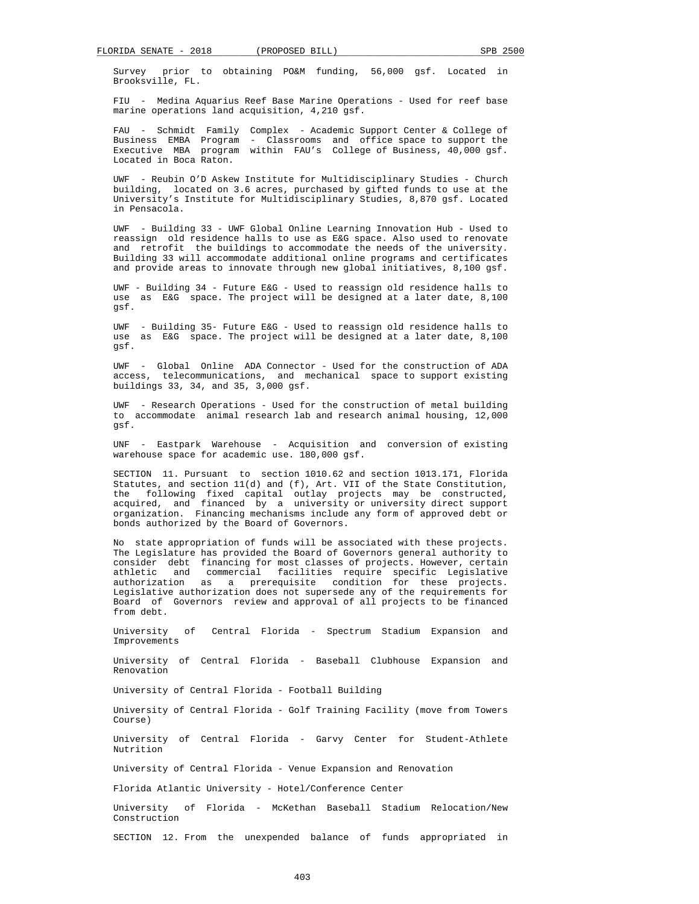Survey prior to obtaining PO&M funding, 56,000 gsf. Located in Brooksville, FL.

 FIU - Medina Aquarius Reef Base Marine Operations - Used for reef base marine operations land acquisition, 4,210 gsf.

 FAU - Schmidt Family Complex - Academic Support Center & College of Business EMBA Program - Classrooms and office space to support the Executive MBA program within FAU's College of Business, 40,000 gsf. Located in Boca Raton.

 UWF - Reubin O'D Askew Institute for Multidisciplinary Studies - Church building, located on 3.6 acres, purchased by gifted funds to use at the University's Institute for Multidisciplinary Studies, 8,870 gsf. Located in Pensacola.

 UWF - Building 33 - UWF Global Online Learning Innovation Hub - Used to reassign old residence halls to use as E&G space. Also used to renovate and retrofit the buildings to accommodate the needs of the university. Building 33 will accommodate additional online programs and certificates and provide areas to innovate through new global initiatives, 8,100 gsf.

 UWF - Building 34 - Future E&G - Used to reassign old residence halls to use as E&G space. The project will be designed at a later date, 8,100 gsf.

 UWF - Building 35- Future E&G - Used to reassign old residence halls to use as E&G space. The project will be designed at a later date, 8,100 gsf.

 UWF - Global Online ADA Connector - Used for the construction of ADA access, telecommunications, and mechanical space to support existing buildings 33, 34, and 35, 3,000 gsf.

 UWF - Research Operations - Used for the construction of metal building to accommodate animal research lab and research animal housing, 12,000 gsf.

 UNF - Eastpark Warehouse - Acquisition and conversion of existing warehouse space for academic use. 180,000 gsf.

 SECTION 11. Pursuant to section 1010.62 and section 1013.171, Florida Statutes, and section 11(d) and (f), Art. VII of the State Constitution, the following fixed capital outlay projects may be constructed, acquired, and financed by a university or university direct support organization. Financing mechanisms include any form of approved debt or bonds authorized by the Board of Governors.

 No state appropriation of funds will be associated with these projects. The Legislature has provided the Board of Governors general authority to consider debt financing for most classes of projects. However, certain athletic and commercial facilities require specific Legislative authorization as a prerequisite condition for these projects. Legislative authorization does not supersede any of the requirements for Board of Governors review and approval of all projects to be financed from debt.

 University of Central Florida - Spectrum Stadium Expansion and Improvements

 University of Central Florida - Baseball Clubhouse Expansion and Renovation

University of Central Florida - Football Building

 University of Central Florida - Golf Training Facility (move from Towers Course)

 University of Central Florida - Garvy Center for Student-Athlete Nutrition

University of Central Florida - Venue Expansion and Renovation

Florida Atlantic University - Hotel/Conference Center

 University of Florida - McKethan Baseball Stadium Relocation/New Construction

SECTION 12. From the unexpended balance of funds appropriated in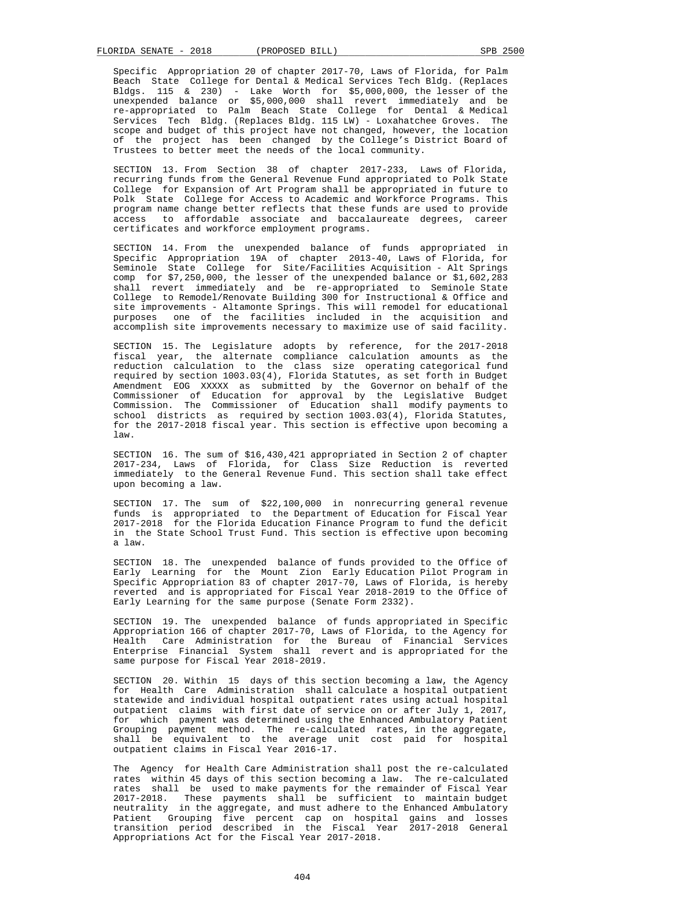Specific Appropriation 20 of chapter 2017-70, Laws of Florida, for Palm Beach State College for Dental & Medical Services Tech Bldg. (Replaces Bldgs. 115 & 230) - Lake Worth for \$5,000,000, the lesser of the unexpended balance or \$5,000,000 shall revert immediately and be re-appropriated to Palm Beach State College for Dental & Medical Services Tech Bldg. (Replaces Bldg. 115 LW) - Loxahatchee Groves. The scope and budget of this project have not changed, however, the location of the project has been changed by the College's District Board of Trustees to better meet the needs of the local community.

 SECTION 13. From Section 38 of chapter 2017-233, Laws of Florida, recurring funds from the General Revenue Fund appropriated to Polk State College for Expansion of Art Program shall be appropriated in future to Polk State College for Access to Academic and Workforce Programs. This program name change better reflects that these funds are used to provide access to affordable associate and baccalaureate degrees, career certificates and workforce employment programs.

 SECTION 14. From the unexpended balance of funds appropriated in Specific Appropriation 19A of chapter 2013-40, Laws of Florida, for Seminole State College for Site/Facilities Acquisition - Alt Springs comp for \$7,250,000, the lesser of the unexpended balance or \$1,602,283 shall revert immediately and be re-appropriated to Seminole State College to Remodel/Renovate Building 300 for Instructional & Office and site improvements - Altamonte Springs. This will remodel for educational purposes one of the facilities included in the acquisition and accomplish site improvements necessary to maximize use of said facility.

 SECTION 15. The Legislature adopts by reference, for the 2017-2018 fiscal year, the alternate compliance calculation amounts as the reduction calculation to the class size operating categorical fund required by section 1003.03(4), Florida Statutes, as set forth in Budget Amendment EOG XXXXX as submitted by the Governor on behalf of the Commissioner of Education for approval by the Legislative Budget Commission. The Commissioner of Education shall modify payments to school districts as required by section 1003.03(4), Florida Statutes, for the 2017-2018 fiscal year. This section is effective upon becoming a law.

 SECTION 16. The sum of \$16,430,421 appropriated in Section 2 of chapter 2017-234, Laws of Florida, for Class Size Reduction is reverted immediately to the General Revenue Fund. This section shall take effect upon becoming a law.

 SECTION 17. The sum of \$22,100,000 in nonrecurring general revenue funds is appropriated to the Department of Education for Fiscal Year 2017-2018 for the Florida Education Finance Program to fund the deficit in the State School Trust Fund. This section is effective upon becoming a law.

 SECTION 18. The unexpended balance of funds provided to the Office of Early Learning for the Mount Zion Early Education Pilot Program in Specific Appropriation 83 of chapter 2017-70, Laws of Florida, is hereby reverted and is appropriated for Fiscal Year 2018-2019 to the Office of Early Learning for the same purpose (Senate Form 2332).

 SECTION 19. The unexpended balance of funds appropriated in Specific Appropriation 166 of chapter 2017-70, Laws of Florida, to the Agency for Health Care Administration for the Bureau of Financial Services Enterprise Financial System shall revert and is appropriated for the same purpose for Fiscal Year 2018-2019.

 SECTION 20. Within 15 days of this section becoming a law, the Agency for Health Care Administration shall calculate a hospital outpatient statewide and individual hospital outpatient rates using actual hospital outpatient claims with first date of service on or after July 1, 2017, for which payment was determined using the Enhanced Ambulatory Patient Grouping payment method. The re-calculated rates, in the aggregate, shall be equivalent to the average unit cost paid for hospital outpatient claims in Fiscal Year 2016-17.

 The Agency for Health Care Administration shall post the re-calculated rates within 45 days of this section becoming a law. The re-calculated rates shall be used to make payments for the remainder of Fiscal Year 2017-2018. These payments shall be sufficient to maintain budget neutrality in the aggregate, and must adhere to the Enhanced Ambulatory Patient Grouping five percent cap on hospital gains and losses transition period described in the Fiscal Year 2017-2018 General Appropriations Act for the Fiscal Year 2017-2018.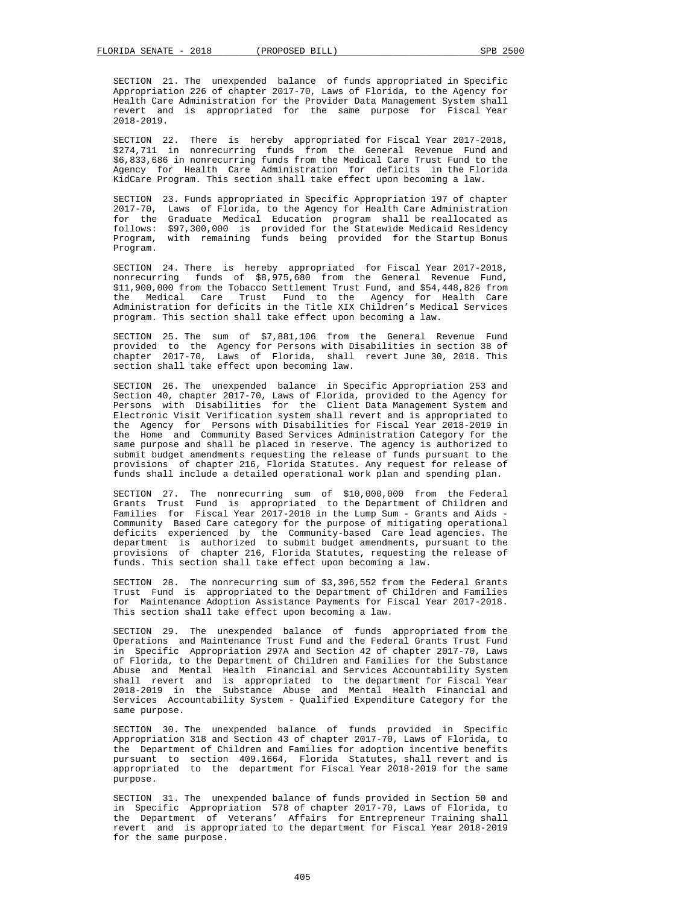SECTION 21. The unexpended balance of funds appropriated in Specific Appropriation 226 of chapter 2017-70, Laws of Florida, to the Agency for Health Care Administration for the Provider Data Management System shall revert and is appropriated for the same purpose for Fiscal Year 2018-2019.

 SECTION 22. There is hereby appropriated for Fiscal Year 2017-2018, \$274,711 in nonrecurring funds from the General Revenue Fund and \$6,833,686 in nonrecurring funds from the Medical Care Trust Fund to the Agency for Health Care Administration for deficits in the Florida KidCare Program. This section shall take effect upon becoming a law.

 SECTION 23. Funds appropriated in Specific Appropriation 197 of chapter 2017-70, Laws of Florida, to the Agency for Health Care Administration for the Graduate Medical Education program shall be reallocated as follows: \$97,300,000 is provided for the Statewide Medicaid Residency Program, with remaining funds being provided for the Startup Bonus Program.

 SECTION 24. There is hereby appropriated for Fiscal Year 2017-2018, nonrecurring funds of \$8,975,680 from the General Revenue Fund, \$11,900,000 from the Tobacco Settlement Trust Fund, and \$54,448,826 from the Medical Care Trust Fund to the Agency for Health Care Administration for deficits in the Title XIX Children's Medical Services program. This section shall take effect upon becoming a law.

 SECTION 25. The sum of \$7,881,106 from the General Revenue Fund provided to the Agency for Persons with Disabilities in section 38 of chapter 2017-70, Laws of Florida, shall revert June 30, 2018. This section shall take effect upon becoming law.

 SECTION 26. The unexpended balance in Specific Appropriation 253 and Section 40, chapter 2017-70, Laws of Florida, provided to the Agency for Persons with Disabilities for the Client Data Management System and Electronic Visit Verification system shall revert and is appropriated to the Agency for Persons with Disabilities for Fiscal Year 2018-2019 in the Home and Community Based Services Administration Category for the same purpose and shall be placed in reserve. The agency is authorized to submit budget amendments requesting the release of funds pursuant to the provisions of chapter 216, Florida Statutes. Any request for release of funds shall include a detailed operational work plan and spending plan.

 SECTION 27. The nonrecurring sum of \$10,000,000 from the Federal Grants Trust Fund is appropriated to the Department of Children and Families for Fiscal Year 2017-2018 in the Lump Sum - Grants and Aids - Community Based Care category for the purpose of mitigating operational deficits experienced by the Community-based Care lead agencies. The department is authorized to submit budget amendments, pursuant to the provisions of chapter 216, Florida Statutes, requesting the release of funds. This section shall take effect upon becoming a law.

 SECTION 28. The nonrecurring sum of \$3,396,552 from the Federal Grants Trust Fund is appropriated to the Department of Children and Families for Maintenance Adoption Assistance Payments for Fiscal Year 2017-2018. This section shall take effect upon becoming a law.

 SECTION 29. The unexpended balance of funds appropriated from the Operations and Maintenance Trust Fund and the Federal Grants Trust Fund in Specific Appropriation 297A and Section 42 of chapter 2017-70, Laws of Florida, to the Department of Children and Families for the Substance Abuse and Mental Health Financial and Services Accountability System shall revert and is appropriated to the department for Fiscal Year 2018-2019 in the Substance Abuse and Mental Health Financial and Services Accountability System - Qualified Expenditure Category for the same purpose.

 SECTION 30. The unexpended balance of funds provided in Specific Appropriation 318 and Section 43 of chapter 2017-70, Laws of Florida, to the Department of Children and Families for adoption incentive benefits pursuant to section 409.1664, Florida Statutes, shall revert and is appropriated to the department for Fiscal Year 2018-2019 for the same purpose.

 SECTION 31. The unexpended balance of funds provided in Section 50 and in Specific Appropriation 578 of chapter 2017-70, Laws of Florida, to the Department of Veterans' Affairs for Entrepreneur Training shall revert and is appropriated to the department for Fiscal Year 2018-2019 for the same purpose.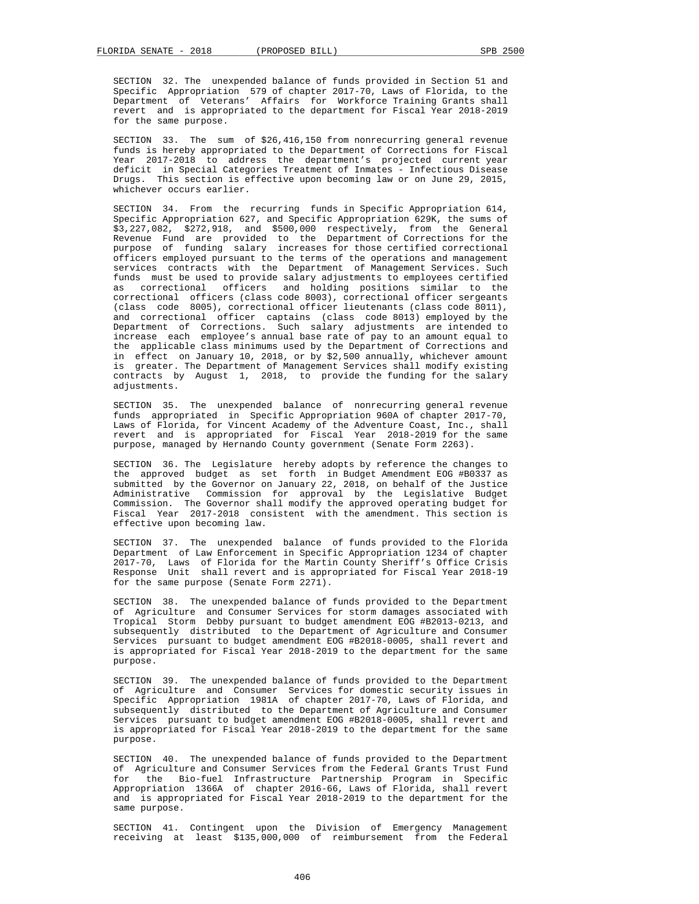SECTION 32. The unexpended balance of funds provided in Section 51 and Specific Appropriation 579 of chapter 2017-70, Laws of Florida, to the Department of Veterans' Affairs for Workforce Training Grants shall revert and is appropriated to the department for Fiscal Year 2018-2019 for the same purpose.

 SECTION 33. The sum of \$26,416,150 from nonrecurring general revenue funds is hereby appropriated to the Department of Corrections for Fiscal Year 2017-2018 to address the department's projected current year deficit in Special Categories Treatment of Inmates - Infectious Disease Drugs. This section is effective upon becoming law or on June 29, 2015, whichever occurs earlier.

 SECTION 34. From the recurring funds in Specific Appropriation 614, Specific Appropriation 627, and Specific Appropriation 629K, the sums of \$3,227,082, \$272,918, and \$500,000 respectively, from the General Revenue Fund are provided to the Department of Corrections for the purpose of funding salary increases for those certified correctional officers employed pursuant to the terms of the operations and management services contracts with the Department of Management Services. Such funds must be used to provide salary adjustments to employees certified as correctional officers and holding positions similar to the correctional officers (class code 8003), correctional officer sergeants (class code 8005), correctional officer lieutenants (class code 8011), and correctional officer captains (class code 8013) employed by the Department of Corrections. Such salary adjustments are intended to increase each employee's annual base rate of pay to an amount equal to the applicable class minimums used by the Department of Corrections and in effect on January 10, 2018, or by \$2,500 annually, whichever amount is greater. The Department of Management Services shall modify existing contracts by August 1, 2018, to provide the funding for the salary adjustments.

 SECTION 35. The unexpended balance of nonrecurring general revenue funds appropriated in Specific Appropriation 960A of chapter 2017-70, Laws of Florida, for Vincent Academy of the Adventure Coast, Inc., shall revert and is appropriated for Fiscal Year 2018-2019 for the same purpose, managed by Hernando County government (Senate Form 2263).

 SECTION 36. The Legislature hereby adopts by reference the changes to the approved budget as set forth in Budget Amendment EOG #B0337 as submitted by the Governor on January 22, 2018, on behalf of the Justice Administrative Commission for approval by the Legislative Budget Commission. The Governor shall modify the approved operating budget for Fiscal Year 2017-2018 consistent with the amendment. This section is effective upon becoming law.

 SECTION 37. The unexpended balance of funds provided to the Florida Department of Law Enforcement in Specific Appropriation 1234 of chapter 2017-70, Laws of Florida for the Martin County Sheriff's Office Crisis Response Unit shall revert and is appropriated for Fiscal Year 2018-19 for the same purpose (Senate Form 2271).

 SECTION 38. The unexpended balance of funds provided to the Department of Agriculture and Consumer Services for storm damages associated with Tropical Storm Debby pursuant to budget amendment EOG #B2013-0213, and subsequently distributed to the Department of Agriculture and Consumer Services pursuant to budget amendment EOG #B2018-0005, shall revert and is appropriated for Fiscal Year 2018-2019 to the department for the same purpose.

 SECTION 39. The unexpended balance of funds provided to the Department of Agriculture and Consumer Services for domestic security issues in Specific Appropriation 1981A of chapter 2017-70, Laws of Florida, and subsequently distributed to the Department of Agriculture and Consumer Services pursuant to budget amendment EOG #B2018-0005, shall revert and is appropriated for Fiscal Year 2018-2019 to the department for the same purpose.

 SECTION 40. The unexpended balance of funds provided to the Department of Agriculture and Consumer Services from the Federal Grants Trust Fund for the Bio-fuel Infrastructure Partnership Program in Specific Appropriation 1366A of chapter 2016-66, Laws of Florida, shall revert and is appropriated for Fiscal Year 2018-2019 to the department for the same purpose.

 SECTION 41. Contingent upon the Division of Emergency Management receiving at least \$135,000,000 of reimbursement from the Federal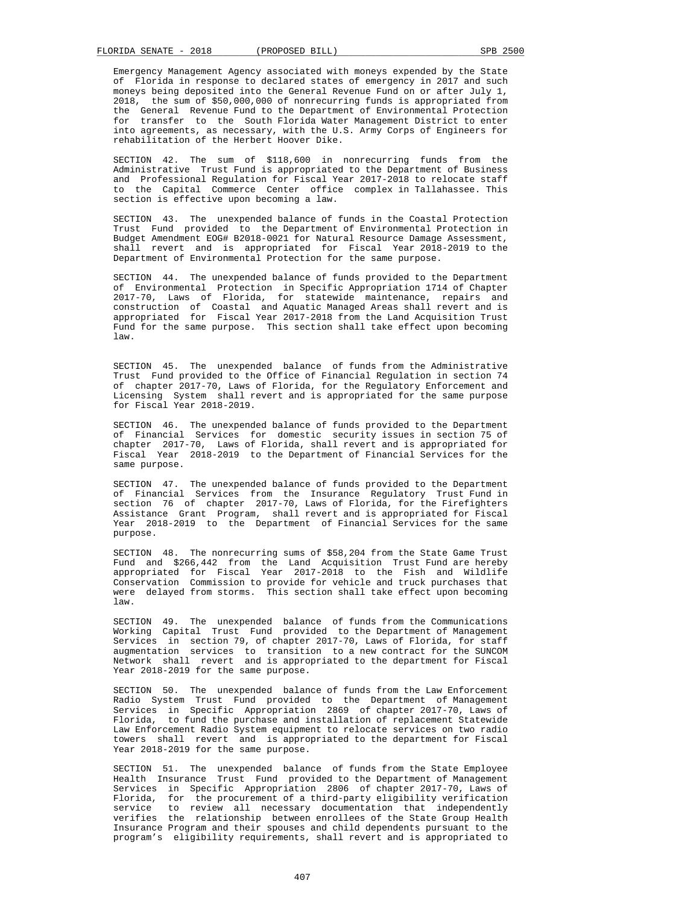Emergency Management Agency associated with moneys expended by the State of Florida in response to declared states of emergency in 2017 and such moneys being deposited into the General Revenue Fund on or after July 1. 2018, the sum of \$50,000,000 of nonrecurring funds is appropriated from the General Revenue Fund to the Department of Environmental Protection for transfer to the South Florida Water Management District to enter into agreements, as necessary, with the U.S. Army Corps of Engineers for rehabilitation of the Herbert Hoover Dike.

 SECTION 42. The sum of \$118,600 in nonrecurring funds from the Administrative Trust Fund is appropriated to the Department of Business and Professional Regulation for Fiscal Year 2017-2018 to relocate staff to the Capital Commerce Center office complex in Tallahassee. This section is effective upon becoming a law.

 SECTION 43. The unexpended balance of funds in the Coastal Protection Trust Fund provided to the Department of Environmental Protection in Budget Amendment EOG# B2018-0021 for Natural Resource Damage Assessment, shall revert and is appropriated for Fiscal Year 2018-2019 to the Department of Environmental Protection for the same purpose.

 SECTION 44. The unexpended balance of funds provided to the Department of Environmental Protection in Specific Appropriation 1714 of Chapter 2017-70, Laws of Florida, for statewide maintenance, repairs and construction of Coastal and Aquatic Managed Areas shall revert and is appropriated for Fiscal Year 2017-2018 from the Land Acquisition Trust Fund for the same purpose. This section shall take effect upon becoming law.

 SECTION 45. The unexpended balance of funds from the Administrative Trust Fund provided to the Office of Financial Regulation in section 74 of chapter 2017-70, Laws of Florida, for the Regulatory Enforcement and Licensing System shall revert and is appropriated for the same purpose for Fiscal Year 2018-2019.

 SECTION 46. The unexpended balance of funds provided to the Department of Financial Services for domestic security issues in section 75 of chapter 2017-70, Laws of Florida, shall revert and is appropriated for Fiscal Year 2018-2019 to the Department of Financial Services for the same purpose.

 SECTION 47. The unexpended balance of funds provided to the Department of Financial Services from the Insurance Regulatory Trust Fund in section 76 of chapter 2017-70, Laws of Florida, for the Firefighters Assistance Grant Program, shall revert and is appropriated for Fiscal Year 2018-2019 to the Department of Financial Services for the same purpose.

 SECTION 48. The nonrecurring sums of \$58,204 from the State Game Trust Fund and \$266,442 from the Land Acquisition Trust Fund are hereby appropriated for Fiscal Year 2017-2018 to the Fish and Wildlife Conservation Commission to provide for vehicle and truck purchases that were delayed from storms. This section shall take effect upon becoming law.

 SECTION 49. The unexpended balance of funds from the Communications Working Capital Trust Fund provided to the Department of Management Services in section 79, of chapter 2017-70, Laws of Florida, for staff augmentation services to transition to a new contract for the SUNCOM Network shall revert and is appropriated to the department for Fiscal Year 2018-2019 for the same purpose.

 SECTION 50. The unexpended balance of funds from the Law Enforcement Radio System Trust Fund provided to the Department of Management Services in Specific Appropriation 2869 of chapter 2017-70, Laws of Florida, to fund the purchase and installation of replacement Statewide Law Enforcement Radio System equipment to relocate services on two radio towers shall revert and is appropriated to the department for Fiscal Year 2018-2019 for the same purpose.

 SECTION 51. The unexpended balance of funds from the State Employee Health Insurance Trust Fund provided to the Department of Management Services in Specific Appropriation 2806 of chapter 2017-70, Laws of Florida, for the procurement of a third-party eligibility verification<br>service to review all necessary documentation that independently to review all necessary documentation that independently verifies the relationship between enrollees of the State Group Health Insurance Program and their spouses and child dependents pursuant to the program's eligibility requirements, shall revert and is appropriated to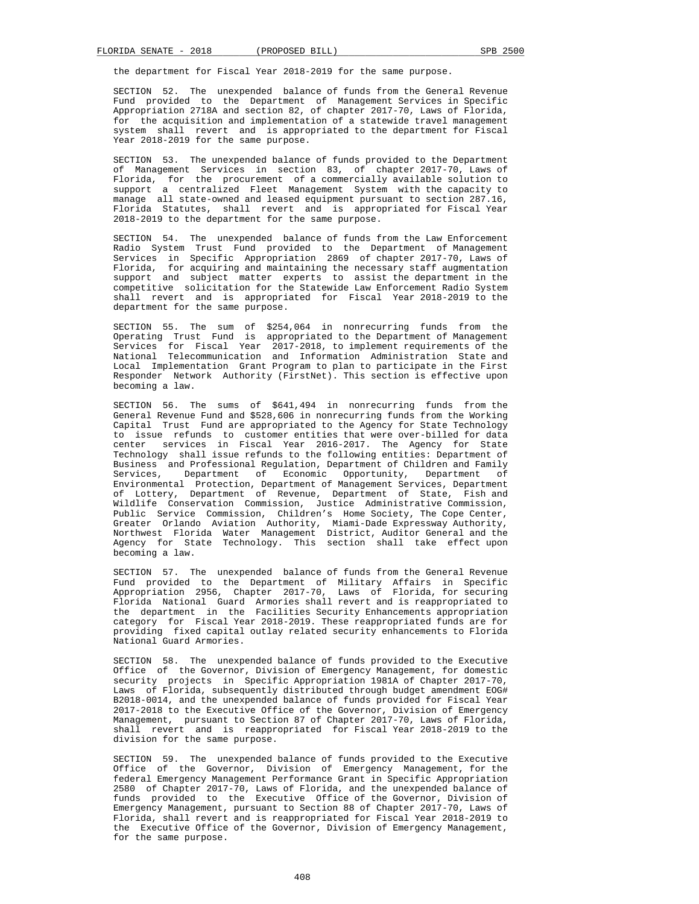the department for Fiscal Year 2018-2019 for the same purpose.

 SECTION 52. The unexpended balance of funds from the General Revenue Fund provided to the Department of Management Services in Specific Appropriation 2718A and section 82, of chapter 2017-70, Laws of Florida, for the acquisition and implementation of a statewide travel management system shall revert and is appropriated to the department for Fiscal Year 2018-2019 for the same purpose.

 SECTION 53. The unexpended balance of funds provided to the Department of Management Services in section 83, of chapter 2017-70, Laws of Florida, for the procurement of a commercially available solution to support a centralized Fleet Management System with the capacity to manage all state-owned and leased equipment pursuant to section 287.16, Florida Statutes, shall revert and is appropriated for Fiscal Year 2018-2019 to the department for the same purpose.

 SECTION 54. The unexpended balance of funds from the Law Enforcement Radio System Trust Fund provided to the Department of Management Services in Specific Appropriation 2869 of chapter 2017-70, Laws of Florida, for acquiring and maintaining the necessary staff augmentation support and subject matter experts to assist the department in the competitive solicitation for the Statewide Law Enforcement Radio System shall revert and is appropriated for Fiscal Year 2018-2019 to the department for the same purpose.

 SECTION 55. The sum of \$254,064 in nonrecurring funds from the Operating Trust Fund is appropriated to the Department of Management Services for Fiscal Year 2017-2018, to implement requirements of the National Telecommunication and Information Administration State and Local Implementation Grant Program to plan to participate in the First Responder Network Authority (FirstNet). This section is effective upon becoming a law.

 SECTION 56. The sums of \$641,494 in nonrecurring funds from the General Revenue Fund and \$528,606 in nonrecurring funds from the Working Capital Trust Fund are appropriated to the Agency for State Technology to issue refunds to customer entities that were over-billed for data center services in Fiscal Year 2016-2017. The Agency for State Technology shall issue refunds to the following entities: Department of Business and Professional Regulation, Department of Children and Family Services, Department of Economic Opportunity, Department of Environmental Protection, Department of Management Services, Department of Lottery, Department of Revenue, Department of State, Fish and Wildlife Conservation Commission, Justice Administrative Commission, Public Service Commission, Children's Home Society, The Cope Center, Greater Orlando Aviation Authority, Miami-Dade Expressway Authority, Northwest Florida Water Management District, Auditor General and the Agency for State Technology. This section shall take effect upon becoming a law.

 SECTION 57. The unexpended balance of funds from the General Revenue Fund provided to the Department of Military Affairs in Specific Appropriation 2956, Chapter 2017-70, Laws of Florida, for securing Florida National Guard Armories shall revert and is reappropriated to the department in the Facilities Security Enhancements appropriation category for Fiscal Year 2018-2019. These reappropriated funds are for providing fixed capital outlay related security enhancements to Florida National Guard Armories.

 SECTION 58. The unexpended balance of funds provided to the Executive Office of the Governor, Division of Emergency Management, for domestic security projects in Specific Appropriation 1981A of Chapter 2017-70, Laws of Florida, subsequently distributed through budget amendment EOG# B2018-0014, and the unexpended balance of funds provided for Fiscal Year 2017-2018 to the Executive Office of the Governor, Division of Emergency Management, pursuant to Section 87 of Chapter 2017-70, Laws of Florida, shall revert and is reappropriated for Fiscal Year 2018-2019 to the division for the same purpose.

 SECTION 59. The unexpended balance of funds provided to the Executive Office of the Governor, Division of Emergency Management, for the federal Emergency Management Performance Grant in Specific Appropriation 2580 of Chapter 2017-70, Laws of Florida, and the unexpended balance of funds provided to the Executive Office of the Governor, Division of Emergency Management, pursuant to Section 88 of Chapter 2017-70, Laws of Florida, shall revert and is reappropriated for Fiscal Year 2018-2019 to the Executive Office of the Governor, Division of Emergency Management, for the same purpose.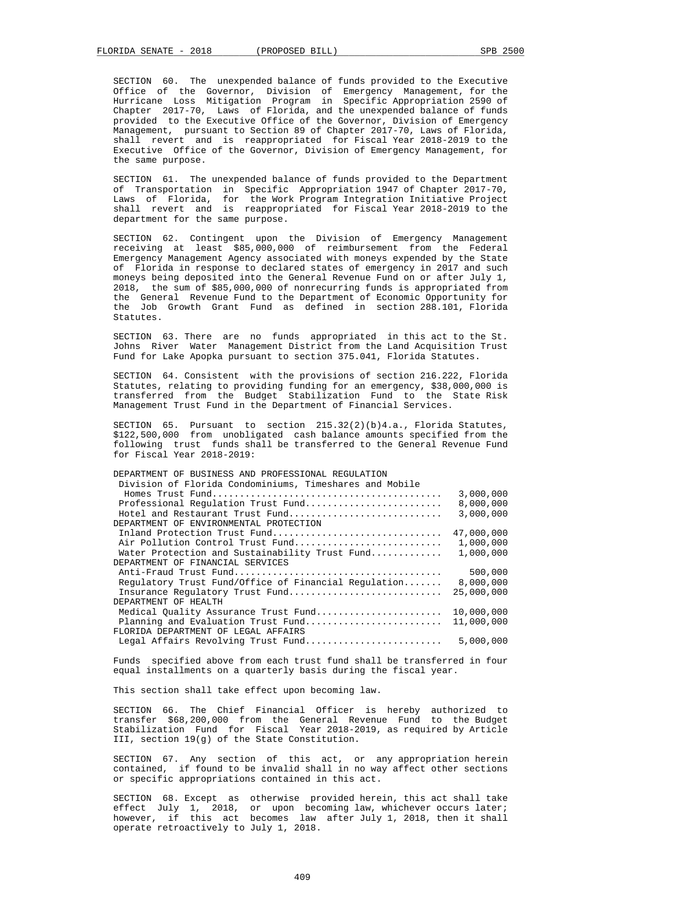SECTION 60. The unexpended balance of funds provided to the Executive Office of the Governor, Division of Emergency Management, for the Hurricane Loss Mitigation Program in Specific Appropriation 2590 of Chapter 2017-70, Laws of Florida, and the unexpended balance of funds provided to the Executive Office of the Governor, Division of Emergency Management, pursuant to Section 89 of Chapter 2017-70, Laws of Florida, shall revert and is reappropriated for Fiscal Year 2018-2019 to the Executive Office of the Governor, Division of Emergency Management, for the same purpose.

 SECTION 61. The unexpended balance of funds provided to the Department of Transportation in Specific Appropriation 1947 of Chapter 2017-70, Laws of Florida, for the Work Program Integration Initiative Project shall revert and is reappropriated for Fiscal Year 2018-2019 to the department for the same purpose.

 SECTION 62. Contingent upon the Division of Emergency Management receiving at least \$85,000,000 of reimbursement from the Federal Emergency Management Agency associated with moneys expended by the State of Florida in response to declared states of emergency in 2017 and such moneys being deposited into the General Revenue Fund on or after July 1, 2018, the sum of \$85,000,000 of nonrecurring funds is appropriated from the General Revenue Fund to the Department of Economic Opportunity for the Job Growth Grant Fund as defined in section 288.101, Florida Statutes.

 SECTION 63. There are no funds appropriated in this act to the St. Johns River Water Management District from the Land Acquisition Trust Fund for Lake Apopka pursuant to section 375.041, Florida Statutes.

 SECTION 64. Consistent with the provisions of section 216.222, Florida Statutes, relating to providing funding for an emergency, \$38,000,000 is transferred from the Budget Stabilization Fund to the State Risk Management Trust Fund in the Department of Financial Services.

 SECTION 65. Pursuant to section 215.32(2)(b)4.a., Florida Statutes, \$122,500,000 from unobligated cash balance amounts specified from the following trust funds shall be transferred to the General Revenue Fund for Fiscal Year 2018-2019:

| DEPARTMENT OF BUSINESS AND PROFESSIONAL REGULATION      |            |
|---------------------------------------------------------|------------|
| Division of Florida Condominiums, Timeshares and Mobile |            |
|                                                         | 3,000,000  |
| Professional Regulation Trust Fund                      | 8,000,000  |
| Hotel and Restaurant Trust Fund                         | 3,000,000  |
| DEPARTMENT OF ENVIRONMENTAL PROTECTION                  |            |
| Inland Protection Trust Fund                            | 47,000,000 |
| Air Pollution Control Trust Fund                        | 1,000,000  |
| Water Protection and Sustainability Trust Fund          | 1,000,000  |
| DEPARTMENT OF FINANCIAL SERVICES                        |            |
|                                                         | 500,000    |
| Requlatory Trust Fund/Office of Financial Requlation    | 8,000,000  |
| Insurance Regulatory Trust Fund                         | 25,000,000 |
| DEPARTMENT OF HEALTH                                    |            |
| Medical Ouality Assurance Trust Fund                    | 10,000,000 |
| Planning and Evaluation Trust Fund                      | 11,000,000 |
| FLORIDA DEPARTMENT OF LEGAL AFFAIRS                     |            |
| Legal Affairs Revolving Trust Fund                      | 5,000,000  |
|                                                         |            |

 Funds specified above from each trust fund shall be transferred in four equal installments on a quarterly basis during the fiscal year.

This section shall take effect upon becoming law.

 SECTION 66. The Chief Financial Officer is hereby authorized to transfer \$68,200,000 from the General Revenue Fund to the Budget Stabilization Fund for Fiscal Year 2018-2019, as required by Article III, section 19(g) of the State Constitution.

 SECTION 67. Any section of this act, or any appropriation herein contained, if found to be invalid shall in no way affect other sections or specific appropriations contained in this act.

 SECTION 68. Except as otherwise provided herein, this act shall take effect July 1, 2018, or upon becoming law, whichever occurs later; however, if this act becomes law after July 1, 2018, then it shall operate retroactively to July 1, 2018.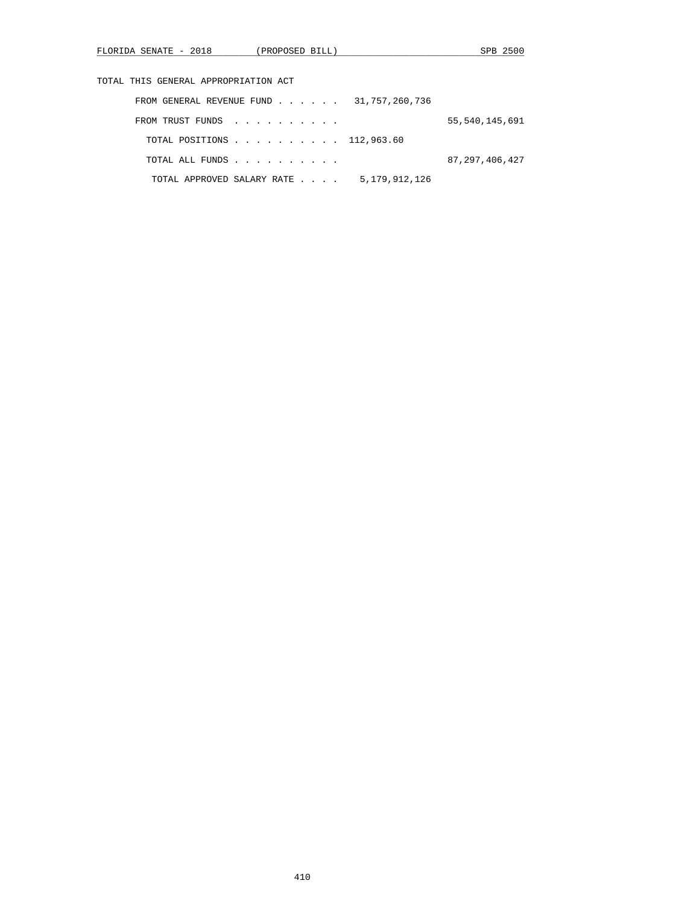|  |  |  |  | TOTAL THIS GENERAL APPROPRIATION ACT |  |
|--|--|--|--|--------------------------------------|--|
|--|--|--|--|--------------------------------------|--|

| FROM GENERAL REVENUE FUND $\ldots$ $\ldots$ $\ldots$ 31,757,260,736 |               |                   |
|---------------------------------------------------------------------|---------------|-------------------|
| FROM TRUST FUNDS                                                    |               | 55,540,145,691    |
| TOTAL POSITIONS 112,963.60                                          |               |                   |
| TOTAL ALL FUNDS                                                     |               | 87, 297, 406, 427 |
| TOTAL APPROVED SALARY RATE                                          | 5,179,912,126 |                   |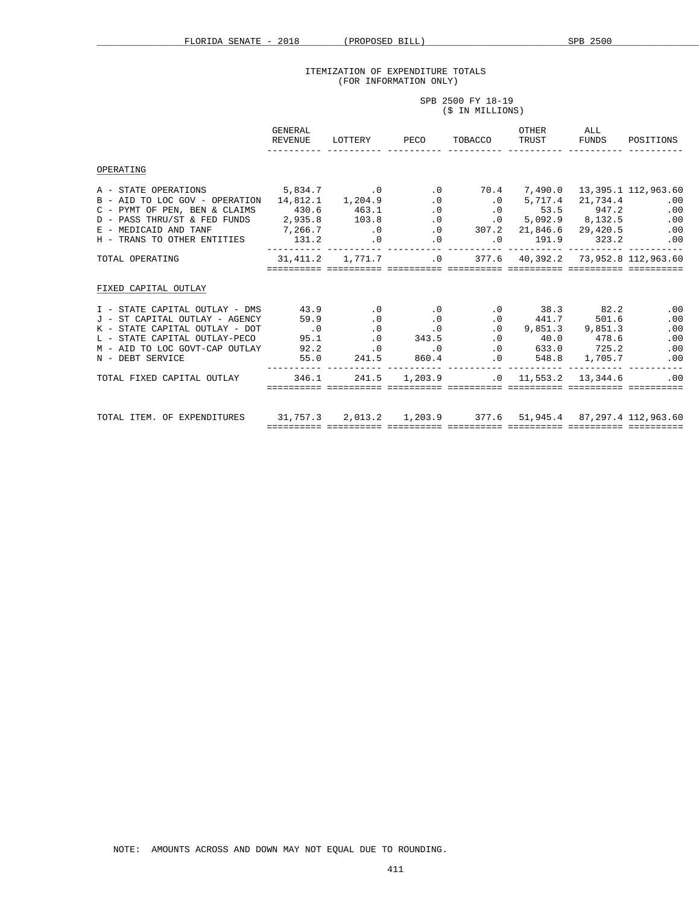SPB 2500 FY 18-19

## ITEMIZATION OF EXPENDITURE TOTALS (FOR INFORMATION ONLY)

|                                                                                                                                                                                                                                                                                                                                                                                                                    | (\$ IN MILLIONS)                                              |                                                                         |  |  |  |           |  |
|--------------------------------------------------------------------------------------------------------------------------------------------------------------------------------------------------------------------------------------------------------------------------------------------------------------------------------------------------------------------------------------------------------------------|---------------------------------------------------------------|-------------------------------------------------------------------------|--|--|--|-----------|--|
|                                                                                                                                                                                                                                                                                                                                                                                                                    | GENERAL<br>REVENUE LOTTERY PECO TOBACCO TRUST FUNDS POSITIONS |                                                                         |  |  |  | OTHER ALL |  |
| OPERATING                                                                                                                                                                                                                                                                                                                                                                                                          |                                                               |                                                                         |  |  |  |           |  |
| A - STATE OPERATIONS 5,834.7 6.0 13,395.1 112,963.60<br>B - AID TO LOC GOV - OPERATION 14,812.1 1,204.9 .0 0 .0 5,717.4 21,734.4 .00<br>C – PYMT OF PEN, BEN & CLAIMS (430.6 (463.1) (0) 0 0 53.5 (947.2) (0)<br>D – PASS THRU/ST & FED FUNDS (2,935.8 (103.8 (0) 0 5,092.9 (8,132.5 (0)<br>E – MEDICAID AND TANF (7,266.7 (0) 0 307.2 (21,846.6 29,420.5 (0)                                                      |                                                               |                                                                         |  |  |  |           |  |
| TOTAL OPERATING 31,411.2 1,771.7 0 377.6 40,392.2 73,952.8 112,963.60                                                                                                                                                                                                                                                                                                                                              |                                                               |                                                                         |  |  |  |           |  |
| FIXED CAPITAL OUTLAY                                                                                                                                                                                                                                                                                                                                                                                               |                                                               |                                                                         |  |  |  |           |  |
| $\begin{tabular}{cccccccc} I & - & STATE & CAPITAL & OUTLAY & - & DNS & & & 43.9 & .0 & .0 & .0 & .0 & 38.3 & 82.2 & .00 \\ J & - & ST & CAPITAL & OUTLAY & - & AGENCY & & 59.9 & .0 & .0 & .0 & .0 & .0 & .441.7 & 501.6 & .00 \\ K & - & STATE & CAPITAL & OUTLAY & - & DOT & .0 & .0 & .0 & .0 & .0 & .0 & .0 & .0 & .0 \\ L & - & STATE & CAPITAL & OUTLAY & - & PECO & 95.1 & .0 & 343.5 & .0 & 40.0 & 478.6$ |                                                               |                                                                         |  |  |  |           |  |
| TOTAL FIXED CAPITAL OUTLAY 346.1 241.5 1,203.9 0 11,553.2 13,344.6 00                                                                                                                                                                                                                                                                                                                                              |                                                               |                                                                         |  |  |  |           |  |
| TOTAL ITEM. OF EXPENDITURES 31,757.3 2,013.2 1,203.9 377.6 51,945.4 87,297.4 112,963.60                                                                                                                                                                                                                                                                                                                            |                                                               | <u>socococo cocococo cocococo cocococo cocococo cocococo cola estec</u> |  |  |  |           |  |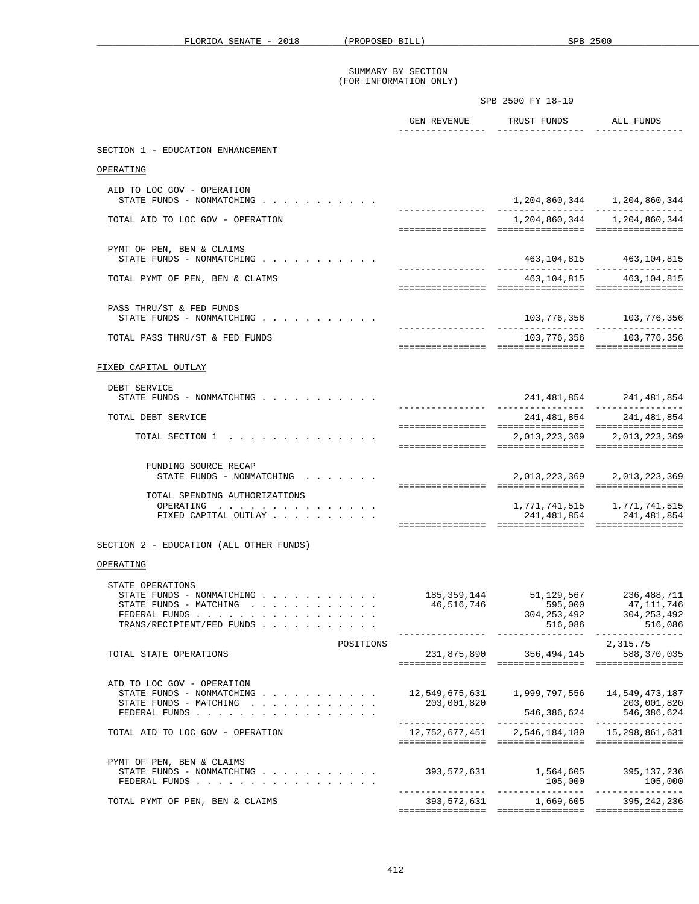|                                                                                                                       | SPB 2500 FY 18-19 |                                                 |                                               |
|-----------------------------------------------------------------------------------------------------------------------|-------------------|-------------------------------------------------|-----------------------------------------------|
|                                                                                                                       |                   | GEN REVENUE TRUST FUNDS ALL FUNDS               |                                               |
| SECTION 1 - EDUCATION ENHANCEMENT                                                                                     |                   |                                                 |                                               |
| OPERATING                                                                                                             |                   |                                                 |                                               |
|                                                                                                                       |                   |                                                 |                                               |
| AID TO LOC GOV - OPERATION<br>STATE FUNDS - NONMATCHING                                                               |                   |                                                 | 1, 204, 860, 344 1, 204, 860, 344             |
| TOTAL AID TO LOC GOV - OPERATION                                                                                      |                   |                                                 | 1,204,860,344 1,204,860,344                   |
| PYMT OF PEN, BEN & CLAIMS<br>STATE FUNDS - NONMATCHING                                                                |                   |                                                 | 463, 104, 815 463, 104, 815                   |
|                                                                                                                       |                   |                                                 |                                               |
| TOTAL PYMT OF PEN, BEN & CLAIMS                                                                                       |                   |                                                 | 463, 104, 815 463, 104, 815                   |
| PASS THRU/ST & FED FUNDS<br>STATE FUNDS - NONMATCHING                                                                 |                   |                                                 | 103, 776, 356 103, 776, 356                   |
| TOTAL PASS THRU/ST & FED FUNDS                                                                                        |                   |                                                 | 103, 776, 356 103, 776, 356                   |
| FIXED CAPITAL OUTLAY                                                                                                  |                   |                                                 |                                               |
| DEBT SERVICE                                                                                                          |                   |                                                 |                                               |
| STATE FUNDS - NONMATCHING                                                                                             |                   |                                                 | 241,481,854 241,481,854                       |
| TOTAL DEBT SERVICE                                                                                                    |                   |                                                 | 241, 481, 854 241, 481, 854                   |
| TOTAL SECTION 1                                                                                                       |                   |                                                 | 2,013,223,369 2,013,223,369                   |
| FUNDING SOURCE RECAP<br>STATE FUNDS - NONMATCHING                                                                     |                   |                                                 | 2,013,223,369 2,013,223,369                   |
| TOTAL SPENDING AUTHORIZATIONS                                                                                         |                   |                                                 |                                               |
| OPERATING                                                                                                             |                   |                                                 | 1,771,741,515 1,771,741,515                   |
| FIXED CAPITAL OUTLAY                                                                                                  |                   |                                                 | 241, 481, 854 241, 481, 854                   |
| SECTION 2 - EDUCATION (ALL OTHER FUNDS)                                                                               |                   |                                                 |                                               |
| OPERATING                                                                                                             |                   |                                                 |                                               |
| STATE OPERATIONS<br>STATE FUNDS - NONMATCHING<br>STATE FUNDS - MATCHING<br>FEDERAL FUNDS<br>TRANS/RECIPIENT/FED FUNDS | 46,516,746        | 185, 359, 144 51, 129, 567 236, 488, 711        | 595,000 47,111,746<br>304,253,492 304,253,492 |
|                                                                                                                       |                   |                                                 |                                               |
| POSITIONS<br>TOTAL STATE OPERATIONS                                                                                   |                   | 231,875,890 356,494,145                         | 2,315.75<br>588,370,035                       |
| AID TO LOC GOV - OPERATION                                                                                            |                   |                                                 |                                               |
| STATE FUNDS - NONMATCHING<br>STATE FUNDS - MATCHING                                                                   | 203,001,820       |                                                 | 203,001,820                                   |
| FEDERAL FUNDS                                                                                                         |                   |                                                 |                                               |
| TOTAL AID TO LOC GOV - OPERATION                                                                                      |                   | 12,752,677,451   2,546,184,180   15,298,861,631 |                                               |
| PYMT OF PEN, BEN & CLAIMS<br>STATE FUNDS - NONMATCHING<br>FEDERAL FUNDS                                               | 393,572,631       |                                                 | 1,564,605 395,137,236                         |
| TOTAL PYMT OF PEN, BEN & CLAIMS                                                                                       |                   | 393, 572, 631 1, 669, 605 395, 242, 236         |                                               |

================ ================ ================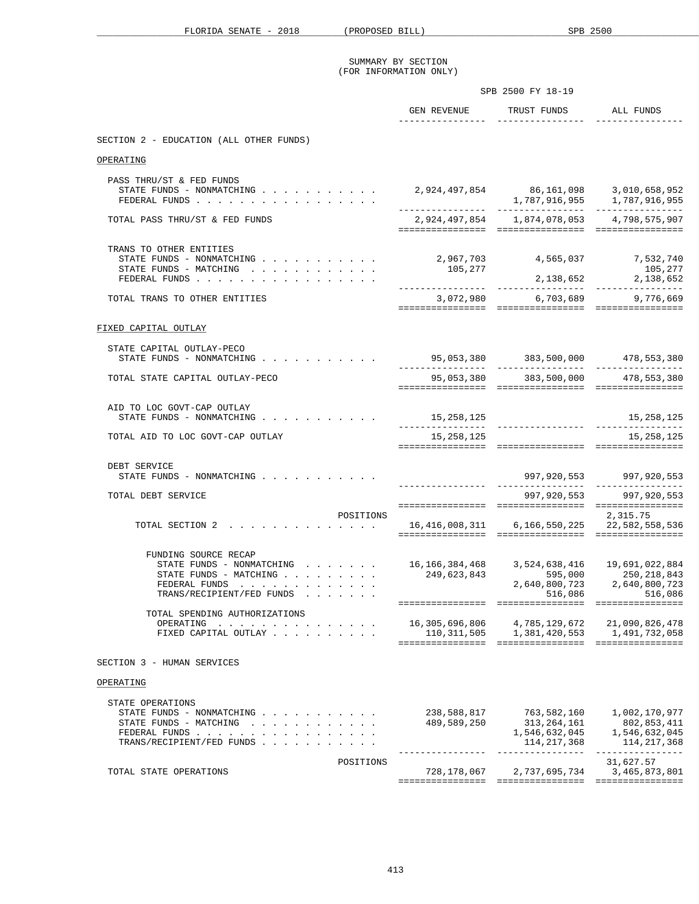|                                                                                                                                                                                                 | SPB 2500 FY 18-19                               |                                                              |                                                                                                                                                 |
|-------------------------------------------------------------------------------------------------------------------------------------------------------------------------------------------------|-------------------------------------------------|--------------------------------------------------------------|-------------------------------------------------------------------------------------------------------------------------------------------------|
|                                                                                                                                                                                                 | ________________                                | GEN REVENUE TRUST FUNDS ALL FUNDS<br><u>----------------</u> |                                                                                                                                                 |
| SECTION 2 - EDUCATION (ALL OTHER FUNDS)                                                                                                                                                         |                                                 |                                                              |                                                                                                                                                 |
| OPERATING                                                                                                                                                                                       |                                                 |                                                              |                                                                                                                                                 |
| PASS THRU/ST & FED FUNDS<br>STATE FUNDS - NONMATCHING<br>FEDERAL FUNDS                                                                                                                          |                                                 | 2,924,497,854 86,161,098 3,010,658,952                       |                                                                                                                                                 |
| TOTAL PASS THRU/ST & FED FUNDS                                                                                                                                                                  |                                                 | 2,924,497,854 1,874,078,053 4,798,575,907                    |                                                                                                                                                 |
| TRANS TO OTHER ENTITIES<br>STATE FUNDS - NONMATCHING<br>STATE FUNDS - MATCHING<br>FEDERAL FUNDS                                                                                                 | 2,967,703<br>105,277                            | 4,565,037 7,532,740                                          | 105,277                                                                                                                                         |
| TOTAL TRANS TO OTHER ENTITIES                                                                                                                                                                   |                                                 | 3,072,980 6,703,689 9,776,669                                |                                                                                                                                                 |
| FIXED CAPITAL OUTLAY                                                                                                                                                                            |                                                 |                                                              |                                                                                                                                                 |
| STATE CAPITAL OUTLAY-PECO<br>STATE FUNDS - NONMATCHING                                                                                                                                          |                                                 | 95,053,380 383,500,000 478,553,380                           |                                                                                                                                                 |
| TOTAL STATE CAPITAL OUTLAY-PECO                                                                                                                                                                 |                                                 | 95,053,380 383,500,000 478,553,380                           |                                                                                                                                                 |
| AID TO LOC GOVT-CAP OUTLAY<br>STATE FUNDS - NONMATCHING                                                                                                                                         | 15,258,125                                      |                                                              | 15,258,125                                                                                                                                      |
| TOTAL AID TO LOC GOVT-CAP OUTLAY                                                                                                                                                                | 15,258,125                                      |                                                              | 15, 258, 125                                                                                                                                    |
| DEBT SERVICE<br>STATE FUNDS - NONMATCHING                                                                                                                                                       |                                                 |                                                              |                                                                                                                                                 |
| TOTAL DEBT SERVICE                                                                                                                                                                              |                                                 |                                                              | 997,920,553 997,920,553                                                                                                                         |
| POSITIONS<br>TOTAL SECTION 2 16,416,008,311 6,166,550,225 22,582,558,536                                                                                                                        |                                                 |                                                              | 2,315.75                                                                                                                                        |
| FUNDING SOURCE RECAP<br>STATE FUNDS - NONMATCHING<br>STATE FUNDS - MATCHING $\cdot$ , , , , , , , ,<br>FEDERAL FUNDS<br>TRANS/RECIPIENT/FED FUNDS<br>TOTAL SPENDING AUTHORIZATIONS<br>OPERATING | 16,166,384,468<br>249,623,843<br>16,305,696,806 | 516,086<br>4,785,129,672                                     | 3,524,638,416   19,691,022,884<br>$595,000 \qquad \qquad 250,218,843 \\ 2,640,800,723 \qquad \qquad 2,640,800,723$<br>516.086<br>21,090,826,478 |
| FIXED CAPITAL OUTLAY                                                                                                                                                                            |                                                 | 110, 311, 505 1, 381, 420, 553 1, 491, 732, 058              |                                                                                                                                                 |
| SECTION 3 - HUMAN SERVICES                                                                                                                                                                      |                                                 |                                                              |                                                                                                                                                 |
| OPERATING                                                                                                                                                                                       |                                                 |                                                              |                                                                                                                                                 |
| STATE OPERATIONS<br>STATE FUNDS - NONMATCHING<br>STATE FUNDS - MATCHING<br>FEDERAL FUNDS<br>TRANS/RECIPIENT/FED FUNDS                                                                           | 238,588,817<br>489,589,250                      | 763,582,160<br>313,264,161<br>1,546,632,045<br>114, 217, 368 | 1,002,170,977<br>802,853,411<br>1,546,632,045<br>114, 217, 368                                                                                  |
| POSITIONS<br>TOTAL STATE OPERATIONS                                                                                                                                                             | 728,178,067                                     | 2,737,695,734                                                | 31,627.57<br>3,465,873,801                                                                                                                      |
|                                                                                                                                                                                                 |                                                 |                                                              |                                                                                                                                                 |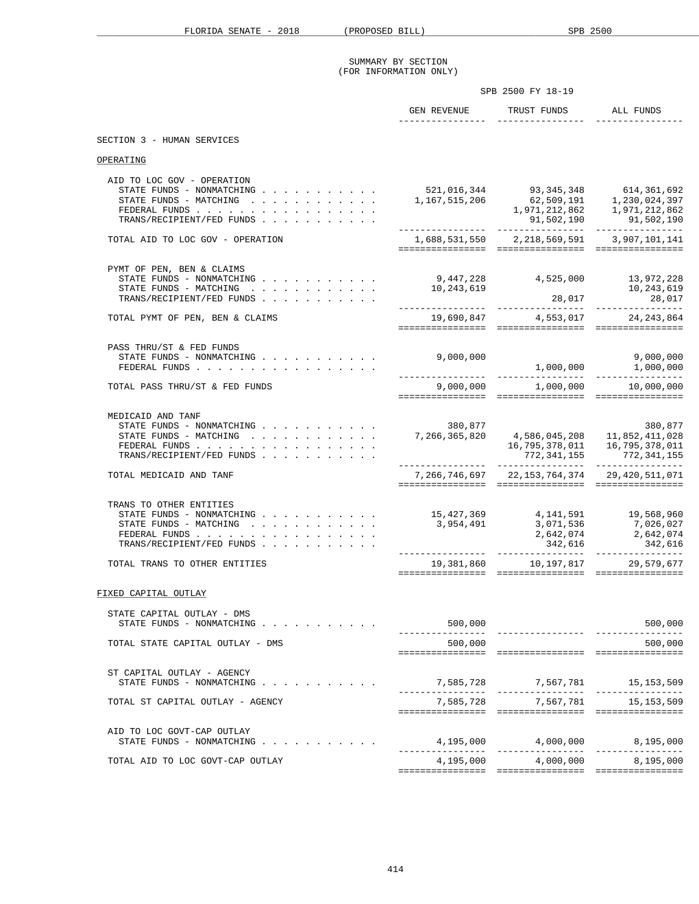|                                                                                                                                                                                               |                                                                                                                                    | SPB 2500 FY 18-19                                                                                                                                                                                                                                                                                      |                                                                   |  |
|-----------------------------------------------------------------------------------------------------------------------------------------------------------------------------------------------|------------------------------------------------------------------------------------------------------------------------------------|--------------------------------------------------------------------------------------------------------------------------------------------------------------------------------------------------------------------------------------------------------------------------------------------------------|-------------------------------------------------------------------|--|
|                                                                                                                                                                                               |                                                                                                                                    | GEN REVENUE TRUST FUNDS ALL FUNDS                                                                                                                                                                                                                                                                      |                                                                   |  |
| SECTION 3 - HUMAN SERVICES                                                                                                                                                                    |                                                                                                                                    |                                                                                                                                                                                                                                                                                                        |                                                                   |  |
| OPERATING                                                                                                                                                                                     |                                                                                                                                    |                                                                                                                                                                                                                                                                                                        |                                                                   |  |
| AID TO LOC GOV - OPERATION<br>STATE FUNDS - NONMATCHING<br>STATE FUNDS - MATCHING<br>FEDERAL FUNDS<br>TRANS/RECIPIENT/FED FUNDS                                                               |                                                                                                                                    | 521,016,344 93,345,348 614,361,692<br>$\begin{array}{cccc} 521, 016, 344 & 93, 345, 346 & 0.11, 0.11, 167, 515, 206 & 62, 509, 191 & 1, 230, 024, 397 \\ 1, 167, 515, 206 & 62, 509, 191 & 1, 230, 024, 397 \\ & & 1, 971, 212, 862 & 1, 971, 212, 862 \\ & & 91, 502, 190 & 91, 502, 190 \end{array}$ |                                                                   |  |
| TOTAL AID TO LOC GOV - OPERATION                                                                                                                                                              |                                                                                                                                    |                                                                                                                                                                                                                                                                                                        |                                                                   |  |
| PYMT OF PEN, BEN & CLAIMS<br>STATE FUNDS - NONMATCHING<br>STATE FUNDS - MATCHING<br>TRANS/RECIPIENT/FED FUNDS                                                                                 | 9,447,228 4,525,000 13,972,228<br>10,243,619                                                                                       |                                                                                                                                                                                                                                                                                                        |                                                                   |  |
| TOTAL PYMT OF PEN, BEN & CLAIMS                                                                                                                                                               |                                                                                                                                    | 19,690,847 4,553,017 24,243,864                                                                                                                                                                                                                                                                        |                                                                   |  |
| PASS THRU/ST & FED FUNDS<br>FEDERAL FUNDS                                                                                                                                                     | 9,000,000                                                                                                                          |                                                                                                                                                                                                                                                                                                        | 9,000,000<br>$\begin{array}{c} 2,000,000 \ 1,000,000 \end{array}$ |  |
| TOTAL PASS THRU/ST & FED FUNDS                                                                                                                                                                | $9,000,000$ $1,000,000$ $10,000,000$                                                                                               |                                                                                                                                                                                                                                                                                                        |                                                                   |  |
| MEDICAID AND TANF<br>STATE FUNDS - NONMATCHING<br>STATE FUNDS - MATCHING<br>FEDERAL FUNDS<br>TRANS/RECIPIENT/FED FUNDS                                                                        | 380,877<br>380,877<br>380,877, 382, 4,586,045,208<br>16,795,378,011 16,795,378,011 16,795,378,011<br>16,795,378,011 16,795,378,011 | $772,341,155$                                                                                                                                                                                                                                                                                          |                                                                   |  |
| TOTAL MEDICAID AND TANF                                                                                                                                                                       | 7, 266, 746, 697 22, 153, 764, 374 29, 420, 511, 071                                                                               |                                                                                                                                                                                                                                                                                                        |                                                                   |  |
| TRANS TO OTHER ENTITIES<br>STATE FUNDS - NONMATCHING 15,427,369 4,141,591 19,568,960<br>STATE FUNDS - MATCHING<br>FEDERAL FUNDS<br>TRANS/RECIPIENT/FED FUNDS<br>TOTAL TRANS TO OTHER ENTITIES | 3,954,491                                                                                                                          | 3,071,536<br>19,381,860    10,197,817    29,579,677                                                                                                                                                                                                                                                    | 7,026,027                                                         |  |
|                                                                                                                                                                                               |                                                                                                                                    |                                                                                                                                                                                                                                                                                                        |                                                                   |  |
| FIXED CAPITAL OUTLAY                                                                                                                                                                          |                                                                                                                                    |                                                                                                                                                                                                                                                                                                        |                                                                   |  |
| STATE CAPITAL OUTLAY - DMS                                                                                                                                                                    | 500,000                                                                                                                            |                                                                                                                                                                                                                                                                                                        | 500,000                                                           |  |
| TOTAL STATE CAPITAL OUTLAY - DMS                                                                                                                                                              | 500,000                                                                                                                            |                                                                                                                                                                                                                                                                                                        | 500,000                                                           |  |
| ST CAPITAL OUTLAY - AGENCY<br>STATE FUNDS - NONMATCHING<br>TOTAL ST CAPITAL OUTLAY - AGENCY                                                                                                   |                                                                                                                                    | 7,585,728 7,567,781<br>7,585,728 7,567,781                                                                                                                                                                                                                                                             | 15, 153, 509<br>15,153,509                                        |  |
| AID TO LOC GOVT-CAP OUTLAY<br>STATE FUNDS - NONMATCHING                                                                                                                                       |                                                                                                                                    | $4,195,000$ $4,000,000$ $8,195,000$                                                                                                                                                                                                                                                                    |                                                                   |  |
| TOTAL AID TO LOC GOVT-CAP OUTLAY                                                                                                                                                              |                                                                                                                                    | 4,195,000 4,000,000 8,195,000                                                                                                                                                                                                                                                                          |                                                                   |  |
|                                                                                                                                                                                               |                                                                                                                                    |                                                                                                                                                                                                                                                                                                        |                                                                   |  |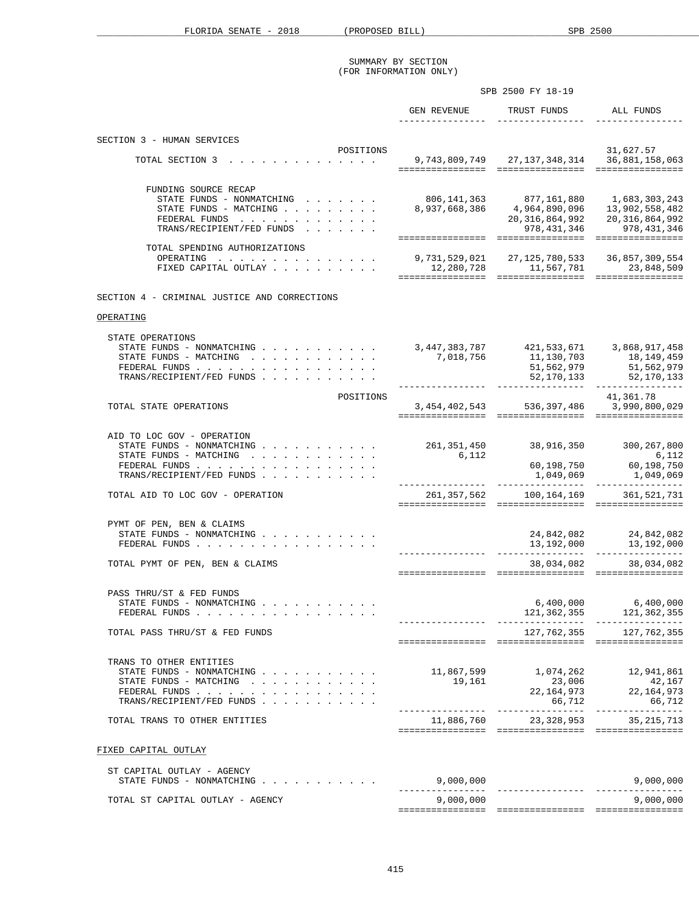|                                                                                                                                 | SPB 2500 FY 18-19                                                             |                                                             |                                                                                                                                       |
|---------------------------------------------------------------------------------------------------------------------------------|-------------------------------------------------------------------------------|-------------------------------------------------------------|---------------------------------------------------------------------------------------------------------------------------------------|
|                                                                                                                                 | GEN REVENUE<br>________________                                               | TRUST FUNDS ALL FUNDS                                       |                                                                                                                                       |
| SECTION 3 - HUMAN SERVICES                                                                                                      |                                                                               |                                                             |                                                                                                                                       |
| POSITIONS<br>TOTAL SECTION 3                                                                                                    |                                                                               | 9, 743, 809, 749 27, 137, 348, 314 36, 881, 158, 063        | 31,627.57                                                                                                                             |
| FUNDING SOURCE RECAP<br>STATE FUNDS - NONMATCHING<br>STATE FUNDS - MATCHING<br>FEDERAL FUNDS<br>TRANS/RECIPIENT/FED FUNDS       | 8,937,668,386                                                                 | 806,141,363 877,161,880<br>20, 316, 864, 992<br>978,431,346 | 1,683,303,243<br>4,964,890,096 13,902,558,482<br>20,316,864,992<br>978,431,346                                                        |
| TOTAL SPENDING AUTHORIZATIONS<br>OPERATING<br>FIXED CAPITAL OUTLAY                                                              | 9, 731, 529, 021 27, 125, 780, 533 36, 857, 309, 554<br>12,280,728 11,567,781 |                                                             | 23,848,509                                                                                                                            |
| SECTION 4 - CRIMINAL JUSTICE AND CORRECTIONS                                                                                    |                                                                               |                                                             |                                                                                                                                       |
| OPERATING                                                                                                                       |                                                                               |                                                             |                                                                                                                                       |
| STATE OPERATIONS<br>STATE FUNDS - NONMATCHING<br>STATE FUNDS - MATCHING<br>FEDERAL FUNDS<br>TRANS/RECIPIENT/FED FUNDS           | 3,447,383,787<br>7,018,756                                                    | 11,130,703                                                  | 421, 533, 671 3, 868, 917, 458<br>18,149,459<br>51,562,979 51,562,979<br>52,170,133 52,170,133<br>. _ _ _ _ _ _ _ _ _ _ _ _ _ _ _     |
| POSITIONS<br>TOTAL STATE OPERATIONS                                                                                             |                                                                               | 3,454,402,543 536,397,486 3,990,800,029                     | 41,361.78                                                                                                                             |
| AID TO LOC GOV - OPERATION<br>STATE FUNDS - NONMATCHING<br>STATE FUNDS - MATCHING<br>FEDERAL FUNDS<br>TRANS/RECIPIENT/FED FUNDS | 6,112                                                                         | 261, 351, 450 38, 916, 350 300, 267, 800<br>1,049,069       | 6,112<br>60,198,750 60,198,750<br>1,049,069                                                                                           |
| TOTAL AID TO LOC GOV - OPERATION                                                                                                | 261,357,562                                                                   | _______________                                             | ________________<br>100, 164, 169 361, 521, 731                                                                                       |
| PYMT OF PEN, BEN & CLAIMS<br>STATE FUNDS - NONMATCHING<br>FEDERAL FUNDS<br>TOTAL PYMT OF PEN, BEN & CLAIMS                      |                                                                               | 13,192,000<br>-----------------<br>38,034,082               | 24,842,082 24,842,082<br>13,192,000<br>38,034,082                                                                                     |
| PASS THRU/ST & FED FUNDS<br>STATE FUNDS - NONMATCHING $\ldots$<br>FEDERAL FUNDS                                                 |                                                                               | $121, 362, 355$ $121, 362, 355$                             | $6,400,000$ $6,400,000$                                                                                                               |
| TOTAL PASS THRU/ST & FED FUNDS                                                                                                  |                                                                               |                                                             | 127, 762, 355 127, 762, 355                                                                                                           |
| TRANS TO OTHER ENTITIES<br>STATE FUNDS - NONMATCHING<br>STATE FUNDS - MATCHING<br>FEDERAL FUNDS<br>TRANS/RECIPIENT/FED FUNDS    | 19,161                                                                        | 11,867,599 1,074,262 12,941,861                             | $\begin{array}{c} 23\,, 006 \\ 22\,, 164\,, 973 \end{array} \qquad \qquad \begin{array}{c} 42\,, 167 \\ 22\,, 164\,, 973 \end{array}$ |
| TOTAL TRANS TO OTHER ENTITIES                                                                                                   |                                                                               | 11,886,760 23,328,953 35,215,713                            |                                                                                                                                       |
| FIXED CAPITAL OUTLAY                                                                                                            |                                                                               |                                                             |                                                                                                                                       |
| ST CAPITAL OUTLAY - AGENCY<br>STATE FUNDS - NONMATCHING                                                                         | 9,000,000                                                                     |                                                             | 9,000,000                                                                                                                             |
| TOTAL ST CAPITAL OUTLAY - AGENCY                                                                                                | 9,000,000                                                                     |                                                             | 9,000,000                                                                                                                             |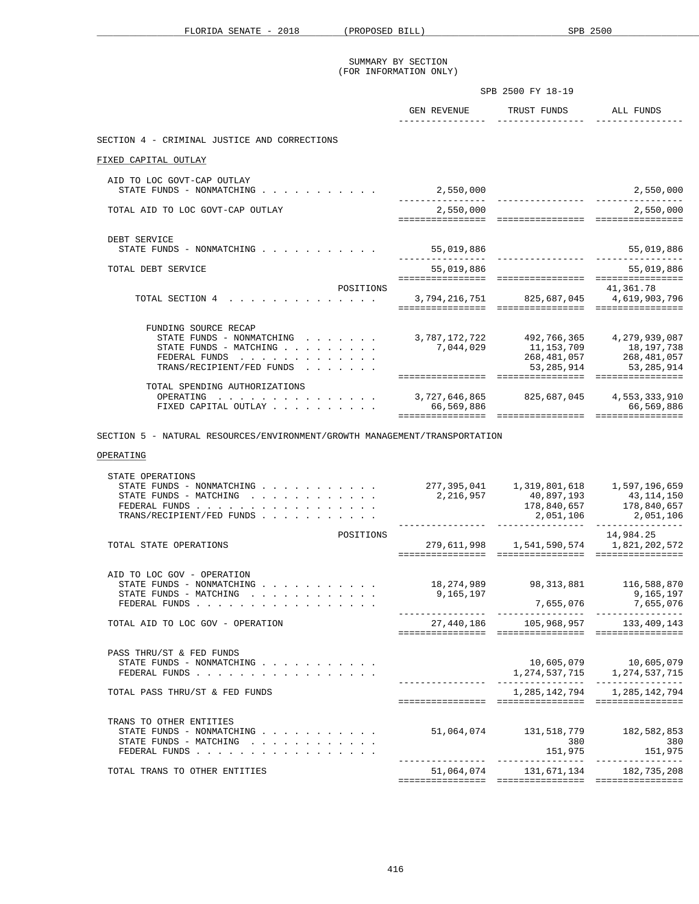|                                                                                                                           | SPB 2500 FY 18-19   |                                                                                |                                                          |
|---------------------------------------------------------------------------------------------------------------------------|---------------------|--------------------------------------------------------------------------------|----------------------------------------------------------|
|                                                                                                                           |                     | GEN REVENUE TRUST FUNDS ALL FUNDS                                              |                                                          |
| SECTION 4 - CRIMINAL JUSTICE AND CORRECTIONS                                                                              |                     |                                                                                |                                                          |
| FIXED CAPITAL OUTLAY                                                                                                      |                     |                                                                                |                                                          |
| AID TO LOC GOVT-CAP OUTLAY<br>STATE FUNDS - NONMATCHING                                                                   | 2,550,000           |                                                                                | 2,550,000                                                |
| TOTAL AID TO LOC GOVT-CAP OUTLAY                                                                                          | 2,550,000           | ===================================                                            | 2,550,000<br>================                            |
| DEBT SERVICE<br>STATE FUNDS - NONMATCHING $\cdots$                                                                        | 55,019,886          |                                                                                | 55,019,886                                               |
| TOTAL DEBT SERVICE                                                                                                        | . _ _ _ _ _ _ _ _ _ | 55,019,886<br>===================================                              | 55,019,886<br>================                           |
| POSITIONS<br>TOTAL SECTION 4<br>.                                                                                         |                     | 3,794,216,751 825,687,045 4,619,903,796<br>=================================== | 41,361.78<br>================                            |
| FUNDING SOURCE RECAP<br>STATE FUNDS - NONMATCHING<br>STATE FUNDS - MATCHING<br>FEDERAL FUNDS<br>TRANS/RECIPIENT/FED FUNDS |                     | 3,787,172,722 492,766,365 4,279,939,087                                        | 268, 481, 057 268, 481, 057<br>53, 285, 914 53, 285, 914 |
| TOTAL SPENDING AUTHORIZATIONS<br>$\cdot$ 3,727,646,865 825,687,045 4,553,333,910<br>OPERATING<br>FIXED CAPITAL OUTLAY     | 66,569,886          | =================<br>================ ================                         | 66,569,886<br>================                           |

SECTION 5 - NATURAL RESOURCES/ENVIRONMENT/GROWTH MANAGEMENT/TRANSPORTATION

# OPERATING

| TOTAL TRANS TO OTHER ENTITIES                                                                                                                                                 | 51,064,074<br>================= | =================                                            | 131,671,134 182,735,208<br>================ |
|-------------------------------------------------------------------------------------------------------------------------------------------------------------------------------|---------------------------------|--------------------------------------------------------------|---------------------------------------------|
| TRANS TO OTHER ENTITIES<br>STATE FUNDS - NONMATCHING<br>STATE FUNDS - MATCHING<br>FEDERAL FUNDS                                                                               |                                 | 51,064,074 131,518,779 182,582,853<br>380<br>151,975         | 380<br>151,975                              |
| TOTAL PASS THRU/ST & FED FUNDS                                                                                                                                                |                                 | ================                                             | 1, 285, 142, 794 1, 285, 142, 794           |
| PASS THRU/ST & FED FUNDS<br>STATE FUNDS - NONMATCHING $\cdot$ , , , , , , , , , ,<br>FEDERAL FUNDS                                                                            |                                 |                                                              | 1, 274, 537, 715 1, 274, 537, 715           |
| TOTAL AID TO LOC GOV - OPERATION                                                                                                                                              |                                 | 27,440,186 105,968,957 133,409,143                           |                                             |
| STATE FUNDS - NONMATCHING $\cdot$ , , , , , , , , , ,<br>STATE FUNDS - MATCHING $\cdot \cdot \cdot \cdot \cdot \cdot \cdot \cdot \cdot \cdot$<br>FEDERAL FUNDS                | 9,165,197                       | 18,274,989 98,313,881 116,588,870                            | 9,165,197<br>7,655,076 7,655,076            |
| POSITIONS<br>TOTAL STATE OPERATIONS<br>AID TO LOC GOV - OPERATION                                                                                                             | =================               | 279,611,998 1,541,590,574 1,821,202,572<br>================= | 14,984.25<br>================               |
| STATE OPERATIONS<br>STATE FUNDS - NONMATCHING<br>STATE FUNDS - MATCHING $\cdot \cdot \cdot \cdot \cdot \cdot \cdot \cdot \cdot$<br>FEDERAL FUNDS<br>TRANS/RECIPIENT/FED FUNDS |                                 | 2, 216, 957 40, 897, 193 43, 114, 150<br>2,051,106           | 178,840,657 178,840,657<br>2,051,106        |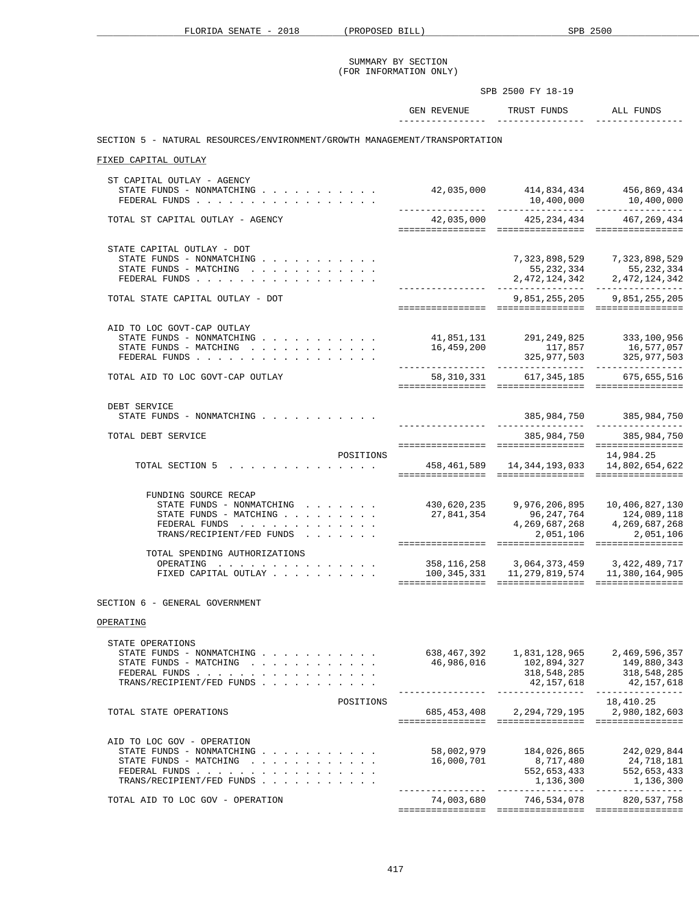|                                                                                                                                                                                                                                                                     | SUMMARY BY SECTION<br>(FOR INFORMATION ONLY)       |                                                                                                                                                                                                                                                       |                                                                                                                                    |
|---------------------------------------------------------------------------------------------------------------------------------------------------------------------------------------------------------------------------------------------------------------------|----------------------------------------------------|-------------------------------------------------------------------------------------------------------------------------------------------------------------------------------------------------------------------------------------------------------|------------------------------------------------------------------------------------------------------------------------------------|
|                                                                                                                                                                                                                                                                     | SPB 2500 FY 18-19                                  |                                                                                                                                                                                                                                                       |                                                                                                                                    |
|                                                                                                                                                                                                                                                                     |                                                    | GEN REVENUE TRUST FUNDS ALL FUNDS                                                                                                                                                                                                                     |                                                                                                                                    |
| SECTION 5 - NATURAL RESOURCES/ENVIRONMENT/GROWTH MANAGEMENT/TRANSPORTATION                                                                                                                                                                                          |                                                    |                                                                                                                                                                                                                                                       |                                                                                                                                    |
| FIXED CAPITAL OUTLAY                                                                                                                                                                                                                                                |                                                    |                                                                                                                                                                                                                                                       |                                                                                                                                    |
|                                                                                                                                                                                                                                                                     |                                                    |                                                                                                                                                                                                                                                       |                                                                                                                                    |
| ST CAPITAL OUTLAY - AGENCY<br>STATE FUNDS - NONMATCHING<br>FEDERAL FUNDS                                                                                                                                                                                            |                                                    | 42,035,000 414,834,434 456,869,434                                                                                                                                                                                                                    | $10,400,000$ $10,400,000$                                                                                                          |
| TOTAL ST CAPITAL OUTLAY - AGENCY                                                                                                                                                                                                                                    |                                                    | 42,035,000 425,234,434 467,269,434                                                                                                                                                                                                                    |                                                                                                                                    |
| STATE CAPITAL OUTLAY - DOT<br>STATE FUNDS - NONMATCHING<br>STATE FUNDS - MATCHING<br>FEDERAL FUNDS                                                                                                                                                                  |                                                    | ----------------- ----------------                                                                                                                                                                                                                    | $\begin{array}{lllll} 7,323,898,529 & & 7,323,898,529 \\ 55,232,334 & & 55,232,334 \\ 2,472,124,342 & & 2,472,124,342 \end{array}$ |
| TOTAL STATE CAPITAL OUTLAY - DOT                                                                                                                                                                                                                                    |                                                    |                                                                                                                                                                                                                                                       | 9,851,255,205 9,851,255,205                                                                                                        |
|                                                                                                                                                                                                                                                                     |                                                    |                                                                                                                                                                                                                                                       |                                                                                                                                    |
| AID TO LOC GOVT-CAP OUTLAY<br>STATE FUNDS - NONMATCHING<br>STATE FUNDS - MATCHING<br>FEDERAL FUNDS                                                                                                                                                                  | 41,851,131  291,249,825  333,100,956<br>16,459,200 | 117,857                                                                                                                                                                                                                                               | 16,577,057<br>$325,977,503$ $325,977,503$                                                                                          |
| TOTAL AID TO LOC GOVT-CAP OUTLAY                                                                                                                                                                                                                                    |                                                    | 58,310,331 617,345,185 675,655,516                                                                                                                                                                                                                    |                                                                                                                                    |
| DEBT SERVICE<br>STATE FUNDS - NONMATCHING                                                                                                                                                                                                                           |                                                    |                                                                                                                                                                                                                                                       | 385,984,750 385,984,750                                                                                                            |
| TOTAL DEBT SERVICE                                                                                                                                                                                                                                                  |                                                    | 385,984,750                                                                                                                                                                                                                                           | 385,984,750                                                                                                                        |
| POSITIONS                                                                                                                                                                                                                                                           |                                                    |                                                                                                                                                                                                                                                       | 14,984.25                                                                                                                          |
| TOTAL SECTION 5 458, 461, 589 14, 344, 193, 033 14, 802, 654, 622                                                                                                                                                                                                   |                                                    |                                                                                                                                                                                                                                                       |                                                                                                                                    |
| FUNDING SOURCE RECAP<br>STATE FUNDS - NONMATCHING<br>STATE FUNDS - MATCHING<br>FEDERAL FUNDS<br>TRANS/RECIPIENT/FED FUNDS                                                                                                                                           |                                                    | $\begin{array}{cccc} 430\, , 620\, , 235 & 9\, , 976\, , 206\, , 895 & 10\, , 406\, , 827\, , 130 \\ 27\, , 841\, , 354 & 96\, , 247\, , 764 & 124\, , 089\, , 118 \\ 4\, , 269\, , 687\, , 268 & 4\, , 269\, , 687\, , 268 \end{array}$<br>2,051,106 | 2,051,106                                                                                                                          |
| TOTAL SPENDING AUTHORIZATIONS                                                                                                                                                                                                                                       |                                                    |                                                                                                                                                                                                                                                       |                                                                                                                                    |
| the contract of the contract of the contract of the contract of the contract of the contract of the contract of the contract of the contract of the contract of the contract of the contract of the contract of the contract o<br>OPERATING<br>FIXED CAPITAL OUTLAY | 100,345,331                                        | 358, 116, 258 3, 064, 373, 459 3, 422, 489, 717                                                                                                                                                                                                       | 11, 279, 819, 574 11, 380, 164, 905                                                                                                |
| SECTION 6 - GENERAL GOVERNMENT                                                                                                                                                                                                                                      |                                                    |                                                                                                                                                                                                                                                       |                                                                                                                                    |
| OPERATING                                                                                                                                                                                                                                                           |                                                    |                                                                                                                                                                                                                                                       |                                                                                                                                    |
| STATE OPERATIONS<br>STATE FUNDS - NONMATCHING<br>STATE FUNDS - MATCHING<br>FEDERAL FUNDS<br>TRANS/RECIPIENT/FED FUNDS                                                                                                                                               | 46,986,016<br>. _ _ _ _ _ _ _ _ _ _ _ _ _ _ _      | 102,894,327<br>318,548,285<br>42,157,618<br>_________________                                                                                                                                                                                         | 149,880,343<br>318,548,285<br>42, 157, 618<br>----------------                                                                     |
| POSITIONS<br>TOTAL STATE OPERATIONS                                                                                                                                                                                                                                 | 685,453,408                                        | 2, 294, 729, 195                                                                                                                                                                                                                                      | 18,410.25<br>2,980,182,603                                                                                                         |
| AID TO LOC GOV - OPERATION<br>STATE FUNDS - NONMATCHING<br>STATE FUNDS - MATCHING<br>FEDERAL FUNDS<br>TRANS/RECIPIENT/FED FUNDS                                                                                                                                     | 58,002,979<br>16,000,701                           | 184,026,865<br>8,717,480<br>552,653,433<br>1,136,300                                                                                                                                                                                                  | 242,029,844<br>24,718,181<br>552,653,433<br>1,136,300                                                                              |
| TOTAL AID TO LOC GOV - OPERATION                                                                                                                                                                                                                                    | ----------------<br>74,003,680                     | . <u>.</u><br>746,534,078                                                                                                                                                                                                                             | ________________<br>820, 537, 758                                                                                                  |
|                                                                                                                                                                                                                                                                     |                                                    |                                                                                                                                                                                                                                                       |                                                                                                                                    |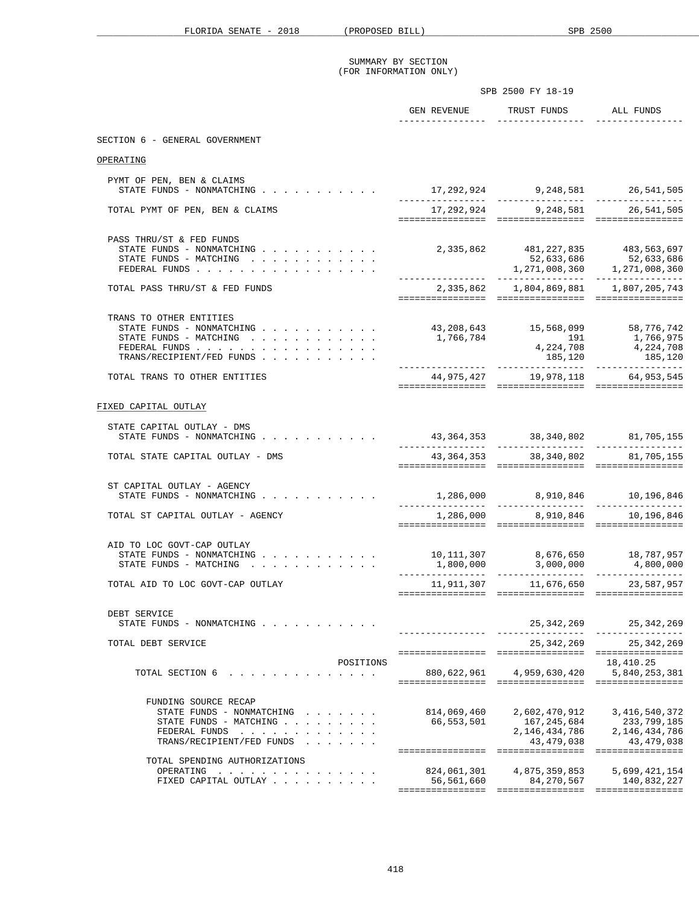|                                                                                                                                                                                            |                                 | SPB 2500 FY 18-19                                                                         |                                                                  |  |
|--------------------------------------------------------------------------------------------------------------------------------------------------------------------------------------------|---------------------------------|-------------------------------------------------------------------------------------------|------------------------------------------------------------------|--|
|                                                                                                                                                                                            | GEN REVENUE                     | TRUST FUNDS ALL FUNDS                                                                     |                                                                  |  |
| SECTION 6 - GENERAL GOVERNMENT                                                                                                                                                             |                                 |                                                                                           |                                                                  |  |
| OPERATING                                                                                                                                                                                  |                                 |                                                                                           |                                                                  |  |
| PYMT OF PEN, BEN & CLAIMS<br>STATE FUNDS - NONMATCHING                                                                                                                                     | 17,292,924 9,248,581 26,541,505 |                                                                                           |                                                                  |  |
| TOTAL PYMT OF PEN, BEN & CLAIMS                                                                                                                                                            |                                 | 17, 292, 924 9, 248, 581                                                                  | 26,541,505                                                       |  |
| PASS THRU/ST & FED FUNDS<br>STATE FUNDS - NONMATCHING $\cdot \cdot \cdot \cdot \cdot \cdot \cdot \cdot \cdot$<br>STATE FUNDS - MATCHING<br>FEDERAL FUNDS                                   |                                 | 2,335,862 481,227,835 483,563,697<br>52,633,686 52,633,686<br>1,271,008,360 1,271,008,360 |                                                                  |  |
| TOTAL PASS THRU/ST & FED FUNDS                                                                                                                                                             |                                 | 2, 335, 862 1, 804, 869, 881 1, 807, 205, 743                                             |                                                                  |  |
| TRANS TO OTHER ENTITIES<br>STATE FUNDS - NONMATCHING<br>STATE FUNDS - MATCHING $\cdot \cdot \cdot \cdot \cdot \cdot \cdot \cdot \cdot \cdot$<br>FEDERAL FUNDS<br>TRANS/RECIPIENT/FED FUNDS | 1,766,784                       | 43,208,643 15,568,099 58,776,742<br>$191$<br>4, 224, 708<br>185,120                       | 1,766,975<br>4,224,708<br>185,120                                |  |
| TOTAL TRANS TO OTHER ENTITIES                                                                                                                                                              |                                 | 44,975,427 19,978,118 64,953,545                                                          |                                                                  |  |
| FIXED CAPITAL OUTLAY<br>STATE CAPITAL OUTLAY - DMS                                                                                                                                         |                                 |                                                                                           |                                                                  |  |
| STATE FUNDS - NONMATCHING                                                                                                                                                                  |                                 | 43, 364, 353 38, 340, 802 81, 705, 155                                                    |                                                                  |  |
| TOTAL STATE CAPITAL OUTLAY - DMS                                                                                                                                                           |                                 | 43, 364, 353 38, 340, 802 81, 705, 155                                                    |                                                                  |  |
| ST CAPITAL OUTLAY - AGENCY<br>STATE FUNDS - NONMATCHING<br>TOTAL ST CAPITAL OUTLAY - AGENCY                                                                                                | -----------------               | $1,286,000$ $8,910,846$ $10,196,846$<br>1,286,000 8,910,846 10,196,846                    |                                                                  |  |
|                                                                                                                                                                                            |                                 |                                                                                           |                                                                  |  |
| AID TO LOC GOVT-CAP OUTLAY<br>STATE FUNDS - NONMATCHING<br>STATE FUNDS - MATCHING                                                                                                          |                                 | 10,111,307  8,676,650  18,787,957<br>1,800,000  3,000,000  4,800,000                      |                                                                  |  |
| TOTAL AID TO LOC GOVT-CAP OUTLAY                                                                                                                                                           |                                 | 11,911,307 11,676,650 23,587,957                                                          |                                                                  |  |
| DEBT SERVICE<br>STATE FUNDS - NONMATCHING                                                                                                                                                  |                                 | 25, 342, 269                                                                              | 25, 342, 269                                                     |  |
| TOTAL DEBT SERVICE                                                                                                                                                                         |                                 | 25,342,269                                                                                | 25, 342, 269                                                     |  |
| POSITIONS<br>TOTAL SECTION 6<br>the contract of the contract of the contract of the contract of the contract of the contract of the contract of                                            | 880,622,961                     | 4,959,630,420                                                                             | 18,410.25<br>5,840,253,381                                       |  |
| FUNDING SOURCE RECAP<br>STATE FUNDS - NONMATCHING<br>STATE FUNDS - MATCHING<br>FEDERAL FUNDS<br>TRANS/RECIPIENT/FED FUNDS                                                                  | 814,069,460<br>66,553,501       | 2,602,470,912<br>167,245,684<br>2,146,434,786<br>43, 479, 038                             | 3, 416, 540, 372<br>233,799,185<br>2,146,434,786<br>43, 479, 038 |  |
| TOTAL SPENDING AUTHORIZATIONS<br>OPERATING<br>.<br>FIXED CAPITAL OUTLAY                                                                                                                    | 824,061,301<br>56,561,660       | 4,875,359,853<br>84,270,567                                                               | 5,699,421,154<br>140,832,227                                     |  |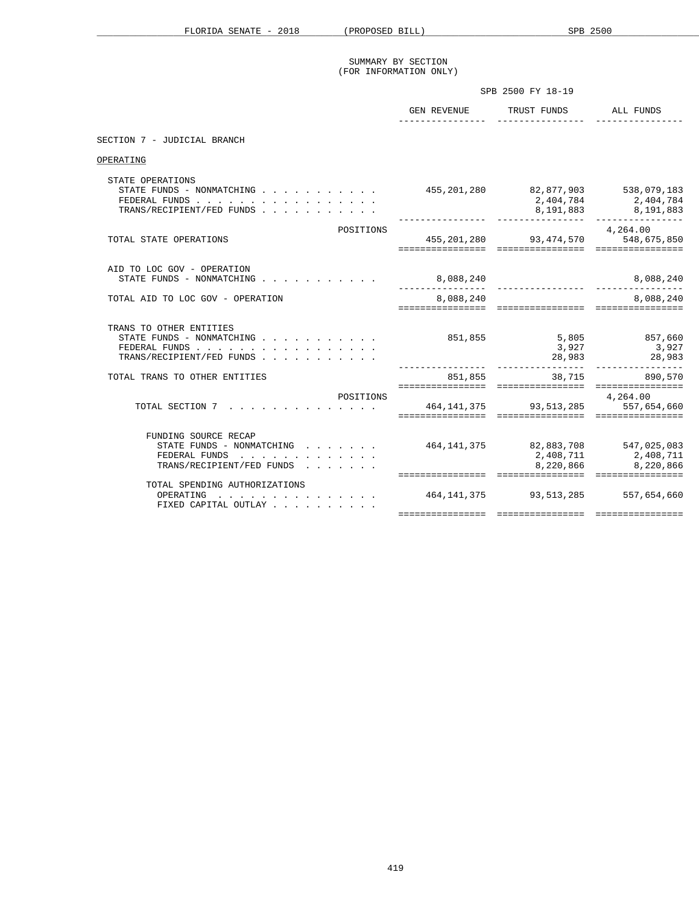|                                                                                                                               |                                    | SPB 2500 FY 18-19                                     |                                                |
|-------------------------------------------------------------------------------------------------------------------------------|------------------------------------|-------------------------------------------------------|------------------------------------------------|
|                                                                                                                               |                                    | GEN REVENUE TRUST FUNDS ALL FUNDS                     |                                                |
| SECTION 7 - JUDICIAL BRANCH                                                                                                   |                                    |                                                       |                                                |
| OPERATING                                                                                                                     |                                    |                                                       |                                                |
| STATE OPERATIONS<br>STATE FUNDS - NONMATCHING $\cdots$ , , , , , , , , ,<br>FEDERAL FUNDS<br>TRANS/RECIPIENT/FED FUNDS        | 455,201,280 82,877,903 538,079,183 |                                                       | 2,404,784 2,404,784<br>8, 191, 883 8, 191, 883 |
| POSITIONS<br>TOTAL STATE OPERATIONS                                                                                           |                                    | 455, 201, 280 93, 474, 570 548, 675, 850              | 4,264.00                                       |
| AID TO LOC GOV - OPERATION<br>STATE FUNDS - NONMATCHING $\cdot$ , , , , , , , , , , ,                                         | 8,088,240<br>_________________     |                                                       | 8,088,240                                      |
| TOTAL AID TO LOC GOV - OPERATION                                                                                              | 8,088,240                          |                                                       | 8,088,240                                      |
| TRANS TO OTHER ENTITIES<br>STATE FUNDS - NONMATCHING $\cdots$ , , , , , , , , ,<br>FEDERAL FUNDS<br>TRANS/RECIPIENT/FED FUNDS | 851,855                            | 3,927                                                 | 5,805 857,660<br>3,927<br>28,983 28,983        |
| TOTAL TRANS TO OTHER ENTITIES                                                                                                 |                                    | 851,855 38,715 890,570                                |                                                |
| POSITIONS<br>TOTAL SECTION 7 464, 141, 375 93, 513, 285 557, 654, 660                                                         |                                    |                                                       | 4,264.00                                       |
| FUNDING SOURCE RECAP<br>STATE FUNDS - NONMATCHING<br>FEDERAL FUNDS<br>TRANS/RECIPIENT/FED FUNDS                               |                                    | 464, 141, 375 82, 883, 708 547, 025, 083<br>8,220,866 | 2, 408, 711 2, 408, 711<br>8,220,866           |
| TOTAL SPENDING AUTHORIZATIONS<br>OPERATING<br>FIXED CAPITAL OUTLAY                                                            | =================                  | 464, 141, 375 93, 513, 285 557, 654, 660              |                                                |
|                                                                                                                               |                                    |                                                       |                                                |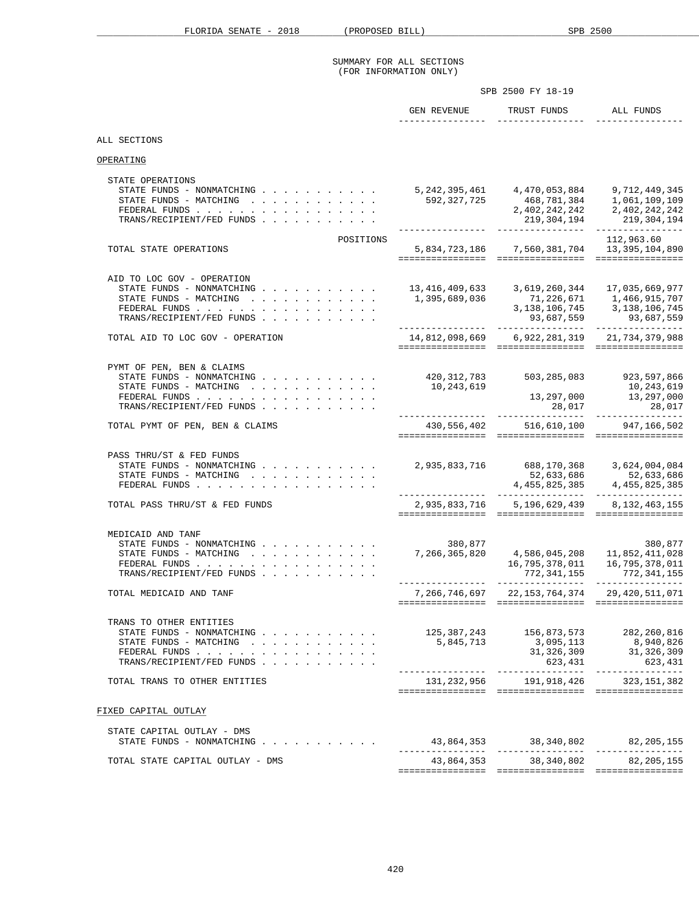## SUMMARY FOR ALL SECTIONS (FOR INFORMATION ONLY)

|                                                                                                                                                        | SPB 2500 FY 18-19                             |                                                                                     |                                                                                                                      |  |  |
|--------------------------------------------------------------------------------------------------------------------------------------------------------|-----------------------------------------------|-------------------------------------------------------------------------------------|----------------------------------------------------------------------------------------------------------------------|--|--|
|                                                                                                                                                        | GEN REVENUE                                   | TRUST FUNDS                                                                         | ALL FUNDS                                                                                                            |  |  |
| ALL SECTIONS                                                                                                                                           |                                               |                                                                                     |                                                                                                                      |  |  |
| OPERATING                                                                                                                                              |                                               |                                                                                     |                                                                                                                      |  |  |
| STATE OPERATIONS<br>TRANS/RECIPIENT/FED FUNDS                                                                                                          |                                               |                                                                                     | 219, 304, 194 219, 304, 194                                                                                          |  |  |
| POSITIONS<br>TOTAL STATE OPERATIONS                                                                                                                    |                                               | 5,834,723,186 7,560,381,704 13,395,104,890                                          | 112,963.60                                                                                                           |  |  |
| AID TO LOC GOV - OPERATION<br>STATE FUNDS - NONMATCHING<br>STATE FUNDS - MATCHING<br>FEDERAL FUNDS<br>TRANS/RECIPIENT/FED FUNDS                        | 1,395,689,036                                 | 13, 416, 409, 633 3, 619, 260, 344 17, 035, 669, 977                                | $71, 226, 671 \qquad 1, 466, 915, 707$<br>$3, 138, 106, 745 \qquad 3, 138, 106, 745$<br>93,687,559 93,687,559        |  |  |
| TOTAL AID TO LOC GOV - OPERATION                                                                                                                       |                                               | 14,812,098,669 6,922,281,319 21,734,379,988                                         |                                                                                                                      |  |  |
| PYMT OF PEN, BEN & CLAIMS<br>STATE FUNDS - NONMATCHING<br>STATE FUNDS - MATCHING<br>FEDERAL FUNDS<br>TRANS/RECIPIENT/FED FUNDS                         | 10,243,619<br>. _ _ _ _ _ _ _ _ _ _ _ _ _ _ _ | 420, 312, 783 503, 285, 083 923, 597, 866<br>13,297,000<br>28,017<br>-------------- | 10,243,619<br>13, 297, 000<br>28,017<br>---------------                                                              |  |  |
| TOTAL PYMT OF PEN, BEN & CLAIMS                                                                                                                        |                                               | 430,556,402 516,610,100 947,166,502                                                 |                                                                                                                      |  |  |
| PASS THRU/ST & FED FUNDS<br>STATE FUNDS - NONMATCHING<br>STATE FUNDS - MATCHING<br>FEDERAL FUNDS                                                       |                                               | 2,935,833,716 688,170,368 3,624,004,084                                             | 52,633,686<br>4,455,825,385<br>4,455,825,385<br>4,455,825,385                                                        |  |  |
| TOTAL PASS THRU/ST & FED FUNDS                                                                                                                         |                                               | 2,935,833,716 5,196,629,439 8,132,463,155                                           |                                                                                                                      |  |  |
| MEDICAID AND TANF<br>STATE FUNDS - NONMATCHING<br>STATE FUNDS - MATCHING $\cdot$ , , , , , , , , , , , ,<br>FEDERAL FUNDS<br>TRANS/RECIPIENT/FED FUNDS | 380,877<br>7,266,365,820                      | 16,795,378,011<br>772,341,155                                                       | 380,877<br>4,586,045,208    11,852,411,028<br>16,795,378,011<br>772, 341, 155<br>----------------- ----------------- |  |  |
| TOTAL MEDICAID AND TANF                                                                                                                                | 7,266,746,697                                 | 22, 153, 764, 374                                                                   | 29, 420, 511, 071                                                                                                    |  |  |
| TRANS TO OTHER ENTITIES<br>STATE FUNDS - NONMATCHING $\cdot$<br>STATE FUNDS - MATCHING<br>FEDERAL FUNDS<br>TRANS/RECIPIENT/FED FUNDS                   | 5,845,713                                     | 125,387,243 156,873,573 282,260,816<br>3,095,113<br>31,326,309<br>623,431           | 8,940,826<br>31,326,309<br>623,431                                                                                   |  |  |
| TOTAL TRANS TO OTHER ENTITIES                                                                                                                          |                                               | 131, 232, 956 191, 918, 426 323, 151, 382                                           |                                                                                                                      |  |  |
| FIXED CAPITAL OUTLAY                                                                                                                                   |                                               |                                                                                     |                                                                                                                      |  |  |
| STATE CAPITAL OUTLAY - DMS<br>STATE FUNDS - NONMATCHING                                                                                                |                                               |                                                                                     |                                                                                                                      |  |  |
| TOTAL STATE CAPITAL OUTLAY - DMS                                                                                                                       |                                               | 43,864,353 38,340,802 82,205,155                                                    |                                                                                                                      |  |  |
|                                                                                                                                                        |                                               |                                                                                     |                                                                                                                      |  |  |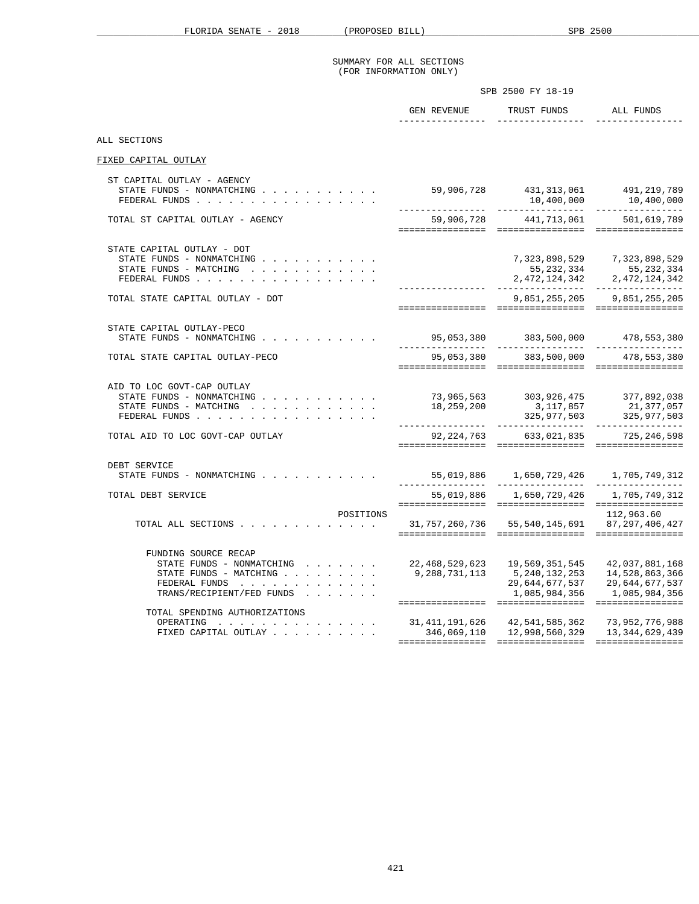#### SUMMARY FOR ALL SECTIONS (FOR INFORMATION ONLY)

|                                                                                                                                        | SPB 2500 FY 18-19                                                                                                                                                               |                                                                                                                          |
|----------------------------------------------------------------------------------------------------------------------------------------|---------------------------------------------------------------------------------------------------------------------------------------------------------------------------------|--------------------------------------------------------------------------------------------------------------------------|
|                                                                                                                                        | GEN REVENUE TRUST FUNDS ALL FUNDS                                                                                                                                               |                                                                                                                          |
| ALL SECTIONS                                                                                                                           |                                                                                                                                                                                 |                                                                                                                          |
| FIXED CAPITAL OUTLAY                                                                                                                   |                                                                                                                                                                                 |                                                                                                                          |
| ST CAPITAL OUTLAY - AGENCY<br>STATE FUNDS - NONMATCHING<br>FEDERAL FUNDS                                                               | 59,906,728 431,313,061 491,219,789<br>_________________                                                                                                                         | $10,400,000$ $10,400,000$                                                                                                |
| TOTAL ST CAPITAL OUTLAY - AGENCY                                                                                                       | 59,906,728 441,713,061 501,619,789                                                                                                                                              |                                                                                                                          |
| STATE CAPITAL OUTLAY - DOT<br>STATE FUNDS - NONMATCHING<br>STATE FUNDS - MATCHING<br>FEDERAL FUNDS<br>TOTAL STATE CAPITAL OUTLAY - DOT |                                                                                                                                                                                 | 7, 323, 898, 529 7, 323, 898, 529<br>55, 232, 334<br>2, 472, 124, 342<br>2, 472, 124, 342<br>9,851,255,205 9,851,255,205 |
| STATE CAPITAL OUTLAY-PECO<br>STATE FUNDS - NONMATCHING                                                                                 |                                                                                                                                                                                 |                                                                                                                          |
| TOTAL STATE CAPITAL OUTLAY-PECO                                                                                                        | 95,053,380 383,500,000 478,553,380                                                                                                                                              |                                                                                                                          |
| AID TO LOC GOVT-CAP OUTLAY<br>STATE FUNDS - NONMATCHING<br>STATE FUNDS - MATCHING<br>FEDERAL FUNDS                                     | $73,965,563$ $303,926,475$ $377,892,038$<br>$18, 259, 200$<br>3.117,857<br>325,977,503<br>325,977,503<br>325,977,503<br>325,977,503                                             |                                                                                                                          |
| TOTAL AID TO LOC GOVT-CAP OUTLAY                                                                                                       | 92,224,763 633,021,835 725,246,598                                                                                                                                              |                                                                                                                          |
| DEBT SERVICE<br>STATE FUNDS - NONMATCHING                                                                                              |                                                                                                                                                                                 |                                                                                                                          |
| TOTAL DEBT SERVICE                                                                                                                     |                                                                                                                                                                                 |                                                                                                                          |
| POSITIONS<br>TOTAL ALL SECTIONS 31,757,260,736 55,540,145,691 87,297,406,427                                                           |                                                                                                                                                                                 | 112,963.60                                                                                                               |
| FUNDING SOURCE RECAP<br>STATE FUNDS - NONMATCHING<br>STATE FUNDS - MATCHING<br>FEDERAL FUNDS<br>TRANS/RECIPIENT/FED FUNDS              | 22,468,529,623 19,569,351,545 42,037,881,168<br>9, 288, 731, 113 5, 240, 132, 253 14, 528, 863, 366<br>29, 644, 677, 537 29, 644, 677, 537<br>1, 085, 984, 356 1, 085, 984, 356 |                                                                                                                          |
| TOTAL SPENDING AUTHORIZATIONS<br>OPERATING<br>$\frac{1}{2}$<br>FIXED CAPITAL OUTLAY                                                    | 31, 411, 191, 626 42, 541, 585, 362 73, 952, 776, 988                                                                                                                           |                                                                                                                          |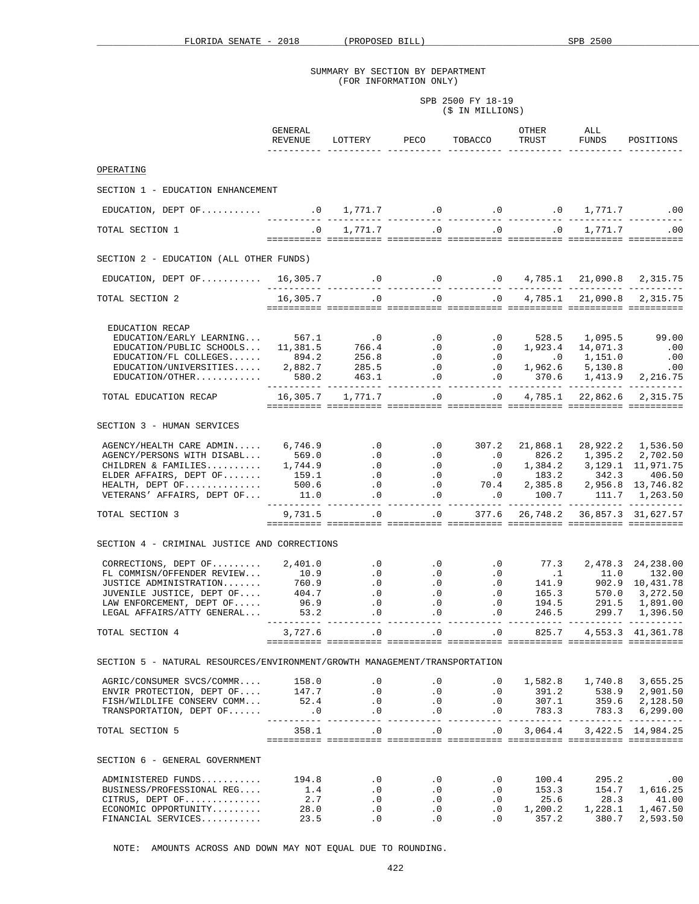SPB 2500 FY 18-19 (\$ IN MILLIONS)

|                                                                                                                                                                                                                                                                                                                                                                                               | GENERAL<br>REVENUE                  | LOTTERY PECO TOBACCO                                   |                                                 |                                                                                                                                                                                                                                                                        | OTHER<br>TRUST                             | ALL<br>FUNDS                               | POSITIONS                                        |
|-----------------------------------------------------------------------------------------------------------------------------------------------------------------------------------------------------------------------------------------------------------------------------------------------------------------------------------------------------------------------------------------------|-------------------------------------|--------------------------------------------------------|-------------------------------------------------|------------------------------------------------------------------------------------------------------------------------------------------------------------------------------------------------------------------------------------------------------------------------|--------------------------------------------|--------------------------------------------|--------------------------------------------------|
| OPERATING                                                                                                                                                                                                                                                                                                                                                                                     |                                     |                                                        |                                                 |                                                                                                                                                                                                                                                                        |                                            |                                            |                                                  |
| SECTION 1 - EDUCATION ENHANCEMENT                                                                                                                                                                                                                                                                                                                                                             |                                     |                                                        |                                                 |                                                                                                                                                                                                                                                                        |                                            |                                            |                                                  |
|                                                                                                                                                                                                                                                                                                                                                                                               |                                     |                                                        |                                                 |                                                                                                                                                                                                                                                                        |                                            |                                            |                                                  |
| TOTAL SECTION 1                                                                                                                                                                                                                                                                                                                                                                               | $\overline{\phantom{a}}$ .0         |                                                        |                                                 | $1,771.7$ $0$ $0$ $0$ $0$ $1,771.7$ $00$                                                                                                                                                                                                                               |                                            |                                            |                                                  |
|                                                                                                                                                                                                                                                                                                                                                                                               |                                     |                                                        |                                                 |                                                                                                                                                                                                                                                                        |                                            |                                            |                                                  |
| SECTION 2 - EDUCATION (ALL OTHER FUNDS)                                                                                                                                                                                                                                                                                                                                                       |                                     |                                                        |                                                 |                                                                                                                                                                                                                                                                        |                                            |                                            |                                                  |
| EDUCATION, DEPT OF  16,305.7 10 0 1,785.1 21,090.8 2,315.75                                                                                                                                                                                                                                                                                                                                   |                                     |                                                        |                                                 |                                                                                                                                                                                                                                                                        |                                            |                                            |                                                  |
| TOTAL SECTION 2                                                                                                                                                                                                                                                                                                                                                                               |                                     |                                                        |                                                 |                                                                                                                                                                                                                                                                        |                                            |                                            |                                                  |
| EDUCATION RECAP<br>EDUCATION/EARLY LEARNING 567.1 0 0.0 0.0 528.5 1,095.5 99.00<br>EDUCATION/PUBLIC SCHOOLS 11,381.5 766.4 0 0.0 1,923.4 14,071.3 .00<br>EDUCATION/FL COLLEGES 894.2 256.8 0 0.0 1,923.4 14,071.3 .00<br>EDUCATION/UNIVERSI                                                                                                                                                   |                                     |                                                        |                                                 |                                                                                                                                                                                                                                                                        |                                            |                                            |                                                  |
| TOTAL EDUCATION RECAP                                                                                                                                                                                                                                                                                                                                                                         |                                     | $16,305.7$ $1,771.7$ .0                                |                                                 | $\overline{0}$                                                                                                                                                                                                                                                         |                                            |                                            | 4,785.1 22,862.6 2,315.75                        |
| SECTION 3 - HUMAN SERVICES<br>AGENCY/HEALTH CARE ADMIN 6,746.9                                                                                                                                                                                                                                                                                                                                |                                     |                                                        |                                                 | $.0$ $.0$ $.307.2$ $.21,868.1$                                                                                                                                                                                                                                         |                                            |                                            | 28,922.2 1,536.50                                |
| TOTAL SECTION 3                                                                                                                                                                                                                                                                                                                                                                               |                                     | 9,731.5 .0 .0 377.6 26,748.2 36,857.3 31,627.57        |                                                 |                                                                                                                                                                                                                                                                        |                                            |                                            |                                                  |
| SECTION 4 - CRIMINAL JUSTICE AND CORRECTIONS                                                                                                                                                                                                                                                                                                                                                  |                                     |                                                        |                                                 |                                                                                                                                                                                                                                                                        |                                            |                                            |                                                  |
| LEGAL AFFAIRS/ATTY GENERAL 53.2                                                                                                                                                                                                                                                                                                                                                               |                                     | $\cdot$ 0                                              |                                                 | $\begin{array}{cccccc} .0 & .0 & .0 & 77.3 & 2,478.3 & 24,238.00 \\ .0 & .0 & .1 & 11.0 & 132.00 \\ .0 & .0 & 141.9 & 902.9 & 10,431.78 \\ .0 & .0 & 165.3 & 570.0 & 3,272.50 \\ .0 & .0 & 194.5 & 291.5 & 1,891.00 \\ .0 & .0 & 246.5 & 299.7 & 1,396.50 \end{array}$ |                                            |                                            |                                                  |
| TOTAL SECTION 4                                                                                                                                                                                                                                                                                                                                                                               | 3,727.6                             | $\cdot$ 0                                              |                                                 | $.0$ $.0$ $.825.7$                                                                                                                                                                                                                                                     |                                            |                                            | 4, 553.3 41, 361. 78                             |
| SECTION 5 - NATURAL RESOURCES/ENVIRONMENT/GROWTH MANAGEMENT/TRANSPORTATION                                                                                                                                                                                                                                                                                                                    |                                     |                                                        |                                                 |                                                                                                                                                                                                                                                                        |                                            |                                            |                                                  |
| $\begin{array}{cccccccc} \tt AGRIC/CONSUMER \; SVC/COMMR \dots & 158.0 & .0 & .0 & .0 & 1,582.8 & 1,740.8 \\ \tt ENVIR \; PROTECTION, \; DEPT \; OF \dots & 147.7 & .0 & .0 & .0 & 391.2 & 538.9 \\ \tt FISH/WILDLIFE \; CONSERV \; COMM \dots & 52.4 & .0 & .0 & .0 & 307.1 & 359.6 \\ \ttTRANSPORTATION, \; DEPT \; OF \dots \dots & .0 & .0 & .0 & .0 & .0 & 783.3 & 783.3 \\ \end{array}$ |                                     |                                                        |                                                 | $\begin{array}{cccccc} .0 & .0 & 1,582.8 & 1,740.8 & 3,655.25 \ .0 & .0 & 391.2 & 538.9 & 2,901.50 \end{array}$                                                                                                                                                        |                                            |                                            | 2,128.50<br>6, 299.00                            |
| TOTAL SECTION 5                                                                                                                                                                                                                                                                                                                                                                               | 358.1                               |                                                        | $\overline{0}$                                  | $.0$ $.0$ $3,064.4$ $3,422.5$ $14,984.25$                                                                                                                                                                                                                              |                                            |                                            |                                                  |
| SECTION 6 - GENERAL GOVERNMENT                                                                                                                                                                                                                                                                                                                                                                |                                     |                                                        |                                                 |                                                                                                                                                                                                                                                                        |                                            |                                            |                                                  |
| ADMINISTERED FUNDS<br>BUSINESS/PROFESSIONAL REG<br>CITRUS, DEPT OF<br>$ECONOMIC$ OPPORTUNITY<br>FINANCIAL SERVICES                                                                                                                                                                                                                                                                            | 194.8<br>1.4<br>2.7<br>28.0<br>23.5 | $\cdot$ 0<br>$\cdot$ 0<br>$\cdot$ 0<br>$\cdot$ 0<br>.0 | $\cdot$ 0<br>$\cdot$ 0<br>$\cdot$ 0<br>.0<br>.0 | $\cdot$ 0<br>$\cdot$ 0<br>.0<br>$\cdot$ 0<br>$\cdot$ 0                                                                                                                                                                                                                 | 100.4<br>153.3<br>25.6<br>1,200.2<br>357.2 | 295.2<br>154.7<br>28.3<br>1,228.1<br>380.7 | .00<br>1,616.25<br>41.00<br>1,467.50<br>2,593.50 |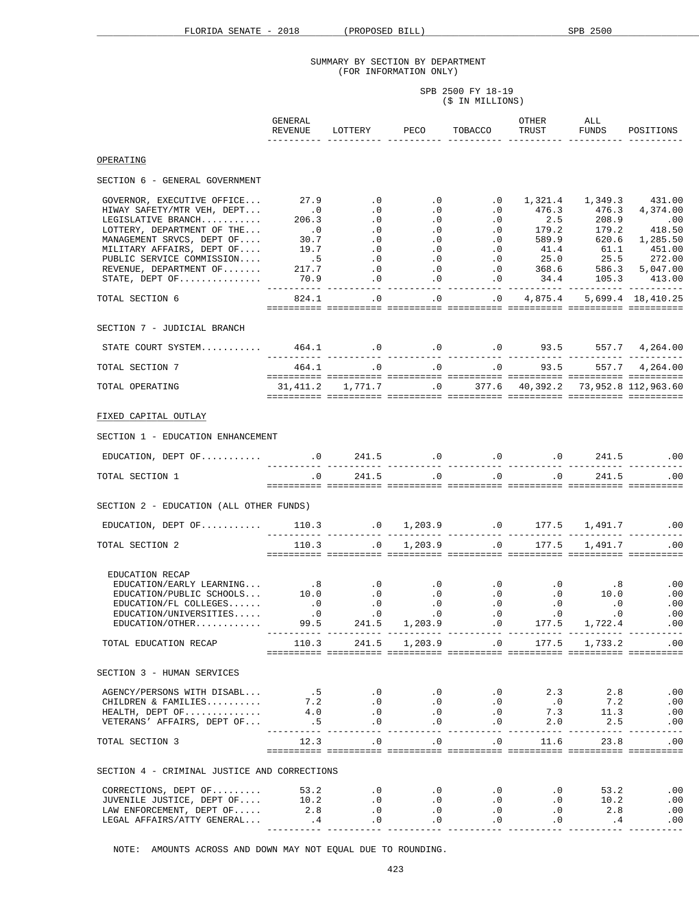| SPB 2500 FY 18-19 |
|-------------------|
| (\$ IN MILLIONS)  |

|                                                                                                                                                                                                                                                                                                                                                                                                                                             | GENERAL<br>REVENUE | LOTTERY PECO                                                                                                              |               | TOBACCO                                                                                                                               | OTHER<br>TRUST         | ALL<br>FUNDS | POSITIONS                                                                                 |
|---------------------------------------------------------------------------------------------------------------------------------------------------------------------------------------------------------------------------------------------------------------------------------------------------------------------------------------------------------------------------------------------------------------------------------------------|--------------------|---------------------------------------------------------------------------------------------------------------------------|---------------|---------------------------------------------------------------------------------------------------------------------------------------|------------------------|--------------|-------------------------------------------------------------------------------------------|
| OPERATING                                                                                                                                                                                                                                                                                                                                                                                                                                   |                    |                                                                                                                           |               |                                                                                                                                       |                        |              |                                                                                           |
| SECTION 6 - GENERAL GOVERNMENT                                                                                                                                                                                                                                                                                                                                                                                                              |                    |                                                                                                                           |               |                                                                                                                                       |                        |              |                                                                                           |
| GOVERNOR, EXECUTIVE OFFICE 27.9<br>HIWAY SAFETY/MTR VEH, DEPT<br>LEGISLATIVE BRANCH<br>LOTTERY, DEPARTMENT OF THE<br>MANAGEMENT SRVCS, DEPT OF<br>MILITARY AFFAIRS, DEPT OF<br>PUBLIC SERVICE COMMISSION<br>REVENUE, DEPARTMENT OF                                                                                                                                                                                                          |                    |                                                                                                                           |               | $\overline{0}$ . $\overline{0}$ . $\overline{0}$ . $\overline{0}$                                                                     | 1,321.4 1,349.3 431.00 |              |                                                                                           |
| TOTAL SECTION 6                                                                                                                                                                                                                                                                                                                                                                                                                             | 824.1              | $\begin{array}{cccccccc} .0 & .0 & .0 & .0 & 4,875.4 & 5,699.4 & 18,410.25 \end{array}$                                   |               |                                                                                                                                       |                        |              |                                                                                           |
| SECTION 7 - JUDICIAL BRANCH                                                                                                                                                                                                                                                                                                                                                                                                                 |                    |                                                                                                                           |               |                                                                                                                                       |                        |              |                                                                                           |
| STATE COURT SYSTEM 464.1 0 0 0 0 0 0 93.5 557.7 4, 264.00                                                                                                                                                                                                                                                                                                                                                                                   |                    |                                                                                                                           |               |                                                                                                                                       |                        |              |                                                                                           |
| TOTAL SECTION 7                                                                                                                                                                                                                                                                                                                                                                                                                             |                    | $464.1 \qquad \qquad .0 \qquad \qquad .0 \qquad \qquad .0 \qquad \qquad 93.5 \qquad \qquad 557.7 \qquad 4 \, ,264 \, .00$ |               |                                                                                                                                       |                        |              |                                                                                           |
| TOTAL OPERATING                                                                                                                                                                                                                                                                                                                                                                                                                             |                    |                                                                                                                           |               |                                                                                                                                       |                        |              |                                                                                           |
| FIXED CAPITAL OUTLAY                                                                                                                                                                                                                                                                                                                                                                                                                        |                    |                                                                                                                           |               |                                                                                                                                       |                        |              |                                                                                           |
| SECTION 1 - EDUCATION ENHANCEMENT                                                                                                                                                                                                                                                                                                                                                                                                           |                    |                                                                                                                           |               |                                                                                                                                       |                        |              |                                                                                           |
|                                                                                                                                                                                                                                                                                                                                                                                                                                             |                    |                                                                                                                           |               |                                                                                                                                       |                        |              |                                                                                           |
| TOTAL SECTION 1                                                                                                                                                                                                                                                                                                                                                                                                                             | $\cdot$ 0          |                                                                                                                           |               | 241.5 0 .0 .0                                                                                                                         |                        |              | 241.5 .00                                                                                 |
| SECTION 2 - EDUCATION (ALL OTHER FUNDS)                                                                                                                                                                                                                                                                                                                                                                                                     |                    |                                                                                                                           |               |                                                                                                                                       |                        |              |                                                                                           |
| EDUCATION, DEPT OF  110.3 1,203.9 0 1,203.9 177.5 1,491.7 00                                                                                                                                                                                                                                                                                                                                                                                |                    |                                                                                                                           |               |                                                                                                                                       |                        |              |                                                                                           |
| TOTAL SECTION 2                                                                                                                                                                                                                                                                                                                                                                                                                             | 110.3              | $\overline{\phantom{a}}$ .0                                                                                               |               | $1,203.9$ .0 $177.5$ $1,491.7$ .00                                                                                                    |                        |              |                                                                                           |
| EDUCATION RECAP<br>EDUCATION/EARLY LEARNING<br>EDUCATION/EARLY LEARNING 10.0 .0 .0 .0 .0 .0 .0 10.0<br>EDUCATION/PUBLIC SCHOOLS 10.0 .0 .0 .0 .0 .0 .0 .0<br>EDUCATION/UNIVERSITIES0 .0 .0 .0 .0 .0 .0<br>EDUCATION/UNIVERSITIES 9<br>EDUCATION/OTHER.<br>TOTAL EDUCATION RECAP                                                                                                                                                             | 99.5               | 110.3  241.5  1,203.9  0.0  177.5  1,733.2  00                                                                            | 241.5 1,203.9 | $\sim$ 0                                                                                                                              | 177.5                  | 1,722.4      | .00<br>.00<br>$\ldots$<br>.00<br>.00                                                      |
| SECTION 3 - HUMAN SERVICES                                                                                                                                                                                                                                                                                                                                                                                                                  |                    |                                                                                                                           |               |                                                                                                                                       |                        |              |                                                                                           |
| $\begin{tabular}{lcccccc} \texttt{AGENCY/PERSONS WITH DISABL} \end{tabular} \begin{tabular}{lcccccc} \texttt{AGENCY/PERSONS WITH DISABL} \end{tabular} \begin{tabular}{lcccccc} . & . & .5 & .0 & .0 & .0 & .0 & .3 & .3 & 2.8 & .00 \\ \texttt{CHILDREN & FAMILIES. \end{tabular} \begin{tabular}{lcccccc} . & . & .5 & .0 & .0 & .0 & .0 & .0 & .0 & .0 & .7.2 & .00 \\ \texttt{HEALTH, DEPT OF & . & .5 & .0 & .0 & .0 & .0 & .0 & .0 &$ |                    |                                                                                                                           |               |                                                                                                                                       |                        |              |                                                                                           |
| TOTAL SECTION 3                                                                                                                                                                                                                                                                                                                                                                                                                             |                    | $12.3$ .0 .0 .0 .0 11.6 23.8                                                                                              |               |                                                                                                                                       |                        |              | .00                                                                                       |
| SECTION 4 - CRIMINAL JUSTICE AND CORRECTIONS                                                                                                                                                                                                                                                                                                                                                                                                |                    |                                                                                                                           |               |                                                                                                                                       |                        |              |                                                                                           |
| JUVENILE JUSTICE, DEPT $OF$ 10.2<br>LAW ENFORCEMENT, DEPT OF<br>$\verb LEGAL AFFAIRS/ATTY GENERAL 4.0.0  0$                                                                                                                                                                                                                                                                                                                                 | 2.8                | $\overline{\phantom{a}}$ .0<br>$\overline{\phantom{a}}$ .0<br>$\cdot$ 0                                                   |               | $\begin{array}{cccccc} .0 & & & 0 & & 0 & & 53.2 \ .0 & & & 0 & & 0 & & 10.2 \ .0 & & & & 0 & & 0 & & 2.8 \ \end{array}$<br>$\cdot$ 0 |                        |              | .00<br>.00<br>.00<br>$\begin{array}{cccccccccc} . & 0 & & & & .4 & & & & .00 \end{array}$ |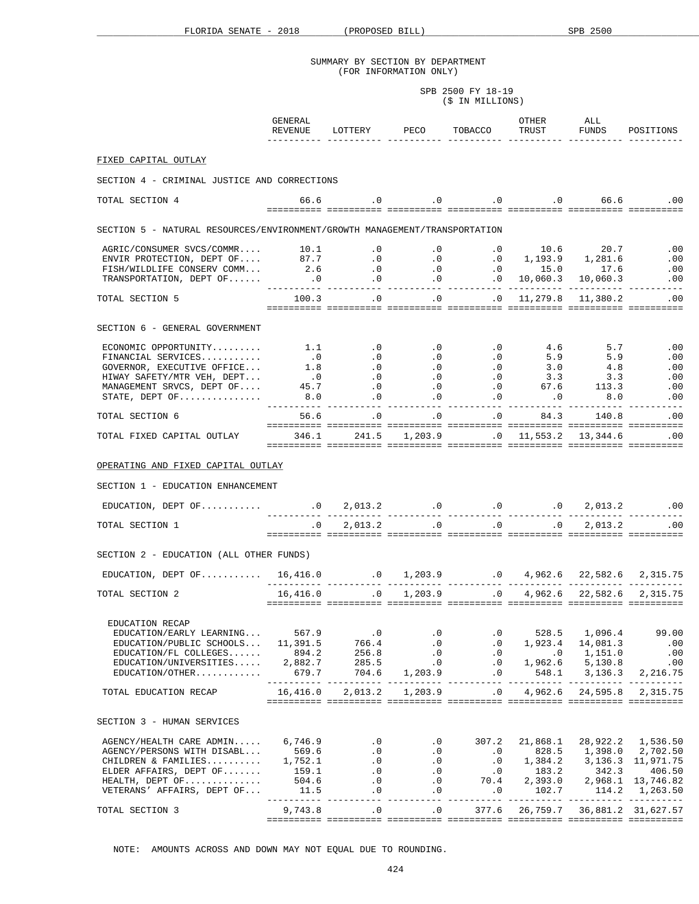SPB 2500 FY 18-19 (\$ IN MILLIONS)

|                                                                                                                                                                                                                                                                                                                                                                                       | GENERAL<br>REVENUE                         | LOTTERY PECO TOBACCO                                                            |                                                                                                     |                                                        | OTHER<br>TRUST                                                                                                                                                 | ALL<br>FUNDS              | POSITIONS                                    |
|---------------------------------------------------------------------------------------------------------------------------------------------------------------------------------------------------------------------------------------------------------------------------------------------------------------------------------------------------------------------------------------|--------------------------------------------|---------------------------------------------------------------------------------|-----------------------------------------------------------------------------------------------------|--------------------------------------------------------|----------------------------------------------------------------------------------------------------------------------------------------------------------------|---------------------------|----------------------------------------------|
| FIXED CAPITAL OUTLAY                                                                                                                                                                                                                                                                                                                                                                  |                                            |                                                                                 |                                                                                                     |                                                        |                                                                                                                                                                |                           |                                              |
| SECTION 4 - CRIMINAL JUSTICE AND CORRECTIONS                                                                                                                                                                                                                                                                                                                                          |                                            |                                                                                 |                                                                                                     |                                                        |                                                                                                                                                                |                           |                                              |
|                                                                                                                                                                                                                                                                                                                                                                                       |                                            |                                                                                 |                                                                                                     |                                                        |                                                                                                                                                                |                           |                                              |
| TOTAL SECTION 4                                                                                                                                                                                                                                                                                                                                                                       |                                            | 66.6 0 0 0 0 0 0 66.6 0 0                                                       |                                                                                                     |                                                        |                                                                                                                                                                |                           |                                              |
| SECTION 5 - NATURAL RESOURCES/ENVIRONMENT/GROWTH MANAGEMENT/TRANSPORTATION                                                                                                                                                                                                                                                                                                            |                                            |                                                                                 |                                                                                                     |                                                        |                                                                                                                                                                |                           |                                              |
| 4GRIC/CONSUMER SVCS/COMMR 10.1 0 0 0 0 0 10.6 20.7 0<br>ENVIR PROTECTION, DEPT OF 87.7 0 0 0 0 0 1,193.9 1,281.6 0<br>FISH/WILDLIFE CONSERV COMM 2.6 0 0 0 0 0 15.0 17.6 0<br>TRANSPORTATION, DEPT OF 0 0 0 0 0 0 0                                                                                                                                                                   |                                            |                                                                                 |                                                                                                     |                                                        |                                                                                                                                                                |                           |                                              |
|                                                                                                                                                                                                                                                                                                                                                                                       |                                            |                                                                                 |                                                                                                     |                                                        |                                                                                                                                                                |                           |                                              |
|                                                                                                                                                                                                                                                                                                                                                                                       |                                            |                                                                                 |                                                                                                     |                                                        |                                                                                                                                                                |                           |                                              |
| TOTAL SECTION 5                                                                                                                                                                                                                                                                                                                                                                       |                                            | $100.3$ .0 .0                                                                   |                                                                                                     |                                                        | $0 \quad 11,279.8 \quad 11,380.2$ .00                                                                                                                          |                           |                                              |
| SECTION 6 - GENERAL GOVERNMENT                                                                                                                                                                                                                                                                                                                                                        |                                            |                                                                                 |                                                                                                     |                                                        |                                                                                                                                                                |                           |                                              |
| $\begin{tabular}{cccccccc} ECONOMIC & OPORTUNITY. \dots & 1.1 & .0 & .0 & .0 & .0 & 4.6 & 5.7 & .00 \\ \hline \texttt{FINANCIAL SERVICES. & .0 & .0 & .0 & .0 & .0 & 5.9 & 5.9 & .00 \\ \texttt{GOVERNOR, EXECUTIVE OFFICE. & 1.8 & .0 & .0 & .0 & .0 & 3.0 & 4.8 & .00 \\ \texttt{HINAY SAFFITY/MTR VEH, DEPT & 0 & .0 & .0 & .0 & 3.3 & 3.3 & .00 \\ \texttt{MINAY SAFFTY/MTR VEH,$ |                                            |                                                                                 |                                                                                                     |                                                        |                                                                                                                                                                |                           |                                              |
|                                                                                                                                                                                                                                                                                                                                                                                       |                                            |                                                                                 |                                                                                                     |                                                        |                                                                                                                                                                |                           | .00                                          |
|                                                                                                                                                                                                                                                                                                                                                                                       |                                            |                                                                                 |                                                                                                     |                                                        |                                                                                                                                                                |                           | .00                                          |
|                                                                                                                                                                                                                                                                                                                                                                                       |                                            |                                                                                 |                                                                                                     |                                                        |                                                                                                                                                                |                           |                                              |
| TOTAL SECTION 6                                                                                                                                                                                                                                                                                                                                                                       |                                            | 56.6 .0 .0 .0 .0 84.3 140.8 .00                                                 |                                                                                                     |                                                        |                                                                                                                                                                |                           |                                              |
|                                                                                                                                                                                                                                                                                                                                                                                       |                                            |                                                                                 |                                                                                                     |                                                        |                                                                                                                                                                |                           |                                              |
| 00. 11,553.2 13,344.6 CAPITAL OUTLAY 346.1 241.5 1,203.9 .0 11,553.2 13,344.6 .00                                                                                                                                                                                                                                                                                                     |                                            |                                                                                 |                                                                                                     |                                                        |                                                                                                                                                                |                           |                                              |
| OPERATING AND FIXED CAPITAL OUTLAY                                                                                                                                                                                                                                                                                                                                                    |                                            |                                                                                 |                                                                                                     |                                                        |                                                                                                                                                                |                           |                                              |
| SECTION 1 - EDUCATION ENHANCEMENT                                                                                                                                                                                                                                                                                                                                                     |                                            |                                                                                 |                                                                                                     |                                                        |                                                                                                                                                                |                           |                                              |
|                                                                                                                                                                                                                                                                                                                                                                                       |                                            |                                                                                 |                                                                                                     |                                                        |                                                                                                                                                                |                           |                                              |
| TOTAL SECTION 1                                                                                                                                                                                                                                                                                                                                                                       |                                            | $0.0$ $2,013.2$ $0.0$ $0.0$ $0.0$ $0.013.2$ $0.00$                              |                                                                                                     |                                                        |                                                                                                                                                                |                           |                                              |
| SECTION 2 - EDUCATION (ALL OTHER FUNDS)                                                                                                                                                                                                                                                                                                                                               |                                            |                                                                                 |                                                                                                     |                                                        |                                                                                                                                                                |                           |                                              |
|                                                                                                                                                                                                                                                                                                                                                                                       |                                            |                                                                                 |                                                                                                     |                                                        |                                                                                                                                                                |                           |                                              |
| TOTAL SECTION 2                                                                                                                                                                                                                                                                                                                                                                       |                                            |                                                                                 |                                                                                                     |                                                        |                                                                                                                                                                |                           |                                              |
|                                                                                                                                                                                                                                                                                                                                                                                       |                                            |                                                                                 |                                                                                                     |                                                        |                                                                                                                                                                |                           |                                              |
| EDUCATION RECAP<br>EDUCATION/EARLY LEARNING<br>EDUCATION/PUBLIC SCHOOLS<br>EDUCATION/FL COLLEGES<br>EDUCATION/UNIVERSITIES 2,882.7<br>EDUCATION/OTHER.                                                                                                                                                                                                                                | 567.9<br>11,391.5<br>894.2<br>679.7        | $\overline{\phantom{0}}$ .0<br>766.4<br>256.8<br>285.5                          | $\boldsymbol{\cdot}$ 0<br>$\ddotsc 0$<br>$\cdot$ 0<br>$\overline{\phantom{0}}$ . 0<br>704.6 1,203.9 | $\cdot$ 0<br>.0<br>$\cdot$ 0<br>$\cdot$ 0<br>$\cdot$ 0 | 1,923.4<br>$0$ 1,151.0<br>1,962.6 5,130.8<br>1,962.6 5,130.8<br>548.1 3,136.3                                                                                  | 528.5 1,096.4<br>14,081.3 | 99.00<br>.00<br>.00<br>$\sim$ 00<br>2,216.75 |
| TOTAL EDUCATION RECAP                                                                                                                                                                                                                                                                                                                                                                 | 16,416.0                                   | 2,013.2                                                                         | 1,203.9                                                                                             | $\cdot$ 0                                              | 4,962.6                                                                                                                                                        | 24,595.8                  | 2,315.75                                     |
| SECTION 3 - HUMAN SERVICES                                                                                                                                                                                                                                                                                                                                                            |                                            |                                                                                 |                                                                                                     |                                                        |                                                                                                                                                                |                           |                                              |
| AGENCY/HEALTH CARE ADMIN 6,746.9<br>AGENCY/PERSONS WITH DISABL<br>CHILDREN & FAMILIES<br>ELDER AFFAIRS, DEPT OF<br>HEALTH, DEPT OF<br>VETERANS' AFFAIRS, DEPT OF                                                                                                                                                                                                                      | 569.6<br>1,752.1<br>159.1<br>504.6<br>11.5 | $\overline{0}$<br>$\cdot$ 0<br>$\cdot$ 0<br>$\cdot$ 0<br>$\cdot$ 0<br>$\cdot$ 0 | $\cdot$ 0<br>$\ddotsc 0$<br>$\cdot$ 0<br>.0<br>$\cdot$ 0                                            | $.0$ 307.2<br>$\cdot$ 0                                | 21,868.1<br>.0 828.5 1,398.0 2,702.50<br>$.0 \qquad 1,384.2 \qquad 3,136.3 \quad 11,971.75$<br>0 183.2 342.3 406.50<br>70.4 2,393.0 2,968.1 13,746.82<br>102.7 | 114.2                     | 28,922.2 1,536.50<br>1,263.50                |
| TOTAL SECTION 3                                                                                                                                                                                                                                                                                                                                                                       | ----------<br>9,743.8                      | .0                                                                              | $\cdot$ 0                                                                                           | 377.6                                                  |                                                                                                                                                                |                           | 26, 759.7 36, 881.2 31, 627.57               |
|                                                                                                                                                                                                                                                                                                                                                                                       |                                            |                                                                                 |                                                                                                     |                                                        |                                                                                                                                                                |                           |                                              |